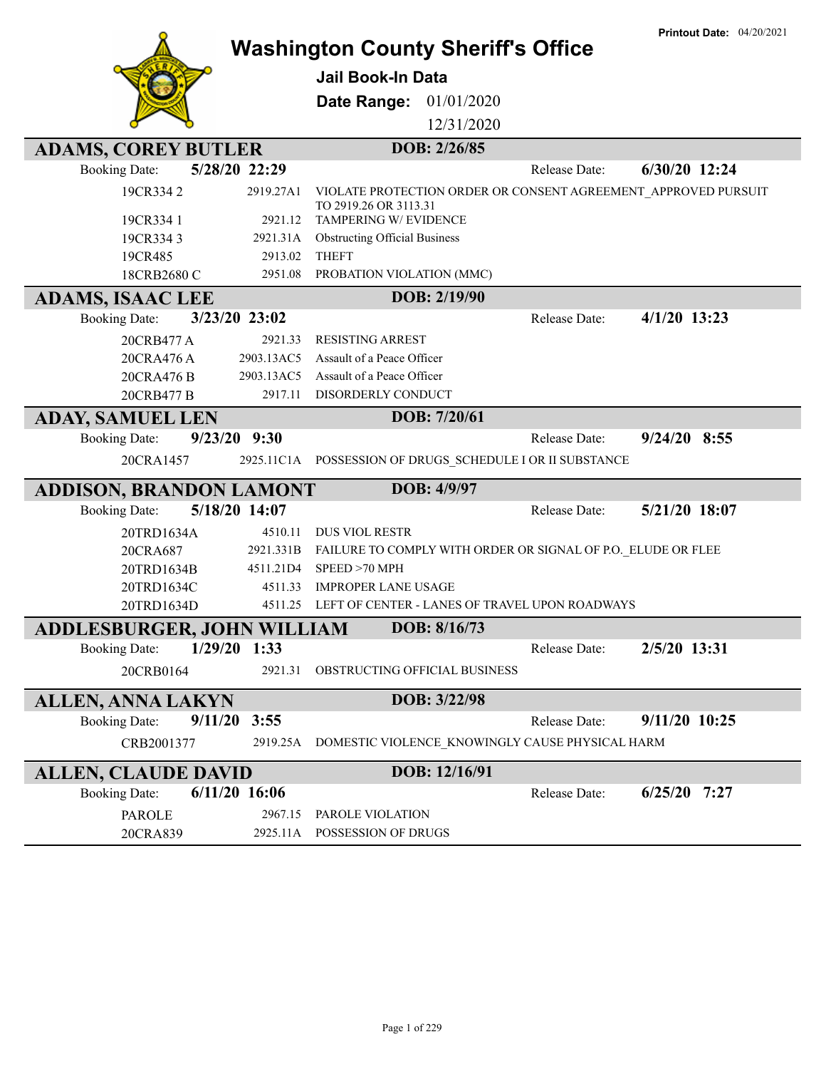|                                                 |                          | <b>Washington County Sheriff's Office</b>                |               |                                                              | <b>Printout Date: 04/20/2021</b>                               |
|-------------------------------------------------|--------------------------|----------------------------------------------------------|---------------|--------------------------------------------------------------|----------------------------------------------------------------|
|                                                 |                          | <b>Jail Book-In Data</b>                                 |               |                                                              |                                                                |
|                                                 |                          | Date Range: 01/01/2020                                   |               |                                                              |                                                                |
|                                                 |                          |                                                          | 12/31/2020    |                                                              |                                                                |
| <b>ADAMS, COREY BUTLER</b>                      |                          |                                                          | DOB: 2/26/85  |                                                              |                                                                |
| <b>Booking Date:</b>                            | 5/28/20 22:29            |                                                          |               | Release Date:                                                | 6/30/20 12:24                                                  |
| 19CR3342                                        | 2919.27A1                | TO 2919.26 OR 3113.31                                    |               |                                                              | VIOLATE PROTECTION ORDER OR CONSENT AGREEMENT_APPROVED PURSUIT |
| 19CR334 1                                       | 2921.12                  | TAMPERING W/ EVIDENCE                                    |               |                                                              |                                                                |
| 19CR3343                                        | 2921.31A                 | <b>Obstructing Official Business</b>                     |               |                                                              |                                                                |
| 19CR485                                         | 2913.02                  | <b>THEFT</b>                                             |               |                                                              |                                                                |
| 18CRB2680 C                                     | 2951.08                  | PROBATION VIOLATION (MMC)                                |               |                                                              |                                                                |
| <b>ADAMS, ISAAC LEE</b>                         |                          |                                                          | DOB: 2/19/90  |                                                              |                                                                |
| <b>Booking Date:</b>                            | 3/23/20 23:02            |                                                          |               | Release Date:                                                | $4/1/20$ 13:23                                                 |
| 20CRB477 A                                      | 2921.33                  | <b>RESISTING ARREST</b>                                  |               |                                                              |                                                                |
| 20CRA476 A                                      | 2903.13AC5<br>2903.13AC5 | Assault of a Peace Officer<br>Assault of a Peace Officer |               |                                                              |                                                                |
| 20CRA476 B<br>20CRB477 B                        | 2917.11                  | DISORDERLY CONDUCT                                       |               |                                                              |                                                                |
|                                                 |                          |                                                          | DOB: 7/20/61  |                                                              |                                                                |
| <b>ADAY, SAMUEL LEN</b><br><b>Booking Date:</b> | $9/23/20$ $9:30$         |                                                          |               | Release Date:                                                | $9/24/20$ 8:55                                                 |
| 20CRA1457                                       |                          |                                                          |               | 2925.11C1A POSSESSION OF DRUGS_SCHEDULE I OR II SUBSTANCE    |                                                                |
|                                                 |                          |                                                          |               |                                                              |                                                                |
| ADDISON, BRANDON LAMONT                         |                          |                                                          | DOB: 4/9/97   |                                                              |                                                                |
| <b>Booking Date:</b>                            | 5/18/20 14:07            |                                                          |               | Release Date:                                                | 5/21/20 18:07                                                  |
| 20TRD1634A                                      | 4510.11                  | <b>DUS VIOL RESTR</b>                                    |               |                                                              |                                                                |
| 20CRA687<br>20TRD1634B                          | 2921.331B<br>4511.21D4   | SPEED >70 MPH                                            |               | FAILURE TO COMPLY WITH ORDER OR SIGNAL OF P.O. ELUDE OR FLEE |                                                                |
| 20TRD1634C                                      | 4511.33                  | <b>IMPROPER LANE USAGE</b>                               |               |                                                              |                                                                |
| 20TRD1634D                                      | 4511.25                  |                                                          |               | LEFT OF CENTER - LANES OF TRAVEL UPON ROADWAYS               |                                                                |
| <b>ADDLESBURGER, JOHN WILLIAM</b>               |                          |                                                          | DOB: 8/16/73  |                                                              |                                                                |
| <b>Booking Date:</b>                            | $1/29/20$ 1:33           |                                                          |               | Release Date:                                                | 2/5/20 13:31                                                   |
| 20CRB0164                                       | 2921.31                  | OBSTRUCTING OFFICIAL BUSINESS                            |               |                                                              |                                                                |
| <b>ALLEN, ANNA LAKYN</b>                        |                          |                                                          | DOB: 3/22/98  |                                                              |                                                                |
| <b>Booking Date:</b>                            | 9/11/20<br>3:55          |                                                          |               | Release Date:                                                | 9/11/20 10:25                                                  |
|                                                 |                          |                                                          |               |                                                              |                                                                |
| CRB2001377                                      | 2919.25A                 |                                                          |               | DOMESTIC VIOLENCE KNOWINGLY CAUSE PHYSICAL HARM              |                                                                |
| <b>ALLEN, CLAUDE DAVID</b>                      |                          |                                                          | DOB: 12/16/91 |                                                              |                                                                |
| <b>Booking Date:</b>                            | $6/11/20$ 16:06          |                                                          |               | Release Date:                                                | $6/25/20$ 7:27                                                 |
| <b>PAROLE</b>                                   | 2967.15                  | PAROLE VIOLATION                                         |               |                                                              |                                                                |
| 20CRA839                                        | 2925.11A                 | POSSESSION OF DRUGS                                      |               |                                                              |                                                                |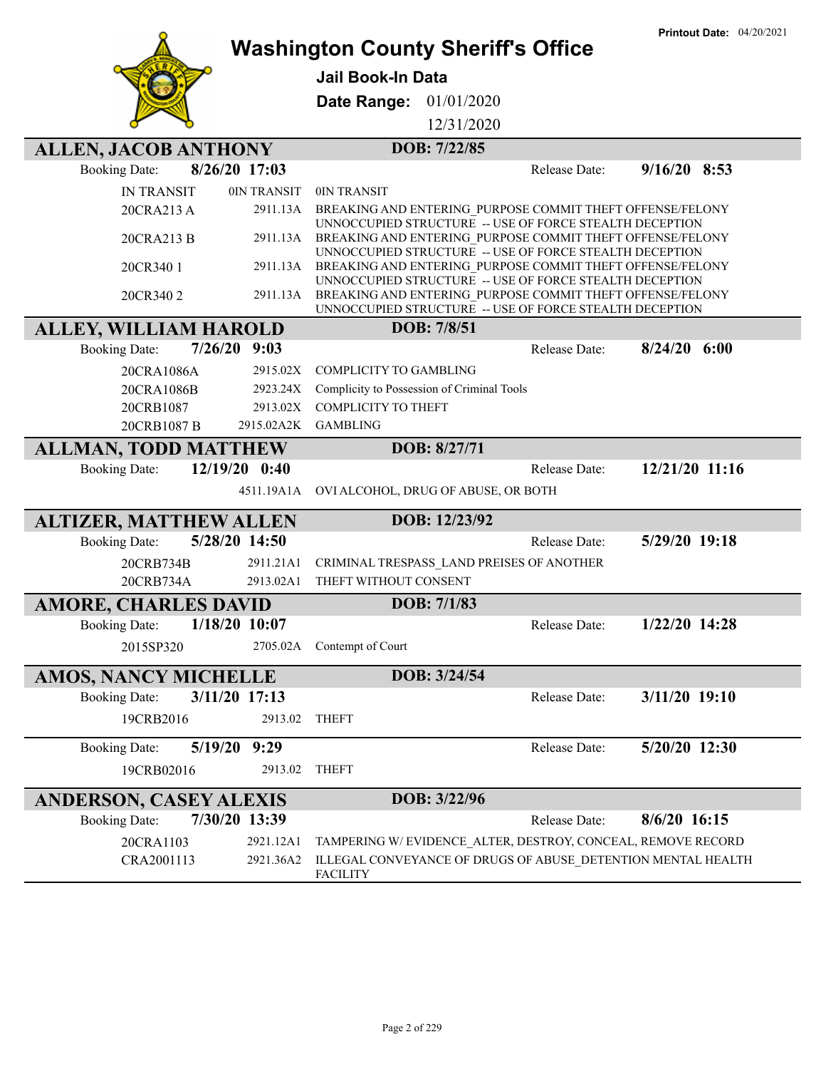|                                 |                 |                                                                                                                                                                                 | <b>Printout Date: 04/20/2021</b> |
|---------------------------------|-----------------|---------------------------------------------------------------------------------------------------------------------------------------------------------------------------------|----------------------------------|
|                                 |                 | <b>Washington County Sheriff's Office</b>                                                                                                                                       |                                  |
|                                 |                 | <b>Jail Book-In Data</b>                                                                                                                                                        |                                  |
|                                 |                 | 01/01/2020<br>Date Range:                                                                                                                                                       |                                  |
|                                 |                 | 12/31/2020                                                                                                                                                                      |                                  |
| <b>ALLEN, JACOB ANTHONY</b>     |                 | DOB: 7/22/85                                                                                                                                                                    |                                  |
| <b>Booking Date:</b>            | 8/26/20 17:03   | Release Date:                                                                                                                                                                   | $9/16/20$ 8:53                   |
| <b>IN TRANSIT</b>               | 0IN TRANSIT     | 0IN TRANSIT                                                                                                                                                                     |                                  |
| 20CRA213 A                      | 2911.13A        | BREAKING AND ENTERING PURPOSE COMMIT THEFT OFFENSE/FELONY                                                                                                                       |                                  |
| 20CRA213 B                      | 2911.13A        | UNNOCCUPIED STRUCTURE -- USE OF FORCE STEALTH DECEPTION<br>BREAKING AND ENTERING PURPOSE COMMIT THEFT OFFENSE/FELONY<br>UNNOCCUPIED STRUCTURE -- USE OF FORCE STEALTH DECEPTION |                                  |
| 20CR340 1                       | 2911.13A        | BREAKING AND ENTERING PURPOSE COMMIT THEFT OFFENSE/FELONY                                                                                                                       |                                  |
| 20CR3402                        | 2911.13A        | UNNOCCUPIED STRUCTURE -- USE OF FORCE STEALTH DECEPTION<br>BREAKING AND ENTERING PURPOSE COMMIT THEFT OFFENSE/FELONY<br>UNNOCCUPIED STRUCTURE -- USE OF FORCE STEALTH DECEPTION |                                  |
| <b>ALLEY, WILLIAM HAROLD</b>    |                 | DOB: 7/8/51                                                                                                                                                                     |                                  |
| 7/26/20<br><b>Booking Date:</b> | 9:03            | Release Date:                                                                                                                                                                   | $8/24/20$ 6:00                   |
| 20CRA1086A                      | 2915.02X        | <b>COMPLICITY TO GAMBLING</b>                                                                                                                                                   |                                  |
| 20CRA1086B                      | 2923.24X        | Complicity to Possession of Criminal Tools                                                                                                                                      |                                  |
| 20CRB1087                       | 2913.02X        | <b>COMPLICITY TO THEFT</b>                                                                                                                                                      |                                  |
| 20CRB1087 B                     |                 | 2915.02A2K GAMBLING                                                                                                                                                             |                                  |
| <b>ALLMAN, TODD MATTHEW</b>     |                 | DOB: 8/27/71                                                                                                                                                                    |                                  |
| <b>Booking Date:</b>            | 12/19/20 0:40   | Release Date:                                                                                                                                                                   | 12/21/20 11:16                   |
|                                 | 4511.19A1A      | OVI ALCOHOL, DRUG OF ABUSE, OR BOTH                                                                                                                                             |                                  |
| <b>ALTIZER, MATTHEW ALLEN</b>   |                 | DOB: 12/23/92                                                                                                                                                                   |                                  |
| <b>Booking Date:</b>            | 5/28/20 14:50   | Release Date:                                                                                                                                                                   | 5/29/20 19:18                    |
| 20CRB734B                       | 2911.21A1       | CRIMINAL TRESPASS_LAND PREISES OF ANOTHER                                                                                                                                       |                                  |
| 20CRB734A                       | 2913.02A1       | THEFT WITHOUT CONSENT                                                                                                                                                           |                                  |
| <b>AMORE, CHARLES DAVID</b>     |                 | DOB: 7/1/83                                                                                                                                                                     |                                  |
| <b>Booking Date:</b>            | $1/18/20$ 10:07 | Release Date:                                                                                                                                                                   | $1/22/20$ 14:28                  |
| 2015SP320                       |                 | 2705.02A Contempt of Court                                                                                                                                                      |                                  |
| <b>AMOS, NANCY MICHELLE</b>     |                 | DOB: 3/24/54                                                                                                                                                                    |                                  |
| <b>Booking Date:</b>            | 3/11/20 17:13   | Release Date:                                                                                                                                                                   | 3/11/20 19:10                    |
| 19CRB2016                       | 2913.02         | <b>THEFT</b>                                                                                                                                                                    |                                  |
| 5/19/20<br><b>Booking Date:</b> | 9:29            | Release Date:                                                                                                                                                                   | 5/20/20 12:30                    |
| 19CRB02016                      | 2913.02         | <b>THEFT</b>                                                                                                                                                                    |                                  |
| <b>ANDERSON, CASEY ALEXIS</b>   |                 | DOB: 3/22/96                                                                                                                                                                    |                                  |
| <b>Booking Date:</b>            | 7/30/20 13:39   | Release Date:                                                                                                                                                                   | 8/6/20 16:15                     |
| 20CRA1103                       | 2921.12A1       | TAMPERING W/EVIDENCE ALTER, DESTROY, CONCEAL, REMOVE RECORD                                                                                                                     |                                  |
| CRA2001113                      | 2921.36A2       | ILLEGAL CONVEYANCE OF DRUGS OF ABUSE DETENTION MENTAL HEALTH<br><b>FACILITY</b>                                                                                                 |                                  |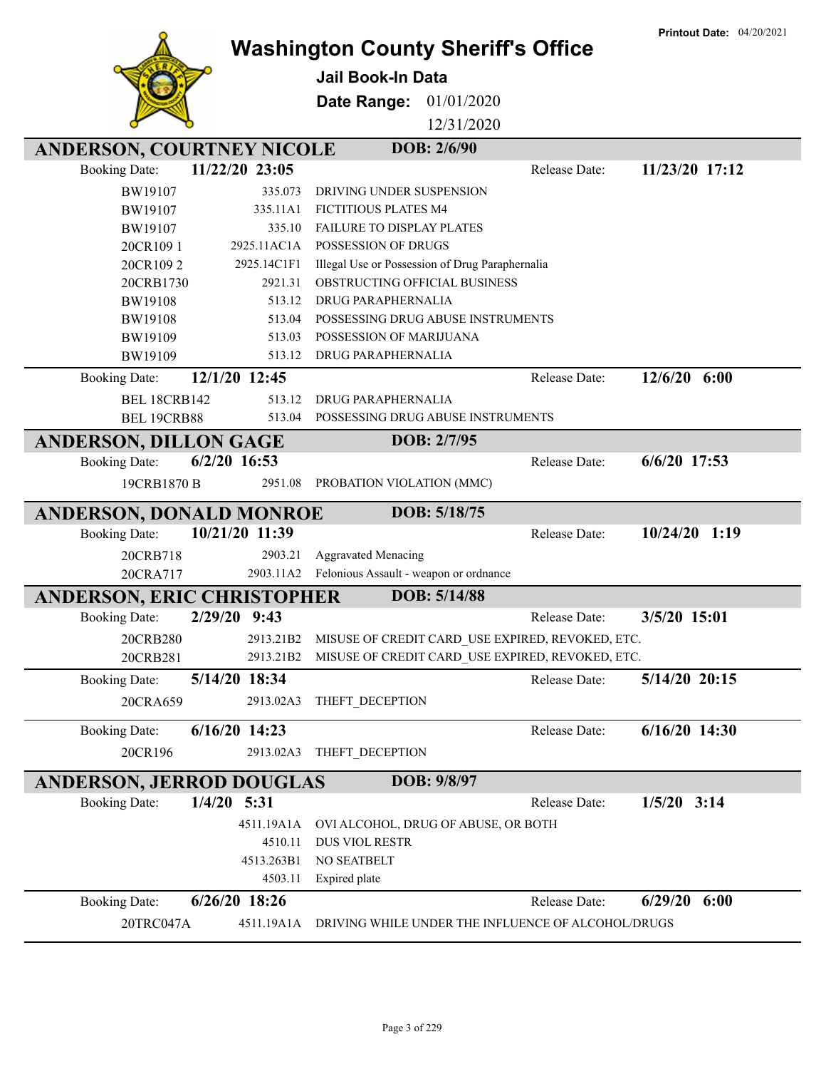|                                   |                | <b>Washington County Sheriff's Office</b>          |               | <b>Printout Date: 04/20/2021</b> |
|-----------------------------------|----------------|----------------------------------------------------|---------------|----------------------------------|
|                                   |                | Jail Book-In Data                                  |               |                                  |
|                                   |                |                                                    |               |                                  |
|                                   |                | <b>Date Range: 01/01/2020</b>                      |               |                                  |
|                                   |                | 12/31/2020                                         |               |                                  |
| ANDERSON, COURTNEY NICOLE         |                | DOB: 2/6/90                                        |               |                                  |
| <b>Booking Date:</b>              | 11/22/20 23:05 |                                                    | Release Date: | 11/23/20 17:12                   |
| BW19107                           | 335.073        | DRIVING UNDER SUSPENSION                           |               |                                  |
| BW19107                           | 335.11A1       | FICTITIOUS PLATES M4                               |               |                                  |
| BW19107                           | 335.10         | FAILURE TO DISPLAY PLATES                          |               |                                  |
| 20CR1091                          | 2925.11AC1A    | POSSESSION OF DRUGS                                |               |                                  |
| 20CR1092                          | 2925.14C1F1    | Illegal Use or Possession of Drug Paraphernalia    |               |                                  |
| 20CRB1730                         | 2921.31        | OBSTRUCTING OFFICIAL BUSINESS                      |               |                                  |
| <b>BW19108</b>                    | 513.12         | DRUG PARAPHERNALIA                                 |               |                                  |
| <b>BW19108</b>                    | 513.04         | POSSESSING DRUG ABUSE INSTRUMENTS                  |               |                                  |
| BW19109                           | 513.03         | POSSESSION OF MARIJUANA                            |               |                                  |
| BW19109                           | 513.12         | <b>DRUG PARAPHERNALIA</b>                          |               |                                  |
| <b>Booking Date:</b>              | 12/1/20 12:45  |                                                    | Release Date: | $12/6/20$ 6:00                   |
| <b>BEL 18CRB142</b>               | 513.12         | DRUG PARAPHERNALIA                                 |               |                                  |
| BEL 19CRB88                       | 513.04         | POSSESSING DRUG ABUSE INSTRUMENTS                  |               |                                  |
| <b>ANDERSON, DILLON GAGE</b>      |                | DOB: 2/7/95                                        |               |                                  |
| <b>Booking Date:</b>              | $6/2/20$ 16:53 |                                                    | Release Date: | 6/6/20 17:53                     |
| 19CRB1870 B                       | 2951.08        | PROBATION VIOLATION (MMC)                          |               |                                  |
| <b>ANDERSON, DONALD MONROE</b>    |                | DOB: 5/18/75                                       |               |                                  |
| <b>Booking Date:</b>              | 10/21/20 11:39 |                                                    | Release Date: | $10/24/20$ 1:19                  |
| 20CRB718                          | 2903.21        | <b>Aggravated Menacing</b>                         |               |                                  |
| 20CRA717                          |                | 2903.11A2 Felonious Assault - weapon or ordnance   |               |                                  |
| <b>ANDERSON, ERIC CHRISTOPHER</b> |                | DOB: 5/14/88                                       |               |                                  |
| <b>Booking Date:</b>              | 2/29/20 9:43   |                                                    | Release Date: | 3/5/20 15:01                     |
| 20CRB280                          | 2913.21B2      | MISUSE OF CREDIT CARD USE EXPIRED, REVOKED, ETC.   |               |                                  |
| 20CRB281                          | 2913.21B2      | MISUSE OF CREDIT CARD_USE EXPIRED, REVOKED, ETC.   |               |                                  |
| <b>Booking Date:</b>              | 5/14/20 18:34  |                                                    | Release Date: | 5/14/20 20:15                    |
|                                   |                |                                                    |               |                                  |
| 20CRA659                          | 2913.02A3      | THEFT_DECEPTION                                    |               |                                  |
| <b>Booking Date:</b>              | 6/16/20 14:23  |                                                    | Release Date: | $6/16/20$ 14:30                  |
| 20CR196                           | 2913.02A3      | THEFT_DECEPTION                                    |               |                                  |
| <b>ANDERSON, JERROD DOUGLAS</b>   |                | DOB: 9/8/97                                        |               |                                  |
| <b>Booking Date:</b>              | $1/4/20$ 5:31  |                                                    | Release Date: | $1/5/20$ 3:14                    |
|                                   | 4511.19A1A     | OVI ALCOHOL, DRUG OF ABUSE, OR BOTH                |               |                                  |
|                                   | 4510.11        | DUS VIOL RESTR                                     |               |                                  |
|                                   | 4513.263B1     | NO SEATBELT                                        |               |                                  |
|                                   | 4503.11        | Expired plate                                      |               |                                  |
| <b>Booking Date:</b>              | 6/26/20 18:26  |                                                    | Release Date: | 6/29/20<br>6:00                  |
| 20TRC047A                         | 4511.19A1A     | DRIVING WHILE UNDER THE INFLUENCE OF ALCOHOL/DRUGS |               |                                  |

**Printout Date:** 04/20/2021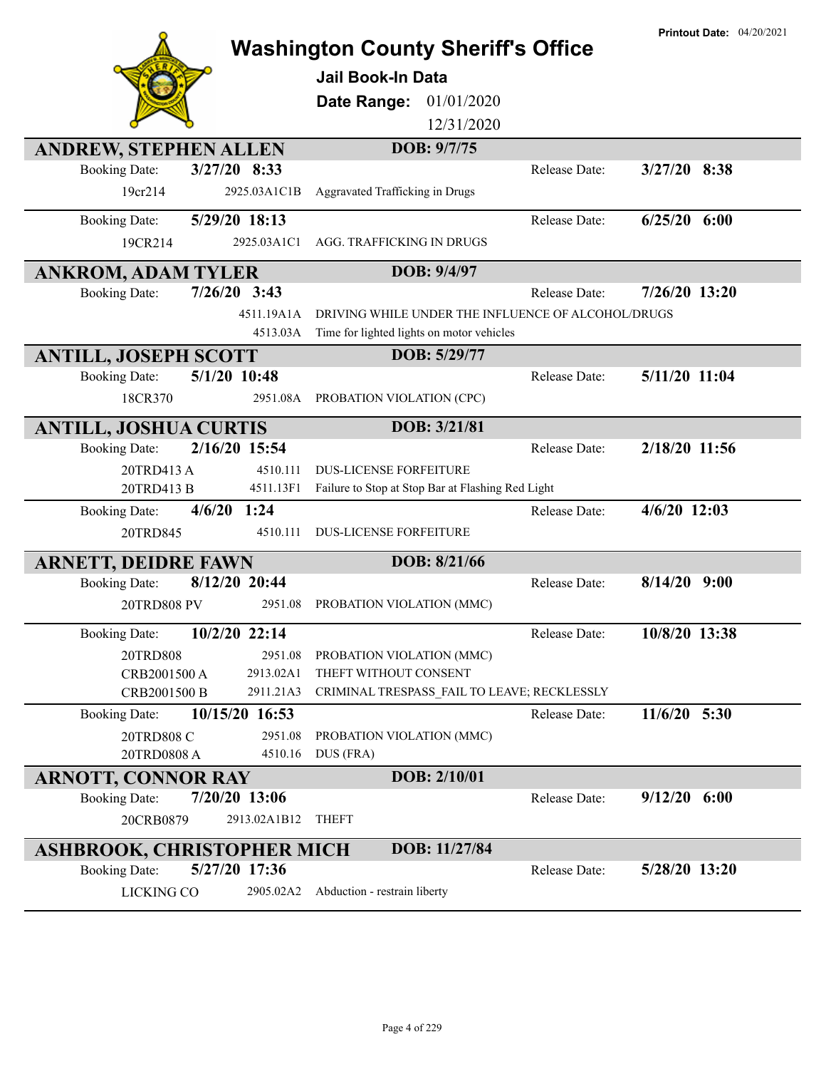|                                   |                | <b>Washington County Sheriff's Office</b><br><b>Jail Book-In Data</b><br>01/01/2020<br>Date Range:<br>12/31/2020<br>DOB: 9/7/75 |               | <b>Printout Date: 04/20/2021</b> |
|-----------------------------------|----------------|---------------------------------------------------------------------------------------------------------------------------------|---------------|----------------------------------|
| <b>ANDREW, STEPHEN ALLEN</b>      |                |                                                                                                                                 |               |                                  |
| <b>Booking Date:</b>              | 3/27/20 8:33   |                                                                                                                                 | Release Date: | 3/27/20 8:38                     |
| 19cr214                           | 2925.03A1C1B   | Aggravated Trafficking in Drugs                                                                                                 |               |                                  |
| <b>Booking Date:</b>              | 5/29/20 18:13  |                                                                                                                                 | Release Date: | $6/25/20$ $6:00$                 |
| 19CR214                           | 2925.03A1C1    | AGG. TRAFFICKING IN DRUGS                                                                                                       |               |                                  |
| <b>ANKROM, ADAM TYLER</b>         |                | DOB: 9/4/97                                                                                                                     |               |                                  |
| <b>Booking Date:</b>              | $7/26/20$ 3:43 |                                                                                                                                 | Release Date: | 7/26/20 13:20                    |
|                                   | 4511.19A1A     | DRIVING WHILE UNDER THE INFLUENCE OF ALCOHOL/DRUGS                                                                              |               |                                  |
|                                   | 4513.03A       | Time for lighted lights on motor vehicles                                                                                       |               |                                  |
| <b>ANTILL, JOSEPH SCOTT</b>       |                | DOB: 5/29/77                                                                                                                    |               |                                  |
| <b>Booking Date:</b>              | 5/1/20 10:48   |                                                                                                                                 | Release Date: | 5/11/20 11:04                    |
| 18CR370                           | 2951.08A       | PROBATION VIOLATION (CPC)                                                                                                       |               |                                  |
| <b>ANTILL, JOSHUA CURTIS</b>      |                | DOB: 3/21/81                                                                                                                    |               |                                  |
| <b>Booking Date:</b>              | 2/16/20 15:54  |                                                                                                                                 | Release Date: | 2/18/20 11:56                    |
| 20TRD413 A                        | 4510.111       | <b>DUS-LICENSE FORFEITURE</b>                                                                                                   |               |                                  |
| 20TRD413 B                        | 4511.13F1      | Failure to Stop at Stop Bar at Flashing Red Light                                                                               |               |                                  |
| <b>Booking Date:</b>              | $4/6/20$ 1:24  |                                                                                                                                 | Release Date: | $4/6/20$ 12:03                   |
| 20TRD845                          | 4510.111       | <b>DUS-LICENSE FORFEITURE</b>                                                                                                   |               |                                  |
| <b>ARNETT, DEIDRE FAWN</b>        |                | DOB: 8/21/66                                                                                                                    |               |                                  |
| <b>Booking Date:</b>              | 8/12/20 20:44  |                                                                                                                                 | Release Date: | $8/14/20$ 9:00                   |
| 20TRD808 PV                       | 2951.08        | PROBATION VIOLATION (MMC)                                                                                                       |               |                                  |
| <b>Booking Date:</b>              | 10/2/20 22:14  |                                                                                                                                 | Release Date: | 10/8/20 13:38                    |
| 20TRD808                          | 2951.08        | PROBATION VIOLATION (MMC)                                                                                                       |               |                                  |
| CRB2001500 A                      | 2913.02A1      | THEFT WITHOUT CONSENT                                                                                                           |               |                                  |
| CRB2001500 B                      | 2911.21A3      | CRIMINAL TRESPASS FAIL TO LEAVE; RECKLESSLY                                                                                     |               |                                  |
| <b>Booking Date:</b>              | 10/15/20 16:53 |                                                                                                                                 | Release Date: | 11/6/20 5:30                     |
| 20TRD808 C                        | 2951.08        | PROBATION VIOLATION (MMC)                                                                                                       |               |                                  |
| 20TRD0808 A                       | 4510.16        | DUS (FRA)                                                                                                                       |               |                                  |
| <b>ARNOTT, CONNOR RAY</b>         |                | DOB: 2/10/01                                                                                                                    |               |                                  |
| <b>Booking Date:</b>              | 7/20/20 13:06  |                                                                                                                                 | Release Date: | $9/12/20$ 6:00                   |
| 20CRB0879                         | 2913.02A1B12   | <b>THEFT</b>                                                                                                                    |               |                                  |
| <b>ASHBROOK, CHRISTOPHER MICH</b> |                | DOB: 11/27/84                                                                                                                   |               |                                  |
| <b>Booking Date:</b>              | 5/27/20 17:36  |                                                                                                                                 | Release Date: | 5/28/20 13:20                    |
| <b>LICKING CO</b>                 | 2905.02A2      | Abduction - restrain liberty                                                                                                    |               |                                  |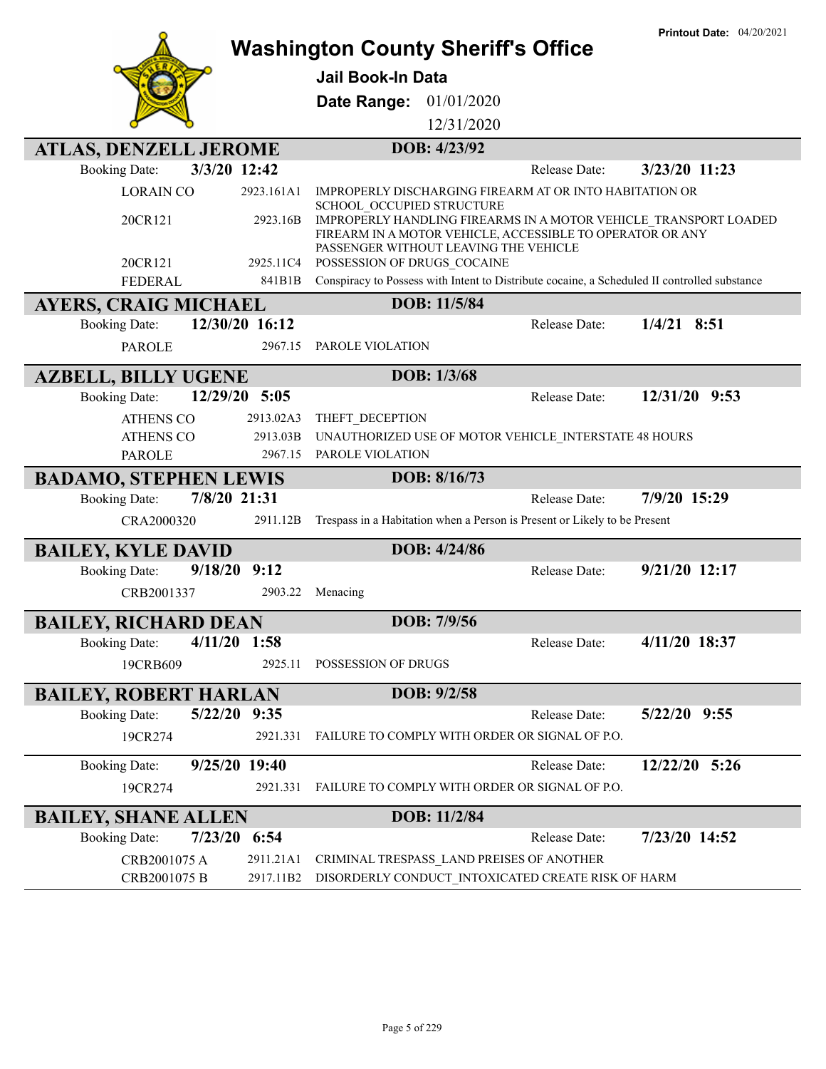|                                                      |                | <b>Washington County Sheriff's Office</b>                                                                                                                              | <b>Printout Date: 04/20/2021</b> |
|------------------------------------------------------|----------------|------------------------------------------------------------------------------------------------------------------------------------------------------------------------|----------------------------------|
|                                                      |                | Jail Book-In Data                                                                                                                                                      |                                  |
|                                                      |                |                                                                                                                                                                        |                                  |
|                                                      |                | Date Range: 01/01/2020                                                                                                                                                 |                                  |
|                                                      |                | 12/31/2020                                                                                                                                                             |                                  |
| <b>ATLAS, DENZELL JEROME</b>                         |                | DOB: 4/23/92                                                                                                                                                           |                                  |
| <b>Booking Date:</b>                                 | 3/3/20 12:42   | Release Date:                                                                                                                                                          | 3/23/20 11:23                    |
| <b>LORAIN CO</b>                                     | 2923.161A1     | IMPROPERLY DISCHARGING FIREARM AT OR INTO HABITATION OR<br>SCHOOL OCCUPIED STRUCTURE                                                                                   |                                  |
| 20CR121                                              | 2923.16B       | IMPROPERLY HANDLING FIREARMS IN A MOTOR VEHICLE TRANSPORT LOADED<br>FIREARM IN A MOTOR VEHICLE, ACCESSIBLE TO OPERATOR OR ANY<br>PASSENGER WITHOUT LEAVING THE VEHICLE |                                  |
| 20CR121                                              | 2925.11C4      | POSSESSION OF DRUGS COCAINE                                                                                                                                            |                                  |
| <b>FEDERAL</b>                                       | 841B1B         | Conspiracy to Possess with Intent to Distribute cocaine, a Scheduled II controlled substance                                                                           |                                  |
| <b>AYERS, CRAIG MICHAEL</b>                          |                | DOB: 11/5/84                                                                                                                                                           |                                  |
| <b>Booking Date:</b>                                 | 12/30/20 16:12 | Release Date:                                                                                                                                                          | $1/4/21$ 8:51                    |
| <b>PAROLE</b>                                        | 2967.15        | PAROLE VIOLATION                                                                                                                                                       |                                  |
| <b>AZBELL, BILLY UGENE</b>                           |                | DOB: 1/3/68                                                                                                                                                            |                                  |
| <b>Booking Date:</b>                                 | 12/29/20 5:05  | Release Date:                                                                                                                                                          | 12/31/20 9:53                    |
| <b>ATHENS CO</b>                                     | 2913.02A3      | THEFT_DECEPTION                                                                                                                                                        |                                  |
| <b>ATHENS CO</b>                                     | 2913.03B       | UNAUTHORIZED USE OF MOTOR VEHICLE INTERSTATE 48 HOURS                                                                                                                  |                                  |
| <b>PAROLE</b>                                        | 2967.15        | PAROLE VIOLATION                                                                                                                                                       |                                  |
|                                                      |                |                                                                                                                                                                        |                                  |
| <b>BADAMO, STEPHEN LEWIS</b>                         |                | DOB: 8/16/73                                                                                                                                                           |                                  |
| <b>Booking Date:</b>                                 | 7/8/20 21:31   | Release Date:                                                                                                                                                          | 7/9/20 15:29                     |
| CRA2000320                                           | 2911.12B       | Trespass in a Habitation when a Person is Present or Likely to be Present                                                                                              |                                  |
| <b>BAILEY, KYLE DAVID</b>                            |                | DOB: 4/24/86                                                                                                                                                           |                                  |
| 9/18/20<br><b>Booking Date:</b>                      | 9:12           | Release Date:                                                                                                                                                          | 9/21/20 12:17                    |
| CRB2001337                                           | 2903.22        | Menacing                                                                                                                                                               |                                  |
|                                                      |                | DOB: 7/9/56                                                                                                                                                            |                                  |
| <b>BAILEY, RICHARD DEAN</b><br><b>Booking Date:</b>  | $4/11/20$ 1:58 | Release Date:                                                                                                                                                          | 4/11/20 18:37                    |
| 19CRB609                                             | 2925.11        | POSSESSION OF DRUGS                                                                                                                                                    |                                  |
|                                                      |                |                                                                                                                                                                        |                                  |
| <b>BAILEY, ROBERT HARLAN</b><br><b>Booking Date:</b> | 5/22/20 9:35   | DOB: 9/2/58<br>Release Date:                                                                                                                                           | $5/22/20$ 9:55                   |
| 19CR274                                              | 2921.331       | FAILURE TO COMPLY WITH ORDER OR SIGNAL OF P.O.                                                                                                                         |                                  |
| <b>Booking Date:</b>                                 | 9/25/20 19:40  | Release Date:                                                                                                                                                          | 12/22/20 5:26                    |
| 19CR274                                              | 2921.331       | FAILURE TO COMPLY WITH ORDER OR SIGNAL OF P.O.                                                                                                                         |                                  |
|                                                      |                | DOB: 11/2/84                                                                                                                                                           |                                  |
| <b>BAILEY, SHANE ALLEN</b><br><b>Booking Date:</b>   | 7/23/20 6:54   | Release Date:                                                                                                                                                          | 7/23/20 14:52                    |
| CRB2001075 A                                         | 2911.21A1      | CRIMINAL TRESPASS_LAND PREISES OF ANOTHER                                                                                                                              |                                  |

**Printout Date:** 04/20/2021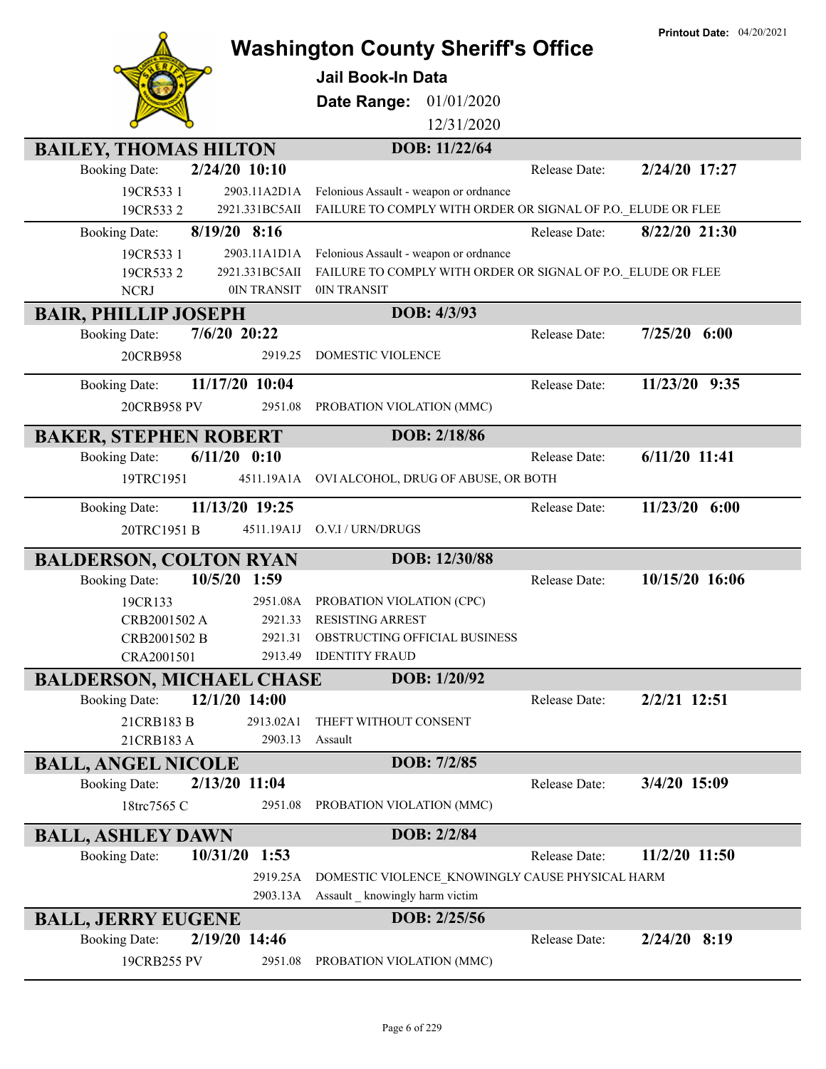|                                                         |                    |                                                              |               | <b>Printout Date: 04/20/2021</b> |
|---------------------------------------------------------|--------------------|--------------------------------------------------------------|---------------|----------------------------------|
|                                                         |                    | <b>Washington County Sheriff's Office</b>                    |               |                                  |
|                                                         |                    | <b>Jail Book-In Data</b>                                     |               |                                  |
|                                                         |                    | Date Range:<br>01/01/2020                                    |               |                                  |
|                                                         |                    | 12/31/2020                                                   |               |                                  |
| <b>BAILEY, THOMAS HILTON</b>                            |                    | DOB: 11/22/64                                                |               |                                  |
| <b>Booking Date:</b>                                    | 2/24/20 10:10      |                                                              | Release Date: | 2/24/20 17:27                    |
| 19CR533 1                                               | 2903.11A2D1A       | Felonious Assault - weapon or ordnance                       |               |                                  |
| 19CR5332                                                | 2921.331BC5AII     | FAILURE TO COMPLY WITH ORDER OR SIGNAL OF P.O. ELUDE OR FLEE |               |                                  |
| <b>Booking Date:</b>                                    | 8/19/20 8:16       |                                                              | Release Date: | 8/22/20 21:30                    |
| 19CR533 1                                               | 2903.11A1D1A       | Felonious Assault - weapon or ordnance                       |               |                                  |
| 19CR5332                                                | 2921.331BC5AII     | FAILURE TO COMPLY WITH ORDER OR SIGNAL OF P.O. ELUDE OR FLEE |               |                                  |
| <b>NCRJ</b>                                             | 0IN TRANSIT        | 0IN TRANSIT                                                  |               |                                  |
| <b>BAIR, PHILLIP JOSEPH</b>                             |                    | DOB: 4/3/93                                                  |               |                                  |
| <b>Booking Date:</b>                                    | $7/6/20$ 20:22     |                                                              | Release Date: | $7/25/20$ 6:00                   |
| 20CRB958                                                | 2919.25            | DOMESTIC VIOLENCE                                            |               |                                  |
| <b>Booking Date:</b>                                    | 11/17/20 10:04     |                                                              | Release Date: | 11/23/20 9:35                    |
| 20CRB958 PV                                             | 2951.08            | PROBATION VIOLATION (MMC)                                    |               |                                  |
| <b>BAKER, STEPHEN ROBERT</b>                            |                    | DOB: 2/18/86                                                 |               |                                  |
| <b>Booking Date:</b>                                    | $6/11/20$ $0:10$   |                                                              | Release Date: | $6/11/20$ 11:41                  |
| 19TRC1951                                               | 4511.19A1A         | OVI ALCOHOL, DRUG OF ABUSE, OR BOTH                          |               |                                  |
|                                                         |                    |                                                              |               |                                  |
| <b>Booking Date:</b>                                    | 11/13/20 19:25     |                                                              | Release Date: | $11/23/20$ 6:00                  |
| 20TRC1951 B                                             | 4511.19A1J         | O.V.I / URN/DRUGS                                            |               |                                  |
| <b>BALDERSON, COLTON RYAN</b>                           |                    | DOB: 12/30/88                                                |               |                                  |
| <b>Booking Date:</b>                                    | 10/5/20 1:59       |                                                              | Release Date: | 10/15/20 16:06                   |
| 19CR133                                                 | 2951.08A           | PROBATION VIOLATION (CPC)                                    |               |                                  |
| CRB2001502 A                                            | 2921.33            | <b>RESISTING ARREST</b>                                      |               |                                  |
| CRB2001502 B<br>CRA2001501                              | 2921.31<br>2913.49 | OBSTRUCTING OFFICIAL BUSINESS<br><b>IDENTITY FRAUD</b>       |               |                                  |
|                                                         |                    | DOB: 1/20/92                                                 |               |                                  |
| <b>BALDERSON, MICHAEL CHASE</b><br><b>Booking Date:</b> | 12/1/20 14:00      |                                                              | Release Date: | 2/2/21 12:51                     |
| 21CRB183 B                                              | 2913.02A1          |                                                              |               |                                  |
| 21CRB183 A                                              | 2903.13            | THEFT WITHOUT CONSENT<br>Assault                             |               |                                  |
| <b>BALL, ANGEL NICOLE</b>                               |                    | DOB: 7/2/85                                                  |               |                                  |
| <b>Booking Date:</b>                                    | 2/13/20 11:04      |                                                              | Release Date: | 3/4/20 15:09                     |
| 18trc7565 C                                             | 2951.08            | PROBATION VIOLATION (MMC)                                    |               |                                  |
|                                                         |                    | DOB: 2/2/84                                                  |               |                                  |
| <b>BALL, ASHLEY DAWN</b><br><b>Booking Date:</b>        | 10/31/20<br>1:53   |                                                              | Release Date: | 11/2/20 11:50                    |
|                                                         | 2919.25A           | DOMESTIC VIOLENCE_KNOWINGLY CAUSE PHYSICAL HARM              |               |                                  |
|                                                         | 2903.13A           | Assault _ knowingly harm victim                              |               |                                  |
| <b>BALL, JERRY EUGENE</b>                               |                    | DOB: 2/25/56                                                 |               |                                  |
| <b>Booking Date:</b>                                    | 2/19/20 14:46      |                                                              | Release Date: | 2/24/20 8:19                     |
| 19CRB255 PV                                             | 2951.08            | PROBATION VIOLATION (MMC)                                    |               |                                  |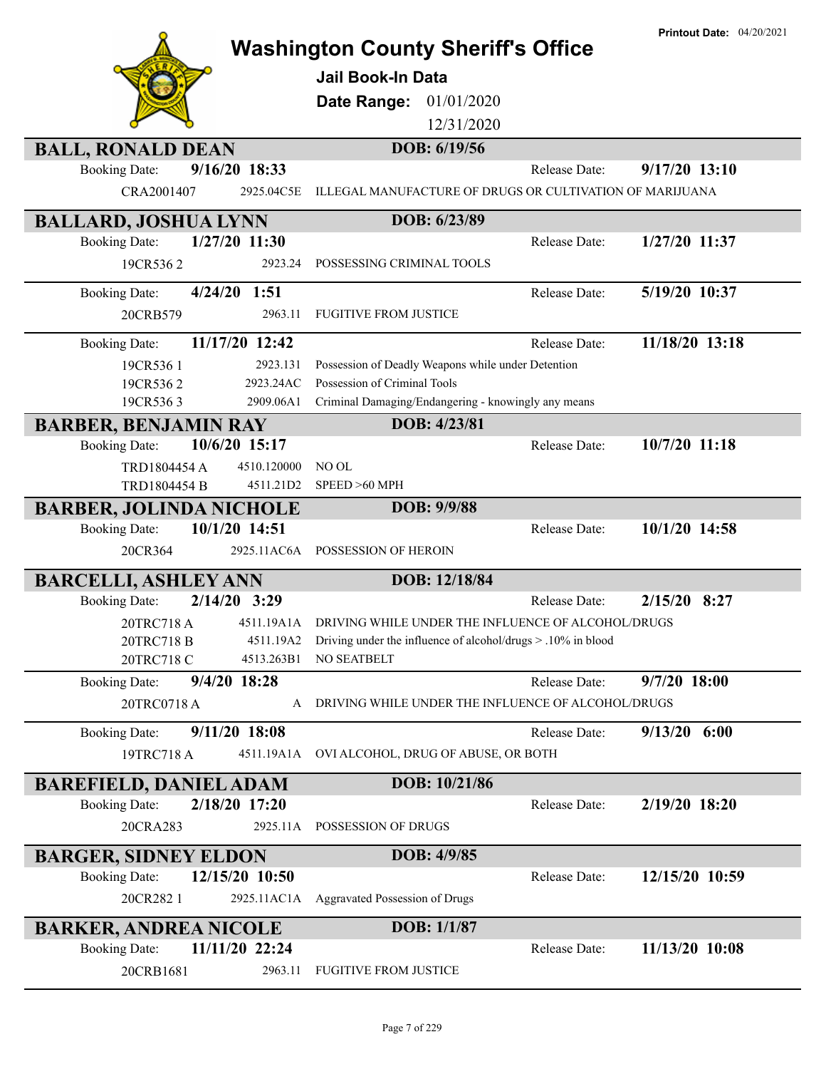|                                                                         | <b>Washington County Sheriff's Office</b>                              |               | <b>Printout Date:</b> $04/20/2021$ |
|-------------------------------------------------------------------------|------------------------------------------------------------------------|---------------|------------------------------------|
|                                                                         | <b>Jail Book-In Data</b>                                               |               |                                    |
|                                                                         | Date Range:<br>01/01/2020                                              |               |                                    |
|                                                                         | 12/31/2020                                                             |               |                                    |
| <b>BALL, RONALD DEAN</b>                                                | DOB: 6/19/56                                                           |               |                                    |
| 9/16/20 18:33<br><b>Booking Date:</b>                                   |                                                                        | Release Date: | $9/17/20$ 13:10                    |
| CRA2001407<br>2925.04C5E                                                | ILLEGAL MANUFACTURE OF DRUGS OR CULTIVATION OF MARIJUANA               |               |                                    |
| <b>BALLARD, JOSHUA LYNN</b>                                             | DOB: 6/23/89                                                           |               |                                    |
| 1/27/20 11:30<br><b>Booking Date:</b>                                   |                                                                        | Release Date: | 1/27/20 11:37                      |
| 2923.24<br>19CR5362                                                     | POSSESSING CRIMINAL TOOLS                                              |               |                                    |
| <b>Booking Date:</b><br>$4/24/20$ 1:51                                  |                                                                        | Release Date: | 5/19/20 10:37                      |
| 20CRB579<br>2963.11                                                     | <b>FUGITIVE FROM JUSTICE</b>                                           |               |                                    |
| 11/17/20 12:42<br><b>Booking Date:</b>                                  |                                                                        | Release Date: | 11/18/20 13:18                     |
| 2923.131<br>19CR5361                                                    | Possession of Deadly Weapons while under Detention                     |               |                                    |
| 2923.24AC<br>19CR5362                                                   | Possession of Criminal Tools                                           |               |                                    |
| 19CR5363<br>2909.06A1                                                   | Criminal Damaging/Endangering - knowingly any means                    |               |                                    |
| <b>BARBER, BENJAMIN RAY</b>                                             | DOB: 4/23/81                                                           |               |                                    |
| 10/6/20 15:17<br><b>Booking Date:</b>                                   |                                                                        | Release Date: | 10/7/20 11:18                      |
| TRD1804454 A<br>4510.120000                                             | NO OL                                                                  |               |                                    |
| TRD1804454 B<br>4511.21D2                                               | SPEED >60 MPH<br>DOB: 9/9/88                                           |               |                                    |
| <b>BARBER, JOLINDA NICHOLE</b><br>10/1/20 14:51<br><b>Booking Date:</b> |                                                                        | Release Date: | 10/1/20 14:58                      |
| 20CR364<br>2925.11AC6A                                                  | POSSESSION OF HEROIN                                                   |               |                                    |
| <b>BARCELLI, ASHLEY ANN</b>                                             | DOB: 12/18/84                                                          |               |                                    |
| $2/14/20$ 3:29<br><b>Booking Date:</b>                                  |                                                                        | Release Date: | $2/15/20$ 8:27                     |
| 20TRC718 A                                                              | 4511.19A1A DRIVING WHILE UNDER THE INFLUENCE OF ALCOHOL/DRUGS          |               |                                    |
| 20TRC718 B                                                              | 4511.19A2 Driving under the influence of alcohol/drugs > .10% in blood |               |                                    |
| 20TRC718 C<br>4513.263B1                                                | NO SEATBELT                                                            |               |                                    |
| 9/4/20 18:28<br><b>Booking Date:</b>                                    |                                                                        | Release Date: | 9/7/20 18:00                       |
| 20TRC0718 A<br>A                                                        | DRIVING WHILE UNDER THE INFLUENCE OF ALCOHOL/DRUGS                     |               |                                    |
| 9/11/20 18:08<br><b>Booking Date:</b>                                   |                                                                        | Release Date: | $9/13/20$ 6:00                     |
| 19TRC718 A<br>4511.19A1A                                                | OVI ALCOHOL, DRUG OF ABUSE, OR BOTH                                    |               |                                    |
| <b>BAREFIELD, DANIEL ADAM</b>                                           | DOB: 10/21/86                                                          |               |                                    |
| 2/18/20 17:20<br><b>Booking Date:</b>                                   |                                                                        | Release Date: | 2/19/20 18:20                      |
| 2925.11A<br>20CRA283                                                    | POSSESSION OF DRUGS                                                    |               |                                    |
| <b>BARGER, SIDNEY ELDON</b>                                             | DOB: 4/9/85                                                            |               |                                    |
| 12/15/20 10:50<br><b>Booking Date:</b>                                  |                                                                        | Release Date: | 12/15/20 10:59                     |
| 20CR282 1                                                               | 2925.11AC1A Aggravated Possession of Drugs                             |               |                                    |
| <b>BARKER, ANDREA NICOLE</b>                                            | DOB: 1/1/87                                                            |               |                                    |
| 11/11/20 22:24<br><b>Booking Date:</b>                                  |                                                                        | Release Date: | 11/13/20 10:08                     |
| 2963.11<br>20CRB1681                                                    | <b>FUGITIVE FROM JUSTICE</b>                                           |               |                                    |

## **Printout Date:** 04/20/2021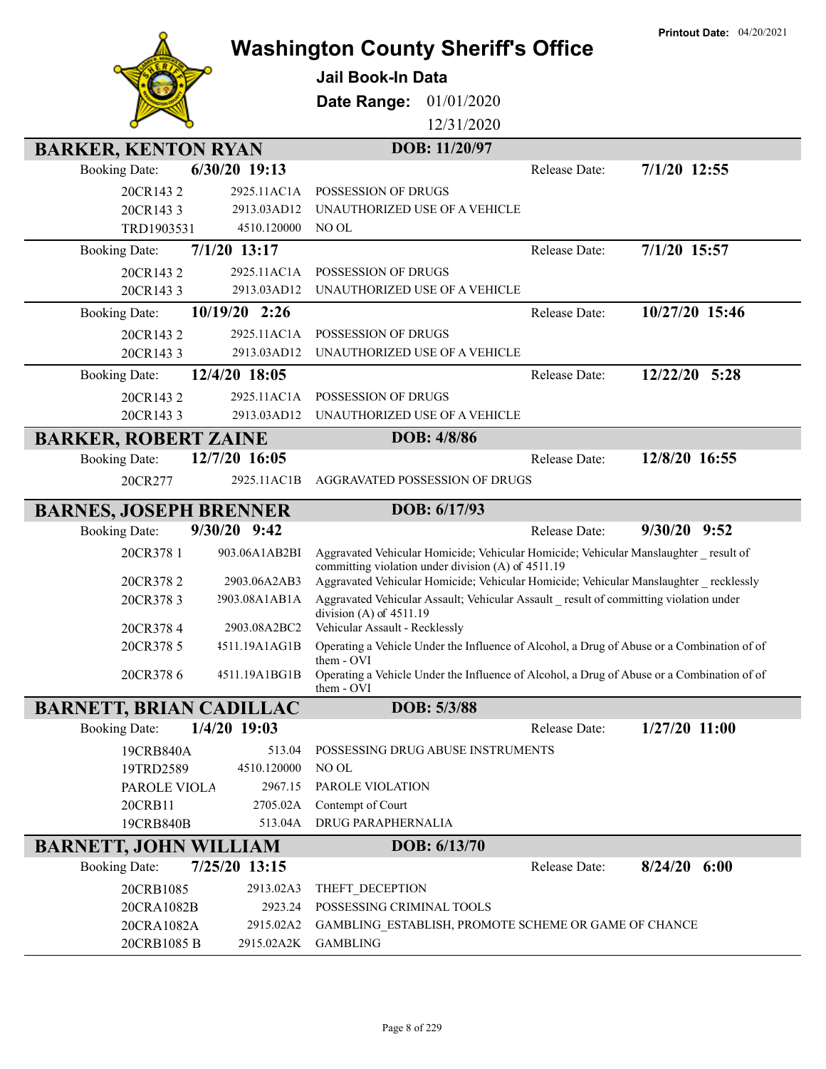|                                |                               | <b>Washington County Sheriff's Office</b>                                                                                                             |               | <b>Printout Date: 04/20/2021</b> |
|--------------------------------|-------------------------------|-------------------------------------------------------------------------------------------------------------------------------------------------------|---------------|----------------------------------|
|                                |                               |                                                                                                                                                       |               |                                  |
|                                |                               | <b>Jail Book-In Data</b>                                                                                                                              |               |                                  |
|                                |                               | Date Range:<br>01/01/2020                                                                                                                             |               |                                  |
|                                |                               | 12/31/2020                                                                                                                                            |               |                                  |
| <b>BARKER, KENTON RYAN</b>     |                               | DOB: 11/20/97                                                                                                                                         |               |                                  |
| <b>Booking Date:</b>           | 6/30/20 19:13                 |                                                                                                                                                       | Release Date: | $7/1/20$ 12:55                   |
| 20CR1432                       | 2925.11AC1A                   | POSSESSION OF DRUGS                                                                                                                                   |               |                                  |
| 20CR1433                       | 2913.03AD12                   | UNAUTHORIZED USE OF A VEHICLE                                                                                                                         |               |                                  |
| TRD1903531                     | 4510.120000                   | NO OL                                                                                                                                                 |               |                                  |
| <b>Booking Date:</b>           | 7/1/20 13:17                  |                                                                                                                                                       | Release Date: | 7/1/20 15:57                     |
| 20CR1432                       | 2925.11AC1A                   | POSSESSION OF DRUGS                                                                                                                                   |               |                                  |
| 20CR1433                       | 2913.03AD12                   | UNAUTHORIZED USE OF A VEHICLE                                                                                                                         |               |                                  |
| <b>Booking Date:</b>           | 10/19/20 2:26                 |                                                                                                                                                       | Release Date: | 10/27/20 15:46                   |
| 20CR1432                       | 2925.11AC1A                   | POSSESSION OF DRUGS                                                                                                                                   |               |                                  |
| 20CR1433                       | 2913.03AD12                   | UNAUTHORIZED USE OF A VEHICLE                                                                                                                         |               |                                  |
| <b>Booking Date:</b>           | 12/4/20 18:05                 |                                                                                                                                                       | Release Date: | 12/22/20 5:28                    |
| 20CR1432                       | 2925.11AC1A                   | POSSESSION OF DRUGS                                                                                                                                   |               |                                  |
| 20CR1433                       | 2913.03AD12                   | UNAUTHORIZED USE OF A VEHICLE                                                                                                                         |               |                                  |
| <b>BARKER, ROBERT ZAINE</b>    |                               | DOB: 4/8/86                                                                                                                                           |               |                                  |
| <b>Booking Date:</b>           | 12/7/20 16:05                 |                                                                                                                                                       | Release Date: | 12/8/20 16:55                    |
| 20CR277                        | 2925.11AC1B                   | AGGRAVATED POSSESSION OF DRUGS                                                                                                                        |               |                                  |
| <b>BARNES, JOSEPH BRENNER</b>  |                               | DOB: 6/17/93                                                                                                                                          |               |                                  |
| <b>Booking Date:</b>           | $9/30/20$ $9:42$              |                                                                                                                                                       | Release Date: | $9/30/20$ $9:52$                 |
| 20CR378 1                      | 903.06A1AB2BI                 | Aggravated Vehicular Homicide; Vehicular Homicide; Vehicular Manslaughter result of<br>committing violation under division (A) of 4511.19             |               |                                  |
| 20CR3782                       | 2903.06A2AB3                  | Aggravated Vehicular Homicide; Vehicular Homicide; Vehicular Manslaughter recklessly                                                                  |               |                                  |
| 20CR3783<br>20CR3784           | 2903.08A1AB1A<br>2903.08A2BC2 | Aggravated Vehicular Assault; Vehicular Assault result of committing violation under<br>division $(A)$ of $4511.19$<br>Vehicular Assault - Recklessly |               |                                  |
| 20CR378 5                      | 4511.19A1AG1B                 | Operating a Vehicle Under the Influence of Alcohol, a Drug of Abuse or a Combination of of                                                            |               |                                  |
|                                |                               | them - OVI                                                                                                                                            |               |                                  |
| 20CR3786                       | 4511.19A1BG1B                 | Operating a Vehicle Under the Influence of Alcohol, a Drug of Abuse or a Combination of of<br>them - OVI                                              |               |                                  |
| <b>BARNETT, BRIAN CADILLAC</b> |                               | DOB: 5/3/88                                                                                                                                           |               |                                  |
| <b>Booking Date:</b>           | 1/4/20 19:03                  |                                                                                                                                                       | Release Date: | $1/27/20$ 11:00                  |
| 19CRB840A                      | 513.04                        | POSSESSING DRUG ABUSE INSTRUMENTS                                                                                                                     |               |                                  |
| 19TRD2589                      | 4510.120000                   | NO OL                                                                                                                                                 |               |                                  |
| PAROLE VIOLA                   | 2967.15                       | PAROLE VIOLATION                                                                                                                                      |               |                                  |
| 20CRB11                        | 2705.02A                      | Contempt of Court                                                                                                                                     |               |                                  |
| 19CRB840B                      | 513.04A                       | DRUG PARAPHERNALIA                                                                                                                                    |               |                                  |
| <b>BARNETT, JOHN WILLIAM</b>   |                               | DOB: 6/13/70                                                                                                                                          |               |                                  |
| <b>Booking Date:</b>           | 7/25/20 13:15                 |                                                                                                                                                       | Release Date: | $8/24/20$ 6:00                   |
| 20CRB1085                      | 2913.02A3                     | THEFT_DECEPTION                                                                                                                                       |               |                                  |
| 20CRA1082B                     | 2923.24                       | POSSESSING CRIMINAL TOOLS                                                                                                                             |               |                                  |
| 20CRA1082A<br>20CRB1085 B      | 2915.02A2<br>2915.02A2K       | GAMBLING_ESTABLISH, PROMOTE SCHEME OR GAME OF CHANCE<br><b>GAMBLING</b>                                                                               |               |                                  |
|                                |                               |                                                                                                                                                       |               |                                  |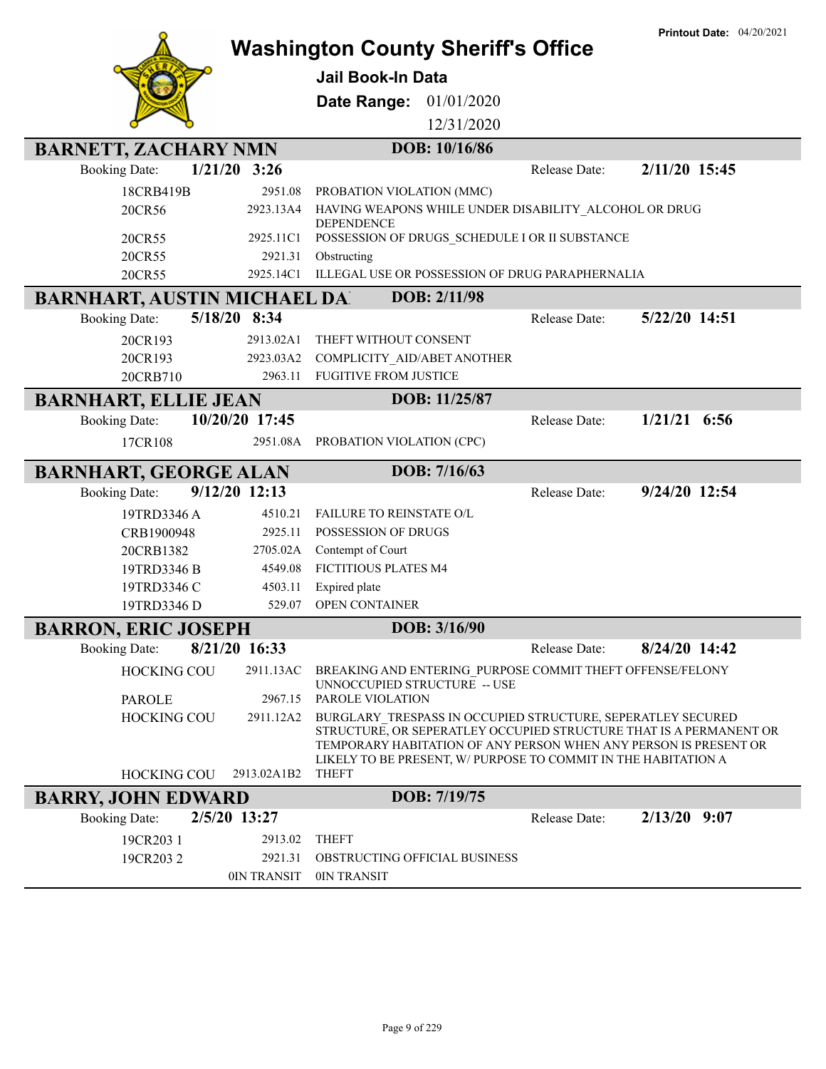|                                    |                |                                                                                                                                    |               | <b>Printout Date: 04/20/2021</b> |
|------------------------------------|----------------|------------------------------------------------------------------------------------------------------------------------------------|---------------|----------------------------------|
|                                    |                | <b>Washington County Sheriff's Office</b>                                                                                          |               |                                  |
|                                    |                | <b>Jail Book-In Data</b>                                                                                                           |               |                                  |
|                                    |                | 01/01/2020<br>Date Range:                                                                                                          |               |                                  |
|                                    |                | 12/31/2020                                                                                                                         |               |                                  |
| <b>BARNETT, ZACHARY NMN</b>        |                | DOB: 10/16/86                                                                                                                      |               |                                  |
| <b>Booking Date:</b>               | $1/21/20$ 3:26 |                                                                                                                                    | Release Date: | 2/11/20 15:45                    |
| 18CRB419B                          | 2951.08        | PROBATION VIOLATION (MMC)                                                                                                          |               |                                  |
| 20CR56                             | 2923.13A4      | HAVING WEAPONS WHILE UNDER DISABILITY ALCOHOL OR DRUG                                                                              |               |                                  |
| 20CR55                             | 2925.11C1      | <b>DEPENDENCE</b><br>POSSESSION OF DRUGS_SCHEDULE I OR II SUBSTANCE                                                                |               |                                  |
| 20CR55                             | 2921.31        | Obstructing                                                                                                                        |               |                                  |
| 20CR55                             | 2925.14C1      | ILLEGAL USE OR POSSESSION OF DRUG PARAPHERNALIA                                                                                    |               |                                  |
| <b>BARNHART, AUSTIN MICHAEL DA</b> |                | DOB: 2/11/98                                                                                                                       |               |                                  |
| <b>Booking Date:</b>               | 5/18/20 8:34   |                                                                                                                                    | Release Date: | 5/22/20 14:51                    |
| 20CR193                            | 2913.02A1      | THEFT WITHOUT CONSENT                                                                                                              |               |                                  |
| 20CR193                            | 2923.03A2      | COMPLICITY AID/ABET ANOTHER                                                                                                        |               |                                  |
| 20CRB710                           | 2963.11        | <b>FUGITIVE FROM JUSTICE</b>                                                                                                       |               |                                  |
| <b>BARNHART, ELLIE JEAN</b>        |                | DOB: 11/25/87                                                                                                                      |               |                                  |
| <b>Booking Date:</b>               | 10/20/20 17:45 |                                                                                                                                    | Release Date: | $1/21/21$ 6:56                   |
| 17CR108                            | 2951.08A       | PROBATION VIOLATION (CPC)                                                                                                          |               |                                  |
| <b>BARNHART, GEORGE ALAN</b>       |                | DOB: 7/16/63                                                                                                                       |               |                                  |
| <b>Booking Date:</b>               | 9/12/20 12:13  |                                                                                                                                    | Release Date: | 9/24/20 12:54                    |
| 19TRD3346 A                        | 4510.21        | FAILURE TO REINSTATE O/L                                                                                                           |               |                                  |
| CRB1900948                         | 2925.11        | POSSESSION OF DRUGS                                                                                                                |               |                                  |
| 20CRB1382                          | 2705.02A       | Contempt of Court                                                                                                                  |               |                                  |
| 19TRD3346 B                        | 4549.08        | <b>FICTITIOUS PLATES M4</b>                                                                                                        |               |                                  |
| 19TRD3346 C                        | 4503.11        | Expired plate                                                                                                                      |               |                                  |
| 19TRD3346 D                        | 529.07         | OPEN CONTAINER                                                                                                                     |               |                                  |
| <b>BARRON, ERIC JOSEPH</b>         |                | DOB: 3/16/90                                                                                                                       |               |                                  |
| <b>Booking Date:</b>               | 8/21/20 16:33  |                                                                                                                                    | Release Date: | 8/24/20 14:42                    |
| <b>HOCKING COU</b>                 | 2911.13AC      | BREAKING AND ENTERING PURPOSE COMMIT THEFT OFFENSE/FELONY                                                                          |               |                                  |
| <b>PAROLE</b>                      | 2967.15        | UNNOCCUPIED STRUCTURE -- USE<br>PAROLE VIOLATION                                                                                   |               |                                  |
| <b>HOCKING COU</b>                 | 2911.12A2      | BURGLARY_TRESPASS IN OCCUPIED STRUCTURE, SEPERATLEY SECURED                                                                        |               |                                  |
|                                    |                | STRUCTURE, OR SEPERATLEY OCCUPIED STRUCTURE THAT IS A PERMANENT OR                                                                 |               |                                  |
|                                    |                | TEMPORARY HABITATION OF ANY PERSON WHEN ANY PERSON IS PRESENT OR<br>LIKELY TO BE PRESENT, W/ PURPOSE TO COMMIT IN THE HABITATION A |               |                                  |
| <b>HOCKING COU</b>                 | 2913.02A1B2    | <b>THEFT</b>                                                                                                                       |               |                                  |
| <b>BARRY, JOHN EDWARD</b>          |                | DOB: 7/19/75                                                                                                                       |               |                                  |
|                                    |                |                                                                                                                                    |               |                                  |
| <b>Booking Date:</b>               | 2/5/20 13:27   |                                                                                                                                    | Release Date: | $2/13/20$ 9:07                   |
| 19CR203 1                          | 2913.02        | <b>THEFT</b>                                                                                                                       |               |                                  |
| 19CR2032                           | 2921.31        | OBSTRUCTING OFFICIAL BUSINESS                                                                                                      |               |                                  |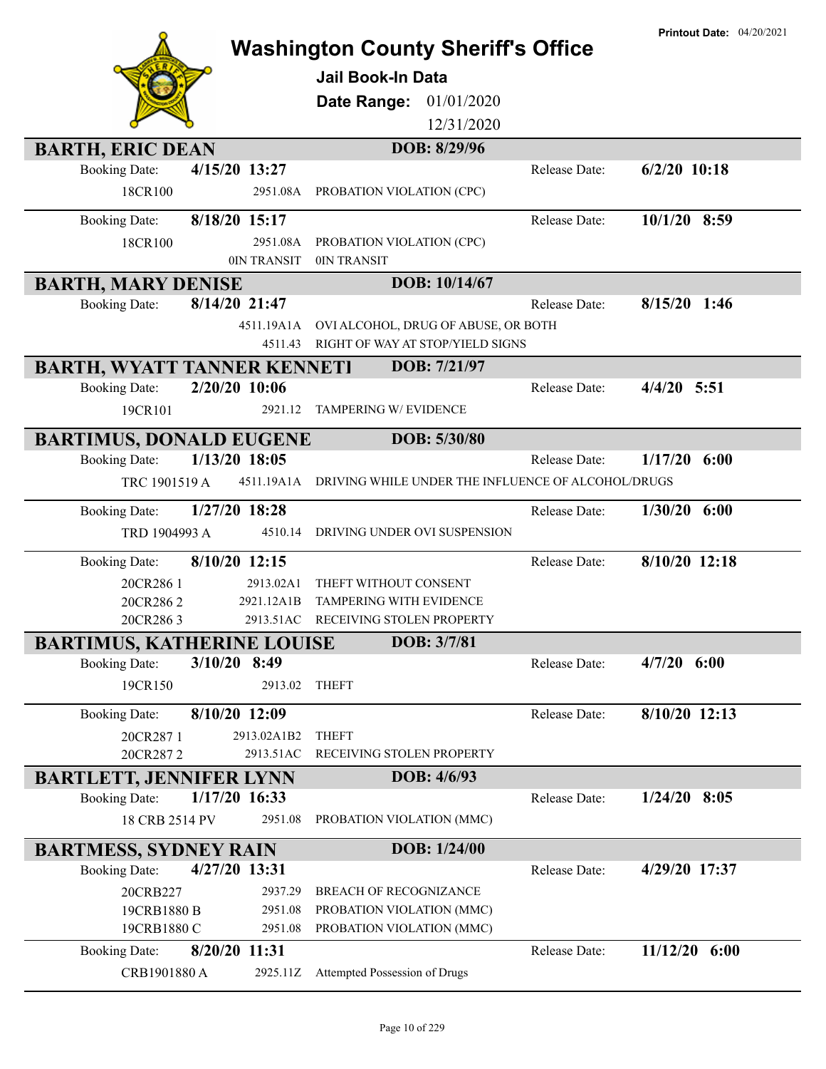|                                                           |                           | <b>Washington County Sheriff's Office</b>                               |               | <b>Printout Date: 04/20/2021</b> |
|-----------------------------------------------------------|---------------------------|-------------------------------------------------------------------------|---------------|----------------------------------|
|                                                           |                           | <b>Jail Book-In Data</b>                                                |               |                                  |
|                                                           |                           | Date Range:<br>01/01/2020                                               |               |                                  |
|                                                           |                           | 12/31/2020                                                              |               |                                  |
| <b>BARTH, ERIC DEAN</b>                                   |                           | DOB: 8/29/96                                                            |               |                                  |
| <b>Booking Date:</b><br>18CR100                           | 4/15/20 13:27<br>2951.08A | PROBATION VIOLATION (CPC)                                               | Release Date: | $6/2/20$ 10:18                   |
| <b>Booking Date:</b>                                      | 8/18/20 15:17             |                                                                         | Release Date: | 10/1/20 8:59                     |
| 18CR100                                                   | 2951.08A<br>0IN TRANSIT   | PROBATION VIOLATION (CPC)<br>0IN TRANSIT                                |               |                                  |
| <b>BARTH, MARY DENISE</b>                                 |                           | DOB: 10/14/67                                                           |               |                                  |
| <b>Booking Date:</b>                                      | 8/14/20 21:47             |                                                                         | Release Date: | $8/15/20$ 1:46                   |
|                                                           | 4511.19A1A<br>4511.43     | OVI ALCOHOL, DRUG OF ABUSE, OR BOTH<br>RIGHT OF WAY AT STOP/YIELD SIGNS |               |                                  |
| <b>BARTH, WYATT TANNER KENNETI</b>                        |                           | DOB: 7/21/97                                                            |               |                                  |
| <b>Booking Date:</b>                                      | 2/20/20 10:06             |                                                                         | Release Date: | $4/4/20$ 5:51                    |
| 19CR101                                                   | 2921.12                   | TAMPERING W/ EVIDENCE                                                   |               |                                  |
| <b>BARTIMUS, DONALD EUGENE</b>                            |                           | DOB: 5/30/80                                                            |               |                                  |
| <b>Booking Date:</b>                                      | 1/13/20 18:05             |                                                                         | Release Date: | 1/17/20<br>6:00                  |
| TRC 1901519 A                                             | 4511.19A1A                | DRIVING WHILE UNDER THE INFLUENCE OF ALCOHOL/DRUGS                      |               |                                  |
| <b>Booking Date:</b>                                      | 1/27/20 18:28             |                                                                         | Release Date: | $1/30/20$ 6:00                   |
| TRD 1904993 A                                             | 4510.14                   | DRIVING UNDER OVI SUSPENSION                                            |               |                                  |
| <b>Booking Date:</b>                                      | 8/10/20 12:15             |                                                                         | Release Date: | 8/10/20 12:18                    |
| 20CR286 1                                                 | 2913.02A1                 | THEFT WITHOUT CONSENT                                                   |               |                                  |
| 20CR2862                                                  | 2921.12A1B                | <b>TAMPERING WITH EVIDENCE</b>                                          |               |                                  |
| 20CR2863                                                  | 2913.51AC                 | RECEIVING STOLEN PROPERTY<br>DOB: 3/7/81                                |               |                                  |
| <b>BARTIMUS, KATHERINE LOUISE</b><br><b>Booking Date:</b> | 3/10/20 8:49              |                                                                         | Release Date: | $4/7/20$ 6:00                    |
| 19CR150                                                   | 2913.02                   | <b>THEFT</b>                                                            |               |                                  |
|                                                           |                           |                                                                         |               |                                  |
| <b>Booking Date:</b>                                      | 8/10/20 12:09             |                                                                         | Release Date: | 8/10/20 12:13                    |
| 20CR2871<br>20CR2872                                      | 2913.02A1B2<br>2913.51AC  | <b>THEFT</b><br>RECEIVING STOLEN PROPERTY                               |               |                                  |
| <b>BARTLETT, JENNIFER LYNN</b>                            |                           | DOB: 4/6/93                                                             |               |                                  |
| <b>Booking Date:</b>                                      | 1/17/20 16:33             |                                                                         | Release Date: | $1/24/20$ 8:05                   |
| 18 CRB 2514 PV                                            | 2951.08                   | PROBATION VIOLATION (MMC)                                               |               |                                  |
| <b>BARTMESS, SYDNEY RAIN</b>                              |                           | DOB: 1/24/00                                                            |               |                                  |
| <b>Booking Date:</b>                                      | 4/27/20 13:31             |                                                                         | Release Date: | 4/29/20 17:37                    |
| 20CRB227                                                  | 2937.29                   | <b>BREACH OF RECOGNIZANCE</b>                                           |               |                                  |
| 19CRB1880 B                                               | 2951.08                   | PROBATION VIOLATION (MMC)                                               |               |                                  |
| 19CRB1880 C                                               | 2951.08                   | PROBATION VIOLATION (MMC)                                               |               |                                  |
| <b>Booking Date:</b>                                      | 8/20/20 11:31             |                                                                         | Release Date: | 11/12/20 6:00                    |
| CRB1901880 A                                              | 2925.11Z                  | Attempted Possession of Drugs                                           |               |                                  |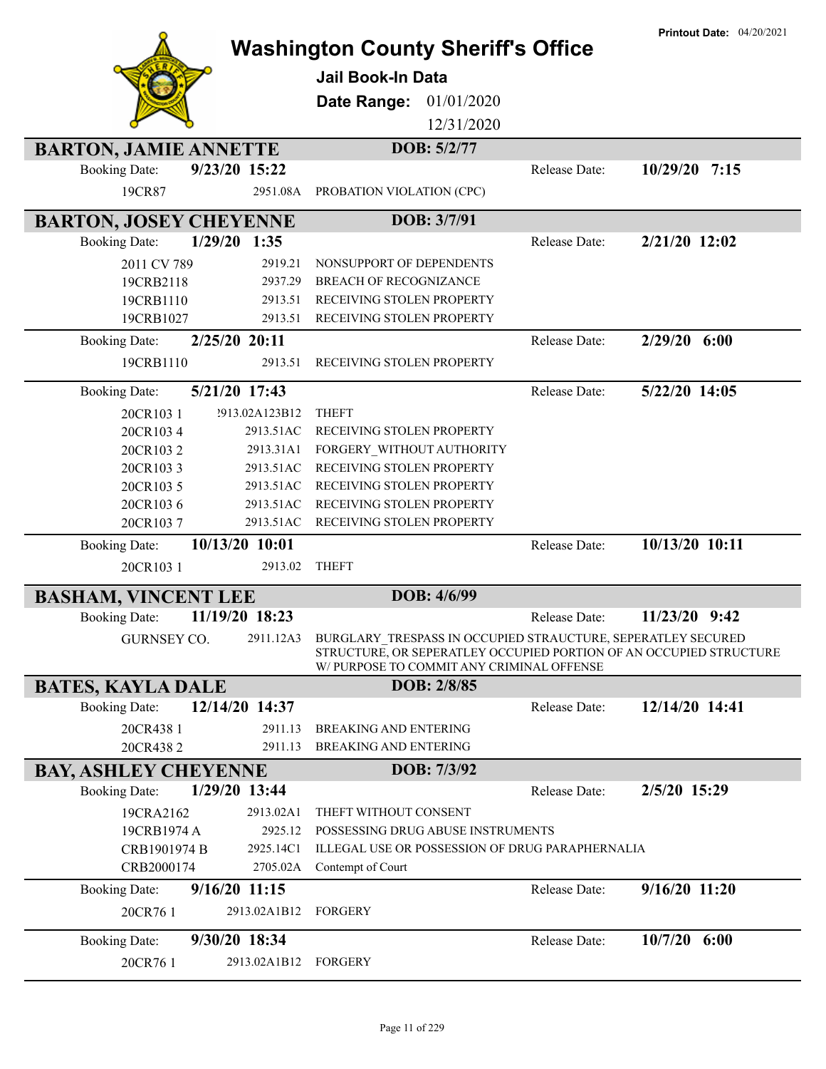|                                                               | <b>Washington County Sheriff's Office</b>                                                                                                                                       |               | <b>Printout Date: 04/20/2021</b> |
|---------------------------------------------------------------|---------------------------------------------------------------------------------------------------------------------------------------------------------------------------------|---------------|----------------------------------|
|                                                               | <b>Jail Book-In Data</b>                                                                                                                                                        |               |                                  |
|                                                               | Date Range:<br>01/01/2020                                                                                                                                                       |               |                                  |
|                                                               | 12/31/2020                                                                                                                                                                      |               |                                  |
| <b>BARTON, JAMIE ANNETTE</b>                                  | DOB: 5/2/77                                                                                                                                                                     |               |                                  |
| 9/23/20 15:22<br><b>Booking Date:</b>                         |                                                                                                                                                                                 | Release Date: | 10/29/20 7:15                    |
| 19CR87<br>2951.08A                                            | PROBATION VIOLATION (CPC)                                                                                                                                                       |               |                                  |
| <b>BARTON, JOSEY CHEYENNE</b>                                 | DOB: 3/7/91                                                                                                                                                                     |               |                                  |
| $1/29/20$ 1:35<br><b>Booking Date:</b>                        |                                                                                                                                                                                 | Release Date: | 2/21/20 12:02                    |
| 2919.21<br>2011 CV 789                                        | NONSUPPORT OF DEPENDENTS                                                                                                                                                        |               |                                  |
| 2937.29<br>19CRB2118                                          | <b>BREACH OF RECOGNIZANCE</b>                                                                                                                                                   |               |                                  |
| 2913.51<br>19CRB1110                                          | RECEIVING STOLEN PROPERTY                                                                                                                                                       |               |                                  |
| 19CRB1027<br>2913.51                                          | RECEIVING STOLEN PROPERTY                                                                                                                                                       |               |                                  |
| 2/25/20 20:11<br><b>Booking Date:</b>                         |                                                                                                                                                                                 | Release Date: | $2/29/20$ 6:00                   |
| 19CRB1110<br>2913.51                                          | RECEIVING STOLEN PROPERTY                                                                                                                                                       |               |                                  |
| 5/21/20 17:43<br><b>Booking Date:</b>                         |                                                                                                                                                                                 | Release Date: | 5/22/20 14:05                    |
| ?913.02A123B12<br>20CR1031                                    | <b>THEFT</b>                                                                                                                                                                    |               |                                  |
| 2913.51AC<br>20CR1034                                         | RECEIVING STOLEN PROPERTY                                                                                                                                                       |               |                                  |
| 20CR1032<br>2913.31A1                                         | FORGERY_WITHOUT AUTHORITY                                                                                                                                                       |               |                                  |
| 2913.51AC<br>20CR1033                                         | RECEIVING STOLEN PROPERTY                                                                                                                                                       |               |                                  |
| 2913.51AC<br>20CR103 5                                        | RECEIVING STOLEN PROPERTY                                                                                                                                                       |               |                                  |
| 2913.51AC<br>20CR1036<br>2913.51AC<br>20CR1037                | RECEIVING STOLEN PROPERTY<br>RECEIVING STOLEN PROPERTY                                                                                                                          |               |                                  |
|                                                               |                                                                                                                                                                                 | Release Date: | 10/13/20 10:11                   |
| 10/13/20 10:01<br><b>Booking Date:</b><br>20CR1031<br>2913.02 | <b>THEFT</b>                                                                                                                                                                    |               |                                  |
|                                                               |                                                                                                                                                                                 |               |                                  |
| <b>BASHAM, VINCENT LEE</b>                                    | DOB: 4/6/99                                                                                                                                                                     |               |                                  |
| 11/19/20 18:23<br><b>Booking Date:</b>                        |                                                                                                                                                                                 | Release Date: | 11/23/20 9:42                    |
| <b>GURNSEY CO.</b><br>2911.12A3                               | BURGLARY_TRESPASS IN OCCUPIED STRAUCTURE, SEPERATLEY SECURED<br>STRUCTURE, OR SEPERATLEY OCCUPIED PORTION OF AN OCCUPIED STRUCTURE<br>W/ PURPOSE TO COMMIT ANY CRIMINAL OFFENSE |               |                                  |
| <b>BATES, KAYLA DALE</b>                                      | DOB: 2/8/85                                                                                                                                                                     |               |                                  |
| 12/14/20 14:37<br><b>Booking Date:</b>                        |                                                                                                                                                                                 | Release Date: | 12/14/20 14:41                   |
| 20CR438 1<br>2911.13                                          | <b>BREAKING AND ENTERING</b>                                                                                                                                                    |               |                                  |
| 20CR4382<br>2911.13                                           | <b>BREAKING AND ENTERING</b>                                                                                                                                                    |               |                                  |
| <b>BAY, ASHLEY CHEYENNE</b>                                   | DOB: 7/3/92                                                                                                                                                                     |               |                                  |
| 1/29/20 13:44<br><b>Booking Date:</b>                         |                                                                                                                                                                                 | Release Date: | 2/5/20 15:29                     |
| 19CRA2162<br>2913.02A1                                        | THEFT WITHOUT CONSENT                                                                                                                                                           |               |                                  |
| 2925.12<br>19CRB1974 A                                        | POSSESSING DRUG ABUSE INSTRUMENTS                                                                                                                                               |               |                                  |
| 2925.14C1<br>CRB1901974 B                                     | ILLEGAL USE OR POSSESSION OF DRUG PARAPHERNALIA                                                                                                                                 |               |                                  |
| CRB2000174<br>2705.02A                                        | Contempt of Court                                                                                                                                                               |               |                                  |
| $9/16/20$ 11:15<br><b>Booking Date:</b>                       |                                                                                                                                                                                 | Release Date: | 9/16/20 11:20                    |
| 2913.02A1B12<br>20CR76 1                                      | <b>FORGERY</b>                                                                                                                                                                  |               |                                  |
| 9/30/20 18:34<br><b>Booking Date:</b>                         |                                                                                                                                                                                 | Release Date: | $10/7/20$ 6:00                   |
| 20CR76 1<br>2913.02A1B12 FORGERY                              |                                                                                                                                                                                 |               |                                  |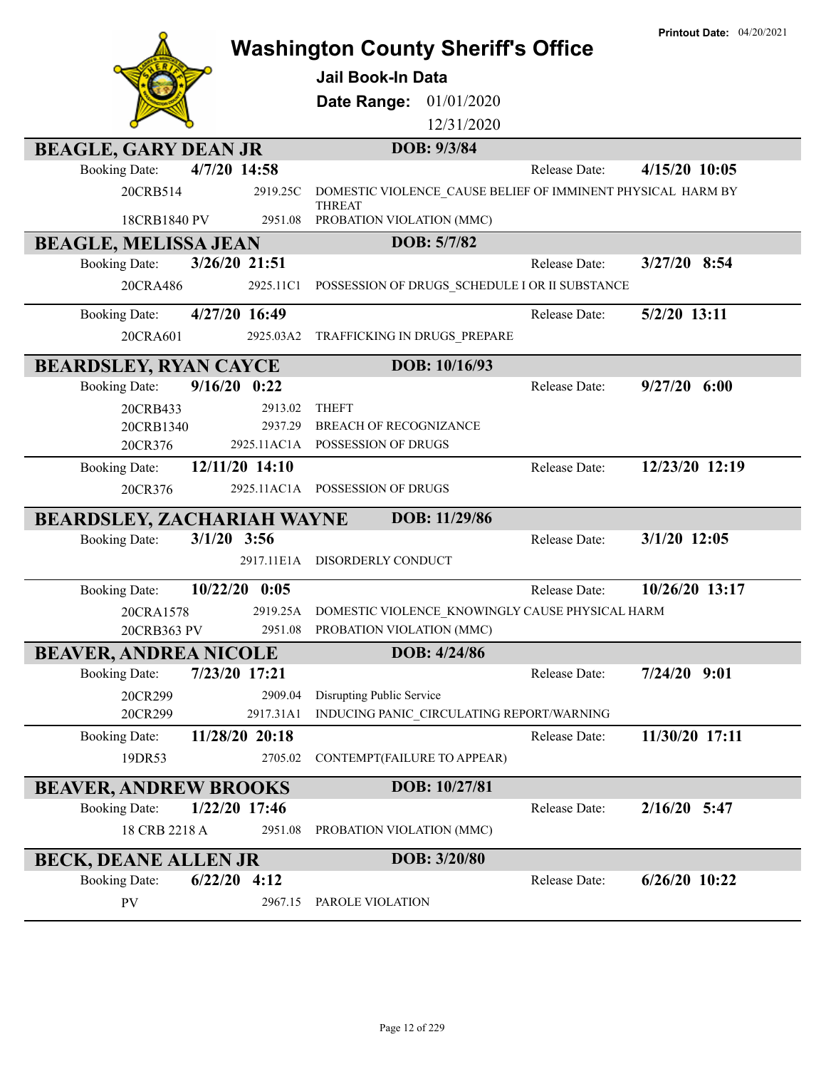|                                                                     | <b>Washington County Sheriff's Office</b><br><b>Jail Book-In Data</b> | <b>Printout Date: 04/20/2021</b> |
|---------------------------------------------------------------------|-----------------------------------------------------------------------|----------------------------------|
|                                                                     | Date Range:<br>01/01/2020                                             |                                  |
|                                                                     | 12/31/2020                                                            |                                  |
|                                                                     | DOB: 9/3/84                                                           |                                  |
| <b>BEAGLE, GARY DEAN JR</b><br>4/7/20 14:58<br><b>Booking Date:</b> | Release Date:                                                         | $4/15/20$ 10:05                  |
| 20CRB514<br>2919.25C                                                | DOMESTIC VIOLENCE_CAUSE BELIEF OF IMMINENT PHYSICAL HARM BY           |                                  |
| 2951.08                                                             | <b>THREAT</b>                                                         |                                  |
| 18CRB1840 PV                                                        | PROBATION VIOLATION (MMC)                                             |                                  |
| <b>BEAGLE, MELISSA JEAN</b><br>3/26/20 21:51                        | DOB: 5/7/82<br>Release Date:                                          |                                  |
| <b>Booking Date:</b>                                                |                                                                       | $3/27/20$ 8:54                   |
| 20CRA486<br>2925.11C1                                               | POSSESSION OF DRUGS_SCHEDULE I OR II SUBSTANCE                        |                                  |
| 4/27/20 16:49<br><b>Booking Date:</b>                               | Release Date:                                                         | 5/2/20 13:11                     |
| 20CRA601<br>2925.03A2                                               | TRAFFICKING IN DRUGS_PREPARE                                          |                                  |
| <b>BEARDSLEY, RYAN CAYCE</b>                                        | DOB: 10/16/93                                                         |                                  |
| $9/16/20$ 0:22<br><b>Booking Date:</b>                              | Release Date:                                                         | $9/27/20$ 6:00                   |
| 2913.02<br>20CRB433                                                 | <b>THEFT</b>                                                          |                                  |
| 2937.29<br>20CRB1340                                                | BREACH OF RECOGNIZANCE                                                |                                  |
| 20CR376                                                             | 2925.11AC1A POSSESSION OF DRUGS                                       |                                  |
| 12/11/20 14:10<br><b>Booking Date:</b>                              | Release Date:                                                         | 12/23/20 12:19                   |
| 20CR376                                                             | 2925.11AC1A POSSESSION OF DRUGS                                       |                                  |
| <b>BEARDSLEY, ZACHARIAH WAYNE</b>                                   | DOB: 11/29/86                                                         |                                  |
| $3/1/20$ 3:56<br><b>Booking Date:</b>                               | Release Date:                                                         | $3/1/20$ 12:05                   |
|                                                                     | 2917.11E1A DISORDERLY CONDUCT                                         |                                  |
| 10/22/20<br>0:05<br><b>Booking Date:</b>                            | Release Date:                                                         | 10/26/20 13:17                   |
| 2919.25A<br>20CRA1578                                               | DOMESTIC VIOLENCE KNOWINGLY CAUSE PHYSICAL HARM                       |                                  |
| 2951.08<br>20CRB363 PV                                              | PROBATION VIOLATION (MMC)                                             |                                  |
| <b>BEAVER, ANDREA NICOLE</b>                                        | DOB: 4/24/86                                                          |                                  |
| 7/23/20 17:21<br><b>Booking Date:</b>                               | Release Date:                                                         | $7/24/20$ 9:01                   |
| 2909.04<br>20CR299                                                  | Disrupting Public Service                                             |                                  |
| 20CR299<br>2917.31A1                                                | INDUCING PANIC_CIRCULATING REPORT/WARNING                             |                                  |
| 11/28/20 20:18<br><b>Booking Date:</b>                              | Release Date:                                                         | 11/30/20 17:11                   |
| 2705.02<br>19DR53                                                   | CONTEMPT(FAILURE TO APPEAR)                                           |                                  |
| <b>BEAVER, ANDREW BROOKS</b>                                        | DOB: 10/27/81                                                         |                                  |
| 1/22/20 17:46<br><b>Booking Date:</b>                               | Release Date:                                                         | $2/16/20$ 5:47                   |
| 18 CRB 2218 A<br>2951.08                                            | PROBATION VIOLATION (MMC)                                             |                                  |
| <b>BECK, DEANE ALLEN JR</b>                                         | DOB: 3/20/80                                                          |                                  |
| <b>Booking Date:</b><br>$6/22/20$ 4:12                              | Release Date:                                                         | $6/26/20$ 10:22                  |
| PV<br>2967.15                                                       | PAROLE VIOLATION                                                      |                                  |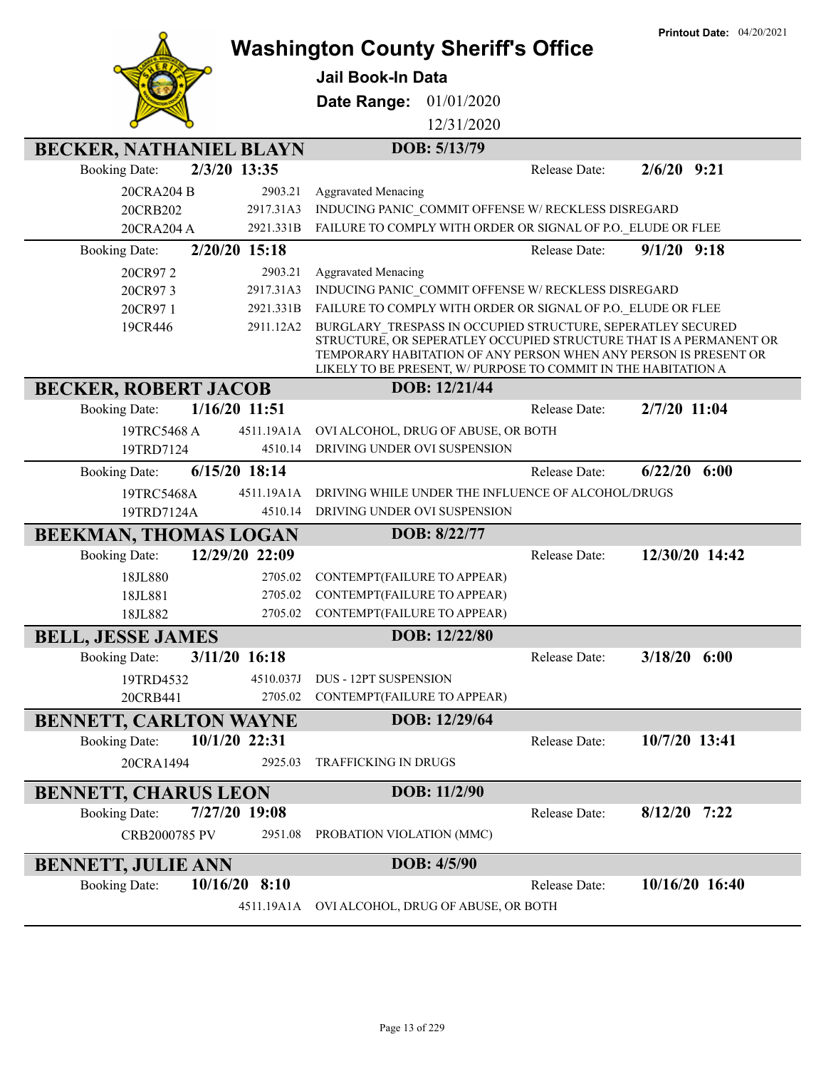|                                                | <b>Washington County Sheriff's Office</b>                                                                                                                                                                                                                               | <b>Printout Date: 04/20/2021</b> |
|------------------------------------------------|-------------------------------------------------------------------------------------------------------------------------------------------------------------------------------------------------------------------------------------------------------------------------|----------------------------------|
|                                                | <b>Jail Book-In Data</b>                                                                                                                                                                                                                                                |                                  |
|                                                |                                                                                                                                                                                                                                                                         |                                  |
|                                                | 01/01/2020<br>Date Range:<br>12/31/2020                                                                                                                                                                                                                                 |                                  |
|                                                |                                                                                                                                                                                                                                                                         |                                  |
| <b>BECKER, NATHANIEL BLAYN</b>                 | DOB: 5/13/79                                                                                                                                                                                                                                                            |                                  |
| 2/3/20 13:35<br><b>Booking Date:</b>           | Release Date:                                                                                                                                                                                                                                                           | $2/6/20$ 9:21                    |
| 20CRA204 B<br>2903.21<br>20CRB202<br>2917.31A3 | <b>Aggravated Menacing</b><br>INDUCING PANIC COMMIT OFFENSE W/ RECKLESS DISREGARD                                                                                                                                                                                       |                                  |
| 2921.331B<br>20CRA204 A                        | FAILURE TO COMPLY WITH ORDER OR SIGNAL OF P.O. ELUDE OR FLEE                                                                                                                                                                                                            |                                  |
| 2/20/20 15:18<br><b>Booking Date:</b>          | Release Date:                                                                                                                                                                                                                                                           | $9/1/20$ $9:18$                  |
| 2903.21<br>20CR972                             | <b>Aggravated Menacing</b>                                                                                                                                                                                                                                              |                                  |
| 2917.31A3<br>20CR973                           | INDUCING PANIC COMMIT OFFENSE W/ RECKLESS DISREGARD                                                                                                                                                                                                                     |                                  |
| 2921.331B<br>20CR971                           | FAILURE TO COMPLY WITH ORDER OR SIGNAL OF P.O. ELUDE OR FLEE                                                                                                                                                                                                            |                                  |
| 2911.12A2<br>19CR446                           | BURGLARY TRESPASS IN OCCUPIED STRUCTURE, SEPERATLEY SECURED<br>STRUCTURE, OR SEPERATLEY OCCUPIED STRUCTURE THAT IS A PERMANENT OR<br>TEMPORARY HABITATION OF ANY PERSON WHEN ANY PERSON IS PRESENT OR<br>LIKELY TO BE PRESENT, W/ PURPOSE TO COMMIT IN THE HABITATION A |                                  |
| <b>BECKER, ROBERT JACOB</b>                    | DOB: 12/21/44                                                                                                                                                                                                                                                           |                                  |
| 1/16/20 11:51<br><b>Booking Date:</b>          | Release Date:                                                                                                                                                                                                                                                           | 2/7/20 11:04                     |
| 19TRC5468 A<br>4511.19A1A                      | OVI ALCOHOL, DRUG OF ABUSE, OR BOTH                                                                                                                                                                                                                                     |                                  |
| 19TRD7124<br>4510.14                           | DRIVING UNDER OVI SUSPENSION                                                                                                                                                                                                                                            |                                  |
| $6/15/20$ 18:14<br><b>Booking Date:</b>        | Release Date:                                                                                                                                                                                                                                                           | 6/22/20<br>6:00                  |
| 19TRC5468A<br>4511.19A1A                       | DRIVING WHILE UNDER THE INFLUENCE OF ALCOHOL/DRUGS                                                                                                                                                                                                                      |                                  |
| 19TRD7124A<br>4510.14                          | DRIVING UNDER OVI SUSPENSION                                                                                                                                                                                                                                            |                                  |
| <b>BEEKMAN, THOMAS LOGAN</b>                   | DOB: 8/22/77                                                                                                                                                                                                                                                            |                                  |
| 12/29/20 22:09<br><b>Booking Date:</b>         | Release Date:                                                                                                                                                                                                                                                           | 12/30/20 14:42                   |
| 18JL880<br>2705.02                             | CONTEMPT(FAILURE TO APPEAR)                                                                                                                                                                                                                                             |                                  |
| 18JL881<br>2705.02                             | CONTEMPT(FAILURE TO APPEAR)                                                                                                                                                                                                                                             |                                  |
| 18JL882<br>2705.02                             | CONTEMPT(FAILURE TO APPEAR)                                                                                                                                                                                                                                             |                                  |
| <b>BELL, JESSE JAMES</b>                       | DOB: 12/22/80                                                                                                                                                                                                                                                           |                                  |
| 3/11/20 16:18<br><b>Booking Date:</b>          | Release Date:                                                                                                                                                                                                                                                           | $3/18/20$ 6:00                   |
| 19TRD4532<br>4510.037J                         | <b>DUS - 12PT SUSPENSION</b>                                                                                                                                                                                                                                            |                                  |
| 20CRB441<br>2705.02                            | CONTEMPT(FAILURE TO APPEAR)                                                                                                                                                                                                                                             |                                  |
| <b>BENNETT, CARLTON WAYNE</b>                  | DOB: 12/29/64                                                                                                                                                                                                                                                           |                                  |
| 10/1/20 22:31<br><b>Booking Date:</b>          | Release Date:                                                                                                                                                                                                                                                           | 10/7/20 13:41                    |
| 20CRA1494<br>2925.03                           | <b>TRAFFICKING IN DRUGS</b>                                                                                                                                                                                                                                             |                                  |
| <b>BENNETT, CHARUS LEON</b>                    | DOB: 11/2/90                                                                                                                                                                                                                                                            |                                  |
| <b>Booking Date:</b><br>7/27/20 19:08          | Release Date:                                                                                                                                                                                                                                                           | $8/12/20$ 7:22                   |
| CRB2000785 PV<br>2951.08                       | PROBATION VIOLATION (MMC)                                                                                                                                                                                                                                               |                                  |
| <b>BENNETT, JULIE ANN</b>                      | DOB: 4/5/90                                                                                                                                                                                                                                                             |                                  |
| $10/16/20$ 8:10<br><b>Booking Date:</b>        | Release Date:                                                                                                                                                                                                                                                           | 10/16/20 16:40                   |
| 4511.19A1A                                     | OVI ALCOHOL, DRUG OF ABUSE, OR BOTH                                                                                                                                                                                                                                     |                                  |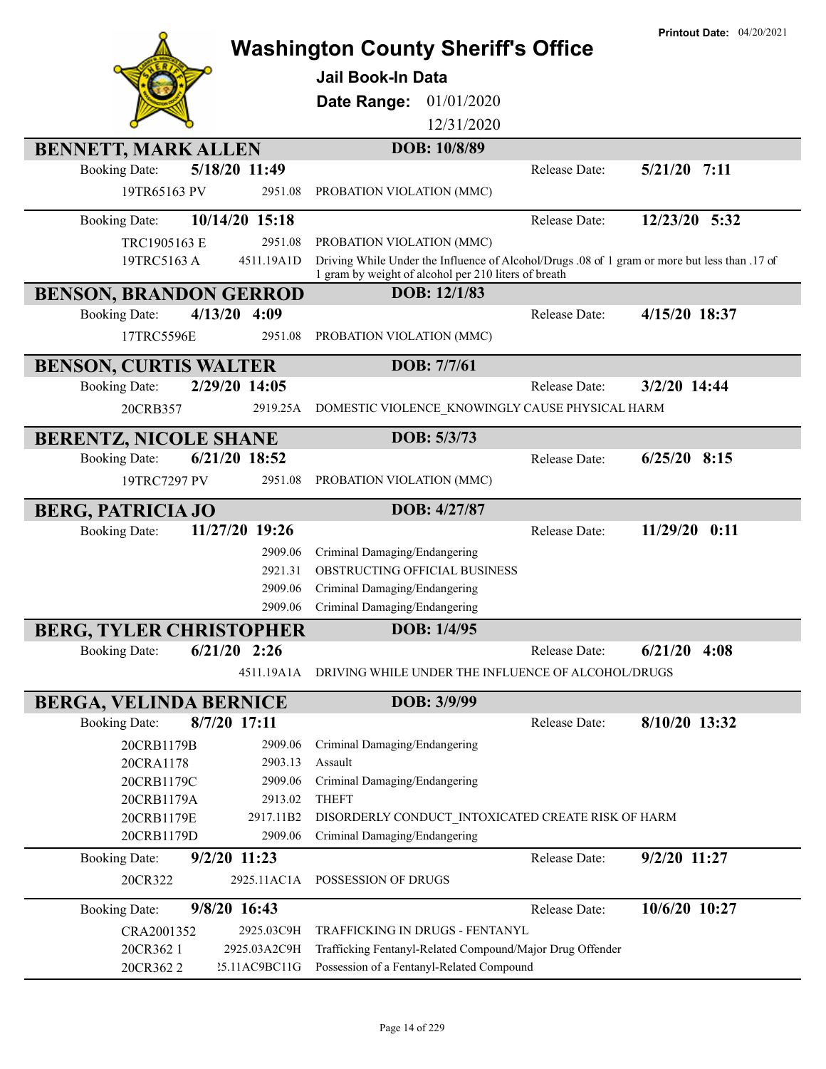|                                                       | <b>Washington County Sheriff's Office</b><br><b>Jail Book-In Data</b>                                                                                 |               | <b>Printout Date: 04/20/2021</b> |
|-------------------------------------------------------|-------------------------------------------------------------------------------------------------------------------------------------------------------|---------------|----------------------------------|
|                                                       | 01/01/2020<br>Date Range:                                                                                                                             |               |                                  |
|                                                       | 12/31/2020                                                                                                                                            |               |                                  |
| <b>BENNETT, MARK ALLEN</b>                            | DOB: 10/8/89                                                                                                                                          |               |                                  |
| 5/18/20 11:49<br><b>Booking Date:</b>                 |                                                                                                                                                       | Release Date: | $5/21/20$ 7:11                   |
| 19TR65163 PV<br>2951.08                               | PROBATION VIOLATION (MMC)                                                                                                                             |               |                                  |
| 10/14/20 15:18<br><b>Booking Date:</b>                |                                                                                                                                                       | Release Date: | 12/23/20 5:32                    |
| 2951.08<br>TRC1905163 E                               | PROBATION VIOLATION (MMC)                                                                                                                             |               |                                  |
| 19TRC5163 A<br>4511.19A1D                             | Driving While Under the Influence of Alcohol/Drugs .08 of 1 gram or more but less than .17 of<br>1 gram by weight of alcohol per 210 liters of breath |               |                                  |
| <b>BENSON, BRANDON GERROD</b>                         | DOB: 12/1/83                                                                                                                                          |               |                                  |
| $4/13/20$ 4:09<br><b>Booking Date:</b>                |                                                                                                                                                       | Release Date: | 4/15/20 18:37                    |
| 17TRC5596E<br>2951.08                                 | PROBATION VIOLATION (MMC)                                                                                                                             |               |                                  |
| <b>BENSON, CURTIS WALTER</b>                          | DOB: 7/7/61                                                                                                                                           |               |                                  |
| 2/29/20 14:05<br><b>Booking Date:</b>                 |                                                                                                                                                       | Release Date: | 3/2/20 14:44                     |
| 2919.25A<br>20CRB357                                  | DOMESTIC VIOLENCE_KNOWINGLY CAUSE PHYSICAL HARM                                                                                                       |               |                                  |
|                                                       |                                                                                                                                                       |               |                                  |
| <b>BERENTZ, NICOLE SHANE</b>                          | DOB: 5/3/73                                                                                                                                           |               |                                  |
| 6/21/20 18:52<br><b>Booking Date:</b>                 |                                                                                                                                                       | Release Date: | $6/25/20$ 8:15                   |
| 19TRC7297 PV<br>2951.08                               | PROBATION VIOLATION (MMC)                                                                                                                             |               |                                  |
| <b>BERG, PATRICIA JO</b>                              | DOB: 4/27/87                                                                                                                                          |               |                                  |
| 11/27/20 19:26<br><b>Booking Date:</b>                |                                                                                                                                                       | Release Date: | 11/29/20 0:11                    |
| 2909.06                                               | Criminal Damaging/Endangering                                                                                                                         |               |                                  |
| 2921.31                                               | OBSTRUCTING OFFICIAL BUSINESS                                                                                                                         |               |                                  |
| 2909.06<br>2909.06                                    | Criminal Damaging/Endangering                                                                                                                         |               |                                  |
|                                                       | Criminal Damaging/Endangering                                                                                                                         |               |                                  |
| <b>BERG, TYLER CHRISTOPHER</b>                        | DOB: 1/4/95                                                                                                                                           |               |                                  |
| $6/21/20$ 2:26<br><b>Booking Date:</b>                |                                                                                                                                                       | Release Date: | 6/21/20<br>4:08                  |
| 4511.19A1A                                            | DRIVING WHILE UNDER THE INFLUENCE OF ALCOHOL/DRUGS                                                                                                    |               |                                  |
| <b>BERGA, VELINDA BERNICE</b>                         | DOB: 3/9/99                                                                                                                                           |               |                                  |
| 8/7/20 17:11<br><b>Booking Date:</b>                  |                                                                                                                                                       | Release Date: | 8/10/20 13:32                    |
| 20CRB1179B<br>2909.06                                 | Criminal Damaging/Endangering                                                                                                                         |               |                                  |
| 2903.13<br>20CRA1178                                  | Assault                                                                                                                                               |               |                                  |
| 20CRB1179C<br>2909.06                                 | Criminal Damaging/Endangering                                                                                                                         |               |                                  |
| 20CRB1179A<br>2913.02                                 | <b>THEFT</b>                                                                                                                                          |               |                                  |
| 20CRB1179E<br>2917.11B2<br>20CRB1179D<br>2909.06      | DISORDERLY CONDUCT INTOXICATED CREATE RISK OF HARM<br>Criminal Damaging/Endangering                                                                   |               |                                  |
| $9/2/20$ 11:23<br><b>Booking Date:</b>                |                                                                                                                                                       | Release Date: | 9/2/20 11:27                     |
| 2925.11AC1A<br>20CR322                                | POSSESSION OF DRUGS                                                                                                                                   |               |                                  |
| 9/8/20 16:43<br><b>Booking Date:</b>                  |                                                                                                                                                       | Release Date: | 10/6/20 10:27                    |
|                                                       | TRAFFICKING IN DRUGS - FENTANYL                                                                                                                       |               |                                  |
|                                                       |                                                                                                                                                       |               |                                  |
| CRA2001352<br>2925.03C9H<br>20CR362 1<br>2925.03A2C9H | Trafficking Fentanyl-Related Compound/Major Drug Offender                                                                                             |               |                                  |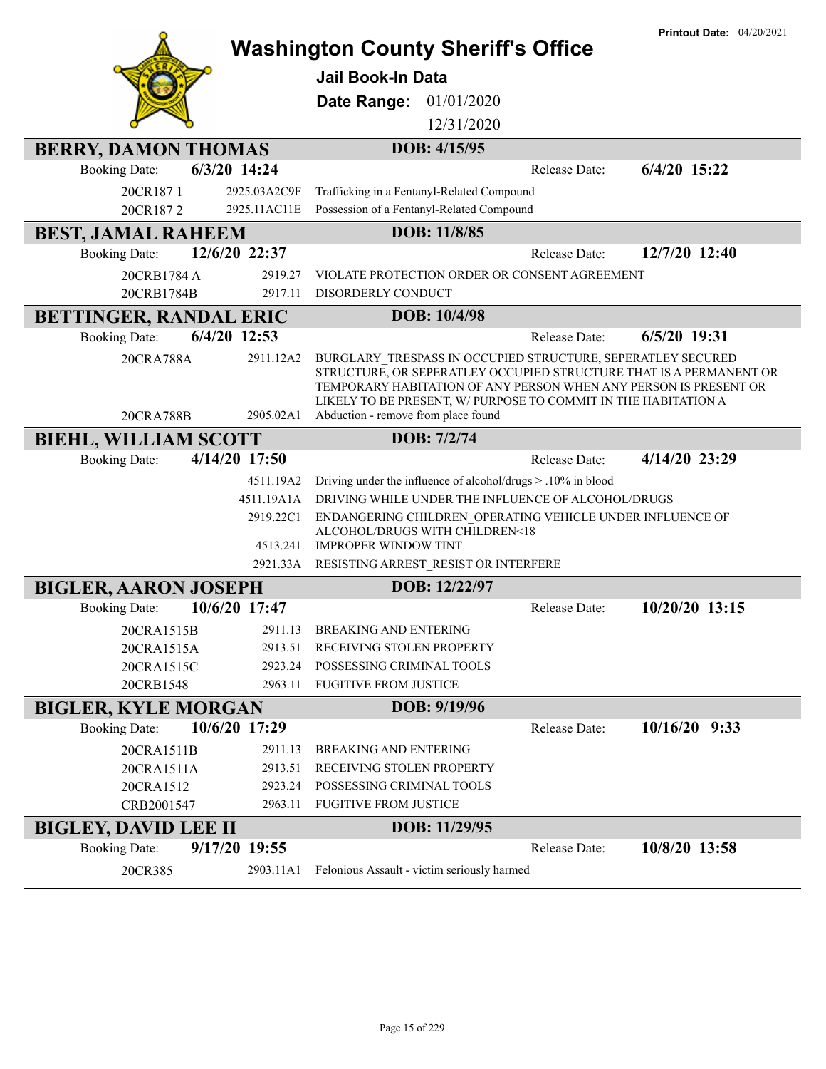|                                 |                            | <b>Washington County Sheriff's Office</b>                                                                                                                                                                                                                               |               | <b>Printout Date: 04/20/2021</b> |
|---------------------------------|----------------------------|-------------------------------------------------------------------------------------------------------------------------------------------------------------------------------------------------------------------------------------------------------------------------|---------------|----------------------------------|
|                                 |                            |                                                                                                                                                                                                                                                                         |               |                                  |
|                                 |                            | <b>Jail Book-In Data</b>                                                                                                                                                                                                                                                |               |                                  |
|                                 |                            | 01/01/2020<br>Date Range:                                                                                                                                                                                                                                               |               |                                  |
|                                 |                            | 12/31/2020                                                                                                                                                                                                                                                              |               |                                  |
| <b>BERRY, DAMON THOMAS</b>      |                            | DOB: 4/15/95                                                                                                                                                                                                                                                            |               |                                  |
| <b>Booking Date:</b>            | 6/3/20 14:24               |                                                                                                                                                                                                                                                                         | Release Date: | 6/4/20 15:22                     |
| 20CR1871                        | 2925.03A2C9F               | Trafficking in a Fentanyl-Related Compound                                                                                                                                                                                                                              |               |                                  |
| 20CR1872                        | 2925.11AC11E               | Possession of a Fentanyl-Related Compound                                                                                                                                                                                                                               |               |                                  |
| <b>BEST, JAMAL RAHEEM</b>       |                            | DOB: 11/8/85                                                                                                                                                                                                                                                            |               |                                  |
| <b>Booking Date:</b>            | 12/6/20 22:37              |                                                                                                                                                                                                                                                                         | Release Date: | 12/7/20 12:40                    |
| 20CRB1784 A                     | 2919.27                    | VIOLATE PROTECTION ORDER OR CONSENT AGREEMENT                                                                                                                                                                                                                           |               |                                  |
| 20CRB1784B                      | 2917.11                    | DISORDERLY CONDUCT                                                                                                                                                                                                                                                      |               |                                  |
| BETTINGER, RANDAL ERIC          |                            | DOB: 10/4/98                                                                                                                                                                                                                                                            |               |                                  |
| <b>Booking Date:</b>            | 6/4/20 12:53               |                                                                                                                                                                                                                                                                         | Release Date: | 6/5/20 19:31                     |
| 20CRA788A                       | 2911.12A2                  | BURGLARY TRESPASS IN OCCUPIED STRUCTURE, SEPERATLEY SECURED<br>STRUCTURE, OR SEPERATLEY OCCUPIED STRUCTURE THAT IS A PERMANENT OR<br>TEMPORARY HABITATION OF ANY PERSON WHEN ANY PERSON IS PRESENT OR<br>LIKELY TO BE PRESENT, W/ PURPOSE TO COMMIT IN THE HABITATION A |               |                                  |
| 20CRA788B                       | 2905.02A1                  | Abduction - remove from place found                                                                                                                                                                                                                                     |               |                                  |
| <b>BIEHL, WILLIAM SCOTT</b>     |                            | DOB: 7/2/74                                                                                                                                                                                                                                                             |               |                                  |
| <b>Booking Date:</b>            | 4/14/20 17:50              |                                                                                                                                                                                                                                                                         | Release Date: | 4/14/20 23:29                    |
|                                 | 4511.19A2                  | Driving under the influence of alcohol/drugs > .10% in blood                                                                                                                                                                                                            |               |                                  |
|                                 | 4511.19A1A                 | DRIVING WHILE UNDER THE INFLUENCE OF ALCOHOL/DRUGS                                                                                                                                                                                                                      |               |                                  |
|                                 | 2919.22C1<br>4513.241      | ENDANGERING CHILDREN OPERATING VEHICLE UNDER INFLUENCE OF<br>ALCOHOL/DRUGS WITH CHILDREN<18<br><b>IMPROPER WINDOW TINT</b>                                                                                                                                              |               |                                  |
|                                 | 2921.33A                   | RESISTING ARREST_RESIST OR INTERFERE                                                                                                                                                                                                                                    |               |                                  |
| <b>BIGLER, AARON JOSEPH</b>     |                            | DOB: 12/22/97                                                                                                                                                                                                                                                           |               |                                  |
| <b>Booking Date:</b>            | 10/6/20 17:47              |                                                                                                                                                                                                                                                                         | Release Date: | 10/20/20 13:15                   |
| 20CRA1515B                      |                            | 2911.13 BREAKING AND ENTERING                                                                                                                                                                                                                                           |               |                                  |
| 20CRA1515A                      | 2913.51                    | RECEIVING STOLEN PROPERTY                                                                                                                                                                                                                                               |               |                                  |
| 20CRA1515C                      | 2923.24                    | POSSESSING CRIMINAL TOOLS                                                                                                                                                                                                                                               |               |                                  |
| 20CRB1548                       | 2963.11                    | <b>FUGITIVE FROM JUSTICE</b>                                                                                                                                                                                                                                            |               |                                  |
| <b>BIGLER, KYLE MORGAN</b>      |                            | DOB: 9/19/96                                                                                                                                                                                                                                                            |               |                                  |
| <b>Booking Date:</b>            | 10/6/20 17:29              |                                                                                                                                                                                                                                                                         | Release Date: | $10/16/20$ 9:33                  |
| 20CRA1511B                      | 2911.13                    | <b>BREAKING AND ENTERING</b>                                                                                                                                                                                                                                            |               |                                  |
| 20CRA1511A                      | 2913.51                    | RECEIVING STOLEN PROPERTY                                                                                                                                                                                                                                               |               |                                  |
| 20CRA1512                       | 2923.24<br>2963.11         | POSSESSING CRIMINAL TOOLS<br><b>FUGITIVE FROM JUSTICE</b>                                                                                                                                                                                                               |               |                                  |
| CRB2001547                      |                            |                                                                                                                                                                                                                                                                         |               |                                  |
| <b>BIGLEY, DAVID LEE II</b>     |                            | DOB: 11/29/95                                                                                                                                                                                                                                                           |               |                                  |
| <b>Booking Date:</b><br>20CR385 | 9/17/20 19:55<br>2903.11A1 | Felonious Assault - victim seriously harmed                                                                                                                                                                                                                             | Release Date: | 10/8/20 13:58                    |
|                                 |                            |                                                                                                                                                                                                                                                                         |               |                                  |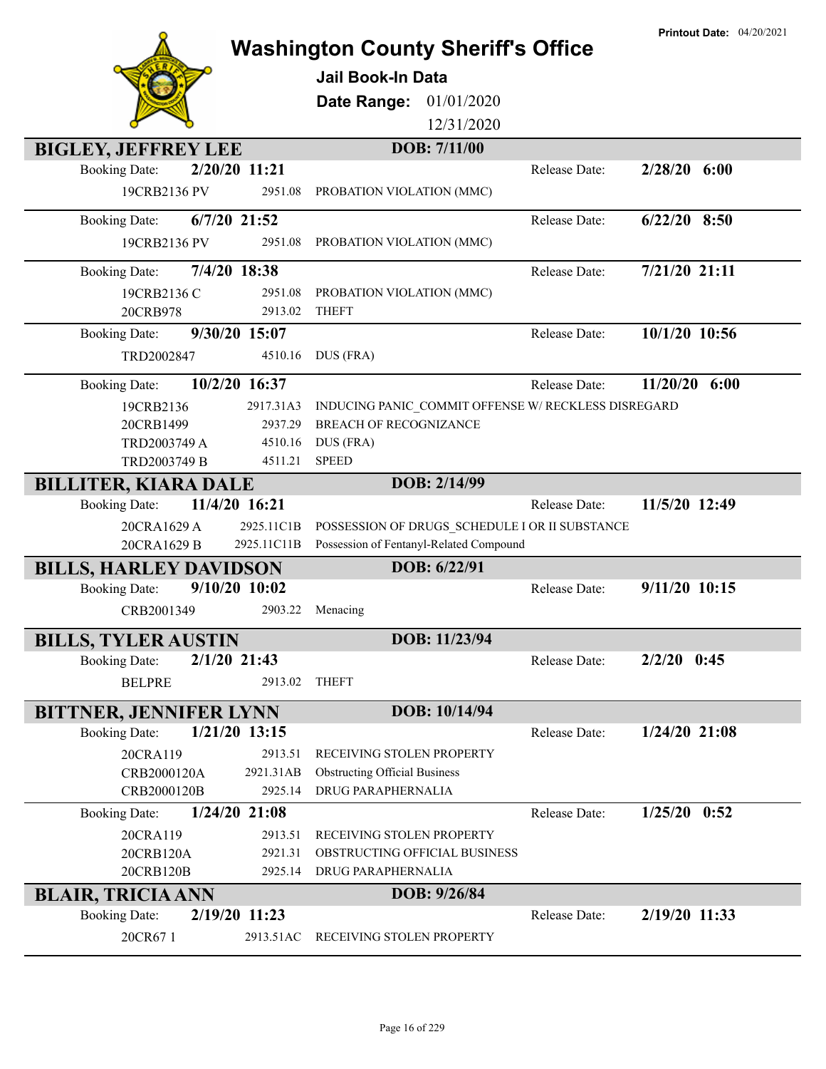|                               |                 | <b>Washington County Sheriff's Office</b>           |                      | <b>Printout Date: 04/20/2021</b> |
|-------------------------------|-----------------|-----------------------------------------------------|----------------------|----------------------------------|
|                               |                 |                                                     |                      |                                  |
|                               |                 | <b>Jail Book-In Data</b>                            |                      |                                  |
|                               |                 | Date Range:<br>01/01/2020                           |                      |                                  |
|                               |                 | 12/31/2020                                          |                      |                                  |
| <b>BIGLEY, JEFFREY LEE</b>    |                 | DOB: 7/11/00                                        |                      |                                  |
| <b>Booking Date:</b>          | 2/20/20 11:21   |                                                     | Release Date:        | $2/28/20$ 6:00                   |
| 19CRB2136 PV                  | 2951.08         | PROBATION VIOLATION (MMC)                           |                      |                                  |
| <b>Booking Date:</b>          | $6/7/20$ 21:52  |                                                     | Release Date:        | $6/22/20$ 8:50                   |
| 19CRB2136 PV                  | 2951.08         | PROBATION VIOLATION (MMC)                           |                      |                                  |
| <b>Booking Date:</b>          | 7/4/20 18:38    |                                                     | Release Date:        | 7/21/20 21:11                    |
| 19CRB2136 C                   | 2951.08         | PROBATION VIOLATION (MMC)                           |                      |                                  |
| 20CRB978                      | 2913.02         | <b>THEFT</b>                                        |                      |                                  |
| <b>Booking Date:</b>          | 9/30/20 15:07   |                                                     | Release Date:        | 10/1/20 10:56                    |
| TRD2002847                    | 4510.16         | DUS (FRA)                                           |                      |                                  |
| <b>Booking Date:</b>          | 10/2/20 16:37   |                                                     | Release Date:        | 11/20/20<br>6:00                 |
| 19CRB2136                     | 2917.31A3       | INDUCING PANIC COMMIT OFFENSE W/ RECKLESS DISREGARD |                      |                                  |
| 20CRB1499                     | 2937.29         | <b>BREACH OF RECOGNIZANCE</b>                       |                      |                                  |
| TRD2003749 A                  | 4510.16         | DUS (FRA)                                           |                      |                                  |
| TRD2003749 B                  | 4511.21         | <b>SPEED</b>                                        |                      |                                  |
| <b>BILLITER, KIARA DALE</b>   |                 | DOB: 2/14/99                                        |                      |                                  |
| <b>Booking Date:</b>          | 11/4/20 16:21   |                                                     | <b>Release Date:</b> | 11/5/20 12:49                    |
| 20CRA1629 A                   | 2925.11C1B      | POSSESSION OF DRUGS SCHEDULE I OR II SUBSTANCE      |                      |                                  |
| 20CRA1629 B                   | 2925.11C11B     | Possession of Fentanyl-Related Compound             |                      |                                  |
| <b>BILLS, HARLEY DAVIDSON</b> |                 | DOB: 6/22/91                                        |                      |                                  |
| <b>Booking Date:</b>          | $9/10/20$ 10:02 |                                                     | Release Date:        | 9/11/20 10:15                    |
| CRB2001349                    | 2903.22         | Menacing                                            |                      |                                  |
| <b>BILLS, TYLER AUSTIN</b>    |                 | DOB: 11/23/94                                       |                      |                                  |
| <b>Booking Date:</b>          | 2/1/20 21:43    |                                                     | Release Date:        | $2/2/20$ 0:45                    |
| <b>BELPRE</b>                 | 2913.02         | <b>THEFT</b>                                        |                      |                                  |
| <b>BITTNER, JENNIFER LYNN</b> |                 | DOB: 10/14/94                                       |                      |                                  |
| <b>Booking Date:</b>          | $1/21/20$ 13:15 |                                                     | Release Date:        | $1/24/20$ 21:08                  |
| 20CRA119                      | 2913.51         | RECEIVING STOLEN PROPERTY                           |                      |                                  |
| CRB2000120A                   | 2921.31AB       | <b>Obstructing Official Business</b>                |                      |                                  |
| CRB2000120B                   | 2925.14         | DRUG PARAPHERNALIA                                  |                      |                                  |
| <b>Booking Date:</b>          | $1/24/20$ 21:08 |                                                     | Release Date:        | $1/25/20$ 0:52                   |
| 20CRA119                      | 2913.51         | RECEIVING STOLEN PROPERTY                           |                      |                                  |
| 20CRB120A                     | 2921.31         | OBSTRUCTING OFFICIAL BUSINESS                       |                      |                                  |
| 20CRB120B                     | 2925.14         | DRUG PARAPHERNALIA                                  |                      |                                  |
| <b>BLAIR, TRICIA ANN</b>      |                 | DOB: 9/26/84                                        |                      |                                  |
| <b>Booking Date:</b>          | 2/19/20 11:23   |                                                     | Release Date:        | 2/19/20 11:33                    |
| 20CR671                       | 2913.51AC       | RECEIVING STOLEN PROPERTY                           |                      |                                  |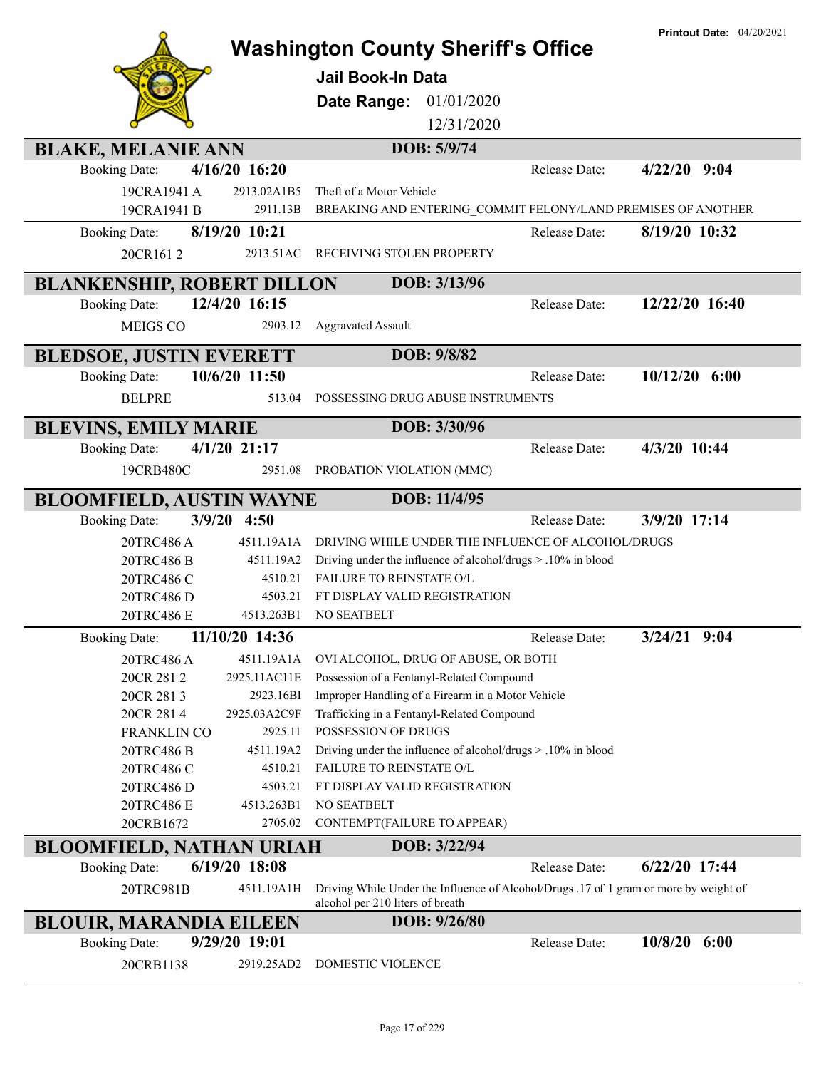|                                   |                       |                                                                                                                           |               | <b>Printout Date: 04/20/2021</b> |
|-----------------------------------|-----------------------|---------------------------------------------------------------------------------------------------------------------------|---------------|----------------------------------|
|                                   |                       | <b>Washington County Sheriff's Office</b>                                                                                 |               |                                  |
|                                   |                       | <b>Jail Book-In Data</b>                                                                                                  |               |                                  |
|                                   |                       | 01/01/2020<br>Date Range:                                                                                                 |               |                                  |
|                                   |                       |                                                                                                                           |               |                                  |
|                                   |                       | 12/31/2020                                                                                                                |               |                                  |
| <b>BLAKE, MELANIE ANN</b>         |                       | DOB: 5/9/74                                                                                                               |               |                                  |
| <b>Booking Date:</b>              | 4/16/20 16:20         |                                                                                                                           | Release Date: | $4/22/20$ 9:04                   |
| 19CRA1941 A                       | 2913.02A1B5           | Theft of a Motor Vehicle                                                                                                  |               |                                  |
| 19CRA1941 B                       | 2911.13B              | BREAKING AND ENTERING_COMMIT FELONY/LAND PREMISES OF ANOTHER                                                              |               |                                  |
| <b>Booking Date:</b>              | 8/19/20 10:21         |                                                                                                                           | Release Date: | 8/19/20 10:32                    |
| 20CR1612                          | 2913.51AC             | RECEIVING STOLEN PROPERTY                                                                                                 |               |                                  |
|                                   |                       |                                                                                                                           |               |                                  |
| <b>BLANKENSHIP, ROBERT DILLON</b> |                       | DOB: 3/13/96                                                                                                              |               |                                  |
| <b>Booking Date:</b>              | 12/4/20 16:15         |                                                                                                                           | Release Date: | 12/22/20 16:40                   |
| <b>MEIGS CO</b>                   | 2903.12               | <b>Aggravated Assault</b>                                                                                                 |               |                                  |
| <b>BLEDSOE, JUSTIN EVERETT</b>    |                       | DOB: 9/8/82                                                                                                               |               |                                  |
| <b>Booking Date:</b>              | 10/6/20 11:50         |                                                                                                                           | Release Date: | $10/12/20$ 6:00                  |
|                                   | 513.04                | POSSESSING DRUG ABUSE INSTRUMENTS                                                                                         |               |                                  |
| <b>BELPRE</b>                     |                       |                                                                                                                           |               |                                  |
| <b>BLEVINS, EMILY MARIE</b>       |                       | DOB: 3/30/96                                                                                                              |               |                                  |
| <b>Booking Date:</b>              | $4/1/20$ 21:17        |                                                                                                                           | Release Date: | 4/3/20 10:44                     |
| 19CRB480C                         | 2951.08               | PROBATION VIOLATION (MMC)                                                                                                 |               |                                  |
|                                   |                       |                                                                                                                           |               |                                  |
| <b>BLOOMFIELD, AUSTIN WAYNE</b>   |                       | DOB: 11/4/95                                                                                                              |               |                                  |
| <b>Booking Date:</b>              | $3/9/20$ 4:50         |                                                                                                                           | Release Date: | 3/9/20 17:14                     |
| 20TRC486 A                        | 4511.19A1A            | DRIVING WHILE UNDER THE INFLUENCE OF ALCOHOL/DRUGS                                                                        |               |                                  |
| 20TRC486 B                        | 4511.19A2             | Driving under the influence of alcohol/drugs > .10% in blood                                                              |               |                                  |
| 20TRC486 C                        | 4510.21               | FAILURE TO REINSTATE O/L                                                                                                  |               |                                  |
| 20TRC486 D                        | 4503.21               | FT DISPLAY VALID REGISTRATION                                                                                             |               |                                  |
| 20TRC486 E                        | 4513.263B1            | NO SEATBELT                                                                                                               |               |                                  |
| <b>Booking Date:</b>              | 11/10/20 14:36        |                                                                                                                           | Release Date: | $3/24/21$ 9:04                   |
| 20TRC486 A                        | 4511.19A1A            | OVI ALCOHOL, DRUG OF ABUSE, OR BOTH                                                                                       |               |                                  |
| 20CR 281 2                        | 2925.11AC11E          | Possession of a Fentanyl-Related Compound                                                                                 |               |                                  |
| 20CR 2813                         | 2923.16BI             | Improper Handling of a Firearm in a Motor Vehicle                                                                         |               |                                  |
| 20CR 2814                         | 2925.03A2C9F          | Trafficking in a Fentanyl-Related Compound                                                                                |               |                                  |
| <b>FRANKLIN CO</b>                | 2925.11               | POSSESSION OF DRUGS                                                                                                       |               |                                  |
| 20TRC486 B                        | 4511.19A2             | Driving under the influence of alcohol/drugs > .10% in blood                                                              |               |                                  |
| 20TRC486 C                        | 4510.21               | FAILURE TO REINSTATE O/L                                                                                                  |               |                                  |
| 20TRC486 D<br>20TRC486 E          | 4503.21<br>4513.263B1 | FT DISPLAY VALID REGISTRATION<br>NO SEATBELT                                                                              |               |                                  |
| 20CRB1672                         | 2705.02               | CONTEMPT(FAILURE TO APPEAR)                                                                                               |               |                                  |
|                                   |                       |                                                                                                                           |               |                                  |
| <b>BLOOMFIELD, NATHAN URIAH</b>   |                       | DOB: 3/22/94                                                                                                              |               |                                  |
| <b>Booking Date:</b>              | 6/19/20 18:08         |                                                                                                                           | Release Date: | 6/22/20 17:44                    |
| 20TRC981B                         | 4511.19A1H            | Driving While Under the Influence of Alcohol/Drugs .17 of 1 gram or more by weight of<br>alcohol per 210 liters of breath |               |                                  |
| <b>BLOUIR, MARANDIA EILEEN</b>    |                       | DOB: 9/26/80                                                                                                              |               |                                  |
|                                   | 9/29/20 19:01         |                                                                                                                           | Release Date: | $10/8/20$ 6:00                   |
| <b>Booking Date:</b>              |                       |                                                                                                                           |               |                                  |
| 20CRB1138                         | 2919.25AD2            | DOMESTIC VIOLENCE                                                                                                         |               |                                  |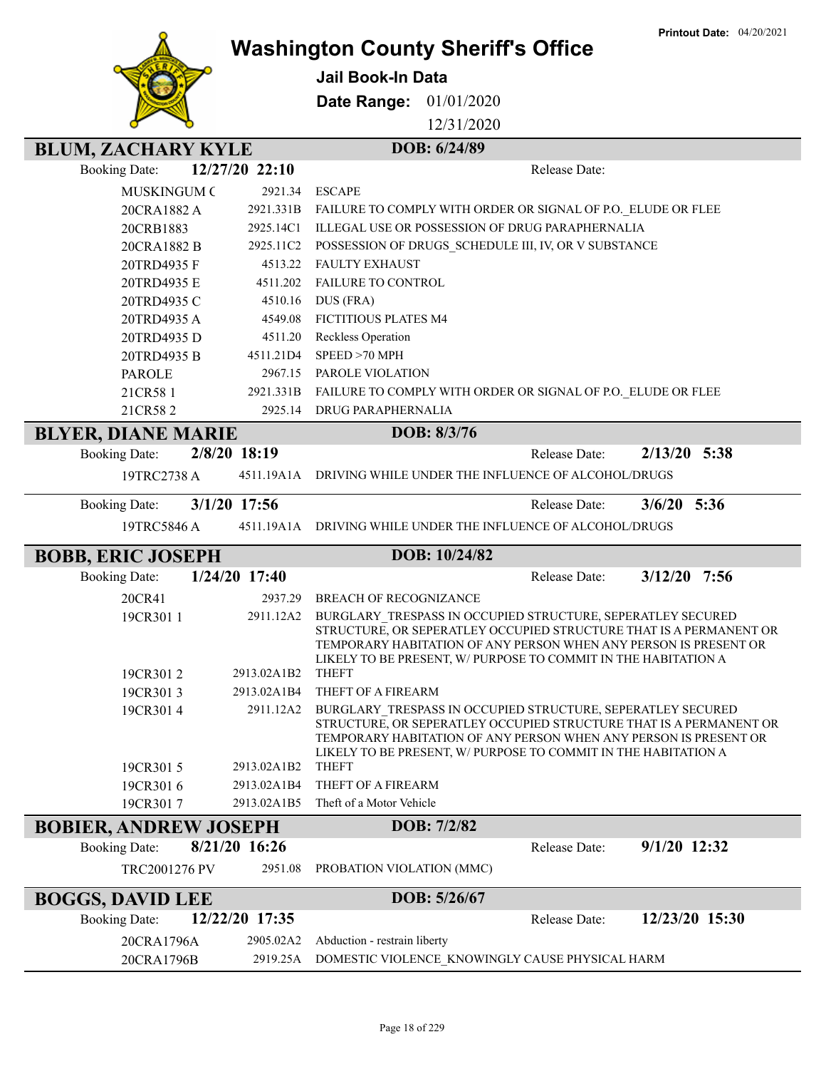

## **Washington County Sheriff's Office**

**Jail Book-In Data**

**Date Range:** 01/01/2020

12/31/2020

## **BLUM, ZACHARY KYLE** DOB: 6/24/89

| <b>Booking Date:</b>         | 12/27/20 22:10           | Release Date:                                                                                                                                                                                                                                                                           |                |  |
|------------------------------|--------------------------|-----------------------------------------------------------------------------------------------------------------------------------------------------------------------------------------------------------------------------------------------------------------------------------------|----------------|--|
| <b>MUSKINGUM C</b>           | 2921.34                  | <b>ESCAPE</b>                                                                                                                                                                                                                                                                           |                |  |
| 20CRA1882 A                  | 2921.331B                | FAILURE TO COMPLY WITH ORDER OR SIGNAL OF P.O. ELUDE OR FLEE                                                                                                                                                                                                                            |                |  |
| 20CRB1883                    | 2925.14C1                | <b>ILLEGAL USE OR POSSESSION OF DRUG PARAPHERNALIA</b>                                                                                                                                                                                                                                  |                |  |
| 20CRA1882 B                  | 2925.11C2                | POSSESSION OF DRUGS_SCHEDULE III, IV, OR V SUBSTANCE                                                                                                                                                                                                                                    |                |  |
| 20TRD4935 F                  | 4513.22                  | <b>FAULTY EXHAUST</b>                                                                                                                                                                                                                                                                   |                |  |
| 20TRD4935 E                  | 4511.202                 | FAILURE TO CONTROL                                                                                                                                                                                                                                                                      |                |  |
| 20TRD4935 C                  | 4510.16                  | DUS (FRA)                                                                                                                                                                                                                                                                               |                |  |
| 20TRD4935 A                  | 4549.08                  | FICTITIOUS PLATES M4                                                                                                                                                                                                                                                                    |                |  |
| 20TRD4935 D                  | 4511.20                  | Reckless Operation                                                                                                                                                                                                                                                                      |                |  |
| 20TRD4935 B                  | 4511.21D4                | SPEED >70 MPH                                                                                                                                                                                                                                                                           |                |  |
| <b>PAROLE</b>                | 2967.15                  | PAROLE VIOLATION                                                                                                                                                                                                                                                                        |                |  |
| 21CR581                      | 2921.331B                | FAILURE TO COMPLY WITH ORDER OR SIGNAL OF P.O. ELUDE OR FLEE                                                                                                                                                                                                                            |                |  |
| 21CR582                      | 2925.14                  | <b>DRUG PARAPHERNALIA</b>                                                                                                                                                                                                                                                               |                |  |
| <b>BLYER, DIANE MARIE</b>    |                          | DOB: 8/3/76                                                                                                                                                                                                                                                                             |                |  |
| <b>Booking Date:</b>         | 2/8/20 18:19             | Release Date:                                                                                                                                                                                                                                                                           | $2/13/20$ 5:38 |  |
| 19TRC2738 A                  | 4511.19A1A               | DRIVING WHILE UNDER THE INFLUENCE OF ALCOHOL/DRUGS                                                                                                                                                                                                                                      |                |  |
| <b>Booking Date:</b>         | 3/1/20 17:56             | Release Date:                                                                                                                                                                                                                                                                           | $3/6/20$ 5:36  |  |
| 19TRC5846 A                  |                          | 4511.19A1A DRIVING WHILE UNDER THE INFLUENCE OF ALCOHOL/DRUGS                                                                                                                                                                                                                           |                |  |
| <b>BOBB, ERIC JOSEPH</b>     |                          | DOB: 10/24/82                                                                                                                                                                                                                                                                           |                |  |
| <b>Booking Date:</b>         | 1/24/20 17:40            | Release Date:                                                                                                                                                                                                                                                                           | $3/12/20$ 7:56 |  |
| 20CR41                       | 2937.29                  | <b>BREACH OF RECOGNIZANCE</b>                                                                                                                                                                                                                                                           |                |  |
| 19CR301 1<br>19CR3012        | 2911.12A2<br>2913.02A1B2 | BURGLARY TRESPASS IN OCCUPIED STRUCTURE, SEPERATLEY SECURED<br>STRUCTURE, OR SEPERATLEY OCCUPIED STRUCTURE THAT IS A PERMANENT OR<br>TEMPORARY HABITATION OF ANY PERSON WHEN ANY PERSON IS PRESENT OR<br>LIKELY TO BE PRESENT, W/ PURPOSE TO COMMIT IN THE HABITATION A<br><b>THEFT</b> |                |  |
| 19CR3013                     | 2913.02A1B4              | THEFT OF A FIREARM                                                                                                                                                                                                                                                                      |                |  |
| 19CR3014<br>19CR3015         | 2911.12A2<br>2913.02A1B2 | BURGLARY TRESPASS IN OCCUPIED STRUCTURE, SEPERATLEY SECURED<br>STRUCTURE, OR SEPERATLEY OCCUPIED STRUCTURE THAT IS A PERMANENT OR<br>TEMPORARY HABITATION OF ANY PERSON WHEN ANY PERSON IS PRESENT OR<br>LIKELY TO BE PRESENT, W/ PURPOSE TO COMMIT IN THE HABITATION A<br>THEFT        |                |  |
| 19CR3016                     | 2913.02A1B4              | THEFT OF A FIREARM                                                                                                                                                                                                                                                                      |                |  |
| 19CR3017                     | 2913.02A1B5              | Theft of a Motor Vehicle                                                                                                                                                                                                                                                                |                |  |
| <b>BOBIER, ANDREW JOSEPH</b> |                          | DOB: 7/2/82                                                                                                                                                                                                                                                                             |                |  |
| <b>Booking Date:</b>         | 8/21/20 16:26            | Release Date:                                                                                                                                                                                                                                                                           | 9/1/20 12:32   |  |
| TRC2001276 PV                | 2951.08                  | PROBATION VIOLATION (MMC)                                                                                                                                                                                                                                                               |                |  |
| <b>BOGGS, DAVID LEE</b>      |                          | DOB: 5/26/67                                                                                                                                                                                                                                                                            |                |  |
| <b>Booking Date:</b>         | 12/22/20 17:35           | Release Date:                                                                                                                                                                                                                                                                           | 12/23/20 15:30 |  |
| 20CRA1796A                   | 2905.02A2                | Abduction - restrain liberty                                                                                                                                                                                                                                                            |                |  |
| 20CRA1796B                   | 2919.25A                 | DOMESTIC VIOLENCE_KNOWINGLY CAUSE PHYSICAL HARM                                                                                                                                                                                                                                         |                |  |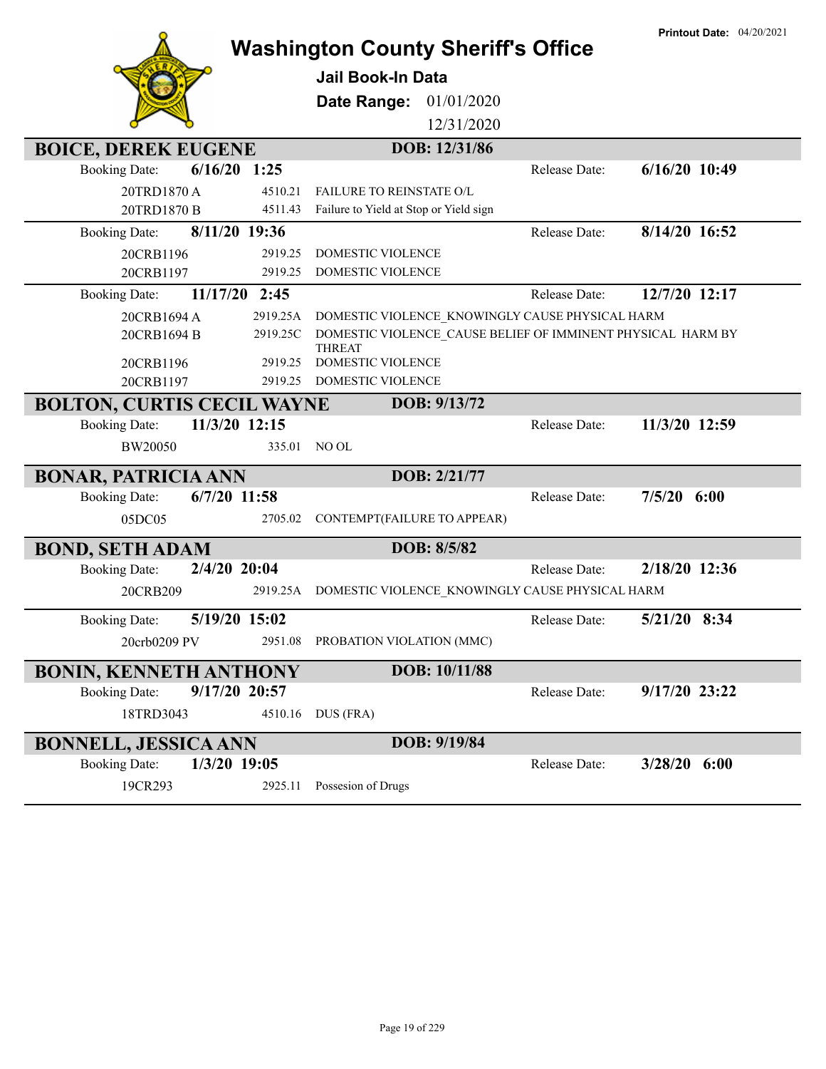|                                        | <b>Washington County Sheriff's Office</b>                                    |               | <b>Printout Date: 04/20/2021</b> |
|----------------------------------------|------------------------------------------------------------------------------|---------------|----------------------------------|
|                                        | <b>Jail Book-In Data</b>                                                     |               |                                  |
|                                        | Date Range:<br>01/01/2020                                                    |               |                                  |
|                                        | 12/31/2020                                                                   |               |                                  |
| <b>BOICE, DEREK EUGENE</b>             | DOB: 12/31/86                                                                |               |                                  |
| $6/16/20$ 1:25<br><b>Booking Date:</b> |                                                                              | Release Date: | $6/16/20$ 10:49                  |
| 20TRD1870A<br>4510.21                  | <b>FAILURE TO REINSTATE O/L</b>                                              |               |                                  |
| 20TRD1870 B<br>4511.43                 | Failure to Yield at Stop or Yield sign                                       |               |                                  |
| 8/11/20 19:36<br><b>Booking Date:</b>  |                                                                              | Release Date: | 8/14/20 16:52                    |
| 2919.25<br>20CRB1196                   | <b>DOMESTIC VIOLENCE</b>                                                     |               |                                  |
| 2919.25<br>20CRB1197                   | DOMESTIC VIOLENCE                                                            |               |                                  |
| 11/17/20 2:45<br><b>Booking Date:</b>  |                                                                              | Release Date: | 12/7/20 12:17                    |
| 20CRB1694 A<br>2919.25A                | DOMESTIC VIOLENCE KNOWINGLY CAUSE PHYSICAL HARM                              |               |                                  |
| 20CRB1694 B<br>2919.25C                | DOMESTIC VIOLENCE CAUSE BELIEF OF IMMINENT PHYSICAL HARM BY<br><b>THREAT</b> |               |                                  |
| 2919.25<br>20CRB1196                   | DOMESTIC VIOLENCE                                                            |               |                                  |
| 20CRB1197<br>2919.25                   | DOMESTIC VIOLENCE                                                            |               |                                  |
| <b>BOLTON, CURTIS CECIL WAYNE</b>      | DOB: 9/13/72                                                                 |               |                                  |
| 11/3/20 12:15<br><b>Booking Date:</b>  |                                                                              | Release Date: | 11/3/20 12:59                    |
| BW20050<br>335.01                      | NO OL                                                                        |               |                                  |
| <b>BONAR, PATRICIA ANN</b>             | DOB: 2/21/77                                                                 |               |                                  |
| <b>Booking Date:</b><br>$6/7/20$ 11:58 |                                                                              | Release Date: | 7/5/20<br>6:00                   |
| 05DC05<br>2705.02                      | CONTEMPT(FAILURE TO APPEAR)                                                  |               |                                  |
| <b>BOND, SETH ADAM</b>                 | DOB: 8/5/82                                                                  |               |                                  |
| 2/4/20 20:04<br><b>Booking Date:</b>   |                                                                              | Release Date: | 2/18/20 12:36                    |
| 20CRB209<br>2919.25A                   | DOMESTIC VIOLENCE KNOWINGLY CAUSE PHYSICAL HARM                              |               |                                  |
| 5/19/20 15:02<br><b>Booking Date:</b>  |                                                                              | Release Date: | 5/21/20 8:34                     |
| 20crb0209 PV<br>2951.08                | PROBATION VIOLATION (MMC)                                                    |               |                                  |
| <b>BONIN, KENNETH ANTHONY</b>          | DOB: 10/11/88                                                                |               |                                  |
| 9/17/20 20:57<br><b>Booking Date:</b>  |                                                                              | Release Date: | 9/17/20 23:22                    |
| 18TRD3043<br>4510.16                   | DUS (FRA)                                                                    |               |                                  |
| <b>BONNELL, JESSICA ANN</b>            | DOB: 9/19/84                                                                 |               |                                  |
| 1/3/20 19:05<br><b>Booking Date:</b>   |                                                                              | Release Date: | $3/28/20$ 6:00                   |
| 19CR293<br>2925.11                     | Possesion of Drugs                                                           |               |                                  |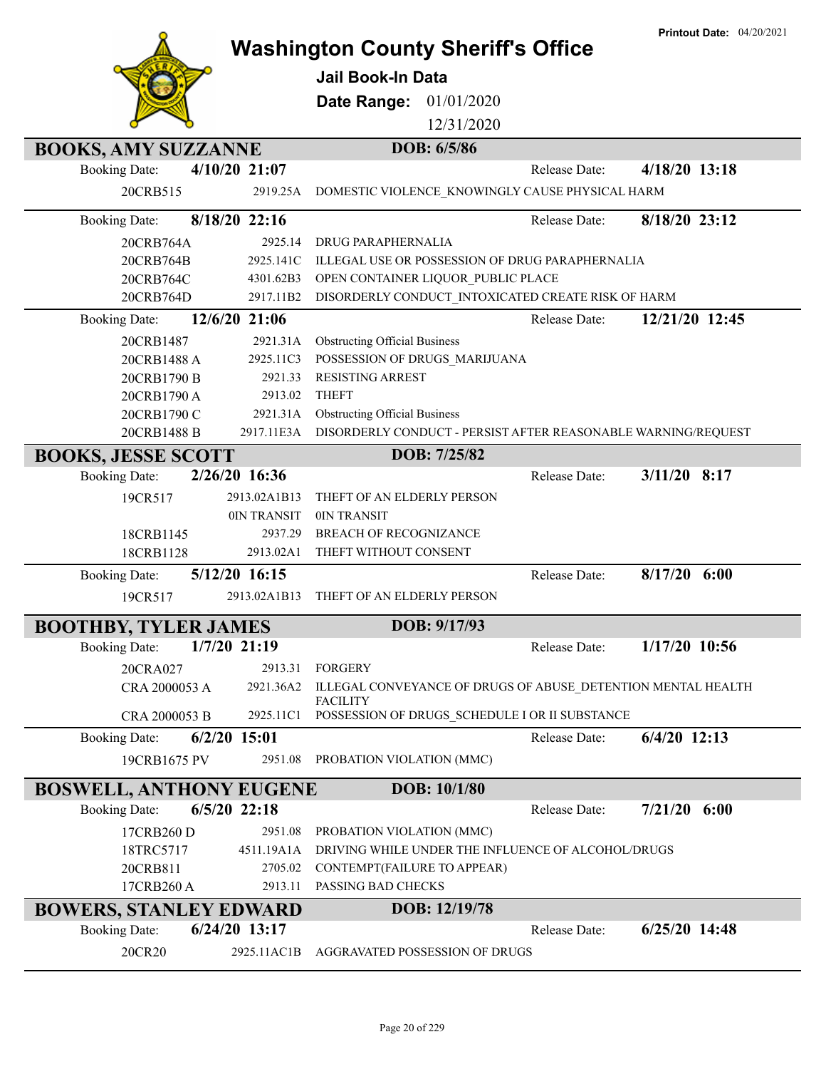|                                |                        | <b>Washington County Sheriff's Office</b>                                       | <b>Printout Date: 04/20/2021</b> |
|--------------------------------|------------------------|---------------------------------------------------------------------------------|----------------------------------|
|                                |                        | <b>Jail Book-In Data</b>                                                        |                                  |
|                                |                        |                                                                                 |                                  |
|                                |                        | <b>Date Range: 01/01/2020</b>                                                   |                                  |
|                                |                        | 12/31/2020                                                                      |                                  |
| <b>BOOKS, AMY SUZZANNE</b>     |                        | DOB: 6/5/86                                                                     |                                  |
| <b>Booking Date:</b>           | $4/10/20$ 21:07        | Release Date:                                                                   | $4/18/20$ 13:18                  |
| 20CRB515                       | 2919.25A               | DOMESTIC VIOLENCE_KNOWINGLY CAUSE PHYSICAL HARM                                 |                                  |
| <b>Booking Date:</b>           | 8/18/20 22:16          | Release Date:                                                                   | 8/18/20 23:12                    |
| 20CRB764A                      | 2925.14                | DRUG PARAPHERNALIA                                                              |                                  |
| 20CRB764B                      | 2925.141C              | ILLEGAL USE OR POSSESSION OF DRUG PARAPHERNALIA                                 |                                  |
| 20CRB764C                      | 4301.62B3              | OPEN CONTAINER LIQUOR PUBLIC PLACE                                              |                                  |
| 20CRB764D                      | 2917.11B2              | DISORDERLY CONDUCT INTOXICATED CREATE RISK OF HARM                              |                                  |
| <b>Booking Date:</b>           | 12/6/20 21:06          | Release Date:                                                                   | 12/21/20 12:45                   |
| 20CRB1487                      | 2921.31A               | <b>Obstructing Official Business</b>                                            |                                  |
| 20CRB1488 A                    | 2925.11C3              | POSSESSION OF DRUGS_MARIJUANA                                                   |                                  |
| 20CRB1790 B                    | 2921.33                | <b>RESISTING ARREST</b>                                                         |                                  |
| 20CRB1790 A                    | 2913.02                | <b>THEFT</b>                                                                    |                                  |
| 20CRB1790 C                    | 2921.31A<br>2917.11E3A | <b>Obstructing Official Business</b>                                            |                                  |
| 20CRB1488 B                    |                        | DISORDERLY CONDUCT - PERSIST AFTER REASONABLE WARNING/REQUEST                   |                                  |
| <b>BOOKS, JESSE SCOTT</b>      |                        | DOB: 7/25/82                                                                    |                                  |
| <b>Booking Date:</b>           | 2/26/20 16:36          | Release Date:                                                                   | $3/11/20$ 8:17                   |
| 19CR517                        | 2913.02A1B13           | THEFT OF AN ELDERLY PERSON                                                      |                                  |
|                                | 0IN TRANSIT            | 0IN TRANSIT                                                                     |                                  |
| 18CRB1145<br>18CRB1128         | 2937.29<br>2913.02A1   | BREACH OF RECOGNIZANCE<br>THEFT WITHOUT CONSENT                                 |                                  |
|                                | 5/12/20 16:15          |                                                                                 | $8/17/20$ 6:00                   |
| <b>Booking Date:</b>           |                        | Release Date:                                                                   |                                  |
| 19CR517                        | 2913.02A1B13           | THEFT OF AN ELDERLY PERSON                                                      |                                  |
| <b>BOOTHBY, TYLER JAMES</b>    |                        | DOB: 9/17/93                                                                    |                                  |
| <b>Booking Date:</b>           | $1/7/20$ 21:19         | Release Date:                                                                   | $1/17/20$ 10:56                  |
| 20CRA027                       | 2913.31                | FORGERY                                                                         |                                  |
| CRA 2000053 A                  | 2921.36A2              | ILLEGAL CONVEYANCE OF DRUGS OF ABUSE_DETENTION MENTAL HEALTH<br><b>FACILITY</b> |                                  |
| CRA 2000053 B                  | 2925.11C1              | POSSESSION OF DRUGS_SCHEDULE I OR II SUBSTANCE                                  |                                  |
| <b>Booking Date:</b>           | $6/2/20$ 15:01         | Release Date:                                                                   | $6/4/20$ 12:13                   |
| 19CRB1675 PV                   | 2951.08                | PROBATION VIOLATION (MMC)                                                       |                                  |
| <b>BOSWELL, ANTHONY EUGENE</b> |                        | DOB: 10/1/80                                                                    |                                  |
| <b>Booking Date:</b>           | $6/5/20$ 22:18         | Release Date:                                                                   | 7/21/20<br>6:00                  |
| 17CRB260 D                     | 2951.08                | PROBATION VIOLATION (MMC)                                                       |                                  |
| 18TRC5717                      | 4511.19A1A             | DRIVING WHILE UNDER THE INFLUENCE OF ALCOHOL/DRUGS                              |                                  |
| 20CRB811                       | 2705.02                | CONTEMPT(FAILURE TO APPEAR)                                                     |                                  |
| 17CRB260 A                     | 2913.11                | PASSING BAD CHECKS                                                              |                                  |
| <b>BOWERS, STANLEY EDWARD</b>  |                        | DOB: 12/19/78                                                                   |                                  |
| <b>Booking Date:</b>           | 6/24/20 13:17          | Release Date:                                                                   | $6/25/20$ 14:48                  |
| 20CR20                         | 2925.11AC1B            | AGGRAVATED POSSESSION OF DRUGS                                                  |                                  |
|                                |                        |                                                                                 |                                  |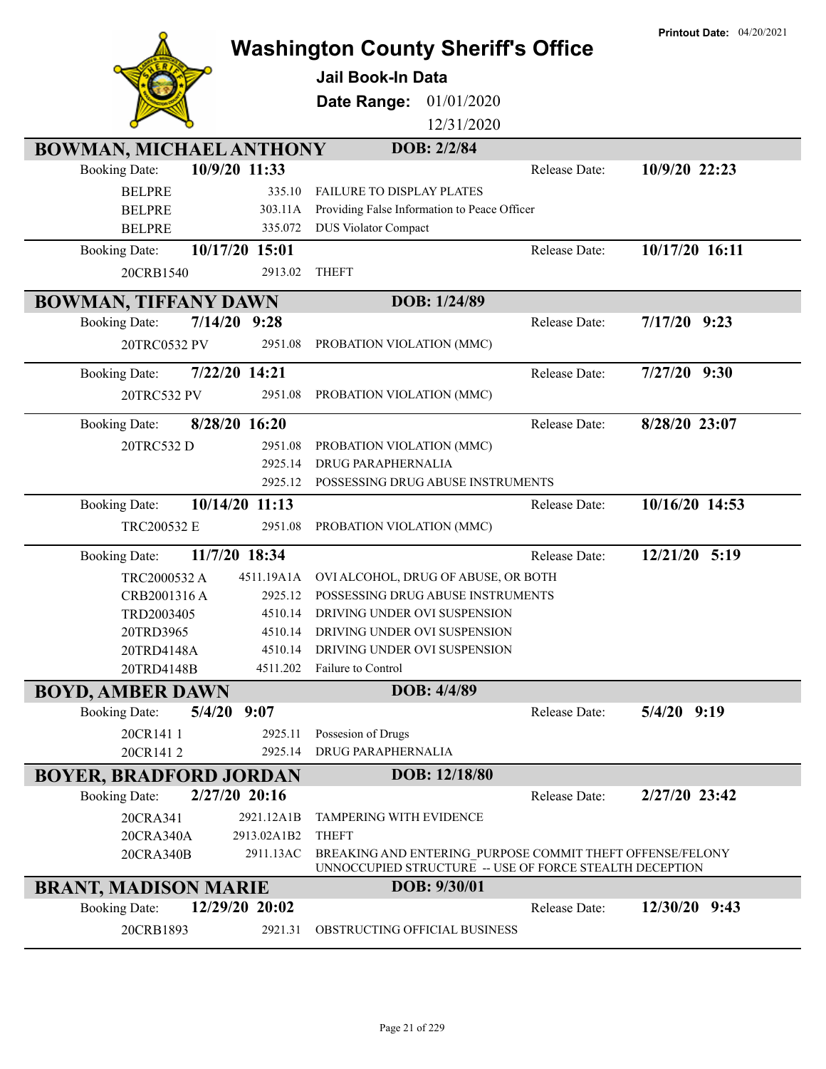|                                        |                                            |                                                                                                                      | <b>Printout Date: 04/20/2021</b> |
|----------------------------------------|--------------------------------------------|----------------------------------------------------------------------------------------------------------------------|----------------------------------|
|                                        |                                            | <b>Washington County Sheriff's Office</b>                                                                            |                                  |
|                                        | <b>Jail Book-In Data</b>                   |                                                                                                                      |                                  |
|                                        | Date Range:                                | 01/01/2020                                                                                                           |                                  |
|                                        |                                            | 12/31/2020                                                                                                           |                                  |
| <b>BOWMAN, MICHAEL ANTHONY</b>         |                                            | DOB: 2/2/84                                                                                                          |                                  |
| 10/9/20 11:33<br><b>Booking Date:</b>  |                                            | Release Date:                                                                                                        | 10/9/20 22:23                    |
| <b>BELPRE</b>                          | 335.10<br><b>FAILURE TO DISPLAY PLATES</b> |                                                                                                                      |                                  |
| <b>BELPRE</b>                          | 303.11A                                    | Providing False Information to Peace Officer                                                                         |                                  |
| <b>BELPRE</b>                          | 335.072<br><b>DUS Violator Compact</b>     |                                                                                                                      |                                  |
| 10/17/20 15:01<br><b>Booking Date:</b> |                                            | Release Date:                                                                                                        | 10/17/20 16:11                   |
| 20CRB1540                              | <b>THEFT</b><br>2913.02                    |                                                                                                                      |                                  |
|                                        |                                            |                                                                                                                      |                                  |
| <b>BOWMAN, TIFFANY DAWN</b>            |                                            | DOB: 1/24/89                                                                                                         |                                  |
| $7/14/20$ 9:28<br><b>Booking Date:</b> |                                            | Release Date:                                                                                                        | $7/17/20$ 9:23                   |
| 20TRC0532 PV                           | 2951.08<br>PROBATION VIOLATION (MMC)       |                                                                                                                      |                                  |
| 7/22/20 14:21<br><b>Booking Date:</b>  |                                            | Release Date:                                                                                                        | $7/27/20$ 9:30                   |
| 20TRC532 PV                            | 2951.08<br>PROBATION VIOLATION (MMC)       |                                                                                                                      |                                  |
|                                        |                                            |                                                                                                                      |                                  |
| 8/28/20 16:20<br><b>Booking Date:</b>  |                                            | Release Date:                                                                                                        | 8/28/20 23:07                    |
| 20TRC532 D                             | 2951.08<br>PROBATION VIOLATION (MMC)       |                                                                                                                      |                                  |
|                                        | DRUG PARAPHERNALIA<br>2925.14              |                                                                                                                      |                                  |
|                                        | 2925.12                                    | POSSESSING DRUG ABUSE INSTRUMENTS                                                                                    |                                  |
| 10/14/20 11:13<br><b>Booking Date:</b> |                                            | Release Date:                                                                                                        | 10/16/20 14:53                   |
| TRC200532 E                            | PROBATION VIOLATION (MMC)<br>2951.08       |                                                                                                                      |                                  |
| 11/7/20 18:34<br><b>Booking Date:</b>  |                                            | Release Date:                                                                                                        | 12/21/20 5:19                    |
| 4511.19A1A<br>TRC2000532 A             |                                            | OVI ALCOHOL, DRUG OF ABUSE, OR BOTH                                                                                  |                                  |
| CRB2001316 A                           | 2925.12                                    | POSSESSING DRUG ABUSE INSTRUMENTS                                                                                    |                                  |
| TRD2003405                             | 4510.14<br>DRIVING UNDER OVI SUSPENSION    |                                                                                                                      |                                  |
| 20TRD3965                              | 4510.14 DRIVING UNDER OVI SUSPENSION       |                                                                                                                      |                                  |
| 20TRD4148A                             | DRIVING UNDER OVI SUSPENSION<br>4510.14    |                                                                                                                      |                                  |
| 20TRD4148B                             | Failure to Control<br>4511.202             |                                                                                                                      |                                  |
| <b>BOYD, AMBER DAWN</b>                |                                            | DOB: 4/4/89                                                                                                          |                                  |
| $5/4/20$ 9:07<br><b>Booking Date:</b>  |                                            | Release Date:                                                                                                        | $5/4/20$ 9:19                    |
| 20CR141 1                              | Possesion of Drugs<br>2925.11              |                                                                                                                      |                                  |
| 20CR1412                               | <b>DRUG PARAPHERNALIA</b><br>2925.14       |                                                                                                                      |                                  |
| <b>BOYER, BRADFORD JORDAN</b>          |                                            | DOB: 12/18/80                                                                                                        |                                  |
| 2/27/20 20:16<br><b>Booking Date:</b>  |                                            | Release Date:                                                                                                        | 2/27/20 23:42                    |
| 20CRA341<br>2921.12A1B                 | <b>TAMPERING WITH EVIDENCE</b>             |                                                                                                                      |                                  |
| 20CRA340A<br>2913.02A1B2               | <b>THEFT</b>                               |                                                                                                                      |                                  |
| 2911.13AC<br>20CRA340B                 |                                            | BREAKING AND ENTERING_PURPOSE COMMIT THEFT OFFENSE/FELONY<br>UNNOCCUPIED STRUCTURE -- USE OF FORCE STEALTH DECEPTION |                                  |
| <b>BRANT, MADISON MARIE</b>            |                                            | <b>DOB: 9/30/01</b>                                                                                                  |                                  |
| 12/29/20 20:02<br><b>Booking Date:</b> |                                            | Release Date:                                                                                                        | $12/30/20$ 9:43                  |
|                                        | OBSTRUCTING OFFICIAL BUSINESS<br>2921.31   |                                                                                                                      |                                  |
| 20CRB1893                              |                                            |                                                                                                                      |                                  |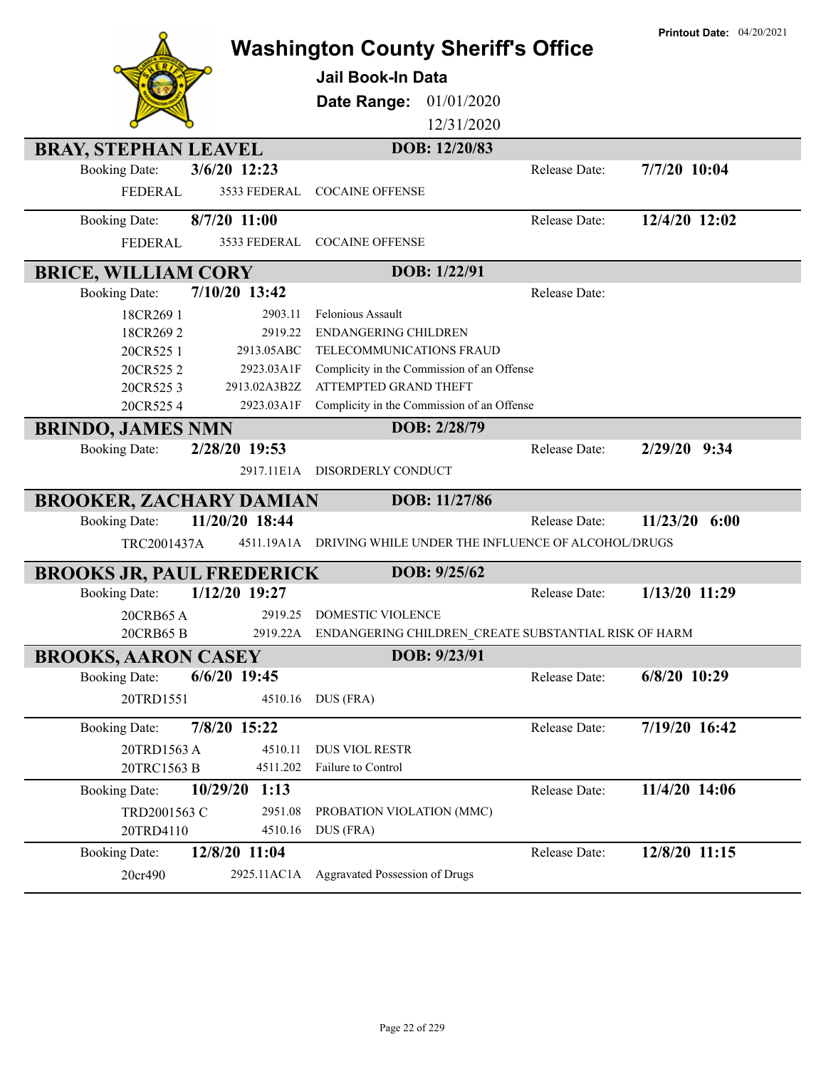|                                                     |                  | <b>Washington County Sheriff's Office</b>                     |               | <b>Printout Date: 04/20/2021</b> |
|-----------------------------------------------------|------------------|---------------------------------------------------------------|---------------|----------------------------------|
|                                                     |                  | <b>Jail Book-In Data</b>                                      |               |                                  |
|                                                     |                  | 01/01/2020<br>Date Range:                                     |               |                                  |
|                                                     |                  | 12/31/2020                                                    |               |                                  |
|                                                     |                  | DOB: 12/20/83                                                 |               |                                  |
| <b>BRAY, STEPHAN LEAVEL</b><br><b>Booking Date:</b> | 3/6/20 12:23     |                                                               | Release Date: | 7/7/20 10:04                     |
| <b>FEDERAL</b>                                      | 3533 FEDERAL     | <b>COCAINE OFFENSE</b>                                        |               |                                  |
|                                                     |                  |                                                               |               |                                  |
| <b>Booking Date:</b>                                | 8/7/20 11:00     |                                                               | Release Date: | 12/4/20 12:02                    |
| <b>FEDERAL</b>                                      | 3533 FEDERAL     | <b>COCAINE OFFENSE</b>                                        |               |                                  |
| <b>BRICE, WILLIAM CORY</b>                          |                  | DOB: 1/22/91                                                  |               |                                  |
| <b>Booking Date:</b>                                | 7/10/20 13:42    |                                                               | Release Date: |                                  |
| 18CR269 1                                           | 2903.11          | Felonious Assault                                             |               |                                  |
| 18CR2692                                            | 2919.22          | <b>ENDANGERING CHILDREN</b>                                   |               |                                  |
| 20CR525 1                                           | 2913.05ABC       | TELECOMMUNICATIONS FRAUD                                      |               |                                  |
| 20CR5252                                            | 2923.03A1F       | Complicity in the Commission of an Offense                    |               |                                  |
| 20CR5253                                            | 2913.02A3B2Z     | ATTEMPTED GRAND THEFT                                         |               |                                  |
| 20CR5254                                            | 2923.03A1F       | Complicity in the Commission of an Offense                    |               |                                  |
| <b>BRINDO, JAMES NMN</b>                            |                  | DOB: 2/28/79                                                  |               |                                  |
| <b>Booking Date:</b>                                | 2/28/20 19:53    |                                                               | Release Date: | 2/29/20 9:34                     |
|                                                     |                  | 2917.11E1A DISORDERLY CONDUCT                                 |               |                                  |
| <b>BROOKER, ZACHARY DAMIAN</b>                      |                  | DOB: 11/27/86                                                 |               |                                  |
| <b>Booking Date:</b>                                | 11/20/20 18:44   |                                                               | Release Date: | 11/23/20<br>6:00                 |
| TRC2001437A                                         |                  | 4511.19A1A DRIVING WHILE UNDER THE INFLUENCE OF ALCOHOL/DRUGS |               |                                  |
| <b>BROOKS JR, PAUL FREDERICK</b>                    |                  | DOB: 9/25/62                                                  |               |                                  |
| <b>Booking Date:</b>                                | 1/12/20 19:27    |                                                               | Release Date: | 1/13/20 11:29                    |
| 20CRB65 A                                           |                  | 2919.25 DOMESTIC VIOLENCE                                     |               |                                  |
| 20CRB65 B                                           |                  | 2919.22A ENDANGERING CHILDREN_CREATE SUBSTANTIAL RISK OF HARM |               |                                  |
| <b>BROOKS, AARON CASEY</b>                          |                  | DOB: 9/23/91                                                  |               |                                  |
| <b>Booking Date:</b>                                | $6/6/20$ 19:45   |                                                               | Release Date: | 6/8/20 10:29                     |
| 20TRD1551                                           | 4510.16          | DUS (FRA)                                                     |               |                                  |
|                                                     |                  |                                                               |               |                                  |
| <b>Booking Date:</b>                                | 7/8/20 15:22     |                                                               | Release Date: | 7/19/20 16:42                    |
| 20TRD1563 A                                         | 4510.11          | <b>DUS VIOL RESTR</b>                                         |               |                                  |
| 20TRC1563 B                                         | 4511.202         | Failure to Control                                            |               |                                  |
| <b>Booking Date:</b>                                | 10/29/20<br>1:13 |                                                               | Release Date: | 11/4/20 14:06                    |
| TRD2001563 C                                        | 2951.08          | PROBATION VIOLATION (MMC)                                     |               |                                  |
| 20TRD4110                                           | 4510.16          | DUS (FRA)                                                     |               |                                  |
| <b>Booking Date:</b>                                |                  |                                                               |               |                                  |
|                                                     | 12/8/20 11:04    |                                                               | Release Date: | 12/8/20 11:15                    |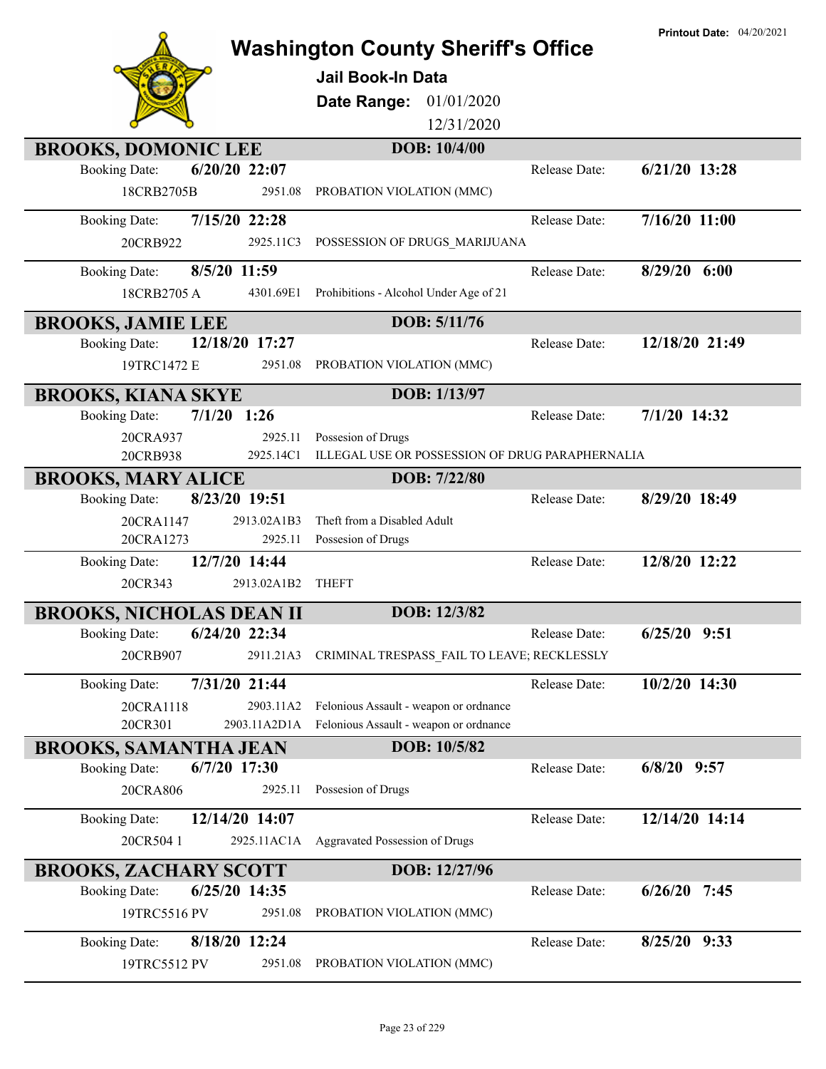|                                                                    | <b>Washington County Sheriff's Office</b><br><b>Jail Book-In Data</b><br>01/01/2020<br>Date Range: |                      | <b>Printout Date: 04/20/2021</b> |
|--------------------------------------------------------------------|----------------------------------------------------------------------------------------------------|----------------------|----------------------------------|
|                                                                    | 12/31/2020                                                                                         |                      |                                  |
| <b>BROOKS, DOMONIC LEE</b>                                         | DOB: 10/4/00                                                                                       |                      |                                  |
| $6/20/20$ 22:07<br><b>Booking Date:</b>                            |                                                                                                    | <b>Release Date:</b> | $6/21/20$ 13:28                  |
| 18CRB2705B<br>2951.08                                              | PROBATION VIOLATION (MMC)                                                                          |                      |                                  |
| 7/15/20 22:28<br><b>Booking Date:</b>                              |                                                                                                    | Release Date:        | $7/16/20$ 11:00                  |
| 2925.11C3<br>20CRB922                                              | POSSESSION OF DRUGS_MARIJUANA                                                                      |                      |                                  |
| 8/5/20 11:59<br><b>Booking Date:</b>                               |                                                                                                    | Release Date:        | 8/29/20 6:00                     |
| 18CRB2705A<br>4301.69E1                                            | Prohibitions - Alcohol Under Age of 21                                                             |                      |                                  |
| <b>BROOKS, JAMIE LEE</b>                                           | DOB: 5/11/76                                                                                       |                      |                                  |
| 12/18/20 17:27<br><b>Booking Date:</b>                             |                                                                                                    | Release Date:        | 12/18/20 21:49                   |
| 19TRC1472 E<br>2951.08                                             | PROBATION VIOLATION (MMC)                                                                          |                      |                                  |
| <b>BROOKS, KIANA SKYE</b>                                          | DOB: 1/13/97                                                                                       |                      |                                  |
| $7/1/20$ 1:26<br><b>Booking Date:</b>                              |                                                                                                    | Release Date:        | $7/1/20$ 14:32                   |
| 2925.11<br>20CRA937                                                | Possesion of Drugs                                                                                 |                      |                                  |
| 20CRB938<br>2925.14C1                                              | ILLEGAL USE OR POSSESSION OF DRUG PARAPHERNALIA                                                    |                      |                                  |
| <b>BROOKS, MARY ALICE</b><br>8/23/20 19:51<br><b>Booking Date:</b> | DOB: 7/22/80                                                                                       | Release Date:        | 8/29/20 18:49                    |
| 20CRA1147<br>2913.02A1B3                                           | Theft from a Disabled Adult                                                                        |                      |                                  |
| 20CRA1273<br>2925.11                                               | Possesion of Drugs                                                                                 |                      |                                  |
| 12/7/20 14:44<br><b>Booking Date:</b>                              |                                                                                                    | Release Date:        | 12/8/20 12:22                    |
| 20CR343<br>2913.02A1B2                                             | <b>THEFT</b>                                                                                       |                      |                                  |
| <b>BROOKS, NICHOLAS DEAN II</b>                                    | DOB: 12/3/82                                                                                       |                      |                                  |
| <b>Booking Date:</b><br>6/24/20 22:34                              |                                                                                                    | Release Date:        | 6/25/20 9:51                     |
| 20CRB907<br>2911.21A3                                              | CRIMINAL TRESPASS_FAIL TO LEAVE; RECKLESSLY                                                        |                      |                                  |
| 7/31/20 21:44<br><b>Booking Date:</b>                              |                                                                                                    | Release Date:        | 10/2/20 14:30                    |
| 20CRA1118<br>2903.11A2                                             | Felonious Assault - weapon or ordnance                                                             |                      |                                  |
| 20CR301<br>2903.11A2D1A                                            | Felonious Assault - weapon or ordnance                                                             |                      |                                  |
| <b>BROOKS, SAMANTHA JEAN</b>                                       | DOB: 10/5/82                                                                                       |                      |                                  |
| $6/7/20$ 17:30<br><b>Booking Date:</b>                             |                                                                                                    | Release Date:        | $6/8/20$ 9:57                    |
| 20CRA806<br>2925.11                                                | Possesion of Drugs                                                                                 |                      |                                  |
| 12/14/20 14:07<br><b>Booking Date:</b>                             |                                                                                                    | Release Date:        | 12/14/20 14:14                   |
| 20CR5041<br>2925.11AC1A                                            | Aggravated Possession of Drugs                                                                     |                      |                                  |
| <b>BROOKS, ZACHARY SCOTT</b>                                       | DOB: 12/27/96                                                                                      |                      |                                  |
| 6/25/20 14:35<br><b>Booking Date:</b>                              |                                                                                                    | Release Date:        | $6/26/20$ 7:45                   |
| 2951.08<br>19TRC5516 PV                                            | PROBATION VIOLATION (MMC)                                                                          |                      |                                  |
| 8/18/20 12:24<br><b>Booking Date:</b>                              |                                                                                                    | Release Date:        | 8/25/20 9:33                     |
| 19TRC5512 PV<br>2951.08                                            | PROBATION VIOLATION (MMC)                                                                          |                      |                                  |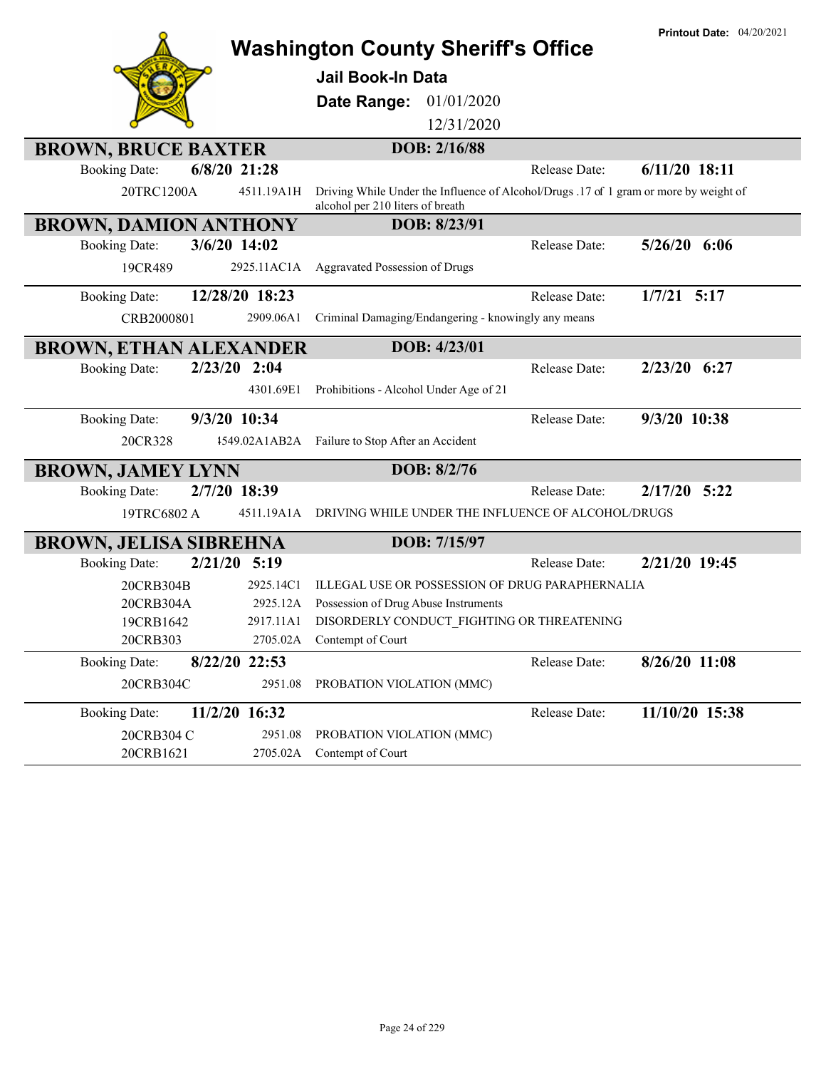|                               |                |                | <b>Washington County Sheriff's Office</b>            |              |                                                    | <b>Printout Date: 04/20/2021</b>                                                      |
|-------------------------------|----------------|----------------|------------------------------------------------------|--------------|----------------------------------------------------|---------------------------------------------------------------------------------------|
|                               |                |                | <b>Jail Book-In Data</b>                             |              |                                                    |                                                                                       |
|                               |                |                | Date Range:                                          | 01/01/2020   |                                                    |                                                                                       |
|                               |                |                |                                                      | 12/31/2020   |                                                    |                                                                                       |
| <b>BROWN, BRUCE BAXTER</b>    |                |                |                                                      | DOB: 2/16/88 |                                                    |                                                                                       |
| <b>Booking Date:</b>          | $6/8/20$ 21:28 |                |                                                      |              | Release Date:                                      | $6/11/20$ 18:11                                                                       |
| 20TRC1200A                    |                | 4511.19A1H     | alcohol per 210 liters of breath                     |              |                                                    | Driving While Under the Influence of Alcohol/Drugs .17 of 1 gram or more by weight of |
| <b>BROWN, DAMION ANTHONY</b>  |                |                |                                                      | DOB: 8/23/91 |                                                    |                                                                                       |
| <b>Booking Date:</b>          | 3/6/20 14:02   |                |                                                      |              | Release Date:                                      | $5/26/20$ 6:06                                                                        |
| 19CR489                       |                | 2925.11AC1A    | Aggravated Possession of Drugs                       |              |                                                    |                                                                                       |
| <b>Booking Date:</b>          |                | 12/28/20 18:23 |                                                      |              | Release Date:                                      | $1/7/21$ 5:17                                                                         |
| CRB2000801                    |                | 2909.06A1      | Criminal Damaging/Endangering - knowingly any means  |              |                                                    |                                                                                       |
| <b>BROWN, ETHAN ALEXANDER</b> |                |                |                                                      | DOB: 4/23/01 |                                                    |                                                                                       |
| <b>Booking Date:</b>          | 2/23/20 2:04   |                |                                                      |              | Release Date:                                      | 2/23/20 6:27                                                                          |
|                               |                | 4301.69E1      | Prohibitions - Alcohol Under Age of 21               |              |                                                    |                                                                                       |
| <b>Booking Date:</b>          | 9/3/20 10:34   |                |                                                      |              | Release Date:                                      | 9/3/20 10:38                                                                          |
| 20CR328                       |                |                | 4549.02A1AB2A Failure to Stop After an Accident      |              |                                                    |                                                                                       |
| <b>BROWN, JAMEY LYNN</b>      |                |                |                                                      | DOB: 8/2/76  |                                                    |                                                                                       |
| <b>Booking Date:</b>          | 2/7/20 18:39   |                |                                                      |              | Release Date:                                      | $2/17/20$ 5:22                                                                        |
| 19TRC6802 A                   |                | 4511.19A1A     |                                                      |              | DRIVING WHILE UNDER THE INFLUENCE OF ALCOHOL/DRUGS |                                                                                       |
| <b>BROWN, JELISA SIBREHNA</b> |                |                |                                                      | DOB: 7/15/97 |                                                    |                                                                                       |
| <b>Booking Date:</b>          | 2/21/20 5:19   |                |                                                      |              | Release Date:                                      | 2/21/20 19:45                                                                         |
| 20CRB304B                     |                | 2925.14C1      |                                                      |              | ILLEGAL USE OR POSSESSION OF DRUG PARAPHERNALIA    |                                                                                       |
| 20CRB304A                     |                | 2925.12A       | Possession of Drug Abuse Instruments                 |              |                                                    |                                                                                       |
| 19CRB1642                     |                |                | 2917.11A1 DISORDERLY CONDUCT FIGHTING OR THREATENING |              |                                                    |                                                                                       |
| 20CRB303                      |                | 2705.02A       | Contempt of Court                                    |              |                                                    |                                                                                       |
| <b>Booking Date:</b>          |                | 8/22/20 22:53  |                                                      |              | Release Date:                                      | 8/26/20 11:08                                                                         |
| 20CRB304C                     |                | 2951.08        | PROBATION VIOLATION (MMC)                            |              |                                                    |                                                                                       |
| <b>Booking Date:</b>          |                | 11/2/20 16:32  |                                                      |              | Release Date:                                      | 11/10/20 15:38                                                                        |
| 20CRB304 C                    |                | 2951.08        | PROBATION VIOLATION (MMC)                            |              |                                                    |                                                                                       |
| 20CRB1621                     |                | 2705.02A       | Contempt of Court                                    |              |                                                    |                                                                                       |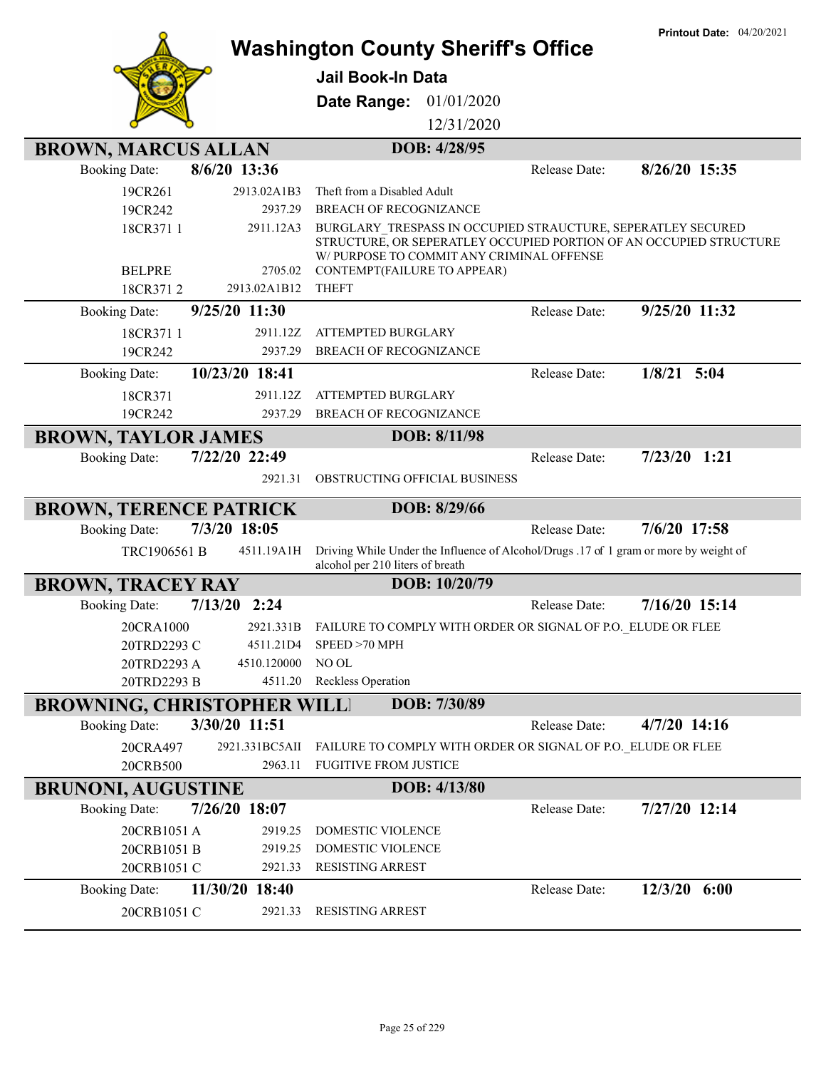|                                   |                         | <b>Washington County Sheriff's Office</b><br>Jail Book-In Data |               |                                                              | <b>Printout Date: 04/20/2021</b>                                                                                                   |
|-----------------------------------|-------------------------|----------------------------------------------------------------|---------------|--------------------------------------------------------------|------------------------------------------------------------------------------------------------------------------------------------|
|                                   |                         | Date Range:                                                    | 01/01/2020    |                                                              |                                                                                                                                    |
|                                   |                         |                                                                | 12/31/2020    |                                                              |                                                                                                                                    |
| <b>BROWN, MARCUS ALLAN</b>        |                         |                                                                | DOB: 4/28/95  |                                                              |                                                                                                                                    |
| <b>Booking Date:</b>              | 8/6/20 13:36            |                                                                |               | Release Date:                                                | 8/26/20 15:35                                                                                                                      |
| 19CR261                           | 2913.02A1B3             | Theft from a Disabled Adult                                    |               |                                                              |                                                                                                                                    |
| 19CR242                           | 2937.29                 | <b>BREACH OF RECOGNIZANCE</b>                                  |               |                                                              |                                                                                                                                    |
| 18CR371 1                         | 2911.12A3               | W/ PURPOSE TO COMMIT ANY CRIMINAL OFFENSE                      |               |                                                              | BURGLARY TRESPASS IN OCCUPIED STRAUCTURE, SEPERATLEY SECURED<br>STRUCTURE, OR SEPERATLEY OCCUPIED PORTION OF AN OCCUPIED STRUCTURE |
| <b>BELPRE</b><br>18CR3712         | 2705.02<br>2913.02A1B12 | CONTEMPT(FAILURE TO APPEAR)<br><b>THEFT</b>                    |               |                                                              |                                                                                                                                    |
| <b>Booking Date:</b>              | 9/25/20 11:30           |                                                                |               | Release Date:                                                | 9/25/20 11:32                                                                                                                      |
|                                   | 2911.12Z                | ATTEMPTED BURGLARY                                             |               |                                                              |                                                                                                                                    |
| 18CR371 1<br>19CR242              | 2937.29                 | BREACH OF RECOGNIZANCE                                         |               |                                                              |                                                                                                                                    |
| <b>Booking Date:</b>              | 10/23/20 18:41          |                                                                |               | Release Date:                                                | $1/8/21$ 5:04                                                                                                                      |
| 18CR371                           | 2911.12Z                | <b>ATTEMPTED BURGLARY</b>                                      |               |                                                              |                                                                                                                                    |
| 19CR242                           | 2937.29                 | <b>BREACH OF RECOGNIZANCE</b>                                  |               |                                                              |                                                                                                                                    |
| <b>BROWN, TAYLOR JAMES</b>        |                         |                                                                | DOB: 8/11/98  |                                                              |                                                                                                                                    |
| <b>Booking Date:</b>              | 7/22/20 22:49           |                                                                |               | Release Date:                                                | $7/23/20$ 1:21                                                                                                                     |
|                                   | 2921.31                 | OBSTRUCTING OFFICIAL BUSINESS                                  |               |                                                              |                                                                                                                                    |
|                                   |                         |                                                                |               |                                                              |                                                                                                                                    |
| <b>BROWN, TERENCE PATRICK</b>     | 7/3/20 18:05            |                                                                | DOB: 8/29/66  | Release Date:                                                | 7/6/20 17:58                                                                                                                       |
| <b>Booking Date:</b>              |                         |                                                                |               |                                                              |                                                                                                                                    |
| TRC1906561 B                      | 4511.19A1H              | alcohol per 210 liters of breath                               |               |                                                              | Driving While Under the Influence of Alcohol/Drugs .17 of 1 gram or more by weight of                                              |
| <b>BROWN, TRACEY RAY</b>          |                         |                                                                | DOB: 10/20/79 |                                                              |                                                                                                                                    |
| <b>Booking Date:</b>              | 7/13/20<br>2:24         |                                                                |               | Release Date:                                                | $7/16/20$ 15:14                                                                                                                    |
| 20CRA1000                         | 2921.331B               |                                                                |               | FAILURE TO COMPLY WITH ORDER OR SIGNAL OF P.O. ELUDE OR FLEE |                                                                                                                                    |
| 20TRD2293 C                       | 4511.21D4               | SPEED > 70 MPH                                                 |               |                                                              |                                                                                                                                    |
| 20TRD2293 A                       | 4510.120000             | NO OL                                                          |               |                                                              |                                                                                                                                    |
| 20TRD2293 B                       | 4511.20                 | Reckless Operation                                             |               |                                                              |                                                                                                                                    |
| <b>BROWNING, CHRISTOPHER WILL</b> |                         |                                                                | DOB: 7/30/89  |                                                              |                                                                                                                                    |
| <b>Booking Date:</b>              | 3/30/20 11:51           |                                                                |               | Release Date:                                                | 4/7/20 14:16                                                                                                                       |
| 20CRA497                          | 2921.331BC5AII          |                                                                |               | FAILURE TO COMPLY WITH ORDER OR SIGNAL OF P.O. ELUDE OR FLEE |                                                                                                                                    |
| 20CRB500                          | 2963.11                 | <b>FUGITIVE FROM JUSTICE</b>                                   |               |                                                              |                                                                                                                                    |
| <b>BRUNONI, AUGUSTINE</b>         |                         |                                                                | DOB: 4/13/80  |                                                              |                                                                                                                                    |
| <b>Booking Date:</b>              | 7/26/20 18:07           |                                                                |               | Release Date:                                                | 7/27/20 12:14                                                                                                                      |
| 20CRB1051 A                       | 2919.25                 | DOMESTIC VIOLENCE                                              |               |                                                              |                                                                                                                                    |
| 20CRB1051 B                       | 2919.25<br>2921.33      | DOMESTIC VIOLENCE<br><b>RESISTING ARREST</b>                   |               |                                                              |                                                                                                                                    |
| 20CRB1051 C                       |                         |                                                                |               |                                                              |                                                                                                                                    |
| <b>Booking Date:</b>              | 11/30/20 18:40          |                                                                |               | Release Date:                                                | 12/3/20 6:00                                                                                                                       |
| 20CRB1051 C                       | 2921.33                 | <b>RESISTING ARREST</b>                                        |               |                                                              |                                                                                                                                    |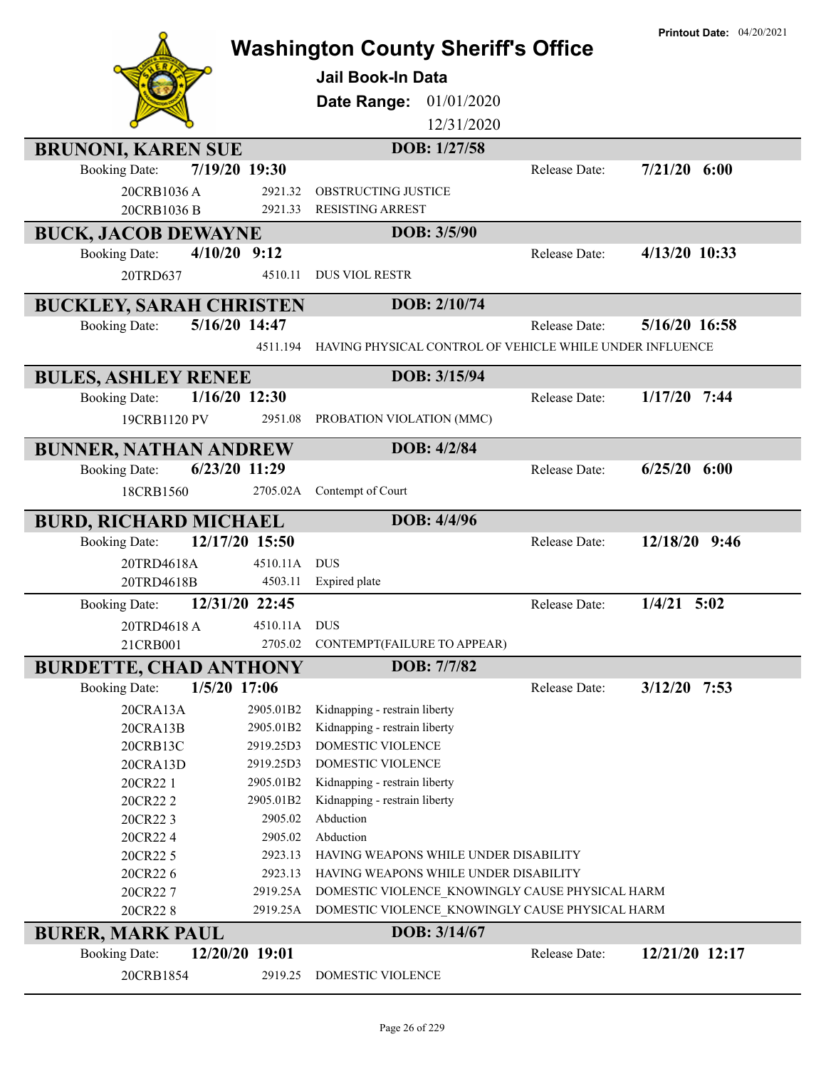|                                | <b>Printout Date: 04/20/2021</b> |                                                          |                      |                  |
|--------------------------------|----------------------------------|----------------------------------------------------------|----------------------|------------------|
|                                |                                  | <b>Washington County Sheriff's Office</b>                |                      |                  |
|                                |                                  | Jail Book-In Data                                        |                      |                  |
|                                |                                  | Date Range:<br>01/01/2020                                |                      |                  |
|                                |                                  | 12/31/2020                                               |                      |                  |
| <b>BRUNONI, KAREN SUE</b>      |                                  | DOB: 1/27/58                                             |                      |                  |
| <b>Booking Date:</b>           | 7/19/20 19:30                    |                                                          | Release Date:        | $7/21/20$ 6:00   |
| 20CRB1036A                     | 2921.32                          | OBSTRUCTING JUSTICE                                      |                      |                  |
| 20CRB1036 B                    | 2921.33                          | <b>RESISTING ARREST</b>                                  |                      |                  |
| <b>BUCK, JACOB DEWAYNE</b>     |                                  | DOB: 3/5/90                                              |                      |                  |
| <b>Booking Date:</b>           | $4/10/20$ 9:12                   |                                                          | Release Date:        | 4/13/20 10:33    |
| 20TRD637                       | 4510.11                          | <b>DUS VIOL RESTR</b>                                    |                      |                  |
| <b>BUCKLEY, SARAH CHRISTEN</b> |                                  | DOB: 2/10/74                                             |                      |                  |
| <b>Booking Date:</b>           | 5/16/20 14:47                    |                                                          | Release Date:        | 5/16/20 16:58    |
|                                | 4511.194                         | HAVING PHYSICAL CONTROL OF VEHICLE WHILE UNDER INFLUENCE |                      |                  |
|                                |                                  |                                                          |                      |                  |
| <b>BULES, ASHLEY RENEE</b>     |                                  | DOB: 3/15/94                                             |                      |                  |
| <b>Booking Date:</b>           | $1/16/20$ 12:30                  |                                                          | Release Date:        | $1/17/20$ 7:44   |
| 19CRB1120 PV                   | 2951.08                          | PROBATION VIOLATION (MMC)                                |                      |                  |
| <b>BUNNER, NATHAN ANDREW</b>   |                                  | DOB: 4/2/84                                              |                      |                  |
| <b>Booking Date:</b>           | 6/23/20 11:29                    |                                                          | <b>Release Date:</b> | $6/25/20$ $6:00$ |
| 18CRB1560                      | 2705.02A                         | Contempt of Court                                        |                      |                  |
| <b>BURD, RICHARD MICHAEL</b>   |                                  | DOB: 4/4/96                                              |                      |                  |
| <b>Booking Date:</b>           | 12/17/20 15:50                   |                                                          | Release Date:        | 12/18/20 9:46    |
| 20TRD4618A                     | 4510.11A                         | <b>DUS</b>                                               |                      |                  |
| 20TRD4618B                     | 4503.11                          | Expired plate                                            |                      |                  |
| <b>Booking Date:</b>           | 12/31/20 22:45                   |                                                          | Release Date:        | $1/4/21$ 5:02    |
| 20TRD4618 A                    | 4510.11A                         | <b>DUS</b>                                               |                      |                  |
| 21CRB001                       | 2705.02                          | CONTEMPT (FAILURE TO APPEAR)                             |                      |                  |
| <b>BURDETTE, CHAD ANTHONY</b>  |                                  | DOB: 7/7/82                                              |                      |                  |
| <b>Booking Date:</b>           | $1/5/20$ 17:06                   |                                                          | Release Date:        | $3/12/20$ 7:53   |
| 20CRA13A                       | 2905.01B2                        | Kidnapping - restrain liberty                            |                      |                  |
| 20CRA13B                       | 2905.01B2                        | Kidnapping - restrain liberty                            |                      |                  |
| 20CRB13C                       | 2919.25D3                        | DOMESTIC VIOLENCE                                        |                      |                  |
| 20CRA13D                       | 2919.25D3                        | DOMESTIC VIOLENCE                                        |                      |                  |
| 20CR22 1                       | 2905.01B2                        | Kidnapping - restrain liberty                            |                      |                  |
| 20CR222                        | 2905.01B2                        | Kidnapping - restrain liberty                            |                      |                  |
| 20CR223                        |                                  |                                                          |                      |                  |
|                                | 2905.02                          | Abduction                                                |                      |                  |
| 20CR224                        | 2905.02                          | Abduction                                                |                      |                  |
| 20CR22 5                       | 2923.13                          | HAVING WEAPONS WHILE UNDER DISABILITY                    |                      |                  |
| 20CR226                        | 2923.13                          | HAVING WEAPONS WHILE UNDER DISABILITY                    |                      |                  |
| 20CR227                        | 2919.25A                         | DOMESTIC VIOLENCE_KNOWINGLY CAUSE PHYSICAL HARM          |                      |                  |
| 20CR228                        | 2919.25A                         | DOMESTIC VIOLENCE_KNOWINGLY CAUSE PHYSICAL HARM          |                      |                  |
| <b>BURER, MARK PAUL</b>        |                                  | DOB: 3/14/67                                             |                      |                  |
| <b>Booking Date:</b>           | 12/20/20 19:01                   |                                                          | Release Date:        | 12/21/20 12:17   |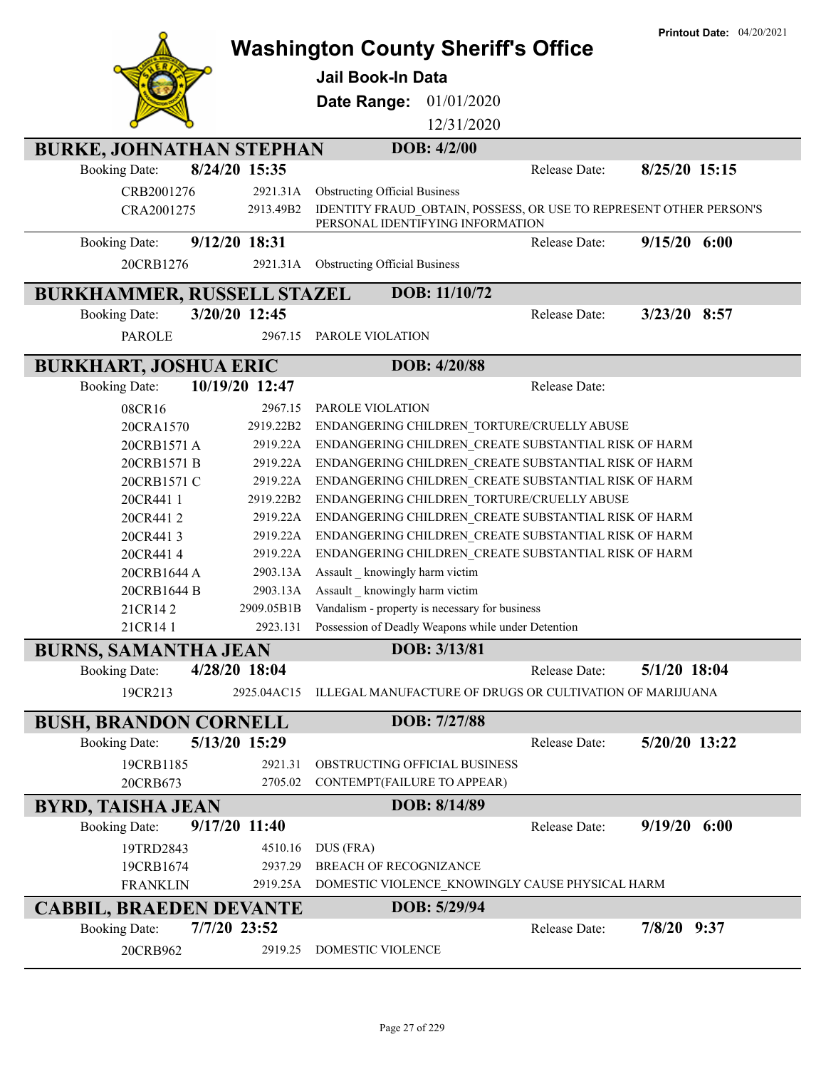|                                   |                | <b>Washington County Sheriff's Office</b>                          |               | <b>Printout Date: 04/20/2021</b> |
|-----------------------------------|----------------|--------------------------------------------------------------------|---------------|----------------------------------|
|                                   |                |                                                                    |               |                                  |
|                                   |                | Jail Book-In Data                                                  |               |                                  |
|                                   |                | Date Range:<br>01/01/2020                                          |               |                                  |
|                                   |                | 12/31/2020                                                         |               |                                  |
| <b>BURKE, JOHNATHAN STEPHAN</b>   |                | DOB: 4/2/00                                                        |               |                                  |
| <b>Booking Date:</b>              | 8/24/20 15:35  |                                                                    | Release Date: | 8/25/20 15:15                    |
| CRB2001276                        | 2921.31A       | <b>Obstructing Official Business</b>                               |               |                                  |
| CRA2001275                        | 2913.49B2      | IDENTITY FRAUD_OBTAIN, POSSESS, OR USE TO REPRESENT OTHER PERSON'S |               |                                  |
|                                   |                | PERSONAL IDENTIFYING INFORMATION                                   |               |                                  |
| <b>Booking Date:</b>              | 9/12/20 18:31  |                                                                    | Release Date: | $9/15/20$ 6:00                   |
| 20CRB1276                         | 2921.31A       | <b>Obstructing Official Business</b>                               |               |                                  |
| <b>BURKHAMMER, RUSSELL STAZEL</b> |                | DOB: 11/10/72                                                      |               |                                  |
| <b>Booking Date:</b>              | 3/20/20 12:45  |                                                                    | Release Date: | $3/23/20$ 8:57                   |
| <b>PAROLE</b>                     | 2967.15        | PAROLE VIOLATION                                                   |               |                                  |
|                                   |                |                                                                    |               |                                  |
| <b>BURKHART, JOSHUA ERIC</b>      |                | DOB: 4/20/88                                                       |               |                                  |
| <b>Booking Date:</b>              | 10/19/20 12:47 |                                                                    | Release Date: |                                  |
| 08CR16                            | 2967.15        | PAROLE VIOLATION                                                   |               |                                  |
| 20CRA1570                         | 2919.22B2      | ENDANGERING CHILDREN TORTURE/CRUELLY ABUSE                         |               |                                  |
| 20CRB1571 A                       | 2919.22A       | ENDANGERING CHILDREN CREATE SUBSTANTIAL RISK OF HARM               |               |                                  |
| 20CRB1571 B                       | 2919.22A       | ENDANGERING CHILDREN CREATE SUBSTANTIAL RISK OF HARM               |               |                                  |
| 20CRB1571 C                       | 2919.22A       | ENDANGERING CHILDREN_CREATE SUBSTANTIAL RISK OF HARM               |               |                                  |
| 20CR441 1                         | 2919.22B2      | ENDANGERING CHILDREN_TORTURE/CRUELLY ABUSE                         |               |                                  |
| 20CR4412                          | 2919.22A       | ENDANGERING CHILDREN_CREATE SUBSTANTIAL RISK OF HARM               |               |                                  |
| 20CR4413                          | 2919.22A       | ENDANGERING CHILDREN_CREATE SUBSTANTIAL RISK OF HARM               |               |                                  |
| 20CR4414                          | 2919.22A       | ENDANGERING CHILDREN CREATE SUBSTANTIAL RISK OF HARM               |               |                                  |
| 20CRB1644 A                       | 2903.13A       | Assault _ knowingly harm victim                                    |               |                                  |
| 20CRB1644 B                       | 2903.13A       | Assault knowingly harm victim                                      |               |                                  |
| 21CR142                           | 2909.05B1B     | Vandalism - property is necessary for business                     |               |                                  |
| 21CR141                           | 2923.131       | Possession of Deadly Weapons while under Detention                 |               |                                  |
| <b>BURNS, SAMANTHA JEAN</b>       |                | DOB: 3/13/81                                                       |               |                                  |
| <b>Booking Date:</b>              | 4/28/20 18:04  |                                                                    | Release Date: | 5/1/20 18:04                     |
| 19CR213                           | 2925.04AC15    | ILLEGAL MANUFACTURE OF DRUGS OR CULTIVATION OF MARIJUANA           |               |                                  |
| <b>BUSH, BRANDON CORNELL</b>      |                | DOB: 7/27/88                                                       |               |                                  |
| <b>Booking Date:</b>              | 5/13/20 15:29  |                                                                    | Release Date: | 5/20/20 13:22                    |
| 19CRB1185                         | 2921.31        | OBSTRUCTING OFFICIAL BUSINESS                                      |               |                                  |
| 20CRB673                          | 2705.02        | CONTEMPT(FAILURE TO APPEAR)                                        |               |                                  |
| <b>BYRD, TAISHA JEAN</b>          |                | DOB: 8/14/89                                                       |               |                                  |
| <b>Booking Date:</b>              | 9/17/20 11:40  |                                                                    | Release Date: | $9/19/20$ 6:00                   |
| 19TRD2843                         | 4510.16        | DUS (FRA)                                                          |               |                                  |
| 19CRB1674                         | 2937.29        | <b>BREACH OF RECOGNIZANCE</b>                                      |               |                                  |
| <b>FRANKLIN</b>                   | 2919.25A       | DOMESTIC VIOLENCE KNOWINGLY CAUSE PHYSICAL HARM                    |               |                                  |
| <b>CABBIL, BRAEDEN DEVANTE</b>    |                | DOB: 5/29/94                                                       |               |                                  |
| <b>Booking Date:</b>              | 7/7/20 23:52   |                                                                    | Release Date: | 7/8/20 9:37                      |
| 20CRB962                          | 2919.25        | DOMESTIC VIOLENCE                                                  |               |                                  |
|                                   |                |                                                                    |               |                                  |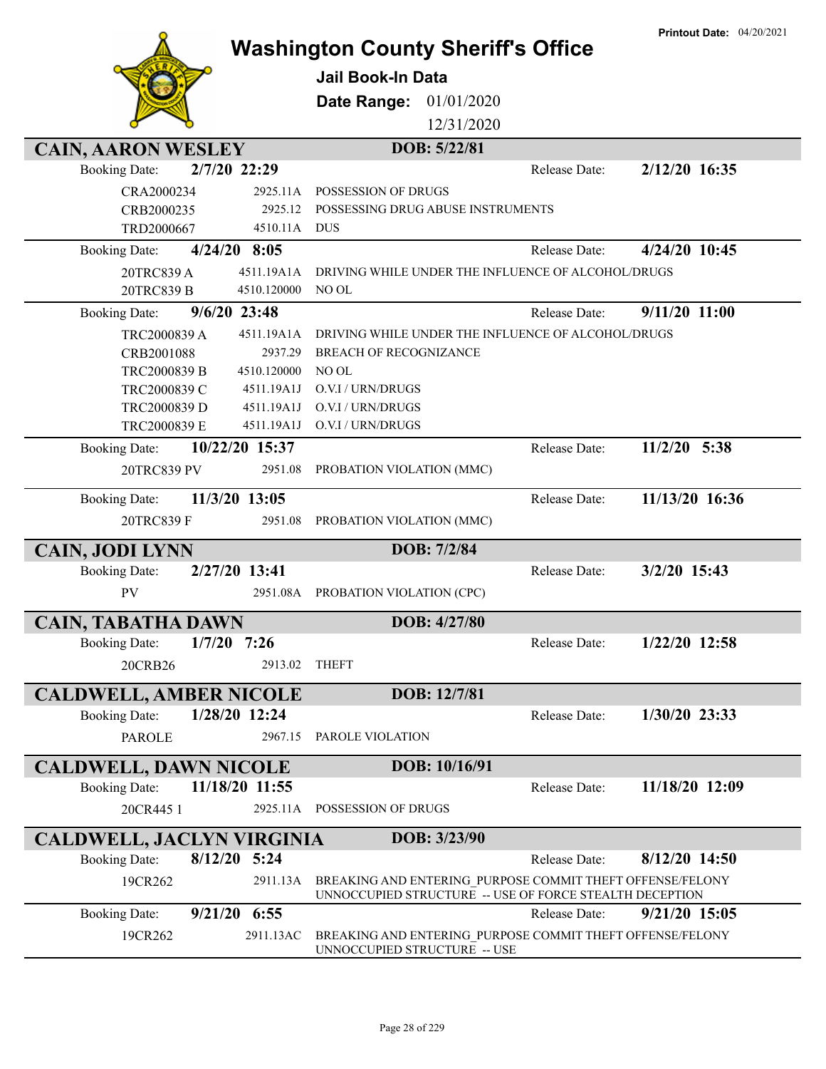|                                  |                           | <b>Washington County Sheriff's Office</b>                                                                            |               | <b>Printout Date: 04/20/2021</b> |
|----------------------------------|---------------------------|----------------------------------------------------------------------------------------------------------------------|---------------|----------------------------------|
|                                  |                           | Jail Book-In Data                                                                                                    |               |                                  |
|                                  |                           | Date Range:<br>01/01/2020                                                                                            |               |                                  |
|                                  |                           | 12/31/2020                                                                                                           |               |                                  |
|                                  |                           |                                                                                                                      |               |                                  |
| <b>CAIN, AARON WESLEY</b>        |                           | DOB: 5/22/81                                                                                                         | Release Date: | 2/12/20 16:35                    |
| <b>Booking Date:</b>             | 2/7/20 22:29              |                                                                                                                      |               |                                  |
| CRA2000234                       | 2925.11A                  | POSSESSION OF DRUGS                                                                                                  |               |                                  |
| CRB2000235<br>TRD2000667         | 2925.12<br>4510.11A       | POSSESSING DRUG ABUSE INSTRUMENTS<br><b>DUS</b>                                                                      |               |                                  |
|                                  | $4/24/20$ 8:05            |                                                                                                                      | Release Date: | 4/24/20 10:45                    |
| <b>Booking Date:</b>             |                           |                                                                                                                      |               |                                  |
| 20TRC839 A<br>20TRC839 B         | 4511.19A1A<br>4510.120000 | DRIVING WHILE UNDER THE INFLUENCE OF ALCOHOL/DRUGS<br>NO OL                                                          |               |                                  |
|                                  | $9/6/20$ 23:48            |                                                                                                                      | Release Date: | $9/11/20$ 11:00                  |
| <b>Booking Date:</b>             |                           |                                                                                                                      |               |                                  |
| TRC2000839 A<br>CRB2001088       | 4511.19A1A<br>2937.29     | DRIVING WHILE UNDER THE INFLUENCE OF ALCOHOL/DRUGS<br><b>BREACH OF RECOGNIZANCE</b>                                  |               |                                  |
| TRC2000839 B                     | 4510.120000               | NO OL                                                                                                                |               |                                  |
| TRC2000839 C                     | 4511.19A1J                | O.V.I / URN/DRUGS                                                                                                    |               |                                  |
| TRC2000839 D                     | 4511.19A1J                | O.V.I / URN/DRUGS                                                                                                    |               |                                  |
| TRC2000839 E                     | 4511.19A1J                | O.V.I / URN/DRUGS                                                                                                    |               |                                  |
| <b>Booking Date:</b>             | 10/22/20 15:37            |                                                                                                                      | Release Date: | $11/2/20$ 5:38                   |
| 20TRC839 PV                      | 2951.08                   | PROBATION VIOLATION (MMC)                                                                                            |               |                                  |
|                                  |                           |                                                                                                                      |               |                                  |
| <b>Booking Date:</b>             | 11/3/20 13:05             |                                                                                                                      | Release Date: | 11/13/20 16:36                   |
| 20TRC839 F                       | 2951.08                   | PROBATION VIOLATION (MMC)                                                                                            |               |                                  |
| <b>CAIN, JODI LYNN</b>           |                           | DOB: 7/2/84                                                                                                          |               |                                  |
| <b>Booking Date:</b>             | 2/27/20 13:41             |                                                                                                                      | Release Date: | 3/2/20 15:43                     |
| PV                               | 2951.08A                  | PROBATION VIOLATION (CPC)                                                                                            |               |                                  |
|                                  |                           |                                                                                                                      |               |                                  |
| <b>CAIN, TABATHA DAWN</b>        |                           | DOB: 4/27/80                                                                                                         |               |                                  |
| <b>Booking Date:</b>             | $1/7/20$ 7:26             |                                                                                                                      | Release Date: | 1/22/20 12:58                    |
| 20CRB26                          | 2913.02                   | <b>THEFT</b>                                                                                                         |               |                                  |
| <b>CALDWELL, AMBER NICOLE</b>    |                           | DOB: 12/7/81                                                                                                         |               |                                  |
| <b>Booking Date:</b>             | 1/28/20 12:24             |                                                                                                                      | Release Date: | 1/30/20 23:33                    |
| <b>PAROLE</b>                    | 2967.15                   | PAROLE VIOLATION                                                                                                     |               |                                  |
|                                  |                           |                                                                                                                      |               |                                  |
| <b>CALDWELL, DAWN NICOLE</b>     |                           | DOB: 10/16/91                                                                                                        |               |                                  |
| <b>Booking Date:</b>             | 11/18/20 11:55            |                                                                                                                      | Release Date: | 11/18/20 12:09                   |
| 20CR445 1                        |                           | 2925.11A POSSESSION OF DRUGS                                                                                         |               |                                  |
| <b>CALDWELL, JACLYN VIRGINIA</b> |                           | DOB: 3/23/90                                                                                                         |               |                                  |
| <b>Booking Date:</b>             | 8/12/20 5:24              |                                                                                                                      | Release Date: | 8/12/20 14:50                    |
| 19CR262                          | 2911.13A                  | BREAKING AND ENTERING PURPOSE COMMIT THEFT OFFENSE/FELONY<br>UNNOCCUPIED STRUCTURE -- USE OF FORCE STEALTH DECEPTION |               |                                  |
| <b>Booking Date:</b>             | $9/21/20$ 6:55            |                                                                                                                      | Release Date: | 9/21/20 15:05                    |
| 19CR262                          | 2911.13AC                 | BREAKING AND ENTERING PURPOSE COMMIT THEFT OFFENSE/FELONY<br>UNNOCCUPIED STRUCTURE -- USE                            |               |                                  |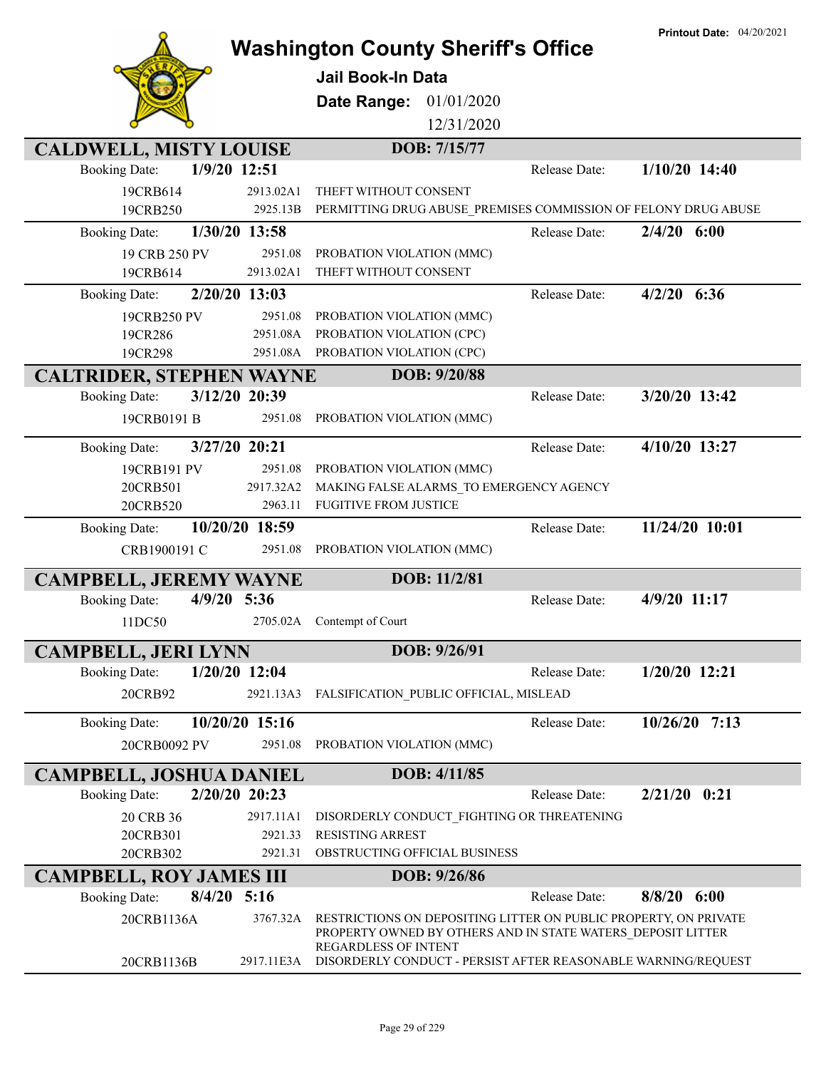|                                 |                 | <b>Washington County Sheriff's Office</b><br><b>Jail Book-In Data</b><br>Date Range:<br>01/01/2020                                                             | <b>Printout Date: 04/20/2021</b> |
|---------------------------------|-----------------|----------------------------------------------------------------------------------------------------------------------------------------------------------------|----------------------------------|
|                                 |                 | 12/31/2020                                                                                                                                                     |                                  |
| <b>CALDWELL, MISTY LOUISE</b>   |                 | DOB: 7/15/77                                                                                                                                                   |                                  |
| <b>Booking Date:</b>            | 1/9/20 12:51    | Release Date:                                                                                                                                                  | $1/10/20$ 14:40                  |
| 19CRB614                        | 2913.02A1       | THEFT WITHOUT CONSENT                                                                                                                                          |                                  |
| 19CRB250                        | 2925.13B        | PERMITTING DRUG ABUSE_PREMISES COMMISSION OF FELONY DRUG ABUSE                                                                                                 |                                  |
| <b>Booking Date:</b>            | 1/30/20 13:58   | Release Date:                                                                                                                                                  | $2/4/20$ 6:00                    |
| 19 CRB 250 PV                   | 2951.08         | PROBATION VIOLATION (MMC)                                                                                                                                      |                                  |
| 19CRB614                        | 2913.02A1       | THEFT WITHOUT CONSENT                                                                                                                                          |                                  |
| <b>Booking Date:</b>            | 2/20/20 13:03   | Release Date:                                                                                                                                                  | $4/2/20$ 6:36                    |
| 19CRB250 PV                     | 2951.08         | PROBATION VIOLATION (MMC)                                                                                                                                      |                                  |
| 19CR286                         | 2951.08A        | PROBATION VIOLATION (CPC)                                                                                                                                      |                                  |
| 19CR298                         | 2951.08A        | PROBATION VIOLATION (CPC)                                                                                                                                      |                                  |
| <b>CALTRIDER, STEPHEN WAYNE</b> |                 | DOB: 9/20/88                                                                                                                                                   |                                  |
| <b>Booking Date:</b>            | 3/12/20 20:39   | Release Date:                                                                                                                                                  | 3/20/20 13:42                    |
|                                 | 2951.08         |                                                                                                                                                                |                                  |
| 19CRB0191 B                     |                 | PROBATION VIOLATION (MMC)                                                                                                                                      |                                  |
| <b>Booking Date:</b>            | 3/27/20 20:21   | Release Date:                                                                                                                                                  | 4/10/20 13:27                    |
| 19CRB191 PV                     | 2951.08         | PROBATION VIOLATION (MMC)                                                                                                                                      |                                  |
| 20CRB501                        | 2917.32A2       | MAKING FALSE ALARMS_TO EMERGENCY AGENCY                                                                                                                        |                                  |
| 20CRB520                        | 2963.11         | <b>FUGITIVE FROM JUSTICE</b>                                                                                                                                   |                                  |
| <b>Booking Date:</b>            | 10/20/20 18:59  | Release Date:                                                                                                                                                  | 11/24/20 10:01                   |
| CRB1900191 C                    | 2951.08         | PROBATION VIOLATION (MMC)                                                                                                                                      |                                  |
|                                 |                 |                                                                                                                                                                |                                  |
| <b>CAMPBELL, JEREMY WAYNE</b>   |                 | DOB: 11/2/81                                                                                                                                                   |                                  |
| <b>Booking Date:</b>            | $4/9/20$ 5:36   | Release Date:                                                                                                                                                  | 4/9/20 11:17                     |
| 11DC50                          | 2705.02A        | Contempt of Court                                                                                                                                              |                                  |
| <b>CAMPBELL, JERI LYNN</b>      |                 | DOB: 9/26/91                                                                                                                                                   |                                  |
| <b>Booking Date:</b>            | $1/20/20$ 12:04 | Release Date:                                                                                                                                                  | $1/20/20$ 12:21                  |
|                                 |                 |                                                                                                                                                                |                                  |
| 20CRB92                         | 2921.13A3       | FALSIFICATION_PUBLIC OFFICIAL, MISLEAD                                                                                                                         |                                  |
| <b>Booking Date:</b>            | 10/20/20 15:16  | Release Date:                                                                                                                                                  | $10/26/20$ 7:13                  |
| 20CRB0092 PV                    | 2951.08         | PROBATION VIOLATION (MMC)                                                                                                                                      |                                  |
|                                 |                 |                                                                                                                                                                |                                  |
| <b>CAMPBELL, JOSHUA DANIEL</b>  |                 | DOB: 4/11/85                                                                                                                                                   |                                  |
| <b>Booking Date:</b>            | 2/20/20 20:23   | Release Date:                                                                                                                                                  | $2/21/20$ 0:21                   |
| 20 CRB 36                       | 2917.11A1       | DISORDERLY CONDUCT_FIGHTING OR THREATENING                                                                                                                     |                                  |
| 20CRB301                        | 2921.33         | <b>RESISTING ARREST</b>                                                                                                                                        |                                  |
| 20CRB302                        | 2921.31         | OBSTRUCTING OFFICIAL BUSINESS                                                                                                                                  |                                  |
| <b>CAMPBELL, ROY JAMES III</b>  |                 | DOB: 9/26/86                                                                                                                                                   |                                  |
| <b>Booking Date:</b>            | $8/4/20$ 5:16   | Release Date:                                                                                                                                                  | $8/8/20$ 6:00                    |
| 20CRB1136A                      | 3767.32A        | RESTRICTIONS ON DEPOSITING LITTER ON PUBLIC PROPERTY, ON PRIVATE<br>PROPERTY OWNED BY OTHERS AND IN STATE WATERS DEPOSIT LITTER<br><b>REGARDLESS OF INTENT</b> |                                  |
| 20CRB1136B                      | 2917.11E3A      | DISORDERLY CONDUCT - PERSIST AFTER REASONABLE WARNING/REQUEST                                                                                                  |                                  |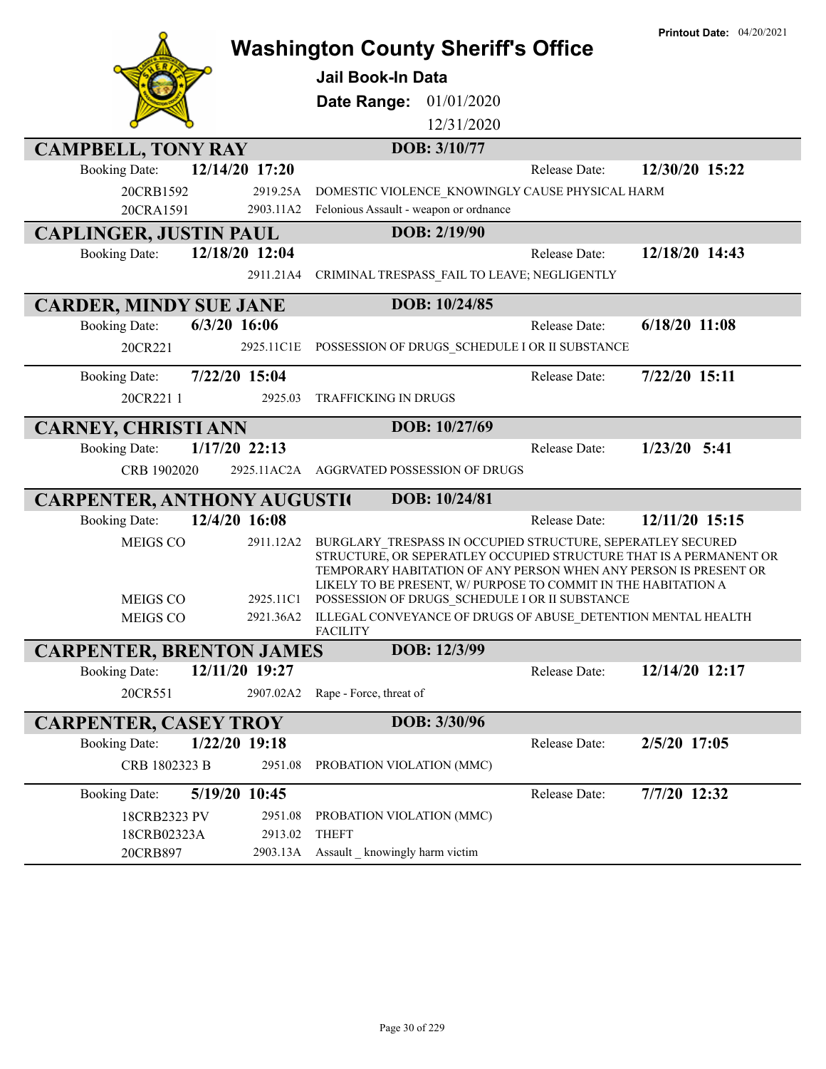|                                                       | <b>Washington County Sheriff's Office</b>                                                                                                                                                                                                                                                                                 | <b>Printout Date: 04/20/2021</b> |
|-------------------------------------------------------|---------------------------------------------------------------------------------------------------------------------------------------------------------------------------------------------------------------------------------------------------------------------------------------------------------------------------|----------------------------------|
|                                                       | Jail Book-In Data                                                                                                                                                                                                                                                                                                         |                                  |
|                                                       | Date Range:<br>01/01/2020                                                                                                                                                                                                                                                                                                 |                                  |
|                                                       | 12/31/2020                                                                                                                                                                                                                                                                                                                |                                  |
| <b>CAMPBELL, TONY RAY</b>                             | DOB: 3/10/77                                                                                                                                                                                                                                                                                                              |                                  |
| 12/14/20 17:20<br><b>Booking Date:</b>                | Release Date:                                                                                                                                                                                                                                                                                                             | 12/30/20 15:22                   |
| 20CRB1592<br>2919.25A                                 | DOMESTIC VIOLENCE_KNOWINGLY CAUSE PHYSICAL HARM                                                                                                                                                                                                                                                                           |                                  |
| 20CRA1591<br>2903.11A2                                | Felonious Assault - weapon or ordnance                                                                                                                                                                                                                                                                                    |                                  |
| <b>CAPLINGER, JUSTIN PAUL</b>                         | DOB: 2/19/90                                                                                                                                                                                                                                                                                                              |                                  |
| 12/18/20 12:04<br><b>Booking Date:</b>                | Release Date:                                                                                                                                                                                                                                                                                                             | 12/18/20 14:43                   |
| 2911.21A4                                             | CRIMINAL TRESPASS_FAIL TO LEAVE; NEGLIGENTLY                                                                                                                                                                                                                                                                              |                                  |
| <b>CARDER, MINDY SUE JANE</b>                         | DOB: 10/24/85                                                                                                                                                                                                                                                                                                             |                                  |
| $6/3/20$ 16:06<br><b>Booking Date:</b>                | Release Date:                                                                                                                                                                                                                                                                                                             | $6/18/20$ 11:08                  |
| 20CR221<br>2925.11C1E                                 | POSSESSION OF DRUGS SCHEDULE I OR II SUBSTANCE                                                                                                                                                                                                                                                                            |                                  |
| 7/22/20 15:04<br><b>Booking Date:</b>                 | Release Date:                                                                                                                                                                                                                                                                                                             | 7/22/20 15:11                    |
| 20CR221 1<br>2925.03                                  | TRAFFICKING IN DRUGS                                                                                                                                                                                                                                                                                                      |                                  |
| <b>CARNEY, CHRISTI ANN</b>                            | DOB: 10/27/69                                                                                                                                                                                                                                                                                                             |                                  |
| 1/17/20 22:13<br><b>Booking Date:</b>                 | Release Date:                                                                                                                                                                                                                                                                                                             | $1/23/20$ 5:41                   |
| CRB 1902020                                           | 2925.11AC2A AGGRVATED POSSESSION OF DRUGS                                                                                                                                                                                                                                                                                 |                                  |
| <b>CARPENTER, ANTHONY AUGUSTIC</b>                    | DOB: 10/24/81                                                                                                                                                                                                                                                                                                             |                                  |
| 12/4/20 16:08<br><b>Booking Date:</b>                 | Release Date:                                                                                                                                                                                                                                                                                                             | 12/11/20 15:15                   |
| MEIGS CO<br>2911.12A2<br><b>MEIGS CO</b><br>2925.11C1 | BURGLARY_TRESPASS IN OCCUPIED STRUCTURE, SEPERATLEY SECURED<br>STRUCTURE, OR SEPERATLEY OCCUPIED STRUCTURE THAT IS A PERMANENT OR<br>TEMPORARY HABITATION OF ANY PERSON WHEN ANY PERSON IS PRESENT OR<br>LIKELY TO BE PRESENT, W/ PURPOSE TO COMMIT IN THE HABITATION A<br>POSSESSION OF DRUGS_SCHEDULE I OR II SUBSTANCE |                                  |
| <b>MEIGS CO</b><br>2921.36A2                          | ILLEGAL CONVEYANCE OF DRUGS OF ABUSE DETENTION MENTAL HEALTH                                                                                                                                                                                                                                                              |                                  |
| <b>CARPENTER, BRENTON JAMES</b>                       | <b>FACILITY</b><br>DOB: 12/3/99                                                                                                                                                                                                                                                                                           |                                  |
| 12/11/20 19:27<br><b>Booking Date:</b>                | Release Date:                                                                                                                                                                                                                                                                                                             | 12/14/20 12:17                   |
| 20CR551<br>2907.02A2                                  | Rape - Force, threat of                                                                                                                                                                                                                                                                                                   |                                  |
| <b>CARPENTER, CASEY TROY</b>                          | DOB: 3/30/96                                                                                                                                                                                                                                                                                                              |                                  |
| 1/22/20 19:18<br><b>Booking Date:</b>                 | Release Date:                                                                                                                                                                                                                                                                                                             | 2/5/20 17:05                     |
| CRB 1802323 B<br>2951.08                              | PROBATION VIOLATION (MMC)                                                                                                                                                                                                                                                                                                 |                                  |
| <b>Booking Date:</b><br>5/19/20 10:45                 | Release Date:                                                                                                                                                                                                                                                                                                             | 7/7/20 12:32                     |
| 18CRB2323 PV<br>2951.08                               | PROBATION VIOLATION (MMC)                                                                                                                                                                                                                                                                                                 |                                  |
| 18CRB02323A<br>2913.02                                | <b>THEFT</b>                                                                                                                                                                                                                                                                                                              |                                  |
| 20CRB897<br>2903.13A                                  | Assault _ knowingly harm victim                                                                                                                                                                                                                                                                                           |                                  |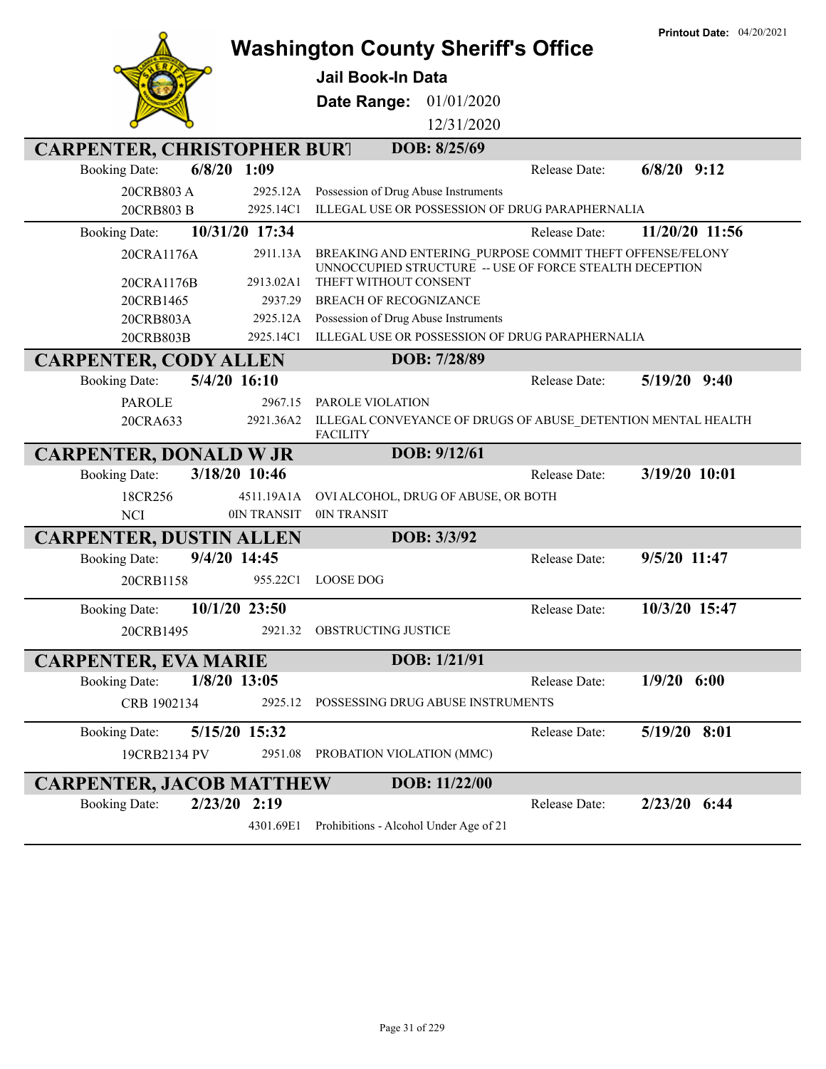|                                        |                | <b>Washington County Sheriff's Office</b>                                                                            |               | <b>Printout Date: 04/20/2021</b> |
|----------------------------------------|----------------|----------------------------------------------------------------------------------------------------------------------|---------------|----------------------------------|
|                                        |                | <b>Jail Book-In Data</b>                                                                                             |               |                                  |
|                                        |                | Date Range: 01/01/2020                                                                                               |               |                                  |
|                                        |                | 12/31/2020                                                                                                           |               |                                  |
|                                        |                |                                                                                                                      |               |                                  |
| <b>CARPENTER, CHRISTOPHER BURT</b>     |                | DOB: 8/25/69                                                                                                         |               |                                  |
| $6/8/20$ 1:09<br><b>Booking Date:</b>  |                |                                                                                                                      | Release Date: | $6/8/20$ 9:12                    |
| 20CRB803 A                             | 2925.12A       | Possession of Drug Abuse Instruments                                                                                 |               |                                  |
| 20CRB803 B                             | 2925.14C1      | ILLEGAL USE OR POSSESSION OF DRUG PARAPHERNALIA                                                                      |               |                                  |
| <b>Booking Date:</b>                   | 10/31/20 17:34 |                                                                                                                      | Release Date: | 11/20/20 11:56                   |
| 20CRA1176A                             | 2911.13A       | BREAKING AND ENTERING_PURPOSE COMMIT THEFT OFFENSE/FELONY<br>UNNOCCUPIED STRUCTURE -- USE OF FORCE STEALTH DECEPTION |               |                                  |
| 20CRA1176B                             | 2913.02A1      | THEFT WITHOUT CONSENT                                                                                                |               |                                  |
| 20CRB1465                              | 2937.29        | <b>BREACH OF RECOGNIZANCE</b>                                                                                        |               |                                  |
| 20CRB803A                              | 2925.12A       | Possession of Drug Abuse Instruments                                                                                 |               |                                  |
| 20CRB803B                              | 2925.14C1      | ILLEGAL USE OR POSSESSION OF DRUG PARAPHERNALIA                                                                      |               |                                  |
| <b>CARPENTER, CODY ALLEN</b>           |                | DOB: 7/28/89                                                                                                         |               |                                  |
| 5/4/20 16:10<br><b>Booking Date:</b>   |                |                                                                                                                      | Release Date: | $5/19/20$ 9:40                   |
| <b>PAROLE</b>                          | 2967.15        | PAROLE VIOLATION                                                                                                     |               |                                  |
| 20CRA633                               | 2921.36A2      | ILLEGAL CONVEYANCE OF DRUGS OF ABUSE_DETENTION MENTAL HEALTH<br><b>FACILITY</b>                                      |               |                                  |
| <b>CARPENTER, DONALD W JR</b>          |                | DOB: 9/12/61                                                                                                         |               |                                  |
| 3/18/20 10:46<br><b>Booking Date:</b>  |                |                                                                                                                      | Release Date: | 3/19/20 10:01                    |
| 18CR256                                | 4511.19A1A     | OVI ALCOHOL, DRUG OF ABUSE, OR BOTH                                                                                  |               |                                  |
| <b>NCI</b>                             | 0IN TRANSIT    | 0IN TRANSIT                                                                                                          |               |                                  |
| <b>CARPENTER, DUSTIN ALLEN</b>         |                | DOB: 3/3/92                                                                                                          |               |                                  |
| 9/4/20 14:45<br><b>Booking Date:</b>   |                |                                                                                                                      | Release Date: | 9/5/20 11:47                     |
| 20CRB1158                              | 955.22C1       | <b>LOOSE DOG</b>                                                                                                     |               |                                  |
| 10/1/20 23:50<br><b>Booking Date:</b>  |                |                                                                                                                      | Release Date: | 10/3/20 15:47                    |
| 20CRB1495                              |                | 2921.32 OBSTRUCTING JUSTICE                                                                                          |               |                                  |
| <b>CARPENTER, EVA MARIE</b>            |                | DOB: 1/21/91                                                                                                         |               |                                  |
| $1/8/20$ 13:05<br><b>Booking Date:</b> |                |                                                                                                                      | Release Date: | $1/9/20$ 6:00                    |
| CRB 1902134                            | 2925.12        | POSSESSING DRUG ABUSE INSTRUMENTS                                                                                    |               |                                  |
| 5/15/20 15:32<br><b>Booking Date:</b>  |                |                                                                                                                      | Release Date: | 5/19/20 8:01                     |
| 19CRB2134 PV                           | 2951.08        | PROBATION VIOLATION (MMC)                                                                                            |               |                                  |
| <b>CARPENTER, JACOB MATTHEW</b>        |                | DOB: 11/22/00                                                                                                        |               |                                  |
| <b>Booking Date:</b><br>$2/23/20$ 2:19 |                |                                                                                                                      | Release Date: | 2/23/20 6:44                     |
|                                        | 4301.69E1      | Prohibitions - Alcohol Under Age of 21                                                                               |               |                                  |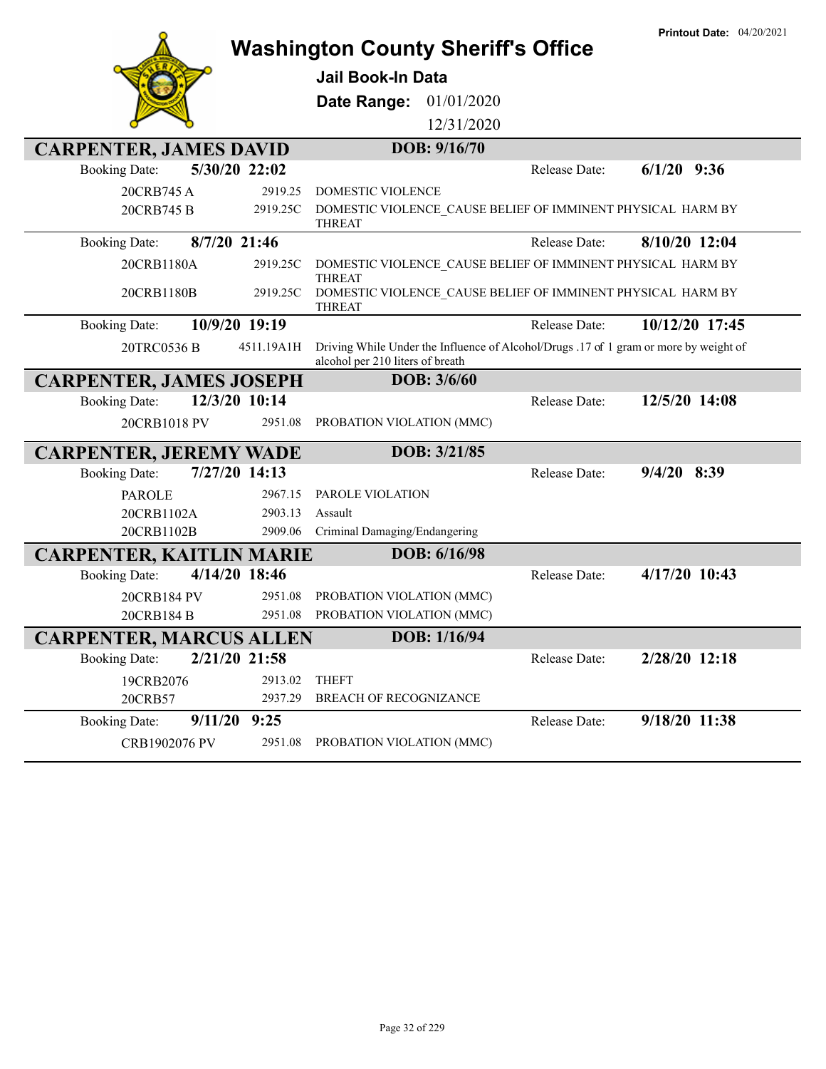|                                 | <b>Printout Date: 04/20/2021</b> |                                                                                                                           |               |                |
|---------------------------------|----------------------------------|---------------------------------------------------------------------------------------------------------------------------|---------------|----------------|
|                                 |                                  | <b>Jail Book-In Data</b>                                                                                                  |               |                |
|                                 |                                  | 01/01/2020<br>Date Range:                                                                                                 |               |                |
|                                 |                                  | 12/31/2020                                                                                                                |               |                |
| <b>CARPENTER, JAMES DAVID</b>   |                                  | DOB: 9/16/70                                                                                                              |               |                |
| <b>Booking Date:</b>            | 5/30/20 22:02                    |                                                                                                                           | Release Date: | $6/1/20$ 9:36  |
| 20CRB745 A                      | 2919.25                          | <b>DOMESTIC VIOLENCE</b>                                                                                                  |               |                |
| 20CRB745 B                      | 2919.25C                         | DOMESTIC VIOLENCE_CAUSE BELIEF OF IMMINENT PHYSICAL HARM BY<br><b>THREAT</b>                                              |               |                |
| <b>Booking Date:</b>            | 8/7/20 21:46                     |                                                                                                                           | Release Date: | 8/10/20 12:04  |
| 20CRB1180A                      | 2919.25C                         | DOMESTIC VIOLENCE CAUSE BELIEF OF IMMINENT PHYSICAL HARM BY<br><b>THREAT</b>                                              |               |                |
| 20CRB1180B                      | 2919.25C                         | DOMESTIC VIOLENCE CAUSE BELIEF OF IMMINENT PHYSICAL HARM BY<br><b>THREAT</b>                                              |               |                |
| <b>Booking Date:</b>            | 10/9/20 19:19                    |                                                                                                                           | Release Date: | 10/12/20 17:45 |
| 20TRC0536 B                     | 4511.19A1H                       | Driving While Under the Influence of Alcohol/Drugs .17 of 1 gram or more by weight of<br>alcohol per 210 liters of breath |               |                |
| <b>CARPENTER, JAMES JOSEPH</b>  |                                  | <b>DOB: 3/6/60</b>                                                                                                        |               |                |
| <b>Booking Date:</b>            | 12/3/20 10:14                    |                                                                                                                           | Release Date: | 12/5/20 14:08  |
| 20CRB1018 PV                    | 2951.08                          | PROBATION VIOLATION (MMC)                                                                                                 |               |                |
| <b>CARPENTER, JEREMY WADE</b>   |                                  | DOB: 3/21/85                                                                                                              |               |                |
| <b>Booking Date:</b>            | 7/27/20 14:13                    |                                                                                                                           | Release Date: | $9/4/20$ 8:39  |
| <b>PAROLE</b>                   | 2967.15                          | PAROLE VIOLATION                                                                                                          |               |                |
| 20CRB1102A                      | 2903.13                          | Assault                                                                                                                   |               |                |
| 20CRB1102B                      | 2909.06                          | Criminal Damaging/Endangering                                                                                             |               |                |
| <b>CARPENTER, KAITLIN MARIE</b> |                                  | DOB: 6/16/98                                                                                                              |               |                |
| <b>Booking Date:</b>            | 4/14/20 18:46                    |                                                                                                                           | Release Date: | 4/17/20 10:43  |
| 20CRB184 PV                     | 2951.08                          | PROBATION VIOLATION (MMC)                                                                                                 |               |                |
| 20CRB184 B                      | 2951.08                          | PROBATION VIOLATION (MMC)                                                                                                 |               |                |
| <b>CARPENTER, MARCUS ALLEN</b>  |                                  | DOB: 1/16/94                                                                                                              |               |                |
| <b>Booking Date:</b>            | 2/21/20 21:58                    |                                                                                                                           | Release Date: | 2/28/20 12:18  |
| 19CRB2076                       | 2913.02                          | <b>THEFT</b>                                                                                                              |               |                |
| 20CRB57                         | 2937.29                          | BREACH OF RECOGNIZANCE                                                                                                    |               |                |
| <b>Booking Date:</b>            | $9/11/20$ $9:25$                 |                                                                                                                           | Release Date: | 9/18/20 11:38  |
| CRB1902076 PV                   | 2951.08                          | PROBATION VIOLATION (MMC)                                                                                                 |               |                |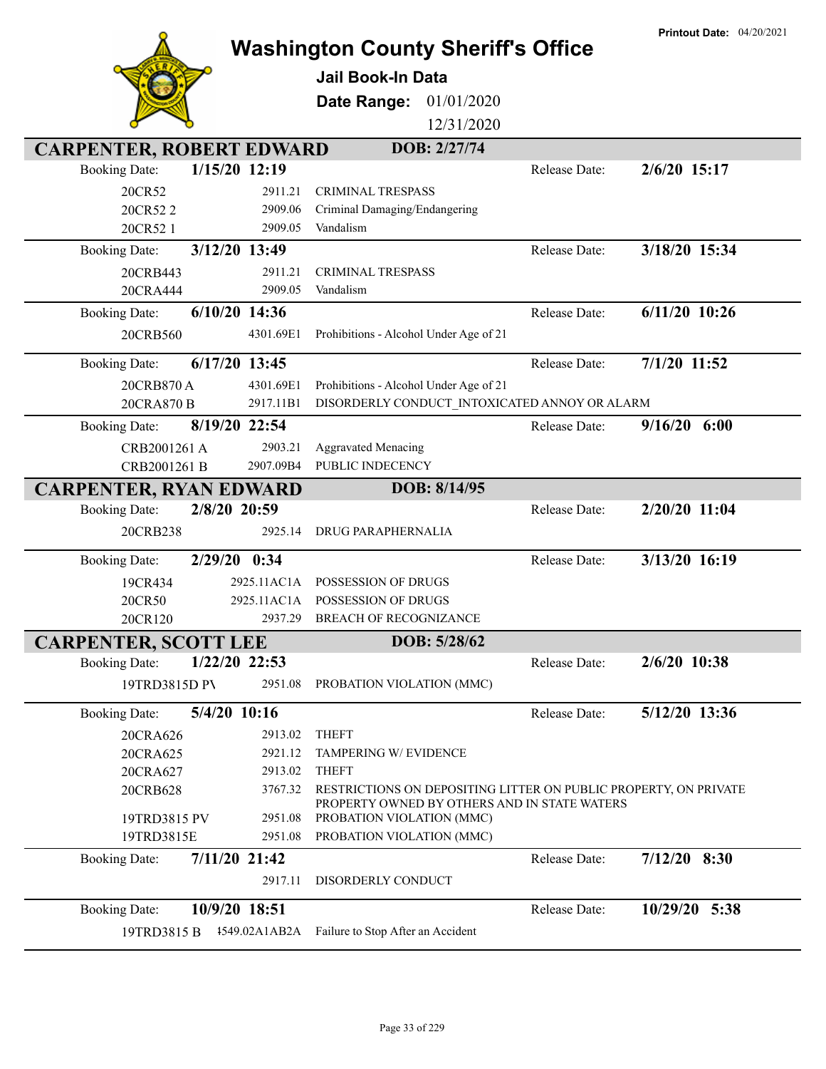|                                 |                 |                                                                                                                  |               | <b>Printout Date: 04/20/2021</b> |
|---------------------------------|-----------------|------------------------------------------------------------------------------------------------------------------|---------------|----------------------------------|
|                                 |                 | <b>Washington County Sheriff's Office</b>                                                                        |               |                                  |
|                                 |                 | <b>Jail Book-In Data</b>                                                                                         |               |                                  |
|                                 |                 | 01/01/2020<br>Date Range:                                                                                        |               |                                  |
|                                 |                 | 12/31/2020                                                                                                       |               |                                  |
| <b>CARPENTER, ROBERT EDWARD</b> |                 | DOB: 2/27/74                                                                                                     |               |                                  |
| <b>Booking Date:</b>            | 1/15/20 12:19   |                                                                                                                  | Release Date: | $2/6/20$ 15:17                   |
| 20CR52                          | 2911.21         | <b>CRIMINAL TRESPASS</b>                                                                                         |               |                                  |
| 20CR522                         | 2909.06         | Criminal Damaging/Endangering                                                                                    |               |                                  |
| 20CR52 1                        | 2909.05         | Vandalism                                                                                                        |               |                                  |
| <b>Booking Date:</b>            | 3/12/20 13:49   |                                                                                                                  | Release Date: | 3/18/20 15:34                    |
| 20CRB443                        | 2911.21         | <b>CRIMINAL TRESPASS</b>                                                                                         |               |                                  |
| 20CRA444                        | 2909.05         | Vandalism                                                                                                        |               |                                  |
| <b>Booking Date:</b>            | $6/10/20$ 14:36 |                                                                                                                  | Release Date: | $6/11/20$ 10:26                  |
| 20CRB560                        | 4301.69E1       | Prohibitions - Alcohol Under Age of 21                                                                           |               |                                  |
|                                 |                 |                                                                                                                  |               |                                  |
| <b>Booking Date:</b>            | $6/17/20$ 13:45 |                                                                                                                  | Release Date: | 7/1/20 11:52                     |
| 20CRB870 A                      | 4301.69E1       | Prohibitions - Alcohol Under Age of 21                                                                           |               |                                  |
| 20CRA870 B                      | 2917.11B1       | DISORDERLY CONDUCT_INTOXICATED ANNOY OR ALARM                                                                    |               |                                  |
| <b>Booking Date:</b>            | 8/19/20 22:54   |                                                                                                                  | Release Date: | $9/16/20$ 6:00                   |
| CRB2001261 A                    | 2903.21         | <b>Aggravated Menacing</b>                                                                                       |               |                                  |
| CRB2001261 B                    | 2907.09B4       | PUBLIC INDECENCY                                                                                                 |               |                                  |
| <b>CARPENTER, RYAN EDWARD</b>   |                 | DOB: 8/14/95                                                                                                     |               |                                  |
| <b>Booking Date:</b>            | 2/8/20 20:59    |                                                                                                                  | Release Date: | 2/20/20 11:04                    |
| 20CRB238                        | 2925.14         | <b>DRUG PARAPHERNALIA</b>                                                                                        |               |                                  |
| <b>Booking Date:</b>            | 2/29/20 0:34    |                                                                                                                  | Release Date: | 3/13/20 16:19                    |
| 19CR434                         | 2925.11AC1A     | POSSESSION OF DRUGS                                                                                              |               |                                  |
| 20CR50                          | 2925.11AC1A     | <b>POSSESSION OF DRUGS</b>                                                                                       |               |                                  |
| 20CR120                         | 2937.29         | <b>BREACH OF RECOGNIZANCE</b>                                                                                    |               |                                  |
| <b>CARPENTER, SCOTT LEE</b>     |                 | DOB: 5/28/62                                                                                                     |               |                                  |
| <b>Booking Date:</b>            | 1/22/20 22:53   |                                                                                                                  | Release Date: | 2/6/20 10:38                     |
| 19TRD3815D PV                   | 2951.08         | PROBATION VIOLATION (MMC)                                                                                        |               |                                  |
|                                 |                 |                                                                                                                  |               |                                  |
| <b>Booking Date:</b>            | 5/4/20 10:16    |                                                                                                                  | Release Date: | 5/12/20 13:36                    |
| 20CRA626                        | 2913.02         | <b>THEFT</b>                                                                                                     |               |                                  |
| 20CRA625                        | 2921.12         | TAMPERING W/ EVIDENCE                                                                                            |               |                                  |
| 20CRA627                        | 2913.02         | <b>THEFT</b>                                                                                                     |               |                                  |
| 20CRB628                        | 3767.32         | RESTRICTIONS ON DEPOSITING LITTER ON PUBLIC PROPERTY, ON PRIVATE<br>PROPERTY OWNED BY OTHERS AND IN STATE WATERS |               |                                  |
| 19TRD3815 PV                    | 2951.08         | PROBATION VIOLATION (MMC)                                                                                        |               |                                  |
| 19TRD3815E                      | 2951.08         | PROBATION VIOLATION (MMC)                                                                                        |               |                                  |
| <b>Booking Date:</b>            | 7/11/20 21:42   |                                                                                                                  | Release Date: | $7/12/20$ 8:30                   |
|                                 | 2917.11         | DISORDERLY CONDUCT                                                                                               |               |                                  |
|                                 |                 |                                                                                                                  |               |                                  |
| <b>Booking Date:</b>            | 10/9/20 18:51   |                                                                                                                  | Release Date: | 10/29/20 5:38                    |
| 19TRD3815 B                     | 1549.02A1AB2A   | Failure to Stop After an Accident                                                                                |               |                                  |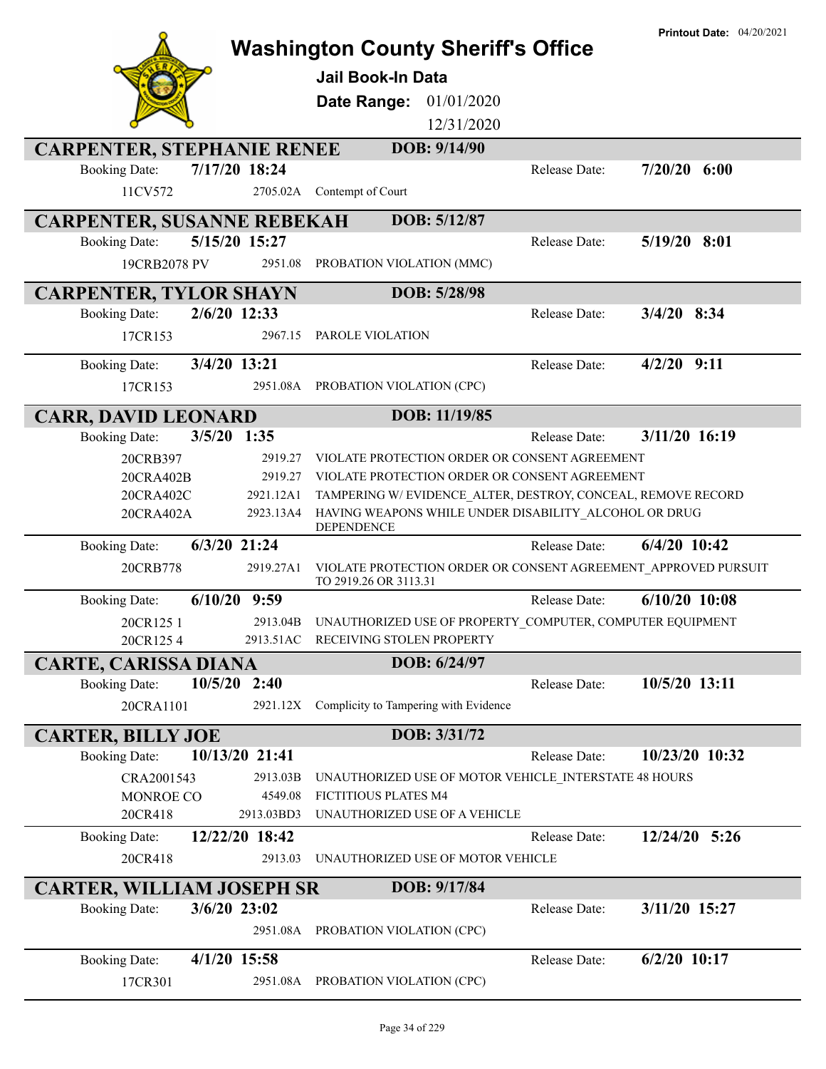|                                                          |                | <b>Washington County Sheriff's Office</b>                           |               | <b>Printout Date: 04/20/2021</b> |
|----------------------------------------------------------|----------------|---------------------------------------------------------------------|---------------|----------------------------------|
|                                                          |                |                                                                     |               |                                  |
|                                                          |                | <b>Jail Book-In Data</b>                                            |               |                                  |
|                                                          |                | 01/01/2020<br>Date Range:                                           |               |                                  |
|                                                          |                | 12/31/2020                                                          |               |                                  |
| <b>CARPENTER, STEPHANIE RENEE</b>                        |                | DOB: 9/14/90                                                        |               |                                  |
| <b>Booking Date:</b>                                     | 7/17/20 18:24  |                                                                     | Release Date: | $7/20/20$ 6:00                   |
| 11CV572                                                  | 2705.02A       | Contempt of Court                                                   |               |                                  |
| <b>CARPENTER, SUSANNE REBEKAH</b>                        |                | DOB: 5/12/87                                                        |               |                                  |
| <b>Booking Date:</b>                                     | 5/15/20 15:27  |                                                                     | Release Date: | $5/19/20$ 8:01                   |
| 19CRB2078 PV                                             | 2951.08        | PROBATION VIOLATION (MMC)                                           |               |                                  |
|                                                          |                |                                                                     |               |                                  |
| <b>CARPENTER, TYLOR SHAYN</b><br><b>Booking Date:</b>    | 2/6/20 12:33   | DOB: 5/28/98                                                        | Release Date: | $3/4/20$ 8:34                    |
|                                                          |                |                                                                     |               |                                  |
| 17CR153                                                  | 2967.15        | PAROLE VIOLATION                                                    |               |                                  |
| <b>Booking Date:</b>                                     | 3/4/20 13:21   |                                                                     | Release Date: | $4/2/20$ 9:11                    |
| 17CR153                                                  | 2951.08A       | PROBATION VIOLATION (CPC)                                           |               |                                  |
| <b>CARR, DAVID LEONARD</b>                               |                | DOB: 11/19/85                                                       |               |                                  |
| <b>Booking Date:</b>                                     | $3/5/20$ 1:35  |                                                                     | Release Date: | 3/11/20 16:19                    |
| 20CRB397                                                 | 2919.27        | VIOLATE PROTECTION ORDER OR CONSENT AGREEMENT                       |               |                                  |
| 20CRA402B                                                | 2919.27        | VIOLATE PROTECTION ORDER OR CONSENT AGREEMENT                       |               |                                  |
| 20CRA402C                                                | 2921.12A1      | TAMPERING W/EVIDENCE_ALTER, DESTROY, CONCEAL, REMOVE RECORD         |               |                                  |
| 20CRA402A                                                | 2923.13A4      | HAVING WEAPONS WHILE UNDER DISABILITY ALCOHOL OR DRUG<br>DEPENDENCE |               |                                  |
| <b>Booking Date:</b>                                     | $6/3/20$ 21:24 |                                                                     | Release Date: | $6/4/20$ 10:42                   |
| 20CRB778                                                 | 2919.27A1      | VIOLATE PROTECTION ORDER OR CONSENT AGREEMENT APPROVED PURSUIT      |               |                                  |
| 6/10/20<br><b>Booking Date:</b>                          | 9:59           | TO 2919.26 OR 3113.31                                               | Release Date: | $6/10/20$ 10:08                  |
| 20CR1251                                                 | 2913.04B       | UNAUTHORIZED USE OF PROPERTY_COMPUTER, COMPUTER EQUIPMENT           |               |                                  |
| 20CR1254                                                 | 2913.51AC      | RECEIVING STOLEN PROPERTY                                           |               |                                  |
| <b>CARTE, CARISSA DIANA</b>                              |                | DOB: 6/24/97                                                        |               |                                  |
| <b>Booking Date:</b>                                     | $10/5/20$ 2:40 |                                                                     | Release Date: | 10/5/20 13:11                    |
| 20CRA1101                                                | 2921.12X       | Complicity to Tampering with Evidence                               |               |                                  |
|                                                          |                |                                                                     |               |                                  |
| <b>CARTER, BILLY JOE</b><br><b>Booking Date:</b>         | 10/13/20 21:41 | DOB: 3/31/72                                                        | Release Date: | 10/23/20 10:32                   |
| CRA2001543                                               | 2913.03B       | UNAUTHORIZED USE OF MOTOR VEHICLE INTERSTATE 48 HOURS               |               |                                  |
| MONROE CO                                                | 4549.08        | FICTITIOUS PLATES M4                                                |               |                                  |
| 20CR418                                                  | 2913.03BD3     | UNAUTHORIZED USE OF A VEHICLE                                       |               |                                  |
| <b>Booking Date:</b>                                     | 12/22/20 18:42 |                                                                     | Release Date: | 12/24/20 5:26                    |
| 20CR418                                                  | 2913.03        | UNAUTHORIZED USE OF MOTOR VEHICLE                                   |               |                                  |
|                                                          |                |                                                                     |               |                                  |
| <b>CARTER, WILLIAM JOSEPH SR</b><br><b>Booking Date:</b> | 3/6/20 23:02   | DOB: 9/17/84                                                        | Release Date: | 3/11/20 15:27                    |
|                                                          | 2951.08A       | PROBATION VIOLATION (CPC)                                           |               |                                  |
|                                                          |                |                                                                     |               |                                  |
| <b>Booking Date:</b>                                     | $4/1/20$ 15:58 |                                                                     | Release Date: | $6/2/20$ 10:17                   |
| 17CR301                                                  | 2951.08A       | PROBATION VIOLATION (CPC)                                           |               |                                  |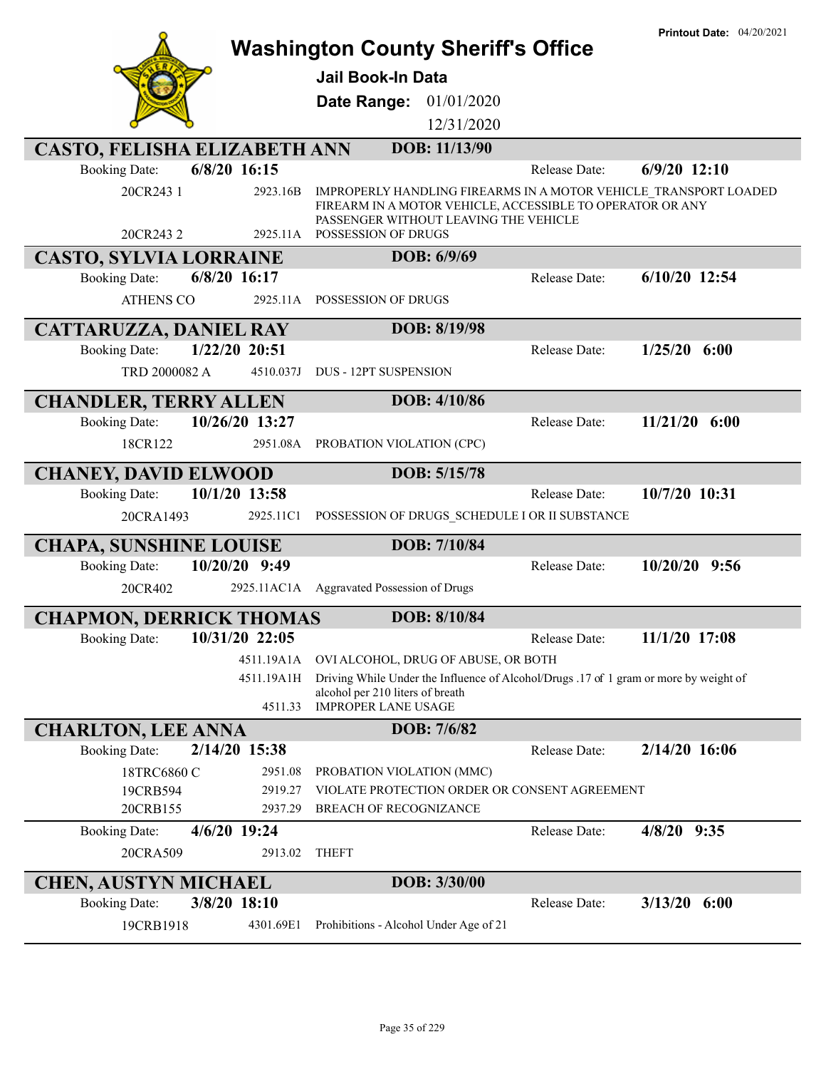|                                               |                                                                           |                                                                                                    |               | <b>Printout Date: 04/20/2021</b>                                 |
|-----------------------------------------------|---------------------------------------------------------------------------|----------------------------------------------------------------------------------------------------|---------------|------------------------------------------------------------------|
|                                               |                                                                           | <b>Washington County Sheriff's Office</b>                                                          |               |                                                                  |
|                                               | <b>Jail Book-In Data</b>                                                  |                                                                                                    |               |                                                                  |
|                                               |                                                                           | Date Range: 01/01/2020                                                                             |               |                                                                  |
|                                               |                                                                           | 12/31/2020                                                                                         |               |                                                                  |
| <b>CASTO, FELISHA ELIZABETH ANN</b>           |                                                                           | DOB: 11/13/90                                                                                      |               |                                                                  |
| $6/8/20$ 16:15<br><b>Booking Date:</b>        |                                                                           |                                                                                                    | Release Date: | $6/9/20$ 12:10                                                   |
| 20CR243 1                                     | 2923.16B                                                                  | FIREARM IN A MOTOR VEHICLE, ACCESSIBLE TO OPERATOR OR ANY<br>PASSENGER WITHOUT LEAVING THE VEHICLE |               | IMPROPERLY HANDLING FIREARMS IN A MOTOR VEHICLE TRANSPORT LOADED |
| 20CR243 2                                     | POSSESSION OF DRUGS<br>2925.11A                                           |                                                                                                    |               |                                                                  |
| <b>CASTO, SYLVIA LORRAINE</b><br>6/8/20 16:17 |                                                                           | DOB: 6/9/69                                                                                        | Release Date: | $6/10/20$ 12:54                                                  |
| <b>Booking Date:</b>                          |                                                                           |                                                                                                    |               |                                                                  |
| <b>ATHENS CO</b>                              | 2925.11A POSSESSION OF DRUGS                                              |                                                                                                    |               |                                                                  |
| <b>CATTARUZZA, DANIEL RAY</b>                 |                                                                           | DOB: 8/19/98                                                                                       |               |                                                                  |
| 1/22/20 20:51<br><b>Booking Date:</b>         |                                                                           |                                                                                                    | Release Date: | $1/25/20$ 6:00                                                   |
| TRD 2000082 A                                 | <b>DUS - 12PT SUSPENSION</b><br>4510.037J                                 |                                                                                                    |               |                                                                  |
| <b>CHANDLER, TERRY ALLEN</b>                  |                                                                           | DOB: 4/10/86                                                                                       |               |                                                                  |
| 10/26/20 13:27<br><b>Booking Date:</b>        |                                                                           |                                                                                                    | Release Date: | $11/21/20$ 6:00                                                  |
| 18CR122                                       | 2951.08A                                                                  | PROBATION VIOLATION (CPC)                                                                          |               |                                                                  |
| <b>CHANEY, DAVID ELWOOD</b>                   |                                                                           | DOB: 5/15/78                                                                                       |               |                                                                  |
| 10/1/20 13:58<br><b>Booking Date:</b>         |                                                                           |                                                                                                    | Release Date: | 10/7/20 10:31                                                    |
| 20CRA1493                                     | 2925.11C1                                                                 | POSSESSION OF DRUGS_SCHEDULE I OR II SUBSTANCE                                                     |               |                                                                  |
| <b>CHAPA, SUNSHINE LOUISE</b>                 |                                                                           | DOB: 7/10/84                                                                                       |               |                                                                  |
| 10/20/20 9:49<br><b>Booking Date:</b>         |                                                                           |                                                                                                    | Release Date: | 10/20/20 9:56                                                    |
| 20CR402                                       | 2925.11AC1A Aggravated Possession of Drugs                                |                                                                                                    |               |                                                                  |
| <b>CHAPMON, DERRICK THOMAS</b>                |                                                                           | DOB: 8/10/84                                                                                       |               |                                                                  |
| <b>Booking Date:</b><br>10/31/20 22:05        |                                                                           |                                                                                                    | Release Date: | 11/1/20 17:08                                                    |
| 4511.19A1A                                    |                                                                           | OVI ALCOHOL, DRUG OF ABUSE, OR BOTH                                                                |               |                                                                  |
| 4511.19A1H                                    |                                                                           | Driving While Under the Influence of Alcohol/Drugs .17 of 1 gram or more by weight of              |               |                                                                  |
|                                               | alcohol per 210 liters of breath<br><b>IMPROPER LANE USAGE</b><br>4511.33 |                                                                                                    |               |                                                                  |
| <b>CHARLTON, LEE ANNA</b>                     |                                                                           | DOB: 7/6/82                                                                                        |               |                                                                  |
| 2/14/20 15:38<br><b>Booking Date:</b>         |                                                                           |                                                                                                    | Release Date: | 2/14/20 16:06                                                    |
| 18TRC6860 C                                   | 2951.08                                                                   | PROBATION VIOLATION (MMC)                                                                          |               |                                                                  |
| 19CRB594                                      | 2919.27                                                                   | VIOLATE PROTECTION ORDER OR CONSENT AGREEMENT                                                      |               |                                                                  |
| 20CRB155                                      | 2937.29                                                                   | BREACH OF RECOGNIZANCE                                                                             |               |                                                                  |
| 4/6/20 19:24<br><b>Booking Date:</b>          |                                                                           |                                                                                                    | Release Date: | 4/8/20 9:35                                                      |
| 20CRA509                                      | 2913.02<br><b>THEFT</b>                                                   |                                                                                                    |               |                                                                  |
| <b>CHEN, AUSTYN MICHAEL</b>                   |                                                                           | DOB: 3/30/00                                                                                       |               |                                                                  |
| 3/8/20 18:10<br><b>Booking Date:</b>          |                                                                           |                                                                                                    | Release Date: | $3/13/20$ 6:00                                                   |
| 19CRB1918                                     | 4301.69E1                                                                 | Prohibitions - Alcohol Under Age of 21                                                             |               |                                                                  |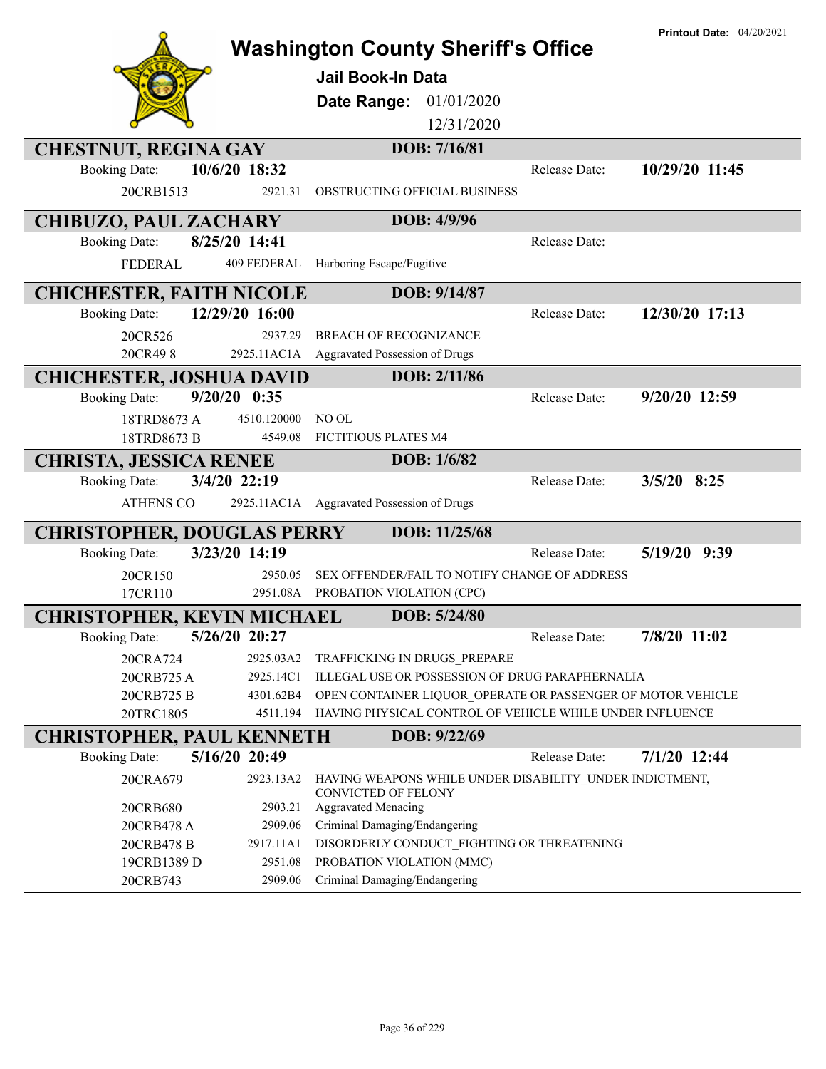|                                   |                        | <b>Washington County Sheriff's Office</b><br><b>Jail Book-In Data</b><br>Date Range:<br>01/01/2020<br>12/31/2020 | <b>Printout Date: 04/20/2021</b> |
|-----------------------------------|------------------------|------------------------------------------------------------------------------------------------------------------|----------------------------------|
| <b>CHESTNUT, REGINA GAY</b>       |                        | DOB: 7/16/81                                                                                                     |                                  |
| <b>Booking Date:</b>              | 10/6/20 18:32          | Release Date:                                                                                                    | 10/29/20 11:45                   |
| 20CRB1513                         | 2921.31                | OBSTRUCTING OFFICIAL BUSINESS                                                                                    |                                  |
| <b>CHIBUZO, PAUL ZACHARY</b>      |                        | DOB: 4/9/96                                                                                                      |                                  |
| <b>Booking Date:</b>              | 8/25/20 14:41          | Release Date:                                                                                                    |                                  |
| FEDERAL                           | 409 FEDERAL            | Harboring Escape/Fugitive                                                                                        |                                  |
| <b>CHICHESTER, FAITH NICOLE</b>   |                        | DOB: 9/14/87                                                                                                     |                                  |
| <b>Booking Date:</b>              | 12/29/20 16:00         | Release Date:                                                                                                    | 12/30/20 17:13                   |
| 20CR526                           | 2937.29                | <b>BREACH OF RECOGNIZANCE</b>                                                                                    |                                  |
| 20CR498                           | 2925.11AC1A            | Aggravated Possession of Drugs                                                                                   |                                  |
| <b>CHICHESTER, JOSHUA DAVID</b>   |                        | DOB: 2/11/86                                                                                                     |                                  |
| <b>Booking Date:</b>              | $9/20/20$ 0:35         | Release Date:                                                                                                    | 9/20/20 12:59                    |
| 18TRD8673 A                       | 4510.120000            | NO OL                                                                                                            |                                  |
| 18TRD8673 B                       | 4549.08                | FICTITIOUS PLATES M4                                                                                             |                                  |
| <b>CHRISTA, JESSICA RENEE</b>     | 3/4/20 22:19           | DOB: 1/6/82<br>Release Date:                                                                                     | $3/5/20$ 8:25                    |
| <b>Booking Date:</b>              |                        |                                                                                                                  |                                  |
| <b>ATHENS CO</b>                  |                        | 2925.11AC1A Aggravated Possession of Drugs                                                                       |                                  |
| <b>CHRISTOPHER, DOUGLAS PERRY</b> |                        | DOB: 11/25/68                                                                                                    |                                  |
| <b>Booking Date:</b>              | 3/23/20 14:19          | Release Date:                                                                                                    | 5/19/20 9:39                     |
| 20CR150                           | 2950.05                | SEX OFFENDER/FAIL TO NOTIFY CHANGE OF ADDRESS                                                                    |                                  |
| 17CR110                           |                        | 2951.08A PROBATION VIOLATION (CPC)                                                                               |                                  |
| <b>CHRISTOPHER, KEVIN MICHAEL</b> |                        | DOB: 5/24/80                                                                                                     |                                  |
| <b>Booking Date:</b>              | 5/26/20 20:27          | Release Date:                                                                                                    | 7/8/20 11:02                     |
| 20CRA724<br>20CRB725 A            | 2925.03A2<br>2925.14C1 | TRAFFICKING IN DRUGS PREPARE<br>ILLEGAL USE OR POSSESSION OF DRUG PARAPHERNALIA                                  |                                  |
| 20CRB725 B                        | 4301.62B4              | OPEN CONTAINER LIQUOR OPERATE OR PASSENGER OF MOTOR VEHICLE                                                      |                                  |
| 20TRC1805                         | 4511.194               | HAVING PHYSICAL CONTROL OF VEHICLE WHILE UNDER INFLUENCE                                                         |                                  |
| <b>CHRISTOPHER, PAUL KENNETH</b>  |                        | DOB: 9/22/69                                                                                                     |                                  |
| <b>Booking Date:</b>              | 5/16/20 20:49          | Release Date:                                                                                                    | $7/1/20$ 12:44                   |
| 20CRA679                          | 2923.13A2              | HAVING WEAPONS WHILE UNDER DISABILITY UNDER INDICTMENT,                                                          |                                  |
| 20CRB680                          | 2903.21                | <b>CONVICTED OF FELONY</b><br><b>Aggravated Menacing</b>                                                         |                                  |
| 20CRB478 A                        | 2909.06                | Criminal Damaging/Endangering                                                                                    |                                  |
| 20CRB478 B                        | 2917.11A1              | DISORDERLY CONDUCT_FIGHTING OR THREATENING                                                                       |                                  |
| 19CRB1389 D                       | 2951.08                | PROBATION VIOLATION (MMC)                                                                                        |                                  |
| 20CRB743                          | 2909.06                | Criminal Damaging/Endangering                                                                                    |                                  |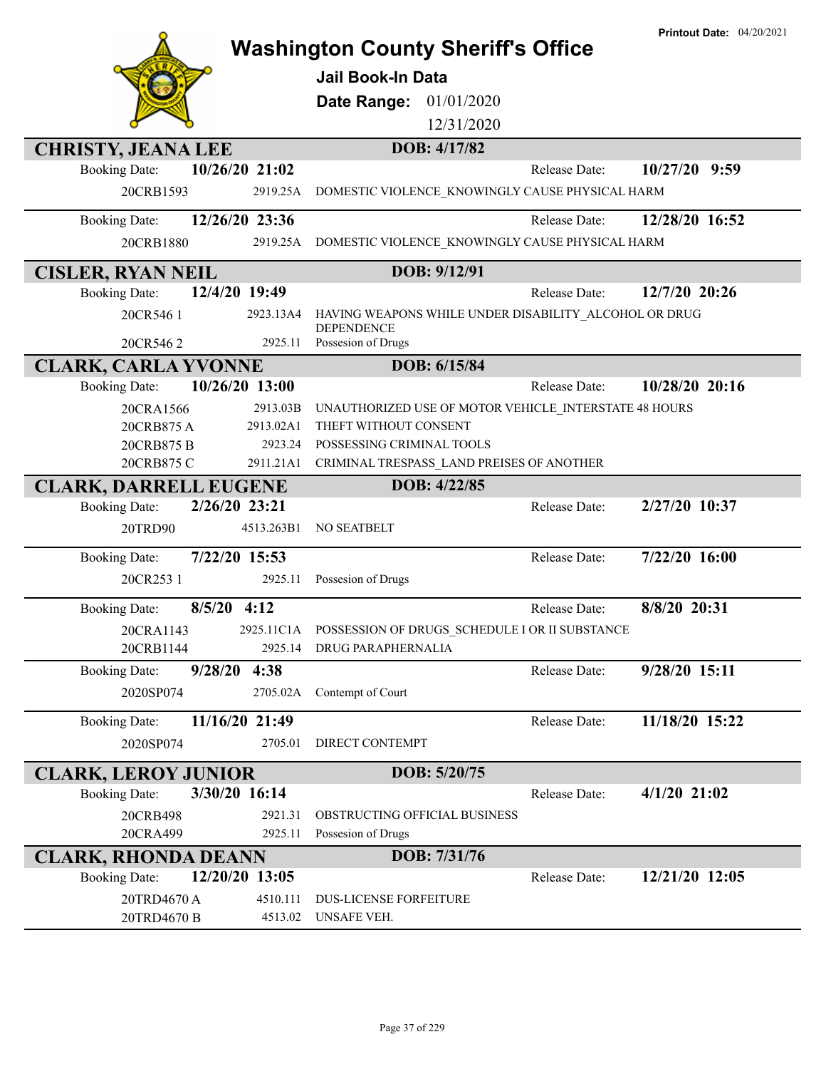|                                        |            |                                                           | <b>Printout Date: 04/20/2021</b> |
|----------------------------------------|------------|-----------------------------------------------------------|----------------------------------|
|                                        |            | <b>Washington County Sheriff's Office</b>                 |                                  |
|                                        |            | <b>Jail Book-In Data</b>                                  |                                  |
|                                        |            | 01/01/2020<br>Date Range:                                 |                                  |
|                                        |            | 12/31/2020                                                |                                  |
| <b>CHRISTY, JEANA LEE</b>              |            | DOB: 4/17/82                                              |                                  |
| 10/26/20 21:02<br><b>Booking Date:</b> |            | Release Date:                                             | 10/27/20 9:59                    |
| 20CRB1593                              | 2919.25A   | DOMESTIC VIOLENCE_KNOWINGLY CAUSE PHYSICAL HARM           |                                  |
| 12/26/20 23:36<br><b>Booking Date:</b> |            | Release Date:                                             | 12/28/20 16:52                   |
| 20CRB1880                              | 2919.25A   | DOMESTIC VIOLENCE KNOWINGLY CAUSE PHYSICAL HARM           |                                  |
| <b>CISLER, RYAN NEIL</b>               |            | DOB: 9/12/91                                              |                                  |
| 12/4/20 19:49<br><b>Booking Date:</b>  |            | Release Date:                                             | 12/7/20 20:26                    |
| 20CR546 1                              | 2923.13A4  | HAVING WEAPONS WHILE UNDER DISABILITY_ALCOHOL OR DRUG     |                                  |
| 20CR5462                               | 2925.11    | <b>DEPENDENCE</b><br>Possesion of Drugs                   |                                  |
| <b>CLARK, CARLA YVONNE</b>             |            | DOB: 6/15/84                                              |                                  |
| 10/26/20 13:00<br><b>Booking Date:</b> |            | Release Date:                                             | 10/28/20 20:16                   |
| 20CRA1566                              | 2913.03B   | UNAUTHORIZED USE OF MOTOR VEHICLE_INTERSTATE 48 HOURS     |                                  |
| 20CRB875A                              | 2913.02A1  | THEFT WITHOUT CONSENT                                     |                                  |
| 20CRB875 B                             | 2923.24    | POSSESSING CRIMINAL TOOLS                                 |                                  |
| 20CRB875 C                             | 2911.21A1  | CRIMINAL TRESPASS LAND PREISES OF ANOTHER                 |                                  |
| <b>CLARK, DARRELL EUGENE</b>           |            | DOB: 4/22/85                                              |                                  |
| <b>Booking Date:</b><br>2/26/20 23:21  |            | Release Date:                                             | 2/27/20 10:37                    |
| 20TRD90                                | 4513.263B1 | NO SEATBELT                                               |                                  |
| 7/22/20 15:53<br><b>Booking Date:</b>  |            | Release Date:                                             | 7/22/20 16:00                    |
| 20CR253 1                              | 2925.11    | Possesion of Drugs                                        |                                  |
| $8/5/20$ 4:12<br><b>Booking Date:</b>  |            | Release Date:                                             | 8/8/20 20:31                     |
| 20CRA1143                              |            | 2925.11C1A POSSESSION OF DRUGS SCHEDULE I OR II SUBSTANCE |                                  |
| 20CRB1144                              |            | 2925.14 DRUG PARAPHERNALIA                                |                                  |
| 9/28/20 4:38<br><b>Booking Date:</b>   |            | Release Date:                                             | 9/28/20 15:11                    |
| 2020SP074                              | 2705.02A   | Contempt of Court                                         |                                  |
| 11/16/20 21:49<br><b>Booking Date:</b> |            | Release Date:                                             | 11/18/20 15:22                   |
| 2020SP074                              | 2705.01    | DIRECT CONTEMPT                                           |                                  |
| <b>CLARK, LEROY JUNIOR</b>             |            | DOB: 5/20/75                                              |                                  |
| 3/30/20 16:14<br><b>Booking Date:</b>  |            | Release Date:                                             | $4/1/20$ 21:02                   |
| 20CRB498                               | 2921.31    | OBSTRUCTING OFFICIAL BUSINESS                             |                                  |
| 20CRA499                               | 2925.11    | Possesion of Drugs                                        |                                  |
| <b>CLARK, RHONDA DEANN</b>             |            | DOB: 7/31/76                                              |                                  |
| 12/20/20 13:05<br><b>Booking Date:</b> |            | Release Date:                                             | 12/21/20 12:05                   |
| 20TRD4670 A                            | 4510.111   | <b>DUS-LICENSE FORFEITURE</b>                             |                                  |
| 20TRD4670 B                            | 4513.02    | UNSAFE VEH.                                               |                                  |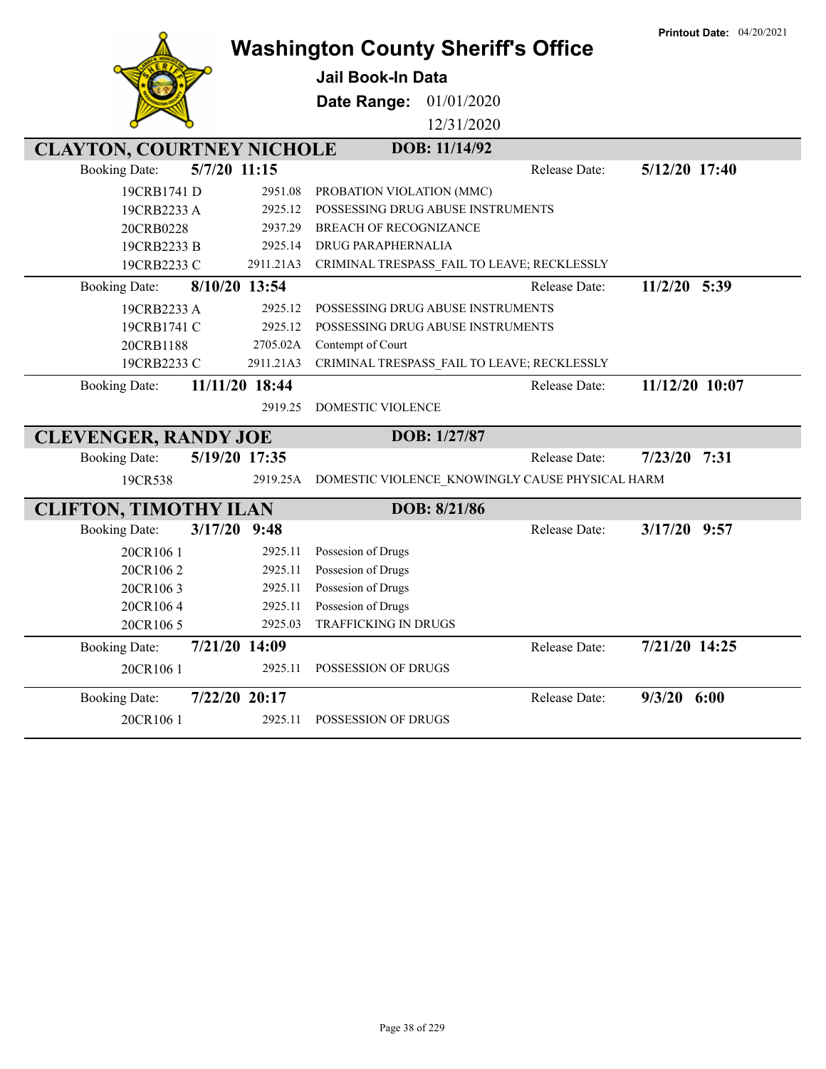|                                        |                | <b>Washington County Sheriff's Office</b>       |               | <b>Printout Date: 04/20/2021</b> |
|----------------------------------------|----------------|-------------------------------------------------|---------------|----------------------------------|
|                                        |                | <b>Jail Book-In Data</b>                        |               |                                  |
|                                        |                | 01/01/2020<br>Date Range:                       |               |                                  |
|                                        |                | 12/31/2020                                      |               |                                  |
| <b>CLAYTON, COURTNEY NICHOLE</b>       |                | DOB: 11/14/92                                   |               |                                  |
| 5/7/20 11:15<br><b>Booking Date:</b>   |                |                                                 | Release Date: | 5/12/20 17:40                    |
| 19CRB1741 D                            | 2951.08        | PROBATION VIOLATION (MMC)                       |               |                                  |
| 19CRB2233 A                            | 2925.12        | POSSESSING DRUG ABUSE INSTRUMENTS               |               |                                  |
| 20CRB0228                              | 2937.29        | <b>BREACH OF RECOGNIZANCE</b>                   |               |                                  |
| 19CRB2233 B                            | 2925.14        | DRUG PARAPHERNALIA                              |               |                                  |
| 19CRB2233 C                            | 2911.21A3      | CRIMINAL TRESPASS_FAIL TO LEAVE; RECKLESSLY     |               |                                  |
| <b>Booking Date:</b>                   | 8/10/20 13:54  |                                                 | Release Date: | 11/2/20 5:39                     |
| 19CRB2233 A                            | 2925.12        | POSSESSING DRUG ABUSE INSTRUMENTS               |               |                                  |
| 19CRB1741 C                            | 2925.12        | POSSESSING DRUG ABUSE INSTRUMENTS               |               |                                  |
| 20CRB1188                              | 2705.02A       | Contempt of Court                               |               |                                  |
| 19CRB2233 C                            | 2911.21A3      | CRIMINAL TRESPASS_FAIL TO LEAVE; RECKLESSLY     |               |                                  |
| <b>Booking Date:</b>                   | 11/11/20 18:44 |                                                 | Release Date: | 11/12/20 10:07                   |
|                                        | 2919.25        | <b>DOMESTIC VIOLENCE</b>                        |               |                                  |
| <b>CLEVENGER, RANDY JOE</b>            |                | DOB: 1/27/87                                    |               |                                  |
| <b>Booking Date:</b>                   | 5/19/20 17:35  |                                                 | Release Date: | 7/23/20<br>7:31                  |
| 19CR538                                | 2919.25A       | DOMESTIC VIOLENCE_KNOWINGLY CAUSE PHYSICAL HARM |               |                                  |
| <b>CLIFTON, TIMOTHY ILAN</b>           |                | DOB: 8/21/86                                    |               |                                  |
| $3/17/20$ 9:48<br><b>Booking Date:</b> |                |                                                 | Release Date: | $3/17/20$ 9:57                   |
| 20CR1061                               | 2925.11        | Possesion of Drugs                              |               |                                  |
| 20CR1062                               | 2925.11        | Possesion of Drugs                              |               |                                  |
| 20CR1063                               | 2925.11        | Possesion of Drugs                              |               |                                  |
| 20CR1064                               | 2925.11        | Possesion of Drugs                              |               |                                  |
| 20CR1065                               | 2925.03        | TRAFFICKING IN DRUGS                            |               |                                  |
| <b>Booking Date:</b>                   | 7/21/20 14:09  |                                                 | Release Date: | 7/21/20 14:25                    |
| 20CR1061                               | 2925.11        | POSSESSION OF DRUGS                             |               |                                  |
| <b>Booking Date:</b>                   | 7/22/20 20:17  |                                                 | Release Date: | $9/3/20$ 6:00                    |
| 20CR1061                               | 2925.11        | POSSESSION OF DRUGS                             |               |                                  |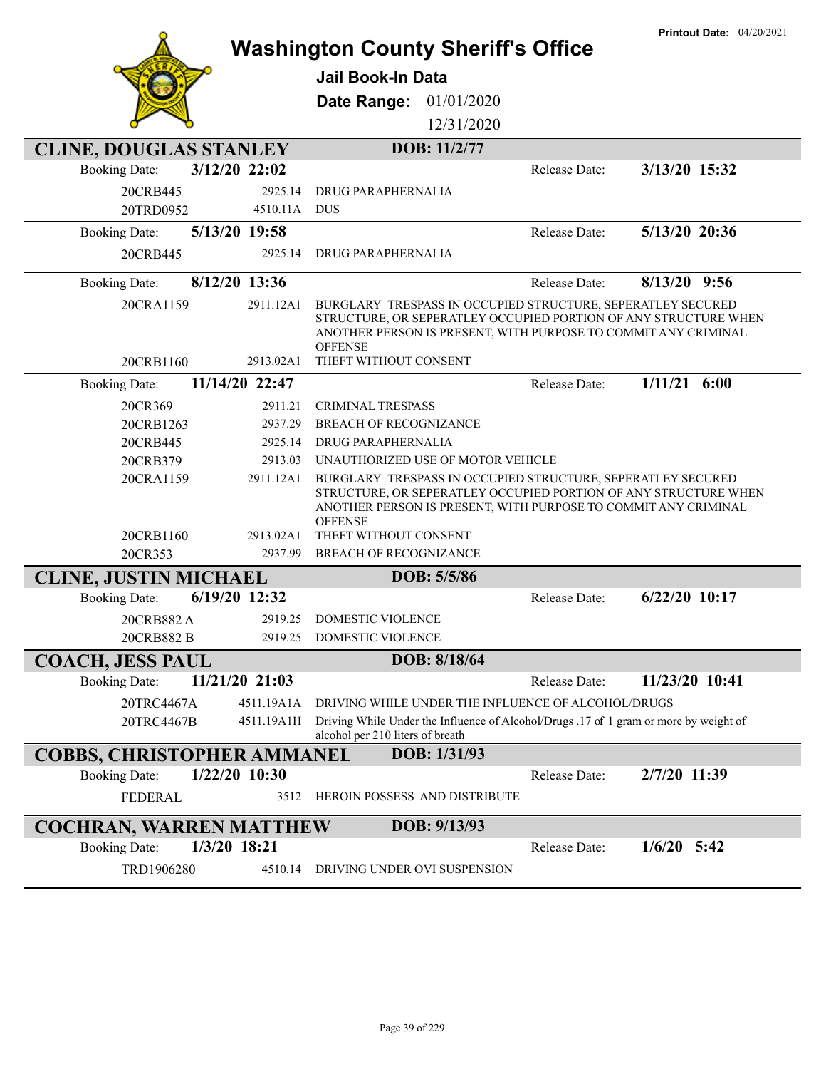|                                        | <b>Washington County Sheriff's Office</b>                                                                                                                                                                          |               | <b>Printout Date: 04/20/2021</b> |
|----------------------------------------|--------------------------------------------------------------------------------------------------------------------------------------------------------------------------------------------------------------------|---------------|----------------------------------|
|                                        |                                                                                                                                                                                                                    |               |                                  |
|                                        | Jail Book-In Data                                                                                                                                                                                                  |               |                                  |
|                                        | 01/01/2020<br>Date Range:                                                                                                                                                                                          |               |                                  |
|                                        | 12/31/2020                                                                                                                                                                                                         |               |                                  |
| <b>CLINE, DOUGLAS STANLEY</b>          | DOB: 11/2/77                                                                                                                                                                                                       |               |                                  |
| 3/12/20 22:02<br><b>Booking Date:</b>  |                                                                                                                                                                                                                    | Release Date: | 3/13/20 15:32                    |
| 20CRB445<br>2925.14                    | DRUG PARAPHERNALIA                                                                                                                                                                                                 |               |                                  |
| 20TRD0952<br>4510.11A DUS              |                                                                                                                                                                                                                    |               |                                  |
| 5/13/20 19:58<br><b>Booking Date:</b>  |                                                                                                                                                                                                                    | Release Date: | 5/13/20 20:36                    |
| 2925.14<br>20CRB445                    | DRUG PARAPHERNALIA                                                                                                                                                                                                 |               |                                  |
| 8/12/20 13:36<br><b>Booking Date:</b>  |                                                                                                                                                                                                                    | Release Date: | $8/13/20$ 9:56                   |
| 20CRA1159<br>2911.12A1                 | BURGLARY TRESPASS IN OCCUPIED STRUCTURE, SEPERATLEY SECURED                                                                                                                                                        |               |                                  |
|                                        | STRUCTURE, OR SEPERATLEY OCCUPIED PORTION OF ANY STRUCTURE WHEN<br>ANOTHER PERSON IS PRESENT, WITH PURPOSE TO COMMIT ANY CRIMINAL                                                                                  |               |                                  |
|                                        | <b>OFFENSE</b>                                                                                                                                                                                                     |               |                                  |
| 2913.02A1<br>20CRB1160                 | THEFT WITHOUT CONSENT                                                                                                                                                                                              |               |                                  |
| 11/14/20 22:47<br><b>Booking Date:</b> |                                                                                                                                                                                                                    | Release Date: | $1/11/21$ 6:00                   |
| 20CR369<br>2911.21                     | <b>CRIMINAL TRESPASS</b>                                                                                                                                                                                           |               |                                  |
| 20CRB1263<br>2937.29                   | <b>BREACH OF RECOGNIZANCE</b>                                                                                                                                                                                      |               |                                  |
| 2925.14<br>20CRB445                    | DRUG PARAPHERNALIA                                                                                                                                                                                                 |               |                                  |
| 2913.03<br>20CRB379                    | UNAUTHORIZED USE OF MOTOR VEHICLE                                                                                                                                                                                  |               |                                  |
| 20CRA1159<br>2911.12A1                 | BURGLARY TRESPASS IN OCCUPIED STRUCTURE, SEPERATLEY SECURED<br>STRUCTURE, OR SEPERATLEY OCCUPIED PORTION OF ANY STRUCTURE WHEN<br>ANOTHER PERSON IS PRESENT, WITH PURPOSE TO COMMIT ANY CRIMINAL<br><b>OFFENSE</b> |               |                                  |
| 20CRB1160<br>2913.02A1                 | THEFT WITHOUT CONSENT                                                                                                                                                                                              |               |                                  |
| 20CR353<br>2937.99                     | <b>BREACH OF RECOGNIZANCE</b>                                                                                                                                                                                      |               |                                  |
| <b>CLINE, JUSTIN MICHAEL</b>           | DOB: 5/5/86                                                                                                                                                                                                        |               |                                  |
| 6/19/20 12:32<br><b>Booking Date:</b>  |                                                                                                                                                                                                                    | Release Date: | $6/22/20$ 10:17                  |
| 20CRB882A<br>2919.25                   | <b>DOMESTIC VIOLENCE</b>                                                                                                                                                                                           |               |                                  |
| 20CRB882 B<br>2919.25                  | <b>DOMESTIC VIOLENCE</b>                                                                                                                                                                                           |               |                                  |
| <b>COACH, JESS PAUL</b>                | DOB: 8/18/64                                                                                                                                                                                                       |               |                                  |
| 11/21/20 21:03<br><b>Booking Date:</b> |                                                                                                                                                                                                                    | Release Date: | 11/23/20 10:41                   |
| 20TRC4467A<br>4511.19A1A               | DRIVING WHILE UNDER THE INFLUENCE OF ALCOHOL/DRUGS                                                                                                                                                                 |               |                                  |
| 20TRC4467B<br>4511.19A1H               | Driving While Under the Influence of Alcohol/Drugs .17 of 1 gram or more by weight of<br>alcohol per 210 liters of breath                                                                                          |               |                                  |
| <b>COBBS, CHRISTOPHER AMMANEL</b>      | DOB: 1/31/93                                                                                                                                                                                                       |               |                                  |
| 1/22/20 10:30<br><b>Booking Date:</b>  |                                                                                                                                                                                                                    | Release Date: | 2/7/20 11:39                     |
| <b>FEDERAL</b><br>3512                 | HEROIN POSSESS AND DISTRIBUTE                                                                                                                                                                                      |               |                                  |
| <b>COCHRAN, WARREN MATTHEW</b>         | DOB: 9/13/93                                                                                                                                                                                                       |               |                                  |
| 1/3/20 18:21<br><b>Booking Date:</b>   |                                                                                                                                                                                                                    | Release Date: | $1/6/20$ 5:42                    |
| TRD1906280<br>4510.14                  | DRIVING UNDER OVI SUSPENSION                                                                                                                                                                                       |               |                                  |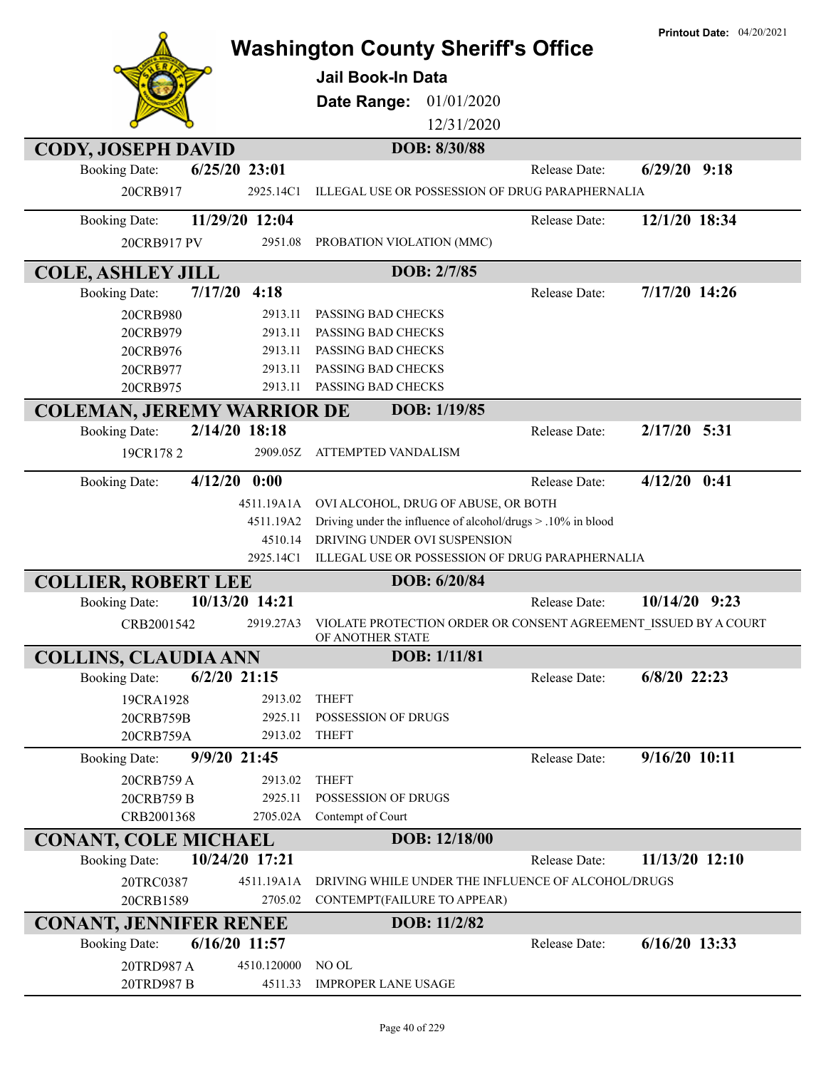|                                   |                | <b>Washington County Sheriff's Office</b><br><b>Jail Book-In Data</b><br>Date Range:<br>01/01/2020<br>12/31/2020 |               | <b>Printout Date: 04/20/2021</b> |
|-----------------------------------|----------------|------------------------------------------------------------------------------------------------------------------|---------------|----------------------------------|
| <b>CODY, JOSEPH DAVID</b>         |                | DOB: 8/30/88                                                                                                     |               |                                  |
| <b>Booking Date:</b>              | 6/25/20 23:01  |                                                                                                                  | Release Date: | $6/29/20$ 9:18                   |
| 20CRB917                          | 2925.14C1      | ILLEGAL USE OR POSSESSION OF DRUG PARAPHERNALIA                                                                  |               |                                  |
| <b>Booking Date:</b>              | 11/29/20 12:04 |                                                                                                                  | Release Date: | 12/1/20 18:34                    |
| 20CRB917 PV                       | 2951.08        | PROBATION VIOLATION (MMC)                                                                                        |               |                                  |
| <b>COLE, ASHLEY JILL</b>          |                | DOB: 2/7/85                                                                                                      |               |                                  |
| 7/17/20<br><b>Booking Date:</b>   | 4:18           |                                                                                                                  | Release Date: | 7/17/20 14:26                    |
| 20CRB980                          | 2913.11        | PASSING BAD CHECKS                                                                                               |               |                                  |
| 20CRB979                          | 2913.11        | PASSING BAD CHECKS                                                                                               |               |                                  |
| 20CRB976                          | 2913.11        | PASSING BAD CHECKS                                                                                               |               |                                  |
| 20CRB977                          | 2913.11        | PASSING BAD CHECKS                                                                                               |               |                                  |
| 20CRB975                          | 2913.11        | PASSING BAD CHECKS                                                                                               |               |                                  |
| <b>COLEMAN, JEREMY WARRIOR DE</b> |                | DOB: 1/19/85                                                                                                     |               |                                  |
| <b>Booking Date:</b>              | 2/14/20 18:18  |                                                                                                                  | Release Date: | 2/17/20 5:31                     |
| 19CR1782                          | 2909.05Z       | ATTEMPTED VANDALISM                                                                                              |               |                                  |
| <b>Booking Date:</b>              | $4/12/20$ 0:00 |                                                                                                                  | Release Date: | $4/12/20$ 0:41                   |
|                                   | 4511.19A1A     | OVI ALCOHOL, DRUG OF ABUSE, OR BOTH                                                                              |               |                                  |
|                                   | 4511.19A2      | Driving under the influence of alcohol/drugs > .10% in blood                                                     |               |                                  |
|                                   | 4510.14        | DRIVING UNDER OVI SUSPENSION                                                                                     |               |                                  |
|                                   | 2925.14C1      | ILLEGAL USE OR POSSESSION OF DRUG PARAPHERNALIA                                                                  |               |                                  |
| <b>COLLIER, ROBERT LEE</b>        |                | DOB: 6/20/84                                                                                                     |               |                                  |
| <b>Booking Date:</b>              | 10/13/20 14:21 |                                                                                                                  | Release Date: | $10/14/20$ 9:23                  |
| CRB2001542                        | 2919.27A3      | VIOLATE PROTECTION ORDER OR CONSENT AGREEMENT ISSUED BY A COURT<br>OF ANOTHER STATE                              |               |                                  |
| <b>COLLINS, CLAUDIA ANN</b>       |                | DOB: 1/11/81                                                                                                     |               |                                  |
| <b>Booking Date:</b>              | $6/2/20$ 21:15 |                                                                                                                  | Release Date: | $6/8/20$ 22:23                   |
| 19CRA1928                         | 2913.02        | <b>THEFT</b>                                                                                                     |               |                                  |
| 20CRB759B                         | 2925.11        | POSSESSION OF DRUGS                                                                                              |               |                                  |
| 20CRB759A                         | 2913.02        | <b>THEFT</b>                                                                                                     |               |                                  |
| <b>Booking Date:</b>              | 9/9/20 21:45   |                                                                                                                  | Release Date: | 9/16/20 10:11                    |
| 20CRB759 A                        | 2913.02        | <b>THEFT</b>                                                                                                     |               |                                  |
| 20CRB759 B                        | 2925.11        | POSSESSION OF DRUGS                                                                                              |               |                                  |
| CRB2001368                        | 2705.02A       | Contempt of Court                                                                                                |               |                                  |
| <b>CONANT, COLE MICHAEL</b>       |                | DOB: 12/18/00                                                                                                    |               |                                  |
| <b>Booking Date:</b>              | 10/24/20 17:21 |                                                                                                                  | Release Date: | 11/13/20 12:10                   |
| 20TRC0387                         | 4511.19A1A     | DRIVING WHILE UNDER THE INFLUENCE OF ALCOHOL/DRUGS                                                               |               |                                  |
| 20CRB1589                         | 2705.02        | CONTEMPT(FAILURE TO APPEAR)                                                                                      |               |                                  |
| <b>CONANT, JENNIFER RENEE</b>     |                | DOB: 11/2/82                                                                                                     |               |                                  |
| <b>Booking Date:</b>              | 6/16/20 11:57  |                                                                                                                  | Release Date: | $6/16/20$ 13:33                  |
| 20TRD987 A                        | 4510.120000    | NO OL                                                                                                            |               |                                  |
| 20TRD987 B                        | 4511.33        | <b>IMPROPER LANE USAGE</b>                                                                                       |               |                                  |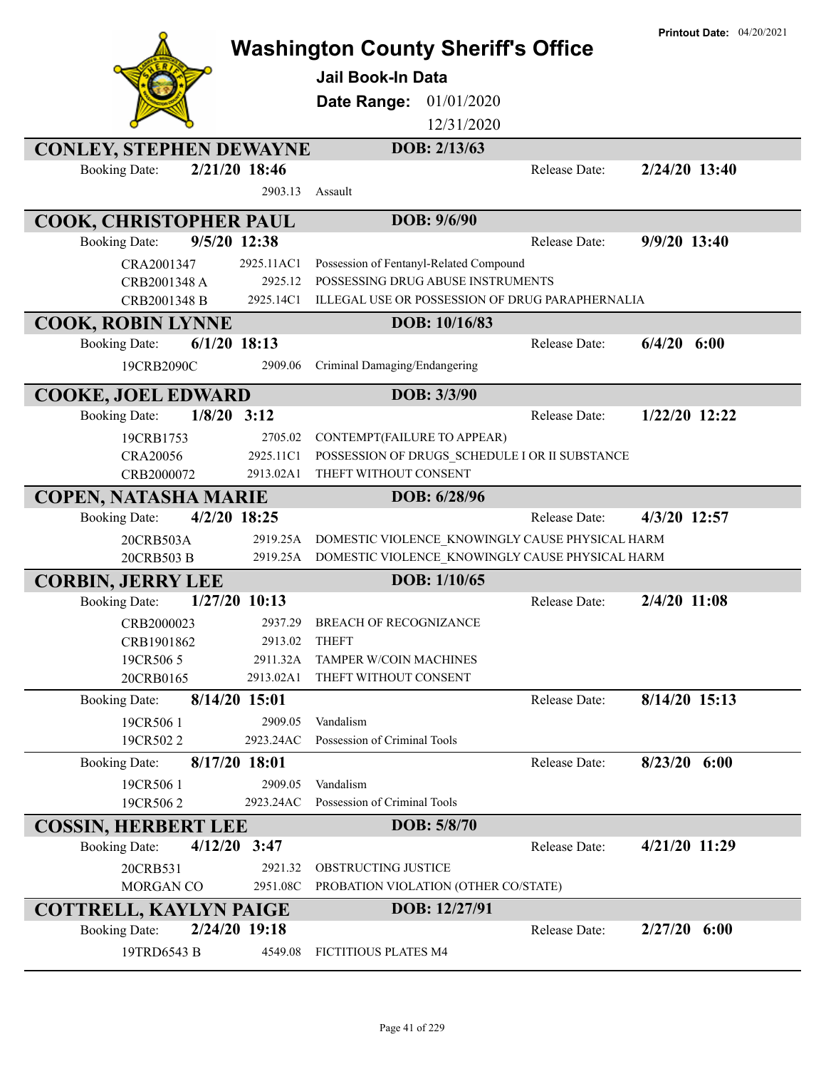|                                |                 | <b>Washington County Sheriff's Office</b>       |               | <b>Printout Date: 04/20/2021</b> |
|--------------------------------|-----------------|-------------------------------------------------|---------------|----------------------------------|
|                                |                 |                                                 |               |                                  |
|                                |                 | <b>Jail Book-In Data</b>                        |               |                                  |
|                                |                 | 01/01/2020<br>Date Range:                       |               |                                  |
|                                |                 | 12/31/2020                                      |               |                                  |
| <b>CONLEY, STEPHEN DEWAYNE</b> |                 | DOB: 2/13/63                                    |               |                                  |
| <b>Booking Date:</b>           | 2/21/20 18:46   |                                                 | Release Date: | 2/24/20 13:40                    |
|                                | 2903.13         | Assault                                         |               |                                  |
| COOK, CHRISTOPHER PAUL         |                 | DOB: 9/6/90                                     |               |                                  |
| <b>Booking Date:</b>           | 9/5/20 12:38    |                                                 | Release Date: | 9/9/20 13:40                     |
| CRA2001347                     | 2925.11AC1      | Possession of Fentanyl-Related Compound         |               |                                  |
| CRB2001348 A                   | 2925.12         | POSSESSING DRUG ABUSE INSTRUMENTS               |               |                                  |
| CRB2001348 B                   | 2925.14C1       | ILLEGAL USE OR POSSESSION OF DRUG PARAPHERNALIA |               |                                  |
| <b>COOK, ROBIN LYNNE</b>       |                 | DOB: 10/16/83                                   |               |                                  |
| <b>Booking Date:</b>           | $6/1/20$ 18:13  |                                                 | Release Date: | 6/4/20<br>6:00                   |
| 19CRB2090C                     | 2909.06         | Criminal Damaging/Endangering                   |               |                                  |
| <b>COOKE, JOEL EDWARD</b>      |                 | DOB: 3/3/90                                     |               |                                  |
| <b>Booking Date:</b>           | $1/8/20$ 3:12   |                                                 | Release Date: | 1/22/20 12:22                    |
| 19CRB1753                      | 2705.02         | CONTEMPT(FAILURE TO APPEAR)                     |               |                                  |
| <b>CRA20056</b>                | 2925.11C1       | POSSESSION OF DRUGS SCHEDULE I OR II SUBSTANCE  |               |                                  |
| CRB2000072                     | 2913.02A1       | THEFT WITHOUT CONSENT                           |               |                                  |
| <b>COPEN, NATASHA MARIE</b>    |                 | DOB: 6/28/96                                    |               |                                  |
| <b>Booking Date:</b>           | 4/2/20 18:25    |                                                 | Release Date: | 4/3/20 12:57                     |
| 20CRB503A                      | 2919.25A        | DOMESTIC VIOLENCE_KNOWINGLY CAUSE PHYSICAL HARM |               |                                  |
| 20CRB503 B                     | 2919.25A        | DOMESTIC VIOLENCE KNOWINGLY CAUSE PHYSICAL HARM |               |                                  |
| <b>CORBIN, JERRY LEE</b>       |                 | DOB: 1/10/65                                    |               |                                  |
| <b>Booking Date:</b>           | $1/27/20$ 10:13 |                                                 | Release Date: | 2/4/20 11:08                     |
| CRB2000023                     | 2937.29         | <b>BREACH OF RECOGNIZANCE</b>                   |               |                                  |
| CRB1901862                     | 2913.02         | <b>THEFT</b>                                    |               |                                  |
| 19CR5065                       | 2911.32A        | <b>TAMPER W/COIN MACHINES</b>                   |               |                                  |
| 20CRB0165                      | 2913.02A1       | THEFT WITHOUT CONSENT                           |               |                                  |
| <b>Booking Date:</b>           | 8/14/20 15:01   |                                                 | Release Date: | 8/14/20 15:13                    |
| 19CR5061                       | 2909.05         | Vandalism                                       |               |                                  |
| 19CR5022                       | 2923.24AC       | Possession of Criminal Tools                    |               |                                  |
| <b>Booking Date:</b>           | 8/17/20 18:01   |                                                 | Release Date: | $8/23/20$ 6:00                   |
| 19CR5061                       | 2909.05         | Vandalism                                       |               |                                  |
| 19CR5062                       | 2923.24AC       | Possession of Criminal Tools                    |               |                                  |
| <b>COSSIN, HERBERT LEE</b>     |                 | DOB: 5/8/70                                     |               |                                  |
| <b>Booking Date:</b>           | $4/12/20$ 3:47  |                                                 | Release Date: | 4/21/20 11:29                    |
| 20CRB531                       | 2921.32         | OBSTRUCTING JUSTICE                             |               |                                  |
| MORGAN CO                      | 2951.08C        | PROBATION VIOLATION (OTHER CO/STATE)            |               |                                  |
| <b>COTTRELL, KAYLYN PAIGE</b>  |                 | DOB: 12/27/91                                   |               |                                  |
| <b>Booking Date:</b>           | 2/24/20 19:18   |                                                 | Release Date: | $2/27/20$ 6:00                   |
| 19TRD6543 B                    | 4549.08         | FICTITIOUS PLATES M4                            |               |                                  |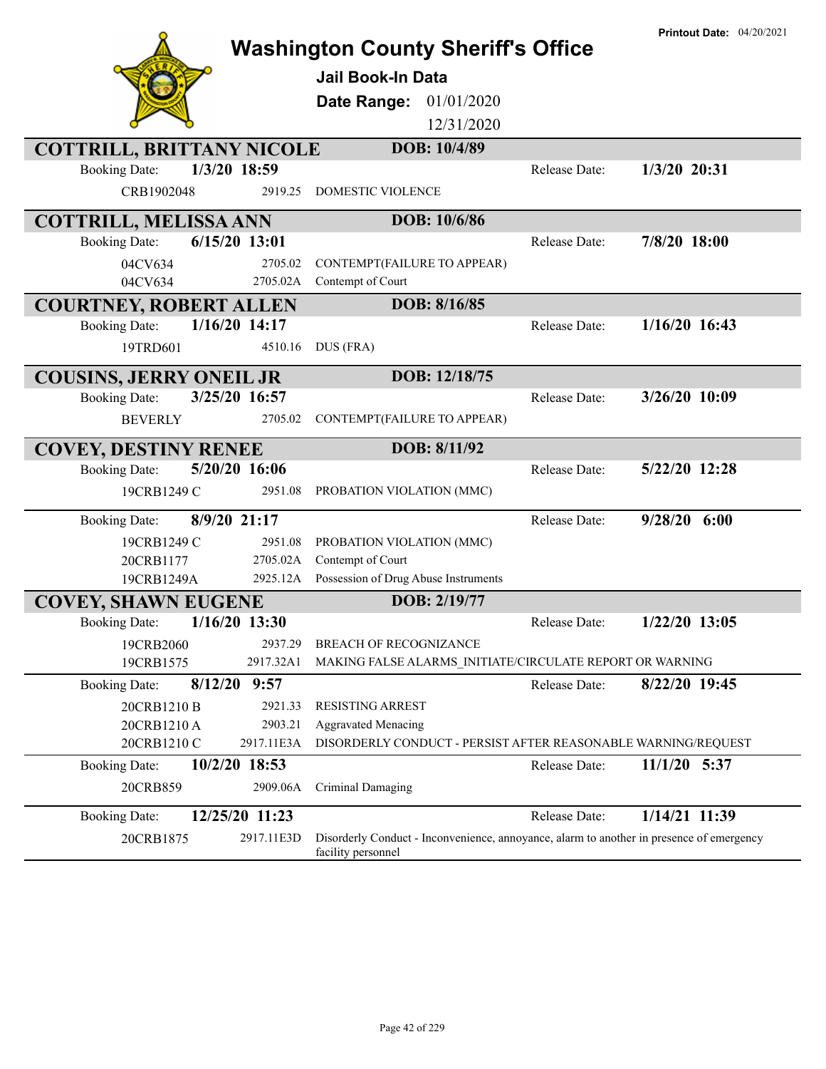|                                         | <b>Washington County Sheriff's Office</b><br><b>Jail Book-In Data</b><br>01/01/2020<br>Date Range:<br>12/31/2020 |               | <b>Printout Date: 04/20/2021</b> |
|-----------------------------------------|------------------------------------------------------------------------------------------------------------------|---------------|----------------------------------|
| <b>COTTRILL, BRITTANY NICOLE</b>        | DOB: 10/4/89                                                                                                     |               |                                  |
| 1/3/20 18:59<br><b>Booking Date:</b>    |                                                                                                                  | Release Date: | 1/3/20 20:31                     |
| CRB1902048<br>2919.25                   | DOMESTIC VIOLENCE                                                                                                |               |                                  |
| <b>COTTRILL, MELISSA ANN</b>            | DOB: 10/6/86                                                                                                     |               |                                  |
| $6/15/20$ 13:01<br><b>Booking Date:</b> |                                                                                                                  | Release Date: | 7/8/20 18:00                     |
| 2705.02<br>04CV634                      | CONTEMPT(FAILURE TO APPEAR)                                                                                      |               |                                  |
| 2705.02A<br>04CV634                     | Contempt of Court                                                                                                |               |                                  |
| <b>COURTNEY, ROBERT ALLEN</b>           | DOB: 8/16/85                                                                                                     |               |                                  |
| $1/16/20$ 14:17<br><b>Booking Date:</b> |                                                                                                                  | Release Date: | $1/16/20$ 16:43                  |
| 19TRD601<br>4510.16                     | DUS (FRA)                                                                                                        |               |                                  |
| <b>COUSINS, JERRY ONEIL JR</b>          | DOB: 12/18/75                                                                                                    |               |                                  |
| 3/25/20 16:57<br><b>Booking Date:</b>   |                                                                                                                  | Release Date: | 3/26/20 10:09                    |
| <b>BEVERLY</b><br>2705.02               | CONTEMPT(FAILURE TO APPEAR)                                                                                      |               |                                  |
| <b>COVEY, DESTINY RENEE</b>             | DOB: 8/11/92                                                                                                     |               |                                  |
| 5/20/20 16:06<br><b>Booking Date:</b>   |                                                                                                                  | Release Date: | 5/22/20 12:28                    |
| 19CRB1249 C<br>2951.08                  | PROBATION VIOLATION (MMC)                                                                                        |               |                                  |
| 8/9/20 21:17<br><b>Booking Date:</b>    |                                                                                                                  | Release Date: | $9/28/20$ 6:00                   |
| 19CRB1249 C<br>2951.08                  | PROBATION VIOLATION (MMC)                                                                                        |               |                                  |
| 20CRB1177<br>2705.02A                   | Contempt of Court                                                                                                |               |                                  |
| 19CRB1249A                              | 2925.12A Possession of Drug Abuse Instruments                                                                    |               |                                  |
| <b>COVEY, SHAWN EUGENE</b>              | DOB: 2/19/77                                                                                                     |               |                                  |
| $1/16/20$ 13:30<br><b>Booking Date:</b> |                                                                                                                  | Release Date: | $1/22/20$ 13:05                  |
| 2937.29<br>19CRB2060                    | BREACH OF RECOGNIZANCE                                                                                           |               |                                  |
| 2917.32A1<br>19CRB1575                  | MAKING FALSE ALARMS_INITIATE/CIRCULATE REPORT OR WARNING                                                         |               |                                  |
| 8/12/20<br>9:57<br><b>Booking Date:</b> |                                                                                                                  | Release Date: | 8/22/20 19:45                    |
| 20CRB1210 B<br>2921.33                  | <b>RESISTING ARREST</b>                                                                                          |               |                                  |
| 20CRB1210 A<br>2903.21                  | <b>Aggravated Menacing</b>                                                                                       |               |                                  |
| 2917.11E3A<br>20CRB1210 C               | DISORDERLY CONDUCT - PERSIST AFTER REASONABLE WARNING/REQUEST                                                    |               |                                  |
| 10/2/20 18:53<br><b>Booking Date:</b>   |                                                                                                                  | Release Date: | $11/1/20$ 5:37                   |
| 20CRB859<br>2909.06A                    | Criminal Damaging                                                                                                |               |                                  |
| 12/25/20 11:23<br><b>Booking Date:</b>  |                                                                                                                  | Release Date: | 1/14/21 11:39                    |
| 2917.11E3D<br>20CRB1875                 | Disorderly Conduct - Inconvenience, annoyance, alarm to another in presence of emergency<br>facility personnel   |               |                                  |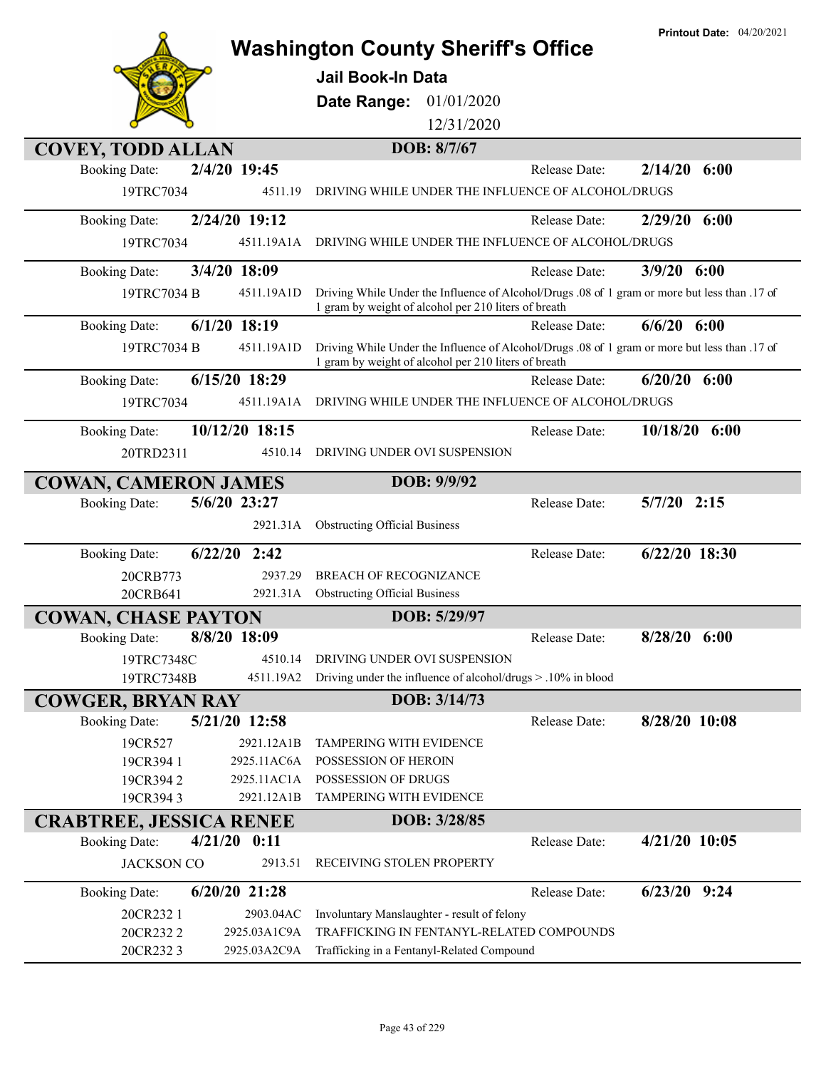|                                                     |                 |                                                                                                                                                       |               | <b>Printout Date: 04/20/2021</b> |
|-----------------------------------------------------|-----------------|-------------------------------------------------------------------------------------------------------------------------------------------------------|---------------|----------------------------------|
|                                                     |                 | <b>Washington County Sheriff's Office</b>                                                                                                             |               |                                  |
|                                                     |                 | <b>Jail Book-In Data</b>                                                                                                                              |               |                                  |
|                                                     |                 | Date Range:<br>01/01/2020                                                                                                                             |               |                                  |
|                                                     |                 | 12/31/2020                                                                                                                                            |               |                                  |
| <b>COVEY, TODD ALLAN</b>                            |                 | DOB: 8/7/67                                                                                                                                           |               |                                  |
| <b>Booking Date:</b>                                | 2/4/20 19:45    |                                                                                                                                                       | Release Date: | 2/14/20<br>6:00                  |
| 19TRC7034                                           | 4511.19         | DRIVING WHILE UNDER THE INFLUENCE OF ALCOHOL/DRUGS                                                                                                    |               |                                  |
|                                                     | 2/24/20 19:12   |                                                                                                                                                       | Release Date: | 6:00<br>2/29/20                  |
| <b>Booking Date:</b>                                | 4511.19A1A      | DRIVING WHILE UNDER THE INFLUENCE OF ALCOHOL/DRUGS                                                                                                    |               |                                  |
| 19TRC7034                                           |                 |                                                                                                                                                       |               |                                  |
| <b>Booking Date:</b>                                | 3/4/20 18:09    |                                                                                                                                                       | Release Date: | 3/9/20<br>6:00                   |
| 19TRC7034 B                                         | 4511.19A1D      | Driving While Under the Influence of Alcohol/Drugs .08 of 1 gram or more but less than .17 of<br>1 gram by weight of alcohol per 210 liters of breath |               |                                  |
| <b>Booking Date:</b>                                | $6/1/20$ 18:19  |                                                                                                                                                       | Release Date: | $6/6/20$ $6:00$                  |
| 19TRC7034 B                                         | 4511.19A1D      | Driving While Under the Influence of Alcohol/Drugs .08 of 1 gram or more but less than .17 of<br>1 gram by weight of alcohol per 210 liters of breath |               |                                  |
| <b>Booking Date:</b>                                | 6/15/20 18:29   |                                                                                                                                                       | Release Date: | 6/20/20<br>6:00                  |
| 19TRC7034                                           | 4511.19A1A      | DRIVING WHILE UNDER THE INFLUENCE OF ALCOHOL/DRUGS                                                                                                    |               |                                  |
| <b>Booking Date:</b>                                | 10/12/20 18:15  |                                                                                                                                                       | Release Date: | 10/18/20<br>6:00                 |
| 20TRD2311                                           | 4510.14         | DRIVING UNDER OVI SUSPENSION                                                                                                                          |               |                                  |
|                                                     |                 | DOB: 9/9/92                                                                                                                                           |               |                                  |
| <b>COWAN, CAMERON JAMES</b><br><b>Booking Date:</b> | 5/6/20 23:27    |                                                                                                                                                       | Release Date: | $5/7/20$ 2:15                    |
|                                                     | 2921.31A        | <b>Obstructing Official Business</b>                                                                                                                  |               |                                  |
|                                                     |                 |                                                                                                                                                       |               |                                  |
| <b>Booking Date:</b>                                | 6/22/20<br>2:42 |                                                                                                                                                       | Release Date: | $6/22/20$ 18:30                  |
| 20CRB773                                            | 2937.29         | <b>BREACH OF RECOGNIZANCE</b>                                                                                                                         |               |                                  |
| 20CRB641                                            | 2921.31A        | <b>Obstructing Official Business</b>                                                                                                                  |               |                                  |
| <b>COWAN, CHASE PAYTON</b>                          |                 | DOB: 5/29/97                                                                                                                                          |               |                                  |
| <b>Booking Date:</b>                                | 8/8/20 18:09    |                                                                                                                                                       | Release Date: | 8/28/20 6:00                     |
| 19TRC7348C                                          | 4510.14         | DRIVING UNDER OVI SUSPENSION                                                                                                                          |               |                                  |
| 19TRC7348B                                          | 4511.19A2       | Driving under the influence of alcohol/drugs > .10% in blood                                                                                          |               |                                  |
| <b>COWGER, BRYAN RAY</b>                            |                 | DOB: 3/14/73                                                                                                                                          |               |                                  |
| <b>Booking Date:</b>                                | 5/21/20 12:58   |                                                                                                                                                       | Release Date: | 8/28/20 10:08                    |
| 19CR527                                             | 2921.12A1B      | <b>TAMPERING WITH EVIDENCE</b>                                                                                                                        |               |                                  |
| 19CR394 1                                           | 2925.11AC6A     | POSSESSION OF HEROIN                                                                                                                                  |               |                                  |
| 19CR3942                                            | 2925.11AC1A     | POSSESSION OF DRUGS                                                                                                                                   |               |                                  |
| 19CR3943                                            | 2921.12A1B      | TAMPERING WITH EVIDENCE                                                                                                                               |               |                                  |
| <b>CRABTREE, JESSICA RENEE</b>                      |                 | DOB: 3/28/85                                                                                                                                          |               |                                  |
| <b>Booking Date:</b>                                | 4/21/20<br>0:11 |                                                                                                                                                       | Release Date: | $4/21/20$ 10:05                  |
| <b>JACKSON CO</b>                                   | 2913.51         | RECEIVING STOLEN PROPERTY                                                                                                                             |               |                                  |
| <b>Booking Date:</b>                                | $6/20/20$ 21:28 |                                                                                                                                                       | Release Date: | $6/23/20$ 9:24                   |
| 20CR232 1                                           | 2903.04AC       | Involuntary Manslaughter - result of felony                                                                                                           |               |                                  |
| 20CR2322                                            | 2925.03A1C9A    | TRAFFICKING IN FENTANYL-RELATED COMPOUNDS                                                                                                             |               |                                  |
| 20CR2323                                            | 2925.03A2C9A    | Trafficking in a Fentanyl-Related Compound                                                                                                            |               |                                  |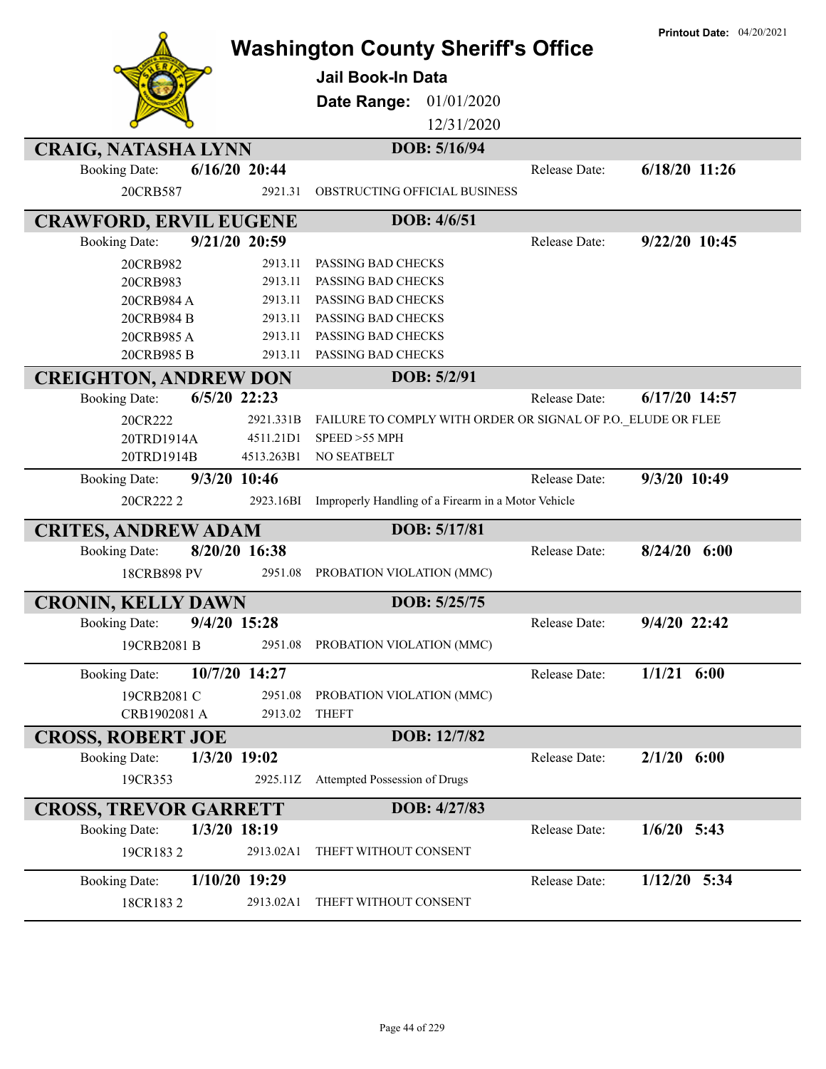|                                         | <b>Washington County Sheriff's Office</b>                    |               | <b>Printout Date: 04/20/2021</b> |
|-----------------------------------------|--------------------------------------------------------------|---------------|----------------------------------|
|                                         | Jail Book-In Data                                            |               |                                  |
|                                         | Date Range:<br>01/01/2020                                    |               |                                  |
|                                         | 12/31/2020                                                   |               |                                  |
|                                         |                                                              |               |                                  |
| <b>CRAIG, NATASHA LYNN</b>              | DOB: 5/16/94                                                 |               |                                  |
| $6/16/20$ 20:44<br><b>Booking Date:</b> |                                                              | Release Date: | $6/18/20$ 11:26                  |
| 20CRB587<br>2921.31                     | OBSTRUCTING OFFICIAL BUSINESS                                |               |                                  |
| <b>CRAWFORD, ERVIL EUGENE</b>           | DOB: 4/6/51                                                  |               |                                  |
| 9/21/20 20:59<br><b>Booking Date:</b>   |                                                              | Release Date: | 9/22/20 10:45                    |
| 2913.11<br>20CRB982                     | PASSING BAD CHECKS                                           |               |                                  |
| 2913.11<br>20CRB983                     | PASSING BAD CHECKS                                           |               |                                  |
| 2913.11<br>20CRB984 A                   | PASSING BAD CHECKS                                           |               |                                  |
| 20CRB984 B<br>2913.11                   | PASSING BAD CHECKS                                           |               |                                  |
| 20CRB985A<br>2913.11                    | PASSING BAD CHECKS                                           |               |                                  |
| 2913.11<br>20CRB985 B                   | PASSING BAD CHECKS                                           |               |                                  |
| <b>CREIGHTON, ANDREW DON</b>            | DOB: 5/2/91                                                  |               |                                  |
| 6/5/20 22:23<br><b>Booking Date:</b>    |                                                              | Release Date: | 6/17/20 14:57                    |
| 20CR222<br>2921.331B                    | FAILURE TO COMPLY WITH ORDER OR SIGNAL OF P.O. ELUDE OR FLEE |               |                                  |
| 20TRD1914A<br>4511.21D1                 | SPEED >55 MPH                                                |               |                                  |
| 20TRD1914B<br>4513.263B1                | NO SEATBELT                                                  |               |                                  |
| 9/3/20 10:46<br><b>Booking Date:</b>    |                                                              | Release Date: | 9/3/20 10:49                     |
| 2923.16BI<br>20CR222 2                  | Improperly Handling of a Firearm in a Motor Vehicle          |               |                                  |
| <b>CRITES, ANDREW ADAM</b>              | DOB: 5/17/81                                                 |               |                                  |
| 8/20/20 16:38<br><b>Booking Date:</b>   |                                                              | Release Date: | $8/24/20$ 6:00                   |
| <b>18CRB898 PV</b><br>2951.08           | PROBATION VIOLATION (MMC)                                    |               |                                  |
| <b>CRONIN, KELLY DAWN</b>               | DOB: 5/25/75                                                 |               |                                  |
| 9/4/20 15:28<br><b>Booking Date:</b>    |                                                              | Release Date: | 9/4/20 22:42                     |
| 19CRB2081 B<br>2951.08                  | PROBATION VIOLATION (MMC)                                    |               |                                  |
|                                         |                                                              |               | $1/1/21$ 6:00                    |
| 10/7/20 14:27<br><b>Booking Date:</b>   |                                                              | Release Date: |                                  |
| 19CRB2081 C<br>2951.08                  | PROBATION VIOLATION (MMC)                                    |               |                                  |
| CRB1902081 A<br>2913.02                 | <b>THEFT</b>                                                 |               |                                  |
| <b>CROSS, ROBERT JOE</b>                | DOB: 12/7/82                                                 |               |                                  |
| <b>Booking Date:</b><br>1/3/20 19:02    |                                                              | Release Date: | $2/1/20$ 6:00                    |
| 19CR353<br>2925.11Z                     | Attempted Possession of Drugs                                |               |                                  |
| <b>CROSS, TREVOR GARRETT</b>            | DOB: 4/27/83                                                 |               |                                  |
| 1/3/20 18:19<br><b>Booking Date:</b>    |                                                              | Release Date: | $1/6/20$ 5:43                    |
| 19CR1832<br>2913.02A1                   | THEFT WITHOUT CONSENT                                        |               |                                  |
| $1/10/20$ 19:29<br><b>Booking Date:</b> |                                                              | Release Date: | $1/12/20$ 5:34                   |
| 18CR1832<br>2913.02A1                   | THEFT WITHOUT CONSENT                                        |               |                                  |
|                                         |                                                              |               |                                  |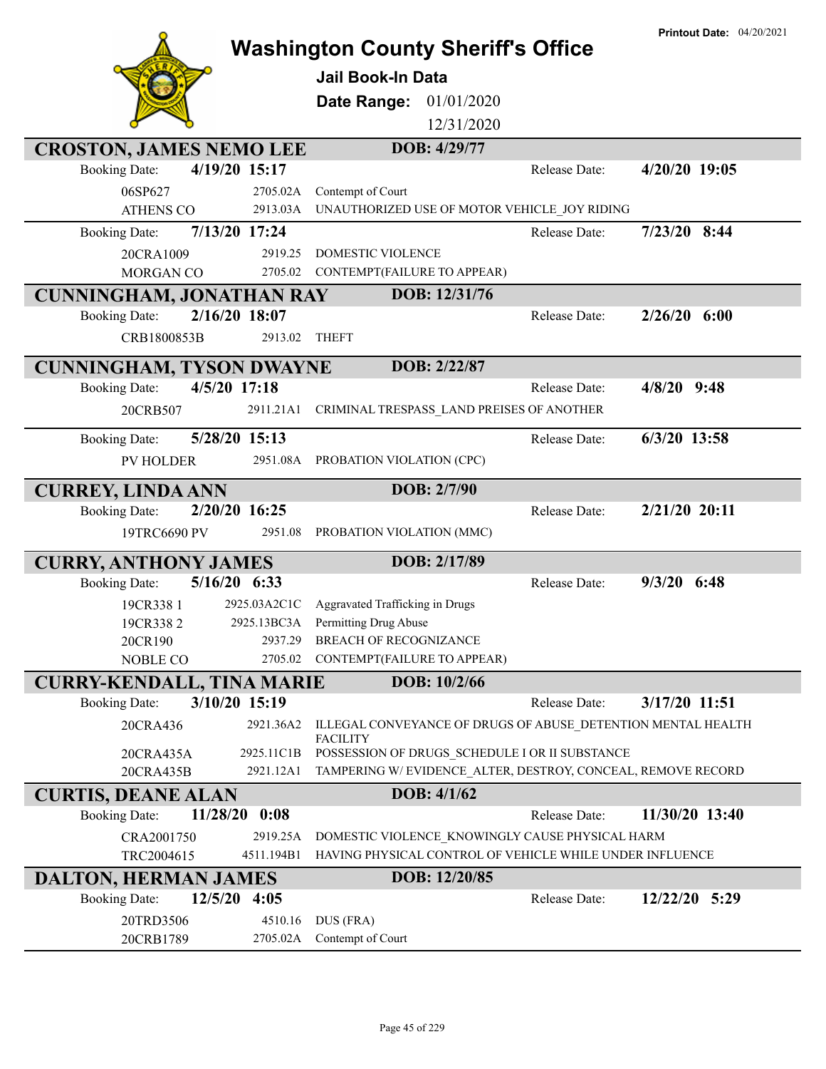|                                  |                |                                                              |               | <b>Printout Date: 04/20/2021</b> |
|----------------------------------|----------------|--------------------------------------------------------------|---------------|----------------------------------|
|                                  |                | <b>Washington County Sheriff's Office</b>                    |               |                                  |
|                                  |                | <b>Jail Book-In Data</b>                                     |               |                                  |
|                                  |                | 01/01/2020<br>Date Range:                                    |               |                                  |
|                                  |                |                                                              |               |                                  |
|                                  |                | 12/31/2020                                                   |               |                                  |
| <b>CROSTON, JAMES NEMO LEE</b>   |                | DOB: 4/29/77                                                 |               |                                  |
| <b>Booking Date:</b>             | 4/19/20 15:17  |                                                              | Release Date: | 4/20/20 19:05                    |
| 06SP627                          | 2705.02A       | Contempt of Court                                            |               |                                  |
| <b>ATHENS CO</b>                 | 2913.03A       | UNAUTHORIZED USE OF MOTOR VEHICLE JOY RIDING                 |               |                                  |
| <b>Booking Date:</b>             | 7/13/20 17:24  |                                                              | Release Date: | $7/23/20$ 8:44                   |
| 20CRA1009                        | 2919.25        | DOMESTIC VIOLENCE                                            |               |                                  |
| MORGAN CO                        | 2705.02        | CONTEMPT(FAILURE TO APPEAR)                                  |               |                                  |
| <b>CUNNINGHAM, JONATHAN RAY</b>  |                | DOB: 12/31/76                                                |               |                                  |
| <b>Booking Date:</b>             | 2/16/20 18:07  |                                                              | Release Date: | $2/26/20$ 6:00                   |
| CRB1800853B                      | 2913.02        | <b>THEFT</b>                                                 |               |                                  |
|                                  |                |                                                              |               |                                  |
| <b>CUNNINGHAM, TYSON DWAYNE</b>  |                | DOB: 2/22/87                                                 |               |                                  |
| <b>Booking Date:</b>             | 4/5/20 17:18   |                                                              | Release Date: | $4/8/20$ 9:48                    |
| 20CRB507                         | 2911.21A1      | CRIMINAL TRESPASS_LAND PREISES OF ANOTHER                    |               |                                  |
| <b>Booking Date:</b>             | 5/28/20 15:13  |                                                              | Release Date: | $6/3/20$ 13:58                   |
| <b>PV HOLDER</b>                 |                | 2951.08A PROBATION VIOLATION (CPC)                           |               |                                  |
|                                  |                |                                                              |               |                                  |
| <b>CURREY, LINDA ANN</b>         |                | DOB: 2/7/90                                                  |               |                                  |
| <b>Booking Date:</b>             | 2/20/20 16:25  |                                                              | Release Date: | 2/21/20 20:11                    |
| 19TRC6690 PV                     | 2951.08        | PROBATION VIOLATION (MMC)                                    |               |                                  |
| <b>CURRY, ANTHONY JAMES</b>      |                | DOB: 2/17/89                                                 |               |                                  |
| <b>Booking Date:</b>             | $5/16/20$ 6:33 |                                                              | Release Date: | $9/3/20$ 6:48                    |
| 19CR338 1                        | 2925.03A2C1C   | Aggravated Trafficking in Drugs                              |               |                                  |
| 19CR3382                         | 2925.13BC3A    | Permitting Drug Abuse                                        |               |                                  |
| 20CR190                          | 2937.29        | <b>BREACH OF RECOGNIZANCE</b>                                |               |                                  |
| NOBLE CO                         | 2705.02        | CONTEMPT(FAILURE TO APPEAR)                                  |               |                                  |
| <b>CURRY-KENDALL, TINA MARIE</b> |                | DOB: 10/2/66                                                 |               |                                  |
| <b>Booking Date:</b>             | 3/10/20 15:19  |                                                              | Release Date: | 3/17/20 11:51                    |
| 20CRA436                         | 2921.36A2      | ILLEGAL CONVEYANCE OF DRUGS OF ABUSE_DETENTION MENTAL HEALTH |               |                                  |
|                                  |                | <b>FACILITY</b>                                              |               |                                  |
| 20CRA435A                        | 2925.11C1B     | POSSESSION OF DRUGS SCHEDULE I OR II SUBSTANCE               |               |                                  |
| 20CRA435B                        | 2921.12A1      | TAMPERING W/EVIDENCE ALTER, DESTROY, CONCEAL, REMOVE RECORD  |               |                                  |
| <b>CURTIS, DEANE ALAN</b>        |                | DOB: 4/1/62                                                  |               |                                  |
| 11/28/20<br><b>Booking Date:</b> | 0:08           |                                                              | Release Date: | 11/30/20 13:40                   |
| CRA2001750                       | 2919.25A       | DOMESTIC VIOLENCE KNOWINGLY CAUSE PHYSICAL HARM              |               |                                  |
| TRC2004615                       | 4511.194B1     | HAVING PHYSICAL CONTROL OF VEHICLE WHILE UNDER INFLUENCE     |               |                                  |
| <b>DALTON, HERMAN JAMES</b>      |                | DOB: 12/20/85                                                |               |                                  |
| <b>Booking Date:</b>             | 12/5/20 4:05   |                                                              | Release Date: | 12/22/20 5:29                    |
| 20TRD3506                        | 4510.16        | DUS (FRA)                                                    |               |                                  |
| 20CRB1789                        | 2705.02A       | Contempt of Court                                            |               |                                  |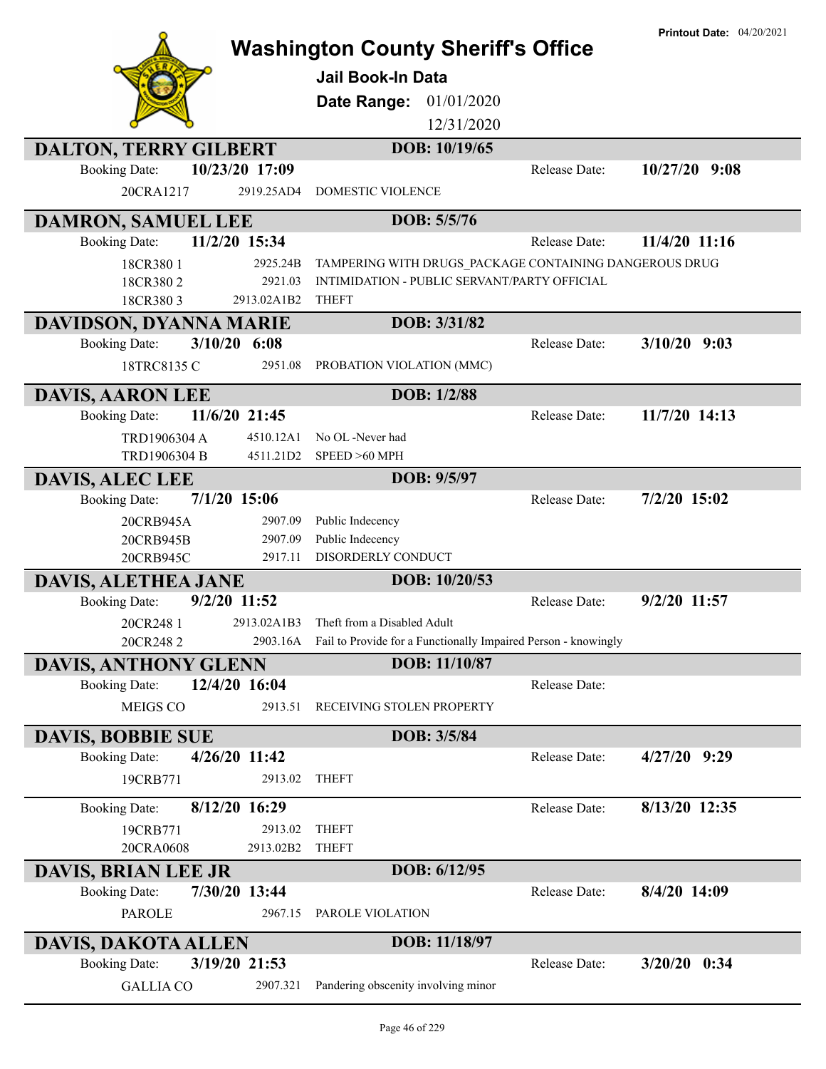|                                                  |                |                                                                                                        |               | <b>Printout Date: 04/20/2021</b> |
|--------------------------------------------------|----------------|--------------------------------------------------------------------------------------------------------|---------------|----------------------------------|
|                                                  |                | <b>Washington County Sheriff's Office</b>                                                              |               |                                  |
|                                                  |                | <b>Jail Book-In Data</b>                                                                               |               |                                  |
|                                                  |                | 01/01/2020<br>Date Range:                                                                              |               |                                  |
|                                                  |                | 12/31/2020                                                                                             |               |                                  |
| <b>DALTON, TERRY GILBERT</b>                     |                | DOB: 10/19/65                                                                                          |               |                                  |
| <b>Booking Date:</b>                             | 10/23/20 17:09 |                                                                                                        | Release Date: | 9:08<br>10/27/20                 |
| 20CRA1217                                        | 2919.25AD4     | <b>DOMESTIC VIOLENCE</b>                                                                               |               |                                  |
| DAMRON, SAMUEL LEE                               |                | DOB: 5/5/76                                                                                            |               |                                  |
| <b>Booking Date:</b>                             | 11/2/20 15:34  |                                                                                                        | Release Date: | 11/4/20 11:16                    |
| 18CR3801                                         | 2925.24B       | TAMPERING WITH DRUGS_PACKAGE CONTAINING DANGEROUS DRUG                                                 |               |                                  |
| 18CR3802                                         | 2921.03        | INTIMIDATION - PUBLIC SERVANT/PARTY OFFICIAL                                                           |               |                                  |
| 18CR3803                                         | 2913.02A1B2    | <b>THEFT</b>                                                                                           |               |                                  |
| DAVIDSON, DYANNA MARIE                           |                | DOB: 3/31/82                                                                                           |               |                                  |
| <b>Booking Date:</b>                             | $3/10/20$ 6:08 |                                                                                                        | Release Date: | $3/10/20$ 9:03                   |
| 18TRC8135 C                                      | 2951.08        | PROBATION VIOLATION (MMC)                                                                              |               |                                  |
| <b>DAVIS, AARON LEE</b>                          |                | DOB: 1/2/88                                                                                            |               |                                  |
| <b>Booking Date:</b>                             | 11/6/20 21:45  |                                                                                                        | Release Date: | 11/7/20 14:13                    |
| TRD1906304 A                                     | 4510.12A1      | No OL -Never had                                                                                       |               |                                  |
| TRD1906304 B                                     | 4511.21D2      | SPEED >60 MPH                                                                                          |               |                                  |
| <b>DAVIS, ALEC LEE</b>                           |                | DOB: 9/5/97                                                                                            |               |                                  |
| <b>Booking Date:</b>                             | $7/1/20$ 15:06 |                                                                                                        | Release Date: | 7/2/20 15:02                     |
| 20CRB945A                                        | 2907.09        | Public Indecency                                                                                       |               |                                  |
| 20CRB945B                                        | 2907.09        | Public Indecency                                                                                       |               |                                  |
| 20CRB945C                                        | 2917.11        | DISORDERLY CONDUCT                                                                                     |               |                                  |
| <b>DAVIS, ALETHEA JANE</b>                       | 9/2/20 11:52   | DOB: 10/20/53                                                                                          |               | 9/2/20 11:57                     |
| <b>Booking Date:</b>                             |                |                                                                                                        | Release Date: |                                  |
| 20CR248 1<br>20CR2482                            | 2913.02A1B3    | Theft from a Disabled Adult<br>2903.16A Fail to Provide for a Functionally Impaired Person - knowingly |               |                                  |
| <b>DAVIS, ANTHONY GLENN</b>                      |                | DOB: 11/10/87                                                                                          |               |                                  |
| <b>Booking Date:</b>                             | 12/4/20 16:04  |                                                                                                        | Release Date: |                                  |
| MEIGS CO                                         | 2913.51        | RECEIVING STOLEN PROPERTY                                                                              |               |                                  |
|                                                  |                |                                                                                                        |               |                                  |
| <b>DAVIS, BOBBIE SUE</b><br><b>Booking Date:</b> | 4/26/20 11:42  | DOB: 3/5/84                                                                                            | Release Date: | $4/27/20$ 9:29                   |
| 19CRB771                                         | 2913.02        | <b>THEFT</b>                                                                                           |               |                                  |
|                                                  |                |                                                                                                        |               |                                  |
| <b>Booking Date:</b>                             | 8/12/20 16:29  |                                                                                                        | Release Date: | 8/13/20 12:35                    |
| 19CRB771                                         | 2913.02        | <b>THEFT</b>                                                                                           |               |                                  |
| 20CRA0608                                        | 2913.02B2      | <b>THEFT</b>                                                                                           |               |                                  |
| <b>DAVIS, BRIAN LEE JR</b>                       |                | DOB: 6/12/95                                                                                           |               |                                  |
| <b>Booking Date:</b>                             | 7/30/20 13:44  |                                                                                                        | Release Date: | 8/4/20 14:09                     |
| <b>PAROLE</b>                                    | 2967.15        | PAROLE VIOLATION                                                                                       |               |                                  |
| <b>DAVIS, DAKOTA ALLEN</b>                       |                | DOB: 11/18/97                                                                                          |               |                                  |
| <b>Booking Date:</b>                             | 3/19/20 21:53  |                                                                                                        | Release Date: | $3/20/20$ 0:34                   |
| <b>GALLIA CO</b>                                 | 2907.321       | Pandering obscenity involving minor                                                                    |               |                                  |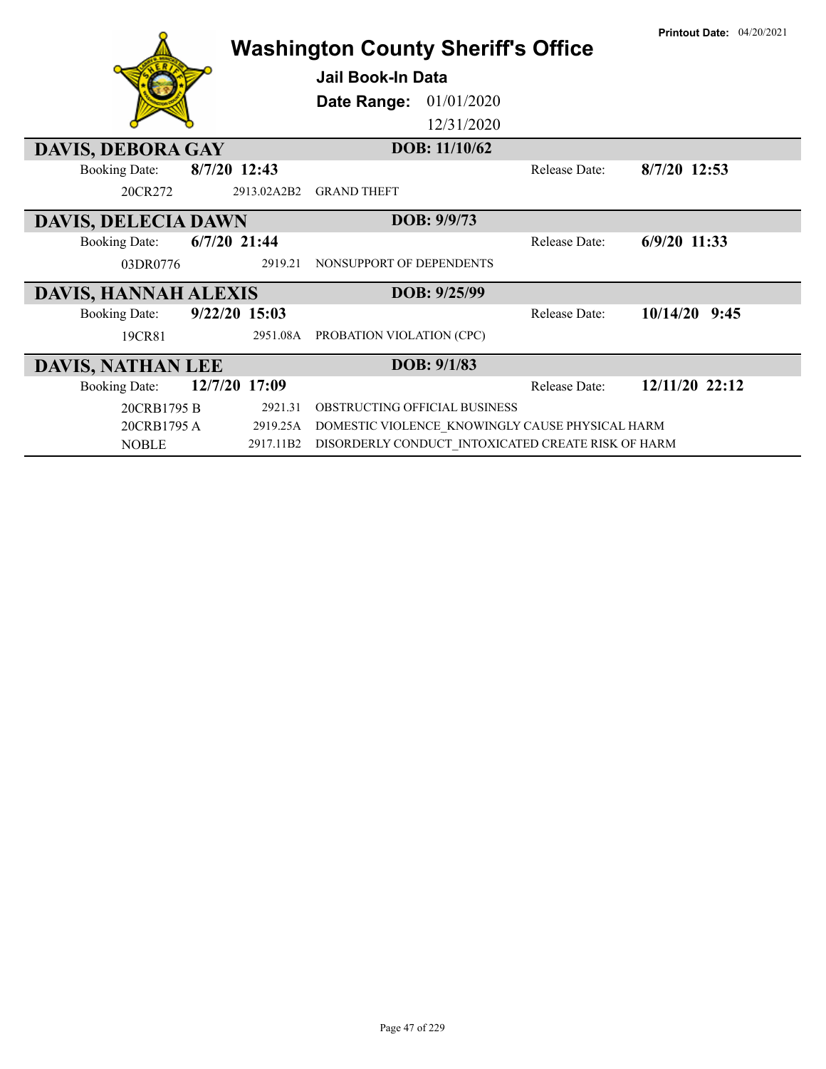|                             |                 | <b>Washington County Sheriff's Office</b><br><b>Jail Book-In Data</b><br>Date Range:<br>01/01/2020<br>12/31/2020 |                      | <b>Printout Date: 04/20/2021</b> |
|-----------------------------|-----------------|------------------------------------------------------------------------------------------------------------------|----------------------|----------------------------------|
| <b>DAVIS, DEBORA GAY</b>    |                 | DOB: 11/10/62                                                                                                    |                      |                                  |
| <b>Booking Date:</b>        | 8/7/20 12:43    |                                                                                                                  | Release Date:        | 8/7/20 12:53                     |
| 20CR272                     | 2913.02A2B2     | <b>GRAND THEFT</b>                                                                                               |                      |                                  |
| <b>DAVIS, DELECIA DAWN</b>  |                 | DOB: 9/9/73                                                                                                      |                      |                                  |
| <b>Booking Date:</b>        | $6/7/20$ 21:44  |                                                                                                                  | Release Date:        | $6/9/20$ 11:33                   |
| 03DR0776                    | 2919.21         | NONSUPPORT OF DEPENDENTS                                                                                         |                      |                                  |
| <b>DAVIS, HANNAH ALEXIS</b> |                 | DOB: 9/25/99                                                                                                     |                      |                                  |
| <b>Booking Date:</b>        | $9/22/20$ 15:03 |                                                                                                                  | Release Date:        | 10/14/20<br>9:45                 |
| 19CR81                      | 2951.08A        | PROBATION VIOLATION (CPC)                                                                                        |                      |                                  |
| <b>DAVIS, NATHAN LEE</b>    |                 | DOB: 9/1/83                                                                                                      |                      |                                  |
| <b>Booking Date:</b>        | 12/7/20 17:09   |                                                                                                                  | <b>Release Date:</b> | 12/11/20 22:12                   |
| 20CRB1795 B                 | 2921.31         | OBSTRUCTING OFFICIAL BUSINESS                                                                                    |                      |                                  |
| 20CRB1795 A                 | 2919.25A        | DOMESTIC VIOLENCE KNOWINGLY CAUSE PHYSICAL HARM                                                                  |                      |                                  |
| <b>NOBLE</b>                | 2917.11B2       | DISORDERLY CONDUCT INTOXICATED CREATE RISK OF HARM                                                               |                      |                                  |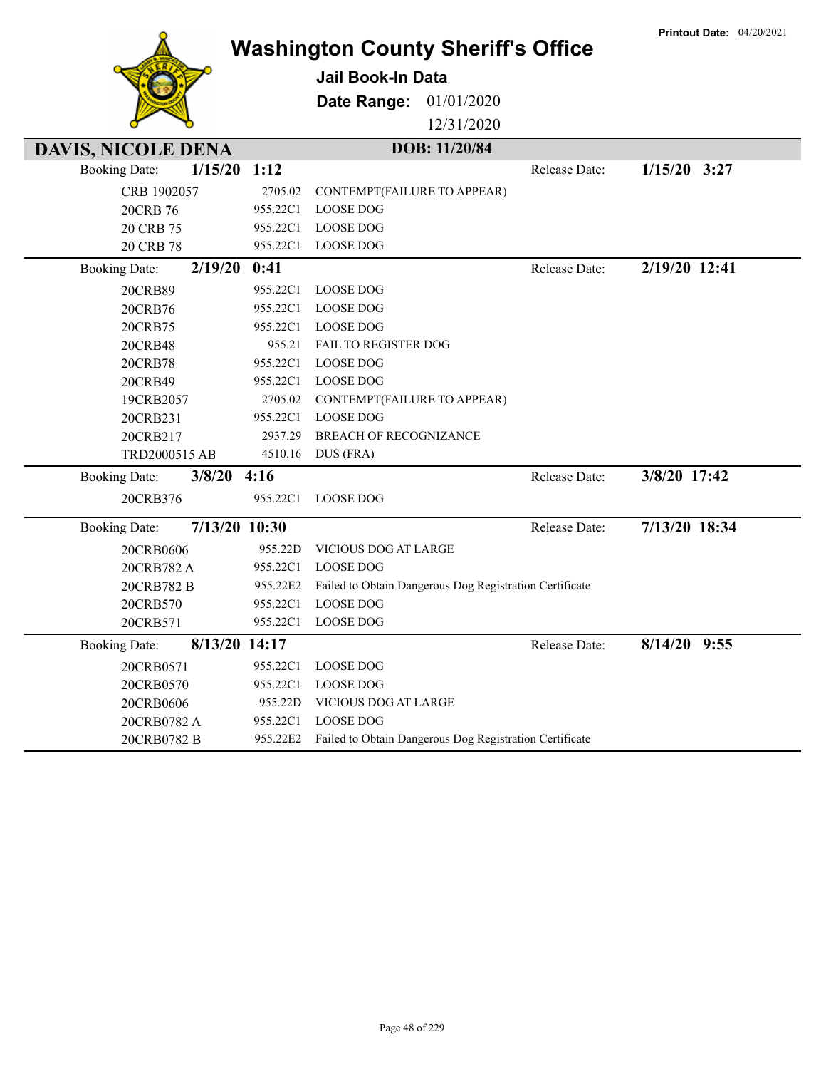|                                       |                      | <b>Washington County Sheriff's Office</b>               |               | <b>Printout Date: 04/20/2021</b> |
|---------------------------------------|----------------------|---------------------------------------------------------|---------------|----------------------------------|
|                                       |                      | <b>Jail Book-In Data</b>                                |               |                                  |
|                                       |                      | Date Range:<br>01/01/2020                               |               |                                  |
|                                       |                      | 12/31/2020                                              |               |                                  |
|                                       |                      |                                                         |               |                                  |
| <b>DAVIS, NICOLE DENA</b>             |                      | DOB: 11/20/84                                           |               |                                  |
| 1/15/20<br><b>Booking Date:</b>       | 1:12                 |                                                         | Release Date: | $1/15/20$ 3:27                   |
| CRB 1902057                           | 2705.02              | CONTEMPT(FAILURE TO APPEAR)                             |               |                                  |
| 20CRB 76                              | 955.22C1             | <b>LOOSE DOG</b>                                        |               |                                  |
| 20 CRB 75                             | 955.22C1<br>955.22C1 | <b>LOOSE DOG</b><br><b>LOOSE DOG</b>                    |               |                                  |
| 20 CRB 78                             |                      |                                                         |               |                                  |
| 2/19/20<br><b>Booking Date:</b>       | 0:41                 |                                                         | Release Date: | 2/19/20 12:41                    |
| 20CRB89                               | 955.22C1             | <b>LOOSE DOG</b>                                        |               |                                  |
| 20CRB76                               | 955.22C1             | <b>LOOSE DOG</b>                                        |               |                                  |
| 20CRB75                               | 955.22C1             | <b>LOOSE DOG</b>                                        |               |                                  |
| 20CRB48                               | 955.21<br>955.22C1   | <b>FAIL TO REGISTER DOG</b><br><b>LOOSE DOG</b>         |               |                                  |
| 20CRB78<br>20CRB49                    | 955.22C1             | <b>LOOSE DOG</b>                                        |               |                                  |
| 19CRB2057                             | 2705.02              | CONTEMPT(FAILURE TO APPEAR)                             |               |                                  |
| 20CRB231                              | 955.22C1             | <b>LOOSE DOG</b>                                        |               |                                  |
| 20CRB217                              | 2937.29              | <b>BREACH OF RECOGNIZANCE</b>                           |               |                                  |
| TRD2000515 AB                         | 4510.16              | DUS (FRA)                                               |               |                                  |
| $3/8/20$ 4:16<br><b>Booking Date:</b> |                      |                                                         | Release Date: | 3/8/20 17:42                     |
| 20CRB376                              | 955.22C1             | <b>LOOSE DOG</b>                                        |               |                                  |
| 7/13/20 10:30<br><b>Booking Date:</b> |                      |                                                         | Release Date: | 7/13/20 18:34                    |
| 20CRB0606                             | 955.22D              | VICIOUS DOG AT LARGE                                    |               |                                  |
| 20CRB782 A                            | 955.22C1             | <b>LOOSE DOG</b>                                        |               |                                  |
| 20CRB782 B                            | 955.22E2             | Failed to Obtain Dangerous Dog Registration Certificate |               |                                  |
| 20CRB570                              | 955.22C1             | <b>LOOSE DOG</b>                                        |               |                                  |
| 20CRB571                              | 955.22C1             | <b>LOOSE DOG</b>                                        |               |                                  |
| 8/13/20 14:17<br><b>Booking Date:</b> |                      |                                                         | Release Date: | 8/14/20 9:55                     |
| 20CRB0571                             | 955.22C1             | <b>LOOSE DOG</b>                                        |               |                                  |
| 20CRB0570                             | 955.22C1             | <b>LOOSE DOG</b>                                        |               |                                  |
| 20CRB0606                             | 955.22D              | VICIOUS DOG AT LARGE                                    |               |                                  |
| 20CRB0782 A                           | 955.22C1             | <b>LOOSE DOG</b>                                        |               |                                  |
| 20CRB0782 B                           | 955.22E2             | Failed to Obtain Dangerous Dog Registration Certificate |               |                                  |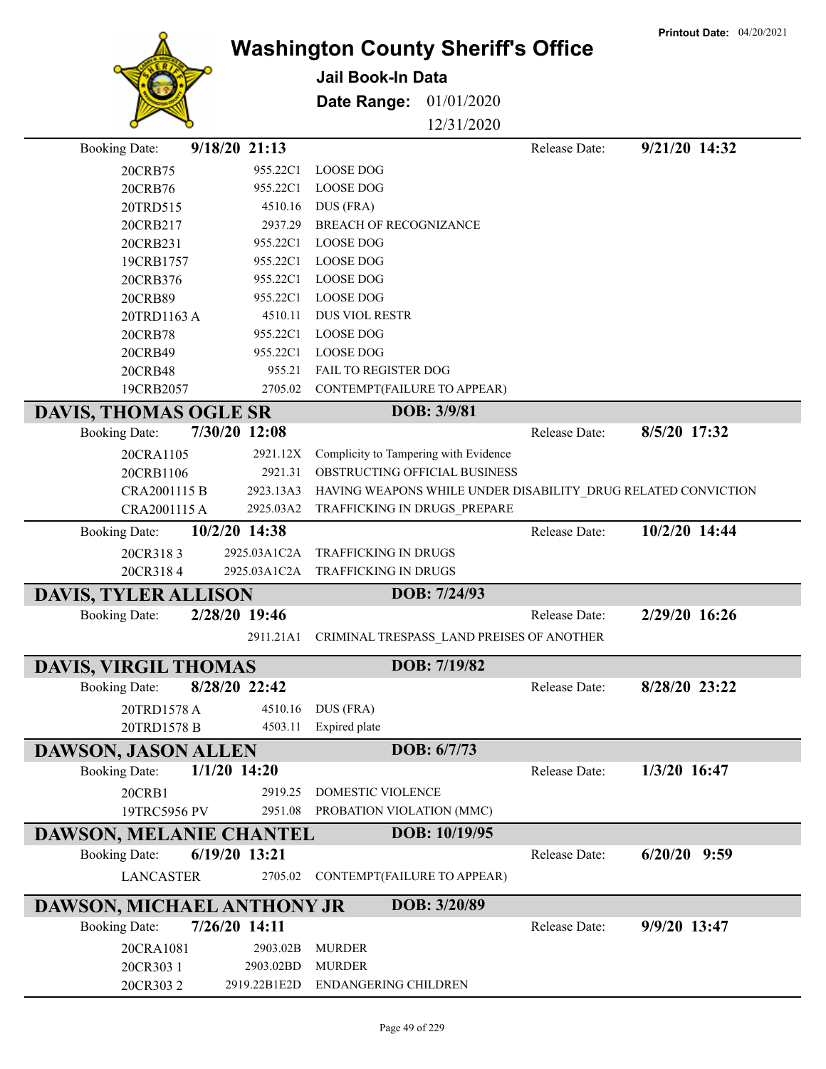|                              |                |                                                     |               |               | <b>Printout Date: 04/20/2021</b>                              |
|------------------------------|----------------|-----------------------------------------------------|---------------|---------------|---------------------------------------------------------------|
|                              |                | <b>Washington County Sheriff's Office</b>           |               |               |                                                               |
|                              |                | <b>Jail Book-In Data</b>                            |               |               |                                                               |
|                              |                | Date Range:                                         | 01/01/2020    |               |                                                               |
|                              |                |                                                     | 12/31/2020    |               |                                                               |
|                              |                |                                                     |               |               | 9/21/20 14:32                                                 |
| <b>Booking Date:</b>         | 9/18/20 21:13  |                                                     |               | Release Date: |                                                               |
| 20CRB75                      | 955.22C1       | <b>LOOSE DOG</b>                                    |               |               |                                                               |
| 20CRB76                      | 955.22C1       | <b>LOOSE DOG</b>                                    |               |               |                                                               |
| 20TRD515                     | 4510.16        | DUS (FRA)                                           |               |               |                                                               |
| 20CRB217                     | 2937.29        | BREACH OF RECOGNIZANCE                              |               |               |                                                               |
| 20CRB231                     | 955.22C1       | <b>LOOSE DOG</b>                                    |               |               |                                                               |
| 19CRB1757                    | 955.22C1       | <b>LOOSE DOG</b>                                    |               |               |                                                               |
| 20CRB376                     | 955.22C1       | <b>LOOSE DOG</b>                                    |               |               |                                                               |
| 20CRB89                      | 955.22C1       | <b>LOOSE DOG</b>                                    |               |               |                                                               |
| 20TRD1163 A                  | 4510.11        | <b>DUS VIOL RESTR</b>                               |               |               |                                                               |
| 20CRB78                      | 955.22C1       | <b>LOOSE DOG</b>                                    |               |               |                                                               |
| 20CRB49                      | 955.22C1       | <b>LOOSE DOG</b>                                    |               |               |                                                               |
| 20CRB48                      | 955.21         | FAIL TO REGISTER DOG                                |               |               |                                                               |
| 19CRB2057                    | 2705.02        | CONTEMPT(FAILURE TO APPEAR)                         |               |               |                                                               |
| <b>DAVIS, THOMAS OGLE SR</b> |                |                                                     | DOB: 3/9/81   |               |                                                               |
| <b>Booking Date:</b>         | 7/30/20 12:08  |                                                     |               | Release Date: | 8/5/20 17:32                                                  |
| 20CRA1105                    | 2921.12X       | Complicity to Tampering with Evidence               |               |               |                                                               |
| 20CRB1106                    | 2921.31        | OBSTRUCTING OFFICIAL BUSINESS                       |               |               |                                                               |
| CRA2001115 B                 | 2923.13A3      |                                                     |               |               | HAVING WEAPONS WHILE UNDER DISABILITY_DRUG RELATED CONVICTION |
| CRA2001115 A                 | 2925.03A2      | TRAFFICKING IN DRUGS_PREPARE                        |               |               |                                                               |
| <b>Booking Date:</b>         | 10/2/20 14:38  |                                                     |               | Release Date: | 10/2/20 14:44                                                 |
| 20CR3183                     | 2925.03A1C2A   | TRAFFICKING IN DRUGS                                |               |               |                                                               |
| 20CR3184                     | 2925.03A1C2A   | <b>TRAFFICKING IN DRUGS</b>                         |               |               |                                                               |
| <b>DAVIS, TYLER ALLISON</b>  |                |                                                     | DOB: 7/24/93  |               |                                                               |
| <b>Booking Date:</b>         | 2/28/20 19:46  |                                                     |               | Release Date: | 2/29/20 16:26                                                 |
|                              |                | 2911.21A1 CRIMINAL TRESPASS_LAND PREISES OF ANOTHER |               |               |                                                               |
|                              |                |                                                     |               |               |                                                               |
| <b>DAVIS, VIRGIL THOMAS</b>  |                |                                                     | DOB: 7/19/82  |               |                                                               |
| <b>Booking Date:</b>         | 8/28/20 22:42  |                                                     |               | Release Date: | 8/28/20 23:22                                                 |
| 20TRD1578 A                  | 4510.16        | DUS (FRA)                                           |               |               |                                                               |
| 20TRD1578 B                  | 4503.11        | Expired plate                                       |               |               |                                                               |
| <b>DAWSON, JASON ALLEN</b>   |                |                                                     | DOB: 6/7/73   |               |                                                               |
| <b>Booking Date:</b>         | $1/1/20$ 14:20 |                                                     |               | Release Date: | 1/3/20 16:47                                                  |
| 20CRB1                       | 2919.25        | DOMESTIC VIOLENCE                                   |               |               |                                                               |
| 19TRC5956 PV                 | 2951.08        | PROBATION VIOLATION (MMC)                           |               |               |                                                               |
| DAWSON, MELANIE CHANTEL      |                |                                                     | DOB: 10/19/95 |               |                                                               |
| <b>Booking Date:</b>         | 6/19/20 13:21  |                                                     |               | Release Date: | $6/20/20$ 9:59                                                |
| <b>LANCASTER</b>             | 2705.02        | CONTEMPT(FAILURE TO APPEAR)                         |               |               |                                                               |
|                              |                |                                                     |               |               |                                                               |
| DAWSON, MICHAEL ANTHONY JR   |                |                                                     | DOB: 3/20/89  |               |                                                               |
| <b>Booking Date:</b>         | 7/26/20 14:11  |                                                     |               | Release Date: | 9/9/20 13:47                                                  |
| 20CRA1081                    | 2903.02B       | <b>MURDER</b>                                       |               |               |                                                               |
| 20CR303 1                    | 2903.02BD      | <b>MURDER</b>                                       |               |               |                                                               |
| 20CR3032                     | 2919.22B1E2D   | ENDANGERING CHILDREN                                |               |               |                                                               |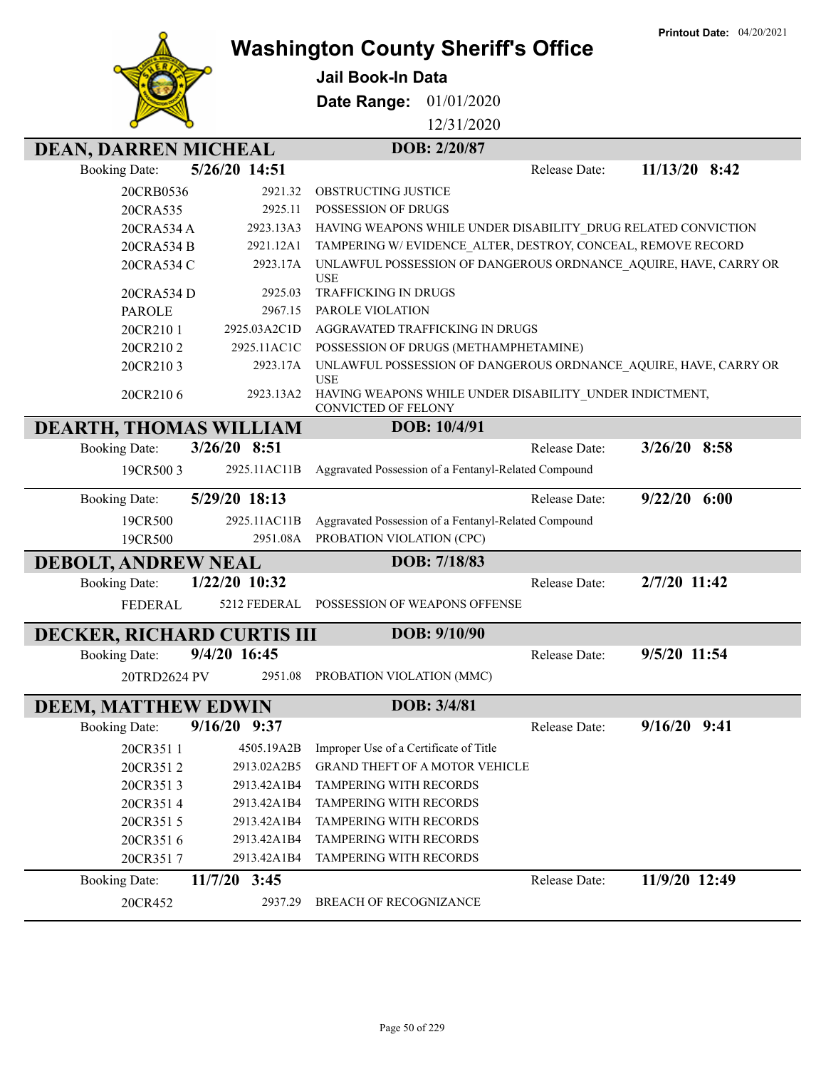|                                                     |                    | <b>Washington County Sheriff's Office</b>                                                                                                 |               | <b>Printout Date: 04/20/2021</b> |
|-----------------------------------------------------|--------------------|-------------------------------------------------------------------------------------------------------------------------------------------|---------------|----------------------------------|
|                                                     |                    | <b>Jail Book-In Data</b>                                                                                                                  |               |                                  |
|                                                     |                    | Date Range:<br>01/01/2020                                                                                                                 |               |                                  |
|                                                     |                    | 12/31/2020                                                                                                                                |               |                                  |
|                                                     |                    | DOB: 2/20/87                                                                                                                              |               |                                  |
| <b>DEAN, DARREN MICHEAL</b><br><b>Booking Date:</b> | 5/26/20 14:51      |                                                                                                                                           | Release Date: | 11/13/20 8:42                    |
|                                                     |                    |                                                                                                                                           |               |                                  |
| 20CRB0536<br>20CRA535                               | 2921.32<br>2925.11 | OBSTRUCTING JUSTICE<br>POSSESSION OF DRUGS                                                                                                |               |                                  |
| 20CRA534 A                                          | 2923.13A3          | HAVING WEAPONS WHILE UNDER DISABILITY DRUG RELATED CONVICTION                                                                             |               |                                  |
| 20CRA534 B                                          | 2921.12A1          | TAMPERING W/EVIDENCE ALTER, DESTROY, CONCEAL, REMOVE RECORD                                                                               |               |                                  |
| 20CRA534 C                                          | 2923.17A           | UNLAWFUL POSSESSION OF DANGEROUS ORDNANCE AQUIRE, HAVE, CARRY OR<br><b>USE</b>                                                            |               |                                  |
| 20CRA534 D                                          | 2925.03            | <b>TRAFFICKING IN DRUGS</b>                                                                                                               |               |                                  |
| <b>PAROLE</b>                                       | 2967.15            | PAROLE VIOLATION                                                                                                                          |               |                                  |
| 20CR2101                                            | 2925.03A2C1D       | AGGRAVATED TRAFFICKING IN DRUGS                                                                                                           |               |                                  |
| 20CR2102                                            | 2925.11AC1C        | POSSESSION OF DRUGS (METHAMPHETAMINE)                                                                                                     |               |                                  |
| 20CR2103<br>20CR2106                                | 2923.17A           | UNLAWFUL POSSESSION OF DANGEROUS ORDNANCE AQUIRE, HAVE, CARRY OR<br><b>USE</b><br>HAVING WEAPONS WHILE UNDER DISABILITY UNDER INDICTMENT, |               |                                  |
|                                                     | 2923.13A2          | CONVICTED OF FELONY                                                                                                                       |               |                                  |
| DEARTH, THOMAS WILLIAM                              |                    | DOB: 10/4/91                                                                                                                              |               |                                  |
| <b>Booking Date:</b>                                | 3/26/20 8:51       |                                                                                                                                           | Release Date: | $3/26/20$ 8:58                   |
| 19CR5003                                            | 2925.11AC11B       | Aggravated Possession of a Fentanyl-Related Compound                                                                                      |               |                                  |
| <b>Booking Date:</b>                                | 5/29/20 18:13      |                                                                                                                                           | Release Date: | $9/22/20$ 6:00                   |
| 19CR500                                             | 2925.11AC11B       | Aggravated Possession of a Fentanyl-Related Compound                                                                                      |               |                                  |
| 19CR500                                             | 2951.08A           | PROBATION VIOLATION (CPC)                                                                                                                 |               |                                  |
| <b>DEBOLT, ANDREW NEAL</b>                          |                    | DOB: 7/18/83                                                                                                                              |               |                                  |
| <b>Booking Date:</b>                                | 1/22/20 10:32      |                                                                                                                                           | Release Date: | 2/7/20 11:42                     |
| <b>FEDERAL</b>                                      | 5212 FEDERAL       | POSSESSION OF WEAPONS OFFENSE                                                                                                             |               |                                  |
| DECKER, RICHARD CURTIS III                          |                    | DOB: 9/10/90                                                                                                                              |               |                                  |
| <b>Booking Date:</b>                                | 9/4/20 16:45       |                                                                                                                                           | Release Date: | 9/5/20 11:54                     |
| 20TRD2624 PV                                        | 2951.08            | PROBATION VIOLATION (MMC)                                                                                                                 |               |                                  |
| <b>DEEM, MATTHEW EDWIN</b>                          |                    | DOB: 3/4/81                                                                                                                               |               |                                  |
| <b>Booking Date:</b>                                | 9/16/20 9:37       |                                                                                                                                           | Release Date: | $9/16/20$ $9:41$                 |
| 20CR3511                                            | 4505.19A2B         | Improper Use of a Certificate of Title                                                                                                    |               |                                  |
| 20CR3512                                            | 2913.02A2B5        | <b>GRAND THEFT OF A MOTOR VEHICLE</b>                                                                                                     |               |                                  |
| 20CR3513                                            | 2913.42A1B4        | TAMPERING WITH RECORDS                                                                                                                    |               |                                  |
| 20CR3514                                            | 2913.42A1B4        | TAMPERING WITH RECORDS                                                                                                                    |               |                                  |
| 20CR3515                                            | 2913.42A1B4        | TAMPERING WITH RECORDS                                                                                                                    |               |                                  |
| 20CR3516                                            | 2913.42A1B4        | TAMPERING WITH RECORDS                                                                                                                    |               |                                  |
| 20CR3517                                            | 2913.42A1B4        | TAMPERING WITH RECORDS                                                                                                                    |               |                                  |
| <b>Booking Date:</b>                                | $11/7/20$ 3:45     |                                                                                                                                           | Release Date: | 11/9/20 12:49                    |
| 20CR452                                             | 2937.29            | BREACH OF RECOGNIZANCE                                                                                                                    |               |                                  |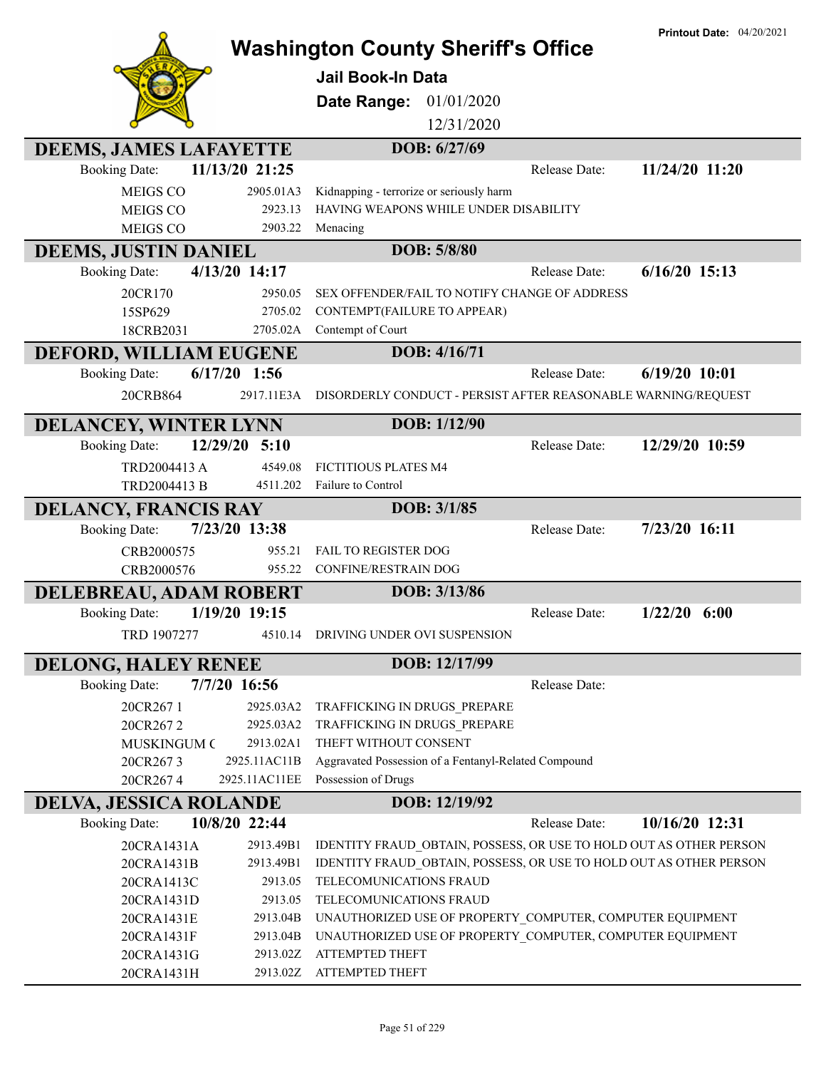|                               |                  | <b>Washington County Sheriff's Office</b>                          | <b>Printout Date: 04/20/2021</b> |
|-------------------------------|------------------|--------------------------------------------------------------------|----------------------------------|
|                               |                  | Jail Book-In Data                                                  |                                  |
|                               |                  |                                                                    |                                  |
|                               |                  | <b>Date Range: 01/01/2020</b>                                      |                                  |
|                               |                  | 12/31/2020                                                         |                                  |
| <b>DEEMS, JAMES LAFAYETTE</b> |                  | DOB: 6/27/69                                                       |                                  |
| <b>Booking Date:</b>          | 11/13/20 21:25   | Release Date:                                                      | 11/24/20 11:20                   |
| <b>MEIGS CO</b>               | 2905.01A3        | Kidnapping - terrorize or seriously harm                           |                                  |
| <b>MEIGS CO</b>               | 2923.13          | HAVING WEAPONS WHILE UNDER DISABILITY                              |                                  |
| <b>MEIGS CO</b>               | 2903.22          | Menacing                                                           |                                  |
| <b>DEEMS, JUSTIN DANIEL</b>   |                  | DOB: 5/8/80                                                        |                                  |
| <b>Booking Date:</b>          | 4/13/20 14:17    | Release Date:                                                      | $6/16/20$ 15:13                  |
| 20CR170                       | 2950.05          | SEX OFFENDER/FAIL TO NOTIFY CHANGE OF ADDRESS                      |                                  |
| 15SP629                       | 2705.02          | CONTEMPT(FAILURE TO APPEAR)                                        |                                  |
| 18CRB2031                     | 2705.02A         | Contempt of Court                                                  |                                  |
| <b>DEFORD, WILLIAM EUGENE</b> |                  | DOB: 4/16/71                                                       |                                  |
| <b>Booking Date:</b>          | $6/17/20$ 1:56   | Release Date:                                                      | $6/19/20$ 10:01                  |
| 20CRB864                      | 2917.11E3A       | DISORDERLY CONDUCT - PERSIST AFTER REASONABLE WARNING/REQUEST      |                                  |
| <b>DELANCEY, WINTER LYNN</b>  |                  | DOB: 1/12/90                                                       |                                  |
| <b>Booking Date:</b>          | 12/29/20<br>5:10 | Release Date:                                                      | 12/29/20 10:59                   |
| TRD2004413 A                  | 4549.08          | <b>FICTITIOUS PLATES M4</b>                                        |                                  |
| TRD2004413 B                  | 4511.202         | Failure to Control                                                 |                                  |
|                               |                  | DOB: 3/1/85                                                        |                                  |
| <b>DELANCY, FRANCIS RAY</b>   | 7/23/20 13:38    | Release Date:                                                      | 7/23/20 16:11                    |
| <b>Booking Date:</b>          |                  |                                                                    |                                  |
| CRB2000575                    | 955.21<br>955.22 | <b>FAIL TO REGISTER DOG</b>                                        |                                  |
| CRB2000576                    |                  | CONFINE/RESTRAIN DOG                                               |                                  |
| <b>DELEBREAU, ADAM ROBERT</b> |                  | DOB: 3/13/86                                                       |                                  |
| <b>Booking Date:</b>          | 1/19/20 19:15    | Release Date:                                                      | $1/22/20$ 6:00                   |
| TRD 1907277                   | 4510.14          | DRIVING UNDER OVI SUSPENSION                                       |                                  |
| <b>DELONG, HALEY RENEE</b>    |                  | DOB: 12/17/99                                                      |                                  |
| <b>Booking Date:</b>          | 7/7/20 16:56     | Release Date:                                                      |                                  |
| 20CR2671                      | 2925.03A2        | TRAFFICKING IN DRUGS PREPARE                                       |                                  |
| 20CR2672                      | 2925.03A2        | TRAFFICKING IN DRUGS PREPARE                                       |                                  |
| <b>MUSKINGUM C</b>            | 2913.02A1        | THEFT WITHOUT CONSENT                                              |                                  |
| 20CR2673                      | 2925.11AC11B     | Aggravated Possession of a Fentanyl-Related Compound               |                                  |
| 20CR2674                      | 2925.11AC11EE    | Possession of Drugs                                                |                                  |
| DELVA, JESSICA ROLANDE        |                  | DOB: 12/19/92                                                      |                                  |
| <b>Booking Date:</b>          | 10/8/20 22:44    | Release Date:                                                      | 10/16/20 12:31                   |
| 20CRA1431A                    | 2913.49B1        | IDENTITY FRAUD_OBTAIN, POSSESS, OR USE TO HOLD OUT AS OTHER PERSON |                                  |
| 20CRA1431B                    | 2913.49B1        | IDENTITY FRAUD OBTAIN, POSSESS, OR USE TO HOLD OUT AS OTHER PERSON |                                  |
| 20CRA1413C                    | 2913.05          | TELECOMUNICATIONS FRAUD                                            |                                  |
| 20CRA1431D                    | 2913.05          | TELECOMUNICATIONS FRAUD                                            |                                  |
| 20CRA1431E                    | 2913.04B         | UNAUTHORIZED USE OF PROPERTY_COMPUTER, COMPUTER EQUIPMENT          |                                  |
| 20CRA1431F                    | 2913.04B         | UNAUTHORIZED USE OF PROPERTY_COMPUTER, COMPUTER EQUIPMENT          |                                  |
| 20CRA1431G                    | 2913.02Z         | ATTEMPTED THEFT                                                    |                                  |
| 20CRA1431H                    | 2913.02Z         | ATTEMPTED THEFT                                                    |                                  |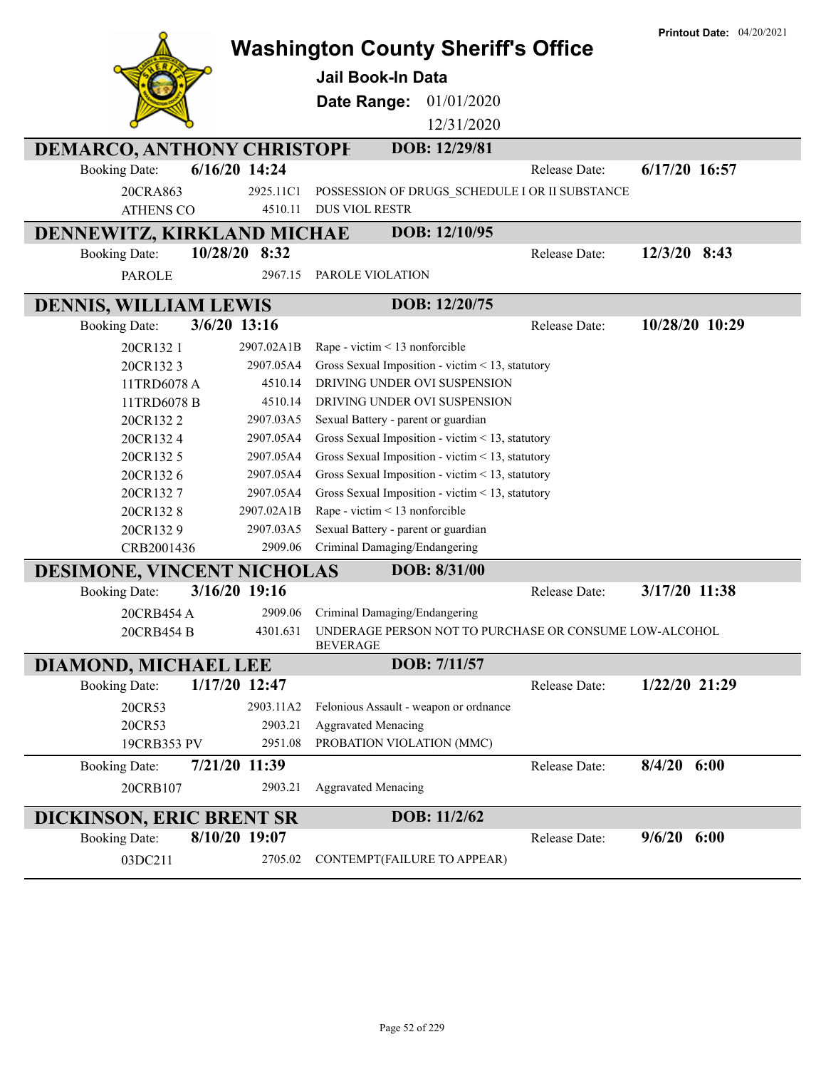|                                      |               | <b>Washington County Sheriff's Office</b>                                          |               | <b>Printout Date: 04/20/2021</b> |
|--------------------------------------|---------------|------------------------------------------------------------------------------------|---------------|----------------------------------|
|                                      |               | Jail Book-In Data                                                                  |               |                                  |
|                                      |               |                                                                                    |               |                                  |
|                                      |               | 01/01/2020<br>Date Range:                                                          |               |                                  |
|                                      |               | 12/31/2020                                                                         |               |                                  |
| <b>DEMARCO, ANTHONY CHRISTOPH</b>    |               | DOB: 12/29/81                                                                      |               |                                  |
| <b>Booking Date:</b>                 | 6/16/20 14:24 |                                                                                    | Release Date: | 6/17/20 16:57                    |
| 20CRA863                             | 2925.11C1     | POSSESSION OF DRUGS_SCHEDULE I OR II SUBSTANCE                                     |               |                                  |
| <b>ATHENS CO</b>                     | 4510.11       | <b>DUS VIOL RESTR</b>                                                              |               |                                  |
| DENNEWITZ, KIRKLAND MICHAE           |               | DOB: 12/10/95                                                                      |               |                                  |
| <b>Booking Date:</b>                 | 10/28/20 8:32 |                                                                                    | Release Date: | $12/3/20$ 8:43                   |
| <b>PAROLE</b>                        | 2967.15       | PAROLE VIOLATION                                                                   |               |                                  |
| <b>DENNIS, WILLIAM LEWIS</b>         |               | DOB: 12/20/75                                                                      |               |                                  |
| 3/6/20 13:16<br><b>Booking Date:</b> |               |                                                                                    | Release Date: | 10/28/20 10:29                   |
| 20CR1321                             | 2907.02A1B    | Rape - victim < 13 nonforcible                                                     |               |                                  |
| 20CR1323                             | 2907.05A4     | Gross Sexual Imposition - victim < 13, statutory                                   |               |                                  |
| 11TRD6078 A                          | 4510.14       | DRIVING UNDER OVI SUSPENSION                                                       |               |                                  |
| 11TRD6078 B                          | 4510.14       | DRIVING UNDER OVI SUSPENSION                                                       |               |                                  |
| 20CR1322                             | 2907.03A5     | Sexual Battery - parent or guardian                                                |               |                                  |
| 20CR1324                             | 2907.05A4     | Gross Sexual Imposition - victim < 13, statutory                                   |               |                                  |
| 20CR132 5                            | 2907.05A4     | Gross Sexual Imposition - victim < 13, statutory                                   |               |                                  |
| 20CR1326                             | 2907.05A4     | Gross Sexual Imposition - victim < 13, statutory                                   |               |                                  |
| 20CR1327                             | 2907.05A4     | Gross Sexual Imposition - victim < 13, statutory                                   |               |                                  |
| 20CR1328                             | 2907.02A1B    | Rape - victim < 13 nonforcible                                                     |               |                                  |
| 20CR1329                             | 2907.03A5     | Sexual Battery - parent or guardian                                                |               |                                  |
| CRB2001436                           | 2909.06       | Criminal Damaging/Endangering                                                      |               |                                  |
| DESIMONE, VINCENT NICHOLAS           |               | DOB: 8/31/00                                                                       |               |                                  |
| <b>Booking Date:</b>                 | 3/16/20 19:16 |                                                                                    | Release Date: | 3/17/20 11:38                    |
| 20CRB454 A                           | 2909.06       | Criminal Damaging/Endangering                                                      |               |                                  |
| 20CRB454 B                           |               | 4301.631 UNDERAGE PERSON NOT TO PURCHASE OR CONSUME LOW-ALCOHOL<br><b>BEVERAGE</b> |               |                                  |
| DIAMOND, MICHAEL LEE                 |               | DOB: 7/11/57                                                                       |               |                                  |
| <b>Booking Date:</b>                 | 1/17/20 12:47 |                                                                                    | Release Date: | $1/22/20$ 21:29                  |
| 20CR53                               | 2903.11A2     | Felonious Assault - weapon or ordnance                                             |               |                                  |
| 20CR53                               | 2903.21       | <b>Aggravated Menacing</b>                                                         |               |                                  |
| 19CRB353 PV                          | 2951.08       | PROBATION VIOLATION (MMC)                                                          |               |                                  |
| <b>Booking Date:</b>                 | 7/21/20 11:39 |                                                                                    | Release Date: | $8/4/20$ 6:00                    |
| 20CRB107                             | 2903.21       | <b>Aggravated Menacing</b>                                                         |               |                                  |
| <b>DICKINSON, ERIC BRENT SR</b>      |               | DOB: 11/2/62                                                                       |               |                                  |
| <b>Booking Date:</b>                 | 8/10/20 19:07 |                                                                                    | Release Date: | $9/6/20$ 6:00                    |
| 03DC211                              | 2705.02       | CONTEMPT(FAILURE TO APPEAR)                                                        |               |                                  |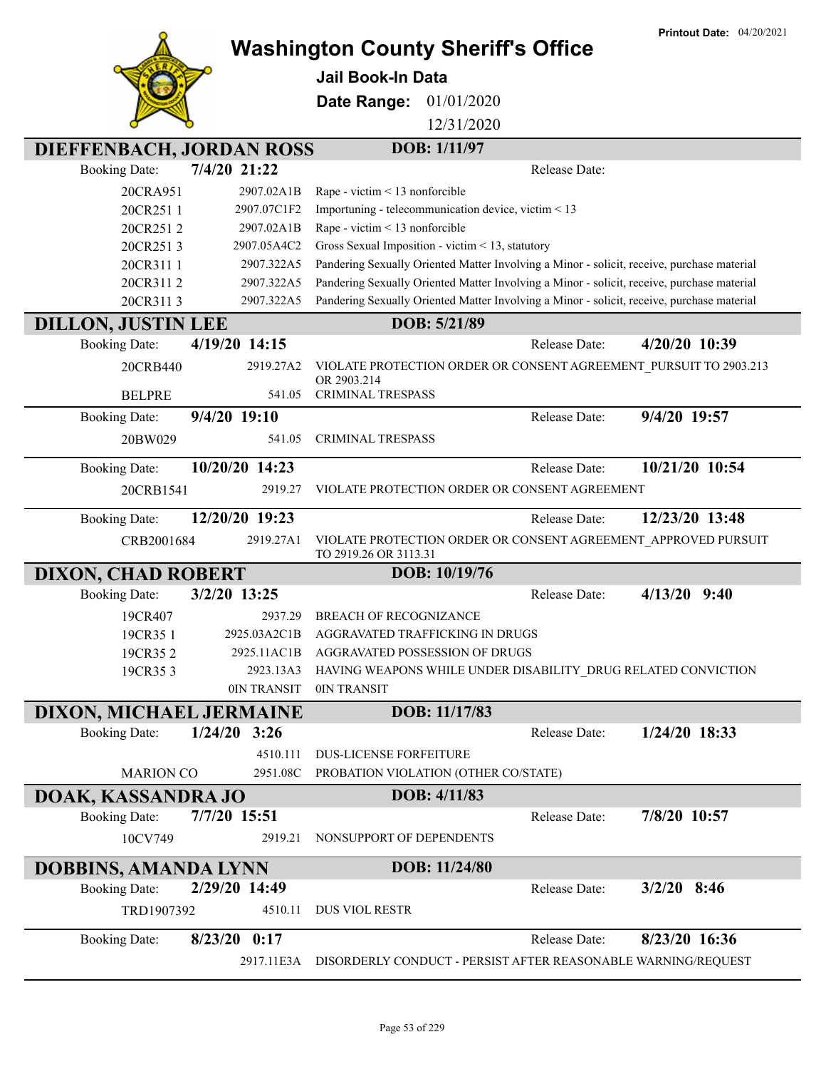**Printout Date:** 04/20/2021



## **Washington County Sheriff's Office**

**Jail Book-In Data**

**Date Range:** 01/01/2020

12/31/2020

|                             | <b>DIEFFENBACH, JORDAN ROSS</b> | DOB: 1/11/97                                                                               |                |
|-----------------------------|---------------------------------|--------------------------------------------------------------------------------------------|----------------|
| <b>Booking Date:</b>        | 7/4/20 21:22                    | Release Date:                                                                              |                |
| 20CRA951                    | 2907.02A1B                      | Rape - victim < 13 nonforcible                                                             |                |
| 20CR2511                    | 2907.07C1F2                     | Importuning - telecommunication device, victim < 13                                        |                |
| 20CR2512                    | 2907.02A1B                      | Rape - victim < 13 nonforcible                                                             |                |
| 20CR2513                    | 2907.05A4C2                     | Gross Sexual Imposition - victim < 13, statutory                                           |                |
| 20CR311 1                   | 2907.322A5                      | Pandering Sexually Oriented Matter Involving a Minor - solicit, receive, purchase material |                |
| 20CR3112                    | 2907.322A5                      | Pandering Sexually Oriented Matter Involving a Minor - solicit, receive, purchase material |                |
| 20CR3113                    | 2907.322A5                      | Pandering Sexually Oriented Matter Involving a Minor - solicit, receive, purchase material |                |
| <b>DILLON, JUSTIN LEE</b>   |                                 | DOB: 5/21/89                                                                               |                |
| <b>Booking Date:</b>        | 4/19/20 14:15                   | Release Date:                                                                              | 4/20/20 10:39  |
| 20CRB440                    | 2919.27A2                       | VIOLATE PROTECTION ORDER OR CONSENT AGREEMENT PURSUIT TO 2903.213<br>OR 2903.214           |                |
| <b>BELPRE</b>               | 541.05                          | CRIMINAL TRESPASS                                                                          |                |
| <b>Booking Date:</b>        | 9/4/20 19:10                    | Release Date:                                                                              | 9/4/20 19:57   |
| 20BW029                     | 541.05                          | <b>CRIMINAL TRESPASS</b>                                                                   |                |
| <b>Booking Date:</b>        | 10/20/20 14:23                  | Release Date:                                                                              | 10/21/20 10:54 |
| 20CRB1541                   | 2919.27                         | VIOLATE PROTECTION ORDER OR CONSENT AGREEMENT                                              |                |
| <b>Booking Date:</b>        | 12/20/20 19:23                  | Release Date:                                                                              | 12/23/20 13:48 |
| CRB2001684                  | 2919.27A1                       | VIOLATE PROTECTION ORDER OR CONSENT AGREEMENT_APPROVED PURSUIT<br>TO 2919.26 OR 3113.31    |                |
| <b>DIXON, CHAD ROBERT</b>   |                                 | DOB: 10/19/76                                                                              |                |
| <b>Booking Date:</b>        | 3/2/20 13:25                    | Release Date:                                                                              | $4/13/20$ 9:40 |
| 19CR407                     | 2937.29                         | <b>BREACH OF RECOGNIZANCE</b>                                                              |                |
| 19CR35 1                    | 2925.03A2C1B                    | AGGRAVATED TRAFFICKING IN DRUGS                                                            |                |
| 19CR352                     | 2925.11AC1B                     | AGGRAVATED POSSESSION OF DRUGS                                                             |                |
|                             |                                 |                                                                                            |                |
| 19CR353                     | 2923.13A3                       | HAVING WEAPONS WHILE UNDER DISABILITY_DRUG RELATED CONVICTION                              |                |
|                             | 0IN TRANSIT                     | 0IN TRANSIT                                                                                |                |
| DIXON, MICHAEL JERMAINE     |                                 | DOB: 11/17/83                                                                              |                |
| <b>Booking Date:</b>        | $1/24/20$ 3:26                  | Release Date:                                                                              | 1/24/20 18:33  |
|                             | 4510.111                        | <b>DUS-LICENSE FORFEITURE</b>                                                              |                |
| <b>MARION CO</b>            | 2951.08C                        | PROBATION VIOLATION (OTHER CO/STATE)                                                       |                |
| DOAK, KASSANDRA JO          |                                 | DOB: 4/11/83                                                                               |                |
| <b>Booking Date:</b>        | 7/7/20 15:51                    | Release Date:                                                                              | 7/8/20 10:57   |
| 10CV749                     | 2919.21                         | NONSUPPORT OF DEPENDENTS                                                                   |                |
| <b>DOBBINS, AMANDA LYNN</b> |                                 | DOB: 11/24/80                                                                              |                |
| <b>Booking Date:</b>        | 2/29/20 14:49                   | Release Date:                                                                              | $3/2/20$ 8:46  |
| TRD1907392                  | 4510.11                         | <b>DUS VIOL RESTR</b>                                                                      |                |
| <b>Booking Date:</b>        | $8/23/20$ 0:17                  | Release Date:                                                                              | 8/23/20 16:36  |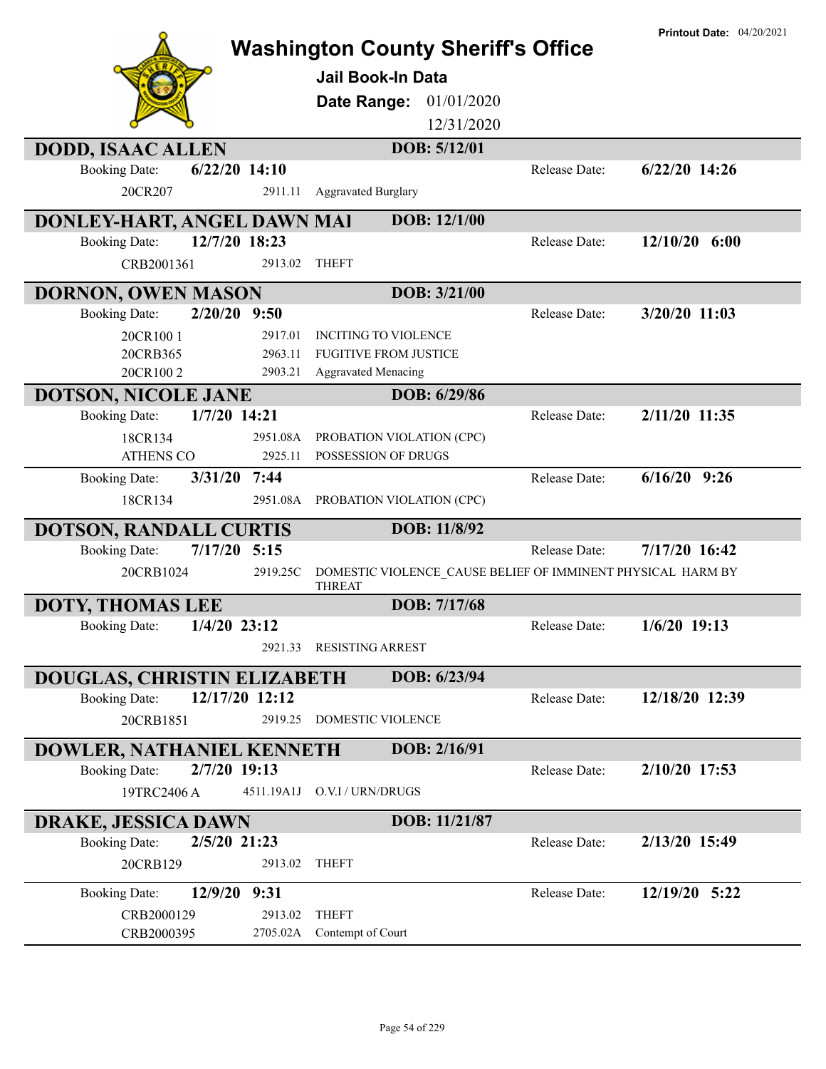|                                        |                 | <b>Washington County Sheriff's Office</b><br><b>Jail Book-In Data</b><br>01/01/2020<br>Date Range: |                      | <b>Printout Date: 04/20/2021</b> |
|----------------------------------------|-----------------|----------------------------------------------------------------------------------------------------|----------------------|----------------------------------|
|                                        |                 | 12/31/2020                                                                                         |                      |                                  |
| <b>DODD, ISAAC ALLEN</b>               |                 | DOB: 5/12/01                                                                                       |                      |                                  |
| <b>Booking Date:</b>                   | $6/22/20$ 14:10 |                                                                                                    | Release Date:        | 6/22/20 14:26                    |
| 20CR207                                | 2911.11         | <b>Aggravated Burglary</b>                                                                         |                      |                                  |
| DONLEY-HART, ANGEL DAWN MAI            |                 | DOB: 12/1/00                                                                                       |                      |                                  |
| <b>Booking Date:</b>                   | 12/7/20 18:23   |                                                                                                    | Release Date:        | $12/10/20$ 6:00                  |
| CRB2001361                             | 2913.02         | <b>THEFT</b>                                                                                       |                      |                                  |
| <b>DORNON, OWEN MASON</b>              |                 | DOB: 3/21/00                                                                                       |                      |                                  |
| $2/20/20$ 9:50<br><b>Booking Date:</b> |                 |                                                                                                    | Release Date:        | 3/20/20 11:03                    |
| 20CR1001                               | 2917.01         | <b>INCITING TO VIOLENCE</b>                                                                        |                      |                                  |
| 20CRB365                               | 2963.11         | <b>FUGITIVE FROM JUSTICE</b>                                                                       |                      |                                  |
| 20CR1002                               | 2903.21         | <b>Aggravated Menacing</b>                                                                         |                      |                                  |
| <b>DOTSON, NICOLE JANE</b>             |                 | DOB: 6/29/86                                                                                       |                      |                                  |
| 1/7/20 14:21<br><b>Booking Date:</b>   |                 |                                                                                                    | Release Date:        | 2/11/20 11:35                    |
| 18CR134                                | 2951.08A        | PROBATION VIOLATION (CPC)                                                                          |                      |                                  |
| <b>ATHENS CO</b>                       | 2925.11         | POSSESSION OF DRUGS                                                                                |                      |                                  |
| $3/31/20$ 7:44<br><b>Booking Date:</b> |                 |                                                                                                    | Release Date:        | $6/16/20$ 9:26                   |
| 18CR134                                | 2951.08A        | PROBATION VIOLATION (CPC)                                                                          |                      |                                  |
| <b>DOTSON, RANDALL CURTIS</b>          |                 | DOB: 11/8/92                                                                                       |                      |                                  |
| $7/17/20$ 5:15<br><b>Booking Date:</b> |                 |                                                                                                    | Release Date:        | 7/17/20 16:42                    |
| 20CRB1024                              | 2919.25C        | DOMESTIC VIOLENCE_CAUSE BELIEF OF IMMINENT PHYSICAL HARM BY                                        |                      |                                  |
| <b>DOTY, THOMAS LEE</b>                |                 | <b>THREAT</b><br>DOB: 7/17/68                                                                      |                      |                                  |
| $1/4/20$ 23:12<br><b>Booking Date:</b> |                 |                                                                                                    | <b>Release Date:</b> | $1/6/20$ 19:13                   |
|                                        |                 | 2921.33 RESISTING ARREST                                                                           |                      |                                  |
|                                        |                 |                                                                                                    |                      |                                  |
| DOUGLAS, CHRISTIN ELIZABETH            |                 | DOB: 6/23/94                                                                                       |                      |                                  |
| <b>Booking Date:</b>                   | 12/17/20 12:12  |                                                                                                    | Release Date:        | 12/18/20 12:39                   |
| 20CRB1851                              | 2919.25         | DOMESTIC VIOLENCE                                                                                  |                      |                                  |
| DOWLER, NATHANIEL KENNETH              |                 | DOB: 2/16/91                                                                                       |                      |                                  |
| 2/7/20 19:13<br><b>Booking Date:</b>   |                 |                                                                                                    | Release Date:        | 2/10/20 17:53                    |
| 19TRC2406 A                            | 4511.19A1J      | O.V.I / URN/DRUGS                                                                                  |                      |                                  |
| DRAKE, JESSICA DAWN                    |                 | DOB: 11/21/87                                                                                      |                      |                                  |
| 2/5/20 21:23<br><b>Booking Date:</b>   |                 |                                                                                                    | Release Date:        | 2/13/20 15:49                    |
| 20CRB129                               | 2913.02         | <b>THEFT</b>                                                                                       |                      |                                  |
| 12/9/20 9:31<br><b>Booking Date:</b>   |                 |                                                                                                    | Release Date:        | 12/19/20 5:22                    |
| CRB2000129                             | 2913.02         | <b>THEFT</b>                                                                                       |                      |                                  |
| CRB2000395                             |                 | 2705.02A Contempt of Court                                                                         |                      |                                  |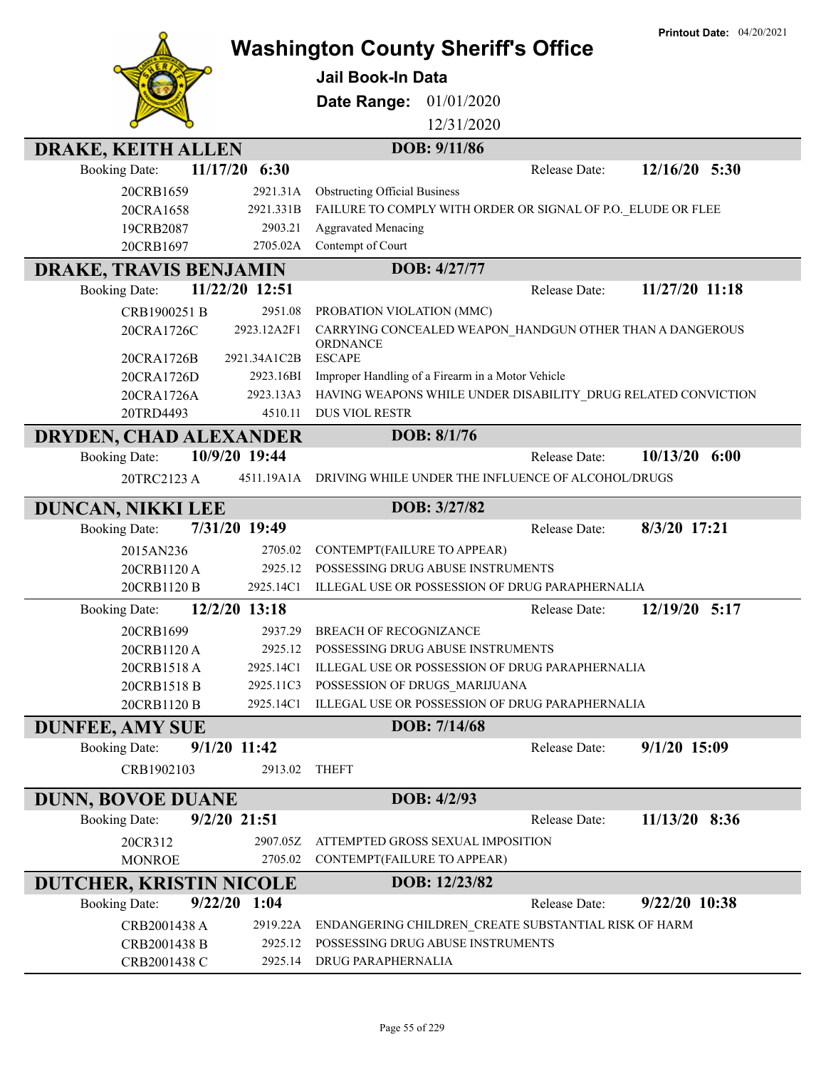|                                                                   |                     | <b>Printout Date: 04/20/2021</b><br><b>Washington County Sheriff's Office</b>             |
|-------------------------------------------------------------------|---------------------|-------------------------------------------------------------------------------------------|
|                                                                   |                     | <b>Jail Book-In Data</b>                                                                  |
|                                                                   |                     |                                                                                           |
|                                                                   |                     | Date Range:<br>01/01/2020                                                                 |
|                                                                   |                     | 12/31/2020                                                                                |
| <b>DRAKE, KEITH ALLEN</b>                                         |                     | DOB: 9/11/86                                                                              |
| 11/17/20<br><b>Booking Date:</b>                                  | 6:30                | $12/16/20$ 5:30<br>Release Date:                                                          |
| 20CRB1659                                                         | 2921.31A            | <b>Obstructing Official Business</b>                                                      |
| 20CRA1658                                                         | 2921.331B           | FAILURE TO COMPLY WITH ORDER OR SIGNAL OF P.O. ELUDE OR FLEE                              |
| 19CRB2087                                                         | 2903.21             | <b>Aggravated Menacing</b>                                                                |
| 20CRB1697                                                         | 2705.02A            | Contempt of Court                                                                         |
| DRAKE, TRAVIS BENJAMIN                                            |                     | DOB: 4/27/77                                                                              |
| <b>Booking Date:</b>                                              | 11/22/20 12:51      | 11/27/20 11:18<br>Release Date:                                                           |
| CRB1900251 B                                                      | 2951.08             | PROBATION VIOLATION (MMC)                                                                 |
| 20CRA1726C                                                        | 2923.12A2F1         | CARRYING CONCEALED WEAPON HANDGUN OTHER THAN A DANGEROUS<br>ORDNANCE                      |
| 20CRA1726B                                                        | 2921.34A1C2B        | <b>ESCAPE</b>                                                                             |
| 20CRA1726D                                                        | 2923.16BI           | Improper Handling of a Firearm in a Motor Vehicle                                         |
| 20CRA1726A                                                        | 2923.13A3           | HAVING WEAPONS WHILE UNDER DISABILITY_DRUG RELATED CONVICTION                             |
| 20TRD4493                                                         | 4510.11             | <b>DUS VIOL RESTR</b>                                                                     |
| DRYDEN, CHAD ALEXANDER                                            |                     | DOB: 8/1/76                                                                               |
| <b>Booking Date:</b>                                              | 10/9/20 19:44       | 10/13/20<br>6:00<br>Release Date:                                                         |
| 20TRC2123 A                                                       | 4511.19A1A          | DRIVING WHILE UNDER THE INFLUENCE OF ALCOHOL/DRUGS                                        |
|                                                                   |                     | DOB: 3/27/82                                                                              |
|                                                                   |                     |                                                                                           |
| <b>DUNCAN, NIKKI LEE</b>                                          | 7/31/20 19:49       | 8/3/20 17:21<br>Release Date:                                                             |
| <b>Booking Date:</b>                                              |                     |                                                                                           |
| 2015AN236                                                         | 2705.02<br>2925.12  | CONTEMPT(FAILURE TO APPEAR)<br>POSSESSING DRUG ABUSE INSTRUMENTS                          |
| 20CRB1120 A<br>20CRB1120 B                                        | 2925.14C1           | ILLEGAL USE OR POSSESSION OF DRUG PARAPHERNALIA                                           |
| <b>Booking Date:</b>                                              | 12/2/20 13:18       | 12/19/20 5:17<br>Release Date:                                                            |
| 20CRB1699                                                         |                     | 2937.29 BREACH OF RECOGNIZANCE                                                            |
| 20CRB1120 A                                                       | 2925.12             | POSSESSING DRUG ABUSE INSTRUMENTS                                                         |
| 20CRB1518 A                                                       | 2925.14C1           | ILLEGAL USE OR POSSESSION OF DRUG PARAPHERNALIA                                           |
| 20CRB1518 B                                                       | 2925.11C3           | POSSESSION OF DRUGS_MARIJUANA                                                             |
| 20CRB1120 B                                                       | 2925.14C1           | ILLEGAL USE OR POSSESSION OF DRUG PARAPHERNALIA                                           |
|                                                                   |                     | DOB: 7/14/68                                                                              |
| <b>DUNFEE, AMY SUE</b><br><b>Booking Date:</b>                    | $9/1/20$ 11:42      | $9/1/20$ 15:09<br>Release Date:                                                           |
| CRB1902103                                                        | 2913.02             | <b>THEFT</b>                                                                              |
|                                                                   |                     | DOB: 4/2/93                                                                               |
| <b>DUNN, BOVOE DUANE</b><br><b>Booking Date:</b>                  | 9/2/20 21:51        | 11/13/20 8:36<br>Release Date:                                                            |
| 20CR312                                                           | 2907.05Z            | ATTEMPTED GROSS SEXUAL IMPOSITION                                                         |
| <b>MONROE</b>                                                     | 2705.02             | CONTEMPT(FAILURE TO APPEAR)                                                               |
|                                                                   |                     | DOB: 12/23/82                                                                             |
| <b>DUTCHER, KRISTIN NICOLE</b><br>9/22/20<br><b>Booking Date:</b> | 1:04                | 9/22/20 10:38<br>Release Date:                                                            |
|                                                                   |                     |                                                                                           |
| CRB2001438 A<br>CRB2001438 B                                      | 2919.22A<br>2925.12 | ENDANGERING CHILDREN_CREATE SUBSTANTIAL RISK OF HARM<br>POSSESSING DRUG ABUSE INSTRUMENTS |

**Printout Date:** 04/20/2021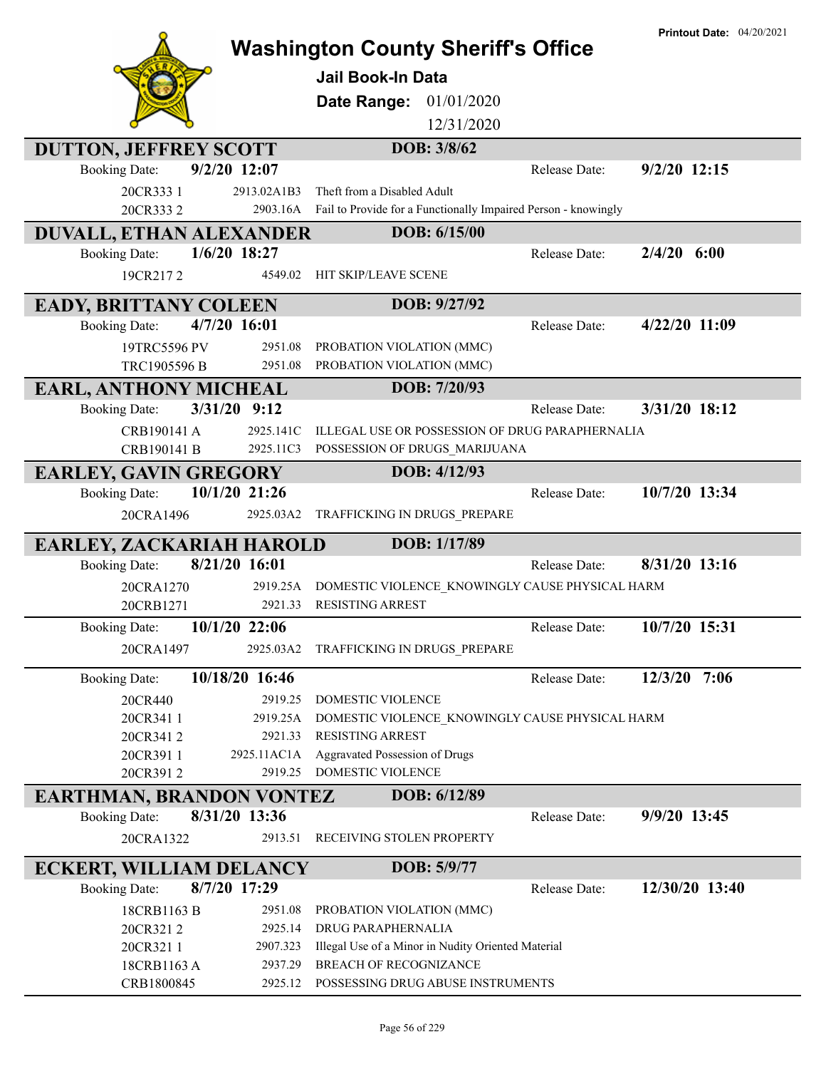|                                                 |                         | <b>Washington County Sheriff's Office</b><br><b>Jail Book-In Data</b><br>01/01/2020<br>Date Range:<br>12/31/2020 |               | <b>Printout Date: 04/20/2021</b> |
|-------------------------------------------------|-------------------------|------------------------------------------------------------------------------------------------------------------|---------------|----------------------------------|
| <b>DUTTON, JEFFREY SCOTT</b>                    |                         | DOB: 3/8/62                                                                                                      |               |                                  |
| <b>Booking Date:</b>                            | 9/2/20 12:07            |                                                                                                                  | Release Date: | $9/2/20$ 12:15                   |
| 20CR333 1<br>20CR3332                           | 2913.02A1B3<br>2903.16A | Theft from a Disabled Adult<br>Fail to Provide for a Functionally Impaired Person - knowingly                    |               |                                  |
|                                                 |                         | DOB: 6/15/00                                                                                                     |               |                                  |
| DUVALL, ETHAN ALEXANDER<br><b>Booking Date:</b> | 1/6/20 18:27            |                                                                                                                  | Release Date: | $2/4/20$ 6:00                    |
| 19CR2172                                        | 4549.02                 | HIT SKIP/LEAVE SCENE                                                                                             |               |                                  |
| <b>EADY, BRITTANY COLEEN</b>                    |                         | DOB: 9/27/92                                                                                                     |               |                                  |
| <b>Booking Date:</b>                            | 4/7/20 16:01            |                                                                                                                  | Release Date: | 4/22/20 11:09                    |
| 19TRC5596 PV                                    | 2951.08                 | PROBATION VIOLATION (MMC)                                                                                        |               |                                  |
| TRC1905596 B                                    | 2951.08                 | PROBATION VIOLATION (MMC)                                                                                        |               |                                  |
| <b>EARL, ANTHONY MICHEAL</b>                    |                         | DOB: 7/20/93                                                                                                     |               |                                  |
| <b>Booking Date:</b>                            | $3/31/20$ 9:12          |                                                                                                                  | Release Date: | 3/31/20 18:12                    |
| CRB190141 A                                     | 2925.141C               | ILLEGAL USE OR POSSESSION OF DRUG PARAPHERNALIA                                                                  |               |                                  |
| CRB190141 B                                     | 2925.11C3               | POSSESSION OF DRUGS_MARIJUANA                                                                                    |               |                                  |
| <b>EARLEY, GAVIN GREGORY</b>                    |                         | DOB: 4/12/93                                                                                                     |               |                                  |
| <b>Booking Date:</b>                            | 10/1/20 21:26           |                                                                                                                  | Release Date: | 10/7/20 13:34                    |
| 20CRA1496                                       | 2925.03A2               | TRAFFICKING IN DRUGS_PREPARE                                                                                     |               |                                  |
| EARLEY, ZACKARIAH HAROLD                        |                         | DOB: 1/17/89                                                                                                     |               |                                  |
| <b>Booking Date:</b>                            | 8/21/20 16:01           |                                                                                                                  | Release Date: | 8/31/20 13:16                    |
| 20CRA1270                                       | 2919.25A                | DOMESTIC VIOLENCE_KNOWINGLY CAUSE PHYSICAL HARM                                                                  |               |                                  |
| 20CRB1271                                       | 2921.33                 | <b>RESISTING ARREST</b>                                                                                          |               |                                  |
| <b>Booking Date:</b>                            | 10/1/20 22:06           |                                                                                                                  | Release Date: | 10/7/20 15:31                    |
| 20CRA1497                                       | 2925.03A2               | TRAFFICKING IN DRUGS_PREPARE                                                                                     |               |                                  |
| <b>Booking Date:</b>                            | 10/18/20 16:46          |                                                                                                                  | Release Date: | 12/3/20 7:06                     |
| 20CR440                                         | 2919.25                 | DOMESTIC VIOLENCE                                                                                                |               |                                  |
| 20CR341 1                                       | 2919.25A                | DOMESTIC VIOLENCE KNOWINGLY CAUSE PHYSICAL HARM                                                                  |               |                                  |
| 20CR3412<br>20CR3911                            | 2921.33<br>2925.11AC1A  | RESISTING ARREST<br>Aggravated Possession of Drugs                                                               |               |                                  |
| 20CR3912                                        | 2919.25                 | DOMESTIC VIOLENCE                                                                                                |               |                                  |
| <b>EARTHMAN, BRANDON VONTEZ</b>                 |                         | DOB: 6/12/89                                                                                                     |               |                                  |
| <b>Booking Date:</b>                            | 8/31/20 13:36           |                                                                                                                  | Release Date: | 9/9/20 13:45                     |
| 20CRA1322                                       | 2913.51                 | RECEIVING STOLEN PROPERTY                                                                                        |               |                                  |
| <b>ECKERT, WILLIAM DELANCY</b>                  |                         | DOB: 5/9/77                                                                                                      |               |                                  |
| <b>Booking Date:</b>                            | 8/7/20 17:29            |                                                                                                                  | Release Date: | 12/30/20 13:40                   |
| 18CRB1163 B                                     | 2951.08                 | PROBATION VIOLATION (MMC)                                                                                        |               |                                  |
| 20CR3212                                        | 2925.14                 | DRUG PARAPHERNALIA                                                                                               |               |                                  |
| 20CR3211                                        | 2907.323                | Illegal Use of a Minor in Nudity Oriented Material                                                               |               |                                  |
| 18CRB1163 A<br>CRB1800845                       | 2937.29<br>2925.12      | BREACH OF RECOGNIZANCE<br>POSSESSING DRUG ABUSE INSTRUMENTS                                                      |               |                                  |
|                                                 |                         |                                                                                                                  |               |                                  |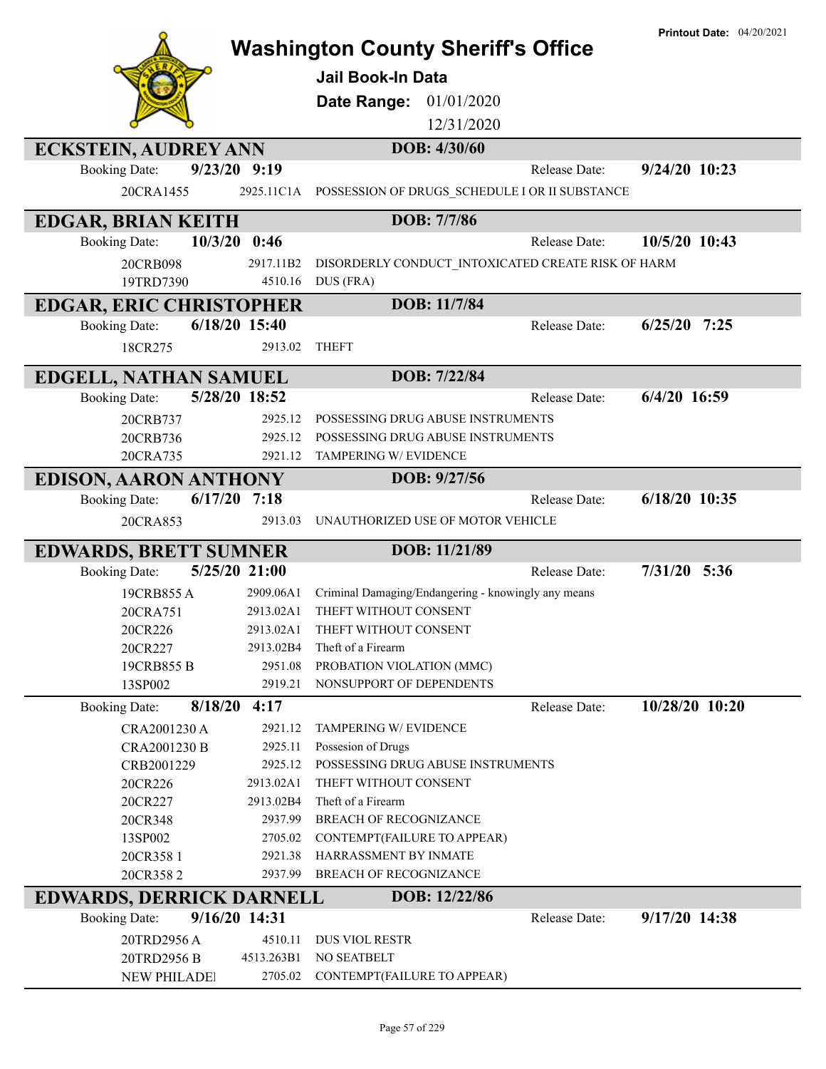|                                 |                    | <b>Washington County Sheriff's Office</b><br>Jail Book-In Data<br>Date Range:<br>01/01/2020<br>12/31/2020 |               | <b>Printout Date: 04/20/2021</b> |
|---------------------------------|--------------------|-----------------------------------------------------------------------------------------------------------|---------------|----------------------------------|
| <b>ECKSTEIN, AUDREY ANN</b>     |                    | DOB: 4/30/60                                                                                              |               |                                  |
| <b>Booking Date:</b>            | 9/23/20 9:19       |                                                                                                           | Release Date: | $9/24/20$ 10:23                  |
| 20CRA1455                       | 2925.11C1A         | POSSESSION OF DRUGS_SCHEDULE I OR II SUBSTANCE                                                            |               |                                  |
| <b>EDGAR, BRIAN KEITH</b>       |                    | DOB: 7/7/86                                                                                               |               |                                  |
| 10/3/20<br><b>Booking Date:</b> | 0:46               |                                                                                                           | Release Date: | 10/5/20 10:43                    |
| 20CRB098                        | 2917.11B2          | DISORDERLY CONDUCT_INTOXICATED CREATE RISK OF HARM                                                        |               |                                  |
| 19TRD7390                       | 4510.16            | DUS (FRA)                                                                                                 |               |                                  |
| <b>EDGAR, ERIC CHRISTOPHER</b>  |                    | DOB: 11/7/84                                                                                              |               |                                  |
| <b>Booking Date:</b>            | 6/18/20 15:40      |                                                                                                           | Release Date: | $6/25/20$ 7:25                   |
| 18CR275                         | 2913.02            | <b>THEFT</b>                                                                                              |               |                                  |
| EDGELL, NATHAN SAMUEL           |                    | DOB: 7/22/84                                                                                              |               |                                  |
| <b>Booking Date:</b>            | 5/28/20 18:52      |                                                                                                           | Release Date: | $6/4/20$ 16:59                   |
| 20CRB737                        | 2925.12            | POSSESSING DRUG ABUSE INSTRUMENTS                                                                         |               |                                  |
| 20CRB736                        | 2925.12            | POSSESSING DRUG ABUSE INSTRUMENTS                                                                         |               |                                  |
| 20CRA735                        | 2921.12            | TAMPERING W/ EVIDENCE                                                                                     |               |                                  |
| <b>EDISON, AARON ANTHONY</b>    |                    | DOB: 9/27/56                                                                                              |               |                                  |
| 6/17/20<br><b>Booking Date:</b> | 7:18               |                                                                                                           | Release Date: | $6/18/20$ 10:35                  |
|                                 | 2913.03            |                                                                                                           |               |                                  |
| 20CRA853                        |                    | UNAUTHORIZED USE OF MOTOR VEHICLE                                                                         |               |                                  |
| <b>EDWARDS, BRETT SUMNER</b>    |                    | DOB: 11/21/89                                                                                             |               |                                  |
| <b>Booking Date:</b>            | 5/25/20 21:00      |                                                                                                           | Release Date: | $7/31/20$ 5:36                   |
| 19CRB855A                       | 2909.06A1          | Criminal Damaging/Endangering - knowingly any means                                                       |               |                                  |
| 20CRA751                        | 2913.02A1          | THEFT WITHOUT CONSENT                                                                                     |               |                                  |
| 20CR226                         | 2913.02A1          | THEFT WITHOUT CONSENT                                                                                     |               |                                  |
| 20CR227                         | 2913.02B4          | Theft of a Firearm                                                                                        |               |                                  |
| 19CRB855 B                      | 2951.08            | PROBATION VIOLATION (MMC)                                                                                 |               |                                  |
| 13SP002                         | 2919.21            | NONSUPPORT OF DEPENDENTS                                                                                  |               |                                  |
| <b>Booking Date:</b>            | $8/18/20$ 4:17     |                                                                                                           | Release Date: | 10/28/20 10:20                   |
| CRA2001230 A                    | 2921.12            | TAMPERING W/ EVIDENCE                                                                                     |               |                                  |
| CRA2001230 B                    | 2925.11            | Possesion of Drugs                                                                                        |               |                                  |
| CRB2001229                      | 2925.12            | POSSESSING DRUG ABUSE INSTRUMENTS                                                                         |               |                                  |
| 20CR226                         | 2913.02A1          | THEFT WITHOUT CONSENT                                                                                     |               |                                  |
| 20CR227                         | 2913.02B4          | Theft of a Firearm                                                                                        |               |                                  |
| 20CR348                         | 2937.99<br>2705.02 | BREACH OF RECOGNIZANCE                                                                                    |               |                                  |
| 13SP002<br>20CR358 1            | 2921.38            | CONTEMPT (FAILURE TO APPEAR)<br>HARRASSMENT BY INMATE                                                     |               |                                  |
| 20CR3582                        | 2937.99            | <b>BREACH OF RECOGNIZANCE</b>                                                                             |               |                                  |
| EDWARDS, DERRICK DARNELL        |                    | DOB: 12/22/86                                                                                             |               |                                  |
| <b>Booking Date:</b>            | 9/16/20 14:31      |                                                                                                           | Release Date: | 9/17/20 14:38                    |
| 20TRD2956A                      |                    |                                                                                                           |               |                                  |
|                                 | 4510.11            | <b>DUS VIOL RESTR</b>                                                                                     |               |                                  |
| 20TRD2956 B                     | 4513.263B1         | NO SEATBELT                                                                                               |               |                                  |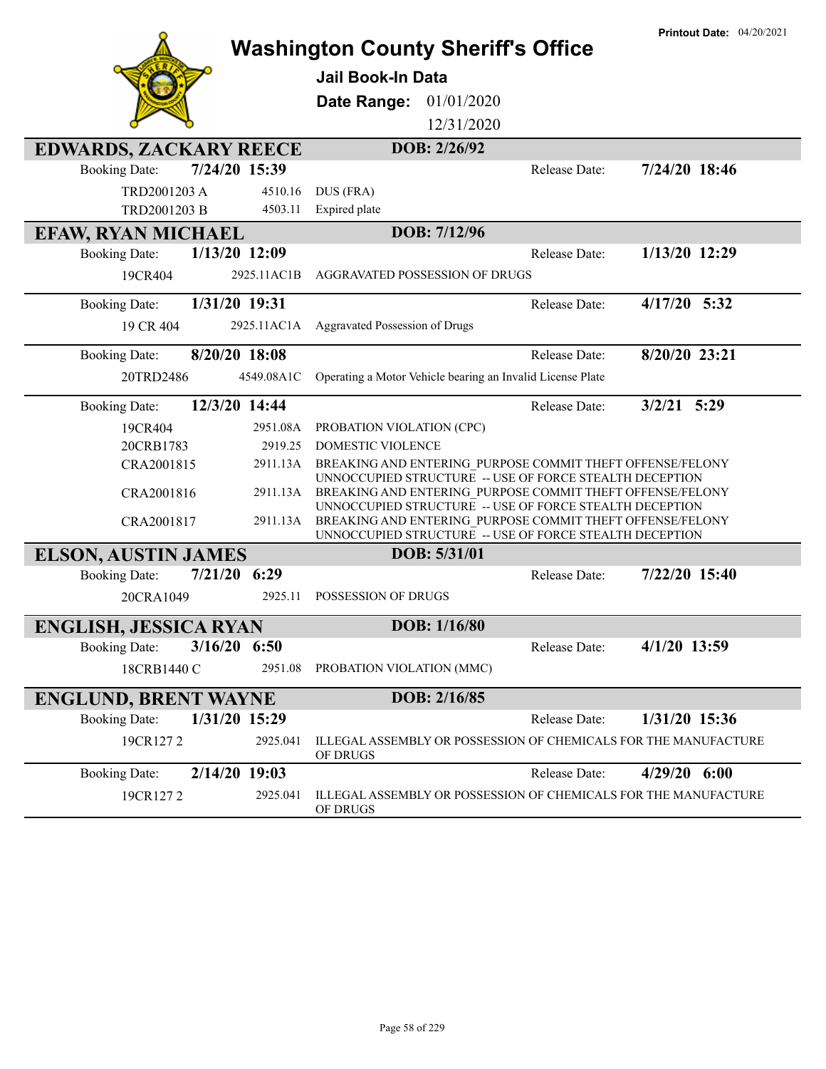|                               |                | <b>Washington County Sheriff's Office</b>                                                                            |               | <b>Printout Date: 04/20/2021</b> |
|-------------------------------|----------------|----------------------------------------------------------------------------------------------------------------------|---------------|----------------------------------|
|                               |                | <b>Jail Book-In Data</b>                                                                                             |               |                                  |
|                               |                | 01/01/2020                                                                                                           |               |                                  |
|                               |                | Date Range:                                                                                                          |               |                                  |
|                               |                | 12/31/2020                                                                                                           |               |                                  |
| <b>EDWARDS, ZACKARY REECE</b> |                | DOB: 2/26/92                                                                                                         |               |                                  |
| <b>Booking Date:</b>          | 7/24/20 15:39  |                                                                                                                      | Release Date: | 7/24/20 18:46                    |
| TRD2001203 A                  | 4510.16        | DUS (FRA)                                                                                                            |               |                                  |
| TRD2001203 B                  | 4503.11        | Expired plate                                                                                                        |               |                                  |
| <b>EFAW, RYAN MICHAEL</b>     |                | DOB: 7/12/96                                                                                                         |               |                                  |
| <b>Booking Date:</b>          | 1/13/20 12:09  |                                                                                                                      | Release Date: | 1/13/20 12:29                    |
| 19CR404                       | 2925.11AC1B    | AGGRAVATED POSSESSION OF DRUGS                                                                                       |               |                                  |
| <b>Booking Date:</b>          | 1/31/20 19:31  |                                                                                                                      | Release Date: | $4/17/20$ 5:32                   |
| 19 CR 404                     | 2925.11AC1A    | Aggravated Possession of Drugs                                                                                       |               |                                  |
| <b>Booking Date:</b>          | 8/20/20 18:08  |                                                                                                                      | Release Date: | 8/20/20 23:21                    |
| 20TRD2486                     | 4549.08A1C     | Operating a Motor Vehicle bearing an Invalid License Plate                                                           |               |                                  |
| <b>Booking Date:</b>          | 12/3/20 14:44  |                                                                                                                      | Release Date: | $3/2/21$ 5:29                    |
| 19CR404                       | 2951.08A       | PROBATION VIOLATION (CPC)                                                                                            |               |                                  |
| 20CRB1783                     | 2919.25        | DOMESTIC VIOLENCE                                                                                                    |               |                                  |
| CRA2001815                    | 2911.13A       | BREAKING AND ENTERING PURPOSE COMMIT THEFT OFFENSE/FELONY<br>UNNOCCUPIED STRUCTURE -- USE OF FORCE STEALTH DECEPTION |               |                                  |
| CRA2001816                    | 2911.13A       | BREAKING AND ENTERING PURPOSE COMMIT THEFT OFFENSE/FELONY                                                            |               |                                  |
| CRA2001817                    | 2911.13A       | UNNOCCUPIED STRUCTURE -- USE OF FORCE STEALTH DECEPTION<br>BREAKING AND ENTERING PURPOSE COMMIT THEFT OFFENSE/FELONY |               |                                  |
|                               |                | UNNOCCUPIED STRUCTURE -- USE OF FORCE STEALTH DECEPTION                                                              |               |                                  |
| <b>ELSON, AUSTIN JAMES</b>    |                | DOB: 5/31/01                                                                                                         |               |                                  |
| <b>Booking Date:</b>          | $7/21/20$ 6:29 |                                                                                                                      | Release Date: | 7/22/20 15:40                    |
| 20CRA1049                     | 2925.11        | POSSESSION OF DRUGS                                                                                                  |               |                                  |
| <b>ENGLISH, JESSICA RYAN</b>  |                | DOB: 1/16/80                                                                                                         |               |                                  |
| <b>Booking Date:</b>          | $3/16/20$ 6:50 |                                                                                                                      | Release Date: | 4/1/20 13:59                     |
| 18CRB1440 C                   | 2951.08        | PROBATION VIOLATION (MMC)                                                                                            |               |                                  |
| <b>ENGLUND, BRENT WAYNE</b>   |                | DOB: 2/16/85                                                                                                         |               |                                  |
| <b>Booking Date:</b>          | 1/31/20 15:29  |                                                                                                                      | Release Date: | 1/31/20 15:36                    |
| 19CR1272                      | 2925.041       | ILLEGAL ASSEMBLY OR POSSESSION OF CHEMICALS FOR THE MANUFACTURE<br>OF DRUGS                                          |               |                                  |
| <b>Booking Date:</b>          | 2/14/20 19:03  |                                                                                                                      | Release Date: | $4/29/20$ 6:00                   |
| 19CR1272                      | 2925.041       | ILLEGAL ASSEMBLY OR POSSESSION OF CHEMICALS FOR THE MANUFACTURE<br>OF DRUGS                                          |               |                                  |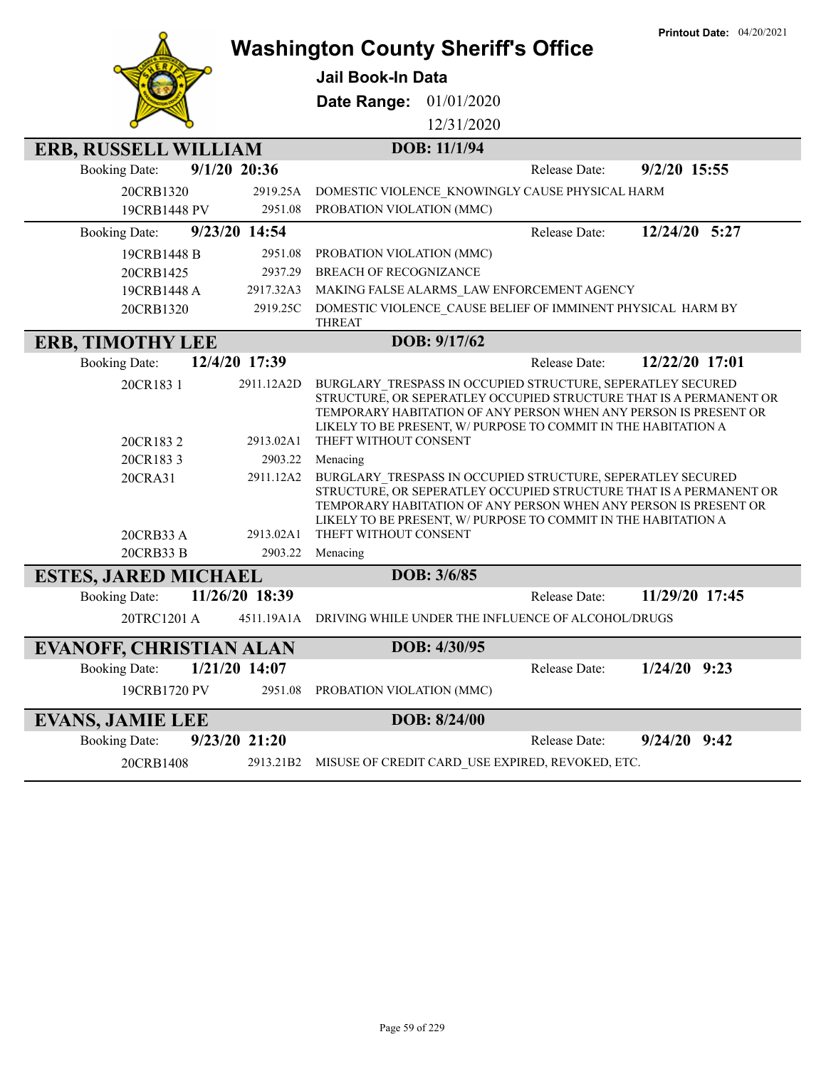|                                |                         | <b>Washington County Sheriff's Office</b>                                                                                                                                                                                                                                                        | <b>Printout Date: 04/20/2021</b> |
|--------------------------------|-------------------------|--------------------------------------------------------------------------------------------------------------------------------------------------------------------------------------------------------------------------------------------------------------------------------------------------|----------------------------------|
|                                |                         | <b>Jail Book-In Data</b>                                                                                                                                                                                                                                                                         |                                  |
|                                |                         | 01/01/2020<br>Date Range:                                                                                                                                                                                                                                                                        |                                  |
|                                |                         | 12/31/2020                                                                                                                                                                                                                                                                                       |                                  |
| <b>ERB, RUSSELL WILLIAM</b>    |                         | DOB: 11/1/94                                                                                                                                                                                                                                                                                     |                                  |
| <b>Booking Date:</b>           | $9/1/20$ 20:36          | Release Date:                                                                                                                                                                                                                                                                                    | 9/2/20 15:55                     |
| 20CRB1320                      | 2919.25A                | DOMESTIC VIOLENCE KNOWINGLY CAUSE PHYSICAL HARM                                                                                                                                                                                                                                                  |                                  |
| 19CRB1448 PV                   | 2951.08                 | PROBATION VIOLATION (MMC)                                                                                                                                                                                                                                                                        |                                  |
| <b>Booking Date:</b>           | 9/23/20 14:54           | Release Date:                                                                                                                                                                                                                                                                                    | 12/24/20 5:27                    |
| 19CRB1448 B                    | 2951.08                 | PROBATION VIOLATION (MMC)                                                                                                                                                                                                                                                                        |                                  |
| 20CRB1425                      | 2937.29                 | <b>BREACH OF RECOGNIZANCE</b>                                                                                                                                                                                                                                                                    |                                  |
| 19CRB1448 A                    | 2917.32A3               | MAKING FALSE ALARMS LAW ENFORCEMENT AGENCY                                                                                                                                                                                                                                                       |                                  |
| 20CRB1320                      | 2919.25C                | DOMESTIC VIOLENCE_CAUSE BELIEF OF IMMINENT PHYSICAL HARM BY<br><b>THREAT</b>                                                                                                                                                                                                                     |                                  |
| <b>ERB, TIMOTHY LEE</b>        |                         | DOB: 9/17/62                                                                                                                                                                                                                                                                                     |                                  |
| <b>Booking Date:</b>           | 12/4/20 17:39           | Release Date:                                                                                                                                                                                                                                                                                    | 12/22/20 17:01                   |
| 20CR183 1<br>20CR1832          | 2911.12A2D<br>2913.02A1 | BURGLARY TRESPASS IN OCCUPIED STRUCTURE, SEPERATLEY SECURED<br>STRUCTURE, OR SEPERATLEY OCCUPIED STRUCTURE THAT IS A PERMANENT OR<br>TEMPORARY HABITATION OF ANY PERSON WHEN ANY PERSON IS PRESENT OR<br>LIKELY TO BE PRESENT, W/ PURPOSE TO COMMIT IN THE HABITATION A<br>THEFT WITHOUT CONSENT |                                  |
| 20CR1833                       | 2903.22                 | Menacing                                                                                                                                                                                                                                                                                         |                                  |
| 20CRA31<br>20CRB33 A           | 2911.12A2<br>2913.02A1  | BURGLARY TRESPASS IN OCCUPIED STRUCTURE, SEPERATLEY SECURED<br>STRUCTURE, OR SEPERATLEY OCCUPIED STRUCTURE THAT IS A PERMANENT OR<br>TEMPORARY HABITATION OF ANY PERSON WHEN ANY PERSON IS PRESENT OR<br>LIKELY TO BE PRESENT, W/ PURPOSE TO COMMIT IN THE HABITATION A<br>THEFT WITHOUT CONSENT |                                  |
| 20CRB33 B                      | 2903.22                 | Menacing                                                                                                                                                                                                                                                                                         |                                  |
| <b>ESTES, JARED MICHAEL</b>    |                         | DOB: 3/6/85                                                                                                                                                                                                                                                                                      |                                  |
| <b>Booking Date:</b>           | 11/26/20 18:39          | Release Date:                                                                                                                                                                                                                                                                                    | 11/29/20 17:45                   |
| 20TRC1201 A                    |                         | 4511.19A1A DRIVING WHILE UNDER THE INFLUENCE OF ALCOHOL/DRUGS                                                                                                                                                                                                                                    |                                  |
| <b>EVANOFF, CHRISTIAN ALAN</b> |                         | DOB: 4/30/95                                                                                                                                                                                                                                                                                     |                                  |
| <b>Booking Date:</b>           | $1/21/20$ 14:07         | Release Date:                                                                                                                                                                                                                                                                                    | $1/24/20$ 9:23                   |
| 19CRB1720 PV                   | 2951.08                 | PROBATION VIOLATION (MMC)                                                                                                                                                                                                                                                                        |                                  |
| <b>EVANS, JAMIE LEE</b>        |                         | DOB: 8/24/00                                                                                                                                                                                                                                                                                     |                                  |
| <b>Booking Date:</b>           | 9/23/20 21:20           | Release Date:                                                                                                                                                                                                                                                                                    | $9/24/20$ $9:42$                 |
| 20CRB1408                      | 2913.21B2               | MISUSE OF CREDIT CARD_USE EXPIRED, REVOKED, ETC.                                                                                                                                                                                                                                                 |                                  |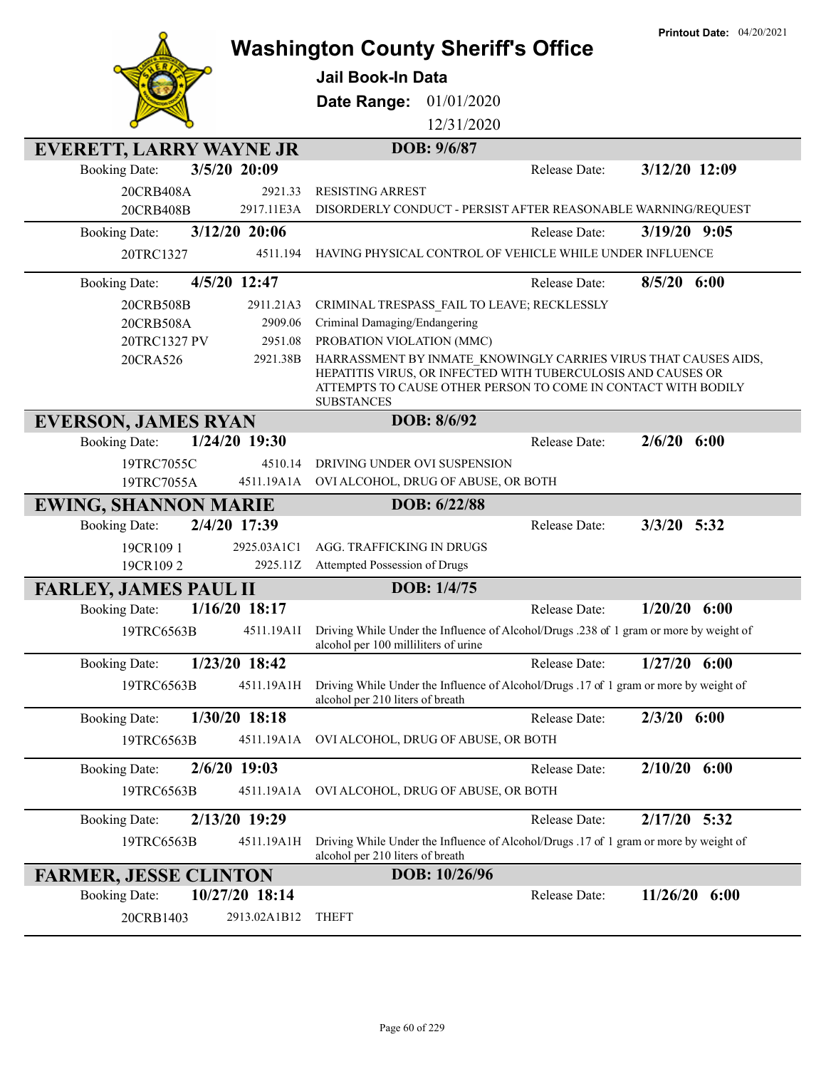|                                         | <b>Washington County Sheriff's Office</b>                                                                                                                                                                             | <b>Printout Date: 04/20/2021</b> |
|-----------------------------------------|-----------------------------------------------------------------------------------------------------------------------------------------------------------------------------------------------------------------------|----------------------------------|
|                                         | Jail Book-In Data                                                                                                                                                                                                     |                                  |
|                                         |                                                                                                                                                                                                                       |                                  |
|                                         | Date Range: 01/01/2020                                                                                                                                                                                                |                                  |
|                                         | 12/31/2020                                                                                                                                                                                                            |                                  |
| <b>EVERETT, LARRY WAYNE JR</b>          | DOB: 9/6/87                                                                                                                                                                                                           |                                  |
| 3/5/20 20:09<br><b>Booking Date:</b>    | Release Date:                                                                                                                                                                                                         | 3/12/20 12:09                    |
| 20CRB408A<br>2921.33                    | <b>RESISTING ARREST</b>                                                                                                                                                                                               |                                  |
| 20CRB408B<br>2917.11E3A                 | DISORDERLY CONDUCT - PERSIST AFTER REASONABLE WARNING/REQUEST                                                                                                                                                         |                                  |
| 3/12/20 20:06<br><b>Booking Date:</b>   | <b>Release Date:</b>                                                                                                                                                                                                  | $3/19/20$ 9:05                   |
| 20TRC1327<br>4511.194                   | HAVING PHYSICAL CONTROL OF VEHICLE WHILE UNDER INFLUENCE                                                                                                                                                              |                                  |
| 4/5/20 12:47<br><b>Booking Date:</b>    | Release Date:                                                                                                                                                                                                         | $8/5/20$ 6:00                    |
| 20CRB508B<br>2911.21A3                  | CRIMINAL TRESPASS FAIL TO LEAVE; RECKLESSLY                                                                                                                                                                           |                                  |
| 20CRB508A<br>2909.06                    | Criminal Damaging/Endangering                                                                                                                                                                                         |                                  |
| 20TRC1327 PV<br>2951.08                 | PROBATION VIOLATION (MMC)                                                                                                                                                                                             |                                  |
| 20CRA526<br>2921.38B                    | HARRASSMENT BY INMATE KNOWINGLY CARRIES VIRUS THAT CAUSES AIDS,<br>HEPATITIS VIRUS, OR INFECTED WITH TUBERCULOSIS AND CAUSES OR<br>ATTEMPTS TO CAUSE OTHER PERSON TO COME IN CONTACT WITH BODILY<br><b>SUBSTANCES</b> |                                  |
| <b>EVERSON, JAMES RYAN</b>              | DOB: 8/6/92                                                                                                                                                                                                           |                                  |
| 1/24/20 19:30<br><b>Booking Date:</b>   | Release Date:                                                                                                                                                                                                         | 2/6/20<br>6:00                   |
| 19TRC7055C<br>4510.14                   | DRIVING UNDER OVI SUSPENSION                                                                                                                                                                                          |                                  |
| 19TRC7055A<br>4511.19A1A                | OVI ALCOHOL, DRUG OF ABUSE, OR BOTH                                                                                                                                                                                   |                                  |
| <b>EWING, SHANNON MARIE</b>             | DOB: 6/22/88                                                                                                                                                                                                          |                                  |
| 2/4/20 17:39<br><b>Booking Date:</b>    | Release Date:                                                                                                                                                                                                         | $3/3/20$ 5:32                    |
| 19CR1091<br>2925.03A1C1                 | AGG. TRAFFICKING IN DRUGS                                                                                                                                                                                             |                                  |
| 19CR1092<br>2925.11Z                    | Attempted Possession of Drugs                                                                                                                                                                                         |                                  |
| <b>FARLEY, JAMES PAUL II</b>            | DOB: 1/4/75                                                                                                                                                                                                           |                                  |
| $1/16/20$ 18:17<br><b>Booking Date:</b> | Release Date:                                                                                                                                                                                                         | $1/20/20$ 6:00                   |
| 19TRC6563B                              | 4511.19A1I Driving While Under the Influence of Alcohol/Drugs .238 of 1 gram or more by weight of<br>alcohol per 100 milliliters of urine                                                                             |                                  |
| 1/23/20 18:42<br><b>Booking Date:</b>   | Release Date:                                                                                                                                                                                                         | $1/27/20$ 6:00                   |
| 19TRC6563B<br>4511.19A1H                | Driving While Under the Influence of Alcohol/Drugs .17 of 1 gram or more by weight of<br>alcohol per 210 liters of breath                                                                                             |                                  |
| 1/30/20 18:18<br><b>Booking Date:</b>   | Release Date:                                                                                                                                                                                                         | $2/3/20$ 6:00                    |
| 4511.19A1A<br>19TRC6563B                | OVI ALCOHOL, DRUG OF ABUSE, OR BOTH                                                                                                                                                                                   |                                  |
| $2/6/20$ 19:03<br><b>Booking Date:</b>  | Release Date:                                                                                                                                                                                                         | $2/10/20$ 6:00                   |
| 19TRC6563B<br>4511.19A1A                | OVI ALCOHOL, DRUG OF ABUSE, OR BOTH                                                                                                                                                                                   |                                  |
| 2/13/20 19:29<br><b>Booking Date:</b>   | Release Date:                                                                                                                                                                                                         | 2/17/20 5:32                     |
| 4511.19A1H<br>19TRC6563B                | Driving While Under the Influence of Alcohol/Drugs .17 of 1 gram or more by weight of<br>alcohol per 210 liters of breath                                                                                             |                                  |
| <b>FARMER, JESSE CLINTON</b>            | DOB: 10/26/96                                                                                                                                                                                                         |                                  |
| 10/27/20 18:14<br><b>Booking Date:</b>  | Release Date:                                                                                                                                                                                                         | $11/26/20$ 6:00                  |
| 20CRB1403<br>2913.02A1B12               | <b>THEFT</b>                                                                                                                                                                                                          |                                  |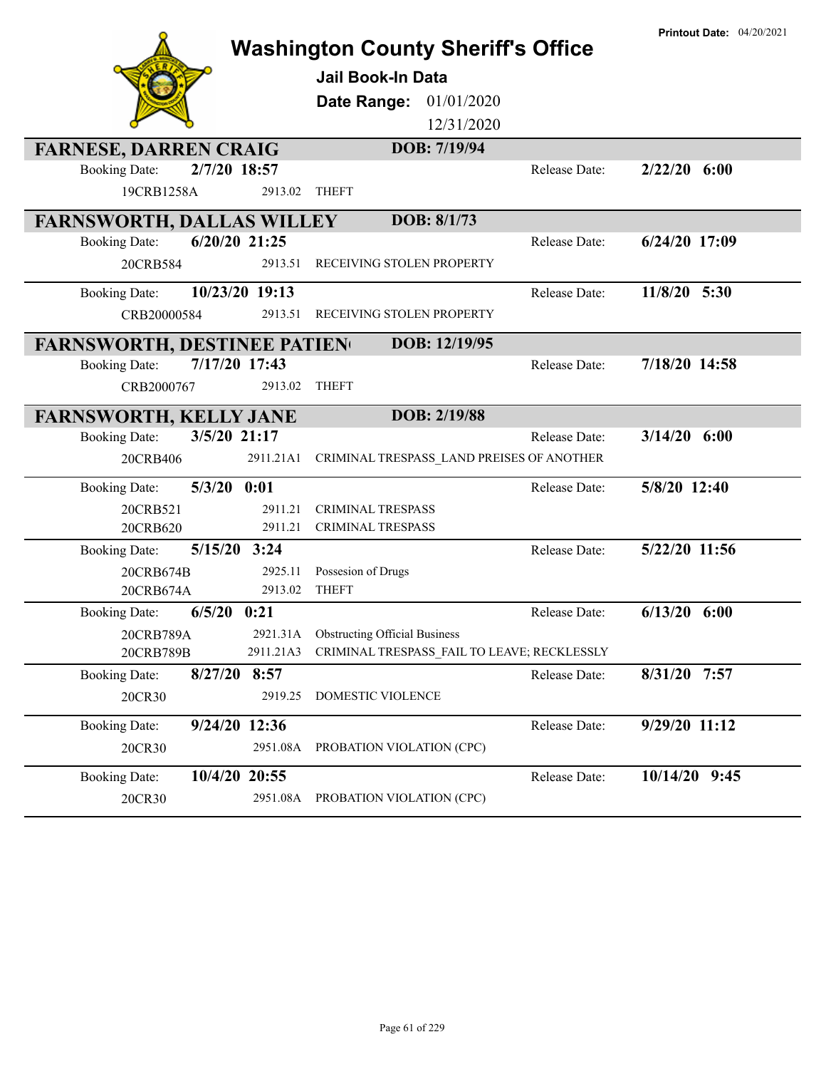|                                         |                                        | <b>Washington County Sheriff's Office</b>   |               | <b>Printout Date: 04/20/2021</b> |
|-----------------------------------------|----------------------------------------|---------------------------------------------|---------------|----------------------------------|
|                                         | <b>Jail Book-In Data</b>               |                                             |               |                                  |
|                                         | Date Range:                            | 01/01/2020                                  |               |                                  |
|                                         |                                        | 12/31/2020                                  |               |                                  |
| <b>FARNESE, DARREN CRAIG</b>            |                                        | DOB: 7/19/94                                |               |                                  |
| 2/7/20 18:57<br><b>Booking Date:</b>    |                                        |                                             | Release Date: | $2/22/20$ 6:00                   |
| 19CRB1258A                              | <b>THEFT</b><br>2913.02                |                                             |               |                                  |
| <b>FARNSWORTH, DALLAS WILLEY</b>        |                                        | DOB: 8/1/73                                 |               |                                  |
| 6/20/20 21:25<br><b>Booking Date:</b>   |                                        |                                             | Release Date: | $6/24/20$ 17:09                  |
| 20CRB584                                | 2913.51                                | RECEIVING STOLEN PROPERTY                   |               |                                  |
| 10/23/20 19:13<br><b>Booking Date:</b>  |                                        |                                             | Release Date: | $11/8/20$ 5:30                   |
| CRB20000584                             | 2913.51                                | RECEIVING STOLEN PROPERTY                   |               |                                  |
| <b>FARNSWORTH, DESTINEE PATIEN</b>      |                                        | DOB: 12/19/95                               |               |                                  |
| 7/17/20 17:43<br><b>Booking Date:</b>   |                                        |                                             | Release Date: | 7/18/20 14:58                    |
| CRB2000767                              | <b>THEFT</b><br>2913.02                |                                             |               |                                  |
| <b>FARNSWORTH, KELLY JANE</b>           |                                        | DOB: 2/19/88                                |               |                                  |
| 3/5/20 21:17<br><b>Booking Date:</b>    |                                        |                                             | Release Date: | $3/14/20$ 6:00                   |
| 20CRB406                                | 2911.21A1                              | CRIMINAL TRESPASS_LAND PREISES OF ANOTHER   |               |                                  |
| $5/3/20$ $0:01$<br><b>Booking Date:</b> |                                        |                                             | Release Date: | 5/8/20 12:40                     |
| 20CRB521                                | <b>CRIMINAL TRESPASS</b><br>2911.21    |                                             |               |                                  |
| 20CRB620                                | 2911.21<br><b>CRIMINAL TRESPASS</b>    |                                             |               |                                  |
| $5/15/20$ 3:24<br><b>Booking Date:</b>  |                                        |                                             | Release Date: | 5/22/20 11:56                    |
| 20CRB674B                               | 2925.11<br>Possesion of Drugs          |                                             |               |                                  |
| 20CRB674A                               | 2913.02<br><b>THEFT</b>                |                                             |               |                                  |
| $6/5/20$ 0:21<br><b>Booking Date:</b>   |                                        |                                             | Release Date: | $6/13/20$ $6:00$                 |
| 20CRB789A                               | 2921.31A Obstructing Official Business |                                             |               |                                  |
| 20CRB789B                               | 2911.21A3                              | CRIMINAL TRESPASS FAIL TO LEAVE; RECKLESSLY |               |                                  |
| 8/27/20 8:57<br><b>Booking Date:</b>    |                                        |                                             | Release Date: | 8/31/20 7:57                     |
| 20CR30                                  | 2919.25<br>DOMESTIC VIOLENCE           |                                             |               |                                  |
| 9/24/20 12:36<br><b>Booking Date:</b>   |                                        |                                             | Release Date: | 9/29/20 11:12                    |
| 20CR30                                  | 2951.08A                               | PROBATION VIOLATION (CPC)                   |               |                                  |
| 10/4/20 20:55<br><b>Booking Date:</b>   |                                        |                                             | Release Date: | $10/14/20$ 9:45                  |
| 20CR30                                  | 2951.08A PROBATION VIOLATION (CPC)     |                                             |               |                                  |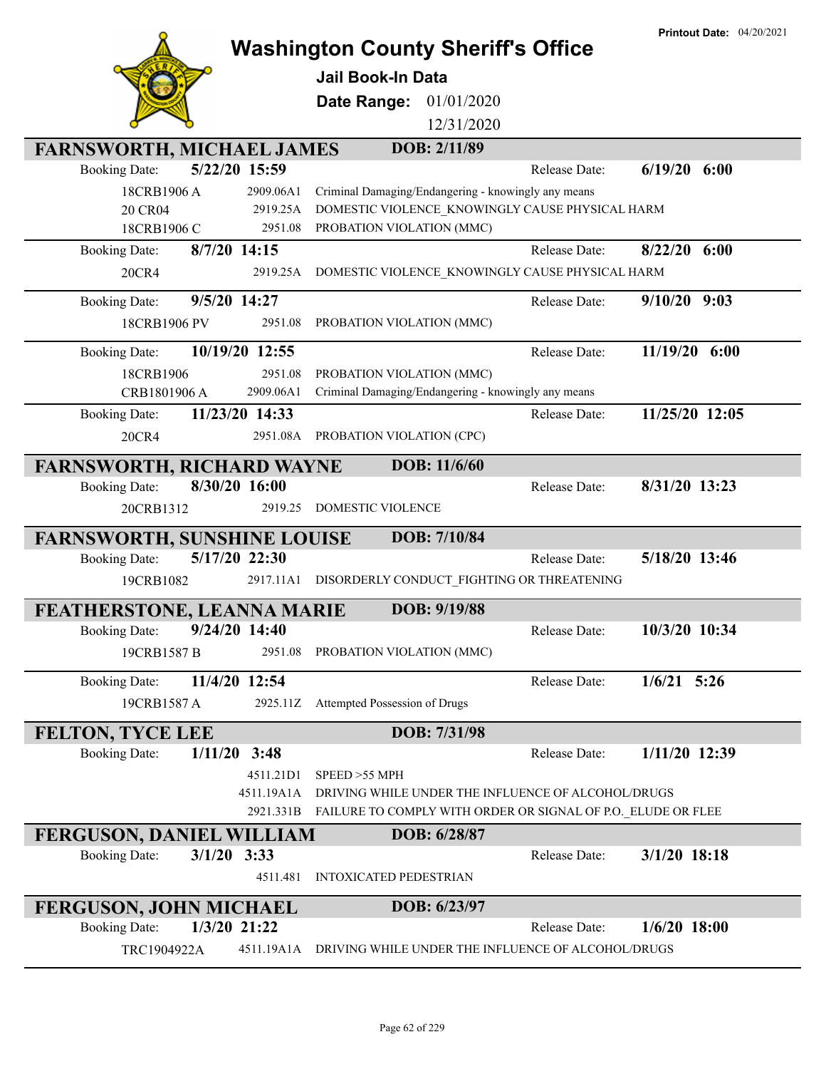|                                                           |                | <b>Washington County Sheriff's Office</b>                    | <b>Printout Date: 04/20/2021</b> |
|-----------------------------------------------------------|----------------|--------------------------------------------------------------|----------------------------------|
|                                                           |                |                                                              |                                  |
|                                                           |                | <b>Jail Book-In Data</b>                                     |                                  |
|                                                           |                | Date Range:<br>01/01/2020                                    |                                  |
|                                                           |                | 12/31/2020                                                   |                                  |
| <b>FARNSWORTH, MICHAEL JAMES</b>                          |                | DOB: 2/11/89                                                 |                                  |
| <b>Booking Date:</b>                                      | 5/22/20 15:59  | Release Date:                                                | $6/19/20$ $6:00$                 |
| 18CRB1906 A                                               | 2909.06A1      | Criminal Damaging/Endangering - knowingly any means          |                                  |
| 20 CR04                                                   | 2919.25A       | DOMESTIC VIOLENCE KNOWINGLY CAUSE PHYSICAL HARM              |                                  |
| 18CRB1906 C                                               | 2951.08        | PROBATION VIOLATION (MMC)                                    |                                  |
| 8/7/20 14:15<br><b>Booking Date:</b>                      |                | Release Date:                                                | 8/22/20<br>6:00                  |
| 20CR4                                                     | 2919.25A       | DOMESTIC VIOLENCE_KNOWINGLY CAUSE PHYSICAL HARM              |                                  |
| 9/5/20 14:27<br><b>Booking Date:</b>                      |                | Release Date:                                                | $9/10/20$ $9:03$                 |
| 18CRB1906 PV                                              | 2951.08        | PROBATION VIOLATION (MMC)                                    |                                  |
| <b>Booking Date:</b>                                      | 10/19/20 12:55 | Release Date:                                                | $11/19/20$ 6:00                  |
| 18CRB1906                                                 | 2951.08        | PROBATION VIOLATION (MMC)                                    |                                  |
| CRB1801906 A                                              | 2909.06A1      | Criminal Damaging/Endangering - knowingly any means          |                                  |
| <b>Booking Date:</b>                                      | 11/23/20 14:33 | Release Date:                                                | 11/25/20 12:05                   |
| 20CR4                                                     |                | 2951.08A PROBATION VIOLATION (CPC)                           |                                  |
| <b>FARNSWORTH, RICHARD WAYNE</b>                          |                | DOB: 11/6/60                                                 |                                  |
| <b>Booking Date:</b>                                      | 8/30/20 16:00  | Release Date:                                                | 8/31/20 13:23                    |
| 20CRB1312                                                 | 2919.25        | DOMESTIC VIOLENCE                                            |                                  |
| <b>FARNSWORTH, SUNSHINE LOUISE</b>                        |                | DOB: 7/10/84                                                 |                                  |
| <b>Booking Date:</b>                                      | 5/17/20 22:30  | Release Date:                                                | 5/18/20 13:46                    |
| 19CRB1082                                                 | 2917.11A1      | DISORDERLY CONDUCT_FIGHTING OR THREATENING                   |                                  |
|                                                           |                | DOB: 9/19/88                                                 |                                  |
| FEATHERSTONE, LEANNA MARIE<br>Booking Date: 9/24/20 14:40 |                | Release Date:                                                | 10/3/20 10:34                    |
| 19CRB1587 B                                               | 2951.08        | PROBATION VIOLATION (MMC)                                    |                                  |
|                                                           |                |                                                              |                                  |
| <b>Booking Date:</b>                                      | 11/4/20 12:54  | Release Date:                                                | $1/6/21$ 5:26                    |
| 19CRB1587 A                                               | 2925.11Z       | Attempted Possession of Drugs                                |                                  |
| <b>FELTON, TYCE LEE</b>                                   |                | DOB: 7/31/98                                                 |                                  |
| 1/11/20<br><b>Booking Date:</b>                           | 3:48           | Release Date:                                                | 1/11/20 12:39                    |
|                                                           | 4511.21D1      | SPEED >55 MPH                                                |                                  |
|                                                           | 4511.19A1A     | DRIVING WHILE UNDER THE INFLUENCE OF ALCOHOL/DRUGS           |                                  |
|                                                           | 2921.331B      | FAILURE TO COMPLY WITH ORDER OR SIGNAL OF P.O. ELUDE OR FLEE |                                  |
| <b>FERGUSON, DANIEL WILLIAM</b>                           |                | DOB: 6/28/87                                                 |                                  |
| $3/1/20$ 3:33<br><b>Booking Date:</b>                     |                | Release Date:                                                | $3/1/20$ 18:18                   |
|                                                           | 4511.481       | <b>INTOXICATED PEDESTRIAN</b>                                |                                  |
| <b>FERGUSON, JOHN MICHAEL</b>                             |                | DOB: 6/23/97                                                 |                                  |
| 1/3/20 21:22<br><b>Booking Date:</b>                      |                | Release Date:                                                | $1/6/20$ 18:00                   |
| TRC1904922A                                               | 4511.19A1A     | DRIVING WHILE UNDER THE INFLUENCE OF ALCOHOL/DRUGS           |                                  |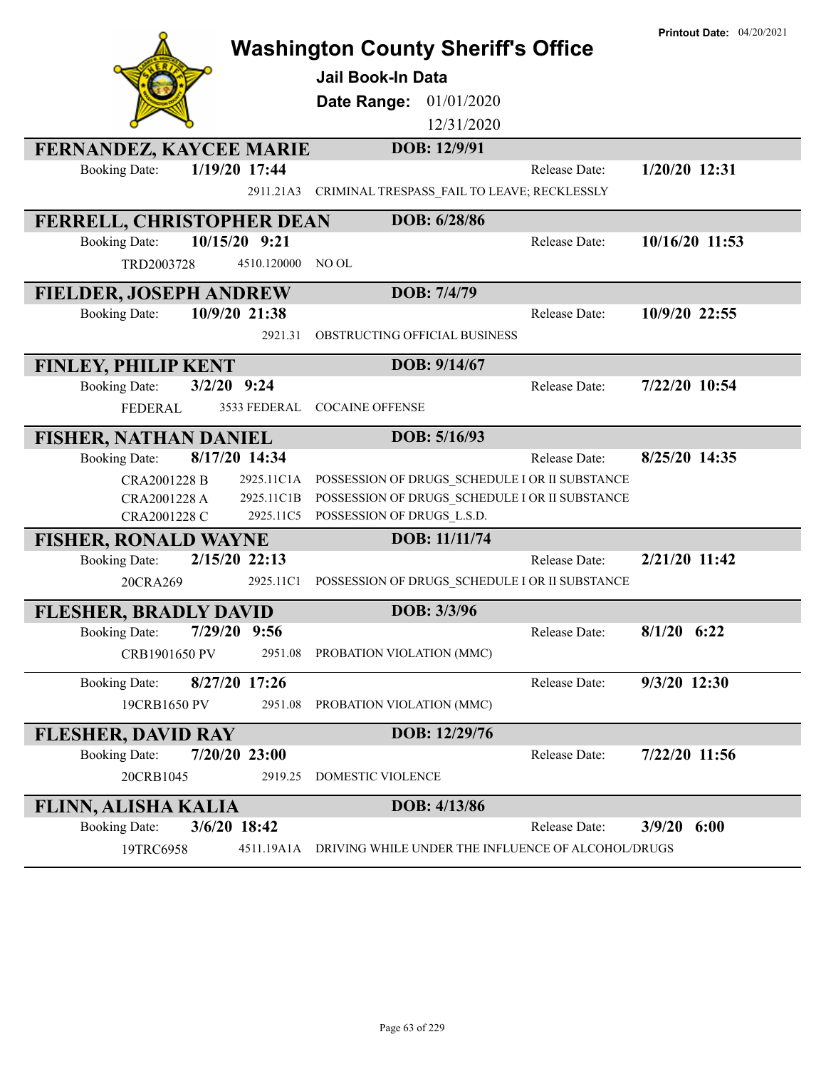|                                       | <b>Washington County Sheriff's Office</b>          | <b>Printout Date: 04/20/2021</b> |
|---------------------------------------|----------------------------------------------------|----------------------------------|
|                                       |                                                    |                                  |
|                                       | <b>Jail Book-In Data</b>                           |                                  |
|                                       | Date Range: 01/01/2020                             |                                  |
|                                       | 12/31/2020                                         |                                  |
| <b>FERNANDEZ, KAYCEE MARIE</b>        | DOB: 12/9/91                                       |                                  |
| 1/19/20 17:44<br><b>Booking Date:</b> | Release Date:                                      | $1/20/20$ 12:31                  |
| 2911.21A3                             | CRIMINAL TRESPASS_FAIL TO LEAVE; RECKLESSLY        |                                  |
| FERRELL, CHRISTOPHER DEAN             | DOB: 6/28/86                                       |                                  |
| 10/15/20 9:21<br><b>Booking Date:</b> | Release Date:                                      | 10/16/20 11:53                   |
| TRD2003728<br>4510.120000             | NO OL                                              |                                  |
| <b>FIELDER, JOSEPH ANDREW</b>         | DOB: 7/4/79                                        |                                  |
| 10/9/20 21:38<br><b>Booking Date:</b> | Release Date:                                      | 10/9/20 22:55                    |
| 2921.31                               | OBSTRUCTING OFFICIAL BUSINESS                      |                                  |
| <b>FINLEY, PHILIP KENT</b>            | DOB: 9/14/67                                       |                                  |
| $3/2/20$ 9:24<br><b>Booking Date:</b> | Release Date:                                      | 7/22/20 10:54                    |
| <b>FEDERAL</b><br>3533 FEDERAL        | <b>COCAINE OFFENSE</b>                             |                                  |
| <b>FISHER, NATHAN DANIEL</b>          | DOB: 5/16/93                                       |                                  |
| 8/17/20 14:34<br><b>Booking Date:</b> | Release Date:                                      | 8/25/20 14:35                    |
| CRA2001228 B<br>2925.11C1A            | POSSESSION OF DRUGS SCHEDULE I OR II SUBSTANCE     |                                  |
| 2925.11C1B<br>CRA2001228 A            | POSSESSION OF DRUGS SCHEDULE I OR II SUBSTANCE     |                                  |
| CRA2001228 C<br>2925.11C5             | POSSESSION OF DRUGS L.S.D.                         |                                  |
| <b>FISHER, RONALD WAYNE</b>           | DOB: 11/11/74                                      |                                  |
| 2/15/20 22:13<br><b>Booking Date:</b> | Release Date:                                      | 2/21/20 11:42                    |
| 20CRA269<br>2925.11C1                 | POSSESSION OF DRUGS_SCHEDULE I OR II SUBSTANCE     |                                  |
| <b>FLESHER, BRADLY DAVID</b>          | DOB: 3/3/96                                        |                                  |
| <b>Booking Date:</b><br>7/29/20 9:56  | Release Date:                                      | $8/1/20$ 6:22                    |
| 2951.08<br>CRB1901650 PV              | PROBATION VIOLATION (MMC)                          |                                  |
| <b>Booking Date:</b><br>8/27/20 17:26 | Release Date:                                      | 9/3/20 12:30                     |
| 19CRB1650 PV<br>2951.08               | PROBATION VIOLATION (MMC)                          |                                  |
| <b>FLESHER, DAVID RAY</b>             | DOB: 12/29/76                                      |                                  |
| 7/20/20 23:00<br><b>Booking Date:</b> | Release Date:                                      | 7/22/20 11:56                    |
| 20CRB1045<br>2919.25                  | DOMESTIC VIOLENCE                                  |                                  |
| <b>FLINN, ALISHA KALIA</b>            | DOB: 4/13/86                                       |                                  |
| 3/6/20 18:42<br><b>Booking Date:</b>  | Release Date:                                      | 3/9/20<br>6:00                   |
| 4511.19A1A<br>19TRC6958               | DRIVING WHILE UNDER THE INFLUENCE OF ALCOHOL/DRUGS |                                  |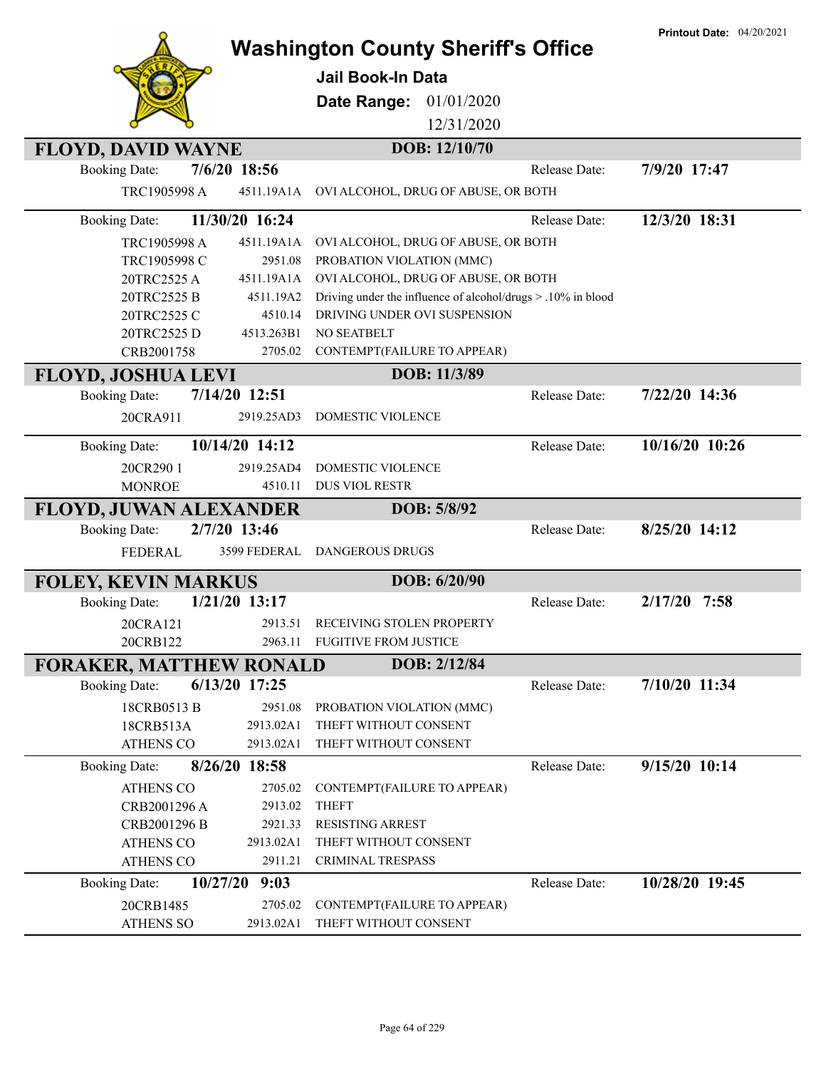| <b>Washington County Sheriff's Office</b> |  |  |
|-------------------------------------------|--|--|
|                                           |  |  |

**Printout Date:** 04/20/2021



## **Jail Book-In Data**

**Date Range:** 01/01/2020

12/31/2020

| <b>FLOYD, DAVID WAYNE</b>        |                 | DOB: 12/10/70                                                |               |                 |
|----------------------------------|-----------------|--------------------------------------------------------------|---------------|-----------------|
| <b>Booking Date:</b>             | 7/6/20 18:56    |                                                              | Release Date: | 7/9/20 17:47    |
| TRC1905998 A                     | 4511.19A1A      | OVI ALCOHOL, DRUG OF ABUSE, OR BOTH                          |               |                 |
| <b>Booking Date:</b>             | 11/30/20 16:24  |                                                              | Release Date: | 12/3/20 18:31   |
| TRC1905998 A                     | 4511.19A1A      | OVI ALCOHOL, DRUG OF ABUSE, OR BOTH                          |               |                 |
| TRC1905998 C                     | 2951.08         | PROBATION VIOLATION (MMC)                                    |               |                 |
| 20TRC2525 A                      | 4511.19A1A      | OVI ALCOHOL, DRUG OF ABUSE, OR BOTH                          |               |                 |
| 20TRC2525 B                      | 4511.19A2       | Driving under the influence of alcohol/drugs > .10% in blood |               |                 |
| 20TRC2525 C                      | 4510.14         | DRIVING UNDER OVI SUSPENSION                                 |               |                 |
| 20TRC2525 D                      | 4513.263B1      | <b>NO SEATBELT</b>                                           |               |                 |
| CRB2001758                       | 2705.02         | CONTEMPT(FAILURE TO APPEAR)                                  |               |                 |
| <b>FLOYD, JOSHUA LEVI</b>        |                 | DOB: 11/3/89                                                 |               |                 |
| <b>Booking Date:</b>             | 7/14/20 12:51   |                                                              | Release Date: | 7/22/20 14:36   |
| 20CRA911                         | 2919.25AD3      | <b>DOMESTIC VIOLENCE</b>                                     |               |                 |
| <b>Booking Date:</b>             | 10/14/20 14:12  |                                                              | Release Date: | 10/16/20 10:26  |
| 20CR290 1                        | 2919.25AD4      | <b>DOMESTIC VIOLENCE</b>                                     |               |                 |
| <b>MONROE</b>                    | 4510.11         | <b>DUS VIOL RESTR</b>                                        |               |                 |
| FLOYD, JUWAN ALEXANDER           |                 | DOB: 5/8/92                                                  |               |                 |
| <b>Booking Date:</b>             | 2/7/20 13:46    |                                                              | Release Date: | 8/25/20 14:12   |
| <b>FEDERAL</b>                   | 3599 FEDERAL    | <b>DANGEROUS DRUGS</b>                                       |               |                 |
| <b>FOLEY, KEVIN MARKUS</b>       |                 | DOB: 6/20/90                                                 |               |                 |
| <b>Booking Date:</b>             | $1/21/20$ 13:17 |                                                              | Release Date: | 2/17/20<br>7:58 |
| 20CRA121                         | 2913.51         | RECEIVING STOLEN PROPERTY                                    |               |                 |
| 20CRB122                         | 2963.11         | <b>FUGITIVE FROM JUSTICE</b>                                 |               |                 |
| <b>FORAKER, MATTHEW RONALD</b>   |                 | DOB: 2/12/84                                                 |               |                 |
| <b>Booking Date:</b>             | 6/13/20 17:25   |                                                              | Release Date: | 7/10/20 11:34   |
| 18CRB0513 B                      | 2951.08         | PROBATION VIOLATION (MMC)                                    |               |                 |
| 18CRB513A                        | 2913.02A1       | THEFT WITHOUT CONSENT                                        |               |                 |
| <b>ATHENS CO</b>                 | 2913.02A1       | THEFT WITHOUT CONSENT                                        |               |                 |
| <b>Booking Date:</b>             | 8/26/20 18:58   |                                                              | Release Date: | 9/15/20 10:14   |
| <b>ATHENS CO</b>                 | 2705.02         | CONTEMPT(FAILURE TO APPEAR)                                  |               |                 |
| CRB2001296 A                     | 2913.02         | <b>THEFT</b>                                                 |               |                 |
| CRB2001296 B                     | 2921.33         | <b>RESISTING ARREST</b>                                      |               |                 |
| <b>ATHENS CO</b>                 | 2913.02A1       | THEFT WITHOUT CONSENT                                        |               |                 |
| <b>ATHENS CO</b>                 | 2911.21         | <b>CRIMINAL TRESPASS</b>                                     |               |                 |
| 10/27/20<br><b>Booking Date:</b> | 9:03            |                                                              | Release Date: | 10/28/20 19:45  |
| 20CRB1485                        | 2705.02         | CONTEMPT(FAILURE TO APPEAR)                                  |               |                 |
| <b>ATHENS SO</b>                 | 2913.02A1       | THEFT WITHOUT CONSENT                                        |               |                 |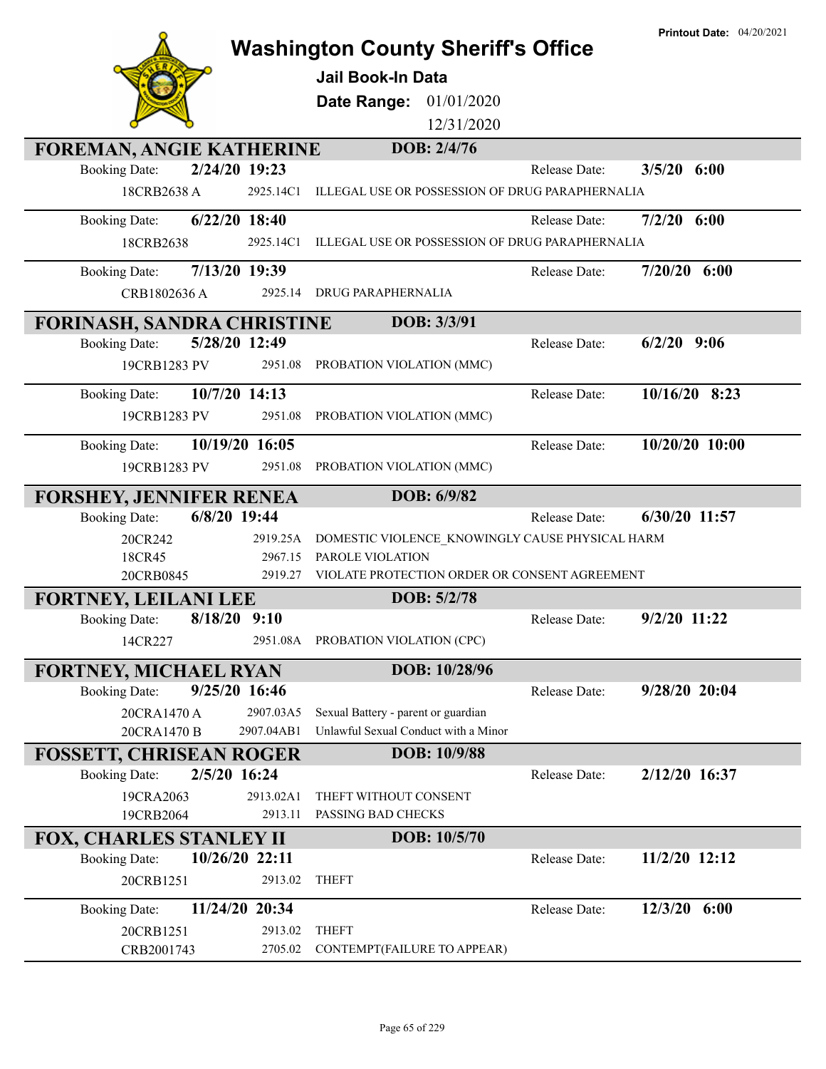|                                         |                                                                                                        |               | <b>Printout Date: 04/20/2021</b> |
|-----------------------------------------|--------------------------------------------------------------------------------------------------------|---------------|----------------------------------|
|                                         | <b>Washington County Sheriff's Office</b>                                                              |               |                                  |
|                                         | <b>Jail Book-In Data</b>                                                                               |               |                                  |
|                                         | 01/01/2020<br>Date Range:                                                                              |               |                                  |
|                                         | 12/31/2020                                                                                             |               |                                  |
| <b>FOREMAN, ANGIE KATHERINE</b>         | DOB: 2/4/76                                                                                            |               |                                  |
| 2/24/20 19:23<br><b>Booking Date:</b>   |                                                                                                        | Release Date: | 3/5/20<br>6:00                   |
| 18CRB2638 A                             | 2925.14C1<br>ILLEGAL USE OR POSSESSION OF DRUG PARAPHERNALIA                                           |               |                                  |
| $6/22/20$ 18:40<br><b>Booking Date:</b> |                                                                                                        | Release Date: | $7/2/20$ 6:00                    |
| 18CRB2638                               | ILLEGAL USE OR POSSESSION OF DRUG PARAPHERNALIA<br>2925.14C1                                           |               |                                  |
| 7/13/20 19:39<br><b>Booking Date:</b>   |                                                                                                        | Release Date: | $7/20/20$ 6:00                   |
| CRB1802636 A                            | 2925.14<br><b>DRUG PARAPHERNALIA</b>                                                                   |               |                                  |
| <b>FORINASH, SANDRA CHRISTINE</b>       | DOB: 3/3/91                                                                                            |               |                                  |
| 5/28/20 12:49<br><b>Booking Date:</b>   |                                                                                                        | Release Date: | $6/2/20$ 9:06                    |
| 19CRB1283 PV                            | 2951.08<br>PROBATION VIOLATION (MMC)                                                                   |               |                                  |
| <b>Booking Date:</b><br>10/7/20 14:13   |                                                                                                        | Release Date: | $10/16/20$ 8:23                  |
| 19CRB1283 PV                            | 2951.08<br>PROBATION VIOLATION (MMC)                                                                   |               |                                  |
| 10/19/20 16:05<br><b>Booking Date:</b>  |                                                                                                        | Release Date: | 10/20/20 10:00                   |
| 19CRB1283 PV                            | 2951.08<br>PROBATION VIOLATION (MMC)                                                                   |               |                                  |
| <b>FORSHEY, JENNIFER RENEA</b>          | DOB: 6/9/82                                                                                            |               |                                  |
| 6/8/20 19:44<br><b>Booking Date:</b>    |                                                                                                        | Release Date: | $6/30/20$ 11:57                  |
| 20CR242                                 | DOMESTIC VIOLENCE KNOWINGLY CAUSE PHYSICAL HARM<br>2919.25A                                            |               |                                  |
| 18CR45                                  | 2967.15<br>PAROLE VIOLATION                                                                            |               |                                  |
| 20CRB0845                               | VIOLATE PROTECTION ORDER OR CONSENT AGREEMENT<br>2919.27                                               |               |                                  |
| <b>FORTNEY, LEILANI LEE</b>             | DOB: 5/2/78                                                                                            |               |                                  |
| $8/18/20$ 9:10<br><b>Booking Date:</b>  |                                                                                                        | Release Date: | 9/2/20 11:22                     |
| 14CR227                                 | PROBATION VIOLATION (CPC)<br>2951.08A                                                                  |               |                                  |
| <b>FORTNEY, MICHAEL RYAN</b>            | DOB: 10/28/96                                                                                          |               |                                  |
| 9/25/20 16:46<br><b>Booking Date:</b>   |                                                                                                        | Release Date: | 9/28/20 20:04                    |
| 20CRA1470 A<br>20CRA1470 B              | 2907.03A5<br>Sexual Battery - parent or guardian<br>Unlawful Sexual Conduct with a Minor<br>2907.04AB1 |               |                                  |
| <b>FOSSETT, CHRISEAN ROGER</b>          | DOB: 10/9/88                                                                                           |               |                                  |
| 2/5/20 16:24<br><b>Booking Date:</b>    |                                                                                                        | Release Date: | 2/12/20 16:37                    |
| 19CRA2063                               | 2913.02A1<br>THEFT WITHOUT CONSENT                                                                     |               |                                  |
| 19CRB2064                               | 2913.11<br>PASSING BAD CHECKS                                                                          |               |                                  |
| <b>FOX, CHARLES STANLEY II</b>          | DOB: 10/5/70                                                                                           |               |                                  |
| 10/26/20 22:11<br><b>Booking Date:</b>  |                                                                                                        | Release Date: | 11/2/20 12:12                    |
| 20CRB1251                               | 2913.02<br><b>THEFT</b>                                                                                |               |                                  |
| 11/24/20 20:34<br><b>Booking Date:</b>  |                                                                                                        | Release Date: | $12/3/20$ 6:00                   |
| 20CRB1251                               | 2913.02<br><b>THEFT</b>                                                                                |               |                                  |
| CRB2001743                              | 2705.02<br>CONTEMPT(FAILURE TO APPEAR)                                                                 |               |                                  |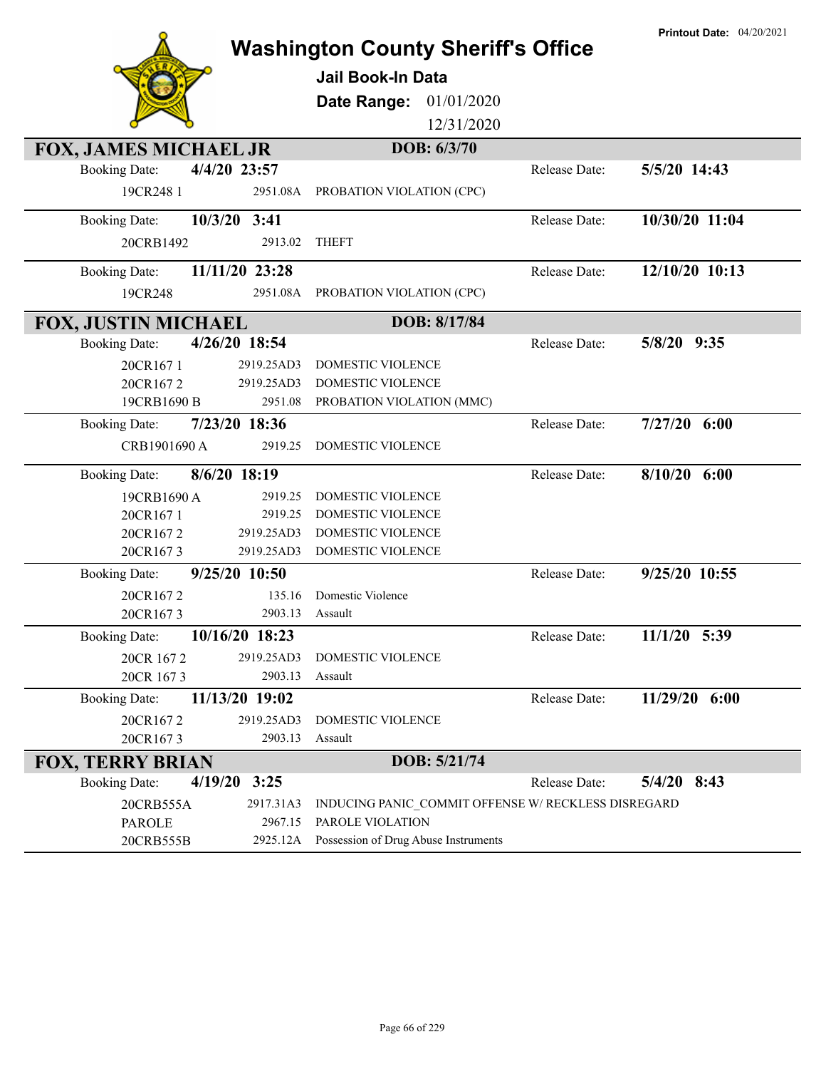|                              |                | <b>Washington County Sheriff's Office</b>           |               | <b>Printout Date: 04/20/2021</b> |
|------------------------------|----------------|-----------------------------------------------------|---------------|----------------------------------|
|                              |                | Jail Book-In Data                                   |               |                                  |
|                              |                | Date Range:<br>01/01/2020                           |               |                                  |
|                              |                | 12/31/2020                                          |               |                                  |
| <b>FOX, JAMES MICHAEL JR</b> |                | DOB: 6/3/70                                         |               |                                  |
| <b>Booking Date:</b>         | 4/4/20 23:57   |                                                     | Release Date: | 5/5/20 14:43                     |
| 19CR248 1                    | 2951.08A       | PROBATION VIOLATION (CPC)                           |               |                                  |
| <b>Booking Date:</b>         | 10/3/20 3:41   |                                                     | Release Date: | 10/30/20 11:04                   |
| 20CRB1492                    | 2913.02        | <b>THEFT</b>                                        |               |                                  |
| <b>Booking Date:</b>         | 11/11/20 23:28 |                                                     | Release Date: | 12/10/20 10:13                   |
| 19CR248                      | 2951.08A       | PROBATION VIOLATION (CPC)                           |               |                                  |
| <b>FOX, JUSTIN MICHAEL</b>   |                | DOB: 8/17/84                                        |               |                                  |
| <b>Booking Date:</b>         | 4/26/20 18:54  |                                                     | Release Date: | 5/8/20 9:35                      |
| 20CR1671                     | 2919.25AD3     | DOMESTIC VIOLENCE                                   |               |                                  |
| 20CR1672                     | 2919.25AD3     | DOMESTIC VIOLENCE                                   |               |                                  |
| 19CRB1690 B                  | 2951.08        | PROBATION VIOLATION (MMC)                           |               |                                  |
| <b>Booking Date:</b>         | 7/23/20 18:36  |                                                     | Release Date: | $7/27/20$ 6:00                   |
| CRB1901690 A                 | 2919.25        | DOMESTIC VIOLENCE                                   |               |                                  |
| <b>Booking Date:</b>         | 8/6/20 18:19   |                                                     | Release Date: | $8/10/20$ 6:00                   |
| 19CRB1690 A                  | 2919.25        | DOMESTIC VIOLENCE                                   |               |                                  |
| 20CR1671                     | 2919.25        | DOMESTIC VIOLENCE                                   |               |                                  |
| 20CR1672                     | 2919.25AD3     | DOMESTIC VIOLENCE                                   |               |                                  |
| 20CR1673                     | 2919.25AD3     | <b>DOMESTIC VIOLENCE</b>                            |               |                                  |
| <b>Booking Date:</b>         | 9/25/20 10:50  |                                                     | Release Date: | $9/25/20$ $10:\overline{55}$     |
| 20CR1672                     | 135.16         | Domestic Violence                                   |               |                                  |
| 20CR1673                     | 2903.13        | Assault                                             |               |                                  |
| <b>Booking Date:</b>         | 10/16/20 18:23 |                                                     | Release Date: | $11/1/20$ 5:39                   |
| 20CR 1672                    | 2919.25AD3     | DOMESTIC VIOLENCE                                   |               |                                  |
| 20CR 1673                    | 2903.13        | Assault                                             |               |                                  |
| <b>Booking Date:</b>         | 11/13/20 19:02 |                                                     | Release Date: | 11/29/20 6:00                    |
| 20CR1672                     | 2919.25AD3     | DOMESTIC VIOLENCE                                   |               |                                  |
| 20CR1673                     | 2903.13        | Assault                                             |               |                                  |
| <b>FOX, TERRY BRIAN</b>      |                | DOB: 5/21/74                                        |               |                                  |
| <b>Booking Date:</b>         | $4/19/20$ 3:25 |                                                     | Release Date: | $5/4/20$ 8:43                    |
| 20CRB555A                    | 2917.31A3      | INDUCING PANIC_COMMIT OFFENSE W/ RECKLESS DISREGARD |               |                                  |
| <b>PAROLE</b>                | 2967.15        | PAROLE VIOLATION                                    |               |                                  |
| 20CRB555B                    | 2925.12A       | Possession of Drug Abuse Instruments                |               |                                  |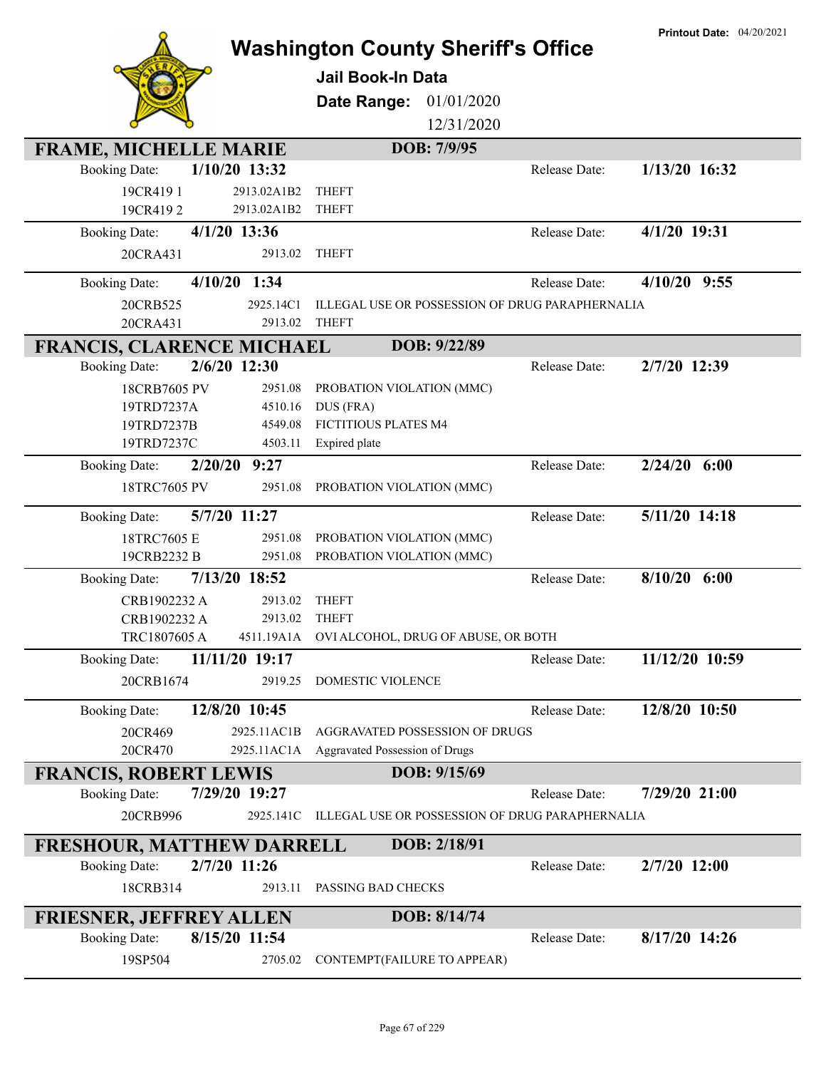|                                                        |                            | <b>Washington County Sheriff's Office</b><br><b>Jail Book-In Data</b><br>Date Range:<br>01/01/2020<br>12/31/2020 |               | <b>Printout Date: 04/20/2021</b> |
|--------------------------------------------------------|----------------------------|------------------------------------------------------------------------------------------------------------------|---------------|----------------------------------|
| <b>FRAME, MICHELLE MARIE</b>                           |                            | DOB: 7/9/95                                                                                                      |               |                                  |
| <b>Booking Date:</b>                                   | 1/10/20 13:32              |                                                                                                                  | Release Date: | 1/13/20 16:32                    |
| 19CR4191                                               | 2913.02A1B2<br>2913.02A1B2 | <b>THEFT</b><br><b>THEFT</b>                                                                                     |               |                                  |
| 19CR4192                                               | $4/1/20$ 13:36             |                                                                                                                  | Release Date: | 4/1/20 19:31                     |
| <b>Booking Date:</b>                                   | 2913.02                    | <b>THEFT</b>                                                                                                     |               |                                  |
| 20CRA431                                               |                            |                                                                                                                  |               |                                  |
| 4/10/20<br><b>Booking Date:</b>                        | 1:34                       |                                                                                                                  | Release Date: | $4/10/20$ 9:55                   |
| 20CRB525                                               | 2925.14C1                  | ILLEGAL USE OR POSSESSION OF DRUG PARAPHERNALIA                                                                  |               |                                  |
| 20CRA431                                               | 2913.02                    | <b>THEFT</b>                                                                                                     |               |                                  |
| <b>FRANCIS, CLARENCE MICHAEL</b>                       |                            | DOB: 9/22/89                                                                                                     |               |                                  |
| <b>Booking Date:</b>                                   | 2/6/20 12:30               |                                                                                                                  | Release Date: | 2/7/20 12:39                     |
| 18CRB7605 PV                                           | 2951.08                    | PROBATION VIOLATION (MMC)                                                                                        |               |                                  |
| 19TRD7237A<br>19TRD7237B                               | 4510.16<br>4549.08         | DUS (FRA)<br>FICTITIOUS PLATES M4                                                                                |               |                                  |
| 19TRD7237C                                             | 4503.11                    | Expired plate                                                                                                    |               |                                  |
| 2/20/20<br><b>Booking Date:</b>                        | 9:27                       |                                                                                                                  | Release Date: | $2/24/20$ 6:00                   |
| 18TRC7605 PV                                           | 2951.08                    | PROBATION VIOLATION (MMC)                                                                                        |               |                                  |
|                                                        |                            |                                                                                                                  |               |                                  |
| <b>Booking Date:</b>                                   | 5/7/20 11:27               |                                                                                                                  | Release Date: | 5/11/20 14:18                    |
| 18TRC7605 E                                            | 2951.08                    | PROBATION VIOLATION (MMC)                                                                                        |               |                                  |
| 19CRB2232 B                                            | 2951.08                    | PROBATION VIOLATION (MMC)                                                                                        |               |                                  |
| <b>Booking Date:</b>                                   | 7/13/20 18:52              |                                                                                                                  | Release Date: | 8/10/20<br>6:00                  |
| CRB1902232 A<br>CRB1902232 A                           | 2913.02                    | <b>THEFT</b>                                                                                                     |               |                                  |
|                                                        |                            |                                                                                                                  |               |                                  |
|                                                        | 2913.02                    | <b>THEFT</b>                                                                                                     |               |                                  |
| TRC1807605 A                                           |                            | 4511.19A1A OVI ALCOHOL, DRUG OF ABUSE, OR BOTH                                                                   |               |                                  |
| <b>Booking Date:</b>                                   | 11/11/20 19:17             |                                                                                                                  | Release Date: | 11/12/20 10:59                   |
| 20CRB1674                                              | 2919.25                    | DOMESTIC VIOLENCE                                                                                                |               |                                  |
| <b>Booking Date:</b>                                   | 12/8/20 10:45              |                                                                                                                  | Release Date: | 12/8/20 10:50                    |
| 20CR469                                                | 2925.11AC1B                | AGGRAVATED POSSESSION OF DRUGS                                                                                   |               |                                  |
| 20CR470                                                | 2925.11AC1A                | Aggravated Possession of Drugs                                                                                   |               |                                  |
| <b>FRANCIS, ROBERT LEWIS</b>                           |                            | DOB: 9/15/69                                                                                                     |               |                                  |
| <b>Booking Date:</b>                                   | 7/29/20 19:27              |                                                                                                                  | Release Date: | 7/29/20 21:00                    |
| 20CRB996                                               | 2925.141C                  | ILLEGAL USE OR POSSESSION OF DRUG PARAPHERNALIA                                                                  |               |                                  |
| <b>FRESHOUR, MATTHEW DARRELL</b>                       |                            | DOB: 2/18/91                                                                                                     |               |                                  |
| <b>Booking Date:</b>                                   | 2/7/20 11:26               |                                                                                                                  | Release Date: | 2/7/20 12:00                     |
| 18CRB314                                               | 2913.11                    | PASSING BAD CHECKS                                                                                               |               |                                  |
|                                                        |                            | DOB: 8/14/74                                                                                                     |               |                                  |
| <b>FRIESNER, JEFFREY ALLEN</b><br><b>Booking Date:</b> | 8/15/20 11:54              |                                                                                                                  | Release Date: | 8/17/20 14:26                    |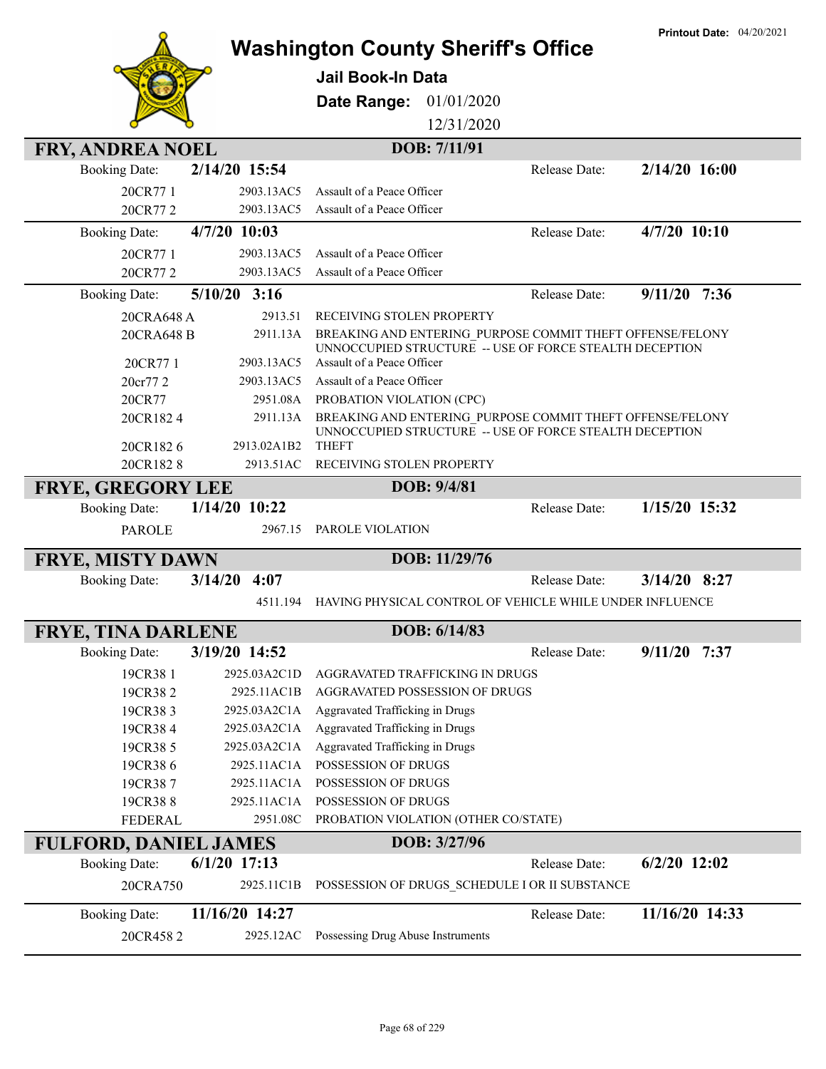|                              |                     |                                                                                                                      | <b>Printout Date: 04/20/2021</b> |
|------------------------------|---------------------|----------------------------------------------------------------------------------------------------------------------|----------------------------------|
|                              |                     | <b>Washington County Sheriff's Office</b>                                                                            |                                  |
|                              |                     | <b>Jail Book-In Data</b>                                                                                             |                                  |
|                              |                     | Date Range:<br>01/01/2020                                                                                            |                                  |
|                              |                     | 12/31/2020                                                                                                           |                                  |
| <b>FRY, ANDREA NOEL</b>      |                     | DOB: 7/11/91                                                                                                         |                                  |
| <b>Booking Date:</b>         | 2/14/20 15:54       | Release Date:                                                                                                        | $2/14/20$ 16:00                  |
| 20CR771                      | 2903.13AC5          | Assault of a Peace Officer                                                                                           |                                  |
| 20CR772                      | 2903.13AC5          | Assault of a Peace Officer                                                                                           |                                  |
| <b>Booking Date:</b>         | $4/7/20$ 10:03      | Release Date:                                                                                                        | 4/7/20 10:10                     |
|                              | 2903.13AC5          | Assault of a Peace Officer                                                                                           |                                  |
| 20CR77 1<br>20CR772          | 2903.13AC5          | Assault of a Peace Officer                                                                                           |                                  |
| <b>Booking Date:</b>         | $5/10/20$ 3:16      | Release Date:                                                                                                        | $9/11/20$ 7:36                   |
|                              |                     |                                                                                                                      |                                  |
| 20CRA648 A<br>20CRA648 B     | 2913.51<br>2911.13A | RECEIVING STOLEN PROPERTY<br>BREAKING AND ENTERING PURPOSE COMMIT THEFT OFFENSE/FELONY                               |                                  |
|                              |                     | UNNOCCUPIED STRUCTURE -- USE OF FORCE STEALTH DECEPTION                                                              |                                  |
| 20CR77 1                     | 2903.13AC5          | Assault of a Peace Officer                                                                                           |                                  |
| 20cr77 2                     | 2903.13AC5          | Assault of a Peace Officer                                                                                           |                                  |
| 20CR77                       | 2951.08A            | PROBATION VIOLATION (CPC)                                                                                            |                                  |
| 20CR1824                     | 2911.13A            | BREAKING AND ENTERING PURPOSE COMMIT THEFT OFFENSE/FELONY<br>UNNOCCUPIED STRUCTURE -- USE OF FORCE STEALTH DECEPTION |                                  |
| 20CR1826                     | 2913.02A1B2         | <b>THEFT</b>                                                                                                         |                                  |
| 20CR1828                     | 2913.51AC           | RECEIVING STOLEN PROPERTY                                                                                            |                                  |
| <b>FRYE, GREGORY LEE</b>     |                     | DOB: 9/4/81                                                                                                          |                                  |
| <b>Booking Date:</b>         | 1/14/20 10:22       | Release Date:                                                                                                        | 1/15/20 15:32                    |
| <b>PAROLE</b>                | 2967.15             | PAROLE VIOLATION                                                                                                     |                                  |
| <b>FRYE, MISTY DAWN</b>      |                     | DOB: 11/29/76                                                                                                        |                                  |
| <b>Booking Date:</b>         | 3/14/20<br>4:07     | Release Date:                                                                                                        | $3/14/20$ 8:27                   |
|                              | 4511.194            | HAVING PHYSICAL CONTROL OF VEHICLE WHILE UNDER INFLUENCE                                                             |                                  |
| <b>FRYE, TINA DARLENE</b>    |                     | DOB: 6/14/83                                                                                                         |                                  |
| <b>Booking Date:</b>         | 3/19/20 14:52       | Release Date:                                                                                                        | $9/11/20$ 7:37                   |
| 19CR38 1                     | 2925.03A2C1D        | AGGRAVATED TRAFFICKING IN DRUGS                                                                                      |                                  |
| 19CR382                      | 2925.11AC1B         | AGGRAVATED POSSESSION OF DRUGS                                                                                       |                                  |
| 19CR383                      | 2925.03A2C1A        | Aggravated Trafficking in Drugs                                                                                      |                                  |
| 19CR384                      | 2925.03A2C1A        | Aggravated Trafficking in Drugs                                                                                      |                                  |
| 19CR385                      | 2925.03A2C1A        | Aggravated Trafficking in Drugs                                                                                      |                                  |
| 19CR386                      | 2925.11AC1A         | POSSESSION OF DRUGS                                                                                                  |                                  |
| 19CR387                      | 2925.11AC1A         | POSSESSION OF DRUGS                                                                                                  |                                  |
| 19CR388                      | 2925.11AC1A         | POSSESSION OF DRUGS                                                                                                  |                                  |
| <b>FEDERAL</b>               | 2951.08C            | PROBATION VIOLATION (OTHER CO/STATE)                                                                                 |                                  |
| <b>FULFORD, DANIEL JAMES</b> |                     | DOB: 3/27/96                                                                                                         |                                  |
| <b>Booking Date:</b>         | $6/1/20$ 17:13      | Release Date:                                                                                                        | $6/2/20$ 12:02                   |
| 20CRA750                     | 2925.11C1B          | POSSESSION OF DRUGS_SCHEDULE I OR II SUBSTANCE                                                                       |                                  |
| <b>Booking Date:</b>         | 11/16/20 14:27      | Release Date:                                                                                                        | 11/16/20 14:33                   |
| 20CR4582                     | 2925.12AC           | Possessing Drug Abuse Instruments                                                                                    |                                  |
|                              |                     |                                                                                                                      |                                  |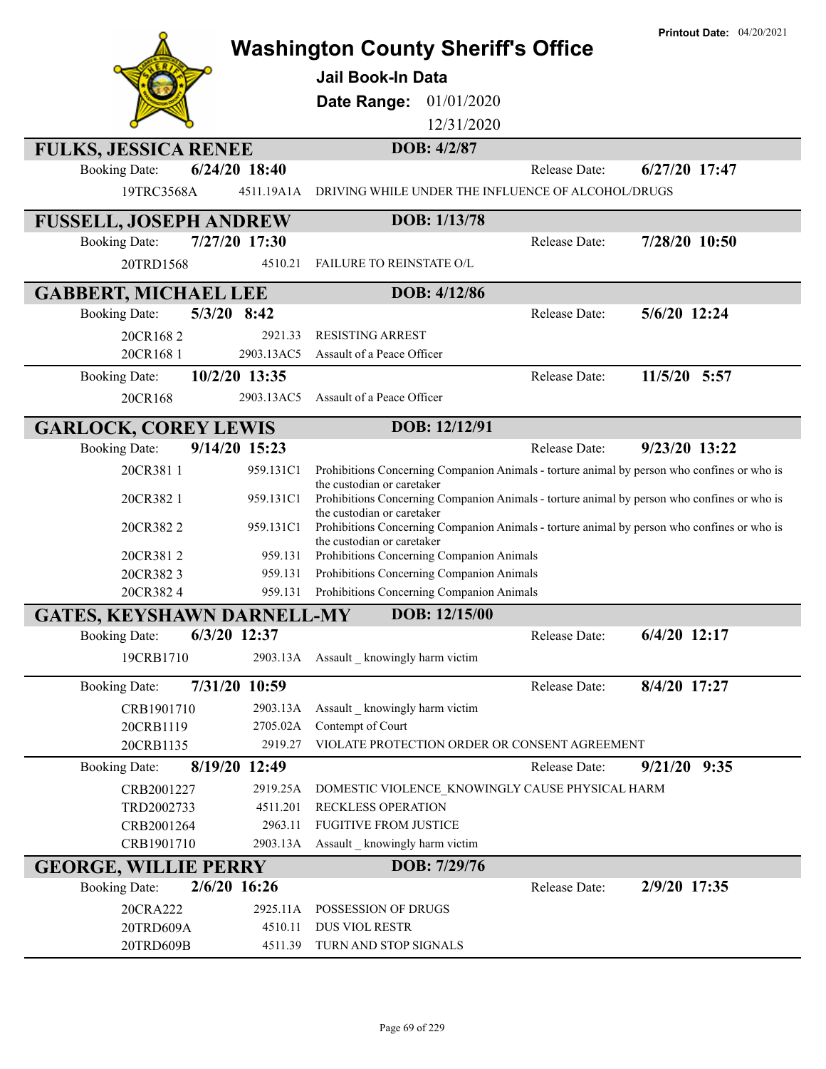|                                   |                      | <b>Washington County Sheriff's Office</b>                                                                                 |               | <b>Printout Date: 04/20/2021</b> |
|-----------------------------------|----------------------|---------------------------------------------------------------------------------------------------------------------------|---------------|----------------------------------|
|                                   |                      | Jail Book-In Data                                                                                                         |               |                                  |
|                                   |                      | Date Range:<br>01/01/2020                                                                                                 |               |                                  |
|                                   |                      | 12/31/2020                                                                                                                |               |                                  |
| <b>FULKS, JESSICA RENEE</b>       |                      | DOB: 4/2/87                                                                                                               |               |                                  |
| <b>Booking Date:</b>              | $6/24/20$ 18:40      |                                                                                                                           | Release Date: | 6/27/20 17:47                    |
| 19TRC3568A                        | 4511.19A1A           | DRIVING WHILE UNDER THE INFLUENCE OF ALCOHOL/DRUGS                                                                        |               |                                  |
| <b>FUSSELL, JOSEPH ANDREW</b>     |                      | DOB: 1/13/78                                                                                                              |               |                                  |
| <b>Booking Date:</b>              | 7/27/20 17:30        |                                                                                                                           | Release Date: | 7/28/20 10:50                    |
| 20TRD1568                         | 4510.21              | FAILURE TO REINSTATE O/L                                                                                                  |               |                                  |
| <b>GABBERT, MICHAEL LEE</b>       |                      | DOB: 4/12/86                                                                                                              |               |                                  |
| <b>Booking Date:</b>              | $5/3/20$ 8:42        |                                                                                                                           | Release Date: | 5/6/20 12:24                     |
| 20CR1682                          | 2921.33              | <b>RESISTING ARREST</b>                                                                                                   |               |                                  |
| 20CR168 1                         | 2903.13AC5           | Assault of a Peace Officer                                                                                                |               |                                  |
| <b>Booking Date:</b>              | 10/2/20 13:35        |                                                                                                                           | Release Date: | 11/5/20 5:57                     |
| 20CR168                           | 2903.13AC5           | Assault of a Peace Officer                                                                                                |               |                                  |
| <b>GARLOCK, COREY LEWIS</b>       |                      | DOB: 12/12/91                                                                                                             |               |                                  |
| <b>Booking Date:</b>              | 9/14/20 15:23        |                                                                                                                           | Release Date: | 9/23/20 13:22                    |
| 20CR3811                          | 959.131C1            | Prohibitions Concerning Companion Animals - torture animal by person who confines or who is<br>the custodian or caretaker |               |                                  |
| 20CR382 1                         | 959.131C1            | Prohibitions Concerning Companion Animals - torture animal by person who confines or who is                               |               |                                  |
| 20CR3822                          | 959.131C1            | the custodian or caretaker<br>Prohibitions Concerning Companion Animals - torture animal by person who confines or who is |               |                                  |
|                                   | 959.131              | the custodian or caretaker                                                                                                |               |                                  |
| 20CR3812<br>20CR3823              | 959.131              | Prohibitions Concerning Companion Animals<br>Prohibitions Concerning Companion Animals                                    |               |                                  |
| 20CR3824                          | 959.131              | Prohibitions Concerning Companion Animals                                                                                 |               |                                  |
| <b>GATES, KEYSHAWN DARNELL-MY</b> |                      | DOB: 12/15/00                                                                                                             |               |                                  |
| Booking Date:                     | 6/3/20 12:37         |                                                                                                                           | Release Date: | 6/4/20 12:17                     |
| 19CRB1710                         | 2903.13A             | Assault _ knowingly harm victim                                                                                           |               |                                  |
| <b>Booking Date:</b>              | 7/31/20 10:59        |                                                                                                                           | Release Date: | 8/4/20 17:27                     |
| CRB1901710                        | 2903.13A             | Assault knowingly harm victim                                                                                             |               |                                  |
| 20CRB1119                         | 2705.02A             | Contempt of Court                                                                                                         |               |                                  |
| 20CRB1135                         | 2919.27              | VIOLATE PROTECTION ORDER OR CONSENT AGREEMENT                                                                             |               |                                  |
| <b>Booking Date:</b>              | 8/19/20 12:49        |                                                                                                                           | Release Date: | $9/21/20$ $9:35$                 |
| CRB2001227<br>TRD2002733          | 2919.25A<br>4511.201 | DOMESTIC VIOLENCE KNOWINGLY CAUSE PHYSICAL HARM<br>RECKLESS OPERATION                                                     |               |                                  |
| CRB2001264                        | 2963.11              | <b>FUGITIVE FROM JUSTICE</b>                                                                                              |               |                                  |
| CRB1901710                        | 2903.13A             | Assault _ knowingly harm victim                                                                                           |               |                                  |
| <b>GEORGE, WILLIE PERRY</b>       |                      | DOB: 7/29/76                                                                                                              |               |                                  |
| <b>Booking Date:</b>              | 2/6/20 16:26         |                                                                                                                           | Release Date: | 2/9/20 17:35                     |
| 20CRA222                          | 2925.11A             | POSSESSION OF DRUGS                                                                                                       |               |                                  |
| 20TRD609A                         | 4510.11              | DUS VIOL RESTR                                                                                                            |               |                                  |
| 20TRD609B                         | 4511.39              | TURN AND STOP SIGNALS                                                                                                     |               |                                  |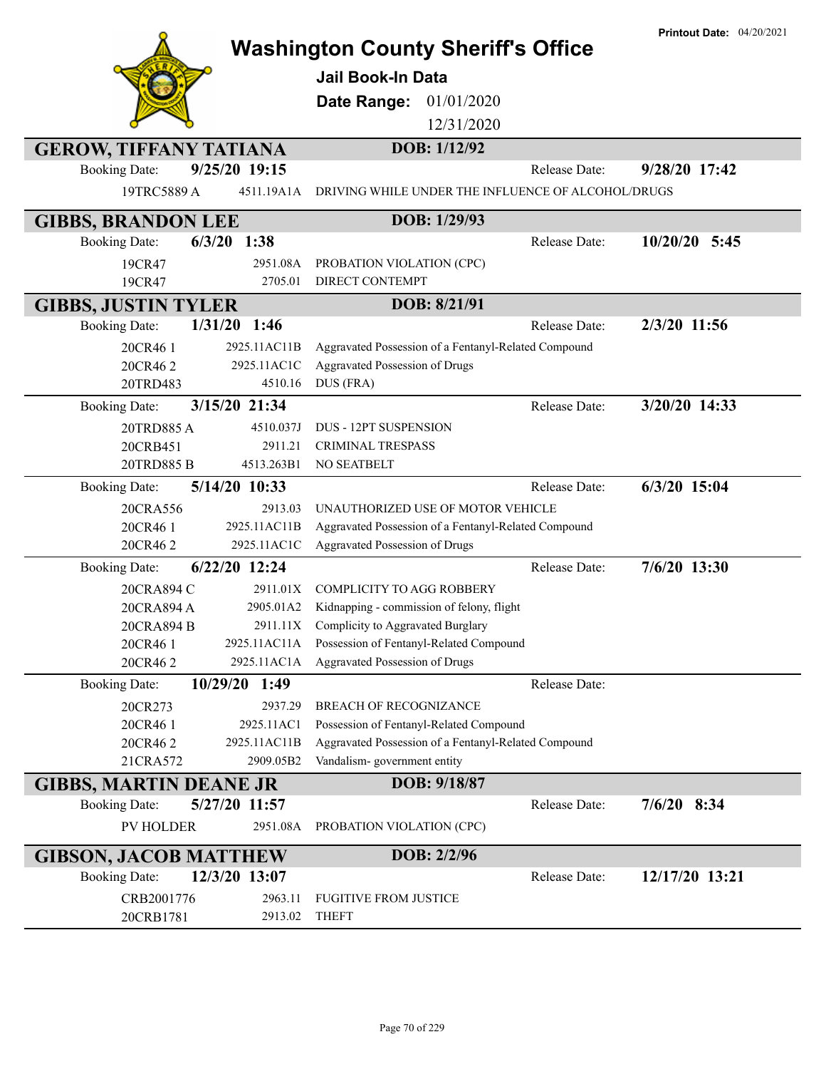|                               |                  | <b>Washington County Sheriff's Office</b>            | <b>Printout Date: 04/20/2021</b> |
|-------------------------------|------------------|------------------------------------------------------|----------------------------------|
|                               |                  |                                                      |                                  |
|                               |                  | <b>Jail Book-In Data</b>                             |                                  |
|                               |                  | Date Range:<br>01/01/2020                            |                                  |
|                               |                  | 12/31/2020                                           |                                  |
| <b>GEROW, TIFFANY TATIANA</b> |                  | DOB: 1/12/92                                         |                                  |
| <b>Booking Date:</b>          | 9/25/20 19:15    | Release Date:                                        | 9/28/20 17:42                    |
| 19TRC5889 A                   | 4511.19A1A       | DRIVING WHILE UNDER THE INFLUENCE OF ALCOHOL/DRUGS   |                                  |
| <b>GIBBS, BRANDON LEE</b>     |                  | DOB: 1/29/93                                         |                                  |
| <b>Booking Date:</b>          | $6/3/20$ 1:38    | Release Date:                                        | $10/20/20$ 5:45                  |
| 19CR47                        | 2951.08A         | PROBATION VIOLATION (CPC)                            |                                  |
| 19CR47                        | 2705.01          | DIRECT CONTEMPT                                      |                                  |
| <b>GIBBS, JUSTIN TYLER</b>    |                  | DOB: 8/21/91                                         |                                  |
| <b>Booking Date:</b>          | $1/31/20$ 1:46   | <b>Release Date:</b>                                 | 2/3/20 11:56                     |
| 20CR46 1                      | 2925.11AC11B     | Aggravated Possession of a Fentanyl-Related Compound |                                  |
| 20CR462                       | 2925.11AC1C      | <b>Aggravated Possession of Drugs</b>                |                                  |
| 20TRD483                      | 4510.16          | DUS (FRA)                                            |                                  |
| <b>Booking Date:</b>          | 3/15/20 21:34    | Release Date:                                        | 3/20/20 14:33                    |
| 20TRD885A                     | 4510.037J        | <b>DUS - 12PT SUSPENSION</b>                         |                                  |
| 20CRB451                      | 2911.21          | <b>CRIMINAL TRESPASS</b>                             |                                  |
| 20TRD885 B                    | 4513.263B1       | NO SEATBELT                                          |                                  |
| <b>Booking Date:</b>          | 5/14/20 10:33    | Release Date:                                        | 6/3/20 15:04                     |
| 20CRA556                      | 2913.03          | UNAUTHORIZED USE OF MOTOR VEHICLE                    |                                  |
| 20CR46 1                      | 2925.11AC11B     | Aggravated Possession of a Fentanyl-Related Compound |                                  |
| 20CR462                       | 2925.11AC1C      | Aggravated Possession of Drugs                       |                                  |
| <b>Booking Date:</b>          | 6/22/20 12:24    | Release Date:                                        | 7/6/20 13:30                     |
| 20CRA894 C                    | 2911.01X         | <b>COMPLICITY TO AGG ROBBERY</b>                     |                                  |
| 20CRA894 A                    | 2905.01A2        | Kidnapping - commission of felony, flight            |                                  |
| 20CRA894 B                    |                  | 2911.11X Complicity to Aggravated Burglary           |                                  |
| 20CR46 1                      | 2925.11AC11A     | Possession of Fentanyl-Related Compound              |                                  |
| 20CR462                       | 2925.11AC1A      | Aggravated Possession of Drugs                       |                                  |
| <b>Booking Date:</b>          | 10/29/20<br>1:49 | Release Date:                                        |                                  |
| 20CR273                       | 2937.29          | <b>BREACH OF RECOGNIZANCE</b>                        |                                  |
| 20CR46 1                      | 2925.11AC1       | Possession of Fentanyl-Related Compound              |                                  |
| 20CR462                       | 2925.11AC11B     | Aggravated Possession of a Fentanyl-Related Compound |                                  |
| 21CRA572                      | 2909.05B2        | Vandalism-government entity                          |                                  |
| <b>GIBBS, MARTIN DEANE JR</b> |                  | DOB: 9/18/87                                         |                                  |
| <b>Booking Date:</b>          | 5/27/20 11:57    | Release Date:                                        | $7/6/20$ 8:34                    |
| <b>PV HOLDER</b>              | 2951.08A         | PROBATION VIOLATION (CPC)                            |                                  |
| <b>GIBSON, JACOB MATTHEW</b>  |                  | DOB: 2/2/96                                          |                                  |
| <b>Booking Date:</b>          | 12/3/20 13:07    | Release Date:                                        | 12/17/20 13:21                   |
| CRB2001776                    | 2963.11          | <b>FUGITIVE FROM JUSTICE</b>                         |                                  |
| 20CRB1781                     | 2913.02          | <b>THEFT</b>                                         |                                  |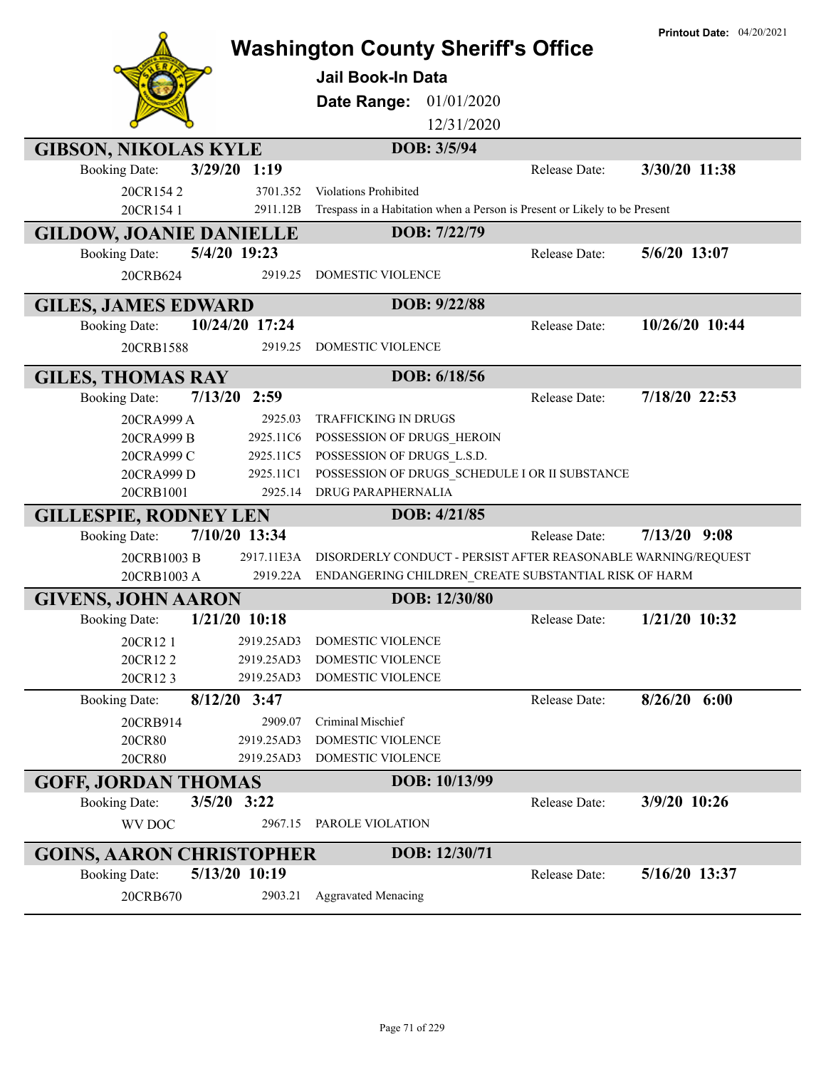|                                 |                        | <b>Washington County Sheriff's Office</b><br><b>Jail Book-In Data</b><br><b>Date Range: 01/01/2020</b> |               | <b>Printout Date: 04/20/2021</b> |
|---------------------------------|------------------------|--------------------------------------------------------------------------------------------------------|---------------|----------------------------------|
|                                 |                        | 12/31/2020                                                                                             |               |                                  |
| <b>GIBSON, NIKOLAS KYLE</b>     |                        | DOB: 3/5/94                                                                                            |               |                                  |
| <b>Booking Date:</b>            | 3/29/20 1:19           |                                                                                                        | Release Date: | 3/30/20 11:38                    |
| 20CR1542                        | 3701.352               | <b>Violations Prohibited</b>                                                                           |               |                                  |
| 20CR154 1                       | 2911.12B               | Trespass in a Habitation when a Person is Present or Likely to be Present                              |               |                                  |
| <b>GILDOW, JOANIE DANIELLE</b>  |                        | DOB: 7/22/79                                                                                           |               |                                  |
| <b>Booking Date:</b>            | 5/4/20 19:23           |                                                                                                        | Release Date: | 5/6/20 13:07                     |
| 20CRB624                        | 2919.25                | DOMESTIC VIOLENCE                                                                                      |               |                                  |
| <b>GILES, JAMES EDWARD</b>      |                        | DOB: 9/22/88                                                                                           |               |                                  |
| <b>Booking Date:</b>            | 10/24/20 17:24         |                                                                                                        | Release Date: | 10/26/20 10:44                   |
| 20CRB1588                       | 2919.25                | DOMESTIC VIOLENCE                                                                                      |               |                                  |
|                                 |                        |                                                                                                        |               |                                  |
| <b>GILES, THOMAS RAY</b>        | $7/13/20$ 2:59         | DOB: 6/18/56                                                                                           |               | 7/18/20 22:53                    |
| <b>Booking Date:</b>            |                        |                                                                                                        | Release Date: |                                  |
| 20CRA999 A                      | 2925.03                | <b>TRAFFICKING IN DRUGS</b>                                                                            |               |                                  |
| 20CRA999 B                      | 2925.11C6<br>2925.11C5 | POSSESSION OF DRUGS HEROIN<br>POSSESSION OF DRUGS L.S.D.                                               |               |                                  |
| 20CRA999 C<br>20CRA999 D        | 2925.11C1              | POSSESSION OF DRUGS SCHEDULE I OR II SUBSTANCE                                                         |               |                                  |
| 20CRB1001                       | 2925.14                | DRUG PARAPHERNALIA                                                                                     |               |                                  |
| <b>GILLESPIE, RODNEY LEN</b>    |                        | DOB: 4/21/85                                                                                           |               |                                  |
| <b>Booking Date:</b>            | 7/10/20 13:34          |                                                                                                        | Release Date: | $7/13/20$ 9:08                   |
| 20CRB1003 B                     | 2917.11E3A             | DISORDERLY CONDUCT - PERSIST AFTER REASONABLE WARNING/REQUEST                                          |               |                                  |
| 20CRB1003 A                     | 2919.22A               | ENDANGERING CHILDREN_CREATE SUBSTANTIAL RISK OF HARM                                                   |               |                                  |
| <b>GIVENS, JOHN AARON</b>       |                        | DOB: 12/30/80                                                                                          |               |                                  |
| <b>Booking Date:</b>            | $1/21/20$ 10:18        |                                                                                                        | Release Date: | 1/21/20 10:32                    |
| 20CR12 1                        | 2919.25AD3             | DOMESTIC VIOLENCE                                                                                      |               |                                  |
| 20CR122                         | 2919.25AD3             | DOMESTIC VIOLENCE                                                                                      |               |                                  |
| 20CR123                         | 2919.25AD3             | DOMESTIC VIOLENCE                                                                                      |               |                                  |
| <b>Booking Date:</b>            | $8/12/20$ 3:47         |                                                                                                        | Release Date: | $8/26/20$ 6:00                   |
| 20CRB914                        | 2909.07                | Criminal Mischief                                                                                      |               |                                  |
| 20CR80                          | 2919.25AD3             | DOMESTIC VIOLENCE                                                                                      |               |                                  |
| 20CR80                          | 2919.25AD3             | DOMESTIC VIOLENCE                                                                                      |               |                                  |
| <b>GOFF, JORDAN THOMAS</b>      |                        | DOB: 10/13/99                                                                                          |               |                                  |
| <b>Booking Date:</b>            | $3/5/20$ 3:22          |                                                                                                        | Release Date: | 3/9/20 10:26                     |
| WV DOC                          | 2967.15                | PAROLE VIOLATION                                                                                       |               |                                  |
| <b>GOINS, AARON CHRISTOPHER</b> |                        | DOB: 12/30/71                                                                                          |               |                                  |
| <b>Booking Date:</b>            | 5/13/20 10:19          |                                                                                                        | Release Date: | 5/16/20 13:37                    |
| 20CRB670                        | 2903.21                | <b>Aggravated Menacing</b>                                                                             |               |                                  |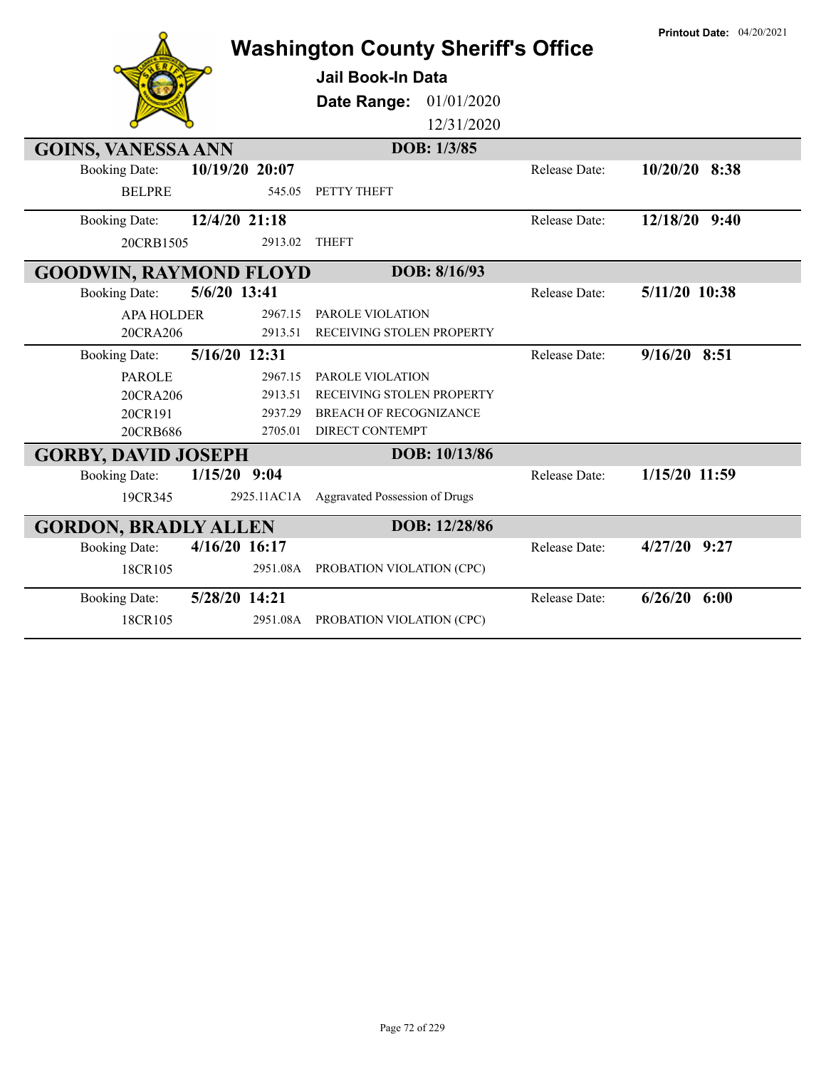| <b>Washington County Sheriff's Office</b>     |                |             |                                |               | <b>Printout Date: 04/20/2021</b> |
|-----------------------------------------------|----------------|-------------|--------------------------------|---------------|----------------------------------|
|                                               |                |             | Jail Book-In Data              |               |                                  |
|                                               |                |             | 01/01/2020<br>Date Range:      |               |                                  |
|                                               |                |             | 12/31/2020                     |               |                                  |
| DOB: 1/3/85<br><b>GOINS, VANESSA ANN</b>      |                |             |                                |               |                                  |
| <b>Booking Date:</b>                          | 10/19/20 20:07 |             |                                | Release Date: | $10/20/20$ 8:38                  |
|                                               |                |             |                                |               |                                  |
| <b>BELPRE</b>                                 |                | 545.05      | PETTY THEFT                    |               |                                  |
| <b>Booking Date:</b>                          | 12/4/20 21:18  |             |                                | Release Date: | 12/18/20 9:40                    |
| 20CRB1505                                     |                | 2913.02     | <b>THEFT</b>                   |               |                                  |
| DOB: 8/16/93<br><b>GOODWIN, RAYMOND FLOYD</b> |                |             |                                |               |                                  |
| <b>Booking Date:</b>                          | 5/6/20 13:41   |             |                                | Release Date: | 5/11/20 10:38                    |
| <b>APA HOLDER</b>                             |                | 2967.15     | PAROLE VIOLATION               |               |                                  |
| 20CRA206                                      |                | 2913.51     | RECEIVING STOLEN PROPERTY      |               |                                  |
| <b>Booking Date:</b>                          | 5/16/20 12:31  |             |                                | Release Date: | $9/16/20$ 8:51                   |
| <b>PAROLE</b>                                 |                | 2967.15     | PAROLE VIOLATION               |               |                                  |
| 20CRA206                                      |                | 2913.51     | RECEIVING STOLEN PROPERTY      |               |                                  |
| 20CR191                                       |                | 2937.29     | <b>BREACH OF RECOGNIZANCE</b>  |               |                                  |
| 20CRB686                                      |                | 2705.01     | <b>DIRECT CONTEMPT</b>         |               |                                  |
| DOB: 10/13/86<br><b>GORBY, DAVID JOSEPH</b>   |                |             |                                |               |                                  |
| <b>Booking Date:</b>                          | $1/15/20$ 9:04 |             |                                | Release Date: | 1/15/20 11:59                    |
|                                               |                |             |                                |               |                                  |
| 19CR345                                       |                | 2925.11AC1A | Aggravated Possession of Drugs |               |                                  |
| DOB: 12/28/86<br><b>GORDON, BRADLY ALLEN</b>  |                |             |                                |               |                                  |
| <b>Booking Date:</b>                          | 4/16/20 16:17  |             |                                | Release Date: | $4/27/20$ 9:27                   |
| 18CR105                                       |                | 2951.08A    | PROBATION VIOLATION (CPC)      |               |                                  |
| <b>Booking Date:</b>                          | 5/28/20 14:21  |             |                                | Release Date: | $6/26/20$ $6:00$                 |
| 18CR105                                       |                | 2951.08A    | PROBATION VIOLATION (CPC)      |               |                                  |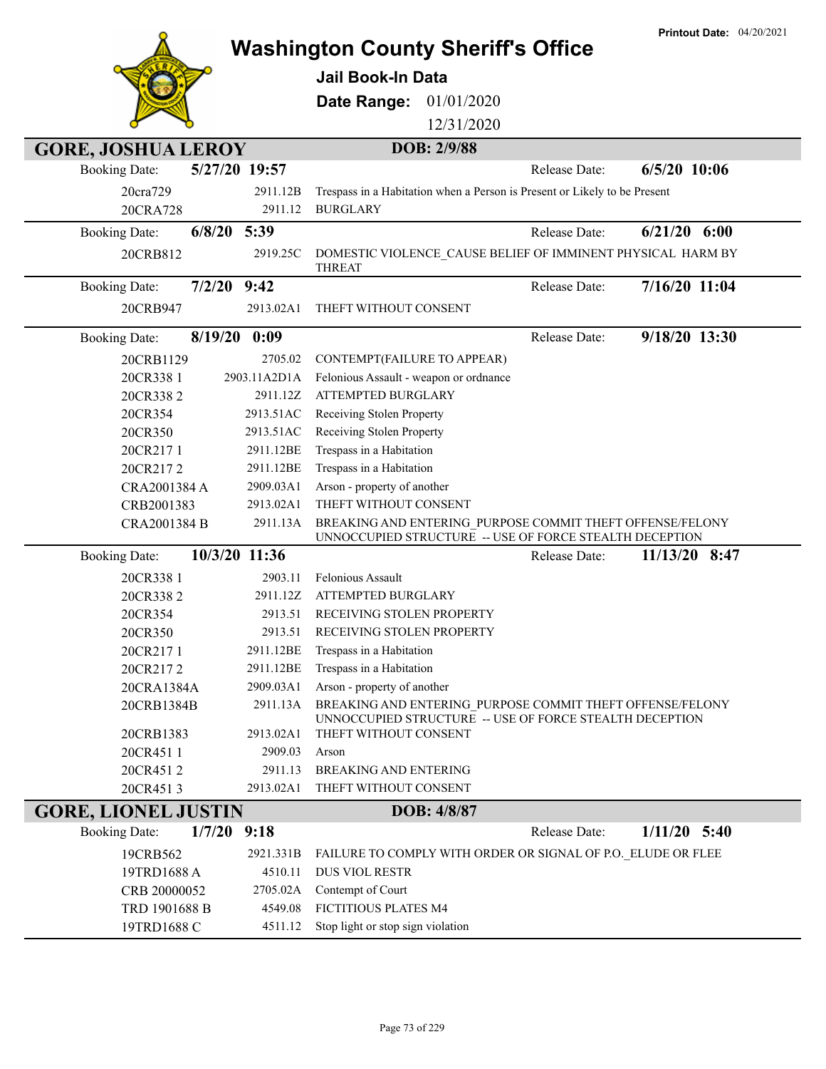|                                       |              | <b>Printout Date: 04/20/2021</b><br><b>Washington County Sheriff's Office</b>                                        |
|---------------------------------------|--------------|----------------------------------------------------------------------------------------------------------------------|
|                                       |              |                                                                                                                      |
|                                       |              | <b>Jail Book-In Data</b>                                                                                             |
|                                       |              | Date Range:<br>01/01/2020                                                                                            |
|                                       |              | 12/31/2020                                                                                                           |
|                                       |              |                                                                                                                      |
| <b>GORE, JOSHUA LEROY</b>             |              | DOB: 2/9/88                                                                                                          |
| 5/27/20 19:57<br><b>Booking Date:</b> |              | $6/5/20$ 10:06<br><b>Release Date:</b>                                                                               |
| 20cra729                              | 2911.12B     | Trespass in a Habitation when a Person is Present or Likely to be Present                                            |
| 20CRA728                              | 2911.12      | <b>BURGLARY</b>                                                                                                      |
| $6/8/20$ 5:39<br><b>Booking Date:</b> |              | $6/21/20$ $6:00$<br>Release Date:                                                                                    |
| 20CRB812                              | 2919.25C     | DOMESTIC VIOLENCE_CAUSE BELIEF OF IMMINENT PHYSICAL HARM BY<br><b>THREAT</b>                                         |
| $7/2/20$ 9:42<br><b>Booking Date:</b> |              | 7/16/20 11:04<br>Release Date:                                                                                       |
| 20CRB947                              | 2913.02A1    | THEFT WITHOUT CONSENT                                                                                                |
|                                       |              |                                                                                                                      |
| 8/19/20 0:09<br><b>Booking Date:</b>  |              | 9/18/20 13:30<br>Release Date:                                                                                       |
| 20CRB1129                             | 2705.02      | CONTEMPT(FAILURE TO APPEAR)                                                                                          |
| 20CR338 1                             | 2903.11A2D1A | Felonious Assault - weapon or ordnance                                                                               |
| 20CR3382                              | 2911.12Z     | <b>ATTEMPTED BURGLARY</b>                                                                                            |
| 20CR354                               | 2913.51AC    | Receiving Stolen Property                                                                                            |
| 20CR350                               | 2913.51AC    | Receiving Stolen Property                                                                                            |
| 20CR2171                              | 2911.12BE    | Trespass in a Habitation                                                                                             |
| 20CR2172                              | 2911.12BE    | Trespass in a Habitation                                                                                             |
| CRA2001384 A                          | 2909.03A1    | Arson - property of another                                                                                          |
| CRB2001383                            | 2913.02A1    | THEFT WITHOUT CONSENT                                                                                                |
| CRA2001384 B                          | 2911.13A     | BREAKING AND ENTERING PURPOSE COMMIT THEFT OFFENSE/FELONY<br>UNNOCCUPIED STRUCTURE -- USE OF FORCE STEALTH DECEPTION |
| 10/3/20 11:36<br><b>Booking Date:</b> |              | 11/13/20 8:47<br>Release Date:                                                                                       |
| 20CR338 1                             | 2903.11      | Felonious Assault                                                                                                    |
| 20CR3382                              | 2911.12Z     | ATTEMPTED BURGLARY                                                                                                   |
| 20CR354                               | 2913.51      | RECEIVING STOLEN PROPERTY                                                                                            |
| 20CR350                               |              | 2913.51 RECEIVING STOLEN PROPERTY                                                                                    |
| 20CR2171                              | 2911.12BE    | Trespass in a Habitation                                                                                             |
| 20CR2172                              | 2911.12BE    | Trespass in a Habitation                                                                                             |
| 20CRA1384A                            | 2909.03A1    | Arson - property of another                                                                                          |
| 20CRB1384B                            | 2911.13A     | BREAKING AND ENTERING PURPOSE COMMIT THEFT OFFENSE/FELONY<br>UNNOCCUPIED STRUCTURE -- USE OF FORCE STEALTH DECEPTION |
| 20CRB1383                             | 2913.02A1    | THEFT WITHOUT CONSENT                                                                                                |
| 20CR4511                              | 2909.03      | Arson                                                                                                                |
| 20CR4512                              | 2911.13      | <b>BREAKING AND ENTERING</b>                                                                                         |
| 20CR4513                              | 2913.02A1    | THEFT WITHOUT CONSENT                                                                                                |
| <b>GORE, LIONEL JUSTIN</b>            |              | DOB: 4/8/87                                                                                                          |
| 1/7/20<br><b>Booking Date:</b>        | 9:18         | $1/11/20$ 5:40<br>Release Date:                                                                                      |
| 19CRB562                              | 2921.331B    | FAILURE TO COMPLY WITH ORDER OR SIGNAL OF P.O. ELUDE OR FLEE                                                         |
| 19TRD1688 A                           | 4510.11      | <b>DUS VIOL RESTR</b>                                                                                                |
| CRB 20000052                          | 2705.02A     | Contempt of Court                                                                                                    |
| TRD 1901688 B                         | 4549.08      | FICTITIOUS PLATES M4                                                                                                 |
| 19TRD1688 C                           | 4511.12      | Stop light or stop sign violation                                                                                    |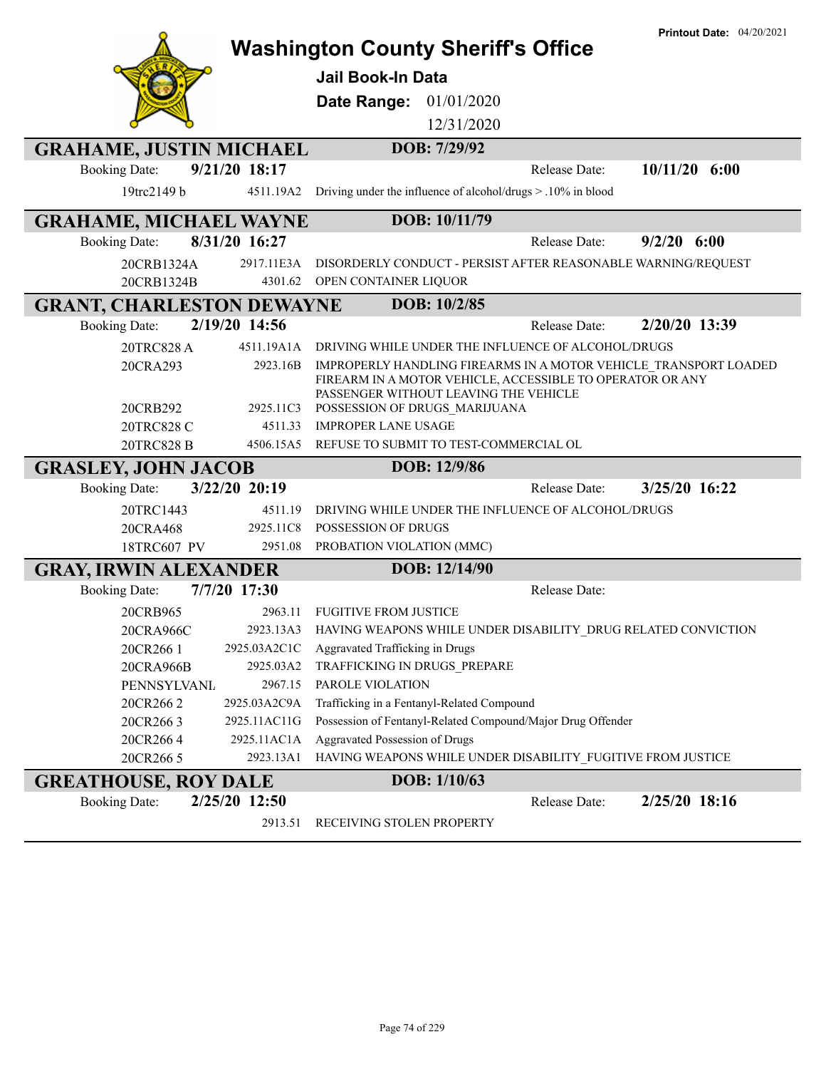|                                          | <b>Printout Date: 04/20/2021</b><br><b>Washington County Sheriff's Office</b>                      |
|------------------------------------------|----------------------------------------------------------------------------------------------------|
|                                          | <b>Jail Book-In Data</b>                                                                           |
|                                          |                                                                                                    |
|                                          | Date Range: 01/01/2020                                                                             |
|                                          | 12/31/2020                                                                                         |
| <b>GRAHAME, JUSTIN MICHAEL</b>           | DOB: 7/29/92                                                                                       |
| 9/21/20 18:17<br><b>Booking Date:</b>    | $10/11/20$ 6:00<br><b>Release Date:</b>                                                            |
| 19trc2149 b<br>4511.19A2                 | Driving under the influence of alcohol/drugs > .10% in blood                                       |
| <b>GRAHAME, MICHAEL WAYNE</b>            | DOB: 10/11/79                                                                                      |
| 8/31/20 16:27<br><b>Booking Date:</b>    | $9/2/20$ 6:00<br>Release Date:                                                                     |
| 2917.11E3A<br>20CRB1324A                 | DISORDERLY CONDUCT - PERSIST AFTER REASONABLE WARNING/REQUEST                                      |
| 4301.62<br>20CRB1324B                    | OPEN CONTAINER LIQUOR                                                                              |
| <b>GRANT, CHARLESTON DEWAYNE</b>         | DOB: 10/2/85                                                                                       |
| 2/19/20 14:56<br><b>Booking Date:</b>    | 2/20/20 13:39<br>Release Date:                                                                     |
| 20TRC828 A<br>4511.19A1A                 | DRIVING WHILE UNDER THE INFLUENCE OF ALCOHOL/DRUGS                                                 |
| 20CRA293<br>2923.16B                     | IMPROPERLY HANDLING FIREARMS IN A MOTOR VEHICLE TRANSPORT LOADED                                   |
|                                          | FIREARM IN A MOTOR VEHICLE, ACCESSIBLE TO OPERATOR OR ANY<br>PASSENGER WITHOUT LEAVING THE VEHICLE |
| 20CRB292<br>2925.11C3                    | POSSESSION OF DRUGS MARIJUANA                                                                      |
| 20TRC828 C<br>4511.33                    | <b>IMPROPER LANE USAGE</b>                                                                         |
|                                          |                                                                                                    |
| 20TRC828 B<br>4506.15A5                  | REFUSE TO SUBMIT TO TEST-COMMERCIAL OL                                                             |
| <b>GRASLEY, JOHN JACOB</b>               | DOB: 12/9/86                                                                                       |
| 3/22/20 20:19<br><b>Booking Date:</b>    | 3/25/20 16:22<br>Release Date:                                                                     |
| 20TRC1443<br>4511.19                     | DRIVING WHILE UNDER THE INFLUENCE OF ALCOHOL/DRUGS                                                 |
| 2925.11C8<br>20CRA468                    | <b>POSSESSION OF DRUGS</b>                                                                         |
| 18TRC607 PV<br>2951.08                   | PROBATION VIOLATION (MMC)                                                                          |
| <b>GRAY, IRWIN ALEXANDER</b>             | DOB: 12/14/90                                                                                      |
| 7/7/20 17:30<br><b>Booking Date:</b>     | Release Date:                                                                                      |
| 20CRB965<br>2963.11                      | <b>FUGITIVE FROM JUSTICE</b>                                                                       |
| 20CRA966C                                | 2923.13A3 HAVING WEAPONS WHILE UNDER DISABILITY_DRUG RELATED CONVICTION                            |
| 2925.03A2C1C<br>20CR266 1                | Aggravated Trafficking in Drugs                                                                    |
| 2925.03A2<br>20CRA966B                   | TRAFFICKING IN DRUGS_PREPARE                                                                       |
| <b>PENNSYLVANL</b><br>2967.15            | PAROLE VIOLATION                                                                                   |
| 2925.03A2C9A<br>20CR2662<br>2925.11AC11G | Trafficking in a Fentanyl-Related Compound                                                         |
| 20CR2663<br>2925.11AC1A<br>20CR2664      | Possession of Fentanyl-Related Compound/Major Drug Offender<br>Aggravated Possession of Drugs      |
| 20CR266 5<br>2923.13A1                   | HAVING WEAPONS WHILE UNDER DISABILITY FUGITIVE FROM JUSTICE                                        |
| <b>GREATHOUSE, ROY DALE</b>              | <b>DOB:</b> 1/10/63                                                                                |
| 2/25/20 12:50<br><b>Booking Date:</b>    | 2/25/20 18:16<br>Release Date:                                                                     |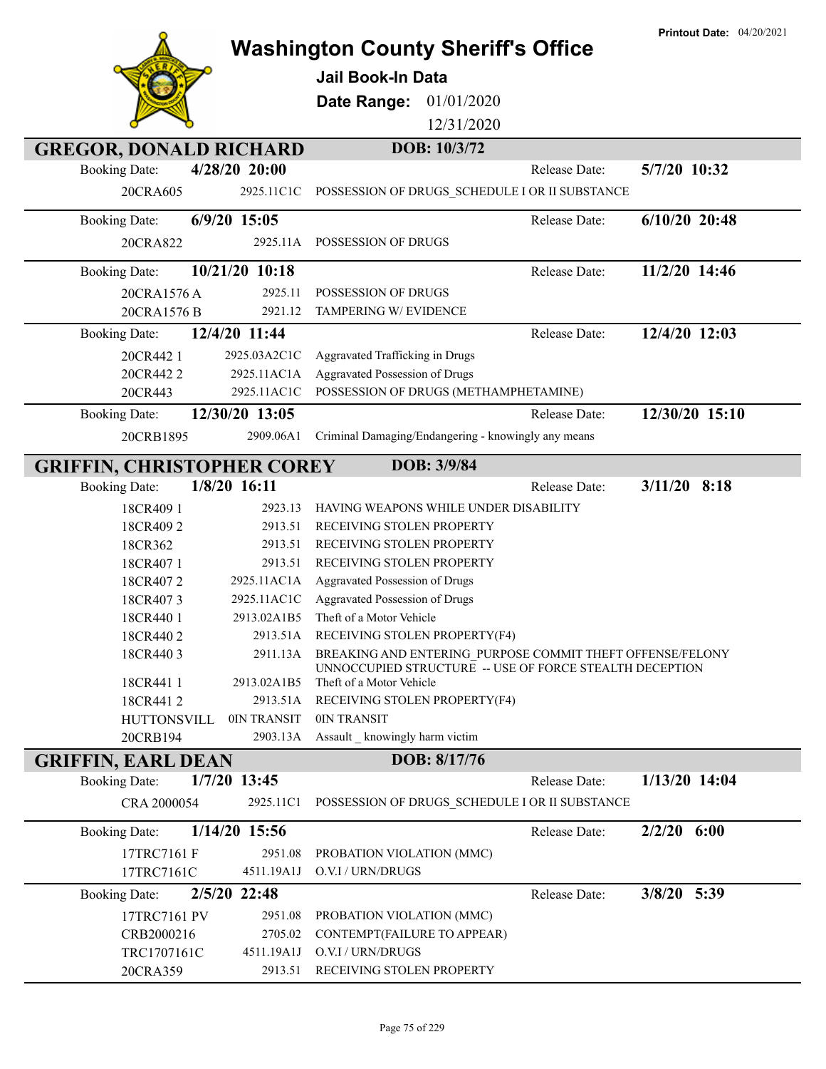**Washington County Sheriff's Office Jail Book-In Data Date Range:** 01/01/2020 12/31/2020 **GREGOR, DONALD RICHARD DOB: 10/3/72** 20CRA605 2925.11C1C POSSESSION OF DRUGS\_SCHEDULE I OR II SUBSTANCE Booking Date: **4/28/20 20:00** Release Date: **5/7/20 10:32** 20CRA822 2925.11A POSSESSION OF DRUGS Booking Date: **6/9/20 15:05** Release Date: **6/10/20 20:48** 20CRA1576 A 2925.11 POSSESSION OF DRUGS 20CRA1576 B 2921.12 TAMPERING W/EVIDENCE Booking Date: **10/21/20 10:18** Release Date: **11/2/20 14:46** 20CR442 1 2925.03A2C1C Aggravated Trafficking in Drugs 20CR442 2 2925.11AC1A Aggravated Possession of Drugs 20CR443 2925.11AC1C POSSESSION OF DRUGS (METHAMPHETAMINE) Booking Date: **12/4/20 11:44** Release Date: **12/4/20 12:03** 20CRB1895 2909.06A1 Criminal Damaging/Endangering - knowingly any means Booking Date: **12/30/20 13:05** Release Date: **12/30/20 15:10 GRIFFIN, CHRISTOPHER COREY** DOB: 3/9/84 18CR409 1 2923.13 HAVING WEAPONS WHILE UNDER DISABILITY 18CR409 2 2913.51 RECEIVING STOLEN PROPERTY 18CR362 2913.51 RECEIVING STOLEN PROPERTY 18CR407 1 2913.51 RECEIVING STOLEN PROPERTY 18CR407 2 2925.11AC1A Aggravated Possession of Drugs 18CR407 3 2925.11AC1C Aggravated Possession of Drugs 18CR440 1 2913.02A1B5 Theft of a Motor Vehicle 18CR440 2 2913.51A RECEIVING STOLEN PROPERTY(F4) BREAKING AND ENTERING\_PURPOSE COMMIT THEFT OFFENSE/FELONY UNNOCCUPIED STRUCTURE -- USE OF FORCE STEALTH DECEPTION 18CR440 3 2911.13A 18CR441 1 2913.02A1B5 Theft of a Motor Vehicle 18CR441 2 2913.51A RECEIVING STOLEN PROPERTY(F4) HUTTONSVILL 0IN TRANSIT 0IN TRANSIT 20CRB194 2903.13A Assault knowingly harm victim Booking Date: **1/8/20 16:11** Release Date: **3/11/20 8:18 GRIFFIN, EARL DEAN DOB: 8/17/76** CRA 2000054 2925.11C1 POSSESSION OF DRUGS\_SCHEDULE I OR II SUBSTANCE Booking Date: **1/7/20 13:45** Release Date: **1/13/20 14:04** 17TRC7161 F 2951.08 PROBATION VIOLATION (MMC) 17TRC7161C 4511.19A1J O.V.I / URN/DRUGS Booking Date: **1/14/20 15:56** Release Date: **2/2/20 6:00** 17TRC7161 PV 2951.08 PROBATION VIOLATION (MMC) CRB2000216 2705.02 CONTEMPT(FAILURE TO APPEAR) TRC1707161C 4511.19A1J O.V.I / URN/DRUGS 20CRA359 2913.51 RECEIVING STOLEN PROPERTY Booking Date: **2/5/20 22:48** Release Date: **3/8/20 5:39**

**Printout Date:** 04/20/2021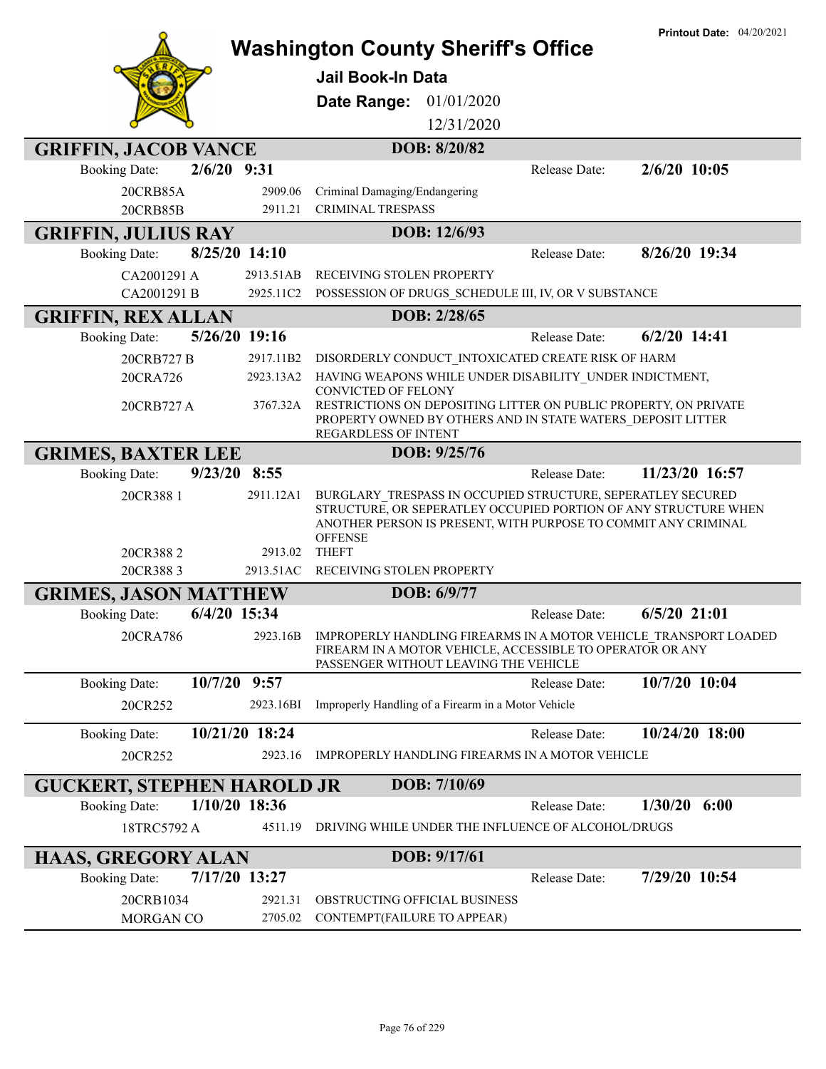|                                        | <b>Washington County Sheriff's Office</b>                                                          |               | <b>Printout Date: 04/20/2021</b> |
|----------------------------------------|----------------------------------------------------------------------------------------------------|---------------|----------------------------------|
|                                        |                                                                                                    |               |                                  |
|                                        | Jail Book-In Data                                                                                  |               |                                  |
|                                        | Date Range: 01/01/2020                                                                             |               |                                  |
|                                        | 12/31/2020                                                                                         |               |                                  |
| <b>GRIFFIN, JACOB VANCE</b>            | DOB: 8/20/82                                                                                       |               |                                  |
| $2/6/20$ 9:31<br><b>Booking Date:</b>  |                                                                                                    | Release Date: | $2/6/20$ 10:05                   |
| 2909.06<br>20CRB85A                    | Criminal Damaging/Endangering                                                                      |               |                                  |
| 20CRB85B<br>2911.21                    | <b>CRIMINAL TRESPASS</b>                                                                           |               |                                  |
| <b>GRIFFIN, JULIUS RAY</b>             | DOB: 12/6/93                                                                                       |               |                                  |
| 8/25/20 14:10<br><b>Booking Date:</b>  |                                                                                                    | Release Date: | 8/26/20 19:34                    |
| 2913.51AB<br>CA2001291 A               | RECEIVING STOLEN PROPERTY                                                                          |               |                                  |
| 2925.11C2<br>CA2001291 B               | POSSESSION OF DRUGS_SCHEDULE III, IV, OR V SUBSTANCE                                               |               |                                  |
| <b>GRIFFIN, REX ALLAN</b>              | DOB: 2/28/65                                                                                       |               |                                  |
| 5/26/20 19:16<br><b>Booking Date:</b>  |                                                                                                    | Release Date: | $6/2/20$ 14:41                   |
| 20CRB727 B<br>2917.11B2                | DISORDERLY CONDUCT INTOXICATED CREATE RISK OF HARM                                                 |               |                                  |
| 20CRA726<br>2923.13A2                  | HAVING WEAPONS WHILE UNDER DISABILITY UNDER INDICTMENT,<br>CONVICTED OF FELONY                     |               |                                  |
| 20CRB727 A<br>3767.32A                 | RESTRICTIONS ON DEPOSITING LITTER ON PUBLIC PROPERTY, ON PRIVATE                                   |               |                                  |
|                                        | PROPERTY OWNED BY OTHERS AND IN STATE WATERS DEPOSIT LITTER<br><b>REGARDLESS OF INTENT</b>         |               |                                  |
| <b>GRIMES, BAXTER LEE</b>              | DOB: 9/25/76                                                                                       |               |                                  |
| 9/23/20 8:55<br><b>Booking Date:</b>   |                                                                                                    | Release Date: | 11/23/20 16:57                   |
| 20CR388 1<br>2911.12A1                 | BURGLARY TRESPASS IN OCCUPIED STRUCTURE, SEPERATLEY SECURED                                        |               |                                  |
|                                        | STRUCTURE, OR SEPERATLEY OCCUPIED PORTION OF ANY STRUCTURE WHEN                                    |               |                                  |
|                                        | ANOTHER PERSON IS PRESENT, WITH PURPOSE TO COMMIT ANY CRIMINAL<br><b>OFFENSE</b>                   |               |                                  |
| 2913.02<br>20CR3882                    | <b>THEFT</b>                                                                                       |               |                                  |
| 20CR3883<br>2913.51AC                  | RECEIVING STOLEN PROPERTY                                                                          |               |                                  |
| <b>GRIMES, JASON MATTHEW</b>           | DOB: 6/9/77                                                                                        |               |                                  |
| 6/4/20 15:34<br><b>Booking Date:</b>   |                                                                                                    | Release Date: | $6/5/20$ 21:01                   |
| 20CRA786                               | 2923.16B IMPROPERLY HANDLING FIREARMS IN A MOTOR VEHICLE TRANSPORT LOADED                          |               |                                  |
|                                        | FIREARM IN A MOTOR VEHICLE, ACCESSIBLE TO OPERATOR OR ANY<br>PASSENGER WITHOUT LEAVING THE VEHICLE |               |                                  |
| 10/7/20 9:57<br><b>Booking Date:</b>   |                                                                                                    | Release Date: | 10/7/20 10:04                    |
| 20CR252<br>2923.16BI                   | Improperly Handling of a Firearm in a Motor Vehicle                                                |               |                                  |
| 10/21/20 18:24<br><b>Booking Date:</b> |                                                                                                    | Release Date: | 10/24/20 18:00                   |
| 20CR252<br>2923.16                     | IMPROPERLY HANDLING FIREARMS IN A MOTOR VEHICLE                                                    |               |                                  |
|                                        |                                                                                                    |               |                                  |
| <b>GUCKERT, STEPHEN HAROLD JR</b>      | DOB: 7/10/69                                                                                       |               |                                  |
| <b>Booking Date:</b><br>1/10/20 18:36  |                                                                                                    | Release Date: | 1/30/20<br>6:00                  |
| 18TRC5792 A<br>4511.19                 | DRIVING WHILE UNDER THE INFLUENCE OF ALCOHOL/DRUGS                                                 |               |                                  |
| HAAS, GREGORY ALAN                     | DOB: 9/17/61                                                                                       |               |                                  |
| 7/17/20 13:27<br><b>Booking Date:</b>  |                                                                                                    | Release Date: | 7/29/20 10:54                    |
| 20CRB1034<br>2921.31                   | OBSTRUCTING OFFICIAL BUSINESS                                                                      |               |                                  |
| MORGAN CO<br>2705.02                   | CONTEMPT(FAILURE TO APPEAR)                                                                        |               |                                  |
|                                        |                                                                                                    |               |                                  |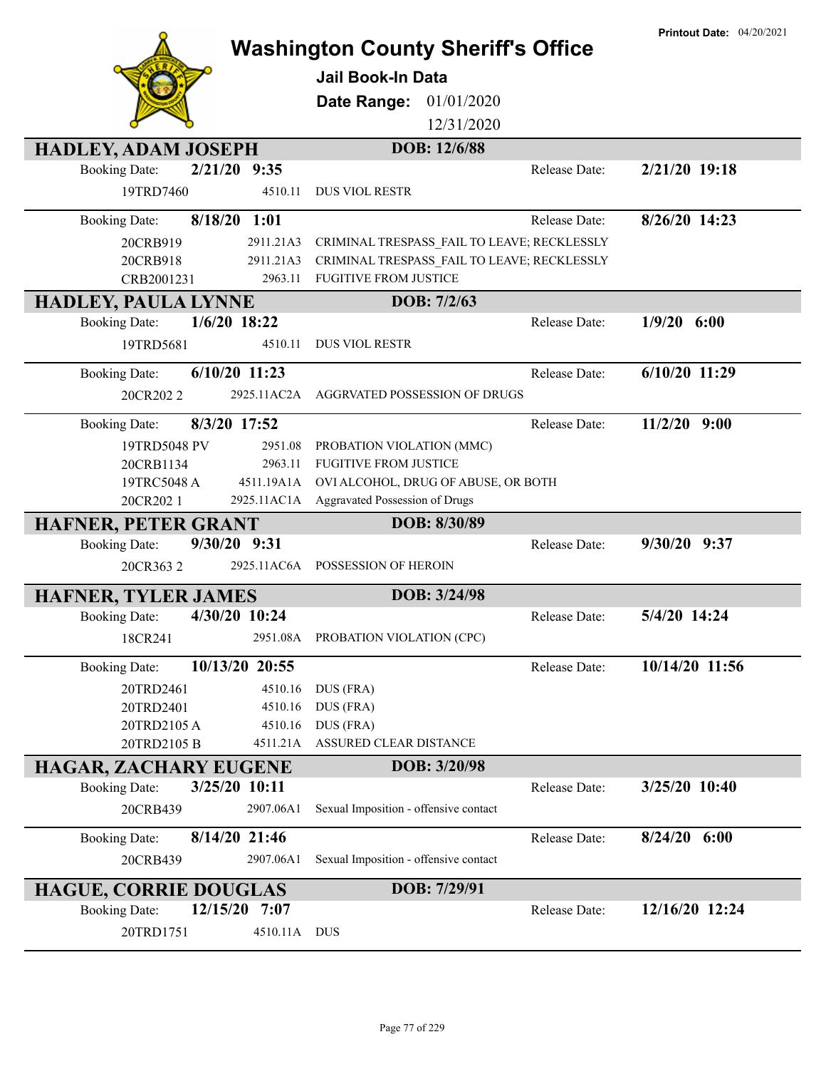|                                        |              | <b>Washington County Sheriff's Office</b>   |               | <b>Printout Date: 04/20/2021</b> |
|----------------------------------------|--------------|---------------------------------------------|---------------|----------------------------------|
|                                        |              | <b>Jail Book-In Data</b>                    |               |                                  |
|                                        |              |                                             |               |                                  |
|                                        |              | 01/01/2020<br>Date Range:                   |               |                                  |
|                                        |              | 12/31/2020                                  |               |                                  |
| <b>HADLEY, ADAM JOSEPH</b>             |              | DOB: 12/6/88                                |               |                                  |
| <b>Booking Date:</b><br>2/21/20 9:35   |              |                                             | Release Date: | 2/21/20 19:18                    |
| 19TRD7460                              | 4510.11      | <b>DUS VIOL RESTR</b>                       |               |                                  |
| $8/18/20$ 1:01<br><b>Booking Date:</b> |              |                                             | Release Date: | 8/26/20 14:23                    |
| 20CRB919                               | 2911.21A3    | CRIMINAL TRESPASS_FAIL TO LEAVE; RECKLESSLY |               |                                  |
| 20CRB918                               | 2911.21A3    | CRIMINAL TRESPASS FAIL TO LEAVE; RECKLESSLY |               |                                  |
| CRB2001231                             | 2963.11      | <b>FUGITIVE FROM JUSTICE</b>                |               |                                  |
| <b>HADLEY, PAULA LYNNE</b>             |              | DOB: 7/2/63                                 |               |                                  |
| $1/6/20$ 18:22<br><b>Booking Date:</b> |              |                                             | Release Date: | $1/9/20$ 6:00                    |
| 19TRD5681                              | 4510.11      | <b>DUS VIOL RESTR</b>                       |               |                                  |
| 6/10/20 11:23<br><b>Booking Date:</b>  |              |                                             | Release Date: | 6/10/20 11:29                    |
| 20CR2022                               | 2925.11AC2A  | AGGRVATED POSSESSION OF DRUGS               |               |                                  |
| <b>Booking Date:</b><br>8/3/20 17:52   |              |                                             | Release Date: | $11/2/20$ 9:00                   |
| 19TRD5048 PV                           | 2951.08      | PROBATION VIOLATION (MMC)                   |               |                                  |
| 20CRB1134                              | 2963.11      | <b>FUGITIVE FROM JUSTICE</b>                |               |                                  |
| 19TRC5048 A                            | 4511.19A1A   | OVI ALCOHOL, DRUG OF ABUSE, OR BOTH         |               |                                  |
| 20CR202 1                              |              | 2925.11AC1A Aggravated Possession of Drugs  |               |                                  |
| HAFNER, PETER GRANT                    |              | DOB: 8/30/89                                |               |                                  |
| <b>Booking Date:</b><br>9/30/20 9:31   |              |                                             | Release Date: | $9/30/20$ $9:37$                 |
| 20CR3632                               |              | 2925.11AC6A POSSESSION OF HEROIN            |               |                                  |
| <b>HAFNER, TYLER JAMES</b>             |              | DOB: 3/24/98                                |               |                                  |
| 4/30/20 10:24<br><b>Booking Date:</b>  |              |                                             | Release Date: | 5/4/20 14:24                     |
| 18CR241                                |              | 2951.08A PROBATION VIOLATION (CPC)          |               |                                  |
| 10/13/20 20:55<br><b>Booking Date:</b> |              |                                             | Release Date: | 10/14/20 11:56                   |
| 20TRD2461                              | 4510.16      | DUS (FRA)                                   |               |                                  |
| 20TRD2401                              | 4510.16      | DUS (FRA)                                   |               |                                  |
| 20TRD2105 A                            | 4510.16      | DUS (FRA)                                   |               |                                  |
| 20TRD2105 B                            | 4511.21A     | ASSURED CLEAR DISTANCE                      |               |                                  |
| <b>HAGAR, ZACHARY EUGENE</b>           |              | DOB: 3/20/98                                |               |                                  |
| 3/25/20 10:11<br><b>Booking Date:</b>  |              |                                             | Release Date: | 3/25/20 10:40                    |
| 20CRB439                               | 2907.06A1    | Sexual Imposition - offensive contact       |               |                                  |
| 8/14/20 21:46<br><b>Booking Date:</b>  |              |                                             | Release Date: | $8/24/20$ 6:00                   |
| 20CRB439                               | 2907.06A1    | Sexual Imposition - offensive contact       |               |                                  |
| <b>HAGUE, CORRIE DOUGLAS</b>           |              | DOB: 7/29/91                                |               |                                  |
| 12/15/20<br><b>Booking Date:</b>       | 7:07         |                                             | Release Date: | 12/16/20 12:24                   |
| 20TRD1751                              | 4510.11A DUS |                                             |               |                                  |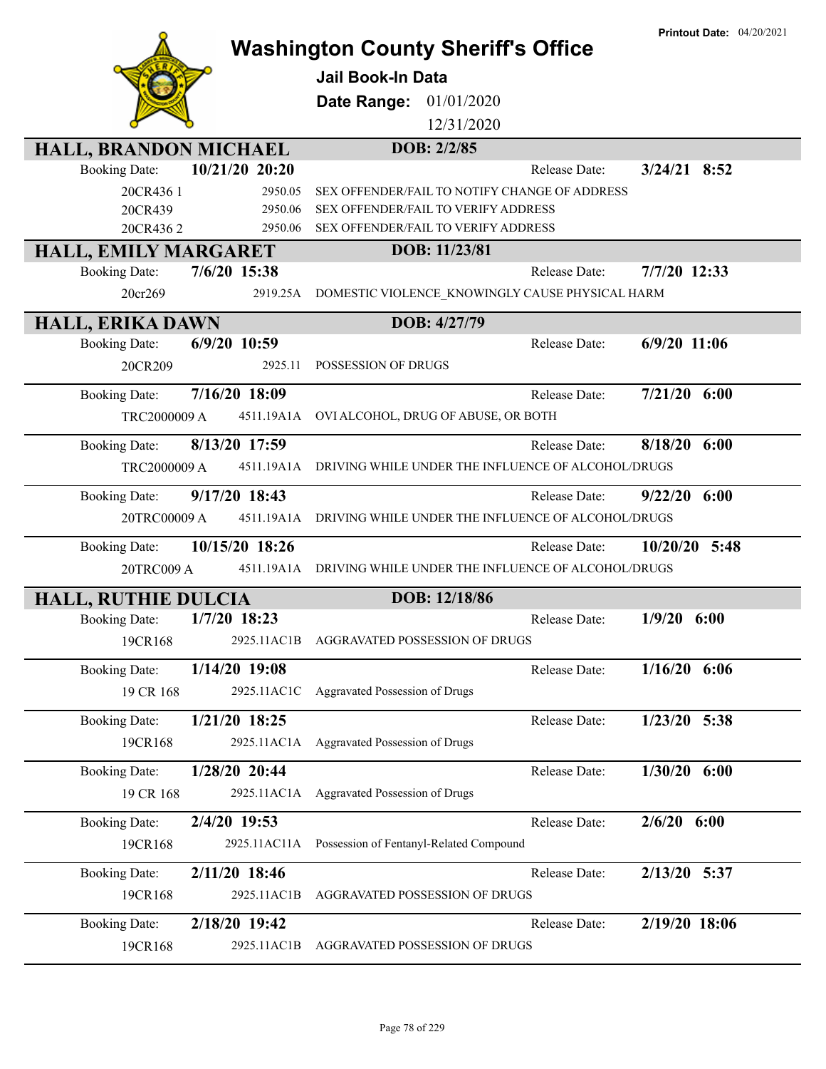|                                        |                                                    | <b>Printout Date: 04/20/2021</b> |
|----------------------------------------|----------------------------------------------------|----------------------------------|
|                                        | <b>Washington County Sheriff's Office</b>          |                                  |
|                                        | <b>Jail Book-In Data</b>                           |                                  |
|                                        | Date Range:<br>01/01/2020                          |                                  |
|                                        | 12/31/2020                                         |                                  |
| HALL, BRANDON MICHAEL                  | DOB: 2/2/85                                        |                                  |
| 10/21/20 20:20<br><b>Booking Date:</b> | Release Date:                                      | $3/24/21$ 8:52                   |
| 20CR436 1<br>2950.05                   | SEX OFFENDER/FAIL TO NOTIFY CHANGE OF ADDRESS      |                                  |
| 20CR439<br>2950.06                     | SEX OFFENDER/FAIL TO VERIFY ADDRESS                |                                  |
| 20CR4362<br>2950.06                    | SEX OFFENDER/FAIL TO VERIFY ADDRESS                |                                  |
| HALL, EMILY MARGARET                   | DOB: 11/23/81                                      | 7/7/20 12:33                     |
| 7/6/20 15:38<br><b>Booking Date:</b>   | Release Date:                                      |                                  |
| 2919.25A<br>20cr269                    | DOMESTIC VIOLENCE_KNOWINGLY CAUSE PHYSICAL HARM    |                                  |
| <b>HALL, ERIKA DAWN</b>                | DOB: 4/27/79                                       |                                  |
| <b>Booking Date:</b><br>6/9/20 10:59   | Release Date:                                      | $6/9/20$ 11:06                   |
| 20CR209<br>2925.11                     | POSSESSION OF DRUGS                                |                                  |
| 7/16/20 18:09<br><b>Booking Date:</b>  | Release Date:                                      | $7/21/20$ 6:00                   |
| TRC2000009 A<br>4511.19A1A             | OVI ALCOHOL, DRUG OF ABUSE, OR BOTH                |                                  |
| 8/13/20 17:59<br><b>Booking Date:</b>  | Release Date:                                      | 8/18/20<br>6:00                  |
| TRC2000009 A<br>4511.19A1A             | DRIVING WHILE UNDER THE INFLUENCE OF ALCOHOL/DRUGS |                                  |
| 9/17/20 18:43<br><b>Booking Date:</b>  | Release Date:                                      | 9/22/20<br>6:00                  |
| 20TRC00009 A<br>4511.19A1A             | DRIVING WHILE UNDER THE INFLUENCE OF ALCOHOL/DRUGS |                                  |
|                                        |                                                    |                                  |
| 10/15/20 18:26<br><b>Booking Date:</b> | Release Date:                                      | $10/20/20$ 5:48                  |
| 4511.19A1A<br>20TRC009 A               | DRIVING WHILE UNDER THE INFLUENCE OF ALCOHOL/DRUGS |                                  |
| <b>HALL, RUTHIE DULCIA</b>             | DOB: 12/18/86                                      |                                  |
| $1/7/20$ 18:23<br><b>Booking Date:</b> | Release Date:                                      | $1/9/20$ 6:00                    |
| 19CR168<br>2925.11AC1B                 | AGGRAVATED POSSESSION OF DRUGS                     |                                  |
| 1/14/20 19:08<br><b>Booking Date:</b>  | Release Date:                                      | $1/16/20$ 6:06                   |
| 19 CR 168<br>2925.11AC1C               | Aggravated Possession of Drugs                     |                                  |
| 1/21/20 18:25<br><b>Booking Date:</b>  | Release Date:                                      | $1/23/20$ 5:38                   |
| 19CR168<br>2925.11AC1A                 | Aggravated Possession of Drugs                     |                                  |
| 1/28/20 20:44                          |                                                    |                                  |
| <b>Booking Date:</b>                   | Release Date:                                      | $1/30/20$ 6:00                   |
| 19 CR 168<br>2925.11AC1A               | Aggravated Possession of Drugs                     |                                  |
| 2/4/20 19:53<br><b>Booking Date:</b>   | Release Date:                                      | $2/6/20$ 6:00                    |
| 19CR168<br>2925.11AC11A                | Possession of Fentanyl-Related Compound            |                                  |
| 2/11/20 18:46<br><b>Booking Date:</b>  | Release Date:                                      | 2/13/20 5:37                     |
| 19CR168<br>2925.11AC1B                 | AGGRAVATED POSSESSION OF DRUGS                     |                                  |
| 2/18/20 19:42<br><b>Booking Date:</b>  | Release Date:                                      | 2/19/20 18:06                    |
| 2925.11AC1B<br>19CR168                 | AGGRAVATED POSSESSION OF DRUGS                     |                                  |
|                                        |                                                    |                                  |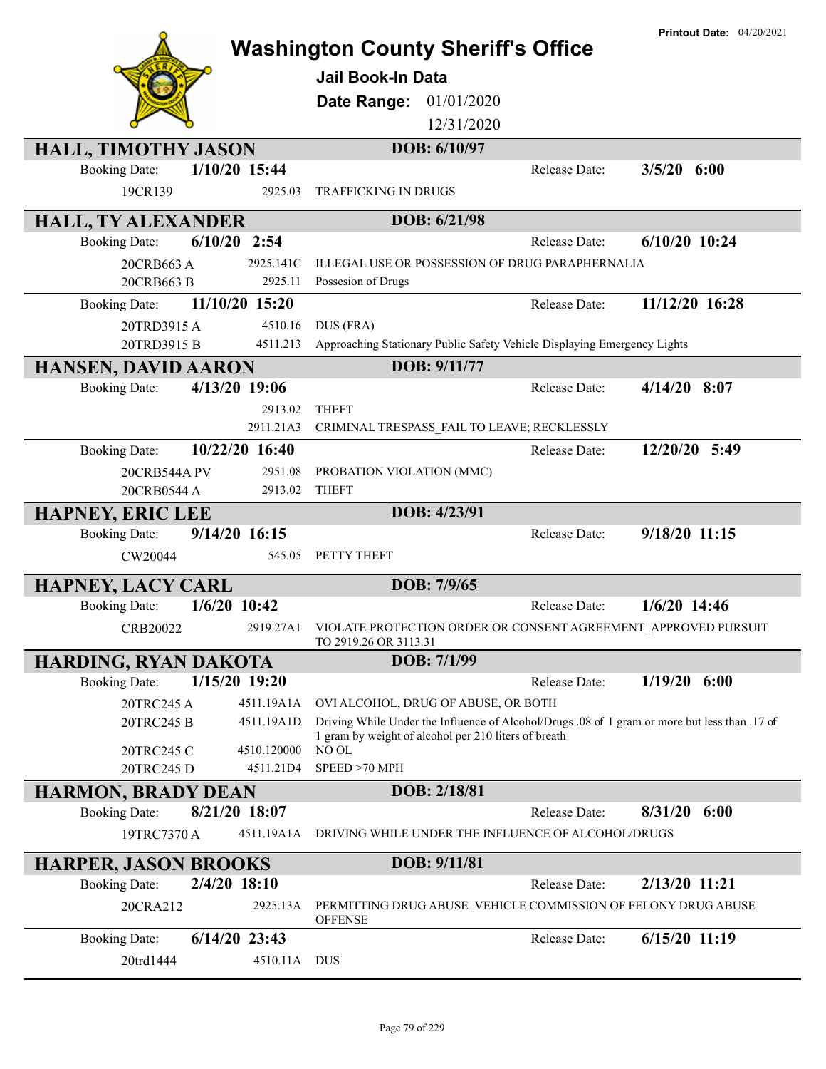|                                                                    | <b>Printout Date: 04/20/2021</b><br><b>Washington County Sheriff's Office</b>                                                                         |
|--------------------------------------------------------------------|-------------------------------------------------------------------------------------------------------------------------------------------------------|
|                                                                    | <b>Jail Book-In Data</b>                                                                                                                              |
|                                                                    | 01/01/2020<br>Date Range:                                                                                                                             |
|                                                                    | 12/31/2020                                                                                                                                            |
| <b>HALL, TIMOTHY JASON</b>                                         | DOB: 6/10/97                                                                                                                                          |
| 1/10/20 15:44<br><b>Booking Date:</b>                              | $3/5/20$ 6:00<br>Release Date:                                                                                                                        |
| 19CR139<br>2925.03                                                 | <b>TRAFFICKING IN DRUGS</b>                                                                                                                           |
| <b>HALL, TY ALEXANDER</b>                                          | DOB: 6/21/98                                                                                                                                          |
| $6/10/20$ 2:54<br><b>Booking Date:</b>                             | $6/10/20$ 10:24<br>Release Date:                                                                                                                      |
| 2925.141C<br>20CRB663 A                                            | ILLEGAL USE OR POSSESSION OF DRUG PARAPHERNALIA                                                                                                       |
| 2925.11<br>20CRB663 B                                              | Possesion of Drugs                                                                                                                                    |
| 11/10/20 15:20<br><b>Booking Date:</b>                             | 11/12/20 16:28<br>Release Date:                                                                                                                       |
| 4510.16<br>20TRD3915A                                              | DUS (FRA)                                                                                                                                             |
| 20TRD3915 B<br>4511.213                                            | Approaching Stationary Public Safety Vehicle Displaying Emergency Lights                                                                              |
| <b>HANSEN, DAVID AARON</b>                                         | DOB: 9/11/77                                                                                                                                          |
| 4/13/20 19:06<br><b>Booking Date:</b>                              | $4/14/20$ 8:07<br>Release Date:                                                                                                                       |
| 2913.02                                                            | <b>THEFT</b>                                                                                                                                          |
| 2911.21A3                                                          | CRIMINAL TRESPASS_FAIL TO LEAVE; RECKLESSLY                                                                                                           |
| 10/22/20 16:40<br><b>Booking Date:</b>                             | 12/20/20 5:49<br>Release Date:                                                                                                                        |
| 2951.08<br>20CRB544A PV                                            | PROBATION VIOLATION (MMC)                                                                                                                             |
| 20CRB0544 A<br>2913.02                                             | <b>THEFT</b>                                                                                                                                          |
| <b>HAPNEY, ERIC LEE</b>                                            | DOB: 4/23/91                                                                                                                                          |
| 9/14/20 16:15<br><b>Booking Date:</b>                              | 9/18/20 11:15<br>Release Date:                                                                                                                        |
| CW20044                                                            | 545.05<br>PETTY THEFT                                                                                                                                 |
| <b>HAPNEY, LACY CARL</b>                                           | DOB: 7/9/65                                                                                                                                           |
| $1/6/20$ 10:42<br><b>Booking Date:</b>                             | $1/6/20$ 14:46<br>Release Date:                                                                                                                       |
| 2919.27A1<br>CRB20022                                              | VIOLATE PROTECTION ORDER OR CONSENT AGREEMENT APPROVED PURSUIT<br>TO 2919.26 OR 3113.31                                                               |
| HARDING, RYAN DAKOTA                                               | DOB: 7/1/99                                                                                                                                           |
| 1/15/20 19:20<br><b>Booking Date:</b>                              | $1/19/20$ 6:00<br>Release Date:                                                                                                                       |
| 20TRC245 A<br>4511.19A1A                                           | OVI ALCOHOL, DRUG OF ABUSE, OR BOTH                                                                                                                   |
| 20TRC245 B<br>4511.19A1D                                           | Driving While Under the Influence of Alcohol/Drugs .08 of 1 gram or more but less than .17 of<br>1 gram by weight of alcohol per 210 liters of breath |
| 20TRC245 C<br>4510.120000<br>20TRC245 D<br>4511.21D4               | NO OL<br>SPEED >70 MPH                                                                                                                                |
|                                                                    | DOB: 2/18/81                                                                                                                                          |
| <b>HARMON, BRADY DEAN</b><br>8/21/20 18:07<br><b>Booking Date:</b> | $8/31/20$ 6:00<br>Release Date:                                                                                                                       |
| 4511.19A1A<br>19TRC7370 A                                          | DRIVING WHILE UNDER THE INFLUENCE OF ALCOHOL/DRUGS                                                                                                    |
|                                                                    |                                                                                                                                                       |
| <b>HARPER, JASON BROOKS</b>                                        | DOB: 9/11/81<br>2/13/20 11:21                                                                                                                         |
| $2/4/20$ 18:10<br><b>Booking Date:</b>                             | Release Date:                                                                                                                                         |
| 20CRA212<br>2925.13A                                               | PERMITTING DRUG ABUSE_VEHICLE COMMISSION OF FELONY DRUG ABUSE<br><b>OFFENSE</b>                                                                       |
| $6/14/20$ 23:43<br><b>Booking Date:</b>                            | 6/15/20 11:19<br>Release Date:                                                                                                                        |
| 20trd1444                                                          | 4510.11A DUS                                                                                                                                          |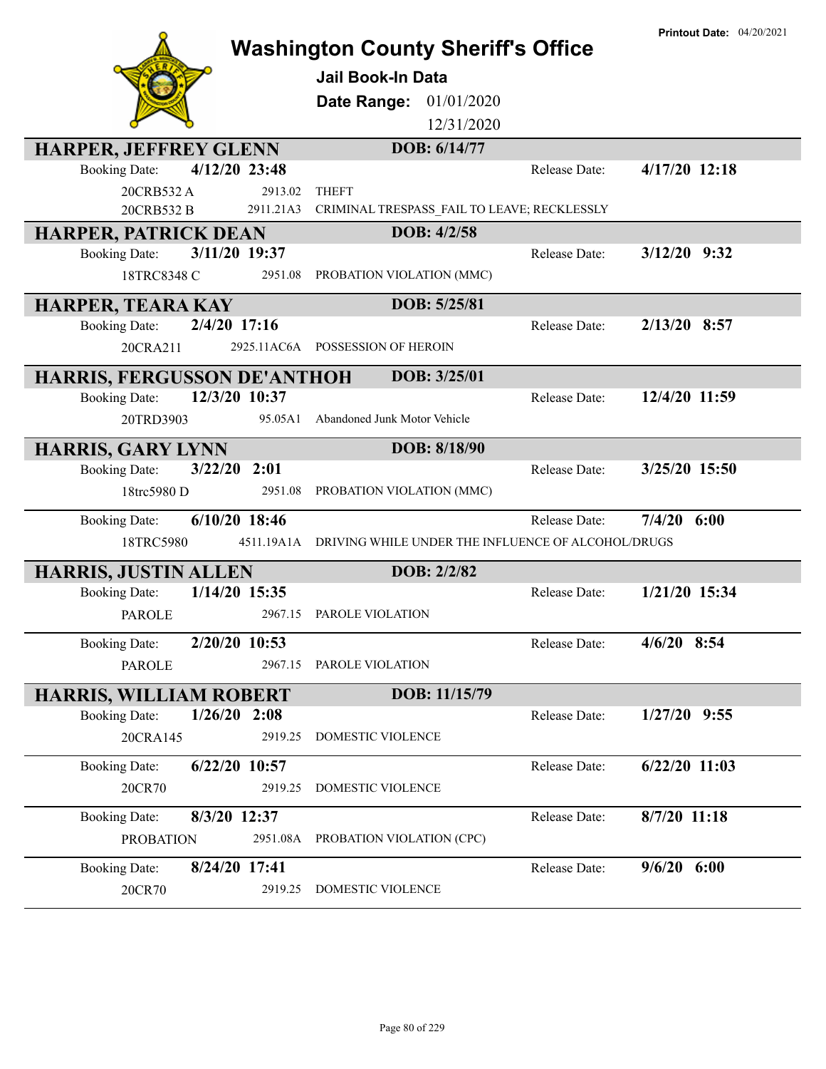|                                                                       | <b>Washington County Sheriff's Office</b><br><b>Jail Book-In Data</b><br>Date Range:<br>01/01/2020<br>12/31/2020<br>DOB: 6/14/77 |               | <b>Printout Date: 04/20/2021</b> |
|-----------------------------------------------------------------------|----------------------------------------------------------------------------------------------------------------------------------|---------------|----------------------------------|
| <b>HARPER, JEFFREY GLENN</b><br>4/12/20 23:48<br><b>Booking Date:</b> |                                                                                                                                  | Release Date: | $4/17/20$ 12:18                  |
| 20CRB532A<br>2913.02                                                  | <b>THEFT</b>                                                                                                                     |               |                                  |
| 20CRB532 B<br>2911.21A3                                               | CRIMINAL TRESPASS FAIL TO LEAVE; RECKLESSLY                                                                                      |               |                                  |
| <b>HARPER, PATRICK DEAN</b>                                           | DOB: 4/2/58                                                                                                                      |               |                                  |
| 3/11/20 19:37<br><b>Booking Date:</b>                                 |                                                                                                                                  | Release Date: | $3/12/20$ 9:32                   |
| 18TRC8348 C<br>2951.08                                                | PROBATION VIOLATION (MMC)                                                                                                        |               |                                  |
| <b>HARPER, TEARA KAY</b>                                              | DOB: 5/25/81                                                                                                                     |               |                                  |
| 2/4/20 17:16<br><b>Booking Date:</b>                                  |                                                                                                                                  | Release Date: | 2/13/20 8:57                     |
| 20CRA211                                                              | 2925.11AC6A POSSESSION OF HEROIN                                                                                                 |               |                                  |
| <b>HARRIS, FERGUSSON DE'ANTHOH</b>                                    | DOB: 3/25/01                                                                                                                     |               |                                  |
| 12/3/20 10:37<br><b>Booking Date:</b>                                 |                                                                                                                                  | Release Date: | 12/4/20 11:59                    |
| 20TRD3903<br>95.05A1                                                  | Abandoned Junk Motor Vehicle                                                                                                     |               |                                  |
| <b>HARRIS, GARY LYNN</b>                                              | DOB: 8/18/90                                                                                                                     |               |                                  |
| $3/22/20$ 2:01<br><b>Booking Date:</b>                                |                                                                                                                                  | Release Date: | 3/25/20 15:50                    |
| 18trc5980 D<br>2951.08                                                | PROBATION VIOLATION (MMC)                                                                                                        |               |                                  |
| 6/10/20 18:46<br><b>Booking Date:</b>                                 |                                                                                                                                  | Release Date: | $7/4/20$ 6:00                    |
| 18TRC5980<br>4511.19A1A                                               | DRIVING WHILE UNDER THE INFLUENCE OF ALCOHOL/DRUGS                                                                               |               |                                  |
| <b>HARRIS, JUSTIN ALLEN</b>                                           | DOB: 2/2/82                                                                                                                      |               |                                  |
| 1/14/20 15:35<br><b>Booking Date:</b>                                 |                                                                                                                                  | Release Date: | 1/21/20 15:34                    |
| 2967.15<br><b>PAROLE</b>                                              | PAROLE VIOLATION                                                                                                                 |               |                                  |
| 2/20/20 10:53<br><b>Booking Date:</b>                                 |                                                                                                                                  | Release Date: | 4/6/20 8:54                      |
| <b>PAROLE</b><br>2967.15                                              | PAROLE VIOLATION                                                                                                                 |               |                                  |
| <b>HARRIS, WILLIAM ROBERT</b>                                         | DOB: 11/15/79                                                                                                                    |               |                                  |
| $1/26/20$ 2:08<br><b>Booking Date:</b>                                |                                                                                                                                  | Release Date: | $1/27/20$ 9:55                   |
| 20CRA145<br>2919.25                                                   | DOMESTIC VIOLENCE                                                                                                                |               |                                  |
| $6/22/20$ 10:57<br><b>Booking Date:</b>                               |                                                                                                                                  | Release Date: | $6/22/20$ 11:03                  |
| 2919.25<br>20CR70                                                     | DOMESTIC VIOLENCE                                                                                                                |               |                                  |
| <b>Booking Date:</b><br>8/3/20 12:37                                  |                                                                                                                                  | Release Date: | 8/7/20 11:18                     |
| <b>PROBATION</b><br>2951.08A                                          | PROBATION VIOLATION (CPC)                                                                                                        |               |                                  |
| 8/24/20 17:41<br><b>Booking Date:</b>                                 |                                                                                                                                  | Release Date: | $9/6/20$ 6:00                    |
| 2919.25<br>20CR70                                                     | DOMESTIC VIOLENCE                                                                                                                |               |                                  |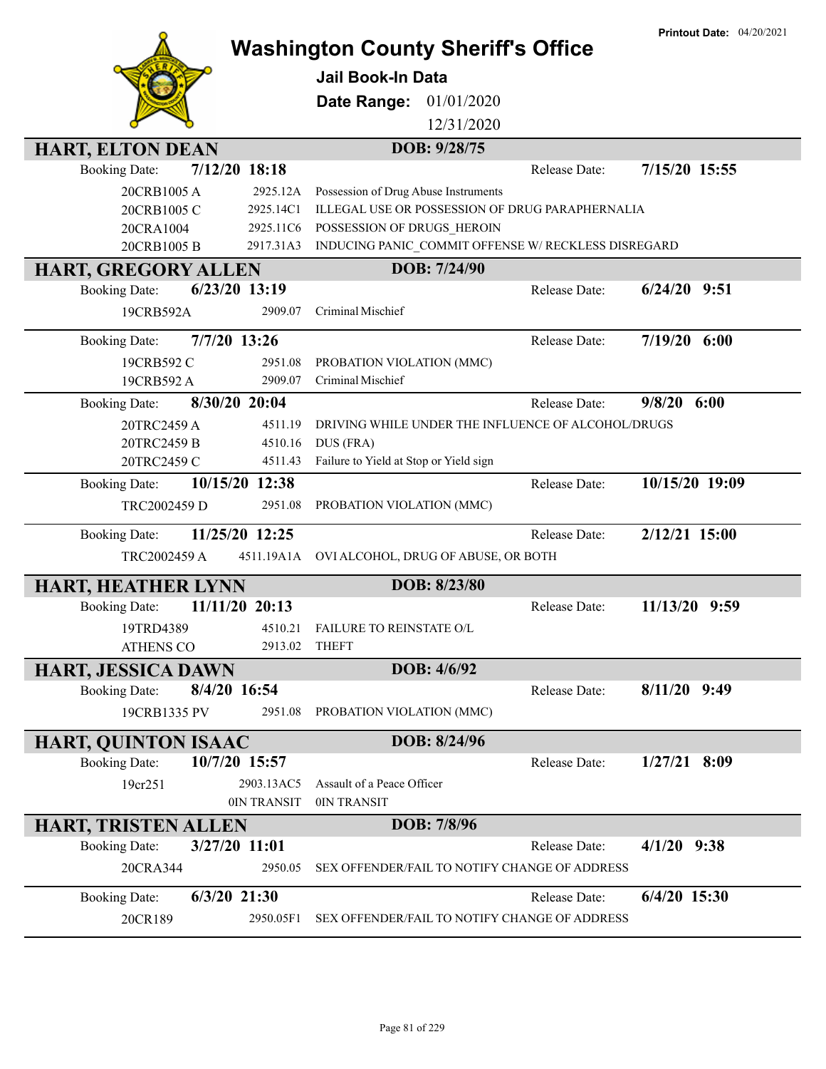|                                         |                |                                                     | <b>Printout Date: 04/20/2021</b> |
|-----------------------------------------|----------------|-----------------------------------------------------|----------------------------------|
|                                         |                | <b>Washington County Sheriff's Office</b>           |                                  |
|                                         |                | <b>Jail Book-In Data</b>                            |                                  |
|                                         |                | 01/01/2020<br>Date Range:                           |                                  |
|                                         |                | 12/31/2020                                          |                                  |
|                                         |                |                                                     |                                  |
| <b>HART, ELTON DEAN</b>                 |                | DOB: 9/28/75                                        |                                  |
| <b>Booking Date:</b>                    | 7/12/20 18:18  | Release Date:                                       | 7/15/20 15:55                    |
| 20CRB1005A                              | 2925.12A       | Possession of Drug Abuse Instruments                |                                  |
| 20CRB1005 C                             | 2925.14C1      | ILLEGAL USE OR POSSESSION OF DRUG PARAPHERNALIA     |                                  |
| 20CRA1004                               | 2925.11C6      | POSSESSION OF DRUGS HEROIN                          |                                  |
| 20CRB1005 B                             | 2917.31A3      | INDUCING PANIC_COMMIT OFFENSE W/ RECKLESS DISREGARD |                                  |
| <b>HART, GREGORY ALLEN</b>              |                | DOB: 7/24/90                                        |                                  |
| $6/23/20$ 13:19<br><b>Booking Date:</b> |                | Release Date:                                       | $6/24/20$ 9:51                   |
| 19CRB592A                               | 2909.07        | Criminal Mischief                                   |                                  |
| 7/7/20 13:26<br><b>Booking Date:</b>    |                | Release Date:                                       | 7/19/20 6:00                     |
|                                         |                |                                                     |                                  |
| 19CRB592 C                              | 2951.08        | PROBATION VIOLATION (MMC)                           |                                  |
| 19CRB592 A                              | 2909.07        | Criminal Mischief                                   |                                  |
| 8/30/20 20:04<br><b>Booking Date:</b>   |                | Release Date:                                       | 9/8/20<br>6:00                   |
| 20TRC2459 A                             | 4511.19        | DRIVING WHILE UNDER THE INFLUENCE OF ALCOHOL/DRUGS  |                                  |
| 20TRC2459 B                             | 4510.16        | DUS (FRA)                                           |                                  |
| 20TRC2459 C                             | 4511.43        | Failure to Yield at Stop or Yield sign              |                                  |
| <b>Booking Date:</b>                    | 10/15/20 12:38 | Release Date:                                       | 10/15/20 19:09                   |
| TRC2002459 D                            | 2951.08        | PROBATION VIOLATION (MMC)                           |                                  |
| <b>Booking Date:</b>                    | 11/25/20 12:25 | Release Date:                                       | 2/12/21 15:00                    |
| TRC2002459 A                            | 4511.19A1A     | OVI ALCOHOL, DRUG OF ABUSE, OR BOTH                 |                                  |
|                                         |                |                                                     |                                  |
| HART, HEATHER LYNN                      |                | DOB: 8/23/80                                        |                                  |
| <b>Booking Date:</b>                    | 11/11/20 20:13 | Release Date:                                       | 11/13/20<br>9:59                 |
| 19TRD4389                               |                | 4510.21 FAILURE TO REINSTATE O/L                    |                                  |
| <b>ATHENS CO</b>                        |                | 2913.02 THEFT                                       |                                  |
| <b>HART, JESSICA DAWN</b>               |                | DOB: 4/6/92                                         |                                  |
| 8/4/20 16:54<br><b>Booking Date:</b>    |                | Release Date:                                       | $8/11/20$ 9:49                   |
| 19CRB1335 PV                            | 2951.08        | PROBATION VIOLATION (MMC)                           |                                  |
| <b>HART, QUINTON ISAAC</b>              |                | DOB: 8/24/96                                        |                                  |
| <b>Booking Date:</b><br>10/7/20 15:57   |                | Release Date:                                       | $1/27/21$ 8:09                   |
| 19cr251                                 | 2903.13AC5     | Assault of a Peace Officer                          |                                  |
|                                         | 0IN TRANSIT    | 0IN TRANSIT                                         |                                  |
| <b>HART, TRISTEN ALLEN</b>              |                | DOB: 7/8/96                                         |                                  |
| 3/27/20 11:01<br><b>Booking Date:</b>   |                | Release Date:                                       | $4/1/20$ 9:38                    |
| 20CRA344                                | 2950.05        | SEX OFFENDER/FAIL TO NOTIFY CHANGE OF ADDRESS       |                                  |
| $6/3/20$ 21:30<br><b>Booking Date:</b>  |                | Release Date:                                       | $6/4/20$ 15:30                   |
| 20CR189                                 | 2950.05F1      | SEX OFFENDER/FAIL TO NOTIFY CHANGE OF ADDRESS       |                                  |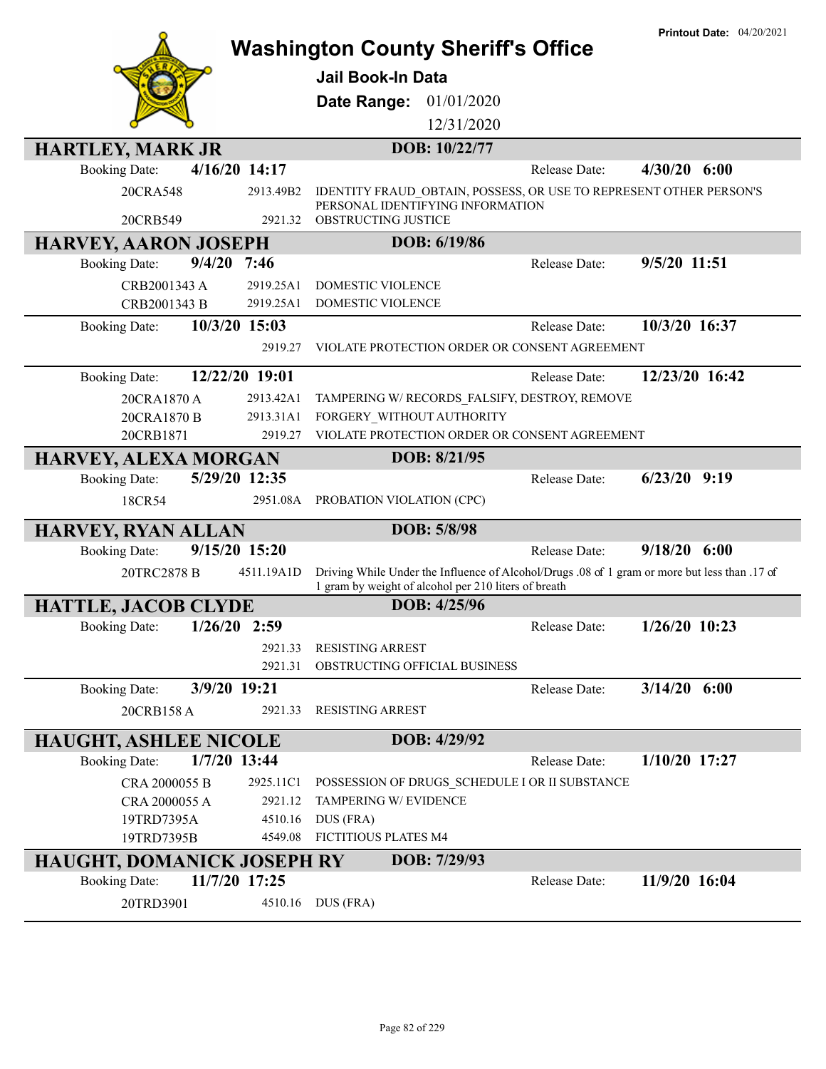|                                   |                      | <b>Washington County Sheriff's Office</b>                                                                                                             |               | <b>Printout Date: 04/20/2021</b> |
|-----------------------------------|----------------------|-------------------------------------------------------------------------------------------------------------------------------------------------------|---------------|----------------------------------|
|                                   |                      | <b>Jail Book-In Data</b>                                                                                                                              |               |                                  |
|                                   |                      | 01/01/2020<br>Date Range:                                                                                                                             |               |                                  |
|                                   |                      | 12/31/2020                                                                                                                                            |               |                                  |
|                                   |                      |                                                                                                                                                       |               |                                  |
| <b>HARTLEY, MARK JR</b>           |                      | DOB: 10/22/77                                                                                                                                         |               |                                  |
| <b>Booking Date:</b>              | 4/16/20 14:17        |                                                                                                                                                       | Release Date: | $4/30/20$ 6:00                   |
| 20CRA548<br>20CRB549              | 2913.49B2<br>2921.32 | IDENTITY FRAUD OBTAIN, POSSESS, OR USE TO REPRESENT OTHER PERSON'S<br>PERSONAL IDENTIFYING INFORMATION<br>OBSTRUCTING JUSTICE                         |               |                                  |
| <b>HARVEY, AARON JOSEPH</b>       |                      | DOB: 6/19/86                                                                                                                                          |               |                                  |
| <b>Booking Date:</b>              | $9/4/20$ 7:46        |                                                                                                                                                       | Release Date: | 9/5/20 11:51                     |
| CRB2001343 A                      | 2919.25A1            | DOMESTIC VIOLENCE                                                                                                                                     |               |                                  |
| CRB2001343 B                      | 2919.25A1            | DOMESTIC VIOLENCE                                                                                                                                     |               |                                  |
| <b>Booking Date:</b>              | 10/3/20 15:03        |                                                                                                                                                       | Release Date: | 10/3/20 16:37                    |
|                                   | 2919.27              | VIOLATE PROTECTION ORDER OR CONSENT AGREEMENT                                                                                                         |               |                                  |
|                                   |                      |                                                                                                                                                       |               |                                  |
| <b>Booking Date:</b>              | 12/22/20 19:01       |                                                                                                                                                       | Release Date: | 12/23/20 16:42                   |
| 20CRA1870 A                       | 2913.42A1            | TAMPERING W/ RECORDS FALSIFY, DESTROY, REMOVE                                                                                                         |               |                                  |
| 20CRA1870 B                       | 2913.31A1            | FORGERY_WITHOUT AUTHORITY                                                                                                                             |               |                                  |
| 20CRB1871                         | 2919.27              | VIOLATE PROTECTION ORDER OR CONSENT AGREEMENT                                                                                                         |               |                                  |
| <b>HARVEY, ALEXA MORGAN</b>       |                      | DOB: 8/21/95                                                                                                                                          |               |                                  |
| <b>Booking Date:</b>              | 5/29/20 12:35        |                                                                                                                                                       | Release Date: | $6/23/20$ 9:19                   |
| 18CR54                            |                      | 2951.08A PROBATION VIOLATION (CPC)                                                                                                                    |               |                                  |
| <b>HARVEY, RYAN ALLAN</b>         |                      | DOB: 5/8/98                                                                                                                                           |               |                                  |
| <b>Booking Date:</b>              | 9/15/20 15:20        |                                                                                                                                                       | Release Date: | $9/18/20$ 6:00                   |
| 20TRC2878 B                       | 4511.19A1D           | Driving While Under the Influence of Alcohol/Drugs .08 of 1 gram or more but less than .17 of<br>1 gram by weight of alcohol per 210 liters of breath |               |                                  |
| <b>HATTLE, JACOB CLYDE</b>        |                      | DOB: 4/25/96                                                                                                                                          |               |                                  |
| <b>Booking Date:</b>              | $1/26/20$ 2:59       |                                                                                                                                                       | Release Date: | $1/26/20$ 10:23                  |
|                                   | 2921.33              | <b>RESISTING ARREST</b>                                                                                                                               |               |                                  |
|                                   | 2921.31              | OBSTRUCTING OFFICIAL BUSINESS                                                                                                                         |               |                                  |
| <b>Booking Date:</b>              | 3/9/20 19:21         |                                                                                                                                                       | Release Date: | $3/14/20$ 6:00                   |
| 20CRB158 A                        | 2921.33              | <b>RESISTING ARREST</b>                                                                                                                               |               |                                  |
| <b>HAUGHT, ASHLEE NICOLE</b>      |                      | DOB: 4/29/92                                                                                                                                          |               |                                  |
| <b>Booking Date:</b>              | 1/7/20 13:44         |                                                                                                                                                       | Release Date: | 1/10/20 17:27                    |
| CRA 2000055 B                     | 2925.11C1            | POSSESSION OF DRUGS_SCHEDULE I OR II SUBSTANCE                                                                                                        |               |                                  |
| CRA 2000055 A                     | 2921.12              | TAMPERING W/ EVIDENCE                                                                                                                                 |               |                                  |
| 19TRD7395A                        | 4510.16              | DUS (FRA)                                                                                                                                             |               |                                  |
| 19TRD7395B                        | 4549.08              | FICTITIOUS PLATES M4                                                                                                                                  |               |                                  |
| <b>HAUGHT, DOMANICK JOSEPH RY</b> |                      | DOB: 7/29/93                                                                                                                                          |               |                                  |
| <b>Booking Date:</b>              | 11/7/20 17:25        |                                                                                                                                                       | Release Date: | 11/9/20 16:04                    |
| 20TRD3901                         | 4510.16              | DUS (FRA)                                                                                                                                             |               |                                  |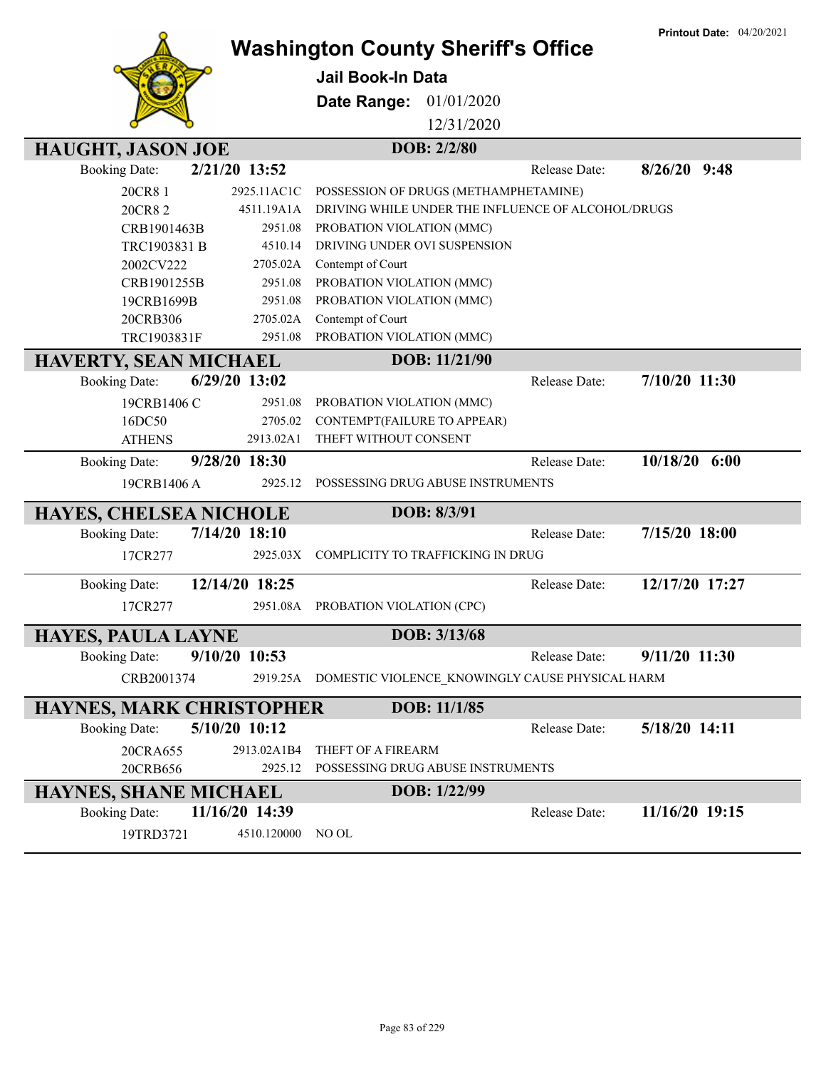**Printout Date:** 04/20/2021



## **Washington County Sheriff's Office**

**Jail Book-In Data**

**Date Range:** 01/01/2020

12/31/2020

| <b>HAUGHT, JASON JOE</b>        |                           | DOB: 2/2/80                                              |               |                 |
|---------------------------------|---------------------------|----------------------------------------------------------|---------------|-----------------|
| <b>Booking Date:</b>            | 2/21/20 13:52             |                                                          | Release Date: | $8/26/20$ 9:48  |
| 20CR8 1                         | 2925.11AC1C               | POSSESSION OF DRUGS (METHAMPHETAMINE)                    |               |                 |
| 20CR82                          | 4511.19A1A                | DRIVING WHILE UNDER THE INFLUENCE OF ALCOHOL/DRUGS       |               |                 |
| CRB1901463B                     | 2951.08                   | PROBATION VIOLATION (MMC)                                |               |                 |
| TRC1903831 B                    | 4510.14                   | DRIVING UNDER OVI SUSPENSION                             |               |                 |
| 2002CV222                       | 2705.02A                  | Contempt of Court                                        |               |                 |
| CRB1901255B                     | 2951.08                   | PROBATION VIOLATION (MMC)                                |               |                 |
| 19CRB1699B                      | 2951.08                   | PROBATION VIOLATION (MMC)                                |               |                 |
| 20CRB306                        | 2705.02A                  | Contempt of Court                                        |               |                 |
| TRC1903831F                     | 2951.08                   | PROBATION VIOLATION (MMC)                                |               |                 |
| <b>HAVERTY, SEAN MICHAEL</b>    |                           | DOB: 11/21/90                                            |               |                 |
| <b>Booking Date:</b>            | 6/29/20 13:02             |                                                          | Release Date: | 7/10/20 11:30   |
| 19CRB1406 C                     | 2951.08                   | PROBATION VIOLATION (MMC)                                |               |                 |
| 16DC50                          | 2705.02                   | CONTEMPT(FAILURE TO APPEAR)                              |               |                 |
| <b>ATHENS</b>                   | 2913.02A1                 | THEFT WITHOUT CONSENT                                    |               |                 |
| <b>Booking Date:</b>            | 9/28/20 18:30             |                                                          | Release Date: | $10/18/20$ 6:00 |
| 19CRB1406 A                     | 2925.12                   | POSSESSING DRUG ABUSE INSTRUMENTS                        |               |                 |
|                                 |                           |                                                          |               |                 |
|                                 |                           |                                                          |               |                 |
| <b>HAYES, CHELSEA NICHOLE</b>   |                           | DOB: 8/3/91                                              | Release Date: | 7/15/20 18:00   |
| <b>Booking Date:</b>            | 7/14/20 18:10<br>2925.03X | COMPLICITY TO TRAFFICKING IN DRUG                        |               |                 |
| 17CR277                         |                           |                                                          |               |                 |
| <b>Booking Date:</b>            | 12/14/20 18:25            |                                                          | Release Date: | 12/17/20 17:27  |
| 17CR277                         | 2951.08A                  | PROBATION VIOLATION (CPC)                                |               |                 |
| <b>HAYES, PAULA LAYNE</b>       |                           | DOB: 3/13/68                                             |               |                 |
| <b>Booking Date:</b>            | 9/10/20 10:53             |                                                          | Release Date: | 9/11/20 11:30   |
| CRB2001374                      |                           | 2919.25A DOMESTIC VIOLENCE KNOWINGLY CAUSE PHYSICAL HARM |               |                 |
| <b>HAYNES, MARK CHRISTOPHER</b> |                           | DOB: 11/1/85                                             |               |                 |
| <b>Booking Date:</b>            | 5/10/20 10:12             |                                                          | Release Date: | 5/18/20 14:11   |
| 20CRA655                        | 2913.02A1B4               | THEFT OF A FIREARM                                       |               |                 |
| 20CRB656                        | 2925.12                   | POSSESSING DRUG ABUSE INSTRUMENTS                        |               |                 |
| <b>HAYNES, SHANE MICHAEL</b>    |                           | DOB: 1/22/99                                             |               |                 |
| <b>Booking Date:</b>            | 11/16/20 14:39            |                                                          | Release Date: | 11/16/20 19:15  |
| 19TRD3721                       | 4510.120000               | NO OL                                                    |               |                 |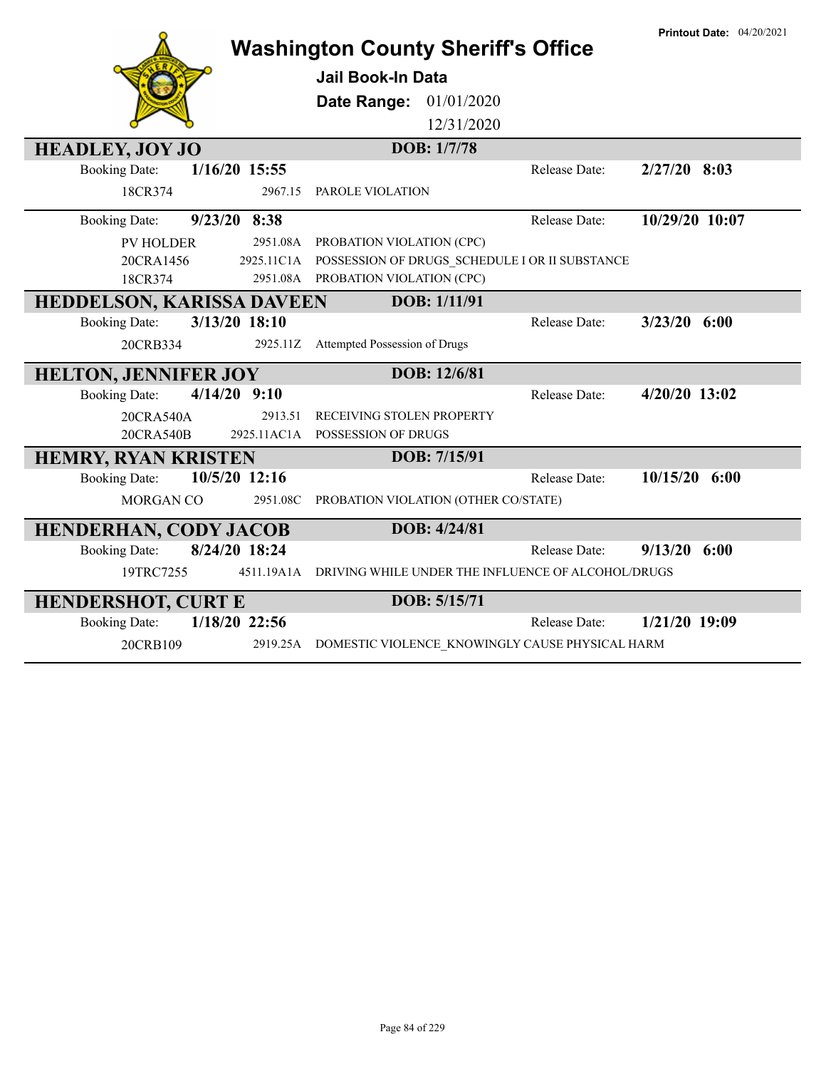|                                         |             | <b>Washington County Sheriff's Office</b>          |               | <b>Printout Date: 04/20/2021</b> |
|-----------------------------------------|-------------|----------------------------------------------------|---------------|----------------------------------|
|                                         |             | Jail Book-In Data                                  |               |                                  |
|                                         |             | <b>Date Range: 01/01/2020</b>                      |               |                                  |
|                                         |             | 12/31/2020                                         |               |                                  |
| <b>HEADLEY, JOY JO</b>                  |             | DOB: 1/7/78                                        |               |                                  |
| $1/16/20$ 15:55<br><b>Booking Date:</b> |             |                                                    | Release Date: | $2/27/20$ 8:03                   |
| 18CR374                                 | 2967.15     | PAROLE VIOLATION                                   |               |                                  |
| 9/23/20 8:38<br><b>Booking Date:</b>    |             |                                                    | Release Date: | 10/29/20 10:07                   |
| <b>PV HOLDER</b>                        | 2951.08A    | PROBATION VIOLATION (CPC)                          |               |                                  |
| 20CRA1456                               | 2925.11C1A  | POSSESSION OF DRUGS SCHEDULE I OR II SUBSTANCE     |               |                                  |
| 18CR374                                 | 2951.08A    | PROBATION VIOLATION (CPC)                          |               |                                  |
| <b>HEDDELSON, KARISSA DAVEEN</b>        |             | DOB: 1/11/91                                       |               |                                  |
| 3/13/20 18:10<br><b>Booking Date:</b>   |             |                                                    | Release Date: | $3/23/20$ 6:00                   |
| 20CRB334                                | 2925.11Z    | Attempted Possession of Drugs                      |               |                                  |
| <b>HELTON, JENNIFER JOY</b>             |             | DOB: 12/6/81                                       |               |                                  |
| $4/14/20$ 9:10<br><b>Booking Date:</b>  |             |                                                    | Release Date: | 4/20/20 13:02                    |
| 20CRA540A                               | 2913.51     | RECEIVING STOLEN PROPERTY                          |               |                                  |
| 20CRA540B                               | 2925.11AC1A | POSSESSION OF DRUGS                                |               |                                  |
| <b>HEMRY, RYAN KRISTEN</b>              |             | DOB: 7/15/91                                       |               |                                  |
| 10/5/20 12:16<br><b>Booking Date:</b>   |             |                                                    | Release Date: | $10/15/20$ 6:00                  |
| MORGAN CO                               | 2951.08C    | PROBATION VIOLATION (OTHER CO/STATE)               |               |                                  |
| <b>HENDERHAN, CODY JACOB</b>            |             | DOB: 4/24/81                                       |               |                                  |
| 8/24/20 18:24<br><b>Booking Date:</b>   |             |                                                    | Release Date: | $9/13/20$ 6:00                   |
| 19TRC7255                               | 4511.19A1A  | DRIVING WHILE UNDER THE INFLUENCE OF ALCOHOL/DRUGS |               |                                  |
| <b>HENDERSHOT, CURT E</b>               |             | DOB: 5/15/71                                       |               |                                  |
| 1/18/20 22:56<br><b>Booking Date:</b>   |             |                                                    | Release Date: | 1/21/20 19:09                    |
| 20CRB109                                | 2919.25A    | DOMESTIC VIOLENCE KNOWINGLY CAUSE PHYSICAL HARM    |               |                                  |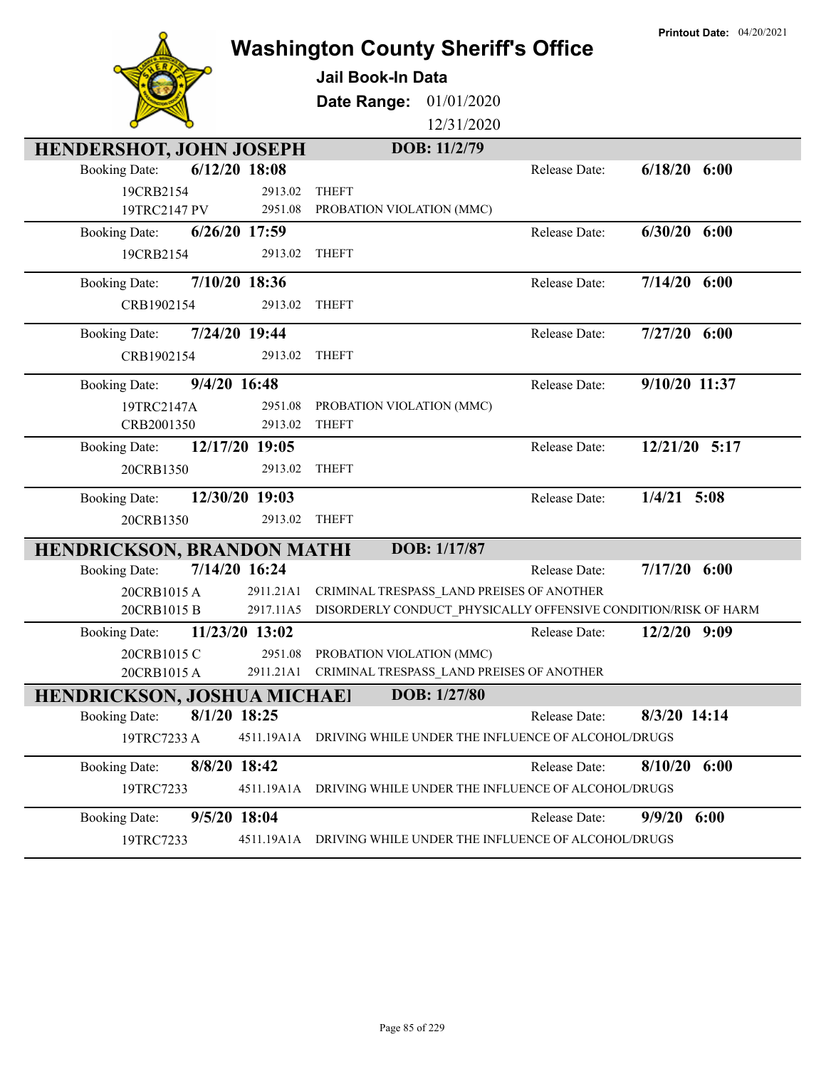|                                                 | <b>Washington County Sheriff's Office</b>                      | <b>Printout Date: 04/20/2021</b> |
|-------------------------------------------------|----------------------------------------------------------------|----------------------------------|
|                                                 | <b>Jail Book-In Data</b>                                       |                                  |
|                                                 |                                                                |                                  |
|                                                 | 01/01/2020<br>Date Range:                                      |                                  |
|                                                 | 12/31/2020                                                     |                                  |
| <b>HENDERSHOT, JOHN JOSEPH</b>                  | DOB: 11/2/79                                                   |                                  |
| $6/12/20$ 18:08<br><b>Booking Date:</b>         | Release Date:                                                  | $6/18/20$ $6:00$                 |
| 19CRB2154<br>2913.02<br>19TRC2147 PV<br>2951.08 | <b>THEFT</b><br>PROBATION VIOLATION (MMC)                      |                                  |
| 6/26/20 17:59                                   | Release Date:                                                  | $6/30/20$ $6:00$                 |
| <b>Booking Date:</b><br>19CRB2154<br>2913.02    | <b>THEFT</b>                                                   |                                  |
|                                                 |                                                                |                                  |
| 7/10/20 18:36<br><b>Booking Date:</b>           | Release Date:                                                  | $7/14/20$ 6:00                   |
| CRB1902154<br>2913.02                           | <b>THEFT</b>                                                   |                                  |
| 7/24/20 19:44<br><b>Booking Date:</b>           | Release Date:                                                  | $7/27/20$ 6:00                   |
| 2913.02<br>CRB1902154                           | <b>THEFT</b>                                                   |                                  |
| 9/4/20 16:48<br><b>Booking Date:</b>            | Release Date:                                                  | 9/10/20 11:37                    |
| 19TRC2147A<br>2951.08                           | PROBATION VIOLATION (MMC)                                      |                                  |
| CRB2001350<br>2913.02                           | <b>THEFT</b>                                                   |                                  |
| 12/17/20 19:05<br><b>Booking Date:</b>          | Release Date:                                                  | 12/21/20 5:17                    |
| 20CRB1350<br>2913.02                            | <b>THEFT</b>                                                   |                                  |
| 12/30/20 19:03<br><b>Booking Date:</b>          | Release Date:                                                  | $1/4/21$ 5:08                    |
| 2913.02<br>20CRB1350                            | <b>THEFT</b>                                                   |                                  |
| <b>HENDRICKSON, BRANDON MATHI</b>               | DOB: 1/17/87                                                   |                                  |
| 7/14/20 16:24<br><b>Booking Date:</b>           | Release Date:                                                  | $7/17/20$ 6:00                   |
| 20CRB1015A<br>2911.21A1                         | CRIMINAL TRESPASS LAND PREISES OF ANOTHER                      |                                  |
| 20CRB1015 B<br>2917.11A5                        | DISORDERLY CONDUCT_PHYSICALLY OFFENSIVE CONDITION/RISK OF HARM |                                  |
| 11/23/20 13:02<br><b>Booking Date:</b>          | Release Date:                                                  | 12/2/20 9:09                     |
| 20CRB1015 C<br>2951.08                          | PROBATION VIOLATION (MMC)                                      |                                  |
| 20CRB1015A<br>2911.21A1                         | CRIMINAL TRESPASS LAND PREISES OF ANOTHER                      |                                  |
| <b>HENDRICKSON, JOSHUA MICHAEI</b>              | DOB: 1/27/80                                                   |                                  |
| 8/1/20 18:25<br><b>Booking Date:</b>            | Release Date:                                                  | 8/3/20 14:14                     |
| 4511.19A1A<br>19TRC7233 A                       | DRIVING WHILE UNDER THE INFLUENCE OF ALCOHOL/DRUGS             |                                  |
| 8/8/20 18:42<br><b>Booking Date:</b>            | Release Date:                                                  | $8/10/20$ 6:00                   |
| 19TRC7233<br>4511.19A1A                         | DRIVING WHILE UNDER THE INFLUENCE OF ALCOHOL/DRUGS             |                                  |
| 9/5/20 18:04<br><b>Booking Date:</b>            | Release Date:                                                  | $9/9/20$ 6:00                    |
| 19TRC7233<br>4511.19A1A                         | DRIVING WHILE UNDER THE INFLUENCE OF ALCOHOL/DRUGS             |                                  |
|                                                 |                                                                |                                  |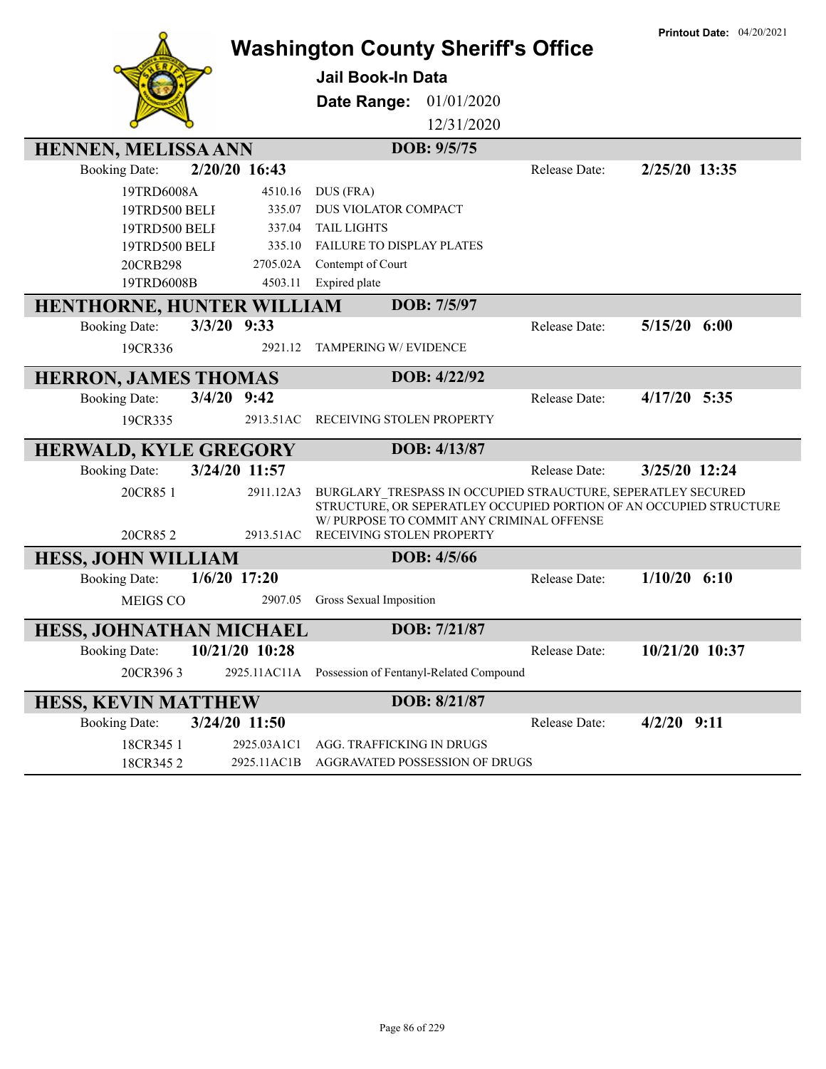|                              |                | <b>Washington County Sheriff's Office</b>                                                                       |               | <b>Printout Date: 04/20/2021</b> |
|------------------------------|----------------|-----------------------------------------------------------------------------------------------------------------|---------------|----------------------------------|
|                              |                | Jail Book-In Data                                                                                               |               |                                  |
|                              |                | 01/01/2020<br>Date Range:                                                                                       |               |                                  |
|                              |                | 12/31/2020                                                                                                      |               |                                  |
| HENNEN, MELISSA ANN          |                | DOB: 9/5/75                                                                                                     |               |                                  |
| <b>Booking Date:</b>         | 2/20/20 16:43  |                                                                                                                 | Release Date: | 2/25/20 13:35                    |
| 19TRD6008A                   | 4510.16        | DUS (FRA)                                                                                                       |               |                                  |
| 19TRD500 BELF                | 335.07         | DUS VIOLATOR COMPACT                                                                                            |               |                                  |
| 19TRD500 BELF                | 337.04         | <b>TAIL LIGHTS</b>                                                                                              |               |                                  |
| 19TRD500 BELF                | 335.10         | FAILURE TO DISPLAY PLATES                                                                                       |               |                                  |
| 20CRB298                     | 2705.02A       | Contempt of Court                                                                                               |               |                                  |
| 19TRD6008B                   | 4503.11        | Expired plate                                                                                                   |               |                                  |
| HENTHORNE, HUNTER WILLIAM    |                | DOB: 7/5/97                                                                                                     |               |                                  |
| <b>Booking Date:</b>         | $3/3/20$ 9:33  |                                                                                                                 | Release Date: | $5/15/20$ $6:00$                 |
| 19CR336                      | 2921.12        | <b>TAMPERING W/ EVIDENCE</b>                                                                                    |               |                                  |
| <b>HERRON, JAMES THOMAS</b>  |                | DOB: 4/22/92                                                                                                    |               |                                  |
| <b>Booking Date:</b>         | $3/4/20$ 9:42  |                                                                                                                 | Release Date: | $4/17/20$ 5:35                   |
| 19CR335                      | 2913.51AC      | RECEIVING STOLEN PROPERTY                                                                                       |               |                                  |
| <b>HERWALD, KYLE GREGORY</b> |                | DOB: 4/13/87                                                                                                    |               |                                  |
| <b>Booking Date:</b>         | 3/24/20 11:57  |                                                                                                                 | Release Date: | 3/25/20 12:24                    |
| 20CR85 1                     | 2911.12A3      | BURGLARY_TRESPASS IN OCCUPIED STRAUCTURE, SEPERATLEY SECURED                                                    |               |                                  |
|                              |                | STRUCTURE, OR SEPERATLEY OCCUPIED PORTION OF AN OCCUPIED STRUCTURE<br>W/ PURPOSE TO COMMIT ANY CRIMINAL OFFENSE |               |                                  |
| 20CR852                      | 2913.51AC      | RECEIVING STOLEN PROPERTY                                                                                       |               |                                  |
| <b>HESS, JOHN WILLIAM</b>    |                | DOB: 4/5/66                                                                                                     |               |                                  |
| <b>Booking Date:</b>         | $1/6/20$ 17:20 |                                                                                                                 | Release Date: | $1/10/20$ 6:10                   |
| <b>MEIGS CO</b>              | 2907.05        | Gross Sexual Imposition                                                                                         |               |                                  |
| HESS, JOHNATHAN MICHAEL      |                | DOB: 7/21/87                                                                                                    |               |                                  |
| <b>Booking Date:</b>         | 10/21/20 10:28 |                                                                                                                 | Release Date: | 10/21/20 10:37                   |
| 20CR3963                     | 2925.11AC11A   | Possession of Fentanyl-Related Compound                                                                         |               |                                  |
| <b>HESS, KEVIN MATTHEW</b>   |                | DOB: 8/21/87                                                                                                    |               |                                  |
| <b>Booking Date:</b>         | 3/24/20 11:50  |                                                                                                                 | Release Date: | $4/2/20$ 9:11                    |
| 18CR345 1                    | 2925.03A1C1    | AGG. TRAFFICKING IN DRUGS                                                                                       |               |                                  |
| 18CR3452                     | 2925.11AC1B    | AGGRAVATED POSSESSION OF DRUGS                                                                                  |               |                                  |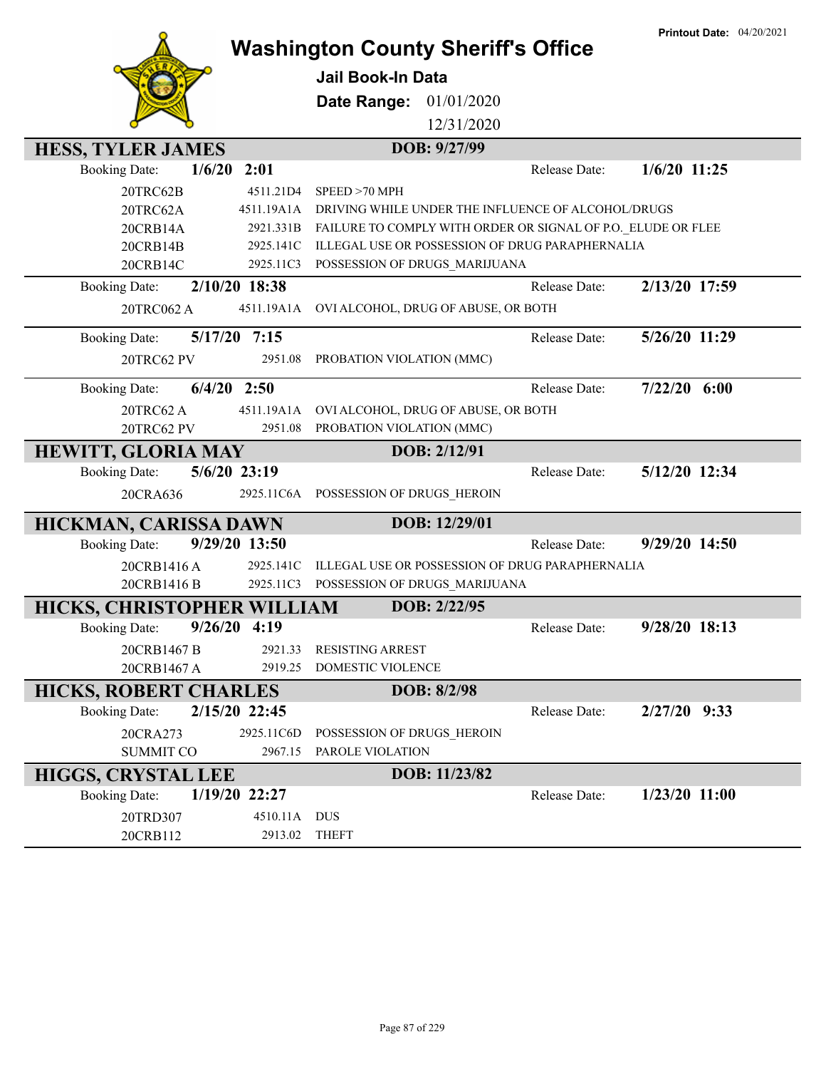|                              |                | <b>Washington County Sheriff's Office</b>                    | <b>Printout Date: 04/20/2021</b> |
|------------------------------|----------------|--------------------------------------------------------------|----------------------------------|
|                              |                | Jail Book-In Data                                            |                                  |
|                              |                |                                                              |                                  |
|                              |                | 01/01/2020<br>Date Range:                                    |                                  |
|                              |                | 12/31/2020                                                   |                                  |
| <b>HESS, TYLER JAMES</b>     |                | DOB: 9/27/99                                                 |                                  |
| <b>Booking Date:</b>         | 2:01<br>1/6/20 | Release Date:                                                | $1/6/20$ 11:25                   |
| 20TRC62B                     | 4511.21D4      | SPEED > 70 MPH                                               |                                  |
| 20TRC62A                     | 4511.19A1A     | DRIVING WHILE UNDER THE INFLUENCE OF ALCOHOL/DRUGS           |                                  |
| 20CRB14A                     | 2921.331B      | FAILURE TO COMPLY WITH ORDER OR SIGNAL OF P.O. ELUDE OR FLEE |                                  |
| 20CRB14B                     | 2925.141C      | ILLEGAL USE OR POSSESSION OF DRUG PARAPHERNALIA              |                                  |
| 20CRB14C                     | 2925.11C3      | POSSESSION OF DRUGS_MARIJUANA                                |                                  |
| <b>Booking Date:</b>         | 2/10/20 18:38  | Release Date:                                                | 2/13/20 17:59                    |
| 20TRC062 A                   | 4511.19A1A     | OVI ALCOHOL, DRUG OF ABUSE, OR BOTH                          |                                  |
| <b>Booking Date:</b>         | 5/17/20 7:15   | Release Date:                                                | 5/26/20 11:29                    |
| 20TRC62 PV                   | 2951.08        | PROBATION VIOLATION (MMC)                                    |                                  |
| <b>Booking Date:</b>         | $6/4/20$ 2:50  | Release Date:                                                | $7/22/20$ 6:00                   |
| 20TRC62 A                    | 4511.19A1A     | OVI ALCOHOL, DRUG OF ABUSE, OR BOTH                          |                                  |
| 20TRC62 PV                   | 2951.08        | PROBATION VIOLATION (MMC)                                    |                                  |
| <b>HEWITT, GLORIA MAY</b>    |                | DOB: 2/12/91                                                 |                                  |
| <b>Booking Date:</b>         | 5/6/20 23:19   | Release Date:                                                | 5/12/20 12:34                    |
| 20CRA636                     |                | 2925.11C6A POSSESSION OF DRUGS_HEROIN                        |                                  |
| HICKMAN, CARISSA DAWN        |                | DOB: 12/29/01                                                |                                  |
| <b>Booking Date:</b>         | 9/29/20 13:50  | Release Date:                                                | 9/29/20 14:50                    |
| 20CRB1416A                   | 2925.141C      | ILLEGAL USE OR POSSESSION OF DRUG PARAPHERNALIA              |                                  |
| 20CRB1416 B                  | 2925.11C3      | POSSESSION OF DRUGS_MARIJUANA                                |                                  |
| HICKS, CHRISTOPHER WILLIAM   |                | DOB: 2/22/95                                                 |                                  |
| <b>Booking Date:</b>         | $9/26/20$ 4:19 | Release Date:                                                | 9/28/20 18:13                    |
| 20CRB1467 B                  | 2921.33        | <b>RESISTING ARREST</b>                                      |                                  |
| 20CRB1467 A                  | 2919.25        | <b>DOMESTIC VIOLENCE</b>                                     |                                  |
| <b>HICKS, ROBERT CHARLES</b> |                | DOB: 8/2/98                                                  |                                  |
| <b>Booking Date:</b>         | 2/15/20 22:45  | Release Date:                                                | $2/27/20$ 9:33                   |
| 20CRA273                     | 2925.11C6D     | POSSESSION OF DRUGS_HEROIN                                   |                                  |
| <b>SUMMIT CO</b>             | 2967.15        | PAROLE VIOLATION                                             |                                  |
| <b>HIGGS, CRYSTAL LEE</b>    |                | DOB: 11/23/82                                                |                                  |
| <b>Booking Date:</b>         | 1/19/20 22:27  | Release Date:                                                | 1/23/20 11:00                    |
| 20TRD307                     | 4510.11A DUS   |                                                              |                                  |
| 20CRB112                     | 2913.02        | <b>THEFT</b>                                                 |                                  |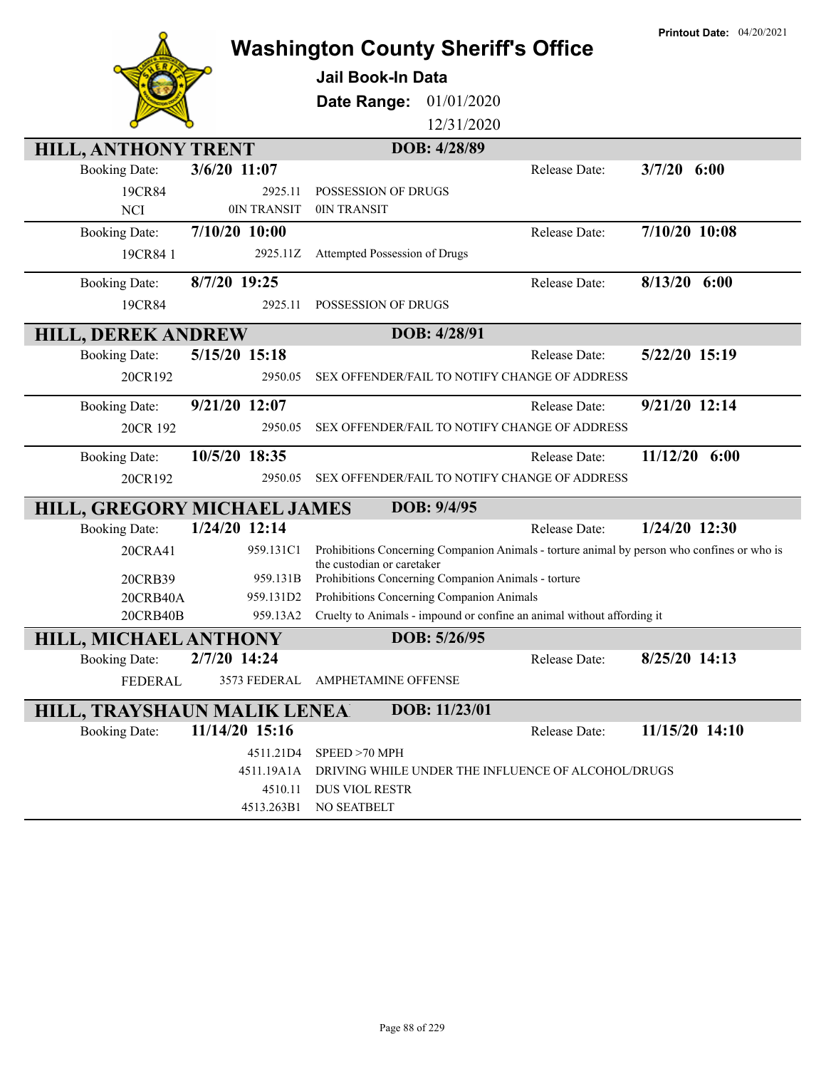|                                    |                | <b>Washington County Sheriff's Office</b>                                                                                 |               | <b>Printout Date: 04/20/2021</b> |
|------------------------------------|----------------|---------------------------------------------------------------------------------------------------------------------------|---------------|----------------------------------|
|                                    |                | <b>Jail Book-In Data</b>                                                                                                  |               |                                  |
|                                    |                | 01/01/2020<br>Date Range:                                                                                                 |               |                                  |
|                                    |                | 12/31/2020                                                                                                                |               |                                  |
| <b>HILL, ANTHONY TRENT</b>         |                | DOB: 4/28/89                                                                                                              |               |                                  |
| <b>Booking Date:</b>               | 3/6/20 11:07   |                                                                                                                           | Release Date: | $3/7/20$ 6:00                    |
| 19CR84                             | 2925.11        | POSSESSION OF DRUGS                                                                                                       |               |                                  |
| <b>NCI</b>                         | 0IN TRANSIT    | 0IN TRANSIT                                                                                                               |               |                                  |
| <b>Booking Date:</b>               | 7/10/20 10:00  |                                                                                                                           | Release Date: | 7/10/20 10:08                    |
| 19CR84 1                           | 2925.11Z       | Attempted Possession of Drugs                                                                                             |               |                                  |
| <b>Booking Date:</b>               | 8/7/20 19:25   |                                                                                                                           | Release Date: | $8/13/20$ 6:00                   |
| 19CR84                             | 2925.11        | POSSESSION OF DRUGS                                                                                                       |               |                                  |
| <b>HILL, DEREK ANDREW</b>          |                | DOB: 4/28/91                                                                                                              |               |                                  |
| <b>Booking Date:</b>               | 5/15/20 15:18  |                                                                                                                           | Release Date: | 5/22/20 15:19                    |
| 20CR192                            | 2950.05        | SEX OFFENDER/FAIL TO NOTIFY CHANGE OF ADDRESS                                                                             |               |                                  |
| <b>Booking Date:</b>               | 9/21/20 12:07  |                                                                                                                           | Release Date: | 9/21/20 12:14                    |
| 20CR 192                           | 2950.05        | SEX OFFENDER/FAIL TO NOTIFY CHANGE OF ADDRESS                                                                             |               |                                  |
| <b>Booking Date:</b>               | 10/5/20 18:35  |                                                                                                                           | Release Date: | 11/12/20 6:00                    |
| 20CR192                            | 2950.05        | SEX OFFENDER/FAIL TO NOTIFY CHANGE OF ADDRESS                                                                             |               |                                  |
| HILL, GREGORY MICHAEL JAMES        |                | DOB: 9/4/95                                                                                                               |               |                                  |
| <b>Booking Date:</b>               | 1/24/20 12:14  |                                                                                                                           | Release Date: | 1/24/20 12:30                    |
| 20CRA41                            | 959.131C1      | Prohibitions Concerning Companion Animals - torture animal by person who confines or who is<br>the custodian or caretaker |               |                                  |
| 20CRB39                            | 959.131B       | Prohibitions Concerning Companion Animals - torture                                                                       |               |                                  |
| 20CRB40A                           | 959.131D2      | Prohibitions Concerning Companion Animals                                                                                 |               |                                  |
| 20CRB40B                           | 959.13A2       | Cruelty to Animals - impound or confine an animal without affording it                                                    |               |                                  |
| <b>HILL, MICHAEL ANTHONY</b>       |                | DOB: 5/26/95                                                                                                              |               |                                  |
| <b>Booking Date:</b>               | 2/7/20 14:24   |                                                                                                                           | Release Date: | 8/25/20 14:13                    |
| <b>FEDERAL</b>                     | 3573 FEDERAL   | AMPHETAMINE OFFENSE                                                                                                       |               |                                  |
| <b>HILL, TRAYSHAUN MALIK LENEA</b> |                | DOB: 11/23/01                                                                                                             |               |                                  |
| <b>Booking Date:</b>               | 11/14/20 15:16 |                                                                                                                           | Release Date: | 11/15/20 14:10                   |
|                                    | 4511.21D4      | SPEED >70 MPH                                                                                                             |               |                                  |
|                                    | 4511.19A1A     | DRIVING WHILE UNDER THE INFLUENCE OF ALCOHOL/DRUGS                                                                        |               |                                  |
|                                    | 4510.11        | <b>DUS VIOL RESTR</b>                                                                                                     |               |                                  |
|                                    | 4513.263B1     | NO SEATBELT                                                                                                               |               |                                  |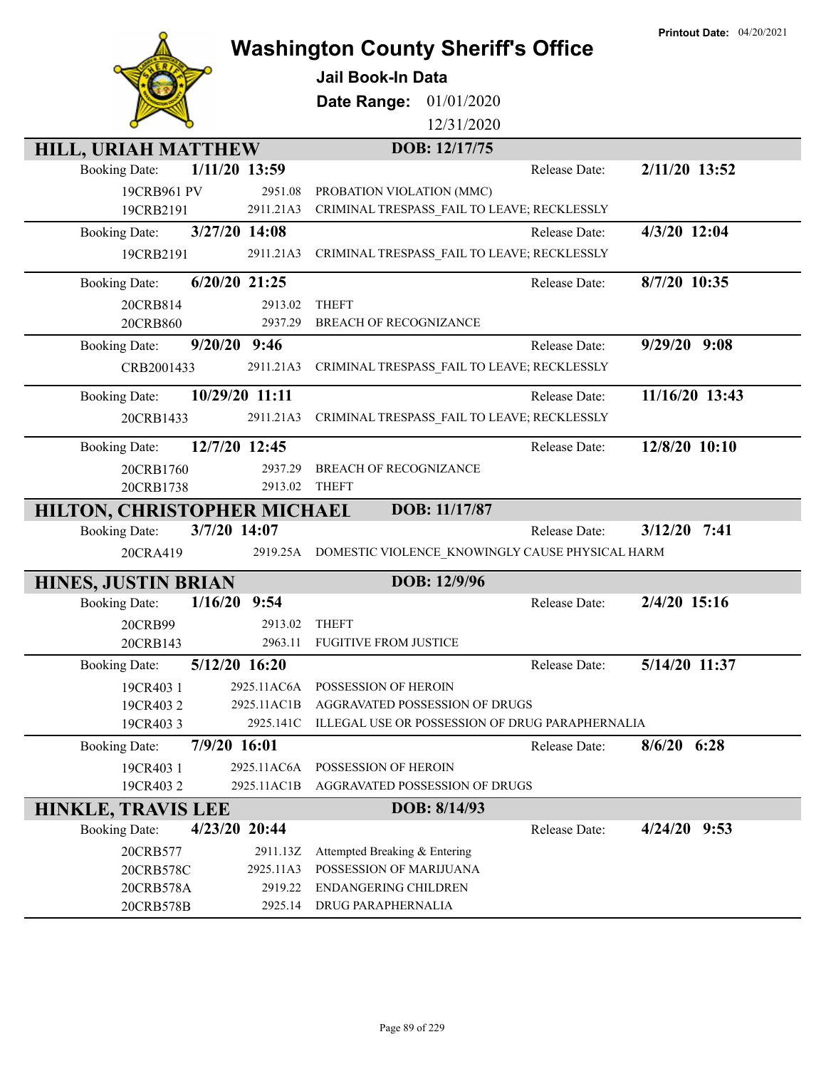|                                 |                  | <b>Washington County Sheriff's Office</b>       |               | <b>Printout Date: 04/20/2021</b> |
|---------------------------------|------------------|-------------------------------------------------|---------------|----------------------------------|
|                                 |                  | <b>Jail Book-In Data</b>                        |               |                                  |
|                                 |                  |                                                 |               |                                  |
|                                 |                  | 01/01/2020<br>Date Range:<br>12/31/2020         |               |                                  |
|                                 |                  |                                                 |               |                                  |
| <b>HILL, URIAH MATTHEW</b>      |                  | DOB: 12/17/75                                   |               |                                  |
| <b>Booking Date:</b>            | 1/11/20 13:59    |                                                 | Release Date: | 2/11/20 13:52                    |
| 19CRB961 PV                     | 2951.08          | PROBATION VIOLATION (MMC)                       |               |                                  |
| 19CRB2191                       | 2911.21A3        | CRIMINAL TRESPASS FAIL TO LEAVE; RECKLESSLY     |               |                                  |
| <b>Booking Date:</b>            | 3/27/20 14:08    |                                                 | Release Date: | 4/3/20 12:04                     |
| 19CRB2191                       | 2911.21A3        | CRIMINAL TRESPASS_FAIL TO LEAVE; RECKLESSLY     |               |                                  |
| <b>Booking Date:</b>            | 6/20/20 21:25    |                                                 | Release Date: | 8/7/20 10:35                     |
| 20CRB814                        | 2913.02          | <b>THEFT</b>                                    |               |                                  |
| 20CRB860                        | 2937.29          | BREACH OF RECOGNIZANCE                          |               |                                  |
| <b>Booking Date:</b>            | $9/20/20$ $9:46$ |                                                 | Release Date: | $9/29/20$ $9:08$                 |
| CRB2001433                      | 2911.21A3        | CRIMINAL TRESPASS_FAIL TO LEAVE; RECKLESSLY     |               |                                  |
| <b>Booking Date:</b>            | 10/29/20 11:11   |                                                 | Release Date: | 11/16/20 13:43                   |
| 20CRB1433                       | 2911.21A3        | CRIMINAL TRESPASS_FAIL TO LEAVE; RECKLESSLY     |               |                                  |
|                                 |                  |                                                 |               |                                  |
| <b>Booking Date:</b>            | 12/7/20 12:45    |                                                 | Release Date: | 12/8/20 10:10                    |
| 20CRB1760                       | 2937.29          | BREACH OF RECOGNIZANCE                          |               |                                  |
| 20CRB1738                       | 2913.02          | <b>THEFT</b>                                    |               |                                  |
| HILTON, CHRISTOPHER MICHAEL     |                  | DOB: 11/17/87                                   |               |                                  |
| <b>Booking Date:</b>            | 3/7/20 14:07     |                                                 | Release Date: | $3/12/20$ 7:41                   |
| 20CRA419                        | 2919.25A         | DOMESTIC VIOLENCE KNOWINGLY CAUSE PHYSICAL HARM |               |                                  |
| <b>HINES, JUSTIN BRIAN</b>      |                  | DOB: 12/9/96                                    |               |                                  |
| 1/16/20<br><b>Booking Date:</b> | 9:54             |                                                 | Release Date: | 2/4/20 15:16                     |
| 20CRB99                         | 2913.02          | <b>THEFT</b>                                    |               |                                  |
| 20CRB143                        | 2963.11          | <b>FUGITIVE FROM JUSTICE</b>                    |               |                                  |
| <b>Booking Date:</b>            | 5/12/20 16:20    |                                                 | Release Date: | 5/14/20 11:37                    |
| 19CR403 1                       | 2925.11AC6A      | POSSESSION OF HEROIN                            |               |                                  |
| 19CR4032                        | 2925.11AC1B      | AGGRAVATED POSSESSION OF DRUGS                  |               |                                  |
| 19CR4033                        | 2925.141C        | ILLEGAL USE OR POSSESSION OF DRUG PARAPHERNALIA |               |                                  |
| <b>Booking Date:</b>            | 7/9/20 16:01     |                                                 | Release Date: | $8/6/20$ 6:28                    |
| 19CR403 1                       | 2925.11AC6A      | POSSESSION OF HEROIN                            |               |                                  |
| 19CR4032                        | 2925.11AC1B      | AGGRAVATED POSSESSION OF DRUGS                  |               |                                  |
| <b>HINKLE, TRAVIS LEE</b>       |                  | DOB: 8/14/93                                    |               |                                  |
| <b>Booking Date:</b>            | 4/23/20 20:44    |                                                 | Release Date: | $4/24/20$ 9:53                   |
| 20CRB577                        | 2911.13Z         | Attempted Breaking & Entering                   |               |                                  |
| 20CRB578C                       | 2925.11A3        | POSSESSION OF MARIJUANA                         |               |                                  |
| 20CRB578A                       | 2919.22          | <b>ENDANGERING CHILDREN</b>                     |               |                                  |
| 20CRB578B                       | 2925.14          | DRUG PARAPHERNALIA                              |               |                                  |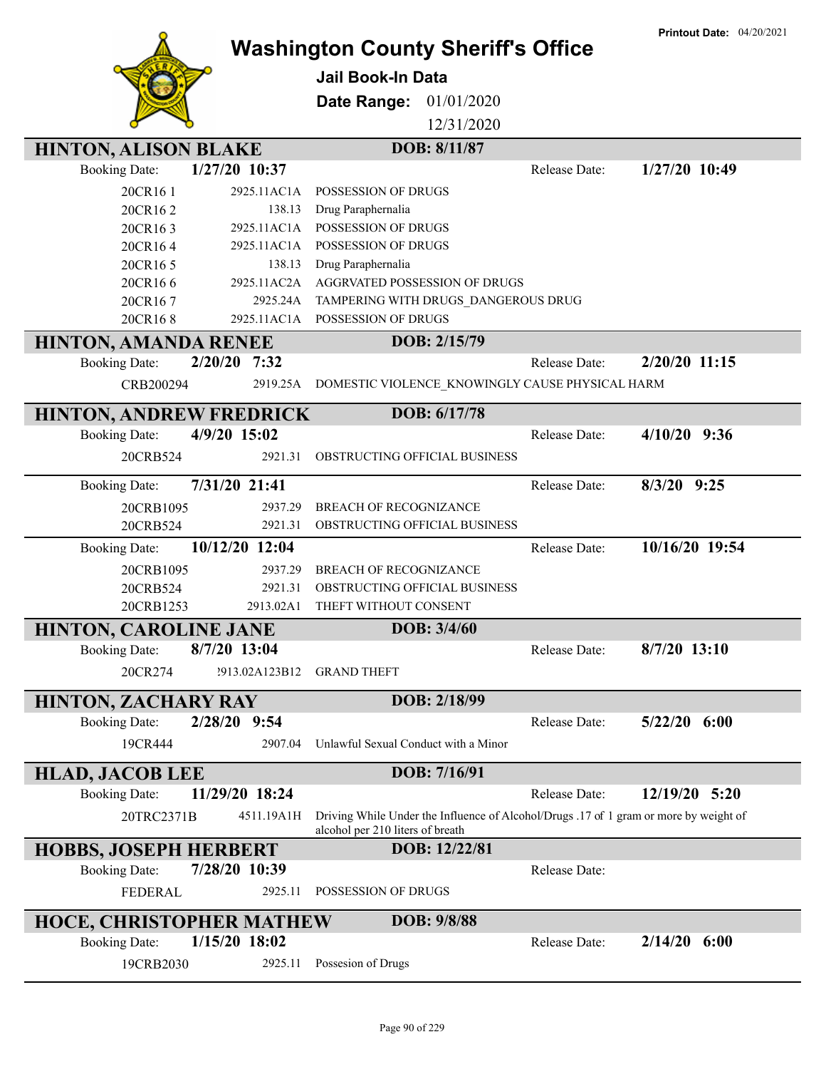|                                 |                       | <b>Washington County Sheriff's Office</b>                                                                                 |               | <b>Printout Date: 04/20/2021</b> |
|---------------------------------|-----------------------|---------------------------------------------------------------------------------------------------------------------------|---------------|----------------------------------|
|                                 |                       | Jail Book-In Data                                                                                                         |               |                                  |
|                                 |                       |                                                                                                                           |               |                                  |
|                                 |                       | 01/01/2020<br>Date Range:                                                                                                 |               |                                  |
|                                 |                       | 12/31/2020                                                                                                                |               |                                  |
| <b>HINTON, ALISON BLAKE</b>     |                       | DOB: 8/11/87                                                                                                              |               |                                  |
| <b>Booking Date:</b>            | 1/27/20 10:37         |                                                                                                                           | Release Date: | 1/27/20 10:49                    |
| 20CR16 1                        | 2925.11AC1A           | <b>POSSESSION OF DRUGS</b>                                                                                                |               |                                  |
| 20CR162                         | 138.13                | Drug Paraphernalia                                                                                                        |               |                                  |
| 20CR163                         | 2925.11AC1A           | POSSESSION OF DRUGS                                                                                                       |               |                                  |
| 20CR164                         | 2925.11AC1A           | POSSESSION OF DRUGS                                                                                                       |               |                                  |
| 20CR165                         | 138.13<br>2925.11AC2A | Drug Paraphernalia<br><b>AGGRVATED POSSESSION OF DRUGS</b>                                                                |               |                                  |
| 20CR166<br>20CR167              | 2925.24A              | TAMPERING WITH DRUGS_DANGEROUS DRUG                                                                                       |               |                                  |
| 20CR168                         | 2925.11AC1A           | POSSESSION OF DRUGS                                                                                                       |               |                                  |
|                                 |                       | DOB: 2/15/79                                                                                                              |               |                                  |
| <b>HINTON, AMANDA RENEE</b>     | 2/20/20               |                                                                                                                           | Release Date: | 2/20/20 11:15                    |
| <b>Booking Date:</b>            | 7:32                  |                                                                                                                           |               |                                  |
| CRB200294                       | 2919.25A              | DOMESTIC VIOLENCE_KNOWINGLY CAUSE PHYSICAL HARM                                                                           |               |                                  |
| <b>HINTON, ANDREW FREDRICK</b>  |                       | DOB: 6/17/78                                                                                                              |               |                                  |
| <b>Booking Date:</b>            | 4/9/20 15:02          |                                                                                                                           | Release Date: | $4/10/20$ 9:36                   |
| 20CRB524                        | 2921.31               | OBSTRUCTING OFFICIAL BUSINESS                                                                                             |               |                                  |
| <b>Booking Date:</b>            | 7/31/20 21:41         |                                                                                                                           | Release Date: | 8/3/20 9:25                      |
| 20CRB1095                       | 2937.29               | BREACH OF RECOGNIZANCE                                                                                                    |               |                                  |
| 20CRB524                        | 2921.31               | OBSTRUCTING OFFICIAL BUSINESS                                                                                             |               |                                  |
| <b>Booking Date:</b>            | 10/12/20 12:04        |                                                                                                                           | Release Date: | 10/16/20 19:54                   |
| 20CRB1095                       | 2937.29               | BREACH OF RECOGNIZANCE                                                                                                    |               |                                  |
| 20CRB524                        | 2921.31               | OBSTRUCTING OFFICIAL BUSINESS                                                                                             |               |                                  |
| 20CRB1253                       | 2913.02A1             | THEFT WITHOUT CONSENT                                                                                                     |               |                                  |
| <b>HINTON, CAROLINE JANE</b>    |                       | DOB: 3/4/60                                                                                                               |               |                                  |
| <b>Booking Date:</b>            | 8/7/20 13:04          |                                                                                                                           | Release Date: | $8/7/20$ 13:10                   |
| 20CR274                         | ?913.02A123B12        | <b>GRAND THEFT</b>                                                                                                        |               |                                  |
|                                 |                       |                                                                                                                           |               |                                  |
| <b>HINTON, ZACHARY RAY</b>      |                       | DOB: 2/18/99                                                                                                              |               |                                  |
| <b>Booking Date:</b>            | 2/28/20 9:54          |                                                                                                                           | Release Date: | $5/22/20$ $6:00$                 |
| 19CR444                         | 2907.04               | Unlawful Sexual Conduct with a Minor                                                                                      |               |                                  |
| <b>HLAD, JACOB LEE</b>          |                       | DOB: 7/16/91                                                                                                              |               |                                  |
| <b>Booking Date:</b>            | 11/29/20 18:24        |                                                                                                                           | Release Date: | 12/19/20 5:20                    |
| 20TRC2371B                      | 4511.19A1H            | Driving While Under the Influence of Alcohol/Drugs .17 of 1 gram or more by weight of<br>alcohol per 210 liters of breath |               |                                  |
| <b>HOBBS, JOSEPH HERBERT</b>    |                       | DOB: 12/22/81                                                                                                             |               |                                  |
| <b>Booking Date:</b>            | 7/28/20 10:39         |                                                                                                                           | Release Date: |                                  |
| <b>FEDERAL</b>                  | 2925.11               | POSSESSION OF DRUGS                                                                                                       |               |                                  |
| <b>HOCE, CHRISTOPHER MATHEW</b> |                       | DOB: 9/8/88                                                                                                               |               |                                  |
| <b>Booking Date:</b>            | 1/15/20 18:02         |                                                                                                                           | Release Date: | $2/14/20$ 6:00                   |
| 19CRB2030                       | 2925.11               | Possesion of Drugs                                                                                                        |               |                                  |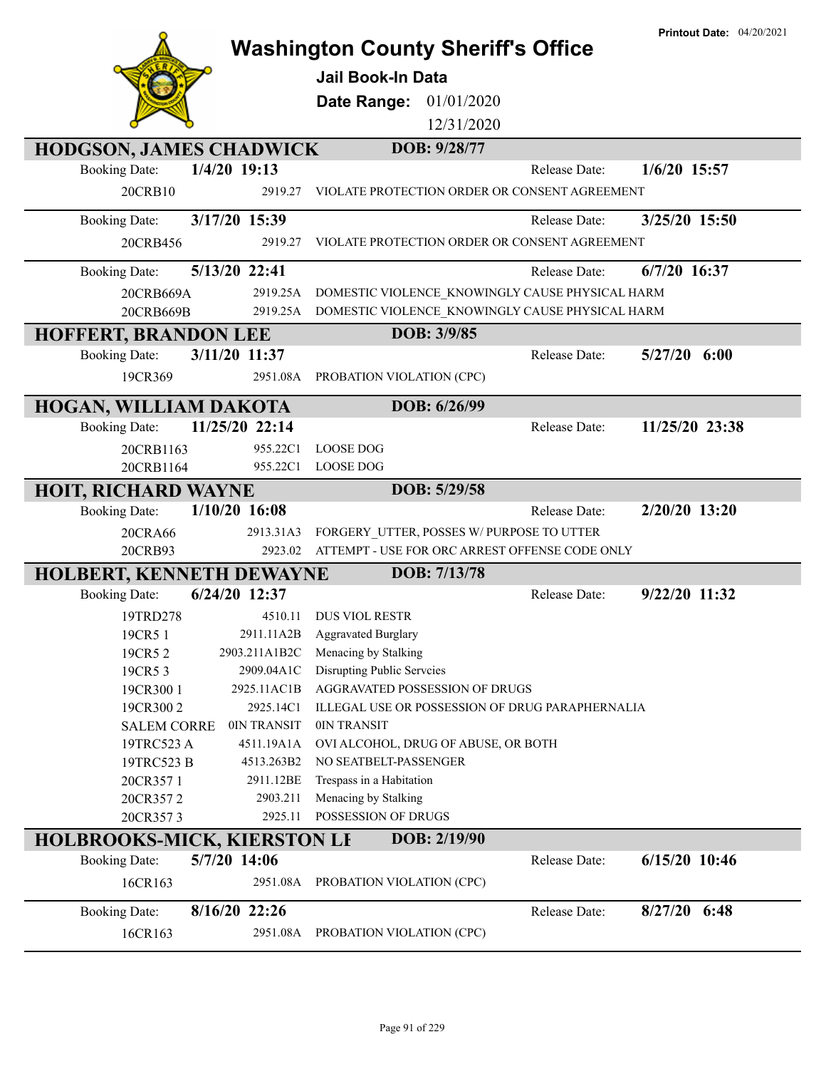|                                                            |                     | <b>Washington County Sheriff's Office</b>       | <b>Printout Date: 04/20/2021</b> |
|------------------------------------------------------------|---------------------|-------------------------------------------------|----------------------------------|
|                                                            |                     |                                                 |                                  |
|                                                            |                     | <b>Jail Book-In Data</b>                        |                                  |
|                                                            |                     | 01/01/2020<br>Date Range:                       |                                  |
|                                                            |                     | 12/31/2020                                      |                                  |
| <b>HODGSON, JAMES CHADWICK</b>                             |                     | DOB: 9/28/77                                    |                                  |
| <b>Booking Date:</b>                                       | 1/4/20 19:13        | Release Date:                                   | 1/6/20 15:57                     |
| 20CRB10                                                    | 2919.27             | VIOLATE PROTECTION ORDER OR CONSENT AGREEMENT   |                                  |
| <b>Booking Date:</b>                                       | 3/17/20 15:39       | Release Date:                                   | 3/25/20 15:50                    |
| 20CRB456                                                   | 2919.27             | VIOLATE PROTECTION ORDER OR CONSENT AGREEMENT   |                                  |
| <b>Booking Date:</b>                                       | 5/13/20 22:41       | Release Date:                                   | $6/7/20$ 16:37                   |
| 20CRB669A                                                  | 2919.25A            | DOMESTIC VIOLENCE KNOWINGLY CAUSE PHYSICAL HARM |                                  |
| 20CRB669B                                                  | 2919.25A            | DOMESTIC VIOLENCE KNOWINGLY CAUSE PHYSICAL HARM |                                  |
| <b>HOFFERT, BRANDON LEE</b>                                |                     | DOB: 3/9/85                                     |                                  |
| <b>Booking Date:</b>                                       | 3/11/20 11:37       | Release Date:                                   | 5/27/20<br>6:00                  |
| 19CR369                                                    |                     | 2951.08A PROBATION VIOLATION (CPC)              |                                  |
| HOGAN, WILLIAM DAKOTA                                      |                     | DOB: 6/26/99                                    |                                  |
| <b>Booking Date:</b>                                       | 11/25/20 22:14      | Release Date:                                   | 11/25/20 23:38                   |
| 20CRB1163                                                  | 955.22C1            | <b>LOOSE DOG</b>                                |                                  |
| 20CRB1164                                                  | 955.22C1            | <b>LOOSE DOG</b>                                |                                  |
| <b>HOIT, RICHARD WAYNE</b>                                 |                     | DOB: 5/29/58                                    |                                  |
| <b>Booking Date:</b>                                       | $1/10/20$ 16:08     | Release Date:                                   | 2/20/20 13:20                    |
| 20CRA66                                                    | 2913.31A3           | FORGERY UTTER, POSSES W/PURPOSE TO UTTER        |                                  |
| 20CRB93                                                    | 2923.02             | ATTEMPT - USE FOR ORC ARREST OFFENSE CODE ONLY  |                                  |
| HOLBERT, KENNETH DEWAYNE                                   |                     | DOB: 7/13/78                                    |                                  |
| <b>Booking Date:</b>                                       | 6/24/20 12:37       | Release Date:                                   | 9/22/20 11:32                    |
| 19TRD278                                                   | 4510.11             | <b>DUS VIOL RESTR</b>                           |                                  |
| 19CR5 1                                                    | 2911.11A2B          | <b>Aggravated Burglary</b>                      |                                  |
| 19CR5 2                                                    | 2903.211A1B2C       | Menacing by Stalking                            |                                  |
| 19CR53                                                     | 2909.04A1C          | Disrupting Public Serveies                      |                                  |
| 19CR300 1                                                  | 2925.11AC1B         | AGGRAVATED POSSESSION OF DRUGS                  |                                  |
| 19CR3002                                                   | 2925.14C1           | ILLEGAL USE OR POSSESSION OF DRUG PARAPHERNALIA |                                  |
| <b>SALEM CORRE</b>                                         | 0IN TRANSIT         | 0IN TRANSIT                                     |                                  |
| 19TRC523 A                                                 | 4511.19A1A          | OVI ALCOHOL, DRUG OF ABUSE, OR BOTH             |                                  |
| 19TRC523 B                                                 | 4513.263B2          | NO SEATBELT-PASSENGER                           |                                  |
| 20CR3571                                                   | 2911.12BE           | Trespass in a Habitation                        |                                  |
| 20CR3572<br>20CR3573                                       | 2903.211<br>2925.11 | Menacing by Stalking<br>POSSESSION OF DRUGS     |                                  |
|                                                            |                     | DOB: 2/19/90                                    |                                  |
| <b>HOLBROOKS-MICK, KIERSTON LF</b><br><b>Booking Date:</b> | 5/7/20 14:06        | Release Date:                                   | $6/15/20$ 10:46                  |
| 16CR163                                                    | 2951.08A            | PROBATION VIOLATION (CPC)                       |                                  |
| <b>Booking Date:</b>                                       | 8/16/20 22:26       | Release Date:                                   | 8/27/20 6:48                     |
|                                                            |                     | 2951.08A PROBATION VIOLATION (CPC)              |                                  |
| 16CR163                                                    |                     |                                                 |                                  |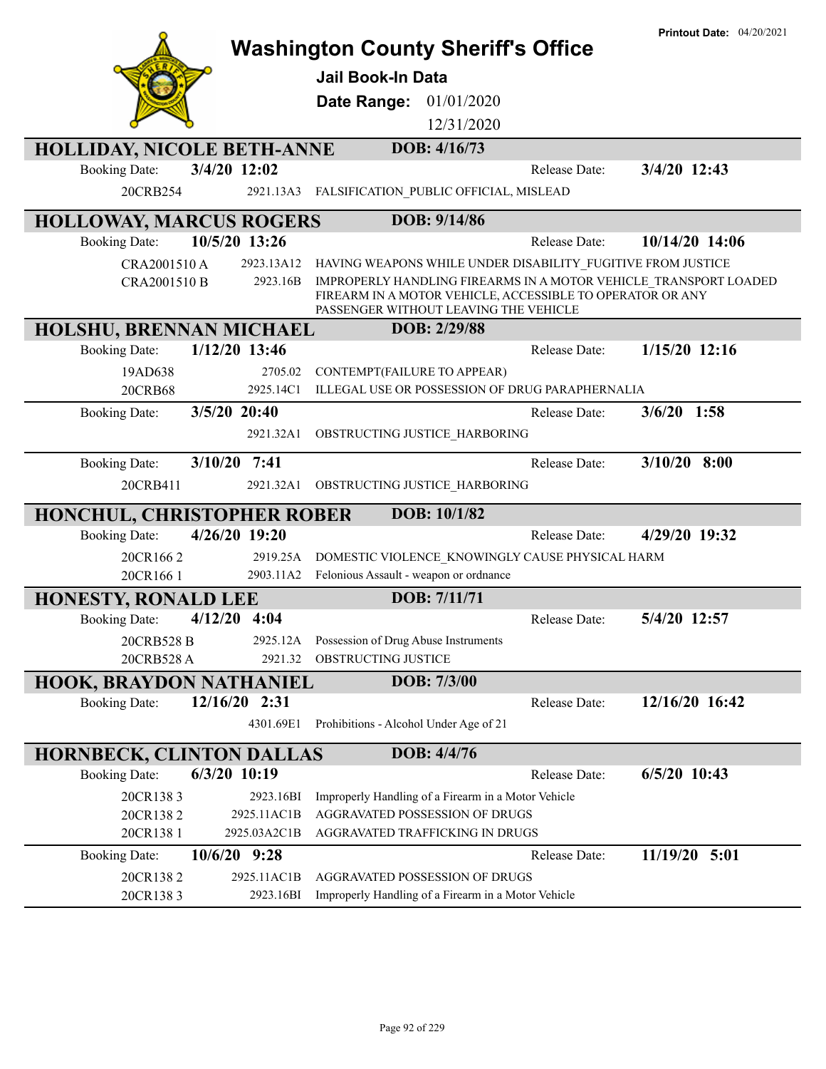|                                                         |                 | <b>Washington County Sheriff's Office</b><br>Jail Book-In Data<br>01/01/2020<br>Date Range:                                                                            |               | <b>Printout Date: 04/20/2021</b> |
|---------------------------------------------------------|-----------------|------------------------------------------------------------------------------------------------------------------------------------------------------------------------|---------------|----------------------------------|
|                                                         |                 | 12/31/2020                                                                                                                                                             |               |                                  |
|                                                         |                 |                                                                                                                                                                        |               |                                  |
| <b>HOLLIDAY, NICOLE BETH-ANNE</b>                       |                 | DOB: 4/16/73                                                                                                                                                           |               |                                  |
| <b>Booking Date:</b>                                    | 3/4/20 12:02    |                                                                                                                                                                        | Release Date: | 3/4/20 12:43                     |
| 20CRB254                                                | 2921.13A3       | FALSIFICATION PUBLIC OFFICIAL, MISLEAD                                                                                                                                 |               |                                  |
| <b>HOLLOWAY, MARCUS ROGERS</b>                          |                 | DOB: 9/14/86                                                                                                                                                           |               |                                  |
| <b>Booking Date:</b>                                    | 10/5/20 13:26   |                                                                                                                                                                        | Release Date: | 10/14/20 14:06                   |
| CRA2001510 A                                            | 2923.13A12      | HAVING WEAPONS WHILE UNDER DISABILITY FUGITIVE FROM JUSTICE                                                                                                            |               |                                  |
| CRA2001510 B                                            | 2923.16B        | IMPROPERLY HANDLING FIREARMS IN A MOTOR VEHICLE TRANSPORT LOADED<br>FIREARM IN A MOTOR VEHICLE, ACCESSIBLE TO OPERATOR OR ANY<br>PASSENGER WITHOUT LEAVING THE VEHICLE |               |                                  |
| HOLSHU, BRENNAN MICHAEL                                 |                 | DOB: 2/29/88                                                                                                                                                           |               |                                  |
| <b>Booking Date:</b>                                    | 1/12/20 13:46   |                                                                                                                                                                        | Release Date: | $1/15/20$ 12:16                  |
| 19AD638                                                 | 2705.02         | CONTEMPT(FAILURE TO APPEAR)                                                                                                                                            |               |                                  |
| 20CRB68                                                 | 2925.14C1       | ILLEGAL USE OR POSSESSION OF DRUG PARAPHERNALIA                                                                                                                        |               |                                  |
| <b>Booking Date:</b>                                    | 3/5/20 20:40    |                                                                                                                                                                        | Release Date: | $3/6/20$ 1:58                    |
|                                                         | 2921.32A1       | OBSTRUCTING JUSTICE HARBORING                                                                                                                                          |               |                                  |
| <b>Booking Date:</b><br>3/10/20                         | 7:41            |                                                                                                                                                                        | Release Date: | $3/10/20$ 8:00                   |
|                                                         |                 |                                                                                                                                                                        |               |                                  |
| 20CRB411                                                | 2921.32A1       | OBSTRUCTING JUSTICE HARBORING                                                                                                                                          |               |                                  |
|                                                         |                 | DOB: 10/1/82                                                                                                                                                           |               |                                  |
| HONCHUL, CHRISTOPHER ROBER<br><b>Booking Date:</b>      | 4/26/20 19:20   |                                                                                                                                                                        | Release Date: | 4/29/20 19:32                    |
| 20CR1662                                                | 2919.25A        | DOMESTIC VIOLENCE KNOWINGLY CAUSE PHYSICAL HARM                                                                                                                        |               |                                  |
| 20CR166 1                                               | 2903.11A2       | Felonious Assault - weapon or ordnance                                                                                                                                 |               |                                  |
|                                                         |                 | DOB: 7/11/71                                                                                                                                                           |               |                                  |
| <b>HONESTY, RONALD LEE</b><br><b>Booking Date:</b>      | $4/12/20$ 4:04  |                                                                                                                                                                        | Release Date: | 5/4/20 12:57                     |
| 20CRB528 B                                              | 2925.12A        | Possession of Drug Abuse Instruments                                                                                                                                   |               |                                  |
| 20CRB528 A                                              | 2921.32         | OBSTRUCTING JUSTICE                                                                                                                                                    |               |                                  |
|                                                         |                 | DOB: 7/3/00                                                                                                                                                            |               |                                  |
| <b>HOOK, BRAYDON NATHANIEL</b><br><b>Booking Date:</b>  | $12/16/20$ 2:31 |                                                                                                                                                                        | Release Date: | 12/16/20 16:42                   |
|                                                         | 4301.69E1       | Prohibitions - Alcohol Under Age of 21                                                                                                                                 |               |                                  |
|                                                         |                 | DOB: 4/4/76                                                                                                                                                            |               |                                  |
| <b>HORNBECK, CLINTON DALLAS</b><br><b>Booking Date:</b> | $6/3/20$ 10:19  |                                                                                                                                                                        | Release Date: | $6/5/20$ 10:43                   |
| 20CR1383                                                | 2923.16BI       | Improperly Handling of a Firearm in a Motor Vehicle                                                                                                                    |               |                                  |
| 20CR1382                                                | 2925.11AC1B     | AGGRAVATED POSSESSION OF DRUGS                                                                                                                                         |               |                                  |
| 20CR138 1                                               | 2925.03A2C1B    | AGGRAVATED TRAFFICKING IN DRUGS                                                                                                                                        |               |                                  |
| <b>Booking Date:</b>                                    | 10/6/20 9:28    |                                                                                                                                                                        | Release Date: | 11/19/20 5:01                    |
| 20CR1382                                                | 2925.11AC1B     | AGGRAVATED POSSESSION OF DRUGS                                                                                                                                         |               |                                  |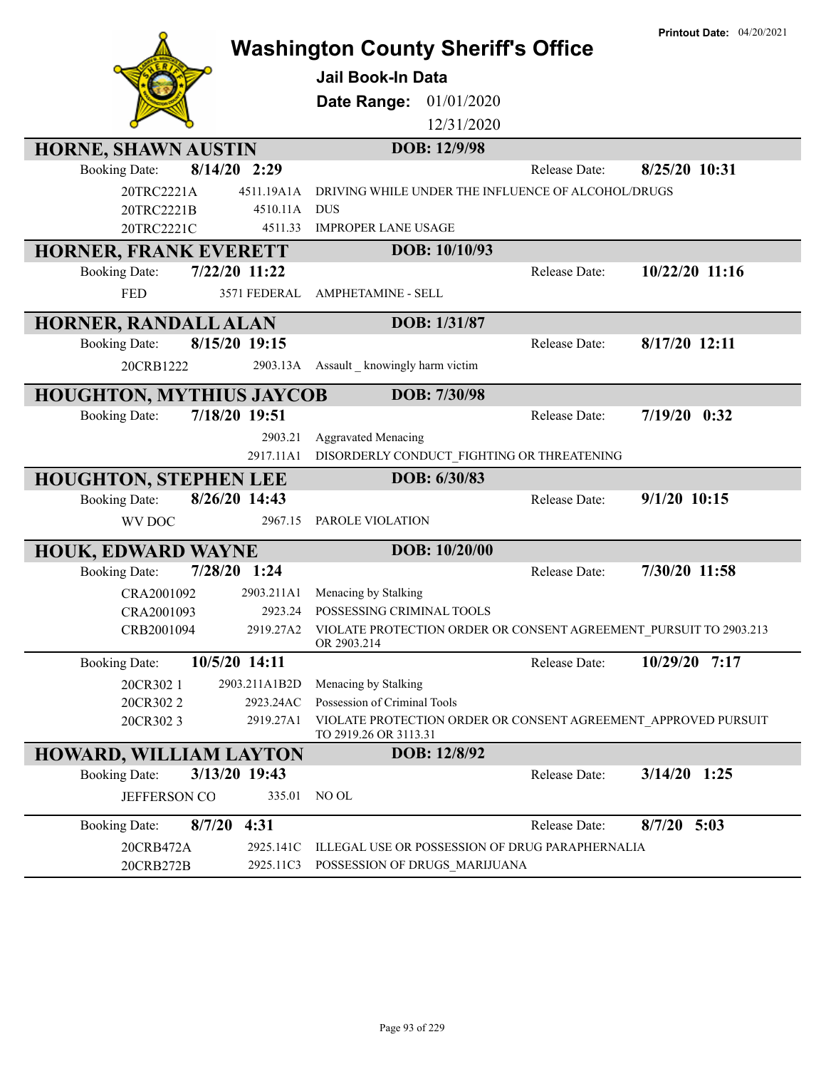|                                        | <b>Printout Date: 04/20/2021</b><br><b>Washington County Sheriff's Office</b>              |
|----------------------------------------|--------------------------------------------------------------------------------------------|
|                                        | Jail Book-In Data                                                                          |
|                                        | 01/01/2020<br>Date Range:                                                                  |
|                                        | 12/31/2020                                                                                 |
| HORNE, SHAWN AUSTIN                    | DOB: 12/9/98                                                                               |
| 8/14/20 2:29<br><b>Booking Date:</b>   | 8/25/20 10:31<br>Release Date:                                                             |
| 20TRC2221A<br>4511.19A1A               | DRIVING WHILE UNDER THE INFLUENCE OF ALCOHOL/DRUGS                                         |
| 20TRC2221B<br>4510.11A                 | <b>DUS</b>                                                                                 |
| 20TRC2221C<br>4511.33                  | <b>IMPROPER LANE USAGE</b>                                                                 |
| HORNER, FRANK EVERETT                  | DOB: 10/10/93                                                                              |
| 7/22/20 11:22<br><b>Booking Date:</b>  | 10/22/20 11:16<br>Release Date:                                                            |
| 3571 FEDERAL<br><b>FED</b>             | <b>AMPHETAMINE - SELL</b>                                                                  |
| HORNER, RANDALL ALAN                   | DOB: 1/31/87                                                                               |
| 8/15/20 19:15<br><b>Booking Date:</b>  | 8/17/20 12:11<br>Release Date:                                                             |
| 20CRB1222<br>2903.13A                  | Assault _ knowingly harm victim                                                            |
| <b>HOUGHTON, MYTHIUS JAYCOB</b>        | DOB: 7/30/98                                                                               |
| 7/18/20 19:51<br><b>Booking Date:</b>  | $7/19/20$ 0:32<br>Release Date:                                                            |
| 2903.21                                | <b>Aggravated Menacing</b>                                                                 |
| 2917.11A1                              | DISORDERLY CONDUCT_FIGHTING OR THREATENING                                                 |
| <b>HOUGHTON, STEPHEN LEE</b>           | DOB: 6/30/83                                                                               |
| 8/26/20 14:43<br><b>Booking Date:</b>  | $9/1/20$ 10:15<br>Release Date:                                                            |
| 2967.15<br>WV DOC                      | PAROLE VIOLATION                                                                           |
| <b>HOUK, EDWARD WAYNE</b>              | DOB: 10/20/00                                                                              |
| 7/28/20 1:24<br><b>Booking Date:</b>   | 7/30/20 11:58<br>Release Date:                                                             |
| CRA2001092<br>2903.211A1               | Menacing by Stalking                                                                       |
| CRA2001093<br>2923.24                  | POSSESSING CRIMINAL TOOLS                                                                  |
| CRB2001094                             | 2919.27A2 VIOLATE PROTECTION ORDER OR CONSENT AGREEMENT_PURSUIT TO 2903.213<br>OR 2903.214 |
| 10/5/20 14:11<br><b>Booking Date:</b>  | 10/29/20 7:17<br>Release Date:                                                             |
| 20CR302 1<br>2903.211A1B2D             | Menacing by Stalking                                                                       |
| 2923.24AC<br>20CR3022                  | Possession of Criminal Tools                                                               |
| 20CR3023<br>2919.27A1                  | VIOLATE PROTECTION ORDER OR CONSENT AGREEMENT APPROVED PURSUIT<br>TO 2919.26 OR 3113.31    |
| HOWARD, WILLIAM LAYTON                 | DOB: 12/8/92                                                                               |
| 3/13/20 19:43<br><b>Booking Date:</b>  | $3/14/20$ 1:25<br>Release Date:                                                            |
| JEFFERSON CO<br>335.01                 | NO OL                                                                                      |
| 8/7/20<br>4:31<br><b>Booking Date:</b> | $8/7/20$ 5:03<br>Release Date:                                                             |
| 2925.141C<br>20CRB472A                 | ILLEGAL USE OR POSSESSION OF DRUG PARAPHERNALIA                                            |
| 20CRB272B<br>2925.11C3                 | POSSESSION OF DRUGS_MARIJUANA                                                              |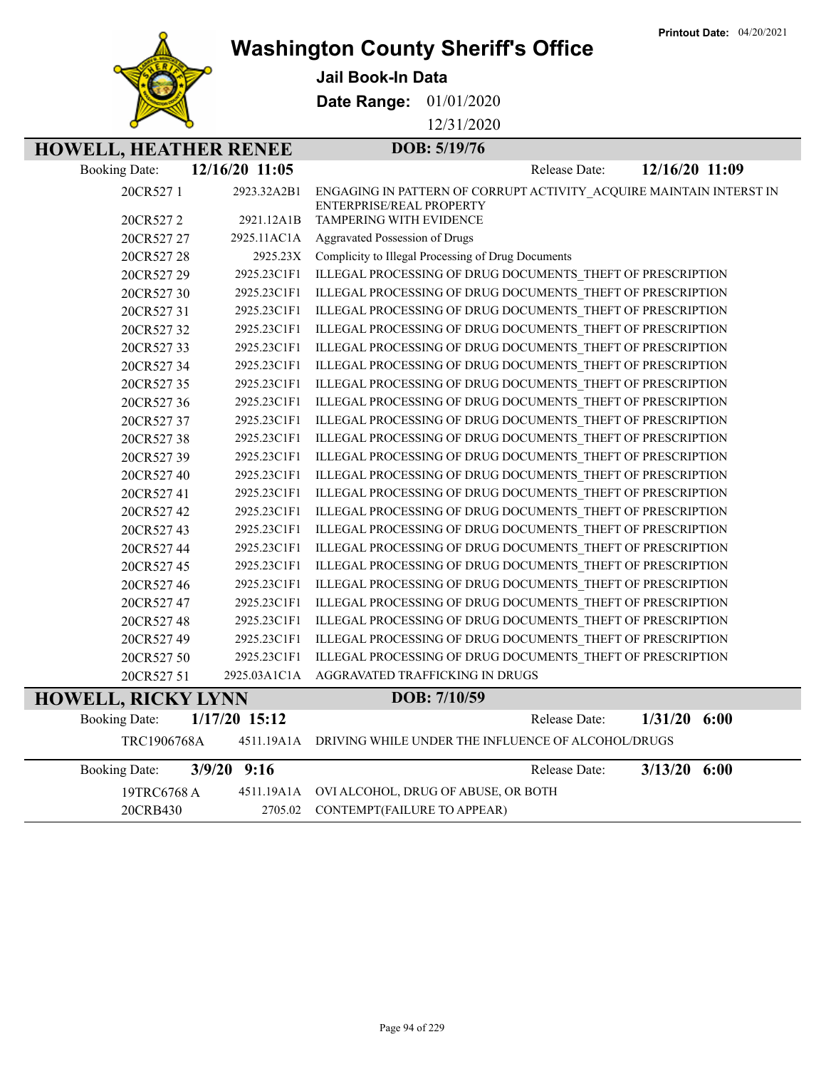**Printout Date:** 04/20/2021



**Washington County Sheriff's Office**

**Jail Book-In Data**

**Date Range:** 01/01/2020

12/31/2020

## **HOWELL, HEATHER RENEE DOB: 5/19/76**

| <b>Booking Date:</b>      | 12/16/20 11:05  | 12/16/20 11:09<br>Release Date:                                                                 |
|---------------------------|-----------------|-------------------------------------------------------------------------------------------------|
| 20CR5271                  | 2923.32A2B1     | ENGAGING IN PATTERN OF CORRUPT ACTIVITY ACQUIRE MAINTAIN INTERST IN<br>ENTERPRISE/REAL PROPERTY |
| 20CR5272                  | 2921.12A1B      | TAMPERING WITH EVIDENCE                                                                         |
| 20CR527 27                | 2925.11AC1A     | Aggravated Possession of Drugs                                                                  |
| 20CR527 28                | 2925.23X        | Complicity to Illegal Processing of Drug Documents                                              |
| 20CR527 29                | 2925.23C1F1     | ILLEGAL PROCESSING OF DRUG DOCUMENTS_THEFT OF PRESCRIPTION                                      |
| 20CR52730                 | 2925.23C1F1     | ILLEGAL PROCESSING OF DRUG DOCUMENTS_THEFT OF PRESCRIPTION                                      |
| 20CR52731                 | 2925.23C1F1     | ILLEGAL PROCESSING OF DRUG DOCUMENTS THEFT OF PRESCRIPTION                                      |
| 20CR52732                 | 2925.23C1F1     | ILLEGAL PROCESSING OF DRUG DOCUMENTS THEFT OF PRESCRIPTION                                      |
| 20CR52733                 | 2925.23C1F1     | ILLEGAL PROCESSING OF DRUG DOCUMENTS_THEFT OF PRESCRIPTION                                      |
| 20CR52734                 | 2925.23C1F1     | ILLEGAL PROCESSING OF DRUG DOCUMENTS_THEFT OF PRESCRIPTION                                      |
| 20CR527 35                | 2925.23C1F1     | ILLEGAL PROCESSING OF DRUG DOCUMENTS THEFT OF PRESCRIPTION                                      |
| 20CR52736                 | 2925.23C1F1     | ILLEGAL PROCESSING OF DRUG DOCUMENTS_THEFT OF PRESCRIPTION                                      |
| 20CR527 37                | 2925.23C1F1     | ILLEGAL PROCESSING OF DRUG DOCUMENTS_THEFT OF PRESCRIPTION                                      |
| 20CR52738                 | 2925.23C1F1     | ILLEGAL PROCESSING OF DRUG DOCUMENTS_THEFT OF PRESCRIPTION                                      |
| 20CR52739                 | 2925.23C1F1     | ILLEGAL PROCESSING OF DRUG DOCUMENTS THEFT OF PRESCRIPTION                                      |
| 20CR52740                 | 2925.23C1F1     | ILLEGAL PROCESSING OF DRUG DOCUMENTS_THEFT OF PRESCRIPTION                                      |
| 20CR52741                 | 2925.23C1F1     | ILLEGAL PROCESSING OF DRUG DOCUMENTS_THEFT OF PRESCRIPTION                                      |
| 20CR527 42                | 2925.23C1F1     | ILLEGAL PROCESSING OF DRUG DOCUMENTS_THEFT OF PRESCRIPTION                                      |
| 20CR52743                 | 2925.23C1F1     | ILLEGAL PROCESSING OF DRUG DOCUMENTS THEFT OF PRESCRIPTION                                      |
| 20CR52744                 | 2925.23C1F1     | ILLEGAL PROCESSING OF DRUG DOCUMENTS THEFT OF PRESCRIPTION                                      |
| 20CR52745                 | 2925.23C1F1     | ILLEGAL PROCESSING OF DRUG DOCUMENTS_THEFT OF PRESCRIPTION                                      |
| 20CR52746                 | 2925.23C1F1     | ILLEGAL PROCESSING OF DRUG DOCUMENTS THEFT OF PRESCRIPTION                                      |
| 20CR52747                 | 2925.23C1F1     | ILLEGAL PROCESSING OF DRUG DOCUMENTS THEFT OF PRESCRIPTION                                      |
| 20CR52748                 | 2925.23C1F1     | ILLEGAL PROCESSING OF DRUG DOCUMENTS THEFT OF PRESCRIPTION                                      |
| 20CR527 49                | 2925.23C1F1     | ILLEGAL PROCESSING OF DRUG DOCUMENTS_THEFT OF PRESCRIPTION                                      |
| 20CR52750                 | 2925.23C1F1     | ILLEGAL PROCESSING OF DRUG DOCUMENTS THEFT OF PRESCRIPTION                                      |
| 20CR527 51                | 2925.03A1C1A    | AGGRAVATED TRAFFICKING IN DRUGS                                                                 |
| <b>HOWELL, RICKY LYNN</b> |                 | DOB: 7/10/59                                                                                    |
| <b>Booking Date:</b>      | $1/17/20$ 15:12 | 1/31/20<br>6:00<br>Release Date:                                                                |
| TRC1906768A               |                 | 4511.19A1A DRIVING WHILE UNDER THE INFLUENCE OF ALCOHOL/DRUGS                                   |
| <b>Booking Date:</b>      | $3/9/20$ 9:16   | 6:00<br>3/13/20<br>Release Date:                                                                |
| 19TRC6768 A               |                 | 4511.19A1A OVI ALCOHOL, DRUG OF ABUSE, OR BOTH                                                  |

20CRB430 2705.02 CONTEMPT(FAILURE TO APPEAR)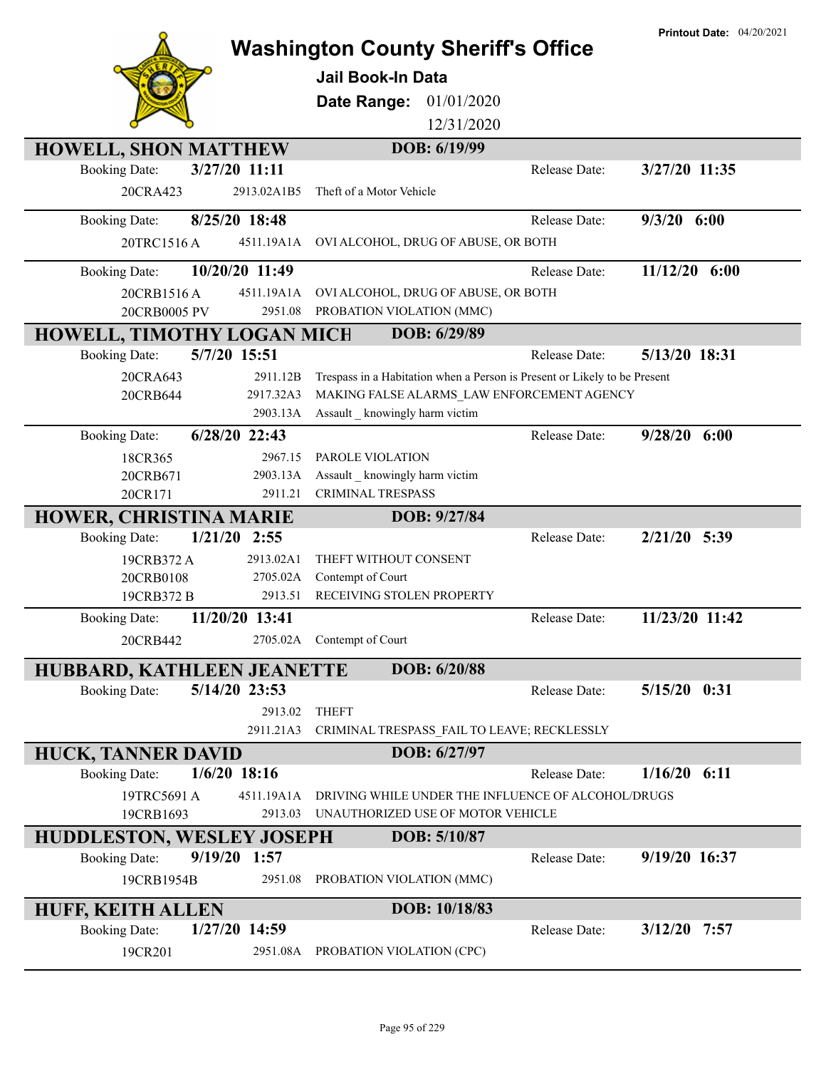|                                        | <b>Washington County Sheriff's Office</b>                                   | <b>Printout Date: 04/20/2021</b> |
|----------------------------------------|-----------------------------------------------------------------------------|----------------------------------|
|                                        | <b>Jail Book-In Data</b>                                                    |                                  |
|                                        | Date Range:<br>01/01/2020                                                   |                                  |
|                                        | 12/31/2020                                                                  |                                  |
| <b>HOWELL, SHON MATTHEW</b>            | DOB: 6/19/99                                                                |                                  |
| 3/27/20 11:11<br><b>Booking Date:</b>  | Release Date:                                                               | 3/27/20 11:35                    |
| 20CRA423<br>2913.02A1B5                | Theft of a Motor Vehicle                                                    |                                  |
| 8/25/20 18:48<br><b>Booking Date:</b>  | Release Date:                                                               | $9/3/20$ 6:00                    |
| 20TRC1516A                             | 4511.19A1A OVI ALCOHOL, DRUG OF ABUSE, OR BOTH                              |                                  |
| 10/20/20 11:49<br><b>Booking Date:</b> | Release Date:                                                               | $11/12/20$ 6:00                  |
| 20CRB1516A<br>4511.19A1A               | OVI ALCOHOL, DRUG OF ABUSE, OR BOTH                                         |                                  |
| 20CRB0005 PV<br>2951.08                | PROBATION VIOLATION (MMC)                                                   |                                  |
| HOWELL, TIMOTHY LOGAN MICH             | DOB: 6/29/89                                                                |                                  |
| 5/7/20 15:51<br><b>Booking Date:</b>   | Release Date:                                                               | 5/13/20 18:31                    |
| 2911.12B<br>20CRA643                   | Trespass in a Habitation when a Person is Present or Likely to be Present   |                                  |
| 2917.32A3<br>20CRB644<br>2903.13A      | MAKING FALSE ALARMS LAW ENFORCEMENT AGENCY<br>Assault knowingly harm victim |                                  |
| 6/28/20 22:43<br><b>Booking Date:</b>  | Release Date:                                                               | $9/28/20$ 6:00                   |
| 18CR365<br>2967.15                     | PAROLE VIOLATION                                                            |                                  |
| 20CRB671<br>2903.13A                   | Assault _ knowingly harm victim                                             |                                  |
| 20CR171<br>2911.21                     | <b>CRIMINAL TRESPASS</b>                                                    |                                  |
| <b>HOWER, CHRISTINA MARIE</b>          | DOB: 9/27/84                                                                |                                  |
| $1/21/20$ 2:55<br><b>Booking Date:</b> | Release Date:                                                               | $2/21/20$ 5:39                   |
| 2913.02A1<br>19CRB372 A                | THEFT WITHOUT CONSENT                                                       |                                  |
| 20CRB0108<br>2705.02A                  | Contempt of Court                                                           |                                  |
| 19CRB372 B<br>2913.51                  | RECEIVING STOLEN PROPERTY                                                   |                                  |
| 11/20/20 13:41<br><b>Booking Date:</b> | Release Date:                                                               | 11/23/20 11:42                   |
| 20CRB442                               | 2705.02A Contempt of Court                                                  |                                  |
| HUBBARD, KATHLEEN JEANETTE             | DOB: 6/20/88                                                                |                                  |
| 5/14/20 23:53<br><b>Booking Date:</b>  | Release Date:                                                               | $5/15/20$ 0:31                   |
| 2913.02                                | <b>THEFT</b>                                                                |                                  |
| 2911.21A3                              | CRIMINAL TRESPASS_FAIL TO LEAVE; RECKLESSLY                                 |                                  |
| <b>HUCK, TANNER DAVID</b>              | DOB: 6/27/97                                                                |                                  |
| <b>Booking Date:</b><br>$1/6/20$ 18:16 | Release Date:                                                               | $1/16/20$ 6:11                   |
| 19TRC5691 A<br>4511.19A1A              | DRIVING WHILE UNDER THE INFLUENCE OF ALCOHOL/DRUGS                          |                                  |
| 19CRB1693<br>2913.03                   | UNAUTHORIZED USE OF MOTOR VEHICLE                                           |                                  |
| <b>HUDDLESTON, WESLEY JOSEPH</b>       | DOB: 5/10/87                                                                |                                  |
| 9/19/20 1:57<br><b>Booking Date:</b>   | Release Date:                                                               | 9/19/20 16:37                    |
| 19CRB1954B<br>2951.08                  | PROBATION VIOLATION (MMC)                                                   |                                  |
| <b>HUFF, KEITH ALLEN</b>               | DOB: 10/18/83                                                               |                                  |
| 1/27/20 14:59<br><b>Booking Date:</b>  | Release Date:                                                               | $3/12/20$ 7:57                   |
| 19CR201<br>2951.08A                    | PROBATION VIOLATION (CPC)                                                   |                                  |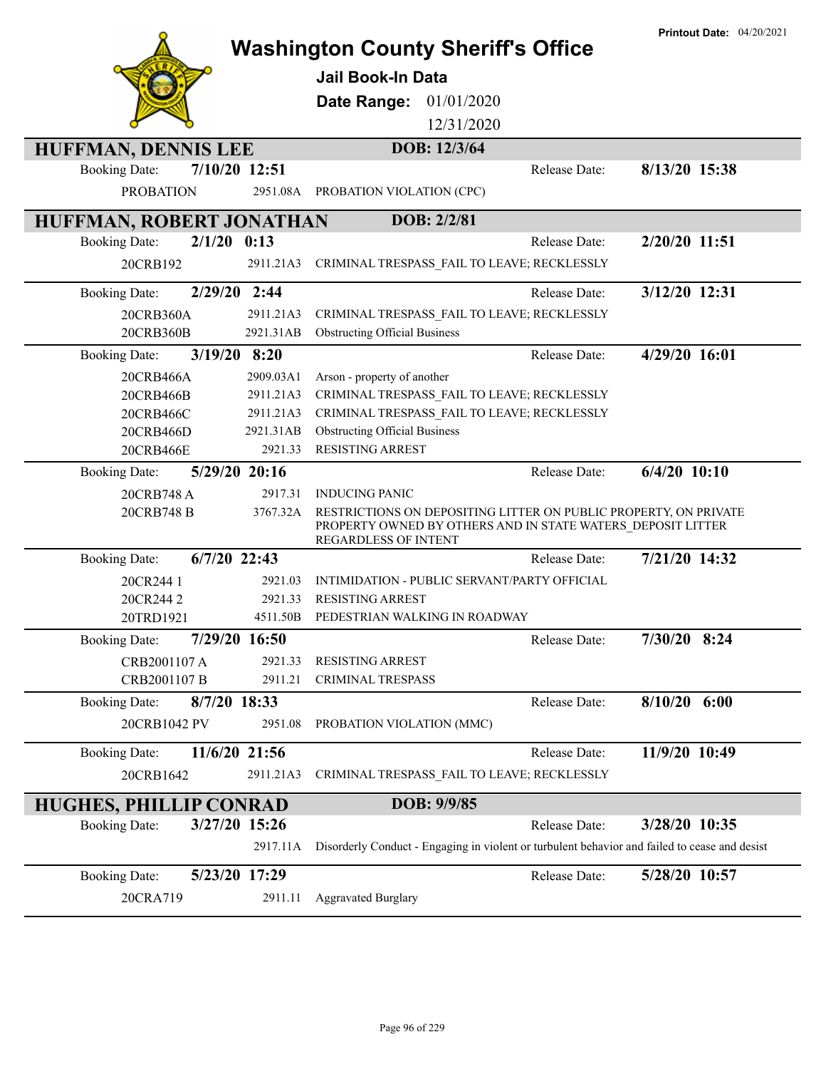|                                                                        |                                                                                                                                                         | Printout Date: 04/20/2021 |
|------------------------------------------------------------------------|---------------------------------------------------------------------------------------------------------------------------------------------------------|---------------------------|
|                                                                        | <b>Washington County Sheriff's Office</b>                                                                                                               |                           |
|                                                                        | <b>Jail Book-In Data</b>                                                                                                                                |                           |
|                                                                        | 01/01/2020<br>Date Range:                                                                                                                               |                           |
|                                                                        | 12/31/2020                                                                                                                                              |                           |
| HUFFMAN, DENNIS LEE                                                    | DOB: 12/3/64                                                                                                                                            |                           |
| 7/10/20 12:51<br><b>Booking Date:</b>                                  | Release Date:                                                                                                                                           | 8/13/20 15:38             |
| <b>PROBATION</b><br>2951.08A                                           | PROBATION VIOLATION (CPC)                                                                                                                               |                           |
| HUFFMAN, ROBERT JONATHAN                                               | DOB: 2/2/81                                                                                                                                             |                           |
| $2/1/20$ 0:13<br><b>Booking Date:</b>                                  | Release Date:                                                                                                                                           | 2/20/20 11:51             |
| 20CRB192<br>2911.21A3                                                  | CRIMINAL TRESPASS_FAIL TO LEAVE; RECKLESSLY                                                                                                             |                           |
| 2/29/20 2:44<br><b>Booking Date:</b>                                   | Release Date:                                                                                                                                           | 3/12/20 12:31             |
| 20CRB360A<br>2911.21A3                                                 | CRIMINAL TRESPASS_FAIL TO LEAVE; RECKLESSLY                                                                                                             |                           |
| 20CRB360B<br>2921.31AB                                                 | <b>Obstructing Official Business</b>                                                                                                                    |                           |
| 3/19/20 8:20<br><b>Booking Date:</b>                                   | Release Date:                                                                                                                                           | 4/29/20 16:01             |
| 2909.03A1<br>20CRB466A                                                 | Arson - property of another                                                                                                                             |                           |
| 2911.21A3<br>20CRB466B                                                 | CRIMINAL TRESPASS_FAIL TO LEAVE; RECKLESSLY                                                                                                             |                           |
| 2911.21A3<br>20CRB466C                                                 | CRIMINAL TRESPASS FAIL TO LEAVE; RECKLESSLY                                                                                                             |                           |
| 2921.31AB<br>20CRB466D                                                 | <b>Obstructing Official Business</b>                                                                                                                    |                           |
| 2921.33<br>20CRB466E                                                   | <b>RESISTING ARREST</b>                                                                                                                                 |                           |
| 5/29/20 20:16<br><b>Booking Date:</b>                                  | Release Date:                                                                                                                                           | $6/4/20$ 10:10            |
| 20CRB748 A<br>2917.31                                                  | <b>INDUCING PANIC</b>                                                                                                                                   |                           |
| 20CRB748 B<br>3767.32A                                                 | RESTRICTIONS ON DEPOSITING LITTER ON PUBLIC PROPERTY, ON PRIVATE<br>PROPERTY OWNED BY OTHERS AND IN STATE WATERS DEPOSIT LITTER<br>REGARDLESS OF INTENT |                           |
| $6/7/20$ 22:43<br><b>Booking Date:</b>                                 | Release Date:                                                                                                                                           | 7/21/20 14:32             |
| 2921.03<br>20CR244 1                                                   | INTIMIDATION - PUBLIC SERVANT/PARTY OFFICIAL                                                                                                            |                           |
| 2921.33<br>20CR2442                                                    | <b>RESISTING ARREST</b>                                                                                                                                 |                           |
| 20TRD1921<br>4511.50B                                                  | PEDESTRIAN WALKING IN ROADWAY                                                                                                                           |                           |
| 7/29/20 16:50<br><b>Booking Date:</b>                                  | Release Date:                                                                                                                                           | 7/30/20 8:24              |
| CRB2001107 A<br>2921.33                                                | <b>RESISTING ARREST</b>                                                                                                                                 |                           |
| CRB2001107 B<br>2911.21                                                | <b>CRIMINAL TRESPASS</b>                                                                                                                                |                           |
| <b>Booking Date:</b><br>8/7/20 18:33                                   | Release Date:                                                                                                                                           | $8/10/20$ 6:00            |
| 20CRB1042 PV<br>2951.08                                                | PROBATION VIOLATION (MMC)                                                                                                                               |                           |
| 11/6/20 21:56<br><b>Booking Date:</b>                                  | Release Date:                                                                                                                                           | 11/9/20 10:49             |
| 20CRB1642<br>2911.21A3                                                 | CRIMINAL TRESPASS FAIL TO LEAVE; RECKLESSLY                                                                                                             |                           |
|                                                                        | DOB: 9/9/85                                                                                                                                             |                           |
| <b>HUGHES, PHILLIP CONRAD</b><br>3/27/20 15:26<br><b>Booking Date:</b> | Release Date:                                                                                                                                           | 3/28/20 10:35             |
| 2917.11A                                                               | Disorderly Conduct - Engaging in violent or turbulent behavior and failed to cease and desist                                                           |                           |
|                                                                        |                                                                                                                                                         |                           |
| 5/23/20 17:29<br><b>Booking Date:</b>                                  | Release Date:                                                                                                                                           | 5/28/20 10:57             |
| 2911.11<br>20CRA719                                                    | <b>Aggravated Burglary</b>                                                                                                                              |                           |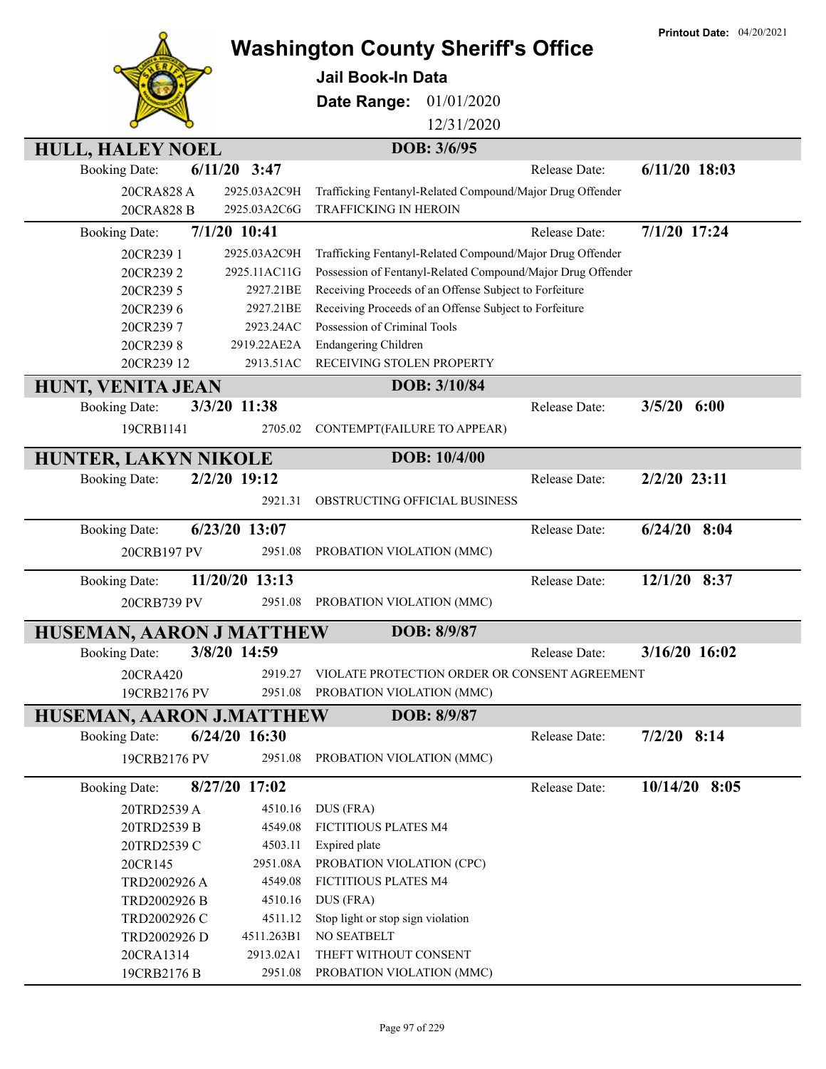|                          |                 |                                                             | <b>Printout Date: 04/20/2021</b> |
|--------------------------|-----------------|-------------------------------------------------------------|----------------------------------|
|                          |                 | <b>Washington County Sheriff's Office</b>                   |                                  |
|                          |                 | Jail Book-In Data                                           |                                  |
|                          |                 | 01/01/2020<br>Date Range:                                   |                                  |
|                          |                 | 12/31/2020                                                  |                                  |
| <b>HULL, HALEY NOEL</b>  |                 | DOB: 3/6/95                                                 |                                  |
| <b>Booking Date:</b>     | $6/11/20$ 3:47  | Release Date:                                               | $6/11/20$ 18:03                  |
| 20CRA828 A               | 2925.03A2C9H    | Trafficking Fentanyl-Related Compound/Major Drug Offender   |                                  |
| 20CRA828 B               | 2925.03A2C6G    | <b>TRAFFICKING IN HEROIN</b>                                |                                  |
| <b>Booking Date:</b>     | 7/1/20 10:41    | Release Date:                                               | 7/1/20 17:24                     |
| 20CR239 1                | 2925.03A2C9H    | Trafficking Fentanyl-Related Compound/Major Drug Offender   |                                  |
| 20CR2392                 | 2925.11AC11G    | Possession of Fentanyl-Related Compound/Major Drug Offender |                                  |
| 20CR239 5                | 2927.21BE       | Receiving Proceeds of an Offense Subject to Forfeiture      |                                  |
| 20CR2396                 | 2927.21BE       | Receiving Proceeds of an Offense Subject to Forfeiture      |                                  |
| 20CR2397                 | 2923.24AC       | Possession of Criminal Tools                                |                                  |
| 20CR2398                 | 2919.22AE2A     | Endangering Children                                        |                                  |
| 20CR239 12               | 2913.51AC       | RECEIVING STOLEN PROPERTY                                   |                                  |
| <b>HUNT, VENITA JEAN</b> |                 | DOB: 3/10/84                                                |                                  |
| <b>Booking Date:</b>     | 3/3/20 11:38    | Release Date:                                               | 3/5/20<br>6:00                   |
| 19CRB1141                | 2705.02         | CONTEMPT(FAILURE TO APPEAR)                                 |                                  |
| HUNTER, LAKYN NIKOLE     |                 | DOB: 10/4/00                                                |                                  |
| <b>Booking Date:</b>     | 2/2/20 19:12    | Release Date:                                               | 2/2/20 23:11                     |
|                          | 2921.31         | OBSTRUCTING OFFICIAL BUSINESS                               |                                  |
| <b>Booking Date:</b>     | 6/23/20 13:07   | Release Date:                                               | $6/24/20$ 8:04                   |
| 20CRB197 PV              | 2951.08         | PROBATION VIOLATION (MMC)                                   |                                  |
| <b>Booking Date:</b>     | 11/20/20 13:13  | Release Date:                                               | 12/1/20 8:37                     |
| 20CRB739 PV              | 2951.08         | PROBATION VIOLATION (MMC)                                   |                                  |
| HUSEMAN, AARON J MATTHEW |                 | DOB: 8/9/87                                                 |                                  |
| <b>Booking Date:</b>     | 3/8/20 14:59    | Release Date:                                               | 3/16/20 16:02                    |
|                          | 2919.27         | VIOLATE PROTECTION ORDER OR CONSENT AGREEMENT               |                                  |
| 20CRA420<br>19CRB2176 PV | 2951.08         | PROBATION VIOLATION (MMC)                                   |                                  |
|                          |                 |                                                             |                                  |
| HUSEMAN, AARON J.MATTHEW |                 | DOB: 8/9/87                                                 |                                  |
| <b>Booking Date:</b>     | $6/24/20$ 16:30 | Release Date:                                               | $7/2/20$ 8:14                    |
| 19CRB2176 PV             | 2951.08         | PROBATION VIOLATION (MMC)                                   |                                  |
| <b>Booking Date:</b>     | 8/27/20 17:02   | Release Date:                                               | $10/14/20$ 8:05                  |
| 20TRD2539 A              | 4510.16         | DUS (FRA)                                                   |                                  |
| 20TRD2539 B              | 4549.08         | FICTITIOUS PLATES M4                                        |                                  |
| 20TRD2539 C              | 4503.11         | Expired plate                                               |                                  |
| 20CR145                  | 2951.08A        | PROBATION VIOLATION (CPC)                                   |                                  |
| TRD2002926 A             | 4549.08         | FICTITIOUS PLATES M4                                        |                                  |
| TRD2002926 B             | 4510.16         | DUS (FRA)                                                   |                                  |
| TRD2002926 C             | 4511.12         | Stop light or stop sign violation                           |                                  |
| TRD2002926 D             | 4511.263B1      | NO SEATBELT                                                 |                                  |
| 20CRA1314                | 2913.02A1       | THEFT WITHOUT CONSENT                                       |                                  |
| 19CRB2176 B              | 2951.08         | PROBATION VIOLATION (MMC)                                   |                                  |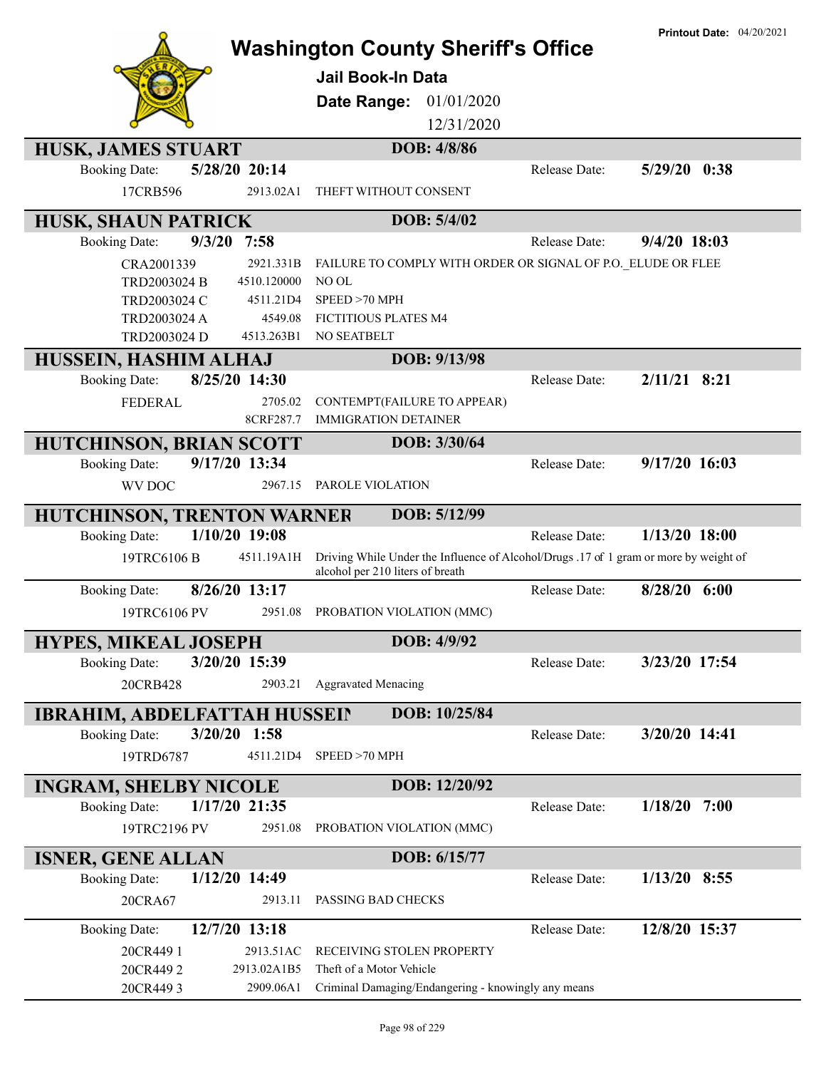|                                                                             | <b>Washington County Sheriff's Office</b>                                                                                 |                      | <b>Printout Date: 04/20/2021</b> |
|-----------------------------------------------------------------------------|---------------------------------------------------------------------------------------------------------------------------|----------------------|----------------------------------|
|                                                                             | <b>Jail Book-In Data</b>                                                                                                  |                      |                                  |
|                                                                             | Date Range:<br>01/01/2020                                                                                                 |                      |                                  |
|                                                                             | 12/31/2020                                                                                                                |                      |                                  |
| HUSK, JAMES STUART                                                          | DOB: 4/8/86                                                                                                               |                      |                                  |
| 5/28/20 20:14<br><b>Booking Date:</b>                                       |                                                                                                                           | Release Date:        | $5/29/20$ 0:38                   |
| 17CRB596<br>2913.02A1                                                       | THEFT WITHOUT CONSENT                                                                                                     |                      |                                  |
| <b>HUSK, SHAUN PATRICK</b>                                                  | DOB: 5/4/02                                                                                                               |                      |                                  |
| 9/3/20<br><b>Booking Date:</b><br>7:58                                      |                                                                                                                           | <b>Release Date:</b> | $9/4/20$ 18:03                   |
| 2921.331B<br>CRA2001339                                                     | FAILURE TO COMPLY WITH ORDER OR SIGNAL OF P.O. ELUDE OR FLEE                                                              |                      |                                  |
| TRD2003024 B<br>4510.120000                                                 | NO OL                                                                                                                     |                      |                                  |
| TRD2003024 C<br>4511.21D4                                                   | SPEED > 70 MPH                                                                                                            |                      |                                  |
| 4549.08<br>TRD2003024 A                                                     | FICTITIOUS PLATES M4                                                                                                      |                      |                                  |
| TRD2003024 D<br>4513.263B1                                                  | NO SEATBELT                                                                                                               |                      |                                  |
| HUSSEIN, HASHIM ALHAJ                                                       | DOB: 9/13/98                                                                                                              |                      |                                  |
| 8/25/20 14:30<br><b>Booking Date:</b>                                       |                                                                                                                           | Release Date:        | $2/11/21$ 8:21                   |
| <b>FEDERAL</b><br>2705.02                                                   | CONTEMPT(FAILURE TO APPEAR)                                                                                               |                      |                                  |
| 8CRF287.7                                                                   | <b>IMMIGRATION DETAINER</b>                                                                                               |                      |                                  |
| <b>HUTCHINSON, BRIAN SCOTT</b>                                              | DOB: 3/30/64                                                                                                              |                      |                                  |
| 9/17/20 13:34<br><b>Booking Date:</b>                                       |                                                                                                                           | Release Date:        | $9/17/20$ 16:03                  |
| WV DOC<br>2967.15                                                           | PAROLE VIOLATION                                                                                                          |                      |                                  |
| HUTCHINSON, TRENTON WARNER                                                  | DOB: 5/12/99                                                                                                              |                      |                                  |
| 1/10/20 19:08<br><b>Booking Date:</b>                                       |                                                                                                                           | <b>Release Date:</b> | $1/13/20$ 18:00                  |
| 4511.19A1H<br>19TRC6106 B                                                   | Driving While Under the Influence of Alcohol/Drugs .17 of 1 gram or more by weight of<br>alcohol per 210 liters of breath |                      |                                  |
| 8/26/20 13:17<br><b>Booking Date:</b>                                       |                                                                                                                           | Release Date:        | 8/28/20 6:00                     |
| 19TRC6106 PV<br>2951.08                                                     | PROBATION VIOLATION (MMC)                                                                                                 |                      |                                  |
| <b>HYPES, MIKEAL JOSEPH</b>                                                 | DOB: 4/9/92                                                                                                               |                      |                                  |
| 3/20/20 15:39<br><b>Booking Date:</b>                                       |                                                                                                                           | Release Date:        | 3/23/20 17:54                    |
| 20CRB428<br>2903.21                                                         | <b>Aggravated Menacing</b>                                                                                                |                      |                                  |
|                                                                             | DOB: 10/25/84                                                                                                             |                      |                                  |
| <b>IBRAHIM, ABDELFATTAH HUSSEIN</b><br>3/20/20 1:58<br><b>Booking Date:</b> |                                                                                                                           | Release Date:        | 3/20/20 14:41                    |
|                                                                             |                                                                                                                           |                      |                                  |
| 19TRD6787<br>4511.21D4                                                      | SPEED >70 MPH                                                                                                             |                      |                                  |
| <b>INGRAM, SHELBY NICOLE</b>                                                | DOB: 12/20/92                                                                                                             |                      |                                  |
| 1/17/20 21:35<br><b>Booking Date:</b>                                       |                                                                                                                           | Release Date:        | 1/18/20<br>7:00                  |
| 19TRC2196 PV<br>2951.08                                                     | PROBATION VIOLATION (MMC)                                                                                                 |                      |                                  |
| <b>ISNER, GENE ALLAN</b>                                                    | DOB: 6/15/77                                                                                                              |                      |                                  |
| <b>Booking Date:</b><br>1/12/20 14:49                                       |                                                                                                                           | Release Date:        | $1/13/20$ 8:55                   |
| 20CRA67<br>2913.11                                                          | PASSING BAD CHECKS                                                                                                        |                      |                                  |
| 12/7/20 13:18<br><b>Booking Date:</b>                                       |                                                                                                                           | Release Date:        | 12/8/20 15:37                    |
| 20CR449 1<br>2913.51AC                                                      | RECEIVING STOLEN PROPERTY                                                                                                 |                      |                                  |
| 20CR4492<br>2913.02A1B5                                                     | Theft of a Motor Vehicle                                                                                                  |                      |                                  |
| 20CR4493<br>2909.06A1                                                       | Criminal Damaging/Endangering - knowingly any means                                                                       |                      |                                  |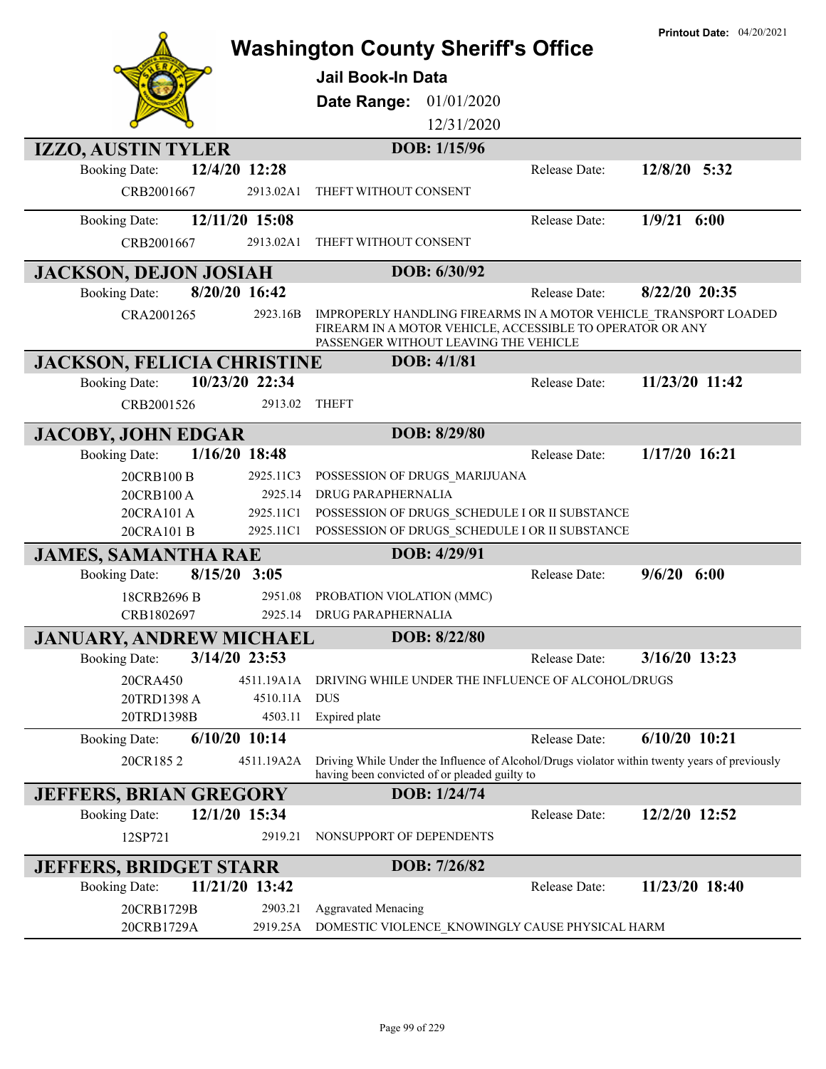|                                   |                 | <b>Washington County Sheriff's Office</b><br><b>Jail Book-In Data</b><br>Date Range: 01/01/2020 |                    |                                                           | <b>Printout Date: 04/20/2021</b>                                                              |
|-----------------------------------|-----------------|-------------------------------------------------------------------------------------------------|--------------------|-----------------------------------------------------------|-----------------------------------------------------------------------------------------------|
|                                   |                 |                                                                                                 | 12/31/2020         |                                                           |                                                                                               |
| <b>IZZO, AUSTIN TYLER</b>         |                 |                                                                                                 | DOB: 1/15/96       |                                                           |                                                                                               |
| <b>Booking Date:</b>              | 12/4/20 12:28   |                                                                                                 |                    | Release Date:                                             | 12/8/20 5:32                                                                                  |
| CRB2001667                        | 2913.02A1       | THEFT WITHOUT CONSENT                                                                           |                    |                                                           |                                                                                               |
| <b>Booking Date:</b>              | 12/11/20 15:08  |                                                                                                 |                    | Release Date:                                             | $1/9/21$ 6:00                                                                                 |
| CRB2001667                        | 2913.02A1       | THEFT WITHOUT CONSENT                                                                           |                    |                                                           |                                                                                               |
| <b>JACKSON, DEJON JOSIAH</b>      |                 |                                                                                                 | DOB: 6/30/92       |                                                           |                                                                                               |
| <b>Booking Date:</b>              | 8/20/20 16:42   |                                                                                                 |                    | Release Date:                                             | 8/22/20 20:35                                                                                 |
| CRA2001265                        | 2923.16B        | PASSENGER WITHOUT LEAVING THE VEHICLE                                                           |                    | FIREARM IN A MOTOR VEHICLE, ACCESSIBLE TO OPERATOR OR ANY | IMPROPERLY HANDLING FIREARMS IN A MOTOR VEHICLE TRANSPORT LOADED                              |
| <b>JACKSON, FELICIA CHRISTINE</b> |                 |                                                                                                 | <b>DOB: 4/1/81</b> |                                                           |                                                                                               |
| <b>Booking Date:</b>              | 10/23/20 22:34  |                                                                                                 |                    | Release Date:                                             | 11/23/20 11:42                                                                                |
| CRB2001526                        | 2913.02         | <b>THEFT</b>                                                                                    |                    |                                                           |                                                                                               |
| <b>JACOBY, JOHN EDGAR</b>         |                 |                                                                                                 | DOB: 8/29/80       |                                                           |                                                                                               |
| <b>Booking Date:</b>              | 1/16/20 18:48   |                                                                                                 |                    | Release Date:                                             | 1/17/20 16:21                                                                                 |
| 20CRB100 B                        | 2925.11C3       | POSSESSION OF DRUGS MARIJUANA                                                                   |                    |                                                           |                                                                                               |
| 20CRB100 A                        | 2925.14         | DRUG PARAPHERNALIA                                                                              |                    |                                                           |                                                                                               |
| 20CRA101 A                        | 2925.11C1       |                                                                                                 |                    | POSSESSION OF DRUGS SCHEDULE I OR II SUBSTANCE            |                                                                                               |
| 20CRA101 B                        | 2925.11C1       |                                                                                                 |                    | POSSESSION OF DRUGS SCHEDULE I OR II SUBSTANCE            |                                                                                               |
| <b>JAMES, SAMANTHA RAE</b>        |                 |                                                                                                 | DOB: 4/29/91       |                                                           |                                                                                               |
| <b>Booking Date:</b>              | $8/15/20$ 3:05  |                                                                                                 |                    | Release Date:                                             | $9/6/20$ 6:00                                                                                 |
| 18CRB2696 B                       | 2951.08         | PROBATION VIOLATION (MMC)                                                                       |                    |                                                           |                                                                                               |
| CRB1802697                        | 2925.14         | DRUG PARAPHERNALIA                                                                              |                    |                                                           |                                                                                               |
| <b>JANUARY, ANDREW MICHAEL</b>    |                 |                                                                                                 | DOB: 8/22/80       |                                                           |                                                                                               |
| <b>Booking Date:</b>              | 3/14/20 23:53   |                                                                                                 |                    | Release Date:                                             | 3/16/20 13:23                                                                                 |
| 20CRA450                          | 4511.19A1A      |                                                                                                 |                    | DRIVING WHILE UNDER THE INFLUENCE OF ALCOHOL/DRUGS        |                                                                                               |
| 20TRD1398 A                       | 4510.11A        | <b>DUS</b>                                                                                      |                    |                                                           |                                                                                               |
| 20TRD1398B                        | 4503.11         | Expired plate                                                                                   |                    |                                                           |                                                                                               |
| <b>Booking Date:</b>              | $6/10/20$ 10:14 |                                                                                                 |                    | Release Date:                                             | $6/10/20$ 10:21                                                                               |
| 20CR1852                          | 4511.19A2A      | having been convicted of or pleaded guilty to                                                   |                    |                                                           | Driving While Under the Influence of Alcohol/Drugs violator within twenty years of previously |
| <b>JEFFERS, BRIAN GREGORY</b>     |                 |                                                                                                 | DOB: 1/24/74       |                                                           |                                                                                               |
| <b>Booking Date:</b>              | 12/1/20 15:34   |                                                                                                 |                    | Release Date:                                             | 12/2/20 12:52                                                                                 |
| 12SP721                           | 2919.21         | NONSUPPORT OF DEPENDENTS                                                                        |                    |                                                           |                                                                                               |
| <b>JEFFERS, BRIDGET STARR</b>     |                 |                                                                                                 | DOB: 7/26/82       |                                                           |                                                                                               |
| <b>Booking Date:</b>              | 11/21/20 13:42  |                                                                                                 |                    | Release Date:                                             | 11/23/20 18:40                                                                                |
| 20CRB1729B                        | 2903.21         | <b>Aggravated Menacing</b>                                                                      |                    |                                                           |                                                                                               |
| 20CRB1729A                        | 2919.25A        |                                                                                                 |                    | DOMESTIC VIOLENCE_KNOWINGLY CAUSE PHYSICAL HARM           |                                                                                               |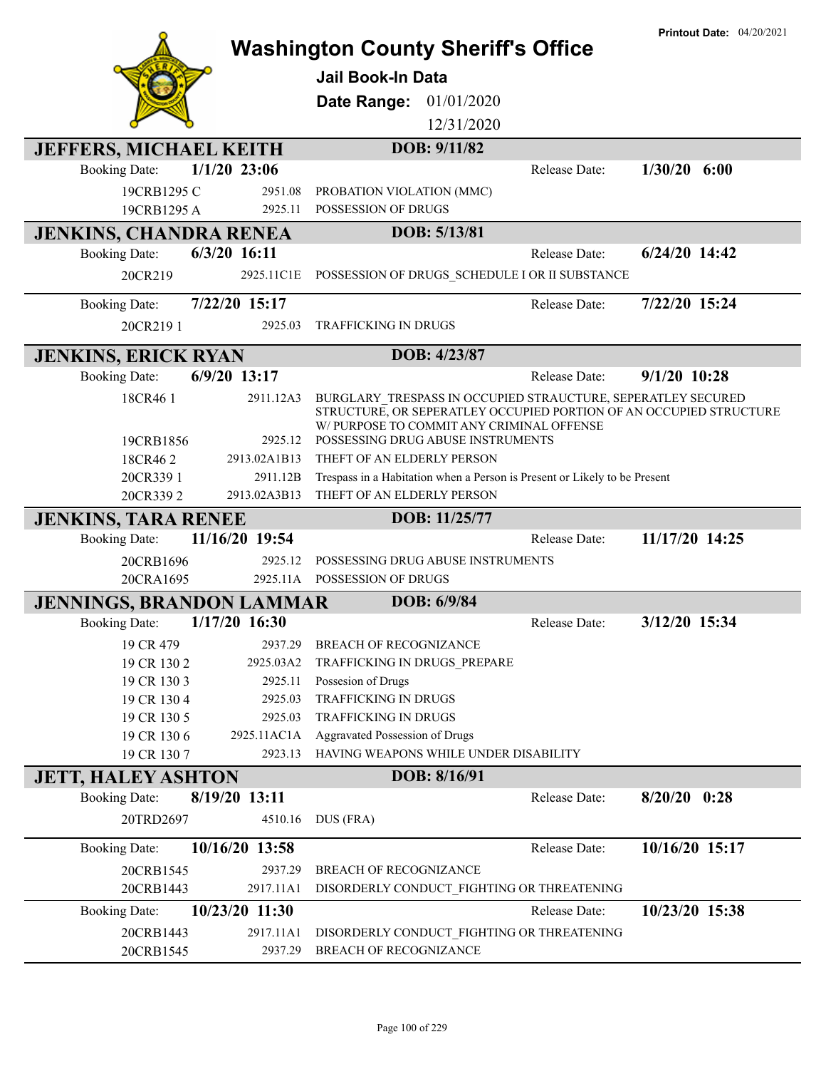|                                 |                      | <b>Washington County Sheriff's Office</b>                                                                      |               | <b>Printout Date: 04/20/2021</b> |
|---------------------------------|----------------------|----------------------------------------------------------------------------------------------------------------|---------------|----------------------------------|
|                                 |                      |                                                                                                                |               |                                  |
|                                 |                      | Jail Book-In Data                                                                                              |               |                                  |
|                                 |                      | Date Range:<br>01/01/2020                                                                                      |               |                                  |
|                                 |                      | 12/31/2020                                                                                                     |               |                                  |
| <b>JEFFERS, MICHAEL KEITH</b>   |                      | DOB: 9/11/82                                                                                                   |               |                                  |
| <b>Booking Date:</b>            | $1/1/20$ 23:06       |                                                                                                                | Release Date: | $1/30/20$ 6:00                   |
| 19CRB1295 C                     | 2951.08              | PROBATION VIOLATION (MMC)                                                                                      |               |                                  |
| 19CRB1295 A                     | 2925.11              | POSSESSION OF DRUGS                                                                                            |               |                                  |
| <b>JENKINS, CHANDRA RENEA</b>   |                      | DOB: 5/13/81                                                                                                   |               |                                  |
| <b>Booking Date:</b>            | $6/3/20$ 16:11       |                                                                                                                | Release Date: | $6/24/20$ 14:42                  |
| 20CR219                         | 2925.11C1E           | POSSESSION OF DRUGS_SCHEDULE I OR II SUBSTANCE                                                                 |               |                                  |
| <b>Booking Date:</b>            | 7/22/20 15:17        |                                                                                                                | Release Date: | 7/22/20 15:24                    |
| 20CR2191                        | 2925.03              | <b>TRAFFICKING IN DRUGS</b>                                                                                    |               |                                  |
| <b>JENKINS, ERICK RYAN</b>      |                      | DOB: 4/23/87                                                                                                   |               |                                  |
| <b>Booking Date:</b>            | $6/9/20$ 13:17       |                                                                                                                | Release Date: | $9/1/20$ 10:28                   |
| 18CR461                         | 2911.12A3            | BURGLARY TRESPASS IN OCCUPIED STRAUCTURE, SEPERATLEY SECURED                                                   |               |                                  |
|                                 |                      | STRUCTURE, OR SEPERATLEY OCCUPIED PORTION OF AN OCCUPIED STRUCTURE<br>W/PURPOSE TO COMMIT ANY CRIMINAL OFFENSE |               |                                  |
| 19CRB1856                       | 2925.12              | POSSESSING DRUG ABUSE INSTRUMENTS                                                                              |               |                                  |
| 18CR462                         | 2913.02A1B13         | THEFT OF AN ELDERLY PERSON                                                                                     |               |                                  |
| 20CR339 1                       | 2911.12B             | Trespass in a Habitation when a Person is Present or Likely to be Present                                      |               |                                  |
| 20CR3392                        | 2913.02A3B13         | THEFT OF AN ELDERLY PERSON                                                                                     |               |                                  |
| <b>JENKINS, TARA RENEE</b>      |                      | DOB: 11/25/77                                                                                                  |               |                                  |
| <b>Booking Date:</b>            | 11/16/20 19:54       |                                                                                                                | Release Date: | 11/17/20 14:25                   |
| 20CRB1696                       | 2925.12<br>2925.11A  | POSSESSING DRUG ABUSE INSTRUMENTS<br>POSSESSION OF DRUGS                                                       |               |                                  |
| 20CRA1695                       |                      | DOB: 6/9/84                                                                                                    |               |                                  |
| <b>JENNINGS, BRANDON LAMMAR</b> | 1/17/20 16:30        |                                                                                                                |               | 3/12/20 15:34                    |
| <b>Booking Date:</b>            |                      |                                                                                                                | Release Date: |                                  |
| 19 CR 479<br>19 CR 130 2        | 2937.29<br>2925.03A2 | BREACH OF RECOGNIZANCE<br>TRAFFICKING IN DRUGS_PREPARE                                                         |               |                                  |
| 19 CR 130 3                     | 2925.11              | Possesion of Drugs                                                                                             |               |                                  |
| 19 CR 130 4                     | 2925.03              | TRAFFICKING IN DRUGS                                                                                           |               |                                  |
| 19 CR 130 5                     | 2925.03              | TRAFFICKING IN DRUGS                                                                                           |               |                                  |
| 19 CR 130 6                     | 2925.11AC1A          | Aggravated Possession of Drugs                                                                                 |               |                                  |
| 19 CR 1307                      | 2923.13              | HAVING WEAPONS WHILE UNDER DISABILITY                                                                          |               |                                  |
| <b>JETT, HALEY ASHTON</b>       |                      | DOB: 8/16/91                                                                                                   |               |                                  |
| <b>Booking Date:</b>            | 8/19/20 13:11        |                                                                                                                | Release Date: | $8/20/20$ 0:28                   |
| 20TRD2697                       | 4510.16              | DUS (FRA)                                                                                                      |               |                                  |
| <b>Booking Date:</b>            | 10/16/20 13:58       |                                                                                                                | Release Date: | 10/16/20 15:17                   |
| 20CRB1545                       | 2937.29              | BREACH OF RECOGNIZANCE                                                                                         |               |                                  |
| 20CRB1443                       | 2917.11A1            | DISORDERLY CONDUCT_FIGHTING OR THREATENING                                                                     |               |                                  |
| <b>Booking Date:</b>            | 10/23/20 11:30       |                                                                                                                | Release Date: | 10/23/20 15:38                   |
| 20CRB1443                       | 2917.11A1            | DISORDERLY CONDUCT_FIGHTING OR THREATENING                                                                     |               |                                  |
| 20CRB1545                       | 2937.29              | BREACH OF RECOGNIZANCE                                                                                         |               |                                  |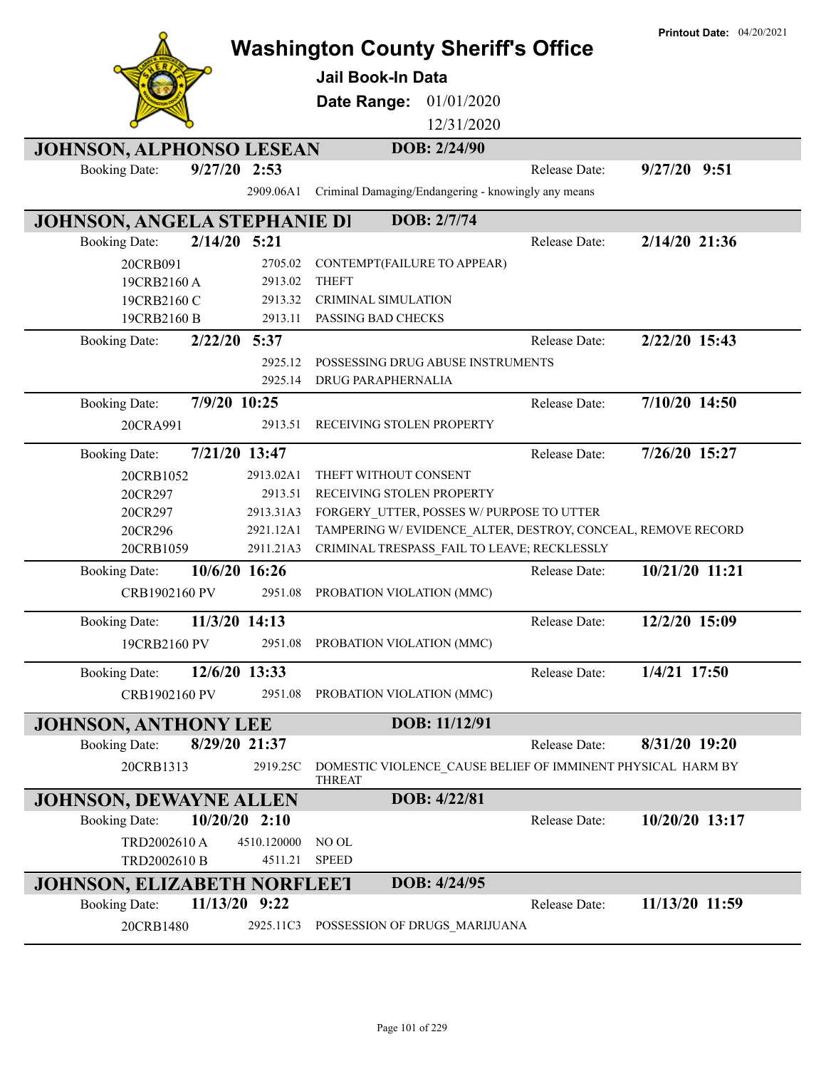|                                    |                 |                        | <b>Washington County Sheriff's Office</b>                                    |               | <b>Printout Date: 04/20/2021</b> |
|------------------------------------|-----------------|------------------------|------------------------------------------------------------------------------|---------------|----------------------------------|
|                                    |                 |                        | Jail Book-In Data                                                            |               |                                  |
|                                    |                 |                        |                                                                              |               |                                  |
|                                    |                 |                        | 01/01/2020<br>Date Range:                                                    |               |                                  |
|                                    |                 |                        | 12/31/2020                                                                   |               |                                  |
| <b>JOHNSON, ALPHONSO LESEAN</b>    |                 |                        | DOB: 2/24/90                                                                 |               |                                  |
| <b>Booking Date:</b>               | $9/27/20$ 2:53  |                        |                                                                              | Release Date: | $9/27/20$ $9:51$                 |
|                                    |                 | 2909.06A1              | Criminal Damaging/Endangering - knowingly any means                          |               |                                  |
| JOHNSON, ANGELA STEPHANIE DI       |                 |                        | DOB: 2/7/74                                                                  |               |                                  |
| <b>Booking Date:</b>               | $2/14/20$ 5:21  |                        |                                                                              | Release Date: | 2/14/20 21:36                    |
| 20CRB091                           |                 | 2705.02                | CONTEMPT(FAILURE TO APPEAR)                                                  |               |                                  |
| 19CRB2160 A                        |                 | 2913.02                | <b>THEFT</b>                                                                 |               |                                  |
| 19CRB2160 C                        |                 | 2913.32                | <b>CRIMINAL SIMULATION</b>                                                   |               |                                  |
| 19CRB2160 B                        |                 | 2913.11                | PASSING BAD CHECKS                                                           |               |                                  |
| <b>Booking Date:</b>               | $2/22/20$ 5:37  |                        |                                                                              | Release Date: | 2/22/20 15:43                    |
|                                    |                 | 2925.12                | POSSESSING DRUG ABUSE INSTRUMENTS                                            |               |                                  |
|                                    |                 | 2925.14                | DRUG PARAPHERNALIA                                                           |               |                                  |
| <b>Booking Date:</b>               | 7/9/20 10:25    |                        |                                                                              | Release Date: | 7/10/20 14:50                    |
| 20CRA991                           |                 | 2913.51                | RECEIVING STOLEN PROPERTY                                                    |               |                                  |
| <b>Booking Date:</b>               | 7/21/20 13:47   |                        |                                                                              | Release Date: | 7/26/20 15:27                    |
| 20CRB1052                          |                 | 2913.02A1              | THEFT WITHOUT CONSENT                                                        |               |                                  |
| 20CR297                            |                 | 2913.51                | RECEIVING STOLEN PROPERTY                                                    |               |                                  |
| 20CR297                            |                 | 2913.31A3              | FORGERY UTTER, POSSES W/PURPOSE TO UTTER                                     |               |                                  |
| 20CR296                            |                 | 2921.12A1<br>2911.21A3 | TAMPERING W/EVIDENCE ALTER, DESTROY, CONCEAL, REMOVE RECORD                  |               |                                  |
| 20CRB1059                          |                 |                        | CRIMINAL TRESPASS FAIL TO LEAVE; RECKLESSLY                                  |               |                                  |
| <b>Booking Date:</b>               | 10/6/20 16:26   |                        |                                                                              | Release Date: | 10/21/20 11:21                   |
| CRB1902160 PV                      |                 | 2951.08                | PROBATION VIOLATION (MMC)                                                    |               |                                  |
| <b>Booking Date:</b>               | 11/3/20 14:13   |                        |                                                                              | Release Date: | 12/2/20 15:09                    |
| 19CRB2160 PV                       |                 | 2951.08                | PROBATION VIOLATION (MMC)                                                    |               |                                  |
| <b>Booking Date:</b>               | 12/6/20 13:33   |                        |                                                                              | Release Date: | 1/4/21 17:50                     |
|                                    |                 | 2951.08                |                                                                              |               |                                  |
| CRB1902160 PV                      |                 |                        | PROBATION VIOLATION (MMC)                                                    |               |                                  |
| <b>JOHNSON, ANTHONY LEE</b>        |                 |                        | DOB: 11/12/91                                                                |               |                                  |
| <b>Booking Date:</b>               | 8/29/20 21:37   |                        |                                                                              | Release Date: | 8/31/20 19:20                    |
| 20CRB1313                          |                 | 2919.25C               | DOMESTIC VIOLENCE CAUSE BELIEF OF IMMINENT PHYSICAL HARM BY<br><b>THREAT</b> |               |                                  |
| <b>JOHNSON, DEWAYNE ALLEN</b>      |                 |                        | DOB: 4/22/81                                                                 |               |                                  |
| <b>Booking Date:</b>               | $10/20/20$ 2:10 |                        |                                                                              | Release Date: | 10/20/20 13:17                   |
| TRD2002610 A                       |                 | 4510.120000            | NO OL                                                                        |               |                                  |
| TRD2002610 B                       |                 | 4511.21                | <b>SPEED</b>                                                                 |               |                                  |
| <b>JOHNSON, ELIZABETH NORFLEET</b> |                 |                        | DOB: 4/24/95                                                                 |               |                                  |
| <b>Booking Date:</b>               | 11/13/20 9:22   |                        |                                                                              | Release Date: | 11/13/20 11:59                   |
| 20CRB1480                          |                 | 2925.11C3              | POSSESSION OF DRUGS_MARIJUANA                                                |               |                                  |
|                                    |                 |                        |                                                                              |               |                                  |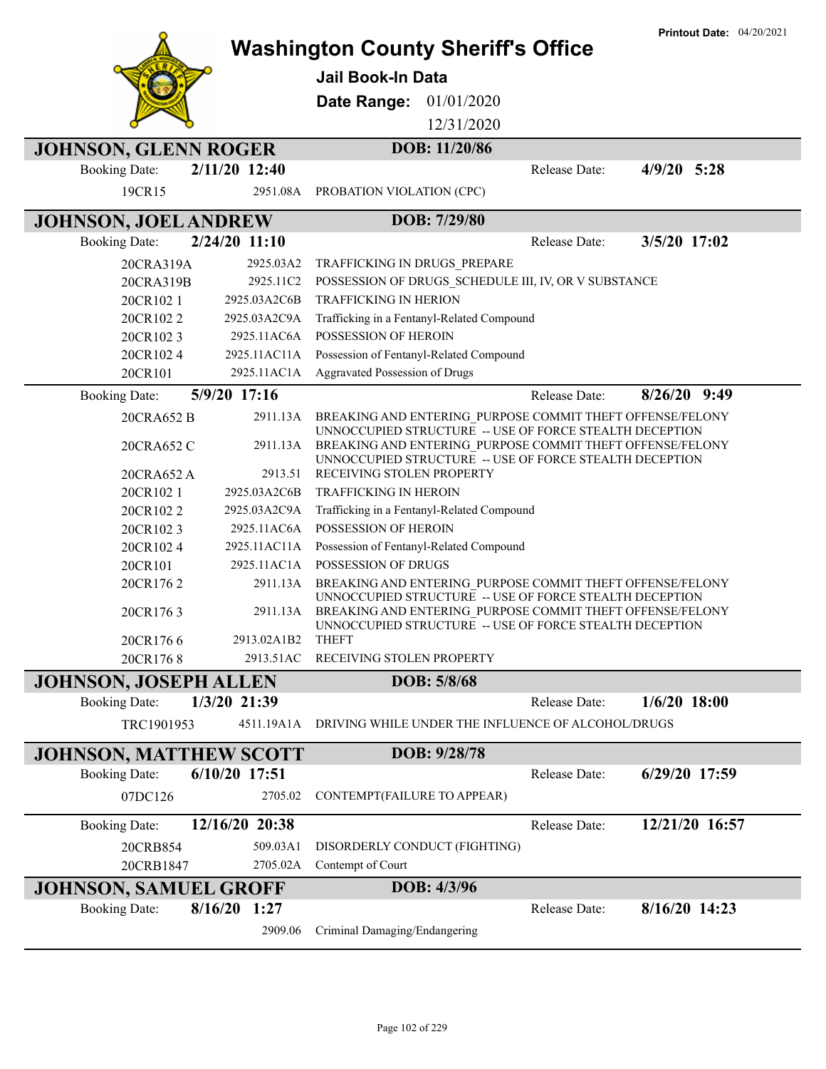|                               |                 | <b>Washington County Sheriff's Office</b><br><b>Jail Book-In Data</b>                                                                                                           |               | <b>Printout Date: 04/20/2021</b> |
|-------------------------------|-----------------|---------------------------------------------------------------------------------------------------------------------------------------------------------------------------------|---------------|----------------------------------|
|                               |                 | Date Range:<br>01/01/2020                                                                                                                                                       |               |                                  |
|                               |                 | 12/31/2020                                                                                                                                                                      |               |                                  |
| <b>JOHNSON, GLENN ROGER</b>   |                 | DOB: 11/20/86                                                                                                                                                                   |               |                                  |
| <b>Booking Date:</b>          | 2/11/20 12:40   |                                                                                                                                                                                 | Release Date: | $4/9/20$ 5:28                    |
| 19CR15                        | 2951.08A        | PROBATION VIOLATION (CPC)                                                                                                                                                       |               |                                  |
| <b>JOHNSON, JOEL ANDREW</b>   |                 | DOB: 7/29/80                                                                                                                                                                    |               |                                  |
| <b>Booking Date:</b>          | $2/24/20$ 11:10 |                                                                                                                                                                                 | Release Date: | 3/5/20 17:02                     |
| 20CRA319A                     | 2925.03A2       | TRAFFICKING IN DRUGS_PREPARE                                                                                                                                                    |               |                                  |
| 20CRA319B                     | 2925.11C2       | POSSESSION OF DRUGS SCHEDULE III, IV, OR V SUBSTANCE                                                                                                                            |               |                                  |
| 20CR1021                      | 2925.03A2C6B    | <b>TRAFFICKING IN HERION</b>                                                                                                                                                    |               |                                  |
| 20CR1022                      | 2925.03A2C9A    | Trafficking in a Fentanyl-Related Compound                                                                                                                                      |               |                                  |
| 20CR1023                      | 2925.11AC6A     | POSSESSION OF HEROIN                                                                                                                                                            |               |                                  |
| 20CR1024                      | 2925.11AC11A    | Possession of Fentanyl-Related Compound                                                                                                                                         |               |                                  |
| 20CR101                       | 2925.11AC1A     | Aggravated Possession of Drugs                                                                                                                                                  |               |                                  |
| <b>Booking Date:</b>          | 5/9/20 17:16    |                                                                                                                                                                                 | Release Date: | $8/26/20$ 9:49                   |
| 20CRA652 B                    | 2911.13A        | BREAKING AND ENTERING PURPOSE COMMIT THEFT OFFENSE/FELONY                                                                                                                       |               |                                  |
| 20CRA652 C                    | 2911.13A        | UNNOCCUPIED STRUCTURE -- USE OF FORCE STEALTH DECEPTION<br>BREAKING AND ENTERING PURPOSE COMMIT THEFT OFFENSE/FELONY<br>UNNOCCUPIED STRUCTURE -- USE OF FORCE STEALTH DECEPTION |               |                                  |
| 20CRA652 A                    | 2913.51         | RECEIVING STOLEN PROPERTY                                                                                                                                                       |               |                                  |
| 20CR1021                      | 2925.03A2C6B    | <b>TRAFFICKING IN HEROIN</b>                                                                                                                                                    |               |                                  |
| 20CR1022                      | 2925.03A2C9A    | Trafficking in a Fentanyl-Related Compound                                                                                                                                      |               |                                  |
| 20CR1023                      | 2925.11AC6A     | POSSESSION OF HEROIN                                                                                                                                                            |               |                                  |
| 20CR1024                      | 2925.11AC11A    | Possession of Fentanyl-Related Compound                                                                                                                                         |               |                                  |
| 20CR101                       | 2925.11AC1A     | POSSESSION OF DRUGS                                                                                                                                                             |               |                                  |
| 20CR1762                      | 2911.13A        | BREAKING AND ENTERING PURPOSE COMMIT THEFT OFFENSE/FELONY<br>UNNOCCUPIED STRUCTURE -- USE OF FORCE STEALTH DECEPTION                                                            |               |                                  |
| 20CR1763                      | 2911.13A        | BREAKING AND ENTERING PURPOSE COMMIT THEFT OFFENSE/FELONY<br>UNNOCCUPIED STRUCTURE -- USE OF FORCE STEALTH DECEPTION                                                            |               |                                  |
| 20CR1766                      | 2913.02A1B2     | <b>THEFT</b>                                                                                                                                                                    |               |                                  |
| 20CR1768                      | 2913.51AC       | RECEIVING STOLEN PROPERTY                                                                                                                                                       |               |                                  |
| <b>JOHNSON, JOSEPH ALLEN</b>  |                 | DOB: 5/8/68                                                                                                                                                                     |               |                                  |
| <b>Booking Date:</b>          | 1/3/20 21:39    |                                                                                                                                                                                 | Release Date: | $1/6/20$ 18:00                   |
| TRC1901953                    | 4511.19A1A      | DRIVING WHILE UNDER THE INFLUENCE OF ALCOHOL/DRUGS                                                                                                                              |               |                                  |
| <b>JOHNSON, MATTHEW SCOTT</b> |                 | DOB: 9/28/78                                                                                                                                                                    |               |                                  |
| <b>Booking Date:</b>          | 6/10/20 17:51   |                                                                                                                                                                                 | Release Date: | 6/29/20 17:59                    |
| 07DC126                       | 2705.02         | CONTEMPT(FAILURE TO APPEAR)                                                                                                                                                     |               |                                  |
| <b>Booking Date:</b>          | 12/16/20 20:38  |                                                                                                                                                                                 | Release Date: | 12/21/20 16:57                   |
| 20CRB854                      | 509.03A1        | DISORDERLY CONDUCT (FIGHTING)                                                                                                                                                   |               |                                  |
| 20CRB1847                     | 2705.02A        | Contempt of Court                                                                                                                                                               |               |                                  |
| <b>JOHNSON, SAMUEL GROFF</b>  |                 | DOB: 4/3/96                                                                                                                                                                     |               |                                  |
| <b>Booking Date:</b>          | $8/16/20$ 1:27  |                                                                                                                                                                                 | Release Date: | 8/16/20 14:23                    |
|                               | 2909.06         | Criminal Damaging/Endangering                                                                                                                                                   |               |                                  |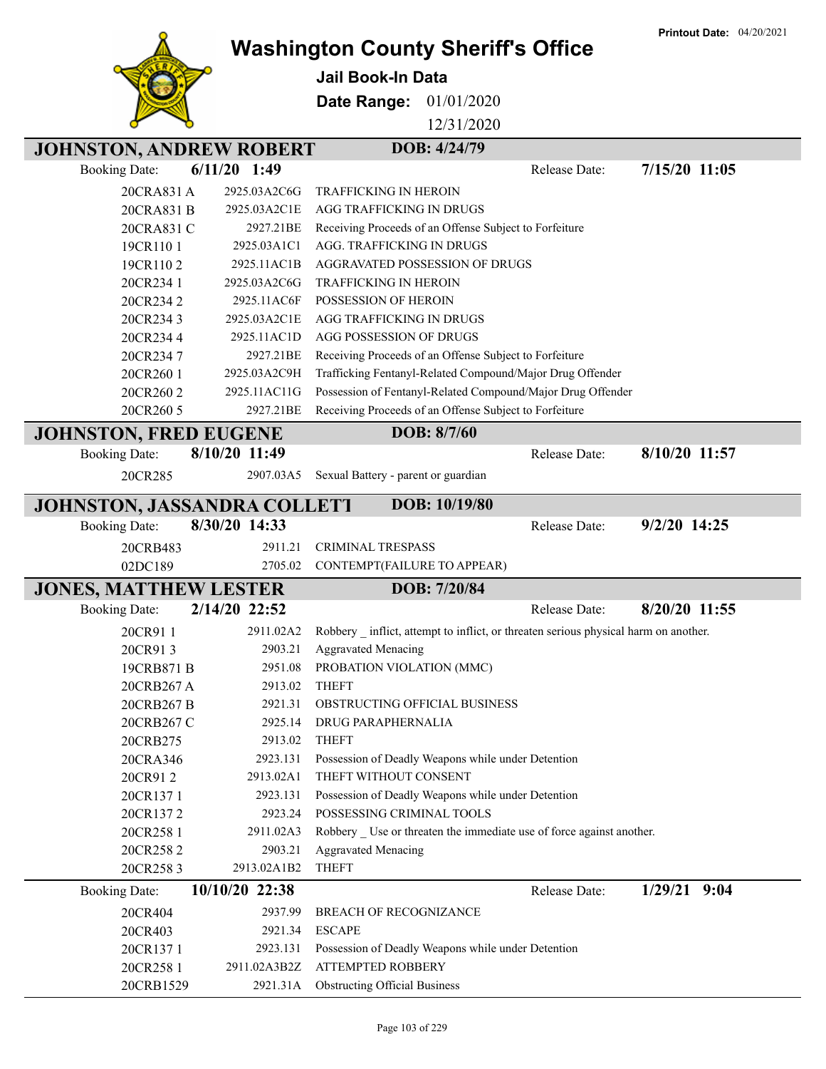|                                |                | <b>Washington County Sheriff's Office</b>                                            | <b>Printout Date: 04/20/2021</b> |
|--------------------------------|----------------|--------------------------------------------------------------------------------------|----------------------------------|
|                                |                |                                                                                      |                                  |
|                                |                | <b>Jail Book-In Data</b>                                                             |                                  |
|                                |                | Date Range:<br>01/01/2020                                                            |                                  |
|                                |                | 12/31/2020                                                                           |                                  |
| <b>JOHNSTON, ANDREW ROBERT</b> |                | DOB: 4/24/79                                                                         |                                  |
| <b>Booking Date:</b>           | $6/11/20$ 1:49 | Release Date:                                                                        | 7/15/20 11:05                    |
| 20CRA831 A                     | 2925.03A2C6G   | <b>TRAFFICKING IN HEROIN</b>                                                         |                                  |
| 20CRA831 B                     | 2925.03A2C1E   | AGG TRAFFICKING IN DRUGS                                                             |                                  |
| 20CRA831 C                     | 2927.21BE      | Receiving Proceeds of an Offense Subject to Forfeiture                               |                                  |
| 19CR1101                       | 2925.03A1C1    | AGG. TRAFFICKING IN DRUGS                                                            |                                  |
| 19CR1102                       | 2925.11AC1B    | <b>AGGRAVATED POSSESSION OF DRUGS</b>                                                |                                  |
| 20CR234 1                      | 2925.03A2C6G   | <b>TRAFFICKING IN HEROIN</b>                                                         |                                  |
| 20CR2342                       | 2925.11AC6F    | POSSESSION OF HEROIN                                                                 |                                  |
| 20CR2343                       | 2925.03A2C1E   | AGG TRAFFICKING IN DRUGS                                                             |                                  |
| 20CR2344                       | 2925.11AC1D    | AGG POSSESSION OF DRUGS                                                              |                                  |
| 20CR2347                       | 2927.21BE      | Receiving Proceeds of an Offense Subject to Forfeiture                               |                                  |
| 20CR260 1                      | 2925.03A2C9H   | Trafficking Fentanyl-Related Compound/Major Drug Offender                            |                                  |
| 20CR2602                       | 2925.11AC11G   | Possession of Fentanyl-Related Compound/Major Drug Offender                          |                                  |
| 20CR260 5                      | 2927.21BE      | Receiving Proceeds of an Offense Subject to Forfeiture                               |                                  |
| <b>JOHNSTON, FRED EUGENE</b>   |                | DOB: 8/7/60                                                                          |                                  |
| <b>Booking Date:</b>           | 8/10/20 11:49  | Release Date:                                                                        | 8/10/20 11:57                    |
| 20CR285                        | 2907.03A5      | Sexual Battery - parent or guardian                                                  |                                  |
|                                |                |                                                                                      |                                  |
| JOHNSTON, JASSANDRA COLLETT    |                | DOB: 10/19/80                                                                        |                                  |
| <b>Booking Date:</b>           | 8/30/20 14:33  | Release Date:                                                                        | 9/2/20 14:25                     |
| 20CRB483                       | 2911.21        | <b>CRIMINAL TRESPASS</b>                                                             |                                  |
| 02DC189                        | 2705.02        | CONTEMPT(FAILURE TO APPEAR)                                                          |                                  |
| <b>JONES, MATTHEW LESTER</b>   |                | DOB: 7/20/84                                                                         |                                  |
| <b>Booking Date:</b>           | 2/14/20 22:52  | Release Date:                                                                        | 8/20/20 11:55                    |
| 20CR911                        | 2911.02A2      | Robbery _ inflict, attempt to inflict, or threaten serious physical harm on another. |                                  |
| 20CR913                        | 2903.21        | <b>Aggravated Menacing</b>                                                           |                                  |
| 19CRB871 B                     | 2951.08        | PROBATION VIOLATION (MMC)                                                            |                                  |
| 20CRB267 A                     | 2913.02        | <b>THEFT</b>                                                                         |                                  |
| 20CRB267 B                     | 2921.31        | OBSTRUCTING OFFICIAL BUSINESS                                                        |                                  |
| 20CRB267 C                     | 2925.14        | DRUG PARAPHERNALIA                                                                   |                                  |
| 20CRB275                       | 2913.02        | <b>THEFT</b>                                                                         |                                  |
| 20CRA346                       | 2923.131       | Possession of Deadly Weapons while under Detention                                   |                                  |
| 20CR912                        | 2913.02A1      | THEFT WITHOUT CONSENT                                                                |                                  |
| 20CR1371                       | 2923.131       | Possession of Deadly Weapons while under Detention                                   |                                  |
| 20CR1372                       | 2923.24        | POSSESSING CRIMINAL TOOLS                                                            |                                  |
| 20CR258 1                      | 2911.02A3      | Robbery _ Use or threaten the immediate use of force against another.                |                                  |
| 20CR258 2                      | 2903.21        | <b>Aggravated Menacing</b>                                                           |                                  |
| 20CR2583                       | 2913.02A1B2    | <b>THEFT</b>                                                                         |                                  |
| <b>Booking Date:</b>           | 10/10/20 22:38 | Release Date:                                                                        | $1/29/21$ 9:04                   |
| 20CR404                        | 2937.99        | <b>BREACH OF RECOGNIZANCE</b>                                                        |                                  |
| 20CR403                        | 2921.34        | <b>ESCAPE</b>                                                                        |                                  |
| 20CR1371                       | 2923.131       | Possession of Deadly Weapons while under Detention                                   |                                  |
| 20CR258 1                      | 2911.02A3B2Z   | <b>ATTEMPTED ROBBERY</b>                                                             |                                  |
| 20CRB1529                      | 2921.31A       | <b>Obstructing Official Business</b>                                                 |                                  |

**Printout Date:** 04/20/2021

٦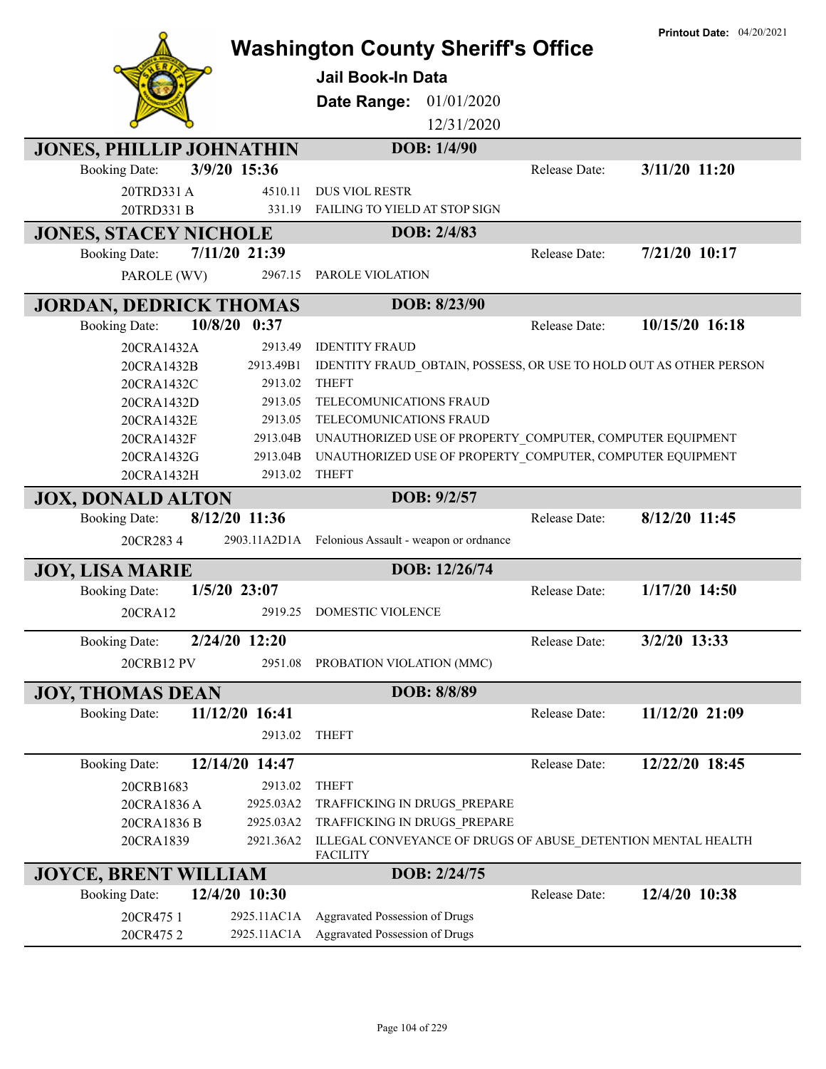|                                 |                | <b>Washington County Sheriff's Office</b><br>Jail Book-In Data     |               | <b>Printout Date: 04/20/2021</b> |
|---------------------------------|----------------|--------------------------------------------------------------------|---------------|----------------------------------|
|                                 |                | Date Range:<br>01/01/2020                                          |               |                                  |
|                                 |                | 12/31/2020                                                         |               |                                  |
| <b>JONES, PHILLIP JOHNATHIN</b> |                | DOB: 1/4/90                                                        |               |                                  |
| <b>Booking Date:</b>            | 3/9/20 15:36   |                                                                    | Release Date: | 3/11/20 11:20                    |
| 20TRD331A                       | 4510.11        | <b>DUS VIOL RESTR</b>                                              |               |                                  |
| 20TRD331 B                      | 331.19         | FAILING TO YIELD AT STOP SIGN                                      |               |                                  |
| <b>JONES, STACEY NICHOLE</b>    |                | DOB: 2/4/83                                                        |               |                                  |
| <b>Booking Date:</b>            | 7/11/20 21:39  |                                                                    | Release Date: | 7/21/20 10:17                    |
| PAROLE (WV)                     | 2967.15        | PAROLE VIOLATION                                                   |               |                                  |
|                                 |                |                                                                    |               |                                  |
| <b>JORDAN, DEDRICK THOMAS</b>   |                | DOB: 8/23/90                                                       |               |                                  |
| <b>Booking Date:</b>            | 10/8/20 0:37   |                                                                    | Release Date: | 10/15/20 16:18                   |
| 20CRA1432A                      | 2913.49        | <b>IDENTITY FRAUD</b>                                              |               |                                  |
| 20CRA1432B                      | 2913.49B1      | IDENTITY FRAUD_OBTAIN, POSSESS, OR USE TO HOLD OUT AS OTHER PERSON |               |                                  |
| 20CRA1432C                      | 2913.02        | <b>THEFT</b>                                                       |               |                                  |
| 20CRA1432D                      | 2913.05        | TELECOMUNICATIONS FRAUD                                            |               |                                  |
| 20CRA1432E                      | 2913.05        | TELECOMUNICATIONS FRAUD                                            |               |                                  |
| 20CRA1432F                      | 2913.04B       | UNAUTHORIZED USE OF PROPERTY_COMPUTER, COMPUTER EQUIPMENT          |               |                                  |
| 20CRA1432G                      | 2913.04B       | UNAUTHORIZED USE OF PROPERTY_COMPUTER, COMPUTER EQUIPMENT          |               |                                  |
| 20CRA1432H                      | 2913.02        | <b>THEFT</b>                                                       |               |                                  |
| <b>JOX, DONALD ALTON</b>        |                | DOB: 9/2/57                                                        |               |                                  |
| <b>Booking Date:</b>            | 8/12/20 11:36  |                                                                    | Release Date: | 8/12/20 11:45                    |
| 20CR2834                        |                | 2903.11A2D1A Felonious Assault - weapon or ordnance                |               |                                  |
| <b>JOY, LISA MARIE</b>          |                | DOB: 12/26/74                                                      |               |                                  |
| <b>Booking Date:</b>            | $1/5/20$ 23:07 |                                                                    | Release Date: | 1/17/20 14:50                    |
| 20CRA12                         | 2919.25        | DOMESTIC VIOLENCE                                                  |               |                                  |
|                                 |                |                                                                    |               |                                  |
| <b>Booking Date:</b>            | 2/24/20 12:20  |                                                                    | Release Date: | 3/2/20 13:33                     |
| <b>20CRB12 PV</b>               | 2951.08        | PROBATION VIOLATION (MMC)                                          |               |                                  |
| <b>JOY, THOMAS DEAN</b>         |                | DOB: 8/8/89                                                        |               |                                  |
| <b>Booking Date:</b>            | 11/12/20 16:41 |                                                                    | Release Date: | 11/12/20 21:09                   |
|                                 | 2913.02        | <b>THEFT</b>                                                       |               |                                  |
|                                 |                |                                                                    |               |                                  |
| <b>Booking Date:</b>            | 12/14/20 14:47 |                                                                    | Release Date: | 12/22/20 18:45                   |
| 20CRB1683                       | 2913.02        | <b>THEFT</b>                                                       |               |                                  |
| 20CRA1836 A                     | 2925.03A2      | TRAFFICKING IN DRUGS PREPARE                                       |               |                                  |
| 20CRA1836 B                     | 2925.03A2      | TRAFFICKING IN DRUGS_PREPARE                                       |               |                                  |
| 20CRA1839                       | 2921.36A2      | ILLEGAL CONVEYANCE OF DRUGS OF ABUSE DETENTION MENTAL HEALTH       |               |                                  |
| <b>JOYCE, BRENT WILLIAM</b>     |                | <b>FACILITY</b><br>DOB: 2/24/75                                    |               |                                  |
| <b>Booking Date:</b>            | 12/4/20 10:30  |                                                                    | Release Date: | 12/4/20 10:38                    |
|                                 |                |                                                                    |               |                                  |
| 20CR475 1                       | 2925.11AC1A    | Aggravated Possession of Drugs                                     |               |                                  |
| 20CR4752                        |                | 2925.11AC1A Aggravated Possession of Drugs                         |               |                                  |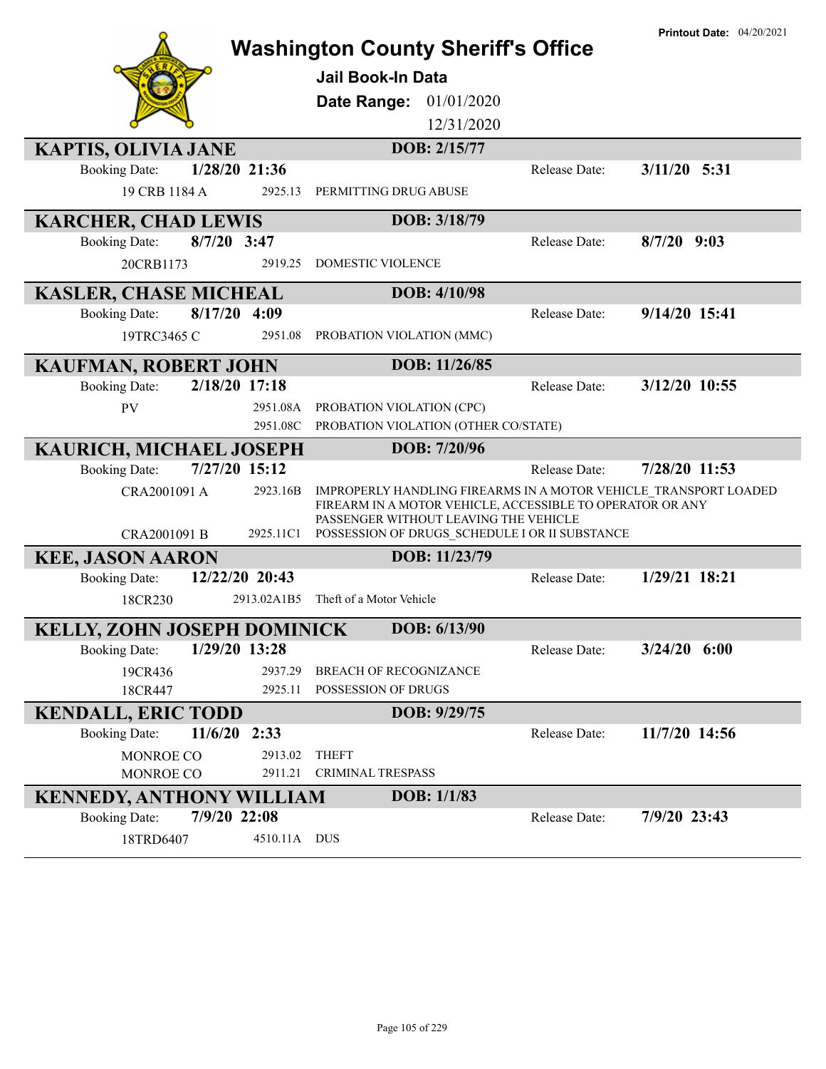|                                       |                | <b>Washington County Sheriff's Office</b>                                                                                                                              |               | <b>Printout Date: 04/20/2021</b> |
|---------------------------------------|----------------|------------------------------------------------------------------------------------------------------------------------------------------------------------------------|---------------|----------------------------------|
|                                       |                |                                                                                                                                                                        |               |                                  |
|                                       |                | <b>Jail Book-In Data</b>                                                                                                                                               |               |                                  |
|                                       |                | 01/01/2020<br>Date Range:                                                                                                                                              |               |                                  |
|                                       |                | 12/31/2020                                                                                                                                                             |               |                                  |
| <b>KAPTIS, OLIVIA JANE</b>            |                | DOB: 2/15/77                                                                                                                                                           |               |                                  |
| <b>Booking Date:</b>                  | 1/28/20 21:36  |                                                                                                                                                                        | Release Date: | $3/11/20$ 5:31                   |
| 19 CRB 1184 A                         | 2925.13        | PERMITTING DRUG ABUSE                                                                                                                                                  |               |                                  |
| <b>KARCHER, CHAD LEWIS</b>            |                | DOB: 3/18/79                                                                                                                                                           |               |                                  |
| $8/7/20$ 3:47<br><b>Booking Date:</b> |                |                                                                                                                                                                        | Release Date: | $8/7/20$ 9:03                    |
| 20CRB1173                             | 2919.25        | DOMESTIC VIOLENCE                                                                                                                                                      |               |                                  |
| <b>KASLER, CHASE MICHEAL</b>          |                | DOB: 4/10/98                                                                                                                                                           |               |                                  |
| 8/17/20 4:09<br><b>Booking Date:</b>  |                |                                                                                                                                                                        | Release Date: | 9/14/20 15:41                    |
| 19TRC3465 C                           | 2951.08        | PROBATION VIOLATION (MMC)                                                                                                                                              |               |                                  |
| <b>KAUFMAN, ROBERT JOHN</b>           |                | DOB: 11/26/85                                                                                                                                                          |               |                                  |
| <b>Booking Date:</b>                  | 2/18/20 17:18  |                                                                                                                                                                        | Release Date: | 3/12/20 10:55                    |
| <b>PV</b>                             | 2951.08A       | PROBATION VIOLATION (CPC)                                                                                                                                              |               |                                  |
|                                       | 2951.08C       | PROBATION VIOLATION (OTHER CO/STATE)                                                                                                                                   |               |                                  |
| KAURICH, MICHAEL JOSEPH               |                | DOB: 7/20/96                                                                                                                                                           |               |                                  |
| <b>Booking Date:</b>                  | 7/27/20 15:12  |                                                                                                                                                                        | Release Date: | 7/28/20 11:53                    |
| CRA2001091 A                          | 2923.16B       | IMPROPERLY HANDLING FIREARMS IN A MOTOR VEHICLE TRANSPORT LOADED<br>FIREARM IN A MOTOR VEHICLE, ACCESSIBLE TO OPERATOR OR ANY<br>PASSENGER WITHOUT LEAVING THE VEHICLE |               |                                  |
| CRA2001091 B                          |                | 2925.11C1 POSSESSION OF DRUGS SCHEDULE I OR II SUBSTANCE                                                                                                               |               |                                  |
| <b>KEE, JASON AARON</b>               |                | DOB: 11/23/79                                                                                                                                                          |               |                                  |
| <b>Booking Date:</b>                  | 12/22/20 20:43 |                                                                                                                                                                        | Release Date: | 1/29/21 18:21                    |
| 18CR230                               | 2913.02A1B5    | Theft of a Motor Vehicle                                                                                                                                               |               |                                  |
| KELLY, ZOHN JOSEPH DOMINICK           |                | DOB: 6/13/90                                                                                                                                                           |               |                                  |
| <b>Booking Date:</b>                  | 1/29/20 13:28  |                                                                                                                                                                        | Release Date: | $3/24/20$ 6:00                   |
| 19CR436                               | 2937.29        | BREACH OF RECOGNIZANCE                                                                                                                                                 |               |                                  |
| 18CR447                               | 2925.11        | POSSESSION OF DRUGS                                                                                                                                                    |               |                                  |
| <b>KENDALL, ERIC TODD</b>             |                | DOB: 9/29/75                                                                                                                                                           |               |                                  |
| 11/6/20 2:33<br><b>Booking Date:</b>  |                |                                                                                                                                                                        | Release Date: | 11/7/20 14:56                    |
| MONROE CO                             | 2913.02        | <b>THEFT</b>                                                                                                                                                           |               |                                  |
| <b>MONROE CO</b>                      | 2911.21        | CRIMINAL TRESPASS                                                                                                                                                      |               |                                  |
| <b>KENNEDY, ANTHONY WILLIAM</b>       |                | DOB: 1/1/83                                                                                                                                                            |               |                                  |
| 7/9/20 22:08<br><b>Booking Date:</b>  |                |                                                                                                                                                                        | Release Date: | 7/9/20 23:43                     |
| 18TRD6407                             | 4510.11A DUS   |                                                                                                                                                                        |               |                                  |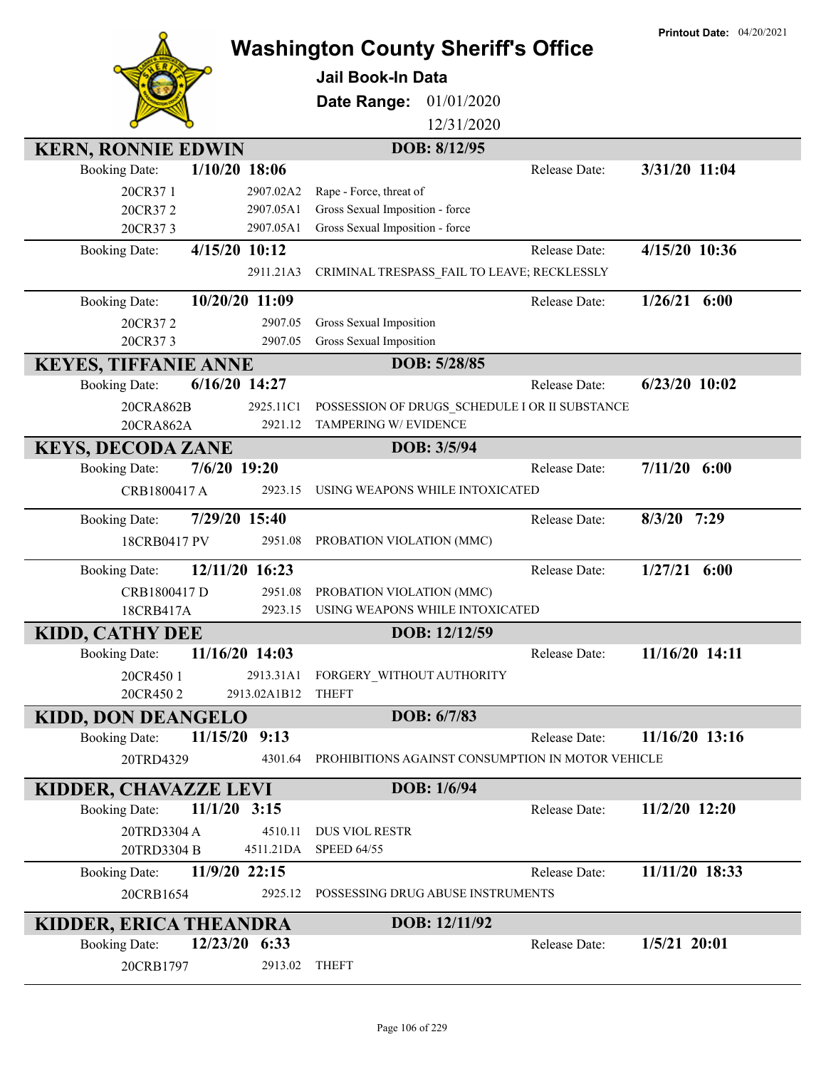|                                                                        |                                                                         | <b>Printout Date: 04/20/2021</b> |
|------------------------------------------------------------------------|-------------------------------------------------------------------------|----------------------------------|
|                                                                        | <b>Washington County Sheriff's Office</b>                               |                                  |
|                                                                        | <b>Jail Book-In Data</b>                                                |                                  |
|                                                                        | 01/01/2020<br>Date Range:                                               |                                  |
|                                                                        | 12/31/2020                                                              |                                  |
| <b>KERN, RONNIE EDWIN</b>                                              | DOB: 8/12/95                                                            |                                  |
| $1/10/20$ 18:06<br><b>Booking Date:</b>                                | Release Date:                                                           | 3/31/20 11:04                    |
| 20CR371<br>2907.02A2                                                   | Rape - Force, threat of                                                 |                                  |
| 20CR372<br>2907.05A1<br>2907.05A1                                      | Gross Sexual Imposition - force<br>Gross Sexual Imposition - force      |                                  |
| 20CR373<br>4/15/20 10:12                                               | Release Date:                                                           | 4/15/20 10:36                    |
| <b>Booking Date:</b><br>2911.21A3                                      | CRIMINAL TRESPASS_FAIL TO LEAVE; RECKLESSLY                             |                                  |
|                                                                        |                                                                         |                                  |
| 10/20/20 11:09<br><b>Booking Date:</b>                                 | Release Date:                                                           | $1/26/21$ 6:00                   |
| 2907.05<br>20CR372                                                     | Gross Sexual Imposition                                                 |                                  |
| 20CR373<br>2907.05                                                     | Gross Sexual Imposition                                                 |                                  |
| <b>KEYES, TIFFANIE ANNE</b><br>$6/16/20$ 14:27<br><b>Booking Date:</b> | DOB: 5/28/85<br>Release Date:                                           | $6/23/20$ 10:02                  |
|                                                                        |                                                                         |                                  |
| 20CRA862B<br>2925.11C1<br>20CRA862A<br>2921.12                         | POSSESSION OF DRUGS SCHEDULE I OR II SUBSTANCE<br>TAMPERING W/ EVIDENCE |                                  |
| <b>KEYS, DECODA ZANE</b>                                               | DOB: 3/5/94                                                             |                                  |
| 7/6/20 19:20<br><b>Booking Date:</b>                                   | Release Date:                                                           | $7/11/20$ 6:00                   |
| CRB1800417 A<br>2923.15                                                | USING WEAPONS WHILE INTOXICATED                                         |                                  |
|                                                                        |                                                                         |                                  |
| 7/29/20 15:40<br><b>Booking Date:</b>                                  | Release Date:                                                           | 8/3/20 7:29                      |
| 18CRB0417 PV<br>2951.08                                                | PROBATION VIOLATION (MMC)                                               |                                  |
| 12/11/20 16:23<br><b>Booking Date:</b>                                 | Release Date:                                                           | $1/27/21$ 6:00                   |
| 2951.08<br>CRB1800417 D                                                | PROBATION VIOLATION (MMC)                                               |                                  |
| 18CRB417A<br>2923.15                                                   | USING WEAPONS WHILE INTOXICATED                                         |                                  |
| <b>KIDD, CATHY DEE</b>                                                 | DOB: 12/12/59                                                           |                                  |
| 11/16/20 14:03<br><b>Booking Date:</b>                                 | Release Date:                                                           | 11/16/20 14:11                   |
| 20CR450 1<br>2913.31A1                                                 | FORGERY WITHOUT AUTHORITY<br><b>THEFT</b>                               |                                  |
| 2913.02A1B12<br>20CR4502                                               |                                                                         |                                  |
| <b>KIDD, DON DEANGELO</b><br>11/15/20<br><b>Booking Date:</b><br>9:13  | DOB: 6/7/83<br>Release Date:                                            | 11/16/20 13:16                   |
|                                                                        |                                                                         |                                  |
| 20TRD4329<br>4301.64                                                   | PROHIBITIONS AGAINST CONSUMPTION IN MOTOR VEHICLE                       |                                  |
| KIDDER, CHAVAZZE LEVI                                                  | DOB: 1/6/94                                                             |                                  |
| $11/1/20$ 3:15<br><b>Booking Date:</b>                                 | Release Date:                                                           | $11/2/20$ 12:20                  |
| 20TRD3304 A<br>4510.11                                                 | <b>DUS VIOL RESTR</b>                                                   |                                  |
| 4511.21DA<br>20TRD3304 B                                               | <b>SPEED 64/55</b>                                                      |                                  |
| 11/9/20 22:15<br><b>Booking Date:</b>                                  | Release Date:                                                           | 11/11/20 18:33                   |
| 20CRB1654<br>2925.12                                                   | POSSESSING DRUG ABUSE INSTRUMENTS                                       |                                  |
| KIDDER, ERICA THEANDRA                                                 | DOB: 12/11/92                                                           |                                  |
| 12/23/20<br>6:33<br><b>Booking Date:</b>                               | Release Date:                                                           | $1/5/21$ 20:01                   |
| 20CRB1797<br>2913.02                                                   | <b>THEFT</b>                                                            |                                  |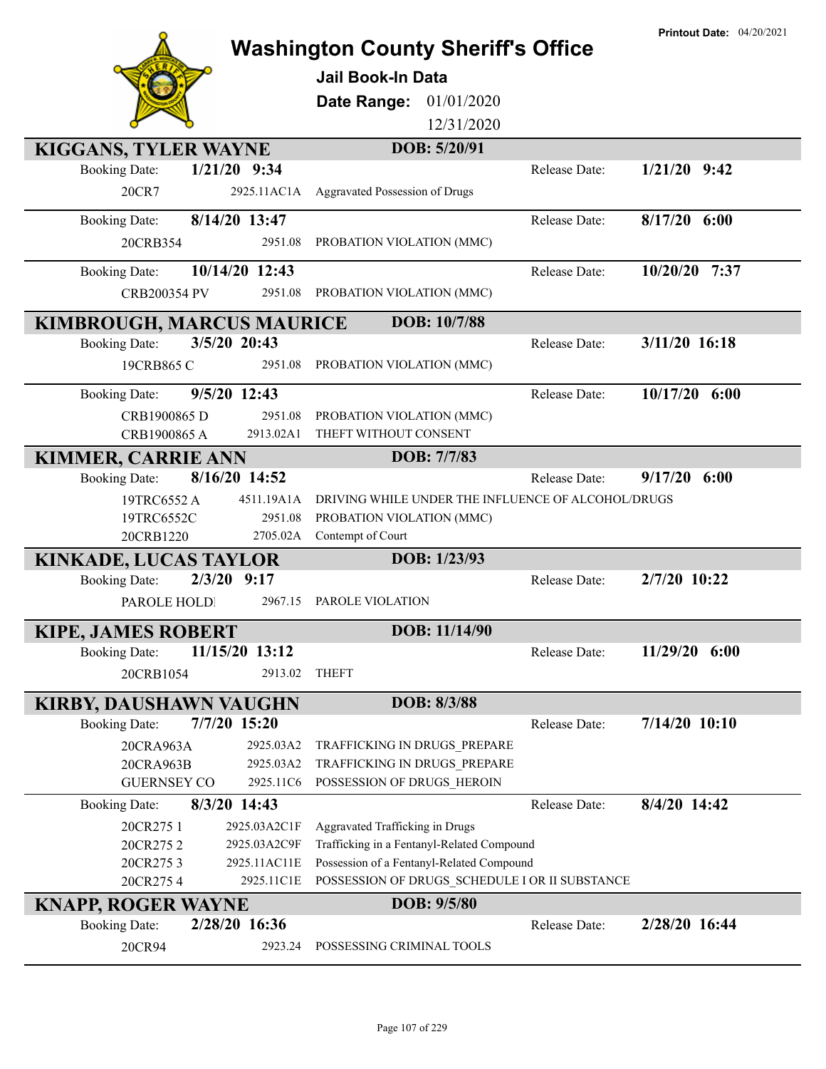|                                        |                                                    |               | <b>Printout Date: 04/20/2021</b> |
|----------------------------------------|----------------------------------------------------|---------------|----------------------------------|
|                                        | <b>Washington County Sheriff's Office</b>          |               |                                  |
|                                        | <b>Jail Book-In Data</b>                           |               |                                  |
|                                        |                                                    |               |                                  |
|                                        | 01/01/2020<br>Date Range:                          |               |                                  |
|                                        | 12/31/2020                                         |               |                                  |
| KIGGANS, TYLER WAYNE                   | DOB: 5/20/91                                       |               |                                  |
| $1/21/20$ 9:34<br><b>Booking Date:</b> |                                                    | Release Date: | $1/21/20$ 9:42                   |
| 20CR7<br>2925.11AC1A                   | <b>Aggravated Possession of Drugs</b>              |               |                                  |
|                                        |                                                    |               |                                  |
| 8/14/20 13:47<br><b>Booking Date:</b>  |                                                    | Release Date: | $8/17/20$ 6:00                   |
| 2951.08<br>20CRB354                    | PROBATION VIOLATION (MMC)                          |               |                                  |
| 10/14/20 12:43<br><b>Booking Date:</b> |                                                    | Release Date: | 10/20/20 7:37                    |
| <b>CRB200354 PV</b><br>2951.08         | PROBATION VIOLATION (MMC)                          |               |                                  |
| <b>KIMBROUGH, MARCUS MAURICE</b>       | DOB: 10/7/88                                       |               |                                  |
| 3/5/20 20:43<br><b>Booking Date:</b>   |                                                    | Release Date: | 3/11/20 16:18                    |
| 19CRB865 C<br>2951.08                  | PROBATION VIOLATION (MMC)                          |               |                                  |
|                                        |                                                    |               |                                  |
| 9/5/20 12:43<br><b>Booking Date:</b>   |                                                    | Release Date: | $10/17/20$ 6:00                  |
| CRB1900865 D<br>2951.08                | PROBATION VIOLATION (MMC)                          |               |                                  |
| CRB1900865 A<br>2913.02A1              | THEFT WITHOUT CONSENT                              |               |                                  |
| <b>KIMMER, CARRIE ANN</b>              | DOB: 7/7/83                                        |               |                                  |
| 8/16/20 14:52<br><b>Booking Date:</b>  |                                                    | Release Date: | 9/17/20<br>6:00                  |
| 19TRC6552 A<br>4511.19A1A              | DRIVING WHILE UNDER THE INFLUENCE OF ALCOHOL/DRUGS |               |                                  |
| 2951.08<br>19TRC6552C                  | PROBATION VIOLATION (MMC)                          |               |                                  |
| 20CRB1220<br>2705.02A                  | Contempt of Court                                  |               |                                  |
| <b>KINKADE, LUCAS TAYLOR</b>           | DOB: 1/23/93                                       |               |                                  |
| $2/3/20$ 9:17<br><b>Booking Date:</b>  |                                                    | Release Date: | 2/7/20 10:22                     |
| PAROLE HOLDI<br>2967.15                | PAROLE VIOLATION                                   |               |                                  |
| <b>KIPE, JAMES ROBERT</b>              | DOB: 11/14/90                                      |               |                                  |
| 11/15/20 13:12<br><b>Booking Date:</b> |                                                    | Release Date: | 11/29/20 6:00                    |
| 20CRB1054<br>2913.02                   | <b>THEFT</b>                                       |               |                                  |
|                                        |                                                    |               |                                  |
| <b>KIRBY, DAUSHAWN VAUGHN</b>          | DOB: 8/3/88                                        |               |                                  |
| 7/7/20 15:20<br><b>Booking Date:</b>   |                                                    | Release Date: | 7/14/20 10:10                    |
| 2925.03A2<br>20CRA963A                 | TRAFFICKING IN DRUGS PREPARE                       |               |                                  |
| 2925.03A2<br>20CRA963B                 | TRAFFICKING IN DRUGS_PREPARE                       |               |                                  |
| 2925.11C6<br><b>GUERNSEY CO</b>        | POSSESSION OF DRUGS HEROIN                         |               |                                  |
| 8/3/20 14:43<br><b>Booking Date:</b>   |                                                    | Release Date: | 8/4/20 14:42                     |
| 2925.03A2C1F<br>20CR275 1              | Aggravated Trafficking in Drugs                    |               |                                  |
| 2925.03A2C9F<br>20CR2752               | Trafficking in a Fentanyl-Related Compound         |               |                                  |
| 2925.11AC11E<br>20CR2753               | Possession of a Fentanyl-Related Compound          |               |                                  |
| 2925.11C1E<br>20CR2754                 | POSSESSION OF DRUGS_SCHEDULE I OR II SUBSTANCE     |               |                                  |
| <b>KNAPP, ROGER WAYNE</b>              | DOB: 9/5/80                                        |               |                                  |
| 2/28/20 16:36<br><b>Booking Date:</b>  |                                                    | Release Date: | 2/28/20 16:44                    |
| 20CR94<br>2923.24                      | POSSESSING CRIMINAL TOOLS                          |               |                                  |
|                                        |                                                    |               |                                  |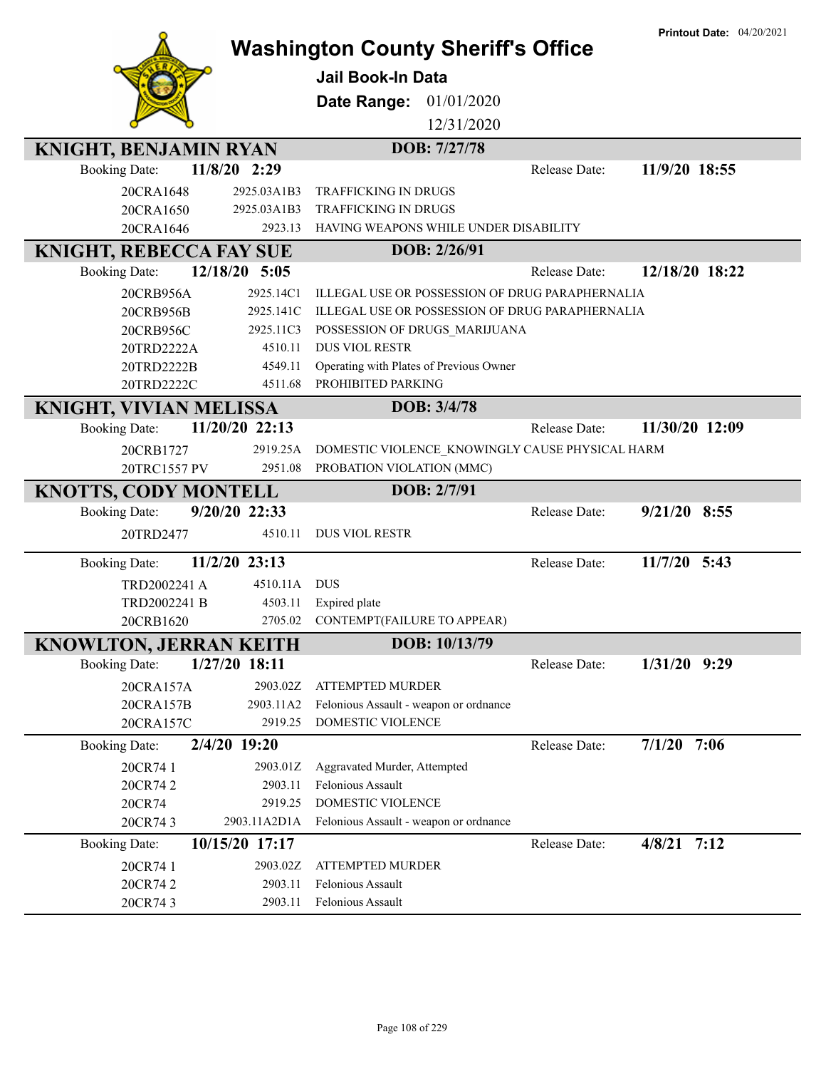|                                |                    | <b>Washington County Sheriff's Office</b>       |               | <b>Printout Date: 04/20/2021</b> |
|--------------------------------|--------------------|-------------------------------------------------|---------------|----------------------------------|
|                                |                    |                                                 |               |                                  |
|                                |                    | <b>Jail Book-In Data</b>                        |               |                                  |
|                                |                    | Date Range:<br>01/01/2020                       |               |                                  |
|                                |                    | 12/31/2020                                      |               |                                  |
| <b>KNIGHT, BENJAMIN RYAN</b>   |                    | DOB: 7/27/78                                    |               |                                  |
| <b>Booking Date:</b>           | 11/8/20 2:29       |                                                 | Release Date: | 11/9/20 18:55                    |
| 20CRA1648                      | 2925.03A1B3        | <b>TRAFFICKING IN DRUGS</b>                     |               |                                  |
| 20CRA1650                      | 2925.03A1B3        | TRAFFICKING IN DRUGS                            |               |                                  |
| 20CRA1646                      | 2923.13            | HAVING WEAPONS WHILE UNDER DISABILITY           |               |                                  |
| <b>KNIGHT, REBECCA FAY SUE</b> |                    | DOB: 2/26/91                                    |               |                                  |
| <b>Booking Date:</b>           | 12/18/20 5:05      |                                                 | Release Date: | 12/18/20 18:22                   |
| 20CRB956A                      | 2925.14C1          | ILLEGAL USE OR POSSESSION OF DRUG PARAPHERNALIA |               |                                  |
| 20CRB956B                      | 2925.141C          | ILLEGAL USE OR POSSESSION OF DRUG PARAPHERNALIA |               |                                  |
| 20CRB956C                      | 2925.11C3          | POSSESSION OF DRUGS_MARIJUANA                   |               |                                  |
| 20TRD2222A                     | 4510.11            | <b>DUS VIOL RESTR</b>                           |               |                                  |
| 20TRD2222B                     | 4549.11            | Operating with Plates of Previous Owner         |               |                                  |
| 20TRD2222C                     | 4511.68            | PROHIBITED PARKING                              |               |                                  |
| <b>KNIGHT, VIVIAN MELISSA</b>  |                    | DOB: 3/4/78                                     |               |                                  |
| <b>Booking Date:</b>           | 11/20/20 22:13     |                                                 | Release Date: | 11/30/20 12:09                   |
| 20CRB1727                      | 2919.25A           | DOMESTIC VIOLENCE_KNOWINGLY CAUSE PHYSICAL HARM |               |                                  |
| 20TRC1557 PV                   | 2951.08            | PROBATION VIOLATION (MMC)                       |               |                                  |
| <b>KNOTTS, CODY MONTELL</b>    |                    | DOB: 2/7/91                                     |               |                                  |
|                                |                    |                                                 |               |                                  |
| <b>Booking Date:</b>           | 9/20/20 22:33      |                                                 | Release Date: | $9/21/20$ 8:55                   |
| 20TRD2477                      | 4510.11            | <b>DUS VIOL RESTR</b>                           |               |                                  |
| <b>Booking Date:</b>           | 11/2/20 23:13      |                                                 | Release Date: | $11/7/20$ 5:43                   |
| TRD2002241 A                   | 4510.11A           | <b>DUS</b>                                      |               |                                  |
| TRD2002241 B                   | 4503.11            | Expired plate                                   |               |                                  |
| 20CRB1620                      | 2705.02            | CONTEMPT(FAILURE TO APPEAR)                     |               |                                  |
| <b>KNOWLTON, JERRAN KEITH</b>  |                    | DOB: 10/13/79                                   |               |                                  |
| <b>Booking Date:</b>           | 1/27/20 18:11      |                                                 | Release Date: | 1/31/20 9:29                     |
| 20CRA157A                      | 2903.02Z           | <b>ATTEMPTED MURDER</b>                         |               |                                  |
| 20CRA157B                      | 2903.11A2          | Felonious Assault - weapon or ordnance          |               |                                  |
| 20CRA157C                      | 2919.25            | <b>DOMESTIC VIOLENCE</b>                        |               |                                  |
| <b>Booking Date:</b>           | 2/4/20 19:20       |                                                 | Release Date: | $7/1/20$ 7:06                    |
| 20CR74 1                       | 2903.01Z           | Aggravated Murder, Attempted                    |               |                                  |
| 20CR742                        | 2903.11            | Felonious Assault                               |               |                                  |
| 20CR74                         | 2919.25            | DOMESTIC VIOLENCE                               |               |                                  |
| 20CR743                        | 2903.11A2D1A       | Felonious Assault - weapon or ordnance          |               |                                  |
| <b>Booking Date:</b>           | 10/15/20 17:17     |                                                 | Release Date: | $4/8/21$ 7:12                    |
| 20CR74 1                       | 2903.02Z           | ATTEMPTED MURDER                                |               |                                  |
| 20CR742<br>20CR743             | 2903.11<br>2903.11 | Felonious Assault<br>Felonious Assault          |               |                                  |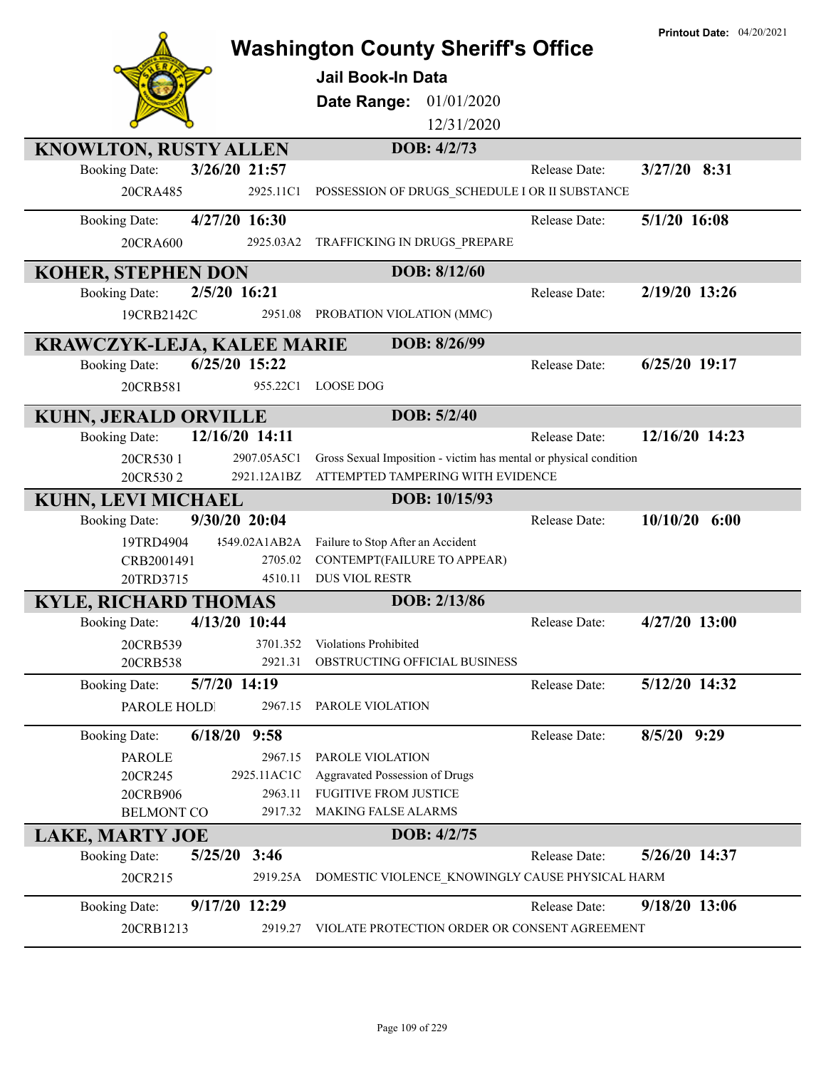|                                   |                     | <b>Washington County Sheriff's Office</b>                         |               | <b>Printout Date: 04/20/2021</b> |
|-----------------------------------|---------------------|-------------------------------------------------------------------|---------------|----------------------------------|
|                                   |                     |                                                                   |               |                                  |
|                                   |                     | <b>Jail Book-In Data</b>                                          |               |                                  |
|                                   |                     | 01/01/2020<br>Date Range:                                         |               |                                  |
|                                   |                     | 12/31/2020                                                        |               |                                  |
| <b>KNOWLTON, RUSTY ALLEN</b>      |                     | DOB: 4/2/73                                                       |               |                                  |
| <b>Booking Date:</b>              | 3/26/20 21:57       |                                                                   | Release Date: | $3/27/20$ 8:31                   |
| 20CRA485                          | 2925.11C1           | POSSESSION OF DRUGS SCHEDULE I OR II SUBSTANCE                    |               |                                  |
| <b>Booking Date:</b>              | 4/27/20 16:30       |                                                                   | Release Date: | $5/1/20$ 16:08                   |
|                                   |                     |                                                                   |               |                                  |
| 20CRA600                          | 2925.03A2           | TRAFFICKING IN DRUGS_PREPARE                                      |               |                                  |
| <b>KOHER, STEPHEN DON</b>         |                     | DOB: 8/12/60                                                      |               |                                  |
| <b>Booking Date:</b>              | 2/5/20 16:21        |                                                                   | Release Date: | 2/19/20 13:26                    |
| 19CRB2142C                        | 2951.08             | PROBATION VIOLATION (MMC)                                         |               |                                  |
| <b>KRAWCZYK-LEJA, KALEE MARIE</b> |                     | DOB: 8/26/99                                                      |               |                                  |
| <b>Booking Date:</b>              | 6/25/20 15:22       |                                                                   | Release Date: | 6/25/20 19:17                    |
| 20CRB581                          | 955.22C1            | <b>LOOSE DOG</b>                                                  |               |                                  |
|                                   |                     |                                                                   |               |                                  |
| <b>KUHN, JERALD ORVILLE</b>       |                     | DOB: 5/2/40                                                       |               |                                  |
| <b>Booking Date:</b>              | 12/16/20 14:11      |                                                                   | Release Date: | 12/16/20 14:23                   |
| 20CR530 1                         | 2907.05A5C1         | Gross Sexual Imposition - victim has mental or physical condition |               |                                  |
| 20CR5302                          | 2921.12A1BZ         | ATTEMPTED TAMPERING WITH EVIDENCE                                 |               |                                  |
| KUHN, LEVI MICHAEL                |                     | DOB: 10/15/93                                                     |               |                                  |
| <b>Booking Date:</b>              | 9/30/20 20:04       |                                                                   | Release Date: | $10/10/20$ 6:00                  |
| 19TRD4904                         | 1549.02A1AB2A       | Failure to Stop After an Accident                                 |               |                                  |
| CRB2001491                        | 2705.02             | CONTEMPT(FAILURE TO APPEAR)                                       |               |                                  |
| 20TRD3715                         | 4510.11             | <b>DUS VIOL RESTR</b>                                             |               |                                  |
| <b>KYLE, RICHARD THOMAS</b>       |                     | DOB: 2/13/86                                                      |               |                                  |
| <b>Booking Date:</b>              | 4/13/20 10:44       |                                                                   | Release Date: | 4/27/20 13:00                    |
| 20CRB539                          | 3701.352<br>2921.31 | Violations Prohibited<br>OBSTRUCTING OFFICIAL BUSINESS            |               |                                  |
| 20CRB538                          |                     |                                                                   |               |                                  |
| <b>Booking Date:</b>              | 5/7/20 14:19        |                                                                   | Release Date: | 5/12/20 14:32                    |
| PAROLE HOLDI                      | 2967.15             | PAROLE VIOLATION                                                  |               |                                  |
| <b>Booking Date:</b>              | $6/18/20$ 9:58      |                                                                   | Release Date: | 8/5/20 9:29                      |
| <b>PAROLE</b>                     | 2967.15             | PAROLE VIOLATION                                                  |               |                                  |
| 20CR245                           | 2925.11AC1C         | Aggravated Possession of Drugs                                    |               |                                  |
| 20CRB906                          | 2963.11             | <b>FUGITIVE FROM JUSTICE</b>                                      |               |                                  |
| <b>BELMONT CO</b>                 | 2917.32             | <b>MAKING FALSE ALARMS</b>                                        |               |                                  |
| <b>LAKE, MARTY JOE</b>            |                     | DOB: 4/2/75                                                       |               |                                  |
| 5/25/20<br><b>Booking Date:</b>   | 3:46                |                                                                   | Release Date: | 5/26/20 14:37                    |
| 20CR215                           | 2919.25A            | DOMESTIC VIOLENCE_KNOWINGLY CAUSE PHYSICAL HARM                   |               |                                  |
| <b>Booking Date:</b>              | 9/17/20 12:29       |                                                                   | Release Date: | 9/18/20 13:06                    |
| 20CRB1213                         | 2919.27             | VIOLATE PROTECTION ORDER OR CONSENT AGREEMENT                     |               |                                  |
|                                   |                     |                                                                   |               |                                  |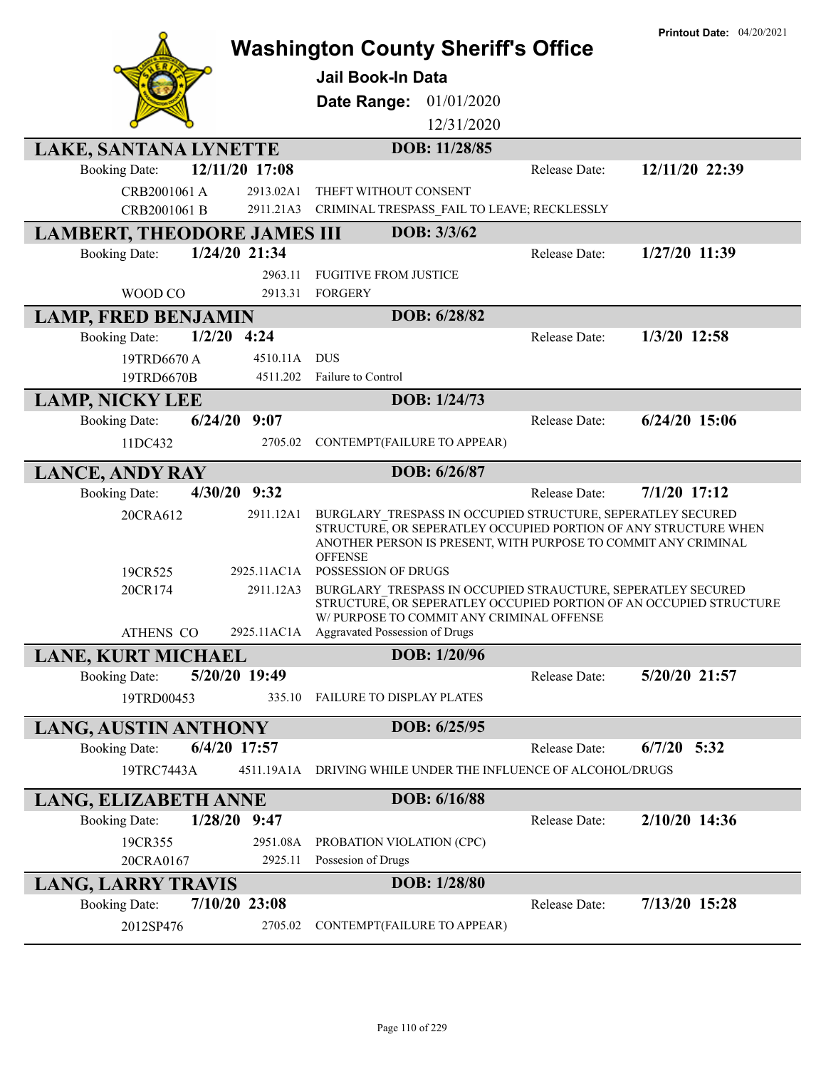|                                    |                     | <b>Washington County Sheriff's Office</b>                                                                                                                                                                                     |               | <b>Printout Date: 04/20/2021</b> |
|------------------------------------|---------------------|-------------------------------------------------------------------------------------------------------------------------------------------------------------------------------------------------------------------------------|---------------|----------------------------------|
|                                    |                     |                                                                                                                                                                                                                               |               |                                  |
|                                    |                     | <b>Jail Book-In Data</b>                                                                                                                                                                                                      |               |                                  |
|                                    |                     | 01/01/2020<br>Date Range:                                                                                                                                                                                                     |               |                                  |
|                                    |                     | 12/31/2020                                                                                                                                                                                                                    |               |                                  |
| LAKE, SANTANA LYNETTE              |                     | DOB: 11/28/85                                                                                                                                                                                                                 |               |                                  |
| <b>Booking Date:</b>               | 12/11/20 17:08      |                                                                                                                                                                                                                               | Release Date: | 12/11/20 22:39                   |
| CRB2001061 A                       | 2913.02A1           | THEFT WITHOUT CONSENT                                                                                                                                                                                                         |               |                                  |
| CRB2001061 B                       | 2911.21A3           | CRIMINAL TRESPASS_FAIL TO LEAVE; RECKLESSLY                                                                                                                                                                                   |               |                                  |
| <b>LAMBERT, THEODORE JAMES III</b> |                     | DOB: 3/3/62                                                                                                                                                                                                                   |               |                                  |
| <b>Booking Date:</b>               | 1/24/20 21:34       |                                                                                                                                                                                                                               | Release Date: | 1/27/20 11:39                    |
|                                    | 2963.11             | <b>FUGITIVE FROM JUSTICE</b>                                                                                                                                                                                                  |               |                                  |
| WOOD CO                            | 2913.31             | FORGERY                                                                                                                                                                                                                       |               |                                  |
| <b>LAMP, FRED BENJAMIN</b>         |                     | DOB: 6/28/82                                                                                                                                                                                                                  |               |                                  |
| <b>Booking Date:</b>               | $1/2/20$ 4:24       |                                                                                                                                                                                                                               | Release Date: | 1/3/20 12:58                     |
| 19TRD6670 A                        | 4510.11A            | <b>DUS</b>                                                                                                                                                                                                                    |               |                                  |
| 19TRD6670B                         | 4511.202            | Failure to Control                                                                                                                                                                                                            |               |                                  |
| <b>LAMP, NICKY LEE</b>             |                     | DOB: 1/24/73                                                                                                                                                                                                                  |               |                                  |
| <b>Booking Date:</b>               | $6/24/20$ 9:07      |                                                                                                                                                                                                                               | Release Date: | $6/24/20$ 15:06                  |
| 11DC432                            | 2705.02             | CONTEMPT(FAILURE TO APPEAR)                                                                                                                                                                                                   |               |                                  |
| <b>LANCE, ANDY RAY</b>             |                     | DOB: 6/26/87                                                                                                                                                                                                                  |               |                                  |
| <b>Booking Date:</b>               | 4/30/20 9:32        |                                                                                                                                                                                                                               | Release Date: | $7/1/20$ 17:12                   |
| 20CRA612                           | 2911.12A1           | BURGLARY TRESPASS IN OCCUPIED STRUCTURE, SEPERATLEY SECURED<br>STRUCTURE, OR SEPERATLEY OCCUPIED PORTION OF ANY STRUCTURE WHEN<br>ANOTHER PERSON IS PRESENT, WITH PURPOSE TO COMMIT ANY CRIMINAL<br><b>OFFENSE</b>            |               |                                  |
| 19CR525                            | 2925.11AC1A         | POSSESSION OF DRUGS                                                                                                                                                                                                           |               |                                  |
| 20CR174<br>ATHENS CO               | 2911.12A3           | BURGLARY TRESPASS IN OCCUPIED STRAUCTURE, SEPERATLEY SECURED<br>STRUCTURE, OR SEPERATLEY OCCUPIED PORTION OF AN OCCUPIED STRUCTURE<br>W/ PURPOSE TO COMMIT ANY CRIMINAL OFFENSE<br>2925.11AC1A Aggravated Possession of Drugs |               |                                  |
| <b>LANE, KURT MICHAEL</b>          |                     | DOB: 1/20/96                                                                                                                                                                                                                  |               |                                  |
| <b>Booking Date:</b>               | 5/20/20 19:49       |                                                                                                                                                                                                                               | Release Date: | 5/20/20 21:57                    |
| 19TRD00453                         | 335.10              | FAILURE TO DISPLAY PLATES                                                                                                                                                                                                     |               |                                  |
| <b>LANG, AUSTIN ANTHONY</b>        |                     | DOB: 6/25/95                                                                                                                                                                                                                  |               |                                  |
| <b>Booking Date:</b>               | 6/4/20 17:57        |                                                                                                                                                                                                                               | Release Date: | $6/7/20$ 5:32                    |
| 19TRC7443A                         | 4511.19A1A          | DRIVING WHILE UNDER THE INFLUENCE OF ALCOHOL/DRUGS                                                                                                                                                                            |               |                                  |
|                                    |                     |                                                                                                                                                                                                                               |               |                                  |
| <b>LANG, ELIZABETH ANNE</b>        |                     | DOB: 6/16/88                                                                                                                                                                                                                  |               |                                  |
| <b>Booking Date:</b>               | $1/28/20$ 9:47      |                                                                                                                                                                                                                               | Release Date: | 2/10/20 14:36                    |
| 19CR355<br>20CRA0167               | 2951.08A<br>2925.11 | PROBATION VIOLATION (CPC)<br>Possesion of Drugs                                                                                                                                                                               |               |                                  |
|                                    |                     |                                                                                                                                                                                                                               |               |                                  |
| <b>LANG, LARRY TRAVIS</b>          |                     | DOB: 1/28/80                                                                                                                                                                                                                  |               |                                  |
| <b>Booking Date:</b>               | 7/10/20 23:08       |                                                                                                                                                                                                                               | Release Date: | 7/13/20 15:28                    |
| 2012SP476                          | 2705.02             | CONTEMPT(FAILURE TO APPEAR)                                                                                                                                                                                                   |               |                                  |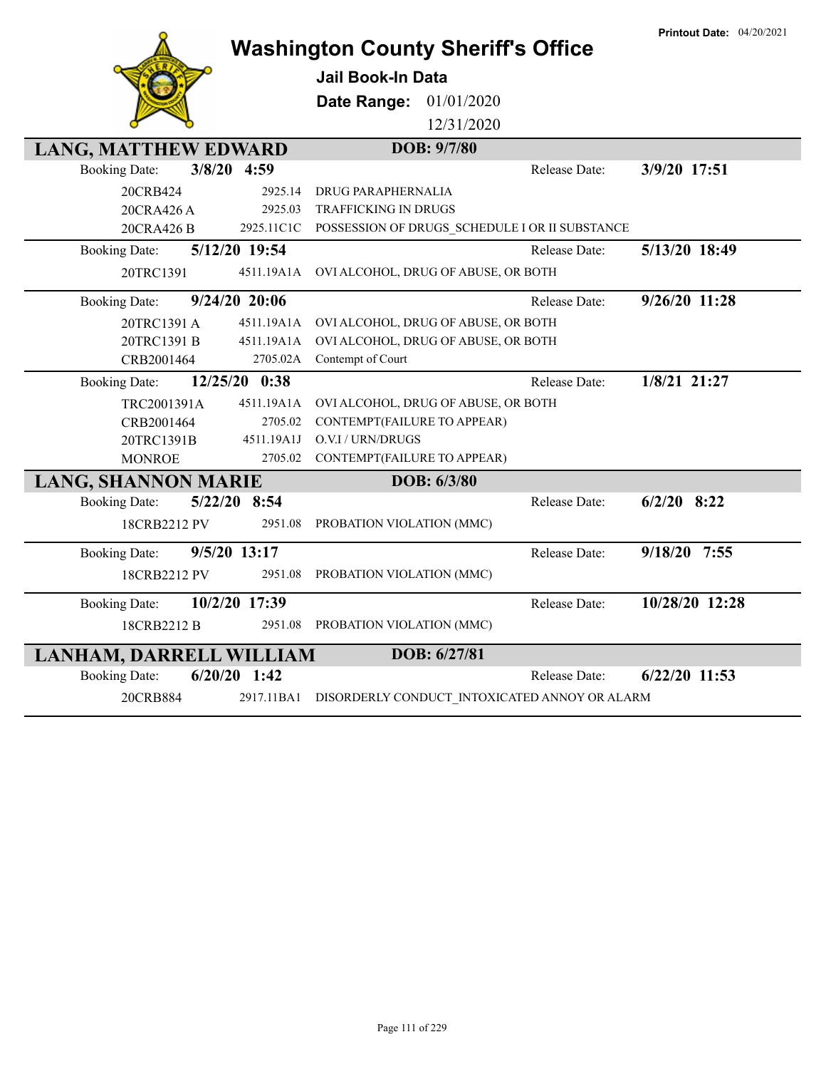|                                        |            | <b>Washington County Sheriff's Office</b>                 |               | <b>Printout Date: 04/20/2021</b> |
|----------------------------------------|------------|-----------------------------------------------------------|---------------|----------------------------------|
|                                        |            | <b>Jail Book-In Data</b>                                  |               |                                  |
|                                        |            | Date Range:<br>01/01/2020                                 |               |                                  |
|                                        |            | 12/31/2020                                                |               |                                  |
| <b>LANG, MATTHEW EDWARD</b>            |            | DOB: 9/7/80                                               |               |                                  |
| 3/8/20 4:59<br><b>Booking Date:</b>    |            |                                                           | Release Date: | 3/9/20 17:51                     |
| 20CRB424                               | 2925.14    | DRUG PARAPHERNALIA                                        |               |                                  |
| 20CRA426 A                             | 2925.03    | <b>TRAFFICKING IN DRUGS</b>                               |               |                                  |
| 20CRA426 B                             |            | 2925.11C1C POSSESSION OF DRUGS_SCHEDULE I OR II SUBSTANCE |               |                                  |
| 5/12/20 19:54<br><b>Booking Date:</b>  |            |                                                           | Release Date: | 5/13/20 18:49                    |
| 20TRC1391                              |            | 4511.19A1A OVI ALCOHOL, DRUG OF ABUSE, OR BOTH            |               |                                  |
| 9/24/20 20:06<br><b>Booking Date:</b>  |            |                                                           | Release Date: | 9/26/20 11:28                    |
| 20TRC1391 A                            | 4511.19A1A | OVI ALCOHOL, DRUG OF ABUSE, OR BOTH                       |               |                                  |
| 20TRC1391 B                            | 4511.19A1A | OVI ALCOHOL, DRUG OF ABUSE, OR BOTH                       |               |                                  |
| CRB2001464                             | 2705.02A   | Contempt of Court                                         |               |                                  |
| 12/25/20 0:38<br><b>Booking Date:</b>  |            |                                                           | Release Date: | 1/8/21 21:27                     |
| TRC2001391A                            | 4511.19A1A | OVI ALCOHOL, DRUG OF ABUSE, OR BOTH                       |               |                                  |
| CRB2001464                             | 2705.02    | CONTEMPT(FAILURE TO APPEAR)                               |               |                                  |
| 20TRC1391B                             | 4511.19A1J | O.V.I / URN/DRUGS                                         |               |                                  |
| <b>MONROE</b>                          | 2705.02    | CONTEMPT(FAILURE TO APPEAR)                               |               |                                  |
| <b>LANG, SHANNON MARIE</b>             |            | DOB: 6/3/80                                               |               |                                  |
| 5/22/20 8:54<br><b>Booking Date:</b>   |            |                                                           | Release Date: | $6/2/20$ 8:22                    |
| 18CRB2212 PV                           | 2951.08    | PROBATION VIOLATION (MMC)                                 |               |                                  |
| 9/5/20 13:17<br><b>Booking Date:</b>   |            |                                                           | Release Date: | $9/18/20$ 7:55                   |
| 18CRB2212 PV                           | 2951.08    | PROBATION VIOLATION (MMC)                                 |               |                                  |
| 10/2/20 17:39<br><b>Booking Date:</b>  |            |                                                           | Release Date: | 10/28/20 12:28                   |
| 18CRB2212 B                            | 2951.08    | PROBATION VIOLATION (MMC)                                 |               |                                  |
| LANHAM, DARRELL WILLIAM                |            | DOB: 6/27/81                                              |               |                                  |
| $6/20/20$ 1:42<br><b>Booking Date:</b> |            |                                                           | Release Date: | $6/22/20$ 11:53                  |
| 20CRB884                               |            | 2917.11BA1 DISORDERLY CONDUCT INTOXICATED ANNOY OR ALARM  |               |                                  |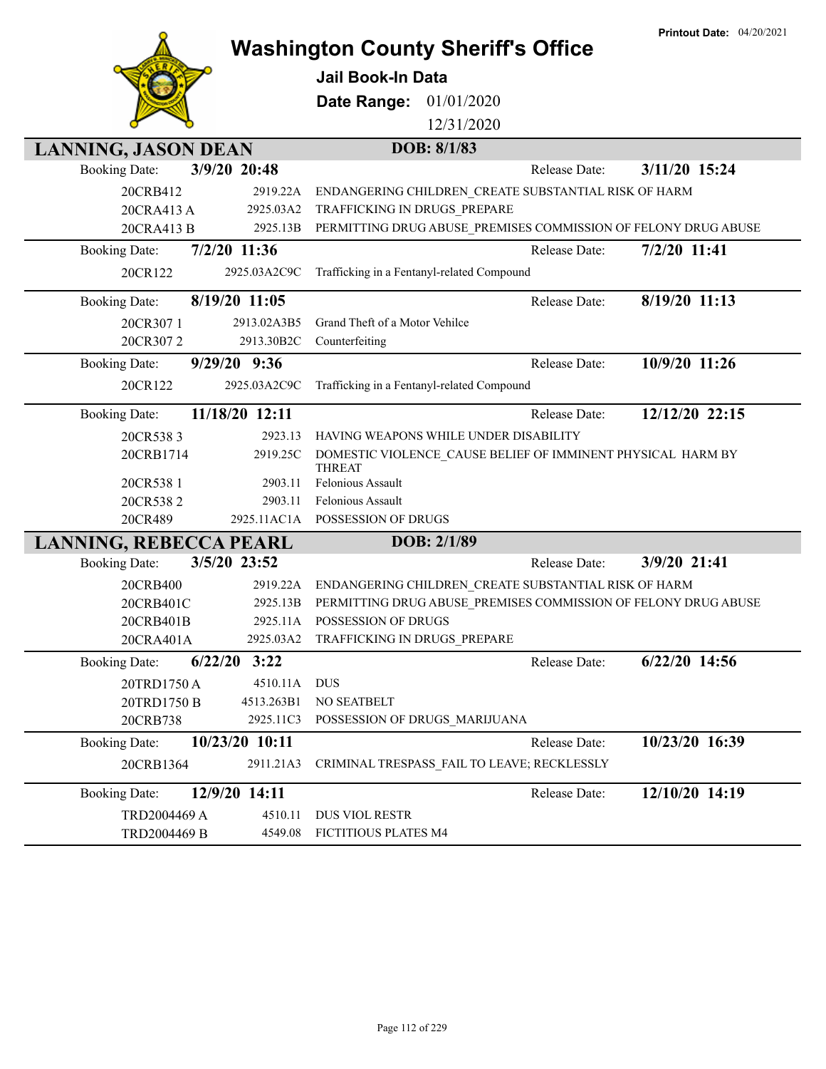|                               |                 | <b>Washington County Sheriff's Office</b>            |             |               | <b>Printout Date: 04/20/2021</b>                               |
|-------------------------------|-----------------|------------------------------------------------------|-------------|---------------|----------------------------------------------------------------|
|                               |                 | <b>Jail Book-In Data</b>                             |             |               |                                                                |
|                               |                 |                                                      |             |               |                                                                |
|                               |                 | Date Range:                                          | 01/01/2020  |               |                                                                |
|                               |                 |                                                      | 12/31/2020  |               |                                                                |
| <b>LANNING, JASON DEAN</b>    |                 |                                                      | DOB: 8/1/83 |               |                                                                |
| <b>Booking Date:</b>          | 3/9/20 20:48    |                                                      |             | Release Date: | 3/11/20 15:24                                                  |
| 20CRB412                      | 2919.22A        | ENDANGERING CHILDREN CREATE SUBSTANTIAL RISK OF HARM |             |               |                                                                |
| 20CRA413 A                    | 2925.03A2       | TRAFFICKING IN DRUGS PREPARE                         |             |               |                                                                |
| 20CRA413 B                    | 2925.13B        |                                                      |             |               | PERMITTING DRUG ABUSE_PREMISES COMMISSION OF FELONY DRUG ABUSE |
| <b>Booking Date:</b>          | 7/2/20 11:36    |                                                      |             | Release Date: | 7/2/20 11:41                                                   |
| 20CR122                       | 2925.03A2C9C    | Trafficking in a Fentanyl-related Compound           |             |               |                                                                |
| <b>Booking Date:</b>          | 8/19/20 11:05   |                                                      |             | Release Date: | 8/19/20 11:13                                                  |
| 20CR3071                      | 2913.02A3B5     | Grand Theft of a Motor Vehilce                       |             |               |                                                                |
| 20CR3072                      | 2913.30B2C      | Counterfeiting                                       |             |               |                                                                |
| <b>Booking Date:</b>          | 9/29/20 9:36    |                                                      |             | Release Date: | 10/9/20 11:26                                                  |
| 20CR122                       | 2925.03A2C9C    | Trafficking in a Fentanyl-related Compound           |             |               |                                                                |
| <b>Booking Date:</b>          | 11/18/20 12:11  |                                                      |             | Release Date: | 12/12/20 22:15                                                 |
| 20CR5383                      | 2923.13         | HAVING WEAPONS WHILE UNDER DISABILITY                |             |               |                                                                |
| 20CRB1714                     | 2919.25C        | THREAT                                               |             |               | DOMESTIC VIOLENCE_CAUSE BELIEF OF IMMINENT PHYSICAL HARM BY    |
| 20CR538 1                     | 2903.11         | Felonious Assault                                    |             |               |                                                                |
| 20CR5382                      | 2903.11         | Felonious Assault                                    |             |               |                                                                |
| 20CR489                       |                 | 2925.11AC1A POSSESSION OF DRUGS                      |             |               |                                                                |
| <b>LANNING, REBECCA PEARL</b> |                 |                                                      | DOB: 2/1/89 |               |                                                                |
| <b>Booking Date:</b>          | 3/5/20 23:52    |                                                      |             | Release Date: | 3/9/20 21:41                                                   |
| 20CRB400                      | 2919.22A        | ENDANGERING CHILDREN CREATE SUBSTANTIAL RISK OF HARM |             |               |                                                                |
| 20CRB401C                     | 2925.13B        |                                                      |             |               | PERMITTING DRUG ABUSE_PREMISES COMMISSION OF FELONY DRUG ABUSE |
| 20CRB401B                     | 2925.11A        | POSSESSION OF DRUGS                                  |             |               |                                                                |
| 20CRA401A                     | 2925.03A2       | TRAFFICKING IN DRUGS PREPARE                         |             |               |                                                                |
| <b>Booking Date:</b>          | 3:22<br>6/22/20 |                                                      |             | Release Date: | $6/22/20$ 14:56                                                |
| 20TRD1750 A                   | 4510.11A        | DUS                                                  |             |               |                                                                |
| 20TRD1750 B                   | 4513.263B1      | NO SEATBELT                                          |             |               |                                                                |
| 20CRB738                      | 2925.11C3       | POSSESSION OF DRUGS_MARIJUANA                        |             |               |                                                                |
| <b>Booking Date:</b>          | 10/23/20 10:11  |                                                      |             | Release Date: | 10/23/20 16:39                                                 |
| 20CRB1364                     | 2911.21A3       | CRIMINAL TRESPASS_FAIL TO LEAVE; RECKLESSLY          |             |               |                                                                |
| <b>Booking Date:</b>          | 12/9/20 14:11   |                                                      |             | Release Date: | 12/10/20 14:19                                                 |
| TRD2004469 A                  | 4510.11         | DUS VIOL RESTR                                       |             |               |                                                                |
| TRD2004469 B                  | 4549.08         | FICTITIOUS PLATES M4                                 |             |               |                                                                |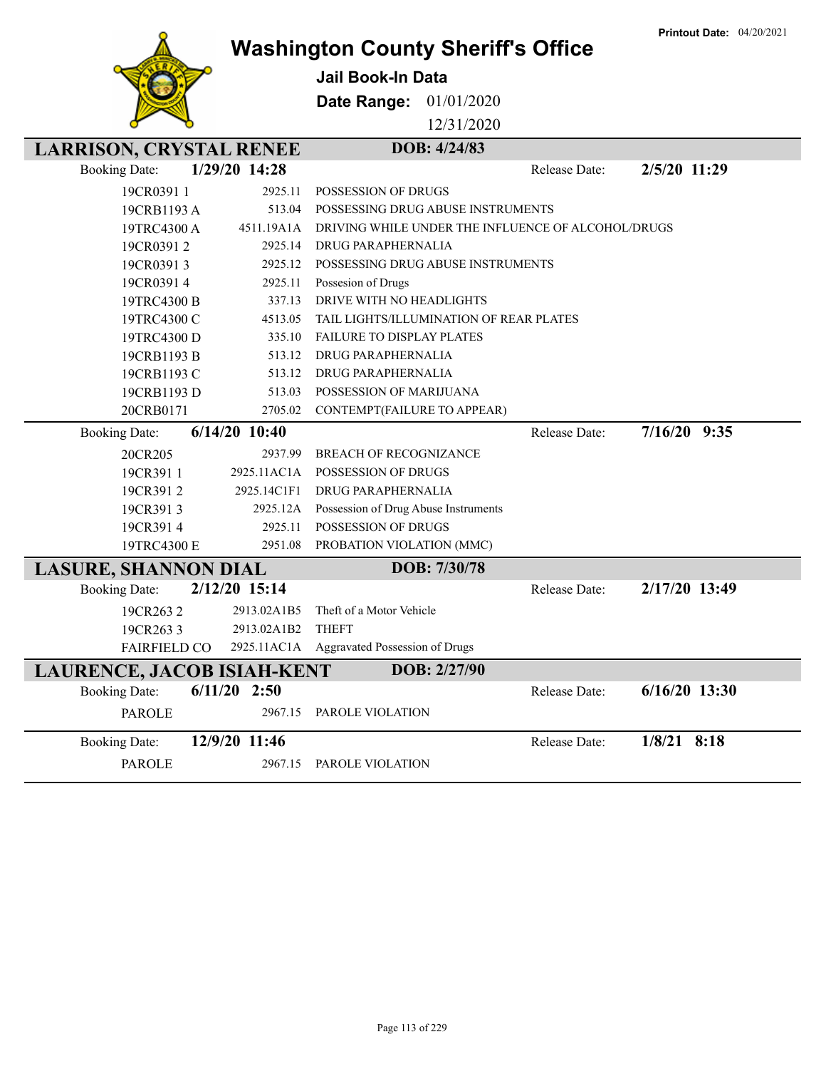

## **Washington County Sheriff's Office**

**Jail Book-In Data**

**Date Range:** 01/01/2020

12/31/2020

| <b>LARRISON, CRYSTAL RENEE</b>    |                 |             | DOB: 4/24/83                                       |               |                |                 |
|-----------------------------------|-----------------|-------------|----------------------------------------------------|---------------|----------------|-----------------|
| <b>Booking Date:</b>              | 1/29/20 14:28   |             |                                                    | Release Date: | 2/5/20 11:29   |                 |
| 19CR0391 1                        |                 | 2925.11     | <b>POSSESSION OF DRUGS</b>                         |               |                |                 |
| 19CRB1193 A                       |                 | 513.04      | POSSESSING DRUG ABUSE INSTRUMENTS                  |               |                |                 |
| 19TRC4300 A                       |                 | 4511.19A1A  | DRIVING WHILE UNDER THE INFLUENCE OF ALCOHOL/DRUGS |               |                |                 |
| 19CR03912                         |                 | 2925.14     | <b>DRUG PARAPHERNALIA</b>                          |               |                |                 |
| 19CR03913                         |                 | 2925.12     | POSSESSING DRUG ABUSE INSTRUMENTS                  |               |                |                 |
| 19CR03914                         |                 | 2925.11     | Possesion of Drugs                                 |               |                |                 |
| 19TRC4300 B                       |                 | 337.13      | DRIVE WITH NO HEADLIGHTS                           |               |                |                 |
| 19TRC4300 C                       |                 | 4513.05     | TAIL LIGHTS/ILLUMINATION OF REAR PLATES            |               |                |                 |
| 19TRC4300 D                       |                 | 335.10      | <b>FAILURE TO DISPLAY PLATES</b>                   |               |                |                 |
| 19CRB1193 B                       |                 | 513.12      | DRUG PARAPHERNALIA                                 |               |                |                 |
| 19CRB1193 C                       |                 | 513.12      | DRUG PARAPHERNALIA                                 |               |                |                 |
| 19CRB1193 D                       |                 | 513.03      | POSSESSION OF MARIJUANA                            |               |                |                 |
| 20CRB0171                         |                 | 2705.02     | CONTEMPT(FAILURE TO APPEAR)                        |               |                |                 |
| <b>Booking Date:</b>              | $6/14/20$ 10:40 |             |                                                    | Release Date: | $7/16/20$ 9:35 |                 |
| 20CR205                           |                 | 2937.99     | BREACH OF RECOGNIZANCE                             |               |                |                 |
| 19CR391 1                         |                 | 2925.11AC1A | POSSESSION OF DRUGS                                |               |                |                 |
| 19CR3912                          |                 | 2925.14C1F1 | DRUG PARAPHERNALIA                                 |               |                |                 |
| 19CR3913                          |                 | 2925.12A    | Possession of Drug Abuse Instruments               |               |                |                 |
| 19CR3914                          |                 | 2925.11     | POSSESSION OF DRUGS                                |               |                |                 |
| 19TRC4300 E                       |                 | 2951.08     | PROBATION VIOLATION (MMC)                          |               |                |                 |
| <b>LASURE, SHANNON DIAL</b>       |                 |             | DOB: 7/30/78                                       |               |                |                 |
| <b>Booking Date:</b>              | 2/12/20 15:14   |             |                                                    | Release Date: |                | 2/17/20 13:49   |
| 19CR2632                          |                 | 2913.02A1B5 | Theft of a Motor Vehicle                           |               |                |                 |
| 19CR2633                          |                 | 2913.02A1B2 | <b>THEFT</b>                                       |               |                |                 |
| <b>FAIRFIELD CO</b>               |                 | 2925.11AC1A | Aggravated Possession of Drugs                     |               |                |                 |
| <b>LAURENCE, JACOB ISIAH-KENT</b> |                 |             | DOB: 2/27/90                                       |               |                |                 |
| <b>Booking Date:</b>              | $6/11/20$ 2:50  |             |                                                    | Release Date: |                | $6/16/20$ 13:30 |
| <b>PAROLE</b>                     |                 | 2967.15     | PAROLE VIOLATION                                   |               |                |                 |
| <b>Booking Date:</b>              | 12/9/20 11:46   |             |                                                    | Release Date: | $1/8/21$ 8:18  |                 |
| <b>PAROLE</b>                     |                 | 2967.15     | PAROLE VIOLATION                                   |               |                |                 |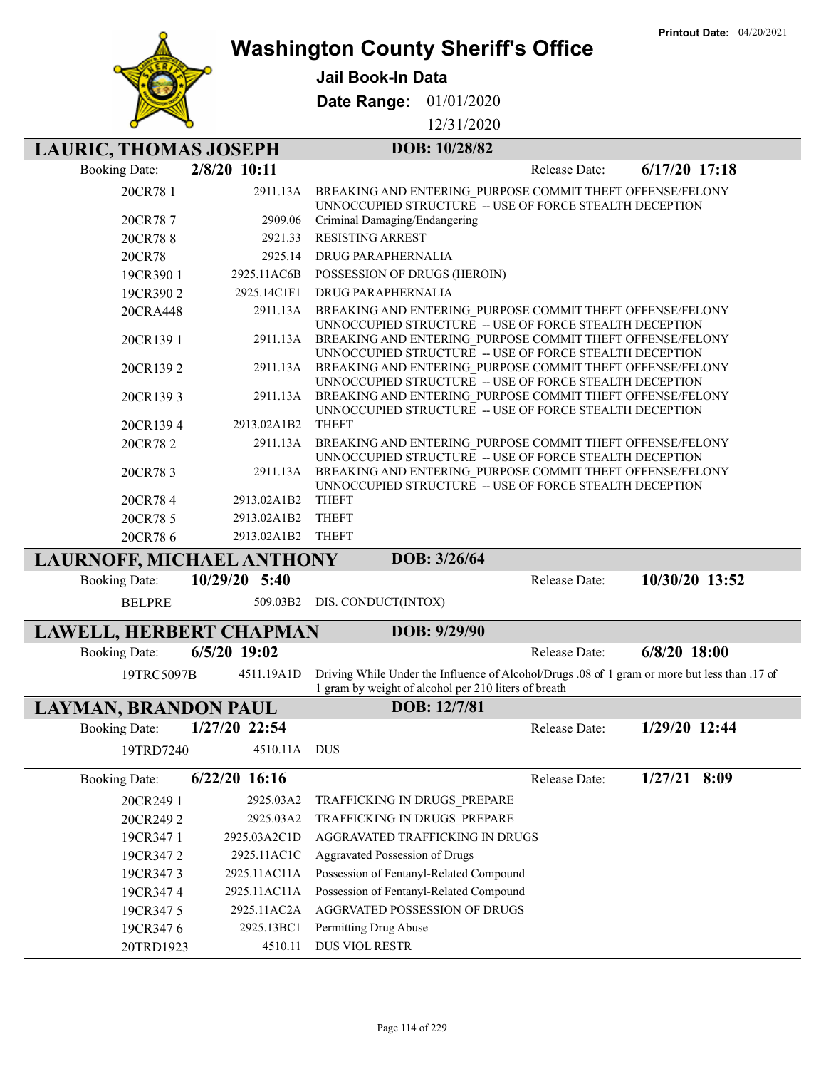

Γ

Ī

Γ

### **Washington County Sheriff's Office**

**Jail Book-In Data**

**Date Range:** 01/01/2020

12/31/2020

| <b>LAURIC, THOMAS JOSEPH</b>     |                 | DOB: 10/28/82                                                                                                        |               |                 |
|----------------------------------|-----------------|----------------------------------------------------------------------------------------------------------------------|---------------|-----------------|
| <b>Booking Date:</b>             | 2/8/20 10:11    |                                                                                                                      | Release Date: | $6/17/20$ 17:18 |
| 20CR78 1                         | 2911.13A        | BREAKING AND ENTERING PURPOSE COMMIT THEFT OFFENSE/FELONY<br>UNNOCCUPIED STRUCTURE -- USE OF FORCE STEALTH DECEPTION |               |                 |
| 20CR787                          | 2909.06         | Criminal Damaging/Endangering                                                                                        |               |                 |
| 20CR788                          | 2921.33         | <b>RESISTING ARREST</b>                                                                                              |               |                 |
| 20CR78                           | 2925.14         | DRUG PARAPHERNALIA                                                                                                   |               |                 |
| 19CR390 1                        | 2925.11AC6B     | POSSESSION OF DRUGS (HEROIN)                                                                                         |               |                 |
| 19CR3902                         | 2925.14C1F1     | DRUG PARAPHERNALIA                                                                                                   |               |                 |
| 20CRA448                         | 2911.13A        | BREAKING AND ENTERING PURPOSE COMMIT THEFT OFFENSE/FELONY<br>UNNOCCUPIED STRUCTURE -- USE OF FORCE STEALTH DECEPTION |               |                 |
| 20CR1391                         | 2911.13A        | BREAKING AND ENTERING PURPOSE COMMIT THEFT OFFENSE/FELONY<br>UNNOCCUPIED STRUCTURE -- USE OF FORCE STEALTH DECEPTION |               |                 |
| 20CR1392                         | 2911.13A        | BREAKING AND ENTERING PURPOSE COMMIT THEFT OFFENSE/FELONY<br>UNNOCCUPIED STRUCTURE -- USE OF FORCE STEALTH DECEPTION |               |                 |
| 20CR1393                         | 2911.13A        | BREAKING AND ENTERING PURPOSE COMMIT THEFT OFFENSE/FELONY<br>UNNOCCUPIED STRUCTURE -- USE OF FORCE STEALTH DECEPTION |               |                 |
| 20CR1394                         | 2913.02A1B2     | <b>THEFT</b>                                                                                                         |               |                 |
| 20CR782                          | 2911.13A        | BREAKING AND ENTERING PURPOSE COMMIT THEFT OFFENSE/FELONY<br>UNNOCCUPIED STRUCTURE -- USE OF FORCE STEALTH DECEPTION |               |                 |
| 20CR783                          | 2911.13A        | BREAKING AND ENTERING PURPOSE COMMIT THEFT OFFENSE/FELONY<br>UNNOCCUPIED STRUCTURE -- USE OF FORCE STEALTH DECEPTION |               |                 |
| 20CR784                          | 2913.02A1B2     | <b>THEFT</b>                                                                                                         |               |                 |
| 20CR78 5                         | 2913.02A1B2     | <b>THEFT</b>                                                                                                         |               |                 |
| 20CR786                          | 2913.02A1B2     | <b>THEFT</b>                                                                                                         |               |                 |
| <b>LAURNOFF, MICHAEL ANTHONY</b> |                 | DOB: 3/26/64                                                                                                         |               |                 |
| <b>Booking Date:</b>             | 10/29/20 5:40   |                                                                                                                      | Release Date: | 10/30/20 13:52  |
| <b>BELPRE</b>                    | 509.03B2        | DIS. CONDUCT(INTOX)                                                                                                  |               |                 |
| <b>LAWELL, HERBERT CHAPMAN</b>   |                 | DOB: 9/29/90                                                                                                         |               |                 |
| <b>Booking Date:</b>             | 6/5/20 19:02    |                                                                                                                      | Release Date: | $6/8/20$ 18:00  |
| 19TRC5097B                       | 4511.19A1D      | Driving While Under the Influence of Alcohol/Drugs .08 of 1 gram or more but less than .17 of                        |               |                 |
|                                  |                 | 1 gram by weight of alcohol per 210 liters of breath                                                                 |               |                 |
| <b>LAYMAN, BRANDON PAUL</b>      |                 | DOB: 12/7/81                                                                                                         |               |                 |
| <b>Booking Date:</b>             | 1/27/20 22:54   |                                                                                                                      | Release Date: | 1/29/20 12:44   |
| 19TRD7240                        | 4510.11A DUS    |                                                                                                                      |               |                 |
| <b>Booking Date:</b>             | $6/22/20$ 16:16 |                                                                                                                      | Release Date: | $1/27/21$ 8:09  |
| 20CR249 1                        | 2925.03A2       | TRAFFICKING IN DRUGS PREPARE                                                                                         |               |                 |
| 20CR2492                         | 2925.03A2       | TRAFFICKING IN DRUGS PREPARE                                                                                         |               |                 |
| 19CR347 1                        | 2925.03A2C1D    | AGGRAVATED TRAFFICKING IN DRUGS                                                                                      |               |                 |
| 19CR3472                         | 2925.11AC1C     | Aggravated Possession of Drugs                                                                                       |               |                 |
| 19CR3473                         | 2925.11AC11A    | Possession of Fentanyl-Related Compound                                                                              |               |                 |
| 19CR3474                         | 2925.11AC11A    | Possession of Fentanyl-Related Compound                                                                              |               |                 |
| 19CR3475                         | 2925.11AC2A     | AGGRVATED POSSESSION OF DRUGS                                                                                        |               |                 |
| 19CR3476                         | 2925.13BC1      | Permitting Drug Abuse                                                                                                |               |                 |
| 20TRD1923                        | 4510.11         | DUS VIOL RESTR                                                                                                       |               |                 |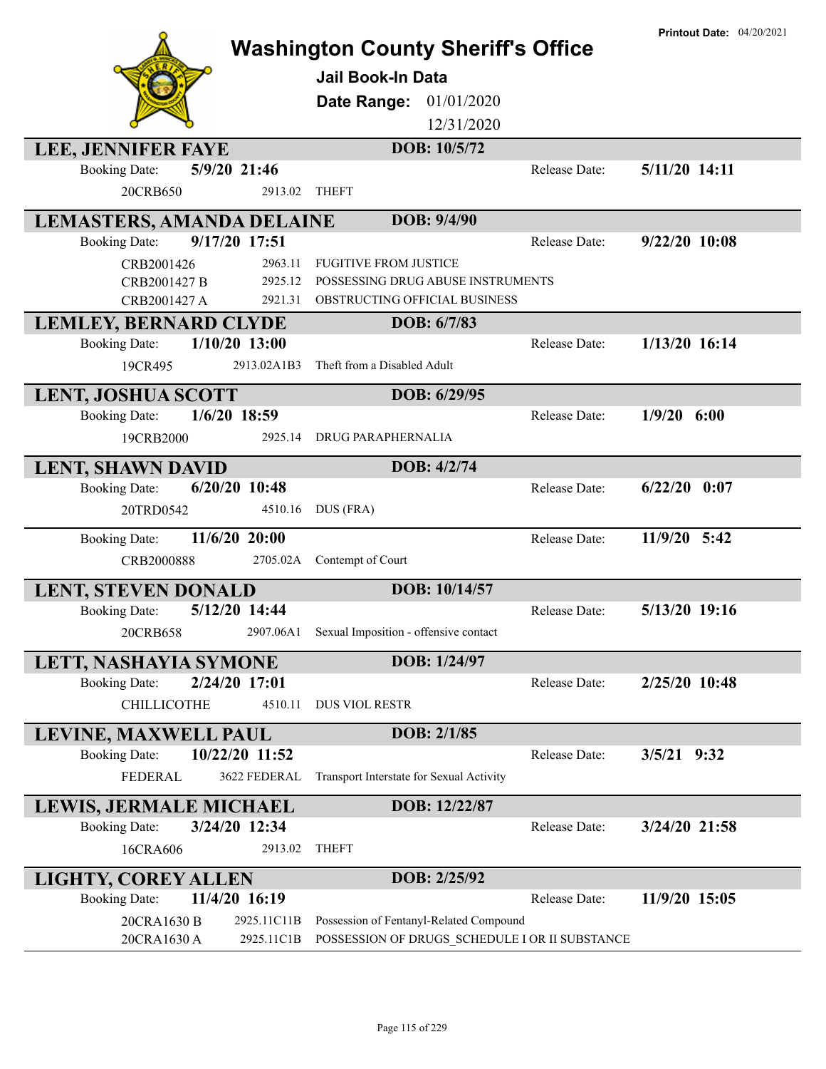|                                                              | <b>Washington County Sheriff's Office</b>       |               | <b>Printout Date: 04/20/2021</b> |
|--------------------------------------------------------------|-------------------------------------------------|---------------|----------------------------------|
|                                                              |                                                 |               |                                  |
|                                                              | <b>Jail Book-In Data</b>                        |               |                                  |
|                                                              | 01/01/2020<br>Date Range:                       |               |                                  |
|                                                              | 12/31/2020                                      |               |                                  |
| <b>LEE, JENNIFER FAYE</b>                                    | DOB: 10/5/72                                    |               |                                  |
| 5/9/20 21:46<br><b>Booking Date:</b>                         |                                                 | Release Date: | 5/11/20 14:11                    |
| 20CRB650<br>2913.02                                          | <b>THEFT</b>                                    |               |                                  |
| <b>LEMASTERS, AMANDA DELAINE</b>                             | DOB: 9/4/90                                     |               |                                  |
| 9/17/20 17:51<br><b>Booking Date:</b>                        |                                                 | Release Date: | 9/22/20 10:08                    |
| 2963.11<br>CRB2001426                                        | <b>FUGITIVE FROM JUSTICE</b>                    |               |                                  |
| 2925.12<br>CRB2001427 B                                      | POSSESSING DRUG ABUSE INSTRUMENTS               |               |                                  |
| 2921.31<br>CRB2001427 A                                      | OBSTRUCTING OFFICIAL BUSINESS                   |               |                                  |
| <b>LEMLEY, BERNARD CLYDE</b><br>$1/10/20$ 13:00              | DOB: 6/7/83                                     | Release Date: | 1/13/20 16:14                    |
| <b>Booking Date:</b><br>2913.02A1B3                          | Theft from a Disabled Adult                     |               |                                  |
| 19CR495                                                      |                                                 |               |                                  |
| <b>LENT, JOSHUA SCOTT</b>                                    | DOB: 6/29/95                                    |               |                                  |
| 1/6/20 18:59<br><b>Booking Date:</b>                         |                                                 | Release Date: | $1/9/20$ 6:00                    |
| 2925.14<br>19CRB2000                                         | DRUG PARAPHERNALIA                              |               |                                  |
| <b>LENT, SHAWN DAVID</b>                                     | DOB: 4/2/74                                     |               |                                  |
| $6/20/20$ 10:48<br><b>Booking Date:</b>                      |                                                 | Release Date: | $6/22/20$ 0:07                   |
| 20TRD0542<br>4510.16                                         | DUS (FRA)                                       |               |                                  |
| 11/6/20 20:00<br><b>Booking Date:</b>                        |                                                 | Release Date: | 11/9/20 5:42                     |
| CRB2000888<br>2705.02A                                       | Contempt of Court                               |               |                                  |
| <b>LENT, STEVEN DONALD</b>                                   | DOB: 10/14/57                                   |               |                                  |
| 5/12/20 14:44<br><b>Booking Date:</b>                        |                                                 | Release Date: | 5/13/20 19:16                    |
| 20CRB658                                                     | 2907.06A1 Sexual Imposition - offensive contact |               |                                  |
| LETT, NASHAYIA SYMONE                                        | DOB: 1/24/97                                    |               |                                  |
| 2/24/20 17:01<br><b>Booking Date:</b>                        |                                                 | Release Date: | 2/25/20 10:48                    |
| <b>CHILLICOTHE</b><br>4510.11                                | <b>DUS VIOL RESTR</b>                           |               |                                  |
| LEVINE, MAXWELL PAUL                                         | DOB: 2/1/85                                     |               |                                  |
| 10/22/20 11:52<br><b>Booking Date:</b>                       |                                                 | Release Date: | 3/5/21 9:32                      |
| <b>FEDERAL</b><br>3622 FEDERAL                               | Transport Interstate for Sexual Activity        |               |                                  |
| LEWIS, JERMALE MICHAEL                                       | DOB: 12/22/87                                   |               |                                  |
| 3/24/20 12:34<br><b>Booking Date:</b>                        |                                                 | Release Date: | 3/24/20 21:58                    |
| 2913.02<br>16CRA606                                          | <b>THEFT</b>                                    |               |                                  |
|                                                              |                                                 |               |                                  |
| LIGHTY, COREY ALLEN<br>11/4/20 16:19<br><b>Booking Date:</b> | DOB: 2/25/92                                    | Release Date: | 11/9/20 15:05                    |
| 20CRA1630 B<br>2925.11C11B                                   | Possession of Fentanyl-Related Compound         |               |                                  |
| 20CRA1630 A<br>2925.11C1B                                    | POSSESSION OF DRUGS SCHEDULE I OR II SUBSTANCE  |               |                                  |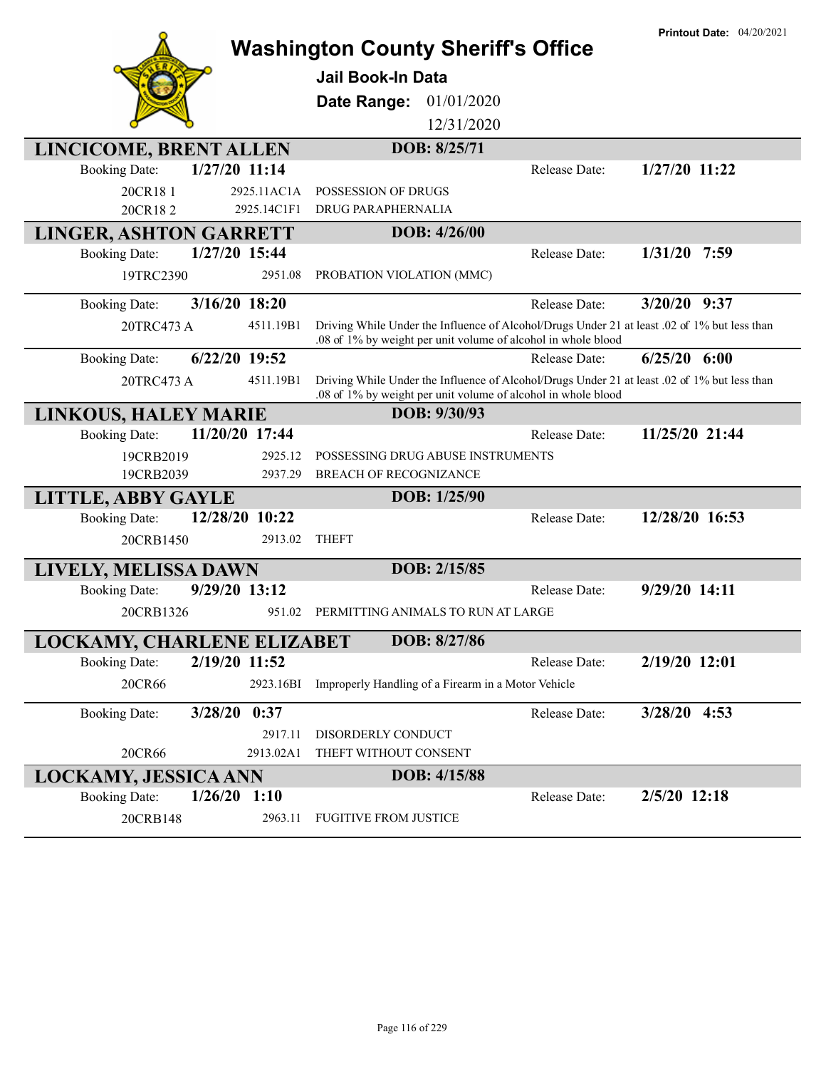|                                   |                | <b>Washington County Sheriff's Office</b>                                                                                                                     |               | <b>Printout Date: 04/20/2021</b> |
|-----------------------------------|----------------|---------------------------------------------------------------------------------------------------------------------------------------------------------------|---------------|----------------------------------|
|                                   |                | <b>Jail Book-In Data</b>                                                                                                                                      |               |                                  |
|                                   |                | 01/01/2020<br>Date Range:                                                                                                                                     |               |                                  |
|                                   |                | 12/31/2020                                                                                                                                                    |               |                                  |
| LINCICOME, BRENT ALLEN            |                | DOB: 8/25/71                                                                                                                                                  |               |                                  |
| <b>Booking Date:</b>              | 1/27/20 11:14  |                                                                                                                                                               | Release Date: | 1/27/20 11:22                    |
| 20CR181                           | 2925.11AC1A    | POSSESSION OF DRUGS                                                                                                                                           |               |                                  |
| 20CR182                           | 2925.14C1F1    | DRUG PARAPHERNALIA                                                                                                                                            |               |                                  |
| <b>LINGER, ASHTON GARRETT</b>     |                | DOB: 4/26/00                                                                                                                                                  |               |                                  |
| <b>Booking Date:</b>              | 1/27/20 15:44  |                                                                                                                                                               | Release Date: | $1/31/20$ 7:59                   |
| 19TRC2390                         | 2951.08        | PROBATION VIOLATION (MMC)                                                                                                                                     |               |                                  |
| <b>Booking Date:</b>              | 3/16/20 18:20  |                                                                                                                                                               | Release Date: | $3/20/20$ 9:37                   |
| 20TRC473 A                        | 4511.19B1      | Driving While Under the Influence of Alcohol/Drugs Under 21 at least .02 of 1% but less than<br>.08 of 1% by weight per unit volume of alcohol in whole blood |               |                                  |
| <b>Booking Date:</b>              | 6/22/20 19:52  |                                                                                                                                                               | Release Date: | $6/25/20$ $6:00$                 |
| 20TRC473 A                        | 4511.19B1      | Driving While Under the Influence of Alcohol/Drugs Under 21 at least .02 of 1% but less than<br>.08 of 1% by weight per unit volume of alcohol in whole blood |               |                                  |
| <b>LINKOUS, HALEY MARIE</b>       |                | DOB: 9/30/93                                                                                                                                                  |               |                                  |
| <b>Booking Date:</b>              | 11/20/20 17:44 |                                                                                                                                                               | Release Date: | 11/25/20 21:44                   |
| 19CRB2019                         | 2925.12        | POSSESSING DRUG ABUSE INSTRUMENTS                                                                                                                             |               |                                  |
| 19CRB2039                         | 2937.29        | <b>BREACH OF RECOGNIZANCE</b>                                                                                                                                 |               |                                  |
| <b>LITTLE, ABBY GAYLE</b>         | 12/28/20 10:22 | DOB: 1/25/90                                                                                                                                                  |               | 12/28/20 16:53                   |
| <b>Booking Date:</b>              | 2913.02        | <b>THEFT</b>                                                                                                                                                  | Release Date: |                                  |
| 20CRB1450                         |                |                                                                                                                                                               |               |                                  |
| LIVELY, MELISSA DAWN              |                | DOB: 2/15/85                                                                                                                                                  |               |                                  |
| <b>Booking Date:</b>              | 9/29/20 13:12  |                                                                                                                                                               | Release Date: | 9/29/20 14:11                    |
| 20CRB1326                         | 951.02         | PERMITTING ANIMALS TO RUN AT LARGE                                                                                                                            |               |                                  |
| <b>LOCKAMY, CHARLENE ELIZABET</b> |                | DOB: 8/27/86                                                                                                                                                  |               |                                  |
| <b>Booking Date:</b>              | 2/19/20 11:52  |                                                                                                                                                               | Release Date: | 2/19/20 12:01                    |
| 20CR66                            | 2923.16BI      | Improperly Handling of a Firearm in a Motor Vehicle                                                                                                           |               |                                  |
| <b>Booking Date:</b>              | 3/28/20 0:37   |                                                                                                                                                               | Release Date: | $3/28/20$ 4:53                   |
|                                   | 2917.11        | DISORDERLY CONDUCT                                                                                                                                            |               |                                  |
| 20CR66                            | 2913.02A1      | THEFT WITHOUT CONSENT                                                                                                                                         |               |                                  |
| <b>LOCKAMY, JESSICA ANN</b>       |                | DOB: 4/15/88                                                                                                                                                  |               |                                  |
| <b>Booking Date:</b>              | $1/26/20$ 1:10 |                                                                                                                                                               | Release Date: | 2/5/20 12:18                     |
| 20CRB148                          | 2963.11        | <b>FUGITIVE FROM JUSTICE</b>                                                                                                                                  |               |                                  |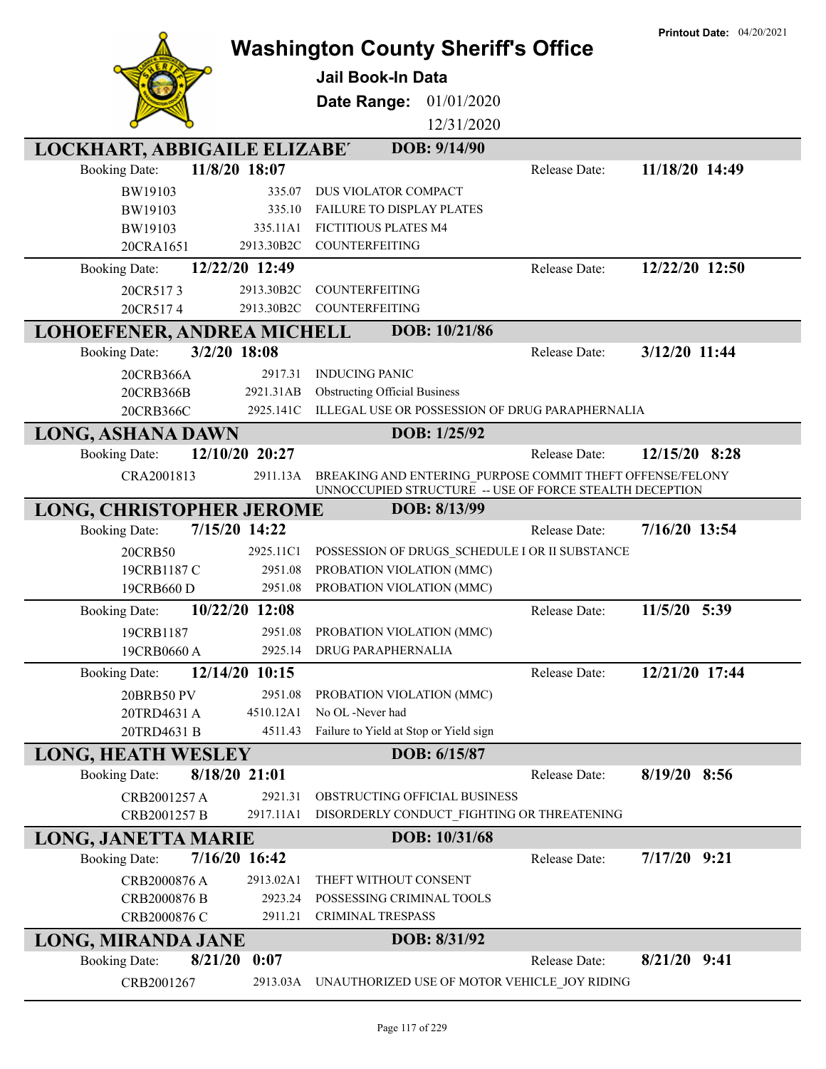|                                     |                    | <b>Washington County Sheriff's Office</b>                 |               | <b>Printout Date: 04/20/2021</b> |
|-------------------------------------|--------------------|-----------------------------------------------------------|---------------|----------------------------------|
|                                     |                    | Jail Book-In Data                                         |               |                                  |
|                                     |                    | 01/01/2020<br>Date Range:                                 |               |                                  |
|                                     |                    | 12/31/2020                                                |               |                                  |
|                                     |                    |                                                           |               |                                  |
| <b>LOCKHART, ABBIGAILE ELIZABET</b> |                    | DOB: 9/14/90                                              |               |                                  |
| <b>Booking Date:</b>                | 11/8/20 18:07      |                                                           | Release Date: | 11/18/20 14:49                   |
| BW19103                             | 335.07             | DUS VIOLATOR COMPACT                                      |               |                                  |
| BW19103<br>BW19103                  | 335.10<br>335.11A1 | FAILURE TO DISPLAY PLATES<br>FICTITIOUS PLATES M4         |               |                                  |
| 20CRA1651                           | 2913.30B2C         | COUNTERFEITING                                            |               |                                  |
| <b>Booking Date:</b>                | 12/22/20 12:49     |                                                           | Release Date: | 12/22/20 12:50                   |
| 20CR5173                            | 2913.30B2C         | COUNTERFEITING                                            |               |                                  |
| 20CR5174                            | 2913.30B2C         | <b>COUNTERFEITING</b>                                     |               |                                  |
| LOHOEFENER, ANDREA MICHELL          |                    | DOB: 10/21/86                                             |               |                                  |
| <b>Booking Date:</b>                | 3/2/20 18:08       |                                                           | Release Date: | 3/12/20 11:44                    |
| 20CRB366A                           | 2917.31            | <b>INDUCING PANIC</b>                                     |               |                                  |
| 20CRB366B                           | 2921.31AB          | <b>Obstructing Official Business</b>                      |               |                                  |
| 20CRB366C                           | 2925.141C          | ILLEGAL USE OR POSSESSION OF DRUG PARAPHERNALIA           |               |                                  |
| <b>LONG, ASHANA DAWN</b>            |                    | DOB: 1/25/92                                              |               |                                  |
| <b>Booking Date:</b>                | 12/10/20 20:27     |                                                           | Release Date: | 12/15/20 8:28                    |
| CRA2001813                          | 2911.13A           | BREAKING AND ENTERING PURPOSE COMMIT THEFT OFFENSE/FELONY |               |                                  |
|                                     |                    | UNNOCCUPIED STRUCTURE -- USE OF FORCE STEALTH DECEPTION   |               |                                  |
| <b>LONG, CHRISTOPHER JEROME</b>     |                    | DOB: 8/13/99                                              |               |                                  |
| <b>Booking Date:</b>                | 7/15/20 14:22      |                                                           | Release Date: | 7/16/20 13:54                    |
| 20CRB50                             | 2925.11C1          | POSSESSION OF DRUGS SCHEDULE I OR II SUBSTANCE            |               |                                  |
| 19CRB1187 C                         | 2951.08            | PROBATION VIOLATION (MMC)                                 |               |                                  |
| 19CRB660 D                          | 2951.08            | PROBATION VIOLATION (MMC)                                 |               |                                  |
| <b>Booking Date:</b>                | 10/22/20 12:08     |                                                           | Release Date: | 11/5/20 5:39                     |
| 19CRB1187                           |                    | 2951.08 PROBATION VIOLATION (MMC)                         |               |                                  |
| 19CRB0660 A                         |                    | 2925.14 DRUG PARAPHERNALIA                                |               |                                  |
| <b>Booking Date:</b>                | 12/14/20 10:15     |                                                           | Release Date: | 12/21/20 17:44                   |
| 20BRB50 PV                          | 2951.08            | PROBATION VIOLATION (MMC)                                 |               |                                  |
| 20TRD4631 A                         | 4510.12A1          | No OL -Never had                                          |               |                                  |
| 20TRD4631 B                         | 4511.43            | Failure to Yield at Stop or Yield sign                    |               |                                  |
| <b>LONG, HEATH WESLEY</b>           |                    | DOB: 6/15/87                                              |               |                                  |
| <b>Booking Date:</b>                | 8/18/20 21:01      |                                                           | Release Date: | $8/19/20$ 8:56                   |
| CRB2001257 A                        | 2921.31            | OBSTRUCTING OFFICIAL BUSINESS                             |               |                                  |
| CRB2001257 B                        | 2917.11A1          | DISORDERLY CONDUCT_FIGHTING OR THREATENING                |               |                                  |
| <b>LONG, JANETTA MARIE</b>          |                    | DOB: 10/31/68                                             |               |                                  |
| <b>Booking Date:</b>                | 7/16/20 16:42      |                                                           | Release Date: | $7/17/20$ 9:21                   |
| CRB2000876 A                        | 2913.02A1          | THEFT WITHOUT CONSENT                                     |               |                                  |
| CRB2000876 B                        | 2923.24            | POSSESSING CRIMINAL TOOLS                                 |               |                                  |
| CRB2000876 C                        | 2911.21            | <b>CRIMINAL TRESPASS</b>                                  |               |                                  |
| <b>LONG, MIRANDA JANE</b>           |                    | DOB: 8/31/92                                              |               |                                  |
| 8/21/20<br><b>Booking Date:</b>     | 0:07               |                                                           | Release Date: | $8/21/20$ 9:41                   |
| CRB2001267                          | 2913.03A           | UNAUTHORIZED USE OF MOTOR VEHICLE JOY RIDING              |               |                                  |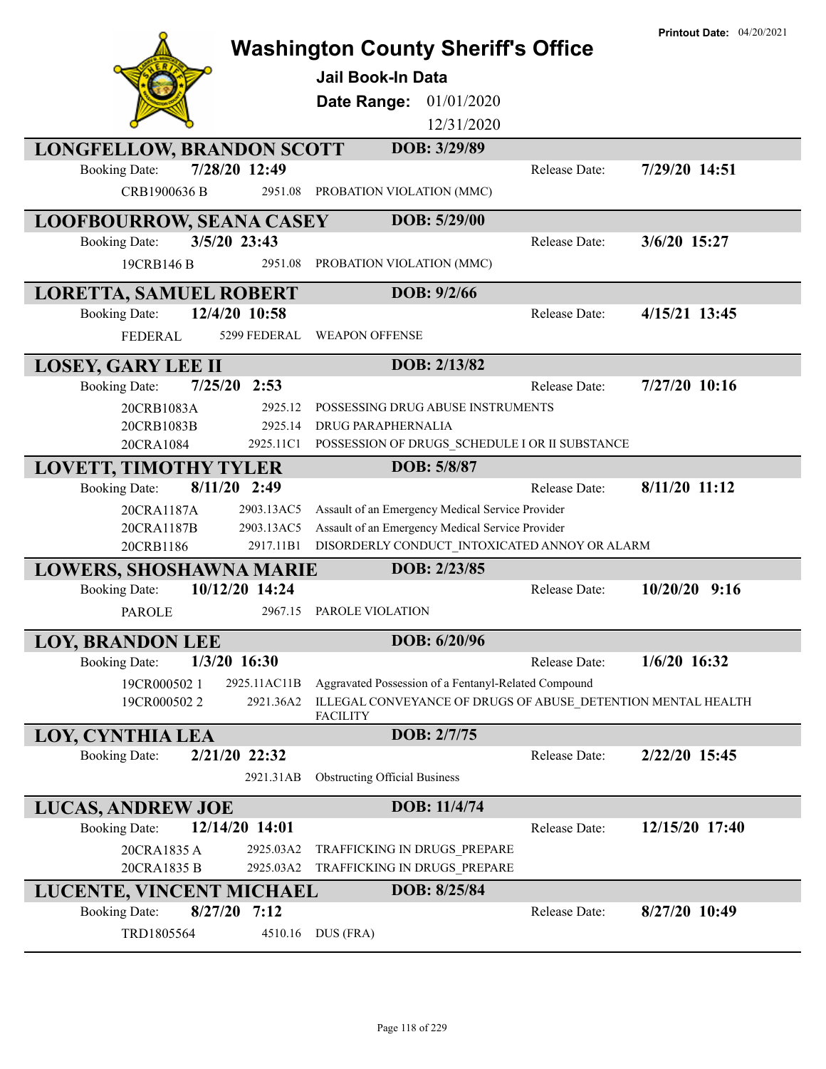|                                        | <b>Washington County Sheriff's Office</b>                                       |               | <b>Printout Date: 04/20/2021</b> |
|----------------------------------------|---------------------------------------------------------------------------------|---------------|----------------------------------|
|                                        | <b>Jail Book-In Data</b>                                                        |               |                                  |
|                                        | Date Range: 01/01/2020                                                          |               |                                  |
|                                        | 12/31/2020                                                                      |               |                                  |
|                                        | DOB: 3/29/89                                                                    |               |                                  |
| <b>LONGFELLOW, BRANDON SCOTT</b>       |                                                                                 | Release Date: |                                  |
| 7/28/20 12:49<br><b>Booking Date:</b>  |                                                                                 |               | 7/29/20 14:51                    |
| CRB1900636 B<br>2951.08                | PROBATION VIOLATION (MMC)                                                       |               |                                  |
| <b>LOOFBOURROW, SEANA CASEY</b>        | DOB: 5/29/00                                                                    |               |                                  |
| 3/5/20 23:43<br><b>Booking Date:</b>   |                                                                                 | Release Date: | 3/6/20 15:27                     |
| 2951.08<br>19CRB146 B                  | PROBATION VIOLATION (MMC)                                                       |               |                                  |
| <b>LORETTA, SAMUEL ROBERT</b>          | DOB: 9/2/66                                                                     |               |                                  |
| 12/4/20 10:58<br><b>Booking Date:</b>  |                                                                                 | Release Date: | 4/15/21 13:45                    |
| <b>FEDERAL</b><br>5299 FEDERAL         | <b>WEAPON OFFENSE</b>                                                           |               |                                  |
| <b>LOSEY, GARY LEE II</b>              | DOB: 2/13/82                                                                    |               |                                  |
| $7/25/20$ 2:53<br><b>Booking Date:</b> |                                                                                 | Release Date: | 7/27/20 10:16                    |
| 2925.12<br>20CRB1083A                  | POSSESSING DRUG ABUSE INSTRUMENTS                                               |               |                                  |
| 2925.14<br>20CRB1083B                  | <b>DRUG PARAPHERNALIA</b>                                                       |               |                                  |
| 20CRA1084<br>2925.11C1                 | POSSESSION OF DRUGS_SCHEDULE I OR II SUBSTANCE                                  |               |                                  |
| <b>LOVETT, TIMOTHY TYLER</b>           | DOB: 5/8/87                                                                     |               |                                  |
| 8/11/20 2:49<br><b>Booking Date:</b>   |                                                                                 | Release Date: | 8/11/20 11:12                    |
| 2903.13AC5<br>20CRA1187A               | Assault of an Emergency Medical Service Provider                                |               |                                  |
| 20CRA1187B<br>2903.13AC5               | Assault of an Emergency Medical Service Provider                                |               |                                  |
| 20CRB1186<br>2917.11B1                 | DISORDERLY CONDUCT_INTOXICATED ANNOY OR ALARM                                   |               |                                  |
| <b>LOWERS, SHOSHAWNA MARIE</b>         | DOB: 2/23/85                                                                    |               |                                  |
| 10/12/20 14:24<br><b>Booking Date:</b> |                                                                                 | Release Date: | $10/20/20$ 9:16                  |
| <b>PAROLE</b><br>2967.15               | PAROLE VIOLATION                                                                |               |                                  |
| <b>LOY, BRANDON LEE</b>                | DOB: 6/20/96                                                                    |               |                                  |
| $1/3/20$ 16:30<br><b>Booking Date:</b> |                                                                                 | Release Date: | $1/6/20$ 16:32                   |
| 19CR0005021<br>2925.11AC11B            | Aggravated Possession of a Fentanyl-Related Compound                            |               |                                  |
| 2921.36A2<br>19CR0005022               | ILLEGAL CONVEYANCE OF DRUGS OF ABUSE DETENTION MENTAL HEALTH<br><b>FACILITY</b> |               |                                  |
| LOY, CYNTHIA LEA                       | DOB: 2/7/75                                                                     |               |                                  |
| 2/21/20 22:32<br><b>Booking Date:</b>  |                                                                                 | Release Date: | 2/22/20 15:45                    |
| 2921.31AB                              | <b>Obstructing Official Business</b>                                            |               |                                  |
| <b>LUCAS, ANDREW JOE</b>               | DOB: 11/4/74                                                                    |               |                                  |
| 12/14/20 14:01<br><b>Booking Date:</b> |                                                                                 | Release Date: | 12/15/20 17:40                   |
| 20CRA1835 A<br>2925.03A2               | TRAFFICKING IN DRUGS PREPARE                                                    |               |                                  |
| 2925.03A2<br>20CRA1835 B               | TRAFFICKING IN DRUGS_PREPARE                                                    |               |                                  |
| LUCENTE, VINCENT MICHAEL               | DOB: 8/25/84                                                                    |               |                                  |
| <b>Booking Date:</b><br>$8/27/20$ 7:12 |                                                                                 | Release Date: | 8/27/20 10:49                    |
| TRD1805564<br>4510.16                  | DUS (FRA)                                                                       |               |                                  |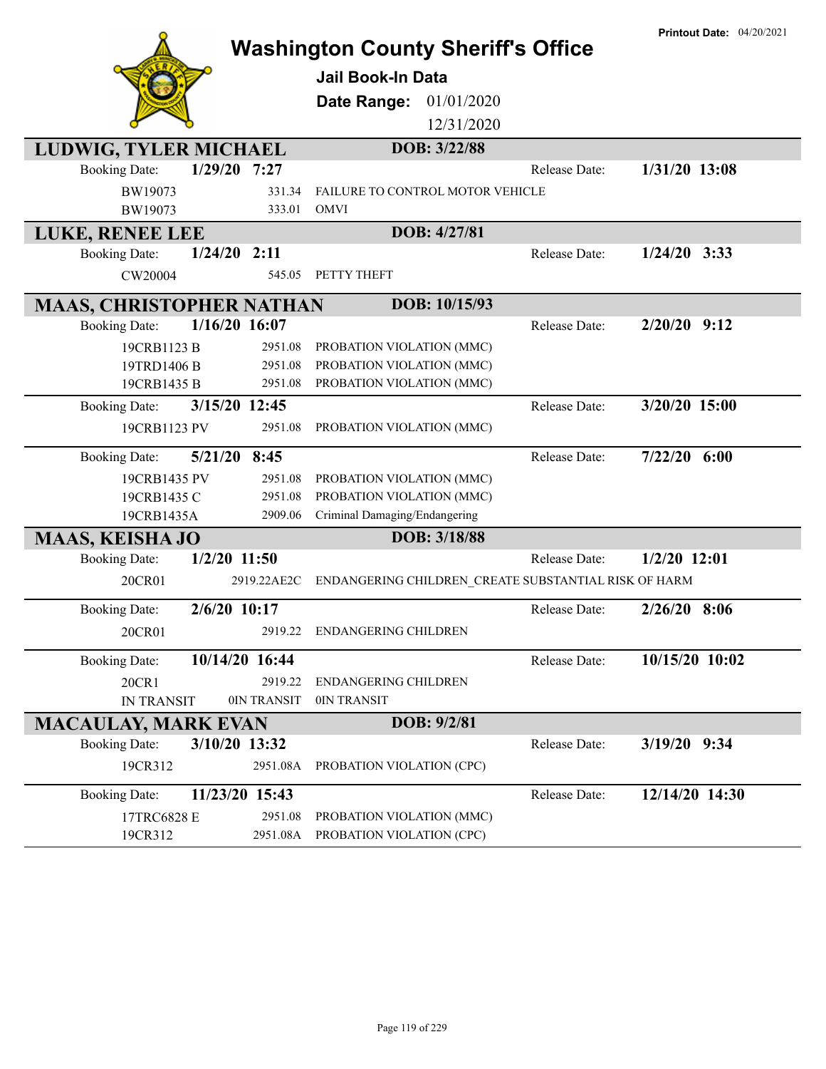| <b>Jail Book-In Data</b><br>Date Range:<br>01/01/2020                         |  |
|-------------------------------------------------------------------------------|--|
|                                                                               |  |
|                                                                               |  |
|                                                                               |  |
| 12/31/2020                                                                    |  |
| DOB: 3/22/88<br>LUDWIG, TYLER MICHAEL                                         |  |
| $1/29/20$ 7:27<br><b>Booking Date:</b><br>1/31/20 13:08<br>Release Date:      |  |
| BW19073<br>331.34<br><b>FAILURE TO CONTROL MOTOR VEHICLE</b>                  |  |
| BW19073<br><b>OMVI</b><br>333.01                                              |  |
| DOB: 4/27/81<br>LUKE, RENEE LEE                                               |  |
| $1/24/20$ 2:11<br>$1/24/20$ 3:33<br><b>Booking Date:</b><br>Release Date:     |  |
| PETTY THEFT<br>CW20004<br>545.05                                              |  |
| DOB: 10/15/93<br><b>MAAS, CHRISTOPHER NATHAN</b>                              |  |
| $1/16/20$ 16:07<br>$2/20/20$ 9:12<br><b>Booking Date:</b><br>Release Date:    |  |
| 19CRB1123 B<br>2951.08<br>PROBATION VIOLATION (MMC)                           |  |
| 19TRD1406 B<br>2951.08<br>PROBATION VIOLATION (MMC)                           |  |
| 19CRB1435 B<br>PROBATION VIOLATION (MMC)<br>2951.08                           |  |
| 3/20/20 15:00<br>3/15/20 12:45<br>Release Date:<br><b>Booking Date:</b>       |  |
| 2951.08<br>PROBATION VIOLATION (MMC)<br>19CRB1123 PV                          |  |
| $7/22/20$ 6:00<br>5/21/20 8:45<br>Release Date:<br><b>Booking Date:</b>       |  |
| 19CRB1435 PV<br>2951.08<br>PROBATION VIOLATION (MMC)                          |  |
| 2951.08<br>PROBATION VIOLATION (MMC)<br>19CRB1435 C                           |  |
| Criminal Damaging/Endangering<br>19CRB1435A<br>2909.06                        |  |
| DOB: 3/18/88<br><b>MAAS, KEISHA JO</b>                                        |  |
| $1/2/20$ 11:50<br><b>Booking Date:</b><br>$1/2/20$ 12:01<br>Release Date:     |  |
| 20CR01<br>ENDANGERING CHILDREN_CREATE SUBSTANTIAL RISK OF HARM<br>2919.22AE2C |  |
| 2/6/20 10:17<br>$2/26/20$ 8:06<br><b>Booking Date:</b><br>Release Date:       |  |
| 2919.22 ENDANGERING CHILDREN<br>20CR01                                        |  |
| 10/15/20 10:02<br><b>Booking Date:</b><br>10/14/20 16:44<br>Release Date:     |  |
| 20CR1<br>2919.22<br><b>ENDANGERING CHILDREN</b>                               |  |
| 0IN TRANSIT<br><b>IN TRANSIT</b><br>0IN TRANSIT                               |  |
| DOB: 9/2/81<br><b>MACAULAY, MARK EVAN</b>                                     |  |
| 3/10/20 13:32<br>3/19/20 9:34<br><b>Booking Date:</b><br>Release Date:        |  |
| 19CR312<br>2951.08A<br>PROBATION VIOLATION (CPC)                              |  |
| 11/23/20 15:43<br>12/14/20 14:30<br>Release Date:<br><b>Booking Date:</b>     |  |
| 2951.08<br>PROBATION VIOLATION (MMC)<br>17TRC6828 E                           |  |
| 2951.08A PROBATION VIOLATION (CPC)<br>19CR312                                 |  |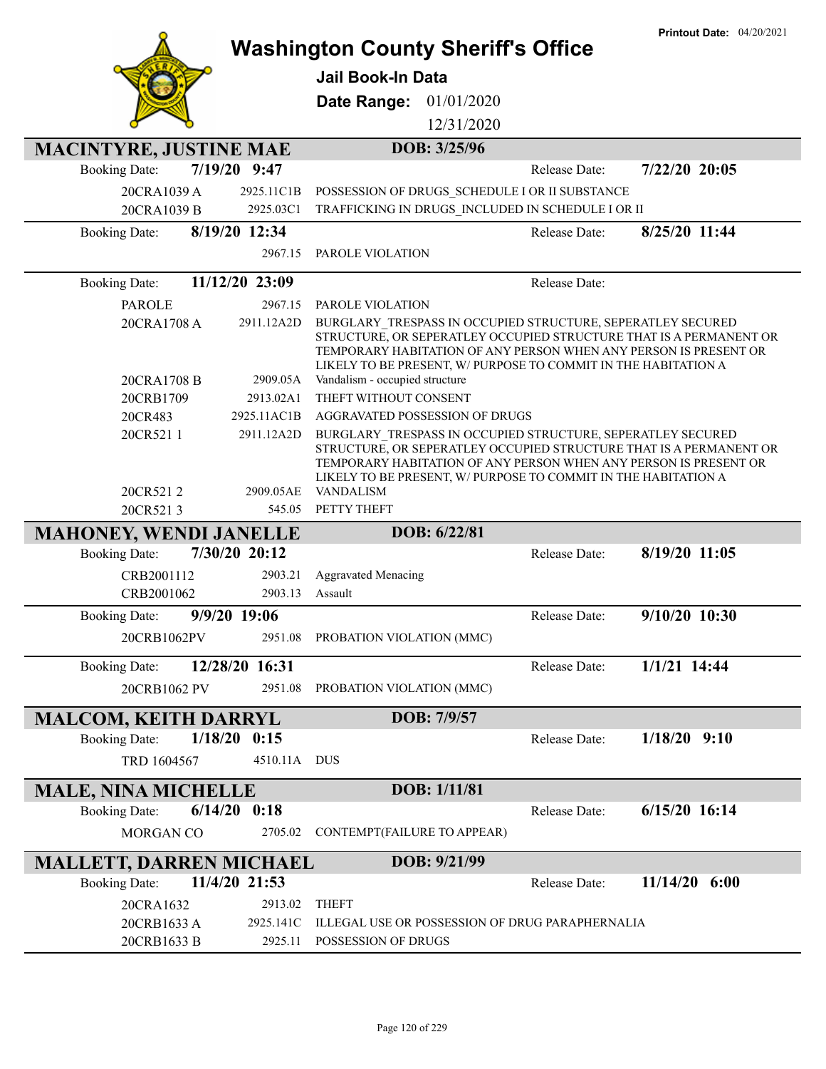|                                |                         | <b>Washington County Sheriff's Office</b>                                                                                                                                                                                                                                                   |               | <b>Printout Date: 04/20/2021</b> |
|--------------------------------|-------------------------|---------------------------------------------------------------------------------------------------------------------------------------------------------------------------------------------------------------------------------------------------------------------------------------------|---------------|----------------------------------|
|                                |                         | <b>Jail Book-In Data</b>                                                                                                                                                                                                                                                                    |               |                                  |
|                                |                         | Date Range: 01/01/2020                                                                                                                                                                                                                                                                      |               |                                  |
|                                |                         | 12/31/2020                                                                                                                                                                                                                                                                                  |               |                                  |
| <b>MACINTYRE, JUSTINE MAE</b>  |                         | DOB: 3/25/96                                                                                                                                                                                                                                                                                |               |                                  |
| <b>Booking Date:</b>           | 7/19/20 9:47            |                                                                                                                                                                                                                                                                                             | Release Date: | 7/22/20 20:05                    |
| 20CRA1039 A                    | 2925.11C1B              | POSSESSION OF DRUGS SCHEDULE I OR II SUBSTANCE                                                                                                                                                                                                                                              |               |                                  |
| 20CRA1039 B                    | 2925.03C1               | TRAFFICKING IN DRUGS_INCLUDED IN SCHEDULE I OR II                                                                                                                                                                                                                                           |               |                                  |
| <b>Booking Date:</b>           | 8/19/20 12:34           |                                                                                                                                                                                                                                                                                             | Release Date: | 8/25/20 11:44                    |
|                                | 2967.15                 | PAROLE VIOLATION                                                                                                                                                                                                                                                                            |               |                                  |
| <b>Booking Date:</b>           | 11/12/20 23:09          |                                                                                                                                                                                                                                                                                             | Release Date: |                                  |
| <b>PAROLE</b>                  | 2967.15                 | PAROLE VIOLATION                                                                                                                                                                                                                                                                            |               |                                  |
| 20CRA1708 A                    | 2911.12A2D              | BURGLARY TRESPASS IN OCCUPIED STRUCTURE, SEPERATLEY SECURED<br>STRUCTURE, OR SEPERATLEY OCCUPIED STRUCTURE THAT IS A PERMANENT OR                                                                                                                                                           |               |                                  |
| 20CRA1708 B                    | 2909.05A                | TEMPORARY HABITATION OF ANY PERSON WHEN ANY PERSON IS PRESENT OR<br>LIKELY TO BE PRESENT, W/ PURPOSE TO COMMIT IN THE HABITATION A<br>Vandalism - occupied structure                                                                                                                        |               |                                  |
| 20CRB1709                      | 2913.02A1               | THEFT WITHOUT CONSENT                                                                                                                                                                                                                                                                       |               |                                  |
| 20CR483                        | 2925.11AC1B             | AGGRAVATED POSSESSION OF DRUGS                                                                                                                                                                                                                                                              |               |                                  |
| 20CR5211<br>20CR5212           | 2911.12A2D<br>2909.05AE | BURGLARY TRESPASS IN OCCUPIED STRUCTURE, SEPERATLEY SECURED<br>STRUCTURE, OR SEPERATLEY OCCUPIED STRUCTURE THAT IS A PERMANENT OR<br>TEMPORARY HABITATION OF ANY PERSON WHEN ANY PERSON IS PRESENT OR<br>LIKELY TO BE PRESENT, W/ PURPOSE TO COMMIT IN THE HABITATION A<br><b>VANDALISM</b> |               |                                  |
| 20CR5213                       | 545.05                  | PETTY THEFT                                                                                                                                                                                                                                                                                 |               |                                  |
| <b>MAHONEY, WENDI JANELLE</b>  |                         | DOB: 6/22/81                                                                                                                                                                                                                                                                                |               |                                  |
| <b>Booking Date:</b>           | 7/30/20 20:12           |                                                                                                                                                                                                                                                                                             | Release Date: | 8/19/20 11:05                    |
| CRB2001112                     | 2903.21                 | <b>Aggravated Menacing</b>                                                                                                                                                                                                                                                                  |               |                                  |
| CRB2001062                     | 2903.13                 | Assault                                                                                                                                                                                                                                                                                     |               |                                  |
| <b>Booking Date:</b>           | 9/9/20 19:06            |                                                                                                                                                                                                                                                                                             | Release Date: | 9/10/20 10:30                    |
| 20CRB1062PV                    |                         | 2951.08 PROBATION VIOLATION (MMC)                                                                                                                                                                                                                                                           |               |                                  |
| <b>Booking Date:</b>           | 12/28/20 16:31          |                                                                                                                                                                                                                                                                                             | Release Date: | $1/1/21$ 14:44                   |
| 20CRB1062 PV                   | 2951.08                 | PROBATION VIOLATION (MMC)                                                                                                                                                                                                                                                                   |               |                                  |
| <b>MALCOM, KEITH DARRYL</b>    |                         | DOB: 7/9/57                                                                                                                                                                                                                                                                                 |               |                                  |
| <b>Booking Date:</b>           | 1/18/20<br>0:15         |                                                                                                                                                                                                                                                                                             | Release Date: | $1/18/20$ 9:10                   |
| TRD 1604567                    | 4510.11A DUS            |                                                                                                                                                                                                                                                                                             |               |                                  |
| <b>MALE, NINA MICHELLE</b>     |                         | DOB: 1/11/81                                                                                                                                                                                                                                                                                |               |                                  |
| <b>Booking Date:</b>           | $6/14/20$ $0:18$        |                                                                                                                                                                                                                                                                                             | Release Date: | $6/15/20$ 16:14                  |
| MORGAN CO                      | 2705.02                 | CONTEMPT(FAILURE TO APPEAR)                                                                                                                                                                                                                                                                 |               |                                  |
| <b>MALLETT, DARREN MICHAEL</b> |                         | DOB: 9/21/99                                                                                                                                                                                                                                                                                |               |                                  |
| <b>Booking Date:</b>           | 11/4/20 21:53           |                                                                                                                                                                                                                                                                                             | Release Date: | $11/14/20$ 6:00                  |
| 20CRA1632                      | 2913.02                 | <b>THEFT</b>                                                                                                                                                                                                                                                                                |               |                                  |
| 20CRB1633 A<br>20CRB1633 B     | 2925.141C<br>2925.11    | ILLEGAL USE OR POSSESSION OF DRUG PARAPHERNALIA<br>POSSESSION OF DRUGS                                                                                                                                                                                                                      |               |                                  |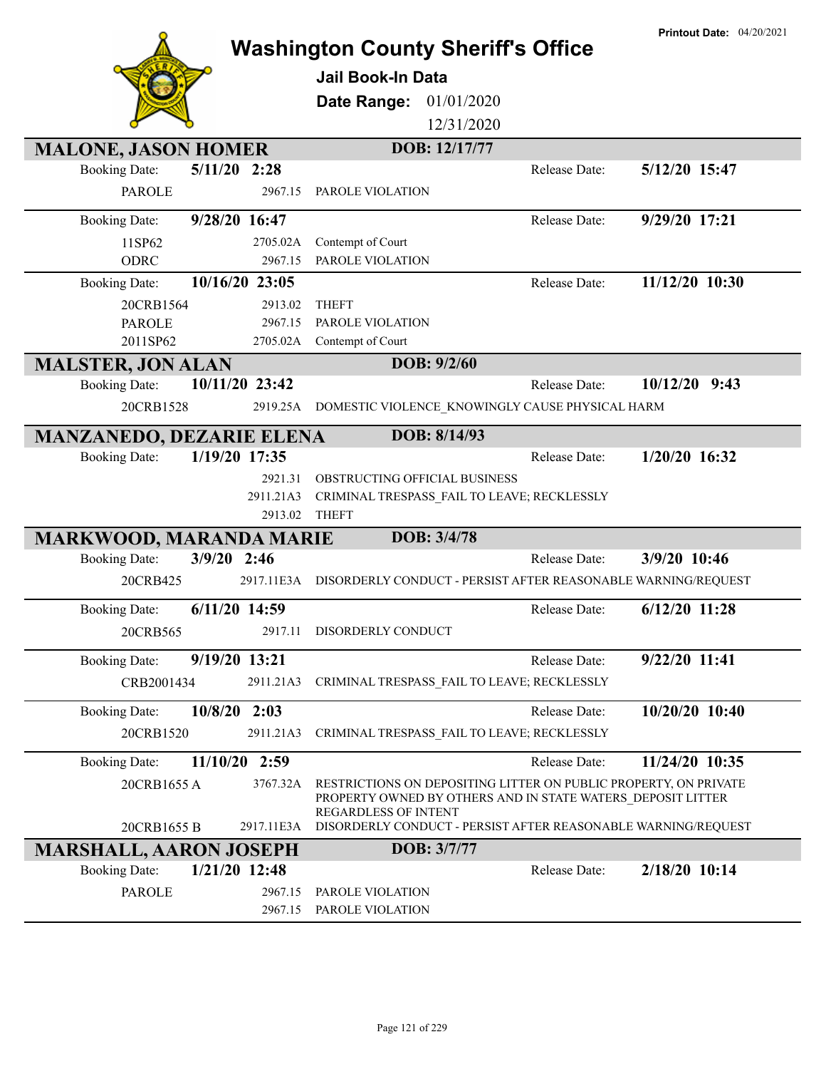|                                         | <b>Printout Date: 04/20/2021</b><br><b>Washington County Sheriff's Office</b><br>Jail Book-In Data<br>01/01/2020<br>Date Range:<br>12/31/2020 |
|-----------------------------------------|-----------------------------------------------------------------------------------------------------------------------------------------------|
| <b>MALONE, JASON HOMER</b>              | DOB: 12/17/77                                                                                                                                 |
| $5/11/20$ 2:28<br><b>Booking Date:</b>  | 5/12/20 15:47<br>Release Date:                                                                                                                |
| <b>PAROLE</b><br>2967.15                | PAROLE VIOLATION                                                                                                                              |
| 9/28/20 16:47<br><b>Booking Date:</b>   | $9/29/20$ $17:21$<br>Release Date:                                                                                                            |
| 2705.02A<br>11SP62                      | Contempt of Court                                                                                                                             |
| <b>ODRC</b><br>2967.15                  | PAROLE VIOLATION                                                                                                                              |
| 10/16/20 23:05<br><b>Booking Date:</b>  | 11/12/20 10:30<br>Release Date:                                                                                                               |
| 20CRB1564<br>2913.02                    | <b>THEFT</b>                                                                                                                                  |
| <b>PAROLE</b><br>2967.15                | PAROLE VIOLATION                                                                                                                              |
| 2011SP62<br>2705.02A                    | Contempt of Court                                                                                                                             |
| <b>MALSTER, JON ALAN</b>                | DOB: 9/2/60                                                                                                                                   |
| 10/11/20 23:42<br><b>Booking Date:</b>  | 9:43<br>Release Date:<br>10/12/20                                                                                                             |
| 20CRB1528<br>2919.25A                   | DOMESTIC VIOLENCE_KNOWINGLY CAUSE PHYSICAL HARM                                                                                               |
| <b>MANZANEDO, DEZARIE ELENA</b>         | DOB: 8/14/93                                                                                                                                  |
| 1/19/20 17:35<br><b>Booking Date:</b>   | 1/20/20 16:32<br>Release Date:                                                                                                                |
| 2921.31                                 | OBSTRUCTING OFFICIAL BUSINESS                                                                                                                 |
| 2911.21A3                               | CRIMINAL TRESPASS_FAIL TO LEAVE; RECKLESSLY                                                                                                   |
| 2913.02                                 | <b>THEFT</b>                                                                                                                                  |
| <b>MARKWOOD, MARANDA MARIE</b>          | DOB: 3/4/78                                                                                                                                   |
| $3/9/20$ 2:46<br><b>Booking Date:</b>   | 3/9/20 10:46<br><b>Release Date:</b>                                                                                                          |
| 20CRB425<br>2917.11E3A                  | DISORDERLY CONDUCT - PERSIST AFTER REASONABLE WARNING/REQUEST                                                                                 |
| $6/11/20$ 14:59<br><b>Booking Date:</b> | 6/12/20 11:28<br>Release Date:                                                                                                                |
| 20CRB565                                | 2917.11 DISORDERLY CONDUCT                                                                                                                    |
| <b>Booking Date:</b><br>9/19/20 13:21   | 9/22/20 11:41<br>Release Date:                                                                                                                |
|                                         | CRIMINAL TRESPASS FAIL TO LEAVE; RECKLESSLY                                                                                                   |
| CRB2001434<br>2911.21A3                 |                                                                                                                                               |
| $10/8/20$ 2:03<br><b>Booking Date:</b>  | 10/20/20 10:40<br>Release Date:                                                                                                               |
| 20CRB1520<br>2911.21A3                  | CRIMINAL TRESPASS FAIL TO LEAVE; RECKLESSLY                                                                                                   |
| 11/10/20 2:59<br><b>Booking Date:</b>   | 11/24/20 10:35<br>Release Date:                                                                                                               |
| 3767.32A<br>20CRB1655 A                 | RESTRICTIONS ON DEPOSITING LITTER ON PUBLIC PROPERTY, ON PRIVATE<br>PROPERTY OWNED BY OTHERS AND IN STATE WATERS_DEPOSIT LITTER               |
| 20CRB1655 B<br>2917.11E3A               | <b>REGARDLESS OF INTENT</b><br>DISORDERLY CONDUCT - PERSIST AFTER REASONABLE WARNING/REQUEST                                                  |
| <b>MARSHALL, AARON JOSEPH</b>           | DOB: 3/7/77                                                                                                                                   |
| 1/21/20 12:48<br><b>Booking Date:</b>   | 2/18/20 10:14<br>Release Date:                                                                                                                |
| <b>PAROLE</b><br>2967.15                | PAROLE VIOLATION                                                                                                                              |
| 2967.15                                 | PAROLE VIOLATION                                                                                                                              |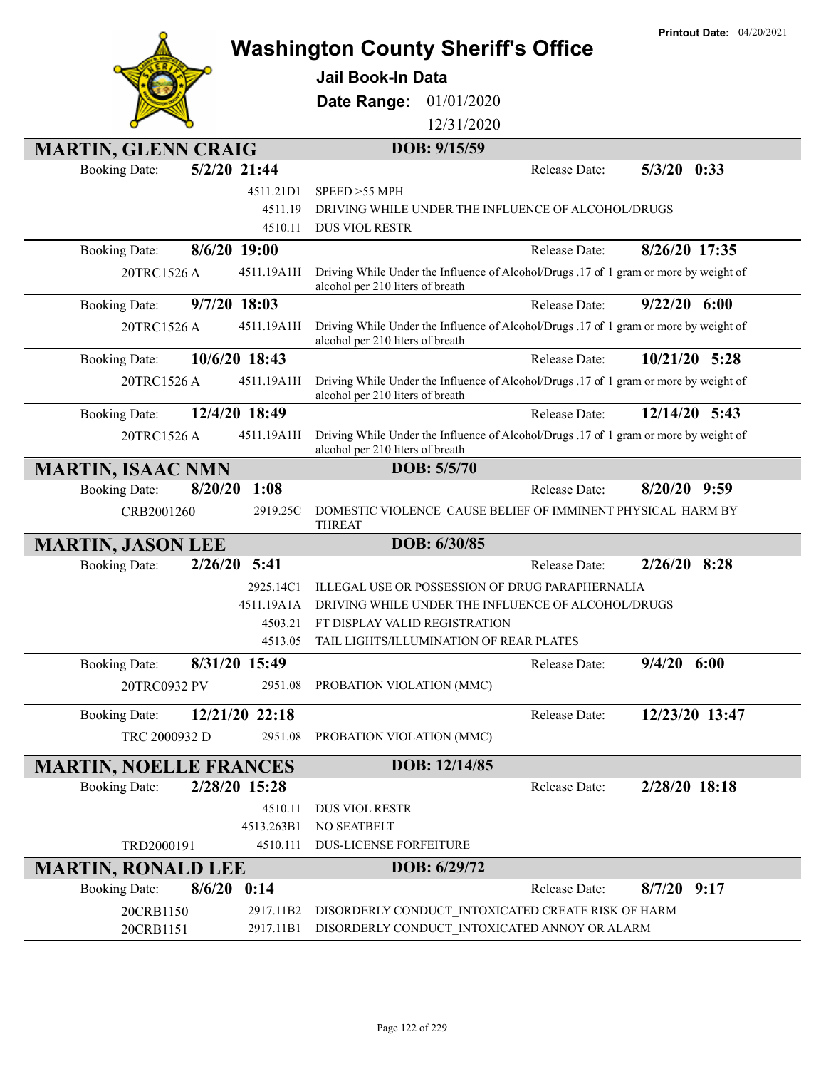|                                         |                                                                                                                           | <b>Printout Date: 04/20/2021</b> |
|-----------------------------------------|---------------------------------------------------------------------------------------------------------------------------|----------------------------------|
|                                         | <b>Washington County Sheriff's Office</b>                                                                                 |                                  |
|                                         | <b>Jail Book-In Data</b>                                                                                                  |                                  |
|                                         | 01/01/2020<br>Date Range:                                                                                                 |                                  |
|                                         | 12/31/2020                                                                                                                |                                  |
| <b>MARTIN, GLENN CRAIG</b>              | DOB: 9/15/59                                                                                                              |                                  |
| 5/2/20 21:44<br><b>Booking Date:</b>    | Release Date:                                                                                                             | $5/3/20$ 0:33                    |
| 4511.21D1                               | SPEED > 55 MPH                                                                                                            |                                  |
| 4511.19                                 | DRIVING WHILE UNDER THE INFLUENCE OF ALCOHOL/DRUGS                                                                        |                                  |
| 4510.11                                 | <b>DUS VIOL RESTR</b>                                                                                                     |                                  |
| 8/6/20 19:00<br><b>Booking Date:</b>    | Release Date:                                                                                                             | 8/26/20 17:35                    |
| 20TRC1526 A<br>4511.19A1H               | Driving While Under the Influence of Alcohol/Drugs .17 of 1 gram or more by weight of<br>alcohol per 210 liters of breath |                                  |
| 9/7/20 18:03<br><b>Booking Date:</b>    | Release Date:                                                                                                             | $9/22/20$ 6:00                   |
| 20TRC1526 A<br>4511.19A1H               | Driving While Under the Influence of Alcohol/Drugs .17 of 1 gram or more by weight of<br>alcohol per 210 liters of breath |                                  |
| 10/6/20 18:43<br><b>Booking Date:</b>   | Release Date:                                                                                                             | 10/21/20 5:28                    |
| 20TRC1526 A<br>4511.19A1H               | Driving While Under the Influence of Alcohol/Drugs .17 of 1 gram or more by weight of<br>alcohol per 210 liters of breath |                                  |
| 12/4/20 18:49<br><b>Booking Date:</b>   | Release Date:                                                                                                             | $12/14/20$ 5:43                  |
| 4511.19A1H<br>20TRC1526 A               | Driving While Under the Influence of Alcohol/Drugs .17 of 1 gram or more by weight of<br>alcohol per 210 liters of breath |                                  |
| <b>MARTIN, ISAAC NMN</b>                | DOB: 5/5/70                                                                                                               |                                  |
| 1:08<br>8/20/20<br><b>Booking Date:</b> | Release Date:                                                                                                             | $8/20/20$ 9:59                   |
| CRB2001260<br>2919.25C                  | DOMESTIC VIOLENCE CAUSE BELIEF OF IMMINENT PHYSICAL HARM BY<br><b>THREAT</b>                                              |                                  |
| <b>MARTIN, JASON LEE</b>                | DOB: 6/30/85                                                                                                              |                                  |
| 5:41<br>2/26/20<br><b>Booking Date:</b> | Release Date:                                                                                                             | $2/26/20$ 8:28                   |
| 2925.14C1                               | ILLEGAL USE OR POSSESSION OF DRUG PARAPHERNALIA                                                                           |                                  |
| 4511.19A1A<br>4503.21                   | DRIVING WHILE UNDER THE INFLUENCE OF ALCOHOL/DRUGS                                                                        |                                  |
| 4513.05                                 | FT DISPLAY VALID REGISTRATION<br>TAIL LIGHTS/ILLUMINATION OF REAR PLATES                                                  |                                  |
| 8/31/20 15:49<br><b>Booking Date:</b>   | Release Date:                                                                                                             | $9/4/20$ 6:00                    |
| 20TRC0932 PV<br>2951.08                 | PROBATION VIOLATION (MMC)                                                                                                 |                                  |
|                                         |                                                                                                                           |                                  |
| 12/21/20 22:18<br><b>Booking Date:</b>  | Release Date:                                                                                                             | 12/23/20 13:47                   |
| TRC 2000932 D<br>2951.08                | PROBATION VIOLATION (MMC)                                                                                                 |                                  |
| <b>MARTIN, NOELLE FRANCES</b>           | DOB: 12/14/85                                                                                                             |                                  |
| 2/28/20 15:28<br><b>Booking Date:</b>   | Release Date:                                                                                                             | 2/28/20 18:18                    |
| 4510.11                                 | DUS VIOL RESTR                                                                                                            |                                  |
| 4513.263B1                              | NO SEATBELT                                                                                                               |                                  |
| 4510.111<br>TRD2000191                  | <b>DUS-LICENSE FORFEITURE</b>                                                                                             |                                  |
| <b>MARTIN, RONALD LEE</b>               | DOB: 6/29/72                                                                                                              |                                  |
| 8/6/20<br><b>Booking Date:</b><br>0:14  | Release Date:                                                                                                             | $8/7/20$ 9:17                    |
| 20CRB1150<br>2917.11B2                  | DISORDERLY CONDUCT INTOXICATED CREATE RISK OF HARM                                                                        |                                  |
| 20CRB1151<br>2917.11B1                  | DISORDERLY CONDUCT INTOXICATED ANNOY OR ALARM                                                                             |                                  |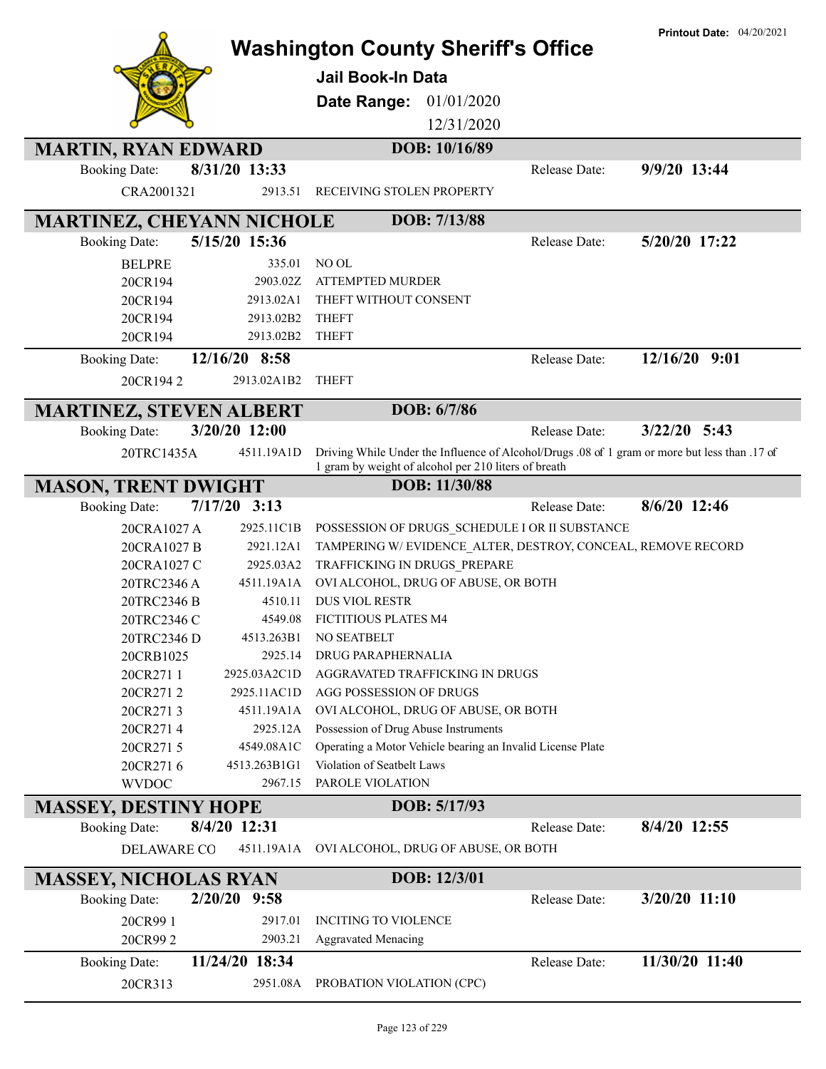|                                  |                | <b>Washington County Sheriff's Office</b><br><b>Jail Book-In Data</b><br>01/01/2020<br>Date Range:<br>12/31/2020                                      |                      | <b>Printout Date: 04/20/2021</b> |
|----------------------------------|----------------|-------------------------------------------------------------------------------------------------------------------------------------------------------|----------------------|----------------------------------|
| <b>MARTIN, RYAN EDWARD</b>       |                | DOB: 10/16/89                                                                                                                                         |                      |                                  |
| <b>Booking Date:</b>             | 8/31/20 13:33  |                                                                                                                                                       | Release Date:        | 9/9/20 13:44                     |
| CRA2001321                       | 2913.51        | RECEIVING STOLEN PROPERTY                                                                                                                             |                      |                                  |
| <b>MARTINEZ, CHEYANN NICHOLE</b> |                | DOB: 7/13/88                                                                                                                                          |                      |                                  |
| <b>Booking Date:</b>             | 5/15/20 15:36  |                                                                                                                                                       | <b>Release Date:</b> | 5/20/20 17:22                    |
| <b>BELPRE</b>                    | 335.01         | NO OL                                                                                                                                                 |                      |                                  |
| 20CR194                          | 2903.02Z       | <b>ATTEMPTED MURDER</b>                                                                                                                               |                      |                                  |
| 20CR194                          | 2913.02A1      | THEFT WITHOUT CONSENT                                                                                                                                 |                      |                                  |
| 20CR194                          | 2913.02B2      | <b>THEFT</b>                                                                                                                                          |                      |                                  |
| 20CR194                          | 2913.02B2      | <b>THEFT</b>                                                                                                                                          |                      |                                  |
| <b>Booking Date:</b>             | 12/16/20 8:58  |                                                                                                                                                       | Release Date:        | 12/16/20 9:01                    |
| 20CR1942                         | 2913.02A1B2    | <b>THEFT</b>                                                                                                                                          |                      |                                  |
| <b>MARTINEZ, STEVEN ALBERT</b>   |                | DOB: 6/7/86                                                                                                                                           |                      |                                  |
| <b>Booking Date:</b>             | 3/20/20 12:00  |                                                                                                                                                       | Release Date:        | $3/22/20$ 5:43                   |
| 20TRC1435A                       | 4511.19A1D     | Driving While Under the Influence of Alcohol/Drugs .08 of 1 gram or more but less than .17 of<br>1 gram by weight of alcohol per 210 liters of breath |                      |                                  |
| <b>MASON, TRENT DWIGHT</b>       |                | DOB: 11/30/88                                                                                                                                         |                      |                                  |
| <b>Booking Date:</b>             | $7/17/20$ 3:13 |                                                                                                                                                       | <b>Release Date:</b> | 8/6/20 12:46                     |
| 20CRA1027 A                      | 2925.11C1B     | POSSESSION OF DRUGS_SCHEDULE I OR II SUBSTANCE                                                                                                        |                      |                                  |
| 20CRA1027 B                      | 2921.12A1      | TAMPERING W/EVIDENCE ALTER, DESTROY, CONCEAL, REMOVE RECORD                                                                                           |                      |                                  |
| 20CRA1027 C                      | 2925.03A2      | TRAFFICKING IN DRUGS PREPARE                                                                                                                          |                      |                                  |
| 20TRC2346 A                      | 4511.19A1A     | OVI ALCOHOL, DRUG OF ABUSE, OR BOTH                                                                                                                   |                      |                                  |
| 20TRC2346 B                      | 4510.11        | <b>DUS VIOL RESTR</b>                                                                                                                                 |                      |                                  |
| 20TRC2346 C                      | 4549.08        | <b>FICTITIOUS PLATES M4</b>                                                                                                                           |                      |                                  |
| 20TRC2346 D                      | 4513.263B1     | NO SEATBELT                                                                                                                                           |                      |                                  |
| 20CRB1025                        | 2925.14        | DRUG PARAPHERNALIA                                                                                                                                    |                      |                                  |
| 20CR2711                         | 2925.03A2C1D   | AGGRAVATED TRAFFICKING IN DRUGS                                                                                                                       |                      |                                  |
| 20CR2712                         | 2925.11AC1D    | AGG POSSESSION OF DRUGS                                                                                                                               |                      |                                  |
| 20CR2713                         | 4511.19A1A     | OVI ALCOHOL, DRUG OF ABUSE, OR BOTH                                                                                                                   |                      |                                  |
| 20CR2714                         | 2925.12A       | Possession of Drug Abuse Instruments                                                                                                                  |                      |                                  |
| 20CR2715                         | 4549.08A1C     | Operating a Motor Vehicle bearing an Invalid License Plate                                                                                            |                      |                                  |
| 20CR2716                         | 4513.263B1G1   | Violation of Seatbelt Laws                                                                                                                            |                      |                                  |
| <b>WVDOC</b>                     | 2967.15        | PAROLE VIOLATION                                                                                                                                      |                      |                                  |
| <b>MASSEY, DESTINY HOPE</b>      |                | DOB: 5/17/93                                                                                                                                          |                      |                                  |
| <b>Booking Date:</b>             | 8/4/20 12:31   |                                                                                                                                                       | Release Date:        | 8/4/20 12:55                     |
| <b>DELAWARE CO</b>               | 4511.19A1A     | OVI ALCOHOL, DRUG OF ABUSE, OR BOTH                                                                                                                   |                      |                                  |
| <b>MASSEY, NICHOLAS RYAN</b>     |                | DOB: 12/3/01                                                                                                                                          |                      |                                  |
| <b>Booking Date:</b>             | $2/20/20$ 9:58 |                                                                                                                                                       | Release Date:        | 3/20/20 11:10                    |
| 20CR99 1                         | 2917.01        | <b>INCITING TO VIOLENCE</b>                                                                                                                           |                      |                                  |
| 20CR992                          | 2903.21        | <b>Aggravated Menacing</b>                                                                                                                            |                      |                                  |
| <b>Booking Date:</b>             | 11/24/20 18:34 |                                                                                                                                                       | Release Date:        | 11/30/20 11:40                   |
| 20CR313                          | 2951.08A       | PROBATION VIOLATION (CPC)                                                                                                                             |                      |                                  |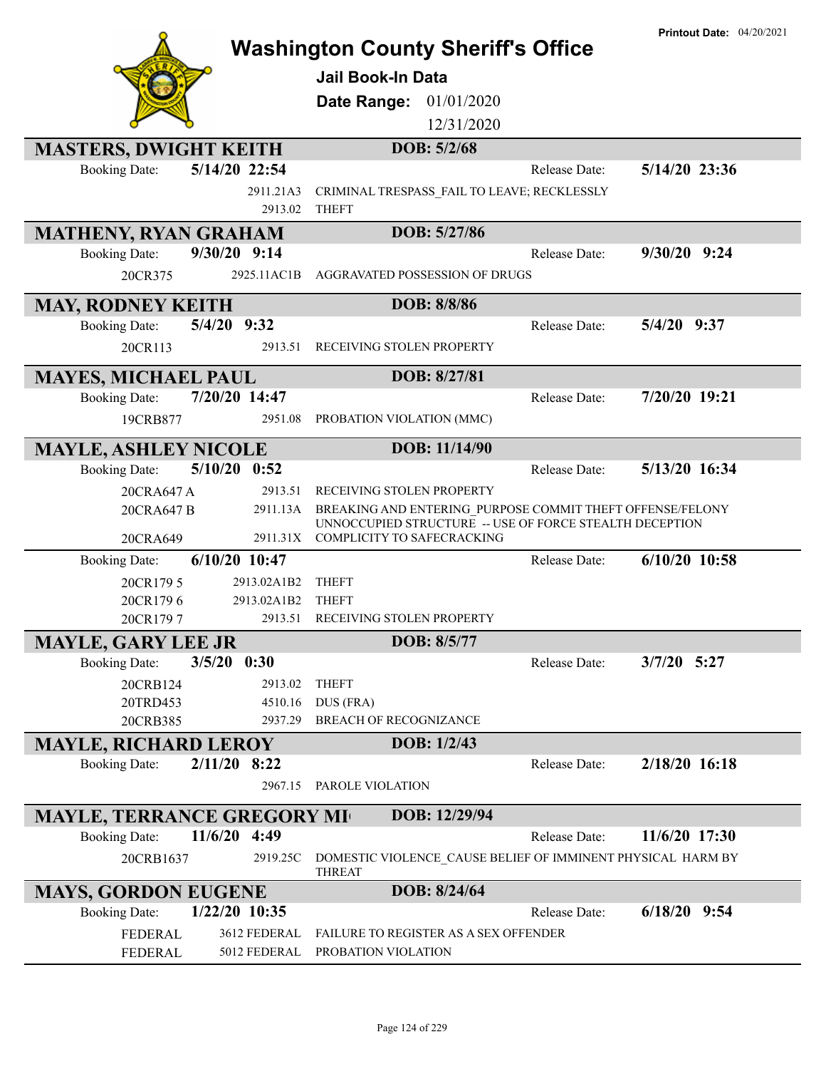|                                   |                 |                                                                                       |               | <b>Printout Date: 04/20/2021</b> |
|-----------------------------------|-----------------|---------------------------------------------------------------------------------------|---------------|----------------------------------|
|                                   |                 | <b>Washington County Sheriff's Office</b>                                             |               |                                  |
|                                   |                 | <b>Jail Book-In Data</b>                                                              |               |                                  |
|                                   |                 |                                                                                       |               |                                  |
|                                   |                 | 01/01/2020<br>Date Range:                                                             |               |                                  |
|                                   |                 | 12/31/2020                                                                            |               |                                  |
| <b>MASTERS, DWIGHT KEITH</b>      |                 | DOB: 5/2/68                                                                           |               |                                  |
| <b>Booking Date:</b>              | 5/14/20 22:54   |                                                                                       | Release Date: | 5/14/20 23:36                    |
|                                   | 2911.21A3       | CRIMINAL TRESPASS_FAIL TO LEAVE; RECKLESSLY                                           |               |                                  |
|                                   | 2913.02         | <b>THEFT</b>                                                                          |               |                                  |
| <b>MATHENY, RYAN GRAHAM</b>       |                 | DOB: 5/27/86                                                                          |               |                                  |
| <b>Booking Date:</b>              | 9/30/20 9:14    |                                                                                       | Release Date: | $9/30/20$ $9:24$                 |
| 20CR375                           | 2925.11AC1B     | AGGRAVATED POSSESSION OF DRUGS                                                        |               |                                  |
|                                   |                 |                                                                                       |               |                                  |
| <b>MAY, RODNEY KEITH</b>          |                 | DOB: 8/8/86                                                                           |               |                                  |
| <b>Booking Date:</b>              | 5/4/20 9:32     |                                                                                       | Release Date: | $5/4/20$ 9:37                    |
| 20CR113                           | 2913.51         | RECEIVING STOLEN PROPERTY                                                             |               |                                  |
|                                   |                 | DOB: 8/27/81                                                                          |               |                                  |
| <b>MAYES, MICHAEL PAUL</b>        |                 |                                                                                       |               | 7/20/20 19:21                    |
| <b>Booking Date:</b>              | 7/20/20 14:47   |                                                                                       | Release Date: |                                  |
| 19CRB877                          | 2951.08         | PROBATION VIOLATION (MMC)                                                             |               |                                  |
| <b>MAYLE, ASHLEY NICOLE</b>       |                 | DOB: 11/14/90                                                                         |               |                                  |
| <b>Booking Date:</b>              | $5/10/20$ 0:52  |                                                                                       | Release Date: | 5/13/20 16:34                    |
| 20CRA647 A                        | 2913.51         | RECEIVING STOLEN PROPERTY                                                             |               |                                  |
| 20CRA647 B                        | 2911.13A        | BREAKING AND ENTERING PURPOSE COMMIT THEFT OFFENSE/FELONY                             |               |                                  |
| 20CRA649                          | 2911.31X        | UNNOCCUPIED STRUCTURE -- USE OF FORCE STEALTH DECEPTION<br>COMPLICITY TO SAFECRACKING |               |                                  |
| <b>Booking Date:</b>              | $6/10/20$ 10:47 |                                                                                       | Release Date: | $6/10/20$ 10:58                  |
| 20CR1795                          | 2913.02A1B2     | <b>THEFT</b>                                                                          |               |                                  |
| 20CR1796                          | 2913.02A1B2     | <b>THEFT</b>                                                                          |               |                                  |
| 20CR1797                          | 2913.51         | RECEIVING STOLEN PROPERTY                                                             |               |                                  |
| <b>MAYLE, GARY LEE JR</b>         |                 | DOB: 8/5/77                                                                           |               |                                  |
| <b>Booking Date:</b>              | $3/5/20$ 0:30   |                                                                                       | Release Date: | $3/7/20$ 5:27                    |
|                                   | 2913.02         | <b>THEFT</b>                                                                          |               |                                  |
| 20CRB124<br>20TRD453              | 4510.16         | DUS (FRA)                                                                             |               |                                  |
| 20CRB385                          | 2937.29         | <b>BREACH OF RECOGNIZANCE</b>                                                         |               |                                  |
|                                   |                 | DOB: 1/2/43                                                                           |               |                                  |
| <b>MAYLE, RICHARD LEROY</b>       | $2/11/20$ 8:22  |                                                                                       | Release Date: | 2/18/20 16:18                    |
| <b>Booking Date:</b>              |                 |                                                                                       |               |                                  |
|                                   | 2967.15         | PAROLE VIOLATION                                                                      |               |                                  |
| <b>MAYLE, TERRANCE GREGORY MI</b> |                 | DOB: 12/29/94                                                                         |               |                                  |
| <b>Booking Date:</b>              | 11/6/20 4:49    |                                                                                       | Release Date: | 11/6/20 17:30                    |
| 20CRB1637                         | 2919.25C        | DOMESTIC VIOLENCE_CAUSE BELIEF OF IMMINENT PHYSICAL HARM BY<br><b>THREAT</b>          |               |                                  |
| <b>MAYS, GORDON EUGENE</b>        |                 | DOB: 8/24/64                                                                          |               |                                  |
| <b>Booking Date:</b>              | $1/22/20$ 10:35 |                                                                                       | Release Date: | $6/18/20$ 9:54                   |
| FEDERAL                           | 3612 FEDERAL    | FAILURE TO REGISTER AS A SEX OFFENDER                                                 |               |                                  |
| FEDERAL                           | 5012 FEDERAL    | PROBATION VIOLATION                                                                   |               |                                  |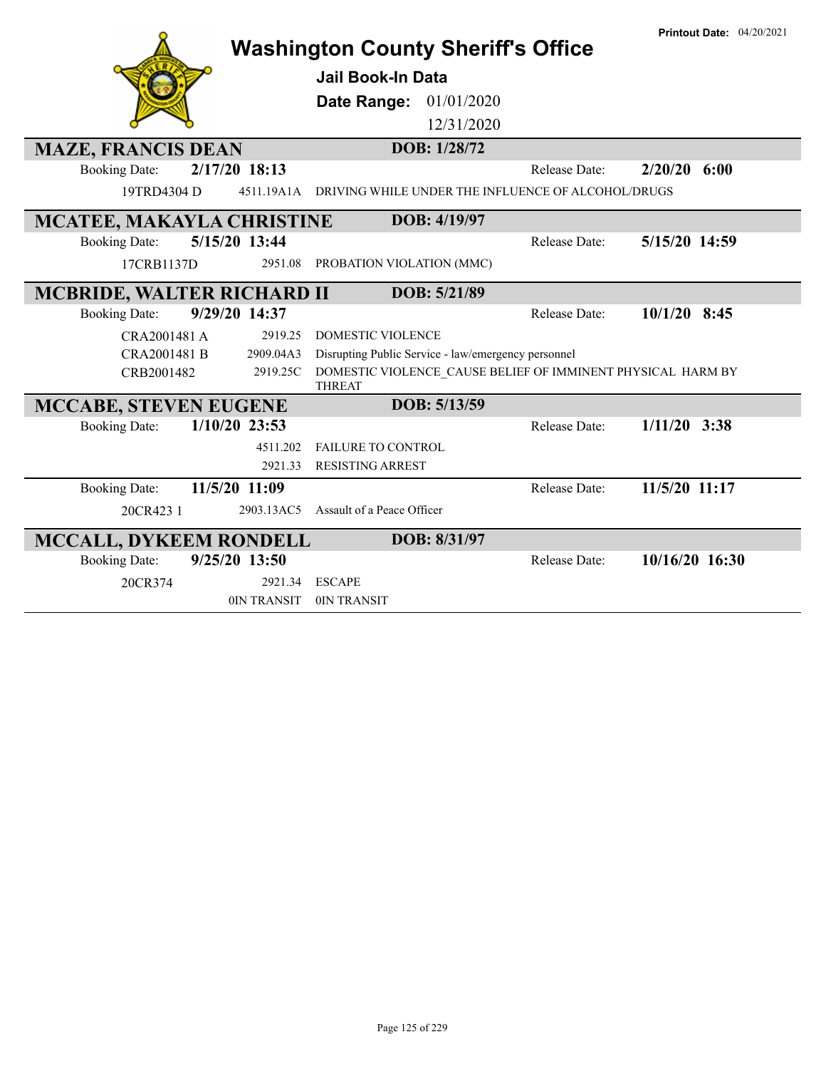|                                         | <b>Washington County Sheriff's Office</b>                                    |                      | <b>Printout Date: 04/20/2021</b> |
|-----------------------------------------|------------------------------------------------------------------------------|----------------------|----------------------------------|
|                                         | Jail Book-In Data                                                            |                      |                                  |
|                                         | 01/01/2020<br>Date Range:                                                    |                      |                                  |
|                                         | 12/31/2020                                                                   |                      |                                  |
| <b>MAZE, FRANCIS DEAN</b>               | DOB: 1/28/72                                                                 |                      |                                  |
| 2/17/20 18:13<br><b>Booking Date:</b>   |                                                                              | <b>Release Date:</b> | 2/20/20<br>6:00                  |
| 19TRD4304 D<br>4511.19A1A               | DRIVING WHILE UNDER THE INFLUENCE OF ALCOHOL/DRUGS                           |                      |                                  |
| <b>MCATEE, MAKAYLA CHRISTINE</b>        | DOB: 4/19/97                                                                 |                      |                                  |
| 5/15/20 13:44<br><b>Booking Date:</b>   |                                                                              | Release Date:        | 5/15/20 14:59                    |
| 17CRB1137D<br>2951.08                   | PROBATION VIOLATION (MMC)                                                    |                      |                                  |
| <b>MCBRIDE, WALTER RICHARD II</b>       | DOB: 5/21/89                                                                 |                      |                                  |
| 9/29/20 14:37<br><b>Booking Date:</b>   |                                                                              | Release Date:        | $10/1/20$ 8:45                   |
| CRA2001481 A<br>2919.25                 | <b>DOMESTIC VIOLENCE</b>                                                     |                      |                                  |
| CRA2001481 B<br>2909.04A3               | Disrupting Public Service - law/emergency personnel                          |                      |                                  |
| CRB2001482<br>2919.25C                  | DOMESTIC VIOLENCE CAUSE BELIEF OF IMMINENT PHYSICAL HARM BY<br><b>THREAT</b> |                      |                                  |
| <b>MCCABE, STEVEN EUGENE</b>            | DOB: 5/13/59                                                                 |                      |                                  |
| $1/10/20$ 23:53<br><b>Booking Date:</b> |                                                                              | <b>Release Date:</b> | $1/11/20$ 3:38                   |
| 4511.202                                | <b>FAILURE TO CONTROL</b>                                                    |                      |                                  |
| 2921.33                                 | <b>RESISTING ARREST</b>                                                      |                      |                                  |
| 11/5/20 11:09<br><b>Booking Date:</b>   |                                                                              | Release Date:        | 11/5/20 11:17                    |
| 20CR423 1<br>2903.13AC5                 | Assault of a Peace Officer                                                   |                      |                                  |
| <b>MCCALL, DYKEEM RONDELL</b>           | DOB: 8/31/97                                                                 |                      |                                  |
| 9/25/20 13:50<br><b>Booking Date:</b>   |                                                                              | Release Date:        | 10/16/20 16:30                   |
| 20CR374<br>2921.34                      | <b>ESCAPE</b>                                                                |                      |                                  |
| 0IN TRANSIT                             | 0IN TRANSIT                                                                  |                      |                                  |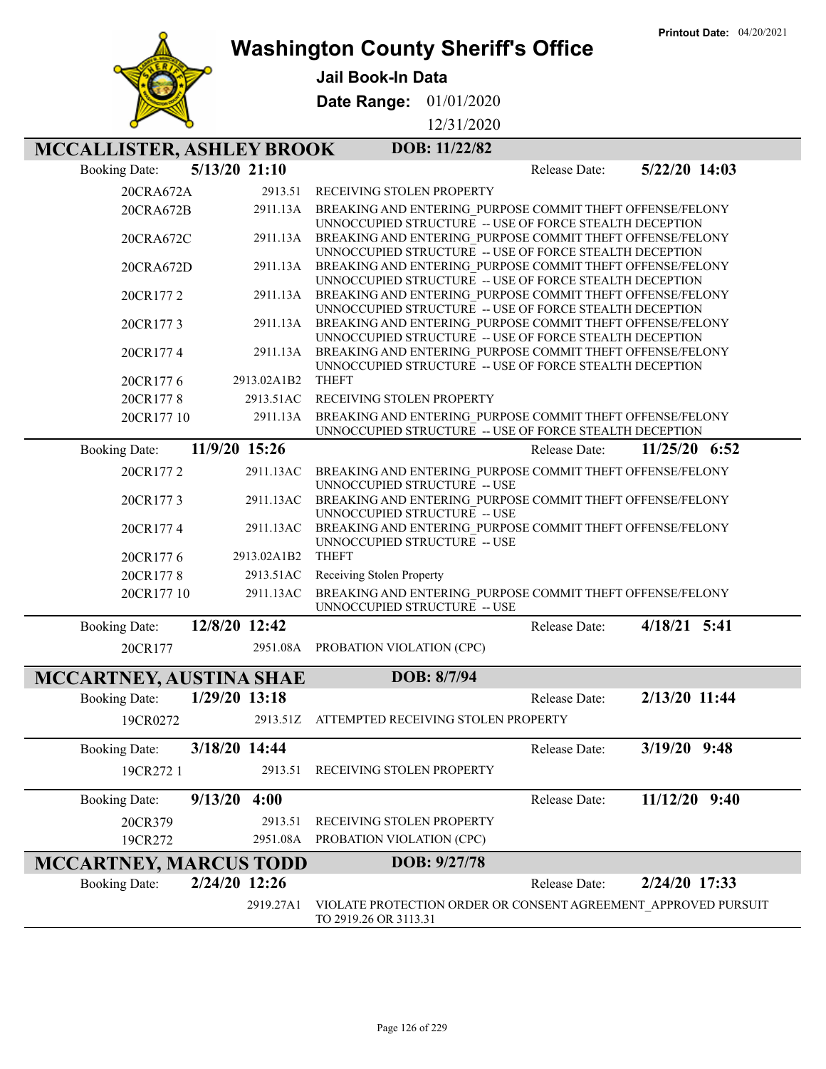

### **Washington County Sheriff's Office**

**Jail Book-In Data**

**Date Range:** 01/01/2020

12/31/2020

# **MCCALLISTER, ASHLEY BROOK** DOB: 11/22/82

| <b>Booking Date:</b>          | $5/13/20$ 21:10 | 5/22/20 14:03<br>Release Date:                                                                                       |  |
|-------------------------------|-----------------|----------------------------------------------------------------------------------------------------------------------|--|
| 20CRA672A                     | 2913.51         | RECEIVING STOLEN PROPERTY                                                                                            |  |
| 20CRA672B                     | 2911.13A        | BREAKING AND ENTERING PURPOSE COMMIT THEFT OFFENSE/FELONY<br>UNNOCCUPIED STRUCTURE -- USE OF FORCE STEALTH DECEPTION |  |
| 20CRA672C                     | 2911.13A        | BREAKING AND ENTERING PURPOSE COMMIT THEFT OFFENSE/FELONY<br>UNNOCCUPIED STRUCTURE -- USE OF FORCE STEALTH DECEPTION |  |
| 20CRA672D                     | 2911.13A        | BREAKING AND ENTERING PURPOSE COMMIT THEFT OFFENSE/FELONY<br>UNNOCCUPIED STRUCTURE -- USE OF FORCE STEALTH DECEPTION |  |
| 20CR1772                      | 2911.13A        | BREAKING AND ENTERING PURPOSE COMMIT THEFT OFFENSE/FELONY<br>UNNOCCUPIED STRUCTURE -- USE OF FORCE STEALTH DECEPTION |  |
| 20CR1773                      | 2911.13A        | BREAKING AND ENTERING PURPOSE COMMIT THEFT OFFENSE/FELONY<br>UNNOCCUPIED STRUCTURE -- USE OF FORCE STEALTH DECEPTION |  |
| 20CR1774                      | 2911.13A        | BREAKING AND ENTERING PURPOSE COMMIT THEFT OFFENSE/FELONY<br>UNNOCCUPIED STRUCTURE -- USE OF FORCE STEALTH DECEPTION |  |
| 20CR1776                      | 2913.02A1B2     | <b>THEFT</b>                                                                                                         |  |
| 20CR1778                      | 2913.51AC       | RECEIVING STOLEN PROPERTY                                                                                            |  |
| 20CR177 10                    | 2911.13A        | BREAKING AND ENTERING PURPOSE COMMIT THEFT OFFENSE/FELONY<br>UNNOCCUPIED STRUCTURE -- USE OF FORCE STEALTH DECEPTION |  |
| <b>Booking Date:</b>          | 11/9/20 15:26   | 11/25/20 6:52<br>Release Date:                                                                                       |  |
| 20CR1772                      | 2911.13AC       | BREAKING AND ENTERING PURPOSE COMMIT THEFT OFFENSE/FELONY<br>UNNOCCUPIED STRUCTURE -- USE                            |  |
| 20CR1773                      | 2911.13AC       | BREAKING AND ENTERING PURPOSE COMMIT THEFT OFFENSE/FELONY<br>UNNOCCUPIED STRUCTURE -- USE                            |  |
| 20CR1774                      | 2911.13AC       | BREAKING AND ENTERING PURPOSE COMMIT THEFT OFFENSE/FELONY<br>UNNOCCUPIED STRUCTURE -- USE                            |  |
| 20CR1776                      | 2913.02A1B2     | <b>THEFT</b>                                                                                                         |  |
| 20CR1778                      | 2913.51AC       | Receiving Stolen Property                                                                                            |  |
| 20CR177 10                    | 2911.13AC       | BREAKING AND ENTERING PURPOSE COMMIT THEFT OFFENSE/FELONY<br>UNNOCCUPIED STRUCTURE -- USE                            |  |
| <b>Booking Date:</b>          | 12/8/20 12:42   | 4/18/21 5:41<br>Release Date:                                                                                        |  |
| 20CR177                       | 2951.08A        | PROBATION VIOLATION (CPC)                                                                                            |  |
| MCCARTNEY, AUSTINA SHAE       |                 | DOB: 8/7/94                                                                                                          |  |
| <b>Booking Date:</b>          | 1/29/20 13:18   | 2/13/20 11:44<br>Release Date:                                                                                       |  |
| 19CR0272                      |                 | 2913.51Z ATTEMPTED RECEIVING STOLEN PROPERTY                                                                         |  |
| <b>Booking Date:</b>          | 3/18/20 14:44   | 3/19/20 9:48<br>Release Date:                                                                                        |  |
| 19CR272 1                     |                 | 2913.51 RECEIVING STOLEN PROPERTY                                                                                    |  |
| <b>Booking Date:</b>          | $9/13/20$ 4:00  | Release Date:<br>$11/12/20$ 9:40                                                                                     |  |
| 20CR379                       | 2913.51         | RECEIVING STOLEN PROPERTY                                                                                            |  |
| 19CR272                       | 2951.08A        | PROBATION VIOLATION (CPC)                                                                                            |  |
| <b>MCCARTNEY, MARCUS TODD</b> |                 | DOB: 9/27/78                                                                                                         |  |
| <b>Booking Date:</b>          | 2/24/20 12:26   | 2/24/20 17:33<br>Release Date:                                                                                       |  |
|                               | 2919.27A1       | VIOLATE PROTECTION ORDER OR CONSENT AGREEMENT APPROVED PURSUIT<br>TO 2919.26 OR 3113.31                              |  |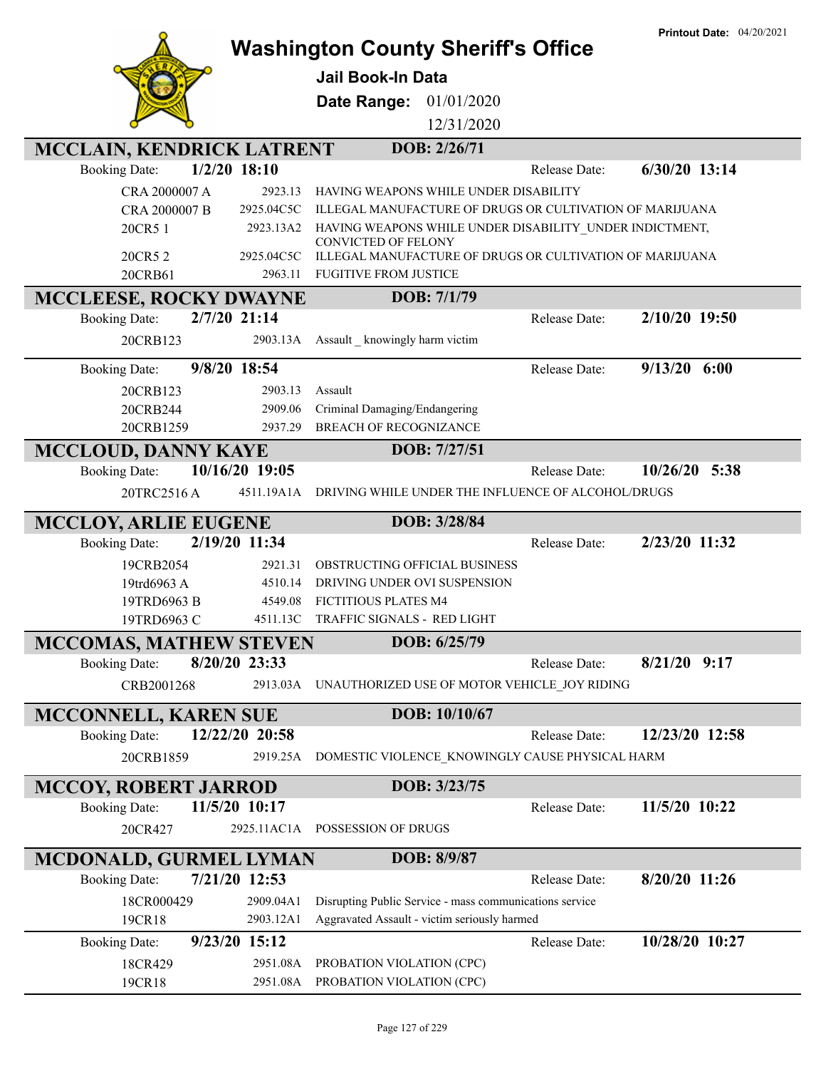|                                                       |                       |                                                                                          |                      | <b>Printout Date: 04/20/2021</b> |
|-------------------------------------------------------|-----------------------|------------------------------------------------------------------------------------------|----------------------|----------------------------------|
|                                                       |                       | <b>Washington County Sheriff's Office</b>                                                |                      |                                  |
|                                                       |                       | <b>Jail Book-In Data</b>                                                                 |                      |                                  |
|                                                       |                       | Date Range:<br>01/01/2020                                                                |                      |                                  |
|                                                       |                       | 12/31/2020                                                                               |                      |                                  |
| <b>MCCLAIN, KENDRICK LATRENT</b>                      |                       | DOB: 2/26/71                                                                             |                      |                                  |
| <b>Booking Date:</b>                                  | $1/2/20$ 18:10        |                                                                                          | Release Date:        | 6/30/20 13:14                    |
| CRA 2000007 A                                         | 2923.13               | HAVING WEAPONS WHILE UNDER DISABILITY                                                    |                      |                                  |
| CRA 2000007 B                                         | 2925.04C5C            | ILLEGAL MANUFACTURE OF DRUGS OR CULTIVATION OF MARIJUANA                                 |                      |                                  |
| 20CR5 1                                               | 2923.13A2             | HAVING WEAPONS WHILE UNDER DISABILITY_UNDER INDICTMENT,                                  |                      |                                  |
|                                                       |                       | <b>CONVICTED OF FELONY</b>                                                               |                      |                                  |
| 20CR5 2<br>20CRB61                                    | 2925.04C5C<br>2963.11 | ILLEGAL MANUFACTURE OF DRUGS OR CULTIVATION OF MARIJUANA<br><b>FUGITIVE FROM JUSTICE</b> |                      |                                  |
|                                                       |                       | DOB: 7/1/79                                                                              |                      |                                  |
| <b>MCCLEESE, ROCKY DWAYNE</b>                         | 2/7/20 21:14          |                                                                                          | Release Date:        | 2/10/20 19:50                    |
| <b>Booking Date:</b>                                  |                       |                                                                                          |                      |                                  |
| 20CRB123                                              | 2903.13A              | Assault knowingly harm victim                                                            |                      |                                  |
| <b>Booking Date:</b>                                  | 9/8/20 18:54          |                                                                                          | Release Date:        | 9/13/20<br>6:00                  |
| 20CRB123                                              | 2903.13               | Assault                                                                                  |                      |                                  |
| 20CRB244                                              | 2909.06               | Criminal Damaging/Endangering                                                            |                      |                                  |
| 20CRB1259                                             | 2937.29               | <b>BREACH OF RECOGNIZANCE</b>                                                            |                      |                                  |
| <b>MCCLOUD, DANNY KAYE</b>                            |                       | DOB: 7/27/51                                                                             |                      |                                  |
| <b>Booking Date:</b>                                  | 10/16/20 19:05        |                                                                                          | <b>Release Date:</b> | 10/26/20<br>5:38                 |
| 20TRC2516A                                            | 4511.19A1A            | DRIVING WHILE UNDER THE INFLUENCE OF ALCOHOL/DRUGS                                       |                      |                                  |
| <b>MCCLOY, ARLIE EUGENE</b>                           |                       | DOB: 3/28/84                                                                             |                      |                                  |
|                                                       |                       |                                                                                          |                      |                                  |
|                                                       |                       |                                                                                          |                      |                                  |
| <b>Booking Date:</b>                                  | 2/19/20 11:34         |                                                                                          | Release Date:        | 2/23/20 11:32                    |
| 19CRB2054                                             | 2921.31               | OBSTRUCTING OFFICIAL BUSINESS                                                            |                      |                                  |
| 19trd6963 A                                           | 4510.14<br>4549.08    | DRIVING UNDER OVI SUSPENSION<br><b>FICTITIOUS PLATES M4</b>                              |                      |                                  |
| 19TRD6963 B<br>19TRD6963 C                            | 4511.13C              | <b>TRAFFIC SIGNALS - RED LIGHT</b>                                                       |                      |                                  |
|                                                       |                       | DOB: 6/25/79                                                                             |                      |                                  |
| <b>MCCOMAS, MATHEW STEVEN</b><br><b>Booking Date:</b> | 8/20/20 23:33         |                                                                                          | Release Date:        | $8/21/20$ 9:17                   |
|                                                       |                       |                                                                                          |                      |                                  |
| CRB2001268                                            | 2913.03A              | UNAUTHORIZED USE OF MOTOR VEHICLE JOY RIDING                                             |                      |                                  |
| MCCONNELL, KAREN SUE                                  |                       | DOB: 10/10/67                                                                            |                      |                                  |
| <b>Booking Date:</b>                                  | 12/22/20 20:58        |                                                                                          | Release Date:        | 12/23/20 12:58                   |
| 20CRB1859                                             | 2919.25A              | DOMESTIC VIOLENCE_KNOWINGLY CAUSE PHYSICAL HARM                                          |                      |                                  |
| <b>MCCOY, ROBERT JARROD</b>                           |                       | DOB: 3/23/75                                                                             |                      |                                  |
| <b>Booking Date:</b>                                  | 11/5/20 10:17         |                                                                                          | Release Date:        | 11/5/20 10:22                    |
| 20CR427                                               | 2925.11AC1A           | POSSESSION OF DRUGS                                                                      |                      |                                  |
|                                                       |                       |                                                                                          |                      |                                  |
| <b>MCDONALD, GURMEL LYMAN</b>                         |                       | DOB: 8/9/87                                                                              |                      |                                  |
| <b>Booking Date:</b>                                  | 7/21/20 12:53         |                                                                                          | Release Date:        | 8/20/20 11:26                    |
| 18CR000429                                            | 2909.04A1             | Disrupting Public Service - mass communications service                                  |                      |                                  |
| 19CR18                                                | 2903.12A1             | Aggravated Assault - victim seriously harmed                                             |                      |                                  |
| <b>Booking Date:</b>                                  | 9/23/20 15:12         |                                                                                          | Release Date:        | 10/28/20 10:27                   |
| 18CR429<br>19CR18                                     | 2951.08A<br>2951.08A  | PROBATION VIOLATION (CPC)<br>PROBATION VIOLATION (CPC)                                   |                      |                                  |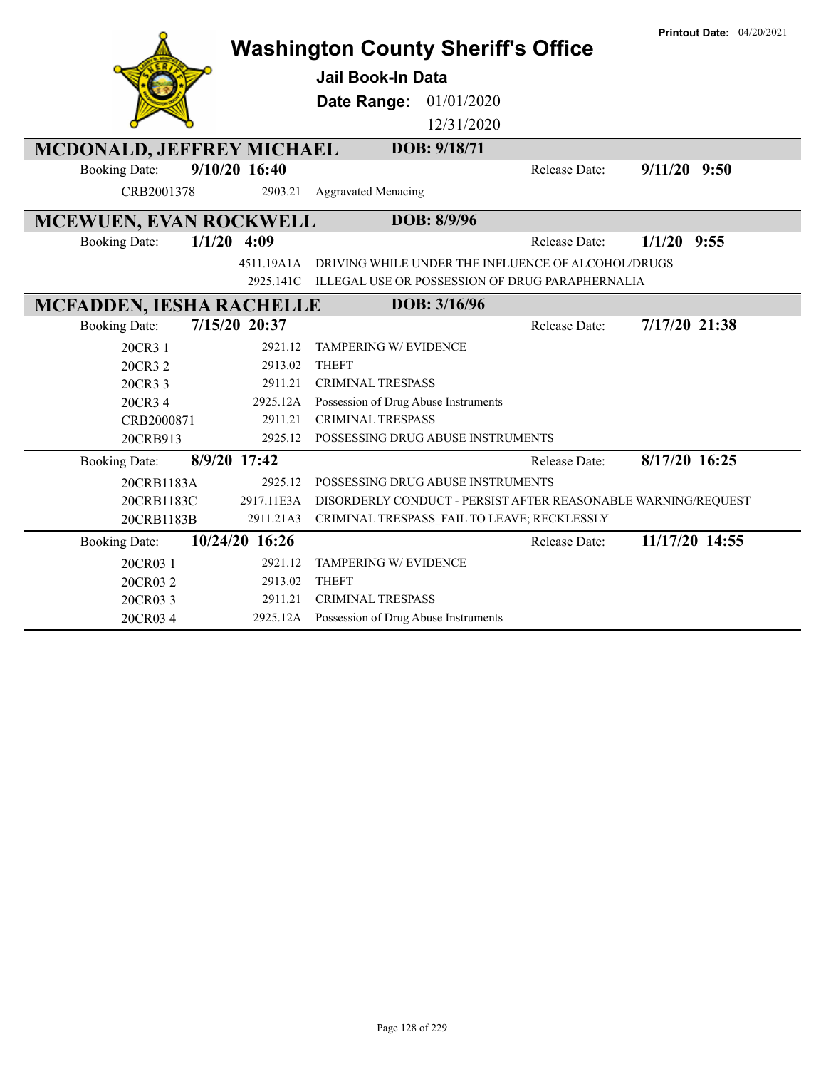|                                 |                | <b>Washington County Sheriff's Office</b>                     |               | <b>Printout Date: 04/20/2021</b> |
|---------------------------------|----------------|---------------------------------------------------------------|---------------|----------------------------------|
|                                 |                | <b>Jail Book-In Data</b>                                      |               |                                  |
|                                 |                |                                                               |               |                                  |
|                                 |                | 01/01/2020<br>Date Range:                                     |               |                                  |
|                                 |                | 12/31/2020                                                    |               |                                  |
| MCDONALD, JEFFREY MICHAEL       |                | DOB: 9/18/71                                                  |               |                                  |
| <b>Booking Date:</b>            | 9/10/20 16:40  |                                                               | Release Date: | $9/11/20$ $9:50$                 |
| CRB2001378                      | 2903.21        | <b>Aggravated Menacing</b>                                    |               |                                  |
| MCEWUEN, EVAN ROCKWELL          |                | DOB: 8/9/96                                                   |               |                                  |
| <b>Booking Date:</b>            | $1/1/20$ 4:09  |                                                               | Release Date: | $1/1/20$ 9:55                    |
|                                 | 4511.19A1A     | DRIVING WHILE UNDER THE INFLUENCE OF ALCOHOL/DRUGS            |               |                                  |
|                                 | 2925.141C      | ILLEGAL USE OR POSSESSION OF DRUG PARAPHERNALIA               |               |                                  |
| <b>MCFADDEN, IESHA RACHELLE</b> |                | DOB: 3/16/96                                                  |               |                                  |
| <b>Booking Date:</b>            | 7/15/20 20:37  |                                                               | Release Date: | 7/17/20 21:38                    |
| 20CR3 1                         | 2921.12        | TAMPERING W/ EVIDENCE                                         |               |                                  |
| 20CR3 2                         | 2913.02        | <b>THEFT</b>                                                  |               |                                  |
| 20CR3 3                         | 2911.21        | <b>CRIMINAL TRESPASS</b>                                      |               |                                  |
| 20CR3 4                         | 2925.12A       | Possession of Drug Abuse Instruments                          |               |                                  |
| CRB2000871                      | 2911.21        | <b>CRIMINAL TRESPASS</b>                                      |               |                                  |
| 20CRB913                        | 2925.12        | POSSESSING DRUG ABUSE INSTRUMENTS                             |               |                                  |
| <b>Booking Date:</b>            | 8/9/20 17:42   |                                                               | Release Date: | 8/17/20 16:25                    |
| 20CRB1183A                      | 2925.12        | POSSESSING DRUG ABUSE INSTRUMENTS                             |               |                                  |
| 20CRB1183C                      | 2917.11E3A     | DISORDERLY CONDUCT - PERSIST AFTER REASONABLE WARNING/REQUEST |               |                                  |
| 20CRB1183B                      | 2911.21A3      | CRIMINAL TRESPASS_FAIL TO LEAVE; RECKLESSLY                   |               |                                  |
| <b>Booking Date:</b>            | 10/24/20 16:26 |                                                               | Release Date: | 11/17/20 14:55                   |
| 20CR03 1                        | 2921.12        | TAMPERING W/ EVIDENCE                                         |               |                                  |
| 20CR032                         | 2913.02        | <b>THEFT</b>                                                  |               |                                  |
| 20CR033                         | 2911.21        | <b>CRIMINAL TRESPASS</b>                                      |               |                                  |
| 20CR034                         |                | 2925.12A Possession of Drug Abuse Instruments                 |               |                                  |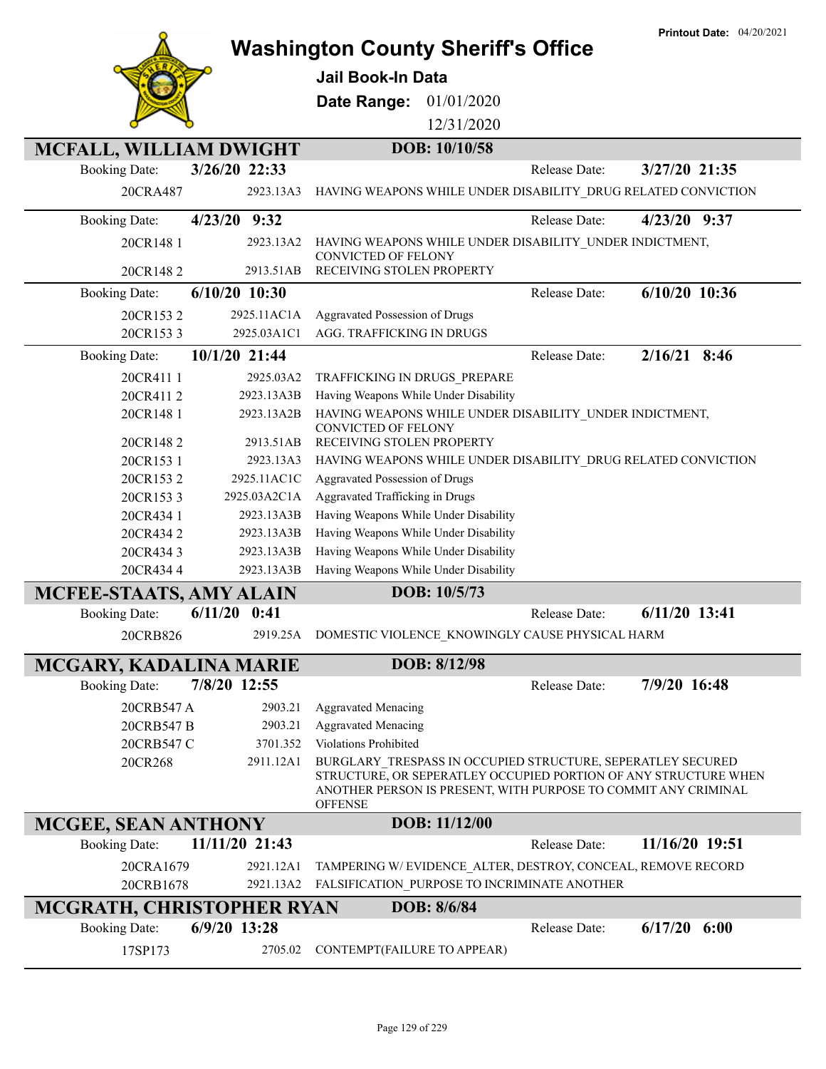|                            |                 | Jail Book-In Data                                                                     |               |               |                                                                                                                                                                                                  |
|----------------------------|-----------------|---------------------------------------------------------------------------------------|---------------|---------------|--------------------------------------------------------------------------------------------------------------------------------------------------------------------------------------------------|
|                            |                 | Date Range:                                                                           | 01/01/2020    |               |                                                                                                                                                                                                  |
|                            |                 |                                                                                       | 12/31/2020    |               |                                                                                                                                                                                                  |
| MCFALL, WILLIAM DWIGHT     |                 |                                                                                       | DOB: 10/10/58 |               |                                                                                                                                                                                                  |
| <b>Booking Date:</b>       | 3/26/20 22:33   |                                                                                       |               | Release Date: | 3/27/20 21:35                                                                                                                                                                                    |
| 20CRA487                   | 2923.13A3       |                                                                                       |               |               | HAVING WEAPONS WHILE UNDER DISABILITY_DRUG RELATED CONVICTION                                                                                                                                    |
| <b>Booking Date:</b>       | 4/23/20 9:32    |                                                                                       |               | Release Date: | $4/23/20$ 9:37                                                                                                                                                                                   |
| 20CR148 1                  | 2923.13A2       | HAVING WEAPONS WHILE UNDER DISABILITY UNDER INDICTMENT,<br><b>CONVICTED OF FELONY</b> |               |               |                                                                                                                                                                                                  |
| 20CR1482                   | 2913.51AB       | RECEIVING STOLEN PROPERTY                                                             |               |               |                                                                                                                                                                                                  |
| <b>Booking Date:</b>       | $6/10/20$ 10:30 |                                                                                       |               | Release Date: | $6/10/20$ 10:36                                                                                                                                                                                  |
| 20CR1532                   | 2925.11AC1A     | Aggravated Possession of Drugs                                                        |               |               |                                                                                                                                                                                                  |
| 20CR1533                   | 2925.03A1C1     | AGG. TRAFFICKING IN DRUGS                                                             |               |               |                                                                                                                                                                                                  |
| <b>Booking Date:</b>       | 10/1/20 21:44   |                                                                                       |               | Release Date: | $2/16/21$ 8:46                                                                                                                                                                                   |
| 20CR411 1                  | 2925.03A2       | TRAFFICKING IN DRUGS_PREPARE                                                          |               |               |                                                                                                                                                                                                  |
| 20CR4112                   | 2923.13A3B      | Having Weapons While Under Disability                                                 |               |               |                                                                                                                                                                                                  |
| 20CR148 1                  | 2923.13A2B      | HAVING WEAPONS WHILE UNDER DISABILITY_UNDER INDICTMENT,<br>CONVICTED OF FELONY        |               |               |                                                                                                                                                                                                  |
| 20CR1482                   | 2913.51AB       | RECEIVING STOLEN PROPERTY                                                             |               |               |                                                                                                                                                                                                  |
| 20CR153 1                  | 2923.13A3       |                                                                                       |               |               | HAVING WEAPONS WHILE UNDER DISABILITY_DRUG RELATED CONVICTION                                                                                                                                    |
| 20CR1532                   | 2925.11AC1C     | Aggravated Possession of Drugs                                                        |               |               |                                                                                                                                                                                                  |
| 20CR1533                   | 2925.03A2C1A    | Aggravated Trafficking in Drugs                                                       |               |               |                                                                                                                                                                                                  |
| 20CR434 1                  | 2923.13A3B      | Having Weapons While Under Disability                                                 |               |               |                                                                                                                                                                                                  |
| 20CR4342                   | 2923.13A3B      | Having Weapons While Under Disability                                                 |               |               |                                                                                                                                                                                                  |
| 20CR4343                   | 2923.13A3B      | Having Weapons While Under Disability                                                 |               |               |                                                                                                                                                                                                  |
| 20CR4344                   | 2923.13A3B      | Having Weapons While Under Disability                                                 |               |               |                                                                                                                                                                                                  |
| MCFEE-STAATS, AMY ALAIN    |                 |                                                                                       | DOB: 10/5/73  |               |                                                                                                                                                                                                  |
| <b>Booking Date:</b>       | 6/11/20<br>0:41 |                                                                                       |               | Release Date: | $6/11/20$ 13:41                                                                                                                                                                                  |
| 20CRB826                   | 2919.25A        | DOMESTIC VIOLENCE_KNOWINGLY CAUSE PHYSICAL HARM                                       |               |               |                                                                                                                                                                                                  |
| MCGARY, KADALINA MARIE     |                 |                                                                                       | DOB: 8/12/98  |               |                                                                                                                                                                                                  |
| <b>Booking Date:</b>       | 7/8/20 12:55    |                                                                                       |               | Release Date: | 7/9/20 16:48                                                                                                                                                                                     |
| 20CRB547 A                 | 2903.21         | <b>Aggravated Menacing</b>                                                            |               |               |                                                                                                                                                                                                  |
| 20CRB547 B                 | 2903.21         | <b>Aggravated Menacing</b>                                                            |               |               |                                                                                                                                                                                                  |
| 20CRB547 C                 | 3701.352        | <b>Violations Prohibited</b>                                                          |               |               |                                                                                                                                                                                                  |
| 20CR268                    | 2911.12A1       | <b>OFFENSE</b>                                                                        |               |               | BURGLARY TRESPASS IN OCCUPIED STRUCTURE, SEPERATLEY SECURED<br>STRUCTURE, OR SEPERATLEY OCCUPIED PORTION OF ANY STRUCTURE WHEN<br>ANOTHER PERSON IS PRESENT, WITH PURPOSE TO COMMIT ANY CRIMINAL |
| <b>MCGEE, SEAN ANTHONY</b> |                 |                                                                                       | DOB: 11/12/00 |               |                                                                                                                                                                                                  |
| <b>Booking Date:</b>       | 11/11/20 21:43  |                                                                                       |               | Release Date: | 11/16/20 19:51                                                                                                                                                                                   |
| 20CRA1679                  | 2921.12A1       |                                                                                       |               |               | TAMPERING W/EVIDENCE ALTER, DESTROY, CONCEAL, REMOVE RECORD                                                                                                                                      |
| 20CRB1678                  | 2921.13A2       | FALSIFICATION PURPOSE TO INCRIMINATE ANOTHER                                          |               |               |                                                                                                                                                                                                  |
| MCGRATH, CHRISTOPHER RYAN  |                 |                                                                                       | DOB: 8/6/84   |               |                                                                                                                                                                                                  |

Booking Date: **6/9/20 13:28** Release Date: **6/17/20 6:00**

17SP173 2705.02 CONTEMPT(FAILURE TO APPEAR)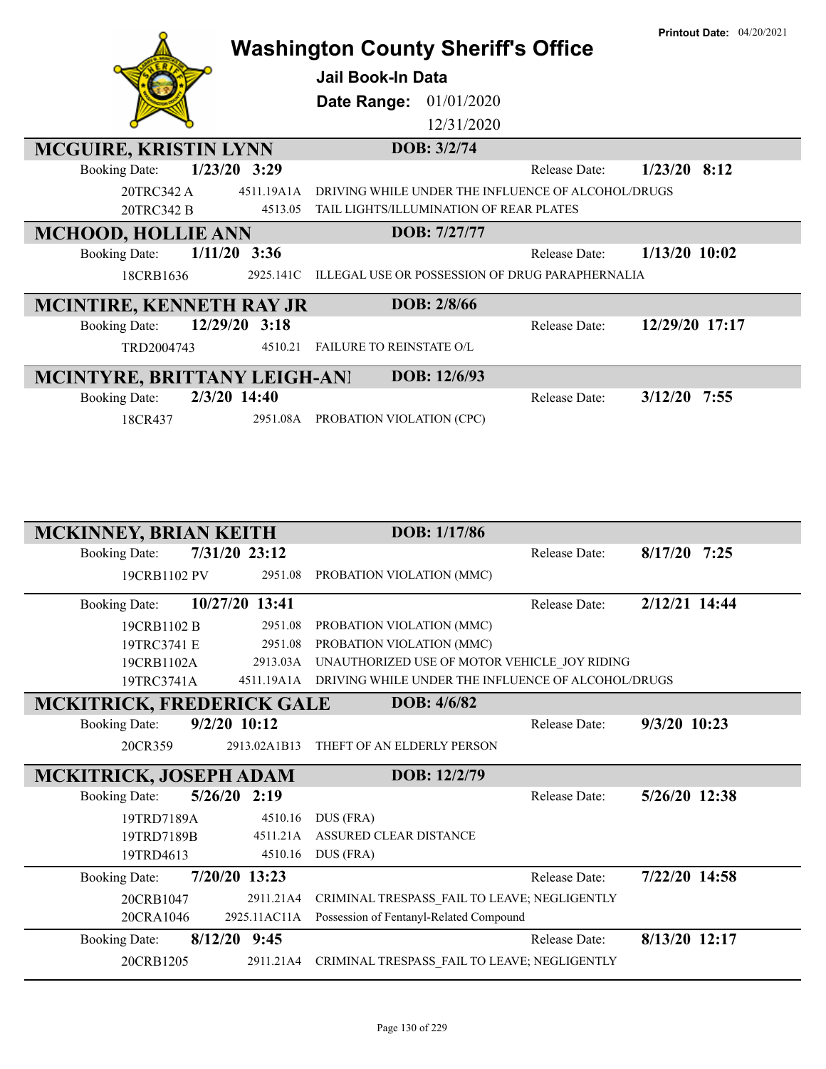|                                          | <b>Washington County Sheriff's Office</b>              |                      | <b>Printout Date: 04/20/2021</b> |
|------------------------------------------|--------------------------------------------------------|----------------------|----------------------------------|
|                                          | <b>Jail Book-In Data</b>                               |                      |                                  |
|                                          | 01/01/2020<br>Date Range:                              |                      |                                  |
|                                          | 12/31/2020                                             |                      |                                  |
| <b>MCGUIRE, KRISTIN LYNN</b>             | DOB: 3/2/74                                            |                      |                                  |
| $1/23/20$ 3:29<br><b>Booking Date:</b>   |                                                        | <b>Release Date:</b> | $1/23/20$ 8:12                   |
| 20TRC342 A<br>4511.19A1A                 | DRIVING WHILE UNDER THE INFLUENCE OF ALCOHOL/DRUGS     |                      |                                  |
| 20TRC342 B<br>4513.05                    | TAIL LIGHTS/ILLUMINATION OF REAR PLATES                |                      |                                  |
| <b>MCHOOD, HOLLIE ANN</b>                | DOB: 7/27/77                                           |                      |                                  |
| $1/11/20$ 3:36<br><b>Booking Date:</b>   |                                                        | <b>Release Date:</b> | $1/13/20$ 10:02                  |
| 2925.141C<br>18CRB1636                   | <b>ILLEGAL USE OR POSSESSION OF DRUG PARAPHERNALIA</b> |                      |                                  |
| <b>MCINTIRE, KENNETH RAY JR</b>          | DOB: 2/8/66                                            |                      |                                  |
| 12/29/20<br>3:18<br><b>Booking Date:</b> |                                                        | Release Date:        | 12/29/20 17:17                   |
| TRD2004743<br>4510.21                    | <b>FAILURE TO REINSTATE O/L</b>                        |                      |                                  |
| MCINTYRE, BRITTANY LEIGH-ANI             | DOB: 12/6/93                                           |                      |                                  |
| 2/3/20 14:40<br><b>Booking Date:</b>     |                                                        | Release Date:        | $3/12/20$ 7:55                   |
| 2951.08A<br>18CR437                      | PROBATION VIOLATION (CPC)                              |                      |                                  |

| <b>MCKINNEY, BRIAN KEITH</b>     |                 | DOB: 1/17/86                                       |                      |                |  |
|----------------------------------|-----------------|----------------------------------------------------|----------------------|----------------|--|
| <b>Booking Date:</b>             | 7/31/20 23:12   |                                                    | <b>Release Date:</b> | $8/17/20$ 7:25 |  |
| 19CRB1102 PV                     | 2951.08         | PROBATION VIOLATION (MMC)                          |                      |                |  |
| <b>Booking Date:</b>             | 10/27/20 13:41  |                                                    | Release Date:        | 2/12/21 14:44  |  |
| 19CRB1102 B                      | 2951.08         | PROBATION VIOLATION (MMC)                          |                      |                |  |
| 19TRC3741 E                      | 2951.08         | PROBATION VIOLATION (MMC)                          |                      |                |  |
| 19CRB1102A                       | 2913.03A        | UNAUTHORIZED USE OF MOTOR VEHICLE JOY RIDING       |                      |                |  |
| 19TRC3741A                       | 4511.19A1A      | DRIVING WHILE UNDER THE INFLUENCE OF ALCOHOL/DRUGS |                      |                |  |
| <b>MCKITRICK, FREDERICK GALE</b> |                 | DOB: 4/6/82                                        |                      |                |  |
| <b>Booking Date:</b>             | $9/2/20$ 10:12  |                                                    | Release Date:        | $9/3/20$ 10:23 |  |
| 20CR359                          | 2913.02A1B13    | THEFT OF AN ELDERLY PERSON                         |                      |                |  |
|                                  |                 |                                                    |                      |                |  |
| <b>MCKITRICK, JOSEPH ADAM</b>    |                 | DOB: 12/2/79                                       |                      |                |  |
| <b>Booking Date:</b>             | $5/26/20$ 2:19  |                                                    | Release Date:        | 5/26/20 12:38  |  |
| 19TRD7189A                       | 4510.16         | DUS (FRA)                                          |                      |                |  |
| 19TRD7189B                       | 4511.21A        | <b>ASSURED CLEAR DISTANCE</b>                      |                      |                |  |
| 19TRD4613                        | 4510.16         | DUS (FRA)                                          |                      |                |  |
| <b>Booking Date:</b>             | $7/20/20$ 13:23 |                                                    | <b>Release Date:</b> | 7/22/20 14:58  |  |
| 20CRB1047                        | 2911.21A4       | CRIMINAL TRESPASS_FAIL TO LEAVE; NEGLIGENTLY       |                      |                |  |
| 20CRA1046                        | 2925.11AC11A    | Possession of Fentanyl-Related Compound            |                      |                |  |
| <b>Booking Date:</b>             | 8/12/20<br>9:45 |                                                    | Release Date:        | 8/13/20 12:17  |  |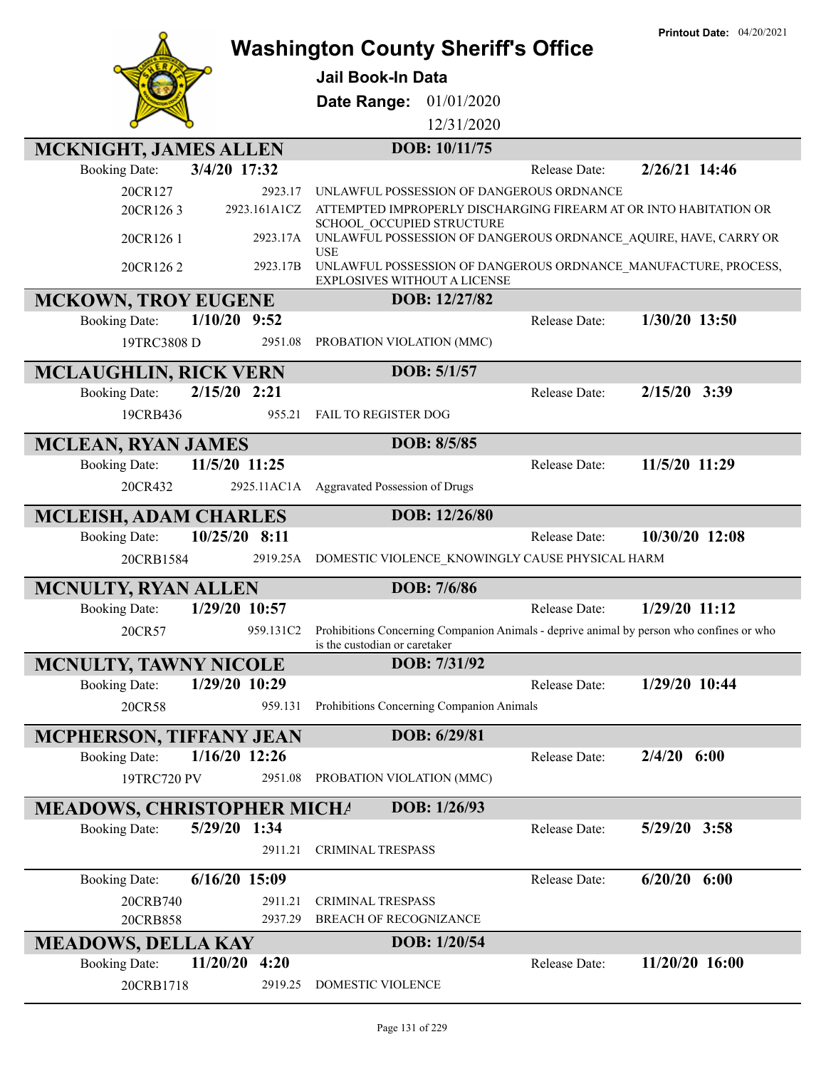

# **Washington County Sheriff's Office**

**Jail Book-In Data**

**Date Range:** 01/01/2020

12/31/2020

| <b>MCKNIGHT, JAMES ALLEN</b>      |                 |              | DOB: 10/11/75                                                                                                             |               |                  |
|-----------------------------------|-----------------|--------------|---------------------------------------------------------------------------------------------------------------------------|---------------|------------------|
| <b>Booking Date:</b>              | 3/4/20 17:32    |              |                                                                                                                           | Release Date: | 2/26/21 14:46    |
| 20CR127                           |                 | 2923.17      | UNLAWFUL POSSESSION OF DANGEROUS ORDNANCE                                                                                 |               |                  |
| 20CR1263                          |                 | 2923.161A1CZ | ATTEMPTED IMPROPERLY DISCHARGING FIREARM AT OR INTO HABITATION OR                                                         |               |                  |
| 20CR1261                          |                 | 2923.17A     | SCHOOL OCCUPIED STRUCTURE<br>UNLAWFUL POSSESSION OF DANGEROUS ORDNANCE AQUIRE, HAVE, CARRY OR<br>USE                      |               |                  |
| 20CR1262                          |                 | 2923.17B     | UNLAWFUL POSSESSION OF DANGEROUS ORDNANCE MANUFACTURE, PROCESS,<br>EXPLOSIVES WITHOUT A LICENSE                           |               |                  |
| <b>MCKOWN, TROY EUGENE</b>        |                 |              | DOB: 12/27/82                                                                                                             |               |                  |
| <b>Booking Date:</b>              | $1/10/20$ 9:52  |              |                                                                                                                           | Release Date: | 1/30/20 13:50    |
| 19TRC3808 D                       |                 | 2951.08      | PROBATION VIOLATION (MMC)                                                                                                 |               |                  |
| <b>MCLAUGHLIN, RICK VERN</b>      |                 |              | DOB: 5/1/57                                                                                                               |               |                  |
| <b>Booking Date:</b>              | $2/15/20$ 2:21  |              |                                                                                                                           | Release Date: | 2/15/20 3:39     |
| 19CRB436                          |                 | 955.21       | FAIL TO REGISTER DOG                                                                                                      |               |                  |
| <b>MCLEAN, RYAN JAMES</b>         |                 |              | DOB: 8/5/85                                                                                                               |               |                  |
| <b>Booking Date:</b>              | 11/5/20 11:25   |              |                                                                                                                           | Release Date: | 11/5/20 11:29    |
| 20CR432                           |                 | 2925.11AC1A  | Aggravated Possession of Drugs                                                                                            |               |                  |
| <b>MCLEISH, ADAM CHARLES</b>      |                 |              | DOB: 12/26/80                                                                                                             |               |                  |
| <b>Booking Date:</b>              | 10/25/20 8:11   |              |                                                                                                                           | Release Date: | 10/30/20 12:08   |
| 20CRB1584                         |                 | 2919.25A     | DOMESTIC VIOLENCE KNOWINGLY CAUSE PHYSICAL HARM                                                                           |               |                  |
|                                   |                 |              |                                                                                                                           |               |                  |
| MCNULTY, RYAN ALLEN               |                 |              | DOB: 7/6/86                                                                                                               |               |                  |
| <b>Booking Date:</b>              | 1/29/20 10:57   |              |                                                                                                                           | Release Date: | 1/29/20 11:12    |
| 20CR57                            |                 | 959.131C2    | Prohibitions Concerning Companion Animals - deprive animal by person who confines or who<br>is the custodian or caretaker |               |                  |
| <b>MCNULTY, TAWNY NICOLE</b>      |                 |              | DOB: 7/31/92                                                                                                              |               |                  |
| <b>Booking Date:</b>              | 1/29/20 10:29   |              |                                                                                                                           | Release Date: | 1/29/20 10:44    |
| 20CR58                            |                 | 959.131      | Prohibitions Concerning Companion Animals                                                                                 |               |                  |
| MCPHERSON, TIFFANY JEAN           |                 |              | DOB: 6/29/81                                                                                                              |               |                  |
| <b>Booking Date:</b>              | $1/16/20$ 12:26 |              |                                                                                                                           | Release Date: | $2/4/20$ 6:00    |
| 19TRC720 PV                       |                 | 2951.08      | PROBATION VIOLATION (MMC)                                                                                                 |               |                  |
| <b>MEADOWS, CHRISTOPHER MICHA</b> |                 |              | DOB: 1/26/93                                                                                                              |               |                  |
| <b>Booking Date:</b>              | 5/29/20 1:34    |              |                                                                                                                           | Release Date: | 5/29/20 3:58     |
|                                   |                 | 2911.21      | <b>CRIMINAL TRESPASS</b>                                                                                                  |               |                  |
| <b>Booking Date:</b>              | $6/16/20$ 15:09 |              |                                                                                                                           | Release Date: | $6/20/20$ $6:00$ |
| 20CRB740                          |                 | 2911.21      | CRIMINAL TRESPASS                                                                                                         |               |                  |
| 20CRB858                          |                 | 2937.29      | BREACH OF RECOGNIZANCE                                                                                                    |               |                  |
| <b>MEADOWS, DELLA KAY</b>         |                 |              | DOB: 1/20/54                                                                                                              |               |                  |
| <b>Booking Date:</b>              | 11/20/20        | 4:20         |                                                                                                                           | Release Date: | 11/20/20 16:00   |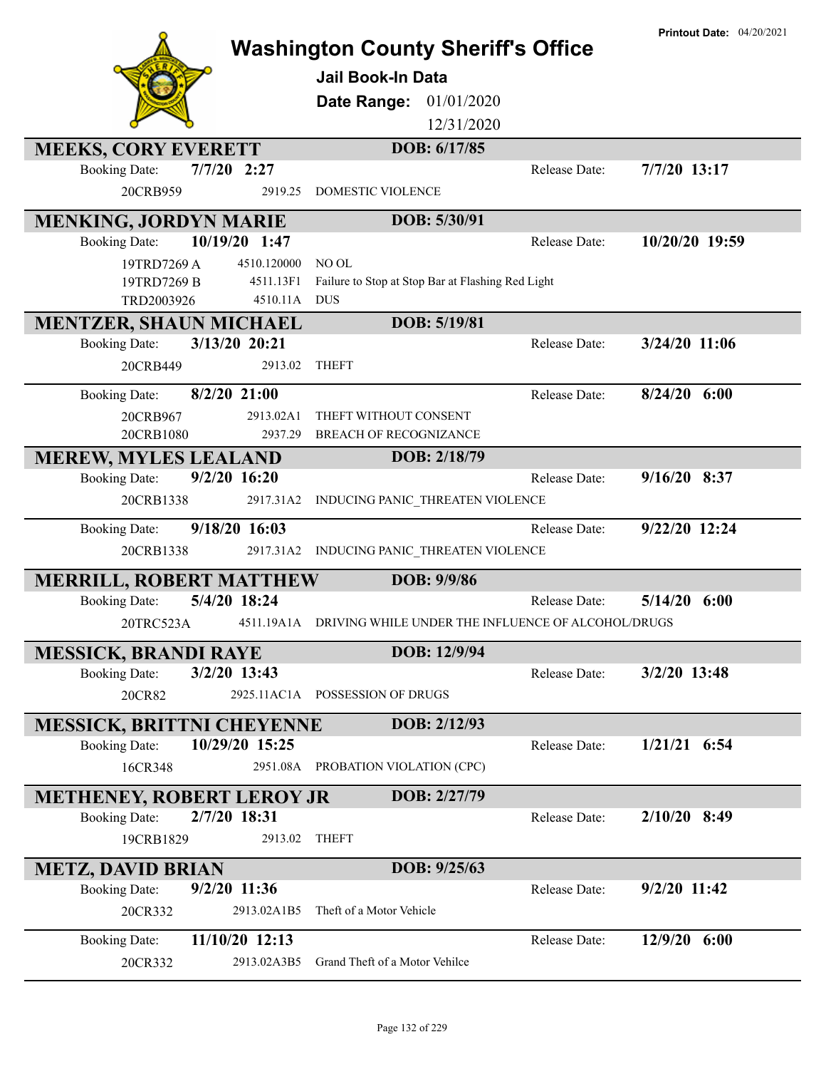|                                  |                          | <b>Washington County Sheriff's Office</b>                     |               | <b>Printout Date: 04/20/2021</b> |
|----------------------------------|--------------------------|---------------------------------------------------------------|---------------|----------------------------------|
|                                  |                          | <b>Jail Book-In Data</b>                                      |               |                                  |
|                                  |                          | Date Range: 01/01/2020                                        |               |                                  |
|                                  |                          | 12/31/2020                                                    |               |                                  |
| <b>MEEKS, CORY EVERETT</b>       | $7/7/20$ 2:27            | DOB: 6/17/85                                                  | Release Date: | 7/7/20 13:17                     |
| <b>Booking Date:</b><br>20CRB959 | 2919.25                  | DOMESTIC VIOLENCE                                             |               |                                  |
|                                  |                          |                                                               |               |                                  |
| <b>MENKING, JORDYN MARIE</b>     |                          | DOB: 5/30/91                                                  |               |                                  |
| <b>Booking Date:</b>             | 10/19/20 1:47            |                                                               | Release Date: | 10/20/20 19:59                   |
| 19TRD7269 A<br>19TRD7269 B       | 4510.120000<br>4511.13F1 | NO OL<br>Failure to Stop at Stop Bar at Flashing Red Light    |               |                                  |
| TRD2003926                       | 4510.11A                 | <b>DUS</b>                                                    |               |                                  |
| MENTZER, SHAUN MICHAEL           |                          | DOB: 5/19/81                                                  |               |                                  |
| <b>Booking Date:</b>             | 3/13/20 20:21            |                                                               | Release Date: | 3/24/20 11:06                    |
| 20CRB449                         | 2913.02                  | <b>THEFT</b>                                                  |               |                                  |
| <b>Booking Date:</b>             | $8/2/20$ 21:00           |                                                               | Release Date: | $8/24/20$ 6:00                   |
| 20CRB967                         | 2913.02A1                | THEFT WITHOUT CONSENT                                         |               |                                  |
| 20CRB1080                        | 2937.29                  | <b>BREACH OF RECOGNIZANCE</b>                                 |               |                                  |
| <b>MEREW, MYLES LEALAND</b>      |                          | DOB: 2/18/79                                                  |               |                                  |
| <b>Booking Date:</b>             | $9/2/20$ 16:20           |                                                               | Release Date: | $9/16/20$ 8:37                   |
| 20CRB1338                        | 2917.31A2                | INDUCING PANIC_THREATEN VIOLENCE                              |               |                                  |
| <b>Booking Date:</b>             | 9/18/20 16:03            |                                                               | Release Date: | 9/22/20 12:24                    |
| 20CRB1338                        | 2917.31A2                | INDUCING PANIC_THREATEN VIOLENCE                              |               |                                  |
| <b>MERRILL, ROBERT MATTHEW</b>   |                          | DOB: 9/9/86                                                   |               |                                  |
| <b>Booking Date:</b>             | 5/4/20 18:24             |                                                               | Release Date: | 5/14/20<br>6:00                  |
| 20TRC523A                        |                          | 4511.19A1A DRIVING WHILE UNDER THE INFLUENCE OF ALCOHOL/DRUGS |               |                                  |
| <b>MESSICK, BRANDI RAYE</b>      |                          | DOB: 12/9/94                                                  |               |                                  |
| <b>Booking Date:</b>             | 3/2/20 13:43             |                                                               | Release Date: | 3/2/20 13:48                     |
| 20CR82                           |                          | 2925.11AC1A POSSESSION OF DRUGS                               |               |                                  |
| <b>MESSICK, BRITTNI CHEYENNE</b> |                          | DOB: 2/12/93                                                  |               |                                  |
| <b>Booking Date:</b>             | 10/29/20 15:25           |                                                               | Release Date: | $1/21/21$ 6:54                   |
| 16CR348                          | 2951.08A                 | PROBATION VIOLATION (CPC)                                     |               |                                  |
| <b>METHENEY, ROBERT LEROY JR</b> |                          | DOB: 2/27/79                                                  |               |                                  |
| <b>Booking Date:</b>             | 2/7/20 18:31             |                                                               | Release Date: | $2/10/20$ 8:49                   |
| 19CRB1829                        | 2913.02                  | <b>THEFT</b>                                                  |               |                                  |
| <b>METZ, DAVID BRIAN</b>         |                          | DOB: 9/25/63                                                  |               |                                  |
| <b>Booking Date:</b>             | 9/2/20 11:36             |                                                               | Release Date: | 9/2/20 11:42                     |
| 20CR332                          | 2913.02A1B5              | Theft of a Motor Vehicle                                      |               |                                  |
| <b>Booking Date:</b>             | 11/10/20 12:13           |                                                               | Release Date: | 12/9/20 6:00                     |
| 20CR332                          | 2913.02A3B5              | Grand Theft of a Motor Vehilce                                |               |                                  |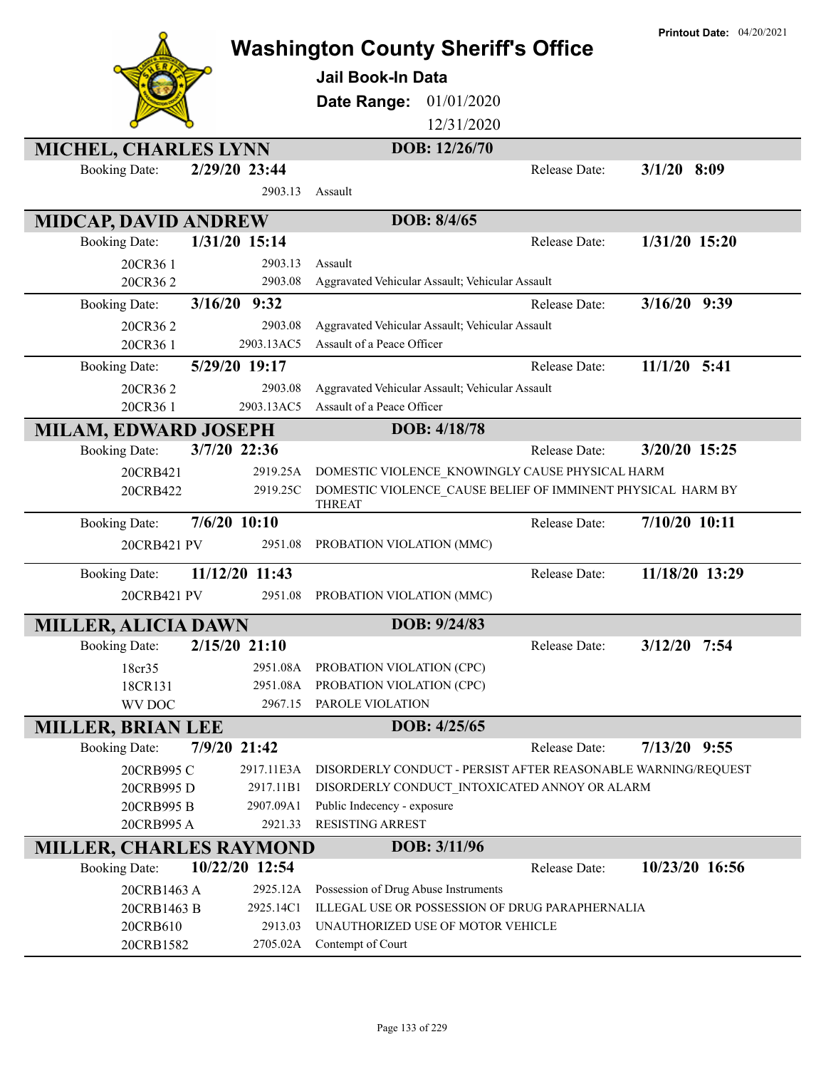|                                |                | <b>Washington County Sheriff's Office</b>                                    |               | <b>Printout Date: 04/20/2021</b> |
|--------------------------------|----------------|------------------------------------------------------------------------------|---------------|----------------------------------|
|                                |                | <b>Jail Book-In Data</b>                                                     |               |                                  |
|                                |                | Date Range:<br>01/01/2020                                                    |               |                                  |
|                                |                | 12/31/2020                                                                   |               |                                  |
| <b>MICHEL, CHARLES LYNN</b>    |                | DOB: 12/26/70                                                                |               |                                  |
| <b>Booking Date:</b>           | 2/29/20 23:44  |                                                                              | Release Date: | $3/1/20$ 8:09                    |
|                                | 2903.13        | Assault                                                                      |               |                                  |
| <b>MIDCAP, DAVID ANDREW</b>    |                | DOB: 8/4/65                                                                  |               |                                  |
| <b>Booking Date:</b>           | 1/31/20 15:14  |                                                                              | Release Date: | 1/31/20 15:20                    |
| 20CR36 1                       | 2903.13        | Assault                                                                      |               |                                  |
| 20CR362                        | 2903.08        | Aggravated Vehicular Assault; Vehicular Assault                              |               |                                  |
| <b>Booking Date:</b>           | 3/16/20 9:32   |                                                                              | Release Date: | 3/16/20 9:39                     |
| 20CR362                        | 2903.08        | Aggravated Vehicular Assault; Vehicular Assault                              |               |                                  |
| 20CR36 1                       | 2903.13AC5     | Assault of a Peace Officer                                                   |               |                                  |
| <b>Booking Date:</b>           | 5/29/20 19:17  |                                                                              | Release Date: | $11/1/20$ 5:41                   |
| 20CR362                        | 2903.08        | Aggravated Vehicular Assault; Vehicular Assault                              |               |                                  |
| 20CR36 1                       | 2903.13AC5     | Assault of a Peace Officer                                                   |               |                                  |
| <b>MILAM, EDWARD JOSEPH</b>    |                | DOB: 4/18/78                                                                 |               |                                  |
| <b>Booking Date:</b>           | 3/7/20 22:36   |                                                                              | Release Date: | 3/20/20 15:25                    |
| 20CRB421                       | 2919.25A       | DOMESTIC VIOLENCE KNOWINGLY CAUSE PHYSICAL HARM                              |               |                                  |
| 20CRB422                       | 2919.25C       | DOMESTIC VIOLENCE_CAUSE BELIEF OF IMMINENT PHYSICAL HARM BY<br><b>THREAT</b> |               |                                  |
| <b>Booking Date:</b>           | $7/6/20$ 10:10 |                                                                              | Release Date: | 7/10/20 10:11                    |
| 20CRB421 PV                    | 2951.08        | PROBATION VIOLATION (MMC)                                                    |               |                                  |
| <b>Booking Date:</b>           | 11/12/20 11:43 |                                                                              | Release Date: | 11/18/20 13:29                   |
| 20CRB421 PV                    | 2951.08        | PROBATION VIOLATION (MMC)                                                    |               |                                  |
| <b>MILLER, ALICIA DAWN</b>     |                | DOB: 9/24/83                                                                 |               |                                  |
| <b>Booking Date:</b>           | 2/15/20 21:10  |                                                                              | Release Date: | $3/12/20$ 7:54                   |
| 18cr35                         | 2951.08A       | PROBATION VIOLATION (CPC)                                                    |               |                                  |
| 18CR131                        | 2951.08A       | PROBATION VIOLATION (CPC)                                                    |               |                                  |
| WV DOC                         | 2967.15        | PAROLE VIOLATION                                                             |               |                                  |
| <b>MILLER, BRIAN LEE</b>       |                | DOB: 4/25/65                                                                 |               |                                  |
| <b>Booking Date:</b>           | 7/9/20 21:42   |                                                                              | Release Date: | $7/13/20$ 9:55                   |
| 20CRB995 C                     | 2917.11E3A     | DISORDERLY CONDUCT - PERSIST AFTER REASONABLE WARNING/REQUEST                |               |                                  |
| 20CRB995 D                     | 2917.11B1      | DISORDERLY CONDUCT INTOXICATED ANNOY OR ALARM                                |               |                                  |
| 20CRB995 B                     | 2907.09A1      | Public Indecency - exposure                                                  |               |                                  |
| 20CRB995 A                     | 2921.33        | <b>RESISTING ARREST</b>                                                      |               |                                  |
| <b>MILLER, CHARLES RAYMOND</b> |                | DOB: 3/11/96                                                                 |               |                                  |
| <b>Booking Date:</b>           | 10/22/20 12:54 |                                                                              | Release Date: | 10/23/20 16:56                   |
| 20CRB1463 A                    | 2925.12A       | Possession of Drug Abuse Instruments                                         |               |                                  |
| 20CRB1463 B                    | 2925.14C1      | ILLEGAL USE OR POSSESSION OF DRUG PARAPHERNALIA                              |               |                                  |
| 20CRB610                       | 2913.03        | UNAUTHORIZED USE OF MOTOR VEHICLE                                            |               |                                  |
| 20CRB1582                      | 2705.02A       | Contempt of Court                                                            |               |                                  |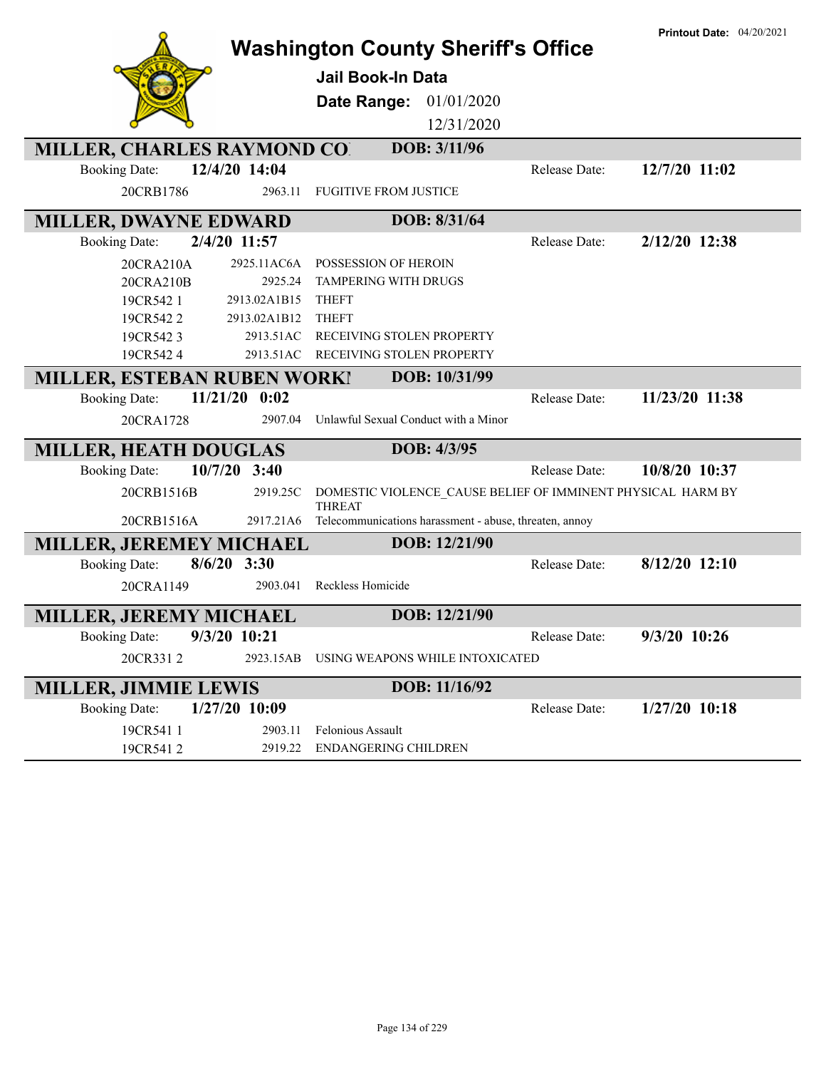| <b>Washington County Sheriff's Office</b> |                |                                                                              | <b>Printout Date: 04/20/2021</b> |                 |
|-------------------------------------------|----------------|------------------------------------------------------------------------------|----------------------------------|-----------------|
|                                           |                | <b>Jail Book-In Data</b>                                                     |                                  |                 |
|                                           |                | Date Range: 01/01/2020                                                       |                                  |                 |
|                                           |                | 12/31/2020                                                                   |                                  |                 |
| <b>MILLER, CHARLES RAYMOND CO.</b>        |                | DOB: 3/11/96                                                                 |                                  |                 |
| <b>Booking Date:</b>                      | 12/4/20 14:04  |                                                                              | Release Date:                    | 12/7/20 11:02   |
| 20CRB1786                                 | 2963.11        | <b>FUGITIVE FROM JUSTICE</b>                                                 |                                  |                 |
| <b>MILLER, DWAYNE EDWARD</b>              |                | DOB: 8/31/64                                                                 |                                  |                 |
| <b>Booking Date:</b>                      | 2/4/20 11:57   |                                                                              | Release Date:                    | 2/12/20 12:38   |
| 20CRA210A                                 | 2925.11AC6A    | POSSESSION OF HEROIN                                                         |                                  |                 |
| 20CRA210B                                 | 2925.24        | TAMPERING WITH DRUGS                                                         |                                  |                 |
| 19CR542 1                                 | 2913.02A1B15   | <b>THEFT</b>                                                                 |                                  |                 |
| 19CR5422                                  | 2913.02A1B12   | <b>THEFT</b>                                                                 |                                  |                 |
| 19CR5423                                  | 2913.51AC      | RECEIVING STOLEN PROPERTY                                                    |                                  |                 |
| 19CR5424                                  |                | 2913.51AC RECEIVING STOLEN PROPERTY                                          |                                  |                 |
| <b>MILLER, ESTEBAN RUBEN WORK!</b>        |                | DOB: 10/31/99                                                                |                                  |                 |
| 11/21/20<br><b>Booking Date:</b>          | 0:02           |                                                                              | Release Date:                    | 11/23/20 11:38  |
| 20CRA1728                                 | 2907.04        | Unlawful Sexual Conduct with a Minor                                         |                                  |                 |
| <b>MILLER, HEATH DOUGLAS</b>              |                | DOB: 4/3/95                                                                  |                                  |                 |
| <b>Booking Date:</b>                      | $10/7/20$ 3:40 |                                                                              | Release Date:                    | 10/8/20 10:37   |
| 20CRB1516B                                | 2919.25C       | DOMESTIC VIOLENCE_CAUSE BELIEF OF IMMINENT PHYSICAL HARM BY<br><b>THREAT</b> |                                  |                 |
| 20CRB1516A                                |                | 2917.21A6 Telecommunications harassment - abuse, threaten, annoy             |                                  |                 |
| MILLER, JEREMEY MICHAEL                   |                | DOB: 12/21/90                                                                |                                  |                 |
| <b>Booking Date:</b>                      | $8/6/20$ 3:30  |                                                                              | Release Date:                    | $8/12/20$ 12:10 |
| 20CRA1149                                 | 2903.041       | Reckless Homicide                                                            |                                  |                 |
| <b>MILLER, JEREMY MICHAEL</b>             |                | DOB: 12/21/90                                                                |                                  |                 |
| <b>Booking Date:</b>                      | $9/3/20$ 10:21 |                                                                              | Release Date:                    | 9/3/20 10:26    |
| 20CR3312                                  | 2923.15AB      | USING WEAPONS WHILE INTOXICATED                                              |                                  |                 |
| <b>MILLER, JIMMIE LEWIS</b>               |                | DOB: 11/16/92                                                                |                                  |                 |
| <b>Booking Date:</b>                      | 1/27/20 10:09  |                                                                              | Release Date:                    | $1/27/20$ 10:18 |
| 19CR541 1                                 | 2903.11        | Felonious Assault                                                            |                                  |                 |
| 19CR5412                                  |                | 2919.22 ENDANGERING CHILDREN                                                 |                                  |                 |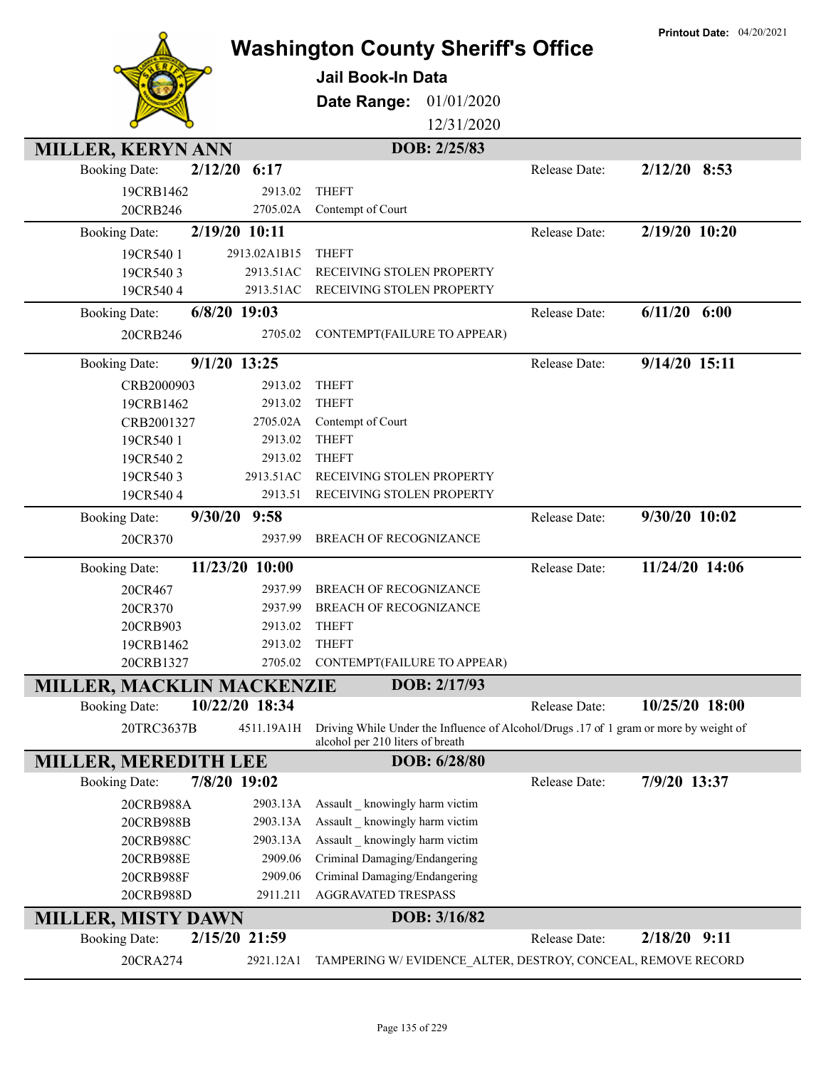|                                  |                | <b>Washington County Sheriff's Office</b>                                                                                 |               | <b>Printout Date: 04/20/2021</b> |
|----------------------------------|----------------|---------------------------------------------------------------------------------------------------------------------------|---------------|----------------------------------|
|                                  |                |                                                                                                                           |               |                                  |
|                                  |                | <b>Jail Book-In Data</b>                                                                                                  |               |                                  |
|                                  |                | Date Range:<br>01/01/2020                                                                                                 |               |                                  |
|                                  |                | 12/31/2020                                                                                                                |               |                                  |
| MILLER, KERYN ANN                |                | DOB: 2/25/83                                                                                                              |               |                                  |
| 2/12/20<br><b>Booking Date:</b>  | 6:17           |                                                                                                                           | Release Date: | $2/12/20$ 8:53                   |
| 19CRB1462                        | 2913.02        | <b>THEFT</b>                                                                                                              |               |                                  |
| 20CRB246                         | 2705.02A       | Contempt of Court                                                                                                         |               |                                  |
| <b>Booking Date:</b>             | 2/19/20 10:11  |                                                                                                                           | Release Date: | 2/19/20 10:20                    |
| 19CR540 1                        | 2913.02A1B15   | <b>THEFT</b>                                                                                                              |               |                                  |
| 19CR5403                         | 2913.51AC      | RECEIVING STOLEN PROPERTY                                                                                                 |               |                                  |
| 19CR5404                         | 2913.51AC      | RECEIVING STOLEN PROPERTY                                                                                                 |               |                                  |
| <b>Booking Date:</b>             | $6/8/20$ 19:03 |                                                                                                                           | Release Date: | $6/11/20$ $6:00$                 |
| 20CRB246                         | 2705.02        | CONTEMPT(FAILURE TO APPEAR)                                                                                               |               |                                  |
| <b>Booking Date:</b>             | $9/1/20$ 13:25 |                                                                                                                           | Release Date: | 9/14/20 15:11                    |
| CRB2000903                       | 2913.02        | <b>THEFT</b>                                                                                                              |               |                                  |
| 19CRB1462                        | 2913.02        | <b>THEFT</b>                                                                                                              |               |                                  |
| CRB2001327                       | 2705.02A       | Contempt of Court                                                                                                         |               |                                  |
| 19CR540 1                        | 2913.02        | <b>THEFT</b>                                                                                                              |               |                                  |
| 19CR5402                         | 2913.02        | <b>THEFT</b>                                                                                                              |               |                                  |
| 19CR5403                         | 2913.51AC      | RECEIVING STOLEN PROPERTY                                                                                                 |               |                                  |
| 19CR5404                         | 2913.51        | RECEIVING STOLEN PROPERTY                                                                                                 |               |                                  |
| <b>Booking Date:</b>             | 9/30/20 9:58   |                                                                                                                           | Release Date: | 9/30/20 10:02                    |
| 20CR370                          | 2937.99        | <b>BREACH OF RECOGNIZANCE</b>                                                                                             |               |                                  |
| <b>Booking Date:</b>             | 11/23/20 10:00 |                                                                                                                           | Release Date: | 11/24/20 14:06                   |
| 20CR467                          | 2937.99        | <b>BREACH OF RECOGNIZANCE</b>                                                                                             |               |                                  |
| 20CR370                          | 2937.99        | BREACH OF RECOGNIZANCE                                                                                                    |               |                                  |
| 20CRB903                         | 2913.02        | <b>THEFT</b>                                                                                                              |               |                                  |
| 19CRB1462                        | 2913.02        | <b>THEFT</b>                                                                                                              |               |                                  |
| 20CRB1327                        | 2705.02        | CONTEMPT(FAILURE TO APPEAR)                                                                                               |               |                                  |
| <b>MILLER, MACKLIN MACKENZIE</b> |                | DOB: 2/17/93                                                                                                              |               |                                  |
| <b>Booking Date:</b>             | 10/22/20 18:34 |                                                                                                                           | Release Date: | 10/25/20 18:00                   |
| 20TRC3637B                       | 4511.19A1H     | Driving While Under the Influence of Alcohol/Drugs .17 of 1 gram or more by weight of<br>alcohol per 210 liters of breath |               |                                  |
| <b>MILLER, MEREDITH LEE</b>      |                | DOB: 6/28/80                                                                                                              |               |                                  |
| <b>Booking Date:</b>             | 7/8/20 19:02   |                                                                                                                           | Release Date: | 7/9/20 13:37                     |
| 20CRB988A                        | 2903.13A       | Assault _ knowingly harm victim                                                                                           |               |                                  |
| 20CRB988B                        | 2903.13A       | Assault _ knowingly harm victim                                                                                           |               |                                  |
| 20CRB988C                        | 2903.13A       | Assault knowingly harm victim                                                                                             |               |                                  |
| 20CRB988E                        | 2909.06        | Criminal Damaging/Endangering                                                                                             |               |                                  |
| 20CRB988F                        | 2909.06        | Criminal Damaging/Endangering                                                                                             |               |                                  |
| 20CRB988D                        | 2911.211       | <b>AGGRAVATED TRESPASS</b>                                                                                                |               |                                  |
| <b>MILLER, MISTY DAWN</b>        |                | DOB: 3/16/82                                                                                                              |               |                                  |
| <b>Booking Date:</b>             | 2/15/20 21:59  |                                                                                                                           | Release Date: | $2/18/20$ 9:11                   |
| 20CRA274                         | 2921.12A1      | TAMPERING W/EVIDENCE_ALTER, DESTROY, CONCEAL, REMOVE RECORD                                                               |               |                                  |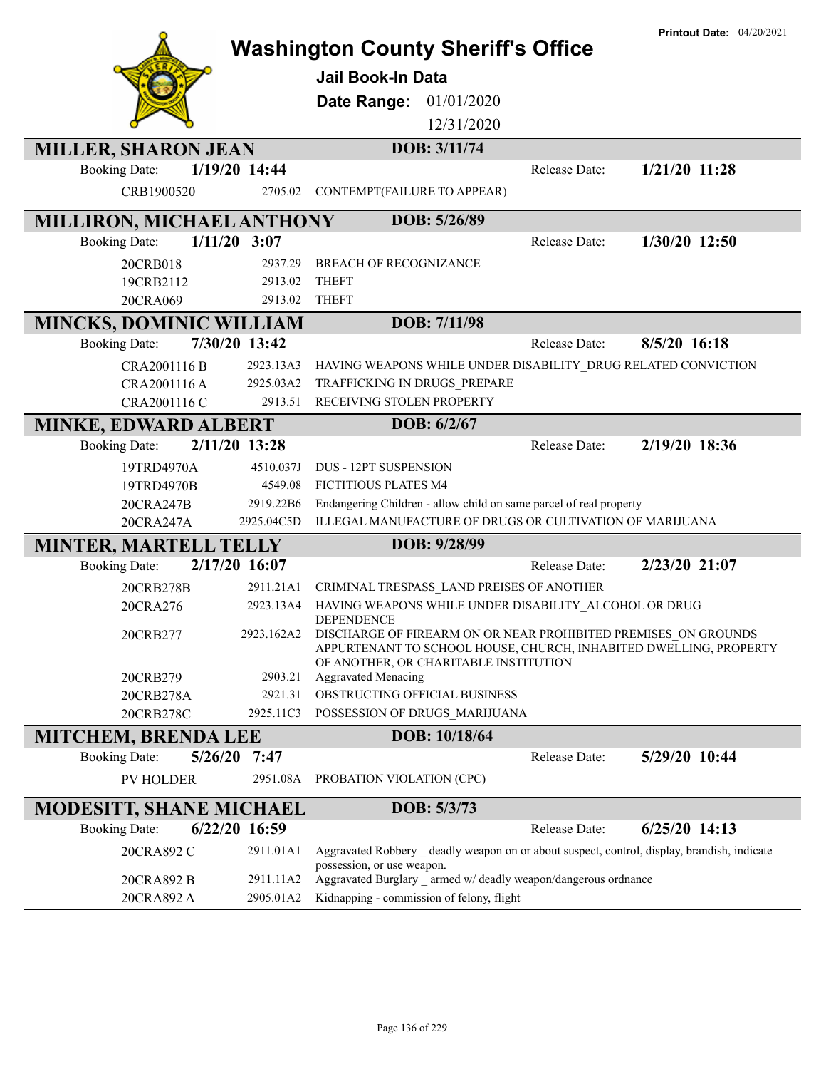|                                |                 | <b>Washington County Sheriff's Office</b><br><b>Jail Book-In Data</b><br>01/01/2020<br>Date Range:<br>12/31/2020                                                                                             |               | <b>Printout Date: 04/20/2021</b> |
|--------------------------------|-----------------|--------------------------------------------------------------------------------------------------------------------------------------------------------------------------------------------------------------|---------------|----------------------------------|
| <b>MILLER, SHARON JEAN</b>     |                 | DOB: 3/11/74                                                                                                                                                                                                 |               |                                  |
| <b>Booking Date:</b>           | 1/19/20 14:44   |                                                                                                                                                                                                              | Release Date: | $1/21/20$ 11:28                  |
| CRB1900520                     | 2705.02         | CONTEMPT(FAILURE TO APPEAR)                                                                                                                                                                                  |               |                                  |
| MILLIRON, MICHAEL ANTHONY      |                 | DOB: 5/26/89                                                                                                                                                                                                 |               |                                  |
| <b>Booking Date:</b>           | $1/11/20$ 3:07  |                                                                                                                                                                                                              | Release Date: | 1/30/20 12:50                    |
| 20CRB018                       | 2937.29         | BREACH OF RECOGNIZANCE                                                                                                                                                                                       |               |                                  |
| 19CRB2112                      | 2913.02         | <b>THEFT</b>                                                                                                                                                                                                 |               |                                  |
| 20CRA069                       | 2913.02         | <b>THEFT</b>                                                                                                                                                                                                 |               |                                  |
| <b>MINCKS, DOMINIC WILLIAM</b> |                 | DOB: 7/11/98                                                                                                                                                                                                 |               |                                  |
| <b>Booking Date:</b>           | 7/30/20 13:42   |                                                                                                                                                                                                              | Release Date: | 8/5/20 16:18                     |
| CRA2001116 B                   | 2923.13A3       | HAVING WEAPONS WHILE UNDER DISABILITY_DRUG RELATED CONVICTION                                                                                                                                                |               |                                  |
| CRA2001116 A                   | 2925.03A2       | TRAFFICKING IN DRUGS PREPARE                                                                                                                                                                                 |               |                                  |
| CRA2001116 C                   | 2913.51         | RECEIVING STOLEN PROPERTY                                                                                                                                                                                    |               |                                  |
| <b>MINKE, EDWARD ALBERT</b>    |                 | DOB: 6/2/67                                                                                                                                                                                                  |               |                                  |
| <b>Booking Date:</b>           | 2/11/20 13:28   |                                                                                                                                                                                                              | Release Date: | 2/19/20 18:36                    |
| 19TRD4970A                     | 4510.037J       | <b>DUS - 12PT SUSPENSION</b>                                                                                                                                                                                 |               |                                  |
| 19TRD4970B                     | 4549.08         | FICTITIOUS PLATES M4                                                                                                                                                                                         |               |                                  |
| 20CRA247B                      | 2919.22B6       | Endangering Children - allow child on same parcel of real property                                                                                                                                           |               |                                  |
| 20CRA247A                      | 2925.04C5D      | ILLEGAL MANUFACTURE OF DRUGS OR CULTIVATION OF MARIJUANA                                                                                                                                                     |               |                                  |
| <b>MINTER, MARTELL TELLY</b>   |                 | DOB: 9/28/99                                                                                                                                                                                                 |               |                                  |
| <b>Booking Date:</b>           | 2/17/20 16:07   |                                                                                                                                                                                                              | Release Date: | 2/23/20 21:07                    |
| 20CRB278B                      | 2911.21A1       | CRIMINAL TRESPASS_LAND PREISES OF ANOTHER                                                                                                                                                                    |               |                                  |
| 20CRA276                       | 2923.13A4       | HAVING WEAPONS WHILE UNDER DISABILITY_ALCOHOL OR DRUG                                                                                                                                                        |               |                                  |
| 20CRB277                       |                 | <b>DEPENDENCE</b><br>2923.162A2 DISCHARGE OF FIREARM ON OR NEAR PROHIBITED PREMISES ON GROUNDS<br>APPURTENANT TO SCHOOL HOUSE, CHURCH, INHABITED DWELLING, PROPERTY<br>OF ANOTHER, OR CHARITABLE INSTITUTION |               |                                  |
| 20CRB279                       | 2903.21         | <b>Aggravated Menacing</b>                                                                                                                                                                                   |               |                                  |
| 20CRB278A                      | 2921.31         | OBSTRUCTING OFFICIAL BUSINESS                                                                                                                                                                                |               |                                  |
| 20CRB278C                      | 2925.11C3       | POSSESSION OF DRUGS MARIJUANA                                                                                                                                                                                |               |                                  |
| <b>MITCHEM, BRENDA LEE</b>     |                 | DOB: 10/18/64                                                                                                                                                                                                |               |                                  |
| <b>Booking Date:</b>           | $5/26/20$ 7:47  |                                                                                                                                                                                                              | Release Date: | 5/29/20 10:44                    |
| <b>PV HOLDER</b>               | 2951.08A        | PROBATION VIOLATION (CPC)                                                                                                                                                                                    |               |                                  |
| <b>MODESITT, SHANE MICHAEL</b> |                 | DOB: 5/3/73                                                                                                                                                                                                  |               |                                  |
| <b>Booking Date:</b>           | $6/22/20$ 16:59 |                                                                                                                                                                                                              | Release Date: | $6/25/20$ 14:13                  |
| 20CRA892 C                     | 2911.01A1       | Aggravated Robbery deadly weapon on or about suspect, control, display, brandish, indicate                                                                                                                   |               |                                  |
|                                |                 | possession, or use weapon.                                                                                                                                                                                   |               |                                  |
| 20CRA892 B                     | 2911.11A2       | Aggravated Burglary armed w/ deadly weapon/dangerous ordnance<br>Kidnapping - commission of felony, flight                                                                                                   |               |                                  |
| 20CRA892 A                     | 2905.01A2       |                                                                                                                                                                                                              |               |                                  |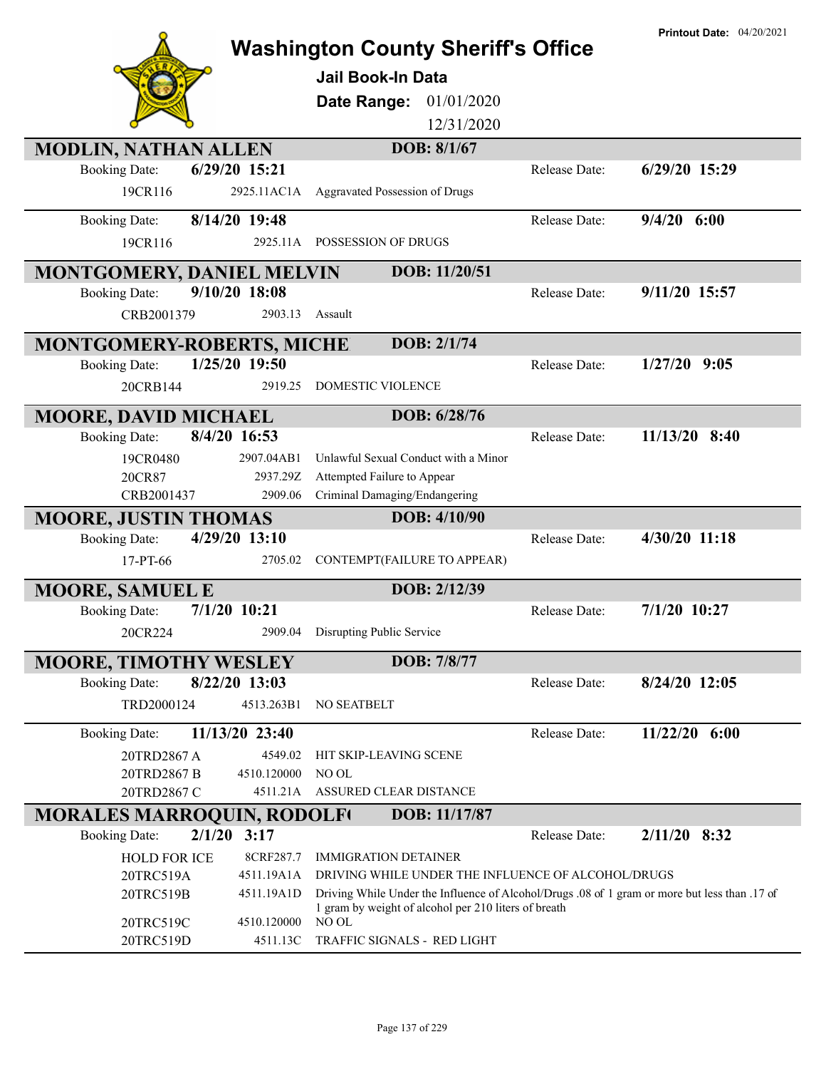|                                   |                |                                                                                                                                                       |               | <b>Printout Date: 04/20/2021</b> |
|-----------------------------------|----------------|-------------------------------------------------------------------------------------------------------------------------------------------------------|---------------|----------------------------------|
|                                   |                | <b>Washington County Sheriff's Office</b>                                                                                                             |               |                                  |
|                                   |                | Jail Book-In Data                                                                                                                                     |               |                                  |
|                                   |                | 01/01/2020<br>Date Range:                                                                                                                             |               |                                  |
|                                   |                | 12/31/2020                                                                                                                                            |               |                                  |
| <b>MODLIN, NATHAN ALLEN</b>       |                | DOB: 8/1/67                                                                                                                                           |               |                                  |
| <b>Booking Date:</b>              | 6/29/20 15:21  |                                                                                                                                                       | Release Date: | 6/29/20 15:29                    |
| 19CR116                           | 2925.11AC1A    | Aggravated Possession of Drugs                                                                                                                        |               |                                  |
| <b>Booking Date:</b>              | 8/14/20 19:48  |                                                                                                                                                       | Release Date: | $9/4/20$ 6:00                    |
| 19CR116                           |                | 2925.11A POSSESSION OF DRUGS                                                                                                                          |               |                                  |
|                                   |                |                                                                                                                                                       |               |                                  |
| MONTGOMERY, DANIEL MELVIN         |                | DOB: 11/20/51                                                                                                                                         |               |                                  |
| <b>Booking Date:</b>              | 9/10/20 18:08  |                                                                                                                                                       | Release Date: | 9/11/20 15:57                    |
| CRB2001379                        | 2903.13        | Assault                                                                                                                                               |               |                                  |
| <b>MONTGOMERY-ROBERTS, MICHE</b>  |                | DOB: 2/1/74                                                                                                                                           |               |                                  |
| <b>Booking Date:</b>              | 1/25/20 19:50  |                                                                                                                                                       | Release Date: | $1/27/20$ 9:05                   |
| 20CRB144                          | 2919.25        | DOMESTIC VIOLENCE                                                                                                                                     |               |                                  |
| <b>MOORE, DAVID MICHAEL</b>       |                | DOB: 6/28/76                                                                                                                                          |               |                                  |
| <b>Booking Date:</b>              | 8/4/20 16:53   |                                                                                                                                                       | Release Date: | $11/13/20$ 8:40                  |
| 19CR0480                          | 2907.04AB1     | Unlawful Sexual Conduct with a Minor                                                                                                                  |               |                                  |
| 20CR87                            | 2937.29Z       | Attempted Failure to Appear                                                                                                                           |               |                                  |
| CRB2001437                        | 2909.06        | Criminal Damaging/Endangering                                                                                                                         |               |                                  |
| <b>MOORE, JUSTIN THOMAS</b>       |                | DOB: 4/10/90                                                                                                                                          |               |                                  |
| <b>Booking Date:</b>              | 4/29/20 13:10  |                                                                                                                                                       | Release Date: | 4/30/20 11:18                    |
| $17-PT-66$                        | 2705.02        | CONTEMPT(FAILURE TO APPEAR)                                                                                                                           |               |                                  |
| <b>MOORE, SAMUEL E</b>            |                | DOB: 2/12/39                                                                                                                                          |               |                                  |
| <b>Booking Date:</b>              | 7/1/20 10:21   |                                                                                                                                                       | Release Date: | 7/1/20 10:27                     |
| 20CR224                           |                | 2909.04 Disrupting Public Service                                                                                                                     |               |                                  |
| <b>MOORE, TIMOTHY WESLEY</b>      |                | DOB: 7/8/77                                                                                                                                           |               |                                  |
| <b>Booking Date:</b>              | 8/22/20 13:03  |                                                                                                                                                       | Release Date: | 8/24/20 12:05                    |
| TRD2000124                        | 4513.263B1     | NO SEATBELT                                                                                                                                           |               |                                  |
| <b>Booking Date:</b>              | 11/13/20 23:40 |                                                                                                                                                       | Release Date: | $11/22/20$ 6:00                  |
| 20TRD2867 A                       | 4549.02        | HIT SKIP-LEAVING SCENE                                                                                                                                |               |                                  |
| 20TRD2867B                        | 4510.120000    | NO OL                                                                                                                                                 |               |                                  |
| 20TRD2867 C                       |                | 4511.21A ASSURED CLEAR DISTANCE                                                                                                                       |               |                                  |
| <b>MORALES MARROQUIN, RODOLFI</b> |                | DOB: 11/17/87                                                                                                                                         |               |                                  |
| <b>Booking Date:</b>              | 2/1/20<br>3:17 |                                                                                                                                                       | Release Date: | 2/11/20 8:32                     |
| <b>HOLD FOR ICE</b>               | 8CRF287.7      | <b>IMMIGRATION DETAINER</b>                                                                                                                           |               |                                  |
| 20TRC519A                         | 4511.19A1A     | DRIVING WHILE UNDER THE INFLUENCE OF ALCOHOL/DRUGS                                                                                                    |               |                                  |
| 20TRC519B                         | 4511.19A1D     | Driving While Under the Influence of Alcohol/Drugs .08 of 1 gram or more but less than .17 of<br>1 gram by weight of alcohol per 210 liters of breath |               |                                  |
| 20TRC519C                         | 4510.120000    | NO OL                                                                                                                                                 |               |                                  |
| 20TRC519D                         | 4511.13C       | TRAFFIC SIGNALS - RED LIGHT                                                                                                                           |               |                                  |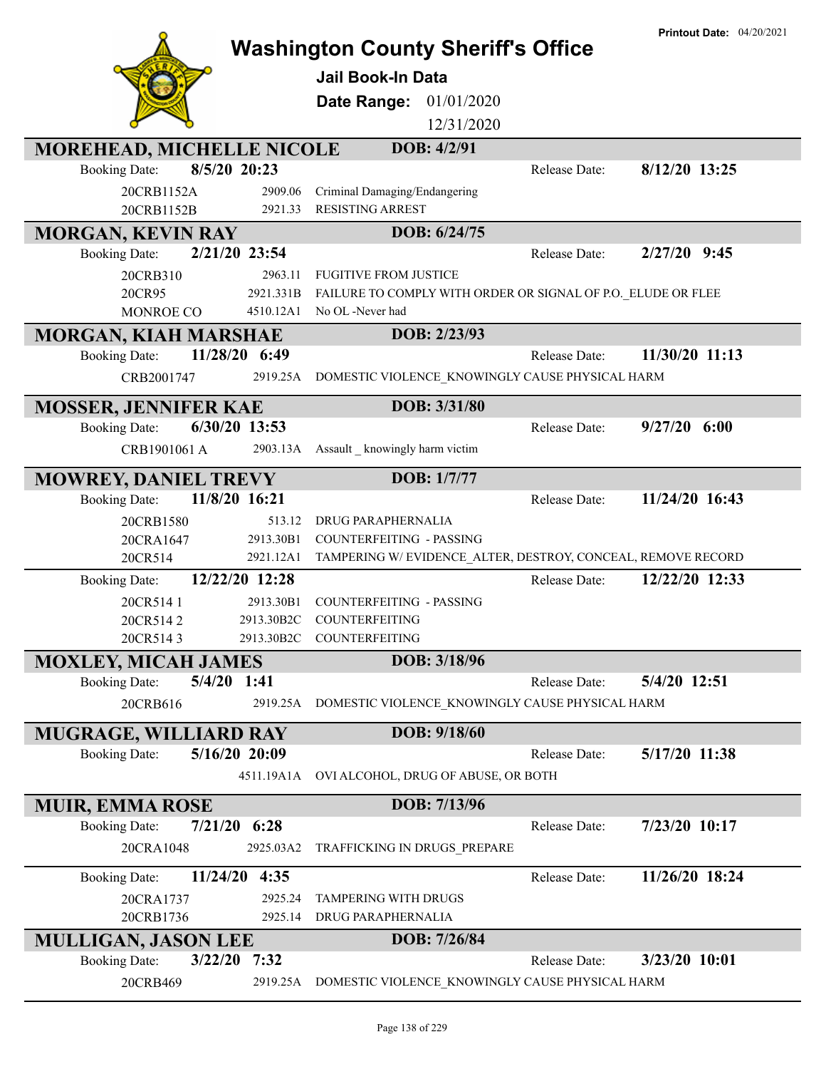|                                                                       | <b>Washington County Sheriff's Office</b><br><b>Jail Book-In Data</b> | <b>Printout Date: 04/20/2021</b> |
|-----------------------------------------------------------------------|-----------------------------------------------------------------------|----------------------------------|
|                                                                       | Date Range: 01/01/2020                                                |                                  |
|                                                                       | 12/31/2020                                                            |                                  |
| MOREHEAD, MICHELLE NICOLE                                             | DOB: 4/2/91                                                           |                                  |
| 8/5/20 20:23<br><b>Booking Date:</b>                                  |                                                                       | Release Date:<br>8/12/20 13:25   |
| 20CRB1152A<br>2909.06<br>20CRB1152B<br>2921.33                        | Criminal Damaging/Endangering<br><b>RESISTING ARREST</b>              |                                  |
| <b>MORGAN, KEVIN RAY</b>                                              | DOB: 6/24/75                                                          |                                  |
| 2/21/20 23:54<br><b>Booking Date:</b>                                 |                                                                       | $2/27/20$ 9:45<br>Release Date:  |
| 2963.11<br>20CRB310                                                   | <b>FUGITIVE FROM JUSTICE</b>                                          |                                  |
| 2921.331B<br>20CR95                                                   | FAILURE TO COMPLY WITH ORDER OR SIGNAL OF P.O. ELUDE OR FLEE          |                                  |
| 4510.12A1<br>MONROE CO                                                | No OL -Never had                                                      |                                  |
| <b>MORGAN, KIAH MARSHAE</b><br>11/28/20 6:49<br><b>Booking Date:</b>  | DOB: 2/23/93                                                          | 11/30/20 11:13<br>Release Date:  |
| 2919.25A<br>CRB2001747                                                | DOMESTIC VIOLENCE_KNOWINGLY CAUSE PHYSICAL HARM                       |                                  |
|                                                                       |                                                                       |                                  |
| <b>MOSSER, JENNIFER KAE</b>                                           | DOB: 3/31/80                                                          |                                  |
| 6/30/20 13:53<br><b>Booking Date:</b>                                 |                                                                       | $9/27/20$ 6:00<br>Release Date:  |
| CRB1901061 A<br>2903.13A                                              | Assault _ knowingly harm victim                                       |                                  |
| <b>MOWREY, DANIEL TREVY</b>                                           | DOB: 1/7/77                                                           |                                  |
| 11/8/20 16:21<br><b>Booking Date:</b>                                 |                                                                       | 11/24/20 16:43<br>Release Date:  |
| 20CRB1580                                                             | 513.12<br><b>DRUG PARAPHERNALIA</b>                                   |                                  |
| 2913.30B1<br>20CRA1647<br>2921.12A1                                   | <b>COUNTERFEITING - PASSING</b>                                       |                                  |
| 20CR514                                                               | TAMPERING W/EVIDENCE_ALTER, DESTROY, CONCEAL, REMOVE RECORD           | 12/22/20 12:33<br>Release Date:  |
| 12/22/20 12:28<br><b>Booking Date:</b>                                |                                                                       |                                  |
| 2913.30B1<br>20CR514 1<br>20CR5142<br>2913.30B2C                      | <b>COUNTERFEITING - PASSING</b><br>COUNTERFEITING                     |                                  |
| 20CR5143<br>2913.30B2C                                                | <b>COUNTERFEITING</b>                                                 |                                  |
| <b>MOXLEY, MICAH JAMES</b>                                            | DOB: 3/18/96                                                          |                                  |
| $5/4/20$ 1:41<br><b>Booking Date:</b>                                 |                                                                       | 5/4/20 12:51<br>Release Date:    |
| 20CRB616<br>2919.25A                                                  | DOMESTIC VIOLENCE KNOWINGLY CAUSE PHYSICAL HARM                       |                                  |
| MUGRAGE, WILLIARD RAY                                                 | DOB: 9/18/60                                                          |                                  |
| 5/16/20 20:09<br><b>Booking Date:</b>                                 |                                                                       | 5/17/20 11:38<br>Release Date:   |
| 4511.19A1A                                                            | OVI ALCOHOL, DRUG OF ABUSE, OR BOTH                                   |                                  |
|                                                                       |                                                                       |                                  |
| <b>MUIR, EMMA ROSE</b><br><b>Booking Date:</b><br>$7/21/20$ 6:28      | DOB: 7/13/96                                                          | Release Date:<br>7/23/20 10:17   |
| 20CRA1048<br>2925.03A2                                                | TRAFFICKING IN DRUGS_PREPARE                                          |                                  |
|                                                                       |                                                                       |                                  |
| 11/24/20<br>4:35<br><b>Booking Date:</b>                              |                                                                       | 11/26/20 18:24<br>Release Date:  |
| 2925.24<br>20CRA1737                                                  | TAMPERING WITH DRUGS                                                  |                                  |
| 20CRB1736<br>2925.14                                                  | DRUG PARAPHERNALIA                                                    |                                  |
| <b>MULLIGAN, JASON LEE</b><br>3/22/20<br><b>Booking Date:</b><br>7:32 | DOB: 7/26/84                                                          | 3/23/20 10:01<br>Release Date:   |
| 20CRB469<br>2919.25A                                                  | DOMESTIC VIOLENCE KNOWINGLY CAUSE PHYSICAL HARM                       |                                  |
|                                                                       |                                                                       |                                  |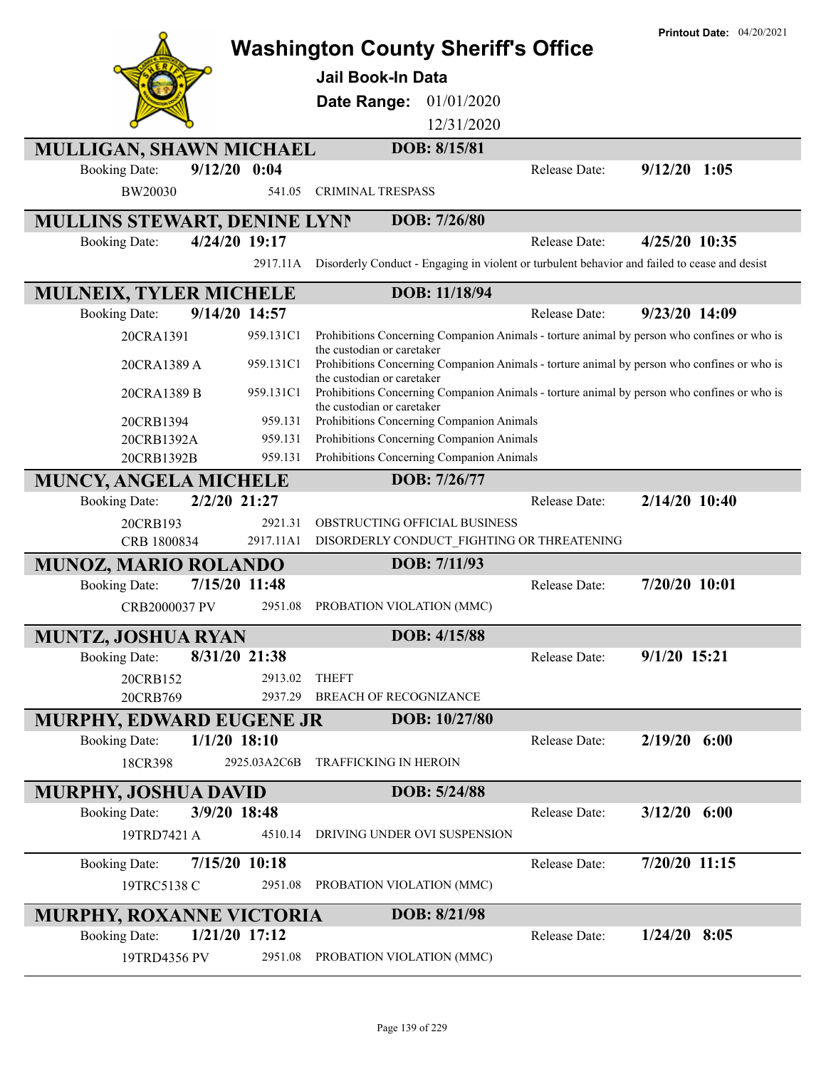|                                                                      | <b>Washington County Sheriff's Office</b>                                                                                                               | <b>Printout Date: 04/20/2021</b> |
|----------------------------------------------------------------------|---------------------------------------------------------------------------------------------------------------------------------------------------------|----------------------------------|
|                                                                      | <b>Jail Book-In Data</b>                                                                                                                                |                                  |
|                                                                      |                                                                                                                                                         |                                  |
|                                                                      | <b>Date Range: 01/01/2020</b>                                                                                                                           |                                  |
|                                                                      | 12/31/2020                                                                                                                                              |                                  |
| MULLIGAN, SHAWN MICHAEL                                              | DOB: 8/15/81                                                                                                                                            |                                  |
| $9/12/20$ 0:04<br><b>Booking Date:</b>                               | Release Date:                                                                                                                                           | $9/12/20$ 1:05                   |
| BW20030<br>541.05                                                    | <b>CRIMINAL TRESPASS</b>                                                                                                                                |                                  |
| MULLINS STEWART, DENINE LYNN                                         | DOB: 7/26/80                                                                                                                                            |                                  |
| 4/24/20 19:17<br><b>Booking Date:</b>                                | Release Date:                                                                                                                                           | 4/25/20 10:35                    |
| 2917.11A                                                             | Disorderly Conduct - Engaging in violent or turbulent behavior and failed to cease and desist                                                           |                                  |
| <b>MULNEIX, TYLER MICHELE</b>                                        | DOB: 11/18/94                                                                                                                                           |                                  |
| 9/14/20 14:57<br><b>Booking Date:</b>                                | Release Date:                                                                                                                                           | $9/23/20$ 14:09                  |
| 20CRA1391<br>959.131C1                                               | Prohibitions Concerning Companion Animals - torture animal by person who confines or who is                                                             |                                  |
| 959.131C1<br>20CRA1389 A                                             | the custodian or caretaker<br>Prohibitions Concerning Companion Animals - torture animal by person who confines or who is<br>the custodian or caretaker |                                  |
| 959.131C1<br>20CRA1389 B                                             | Prohibitions Concerning Companion Animals - torture animal by person who confines or who is<br>the custodian or caretaker                               |                                  |
| 959.131<br>20CRB1394                                                 | Prohibitions Concerning Companion Animals                                                                                                               |                                  |
| 20CRB1392A<br>959.131                                                | Prohibitions Concerning Companion Animals                                                                                                               |                                  |
| 20CRB1392B<br>959.131                                                | Prohibitions Concerning Companion Animals                                                                                                               |                                  |
| <b>MUNCY, ANGELA MICHELE</b>                                         | DOB: 7/26/77                                                                                                                                            |                                  |
| 2/2/20 21:27<br><b>Booking Date:</b>                                 | Release Date:                                                                                                                                           | 2/14/20 10:40                    |
| 20CRB193<br>2921.31<br>2917.11A1                                     | OBSTRUCTING OFFICIAL BUSINESS                                                                                                                           |                                  |
| CRB 1800834                                                          | DISORDERLY CONDUCT_FIGHTING OR THREATENING<br>DOB: 7/11/93                                                                                              |                                  |
| <b>MUNOZ, MARIO ROLANDO</b><br>7/15/20 11:48<br><b>Booking Date:</b> | Release Date:                                                                                                                                           | 7/20/20 10:01                    |
| CRB2000037 PV<br>2951.08                                             | PROBATION VIOLATION (MMC)                                                                                                                               |                                  |
|                                                                      |                                                                                                                                                         |                                  |
| <b>MUNTZ, JOSHUA RYAN</b>                                            | DOB: 4/15/88                                                                                                                                            |                                  |
| 8/31/20 21:38<br><b>Booking Date:</b>                                | Release Date:                                                                                                                                           | $9/1/20$ 15:21                   |
| 20CRB152<br>2913.02                                                  | <b>THEFT</b>                                                                                                                                            |                                  |
| 20CRB769<br>2937.29                                                  | <b>BREACH OF RECOGNIZANCE</b>                                                                                                                           |                                  |
| <b>MURPHY, EDWARD EUGENE JR</b>                                      | DOB: 10/27/80                                                                                                                                           |                                  |
| $1/1/20$ 18:10<br><b>Booking Date:</b>                               | Release Date:                                                                                                                                           | $2/19/20$ 6:00                   |
| 18CR398<br>2925.03A2C6B                                              | <b>TRAFFICKING IN HEROIN</b>                                                                                                                            |                                  |
| <b>MURPHY, JOSHUA DAVID</b>                                          | DOB: 5/24/88                                                                                                                                            |                                  |
| 3/9/20 18:48<br><b>Booking Date:</b>                                 | Release Date:                                                                                                                                           | $3/12/20$ 6:00                   |
| 4510.14<br>19TRD7421 A                                               | DRIVING UNDER OVI SUSPENSION                                                                                                                            |                                  |
| 7/15/20 10:18<br><b>Booking Date:</b>                                | Release Date:                                                                                                                                           | 7/20/20 11:15                    |
| 19TRC5138 C<br>2951.08                                               | PROBATION VIOLATION (MMC)                                                                                                                               |                                  |
| <b>MURPHY, ROXANNE VICTORIA</b>                                      | DOB: 8/21/98                                                                                                                                            |                                  |
| 1/21/20 17:12<br><b>Booking Date:</b>                                | Release Date:                                                                                                                                           | $1/24/20$ 8:05                   |
| 19TRD4356 PV<br>2951.08                                              | PROBATION VIOLATION (MMC)                                                                                                                               |                                  |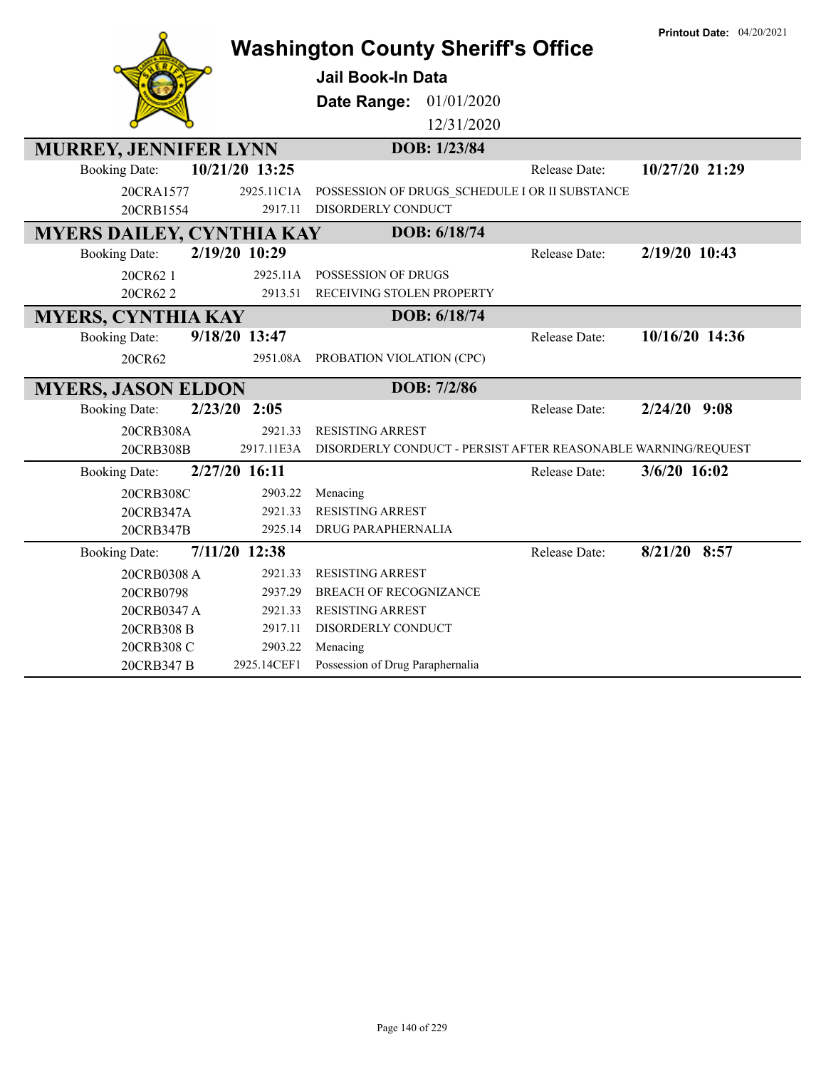|                                                          |                       | <b>Washington County Sheriff's Office</b>                     |                      | <b>Printout Date: 04/20/2021</b> |
|----------------------------------------------------------|-----------------------|---------------------------------------------------------------|----------------------|----------------------------------|
|                                                          |                       | <b>Jail Book-In Data</b>                                      |                      |                                  |
|                                                          |                       | Date Range:<br>01/01/2020                                     |                      |                                  |
|                                                          |                       | 12/31/2020                                                    |                      |                                  |
| <b>MURREY, JENNIFER LYNN</b>                             |                       | DOB: 1/23/84                                                  |                      |                                  |
| <b>Booking Date:</b>                                     | 10/21/20 13:25        |                                                               | <b>Release Date:</b> | 10/27/20 21:29                   |
| 20CRA1577                                                |                       | POSSESSION OF DRUGS SCHEDULE I OR II SUBSTANCE                |                      |                                  |
| 20CRB1554                                                | 2925.11C1A<br>2917.11 | DISORDERLY CONDUCT                                            |                      |                                  |
|                                                          |                       | DOB: 6/18/74                                                  |                      |                                  |
| <b>MYERS DAILEY, CYNTHIA KAY</b><br><b>Booking Date:</b> | 2/19/20 10:29         |                                                               | Release Date:        | 2/19/20 10:43                    |
|                                                          |                       |                                                               |                      |                                  |
| 20CR62 1                                                 | 2925.11A<br>2913.51   | POSSESSION OF DRUGS<br>RECEIVING STOLEN PROPERTY              |                      |                                  |
| 20CR622                                                  |                       |                                                               |                      |                                  |
| <b>MYERS, CYNTHIA KAY</b>                                |                       | DOB: 6/18/74                                                  |                      |                                  |
| <b>Booking Date:</b>                                     | 9/18/20 13:47         |                                                               | Release Date:        | 10/16/20 14:36                   |
| 20CR62                                                   | 2951.08A              | PROBATION VIOLATION (CPC)                                     |                      |                                  |
| <b>MYERS, JASON ELDON</b>                                |                       | DOB: 7/2/86                                                   |                      |                                  |
| <b>Booking Date:</b>                                     | 2/23/20 2:05          |                                                               | Release Date:        | $2/24/20$ 9:08                   |
| 20CRB308A                                                | 2921.33               | <b>RESISTING ARREST</b>                                       |                      |                                  |
| 20CRB308B                                                | 2917.11E3A            | DISORDERLY CONDUCT - PERSIST AFTER REASONABLE WARNING/REQUEST |                      |                                  |
| <b>Booking Date:</b>                                     | 2/27/20 16:11         |                                                               | Release Date:        | 3/6/20 16:02                     |
| 20CRB308C                                                | 2903.22               | Menacing                                                      |                      |                                  |
| 20CRB347A                                                | 2921.33               | <b>RESISTING ARREST</b>                                       |                      |                                  |
| 20CRB347B                                                | 2925.14               | DRUG PARAPHERNALIA                                            |                      |                                  |
| <b>Booking Date:</b>                                     | 7/11/20 12:38         |                                                               | Release Date:        | 8/21/20 8:57                     |
| 20CRB0308 A                                              | 2921.33               | <b>RESISTING ARREST</b>                                       |                      |                                  |
| 20CRB0798                                                | 2937.29               | <b>BREACH OF RECOGNIZANCE</b>                                 |                      |                                  |
| 20CRB0347 A                                              | 2921.33               | RESISTING ARREST                                              |                      |                                  |
| 20CRB308 B                                               | 2917.11               | DISORDERLY CONDUCT                                            |                      |                                  |
| 20CRB308 C                                               | 2903.22               | Menacing                                                      |                      |                                  |
| 20CRB347 B                                               | 2925.14CEF1           | Possession of Drug Paraphernalia                              |                      |                                  |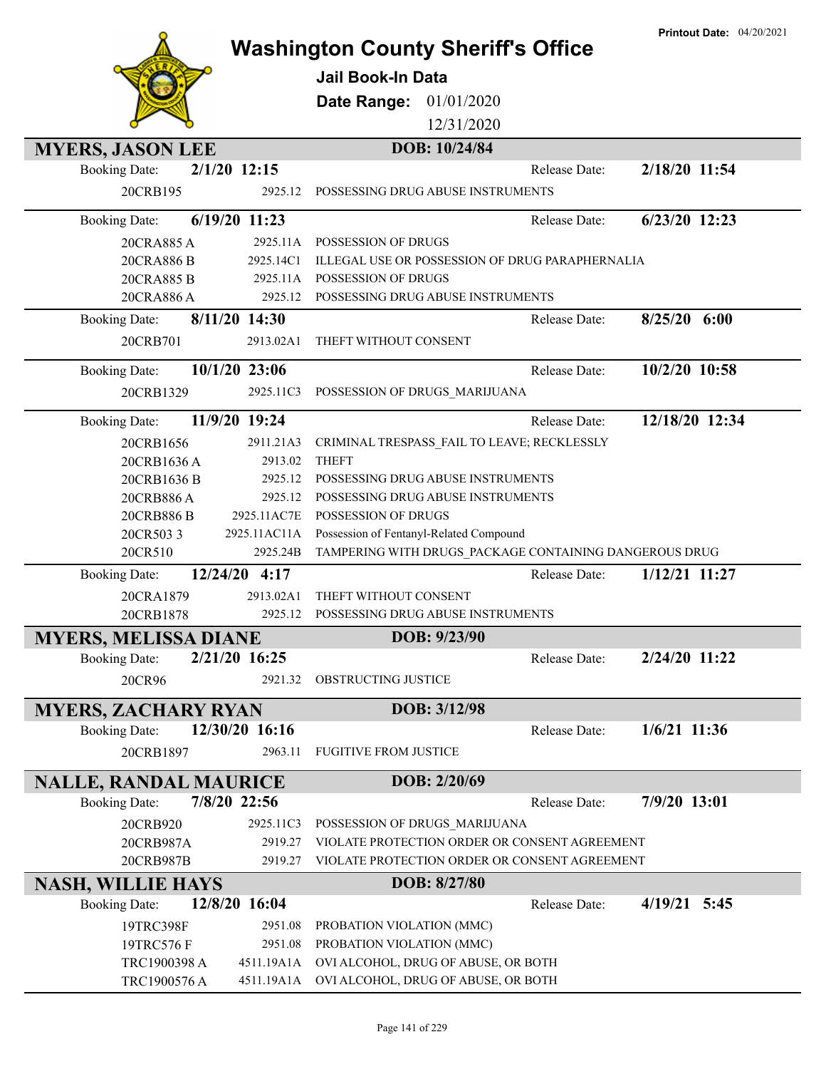|                              |                | <b>Washington County Sheriff's Office</b>              | <b>Printout Date: 04/20/2021</b> |
|------------------------------|----------------|--------------------------------------------------------|----------------------------------|
|                              |                | <b>Jail Book-In Data</b>                               |                                  |
|                              |                |                                                        |                                  |
|                              |                | Date Range: 01/01/2020                                 |                                  |
|                              |                | 12/31/2020                                             |                                  |
| <b>MYERS, JASON LEE</b>      |                | DOB: 10/24/84                                          |                                  |
| <b>Booking Date:</b>         | $2/1/20$ 12:15 | Release Date:                                          | 2/18/20 11:54                    |
| 20CRB195                     | 2925.12        | POSSESSING DRUG ABUSE INSTRUMENTS                      |                                  |
| <b>Booking Date:</b>         | 6/19/20 11:23  | Release Date:                                          | 6/23/20 12:23                    |
| 20CRA885 A                   | 2925.11A       | POSSESSION OF DRUGS                                    |                                  |
| 20CRA886 B                   | 2925.14C1      | ILLEGAL USE OR POSSESSION OF DRUG PARAPHERNALIA        |                                  |
| 20CRA885 B                   | 2925.11A       | POSSESSION OF DRUGS                                    |                                  |
| 20CRA886 A                   | 2925.12        | POSSESSING DRUG ABUSE INSTRUMENTS                      |                                  |
| <b>Booking Date:</b>         | 8/11/20 14:30  | Release Date:                                          | $8/25/20$ 6:00                   |
| 20CRB701                     | 2913.02A1      | THEFT WITHOUT CONSENT                                  |                                  |
| <b>Booking Date:</b>         | 10/1/20 23:06  | Release Date:                                          | 10/2/20 10:58                    |
| 20CRB1329                    | 2925.11C3      | POSSESSION OF DRUGS_MARIJUANA                          |                                  |
| <b>Booking Date:</b>         | 11/9/20 19:24  | Release Date:                                          | 12/18/20 12:34                   |
| 20CRB1656                    | 2911.21A3      | CRIMINAL TRESPASS_FAIL TO LEAVE; RECKLESSLY            |                                  |
| 20CRB1636 A                  | 2913.02        | <b>THEFT</b>                                           |                                  |
| 20CRB1636 B                  | 2925.12        | POSSESSING DRUG ABUSE INSTRUMENTS                      |                                  |
| 20CRB886 A                   | 2925.12        | POSSESSING DRUG ABUSE INSTRUMENTS                      |                                  |
| 20CRB886 B                   | 2925.11AC7E    | POSSESSION OF DRUGS                                    |                                  |
| 20CR5033                     | 2925.11AC11A   | Possession of Fentanyl-Related Compound                |                                  |
| 20CR510                      | 2925.24B       | TAMPERING WITH DRUGS PACKAGE CONTAINING DANGEROUS DRUG |                                  |
| <b>Booking Date:</b>         | 12/24/20 4:17  | Release Date:                                          | 1/12/21 11:27                    |
| 20CRA1879                    | 2913.02A1      | THEFT WITHOUT CONSENT                                  |                                  |
| 20CRB1878                    | 2925.12        | POSSESSING DRUG ABUSE INSTRUMENTS                      |                                  |
| <b>MYERS, MELISSA DIANE</b>  |                | DOB: 9/23/90                                           |                                  |
| <b>Booking Date:</b>         | 2/21/20 16:25  | Release Date:                                          | 2/24/20 11:22                    |
| 20CR96                       | 2921.32        | OBSTRUCTING JUSTICE                                    |                                  |
| <b>MYERS, ZACHARY RYAN</b>   |                | DOB: 3/12/98                                           |                                  |
| <b>Booking Date:</b>         | 12/30/20 16:16 | Release Date:                                          | $1/6/21$ 11:36                   |
| 20CRB1897                    | 2963.11        | <b>FUGITIVE FROM JUSTICE</b>                           |                                  |
| <b>NALLE, RANDAL MAURICE</b> |                | DOB: 2/20/69                                           |                                  |
| <b>Booking Date:</b>         | 7/8/20 22:56   | Release Date:                                          | 7/9/20 13:01                     |
| 20CRB920                     | 2925.11C3      | POSSESSION OF DRUGS_MARIJUANA                          |                                  |
| 20CRB987A                    | 2919.27        | VIOLATE PROTECTION ORDER OR CONSENT AGREEMENT          |                                  |
| 20CRB987B                    | 2919.27        | VIOLATE PROTECTION ORDER OR CONSENT AGREEMENT          |                                  |
| <b>NASH, WILLIE HAYS</b>     |                | DOB: 8/27/80                                           |                                  |
| <b>Booking Date:</b>         | 12/8/20 16:04  | Release Date:                                          | 4/19/21 5:45                     |
| 19TRC398F                    | 2951.08        | PROBATION VIOLATION (MMC)                              |                                  |
| 19TRC576 F                   | 2951.08        | PROBATION VIOLATION (MMC)                              |                                  |
| TRC1900398 A                 | 4511.19A1A     | OVI ALCOHOL, DRUG OF ABUSE, OR BOTH                    |                                  |
| TRC1900576 A                 | 4511.19A1A     | OVI ALCOHOL, DRUG OF ABUSE, OR BOTH                    |                                  |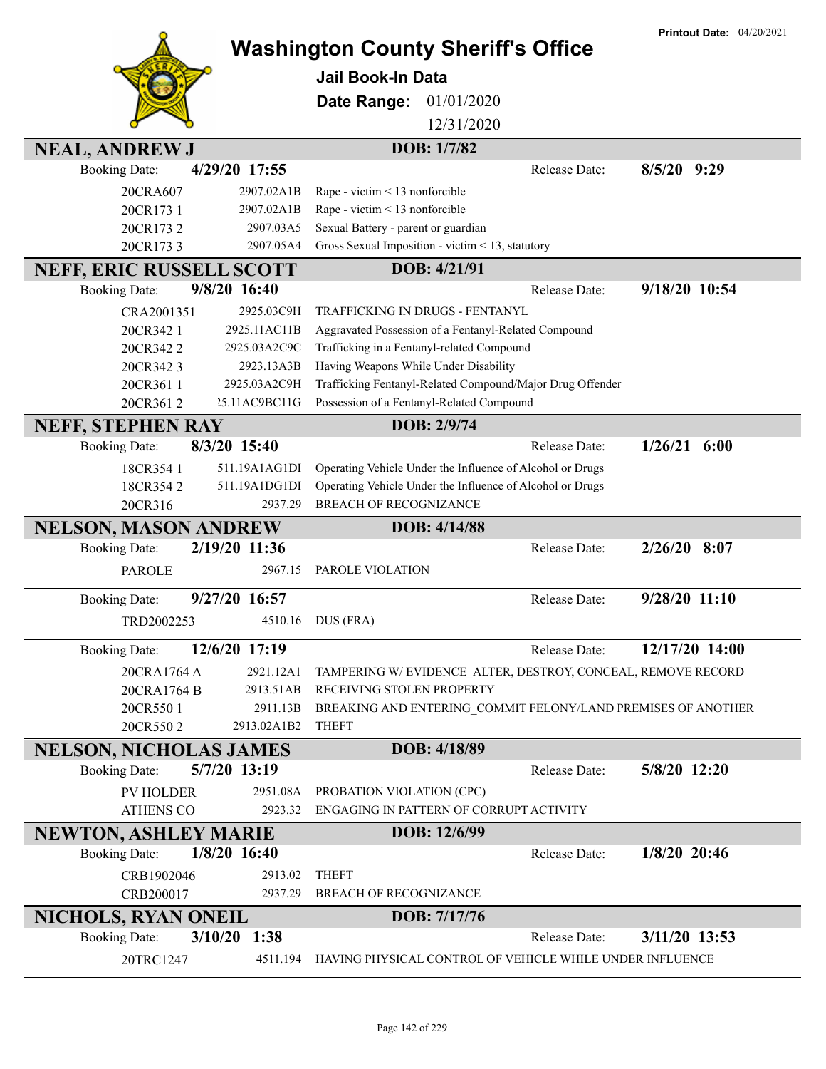|                                                       |                                                               | <b>Washington County Sheriff's Office</b>                                                          | <b>Printout Date: 04/20/2021</b> |
|-------------------------------------------------------|---------------------------------------------------------------|----------------------------------------------------------------------------------------------------|----------------------------------|
|                                                       | <b>Jail Book-In Data</b>                                      |                                                                                                    |                                  |
|                                                       |                                                               |                                                                                                    |                                  |
|                                                       | Date Range:                                                   | 01/01/2020                                                                                         |                                  |
|                                                       |                                                               | 12/31/2020                                                                                         |                                  |
| <b>NEAL, ANDREW J</b>                                 |                                                               | DOB: 1/7/82                                                                                        |                                  |
| 4/29/20 17:55<br><b>Booking Date:</b>                 |                                                               | Release Date:                                                                                      | $8/5/20$ 9:29                    |
| 20CRA607<br>2907.02A1B                                | Rape - victim < 13 nonforcible                                |                                                                                                    |                                  |
| 20CR173 1<br>2907.02A1B                               | Rape - victim < 13 nonforcible                                |                                                                                                    |                                  |
| 20CR1732<br>20CR1733                                  | 2907.03A5<br>Sexual Battery - parent or guardian<br>2907.05A4 | Gross Sexual Imposition - victim < 13, statutory                                                   |                                  |
|                                                       |                                                               | DOB: 4/21/91                                                                                       |                                  |
| <b>NEFF, ERIC RUSSELL SCOTT</b><br>9/8/20 16:40       |                                                               |                                                                                                    | 9/18/20 10:54                    |
| <b>Booking Date:</b>                                  |                                                               | Release Date:                                                                                      |                                  |
| 2925.03C9H<br>CRA2001351                              |                                                               | TRAFFICKING IN DRUGS - FENTANYL                                                                    |                                  |
| 2925.11AC11B<br>20CR342 1<br>2925.03A2C9C<br>20CR3422 |                                                               | Aggravated Possession of a Fentanyl-Related Compound<br>Trafficking in a Fentanyl-related Compound |                                  |
| 2923.13A3B<br>20CR3423                                |                                                               | Having Weapons While Under Disability                                                              |                                  |
| 2925.03A2C9H<br>20CR361 1                             |                                                               | Trafficking Fentanyl-Related Compound/Major Drug Offender                                          |                                  |
| 20CR3612<br>25.11AC9BC11G                             |                                                               | Possession of a Fentanyl-Related Compound                                                          |                                  |
| <b>NEFF, STEPHEN RAY</b>                              |                                                               | DOB: 2/9/74                                                                                        |                                  |
| 8/3/20 15:40<br><b>Booking Date:</b>                  |                                                               | Release Date:                                                                                      | $1/26/21$ 6:00                   |
| 18CR354 1<br>511.19A1AG1DI                            |                                                               | Operating Vehicle Under the Influence of Alcohol or Drugs                                          |                                  |
| 18CR3542<br>511.19A1DG1DI                             |                                                               | Operating Vehicle Under the Influence of Alcohol or Drugs                                          |                                  |
| 20CR316                                               | <b>BREACH OF RECOGNIZANCE</b><br>2937.29                      |                                                                                                    |                                  |
| <b>NELSON, MASON ANDREW</b>                           |                                                               | DOB: 4/14/88                                                                                       |                                  |
| 2/19/20 11:36<br><b>Booking Date:</b>                 |                                                               | Release Date:                                                                                      | $2/26/20$ 8:07                   |
| <b>PAROLE</b>                                         | PAROLE VIOLATION<br>2967.15                                   |                                                                                                    |                                  |
| 9/27/20 16:57<br><b>Booking Date:</b>                 |                                                               | Release Date:                                                                                      | 9/28/20 11:10                    |
| TRD2002253                                            | 4510.16<br>DUS (FRA)                                          |                                                                                                    |                                  |
| 12/6/20 17:19<br><b>Booking Date:</b>                 |                                                               | Release Date:                                                                                      | 12/17/20 14:00                   |
| 20CRA1764 A<br>2921.12A1                              |                                                               | TAMPERING W/EVIDENCE ALTER, DESTROY, CONCEAL, REMOVE RECORD                                        |                                  |
| 2913.51AB<br>20CRA1764 B                              | RECEIVING STOLEN PROPERTY                                     |                                                                                                    |                                  |
| 20CR5501                                              | 2911.13B                                                      | BREAKING AND ENTERING_COMMIT FELONY/LAND PREMISES OF ANOTHER                                       |                                  |
| 20CR5502<br>2913.02A1B2                               | <b>THEFT</b>                                                  |                                                                                                    |                                  |
| <b>NELSON, NICHOLAS JAMES</b>                         |                                                               | DOB: 4/18/89                                                                                       |                                  |
| 5/7/20 13:19<br><b>Booking Date:</b>                  |                                                               | Release Date:                                                                                      | 5/8/20 12:20                     |
| <b>PV HOLDER</b>                                      | 2951.08A<br>PROBATION VIOLATION (CPC)                         |                                                                                                    |                                  |
| <b>ATHENS CO</b>                                      | 2923.32                                                       | ENGAGING IN PATTERN OF CORRUPT ACTIVITY                                                            |                                  |
| <b>NEWTON, ASHLEY MARIE</b>                           |                                                               | DOB: 12/6/99                                                                                       |                                  |
| 1/8/20 16:40<br><b>Booking Date:</b>                  |                                                               | Release Date:                                                                                      | $1/8/20$ 20:46                   |
| CRB1902046                                            | 2913.02<br><b>THEFT</b>                                       |                                                                                                    |                                  |
| CRB200017                                             | 2937.29<br>BREACH OF RECOGNIZANCE                             |                                                                                                    |                                  |
| <b>NICHOLS, RYAN ONEIL</b>                            |                                                               | DOB: 7/17/76                                                                                       |                                  |
| 3/10/20 1:38<br><b>Booking Date:</b>                  |                                                               | Release Date:                                                                                      | 3/11/20 13:53                    |
| 20TRC1247                                             | 4511.194                                                      | HAVING PHYSICAL CONTROL OF VEHICLE WHILE UNDER INFLUENCE                                           |                                  |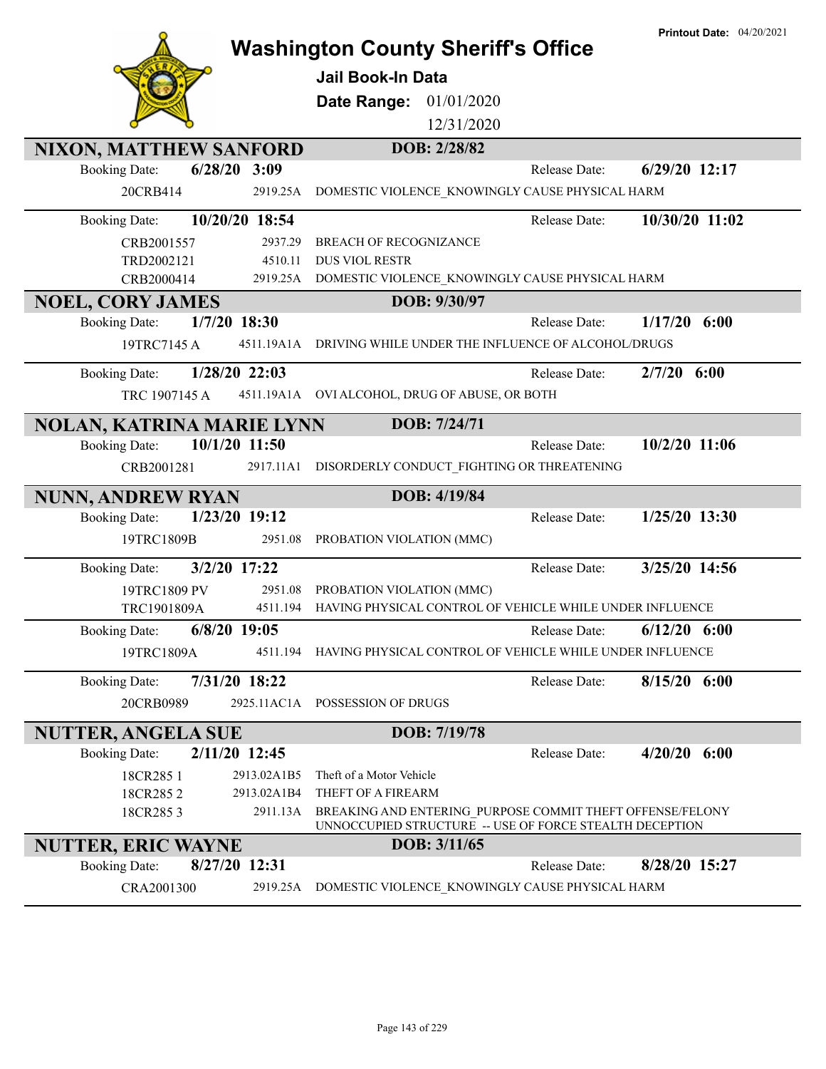|                                          | <b>Printout Date: 04/20/2021</b><br><b>Washington County Sheriff's Office</b>                                        |
|------------------------------------------|----------------------------------------------------------------------------------------------------------------------|
|                                          | <b>Jail Book-In Data</b>                                                                                             |
|                                          |                                                                                                                      |
|                                          | Date Range: 01/01/2020<br>12/31/2020                                                                                 |
|                                          |                                                                                                                      |
| NIXON, MATTHEW SANFORD<br>$6/28/20$ 3:09 | DOB: 2/28/82<br>6/29/20 12:17<br>Release Date:                                                                       |
| <b>Booking Date:</b>                     |                                                                                                                      |
| 20CRB414<br>2919.25A                     | DOMESTIC VIOLENCE_KNOWINGLY CAUSE PHYSICAL HARM                                                                      |
| 10/20/20 18:54<br><b>Booking Date:</b>   | 10/30/20 11:02<br>Release Date:                                                                                      |
| 2937.29<br>CRB2001557                    | <b>BREACH OF RECOGNIZANCE</b>                                                                                        |
| 4510.11<br>TRD2002121                    | <b>DUS VIOL RESTR</b>                                                                                                |
| CRB2000414                               | 2919.25A DOMESTIC VIOLENCE_KNOWINGLY CAUSE PHYSICAL HARM                                                             |
| <b>NOEL, CORY JAMES</b>                  | DOB: 9/30/97                                                                                                         |
| 1/7/20 18:30<br><b>Booking Date:</b>     | 1/17/20<br>6:00<br>Release Date:                                                                                     |
| 19TRC7145 A                              | 4511.19A1A DRIVING WHILE UNDER THE INFLUENCE OF ALCOHOL/DRUGS                                                        |
| 1/28/20 22:03<br><b>Booking Date:</b>    | $2/7/20$ 6:00<br>Release Date:                                                                                       |
| TRC 1907145 A                            | 4511.19A1A OVI ALCOHOL, DRUG OF ABUSE, OR BOTH                                                                       |
| <b>NOLAN, KATRINA MARIE LYNN</b>         | DOB: 7/24/71                                                                                                         |
| 10/1/20 11:50<br><b>Booking Date:</b>    | 10/2/20 11:06<br>Release Date:                                                                                       |
| CRB2001281<br>2917.11A1                  | DISORDERLY CONDUCT_FIGHTING OR THREATENING                                                                           |
| <b>NUNN, ANDREW RYAN</b>                 | DOB: 4/19/84                                                                                                         |
| 1/23/20 19:12<br><b>Booking Date:</b>    | 1/25/20 13:30<br>Release Date:                                                                                       |
| 19TRC1809B<br>2951.08                    | PROBATION VIOLATION (MMC)                                                                                            |
| 3/2/20 17:22<br><b>Booking Date:</b>     | 3/25/20 14:56<br>Release Date:                                                                                       |
| 2951.08<br>19TRC1809 PV                  | PROBATION VIOLATION (MMC)                                                                                            |
| TRC1901809A                              | 4511.194 HAVING PHYSICAL CONTROL OF VEHICLE WHILE UNDER INFLUENCE                                                    |
| $6/8/20$ 19:05<br><b>Booking Date:</b>   | $6/12/20$ $6:00$<br>Release Date:                                                                                    |
| 19TRC1809A<br>4511.194                   | HAVING PHYSICAL CONTROL OF VEHICLE WHILE UNDER INFLUENCE                                                             |
| 7/31/20 18:22<br><b>Booking Date:</b>    | $8/15/20$ 6:00<br>Release Date:                                                                                      |
| 20CRB0989                                | 2925.11AC1A POSSESSION OF DRUGS                                                                                      |
| <b>NUTTER, ANGELA SUE</b>                | DOB: 7/19/78                                                                                                         |
| 2/11/20 12:45<br><b>Booking Date:</b>    | $4/20/20$ 6:00<br>Release Date:                                                                                      |
| 18CR285 1<br>2913.02A1B5                 | Theft of a Motor Vehicle                                                                                             |
| 2913.02A1B4<br>18CR2852                  | THEFT OF A FIREARM                                                                                                   |
| 18CR2853<br>2911.13A                     | BREAKING AND ENTERING PURPOSE COMMIT THEFT OFFENSE/FELONY<br>UNNOCCUPIED STRUCTURE -- USE OF FORCE STEALTH DECEPTION |
|                                          |                                                                                                                      |
| <b>NUTTER, ERIC WAYNE</b>                | DOB: 3/11/65                                                                                                         |
| 8/27/20 12:31<br><b>Booking Date:</b>    | 8/28/20 15:27<br>Release Date:                                                                                       |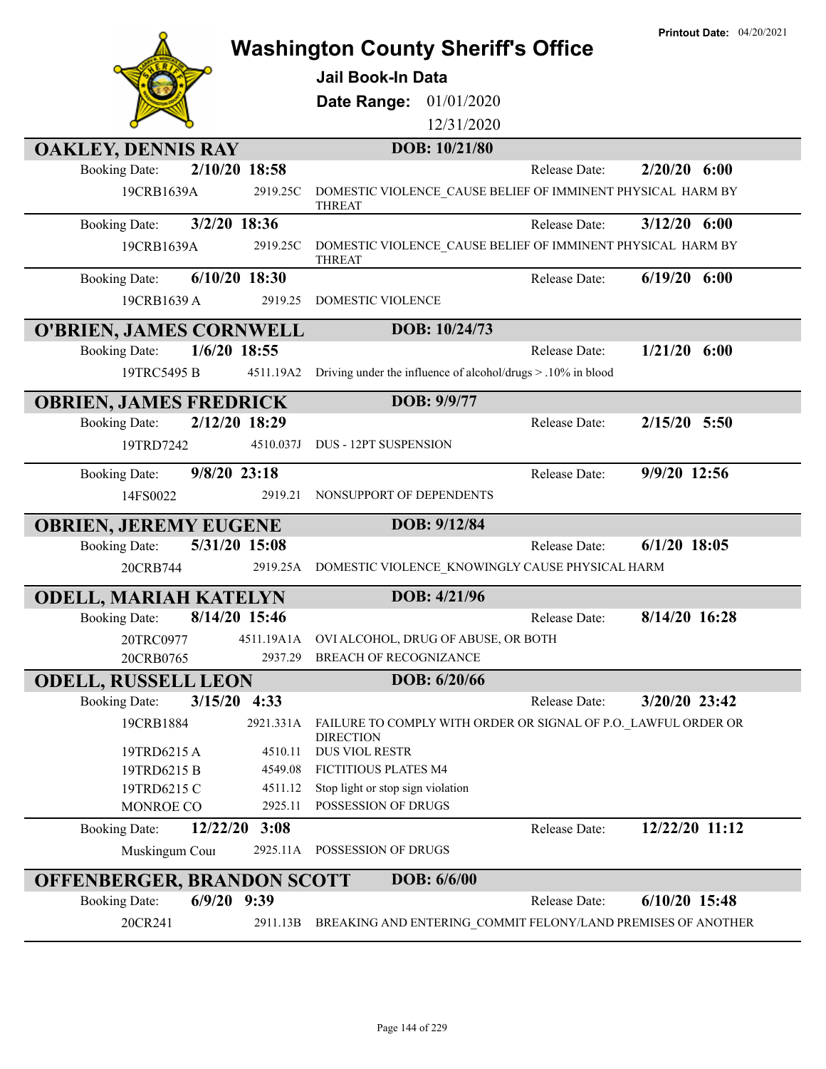|                                                  | <b>Printout Date: 04/20/2021</b><br><b>Washington County Sheriff's Office</b>      |
|--------------------------------------------------|------------------------------------------------------------------------------------|
|                                                  | Jail Book-In Data                                                                  |
|                                                  | 01/01/2020                                                                         |
|                                                  | Date Range:<br>12/31/2020                                                          |
|                                                  |                                                                                    |
| <b>OAKLEY, DENNIS RAY</b>                        | DOB: 10/21/80                                                                      |
| 2/10/20 18:58<br><b>Booking Date:</b>            | $2/20/20$ 6:00<br>Release Date:                                                    |
| 19CRB1639A<br>2919.25C                           | DOMESTIC VIOLENCE CAUSE BELIEF OF IMMINENT PHYSICAL HARM BY<br><b>THREAT</b>       |
| 3/2/20 18:36<br><b>Booking Date:</b>             | $3/12/20$ 6:00<br>Release Date:                                                    |
| 19CRB1639A<br>2919.25C                           | DOMESTIC VIOLENCE_CAUSE BELIEF OF IMMINENT PHYSICAL HARM BY<br><b>THREAT</b>       |
| 6/10/20 18:30<br><b>Booking Date:</b>            | $6/19/20$ $6:00$<br>Release Date:                                                  |
| 19CRB1639 A<br>2919.25                           | DOMESTIC VIOLENCE                                                                  |
| <b>O'BRIEN, JAMES CORNWELL</b>                   | DOB: 10/24/73                                                                      |
| $1/6/20$ 18:55<br><b>Booking Date:</b>           | $1/21/20$ 6:00<br>Release Date:                                                    |
| 19TRC5495 B<br>4511.19A2                         | Driving under the influence of alcohol/drugs > .10% in blood                       |
| <b>OBRIEN, JAMES FREDRICK</b>                    | DOB: 9/9/77                                                                        |
| 2/12/20 18:29<br><b>Booking Date:</b>            | 2/15/20 5:50<br>Release Date:                                                      |
| 19TRD7242<br>4510.037J                           | DUS - 12PT SUSPENSION                                                              |
| 9/8/20 23:18<br><b>Booking Date:</b>             | $9/9/20$ 12:56<br>Release Date:                                                    |
| 14FS0022<br>2919.21                              | NONSUPPORT OF DEPENDENTS                                                           |
| <b>OBRIEN, JEREMY EUGENE</b>                     | DOB: 9/12/84                                                                       |
| 5/31/20 15:08<br><b>Booking Date:</b>            | $6/1/20$ 18:05<br>Release Date:                                                    |
| 20CRB744<br>2919.25A                             | DOMESTIC VIOLENCE KNOWINGLY CAUSE PHYSICAL HARM                                    |
| <b>ODELL, MARIAH KATELYN</b>                     | DOB: 4/21/96                                                                       |
| 8/14/20 15:46<br><b>Booking Date:</b>            | 8/14/20 16:28<br>Release Date:                                                     |
| 20TRC0977<br>4511.19A1A                          | OVI ALCOHOL, DRUG OF ABUSE, OR BOTH                                                |
| 2937.29<br>20CRB0765                             | BREACH OF RECOGNIZANCE                                                             |
| <b>ODELL, RUSSELL LEON</b>                       | DOB: 6/20/66                                                                       |
| 3/15/20 4:33<br><b>Booking Date:</b>             | 3/20/20 23:42<br>Release Date:                                                     |
| 2921.331A<br>19CRB1884                           | FAILURE TO COMPLY WITH ORDER OR SIGNAL OF P.O. LAWFUL ORDER OR<br><b>DIRECTION</b> |
| 4510.11<br>19TRD6215 A                           | DUS VIOL RESTR                                                                     |
| 19TRD6215 B<br>4549.08<br>19TRD6215 C<br>4511.12 | FICTITIOUS PLATES M4<br>Stop light or stop sign violation                          |
| MONROE CO<br>2925.11                             | POSSESSION OF DRUGS                                                                |
| 12/22/20<br>3:08<br><b>Booking Date:</b>         | 12/22/20 11:12<br>Release Date:                                                    |
| Muskingum Cour<br>2925.11A                       | POSSESSION OF DRUGS                                                                |
| DOB: 6/6/00<br><b>OFFENBERGER, BRANDON SCOTT</b> |                                                                                    |
| $6/9/20$ 9:39<br><b>Booking Date:</b>            | $6/10/20$ 15:48<br>Release Date:                                                   |
| 20CR241<br>2911.13B                              | BREAKING AND ENTERING_COMMIT FELONY/LAND PREMISES OF ANOTHER                       |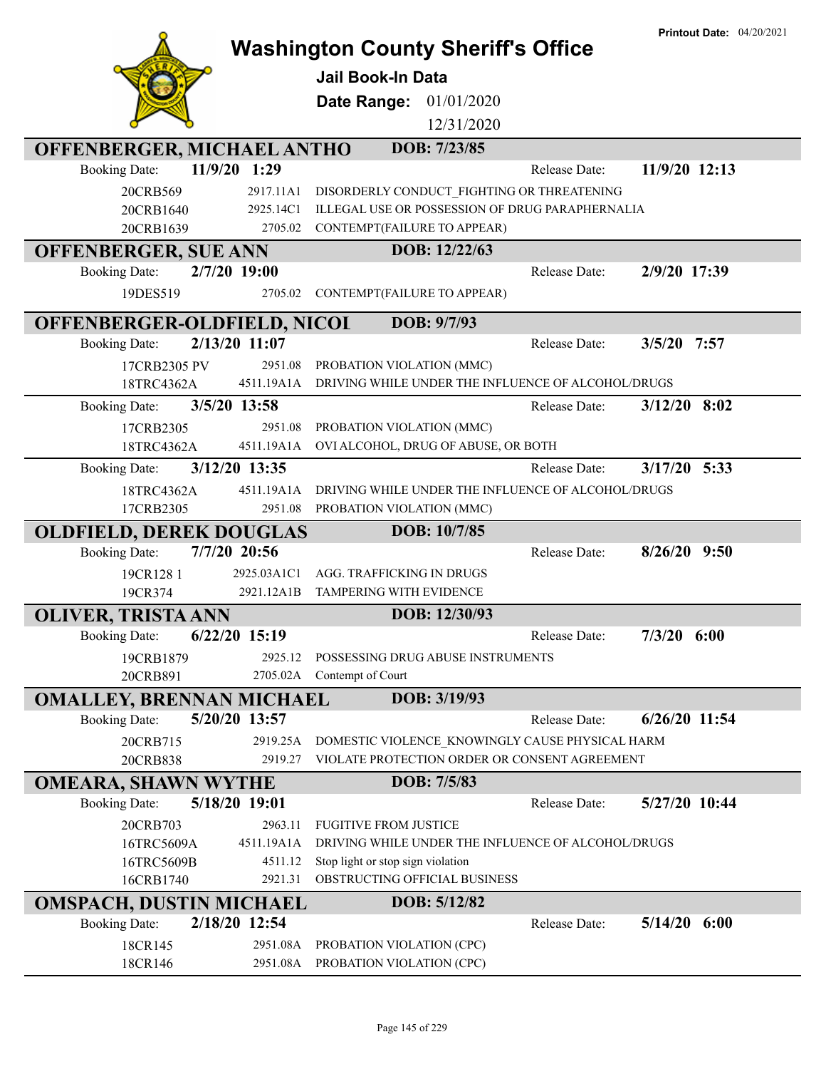|                                 |                      | <b>Washington County Sheriff's Office</b>                                      | Printout Date: 04/20/2021 |  |
|---------------------------------|----------------------|--------------------------------------------------------------------------------|---------------------------|--|
|                                 |                      | <b>Jail Book-In Data</b>                                                       |                           |  |
|                                 |                      |                                                                                |                           |  |
|                                 |                      | 01/01/2020<br>Date Range:                                                      |                           |  |
|                                 |                      | 12/31/2020                                                                     |                           |  |
| OFFENBERGER, MICHAEL ANTHO      |                      | DOB: 7/23/85                                                                   |                           |  |
| <b>Booking Date:</b>            | 11/9/20 1:29         | Release Date:                                                                  | 11/9/20 12:13             |  |
| 20CRB569                        | 2917.11A1            | DISORDERLY CONDUCT FIGHTING OR THREATENING                                     |                           |  |
| 20CRB1640<br>20CRB1639          | 2925.14C1<br>2705.02 | ILLEGAL USE OR POSSESSION OF DRUG PARAPHERNALIA<br>CONTEMPT(FAILURE TO APPEAR) |                           |  |
| <b>OFFENBERGER, SUE ANN</b>     |                      | DOB: 12/22/63                                                                  |                           |  |
| <b>Booking Date:</b>            | 2/7/20 19:00         | Release Date:                                                                  | 2/9/20 17:39              |  |
| 19DES519                        | 2705.02              | CONTEMPT(FAILURE TO APPEAR)                                                    |                           |  |
| OFFENBERGER-OLDFIELD, NICOL     |                      | DOB: 9/7/93                                                                    |                           |  |
| <b>Booking Date:</b>            | 2/13/20 11:07        | Release Date:                                                                  | 3/5/20<br>7:57            |  |
| 17CRB2305 PV                    | 2951.08              | PROBATION VIOLATION (MMC)                                                      |                           |  |
| 18TRC4362A                      | 4511.19A1A           | DRIVING WHILE UNDER THE INFLUENCE OF ALCOHOL/DRUGS                             |                           |  |
| <b>Booking Date:</b>            | 3/5/20 13:58         | Release Date:                                                                  | $3/12/20$ 8:02            |  |
| 17CRB2305                       | 2951.08              | PROBATION VIOLATION (MMC)                                                      |                           |  |
| 18TRC4362A                      | 4511.19A1A           | OVI ALCOHOL, DRUG OF ABUSE, OR BOTH                                            |                           |  |
| <b>Booking Date:</b>            | 3/12/20 13:35        | Release Date:                                                                  | $3/17/20$ 5:33            |  |
| 18TRC4362A                      | 4511.19A1A           | DRIVING WHILE UNDER THE INFLUENCE OF ALCOHOL/DRUGS                             |                           |  |
| 17CRB2305                       | 2951.08              | PROBATION VIOLATION (MMC)                                                      |                           |  |
| <b>OLDFIELD, DEREK DOUGLAS</b>  |                      | DOB: 10/7/85                                                                   |                           |  |
| <b>Booking Date:</b>            | 7/7/20 20:56         | Release Date:                                                                  | $8/26/20$ 9:50            |  |
| 19CR128 1                       | 2925.03A1C1          | AGG. TRAFFICKING IN DRUGS                                                      |                           |  |
| 19CR374                         | 2921.12A1B           | TAMPERING WITH EVIDENCE                                                        |                           |  |
| <b>OLIVER, TRISTA ANN</b>       |                      | DOB: 12/30/93<br>Release Date:                                                 |                           |  |
| <b>Booking Date:</b>            | $6/22/20$ 15:19      |                                                                                | $7/3/20$ $6:00$           |  |
| 19CRB1879<br>20CRB891           | 2925.12<br>2705.02A  | POSSESSING DRUG ABUSE INSTRUMENTS<br>Contempt of Court                         |                           |  |
| <b>OMALLEY, BRENNAN MICHAEL</b> |                      | DOB: 3/19/93                                                                   |                           |  |
| <b>Booking Date:</b>            | 5/20/20 13:57        | Release Date:                                                                  | $6/26/20$ 11:54           |  |
| 20CRB715                        | 2919.25A             | DOMESTIC VIOLENCE KNOWINGLY CAUSE PHYSICAL HARM                                |                           |  |
| 20CRB838                        | 2919.27              | VIOLATE PROTECTION ORDER OR CONSENT AGREEMENT                                  |                           |  |
| <b>OMEARA, SHAWN WYTHE</b>      |                      | DOB: 7/5/83                                                                    |                           |  |
| <b>Booking Date:</b>            | 5/18/20 19:01        | Release Date:                                                                  | 5/27/20 10:44             |  |
| 20CRB703                        | 2963.11              | <b>FUGITIVE FROM JUSTICE</b>                                                   |                           |  |
| 16TRC5609A                      | 4511.19A1A           | DRIVING WHILE UNDER THE INFLUENCE OF ALCOHOL/DRUGS                             |                           |  |
| 16TRC5609B                      | 4511.12              | Stop light or stop sign violation                                              |                           |  |
| 16CRB1740                       | 2921.31              | OBSTRUCTING OFFICIAL BUSINESS                                                  |                           |  |
| <b>OMSPACH, DUSTIN MICHAEL</b>  |                      | DOB: 5/12/82                                                                   |                           |  |
| <b>Booking Date:</b>            | 2/18/20 12:54        | Release Date:                                                                  | $5/14/20$ 6:00            |  |
| 18CR145<br>18CR146              | 2951.08A<br>2951.08A | PROBATION VIOLATION (CPC)<br>PROBATION VIOLATION (CPC)                         |                           |  |
|                                 |                      |                                                                                |                           |  |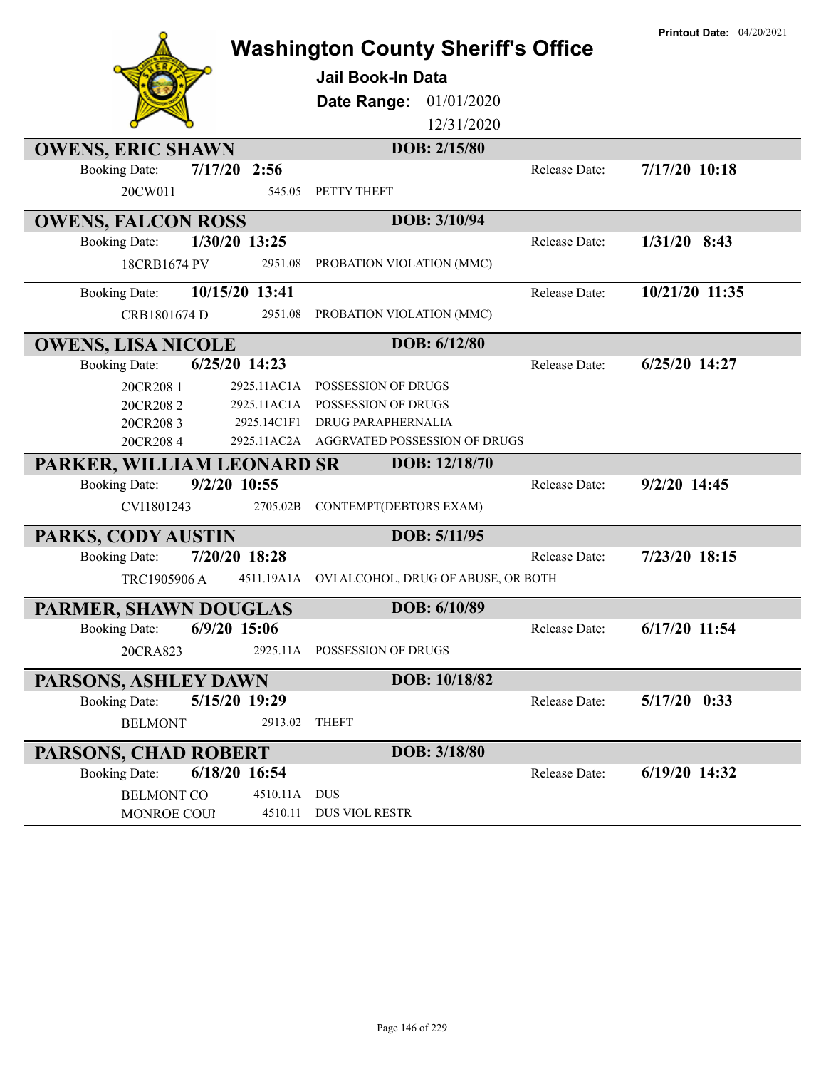|                            |                | <b>Washington County Sheriff's Office</b>      |               | <b>Printout Date: 04/20/2021</b> |
|----------------------------|----------------|------------------------------------------------|---------------|----------------------------------|
|                            |                | <b>Jail Book-In Data</b>                       |               |                                  |
|                            |                | 01/01/2020<br>Date Range:                      |               |                                  |
|                            |                | 12/31/2020                                     |               |                                  |
| <b>OWENS, ERIC SHAWN</b>   |                | DOB: 2/15/80                                   |               |                                  |
| <b>Booking Date:</b>       | $7/17/20$ 2:56 |                                                | Release Date: | 7/17/20 10:18                    |
| 20CW011                    | 545.05         | PETTY THEFT                                    |               |                                  |
| <b>OWENS, FALCON ROSS</b>  |                | DOB: 3/10/94                                   |               |                                  |
| <b>Booking Date:</b>       | 1/30/20 13:25  |                                                | Release Date: | $1/31/20$ 8:43                   |
| 18CRB1674 PV               | 2951.08        | PROBATION VIOLATION (MMC)                      |               |                                  |
| <b>Booking Date:</b>       | 10/15/20 13:41 |                                                | Release Date: | 10/21/20 11:35                   |
| CRB1801674 D               | 2951.08        | PROBATION VIOLATION (MMC)                      |               |                                  |
| <b>OWENS, LISA NICOLE</b>  |                | DOB: 6/12/80                                   |               |                                  |
| <b>Booking Date:</b>       | 6/25/20 14:23  |                                                | Release Date: | 6/25/20 14:27                    |
| 20CR208 1                  | 2925.11AC1A    | POSSESSION OF DRUGS                            |               |                                  |
| 20CR2082                   | 2925.11AC1A    | POSSESSION OF DRUGS                            |               |                                  |
| 20CR2083                   | 2925.14C1F1    | DRUG PARAPHERNALIA                             |               |                                  |
| 20CR2084                   |                | 2925.11AC2A AGGRVATED POSSESSION OF DRUGS      |               |                                  |
| PARKER, WILLIAM LEONARD SR |                | DOB: 12/18/70                                  |               |                                  |
| <b>Booking Date:</b>       | 9/2/20 10:55   |                                                | Release Date: | 9/2/20 14:45                     |
| CVI1801243                 | 2705.02B       | CONTEMPT(DEBTORS EXAM)                         |               |                                  |
| PARKS, CODY AUSTIN         |                | DOB: 5/11/95                                   |               |                                  |
| <b>Booking Date:</b>       | 7/20/20 18:28  |                                                | Release Date: | 7/23/20 18:15                    |
| TRC1905906 A               |                | 4511.19A1A OVI ALCOHOL, DRUG OF ABUSE, OR BOTH |               |                                  |
| PARMER, SHAWN DOUGLAS      |                | DOB: 6/10/89                                   |               |                                  |
| <b>Booking Date:</b>       | 6/9/20 15:06   |                                                | Release Date: | 6/17/20 11:54                    |
| 20CRA823                   |                | 2925.11A POSSESSION OF DRUGS                   |               |                                  |
| PARSONS, ASHLEY DAWN       |                | DOB: 10/18/82                                  |               |                                  |
| <b>Booking Date:</b>       | 5/15/20 19:29  |                                                | Release Date: | $5/17/20$ 0:33                   |
| <b>BELMONT</b>             | 2913.02        | <b>THEFT</b>                                   |               |                                  |
| PARSONS, CHAD ROBERT       |                | DOB: 3/18/80                                   |               |                                  |
| <b>Booking Date:</b>       | 6/18/20 16:54  |                                                | Release Date: | 6/19/20 14:32                    |
| <b>BELMONT CO</b>          | 4510.11A       | DUS                                            |               |                                  |
| MONROE COUP                | 4510.11        | DUS VIOL RESTR                                 |               |                                  |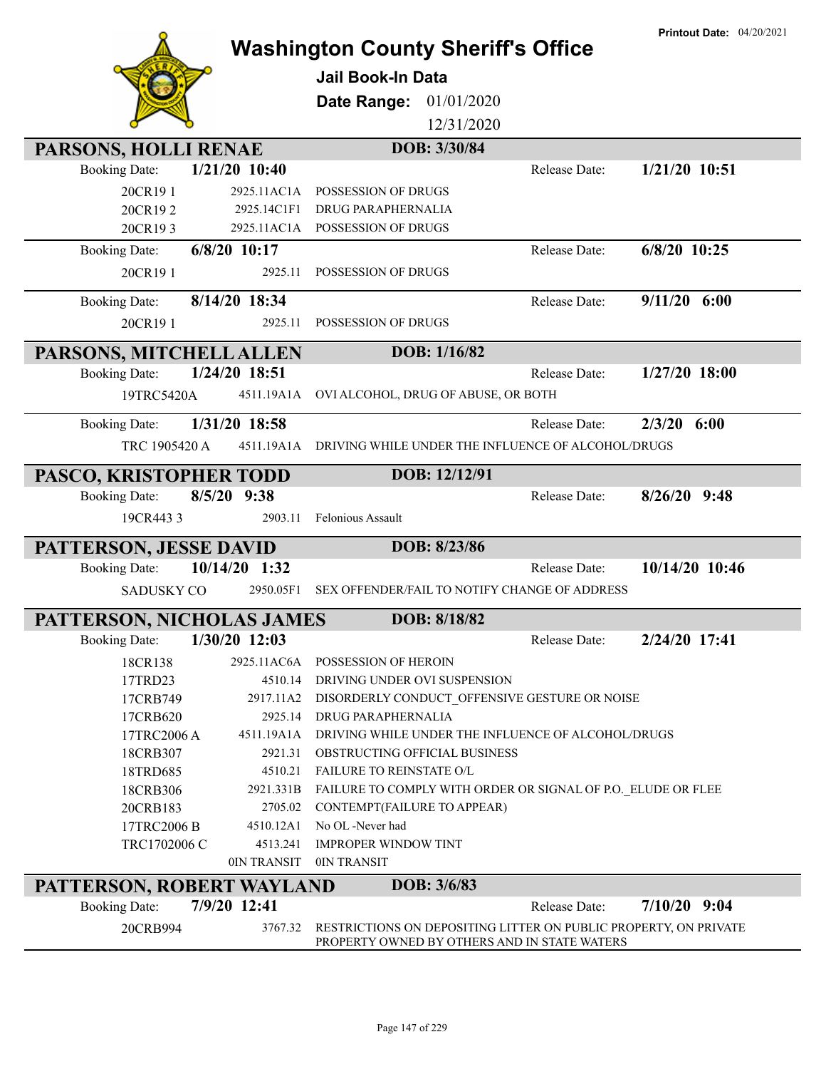|                                                                    | <b>Washington County Sheriff's Office</b><br><b>Jail Book-In Data</b>                                            |               |                |
|--------------------------------------------------------------------|------------------------------------------------------------------------------------------------------------------|---------------|----------------|
|                                                                    |                                                                                                                  |               |                |
|                                                                    |                                                                                                                  |               |                |
|                                                                    | 01/01/2020<br>Date Range:                                                                                        |               |                |
|                                                                    | 12/31/2020                                                                                                       |               |                |
| PARSONS, HOLLI RENAE                                               | DOB: 3/30/84                                                                                                     |               |                |
| $1/21/20$ 10:40<br><b>Booking Date:</b>                            |                                                                                                                  | Release Date: | 1/21/20 10:51  |
| 20CR191<br>2925.11AC1A                                             | POSSESSION OF DRUGS                                                                                              |               |                |
| 20CR192<br>2925.14C1F1<br>20CR193<br>2925.11AC1A                   | DRUG PARAPHERNALIA<br>POSSESSION OF DRUGS                                                                        |               |                |
| 6/8/20 10:17<br><b>Booking Date:</b>                               |                                                                                                                  | Release Date: | 6/8/20 10:25   |
| 20CR191<br>2925.11                                                 | POSSESSION OF DRUGS                                                                                              |               |                |
|                                                                    |                                                                                                                  |               |                |
| 8/14/20 18:34<br><b>Booking Date:</b>                              |                                                                                                                  | Release Date: | $9/11/20$ 6:00 |
| 20CR191<br>2925.11                                                 | POSSESSION OF DRUGS                                                                                              |               |                |
| PARSONS, MITCHELL ALLEN                                            | DOB: 1/16/82                                                                                                     |               |                |
| 1/24/20 18:51<br><b>Booking Date:</b>                              |                                                                                                                  | Release Date: | 1/27/20 18:00  |
| 19TRC5420A                                                         | 4511.19A1A OVI ALCOHOL, DRUG OF ABUSE, OR BOTH                                                                   |               |                |
| 1/31/20 18:58                                                      |                                                                                                                  | Release Date: | $2/3/20$ 6:00  |
| <b>Booking Date:</b><br>4511.19A1A                                 | DRIVING WHILE UNDER THE INFLUENCE OF ALCOHOL/DRUGS                                                               |               |                |
| TRC 1905420 A                                                      |                                                                                                                  |               |                |
| PASCO, KRISTOPHER TODD                                             | DOB: 12/12/91                                                                                                    |               |                |
| $8/5/20$ 9:38<br><b>Booking Date:</b>                              |                                                                                                                  | Release Date: | $8/26/20$ 9:48 |
| 19CR4433<br>2903.11                                                | Felonious Assault                                                                                                |               |                |
| PATTERSON, JESSE DAVID                                             | DOB: 8/23/86                                                                                                     |               |                |
| 10/14/20 1:32<br><b>Booking Date:</b>                              |                                                                                                                  | Release Date: | 10/14/20 10:46 |
| <b>SADUSKY CO</b><br>2950.05F1                                     | SEX OFFENDER/FAIL TO NOTIFY CHANGE OF ADDRESS                                                                    |               |                |
|                                                                    | DOB: 8/18/82                                                                                                     |               |                |
| PATTERSON, NICHOLAS JAMES<br><b>Booking Date:</b><br>1/30/20 12:03 |                                                                                                                  | Release Date: | 2/24/20 17:41  |
| 2925.11AC6A<br>18CR138                                             | POSSESSION OF HEROIN                                                                                             |               |                |
| 17TRD23<br>4510.14                                                 | DRIVING UNDER OVI SUSPENSION                                                                                     |               |                |
| 17CRB749<br>2917.11A2                                              | DISORDERLY CONDUCT_OFFENSIVE GESTURE OR NOISE                                                                    |               |                |
| 2925.14<br>17CRB620                                                | <b>DRUG PARAPHERNALIA</b>                                                                                        |               |                |
| 4511.19A1A<br>17TRC2006 A                                          | DRIVING WHILE UNDER THE INFLUENCE OF ALCOHOL/DRUGS                                                               |               |                |
| 2921.31<br>18CRB307                                                | OBSTRUCTING OFFICIAL BUSINESS                                                                                    |               |                |
| 4510.21<br>18TRD685                                                | <b>FAILURE TO REINSTATE O/L</b>                                                                                  |               |                |
| 18CRB306<br>2921.331B                                              | FAILURE TO COMPLY WITH ORDER OR SIGNAL OF P.O. ELUDE OR FLEE                                                     |               |                |
| 20CRB183<br>2705.02                                                | CONTEMPT(FAILURE TO APPEAR)                                                                                      |               |                |
| 17TRC2006 B<br>4510.12A1                                           | No OL -Never had                                                                                                 |               |                |
| TRC1702006 C<br>4513.241                                           | <b>IMPROPER WINDOW TINT</b>                                                                                      |               |                |
| 0IN TRANSIT                                                        | 0IN TRANSIT                                                                                                      |               |                |
| PATTERSON, ROBERT WAYLAND                                          | DOB: 3/6/83                                                                                                      |               |                |
| 7/9/20 12:41<br><b>Booking Date:</b>                               |                                                                                                                  | Release Date: | $7/10/20$ 9:04 |
| 20CRB994<br>3767.32                                                | RESTRICTIONS ON DEPOSITING LITTER ON PUBLIC PROPERTY, ON PRIVATE<br>PROPERTY OWNED BY OTHERS AND IN STATE WATERS |               |                |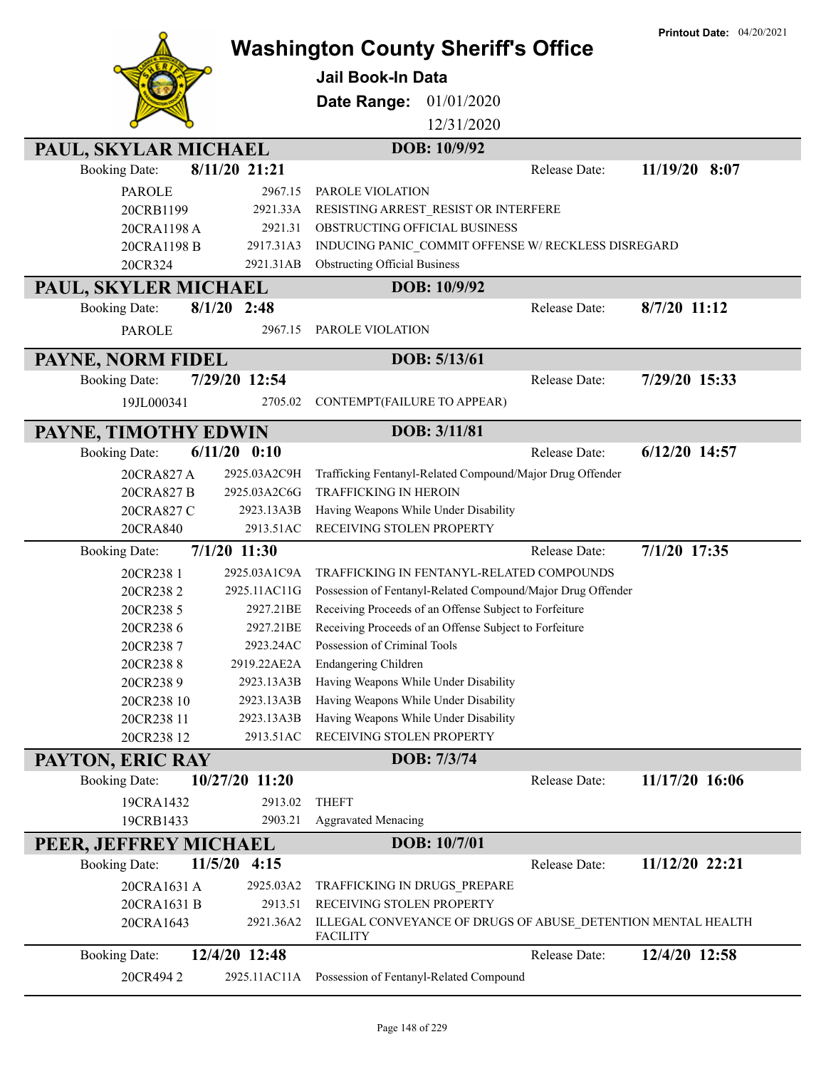|                          |                     |                                                                       |               | <b>Printout Date: 04/20/2021</b> |
|--------------------------|---------------------|-----------------------------------------------------------------------|---------------|----------------------------------|
|                          |                     | <b>Washington County Sheriff's Office</b>                             |               |                                  |
|                          |                     | Jail Book-In Data                                                     |               |                                  |
|                          |                     | 01/01/2020<br>Date Range:                                             |               |                                  |
|                          |                     | 12/31/2020                                                            |               |                                  |
| PAUL, SKYLAR MICHAEL     |                     | DOB: 10/9/92                                                          |               |                                  |
| <b>Booking Date:</b>     | 8/11/20 21:21       |                                                                       | Release Date: | $11/19/20$ 8:07                  |
|                          |                     |                                                                       |               |                                  |
| <b>PAROLE</b>            | 2967.15             | PAROLE VIOLATION                                                      |               |                                  |
| 20CRB1199<br>20CRA1198 A | 2921.33A<br>2921.31 | RESISTING ARREST_RESIST OR INTERFERE<br>OBSTRUCTING OFFICIAL BUSINESS |               |                                  |
| 20CRA1198 B              | 2917.31A3           | INDUCING PANIC COMMIT OFFENSE W/ RECKLESS DISREGARD                   |               |                                  |
| 20CR324                  | 2921.31AB           | <b>Obstructing Official Business</b>                                  |               |                                  |
|                          |                     |                                                                       |               |                                  |
| PAUL, SKYLER MICHAEL     |                     | DOB: 10/9/92                                                          |               |                                  |
| <b>Booking Date:</b>     | $8/1/20$ 2:48       |                                                                       | Release Date: | 8/7/20 11:12                     |
| <b>PAROLE</b>            | 2967.15             | PAROLE VIOLATION                                                      |               |                                  |
| PAYNE, NORM FIDEL        |                     | DOB: 5/13/61                                                          |               |                                  |
| <b>Booking Date:</b>     | 7/29/20 12:54       |                                                                       | Release Date: | 7/29/20 15:33                    |
| 19JL000341               | 2705.02             | CONTEMPT(FAILURE TO APPEAR)                                           |               |                                  |
|                          |                     |                                                                       |               |                                  |
| PAYNE, TIMOTHY EDWIN     |                     | DOB: 3/11/81                                                          |               |                                  |
| <b>Booking Date:</b>     | $6/11/20$ $0:10$    |                                                                       | Release Date: | 6/12/20 14:57                    |
| 20CRA827 A               | 2925.03A2C9H        | Trafficking Fentanyl-Related Compound/Major Drug Offender             |               |                                  |
| 20CRA827 B               | 2925.03A2C6G        | <b>TRAFFICKING IN HEROIN</b>                                          |               |                                  |
| 20CRA827 C               | 2923.13A3B          | Having Weapons While Under Disability                                 |               |                                  |
| 20CRA840                 | 2913.51AC           | RECEIVING STOLEN PROPERTY                                             |               |                                  |
| <b>Booking Date:</b>     | $7/1/20$ 11:30      |                                                                       | Release Date: | 7/1/20 17:35                     |
| 20CR238 1                | 2925.03A1C9A        | TRAFFICKING IN FENTANYL-RELATED COMPOUNDS                             |               |                                  |
| 20CR2382                 | 2925.11AC11G        | Possession of Fentanyl-Related Compound/Major Drug Offender           |               |                                  |
| 20CR238 5                | 2927.21BE           | Receiving Proceeds of an Offense Subject to Forfeiture                |               |                                  |
| 20CR2386                 | 2927.21BE           | Receiving Proceeds of an Offense Subject to Forfeiture                |               |                                  |
| 20CR2387                 | 2923.24AC           | Possession of Criminal Tools                                          |               |                                  |
| 20CR2388                 | 2919.22AE2A         | <b>Endangering Children</b>                                           |               |                                  |
| 20CR2389                 | 2923.13A3B          | Having Weapons While Under Disability                                 |               |                                  |
| 20CR238 10               | 2923.13A3B          | Having Weapons While Under Disability                                 |               |                                  |
| 20CR238 11               | 2923.13A3B          | Having Weapons While Under Disability                                 |               |                                  |
| 20CR238 12               | 2913.51AC           | RECEIVING STOLEN PROPERTY                                             |               |                                  |
| PAYTON, ERIC RAY         |                     | DOB: 7/3/74                                                           |               |                                  |
| <b>Booking Date:</b>     | 10/27/20 11:20      |                                                                       | Release Date: | 11/17/20 16:06                   |
| 19CRA1432                | 2913.02             | <b>THEFT</b>                                                          |               |                                  |
| 19CRB1433                | 2903.21             | <b>Aggravated Menacing</b>                                            |               |                                  |
| PEER, JEFFREY MICHAEL    |                     | DOB: 10/7/01                                                          |               |                                  |
| <b>Booking Date:</b>     | 11/5/20<br>4:15     |                                                                       | Release Date: | 11/12/20 22:21                   |
| 20CRA1631 A              | 2925.03A2           | TRAFFICKING IN DRUGS_PREPARE                                          |               |                                  |
| 20CRA1631 B              | 2913.51             | RECEIVING STOLEN PROPERTY                                             |               |                                  |
| 20CRA1643                | 2921.36A2           | ILLEGAL CONVEYANCE OF DRUGS OF ABUSE_DETENTION MENTAL HEALTH          |               |                                  |
|                          |                     | <b>FACILITY</b>                                                       |               |                                  |
| <b>Booking Date:</b>     | 12/4/20 12:48       |                                                                       | Release Date: | 12/4/20 12:58                    |
| 20CR4942                 | 2925.11AC11A        | Possession of Fentanyl-Related Compound                               |               |                                  |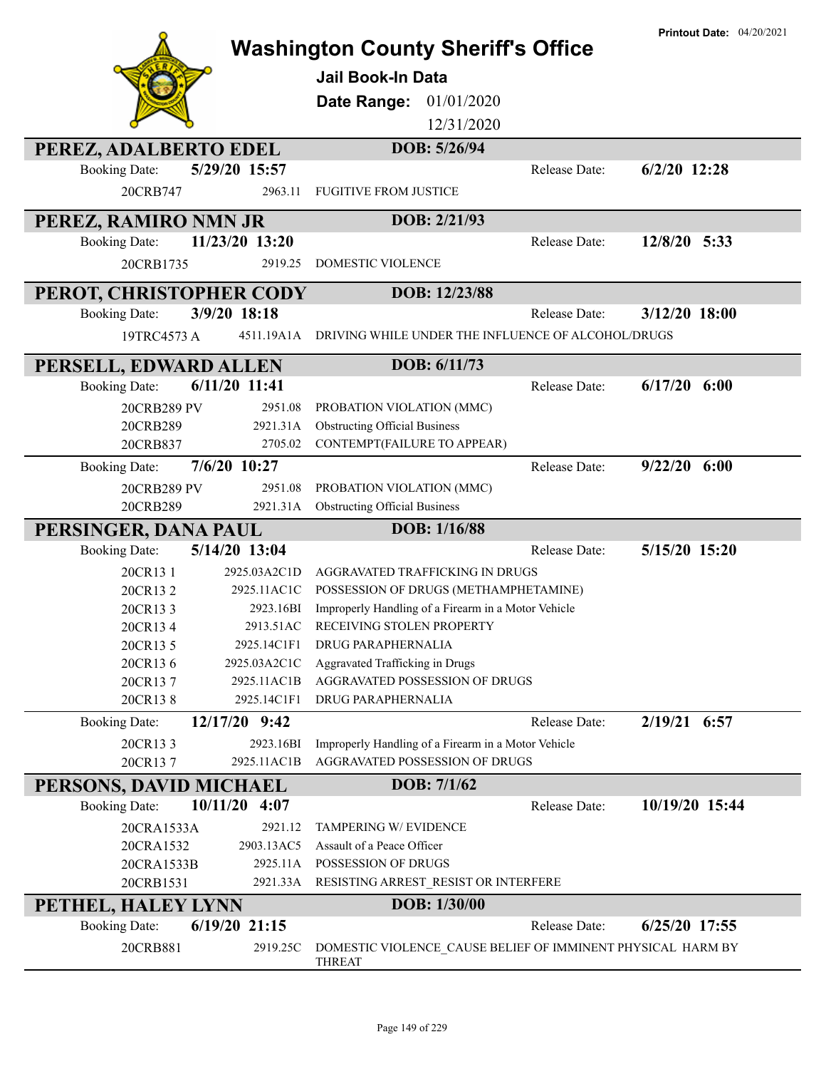|                                  |                          | <b>Washington County Sheriff's Office</b><br><b>Jail Book-In Data</b><br>01/01/2020<br>Date Range:<br>12/31/2020 |               | <b>Printout Date: 04/20/2021</b> |
|----------------------------------|--------------------------|------------------------------------------------------------------------------------------------------------------|---------------|----------------------------------|
| PEREZ, ADALBERTO EDEL            |                          | DOB: 5/26/94                                                                                                     |               |                                  |
| <b>Booking Date:</b><br>20CRB747 | 5/29/20 15:57<br>2963.11 | <b>FUGITIVE FROM JUSTICE</b>                                                                                     | Release Date: | $6/2/20$ 12:28                   |
| PEREZ, RAMIRO NMN JR             |                          | DOB: 2/21/93                                                                                                     |               |                                  |
| <b>Booking Date:</b>             | 11/23/20 13:20           |                                                                                                                  | Release Date: | 12/8/20 5:33                     |
| 20CRB1735                        | 2919.25                  | DOMESTIC VIOLENCE                                                                                                |               |                                  |
| PEROT, CHRISTOPHER CODY          |                          | DOB: 12/23/88                                                                                                    |               |                                  |
| <b>Booking Date:</b>             | 3/9/20 18:18             |                                                                                                                  | Release Date: | $3/12/20$ 18:00                  |
| 19TRC4573 A                      | 4511.19A1A               | DRIVING WHILE UNDER THE INFLUENCE OF ALCOHOL/DRUGS                                                               |               |                                  |
| PERSELL, EDWARD ALLEN            |                          | DOB: 6/11/73                                                                                                     |               |                                  |
| <b>Booking Date:</b>             | 6/11/20 11:41            |                                                                                                                  | Release Date: | $6/17/20$ $6:00$                 |
| 20CRB289 PV                      | 2951.08                  | PROBATION VIOLATION (MMC)                                                                                        |               |                                  |
| 20CRB289                         | 2921.31A                 | <b>Obstructing Official Business</b>                                                                             |               |                                  |
| 20CRB837                         | 2705.02                  | CONTEMPT(FAILURE TO APPEAR)                                                                                      |               |                                  |
| <b>Booking Date:</b>             | 7/6/20 10:27             |                                                                                                                  | Release Date: | $9/22/20$ 6:00                   |
| 20CRB289 PV                      | 2951.08                  | PROBATION VIOLATION (MMC)                                                                                        |               |                                  |
| 20CRB289                         | 2921.31A                 | <b>Obstructing Official Business</b>                                                                             |               |                                  |
| PERSINGER, DANA PAUL             |                          | DOB: 1/16/88                                                                                                     |               |                                  |
| <b>Booking Date:</b>             | 5/14/20 13:04            |                                                                                                                  | Release Date: | 5/15/20 15:20                    |
| 20CR13 1                         | 2925.03A2C1D             | AGGRAVATED TRAFFICKING IN DRUGS                                                                                  |               |                                  |
| 20CR132                          | 2925.11AC1C              | POSSESSION OF DRUGS (METHAMPHETAMINE)                                                                            |               |                                  |
| 20CR133                          | 2923.16BI                | Improperly Handling of a Firearm in a Motor Vehicle<br>RECEIVING STOLEN PROPERTY                                 |               |                                  |
| 20CR134<br>20CR13 5              | 2913.51AC<br>2925.14C1F1 | DRUG PARAPHERNALIA                                                                                               |               |                                  |
| 20CR136                          | 2925.03A2C1C             | Aggravated Trafficking in Drugs                                                                                  |               |                                  |
| 20CR137                          | 2925.11AC1B              | AGGRAVATED POSSESSION OF DRUGS                                                                                   |               |                                  |
| 20CR138                          | 2925.14C1F1              | DRUG PARAPHERNALIA                                                                                               |               |                                  |
| <b>Booking Date:</b>             | 12/17/20 9:42            |                                                                                                                  | Release Date: | 2/19/21 6:57                     |
| 20CR133                          | 2923.16BI                | Improperly Handling of a Firearm in a Motor Vehicle                                                              |               |                                  |
| 20CR137                          | 2925.11AC1B              | AGGRAVATED POSSESSION OF DRUGS                                                                                   |               |                                  |
| PERSONS, DAVID MICHAEL           |                          | DOB: 7/1/62                                                                                                      |               |                                  |
| <b>Booking Date:</b>             | $10/11/20$ 4:07          |                                                                                                                  | Release Date: | 10/19/20 15:44                   |
| 20CRA1533A                       | 2921.12                  | TAMPERING W/ EVIDENCE                                                                                            |               |                                  |
| 20CRA1532                        | 2903.13AC5               | Assault of a Peace Officer                                                                                       |               |                                  |
| 20CRA1533B                       | 2925.11A                 | POSSESSION OF DRUGS                                                                                              |               |                                  |
| 20CRB1531                        | 2921.33A                 | RESISTING ARREST_RESIST OR INTERFERE                                                                             |               |                                  |
| PETHEL, HALEY LYNN               |                          | DOB: 1/30/00                                                                                                     |               |                                  |
| <b>Booking Date:</b>             | $6/19/20$ 21:15          |                                                                                                                  | Release Date: | $6/25/20$ 17:55                  |
| 20CRB881                         | 2919.25C                 | DOMESTIC VIOLENCE_CAUSE BELIEF OF IMMINENT PHYSICAL HARM BY<br><b>THREAT</b>                                     |               |                                  |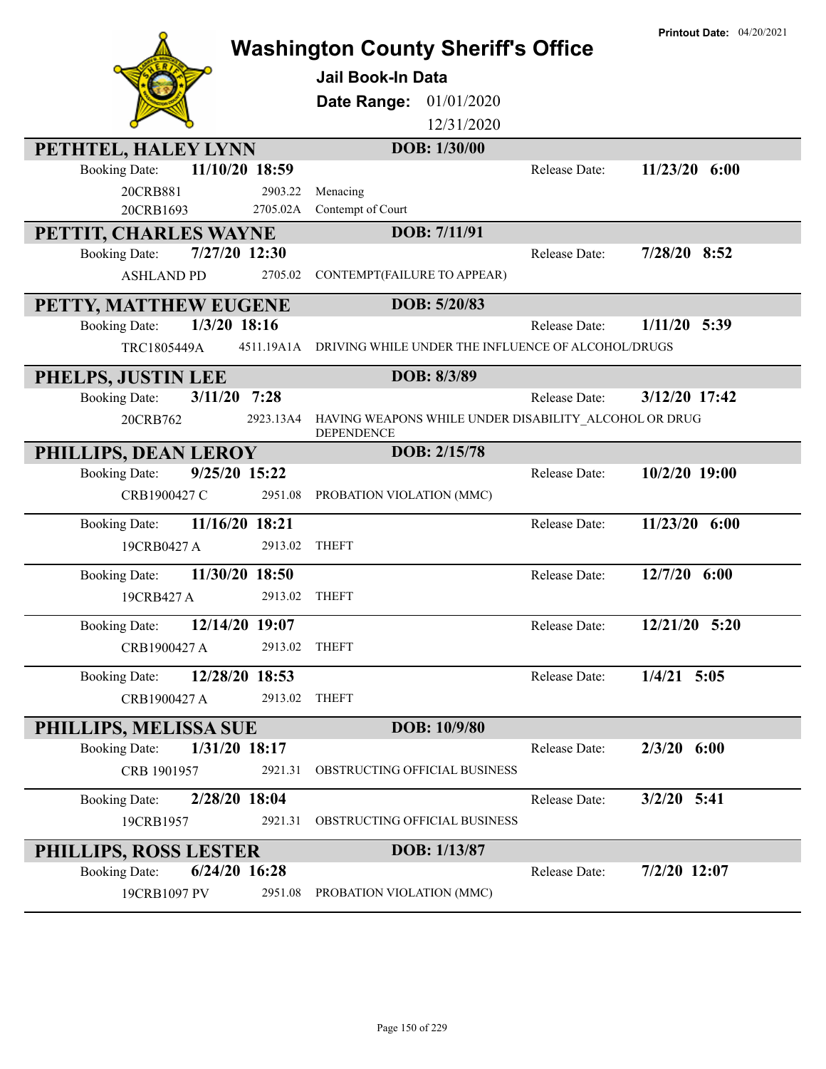| PETHTEL, HALEY LYNN<br>11/10/20 18:59<br><b>Booking Date:</b><br>20CRB881<br>20CRB1693<br>PETTIT, CHARLES WAYNE | 2903.22<br>2705.02A | <b>Washington County Sheriff's Office</b><br><b>Jail Book-In Data</b><br>Date Range:<br>01/01/2020<br>12/31/2020<br>DOB: 1/30/00<br>Menacing<br>Contempt of Court<br>DOB: 7/11/91 | Release Date:        | <b>Printout Date: 04/20/2021</b><br>$11/23/20$ 6:00 |
|-----------------------------------------------------------------------------------------------------------------|---------------------|-----------------------------------------------------------------------------------------------------------------------------------------------------------------------------------|----------------------|-----------------------------------------------------|
| 7/27/20 12:30<br><b>Booking Date:</b>                                                                           |                     |                                                                                                                                                                                   | Release Date:        | 7/28/20 8:52                                        |
| <b>ASHLAND PD</b>                                                                                               | 2705.02             | CONTEMPT(FAILURE TO APPEAR)                                                                                                                                                       |                      |                                                     |
| PETTY, MATTHEW EUGENE                                                                                           |                     | DOB: 5/20/83                                                                                                                                                                      |                      |                                                     |
| 1/3/20 18:16<br><b>Booking Date:</b>                                                                            |                     |                                                                                                                                                                                   | Release Date:        | $1/11/20$ 5:39                                      |
| TRC1805449A                                                                                                     |                     | 4511.19A1A DRIVING WHILE UNDER THE INFLUENCE OF ALCOHOL/DRUGS                                                                                                                     |                      |                                                     |
| PHELPS, JUSTIN LEE                                                                                              |                     | DOB: 8/3/89                                                                                                                                                                       |                      |                                                     |
| 3/11/20<br><b>Booking Date:</b>                                                                                 | 7:28                |                                                                                                                                                                                   | <b>Release Date:</b> | 3/12/20 17:42                                       |
| 20CRB762                                                                                                        | 2923.13A4           | HAVING WEAPONS WHILE UNDER DISABILITY ALCOHOL OR DRUG<br><b>DEPENDENCE</b>                                                                                                        |                      |                                                     |
| PHILLIPS, DEAN LEROY                                                                                            |                     | DOB: 2/15/78                                                                                                                                                                      |                      |                                                     |
| 9/25/20 15:22<br><b>Booking Date:</b>                                                                           |                     |                                                                                                                                                                                   | Release Date:        | 10/2/20 19:00                                       |
| CRB1900427 C                                                                                                    | 2951.08             | PROBATION VIOLATION (MMC)                                                                                                                                                         |                      |                                                     |
| 11/16/20 18:21<br><b>Booking Date:</b>                                                                          |                     |                                                                                                                                                                                   | Release Date:        | $11/23/20$ 6:00                                     |
| 19CRB0427 A                                                                                                     | 2913.02             | <b>THEFT</b>                                                                                                                                                                      |                      |                                                     |
| 11/30/20 18:50<br><b>Booking Date:</b>                                                                          |                     |                                                                                                                                                                                   | Release Date:        | 12/7/20 6:00                                        |
| 19CRB427 A                                                                                                      | 2913.02             | <b>THEFT</b>                                                                                                                                                                      |                      |                                                     |
| 12/14/20 19:07<br><b>Booking Date:</b>                                                                          |                     |                                                                                                                                                                                   | Release Date:        | 12/21/20 5:20                                       |
| CRB1900427 A                                                                                                    | 2913.02 THEFT       |                                                                                                                                                                                   |                      |                                                     |
| 12/28/20 18:53<br><b>Booking Date:</b>                                                                          |                     |                                                                                                                                                                                   | Release Date:        | $1/4/21$ 5:05                                       |
| CRB1900427 A                                                                                                    | 2913.02             | <b>THEFT</b>                                                                                                                                                                      |                      |                                                     |
| PHILLIPS, MELISSA SUE                                                                                           |                     | DOB: 10/9/80                                                                                                                                                                      |                      |                                                     |
| 1/31/20 18:17<br><b>Booking Date:</b>                                                                           |                     |                                                                                                                                                                                   | Release Date:        | $2/3/20$ 6:00                                       |
| CRB 1901957                                                                                                     | 2921.31             | OBSTRUCTING OFFICIAL BUSINESS                                                                                                                                                     |                      |                                                     |
| <b>Booking Date:</b><br>2/28/20 18:04                                                                           |                     |                                                                                                                                                                                   | Release Date:        | $3/2/20$ 5:41                                       |
| 19CRB1957                                                                                                       | 2921.31             | OBSTRUCTING OFFICIAL BUSINESS                                                                                                                                                     |                      |                                                     |
| <b>PHILLIPS, ROSS LESTER</b>                                                                                    |                     | DOB: 1/13/87                                                                                                                                                                      |                      |                                                     |
| <b>Booking Date:</b><br>$6/24/20$ 16:28                                                                         |                     |                                                                                                                                                                                   | Release Date:        | $7/2/20$ 12:07                                      |
| 19CRB1097 PV                                                                                                    | 2951.08             | PROBATION VIOLATION (MMC)                                                                                                                                                         |                      |                                                     |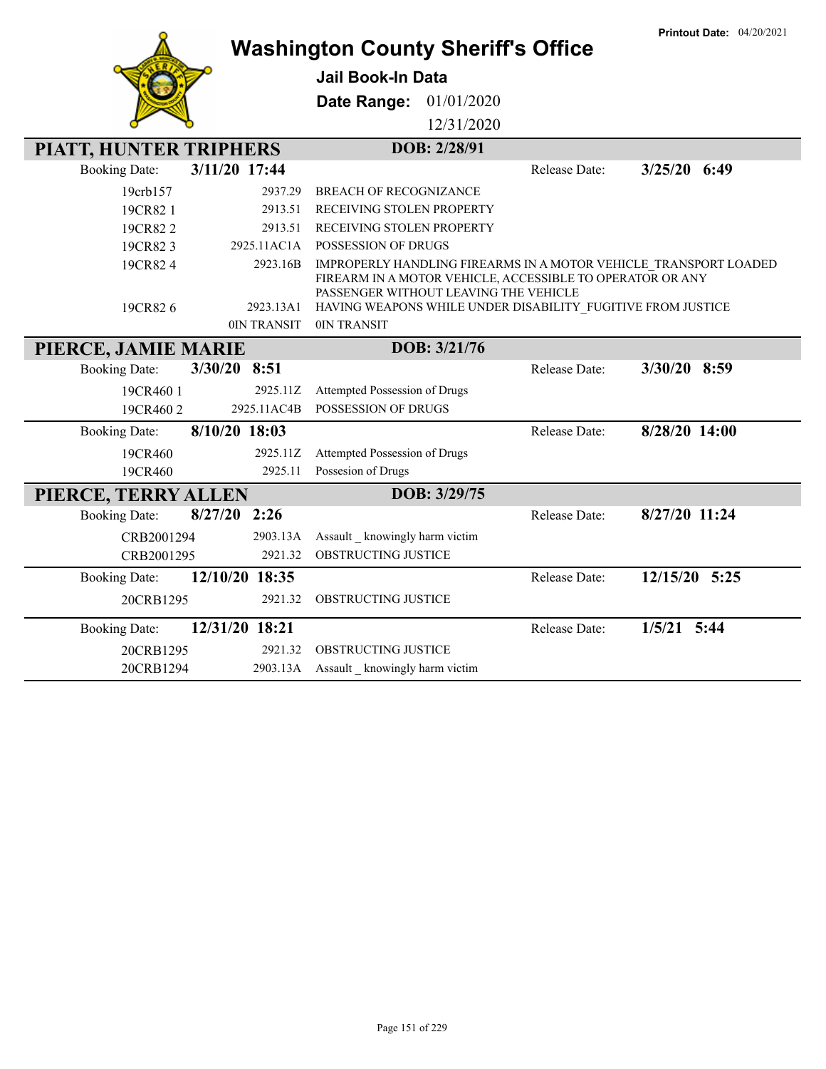|                        |                 | <b>Washington County Sheriff's Office</b>                                                                                                                              |               | <b>Printout Date: 04/20/2021</b> |
|------------------------|-----------------|------------------------------------------------------------------------------------------------------------------------------------------------------------------------|---------------|----------------------------------|
|                        |                 | <b>Jail Book-In Data</b>                                                                                                                                               |               |                                  |
|                        |                 | Date Range:<br>01/01/2020                                                                                                                                              |               |                                  |
|                        |                 | 12/31/2020                                                                                                                                                             |               |                                  |
| PIATT, HUNTER TRIPHERS |                 | DOB: 2/28/91                                                                                                                                                           |               |                                  |
| <b>Booking Date:</b>   | 3/11/20 17:44   |                                                                                                                                                                        | Release Date: | $3/25/20$ 6:49                   |
| 19crb157               | 2937.29         | <b>BREACH OF RECOGNIZANCE</b>                                                                                                                                          |               |                                  |
| 19CR82 1               | 2913.51         | RECEIVING STOLEN PROPERTY                                                                                                                                              |               |                                  |
| 19CR822                | 2913.51         | RECEIVING STOLEN PROPERTY                                                                                                                                              |               |                                  |
| 19CR823                | 2925.11AC1A     | <b>POSSESSION OF DRUGS</b>                                                                                                                                             |               |                                  |
| 19CR824                | 2923.16B        | IMPROPERLY HANDLING FIREARMS IN A MOTOR VEHICLE TRANSPORT LOADED<br>FIREARM IN A MOTOR VEHICLE, ACCESSIBLE TO OPERATOR OR ANY<br>PASSENGER WITHOUT LEAVING THE VEHICLE |               |                                  |
| 19CR826                | 2923.13A1       | HAVING WEAPONS WHILE UNDER DISABILITY FUGITIVE FROM JUSTICE                                                                                                            |               |                                  |
|                        | 0IN TRANSIT     | 0IN TRANSIT                                                                                                                                                            |               |                                  |
| PIERCE, JAMIE MARIE    |                 | DOB: 3/21/76                                                                                                                                                           |               |                                  |
| <b>Booking Date:</b>   | $3/30/20$ 8:51  |                                                                                                                                                                        | Release Date: | 3/30/20 8:59                     |
| 19CR460 1              | 2925.11Z        | Attempted Possession of Drugs                                                                                                                                          |               |                                  |
| 19CR4602               | 2925.11AC4B     | POSSESSION OF DRUGS                                                                                                                                                    |               |                                  |
| <b>Booking Date:</b>   | 8/10/20 18:03   |                                                                                                                                                                        | Release Date: | 8/28/20 14:00                    |
| 19CR460                | 2925.11Z        | Attempted Possession of Drugs                                                                                                                                          |               |                                  |
| 19CR460                | 2925.11         | Possesion of Drugs                                                                                                                                                     |               |                                  |
| PIERCE, TERRY ALLEN    |                 | DOB: 3/29/75                                                                                                                                                           |               |                                  |
| <b>Booking Date:</b>   | 8/27/20<br>2:26 |                                                                                                                                                                        | Release Date: | 8/27/20 11:24                    |
| CRB2001294             | 2903.13A        | Assault _ knowingly harm victim                                                                                                                                        |               |                                  |
| CRB2001295             | 2921.32         | OBSTRUCTING JUSTICE                                                                                                                                                    |               |                                  |
| <b>Booking Date:</b>   | 12/10/20 18:35  |                                                                                                                                                                        | Release Date: | 12/15/20 5:25                    |
| 20CRB1295              | 2921.32         | OBSTRUCTING JUSTICE                                                                                                                                                    |               |                                  |
| <b>Booking Date:</b>   | 12/31/20 18:21  |                                                                                                                                                                        | Release Date: | $1/5/21$ 5:44                    |
| 20CRB1295              | 2921.32         | <b>OBSTRUCTING JUSTICE</b>                                                                                                                                             |               |                                  |
| 20CRB1294              | 2903.13A        | Assault _ knowingly harm victim                                                                                                                                        |               |                                  |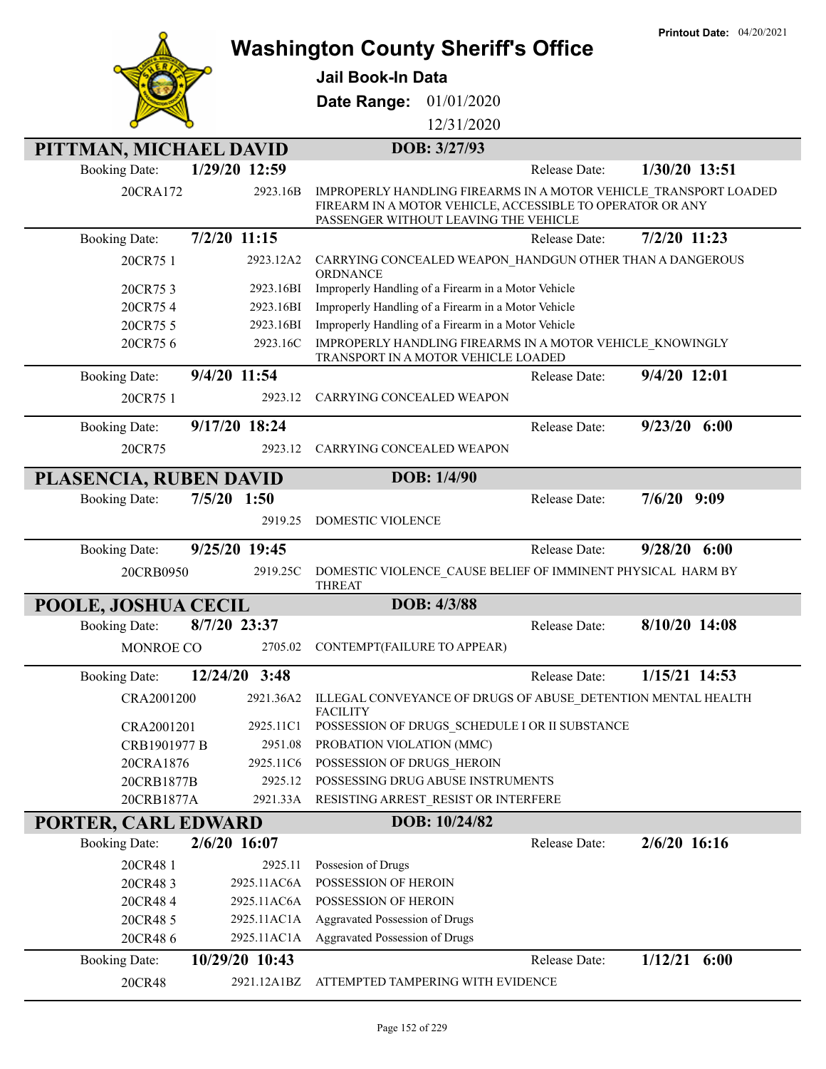|                            |                       | <b>Washington County Sheriff's Office</b>                                                                                                                              | <b>Printout Date: 04/20/2021</b> |
|----------------------------|-----------------------|------------------------------------------------------------------------------------------------------------------------------------------------------------------------|----------------------------------|
|                            |                       |                                                                                                                                                                        |                                  |
|                            |                       | Jail Book-In Data                                                                                                                                                      |                                  |
|                            |                       | Date Range:<br>01/01/2020                                                                                                                                              |                                  |
|                            |                       | 12/31/2020                                                                                                                                                             |                                  |
| PITTMAN, MICHAEL DAVID     |                       | DOB: 3/27/93                                                                                                                                                           |                                  |
| <b>Booking Date:</b>       | 1/29/20 12:59         | Release Date:                                                                                                                                                          | 1/30/20 13:51                    |
| 20CRA172                   | 2923.16B              | IMPROPERLY HANDLING FIREARMS IN A MOTOR VEHICLE TRANSPORT LOADED<br>FIREARM IN A MOTOR VEHICLE, ACCESSIBLE TO OPERATOR OR ANY<br>PASSENGER WITHOUT LEAVING THE VEHICLE |                                  |
| <b>Booking Date:</b>       | $7/2/20$ 11:15        | Release Date:                                                                                                                                                          | 7/2/20 11:23                     |
| 20CR75 1                   | 2923.12A2             | CARRYING CONCEALED WEAPON_HANDGUN OTHER THAN A DANGEROUS<br>ORDNANCE                                                                                                   |                                  |
| 20CR753                    | 2923.16BI             | Improperly Handling of a Firearm in a Motor Vehicle                                                                                                                    |                                  |
| 20CR754                    | 2923.16BI             | Improperly Handling of a Firearm in a Motor Vehicle                                                                                                                    |                                  |
| 20CR75 5<br>20CR756        | 2923.16BI<br>2923.16C | Improperly Handling of a Firearm in a Motor Vehicle<br>IMPROPERLY HANDLING FIREARMS IN A MOTOR VEHICLE KNOWINGLY                                                       |                                  |
|                            |                       | TRANSPORT IN A MOTOR VEHICLE LOADED                                                                                                                                    |                                  |
| <b>Booking Date:</b>       | 9/4/20 11:54          | Release Date:                                                                                                                                                          | 9/4/20 12:01                     |
| 20CR75 1                   | 2923.12               | CARRYING CONCEALED WEAPON                                                                                                                                              |                                  |
| <b>Booking Date:</b>       | 9/17/20 18:24         | Release Date:                                                                                                                                                          | $9/23/20$ 6:00                   |
| 20CR75                     | 2923.12               | CARRYING CONCEALED WEAPON                                                                                                                                              |                                  |
| PLASENCIA, RUBEN DAVID     |                       | DOB: 1/4/90                                                                                                                                                            |                                  |
| <b>Booking Date:</b>       | $7/5/20$ 1:50         | Release Date:                                                                                                                                                          | 7/6/20<br>9:09                   |
|                            | 2919.25               | <b>DOMESTIC VIOLENCE</b>                                                                                                                                               |                                  |
| <b>Booking Date:</b>       | 9/25/20 19:45         | Release Date:                                                                                                                                                          | $9/28/20$ 6:00                   |
| 20CRB0950                  | 2919.25C              | DOMESTIC VIOLENCE CAUSE BELIEF OF IMMINENT PHYSICAL HARM BY<br><b>THREAT</b>                                                                                           |                                  |
| POOLE, JOSHUA CECIL        |                       | DOB: 4/3/88                                                                                                                                                            |                                  |
| Booking Date: 8/7/20 23:37 |                       | Release Date:                                                                                                                                                          | 8/10/20 14:08                    |
| MONROE CO                  |                       | 2705.02 CONTEMPT(FAILURE TO APPEAR)                                                                                                                                    |                                  |
| <b>Booking Date:</b>       | 12/24/20 3:48         | Release Date:                                                                                                                                                          | 1/15/21 14:53                    |
| CRA2001200                 | 2921.36A2             | ILLEGAL CONVEYANCE OF DRUGS OF ABUSE_DETENTION MENTAL HEALTH                                                                                                           |                                  |
|                            |                       | <b>FACILITY</b>                                                                                                                                                        |                                  |
| CRA2001201                 | 2925.11C1             | POSSESSION OF DRUGS_SCHEDULE I OR II SUBSTANCE                                                                                                                         |                                  |
| CRB1901977 B<br>20CRA1876  | 2951.08<br>2925.11C6  | PROBATION VIOLATION (MMC)<br>POSSESSION OF DRUGS HEROIN                                                                                                                |                                  |
| 20CRB1877B                 | 2925.12               | POSSESSING DRUG ABUSE INSTRUMENTS                                                                                                                                      |                                  |
| 20CRB1877A                 | 2921.33A              | RESISTING ARREST_RESIST OR INTERFERE                                                                                                                                   |                                  |
| PORTER, CARL EDWARD        |                       | DOB: 10/24/82                                                                                                                                                          |                                  |
| <b>Booking Date:</b>       | $2/6/20$ 16:07        | Release Date:                                                                                                                                                          | $2/6/20$ 16:16                   |
| 20CR48 1                   | 2925.11               | Possesion of Drugs                                                                                                                                                     |                                  |
| 20CR483                    | 2925.11AC6A           | POSSESSION OF HEROIN                                                                                                                                                   |                                  |
| 20CR484                    | 2925.11AC6A           | POSSESSION OF HEROIN                                                                                                                                                   |                                  |
| 20CR48 5                   | 2925.11AC1A           | Aggravated Possession of Drugs                                                                                                                                         |                                  |
| 20CR486                    | 2925.11AC1A           | Aggravated Possession of Drugs                                                                                                                                         |                                  |
| <b>Booking Date:</b>       | 10/29/20 10:43        | Release Date:                                                                                                                                                          | $1/12/21$ 6:00                   |
| 20CR48                     | 2921.12A1BZ           | ATTEMPTED TAMPERING WITH EVIDENCE                                                                                                                                      |                                  |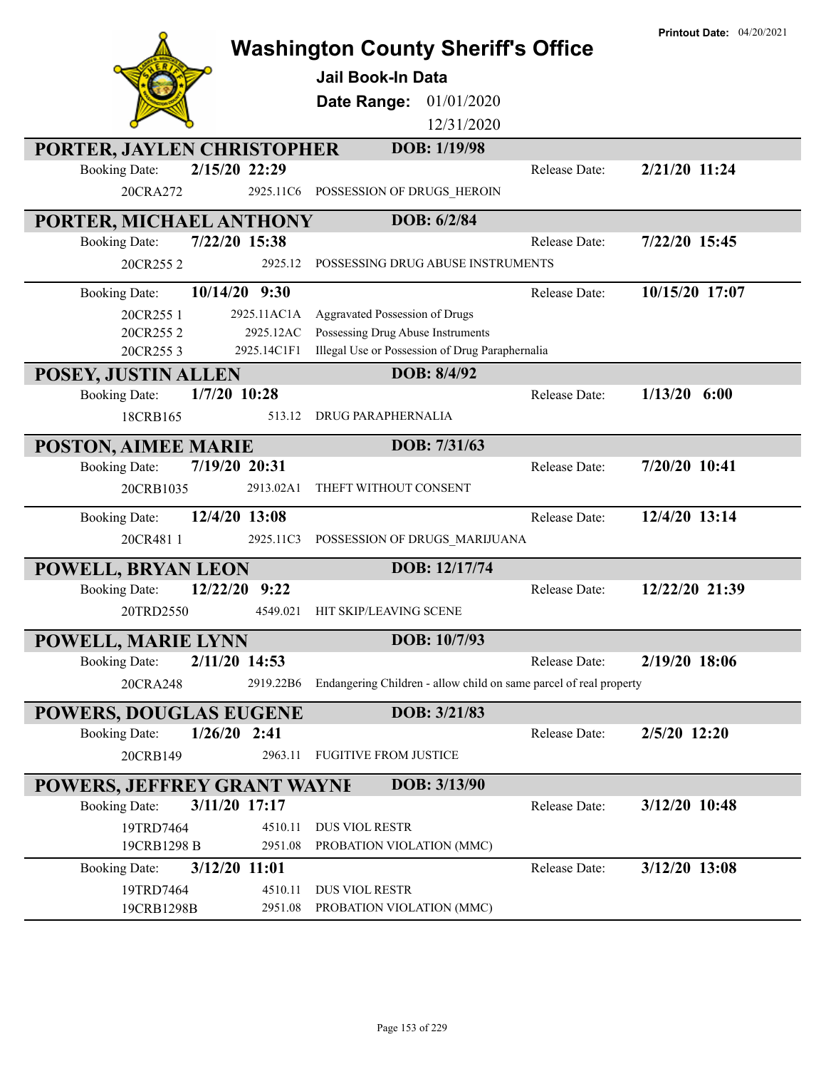|                                        |             | <b>Washington County Sheriff's Office</b><br><b>Jail Book-In Data</b> |               | <b>Printout Date: 04/20/2021</b> |
|----------------------------------------|-------------|-----------------------------------------------------------------------|---------------|----------------------------------|
|                                        |             | 01/01/2020<br>Date Range:                                             |               |                                  |
|                                        |             | 12/31/2020                                                            |               |                                  |
| PORTER, JAYLEN CHRISTOPHER             |             | DOB: 1/19/98                                                          |               |                                  |
| 2/15/20 22:29<br><b>Booking Date:</b>  |             |                                                                       | Release Date: | 2/21/20 11:24                    |
| 20CRA272                               | 2925.11C6   | POSSESSION OF DRUGS HEROIN                                            |               |                                  |
| PORTER, MICHAEL ANTHONY                |             | DOB: 6/2/84                                                           |               |                                  |
| 7/22/20 15:38<br><b>Booking Date:</b>  |             |                                                                       | Release Date: | 7/22/20 15:45                    |
| 20CR2552                               | 2925.12     | POSSESSING DRUG ABUSE INSTRUMENTS                                     |               |                                  |
| 10/14/20 9:30<br><b>Booking Date:</b>  |             |                                                                       | Release Date: | 10/15/20 17:07                   |
| 20CR255 1                              | 2925.11AC1A | Aggravated Possession of Drugs                                        |               |                                  |
| 20CR2552                               | 2925.12AC   | Possessing Drug Abuse Instruments                                     |               |                                  |
| 20CR2553                               | 2925.14C1F1 | Illegal Use or Possession of Drug Paraphernalia                       |               |                                  |
| POSEY, JUSTIN ALLEN                    |             | DOB: 8/4/92                                                           |               |                                  |
| $1/7/20$ 10:28<br><b>Booking Date:</b> |             |                                                                       | Release Date: | $1/13/20$ 6:00                   |
| 18CRB165                               | 513.12      | DRUG PARAPHERNALIA                                                    |               |                                  |
| POSTON, AIMEE MARIE                    |             | DOB: 7/31/63                                                          |               |                                  |
| 7/19/20 20:31<br><b>Booking Date:</b>  |             |                                                                       | Release Date: | 7/20/20 10:41                    |
| 20CRB1035                              | 2913.02A1   | THEFT WITHOUT CONSENT                                                 |               |                                  |
| 12/4/20 13:08<br><b>Booking Date:</b>  |             |                                                                       | Release Date: | 12/4/20 13:14                    |
| 20CR4811                               | 2925.11C3   | POSSESSION OF DRUGS_MARIJUANA                                         |               |                                  |
| POWELL, BRYAN LEON                     |             | DOB: 12/17/74                                                         |               |                                  |
| 12/22/20<br><b>Booking Date:</b>       | 9:22        |                                                                       | Release Date: | 12/22/20 21:39                   |
| 20TRD2550                              | 4549.021    | HIT SKIP/LEAVING SCENE                                                |               |                                  |
| POWELL, MARIE LYNN                     |             | DOB: 10/7/93                                                          |               |                                  |
| 2/11/20 14:53<br><b>Booking Date:</b>  |             |                                                                       | Release Date: | 2/19/20 18:06                    |
| 20CRA248                               | 2919.22B6   | Endangering Children - allow child on same parcel of real property    |               |                                  |
| <b>POWERS, DOUGLAS EUGENE</b>          |             | DOB: 3/21/83                                                          |               |                                  |
| $1/26/20$ 2:41<br><b>Booking Date:</b> |             |                                                                       | Release Date: | 2/5/20 12:20                     |
| 20CRB149                               | 2963.11     | <b>FUGITIVE FROM JUSTICE</b>                                          |               |                                  |
| POWERS, JEFFREY GRANT WAYNE            |             | DOB: 3/13/90                                                          |               |                                  |
| 3/11/20 17:17<br><b>Booking Date:</b>  |             |                                                                       | Release Date: | 3/12/20 10:48                    |
| 19TRD7464                              | 4510.11     | <b>DUS VIOL RESTR</b>                                                 |               |                                  |
| 19CRB1298 B                            | 2951.08     | PROBATION VIOLATION (MMC)                                             |               |                                  |
| 3/12/20 11:01<br><b>Booking Date:</b>  |             |                                                                       | Release Date: | 3/12/20 13:08                    |
| 19TRD7464                              | 4510.11     | <b>DUS VIOL RESTR</b>                                                 |               |                                  |
| 19CRB1298B                             | 2951.08     | PROBATION VIOLATION (MMC)                                             |               |                                  |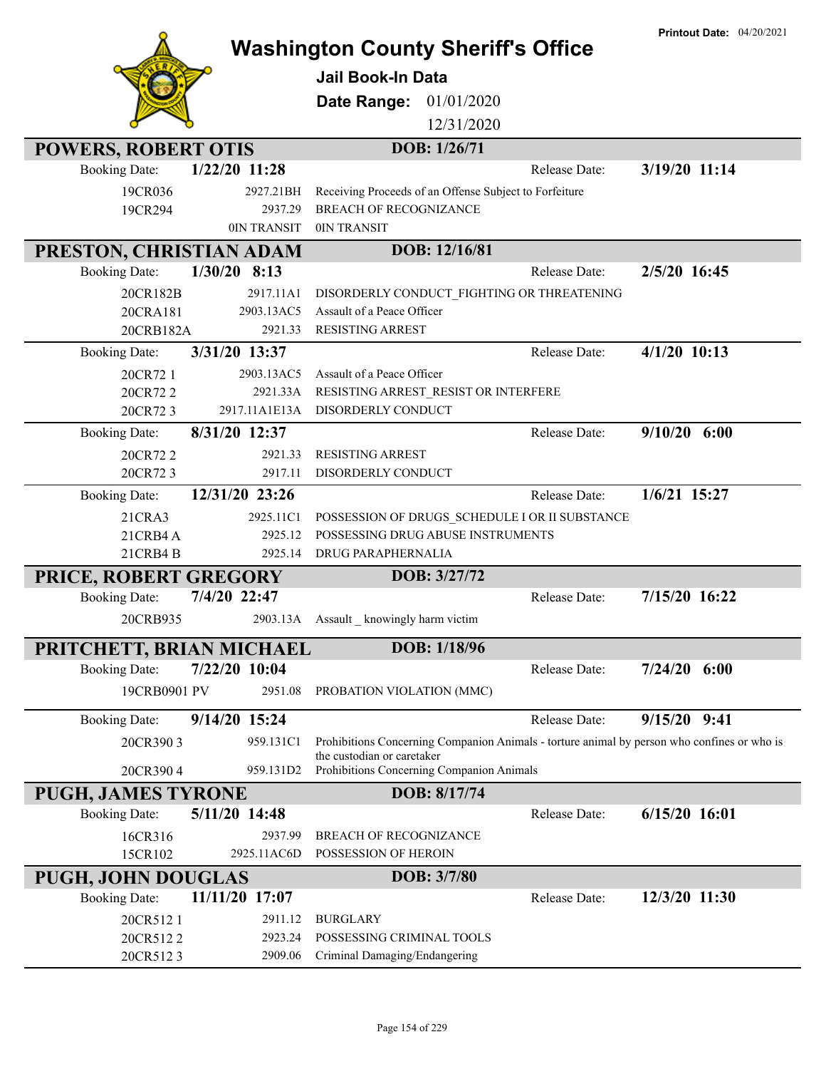|                                         |                       |                                                                                             | <b>Printout Date: 04/20/2021</b> |
|-----------------------------------------|-----------------------|---------------------------------------------------------------------------------------------|----------------------------------|
|                                         |                       | <b>Washington County Sheriff's Office</b>                                                   |                                  |
|                                         |                       | <b>Jail Book-In Data</b>                                                                    |                                  |
|                                         |                       | Date Range:<br>01/01/2020                                                                   |                                  |
|                                         |                       | 12/31/2020                                                                                  |                                  |
| <b>POWERS, ROBERT OTIS</b>              |                       | DOB: 1/26/71                                                                                |                                  |
| $1/22/20$ 11:28<br><b>Booking Date:</b> |                       | Release Date:                                                                               | 3/19/20 11:14                    |
| 19CR036                                 | 2927.21BH             | Receiving Proceeds of an Offense Subject to Forfeiture                                      |                                  |
| 19CR294                                 | 2937.29               | <b>BREACH OF RECOGNIZANCE</b>                                                               |                                  |
|                                         | 0IN TRANSIT           | 0IN TRANSIT                                                                                 |                                  |
| PRESTON, CHRISTIAN ADAM                 |                       | DOB: 12/16/81                                                                               |                                  |
| $1/30/20$ 8:13<br><b>Booking Date:</b>  |                       | Release Date:                                                                               | 2/5/20 16:45                     |
| 20CR182B                                | 2917.11A1             | DISORDERLY CONDUCT_FIGHTING OR THREATENING                                                  |                                  |
| 20CRA181<br>20CRB182A                   | 2903.13AC5<br>2921.33 | Assault of a Peace Officer<br><b>RESISTING ARREST</b>                                       |                                  |
| 3/31/20 13:37<br><b>Booking Date:</b>   |                       | Release Date:                                                                               | $\overline{4/1}/20$ 10:13        |
| 20CR72 1                                | 2903.13AC5            | Assault of a Peace Officer                                                                  |                                  |
| 20CR722                                 | 2921.33A              | RESISTING ARREST_RESIST OR INTERFERE                                                        |                                  |
| 20CR723                                 | 2917.11A1E13A         | DISORDERLY CONDUCT                                                                          |                                  |
| 8/31/20 12:37<br><b>Booking Date:</b>   |                       | Release Date:                                                                               | $9/10/20$ 6:00                   |
| 20CR722                                 | 2921.33               | <b>RESISTING ARREST</b>                                                                     |                                  |
| 20CR723                                 | 2917.11               | DISORDERLY CONDUCT                                                                          |                                  |
| 12/31/20 23:26<br><b>Booking Date:</b>  |                       | Release Date:                                                                               | 1/6/21 15:27                     |
| 21CRA3                                  | 2925.11C1             | POSSESSION OF DRUGS_SCHEDULE I OR II SUBSTANCE                                              |                                  |
| 21CRB4A                                 | 2925.12               | POSSESSING DRUG ABUSE INSTRUMENTS                                                           |                                  |
| 21CRB4B                                 | 2925.14               | DRUG PARAPHERNALIA                                                                          |                                  |
| PRICE, ROBERT GREGORY                   |                       | DOB: 3/27/72                                                                                |                                  |
| 7/4/20 22:47<br><b>Booking Date:</b>    |                       | Release Date:                                                                               | 7/15/20 16:22                    |
| 20CRB935                                |                       | 2903.13A Assault _ knowingly harm victim                                                    |                                  |
| PRITCHETT, BRIAN MICHAEL                |                       | DOB: 1/18/96                                                                                |                                  |
| 7/22/20 10:04<br><b>Booking Date:</b>   |                       | Release Date:                                                                               | $7/24/20$ 6:00                   |
| 19CRB0901 PV                            | 2951.08               | PROBATION VIOLATION (MMC)                                                                   |                                  |
| 9/14/20 15:24<br><b>Booking Date:</b>   |                       | Release Date:                                                                               | $9/15/20$ $9:41$                 |
| 20CR3903                                | 959.131C1             | Prohibitions Concerning Companion Animals - torture animal by person who confines or who is |                                  |
| 20CR3904                                | 959.131D2             | the custodian or caretaker<br>Prohibitions Concerning Companion Animals                     |                                  |
| <b>PUGH, JAMES TYRONE</b>               |                       | DOB: 8/17/74                                                                                |                                  |
| 5/11/20 14:48<br><b>Booking Date:</b>   |                       | Release Date:                                                                               | 6/15/20 16:01                    |
| 16CR316                                 | 2937.99               | BREACH OF RECOGNIZANCE                                                                      |                                  |
| 15CR102                                 | 2925.11AC6D           | POSSESSION OF HEROIN                                                                        |                                  |
| <b>PUGH, JOHN DOUGLAS</b>               |                       | DOB: 3/7/80                                                                                 |                                  |
| 11/11/20 17:07<br><b>Booking Date:</b>  |                       | Release Date:                                                                               | 12/3/20 11:30                    |
| 20CR5121                                | 2911.12               | <b>BURGLARY</b>                                                                             |                                  |
| 20CR5122                                | 2923.24               | POSSESSING CRIMINAL TOOLS                                                                   |                                  |
| 20CR5123                                | 2909.06               | Criminal Damaging/Endangering                                                               |                                  |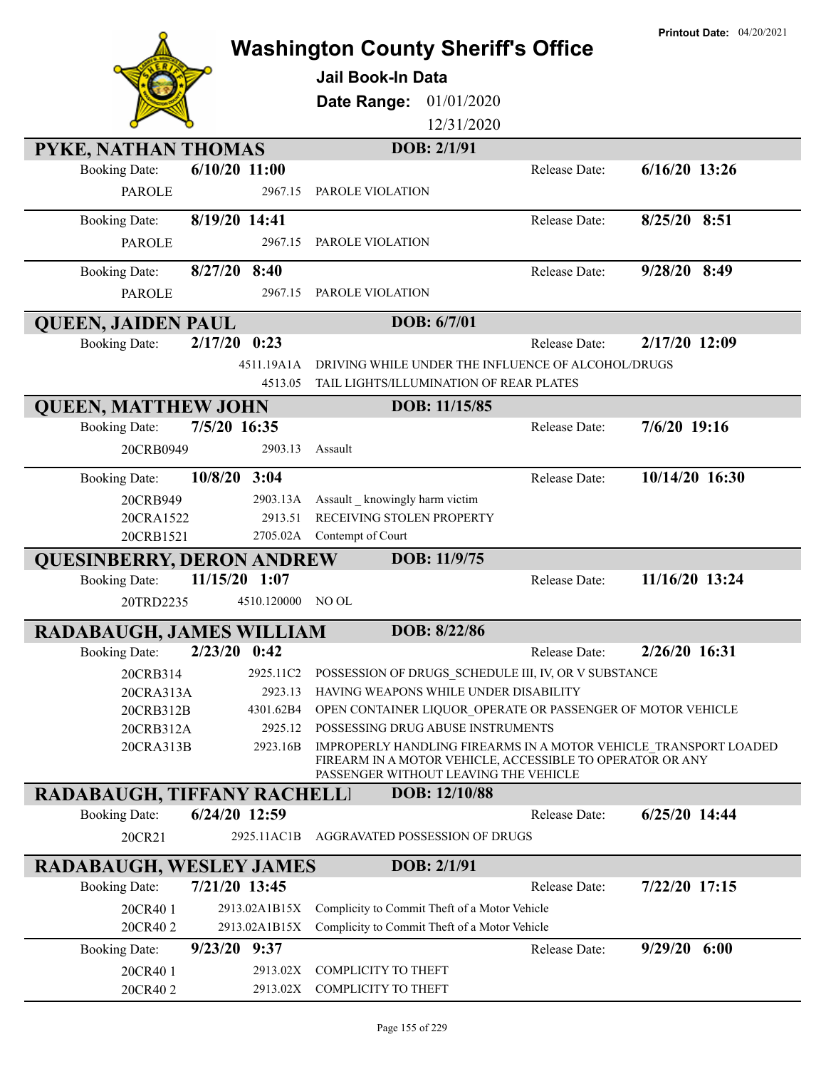|                                    |                 | <b>Washington County Sheriff's Office</b>                                                                                                                              |               | <b>Printout Date: 04/20/2021</b> |
|------------------------------------|-----------------|------------------------------------------------------------------------------------------------------------------------------------------------------------------------|---------------|----------------------------------|
|                                    |                 |                                                                                                                                                                        |               |                                  |
|                                    |                 | Jail Book-In Data                                                                                                                                                      |               |                                  |
|                                    |                 | 01/01/2020<br>Date Range:                                                                                                                                              |               |                                  |
|                                    |                 | 12/31/2020                                                                                                                                                             |               |                                  |
| PYKE, NATHAN THOMAS                |                 | DOB: 2/1/91                                                                                                                                                            |               |                                  |
| <b>Booking Date:</b>               | $6/10/20$ 11:00 |                                                                                                                                                                        | Release Date: | $6/16/20$ 13:26                  |
| <b>PAROLE</b>                      | 2967.15         | PAROLE VIOLATION                                                                                                                                                       |               |                                  |
| <b>Booking Date:</b>               | 8/19/20 14:41   |                                                                                                                                                                        | Release Date: | 8/25/20 8:51                     |
| <b>PAROLE</b>                      | 2967.15         | PAROLE VIOLATION                                                                                                                                                       |               |                                  |
| <b>Booking Date:</b>               | $8/27/20$ 8:40  |                                                                                                                                                                        | Release Date: | 9/28/20 8:49                     |
| <b>PAROLE</b>                      | 2967.15         | PAROLE VIOLATION                                                                                                                                                       |               |                                  |
| <b>QUEEN, JAIDEN PAUL</b>          |                 | DOB: 6/7/01                                                                                                                                                            |               |                                  |
| <b>Booking Date:</b>               | $2/17/20$ 0:23  |                                                                                                                                                                        | Release Date: | 2/17/20 12:09                    |
|                                    | 4511.19A1A      | DRIVING WHILE UNDER THE INFLUENCE OF ALCOHOL/DRUGS                                                                                                                     |               |                                  |
|                                    | 4513.05         | TAIL LIGHTS/ILLUMINATION OF REAR PLATES                                                                                                                                |               |                                  |
| <b>QUEEN, MATTHEW JOHN</b>         |                 | DOB: 11/15/85                                                                                                                                                          |               |                                  |
| <b>Booking Date:</b>               | 7/5/20 16:35    |                                                                                                                                                                        | Release Date: | 7/6/20 19:16                     |
| 20CRB0949                          | 2903.13         | Assault                                                                                                                                                                |               |                                  |
| <b>Booking Date:</b>               | 10/8/20 3:04    |                                                                                                                                                                        | Release Date: | 10/14/20 16:30                   |
| 20CRB949                           | 2903.13A        | Assault _ knowingly harm victim                                                                                                                                        |               |                                  |
| 20CRA1522                          | 2913.51         | RECEIVING STOLEN PROPERTY                                                                                                                                              |               |                                  |
| 20CRB1521                          |                 | 2705.02A Contempt of Court                                                                                                                                             |               |                                  |
| <b>QUESINBERRY, DERON ANDREW</b>   |                 | DOB: 11/9/75                                                                                                                                                           |               |                                  |
| <b>Booking Date:</b>               | 11/15/20 1:07   |                                                                                                                                                                        | Release Date: | 11/16/20 13:24                   |
| 20TRD2235                          | 4510.120000     | NO OL                                                                                                                                                                  |               |                                  |
| RADABAUGH, JAMES WILLIAM           |                 | DOB: 8/22/86                                                                                                                                                           |               |                                  |
| <b>Booking Date:</b>               | $2/23/20$ 0:42  |                                                                                                                                                                        | Release Date: | 2/26/20 16:31                    |
| 20CRB314                           | 2925.11C2       | POSSESSION OF DRUGS SCHEDULE III, IV, OR V SUBSTANCE                                                                                                                   |               |                                  |
| 20CRA313A                          | 2923.13         | HAVING WEAPONS WHILE UNDER DISABILITY                                                                                                                                  |               |                                  |
| 20CRB312B                          | 4301.62B4       | OPEN CONTAINER LIQUOR OPERATE OR PASSENGER OF MOTOR VEHICLE                                                                                                            |               |                                  |
| 20CRB312A                          | 2925.12         | POSSESSING DRUG ABUSE INSTRUMENTS                                                                                                                                      |               |                                  |
| 20CRA313B                          | 2923.16B        | IMPROPERLY HANDLING FIREARMS IN A MOTOR VEHICLE TRANSPORT LOADED<br>FIREARM IN A MOTOR VEHICLE, ACCESSIBLE TO OPERATOR OR ANY<br>PASSENGER WITHOUT LEAVING THE VEHICLE |               |                                  |
| <b>RADABAUGH, TIFFANY RACHELLI</b> |                 | DOB: 12/10/88                                                                                                                                                          |               |                                  |
| <b>Booking Date:</b>               | 6/24/20 12:59   |                                                                                                                                                                        | Release Date: | $6/25/20$ 14:44                  |
| 20CR21                             | 2925.11AC1B     | AGGRAVATED POSSESSION OF DRUGS                                                                                                                                         |               |                                  |
| <b>RADABAUGH, WESLEY JAMES</b>     |                 | DOB: 2/1/91                                                                                                                                                            |               |                                  |
| <b>Booking Date:</b>               | 7/21/20 13:45   |                                                                                                                                                                        | Release Date: | 7/22/20 17:15                    |
| 20CR40 1                           | 2913.02A1B15X   | Complicity to Commit Theft of a Motor Vehicle                                                                                                                          |               |                                  |
| 20CR402                            | 2913.02A1B15X   | Complicity to Commit Theft of a Motor Vehicle                                                                                                                          |               |                                  |
| 9/23/20<br><b>Booking Date:</b>    | 9:37            |                                                                                                                                                                        | Release Date: | $9/29/20$ 6:00                   |
| 20CR40 1                           | 2913.02X        | COMPLICITY TO THEFT                                                                                                                                                    |               |                                  |
| 20CR402                            | 2913.02X        | COMPLICITY TO THEFT                                                                                                                                                    |               |                                  |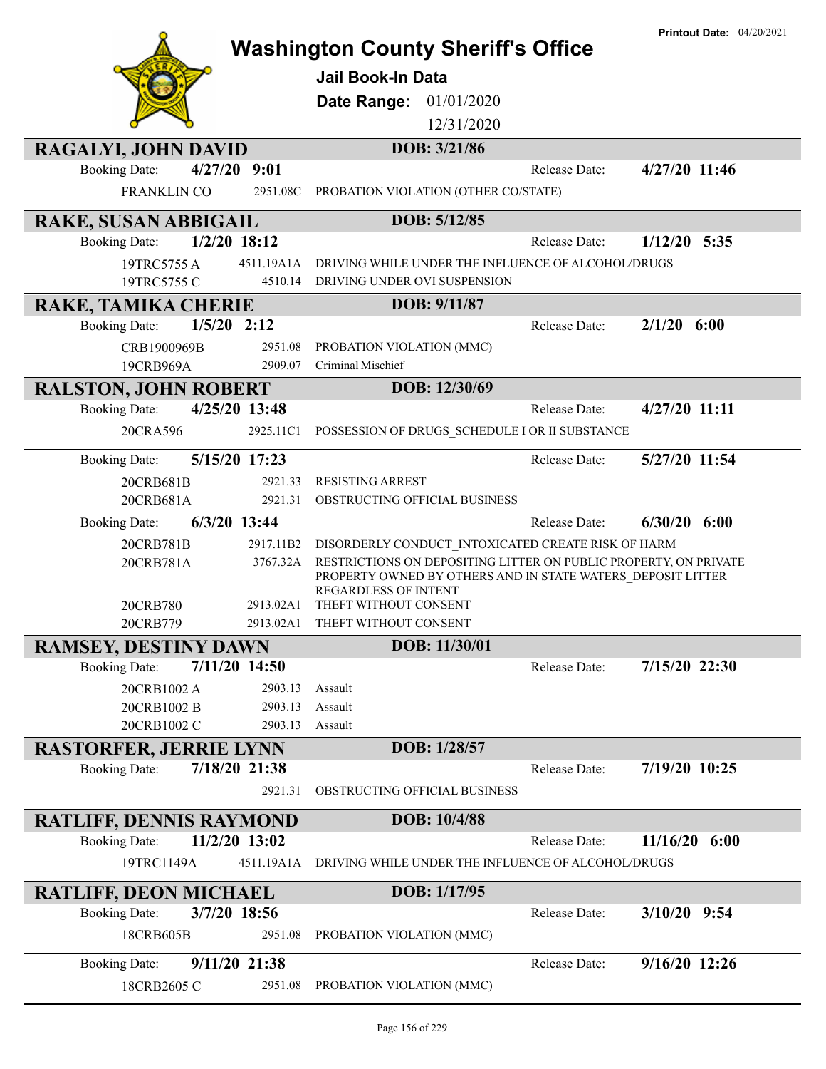|                                                                      |                        | <b>Washington County Sheriff's Office</b><br><b>Jail Book-In Data</b>                                                                                          |               | <b>Printout Date: 04/20/2021</b> |
|----------------------------------------------------------------------|------------------------|----------------------------------------------------------------------------------------------------------------------------------------------------------------|---------------|----------------------------------|
|                                                                      |                        | Date Range: 01/01/2020<br>12/31/2020                                                                                                                           |               |                                  |
| <b>RAGALYI, JOHN DAVID</b>                                           |                        | DOB: 3/21/86                                                                                                                                                   |               |                                  |
| 4/27/20 9:01<br><b>Booking Date:</b>                                 |                        |                                                                                                                                                                | Release Date: | 4/27/20 11:46                    |
| FRANKLIN CO                                                          | 2951.08C               | PROBATION VIOLATION (OTHER CO/STATE)                                                                                                                           |               |                                  |
| RAKE, SUSAN ABBIGAIL                                                 |                        | DOB: 5/12/85                                                                                                                                                   |               |                                  |
| $1/2/20$ 18:12<br><b>Booking Date:</b>                               |                        |                                                                                                                                                                | Release Date: | $1/12/20$ 5:35                   |
| 19TRC5755 A                                                          | 4511.19A1A             | DRIVING WHILE UNDER THE INFLUENCE OF ALCOHOL/DRUGS                                                                                                             |               |                                  |
| 19TRC5755 C                                                          | 4510.14                | DRIVING UNDER OVI SUSPENSION                                                                                                                                   |               |                                  |
| RAKE, TAMIKA CHERIE                                                  |                        | DOB: 9/11/87                                                                                                                                                   |               |                                  |
| $1/5/20$ 2:12<br><b>Booking Date:</b>                                |                        |                                                                                                                                                                | Release Date: | $2/1/20$ 6:00                    |
| CRB1900969B                                                          | 2951.08                | PROBATION VIOLATION (MMC)                                                                                                                                      |               |                                  |
| 19CRB969A                                                            | 2909.07                | Criminal Mischief                                                                                                                                              |               |                                  |
| <b>RALSTON, JOHN ROBERT</b>                                          |                        | DOB: 12/30/69                                                                                                                                                  |               |                                  |
| 4/25/20 13:48<br><b>Booking Date:</b>                                |                        |                                                                                                                                                                | Release Date: | 4/27/20 11:11                    |
| 20CRA596                                                             | 2925.11C1              | POSSESSION OF DRUGS_SCHEDULE I OR II SUBSTANCE                                                                                                                 |               |                                  |
| 5/15/20 17:23<br><b>Booking Date:</b>                                |                        |                                                                                                                                                                | Release Date: | 5/27/20 11:54                    |
| 20CRB681B                                                            | 2921.33                | <b>RESISTING ARREST</b>                                                                                                                                        |               |                                  |
| 20CRB681A                                                            | 2921.31                | OBSTRUCTING OFFICIAL BUSINESS                                                                                                                                  |               |                                  |
| 6/3/20 13:44<br><b>Booking Date:</b>                                 |                        |                                                                                                                                                                | Release Date: | $6/30/20$ $6:00$                 |
| 20CRB781B                                                            | 2917.11B2              | DISORDERLY CONDUCT INTOXICATED CREATE RISK OF HARM                                                                                                             |               |                                  |
| 20CRB781A                                                            | 3767.32A               | RESTRICTIONS ON DEPOSITING LITTER ON PUBLIC PROPERTY, ON PRIVATE<br>PROPERTY OWNED BY OTHERS AND IN STATE WATERS DEPOSIT LITTER<br><b>REGARDLESS OF INTENT</b> |               |                                  |
| 20CRB780<br>20CRB779                                                 | 2913.02A1<br>2913.02A1 | THEFT WITHOUT CONSENT<br>THEFT WITHOUT CONSENT                                                                                                                 |               |                                  |
|                                                                      |                        | DOB: 11/30/01                                                                                                                                                  |               |                                  |
| <b>RAMSEY, DESTINY DAWN</b><br>7/11/20 14:50<br><b>Booking Date:</b> |                        |                                                                                                                                                                | Release Date: | 7/15/20 22:30                    |
| 20CRB1002 A                                                          | 2903.13                | Assault                                                                                                                                                        |               |                                  |
| 20CRB1002 B                                                          | 2903.13                | Assault                                                                                                                                                        |               |                                  |
| 20CRB1002 C                                                          | 2903.13                | Assault                                                                                                                                                        |               |                                  |
| <b>RASTORFER, JERRIE LYNN</b>                                        |                        | DOB: 1/28/57                                                                                                                                                   |               |                                  |
| 7/18/20 21:38<br><b>Booking Date:</b>                                |                        |                                                                                                                                                                | Release Date: | 7/19/20 10:25                    |
|                                                                      | 2921.31                | OBSTRUCTING OFFICIAL BUSINESS                                                                                                                                  |               |                                  |
| <b>RATLIFF, DENNIS RAYMOND</b>                                       |                        | DOB: 10/4/88                                                                                                                                                   |               |                                  |
| 11/2/20 13:02<br><b>Booking Date:</b>                                |                        |                                                                                                                                                                | Release Date: | 11/16/20<br>6:00                 |
| 19TRC1149A                                                           | 4511.19A1A             | DRIVING WHILE UNDER THE INFLUENCE OF ALCOHOL/DRUGS                                                                                                             |               |                                  |
| <b>RATLIFF, DEON MICHAEL</b>                                         |                        | DOB: 1/17/95                                                                                                                                                   |               |                                  |
| 3/7/20 18:56<br><b>Booking Date:</b>                                 |                        |                                                                                                                                                                | Release Date: | $3/10/20$ 9:54                   |
| 18CRB605B                                                            | 2951.08                | PROBATION VIOLATION (MMC)                                                                                                                                      |               |                                  |
| 9/11/20 21:38                                                        |                        |                                                                                                                                                                | Release Date: | 9/16/20 12:26                    |
| <b>Booking Date:</b><br>18CRB2605 C                                  | 2951.08                | PROBATION VIOLATION (MMC)                                                                                                                                      |               |                                  |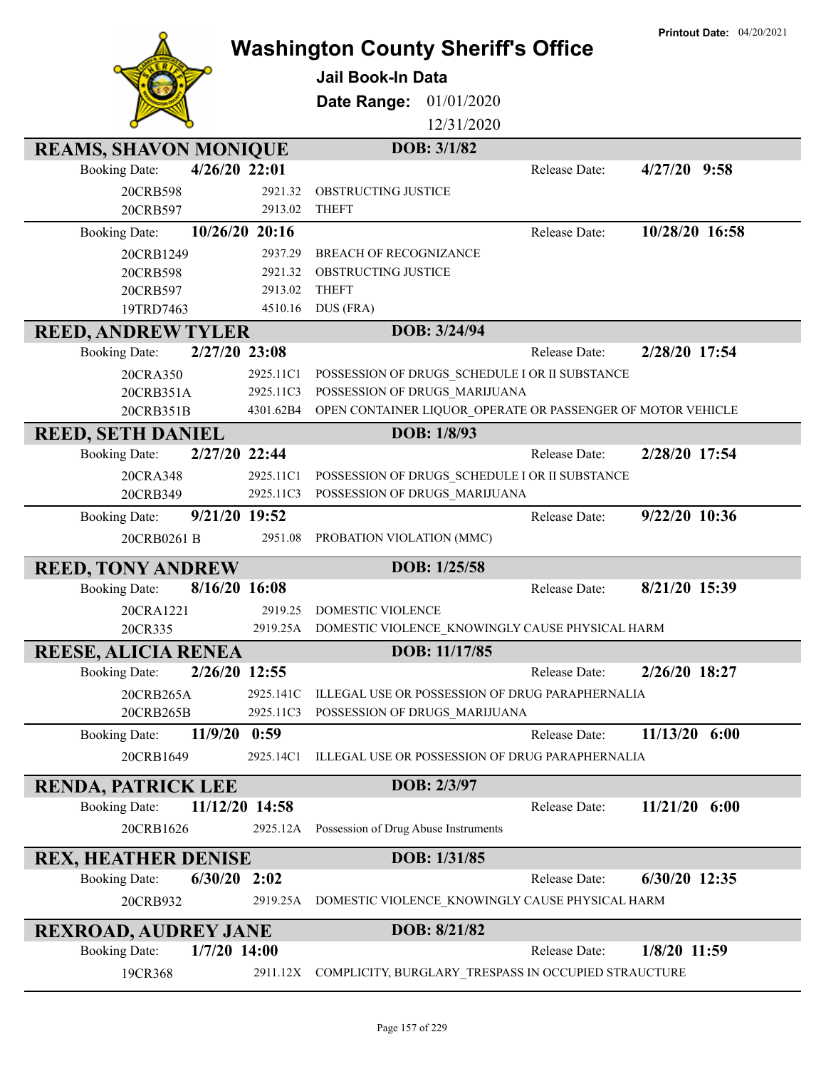|                                                                       |           | <b>Washington County Sheriff's Office</b>                     |               | <b>Printout Date: 04/20/2021</b> |
|-----------------------------------------------------------------------|-----------|---------------------------------------------------------------|---------------|----------------------------------|
|                                                                       |           |                                                               |               |                                  |
|                                                                       |           | Jail Book-In Data                                             |               |                                  |
|                                                                       |           | 01/01/2020<br>Date Range:<br>12/31/2020                       |               |                                  |
|                                                                       |           |                                                               |               |                                  |
| <b>REAMS, SHAVON MONIQUE</b><br>4/26/20 22:01<br><b>Booking Date:</b> |           | DOB: 3/1/82                                                   | Release Date: | $4/27/20$ 9:58                   |
| 20CRB598                                                              | 2921.32   | OBSTRUCTING JUSTICE                                           |               |                                  |
| 20CRB597                                                              | 2913.02   | <b>THEFT</b>                                                  |               |                                  |
| 10/26/20 20:16<br><b>Booking Date:</b>                                |           |                                                               | Release Date: | 10/28/20 16:58                   |
| 20CRB1249                                                             | 2937.29   | BREACH OF RECOGNIZANCE                                        |               |                                  |
| 20CRB598                                                              | 2921.32   | OBSTRUCTING JUSTICE                                           |               |                                  |
| 20CRB597                                                              | 2913.02   | <b>THEFT</b>                                                  |               |                                  |
| 19TRD7463                                                             | 4510.16   | DUS (FRA)                                                     |               |                                  |
| <b>REED, ANDREW TYLER</b>                                             |           | DOB: 3/24/94                                                  |               |                                  |
| 2/27/20 23:08<br><b>Booking Date:</b>                                 |           |                                                               | Release Date: | 2/28/20 17:54                    |
| 20CRA350                                                              | 2925.11C1 | POSSESSION OF DRUGS_SCHEDULE I OR II SUBSTANCE                |               |                                  |
| 20CRB351A                                                             | 2925.11C3 | POSSESSION OF DRUGS MARIJUANA                                 |               |                                  |
| 20CRB351B                                                             | 4301.62B4 | OPEN CONTAINER LIQUOR_OPERATE OR PASSENGER OF MOTOR VEHICLE   |               |                                  |
| <b>REED, SETH DANIEL</b>                                              |           | DOB: 1/8/93                                                   |               |                                  |
| 2/27/20 22:44<br><b>Booking Date:</b>                                 |           |                                                               | Release Date: | 2/28/20 17:54                    |
| 20CRA348                                                              | 2925.11C1 | POSSESSION OF DRUGS SCHEDULE I OR II SUBSTANCE                |               |                                  |
| 20CRB349                                                              | 2925.11C3 | POSSESSION OF DRUGS MARIJUANA                                 |               |                                  |
| 9/21/20 19:52<br><b>Booking Date:</b>                                 |           |                                                               | Release Date: | 9/22/20 10:36                    |
| 20CRB0261 B                                                           | 2951.08   | PROBATION VIOLATION (MMC)                                     |               |                                  |
| <b>REED, TONY ANDREW</b>                                              |           | DOB: 1/25/58                                                  |               |                                  |
| 8/16/20 16:08<br><b>Booking Date:</b>                                 |           |                                                               | Release Date: | 8/21/20 15:39                    |
| 20CRA1221                                                             | 2919.25   | <b>DOMESTIC VIOLENCE</b>                                      |               |                                  |
| 20CR335                                                               |           | 2919.25A DOMESTIC VIOLENCE_KNOWINGLY CAUSE PHYSICAL HARM      |               |                                  |
| <b>REESE, ALICIA RENEA</b>                                            |           | DOB: 11/17/85                                                 |               |                                  |
| 2/26/20 12:55<br><b>Booking Date:</b>                                 |           |                                                               | Release Date: | 2/26/20 18:27                    |
| 20CRB265A                                                             | 2925.141C | ILLEGAL USE OR POSSESSION OF DRUG PARAPHERNALIA               |               |                                  |
| 20CRB265B                                                             | 2925.11C3 | POSSESSION OF DRUGS_MARIJUANA                                 |               |                                  |
| 11/9/20 0:59<br><b>Booking Date:</b>                                  |           |                                                               | Release Date: | $11/13/20$ 6:00                  |
| 20CRB1649                                                             | 2925.14C1 | ILLEGAL USE OR POSSESSION OF DRUG PARAPHERNALIA               |               |                                  |
| <b>RENDA, PATRICK LEE</b>                                             |           | DOB: 2/3/97                                                   |               |                                  |
| 11/12/20 14:58<br><b>Booking Date:</b>                                |           |                                                               | Release Date: | $11/21/20$ 6:00                  |
| 20CRB1626                                                             | 2925.12A  | Possession of Drug Abuse Instruments                          |               |                                  |
| <b>REX, HEATHER DENISE</b>                                            |           | DOB: 1/31/85                                                  |               |                                  |
| $6/30/20$ 2:02<br><b>Booking Date:</b>                                |           |                                                               | Release Date: | 6/30/20 12:35                    |
| 20CRB932                                                              | 2919.25A  | DOMESTIC VIOLENCE_KNOWINGLY CAUSE PHYSICAL HARM               |               |                                  |
| <b>REXROAD, AUDREY JANE</b>                                           |           | DOB: 8/21/82                                                  |               |                                  |
| $1/7/20$ 14:00<br><b>Booking Date:</b>                                |           |                                                               | Release Date: | 1/8/20 11:59                     |
| 19CR368                                                               |           | 2911.12X COMPLICITY, BURGLARY_TRESPASS IN OCCUPIED STRAUCTURE |               |                                  |
|                                                                       |           |                                                               |               |                                  |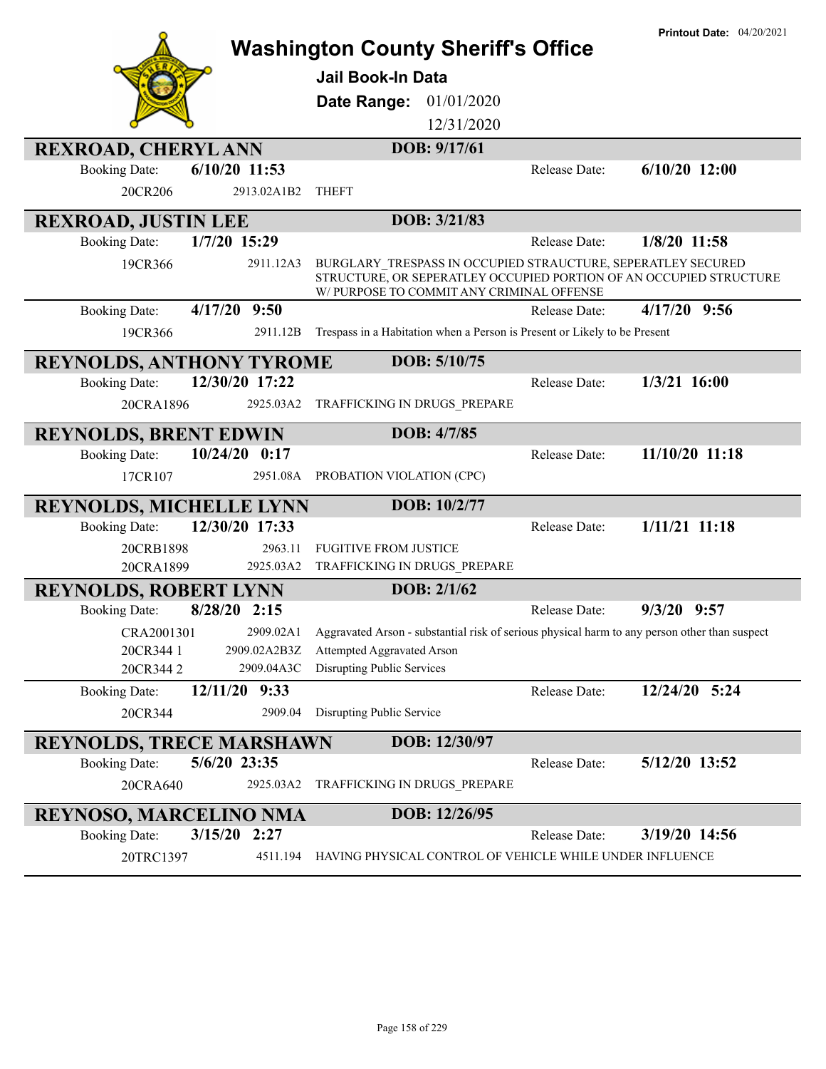|                                          | <b>Washington County Sheriff's Office</b>                                                                                                                                       |               | <b>Printout Date: 04/20/2021</b> |
|------------------------------------------|---------------------------------------------------------------------------------------------------------------------------------------------------------------------------------|---------------|----------------------------------|
|                                          | <b>Jail Book-In Data</b>                                                                                                                                                        |               |                                  |
|                                          | 01/01/2020<br>Date Range:                                                                                                                                                       |               |                                  |
|                                          | 12/31/2020                                                                                                                                                                      |               |                                  |
| <b>REXROAD, CHERYLANN</b>                | DOB: 9/17/61                                                                                                                                                                    |               |                                  |
| 6/10/20 11:53<br><b>Booking Date:</b>    |                                                                                                                                                                                 | Release Date: | $6/10/20$ 12:00                  |
| 20CR206<br>2913.02A1B2                   | <b>THEFT</b>                                                                                                                                                                    |               |                                  |
| <b>REXROAD, JUSTIN LEE</b>               | DOB: 3/21/83                                                                                                                                                                    |               |                                  |
| 1/7/20 15:29<br><b>Booking Date:</b>     |                                                                                                                                                                                 | Release Date: | 1/8/20 11:58                     |
| 2911.12A3<br>19CR366                     | BURGLARY_TRESPASS IN OCCUPIED STRAUCTURE, SEPERATLEY SECURED<br>STRUCTURE, OR SEPERATLEY OCCUPIED PORTION OF AN OCCUPIED STRUCTURE<br>W/ PURPOSE TO COMMIT ANY CRIMINAL OFFENSE |               |                                  |
| 4/17/20 9:50<br><b>Booking Date:</b>     |                                                                                                                                                                                 | Release Date: | $4/17/20$ 9:56                   |
| 2911.12B<br>19CR366                      | Trespass in a Habitation when a Person is Present or Likely to be Present                                                                                                       |               |                                  |
| <b>REYNOLDS, ANTHONY TYROME</b>          | DOB: 5/10/75                                                                                                                                                                    |               |                                  |
| 12/30/20 17:22<br><b>Booking Date:</b>   |                                                                                                                                                                                 | Release Date: | $1/3/21$ 16:00                   |
| 20CRA1896<br>2925.03A2                   | TRAFFICKING IN DRUGS PREPARE                                                                                                                                                    |               |                                  |
| <b>REYNOLDS, BRENT EDWIN</b>             | DOB: 4/7/85                                                                                                                                                                     |               |                                  |
| $10/24/20$ 0:17<br><b>Booking Date:</b>  |                                                                                                                                                                                 | Release Date: | 11/10/20 11:18                   |
| 17CR107<br>2951.08A                      | PROBATION VIOLATION (CPC)                                                                                                                                                       |               |                                  |
| <b>REYNOLDS, MICHELLE LYNN</b>           | DOB: 10/2/77                                                                                                                                                                    |               |                                  |
| 12/30/20 17:33<br><b>Booking Date:</b>   |                                                                                                                                                                                 | Release Date: | $1/11/21$ 11:18                  |
| 2963.11<br>20CRB1898                     | <b>FUGITIVE FROM JUSTICE</b>                                                                                                                                                    |               |                                  |
| 2925.03A2<br>20CRA1899                   | TRAFFICKING IN DRUGS PREPARE                                                                                                                                                    |               |                                  |
| <b>REYNOLDS, ROBERT LYNN</b>             | DOB: 2/1/62                                                                                                                                                                     |               | $9/3/20$ $9:57$                  |
| 8/28/20 2:15<br><b>Booking Date:</b>     |                                                                                                                                                                                 | Release Date: |                                  |
| CRA2001301<br>20CR344 1<br>2909.02A2B3Z  | 2909.02A1 Aggravated Arson - substantial risk of serious physical harm to any person other than suspect<br>Attempted Aggravated Arson                                           |               |                                  |
| 20CR3442<br>2909.04A3C                   | Disrupting Public Services                                                                                                                                                      |               |                                  |
| 12/11/20<br>9:33<br><b>Booking Date:</b> |                                                                                                                                                                                 | Release Date: | 12/24/20 5:24                    |
| 20CR344<br>2909.04                       | Disrupting Public Service                                                                                                                                                       |               |                                  |
| <b>REYNOLDS, TRECE MARSHAWN</b>          | DOB: 12/30/97                                                                                                                                                                   |               |                                  |
| 5/6/20 23:35<br><b>Booking Date:</b>     |                                                                                                                                                                                 | Release Date: | 5/12/20 13:52                    |
| 20CRA640<br>2925.03A2                    | TRAFFICKING IN DRUGS_PREPARE                                                                                                                                                    |               |                                  |
| <b>REYNOSO, MARCELINO NMA</b>            | DOB: 12/26/95                                                                                                                                                                   |               |                                  |
| 3/15/20 2:27<br><b>Booking Date:</b>     |                                                                                                                                                                                 | Release Date: | 3/19/20 14:56                    |
| 20TRC1397<br>4511.194                    | HAVING PHYSICAL CONTROL OF VEHICLE WHILE UNDER INFLUENCE                                                                                                                        |               |                                  |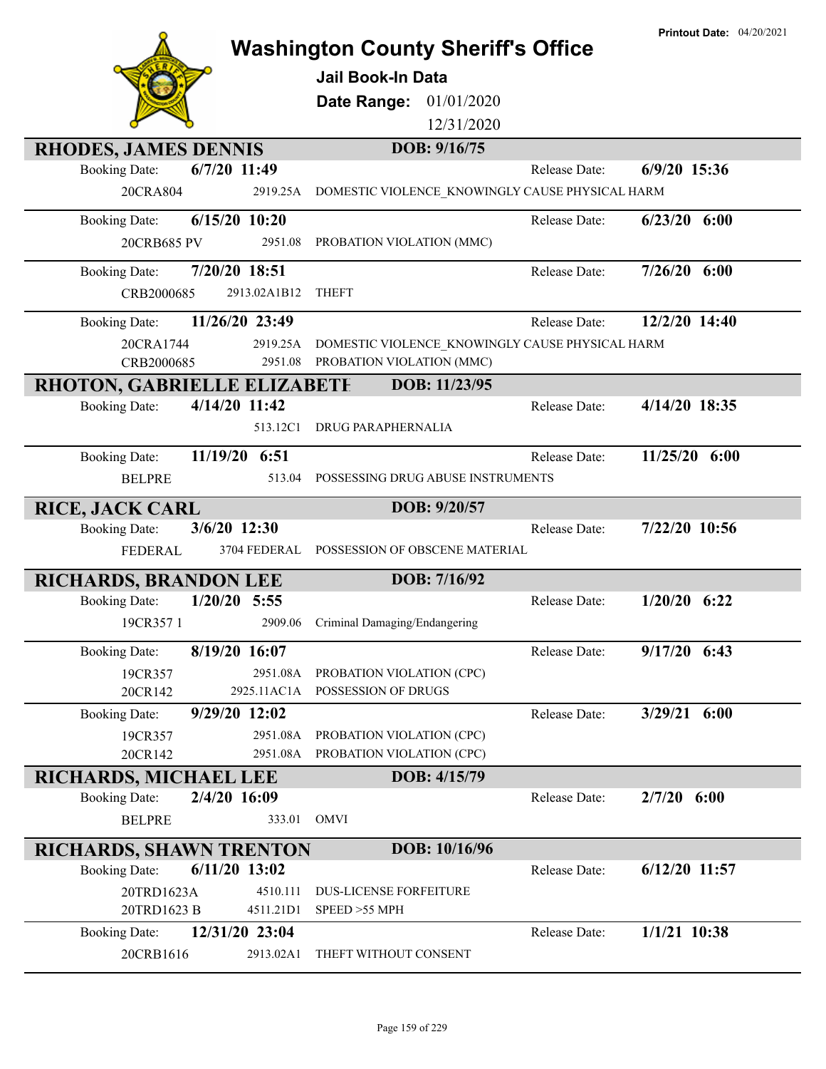|                                                      |                             | <b>Washington County Sheriff's Office</b>        |               | <b>Printout Date: 04/20/2021</b> |
|------------------------------------------------------|-----------------------------|--------------------------------------------------|---------------|----------------------------------|
|                                                      |                             | <b>Jail Book-In Data</b>                         |               |                                  |
|                                                      |                             |                                                  |               |                                  |
|                                                      |                             | Date Range:<br>01/01/2020<br>12/31/2020          |               |                                  |
|                                                      |                             |                                                  |               |                                  |
| <b>RHODES, JAMES DENNIS</b><br><b>Booking Date:</b>  | $6/7/20$ 11:49              | DOB: 9/16/75                                     | Release Date: | $6/9/20$ 15:36                   |
| 20CRA804                                             | 2919.25A                    | DOMESTIC VIOLENCE_KNOWINGLY CAUSE PHYSICAL HARM  |               |                                  |
|                                                      |                             |                                                  |               |                                  |
| <b>Booking Date:</b>                                 | $6/15/20$ 10:20             |                                                  | Release Date: | $6/23/20$ $6:00$                 |
| 20CRB685 PV                                          | 2951.08                     | PROBATION VIOLATION (MMC)                        |               |                                  |
| <b>Booking Date:</b>                                 | 7/20/20 18:51               |                                                  | Release Date: | $7/26/20$ 6:00                   |
| CRB2000685                                           | 2913.02A1B12                | <b>THEFT</b>                                     |               |                                  |
| <b>Booking Date:</b>                                 | 11/26/20 23:49              |                                                  | Release Date: | 12/2/20 14:40                    |
| 20CRA1744                                            | 2919.25A                    | DOMESTIC VIOLENCE KNOWINGLY CAUSE PHYSICAL HARM  |               |                                  |
| CRB2000685                                           | 2951.08                     | PROBATION VIOLATION (MMC)                        |               |                                  |
| <b>RHOTON, GABRIELLE ELIZABETE</b>                   |                             | DOB: 11/23/95                                    |               |                                  |
| <b>Booking Date:</b>                                 | 4/14/20 11:42               |                                                  | Release Date: | 4/14/20 18:35                    |
|                                                      | 513.12C1                    | DRUG PARAPHERNALIA                               |               |                                  |
| <b>Booking Date:</b>                                 | 11/19/20 6:51               |                                                  | Release Date: | 11/25/20 6:00                    |
| <b>BELPRE</b>                                        | 513.04                      | POSSESSING DRUG ABUSE INSTRUMENTS                |               |                                  |
| <b>RICE, JACK CARL</b>                               |                             | DOB: 9/20/57                                     |               |                                  |
|                                                      |                             |                                                  |               |                                  |
| <b>Booking Date:</b>                                 | 3/6/20 12:30                |                                                  | Release Date: | 7/22/20 10:56                    |
| <b>FEDERAL</b>                                       | 3704 FEDERAL                | POSSESSION OF OBSCENE MATERIAL                   |               |                                  |
|                                                      |                             | DOB: 7/16/92                                     |               |                                  |
| <b>RICHARDS, BRANDON LEE</b><br><b>Booking Date:</b> | $1/20/20$ 5:55              |                                                  | Release Date: | $1/20/20$ 6:22                   |
| 19CR357 1                                            | 2909.06                     | Criminal Damaging/Endangering                    |               |                                  |
|                                                      |                             |                                                  |               |                                  |
| <b>Booking Date:</b>                                 | 8/19/20 16:07<br>2951.08A   |                                                  | Release Date: | $9/17/20$ 6:43                   |
| 19CR357<br>20CR142                                   | 2925.11AC1A                 | PROBATION VIOLATION (CPC)<br>POSSESSION OF DRUGS |               |                                  |
| <b>Booking Date:</b>                                 | 9/29/20 12:02               |                                                  | Release Date: | 3/29/21 6:00                     |
| 19CR357                                              | 2951.08A                    | PROBATION VIOLATION (CPC)                        |               |                                  |
| 20CR142                                              | 2951.08A                    | PROBATION VIOLATION (CPC)                        |               |                                  |
| <b>RICHARDS, MICHAEL LEE</b>                         |                             | DOB: 4/15/79                                     |               |                                  |
| <b>Booking Date:</b>                                 | 2/4/20 16:09                |                                                  | Release Date: | $2/7/20$ 6:00                    |
| <b>BELPRE</b>                                        | 333.01                      | OMVI                                             |               |                                  |
| <b>RICHARDS, SHAWN TRENTON</b>                       |                             | DOB: 10/16/96                                    |               |                                  |
| <b>Booking Date:</b>                                 | $6/11/20$ 13:02             |                                                  | Release Date: | $6/12/20$ 11:57                  |
| 20TRD1623A                                           | 4510.111                    | <b>DUS-LICENSE FORFEITURE</b>                    |               |                                  |
| 20TRD1623 B                                          | 4511.21D1                   | SPEED >55 MPH                                    |               |                                  |
| <b>Booking Date:</b><br>20CRB1616                    | 12/31/20 23:04<br>2913.02A1 | THEFT WITHOUT CONSENT                            | Release Date: | $1/1/21$ 10:38                   |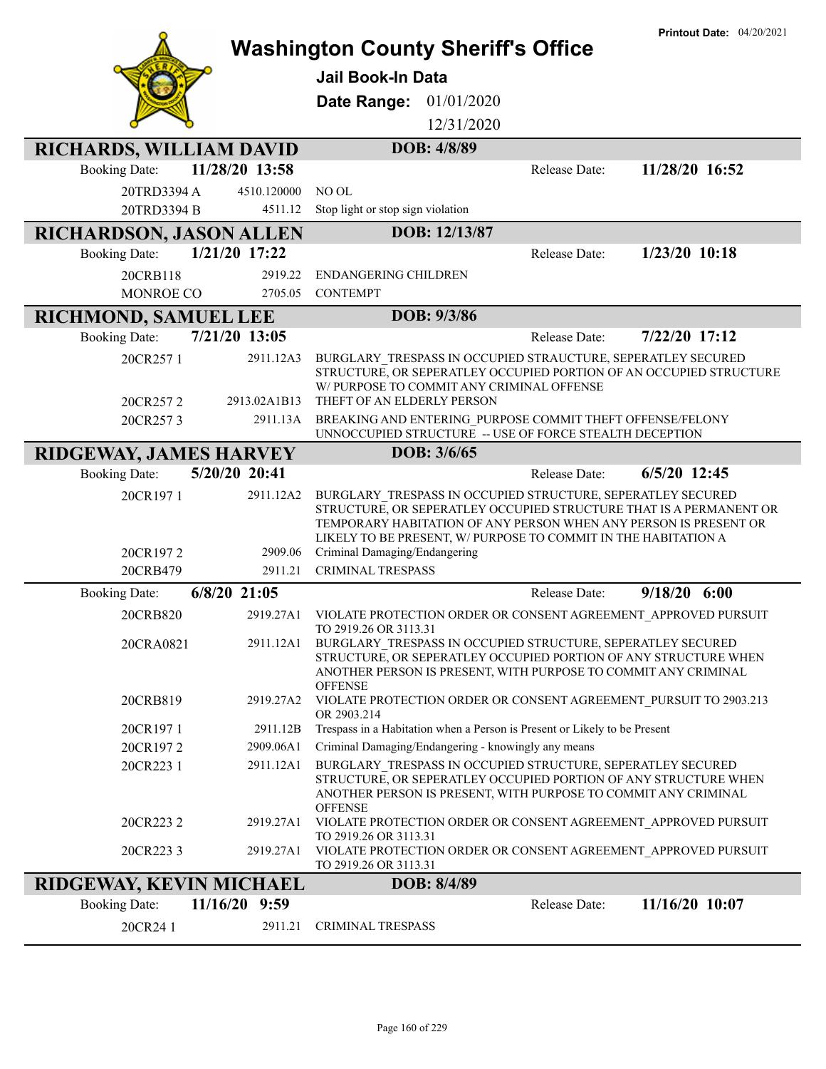|                                |                | <b>Washington County Sheriff's Office</b>                                                                                                                                                                                                                               | <b>Printout Date: 04/20/2021</b> |
|--------------------------------|----------------|-------------------------------------------------------------------------------------------------------------------------------------------------------------------------------------------------------------------------------------------------------------------------|----------------------------------|
|                                |                | Jail Book-In Data                                                                                                                                                                                                                                                       |                                  |
|                                |                |                                                                                                                                                                                                                                                                         |                                  |
|                                |                | Date Range:<br>01/01/2020                                                                                                                                                                                                                                               |                                  |
|                                |                | 12/31/2020                                                                                                                                                                                                                                                              |                                  |
| <b>RICHARDS, WILLIAM DAVID</b> |                | DOB: 4/8/89                                                                                                                                                                                                                                                             |                                  |
| <b>Booking Date:</b>           | 11/28/20 13:58 | Release Date:                                                                                                                                                                                                                                                           | 11/28/20 16:52                   |
| 20TRD3394 A                    | 4510.120000    | NO OL                                                                                                                                                                                                                                                                   |                                  |
| 20TRD3394 B                    | 4511.12        | Stop light or stop sign violation                                                                                                                                                                                                                                       |                                  |
| <b>RICHARDSON, JASON ALLEN</b> |                | DOB: 12/13/87                                                                                                                                                                                                                                                           |                                  |
| <b>Booking Date:</b>           | 1/21/20 17:22  | Release Date:                                                                                                                                                                                                                                                           | $1/23/20$ 10:18                  |
| 20CRB118                       | 2919.22        | ENDANGERING CHILDREN                                                                                                                                                                                                                                                    |                                  |
| <b>MONROE CO</b>               | 2705.05        | <b>CONTEMPT</b>                                                                                                                                                                                                                                                         |                                  |
| <b>RICHMOND, SAMUEL LEE</b>    |                | DOB: 9/3/86                                                                                                                                                                                                                                                             |                                  |
| <b>Booking Date:</b>           | 7/21/20 13:05  | Release Date:                                                                                                                                                                                                                                                           | 7/22/20 17:12                    |
| 20CR257 1                      | 2911.12A3      | BURGLARY TRESPASS IN OCCUPIED STRAUCTURE, SEPERATLEY SECURED<br>STRUCTURE, OR SEPERATLEY OCCUPIED PORTION OF AN OCCUPIED STRUCTURE<br>W/PURPOSE TO COMMIT ANY CRIMINAL OFFENSE                                                                                          |                                  |
| 20CR2572                       | 2913.02A1B13   | THEFT OF AN ELDERLY PERSON                                                                                                                                                                                                                                              |                                  |
| 20CR2573                       | 2911.13A       | BREAKING AND ENTERING PURPOSE COMMIT THEFT OFFENSE/FELONY<br>UNNOCCUPIED STRUCTURE -- USE OF FORCE STEALTH DECEPTION                                                                                                                                                    |                                  |
| RIDGEWAY, JAMES HARVEY         |                | DOB: 3/6/65                                                                                                                                                                                                                                                             |                                  |
| <b>Booking Date:</b>           | 5/20/20 20:41  | Release Date:                                                                                                                                                                                                                                                           | 6/5/20 12:45                     |
| 20CR1971                       | 2911.12A2      | BURGLARY TRESPASS IN OCCUPIED STRUCTURE, SEPERATLEY SECURED<br>STRUCTURE, OR SEPERATLEY OCCUPIED STRUCTURE THAT IS A PERMANENT OR<br>TEMPORARY HABITATION OF ANY PERSON WHEN ANY PERSON IS PRESENT OR<br>LIKELY TO BE PRESENT, W/ PURPOSE TO COMMIT IN THE HABITATION A |                                  |
| 20CR1972                       | 2909.06        | Criminal Damaging/Endangering                                                                                                                                                                                                                                           |                                  |
| 20CRB479                       | 2911.21        | <b>CRIMINAL TRESPASS</b>                                                                                                                                                                                                                                                |                                  |
| <b>Booking Date:</b>           | $6/8/20$ 21:05 | Release Date:                                                                                                                                                                                                                                                           | $9/18/20$ 6:00                   |
| 20CRB820                       | 2919.27A1      | VIOLATE PROTECTION ORDER OR CONSENT AGREEMENT APPROVED PURSUIT<br>TO 2919.26 OR 3113.31                                                                                                                                                                                 |                                  |
| 20CRA0821                      | 2911.12A1      | BURGLARY TRESPASS IN OCCUPIED STRUCTURE, SEPERATLEY SECURED<br>STRUCTURE, OR SEPERATLEY OCCUPIED PORTION OF ANY STRUCTURE WHEN<br>ANOTHER PERSON IS PRESENT, WITH PURPOSE TO COMMIT ANY CRIMINAL<br><b>OFFENSE</b>                                                      |                                  |
| 20CRB819                       | 2919.27A2      | VIOLATE PROTECTION ORDER OR CONSENT AGREEMENT PURSUIT TO 2903.213<br>OR 2903.214                                                                                                                                                                                        |                                  |
| 20CR1971                       | 2911.12B       | Trespass in a Habitation when a Person is Present or Likely to be Present                                                                                                                                                                                               |                                  |
| 20CR1972                       | 2909.06A1      | Criminal Damaging/Endangering - knowingly any means                                                                                                                                                                                                                     |                                  |
| 20CR223 1                      | 2911.12A1      | BURGLARY_TRESPASS IN OCCUPIED STRUCTURE, SEPERATLEY SECURED<br>STRUCTURE, OR SEPERATLEY OCCUPIED PORTION OF ANY STRUCTURE WHEN<br>ANOTHER PERSON IS PRESENT, WITH PURPOSE TO COMMIT ANY CRIMINAL<br><b>OFFENSE</b>                                                      |                                  |
| 20CR223 2                      | 2919.27A1      | VIOLATE PROTECTION ORDER OR CONSENT AGREEMENT APPROVED PURSUIT<br>TO 2919.26 OR 3113.31                                                                                                                                                                                 |                                  |
| 20CR2233                       | 2919.27A1      | VIOLATE PROTECTION ORDER OR CONSENT AGREEMENT APPROVED PURSUIT<br>TO 2919.26 OR 3113.31                                                                                                                                                                                 |                                  |
| RIDGEWAY, KEVIN MICHAEL        |                | DOB: 8/4/89                                                                                                                                                                                                                                                             |                                  |
| <b>Booking Date:</b>           | 11/16/20 9:59  | Release Date:                                                                                                                                                                                                                                                           | 11/16/20 10:07                   |
| 20CR24 1                       | 2911.21        | <b>CRIMINAL TRESPASS</b>                                                                                                                                                                                                                                                |                                  |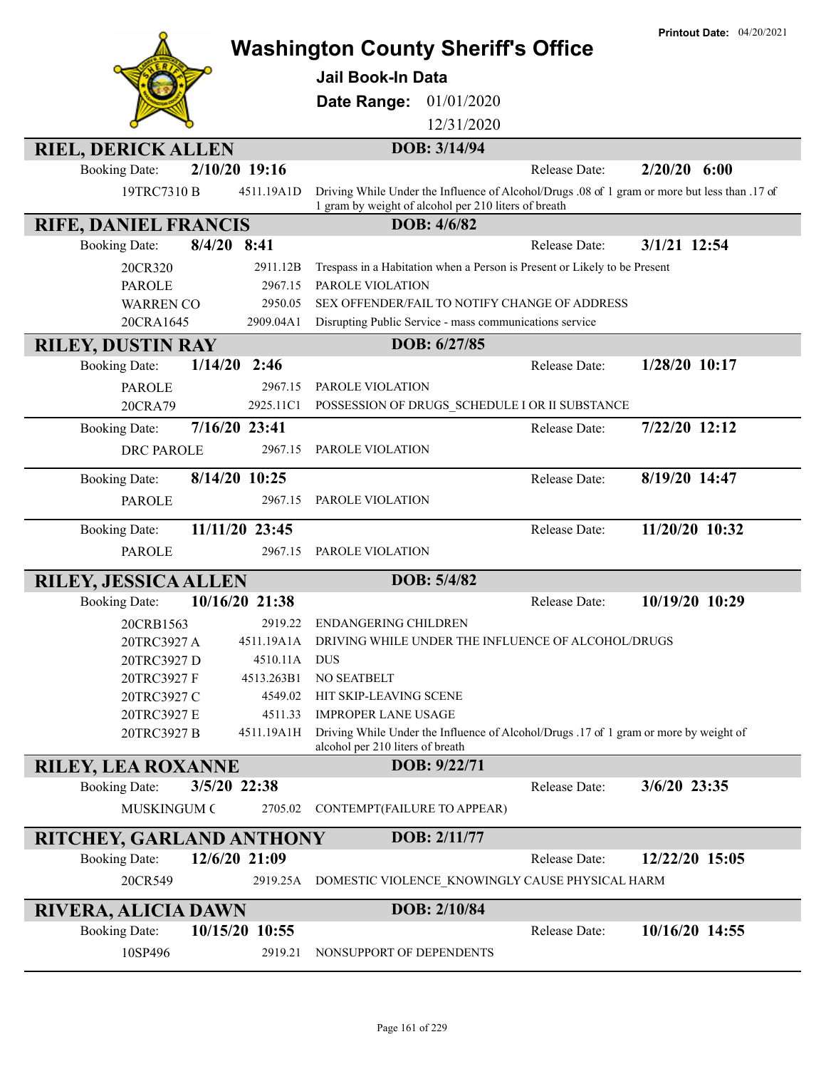|                                                                    | <b>Washington County Sheriff's Office</b>                                                                                 | <b>Printout Date: 04/20/2021</b> |
|--------------------------------------------------------------------|---------------------------------------------------------------------------------------------------------------------------|----------------------------------|
|                                                                    | <b>Jail Book-In Data</b>                                                                                                  |                                  |
|                                                                    |                                                                                                                           |                                  |
|                                                                    | 01/01/2020<br>Date Range:<br>12/31/2020                                                                                   |                                  |
|                                                                    |                                                                                                                           |                                  |
| <b>RIEL, DERICK ALLEN</b><br>2/10/20 19:16<br><b>Booking Date:</b> | DOB: 3/14/94<br>Release Date:                                                                                             | $2/20/20$ 6:00                   |
| 19TRC7310 B<br>4511.19A1D                                          | Driving While Under the Influence of Alcohol/Drugs .08 of 1 gram or more but less than .17 of                             |                                  |
|                                                                    | 1 gram by weight of alcohol per 210 liters of breath                                                                      |                                  |
| <b>RIFE, DANIEL FRANCIS</b>                                        | DOB: 4/6/82                                                                                                               |                                  |
| $8/4/20$ 8:41<br><b>Booking Date:</b>                              | <b>Release Date:</b>                                                                                                      | 3/1/21 12:54                     |
| 20CR320<br>2911.12B                                                | Trespass in a Habitation when a Person is Present or Likely to be Present                                                 |                                  |
| <b>PAROLE</b><br>2967.15<br><b>WARREN CO</b><br>2950.05            | PAROLE VIOLATION<br>SEX OFFENDER/FAIL TO NOTIFY CHANGE OF ADDRESS                                                         |                                  |
| 20CRA1645<br>2909.04A1                                             | Disrupting Public Service - mass communications service                                                                   |                                  |
| <b>RILEY, DUSTIN RAY</b>                                           | DOB: 6/27/85                                                                                                              |                                  |
| $1/14/20$ 2:46<br><b>Booking Date:</b>                             | Release Date:                                                                                                             | $1/28/20$ 10:17                  |
| <b>PAROLE</b><br>2967.15                                           | PAROLE VIOLATION                                                                                                          |                                  |
| 20CRA79<br>2925.11C1                                               | POSSESSION OF DRUGS_SCHEDULE I OR II SUBSTANCE                                                                            |                                  |
| 7/16/20 23:41<br><b>Booking Date:</b>                              | Release Date:                                                                                                             | 7/22/20 12:12                    |
| <b>DRC PAROLE</b><br>2967.15                                       | PAROLE VIOLATION                                                                                                          |                                  |
| 8/14/20 10:25<br><b>Booking Date:</b>                              | Release Date:                                                                                                             | 8/19/20 14:47                    |
| <b>PAROLE</b><br>2967.15                                           | PAROLE VIOLATION                                                                                                          |                                  |
| 11/11/20 23:45<br><b>Booking Date:</b>                             | Release Date:                                                                                                             | 11/20/20 10:32                   |
| <b>PAROLE</b><br>2967.15                                           | PAROLE VIOLATION                                                                                                          |                                  |
| <b>RILEY, JESSICA ALLEN</b>                                        | DOB: 5/4/82                                                                                                               |                                  |
| 10/16/20 21:38<br><b>Booking Date:</b>                             | Release Date:                                                                                                             | 10/19/20 10:29                   |
| 20CRB1563<br>2919.22                                               | <b>ENDANGERING CHILDREN</b>                                                                                               |                                  |
| 20TRC3927 A<br>4511.19A1A                                          | DRIVING WHILE UNDER THE INFLUENCE OF ALCOHOL/DRUGS                                                                        |                                  |
| 20TRC3927 D<br>4510.11A<br>20TRC3927 F<br>4513.263B1               | <b>DUS</b><br>NO SEATBELT                                                                                                 |                                  |
| 20TRC3927 C<br>4549.02                                             | HIT SKIP-LEAVING SCENE                                                                                                    |                                  |
| 20TRC3927 E<br>4511.33                                             | <b>IMPROPER LANE USAGE</b>                                                                                                |                                  |
| 20TRC3927 B<br>4511.19A1H                                          | Driving While Under the Influence of Alcohol/Drugs .17 of 1 gram or more by weight of<br>alcohol per 210 liters of breath |                                  |
| <b>RILEY, LEA ROXANNE</b>                                          | DOB: 9/22/71                                                                                                              |                                  |
| 3/5/20 22:38<br><b>Booking Date:</b>                               | Release Date:                                                                                                             | 3/6/20 23:35                     |
| 2705.02<br><b>MUSKINGUM C</b>                                      | CONTEMPT(FAILURE TO APPEAR)                                                                                               |                                  |
| <b>RITCHEY, GARLAND ANTHONY</b>                                    | DOB: 2/11/77                                                                                                              |                                  |
| 12/6/20 21:09<br><b>Booking Date:</b>                              | Release Date:                                                                                                             | 12/22/20 15:05                   |
| 20CR549<br>2919.25A                                                | DOMESTIC VIOLENCE KNOWINGLY CAUSE PHYSICAL HARM                                                                           |                                  |
| <b>RIVERA, ALICIA DAWN</b>                                         | DOB: 2/10/84                                                                                                              |                                  |
| 10/15/20 10:55<br><b>Booking Date:</b>                             | Release Date:                                                                                                             | 10/16/20 14:55                   |
| 10SP496<br>2919.21                                                 | NONSUPPORT OF DEPENDENTS                                                                                                  |                                  |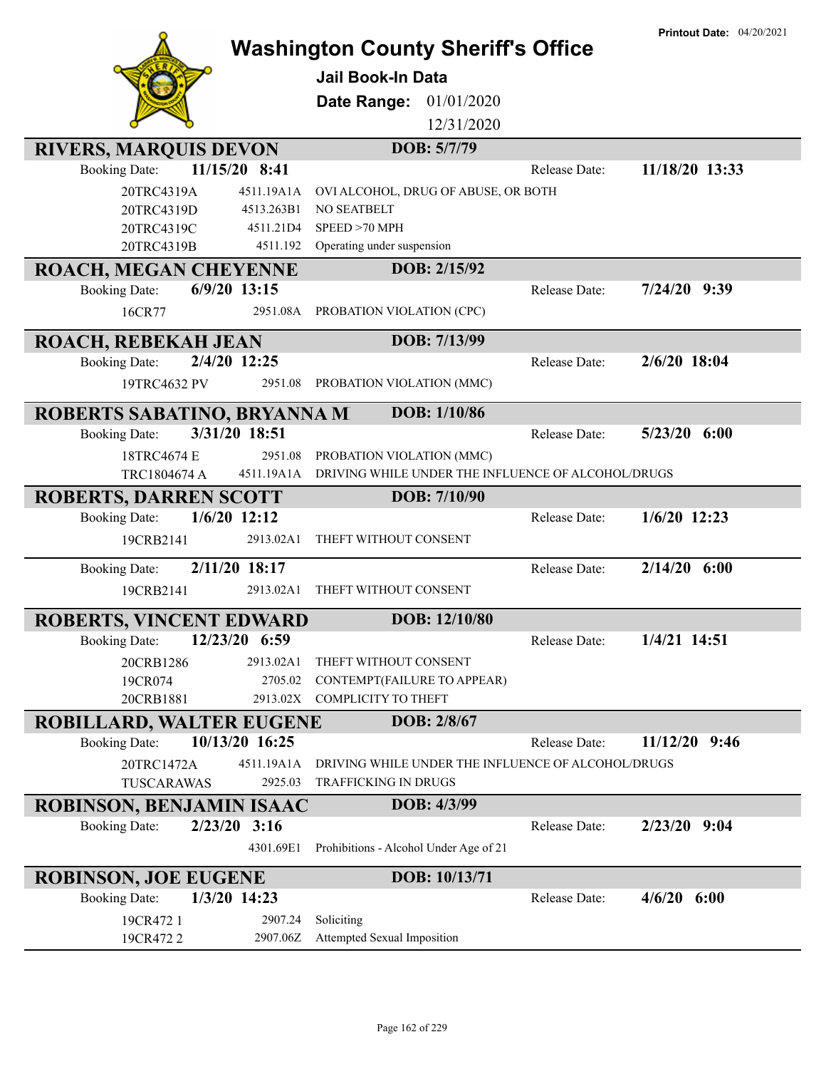|                                        |                | <b>Washington County Sheriff's Office</b>                     |               | <b>Printout Date: 04/20/2021</b> |
|----------------------------------------|----------------|---------------------------------------------------------------|---------------|----------------------------------|
|                                        |                | <b>Jail Book-In Data</b>                                      |               |                                  |
|                                        |                |                                                               |               |                                  |
|                                        |                | 01/01/2020<br>Date Range:                                     |               |                                  |
|                                        |                | 12/31/2020                                                    |               |                                  |
| <b>RIVERS, MARQUIS DEVON</b>           |                | DOB: 5/7/79                                                   |               |                                  |
| <b>Booking Date:</b>                   | 11/15/20 8:41  |                                                               | Release Date: | 11/18/20 13:33                   |
| 20TRC4319A                             | 4511.19A1A     | OVI ALCOHOL, DRUG OF ABUSE, OR BOTH                           |               |                                  |
| 20TRC4319D                             | 4513.263B1     | NO SEATBELT                                                   |               |                                  |
| 20TRC4319C                             | 4511.21D4      | SPEED > 70 MPH                                                |               |                                  |
| 20TRC4319B                             | 4511.192       | Operating under suspension                                    |               |                                  |
| ROACH, MEGAN CHEYENNE                  |                | DOB: 2/15/92                                                  |               |                                  |
| 6/9/20 13:15<br><b>Booking Date:</b>   |                |                                                               | Release Date: | $7/24/20$ 9:39                   |
| 16CR77                                 | 2951.08A       | PROBATION VIOLATION (CPC)                                     |               |                                  |
| ROACH, REBEKAH JEAN                    |                | DOB: 7/13/99                                                  |               |                                  |
| 2/4/20 12:25<br><b>Booking Date:</b>   |                |                                                               | Release Date: | 2/6/20 18:04                     |
| 19TRC4632 PV                           | 2951.08        | PROBATION VIOLATION (MMC)                                     |               |                                  |
| ROBERTS SABATINO, BRYANNA MI           |                | DOB: 1/10/86                                                  |               |                                  |
| <b>Booking Date:</b>                   | 3/31/20 18:51  |                                                               | Release Date: | $5/23/20$ $6:00$                 |
| 18TRC4674 E                            | 2951.08        | PROBATION VIOLATION (MMC)                                     |               |                                  |
| TRC1804674 A                           |                | 4511.19A1A DRIVING WHILE UNDER THE INFLUENCE OF ALCOHOL/DRUGS |               |                                  |
| <b>ROBERTS, DARREN SCOTT</b>           |                | DOB: 7/10/90                                                  |               |                                  |
| $1/6/20$ 12:12<br><b>Booking Date:</b> |                |                                                               | Release Date: | $1/6/20$ 12:23                   |
| 19CRB2141                              | 2913.02A1      | THEFT WITHOUT CONSENT                                         |               |                                  |
|                                        |                |                                                               |               |                                  |
| <b>Booking Date:</b>                   | 2/11/20 18:17  |                                                               | Release Date: | $2/14/20$ 6:00                   |
| 19CRB2141                              | 2913.02A1      | THEFT WITHOUT CONSENT                                         |               |                                  |
| <b>ROBERTS, VINCENT EDWARD</b>         |                | DOB: 12/10/80                                                 |               |                                  |
| <b>Booking Date:</b>                   | 12/23/20 6:59  |                                                               | Release Date: | 1/4/21 14:51                     |
| 20CRB1286                              | 2913.02A1      | THEFT WITHOUT CONSENT                                         |               |                                  |
| 19CR074                                | 2705.02        | CONTEMPT(FAILURE TO APPEAR)                                   |               |                                  |
| 20CRB1881                              | 2913.02X       | <b>COMPLICITY TO THEFT</b>                                    |               |                                  |
| <b>ROBILLARD, WALTER EUGENE</b>        |                | DOB: 2/8/67                                                   |               |                                  |
| <b>Booking Date:</b>                   | 10/13/20 16:25 |                                                               | Release Date: | $11/12/20$ 9:46                  |
| 20TRC1472A                             | 4511.19A1A     | DRIVING WHILE UNDER THE INFLUENCE OF ALCOHOL/DRUGS            |               |                                  |
| TUSCARAWAS                             | 2925.03        | TRAFFICKING IN DRUGS                                          |               |                                  |
| <b>ROBINSON, BENJAMIN ISAAC</b>        |                | DOB: 4/3/99                                                   |               |                                  |
| $2/23/20$ 3:16<br><b>Booking Date:</b> |                |                                                               | Release Date: | $2/23/20$ 9:04                   |
|                                        | 4301.69E1      | Prohibitions - Alcohol Under Age of 21                        |               |                                  |
| <b>ROBINSON, JOE EUGENE</b>            |                | DOB: 10/13/71                                                 |               |                                  |
| 1/3/20 14:23<br><b>Booking Date:</b>   |                |                                                               | Release Date: | $4/6/20$ 6:00                    |
| 19CR472 1                              | 2907.24        | Soliciting                                                    |               |                                  |
| 19CR4722                               | 2907.06Z       | Attempted Sexual Imposition                                   |               |                                  |
|                                        |                |                                                               |               |                                  |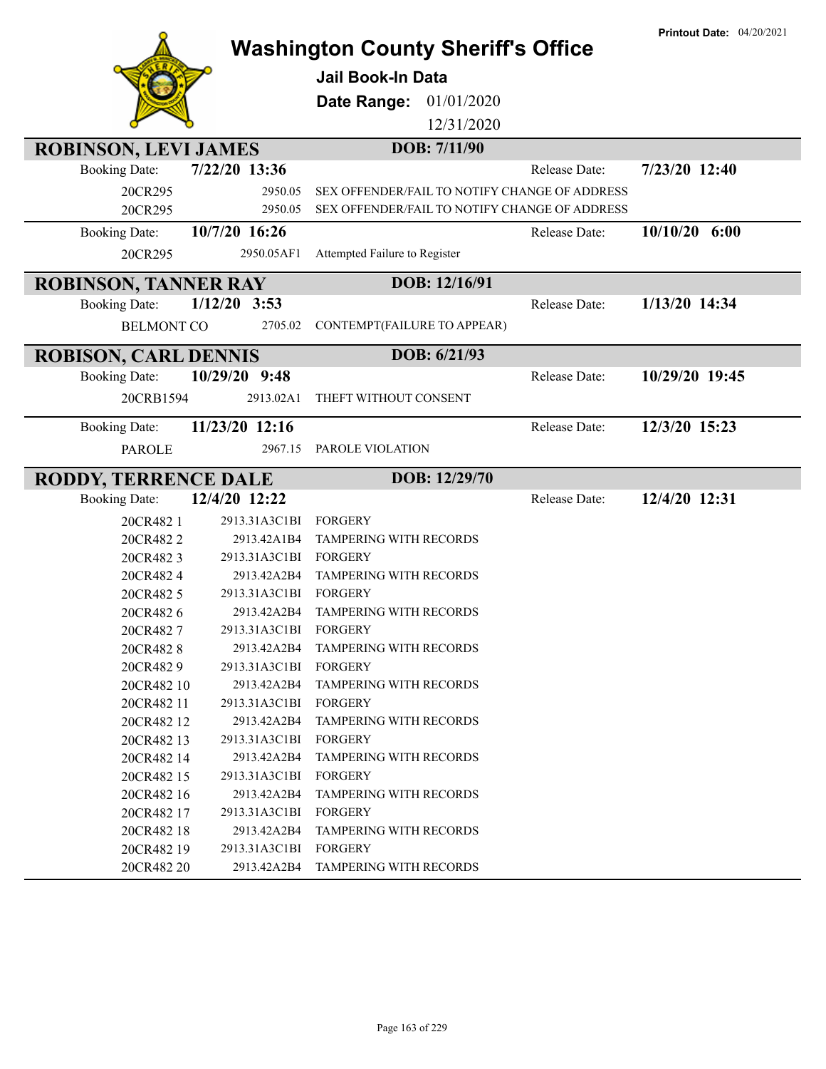|                                                     |                                      | <b>Washington County Sheriff's Office</b>     |               | <b>Printout Date: 04/20/2021</b> |
|-----------------------------------------------------|--------------------------------------|-----------------------------------------------|---------------|----------------------------------|
|                                                     |                                      | <b>Jail Book-In Data</b>                      |               |                                  |
|                                                     |                                      | Date Range:<br>01/01/2020                     |               |                                  |
|                                                     |                                      | 12/31/2020                                    |               |                                  |
|                                                     |                                      | DOB: 7/11/90                                  |               |                                  |
| <b>ROBINSON, LEVI JAMES</b><br><b>Booking Date:</b> | 7/22/20 13:36                        |                                               | Release Date: | 7/23/20 12:40                    |
| 20CR295                                             | 2950.05                              | SEX OFFENDER/FAIL TO NOTIFY CHANGE OF ADDRESS |               |                                  |
| 20CR295                                             | 2950.05                              | SEX OFFENDER/FAIL TO NOTIFY CHANGE OF ADDRESS |               |                                  |
| <b>Booking Date:</b>                                | 10/7/20 16:26                        |                                               | Release Date: | $10/10/20$ 6:00                  |
| 20CR295                                             | 2950.05AF1                           | Attempted Failure to Register                 |               |                                  |
|                                                     |                                      |                                               |               |                                  |
| <b>ROBINSON, TANNER RAY</b>                         |                                      | DOB: 12/16/91                                 |               |                                  |
| <b>Booking Date:</b>                                | $1/12/20$ 3:53                       |                                               | Release Date: | 1/13/20 14:34                    |
| <b>BELMONT CO</b>                                   | 2705.02                              | CONTEMPT(FAILURE TO APPEAR)                   |               |                                  |
| <b>ROBISON, CARL DENNIS</b>                         |                                      | DOB: 6/21/93                                  |               |                                  |
| <b>Booking Date:</b>                                | 10/29/20 9:48                        |                                               | Release Date: | 10/29/20 19:45                   |
| 20CRB1594                                           | 2913.02A1                            | THEFT WITHOUT CONSENT                         |               |                                  |
| <b>Booking Date:</b>                                | 11/23/20 12:16                       |                                               | Release Date: | 12/3/20 15:23                    |
| <b>PAROLE</b>                                       | 2967.15                              | PAROLE VIOLATION                              |               |                                  |
|                                                     |                                      |                                               |               |                                  |
| RODDY, TERRENCE DALE                                |                                      | DOB: 12/29/70                                 |               |                                  |
| <b>Booking Date:</b>                                | 12/4/20 12:22                        |                                               | Release Date: | 12/4/20 12:31                    |
| 20CR482 1                                           | 2913.31A3C1BI                        | <b>FORGERY</b>                                |               |                                  |
| 20CR4822                                            | 2913.42A1B4                          | TAMPERING WITH RECORDS                        |               |                                  |
| 20CR4823                                            | 2913.31A3C1BI                        | FORGERY                                       |               |                                  |
| 20CR4824                                            | 2913.42A2B4                          | TAMPERING WITH RECORDS                        |               |                                  |
| 20CR482 5                                           | 2913.31A3C1BI                        | <b>FORGERY</b>                                |               |                                  |
| 20CR4826                                            | 2913.42A2B4                          | <b>TAMPERING WITH RECORDS</b>                 |               |                                  |
| 20CR4827                                            | 2913.31A3C1BI<br>2913.42A2B4         | FORGERY<br><b>TAMPERING WITH RECORDS</b>      |               |                                  |
| 20CR4828<br>20CR4829                                | 2913.31A3C1BI FORGERY                |                                               |               |                                  |
| 20CR482 10                                          | 2913.42A2B4                          | TAMPERING WITH RECORDS                        |               |                                  |
| 20CR482 11                                          | 2913.31A3C1BI                        | FORGERY                                       |               |                                  |
| 20CR482 12                                          | 2913.42A2B4                          | TAMPERING WITH RECORDS                        |               |                                  |
| 20CR482 13                                          | 2913.31A3C1BI FORGERY                |                                               |               |                                  |
| 20CR482 14                                          | 2913.42A2B4                          | <b>TAMPERING WITH RECORDS</b>                 |               |                                  |
| 20CR482 15                                          | 2913.31A3C1BI                        | FORGERY                                       |               |                                  |
| 20CR482 16                                          | 2913.42A2B4                          | <b>TAMPERING WITH RECORDS</b>                 |               |                                  |
| 20CR482 17                                          | 2913.31A3C1BI                        | FORGERY                                       |               |                                  |
| 20CR482 18                                          | 2913.42A2B4                          | TAMPERING WITH RECORDS                        |               |                                  |
| 20CR482 19<br>20CR482 20                            | 2913.31A3C1BI FORGERY<br>2913.42A2B4 | TAMPERING WITH RECORDS                        |               |                                  |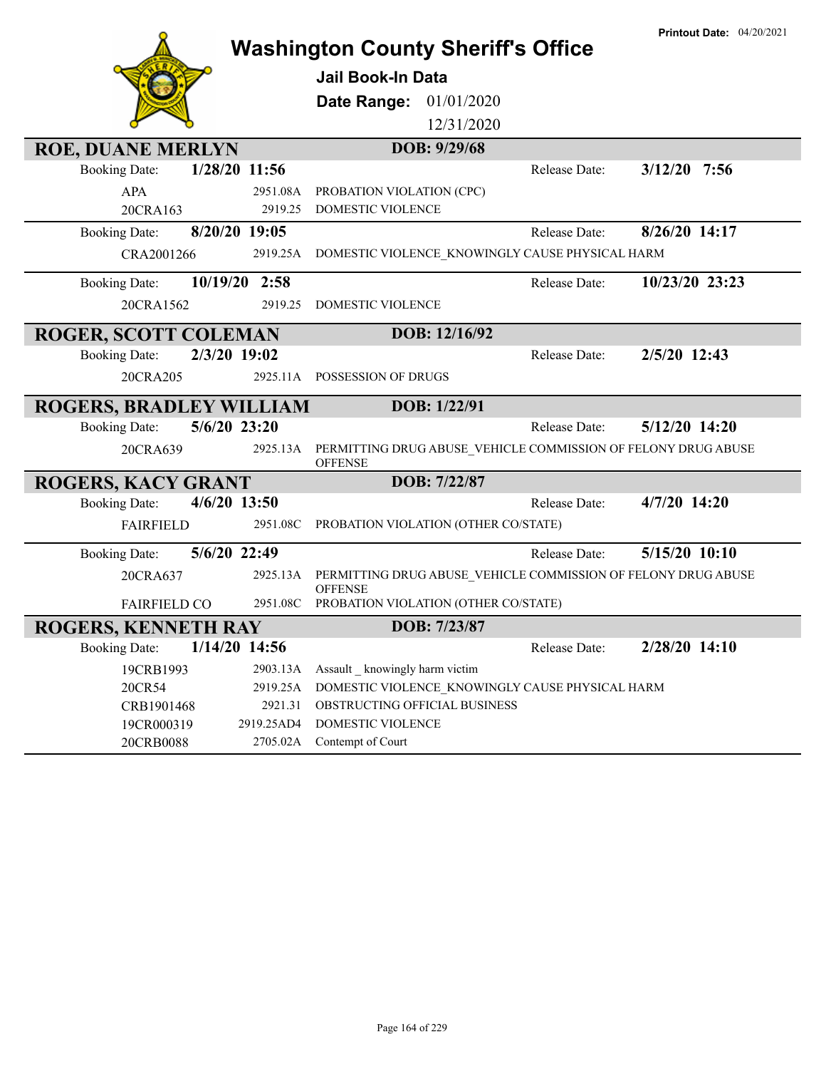|                                |                        | <b>Washington County Sheriff's Office</b>                                       |               | <b>Printout Date: 04/20/2021</b> |
|--------------------------------|------------------------|---------------------------------------------------------------------------------|---------------|----------------------------------|
|                                |                        | <b>Jail Book-In Data</b>                                                        |               |                                  |
|                                |                        | 01/01/2020<br>Date Range:                                                       |               |                                  |
|                                |                        | 12/31/2020                                                                      |               |                                  |
| <b>ROE, DUANE MERLYN</b>       |                        | DOB: 9/29/68                                                                    |               |                                  |
| <b>Booking Date:</b>           | 1/28/20 11:56          |                                                                                 | Release Date: | $3/12/20$ 7:56                   |
| <b>APA</b>                     | 2951.08A               | PROBATION VIOLATION (CPC)                                                       |               |                                  |
| 20CRA163                       | 2919.25                | DOMESTIC VIOLENCE                                                               |               |                                  |
| <b>Booking Date:</b>           | 8/20/20 19:05          |                                                                                 | Release Date: | 8/26/20 14:17                    |
| CRA2001266                     | 2919.25A               | DOMESTIC VIOLENCE_KNOWINGLY CAUSE PHYSICAL HARM                                 |               |                                  |
| <b>Booking Date:</b>           | 10/19/20 2:58          |                                                                                 | Release Date: | 10/23/20 23:23                   |
| 20CRA1562                      | 2919.25                | DOMESTIC VIOLENCE                                                               |               |                                  |
| <b>ROGER, SCOTT COLEMAN</b>    |                        | DOB: 12/16/92                                                                   |               |                                  |
| <b>Booking Date:</b>           | 2/3/20 19:02           |                                                                                 | Release Date: | 2/5/20 12:43                     |
| 20CRA205                       |                        | 2925.11A POSSESSION OF DRUGS                                                    |               |                                  |
| <b>ROGERS, BRADLEY WILLIAM</b> |                        | DOB: 1/22/91                                                                    |               |                                  |
| <b>Booking Date:</b>           | $5/6/20$ 23:20         |                                                                                 | Release Date: | 5/12/20 14:20                    |
| 20CRA639                       | 2925.13A               | PERMITTING DRUG ABUSE_VEHICLE COMMISSION OF FELONY DRUG ABUSE<br><b>OFFENSE</b> |               |                                  |
| <b>ROGERS, KACY GRANT</b>      |                        | DOB: 7/22/87                                                                    |               |                                  |
| <b>Booking Date:</b>           | 4/6/20 13:50           |                                                                                 | Release Date: | 4/7/20 14:20                     |
| <b>FAIRFIELD</b>               | 2951.08C               | PROBATION VIOLATION (OTHER CO/STATE)                                            |               |                                  |
| <b>Booking Date:</b>           | 5/6/20 22:49           |                                                                                 | Release Date: | 5/15/20 10:10                    |
| 20CRA637                       | 2925.13A               | PERMITTING DRUG ABUSE_VEHICLE COMMISSION OF FELONY DRUG ABUSE<br><b>OFFENSE</b> |               |                                  |
| <b>FAIRFIELD CO</b>            | 2951.08C               | PROBATION VIOLATION (OTHER CO/STATE)                                            |               |                                  |
| <b>ROGERS, KENNETH RAY</b>     |                        | DOB: 7/23/87                                                                    |               |                                  |
| <b>Booking Date:</b>           | 1/14/20 14:56          |                                                                                 | Release Date: | 2/28/20 14:10                    |
| 19CRB1993                      | 2903.13A               | Assault knowingly harm victim                                                   |               |                                  |
| 20CR54                         | 2919.25A               | DOMESTIC VIOLENCE KNOWINGLY CAUSE PHYSICAL HARM                                 |               |                                  |
| CRB1901468                     | 2921.31                | OBSTRUCTING OFFICIAL BUSINESS                                                   |               |                                  |
| 19CR000319<br>20CRB0088        | 2919.25AD4<br>2705.02A | DOMESTIC VIOLENCE<br>Contempt of Court                                          |               |                                  |
|                                |                        |                                                                                 |               |                                  |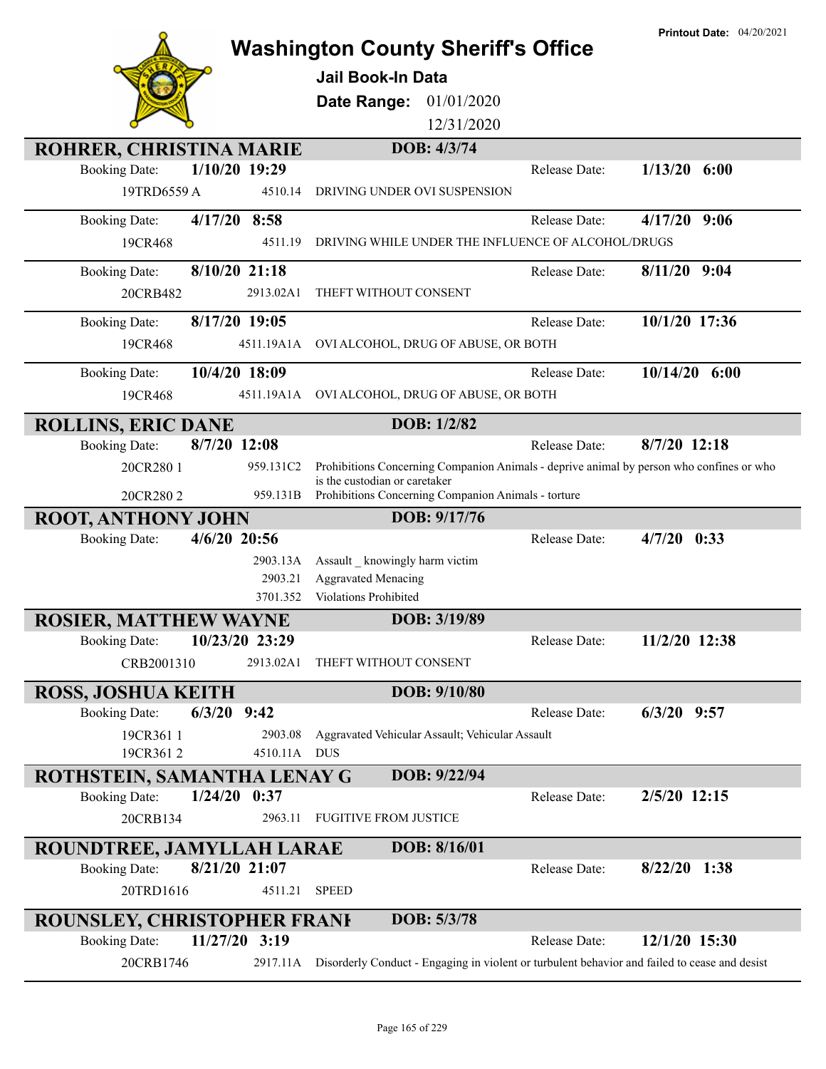|                                        |                                             |                                                                                               | Printout Date: 04/20/2021 |
|----------------------------------------|---------------------------------------------|-----------------------------------------------------------------------------------------------|---------------------------|
|                                        |                                             | <b>Washington County Sheriff's Office</b>                                                     |                           |
|                                        | <b>Jail Book-In Data</b>                    |                                                                                               |                           |
|                                        | Date Range:                                 | 01/01/2020                                                                                    |                           |
|                                        |                                             | 12/31/2020                                                                                    |                           |
| ROHRER, CHRISTINA MARIE                |                                             | DOB: 4/3/74                                                                                   |                           |
| 1/10/20 19:29<br><b>Booking Date:</b>  |                                             | Release Date:                                                                                 | $1/13/20$ 6:00            |
| 19TRD6559 A                            | 4510.14<br>DRIVING UNDER OVI SUSPENSION     |                                                                                               |                           |
| 4/17/20 8:58<br><b>Booking Date:</b>   |                                             | Release Date:                                                                                 | 4/17/20<br>9:06           |
| 19CR468                                | 4511.19                                     | DRIVING WHILE UNDER THE INFLUENCE OF ALCOHOL/DRUGS                                            |                           |
| 8/10/20 21:18<br><b>Booking Date:</b>  |                                             | Release Date:                                                                                 | $8/11/20$ 9:04            |
| 20CRB482<br>2913.02A1                  | THEFT WITHOUT CONSENT                       |                                                                                               |                           |
|                                        |                                             |                                                                                               |                           |
| 8/17/20 19:05<br><b>Booking Date:</b>  |                                             | Release Date:                                                                                 | 10/1/20 17:36             |
| 19CR468<br>4511.19A1A                  |                                             | OVI ALCOHOL, DRUG OF ABUSE, OR BOTH                                                           |                           |
| 10/4/20 18:09<br><b>Booking Date:</b>  |                                             | Release Date:                                                                                 | $10/14/20$ 6:00           |
| 19CR468<br>4511.19A1A                  |                                             | OVI ALCOHOL, DRUG OF ABUSE, OR BOTH                                                           |                           |
| <b>ROLLINS, ERIC DANE</b>              |                                             | DOB: 1/2/82                                                                                   |                           |
| 8/7/20 12:08<br><b>Booking Date:</b>   |                                             | Release Date:                                                                                 | 8/7/20 12:18              |
| 20CR280 1<br>959.131C2                 |                                             | Prohibitions Concerning Companion Animals - deprive animal by person who confines or who      |                           |
| 20CR2802                               | is the custodian or caretaker<br>959.131B   | Prohibitions Concerning Companion Animals - torture                                           |                           |
| <b>ROOT, ANTHONY JOHN</b>              |                                             | DOB: 9/17/76                                                                                  |                           |
| 4/6/20 20:56<br><b>Booking Date:</b>   |                                             | Release Date:                                                                                 | 4/7/20<br>0:33            |
|                                        | 2903.13A<br>Assault _ knowingly harm victim |                                                                                               |                           |
|                                        | <b>Aggravated Menacing</b><br>2903.21       |                                                                                               |                           |
|                                        | Violations Prohibited<br>3701.352           |                                                                                               |                           |
| <b>ROSIER, MATTHEW WAYNE</b>           |                                             | DOB: 3/19/89                                                                                  |                           |
| 10/23/20 23:29<br><b>Booking Date:</b> |                                             | Release Date:                                                                                 | 11/2/20 12:38             |
| CRB2001310<br>2913.02A1                | THEFT WITHOUT CONSENT                       |                                                                                               |                           |
| <b>ROSS, JOSHUA KEITH</b>              |                                             | DOB: $9/10/80$                                                                                |                           |
| $6/3/20$ 9:42<br><b>Booking Date:</b>  |                                             | Release Date:                                                                                 | $6/3/20$ 9:57             |
| 19CR361 1                              | 2903.08                                     | Aggravated Vehicular Assault; Vehicular Assault                                               |                           |
| 19CR3612                               | 4510.11A DUS                                |                                                                                               |                           |
| ROTHSTEIN, SAMANTHA LENAY G            |                                             | DOB: 9/22/94                                                                                  |                           |
| $1/24/20$ 0:37<br><b>Booking Date:</b> |                                             | Release Date:                                                                                 | $2/5/20$ 12:15            |
| 20CRB134                               | 2963.11<br><b>FUGITIVE FROM JUSTICE</b>     |                                                                                               |                           |
| ROUNDTREE, JAMYLLAH LARAE              |                                             | DOB: 8/16/01                                                                                  |                           |
| 8/21/20 21:07<br><b>Booking Date:</b>  |                                             | Release Date:                                                                                 | 8/22/20 1:38              |
| 20TRD1616                              | 4511.21<br><b>SPEED</b>                     |                                                                                               |                           |
| ROUNSLEY, CHRISTOPHER FRANK            |                                             | DOB: 5/3/78                                                                                   |                           |
| 11/27/20 3:19<br><b>Booking Date:</b>  |                                             | Release Date:                                                                                 | 12/1/20 15:30             |
| 20CRB1746                              | 2917.11A                                    | Disorderly Conduct - Engaging in violent or turbulent behavior and failed to cease and desist |                           |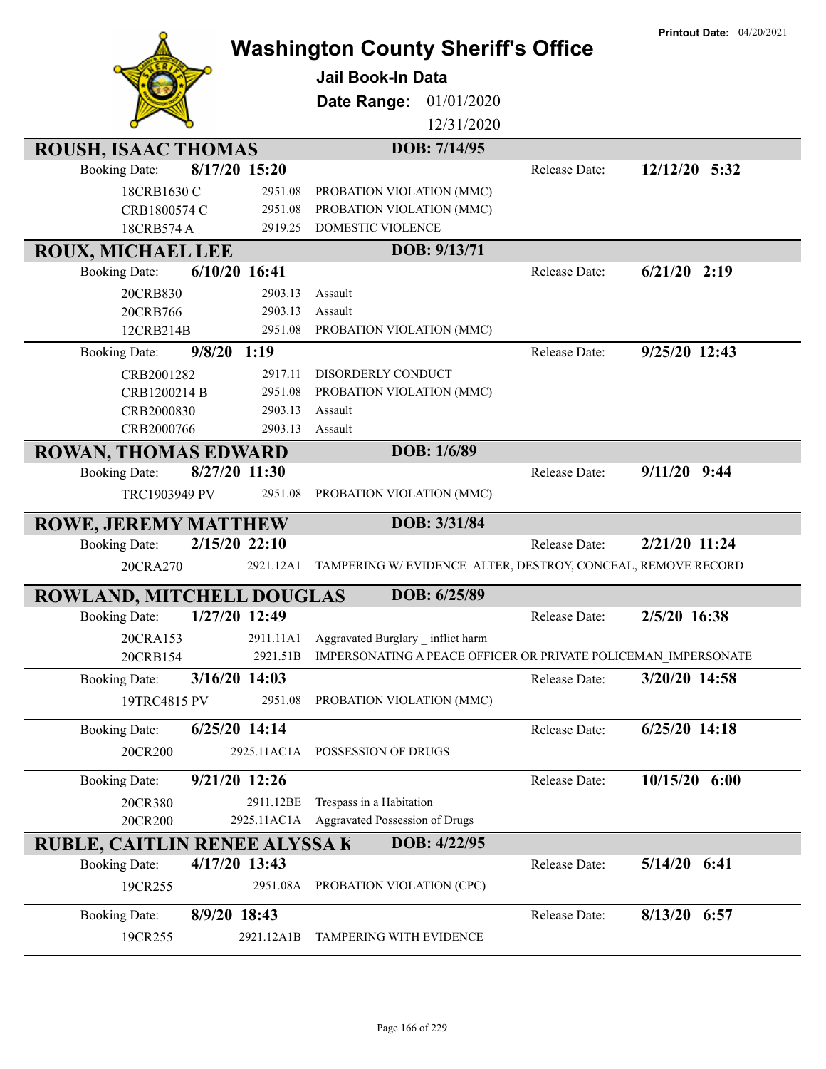|                                                     |                 | <b>Washington County Sheriff's Office</b><br><b>Jail Book-In Data</b> |               | <b>Printout Date: 04/20/2021</b> |
|-----------------------------------------------------|-----------------|-----------------------------------------------------------------------|---------------|----------------------------------|
|                                                     |                 | Date Range: 01/01/2020                                                |               |                                  |
|                                                     |                 | 12/31/2020                                                            |               |                                  |
| ROUSH, ISAAC THOMAS                                 |                 | DOB: 7/14/95                                                          |               |                                  |
| <b>Booking Date:</b>                                | 8/17/20 15:20   |                                                                       | Release Date: | 12/12/20 5:32                    |
| 18CRB1630 C                                         | 2951.08         | PROBATION VIOLATION (MMC)                                             |               |                                  |
| CRB1800574 C                                        | 2951.08         | PROBATION VIOLATION (MMC)                                             |               |                                  |
| 18CRB574 A                                          | 2919.25         | DOMESTIC VIOLENCE                                                     |               |                                  |
| <b>ROUX, MICHAEL LEE</b>                            |                 | DOB: 9/13/71                                                          |               |                                  |
| <b>Booking Date:</b>                                | $6/10/20$ 16:41 |                                                                       | Release Date: | $6/21/20$ 2:19                   |
| 20CRB830                                            | 2903.13         | Assault                                                               |               |                                  |
| 20CRB766                                            | 2903.13         | Assault                                                               |               |                                  |
| 12CRB214B                                           | 2951.08         | PROBATION VIOLATION (MMC)                                             |               |                                  |
| <b>Booking Date:</b>                                | $9/8/20$ 1:19   |                                                                       | Release Date: | 9/25/20 12:43                    |
| CRB2001282                                          | 2917.11         | DISORDERLY CONDUCT                                                    |               |                                  |
| CRB1200214 B                                        | 2951.08         | PROBATION VIOLATION (MMC)                                             |               |                                  |
| CRB2000830                                          | 2903.13         | Assault                                                               |               |                                  |
| CRB2000766                                          | 2903.13         | Assault                                                               |               |                                  |
| <b>ROWAN, THOMAS EDWARD</b>                         |                 | DOB: 1/6/89                                                           |               |                                  |
| <b>Booking Date:</b>                                | 8/27/20 11:30   |                                                                       | Release Date: | $9/11/20$ 9:44                   |
| TRC1903949 PV                                       | 2951.08         | PROBATION VIOLATION (MMC)                                             |               |                                  |
|                                                     |                 | DOB: 3/31/84                                                          |               |                                  |
| <b>ROWE, JEREMY MATTHEW</b><br><b>Booking Date:</b> | 2/15/20 22:10   |                                                                       | Release Date: | 2/21/20 11:24                    |
|                                                     |                 |                                                                       |               |                                  |
| 20CRA270                                            | 2921.12A1       | TAMPERING W/EVIDENCE_ALTER, DESTROY, CONCEAL, REMOVE RECORD           |               |                                  |
| ROWLAND, MITCHELL DOUGLAS                           |                 | DOB: 6/25/89                                                          |               |                                  |
| <b>Booking Date:</b>                                | 1/27/20 12:49   |                                                                       | Release Date: | 2/5/20 16:38                     |
| 20CRA153                                            | 2911.11A1       | Aggravated Burglary inflict harm                                      |               |                                  |
| 20CRB154                                            | 2921.51B        | IMPERSONATING A PEACE OFFICER OR PRIVATE POLICEMAN IMPERSONATE        |               |                                  |
| <b>Booking Date:</b>                                | 3/16/20 14:03   |                                                                       | Release Date: | 3/20/20 14:58                    |
| 19TRC4815 PV                                        | 2951.08         | PROBATION VIOLATION (MMC)                                             |               |                                  |
| <b>Booking Date:</b>                                | $6/25/20$ 14:14 |                                                                       | Release Date: | $6/25/20$ 14:18                  |
| 20CR200                                             |                 | 2925.11AC1A POSSESSION OF DRUGS                                       |               |                                  |
| <b>Booking Date:</b>                                | 9/21/20 12:26   |                                                                       | Release Date: | $10/15/20$ 6:00                  |
| 20CR380                                             | 2911.12BE       | Trespass in a Habitation                                              |               |                                  |
| 20CR200                                             |                 | 2925.11AC1A Aggravated Possession of Drugs                            |               |                                  |
| <b>RUBLE, CAITLIN RENEE ALYSSA K</b>                |                 | DOB: 4/22/95                                                          |               |                                  |
| <b>Booking Date:</b>                                | 4/17/20 13:43   |                                                                       | Release Date: | 5/14/20 6:41                     |
| 19CR255                                             | 2951.08A        | PROBATION VIOLATION (CPC)                                             |               |                                  |
| <b>Booking Date:</b>                                | 8/9/20 18:43    |                                                                       | Release Date: | 8/13/20 6:57                     |
| 19CR255                                             | 2921.12A1B      | TAMPERING WITH EVIDENCE                                               |               |                                  |
|                                                     |                 |                                                                       |               |                                  |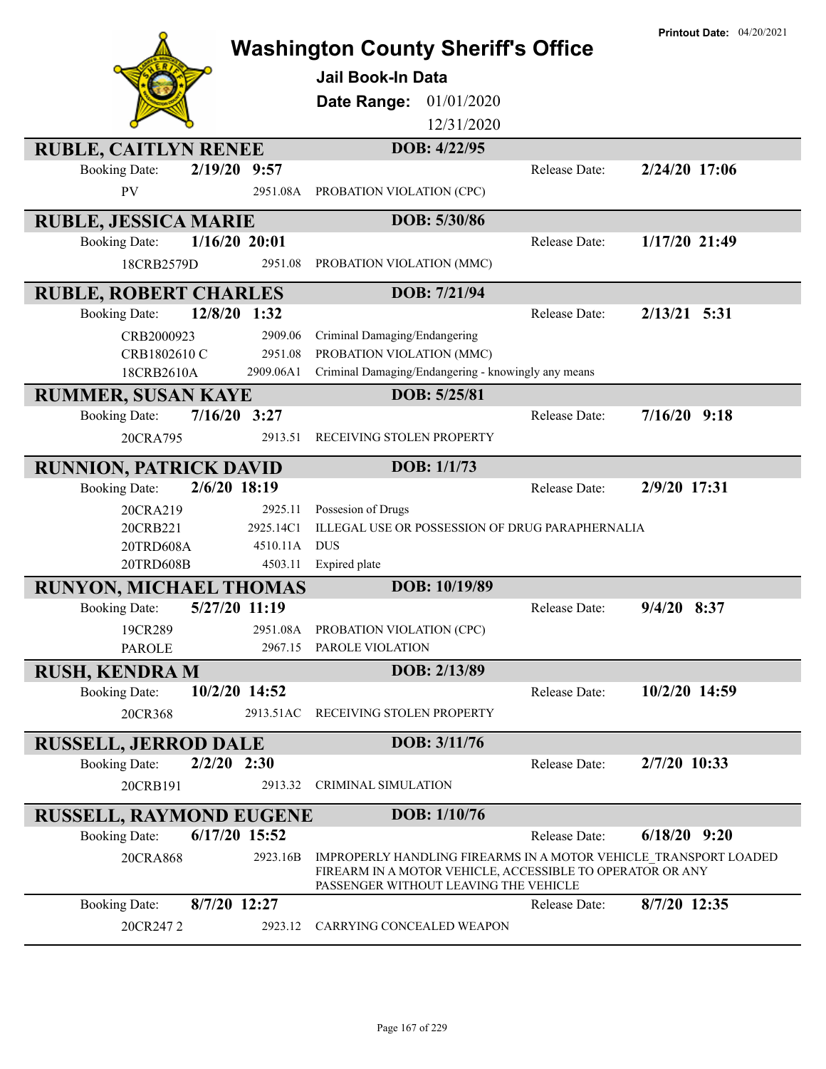|                                |                 | <b>Washington County Sheriff's Office</b><br><b>Jail Book-In Data</b><br>01/01/2020<br>Date Range:<br>12/31/2020                                                       |               | <b>Printout Date: 04/20/2021</b> |
|--------------------------------|-----------------|------------------------------------------------------------------------------------------------------------------------------------------------------------------------|---------------|----------------------------------|
| <b>RUBLE, CAITLYN RENEE</b>    |                 | DOB: 4/22/95                                                                                                                                                           |               |                                  |
| <b>Booking Date:</b>           | 2/19/20 9:57    |                                                                                                                                                                        | Release Date: | 2/24/20 17:06                    |
| PV                             | 2951.08A        | PROBATION VIOLATION (CPC)                                                                                                                                              |               |                                  |
| <b>RUBLE, JESSICA MARIE</b>    |                 | DOB: 5/30/86                                                                                                                                                           |               |                                  |
| <b>Booking Date:</b>           | $1/16/20$ 20:01 |                                                                                                                                                                        | Release Date: | 1/17/20 21:49                    |
| 18CRB2579D                     | 2951.08         | PROBATION VIOLATION (MMC)                                                                                                                                              |               |                                  |
| <b>RUBLE, ROBERT CHARLES</b>   |                 | DOB: 7/21/94                                                                                                                                                           |               |                                  |
| <b>Booking Date:</b>           | 12/8/20 1:32    |                                                                                                                                                                        | Release Date: | $2/13/21$ 5:31                   |
| CRB2000923                     | 2909.06         | Criminal Damaging/Endangering                                                                                                                                          |               |                                  |
| CRB1802610 C                   | 2951.08         | PROBATION VIOLATION (MMC)                                                                                                                                              |               |                                  |
| 18CRB2610A                     | 2909.06A1       | Criminal Damaging/Endangering - knowingly any means                                                                                                                    |               |                                  |
| <b>RUMMER, SUSAN KAYE</b>      |                 | DOB: 5/25/81                                                                                                                                                           |               |                                  |
| <b>Booking Date:</b>           | $7/16/20$ 3:27  |                                                                                                                                                                        | Release Date: | $7/16/20$ 9:18                   |
| 20CRA795                       | 2913.51         | RECEIVING STOLEN PROPERTY                                                                                                                                              |               |                                  |
| <b>RUNNION, PATRICK DAVID</b>  |                 | DOB: 1/1/73                                                                                                                                                            |               |                                  |
| <b>Booking Date:</b>           | 2/6/20 18:19    |                                                                                                                                                                        | Release Date: | 2/9/20 17:31                     |
| 20CRA219                       | 2925.11         | Possesion of Drugs                                                                                                                                                     |               |                                  |
| 20CRB221                       | 2925.14C1       | ILLEGAL USE OR POSSESSION OF DRUG PARAPHERNALIA                                                                                                                        |               |                                  |
| 20TRD608A                      | 4510.11A        | <b>DUS</b>                                                                                                                                                             |               |                                  |
| 20TRD608B                      | 4503.11         | Expired plate                                                                                                                                                          |               |                                  |
| <b>RUNYON, MICHAEL THOMAS</b>  |                 | DOB: 10/19/89                                                                                                                                                          |               |                                  |
| <b>Booking Date:</b>           | 5/27/20 11:19   |                                                                                                                                                                        | Release Date: | $9/4/20$ 8:37                    |
| 19CR289                        |                 | 2951.08A PROBATION VIOLATION (CPC)                                                                                                                                     |               |                                  |
| <b>PAROLE</b>                  |                 | 2967.15 PAROLE VIOLATION                                                                                                                                               |               |                                  |
| <b>RUSH, KENDRA M</b>          |                 | DOB: 2/13/89                                                                                                                                                           |               |                                  |
| <b>Booking Date:</b>           | 10/2/20 14:52   |                                                                                                                                                                        | Release Date: | 10/2/20 14:59                    |
| 20CR368                        | 2913.51AC       | RECEIVING STOLEN PROPERTY                                                                                                                                              |               |                                  |
| <b>RUSSELL, JERROD DALE</b>    |                 | DOB: 3/11/76                                                                                                                                                           |               |                                  |
| <b>Booking Date:</b>           | $2/2/20$ 2:30   |                                                                                                                                                                        | Release Date: | 2/7/20 10:33                     |
| 20CRB191                       | 2913.32         | <b>CRIMINAL SIMULATION</b>                                                                                                                                             |               |                                  |
| <b>RUSSELL, RAYMOND EUGENE</b> |                 | DOB: 1/10/76                                                                                                                                                           |               |                                  |
| <b>Booking Date:</b>           | $6/17/20$ 15:52 |                                                                                                                                                                        | Release Date: | $6/18/20$ 9:20                   |
| 20CRA868                       | 2923.16B        | IMPROPERLY HANDLING FIREARMS IN A MOTOR VEHICLE TRANSPORT LOADED<br>FIREARM IN A MOTOR VEHICLE, ACCESSIBLE TO OPERATOR OR ANY<br>PASSENGER WITHOUT LEAVING THE VEHICLE |               |                                  |
| <b>Booking Date:</b>           | 8/7/20 12:27    |                                                                                                                                                                        | Release Date: | 8/7/20 12:35                     |
| 20CR2472                       | 2923.12         | CARRYING CONCEALED WEAPON                                                                                                                                              |               |                                  |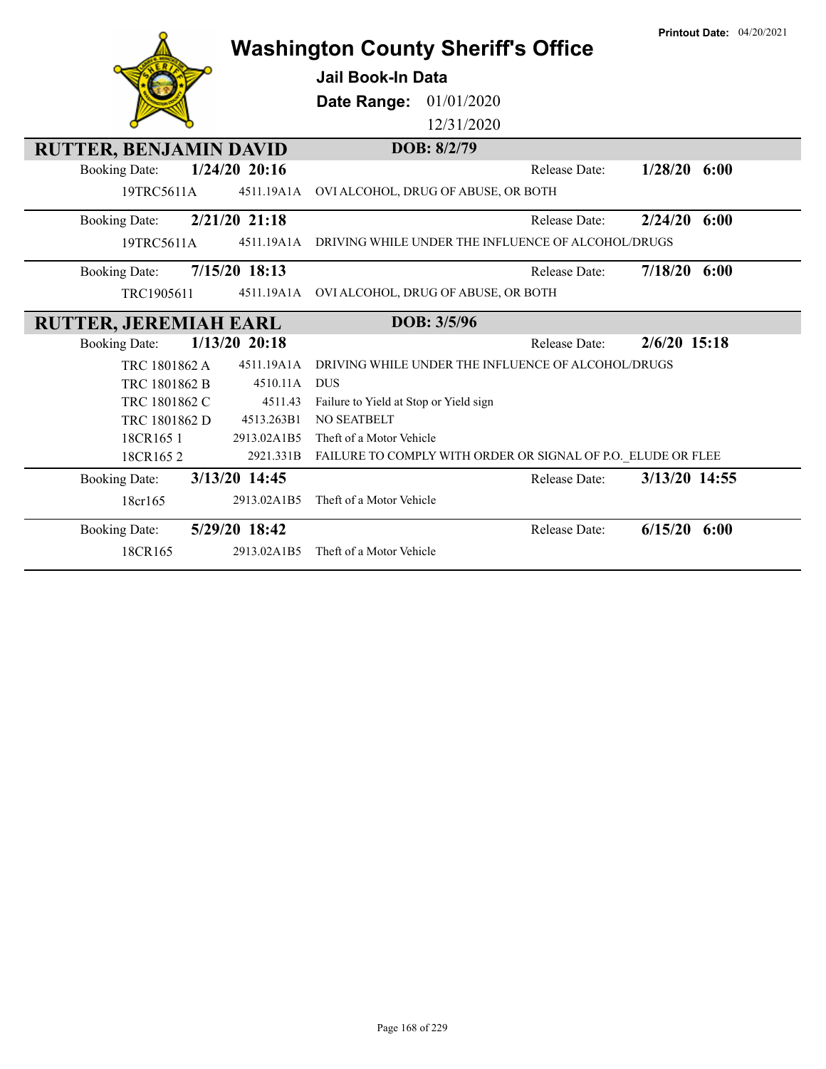|                               |                 | <b>Washington County Sheriff's Office</b>                    | <b>Printout Date: 04/20/2021</b> |
|-------------------------------|-----------------|--------------------------------------------------------------|----------------------------------|
|                               |                 | <b>Jail Book-In Data</b>                                     |                                  |
|                               |                 | Date Range:<br>01/01/2020                                    |                                  |
|                               |                 | 12/31/2020                                                   |                                  |
| <b>RUTTER, BENJAMIN DAVID</b> |                 | DOB: 8/2/79                                                  |                                  |
| <b>Booking Date:</b>          | $1/24/20$ 20:16 | Release Date:                                                | $1/28/20$ 6:00                   |
| 19TRC5611A                    | 4511.19A1A      | OVI ALCOHOL, DRUG OF ABUSE, OR BOTH                          |                                  |
| <b>Booking Date:</b>          | 2/21/20 21:18   | Release Date:                                                | 2/24/20<br>6:00                  |
| 19TRC5611A                    | 4511.19A1A      | DRIVING WHILE UNDER THE INFLUENCE OF ALCOHOL/DRUGS           |                                  |
| <b>Booking Date:</b>          | 7/15/20 18:13   | Release Date:                                                | 7/18/20<br>6:00                  |
| TRC1905611                    | 4511.19A1A      | OVI ALCOHOL, DRUG OF ABUSE, OR BOTH                          |                                  |
| <b>RUTTER, JEREMIAH EARL</b>  |                 | DOB: 3/5/96                                                  |                                  |
| <b>Booking Date:</b>          | $1/13/20$ 20:18 | <b>Release Date:</b>                                         | $2/6/20$ 15:18                   |
| TRC 1801862 A                 | 4511.19A1A      |                                                              |                                  |
|                               |                 | DRIVING WHILE UNDER THE INFLUENCE OF ALCOHOL/DRUGS           |                                  |
| TRC 1801862 B                 | 4510.11A        | <b>DUS</b>                                                   |                                  |
| TRC 1801862 C                 | 4511.43         | Failure to Yield at Stop or Yield sign                       |                                  |
| TRC 1801862 D                 | 4513.263B1      | NO SEATBELT                                                  |                                  |
| 18CR165 1                     | 2913.02A1B5     | Theft of a Motor Vehicle                                     |                                  |
| 18CR1652                      | 2921.331B       | FAILURE TO COMPLY WITH ORDER OR SIGNAL OF P.O. ELUDE OR FLEE |                                  |
| <b>Booking Date:</b>          | 3/13/20 14:45   | Release Date:                                                | 3/13/20 14:55                    |
| 18cr165                       | 2913.02A1B5     | Theft of a Motor Vehicle                                     |                                  |
| <b>Booking Date:</b>          | 5/29/20 18:42   | Release Date:                                                | 6/15/20<br>6:00                  |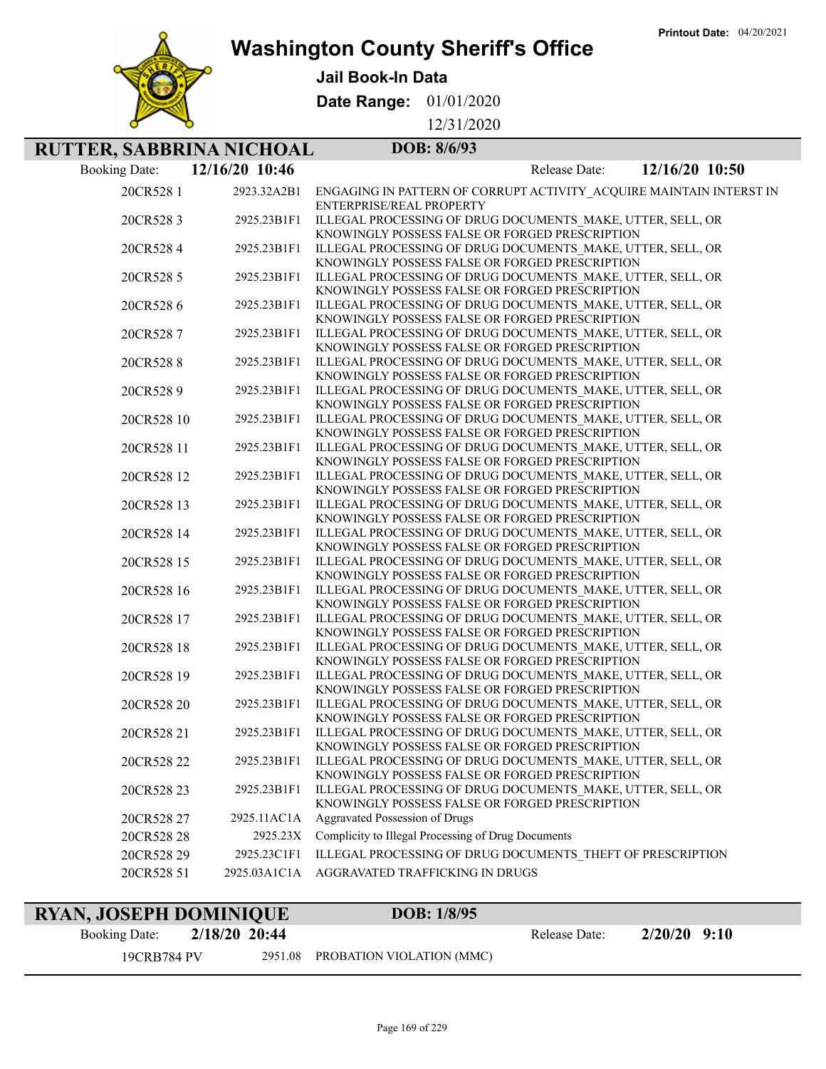**Printout Date:** 04/20/2021



**Washington County Sheriff's Office**

**Jail Book-In Data**

**Date Range:** 01/01/2020

12/31/2020

## **RUTTER, SABBRINA NICHOAL DOB: 8/6/93**

| <b>Booking Date:</b> | 12/16/20 10:46 | 12/16/20 10:50<br>Release Date:                                                                              |
|----------------------|----------------|--------------------------------------------------------------------------------------------------------------|
| 20CR528 1            | 2923.32A2B1    | ENGAGING IN PATTERN OF CORRUPT ACTIVITY ACQUIRE MAINTAIN INTERST IN<br>ENTERPRISE/REAL PROPERTY              |
| 20CR5283             | 2925.23B1F1    | ILLEGAL PROCESSING OF DRUG DOCUMENTS_MAKE, UTTER, SELL, OR<br>KNOWINGLY POSSESS FALSE OR FORGED PRESCRIPTION |
| 20CR5284             | 2925.23B1F1    | ILLEGAL PROCESSING OF DRUG DOCUMENTS MAKE, UTTER, SELL, OR<br>KNOWINGLY POSSESS FALSE OR FORGED PRESCRIPTION |
| 20CR528 5            | 2925.23B1F1    | ILLEGAL PROCESSING OF DRUG DOCUMENTS_MAKE, UTTER, SELL, OR<br>KNOWINGLY POSSESS FALSE OR FORGED PRESCRIPTION |
| 20CR5286             | 2925.23B1F1    | ILLEGAL PROCESSING OF DRUG DOCUMENTS MAKE, UTTER, SELL, OR<br>KNOWINGLY POSSESS FALSE OR FORGED PRESCRIPTION |
| 20CR5287             | 2925.23B1F1    | ILLEGAL PROCESSING OF DRUG DOCUMENTS MAKE, UTTER, SELL, OR<br>KNOWINGLY POSSESS FALSE OR FORGED PRESCRIPTION |
| 20CR5288             | 2925.23B1F1    | ILLEGAL PROCESSING OF DRUG DOCUMENTS MAKE, UTTER, SELL, OR<br>KNOWINGLY POSSESS FALSE OR FORGED PRESCRIPTION |
| 20CR5289             | 2925.23B1F1    | ILLEGAL PROCESSING OF DRUG DOCUMENTS MAKE, UTTER, SELL, OR<br>KNOWINGLY POSSESS FALSE OR FORGED PRESCRIPTION |
| 20CR528 10           | 2925.23B1F1    | ILLEGAL PROCESSING OF DRUG DOCUMENTS MAKE, UTTER, SELL, OR<br>KNOWINGLY POSSESS FALSE OR FORGED PRESCRIPTION |
| 20CR528 11           | 2925.23B1F1    | ILLEGAL PROCESSING OF DRUG DOCUMENTS MAKE, UTTER, SELL, OR<br>KNOWINGLY POSSESS FALSE OR FORGED PRESCRIPTION |
| 20CR528 12           | 2925.23B1F1    | ILLEGAL PROCESSING OF DRUG DOCUMENTS MAKE, UTTER, SELL, OR<br>KNOWINGLY POSSESS FALSE OR FORGED PRESCRIPTION |
| 20CR528 13           | 2925.23B1F1    | ILLEGAL PROCESSING OF DRUG DOCUMENTS MAKE, UTTER, SELL, OR<br>KNOWINGLY POSSESS FALSE OR FORGED PRESCRIPTION |
| 20CR528 14           | 2925.23B1F1    | ILLEGAL PROCESSING OF DRUG DOCUMENTS MAKE, UTTER, SELL, OR<br>KNOWINGLY POSSESS FALSE OR FORGED PRESCRIPTION |
| 20CR528 15           | 2925.23B1F1    | ILLEGAL PROCESSING OF DRUG DOCUMENTS MAKE, UTTER, SELL, OR<br>KNOWINGLY POSSESS FALSE OR FORGED PRESCRIPTION |
| 20CR528 16           | 2925.23B1F1    | ILLEGAL PROCESSING OF DRUG DOCUMENTS MAKE, UTTER, SELL, OR<br>KNOWINGLY POSSESS FALSE OR FORGED PRESCRIPTION |
| 20CR528 17           | 2925.23B1F1    | ILLEGAL PROCESSING OF DRUG DOCUMENTS MAKE, UTTER, SELL, OR<br>KNOWINGLY POSSESS FALSE OR FORGED PRESCRIPTION |
| 20CR528 18           | 2925.23B1F1    | ILLEGAL PROCESSING OF DRUG DOCUMENTS MAKE, UTTER, SELL, OR<br>KNOWINGLY POSSESS FALSE OR FORGED PRESCRIPTION |
| 20CR528 19           | 2925.23B1F1    | ILLEGAL PROCESSING OF DRUG DOCUMENTS_MAKE, UTTER, SELL, OR<br>KNOWINGLY POSSESS FALSE OR FORGED PRESCRIPTION |
| 20CR528 20           | 2925.23B1F1    | ILLEGAL PROCESSING OF DRUG DOCUMENTS MAKE, UTTER, SELL, OR<br>KNOWINGLY POSSESS FALSE OR FORGED PRESCRIPTION |
| 20CR528 21           | 2925.23B1F1    | ILLEGAL PROCESSING OF DRUG DOCUMENTS MAKE, UTTER, SELL, OR<br>KNOWINGLY POSSESS FALSE OR FORGED PRESCRIPTION |
| 20CR528 22           | 2925.23B1F1    | ILLEGAL PROCESSING OF DRUG DOCUMENTS MAKE, UTTER, SELL, OR<br>KNOWINGLY POSSESS FALSE OR FORGED PRESCRIPTION |
| 20CR528 23           | 2925.23B1F1    | ILLEGAL PROCESSING OF DRUG DOCUMENTS MAKE, UTTER, SELL, OR<br>KNOWINGLY POSSESS FALSE OR FORGED PRESCRIPTION |
| 20CR528 27           | 2925.11AC1A    | Aggravated Possession of Drugs                                                                               |
| 20CR528 28           | 2925.23X       | Complicity to Illegal Processing of Drug Documents                                                           |
| 20CR528 29           | 2925.23C1F1    | ILLEGAL PROCESSING OF DRUG DOCUMENTS_THEFT OF PRESCRIPTION                                                   |
| 20CR528 51           | 2925.03A1C1A   | AGGRAVATED TRAFFICKING IN DRUGS                                                                              |
|                      |                |                                                                                                              |

## **RYAN, JOSEPH DOMINIQUE DOB: 1/8/95**

19CRB784 PV 2951.08 PROBATION VIOLATION (MMC)

Booking Date: **2/18/20 20:44** Release Date: **2/20/20 9:10**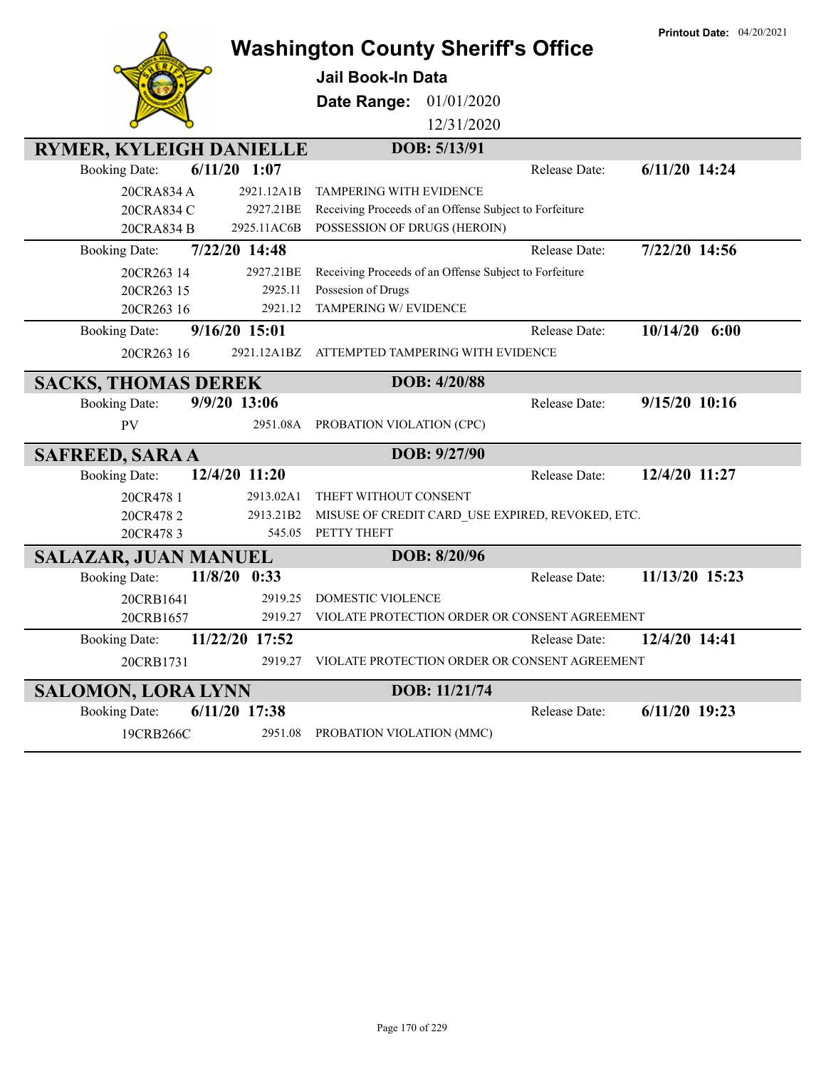|                                |                | <b>Washington County Sheriff's Office</b>              |               |               | <b>Printout Date: 04/20/2021</b> |
|--------------------------------|----------------|--------------------------------------------------------|---------------|---------------|----------------------------------|
|                                |                | Jail Book-In Data                                      |               |               |                                  |
|                                |                | Date Range:                                            | 01/01/2020    |               |                                  |
|                                |                |                                                        | 12/31/2020    |               |                                  |
| <b>RYMER, KYLEIGH DANIELLE</b> |                |                                                        | DOB: 5/13/91  |               |                                  |
| <b>Booking Date:</b>           | $6/11/20$ 1:07 |                                                        |               | Release Date: | 6/11/20 14:24                    |
| 20CRA834 A                     | 2921.12A1B     | <b>TAMPERING WITH EVIDENCE</b>                         |               |               |                                  |
| 20CRA834 C                     | 2927.21BE      | Receiving Proceeds of an Offense Subject to Forfeiture |               |               |                                  |
| 20CRA834 B                     | 2925.11AC6B    | POSSESSION OF DRUGS (HEROIN)                           |               |               |                                  |
| <b>Booking Date:</b>           | 7/22/20 14:48  |                                                        |               | Release Date: | 7/22/20 14:56                    |
| 20CR263 14                     | 2927.21BE      | Receiving Proceeds of an Offense Subject to Forfeiture |               |               |                                  |
| 20CR263 15                     | 2925.11        | Possesion of Drugs                                     |               |               |                                  |
| 20CR263 16                     | 2921.12        | TAMPERING W/ EVIDENCE                                  |               |               |                                  |
| <b>Booking Date:</b>           | 9/16/20 15:01  |                                                        |               | Release Date: | $10/14/20$ 6:00                  |
| 20CR263 16                     | 2921.12A1BZ    | ATTEMPTED TAMPERING WITH EVIDENCE                      |               |               |                                  |
| <b>SACKS, THOMAS DEREK</b>     |                |                                                        | DOB: 4/20/88  |               |                                  |
| <b>Booking Date:</b>           | 9/9/20 13:06   |                                                        |               | Release Date: | 9/15/20 10:16                    |
| <b>PV</b>                      |                | 2951.08A PROBATION VIOLATION (CPC)                     |               |               |                                  |
| <b>SAFREED, SARA A</b>         |                |                                                        | DOB: 9/27/90  |               |                                  |
| <b>Booking Date:</b>           | 12/4/20 11:20  |                                                        |               | Release Date: | 12/4/20 11:27                    |
| 20CR478 1                      | 2913.02A1      | THEFT WITHOUT CONSENT                                  |               |               |                                  |
| 20CR4782                       | 2913.21B2      | MISUSE OF CREDIT CARD_USE EXPIRED, REVOKED, ETC.       |               |               |                                  |
| 20CR4783                       | 545.05         | PETTY THEFT                                            |               |               |                                  |
| <b>SALAZAR, JUAN MANUEL</b>    |                |                                                        | DOB: 8/20/96  |               |                                  |
| <b>Booking Date:</b>           | 11/8/20 0:33   |                                                        |               | Release Date: | 11/13/20 15:23                   |
| 20CRB1641                      | 2919.25        | <b>DOMESTIC VIOLENCE</b>                               |               |               |                                  |
| 20CRB1657                      | 2919.27        | VIOLATE PROTECTION ORDER OR CONSENT AGREEMENT          |               |               |                                  |
| <b>Booking Date:</b>           | 11/22/20 17:52 |                                                        |               | Release Date: | 12/4/20 14:41                    |
| 20CRB1731                      | 2919.27        | VIOLATE PROTECTION ORDER OR CONSENT AGREEMENT          |               |               |                                  |
| <b>SALOMON, LORA LYNN</b>      |                |                                                        | DOB: 11/21/74 |               |                                  |
| <b>Booking Date:</b>           | 6/11/20 17:38  |                                                        |               | Release Date: | $6/11/20$ 19:23                  |
| 19CRB266C                      | 2951.08        | PROBATION VIOLATION (MMC)                              |               |               |                                  |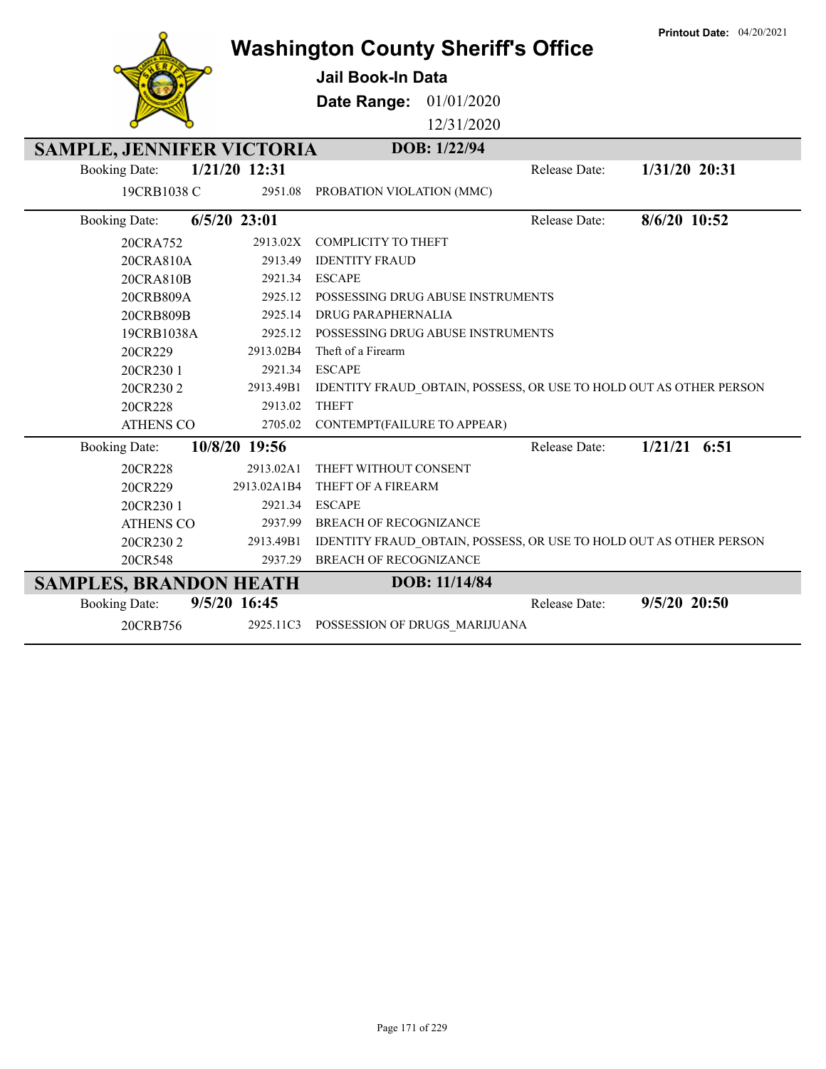|                                        | <b>Washington County Sheriff's Office</b>                                       |               | <b>Printout Date: 04/20/2021</b> |
|----------------------------------------|---------------------------------------------------------------------------------|---------------|----------------------------------|
|                                        | <b>Jail Book-In Data</b>                                                        |               |                                  |
|                                        |                                                                                 |               |                                  |
|                                        | <b>Date Range: 01/01/2020</b>                                                   |               |                                  |
|                                        | 12/31/2020                                                                      |               |                                  |
| <b>SAMPLE, JENNIFER VICTORIA</b>       | DOB: 1/22/94                                                                    |               |                                  |
| 1/21/20 12:31<br><b>Booking Date:</b>  |                                                                                 | Release Date: | 1/31/20 20:31                    |
| 19CRB1038 C                            | 2951.08<br>PROBATION VIOLATION (MMC)                                            |               |                                  |
|                                        |                                                                                 |               |                                  |
| $6/5/20$ 23:01<br><b>Booking Date:</b> |                                                                                 | Release Date: | 8/6/20 10:52                     |
| 20CRA752                               | <b>COMPLICITY TO THEFT</b><br>2913.02X                                          |               |                                  |
| 20CRA810A                              | <b>IDENTITY FRAUD</b><br>2913.49                                                |               |                                  |
| 20CRA810B                              | 2921.34<br><b>ESCAPE</b>                                                        |               |                                  |
| 20CRB809A                              | 2925.12<br>POSSESSING DRUG ABUSE INSTRUMENTS                                    |               |                                  |
| 20CRB809B                              | 2925.14<br><b>DRUG PARAPHERNALIA</b>                                            |               |                                  |
| 19CRB1038A                             | POSSESSING DRUG ABUSE INSTRUMENTS<br>2925.12                                    |               |                                  |
| 20CR229                                | Theft of a Firearm<br>2913.02B4                                                 |               |                                  |
| 20CR230 1                              | <b>ESCAPE</b><br>2921.34                                                        |               |                                  |
| 20CR2302                               | IDENTITY FRAUD_OBTAIN, POSSESS, OR USE TO HOLD OUT AS OTHER PERSON<br>2913.49B1 |               |                                  |
| 20CR228                                | <b>THEFT</b><br>2913.02                                                         |               |                                  |
| <b>ATHENS CO</b>                       | 2705.02 CONTEMPT(FAILURE TO APPEAR)                                             |               |                                  |
| 10/8/20 19:56<br><b>Booking Date:</b>  |                                                                                 | Release Date: | $1/21/21$ 6:51                   |
| 20CR228                                | 2913.02A1<br>THEFT WITHOUT CONSENT                                              |               |                                  |
| 20CR229<br>2913.02A1B4                 | THEFT OF A FIREARM                                                              |               |                                  |
| 20CR230 1                              | 2921.34<br><b>ESCAPE</b>                                                        |               |                                  |
| <b>ATHENS CO</b>                       | 2937.99<br><b>BREACH OF RECOGNIZANCE</b>                                        |               |                                  |
| 20CR2302<br>2913.49B1                  | IDENTITY FRAUD_OBTAIN, POSSESS, OR USE TO HOLD OUT AS OTHER PERSON              |               |                                  |
| 20CR548                                | <b>BREACH OF RECOGNIZANCE</b><br>2937.29                                        |               |                                  |
| <b>SAMPLES, BRANDON HEATH</b>          | DOB: 11/14/84                                                                   |               |                                  |
| 9/5/20 16:45<br><b>Booking Date:</b>   |                                                                                 | Release Date: | $9/5/20$ 20:50                   |
| 20CRB756                               | 2925.11C3 POSSESSION OF DRUGS MARIJUANA                                         |               |                                  |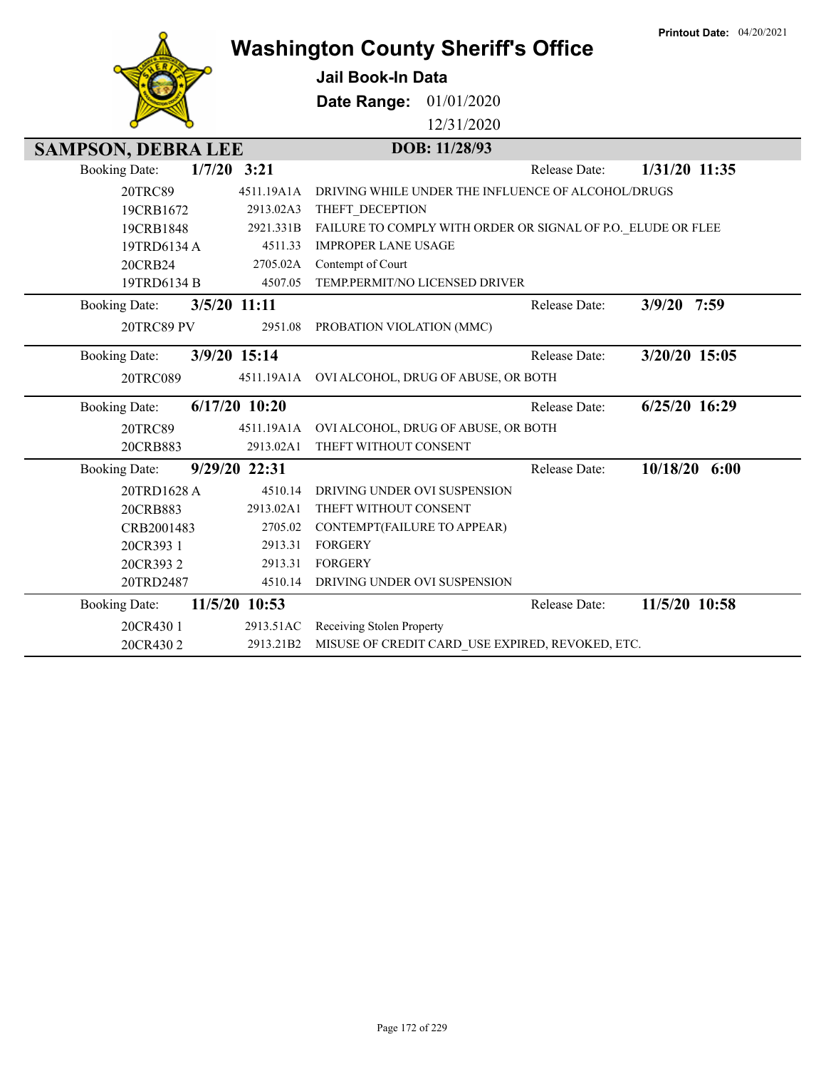|                           |               |                 | <b>Washington County Sheriff's Office</b>      |                                                              |               | <b>Printout Date: 04/20/2021</b> |
|---------------------------|---------------|-----------------|------------------------------------------------|--------------------------------------------------------------|---------------|----------------------------------|
|                           |               |                 | Jail Book-In Data                              |                                                              |               |                                  |
|                           |               |                 | <b>Date Range: 01/01/2020</b>                  |                                                              |               |                                  |
|                           |               |                 |                                                | 12/31/2020                                                   |               |                                  |
| <b>SAMPSON, DEBRA LEE</b> |               |                 |                                                | DOB: 11/28/93                                                |               |                                  |
| <b>Booking Date:</b>      | $1/7/20$ 3:21 |                 |                                                |                                                              | Release Date: | 1/31/20 11:35                    |
| 20TRC89                   |               | 4511.19A1A      |                                                | DRIVING WHILE UNDER THE INFLUENCE OF ALCOHOL/DRUGS           |               |                                  |
| 19CRB1672                 |               | 2913.02A3       | THEFT_DECEPTION                                |                                                              |               |                                  |
| 19CRB1848                 |               | 2921.331B       |                                                | FAILURE TO COMPLY WITH ORDER OR SIGNAL OF P.O. ELUDE OR FLEE |               |                                  |
| 19TRD6134 A               |               | 4511.33         | <b>IMPROPER LANE USAGE</b>                     |                                                              |               |                                  |
| 20CRB24                   |               | 2705.02A        | Contempt of Court                              |                                                              |               |                                  |
| 19TRD6134 B               |               | 4507.05         |                                                | TEMP.PERMIT/NO LICENSED DRIVER                               |               |                                  |
| <b>Booking Date:</b>      | 3/5/20 11:11  |                 |                                                |                                                              | Release Date: | 3/9/20 7:59                      |
| 20TRC89 PV                |               | 2951.08         | PROBATION VIOLATION (MMC)                      |                                                              |               |                                  |
| <b>Booking Date:</b>      | 3/9/20 15:14  |                 |                                                |                                                              | Release Date: | 3/20/20 15:05                    |
| 20TRC089                  |               |                 | 4511.19A1A OVI ALCOHOL, DRUG OF ABUSE, OR BOTH |                                                              |               |                                  |
| <b>Booking Date:</b>      |               | $6/17/20$ 10:20 |                                                |                                                              | Release Date: | $6/25/20$ 16:29                  |
| 20TRC89                   |               | 4511.19A1A      |                                                | OVI ALCOHOL, DRUG OF ABUSE, OR BOTH                          |               |                                  |
| 20CRB883                  |               | 2913.02A1       | THEFT WITHOUT CONSENT                          |                                                              |               |                                  |
| <b>Booking Date:</b>      |               | 9/29/20 22:31   |                                                |                                                              | Release Date: | $10/18/20$ 6:00                  |
| 20TRD1628 A               |               | 4510.14         | DRIVING UNDER OVI SUSPENSION                   |                                                              |               |                                  |
| 20CRB883                  |               | 2913.02A1       | THEFT WITHOUT CONSENT                          |                                                              |               |                                  |
| CRB2001483                |               | 2705.02         | CONTEMPT(FAILURE TO APPEAR)                    |                                                              |               |                                  |
| 20CR393 1                 |               | 2913.31         | <b>FORGERY</b>                                 |                                                              |               |                                  |
| 20CR3932                  |               | 2913.31         | <b>FORGERY</b>                                 |                                                              |               |                                  |
| 20TRD2487                 |               | 4510.14         | DRIVING UNDER OVI SUSPENSION                   |                                                              |               |                                  |
| <b>Booking Date:</b>      |               | 11/5/20 10:53   |                                                |                                                              | Release Date: | 11/5/20 10:58                    |
| 20CR430 1                 |               | 2913.51AC       | Receiving Stolen Property                      |                                                              |               |                                  |
| 20CR4302                  |               | 2913.21B2       |                                                | MISUSE OF CREDIT CARD USE EXPIRED, REVOKED, ETC.             |               |                                  |

**Printout Date:** 04/20/2021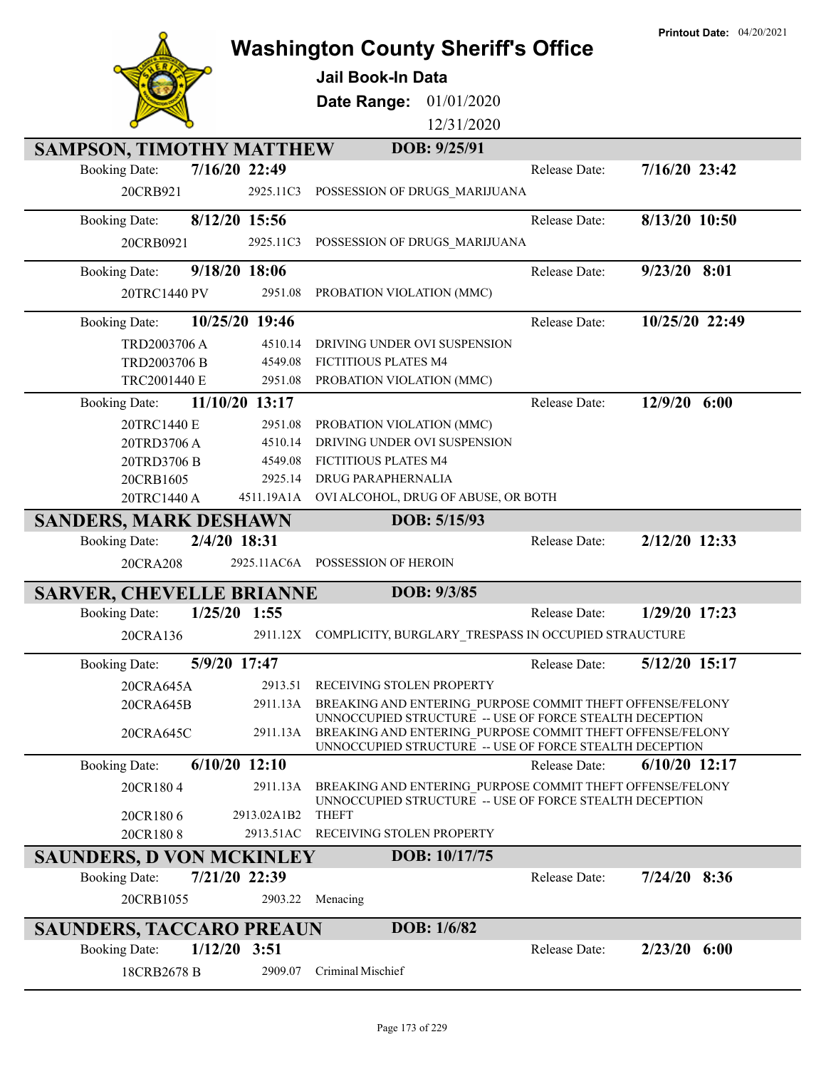|                                 |                 |                                                                                                                                                                                 |               | <b>Printout Date: 04/20/2021</b> |
|---------------------------------|-----------------|---------------------------------------------------------------------------------------------------------------------------------------------------------------------------------|---------------|----------------------------------|
|                                 |                 | <b>Washington County Sheriff's Office</b>                                                                                                                                       |               |                                  |
|                                 |                 | <b>Jail Book-In Data</b>                                                                                                                                                        |               |                                  |
|                                 |                 | 01/01/2020<br>Date Range:                                                                                                                                                       |               |                                  |
|                                 |                 | 12/31/2020                                                                                                                                                                      |               |                                  |
|                                 |                 | DOB: 9/25/91                                                                                                                                                                    |               |                                  |
| <b>SAMPSON, TIMOTHY MATTHEW</b> | 7/16/20 22:49   |                                                                                                                                                                                 | Release Date: | $7/16/20$ 23:42                  |
| <b>Booking Date:</b>            |                 |                                                                                                                                                                                 |               |                                  |
| 20CRB921                        | 2925.11C3       | POSSESSION OF DRUGS MARIJUANA                                                                                                                                                   |               |                                  |
| <b>Booking Date:</b>            | 8/12/20 15:56   |                                                                                                                                                                                 | Release Date: | 8/13/20 10:50                    |
| 20CRB0921                       | 2925.11C3       | POSSESSION OF DRUGS_MARIJUANA                                                                                                                                                   |               |                                  |
| <b>Booking Date:</b>            | 9/18/20 18:06   |                                                                                                                                                                                 | Release Date: | $9/23/20$ 8:01                   |
| 20TRC1440 PV                    | 2951.08         | PROBATION VIOLATION (MMC)                                                                                                                                                       |               |                                  |
| <b>Booking Date:</b>            | 10/25/20 19:46  |                                                                                                                                                                                 | Release Date: | 10/25/20 22:49                   |
| <b>TRD2003706 A</b>             | 4510.14         | DRIVING UNDER OVI SUSPENSION                                                                                                                                                    |               |                                  |
| TRD2003706 B                    | 4549.08         | FICTITIOUS PLATES M4                                                                                                                                                            |               |                                  |
| TRC2001440 E                    | 2951.08         | PROBATION VIOLATION (MMC)                                                                                                                                                       |               |                                  |
| <b>Booking Date:</b>            | 11/10/20 13:17  |                                                                                                                                                                                 | Release Date: | 12/9/20 6:00                     |
| 20TRC1440 E                     | 2951.08         | PROBATION VIOLATION (MMC)                                                                                                                                                       |               |                                  |
| 20TRD3706A                      | 4510.14         | DRIVING UNDER OVI SUSPENSION                                                                                                                                                    |               |                                  |
| 20TRD3706 B                     | 4549.08         | FICTITIOUS PLATES M4                                                                                                                                                            |               |                                  |
| 20CRB1605                       | 2925.14         | <b>DRUG PARAPHERNALIA</b>                                                                                                                                                       |               |                                  |
| 20TRC1440 A                     |                 | 4511.19A1A OVI ALCOHOL, DRUG OF ABUSE, OR BOTH                                                                                                                                  |               |                                  |
| <b>SANDERS, MARK DESHAWN</b>    |                 | DOB: 5/15/93                                                                                                                                                                    |               |                                  |
| <b>Booking Date:</b>            | 2/4/20 18:31    |                                                                                                                                                                                 | Release Date: | 2/12/20 12:33                    |
| 20CRA208                        |                 | 2925.11AC6A POSSESSION OF HEROIN                                                                                                                                                |               |                                  |
| <b>SARVER, CHEVELLE BRIANNE</b> |                 | DOB: 9/3/85                                                                                                                                                                     |               |                                  |
| <b>Booking Date:</b>            | $1/25/20$ 1:55  |                                                                                                                                                                                 | Release Date: | 1/29/20 17:23                    |
| 20CRA136                        |                 | 2911.12X COMPLICITY, BURGLARY_TRESPASS IN OCCUPIED STRAUCTURE                                                                                                                   |               |                                  |
|                                 |                 |                                                                                                                                                                                 |               |                                  |
| <b>Booking Date:</b>            | 5/9/20 17:47    |                                                                                                                                                                                 | Release Date: | 5/12/20 15:17                    |
| 20CRA645A                       | 2913.51         | RECEIVING STOLEN PROPERTY                                                                                                                                                       |               |                                  |
| 20CRA645B                       | 2911.13A        | BREAKING AND ENTERING PURPOSE COMMIT THEFT OFFENSE/FELONY                                                                                                                       |               |                                  |
| 20CRA645C                       | 2911.13A        | UNNOCCUPIED STRUCTURE -- USE OF FORCE STEALTH DECEPTION<br>BREAKING AND ENTERING PURPOSE COMMIT THEFT OFFENSE/FELONY<br>UNNOCCUPIED STRUCTURE -- USE OF FORCE STEALTH DECEPTION |               |                                  |
| <b>Booking Date:</b>            | $6/10/20$ 12:10 |                                                                                                                                                                                 | Release Date: | $6/10/20$ 12:17                  |
| 20CR1804                        | 2911.13A        | BREAKING AND ENTERING PURPOSE COMMIT THEFT OFFENSE/FELONY                                                                                                                       |               |                                  |
|                                 |                 |                                                                                                                                                                                 |               |                                  |
|                                 | 2913.02A1B2     | UNNOCCUPIED STRUCTURE -- USE OF FORCE STEALTH DECEPTION                                                                                                                         |               |                                  |
| 20CR1806<br>20CR1808            | 2913.51AC       | <b>THEFT</b><br>RECEIVING STOLEN PROPERTY                                                                                                                                       |               |                                  |
|                                 |                 | DOB: 10/17/75                                                                                                                                                                   |               |                                  |
| <b>SAUNDERS, D VON MCKINLEY</b> |                 |                                                                                                                                                                                 |               |                                  |
| <b>Booking Date:</b>            | 7/21/20 22:39   |                                                                                                                                                                                 | Release Date: | $7/24/20$ 8:36                   |
| 20CRB1055                       |                 | 2903.22 Menacing                                                                                                                                                                |               |                                  |
| <b>SAUNDERS, TACCARO PREAUN</b> |                 | DOB: 1/6/82                                                                                                                                                                     |               |                                  |
| <b>Booking Date:</b>            | $1/12/20$ 3:51  |                                                                                                                                                                                 | Release Date: | $2/23/20$ 6:00                   |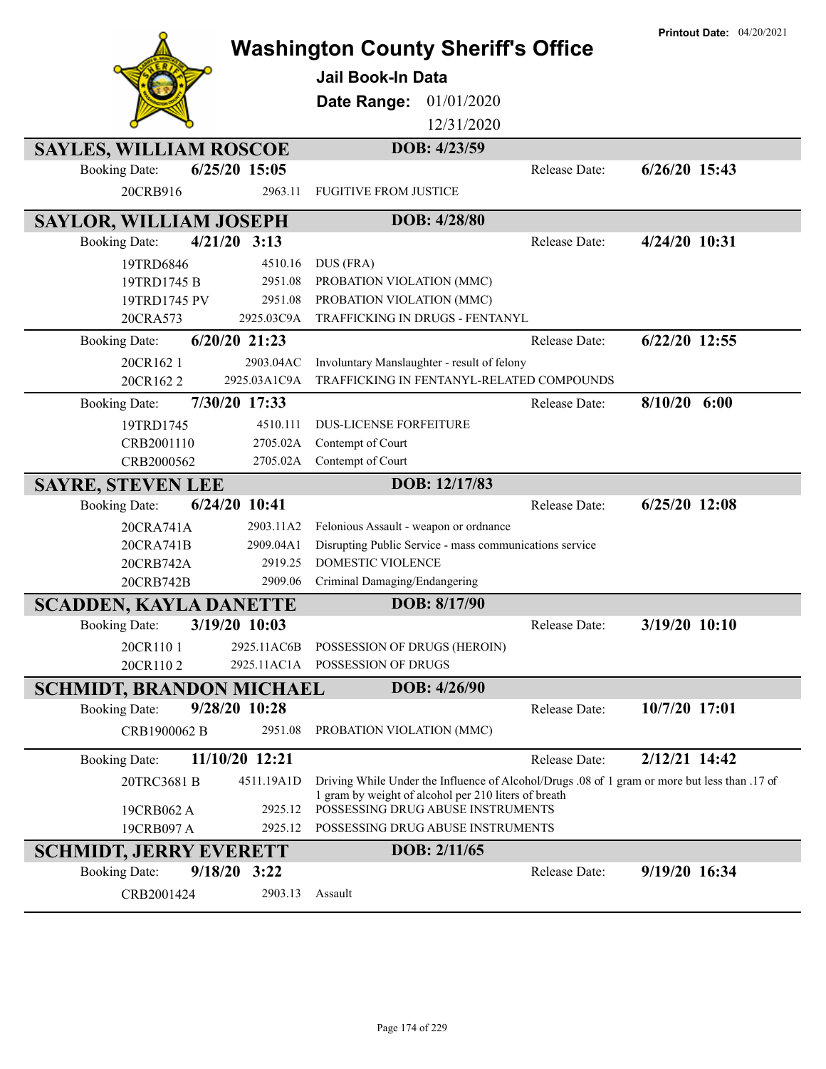|                                 |                 | <b>Washington County Sheriff's Office</b>                                                     |               | <b>Printout Date: 04/20/2021</b> |
|---------------------------------|-----------------|-----------------------------------------------------------------------------------------------|---------------|----------------------------------|
|                                 |                 | <b>Jail Book-In Data</b>                                                                      |               |                                  |
|                                 |                 |                                                                                               |               |                                  |
|                                 |                 | Date Range:<br>01/01/2020                                                                     |               |                                  |
|                                 |                 | 12/31/2020                                                                                    |               |                                  |
| <b>SAYLES, WILLIAM ROSCOE</b>   |                 | DOB: 4/23/59                                                                                  |               |                                  |
| <b>Booking Date:</b>            | 6/25/20 15:05   |                                                                                               | Release Date: | $6/26/20$ 15:43                  |
| 20CRB916                        | 2963.11         | <b>FUGITIVE FROM JUSTICE</b>                                                                  |               |                                  |
| <b>SAYLOR, WILLIAM JOSEPH</b>   |                 | DOB: 4/28/80                                                                                  |               |                                  |
| <b>Booking Date:</b>            | $4/21/20$ 3:13  |                                                                                               | Release Date: | 4/24/20 10:31                    |
| 19TRD6846                       | 4510.16         | DUS (FRA)                                                                                     |               |                                  |
| 19TRD1745 B                     | 2951.08         | PROBATION VIOLATION (MMC)                                                                     |               |                                  |
| 19TRD1745 PV                    | 2951.08         | PROBATION VIOLATION (MMC)                                                                     |               |                                  |
| 20CRA573                        | 2925.03C9A      | TRAFFICKING IN DRUGS - FENTANYL                                                               |               |                                  |
| <b>Booking Date:</b>            | $6/20/20$ 21:23 |                                                                                               | Release Date: | $6/22/20$ 12:55                  |
| 20CR162 1                       | 2903.04AC       | Involuntary Manslaughter - result of felony                                                   |               |                                  |
| 20CR1622                        | 2925.03A1C9A    | TRAFFICKING IN FENTANYL-RELATED COMPOUNDS                                                     |               |                                  |
| <b>Booking Date:</b>            | 7/30/20 17:33   |                                                                                               | Release Date: | $8/10/20$ 6:00                   |
| 19TRD1745                       | 4510.111        | <b>DUS-LICENSE FORFEITURE</b>                                                                 |               |                                  |
| CRB2001110                      | 2705.02A        | Contempt of Court                                                                             |               |                                  |
| CRB2000562                      | 2705.02A        | Contempt of Court                                                                             |               |                                  |
| <b>SAYRE, STEVEN LEE</b>        |                 | DOB: 12/17/83                                                                                 |               |                                  |
|                                 |                 |                                                                                               |               |                                  |
| <b>Booking Date:</b>            | $6/24/20$ 10:41 |                                                                                               | Release Date: | $6/25/20$ 12:08                  |
| 20CRA741A                       | 2903.11A2       | Felonious Assault - weapon or ordnance                                                        |               |                                  |
| 20CRA741B                       | 2909.04A1       | Disrupting Public Service - mass communications service                                       |               |                                  |
| 20CRB742A                       | 2919.25         | <b>DOMESTIC VIOLENCE</b>                                                                      |               |                                  |
| 20CRB742B                       | 2909.06         | Criminal Damaging/Endangering                                                                 |               |                                  |
| <b>SCADDEN, KAYLA DANETTE</b>   |                 | DOB: 8/17/90                                                                                  |               |                                  |
| <b>Booking Date:</b>            | 3/19/20 10:03   |                                                                                               | Release Date: | 3/19/20 10:10                    |
| 20CR1101                        | 2925.11AC6B     | POSSESSION OF DRUGS (HEROIN)                                                                  |               |                                  |
| 20CR1102                        | 2925.11AC1A     | POSSESSION OF DRUGS                                                                           |               |                                  |
| <b>SCHMIDT, BRANDON MICHAEL</b> |                 | DOB: 4/26/90                                                                                  |               |                                  |
| <b>Booking Date:</b>            | 9/28/20 10:28   |                                                                                               | Release Date: | 10/7/20 17:01                    |
| CRB1900062 B                    | 2951.08         | PROBATION VIOLATION (MMC)                                                                     |               |                                  |
| <b>Booking Date:</b>            | 11/10/20 12:21  |                                                                                               | Release Date: | 2/12/21 14:42                    |
| 20TRC3681 B                     | 4511.19A1D      | Driving While Under the Influence of Alcohol/Drugs .08 of 1 gram or more but less than .17 of |               |                                  |
| 19CRB062 A                      | 2925.12         | 1 gram by weight of alcohol per 210 liters of breath<br>POSSESSING DRUG ABUSE INSTRUMENTS     |               |                                  |
| 19CRB097 A                      | 2925.12         | POSSESSING DRUG ABUSE INSTRUMENTS                                                             |               |                                  |
| <b>SCHMIDT, JERRY EVERETT</b>   |                 | DOB: 2/11/65                                                                                  |               |                                  |
| <b>Booking Date:</b>            | $9/18/20$ 3:22  |                                                                                               | Release Date: | 9/19/20 16:34                    |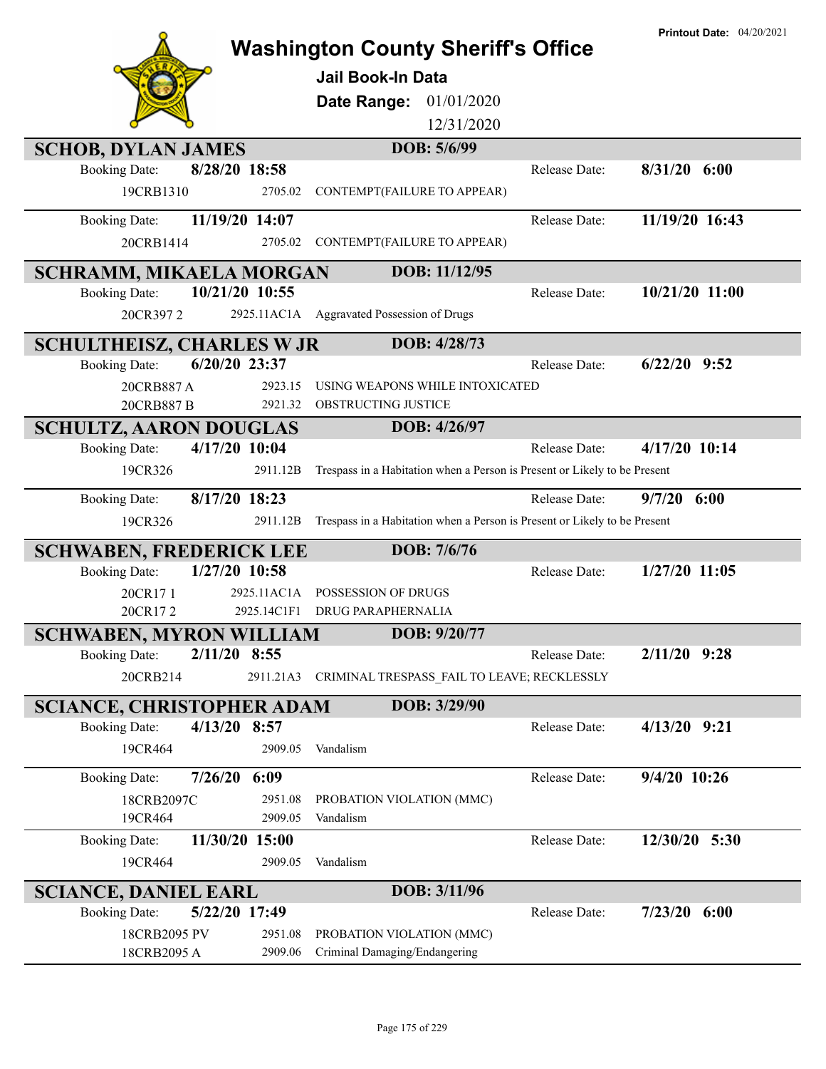|                                         | <b>Washington County Sheriff's Office</b>                                 | <b>Printout Date: 04/20/2021</b> |
|-----------------------------------------|---------------------------------------------------------------------------|----------------------------------|
|                                         |                                                                           |                                  |
|                                         | <b>Jail Book-In Data</b>                                                  |                                  |
|                                         | 01/01/2020<br>Date Range:                                                 |                                  |
|                                         | 12/31/2020                                                                |                                  |
| <b>SCHOB, DYLAN JAMES</b>               | DOB: 5/6/99                                                               |                                  |
| 8/28/20 18:58<br><b>Booking Date:</b>   | Release Date:                                                             | $8/31/20$ 6:00                   |
| 19CRB1310<br>2705.02                    | CONTEMPT(FAILURE TO APPEAR)                                               |                                  |
| 11/19/20 14:07<br><b>Booking Date:</b>  | Release Date:                                                             | 11/19/20 16:43                   |
| 2705.02<br>20CRB1414                    | CONTEMPT(FAILURE TO APPEAR)                                               |                                  |
| SCHRAMM, MIKAELA MORGAN                 | DOB: 11/12/95                                                             |                                  |
| 10/21/20 10:55<br><b>Booking Date:</b>  | Release Date:                                                             | 10/21/20 11:00                   |
| 20CR3972                                | 2925.11AC1A Aggravated Possession of Drugs                                |                                  |
| <b>SCHULTHEISZ, CHARLES W JR</b>        | DOB: 4/28/73                                                              |                                  |
| 6/20/20 23:37<br><b>Booking Date:</b>   | Release Date:                                                             | $6/22/20$ 9:52                   |
| 2923.15<br>20CRB887A                    | USING WEAPONS WHILE INTOXICATED                                           |                                  |
| 2921.32<br>20CRB887 B                   | OBSTRUCTING JUSTICE                                                       |                                  |
| <b>SCHULTZ, AARON DOUGLAS</b>           | DOB: 4/26/97                                                              |                                  |
| 4/17/20 10:04<br><b>Booking Date:</b>   | Release Date:                                                             | 4/17/20 10:14                    |
| 2911.12B<br>19CR326                     | Trespass in a Habitation when a Person is Present or Likely to be Present |                                  |
| 8/17/20 18:23<br><b>Booking Date:</b>   | Release Date:                                                             | 9/7/20<br>6:00                   |
| 19CR326<br>2911.12B                     | Trespass in a Habitation when a Person is Present or Likely to be Present |                                  |
| <b>SCHWABEN, FREDERICK LEE</b>          | DOB: 7/6/76                                                               |                                  |
| 1/27/20 10:58<br><b>Booking Date:</b>   | Release Date:                                                             | $1/27/20$ 11:05                  |
| 2925.11AC1A<br>20CR171                  | POSSESSION OF DRUGS                                                       |                                  |
| 2925.14C1F1<br>20CR172                  | <b>DRUG PARAPHERNALIA</b>                                                 |                                  |
| <b>SCHWABEN, MYRON WILLIAM</b>          | DOB: 9/20/77                                                              |                                  |
| 2/11/20 8:55<br><b>Booking Date:</b>    | Release Date:                                                             | $2/11/20$ 9:28                   |
| 20CRB214<br>2911.21A3                   | CRIMINAL TRESPASS_FAIL TO LEAVE; RECKLESSLY                               |                                  |
| <b>SCIANCE, CHRISTOPHER ADAM</b>        | DOB: 3/29/90                                                              |                                  |
| 4/13/20 8:57<br><b>Booking Date:</b>    | Release Date:                                                             | $4/13/20$ 9:21                   |
| 19CR464<br>2909.05                      | Vandalism                                                                 |                                  |
| 7/26/20<br>6:09<br><b>Booking Date:</b> | Release Date:                                                             | 9/4/20 10:26                     |
| 18CRB2097C<br>2951.08                   | PROBATION VIOLATION (MMC)                                                 |                                  |
| 19CR464<br>2909.05                      | Vandalism                                                                 |                                  |
| 11/30/20 15:00<br><b>Booking Date:</b>  | Release Date:                                                             | 12/30/20 5:30                    |
| 19CR464<br>2909.05                      | Vandalism                                                                 |                                  |
| <b>SCIANCE, DANIEL EARL</b>             | DOB: 3/11/96                                                              |                                  |
| 5/22/20 17:49<br><b>Booking Date:</b>   | Release Date:                                                             | $7/23/20$ 6:00                   |
| 18CRB2095 PV<br>2951.08                 | PROBATION VIOLATION (MMC)                                                 |                                  |
| 18CRB2095 A<br>2909.06                  | Criminal Damaging/Endangering                                             |                                  |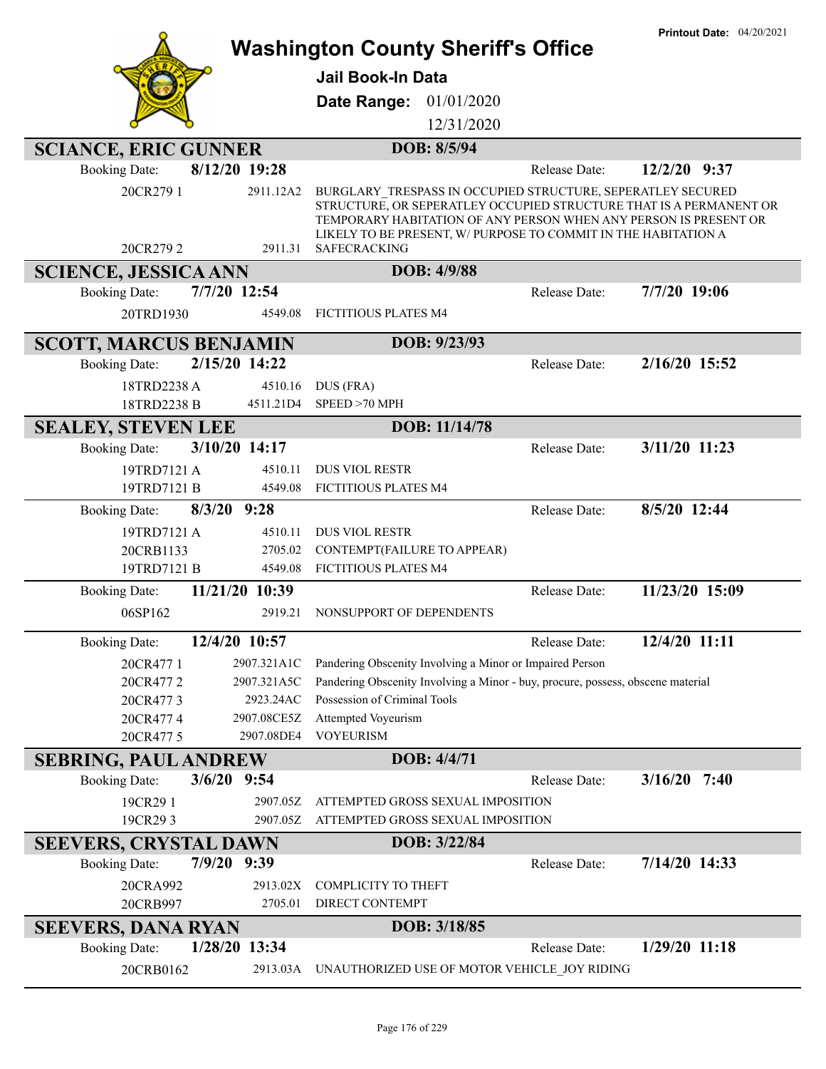|                                     |                      | <b>Washington County Sheriff's Office</b>                                                                                         | <b>Printout Date: 04/20/2021</b> |
|-------------------------------------|----------------------|-----------------------------------------------------------------------------------------------------------------------------------|----------------------------------|
|                                     |                      |                                                                                                                                   |                                  |
|                                     |                      | <b>Jail Book-In Data</b>                                                                                                          |                                  |
|                                     |                      | <b>Date Range: 01/01/2020</b>                                                                                                     |                                  |
|                                     |                      | 12/31/2020                                                                                                                        |                                  |
| <b>SCIANCE, ERIC GUNNER</b>         |                      | DOB: 8/5/94                                                                                                                       |                                  |
| <b>Booking Date:</b>                | 8/12/20 19:28        | Release Date:                                                                                                                     | $12/2/20$ 9:37                   |
| 20CR279 1                           | 2911.12A2            | BURGLARY TRESPASS IN OCCUPIED STRUCTURE, SEPERATLEY SECURED<br>STRUCTURE, OR SEPERATLEY OCCUPIED STRUCTURE THAT IS A PERMANENT OR |                                  |
|                                     |                      | TEMPORARY HABITATION OF ANY PERSON WHEN ANY PERSON IS PRESENT OR                                                                  |                                  |
| 20CR2792                            | 2911.31              | LIKELY TO BE PRESENT, W/ PURPOSE TO COMMIT IN THE HABITATION A<br><b>SAFECRACKING</b>                                             |                                  |
| <b>SCIENCE, JESSICA ANN</b>         |                      | DOB: 4/9/88                                                                                                                       |                                  |
| <b>Booking Date:</b>                | 7/7/20 12:54         | Release Date:                                                                                                                     | 7/7/20 19:06                     |
| 20TRD1930                           | 4549.08              | FICTITIOUS PLATES M4                                                                                                              |                                  |
|                                     |                      |                                                                                                                                   |                                  |
| <b>SCOTT, MARCUS BENJAMIN</b>       |                      | DOB: 9/23/93                                                                                                                      |                                  |
| <b>Booking Date:</b>                | 2/15/20 14:22        | Release Date:                                                                                                                     | 2/16/20 15:52                    |
| 18TRD2238 A                         | 4510.16<br>4511.21D4 | DUS (FRA)<br>SPEED >70 MPH                                                                                                        |                                  |
| 18TRD2238 B                         |                      | DOB: 11/14/78                                                                                                                     |                                  |
| <b>SEALEY, STEVEN LEE</b>           | 3/10/20 14:17        | Release Date:                                                                                                                     | 3/11/20 11:23                    |
| <b>Booking Date:</b><br>19TRD7121 A | 4510.11              | <b>DUS VIOL RESTR</b>                                                                                                             |                                  |
| 19TRD7121 B                         | 4549.08              | FICTITIOUS PLATES M4                                                                                                              |                                  |
| <b>Booking Date:</b>                | $8/3/20$ 9:28        | Release Date:                                                                                                                     | 8/5/20 12:44                     |
| 19TRD7121 A                         | 4510.11              | <b>DUS VIOL RESTR</b>                                                                                                             |                                  |
| 20CRB1133                           | 2705.02              | CONTEMPT(FAILURE TO APPEAR)                                                                                                       |                                  |
| 19TRD7121 B                         | 4549.08              | <b>FICTITIOUS PLATES M4</b>                                                                                                       |                                  |
| <b>Booking Date:</b>                | 11/21/20 10:39       | Release Date:                                                                                                                     | 11/23/20 15:09                   |
| 06SP162                             | 2919.21              | NONSUPPORT OF DEPENDENTS                                                                                                          |                                  |
| <b>Booking Date:</b>                | 12/4/20 10:57        | Release Date:                                                                                                                     | 12/4/20 11:11                    |
| 20CR477 1                           | 2907.321A1C          | Pandering Obscenity Involving a Minor or Impaired Person                                                                          |                                  |
| 20CR4772                            | 2907.321A5C          | Pandering Obscenity Involving a Minor - buy, procure, possess, obscene material                                                   |                                  |
| 20CR4773                            | 2923.24AC            | Possession of Criminal Tools                                                                                                      |                                  |
| 20CR4774                            | 2907.08CE5Z          | Attempted Voyeurism                                                                                                               |                                  |
| 20CR477 5                           | 2907.08DE4           | <b>VOYEURISM</b>                                                                                                                  |                                  |
| <b>SEBRING, PAUL ANDREW</b>         |                      | DOB: 4/4/71                                                                                                                       |                                  |
| <b>Booking Date:</b>                | $3/6/20$ 9:54        | Release Date:                                                                                                                     | $3/16/20$ 7:40                   |
| 19CR291                             | 2907.05Z             | ATTEMPTED GROSS SEXUAL IMPOSITION                                                                                                 |                                  |
| 19CR293                             | 2907.05Z             | ATTEMPTED GROSS SEXUAL IMPOSITION                                                                                                 |                                  |
| <b>SEEVERS, CRYSTAL DAWN</b>        |                      | DOB: 3/22/84                                                                                                                      |                                  |
| <b>Booking Date:</b>                | 7/9/20 9:39          | Release Date:                                                                                                                     | $7/14/20$ 14:33                  |
| 20CRA992<br>20CRB997                | 2913.02X<br>2705.01  | COMPLICITY TO THEFT<br>DIRECT CONTEMPT                                                                                            |                                  |
| <b>SEEVERS, DANA RYAN</b>           |                      | DOB: 3/18/85                                                                                                                      |                                  |
| <b>Booking Date:</b>                | 1/28/20 13:34        | Release Date:                                                                                                                     | $1/29/20$ 11:18                  |
| 20CRB0162                           | 2913.03A             | UNAUTHORIZED USE OF MOTOR VEHICLE JOY RIDING                                                                                      |                                  |
|                                     |                      |                                                                                                                                   |                                  |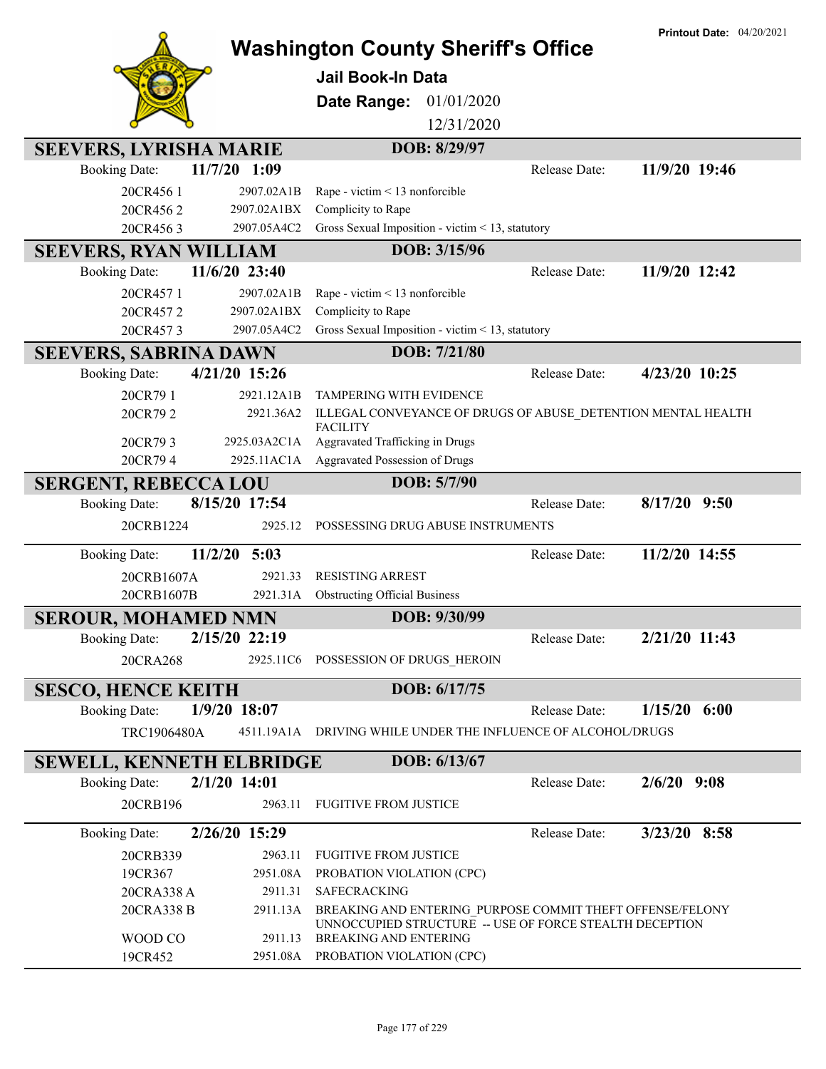|                                 |                             | <b>Washington County Sheriff's Office</b>                         |               | <b>Printout Date: 04/20/2021</b> |
|---------------------------------|-----------------------------|-------------------------------------------------------------------|---------------|----------------------------------|
|                                 |                             |                                                                   |               |                                  |
|                                 |                             | <b>Jail Book-In Data</b>                                          |               |                                  |
|                                 |                             | 01/01/2020<br>Date Range:                                         |               |                                  |
|                                 |                             | 12/31/2020                                                        |               |                                  |
| <b>SEEVERS, LYRISHA MARIE</b>   |                             | DOB: 8/29/97                                                      |               |                                  |
| <b>Booking Date:</b>            | 11/7/20 1:09                |                                                                   | Release Date: | 11/9/20 19:46                    |
| 20CR4561                        | 2907.02A1B                  | Rape - victim < 13 nonforcible                                    |               |                                  |
| 20CR4562                        | 2907.02A1BX                 | Complicity to Rape                                                |               |                                  |
| 20CR4563                        | 2907.05A4C2                 | Gross Sexual Imposition - victim < 13, statutory                  |               |                                  |
| <b>SEEVERS, RYAN WILLIAM</b>    |                             | DOB: 3/15/96                                                      |               |                                  |
| <b>Booking Date:</b>            | 11/6/20 23:40               |                                                                   | Release Date: | 11/9/20 12:42                    |
| 20CR4571                        | 2907.02A1B                  | Rape - victim < 13 nonforcible                                    |               |                                  |
| 20CR4572                        | 2907.02A1BX                 | Complicity to Rape                                                |               |                                  |
| 20CR4573                        | 2907.05A4C2                 | Gross Sexual Imposition - victim < 13, statutory                  |               |                                  |
| <b>SEEVERS, SABRINA DAWN</b>    |                             | DOB: 7/21/80                                                      |               |                                  |
| <b>Booking Date:</b>            | 4/21/20 15:26               |                                                                   | Release Date: | 4/23/20 10:25                    |
| 20CR79 1                        | 2921.12A1B                  | <b>TAMPERING WITH EVIDENCE</b>                                    |               |                                  |
| 20CR792                         | 2921.36A2                   | ILLEGAL CONVEYANCE OF DRUGS OF ABUSE_DETENTION MENTAL HEALTH      |               |                                  |
|                                 |                             | <b>FACILITY</b>                                                   |               |                                  |
| 20CR793<br>20CR794              | 2925.03A2C1A<br>2925.11AC1A | Aggravated Trafficking in Drugs<br>Aggravated Possession of Drugs |               |                                  |
|                                 |                             |                                                                   |               |                                  |
| <b>SERGENT, REBECCA LOU</b>     |                             | DOB: 5/7/90                                                       |               |                                  |
| <b>Booking Date:</b>            | 8/15/20 17:54               |                                                                   | Release Date: | $8/17/20$ 9:50                   |
| 20CRB1224                       | 2925.12                     | POSSESSING DRUG ABUSE INSTRUMENTS                                 |               |                                  |
| <b>Booking Date:</b>            | $11/2/20$ 5:03              |                                                                   | Release Date: | 11/2/20 14:55                    |
| 20CRB1607A                      | 2921.33                     | <b>RESISTING ARREST</b>                                           |               |                                  |
| 20CRB1607B                      | 2921.31A                    | <b>Obstructing Official Business</b>                              |               |                                  |
| <b>SEROUR, MOHAMED NMN</b>      |                             | DOB: 9/30/99                                                      |               |                                  |
| <b>Booking Date:</b>            | 2/15/20 22:19               |                                                                   | Release Date: | 2/21/20 11:43                    |
| 20CRA268                        | 2925.11C6                   | POSSESSION OF DRUGS HEROIN                                        |               |                                  |
|                                 |                             | DOB: 6/17/75                                                      |               |                                  |
| <b>SESCO, HENCE KEITH</b>       | $1/9/20$ 18:07              |                                                                   |               | $1/15/20$ 6:00                   |
| <b>Booking Date:</b>            |                             |                                                                   | Release Date: |                                  |
| TRC1906480A                     |                             | 4511.19A1A DRIVING WHILE UNDER THE INFLUENCE OF ALCOHOL/DRUGS     |               |                                  |
| <b>SEWELL, KENNETH ELBRIDGE</b> |                             | DOB: 6/13/67                                                      |               |                                  |
| <b>Booking Date:</b>            | $2/1/20$ 14:01              |                                                                   | Release Date: | $2/6/20$ 9:08                    |
| 20CRB196                        | 2963.11                     | <b>FUGITIVE FROM JUSTICE</b>                                      |               |                                  |
| <b>Booking Date:</b>            | 2/26/20 15:29               |                                                                   | Release Date: | $3/23/20$ 8:58                   |
| 20CRB339                        | 2963.11                     | <b>FUGITIVE FROM JUSTICE</b>                                      |               |                                  |
| 19CR367                         | 2951.08A                    | PROBATION VIOLATION (CPC)                                         |               |                                  |
| 20CRA338 A                      | 2911.31                     | SAFECRACKING                                                      |               |                                  |
| 20CRA338 B                      | 2911.13A                    | BREAKING AND ENTERING PURPOSE COMMIT THEFT OFFENSE/FELONY         |               |                                  |
|                                 |                             | UNNOCCUPIED STRUCTURE -- USE OF FORCE STEALTH DECEPTION           |               |                                  |
| WOOD CO                         | 2911.13                     | <b>BREAKING AND ENTERING</b>                                      |               |                                  |
| 19CR452                         | 2951.08A                    | PROBATION VIOLATION (CPC)                                         |               |                                  |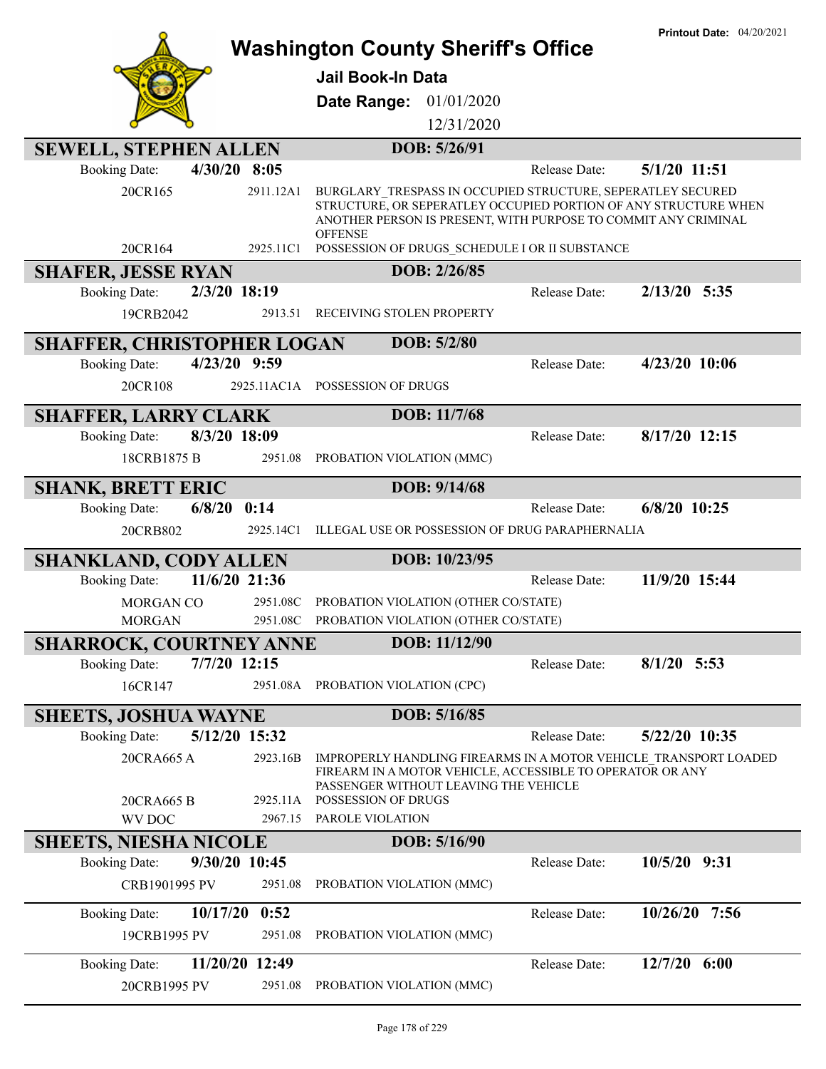|                                        |           | <b>Washington County Sheriff's Office</b>                                                                                                                                                        |               | <b>Printout Date: 04/20/2021</b> |
|----------------------------------------|-----------|--------------------------------------------------------------------------------------------------------------------------------------------------------------------------------------------------|---------------|----------------------------------|
|                                        |           |                                                                                                                                                                                                  |               |                                  |
|                                        |           | <b>Jail Book-In Data</b>                                                                                                                                                                         |               |                                  |
|                                        |           | Date Range: 01/01/2020                                                                                                                                                                           |               |                                  |
|                                        |           | 12/31/2020                                                                                                                                                                                       |               |                                  |
| <b>SEWELL, STEPHEN ALLEN</b>           |           | DOB: 5/26/91                                                                                                                                                                                     |               |                                  |
| $4/30/20$ 8:05<br><b>Booking Date:</b> |           |                                                                                                                                                                                                  | Release Date: | 5/1/20 11:51                     |
| 20CR165                                | 2911.12A1 | BURGLARY TRESPASS IN OCCUPIED STRUCTURE, SEPERATLEY SECURED<br>STRUCTURE, OR SEPERATLEY OCCUPIED PORTION OF ANY STRUCTURE WHEN<br>ANOTHER PERSON IS PRESENT, WITH PURPOSE TO COMMIT ANY CRIMINAL |               |                                  |
| 20CR164                                | 2925.11C1 | <b>OFFENSE</b><br>POSSESSION OF DRUGS_SCHEDULE I OR II SUBSTANCE                                                                                                                                 |               |                                  |
| <b>SHAFER, JESSE RYAN</b>              |           | DOB: 2/26/85                                                                                                                                                                                     |               |                                  |
| 2/3/20 18:19<br><b>Booking Date:</b>   |           |                                                                                                                                                                                                  | Release Date: | $2/13/20$ 5:35                   |
| 19CRB2042                              | 2913.51   | RECEIVING STOLEN PROPERTY                                                                                                                                                                        |               |                                  |
| <b>SHAFFER, CHRISTOPHER LOGAN</b>      |           | DOB: 5/2/80                                                                                                                                                                                      |               |                                  |
| 4/23/20 9:59<br><b>Booking Date:</b>   |           |                                                                                                                                                                                                  | Release Date: | 4/23/20 10:06                    |
| 20CR108                                |           | 2925.11AC1A POSSESSION OF DRUGS                                                                                                                                                                  |               |                                  |
| <b>SHAFFER, LARRY CLARK</b>            |           | DOB: 11/7/68                                                                                                                                                                                     |               |                                  |
| 8/3/20 18:09<br><b>Booking Date:</b>   |           |                                                                                                                                                                                                  | Release Date: | 8/17/20 12:15                    |
| 18CRB1875 B                            | 2951.08   | PROBATION VIOLATION (MMC)                                                                                                                                                                        |               |                                  |
| <b>SHANK, BRETT ERIC</b>               |           | DOB: 9/14/68                                                                                                                                                                                     |               |                                  |
| 6/8/20<br><b>Booking Date:</b>         | 0:14      |                                                                                                                                                                                                  | Release Date: | 6/8/20 10:25                     |
| 20CRB802                               | 2925.14C1 | ILLEGAL USE OR POSSESSION OF DRUG PARAPHERNALIA                                                                                                                                                  |               |                                  |
| <b>SHANKLAND, CODY ALLEN</b>           |           | DOB: 10/23/95                                                                                                                                                                                    |               |                                  |
| 11/6/20 21:36<br><b>Booking Date:</b>  |           |                                                                                                                                                                                                  | Release Date: | 11/9/20 15:44                    |
| MORGAN CO                              | 2951.08C  | PROBATION VIOLATION (OTHER CO/STATE)                                                                                                                                                             |               |                                  |
| <b>MORGAN</b>                          | 2951.08C  | PROBATION VIOLATION (OTHER CO/STATE)                                                                                                                                                             |               |                                  |
| <b>SHARROCK, COURTNEY ANNE</b>         |           | DOB: 11/12/90                                                                                                                                                                                    |               |                                  |
| <b>Booking Date:</b><br>7/7/20 12:15   |           |                                                                                                                                                                                                  | Release Date: | $8/1/20$ 5:53                    |
| 16CR147                                | 2951.08A  | PROBATION VIOLATION (CPC)                                                                                                                                                                        |               |                                  |
| <b>SHEETS, JOSHUA WAYNE</b>            |           | DOB: 5/16/85                                                                                                                                                                                     |               |                                  |
| 5/12/20 15:32<br><b>Booking Date:</b>  |           |                                                                                                                                                                                                  | Release Date: | 5/22/20 10:35                    |
| 20CRA665 A                             | 2923.16B  | IMPROPERLY HANDLING FIREARMS IN A MOTOR VEHICLE TRANSPORT LOADED<br>FIREARM IN A MOTOR VEHICLE, ACCESSIBLE TO OPERATOR OR ANY<br>PASSENGER WITHOUT LEAVING THE VEHICLE                           |               |                                  |
| 20CRA665 B                             | 2925.11A  | POSSESSION OF DRUGS                                                                                                                                                                              |               |                                  |
| <b>WV DOC</b>                          | 2967.15   | PAROLE VIOLATION                                                                                                                                                                                 |               |                                  |
| <b>SHEETS, NIESHA NICOLE</b>           |           | DOB: 5/16/90                                                                                                                                                                                     |               |                                  |
| 9/30/20 10:45<br><b>Booking Date:</b>  |           |                                                                                                                                                                                                  | Release Date: | 10/5/20 9:31                     |
| CRB1901995 PV                          | 2951.08   | PROBATION VIOLATION (MMC)                                                                                                                                                                        |               |                                  |
| 10/17/20<br><b>Booking Date:</b>       | 0:52      |                                                                                                                                                                                                  | Release Date: | 10/26/20<br>7:56                 |
| 19CRB1995 PV                           | 2951.08   | PROBATION VIOLATION (MMC)                                                                                                                                                                        |               |                                  |
| <b>Booking Date:</b><br>11/20/20 12:49 |           |                                                                                                                                                                                                  |               |                                  |
|                                        |           |                                                                                                                                                                                                  | Release Date: | $12/7/20$ 6:00                   |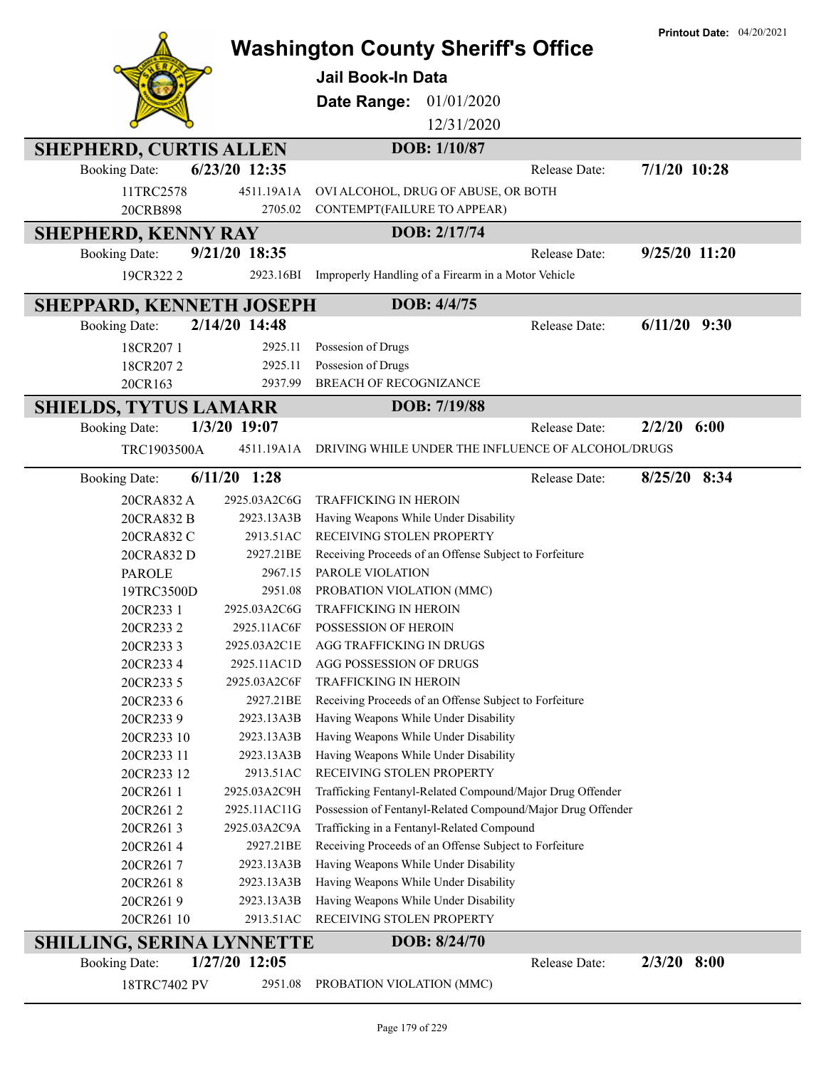|                                 |                         |                                                                                                 |        | <b>Printout Date: 04/20/2021</b> |
|---------------------------------|-------------------------|-------------------------------------------------------------------------------------------------|--------|----------------------------------|
|                                 |                         | <b>Washington County Sheriff's Office</b>                                                       |        |                                  |
|                                 |                         | <b>Jail Book-In Data</b>                                                                        |        |                                  |
|                                 |                         | 01/01/2020<br>Date Range:                                                                       |        |                                  |
|                                 |                         | 12/31/2020                                                                                      |        |                                  |
|                                 |                         |                                                                                                 |        |                                  |
| <b>SHEPHERD, CURTIS ALLEN</b>   |                         | DOB: 1/10/87                                                                                    |        |                                  |
| <b>Booking Date:</b>            | 6/23/20 12:35           | Release Date:                                                                                   |        | $7/1/20$ 10:28                   |
| 11TRC2578                       | 4511.19A1A              | OVI ALCOHOL, DRUG OF ABUSE, OR BOTH                                                             |        |                                  |
| 20CRB898                        | 2705.02                 | CONTEMPT(FAILURE TO APPEAR)                                                                     |        |                                  |
| <b>SHEPHERD, KENNY RAY</b>      |                         | DOB: 2/17/74                                                                                    |        |                                  |
| <b>Booking Date:</b>            | 9/21/20 18:35           | Release Date:                                                                                   |        | 9/25/20 11:20                    |
| 19CR322 2                       | 2923.16BI               | Improperly Handling of a Firearm in a Motor Vehicle                                             |        |                                  |
| <b>SHEPPARD, KENNETH JOSEPH</b> |                         | DOB: 4/4/75                                                                                     |        |                                  |
| <b>Booking Date:</b>            | 2/14/20 14:48           | Release Date:                                                                                   |        | $6/11/20$ 9:30                   |
| 18CR2071                        | 2925.11                 | Possesion of Drugs                                                                              |        |                                  |
| 18CR2072                        | 2925.11                 | Possesion of Drugs                                                                              |        |                                  |
| 20CR163                         | 2937.99                 | <b>BREACH OF RECOGNIZANCE</b>                                                                   |        |                                  |
| <b>SHIELDS, TYTUS LAMARR</b>    |                         | DOB: 7/19/88                                                                                    |        |                                  |
| <b>Booking Date:</b>            | 1/3/20 19:07            | Release Date:                                                                                   | 2/2/20 | 6:00                             |
| TRC1903500A                     | 4511.19A1A              | DRIVING WHILE UNDER THE INFLUENCE OF ALCOHOL/DRUGS                                              |        |                                  |
|                                 |                         |                                                                                                 |        |                                  |
| <b>Booking Date:</b>            | $6/11/20$ 1:28          | Release Date:                                                                                   |        | 8/25/20 8:34                     |
| 20CRA832 A                      | 2925.03A2C6G            | <b>TRAFFICKING IN HEROIN</b>                                                                    |        |                                  |
| 20CRA832 B                      | 2923.13A3B              | Having Weapons While Under Disability                                                           |        |                                  |
| 20CRA832 C                      | 2913.51AC               | RECEIVING STOLEN PROPERTY                                                                       |        |                                  |
| 20CRA832 D                      | 2927.21BE               | Receiving Proceeds of an Offense Subject to Forfeiture                                          |        |                                  |
| <b>PAROLE</b>                   | 2967.15                 | PAROLE VIOLATION                                                                                |        |                                  |
| 19TRC3500D                      | 2951.08                 | PROBATION VIOLATION (MMC)                                                                       |        |                                  |
| 20CR233 1                       | 2925.03A2C6G            | <b>TRAFFICKING IN HEROIN</b>                                                                    |        |                                  |
| 20CR2332                        |                         | 2925.11AC6F POSSESSION OF HEROIN                                                                |        |                                  |
| 20CR2333                        | 2925.03A2C1E            | AGG TRAFFICKING IN DRUGS                                                                        |        |                                  |
| 20CR2334                        | 2925.11AC1D             | AGG POSSESSION OF DRUGS                                                                         |        |                                  |
| 20CR233 5                       | 2925.03A2C6F            | TRAFFICKING IN HEROIN                                                                           |        |                                  |
| 20CR2336<br>20CR2339            | 2927.21BE<br>2923.13A3B | Receiving Proceeds of an Offense Subject to Forfeiture<br>Having Weapons While Under Disability |        |                                  |
| 20CR233 10                      | 2923.13A3B              | Having Weapons While Under Disability                                                           |        |                                  |
| 20CR233 11                      | 2923.13A3B              | Having Weapons While Under Disability                                                           |        |                                  |
| 20CR233 12                      | 2913.51AC               | RECEIVING STOLEN PROPERTY                                                                       |        |                                  |
| 20CR2611                        | 2925.03A2C9H            | Trafficking Fentanyl-Related Compound/Major Drug Offender                                       |        |                                  |
| 20CR2612                        | 2925.11AC11G            | Possession of Fentanyl-Related Compound/Major Drug Offender                                     |        |                                  |
| 20CR2613                        | 2925.03A2C9A            | Trafficking in a Fentanyl-Related Compound                                                      |        |                                  |
| 20CR2614                        | 2927.21BE               | Receiving Proceeds of an Offense Subject to Forfeiture                                          |        |                                  |
| 20CR2617                        | 2923.13A3B              | Having Weapons While Under Disability                                                           |        |                                  |
| 20CR2618                        | 2923.13A3B              | Having Weapons While Under Disability                                                           |        |                                  |
| 20CR2619                        | 2923.13A3B              | Having Weapons While Under Disability                                                           |        |                                  |
| 20CR261 10                      | 2913.51AC               | RECEIVING STOLEN PROPERTY                                                                       |        |                                  |
| SHILLING, SERINA LYNNETTE       |                         | DOB: 8/24/70                                                                                    |        |                                  |
| <b>Booking Date:</b>            | 1/27/20 12:05           | Release Date:                                                                                   |        | $2/3/20$ 8:00                    |
| 18TRC7402 PV                    | 2951.08                 | PROBATION VIOLATION (MMC)                                                                       |        |                                  |
|                                 |                         |                                                                                                 |        |                                  |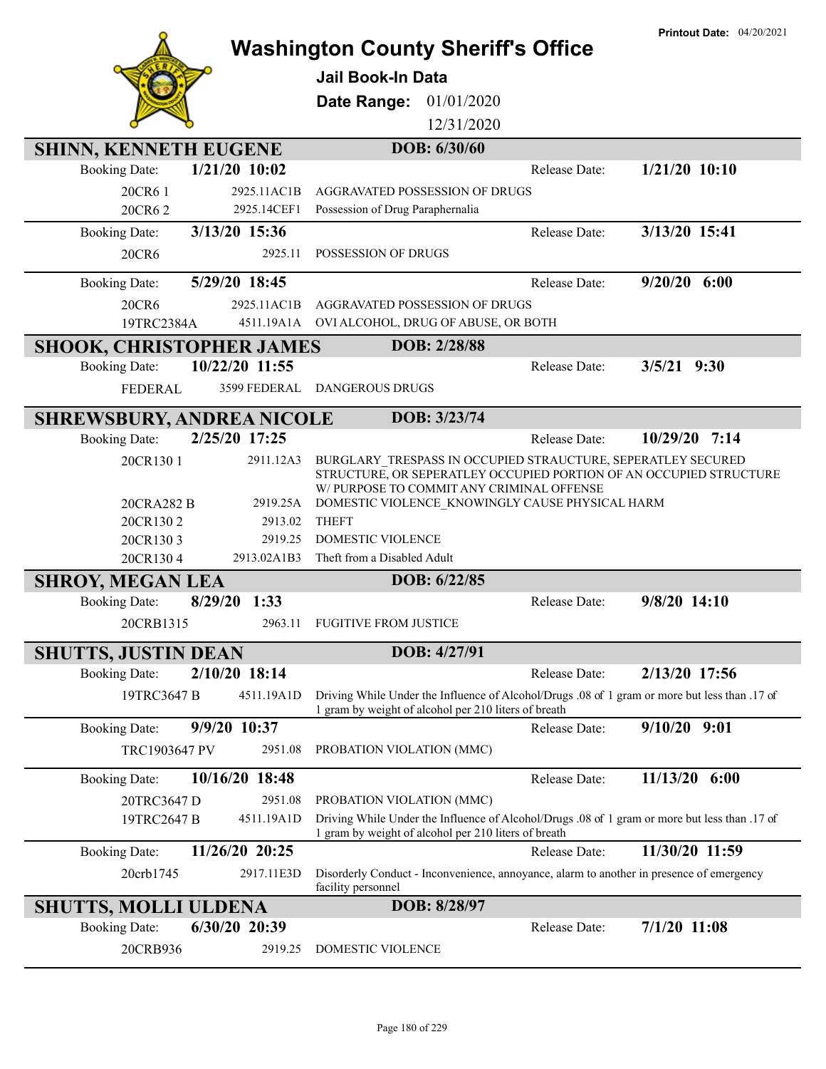|                                         |                            | <b>Washington County Sheriff's Office</b><br><b>Jail Book-In Data</b><br>Date Range: 01/01/2020<br>12/31/2020                                                                                                                      |               | <b>Printout Date: 04/20/2021</b> |
|-----------------------------------------|----------------------------|------------------------------------------------------------------------------------------------------------------------------------------------------------------------------------------------------------------------------------|---------------|----------------------------------|
| <b>SHINN, KENNETH EUGENE</b>            |                            | DOB: 6/30/60                                                                                                                                                                                                                       |               |                                  |
| $1/21/20$ 10:02<br><b>Booking Date:</b> |                            |                                                                                                                                                                                                                                    | Release Date: | $1/21/20$ 10:10                  |
| 20CR6 1<br>20CR62                       | 2925.11AC1B<br>2925.14CEF1 | AGGRAVATED POSSESSION OF DRUGS<br>Possession of Drug Paraphernalia                                                                                                                                                                 |               |                                  |
| 3/13/20 15:36<br><b>Booking Date:</b>   |                            |                                                                                                                                                                                                                                    | Release Date: | 3/13/20 15:41                    |
| 20CR6                                   | 2925.11                    | POSSESSION OF DRUGS                                                                                                                                                                                                                |               |                                  |
| 5/29/20 18:45<br><b>Booking Date:</b>   |                            |                                                                                                                                                                                                                                    | Release Date: | $9/20/20$ 6:00                   |
| 20CR6                                   | 2925.11AC1B                | AGGRAVATED POSSESSION OF DRUGS                                                                                                                                                                                                     |               |                                  |
| 19TRC2384A                              | 4511.19A1A                 | OVI ALCOHOL, DRUG OF ABUSE, OR BOTH                                                                                                                                                                                                |               |                                  |
| <b>SHOOK, CHRISTOPHER JAMES</b>         |                            | DOB: 2/28/88                                                                                                                                                                                                                       |               |                                  |
| 10/22/20 11:55<br><b>Booking Date:</b>  |                            |                                                                                                                                                                                                                                    | Release Date: | $3/5/21$ 9:30                    |
| <b>FEDERAL</b>                          | 3599 FEDERAL               | <b>DANGEROUS DRUGS</b>                                                                                                                                                                                                             |               |                                  |
| <b>SHREWSBURY, ANDREA NICOLE</b>        |                            | DOB: 3/23/74                                                                                                                                                                                                                       |               |                                  |
| 2/25/20 17:25<br><b>Booking Date:</b>   |                            |                                                                                                                                                                                                                                    | Release Date: | 10/29/20 7:14                    |
| 20CR130 1<br>20CRA282 B                 | 2911.12A3<br>2919.25A      | BURGLARY TRESPASS IN OCCUPIED STRAUCTURE, SEPERATLEY SECURED<br>STRUCTURE, OR SEPERATLEY OCCUPIED PORTION OF AN OCCUPIED STRUCTURE<br>W/ PURPOSE TO COMMIT ANY CRIMINAL OFFENSE<br>DOMESTIC VIOLENCE KNOWINGLY CAUSE PHYSICAL HARM |               |                                  |
| 20CR1302                                | 2913.02                    | <b>THEFT</b>                                                                                                                                                                                                                       |               |                                  |
| 20CR1303                                | 2919.25                    | DOMESTIC VIOLENCE                                                                                                                                                                                                                  |               |                                  |
| 20CR1304                                | 2913.02A1B3                | Theft from a Disabled Adult                                                                                                                                                                                                        |               |                                  |
| <b>SHROY, MEGAN LEA</b>                 |                            | DOB: 6/22/85                                                                                                                                                                                                                       |               |                                  |
| 8/29/20 1:33<br><b>Booking Date:</b>    |                            |                                                                                                                                                                                                                                    | Release Date: | $9/8/20$ 14:10                   |
| 20CRB1315                               | 2963.11                    | <b>FUGITIVE FROM JUSTICE</b>                                                                                                                                                                                                       |               |                                  |
| <b>SHUTTS, JUSTIN DEAN</b>              |                            | DOB: 4/27/91                                                                                                                                                                                                                       |               |                                  |
| 2/10/20 18:14<br><b>Booking Date:</b>   |                            |                                                                                                                                                                                                                                    | Release Date: | 2/13/20 17:56                    |
| 19TRC3647 B                             | 4511.19A1D                 | Driving While Under the Influence of Alcohol/Drugs .08 of 1 gram or more but less than .17 of<br>1 gram by weight of alcohol per 210 liters of breath                                                                              |               |                                  |
| 9/9/20 10:37<br><b>Booking Date:</b>    |                            |                                                                                                                                                                                                                                    | Release Date: | $9/10/20$ $9:01$                 |
| TRC1903647 PV                           | 2951.08                    | PROBATION VIOLATION (MMC)                                                                                                                                                                                                          |               |                                  |
| 10/16/20 18:48<br><b>Booking Date:</b>  |                            |                                                                                                                                                                                                                                    | Release Date: | 11/13/20 6:00                    |
| 20TRC3647 D<br>19TRC2647 B              | 2951.08<br>4511.19A1D      | PROBATION VIOLATION (MMC)<br>Driving While Under the Influence of Alcohol/Drugs .08 of 1 gram or more but less than .17 of<br>1 gram by weight of alcohol per 210 liters of breath                                                 |               |                                  |
| 11/26/20 20:25<br><b>Booking Date:</b>  |                            |                                                                                                                                                                                                                                    | Release Date: | 11/30/20 11:59                   |
| 20crb1745                               | 2917.11E3D                 | Disorderly Conduct - Inconvenience, annoyance, alarm to another in presence of emergency<br>facility personnel                                                                                                                     |               |                                  |
| <b>SHUTTS, MOLLI ULDENA</b>             |                            | DOB: 8/28/97                                                                                                                                                                                                                       |               |                                  |
| 6/30/20 20:39<br><b>Booking Date:</b>   |                            |                                                                                                                                                                                                                                    | Release Date: | $7/1/20$ 11:08                   |
| 20CRB936                                | 2919.25                    | DOMESTIC VIOLENCE                                                                                                                                                                                                                  |               |                                  |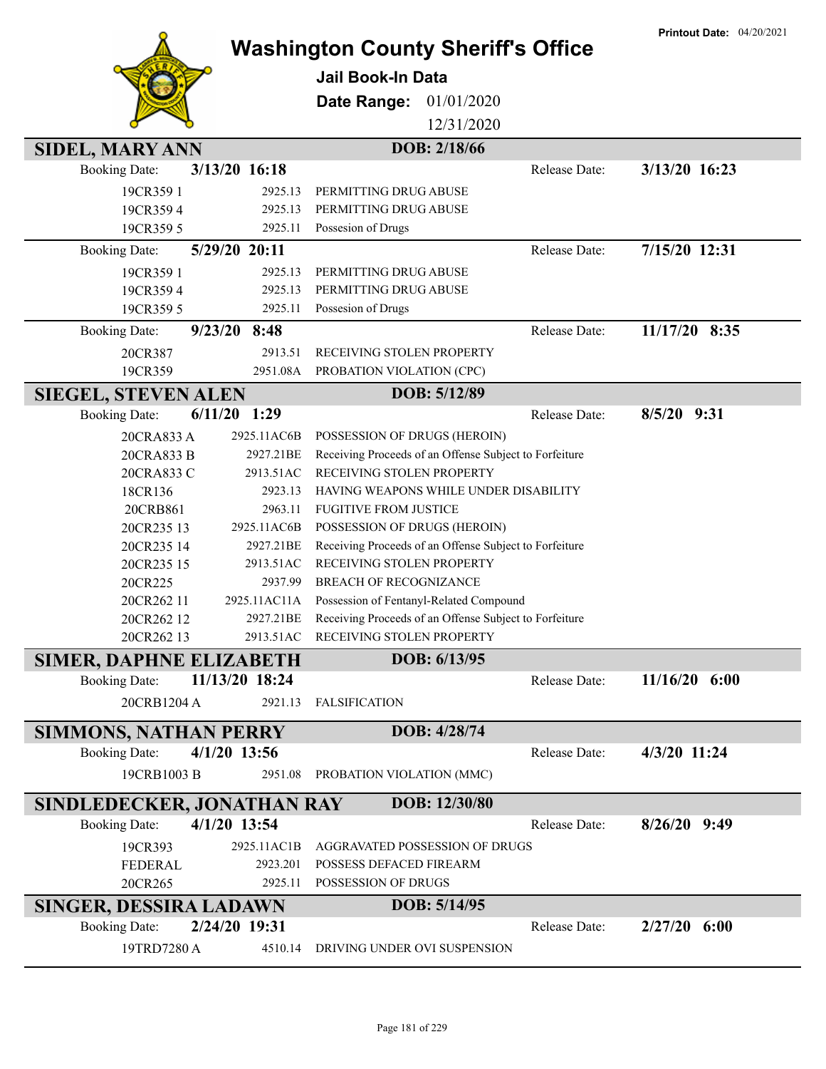|                                                                        |                                           |                                                        |               | <b>Printout Date: 04/20/2021</b> |
|------------------------------------------------------------------------|-------------------------------------------|--------------------------------------------------------|---------------|----------------------------------|
|                                                                        | <b>Washington County Sheriff's Office</b> |                                                        |               |                                  |
|                                                                        | <b>Jail Book-In Data</b>                  |                                                        |               |                                  |
|                                                                        | Date Range:                               | 01/01/2020                                             |               |                                  |
|                                                                        |                                           | 12/31/2020                                             |               |                                  |
|                                                                        |                                           |                                                        |               |                                  |
| <b>SIDEL, MARY ANN</b>                                                 |                                           | DOB: 2/18/66                                           |               |                                  |
| 3/13/20 16:18<br><b>Booking Date:</b>                                  |                                           |                                                        | Release Date: | 3/13/20 16:23                    |
| 19CR359 1                                                              | 2925.13<br>PERMITTING DRUG ABUSE          |                                                        |               |                                  |
| 19CR3594                                                               | PERMITTING DRUG ABUSE<br>2925.13          |                                                        |               |                                  |
| 19CR359 5                                                              | Possesion of Drugs<br>2925.11             |                                                        |               |                                  |
| 5/29/20 20:11<br><b>Booking Date:</b>                                  |                                           |                                                        | Release Date: | 7/15/20 12:31                    |
| 19CR359 1                                                              | PERMITTING DRUG ABUSE<br>2925.13          |                                                        |               |                                  |
| 19CR3594                                                               | PERMITTING DRUG ABUSE<br>2925.13          |                                                        |               |                                  |
| 19CR359 5                                                              | Possesion of Drugs<br>2925.11             |                                                        |               |                                  |
| <b>Booking Date:</b><br>$9/23/20$ 8:48                                 |                                           |                                                        | Release Date: | 11/17/20 8:35                    |
| 20CR387                                                                | RECEIVING STOLEN PROPERTY<br>2913.51      |                                                        |               |                                  |
| 19CR359                                                                | 2951.08A<br>PROBATION VIOLATION (CPC)     |                                                        |               |                                  |
| <b>SIEGEL, STEVEN ALEN</b>                                             |                                           | DOB: 5/12/89                                           |               |                                  |
| $6/11/20$ 1:29<br><b>Booking Date:</b>                                 |                                           |                                                        | Release Date: | $8/5/20$ 9:31                    |
| 20CRA833 A<br>2925.11AC6B                                              | POSSESSION OF DRUGS (HEROIN)              |                                                        |               |                                  |
| 20CRA833 B                                                             | 2927.21BE                                 | Receiving Proceeds of an Offense Subject to Forfeiture |               |                                  |
| 20CRA833 C                                                             | 2913.51AC<br>RECEIVING STOLEN PROPERTY    |                                                        |               |                                  |
| 18CR136                                                                | 2923.13                                   | HAVING WEAPONS WHILE UNDER DISABILITY                  |               |                                  |
| 20CRB861                                                               | 2963.11<br><b>FUGITIVE FROM JUSTICE</b>   |                                                        |               |                                  |
| 20CR235 13<br>2925.11AC6B                                              | POSSESSION OF DRUGS (HEROIN)              |                                                        |               |                                  |
| 20CR235 14                                                             | 2927.21BE                                 | Receiving Proceeds of an Offense Subject to Forfeiture |               |                                  |
| 20CR235 15                                                             | RECEIVING STOLEN PROPERTY<br>2913.51AC    |                                                        |               |                                  |
| 20CR225                                                                | 2937.99<br>BREACH OF RECOGNIZANCE         |                                                        |               |                                  |
| 2925.11AC11A<br>20CR262 11                                             |                                           | Possession of Fentanyl-Related Compound                |               |                                  |
| 20CR262 12                                                             | 2927.21BE                                 | Receiving Proceeds of an Offense Subject to Forfeiture |               |                                  |
| 20CR262 13                                                             | 2913.51AC<br>RECEIVING STOLEN PROPERTY    |                                                        |               |                                  |
| <b>SIMER, DAPHNE ELIZABETH</b>                                         |                                           | DOB: 6/13/95                                           |               |                                  |
| 11/13/20 18:24<br><b>Booking Date:</b>                                 |                                           |                                                        | Release Date: | $11/16/20$ 6:00                  |
| 20CRB1204 A                                                            | <b>FALSIFICATION</b><br>2921.13           |                                                        |               |                                  |
|                                                                        |                                           | DOB: 4/28/74                                           |               |                                  |
| <b>SIMMONS, NATHAN PERRY</b><br>$4/1/20$ 13:56<br><b>Booking Date:</b> |                                           |                                                        | Release Date: | 4/3/20 11:24                     |
|                                                                        |                                           |                                                        |               |                                  |
| 19CRB1003 B                                                            | 2951.08<br>PROBATION VIOLATION (MMC)      |                                                        |               |                                  |
| SINDLEDECKER, JONATHAN RAY                                             |                                           | DOB: 12/30/80                                          |               |                                  |
| 4/1/20 13:54<br><b>Booking Date:</b>                                   |                                           |                                                        | Release Date: | $8/26/20$ 9:49                   |
| 2925.11AC1B<br>19CR393                                                 |                                           | AGGRAVATED POSSESSION OF DRUGS                         |               |                                  |
| FEDERAL                                                                | 2923.201<br>POSSESS DEFACED FIREARM       |                                                        |               |                                  |
| 20CR265                                                                | 2925.11<br>POSSESSION OF DRUGS            |                                                        |               |                                  |
| SINGER, DESSIRA LADAWN                                                 |                                           | DOB: 5/14/95                                           |               |                                  |
| 2/24/20 19:31<br><b>Booking Date:</b>                                  |                                           |                                                        | Release Date: | $2/27/20$ 6:00                   |
| 19TRD7280 A                                                            | 4510.14                                   | DRIVING UNDER OVI SUSPENSION                           |               |                                  |
|                                                                        |                                           |                                                        |               |                                  |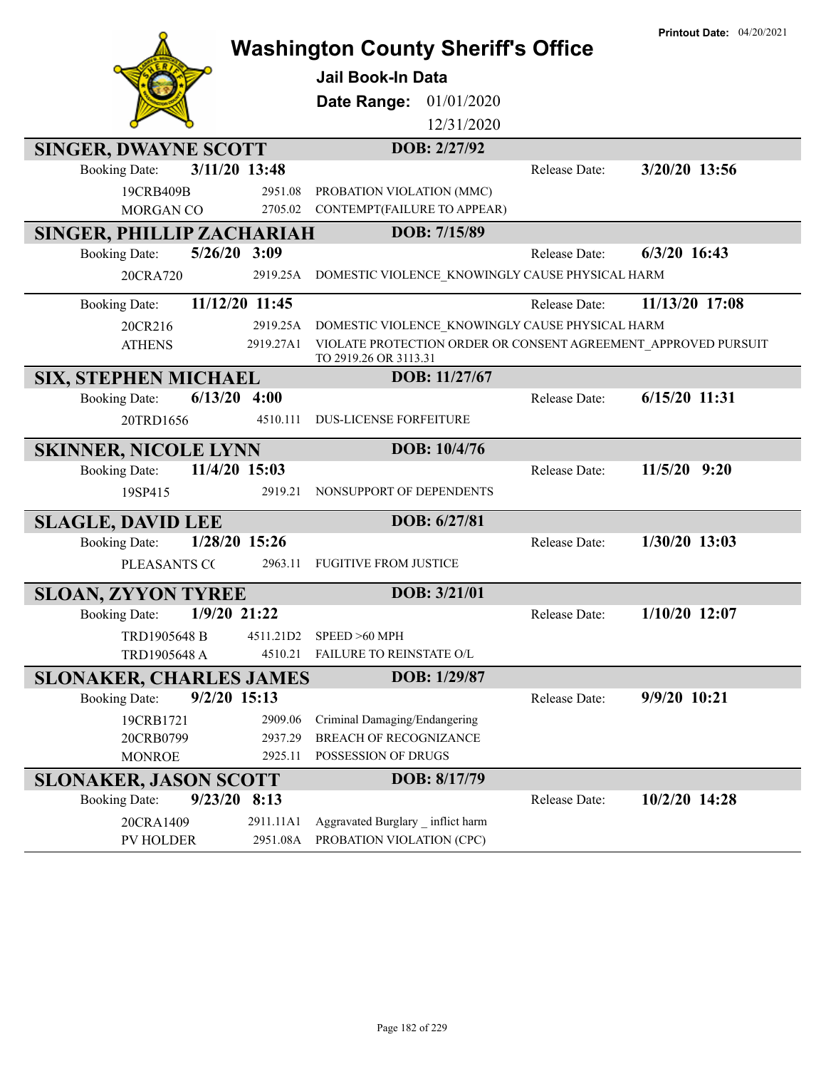|                                        |                    | <b>Washington County Sheriff's Office</b>                                               |               | <b>Printout Date: 04/20/2021</b> |
|----------------------------------------|--------------------|-----------------------------------------------------------------------------------------|---------------|----------------------------------|
|                                        |                    | <b>Jail Book-In Data</b>                                                                |               |                                  |
|                                        |                    | 01/01/2020<br>Date Range:                                                               |               |                                  |
|                                        |                    | 12/31/2020                                                                              |               |                                  |
| <b>SINGER, DWAYNE SCOTT</b>            |                    | DOB: 2/27/92                                                                            |               |                                  |
| 3/11/20 13:48<br><b>Booking Date:</b>  |                    |                                                                                         | Release Date: | 3/20/20 13:56                    |
| 19CRB409B                              | 2951.08            | PROBATION VIOLATION (MMC)                                                               |               |                                  |
| MORGAN CO                              | 2705.02            | CONTEMPT(FAILURE TO APPEAR)                                                             |               |                                  |
| <b>SINGER, PHILLIP ZACHARIAH</b>       |                    | DOB: 7/15/89                                                                            |               |                                  |
| $5/26/20$ 3:09<br><b>Booking Date:</b> |                    |                                                                                         | Release Date: | $6/3/20$ 16:43                   |
| 20CRA720                               | 2919.25A           | DOMESTIC VIOLENCE_KNOWINGLY CAUSE PHYSICAL HARM                                         |               |                                  |
| 11/12/20 11:45<br><b>Booking Date:</b> |                    |                                                                                         | Release Date: | 11/13/20 17:08                   |
| 20CR216                                | 2919.25A           | DOMESTIC VIOLENCE KNOWINGLY CAUSE PHYSICAL HARM                                         |               |                                  |
| <b>ATHENS</b>                          | 2919.27A1          | VIOLATE PROTECTION ORDER OR CONSENT AGREEMENT APPROVED PURSUIT<br>TO 2919.26 OR 3113.31 |               |                                  |
| <b>SIX, STEPHEN MICHAEL</b>            |                    | DOB: 11/27/67                                                                           |               |                                  |
| 6/13/20<br><b>Booking Date:</b>        | 4:00               |                                                                                         | Release Date: | $6/15/20$ 11:31                  |
| 20TRD1656                              | 4510.111           | <b>DUS-LICENSE FORFEITURE</b>                                                           |               |                                  |
| <b>SKINNER, NICOLE LYNN</b>            |                    | DOB: 10/4/76                                                                            |               |                                  |
| 11/4/20 15:03<br><b>Booking Date:</b>  |                    |                                                                                         | Release Date: | $11/5/20$ 9:20                   |
| 19SP415                                | 2919.21            | NONSUPPORT OF DEPENDENTS                                                                |               |                                  |
| <b>SLAGLE, DAVID LEE</b>               |                    | DOB: 6/27/81                                                                            |               |                                  |
| <b>Booking Date:</b><br>1/28/20 15:26  |                    |                                                                                         | Release Date: | $1/30/20$ 13:03                  |
| PLEASANTS CO                           | 2963.11            | <b>FUGITIVE FROM JUSTICE</b>                                                            |               |                                  |
| <b>SLOAN, ZYYON TYREE</b>              |                    | DOB: 3/21/01                                                                            |               |                                  |
| $1/9/20$ 21:22<br><b>Booking Date:</b> |                    |                                                                                         | Release Date: | $1/10/20$ 12:07                  |
| TRD1905648 B                           | 4511.21D2          | SPEED >60 MPH                                                                           |               |                                  |
| TRD1905648 A                           | 4510.21            | FAILURE TO REINSTATE O/L                                                                |               |                                  |
| <b>SLONAKER, CHARLES JAMES</b>         |                    | DOB: 1/29/87                                                                            |               |                                  |
| $9/2/20$ 15:13<br><b>Booking Date:</b> |                    |                                                                                         | Release Date: | 9/9/20 10:21                     |
| 19CRB1721<br>20CRB0799                 | 2909.06<br>2937.29 | Criminal Damaging/Endangering<br><b>BREACH OF RECOGNIZANCE</b>                          |               |                                  |
| <b>MONROE</b>                          | 2925.11            | POSSESSION OF DRUGS                                                                     |               |                                  |
| <b>SLONAKER, JASON SCOTT</b>           |                    | DOB: 8/17/79                                                                            |               |                                  |
| $9/23/20$ 8:13<br><b>Booking Date:</b> |                    |                                                                                         | Release Date: | 10/2/20 14:28                    |
| 20CRA1409                              | 2911.11A1          | Aggravated Burglary _ inflict harm                                                      |               |                                  |
| PV HOLDER                              | 2951.08A           | PROBATION VIOLATION (CPC)                                                               |               |                                  |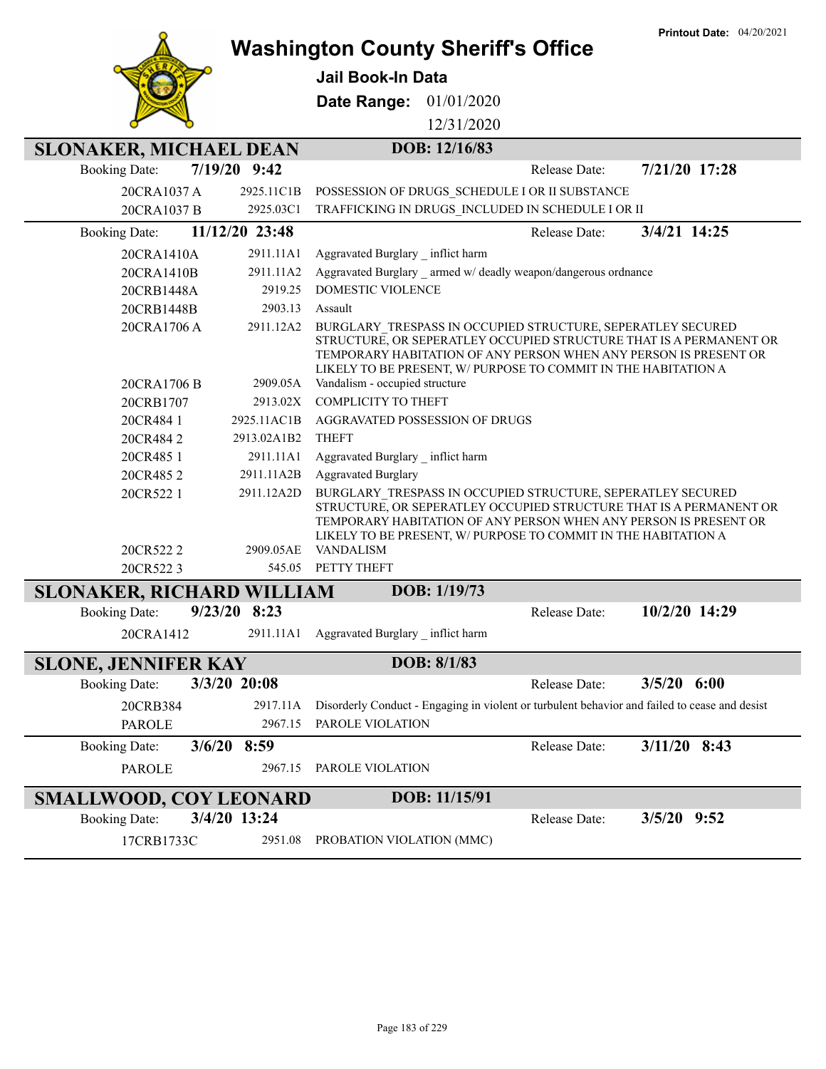|                                  |                          | <b>Washington County Sheriff's Office</b>                                                                                     |               |               | <b>Printout Date: 04/20/2021</b>                                                                                                       |
|----------------------------------|--------------------------|-------------------------------------------------------------------------------------------------------------------------------|---------------|---------------|----------------------------------------------------------------------------------------------------------------------------------------|
|                                  |                          | <b>Jail Book-In Data</b>                                                                                                      |               |               |                                                                                                                                        |
|                                  |                          | Date Range:                                                                                                                   | 01/01/2020    |               |                                                                                                                                        |
|                                  |                          |                                                                                                                               |               |               |                                                                                                                                        |
|                                  |                          |                                                                                                                               | 12/31/2020    |               |                                                                                                                                        |
| <b>SLONAKER, MICHAEL DEAN</b>    |                          |                                                                                                                               | DOB: 12/16/83 |               |                                                                                                                                        |
| <b>Booking Date:</b>             | 7/19/20 9:42             |                                                                                                                               |               | Release Date: | 7/21/20 17:28                                                                                                                          |
| 20CRA1037 A                      | 2925.11C1B               | POSSESSION OF DRUGS SCHEDULE I OR II SUBSTANCE                                                                                |               |               |                                                                                                                                        |
| 20CRA1037 B                      | 2925.03C1                | TRAFFICKING IN DRUGS INCLUDED IN SCHEDULE I OR II                                                                             |               |               |                                                                                                                                        |
| <b>Booking Date:</b>             | 11/12/20 23:48           |                                                                                                                               |               | Release Date: | 3/4/21 14:25                                                                                                                           |
| 20CRA1410A                       | 2911.11A1                | Aggravated Burglary _ inflict harm                                                                                            |               |               |                                                                                                                                        |
| 20CRA1410B                       | 2911.11A2                | Aggravated Burglary armed w/ deadly weapon/dangerous ordnance                                                                 |               |               |                                                                                                                                        |
| 20CRB1448A                       | 2919.25                  | DOMESTIC VIOLENCE                                                                                                             |               |               |                                                                                                                                        |
| 20CRB1448B                       | 2903.13                  | Assault                                                                                                                       |               |               |                                                                                                                                        |
| 20CRA1706 A                      | 2911.12A2                | BURGLARY TRESPASS IN OCCUPIED STRUCTURE, SEPERATLEY SECURED<br>LIKELY TO BE PRESENT, W/ PURPOSE TO COMMIT IN THE HABITATION A |               |               | STRUCTURE, OR SEPERATLEY OCCUPIED STRUCTURE THAT IS A PERMANENT OR<br>TEMPORARY HABITATION OF ANY PERSON WHEN ANY PERSON IS PRESENT OR |
| 20CRA1706 B                      | 2909.05A                 | Vandalism - occupied structure                                                                                                |               |               |                                                                                                                                        |
| 20CRB1707                        | 2913.02X                 | <b>COMPLICITY TO THEFT</b>                                                                                                    |               |               |                                                                                                                                        |
| 20CR484 1                        | 2925.11AC1B              | AGGRAVATED POSSESSION OF DRUGS                                                                                                |               |               |                                                                                                                                        |
| 20CR4842                         | 2913.02A1B2              | <b>THEFT</b>                                                                                                                  |               |               |                                                                                                                                        |
| 20CR485 1                        | 2911.11A1                | Aggravated Burglary inflict harm                                                                                              |               |               |                                                                                                                                        |
| 20CR4852<br>20CR522 1            | 2911.11A2B<br>2911.12A2D | <b>Aggravated Burglary</b><br>BURGLARY TRESPASS IN OCCUPIED STRUCTURE, SEPERATLEY SECURED                                     |               |               |                                                                                                                                        |
| 20CR5222                         | 2909.05AE                | LIKELY TO BE PRESENT, W/ PURPOSE TO COMMIT IN THE HABITATION A<br><b>VANDALISM</b>                                            |               |               | STRUCTURE, OR SEPERATLEY OCCUPIED STRUCTURE THAT IS A PERMANENT OR<br>TEMPORARY HABITATION OF ANY PERSON WHEN ANY PERSON IS PRESENT OR |
| 20CR5223                         | 545.05                   | PETTY THEFT                                                                                                                   |               |               |                                                                                                                                        |
| <b>SLONAKER, RICHARD WILLIAM</b> |                          |                                                                                                                               | DOB: 1/19/73  |               |                                                                                                                                        |
| <b>Booking Date:</b>             | $9/23/20$ 8:23           |                                                                                                                               |               | Release Date: | 10/2/20 14:29                                                                                                                          |
|                                  |                          | 20CRA1412 2911.11A1 Aggravated Burglary _ inflict harm                                                                        |               |               |                                                                                                                                        |
| <b>SLONE, JENNIFER KAY</b>       |                          |                                                                                                                               | DOB: 8/1/83   |               |                                                                                                                                        |
| <b>Booking Date:</b>             | 3/3/20 20:08             |                                                                                                                               |               | Release Date: | $3/5/20$ 6:00                                                                                                                          |
| 20CRB384                         | 2917.11A                 |                                                                                                                               |               |               | Disorderly Conduct - Engaging in violent or turbulent behavior and failed to cease and desist                                          |
| <b>PAROLE</b>                    | 2967.15                  | PAROLE VIOLATION                                                                                                              |               |               |                                                                                                                                        |
| <b>Booking Date:</b>             | $3/6/20$ 8:59            |                                                                                                                               |               | Release Date: | $3/11/20$ 8:43                                                                                                                         |
| <b>PAROLE</b>                    | 2967.15                  | PAROLE VIOLATION                                                                                                              |               |               |                                                                                                                                        |
| <b>SMALLWOOD, COY LEONARD</b>    |                          |                                                                                                                               | DOB: 11/15/91 |               |                                                                                                                                        |
| <b>Booking Date:</b>             | 3/4/20 13:24             |                                                                                                                               |               | Release Date: | $3/5/20$ 9:52                                                                                                                          |
| 17CRB1733C                       | 2951.08                  | PROBATION VIOLATION (MMC)                                                                                                     |               |               |                                                                                                                                        |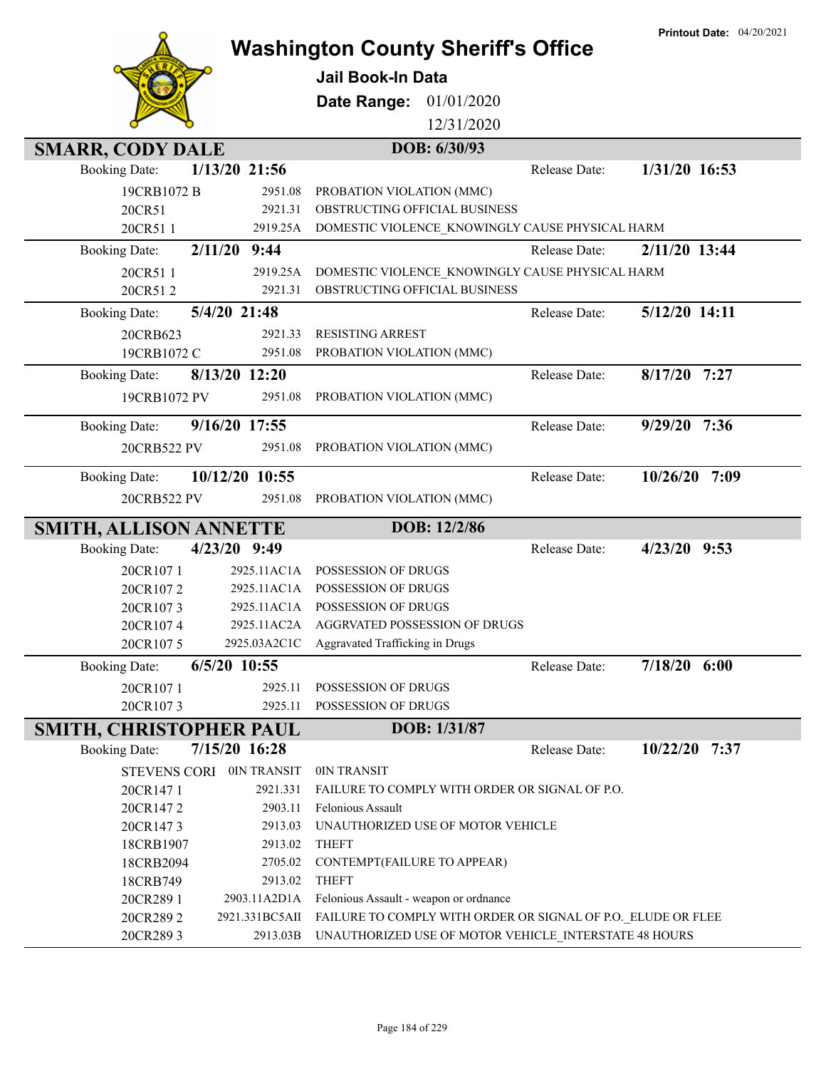|                                |                    |                                                              |               | <b>Printout Date: 04/20/2021</b> |
|--------------------------------|--------------------|--------------------------------------------------------------|---------------|----------------------------------|
|                                |                    | <b>Washington County Sheriff's Office</b>                    |               |                                  |
|                                |                    | Jail Book-In Data                                            |               |                                  |
|                                |                    | 01/01/2020<br>Date Range:                                    |               |                                  |
|                                |                    | 12/31/2020                                                   |               |                                  |
| <b>SMARR, CODY DALE</b>        |                    | DOB: 6/30/93                                                 |               |                                  |
| <b>Booking Date:</b>           | 1/13/20 21:56      |                                                              | Release Date: | 1/31/20 16:53                    |
|                                |                    |                                                              |               |                                  |
| 19CRB1072 B<br>20CR51          | 2951.08<br>2921.31 | PROBATION VIOLATION (MMC)<br>OBSTRUCTING OFFICIAL BUSINESS   |               |                                  |
| 20CR511                        |                    | 2919.25A DOMESTIC VIOLENCE KNOWINGLY CAUSE PHYSICAL HARM     |               |                                  |
|                                |                    |                                                              |               | 2/11/20 13:44                    |
| <b>Booking Date:</b>           | $2/11/20$ 9:44     |                                                              | Release Date: |                                  |
| 20CR511                        | 2919.25A           | DOMESTIC VIOLENCE_KNOWINGLY CAUSE PHYSICAL HARM              |               |                                  |
| 20CR512                        | 2921.31            | OBSTRUCTING OFFICIAL BUSINESS                                |               |                                  |
| <b>Booking Date:</b>           | 5/4/20 21:48       |                                                              | Release Date: | 5/12/20 14:11                    |
| 20CRB623                       | 2921.33            | <b>RESISTING ARREST</b>                                      |               |                                  |
| 19CRB1072 C                    | 2951.08            | PROBATION VIOLATION (MMC)                                    |               |                                  |
| <b>Booking Date:</b>           | 8/13/20 12:20      |                                                              | Release Date: | 8/17/20 7:27                     |
| 19CRB1072 PV                   | 2951.08            | PROBATION VIOLATION (MMC)                                    |               |                                  |
| <b>Booking Date:</b>           | 9/16/20 17:55      |                                                              | Release Date: | 9/29/20 7:36                     |
| 20CRB522 PV                    | 2951.08            | PROBATION VIOLATION (MMC)                                    |               |                                  |
| <b>Booking Date:</b>           | 10/12/20 10:55     |                                                              | Release Date: | 7:09<br>10/26/20                 |
| 20CRB522 PV                    | 2951.08            | PROBATION VIOLATION (MMC)                                    |               |                                  |
| <b>SMITH, ALLISON ANNETTE</b>  |                    | DOB: 12/2/86                                                 |               |                                  |
| <b>Booking Date:</b>           | 4/23/20 9:49       |                                                              | Release Date: | $4/23/20$ 9:53                   |
| 20CR1071                       | 2925.11AC1A        | POSSESSION OF DRUGS                                          |               |                                  |
| 20CR1072                       | 2925.11AC1A        | POSSESSION OF DRUGS                                          |               |                                  |
| 20CR1073                       | 2925.11AC1A        | POSSESSION OF DRUGS                                          |               |                                  |
| 20CR1074                       | 2925.11AC2A        | AGGRVATED POSSESSION OF DRUGS                                |               |                                  |
| 20CR1075                       | 2925.03A2C1C       | Aggravated Trafficking in Drugs                              |               |                                  |
| <b>Booking Date:</b>           | $6/5/20$ 10:55     |                                                              | Release Date: | $7/18/20$ 6:00                   |
| 20CR1071                       | 2925.11            | POSSESSION OF DRUGS                                          |               |                                  |
| 20CR1073                       | 2925.11            | POSSESSION OF DRUGS                                          |               |                                  |
| <b>SMITH, CHRISTOPHER PAUL</b> |                    | DOB: 1/31/87                                                 |               |                                  |
| <b>Booking Date:</b>           | 7/15/20 16:28      |                                                              | Release Date: | 10/22/20 7:37                    |
| STEVENS CORI OIN TRANSIT       |                    | 0IN TRANSIT                                                  |               |                                  |
| 20CR1471                       | 2921.331           | FAILURE TO COMPLY WITH ORDER OR SIGNAL OF P.O.               |               |                                  |
| 20CR1472                       | 2903.11            | Felonious Assault                                            |               |                                  |
| 20CR1473                       | 2913.03            | UNAUTHORIZED USE OF MOTOR VEHICLE                            |               |                                  |
| 18CRB1907                      | 2913.02            | <b>THEFT</b>                                                 |               |                                  |
| 18CRB2094                      | 2705.02            | CONTEMPT(FAILURE TO APPEAR)                                  |               |                                  |
| 18CRB749                       | 2913.02            | <b>THEFT</b>                                                 |               |                                  |
| 20CR289 1                      | 2903.11A2D1A       | Felonious Assault - weapon or ordnance                       |               |                                  |
| 20CR2892                       | 2921.331BC5AII     | FAILURE TO COMPLY WITH ORDER OR SIGNAL OF P.O. ELUDE OR FLEE |               |                                  |
| 20CR2893                       | 2913.03B           | UNAUTHORIZED USE OF MOTOR VEHICLE INTERSTATE 48 HOURS        |               |                                  |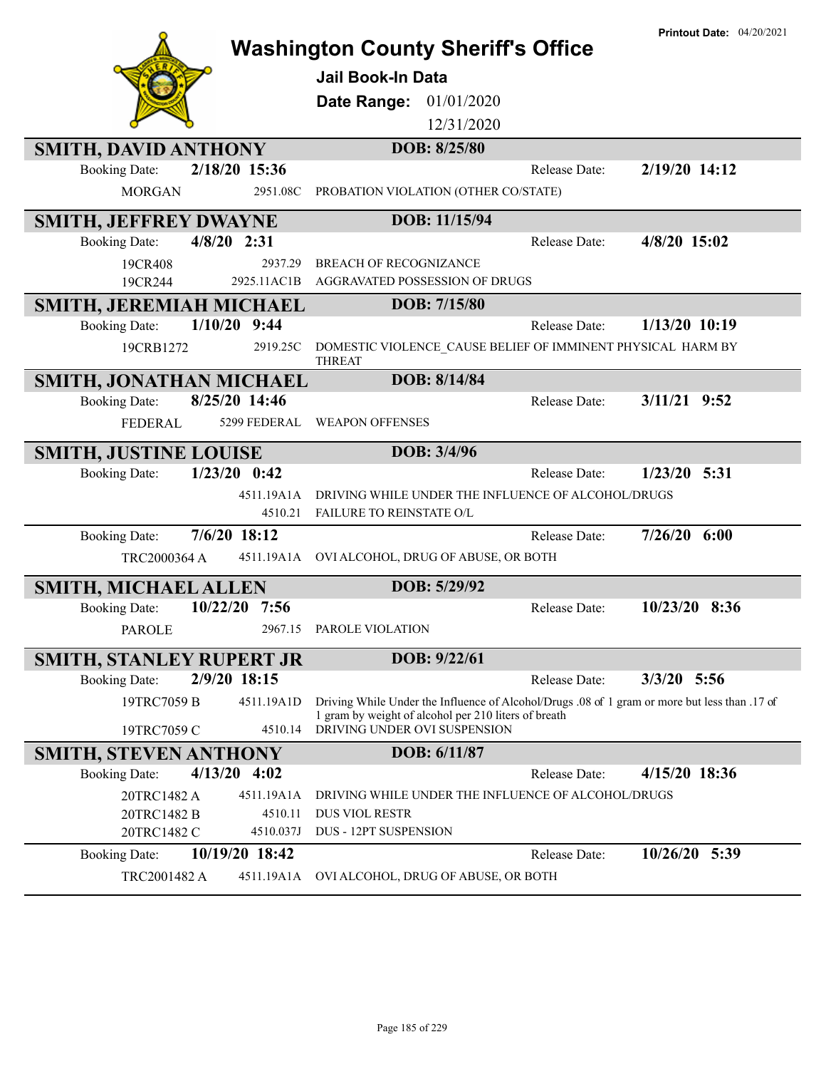|                                          | <b>Printout Date: 04/20/2021</b><br><b>Washington County Sheriff's Office</b>                 |  |
|------------------------------------------|-----------------------------------------------------------------------------------------------|--|
|                                          | Jail Book-In Data                                                                             |  |
|                                          | Date Range:<br>01/01/2020                                                                     |  |
|                                          | 12/31/2020                                                                                    |  |
| <b>SMITH, DAVID ANTHONY</b>              | DOB: 8/25/80                                                                                  |  |
| 2/18/20 15:36<br><b>Booking Date:</b>    | 2/19/20 14:12<br>Release Date:                                                                |  |
| <b>MORGAN</b><br>2951.08C                | PROBATION VIOLATION (OTHER CO/STATE)                                                          |  |
| SMITH, JEFFREY DWAYNE                    | DOB: 11/15/94                                                                                 |  |
| $4/8/20$ 2:31<br><b>Booking Date:</b>    | 4/8/20 15:02<br>Release Date:                                                                 |  |
| 2937.29<br>19CR408                       | <b>BREACH OF RECOGNIZANCE</b>                                                                 |  |
| 2925.11AC1B<br>19CR244                   | AGGRAVATED POSSESSION OF DRUGS                                                                |  |
| SMITH, JEREMIAH MICHAEL                  | DOB: 7/15/80                                                                                  |  |
| $1/10/20$ 9:44<br><b>Booking Date:</b>   | $1/13/20$ 10:19<br>Release Date:                                                              |  |
| 19CRB1272<br>2919.25C                    | DOMESTIC VIOLENCE_CAUSE BELIEF OF IMMINENT PHYSICAL HARM BY<br><b>THREAT</b>                  |  |
| SMITH, JONATHAN MICHAEL                  | DOB: 8/14/84                                                                                  |  |
| 8/25/20 14:46<br><b>Booking Date:</b>    | $3/11/21$ 9:52<br>Release Date:                                                               |  |
| 5299 FEDERAL<br><b>FEDERAL</b>           | <b>WEAPON OFFENSES</b>                                                                        |  |
| <b>SMITH, JUSTINE LOUISE</b>             | DOB: 3/4/96                                                                                   |  |
| $1/23/20$ 0:42<br><b>Booking Date:</b>   | $1/23/20$ 5:31<br>Release Date:                                                               |  |
| 4511.19A1A                               | DRIVING WHILE UNDER THE INFLUENCE OF ALCOHOL/DRUGS                                            |  |
| 4510.21                                  | FAILURE TO REINSTATE O/L                                                                      |  |
| 7/6/20 18:12<br><b>Booking Date:</b>     | $7/26/20$ 6:00<br>Release Date:                                                               |  |
| TRC2000364 A                             | 4511.19A1A OVI ALCOHOL, DRUG OF ABUSE, OR BOTH                                                |  |
| <b>SMITH, MICHAEL ALLEN</b>              | DOB: 5/29/92                                                                                  |  |
| 10/22/20<br><b>Booking Date:</b><br>7:56 | 10/23/20 8:36<br>Release Date:                                                                |  |
| PAROLE                                   | 2967.15 PAROLE VIOLATION                                                                      |  |
| <b>SMITH, STANLEY RUPERT JR</b>          | DOB: 9/22/61                                                                                  |  |
| 2/9/20 18:15<br><b>Booking Date:</b>     | $3/3/20$ 5:56<br>Release Date:                                                                |  |
| 19TRC7059 B<br>4511.19A1D                | Driving While Under the Influence of Alcohol/Drugs .08 of 1 gram or more but less than .17 of |  |
| 4510.14<br>19TRC7059 C                   | 1 gram by weight of alcohol per 210 liters of breath<br>DRIVING UNDER OVI SUSPENSION          |  |
| <b>SMITH, STEVEN ANTHONY</b>             | DOB: 6/11/87                                                                                  |  |
| $4/13/20$ $4:02$<br><b>Booking Date:</b> | 4/15/20 18:36<br>Release Date:                                                                |  |
| 20TRC1482 A<br>4511.19A1A                | DRIVING WHILE UNDER THE INFLUENCE OF ALCOHOL/DRUGS                                            |  |
| 20TRC1482 B<br>4510.11                   | <b>DUS VIOL RESTR</b>                                                                         |  |
| 20TRC1482 C<br>4510.037J                 | <b>DUS - 12PT SUSPENSION</b>                                                                  |  |
| 10/19/20 18:42<br><b>Booking Date:</b>   | Release Date:<br>10/26/20 5:39                                                                |  |
| TRC2001482 A<br>4511.19A1A               | OVI ALCOHOL, DRUG OF ABUSE, OR BOTH                                                           |  |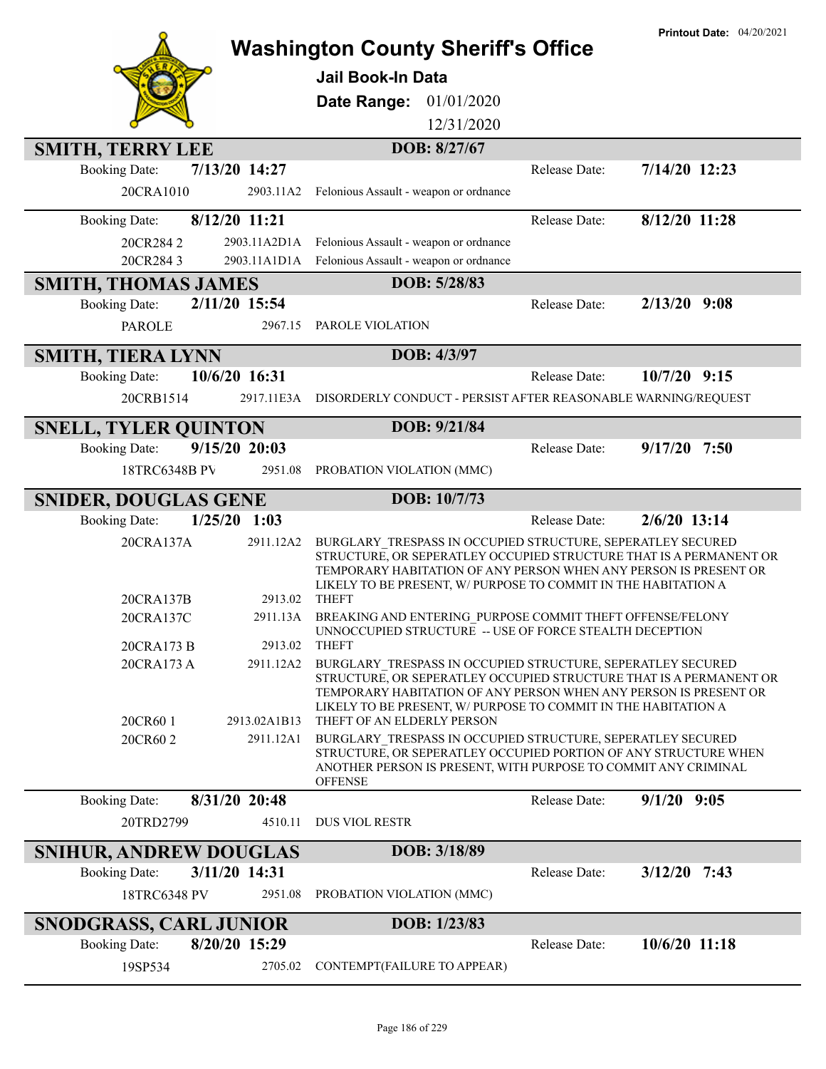|                                         |                           |                                                                                                                                                                                                                                                                                                       |               | <b>Printout Date: 04/20/2021</b> |
|-----------------------------------------|---------------------------|-------------------------------------------------------------------------------------------------------------------------------------------------------------------------------------------------------------------------------------------------------------------------------------------------------|---------------|----------------------------------|
|                                         |                           | <b>Washington County Sheriff's Office</b>                                                                                                                                                                                                                                                             |               |                                  |
|                                         |                           | <b>Jail Book-In Data</b>                                                                                                                                                                                                                                                                              |               |                                  |
|                                         |                           | Date Range:<br>01/01/2020                                                                                                                                                                                                                                                                             |               |                                  |
|                                         |                           | 12/31/2020                                                                                                                                                                                                                                                                                            |               |                                  |
| <b>SMITH, TERRY LEE</b>                 |                           | DOB: 8/27/67                                                                                                                                                                                                                                                                                          |               |                                  |
| 7/13/20 14:27<br><b>Booking Date:</b>   |                           |                                                                                                                                                                                                                                                                                                       | Release Date: | 7/14/20 12:23                    |
| 20CRA1010                               | 2903.11A2                 | Felonious Assault - weapon or ordnance                                                                                                                                                                                                                                                                |               |                                  |
| 8/12/20 11:21<br><b>Booking Date:</b>   |                           |                                                                                                                                                                                                                                                                                                       | Release Date: | 8/12/20 11:28                    |
| 20CR2842                                | 2903.11A2D1A              | Felonious Assault - weapon or ordnance                                                                                                                                                                                                                                                                |               |                                  |
| 20CR2843                                |                           | 2903.11A1D1A Felonious Assault - weapon or ordnance                                                                                                                                                                                                                                                   |               |                                  |
| <b>SMITH, THOMAS JAMES</b>              |                           | DOB: 5/28/83                                                                                                                                                                                                                                                                                          |               |                                  |
| 2/11/20 15:54<br><b>Booking Date:</b>   |                           |                                                                                                                                                                                                                                                                                                       | Release Date: | $2/13/20$ 9:08                   |
| <b>PAROLE</b>                           |                           | 2967.15 PAROLE VIOLATION                                                                                                                                                                                                                                                                              |               |                                  |
| <b>SMITH, TIERA LYNN</b>                |                           | DOB: 4/3/97                                                                                                                                                                                                                                                                                           |               |                                  |
| 10/6/20 16:31<br><b>Booking Date:</b>   |                           |                                                                                                                                                                                                                                                                                                       | Release Date: | $10/7/20$ 9:15                   |
| 20CRB1514                               | 2917.11E3A                | DISORDERLY CONDUCT - PERSIST AFTER REASONABLE WARNING/REQUEST                                                                                                                                                                                                                                         |               |                                  |
| <b>SNELL, TYLER QUINTON</b>             |                           | DOB: 9/21/84                                                                                                                                                                                                                                                                                          |               |                                  |
| $9/15/20$ 20:03<br><b>Booking Date:</b> |                           |                                                                                                                                                                                                                                                                                                       | Release Date: | $9/17/20$ 7:50                   |
| 18TRC6348B PV                           | 2951.08                   | PROBATION VIOLATION (MMC)                                                                                                                                                                                                                                                                             |               |                                  |
| <b>SNIDER, DOUGLAS GENE</b>             |                           | DOB: 10/7/73                                                                                                                                                                                                                                                                                          |               |                                  |
| $1/25/20$ 1:03<br><b>Booking Date:</b>  |                           |                                                                                                                                                                                                                                                                                                       | Release Date: | $2/6/20$ 13:14                   |
| 20CRA137A                               | 2911.12A2                 | BURGLARY TRESPASS IN OCCUPIED STRUCTURE, SEPERATLEY SECURED<br>STRUCTURE, OR SEPERATLEY OCCUPIED STRUCTURE THAT IS A PERMANENT OR<br>TEMPORARY HABITATION OF ANY PERSON WHEN ANY PERSON IS PRESENT OR<br>LIKELY TO BE PRESENT, W/ PURPOSE TO COMMIT IN THE HABITATION A                               |               |                                  |
| 20CRA137B                               | 2913.02                   | <b>THEFT</b>                                                                                                                                                                                                                                                                                          |               |                                  |
| 20CRA137C                               |                           | 2911.13A BREAKING AND ENTERING PURPOSE COMMIT THEFT OFFENSE/FELONY<br>UNNOCCUPIED STRUCTURE -- USE OF FORCE STEALTH DECEPTION                                                                                                                                                                         |               |                                  |
| 20CRA173 B                              | 2913.02                   | <b>THEFT</b>                                                                                                                                                                                                                                                                                          |               |                                  |
| 20CRA173 A<br>20CR60 1                  | 2911.12A2<br>2913.02A1B13 | BURGLARY TRESPASS IN OCCUPIED STRUCTURE, SEPERATLEY SECURED<br>STRUCTURE, OR SEPERATLEY OCCUPIED STRUCTURE THAT IS A PERMANENT OR<br>TEMPORARY HABITATION OF ANY PERSON WHEN ANY PERSON IS PRESENT OR<br>LIKELY TO BE PRESENT, W/ PURPOSE TO COMMIT IN THE HABITATION A<br>THEFT OF AN ELDERLY PERSON |               |                                  |
| 20CR602                                 | 2911.12A1                 | BURGLARY TRESPASS IN OCCUPIED STRUCTURE, SEPERATLEY SECURED<br>STRUCTURE, OR SEPERATLEY OCCUPIED PORTION OF ANY STRUCTURE WHEN<br>ANOTHER PERSON IS PRESENT, WITH PURPOSE TO COMMIT ANY CRIMINAL<br><b>OFFENSE</b>                                                                                    |               |                                  |
| 8/31/20 20:48<br><b>Booking Date:</b>   |                           |                                                                                                                                                                                                                                                                                                       | Release Date: | $9/1/20$ $9:05$                  |
| 20TRD2799                               | 4510.11                   | <b>DUS VIOL RESTR</b>                                                                                                                                                                                                                                                                                 |               |                                  |
| <b>SNIHUR, ANDREW DOUGLAS</b>           |                           | DOB: 3/18/89                                                                                                                                                                                                                                                                                          |               |                                  |
| 3/11/20 14:31<br><b>Booking Date:</b>   |                           |                                                                                                                                                                                                                                                                                                       | Release Date: | $3/12/20$ 7:43                   |
| 18TRC6348 PV                            | 2951.08                   | PROBATION VIOLATION (MMC)                                                                                                                                                                                                                                                                             |               |                                  |
| <b>SNODGRASS, CARL JUNIOR</b>           |                           | DOB: 1/23/83                                                                                                                                                                                                                                                                                          |               |                                  |
| 8/20/20 15:29<br><b>Booking Date:</b>   |                           |                                                                                                                                                                                                                                                                                                       | Release Date: | 10/6/20 11:18                    |
| 19SP534                                 | 2705.02                   | CONTEMPT(FAILURE TO APPEAR)                                                                                                                                                                                                                                                                           |               |                                  |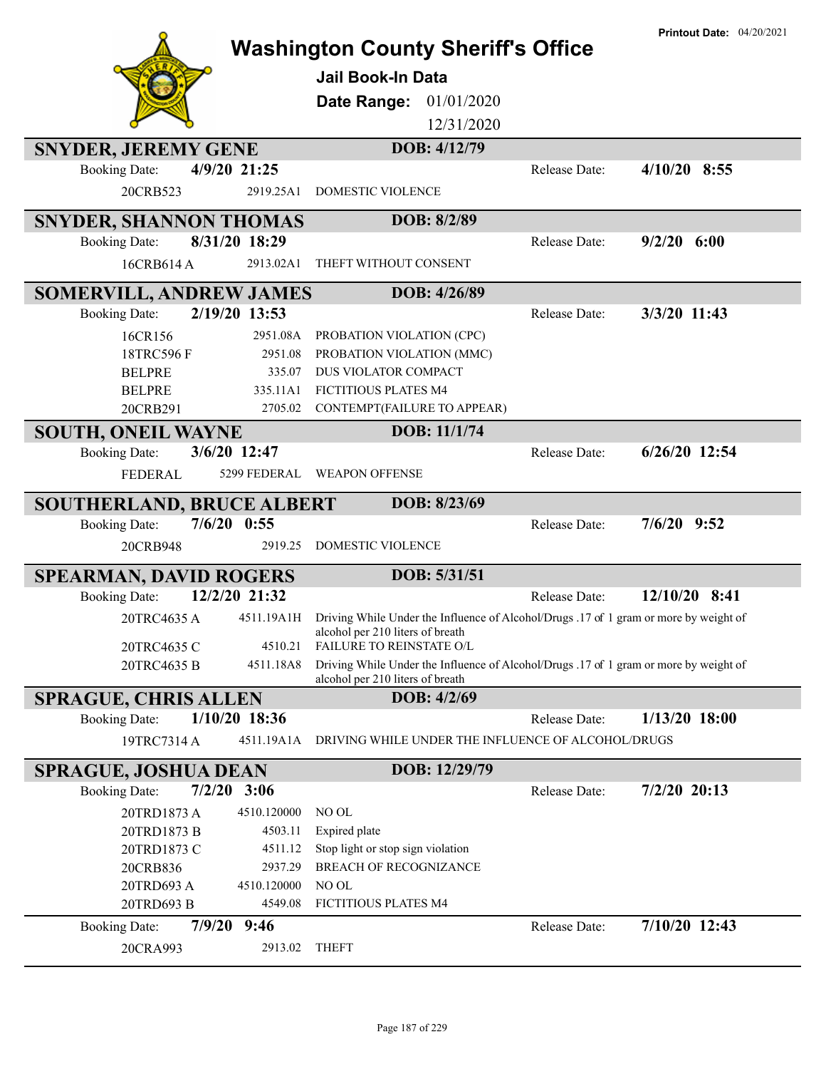|                                  |                           | <b>Washington County Sheriff's Office</b><br><b>Jail Book-In Data</b><br>Date Range:<br>01/01/2020<br>12/31/2020                     |                      | <b>Printout Date: 04/20/2021</b> |
|----------------------------------|---------------------------|--------------------------------------------------------------------------------------------------------------------------------------|----------------------|----------------------------------|
| <b>SNYDER, JEREMY GENE</b>       |                           | DOB: 4/12/79                                                                                                                         |                      |                                  |
| <b>Booking Date:</b><br>20CRB523 | 4/9/20 21:25<br>2919.25A1 | DOMESTIC VIOLENCE                                                                                                                    | Release Date:        | $4/10/20$ 8:55                   |
|                                  |                           |                                                                                                                                      |                      |                                  |
| <b>SNYDER, SHANNON THOMAS</b>    |                           | DOB: 8/2/89                                                                                                                          |                      |                                  |
| <b>Booking Date:</b>             | 8/31/20 18:29             |                                                                                                                                      | Release Date:        | $9/2/20$ 6:00                    |
| 16CRB614 A                       | 2913.02A1                 | THEFT WITHOUT CONSENT                                                                                                                |                      |                                  |
| <b>SOMERVILL, ANDREW JAMES</b>   |                           | DOB: 4/26/89                                                                                                                         |                      |                                  |
| <b>Booking Date:</b>             | 2/19/20 13:53             |                                                                                                                                      | Release Date:        | 3/3/20 11:43                     |
| 16CR156                          | 2951.08A                  | PROBATION VIOLATION (CPC)                                                                                                            |                      |                                  |
| 18TRC596F                        | 2951.08                   | PROBATION VIOLATION (MMC)                                                                                                            |                      |                                  |
| <b>BELPRE</b>                    | 335.07                    | DUS VIOLATOR COMPACT                                                                                                                 |                      |                                  |
| <b>BELPRE</b>                    | 335.11A1                  | FICTITIOUS PLATES M4                                                                                                                 |                      |                                  |
| 20CRB291                         | 2705.02                   | CONTEMPT(FAILURE TO APPEAR)                                                                                                          |                      |                                  |
| <b>SOUTH, ONEIL WAYNE</b>        |                           | DOB: 11/1/74                                                                                                                         |                      |                                  |
| <b>Booking Date:</b>             | 3/6/20 12:47              |                                                                                                                                      | Release Date:        | $6/26/20$ 12:54                  |
| <b>FEDERAL</b>                   | 5299 FEDERAL              | <b>WEAPON OFFENSE</b>                                                                                                                |                      |                                  |
| <b>SOUTHERLAND, BRUCE ALBERT</b> |                           | DOB: 8/23/69                                                                                                                         |                      |                                  |
| <b>Booking Date:</b>             | $7/6/20$ 0:55             |                                                                                                                                      | Release Date:        | $7/6/20$ 9:52                    |
| 20CRB948                         | 2919.25                   | DOMESTIC VIOLENCE                                                                                                                    |                      |                                  |
| <b>SPEARMAN, DAVID ROGERS</b>    |                           | DOB: 5/31/51                                                                                                                         |                      |                                  |
| <b>Booking Date:</b>             | 12/2/20 21:32             |                                                                                                                                      | Release Date:        | 12/10/20 8:41                    |
| 20TRC4635 A                      |                           | 4511.19A1H Driving While Under the Influence of Alcohol/Drugs .17 of 1 gram or more by weight of<br>alcohol per 210 liters of breath |                      |                                  |
| 20TRC4635 C                      | 4510.21                   | <b>FAILURE TO REINSTATE O/L</b>                                                                                                      |                      |                                  |
| 20TRC4635 B                      | 4511.18A8                 | Driving While Under the Influence of Alcohol/Drugs .17 of 1 gram or more by weight of<br>alcohol per 210 liters of breath            |                      |                                  |
| <b>SPRAGUE, CHRIS ALLEN</b>      |                           | DOB: 4/2/69                                                                                                                          |                      |                                  |
| <b>Booking Date:</b>             | $1/10/20$ 18:36           |                                                                                                                                      | <b>Release Date:</b> | $1/13/20$ 18:00                  |
| 19TRC7314 A                      | 4511.19A1A                | DRIVING WHILE UNDER THE INFLUENCE OF ALCOHOL/DRUGS                                                                                   |                      |                                  |
| <b>SPRAGUE, JOSHUA DEAN</b>      |                           | DOB: 12/29/79                                                                                                                        |                      |                                  |
| <b>Booking Date:</b>             | $7/2/20$ 3:06             |                                                                                                                                      | Release Date:        | $7/2/20$ 20:13                   |
| 20TRD1873 A                      | 4510.120000               | NO OL                                                                                                                                |                      |                                  |
| 20TRD1873 B                      | 4503.11                   | Expired plate                                                                                                                        |                      |                                  |
| 20TRD1873 C                      | 4511.12                   | Stop light or stop sign violation                                                                                                    |                      |                                  |
| 20CRB836                         | 2937.29                   | <b>BREACH OF RECOGNIZANCE</b>                                                                                                        |                      |                                  |
| 20TRD693 A                       | 4510.120000               | NO OL                                                                                                                                |                      |                                  |
| 20TRD693 B                       | 4549.08                   | FICTITIOUS PLATES M4                                                                                                                 |                      |                                  |
| <b>Booking Date:</b>             | 7/9/20 9:46               |                                                                                                                                      | Release Date:        | 7/10/20 12:43                    |
| 20CRA993                         | 2913.02                   | <b>THEFT</b>                                                                                                                         |                      |                                  |
|                                  |                           |                                                                                                                                      |                      |                                  |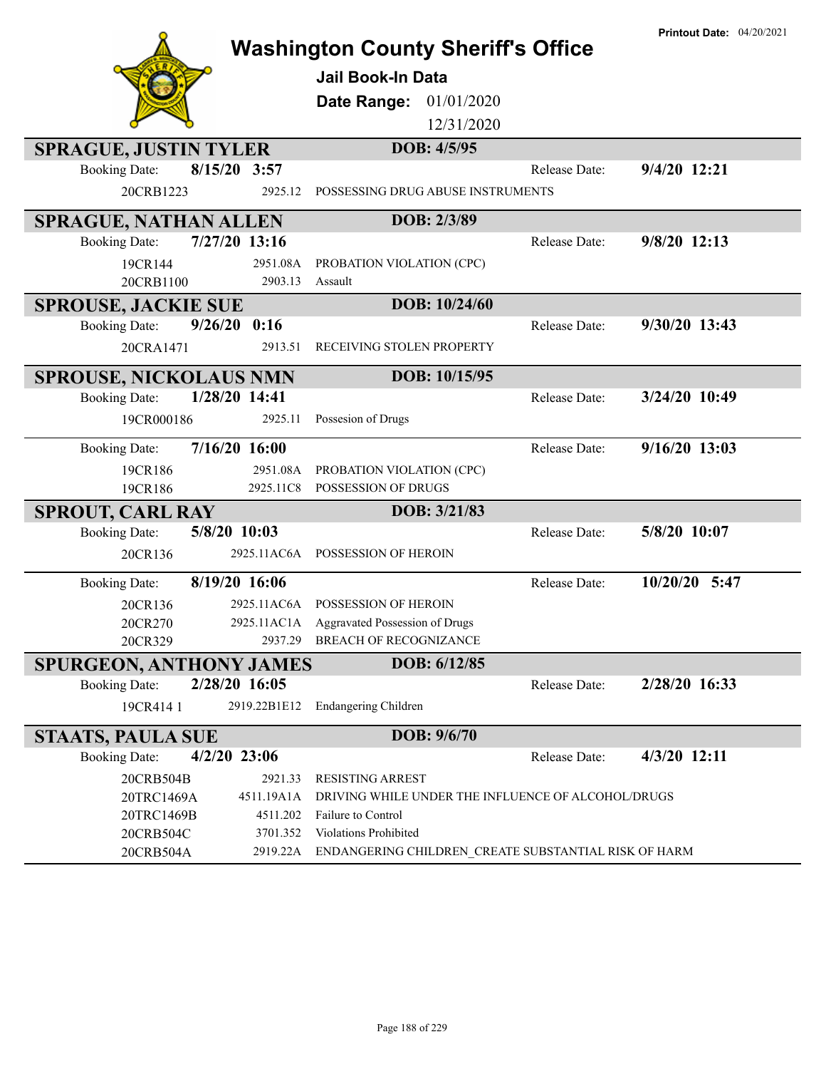|                                                                 |                                  | <b>Washington County Sheriff's Office</b>                                                           |               | <b>Printout Date: 04/20/2021</b> |
|-----------------------------------------------------------------|----------------------------------|-----------------------------------------------------------------------------------------------------|---------------|----------------------------------|
|                                                                 |                                  | <b>Jail Book-In Data</b>                                                                            |               |                                  |
|                                                                 |                                  |                                                                                                     |               |                                  |
|                                                                 |                                  | 01/01/2020<br>Date Range:<br>12/31/2020                                                             |               |                                  |
|                                                                 |                                  |                                                                                                     |               |                                  |
| <b>SPRAGUE, JUSTIN TYLER</b>                                    |                                  | DOB: 4/5/95                                                                                         |               |                                  |
| 8/15/20 3:57<br><b>Booking Date:</b>                            |                                  | POSSESSING DRUG ABUSE INSTRUMENTS                                                                   | Release Date: | 9/4/20 12:21                     |
| 20CRB1223                                                       | 2925.12                          |                                                                                                     |               |                                  |
| <b>SPRAGUE, NATHAN ALLEN</b>                                    |                                  | DOB: 2/3/89                                                                                         |               |                                  |
| 7/27/20 13:16<br><b>Booking Date:</b>                           |                                  |                                                                                                     | Release Date: | 9/8/20 12:13                     |
| 19CR144                                                         | 2951.08A<br>2903.13              | PROBATION VIOLATION (CPC)<br>Assault                                                                |               |                                  |
| 20CRB1100                                                       |                                  |                                                                                                     |               |                                  |
| <b>SPROUSE, JACKIE SUE</b><br>9/26/20<br><b>Booking Date:</b>   | 0:16                             | DOB: 10/24/60                                                                                       | Release Date: | 9/30/20 13:43                    |
| 20CRA1471                                                       | 2913.51                          | RECEIVING STOLEN PROPERTY                                                                           |               |                                  |
|                                                                 |                                  |                                                                                                     |               |                                  |
| <b>SPROUSE, NICKOLAUS NMN</b>                                   |                                  | DOB: 10/15/95                                                                                       |               |                                  |
| 1/28/20 14:41<br><b>Booking Date:</b>                           |                                  |                                                                                                     | Release Date: | 3/24/20 10:49                    |
| 19CR000186                                                      | 2925.11                          | Possesion of Drugs                                                                                  |               |                                  |
| 7/16/20 16:00<br><b>Booking Date:</b>                           |                                  |                                                                                                     | Release Date: | 9/16/20 13:03                    |
| 19CR186                                                         | 2951.08A                         | PROBATION VIOLATION (CPC)                                                                           |               |                                  |
| 19CR186                                                         | 2925.11C8                        | POSSESSION OF DRUGS                                                                                 |               |                                  |
| <b>SPROUT, CARL RAY</b><br>5/8/20 10:03<br><b>Booking Date:</b> |                                  | DOB: 3/21/83                                                                                        | Release Date: | 5/8/20 10:07                     |
| 20CR136                                                         | 2925.11AC6A                      | POSSESSION OF HEROIN                                                                                |               |                                  |
|                                                                 |                                  |                                                                                                     |               |                                  |
| 8/19/20 16:06<br><b>Booking Date:</b>                           |                                  |                                                                                                     | Release Date: | 10/20/20 5:47                    |
| 20CR136                                                         | 2925.11AC6A                      | POSSESSION OF HEROIN                                                                                |               |                                  |
| 20CR270<br>20CR329                                              | 2937.29                          | 2925.11AC1A Aggravated Possession of Drugs<br><b>BREACH OF RECOGNIZANCE</b>                         |               |                                  |
| <b>SPURGEON, ANTHONY JAMES</b>                                  |                                  | DOB: 6/12/85                                                                                        |               |                                  |
| 2/28/20 16:05<br><b>Booking Date:</b>                           |                                  |                                                                                                     | Release Date: | 2/28/20 16:33                    |
| 19CR4141                                                        | 2919.22B1E12                     | <b>Endangering Children</b>                                                                         |               |                                  |
| <b>STAATS, PAULA SUE</b>                                        |                                  | DOB: 9/6/70                                                                                         |               |                                  |
| $4/2/20$ 23:06<br><b>Booking Date:</b>                          |                                  |                                                                                                     | Release Date: | 4/3/20 12:11                     |
| 20CRB504B                                                       | 2921.33                          | <b>RESISTING ARREST</b>                                                                             |               |                                  |
| 20TRC1469A                                                      | 4511.19A1A                       | DRIVING WHILE UNDER THE INFLUENCE OF ALCOHOL/DRUGS                                                  |               |                                  |
|                                                                 |                                  |                                                                                                     |               |                                  |
|                                                                 |                                  |                                                                                                     |               |                                  |
| 20TRC1469B<br>20CRB504C<br>20CRB504A                            | 4511.202<br>3701.352<br>2919.22A | Failure to Control<br>Violations Prohibited<br>ENDANGERING CHILDREN_CREATE SUBSTANTIAL RISK OF HARM |               |                                  |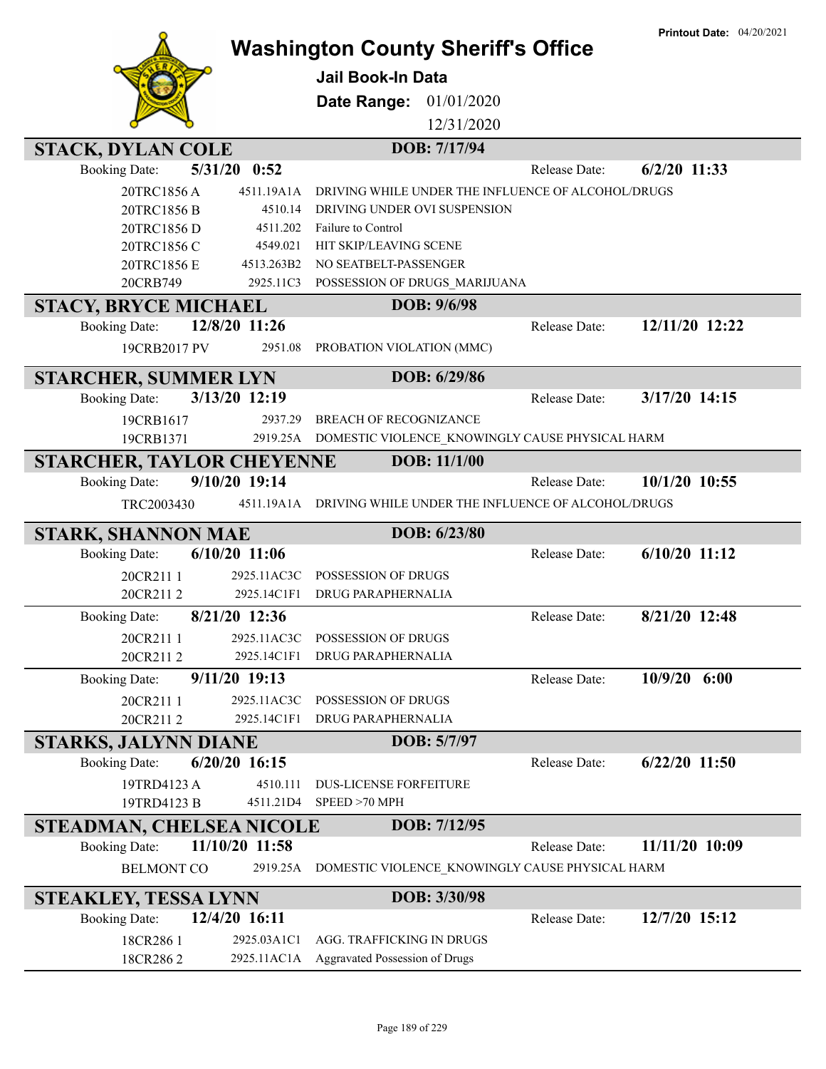|                                  |                       |                                           |              |                                                          | <b>Printout Date: 04/20/2021</b> |
|----------------------------------|-----------------------|-------------------------------------------|--------------|----------------------------------------------------------|----------------------------------|
|                                  |                       | <b>Washington County Sheriff's Office</b> |              |                                                          |                                  |
|                                  |                       | Jail Book-In Data                         |              |                                                          |                                  |
|                                  |                       | <b>Date Range: 01/01/2020</b>             |              |                                                          |                                  |
|                                  |                       |                                           | 12/31/2020   |                                                          |                                  |
|                                  |                       |                                           | DOB: 7/17/94 |                                                          |                                  |
| <b>STACK, DYLAN COLE</b>         | 5/31/20<br>0:52       |                                           |              | Release Date:                                            | $6/2/20$ 11:33                   |
| <b>Booking Date:</b>             |                       |                                           |              |                                                          |                                  |
| 20TRC1856A<br>20TRC1856 B        | 4511.19A1A<br>4510.14 | DRIVING UNDER OVI SUSPENSION              |              | DRIVING WHILE UNDER THE INFLUENCE OF ALCOHOL/DRUGS       |                                  |
| 20TRC1856 D                      | 4511.202              | Failure to Control                        |              |                                                          |                                  |
| 20TRC1856 C                      | 4549.021              | HIT SKIP/LEAVING SCENE                    |              |                                                          |                                  |
| 20TRC1856 E                      | 4513.263B2            | NO SEATBELT-PASSENGER                     |              |                                                          |                                  |
| 20CRB749                         | 2925.11C3             | POSSESSION OF DRUGS_MARIJUANA             |              |                                                          |                                  |
|                                  |                       |                                           | DOB: 9/6/98  |                                                          |                                  |
| <b>STACY, BRYCE MICHAEL</b>      | 12/8/20 11:26         |                                           |              | Release Date:                                            | 12/11/20 12:22                   |
| <b>Booking Date:</b>             |                       |                                           |              |                                                          |                                  |
| 19CRB2017 PV                     | 2951.08               | PROBATION VIOLATION (MMC)                 |              |                                                          |                                  |
| <b>STARCHER, SUMMER LYN</b>      |                       |                                           | DOB: 6/29/86 |                                                          |                                  |
| <b>Booking Date:</b>             | 3/13/20 12:19         |                                           |              | Release Date:                                            | 3/17/20 14:15                    |
| 19CRB1617                        | 2937.29               | <b>BREACH OF RECOGNIZANCE</b>             |              |                                                          |                                  |
| 19CRB1371                        |                       |                                           |              | 2919.25A DOMESTIC VIOLENCE_KNOWINGLY CAUSE PHYSICAL HARM |                                  |
| <b>STARCHER, TAYLOR CHEYENNE</b> |                       |                                           | DOB: 11/1/00 |                                                          |                                  |
| <b>Booking Date:</b>             | 9/10/20 19:14         |                                           |              | Release Date:                                            | 10/1/20 10:55                    |
| TRC2003430                       | 4511.19A1A            |                                           |              | DRIVING WHILE UNDER THE INFLUENCE OF ALCOHOL/DRUGS       |                                  |
|                                  |                       |                                           |              |                                                          |                                  |
| STARK, SHANNON MAE               |                       |                                           | DOB: 6/23/80 |                                                          |                                  |
| <b>Booking Date:</b>             | 6/10/20 11:06         |                                           |              | Release Date:                                            | $6/10/20$ 11:12                  |
| 20CR211 1                        | 2925.11AC3C           | POSSESSION OF DRUGS                       |              |                                                          |                                  |
| 20CR2112                         | 2925.14C1F1           | <b>DRUG PARAPHERNALIA</b>                 |              |                                                          |                                  |
| <b>Booking Date:</b>             | 8/21/20 12:36         |                                           |              | Release Date:                                            | 8/21/20 12:48                    |
| 20CR211 1                        | 2925.11AC3C           | POSSESSION OF DRUGS                       |              |                                                          |                                  |
| 20CR2112                         | 2925.14C1F1           | DRUG PARAPHERNALIA                        |              |                                                          |                                  |
| <b>Booking Date:</b>             | 9/11/20 19:13         |                                           |              | Release Date:                                            | 10/9/20 6:00                     |
| 20CR211 1                        | 2925.11AC3C           | POSSESSION OF DRUGS                       |              |                                                          |                                  |
| 20CR2112                         | 2925.14C1F1           | <b>DRUG PARAPHERNALIA</b>                 |              |                                                          |                                  |
| <b>STARKS, JALYNN DIANE</b>      |                       |                                           | DOB: 5/7/97  |                                                          |                                  |
| <b>Booking Date:</b>             | $6/20/20$ 16:15       |                                           |              | Release Date:                                            | $6/22/20$ 11:50                  |
|                                  | 4510.111              | <b>DUS-LICENSE FORFEITURE</b>             |              |                                                          |                                  |
| 19TRD4123 A<br>19TRD4123 B       | 4511.21D4             | SPEED >70 MPH                             |              |                                                          |                                  |
|                                  |                       |                                           |              |                                                          |                                  |
| STEADMAN, CHELSEA NICOLE         |                       |                                           | DOB: 7/12/95 |                                                          |                                  |
| <b>Booking Date:</b>             | 11/10/20 11:58        |                                           |              | Release Date:                                            | 11/11/20 10:09                   |
| <b>BELMONT CO</b>                | 2919.25A              |                                           |              | DOMESTIC VIOLENCE_KNOWINGLY CAUSE PHYSICAL HARM          |                                  |
| <b>STEAKLEY, TESSA LYNN</b>      |                       |                                           | DOB: 3/30/98 |                                                          |                                  |
| <b>Booking Date:</b>             | 12/4/20 16:11         |                                           |              | Release Date:                                            | 12/7/20 15:12                    |
| 18CR286 1                        | 2925.03A1C1           | AGG. TRAFFICKING IN DRUGS                 |              |                                                          |                                  |
| 18CR2862                         | 2925.11AC1A           | Aggravated Possession of Drugs            |              |                                                          |                                  |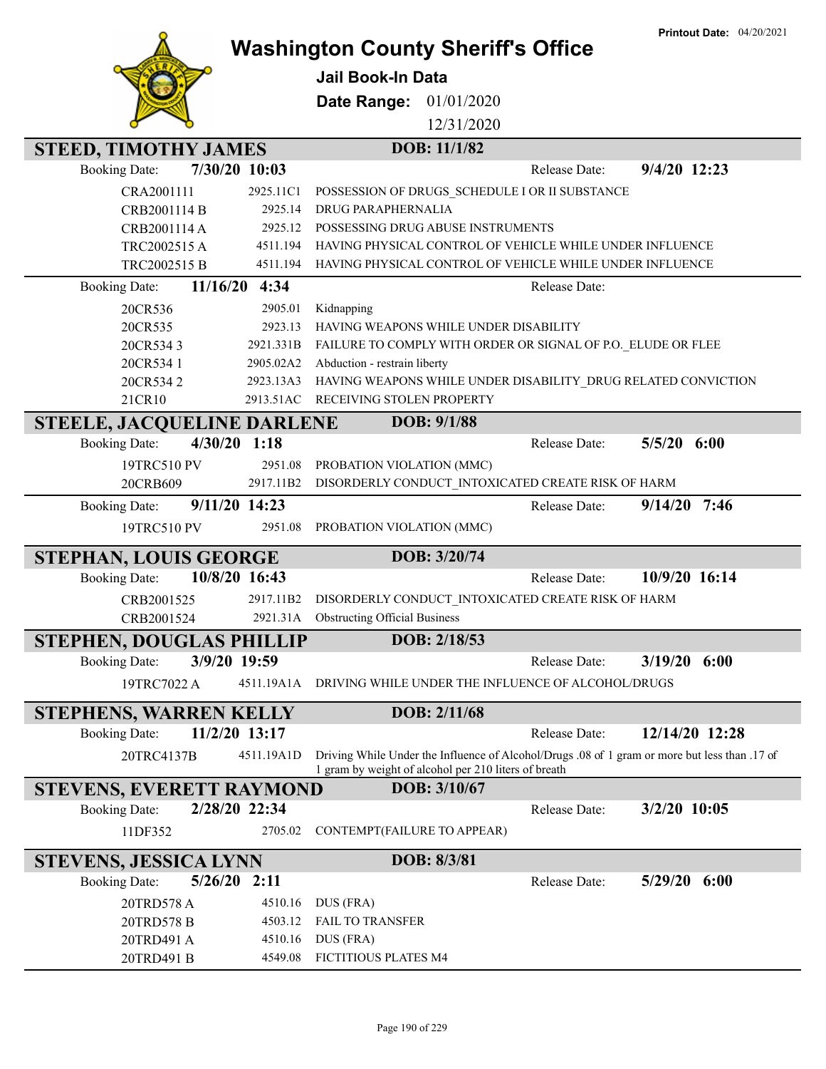**Printout Date:** 04/20/2021



## **Washington County Sheriff's Office**

**Jail Book-In Data**

**Date Range:** 01/01/2020

12/31/2020

| <b>STEED, TIMOTHY JAMES</b>            |            | DOB: 11/1/82                                                                                                                                                     |
|----------------------------------------|------------|------------------------------------------------------------------------------------------------------------------------------------------------------------------|
| 7/30/20 10:03<br><b>Booking Date:</b>  |            | 9/4/20 12:23<br>Release Date:                                                                                                                                    |
| CRA2001111                             | 2925.11C1  | POSSESSION OF DRUGS_SCHEDULE I OR II SUBSTANCE                                                                                                                   |
| CRB2001114 B                           | 2925.14    | DRUG PARAPHERNALIA                                                                                                                                               |
| CRB2001114 A                           | 2925.12    | POSSESSING DRUG ABUSE INSTRUMENTS                                                                                                                                |
| TRC2002515 A                           | 4511.194   | HAVING PHYSICAL CONTROL OF VEHICLE WHILE UNDER INFLUENCE                                                                                                         |
| TRC2002515 B                           | 4511.194   | HAVING PHYSICAL CONTROL OF VEHICLE WHILE UNDER INFLUENCE                                                                                                         |
| 11/16/20<br><b>Booking Date:</b>       | 4:34       | Release Date:                                                                                                                                                    |
| 20CR536                                | 2905.01    | Kidnapping                                                                                                                                                       |
| 20CR535                                | 2923.13    | HAVING WEAPONS WHILE UNDER DISABILITY                                                                                                                            |
| 20CR5343                               | 2921.331B  | FAILURE TO COMPLY WITH ORDER OR SIGNAL OF P.O. ELUDE OR FLEE                                                                                                     |
| 20CR534 1                              | 2905.02A2  | Abduction - restrain liberty                                                                                                                                     |
| 20CR5342                               | 2923.13A3  | HAVING WEAPONS WHILE UNDER DISABILITY_DRUG RELATED CONVICTION                                                                                                    |
| 21CR10                                 | 2913.51AC  | RECEIVING STOLEN PROPERTY                                                                                                                                        |
| <b>STEELE, JACQUELINE DARLENE</b>      |            | DOB: 9/1/88                                                                                                                                                      |
| $4/30/20$ 1:18<br><b>Booking Date:</b> |            | $5/5/20$ $6:00$<br>Release Date:                                                                                                                                 |
| 19TRC510 PV                            | 2951.08    | PROBATION VIOLATION (MMC)                                                                                                                                        |
| 20CRB609                               | 2917.11B2  | DISORDERLY CONDUCT_INTOXICATED CREATE RISK OF HARM                                                                                                               |
| 9/11/20 14:23<br><b>Booking Date:</b>  |            | 9/14/20<br>7:46<br>Release Date:                                                                                                                                 |
| 19TRC510 PV                            | 2951.08    | PROBATION VIOLATION (MMC)                                                                                                                                        |
| <b>STEPHAN, LOUIS GEORGE</b>           |            | DOB: 3/20/74                                                                                                                                                     |
| 10/8/20 16:43<br><b>Booking Date:</b>  |            | 10/9/20 16:14<br>Release Date:                                                                                                                                   |
| CRB2001525                             | 2917.11B2  | DISORDERLY CONDUCT_INTOXICATED CREATE RISK OF HARM                                                                                                               |
| CRB2001524                             | 2921.31A   | <b>Obstructing Official Business</b>                                                                                                                             |
| <b>STEPHEN, DOUGLAS PHILLIP</b>        |            | DOB: 2/18/53                                                                                                                                                     |
| 3/9/20 19:59<br><b>Booking Date:</b>   |            | 3/19/20<br>6:00<br>Release Date:                                                                                                                                 |
| 19TRC7022 A                            | 4511.19A1A | DRIVING WHILE UNDER THE INFLUENCE OF ALCOHOL/DRUGS                                                                                                               |
|                                        |            |                                                                                                                                                                  |
| <b>STEPHENS, WARREN KELLY</b>          |            | DOB: 2/11/68                                                                                                                                                     |
| 11/2/20 13:17<br><b>Booking Date:</b>  |            | 12/14/20 12:28<br>Release Date:                                                                                                                                  |
| 20TRC4137B                             |            | 4511.19A1D Driving While Under the Influence of Alcohol/Drugs .08 of 1 gram or more but less than .17 of<br>1 gram by weight of alcohol per 210 liters of breath |
| <b>STEVENS, EVERETT RAYMOND</b>        |            | DOB: 3/10/67                                                                                                                                                     |
| 2/28/20 22:34<br><b>Booking Date:</b>  |            | 3/2/20 10:05<br>Release Date:                                                                                                                                    |
| 11DF352                                | 2705.02    | CONTEMPT (FAILURE TO APPEAR)                                                                                                                                     |
| <b>STEVENS, JESSICA LYNN</b>           |            | DOB: 8/3/81                                                                                                                                                      |
| $5/26/20$ 2:11<br><b>Booking Date:</b> |            | $5/29/20$ $6:00$<br>Release Date:                                                                                                                                |
| 20TRD578 A                             | 4510.16    | DUS (FRA)                                                                                                                                                        |
| 20TRD578 B                             | 4503.12    | FAIL TO TRANSFER                                                                                                                                                 |
| 20TRD491 A                             | 4510.16    | DUS (FRA)                                                                                                                                                        |
| 20TRD491 B                             | 4549.08    | FICTITIOUS PLATES M4                                                                                                                                             |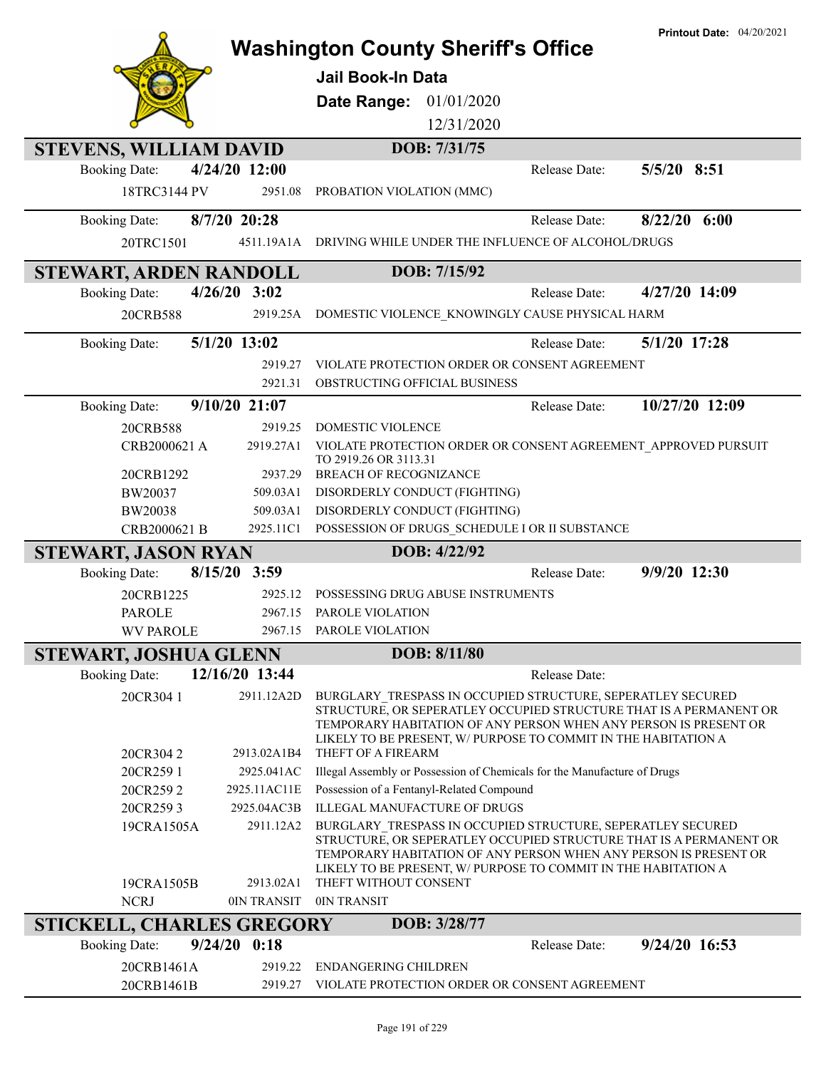|                                             |                          | <b>Printout Date: 04/20/2021</b><br><b>Washington County Sheriff's Office</b><br><b>Jail Book-In Data</b><br>Date Range:<br>01/01/2020                                                                                                                                                           |  |
|---------------------------------------------|--------------------------|--------------------------------------------------------------------------------------------------------------------------------------------------------------------------------------------------------------------------------------------------------------------------------------------------|--|
|                                             |                          | 12/31/2020                                                                                                                                                                                                                                                                                       |  |
|                                             |                          |                                                                                                                                                                                                                                                                                                  |  |
| <b>STEVENS, WILLIAM DAVID</b>               |                          | DOB: 7/31/75                                                                                                                                                                                                                                                                                     |  |
| <b>Booking Date:</b><br>18TRC3144 PV        | 4/24/20 12:00<br>2951.08 | 5/5/20 8:51<br>Release Date:<br>PROBATION VIOLATION (MMC)                                                                                                                                                                                                                                        |  |
| <b>Booking Date:</b>                        | 8/7/20 20:28             | $8/22/20$ 6:00<br>Release Date:                                                                                                                                                                                                                                                                  |  |
| 20TRC1501                                   | 4511.19A1A               | DRIVING WHILE UNDER THE INFLUENCE OF ALCOHOL/DRUGS                                                                                                                                                                                                                                               |  |
| STEWART, ARDEN RANDOLL                      |                          | DOB: 7/15/92                                                                                                                                                                                                                                                                                     |  |
| <b>Booking Date:</b>                        | $4/26/20$ 3:02           | 4/27/20 14:09<br>Release Date:                                                                                                                                                                                                                                                                   |  |
| 20CRB588                                    | 2919.25A                 | DOMESTIC VIOLENCE_KNOWINGLY CAUSE PHYSICAL HARM                                                                                                                                                                                                                                                  |  |
| <b>Booking Date:</b>                        | 5/1/20 13:02             | 5/1/20 17:28<br>Release Date:                                                                                                                                                                                                                                                                    |  |
|                                             | 2919.27                  | VIOLATE PROTECTION ORDER OR CONSENT AGREEMENT                                                                                                                                                                                                                                                    |  |
|                                             | 2921.31                  | OBSTRUCTING OFFICIAL BUSINESS                                                                                                                                                                                                                                                                    |  |
| <b>Booking Date:</b>                        | 9/10/20 21:07            | 10/27/20 12:09<br>Release Date:                                                                                                                                                                                                                                                                  |  |
| 20CRB588                                    | 2919.25                  | DOMESTIC VIOLENCE                                                                                                                                                                                                                                                                                |  |
| CRB2000621 A                                | 2919.27A1                | VIOLATE PROTECTION ORDER OR CONSENT AGREEMENT_APPROVED PURSUIT<br>TO 2919.26 OR 3113.31                                                                                                                                                                                                          |  |
| 20CRB1292                                   | 2937.29                  | <b>BREACH OF RECOGNIZANCE</b>                                                                                                                                                                                                                                                                    |  |
| BW20037                                     | 509.03A1                 | DISORDERLY CONDUCT (FIGHTING)                                                                                                                                                                                                                                                                    |  |
| BW20038<br>CRB2000621 B                     | 509.03A1<br>2925.11C1    | DISORDERLY CONDUCT (FIGHTING)<br>POSSESSION OF DRUGS_SCHEDULE I OR II SUBSTANCE                                                                                                                                                                                                                  |  |
|                                             |                          | DOB: 4/22/92                                                                                                                                                                                                                                                                                     |  |
| STEWART, JASON RYAN<br><b>Booking Date:</b> | 8/15/20 3:59             | 9/9/20 12:30<br>Release Date:                                                                                                                                                                                                                                                                    |  |
|                                             | 2925.12                  |                                                                                                                                                                                                                                                                                                  |  |
| 20CRB1225<br><b>PAROLE</b>                  | 2967.15                  | POSSESSING DRUG ABUSE INSTRUMENTS<br>PAROLE VIOLATION                                                                                                                                                                                                                                            |  |
| <b>WV PAROLE</b>                            |                          | 2967.15 PAROLE VIOLATION                                                                                                                                                                                                                                                                         |  |
| STEWART, JOSHUA GLENN                       |                          | DOB: 8/11/80                                                                                                                                                                                                                                                                                     |  |
| <b>Booking Date:</b>                        | 12/16/20 13:44           | Release Date:                                                                                                                                                                                                                                                                                    |  |
| 20CR304 1                                   | 2911.12A2D               | BURGLARY TRESPASS IN OCCUPIED STRUCTURE, SEPERATLEY SECURED                                                                                                                                                                                                                                      |  |
| 20CR3042                                    | 2913.02A1B4              | STRUCTURE, OR SEPERATLEY OCCUPIED STRUCTURE THAT IS A PERMANENT OR<br>TEMPORARY HABITATION OF ANY PERSON WHEN ANY PERSON IS PRESENT OR<br>LIKELY TO BE PRESENT, W/ PURPOSE TO COMMIT IN THE HABITATION A<br>THEFT OF A FIREARM                                                                   |  |
| 20CR259 1                                   | 2925.041AC               | Illegal Assembly or Possession of Chemicals for the Manufacture of Drugs                                                                                                                                                                                                                         |  |
| 20CR2592                                    | 2925.11AC11E             | Possession of a Fentanyl-Related Compound                                                                                                                                                                                                                                                        |  |
| 20CR2593                                    | 2925.04AC3B              | <b>ILLEGAL MANUFACTURE OF DRUGS</b>                                                                                                                                                                                                                                                              |  |
| 19CRA1505A<br>19CRA1505B                    | 2911.12A2<br>2913.02A1   | BURGLARY TRESPASS IN OCCUPIED STRUCTURE, SEPERATLEY SECURED<br>STRUCTURE, OR SEPERATLEY OCCUPIED STRUCTURE THAT IS A PERMANENT OR<br>TEMPORARY HABITATION OF ANY PERSON WHEN ANY PERSON IS PRESENT OR<br>LIKELY TO BE PRESENT, W/ PURPOSE TO COMMIT IN THE HABITATION A<br>THEFT WITHOUT CONSENT |  |
| <b>NCRJ</b>                                 | 0IN TRANSIT              | 0IN TRANSIT                                                                                                                                                                                                                                                                                      |  |
| <b>STICKELL, CHARLES GREGORY</b>            |                          | DOB: 3/28/77                                                                                                                                                                                                                                                                                     |  |
| <b>Booking Date:</b>                        | $9/24/20$ $0:18$         | 9/24/20 16:53<br>Release Date:                                                                                                                                                                                                                                                                   |  |
| 20CRB1461A                                  | 2919.22                  | <b>ENDANGERING CHILDREN</b>                                                                                                                                                                                                                                                                      |  |
| 20CRB1461B                                  | 2919.27                  | VIOLATE PROTECTION ORDER OR CONSENT AGREEMENT                                                                                                                                                                                                                                                    |  |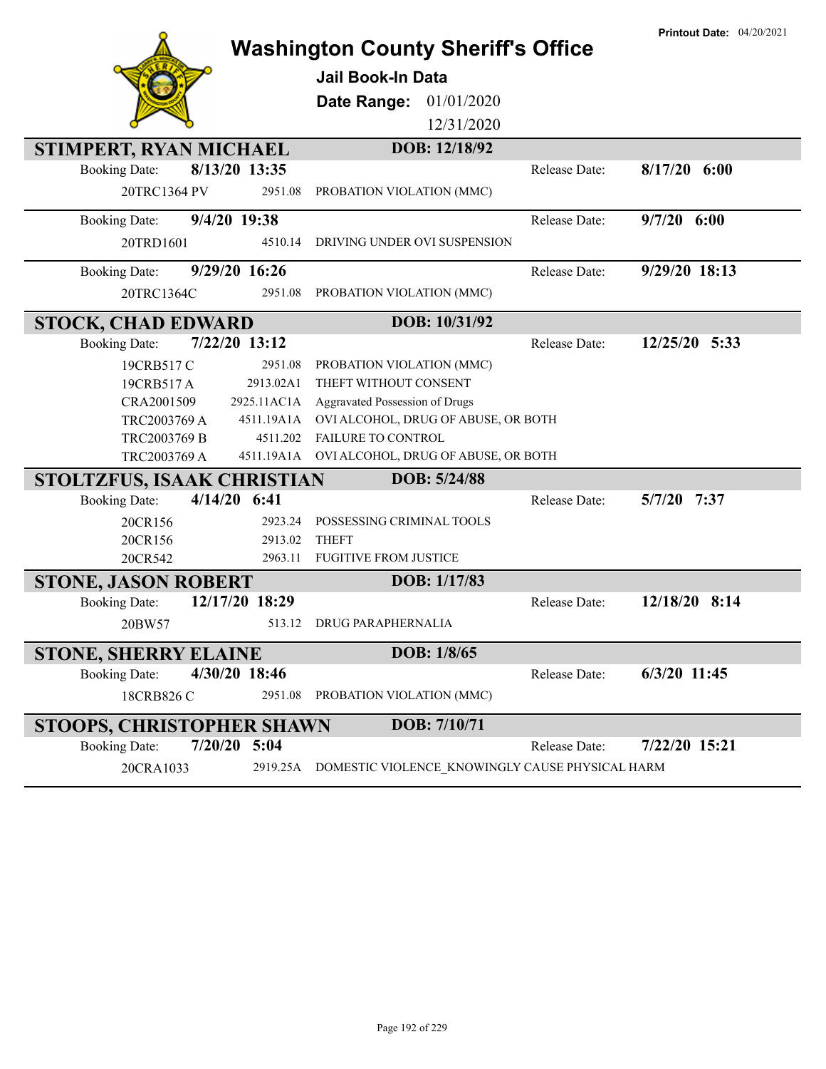|                                        | <b>Washington County Sheriff's Office</b>                |               | <b>Printout Date: 04/20/2021</b> |
|----------------------------------------|----------------------------------------------------------|---------------|----------------------------------|
|                                        | <b>Jail Book-In Data</b>                                 |               |                                  |
|                                        | 01/01/2020<br>Date Range:                                |               |                                  |
|                                        | 12/31/2020                                               |               |                                  |
| STIMPERT, RYAN MICHAEL                 | DOB: 12/18/92                                            |               |                                  |
| 8/13/20 13:35<br><b>Booking Date:</b>  |                                                          | Release Date: | $8/17/20$ 6:00                   |
| 20TRC1364 PV<br>2951.08                | PROBATION VIOLATION (MMC)                                |               |                                  |
| 9/4/20 19:38<br><b>Booking Date:</b>   |                                                          | Release Date: | $9/7/20$ 6:00                    |
| 4510.14<br>20TRD1601                   | DRIVING UNDER OVI SUSPENSION                             |               |                                  |
| 9/29/20 16:26<br><b>Booking Date:</b>  |                                                          | Release Date: | 9/29/20 18:13                    |
| 20TRC1364C<br>2951.08                  | PROBATION VIOLATION (MMC)                                |               |                                  |
| <b>STOCK, CHAD EDWARD</b>              | DOB: 10/31/92                                            |               |                                  |
| 7/22/20 13:12<br><b>Booking Date:</b>  |                                                          | Release Date: | 12/25/20 5:33                    |
| 19CRB517 C<br>2951.08                  | PROBATION VIOLATION (MMC)                                |               |                                  |
| 2913.02A1<br>19CRB517A                 | THEFT WITHOUT CONSENT                                    |               |                                  |
| CRA2001509<br>2925.11AC1A              | Aggravated Possession of Drugs                           |               |                                  |
| 4511.19A1A<br>TRC2003769 A             | OVI ALCOHOL, DRUG OF ABUSE, OR BOTH                      |               |                                  |
| TRC2003769 B<br>4511.202               | FAILURE TO CONTROL                                       |               |                                  |
| TRC2003769 A                           | 4511.19A1A OVI ALCOHOL, DRUG OF ABUSE, OR BOTH           |               |                                  |
| STOLTZFUS, ISAAK CHRISTIAN             | DOB: 5/24/88                                             |               |                                  |
| $4/14/20$ 6:41<br><b>Booking Date:</b> |                                                          | Release Date: | 5/7/20 7:37                      |
| 20CR156<br>2923.24                     | POSSESSING CRIMINAL TOOLS                                |               |                                  |
| 20CR156<br>2913.02                     | <b>THEFT</b>                                             |               |                                  |
| 20CR542<br>2963.11                     | <b>FUGITIVE FROM JUSTICE</b>                             |               |                                  |
| <b>STONE, JASON ROBERT</b>             | DOB: 1/17/83                                             |               |                                  |
| 12/17/20 18:29<br><b>Booking Date:</b> |                                                          | Release Date: | 12/18/20 8:14                    |
| 20BW57<br>513.12                       | <b>DRUG PARAPHERNALIA</b>                                |               |                                  |
| <b>STONE, SHERRY ELAINE</b>            | DOB: 1/8/65                                              |               |                                  |
| 4/30/20 18:46<br><b>Booking Date:</b>  |                                                          | Release Date: | 6/3/20 11:45                     |
| 2951.08<br>18CRB826 C                  | PROBATION VIOLATION (MMC)                                |               |                                  |
| <b>STOOPS, CHRISTOPHER SHAWN</b>       | DOB: 7/10/71                                             |               |                                  |
| $7/20/20$ 5:04<br><b>Booking Date:</b> |                                                          | Release Date: | 7/22/20 15:21                    |
| 20CRA1033                              | 2919.25A DOMESTIC VIOLENCE KNOWINGLY CAUSE PHYSICAL HARM |               |                                  |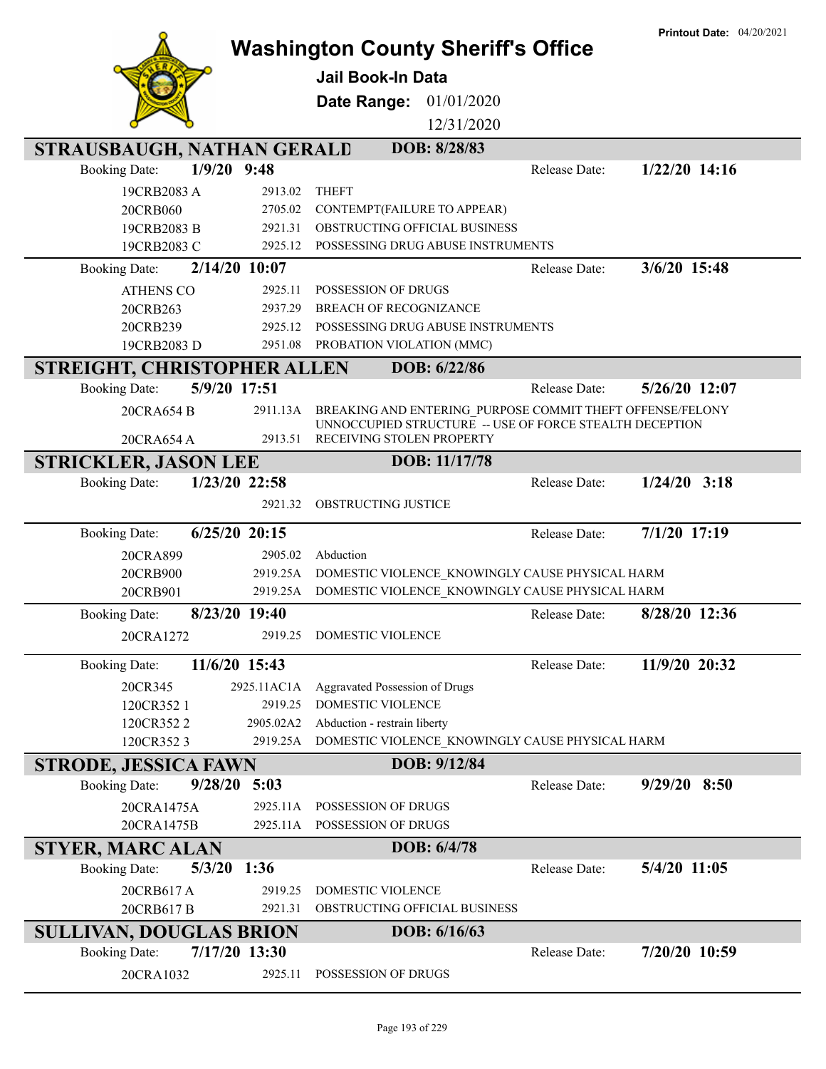|                                 |                    | <b>Washington County Sheriff's Office</b>                                            |               | <b>Printout Date: 04/20/2021</b> |
|---------------------------------|--------------------|--------------------------------------------------------------------------------------|---------------|----------------------------------|
|                                 |                    |                                                                                      |               |                                  |
|                                 |                    | <b>Jail Book-In Data</b>                                                             |               |                                  |
|                                 |                    | Date Range:<br>01/01/2020                                                            |               |                                  |
|                                 |                    | 12/31/2020                                                                           |               |                                  |
| STRAUSBAUGH, NATHAN GERALD      |                    | DOB: 8/28/83                                                                         |               |                                  |
| <b>Booking Date:</b>            | $1/9/20$ 9:48      |                                                                                      | Release Date: | $1/22/20$ 14:16                  |
| 19CRB2083 A                     | 2913.02            | <b>THEFT</b>                                                                         |               |                                  |
| 20CRB060<br>19CRB2083 B         | 2705.02<br>2921.31 | CONTEMPT(FAILURE TO APPEAR)<br>OBSTRUCTING OFFICIAL BUSINESS                         |               |                                  |
| 19CRB2083 C                     | 2925.12            | POSSESSING DRUG ABUSE INSTRUMENTS                                                    |               |                                  |
| <b>Booking Date:</b>            | 2/14/20 10:07      |                                                                                      | Release Date: | 3/6/20 15:48                     |
| <b>ATHENS CO</b>                | 2925.11            | POSSESSION OF DRUGS                                                                  |               |                                  |
| 20CRB263                        | 2937.29            | <b>BREACH OF RECOGNIZANCE</b>                                                        |               |                                  |
| 20CRB239                        | 2925.12            | POSSESSING DRUG ABUSE INSTRUMENTS                                                    |               |                                  |
| 19CRB2083 D                     | 2951.08            | PROBATION VIOLATION (MMC)                                                            |               |                                  |
| STREIGHT, CHRISTOPHER ALLEN     |                    | DOB: 6/22/86                                                                         |               |                                  |
| <b>Booking Date:</b>            | 5/9/20 17:51       |                                                                                      | Release Date: | 5/26/20 12:07                    |
| 20CRA654 B                      | 2911.13A           | BREAKING AND ENTERING PURPOSE COMMIT THEFT OFFENSE/FELONY                            |               |                                  |
| 20CRA654 A                      | 2913.51            | UNNOCCUPIED STRUCTURE -- USE OF FORCE STEALTH DECEPTION<br>RECEIVING STOLEN PROPERTY |               |                                  |
| <b>STRICKLER, JASON LEE</b>     |                    | DOB: 11/17/78                                                                        |               |                                  |
| <b>Booking Date:</b>            | 1/23/20 22:58      |                                                                                      | Release Date: | $1/24/20$ 3:18                   |
|                                 | 2921.32            | OBSTRUCTING JUSTICE                                                                  |               |                                  |
|                                 |                    |                                                                                      |               |                                  |
| <b>Booking Date:</b>            | $6/25/20$ 20:15    |                                                                                      | Release Date: | 7/1/20 17:19                     |
| 20CRA899                        | 2905.02            | Abduction                                                                            |               |                                  |
| 20CRB900                        | 2919.25A           | DOMESTIC VIOLENCE KNOWINGLY CAUSE PHYSICAL HARM                                      |               |                                  |
| 20CRB901                        | 2919.25A           | DOMESTIC VIOLENCE KNOWINGLY CAUSE PHYSICAL HARM                                      |               |                                  |
| <b>Booking Date:</b>            | 8/23/20 19:40      |                                                                                      | Release Date: | 8/28/20 12:36                    |
| 20CRA1272                       |                    | 2919.25 DOMESTIC VIOLENCE                                                            |               |                                  |
| <b>Booking Date:</b>            | 11/6/20 15:43      |                                                                                      | Release Date: | 11/9/20 20:32                    |
| 20CR345                         | 2925.11AC1A        | Aggravated Possession of Drugs                                                       |               |                                  |
| 120CR352 1                      | 2919.25            | DOMESTIC VIOLENCE                                                                    |               |                                  |
| 120CR3522                       | 2905.02A2          | Abduction - restrain liberty                                                         |               |                                  |
| 120CR3523                       | 2919.25A           | DOMESTIC VIOLENCE KNOWINGLY CAUSE PHYSICAL HARM                                      |               |                                  |
| STRODE, JESSICA FAWN            |                    | DOB: 9/12/84                                                                         |               |                                  |
| 9/28/20<br><b>Booking Date:</b> | 5:03               |                                                                                      | Release Date: | $9/29/20$ 8:50                   |
| 20CRA1475A                      | 2925.11A           | POSSESSION OF DRUGS                                                                  |               |                                  |
| 20CRA1475B                      | 2925.11A           | POSSESSION OF DRUGS                                                                  |               |                                  |
| <b>STYER, MARC ALAN</b>         |                    | DOB: 6/4/78                                                                          |               |                                  |
| 5/3/20<br><b>Booking Date:</b>  | 1:36               |                                                                                      | Release Date: | 5/4/20 11:05                     |
| 20CRB617A                       | 2919.25            | DOMESTIC VIOLENCE                                                                    |               |                                  |
| 20CRB617B                       | 2921.31            | OBSTRUCTING OFFICIAL BUSINESS                                                        |               |                                  |
| <b>SULLIVAN, DOUGLAS BRION</b>  |                    | DOB: 6/16/63                                                                         |               |                                  |
| <b>Booking Date:</b>            | 7/17/20 13:30      |                                                                                      | Release Date: | 7/20/20 10:59                    |
| 20CRA1032                       | 2925.11            | POSSESSION OF DRUGS                                                                  |               |                                  |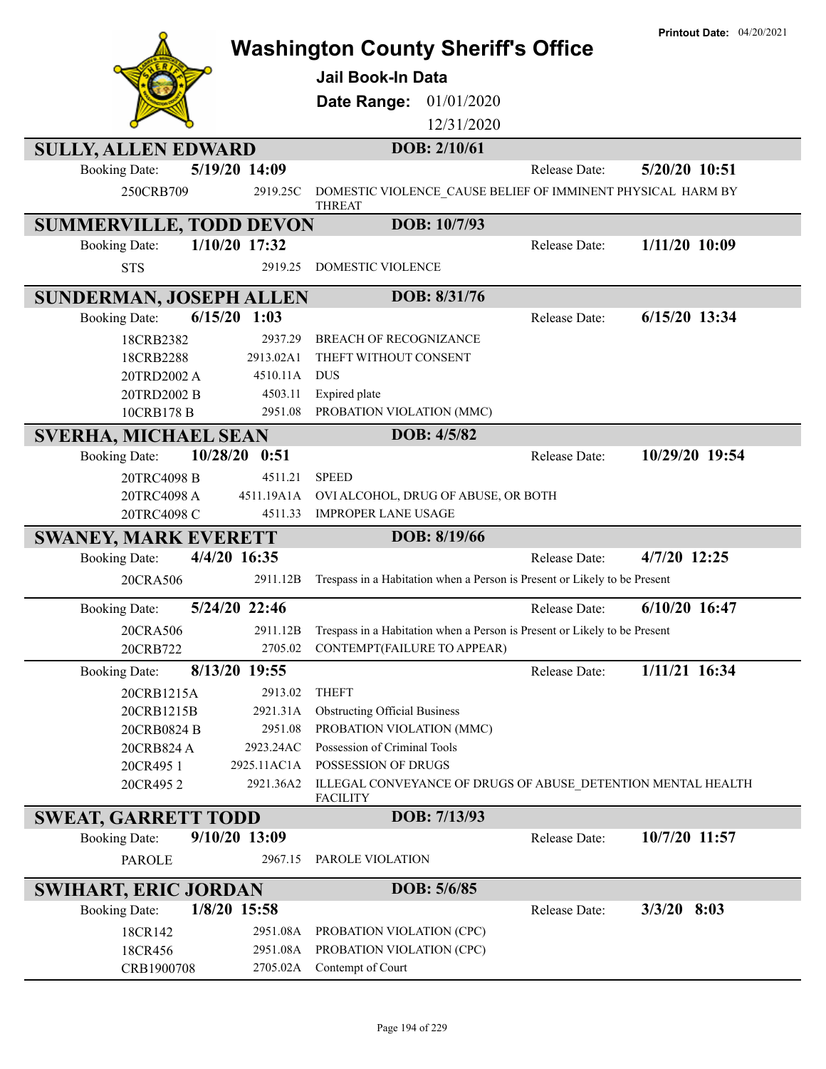|                                |                  | <b>Washington County Sheriff's Office</b>                                          |               | <b>Printout Date: 04/20/2021</b> |
|--------------------------------|------------------|------------------------------------------------------------------------------------|---------------|----------------------------------|
|                                |                  |                                                                                    |               |                                  |
|                                |                  | <b>Jail Book-In Data</b>                                                           |               |                                  |
|                                |                  | 01/01/2020<br>Date Range:                                                          |               |                                  |
|                                |                  | 12/31/2020                                                                         |               |                                  |
| <b>SULLY, ALLEN EDWARD</b>     |                  | DOB: 2/10/61                                                                       |               |                                  |
| <b>Booking Date:</b>           | 5/19/20 14:09    |                                                                                    | Release Date: | 5/20/20 10:51                    |
|                                |                  |                                                                                    |               |                                  |
| 250CRB709                      | 2919.25C         | DOMESTIC VIOLENCE CAUSE BELIEF OF IMMINENT PHYSICAL HARM BY<br><b>THREAT</b>       |               |                                  |
| <b>SUMMERVILLE, TODD DEVON</b> |                  | DOB: 10/7/93                                                                       |               |                                  |
| <b>Booking Date:</b>           | 1/10/20 17:32    |                                                                                    | Release Date: | $1/11/20$ 10:09                  |
| <b>STS</b>                     | 2919.25          | DOMESTIC VIOLENCE                                                                  |               |                                  |
|                                |                  |                                                                                    |               |                                  |
| <b>SUNDERMAN, JOSEPH ALLEN</b> |                  | DOB: 8/31/76                                                                       |               |                                  |
| <b>Booking Date:</b>           | $6/15/20$ 1:03   |                                                                                    | Release Date: | 6/15/20 13:34                    |
| 18CRB2382                      | 2937.29          | <b>BREACH OF RECOGNIZANCE</b>                                                      |               |                                  |
| 18CRB2288                      | 2913.02A1        | THEFT WITHOUT CONSENT                                                              |               |                                  |
| 20TRD2002 A                    | 4510.11A         | <b>DUS</b>                                                                         |               |                                  |
| 20TRD2002 B                    | 4503.11          | Expired plate                                                                      |               |                                  |
| 10CRB178 B                     | 2951.08          | PROBATION VIOLATION (MMC)                                                          |               |                                  |
| <b>SVERHA, MICHAEL SEAN</b>    |                  | DOB: 4/5/82                                                                        |               |                                  |
| <b>Booking Date:</b>           | 10/28/20<br>0:51 |                                                                                    | Release Date: | 10/29/20 19:54                   |
| 20TRC4098 B                    | 4511.21          | <b>SPEED</b>                                                                       |               |                                  |
| 20TRC4098 A                    | 4511.19A1A       | OVI ALCOHOL, DRUG OF ABUSE, OR BOTH                                                |               |                                  |
| 20TRC4098 C                    | 4511.33          | <b>IMPROPER LANE USAGE</b>                                                         |               |                                  |
| <b>SWANEY, MARK EVERETT</b>    |                  | DOB: 8/19/66                                                                       |               |                                  |
| <b>Booking Date:</b>           | 4/4/20 16:35     |                                                                                    | Release Date: | 4/7/20 12:25                     |
| 20CRA506                       | 2911.12B         | Trespass in a Habitation when a Person is Present or Likely to be Present          |               |                                  |
| <b>Booking Date:</b>           | 5/24/20 22:46    |                                                                                    | Release Date: | $6/10/20$ 16:47                  |
|                                |                  | 2911.12B Trespass in a Habitation when a Person is Present or Likely to be Present |               |                                  |
| 20CRA506<br>20CRB722           |                  | 2705.02 CONTEMPT(FAILURE TO APPEAR)                                                |               |                                  |
|                                |                  |                                                                                    |               |                                  |
| <b>Booking Date:</b>           | 8/13/20 19:55    |                                                                                    | Release Date: | 1/11/21 16:34                    |
| 20CRB1215A                     | 2913.02          | <b>THEFT</b>                                                                       |               |                                  |
| 20CRB1215B                     | 2921.31A         | <b>Obstructing Official Business</b>                                               |               |                                  |
| 20CRB0824 B                    | 2951.08          | PROBATION VIOLATION (MMC)                                                          |               |                                  |
| 20CRB824 A                     | 2923.24AC        | Possession of Criminal Tools                                                       |               |                                  |
| 20CR495 1                      | 2925.11AC1A      | POSSESSION OF DRUGS                                                                |               |                                  |
| 20CR4952                       | 2921.36A2        | ILLEGAL CONVEYANCE OF DRUGS OF ABUSE DETENTION MENTAL HEALTH<br><b>FACILITY</b>    |               |                                  |
| <b>SWEAT, GARRETT TODD</b>     |                  | DOB: 7/13/93                                                                       |               |                                  |
| <b>Booking Date:</b>           | 9/10/20 13:09    |                                                                                    | Release Date: | 10/7/20 11:57                    |
| <b>PAROLE</b>                  | 2967.15          | PAROLE VIOLATION                                                                   |               |                                  |
| <b>SWIHART, ERIC JORDAN</b>    |                  | DOB: 5/6/85                                                                        |               |                                  |
| <b>Booking Date:</b>           | 1/8/20 15:58     |                                                                                    | Release Date: | $3/3/20$ 8:03                    |
| 18CR142                        | 2951.08A         | PROBATION VIOLATION (CPC)                                                          |               |                                  |
| 18CR456                        | 2951.08A         | PROBATION VIOLATION (CPC)                                                          |               |                                  |
| CRB1900708                     | 2705.02A         | Contempt of Court                                                                  |               |                                  |
|                                |                  |                                                                                    |               |                                  |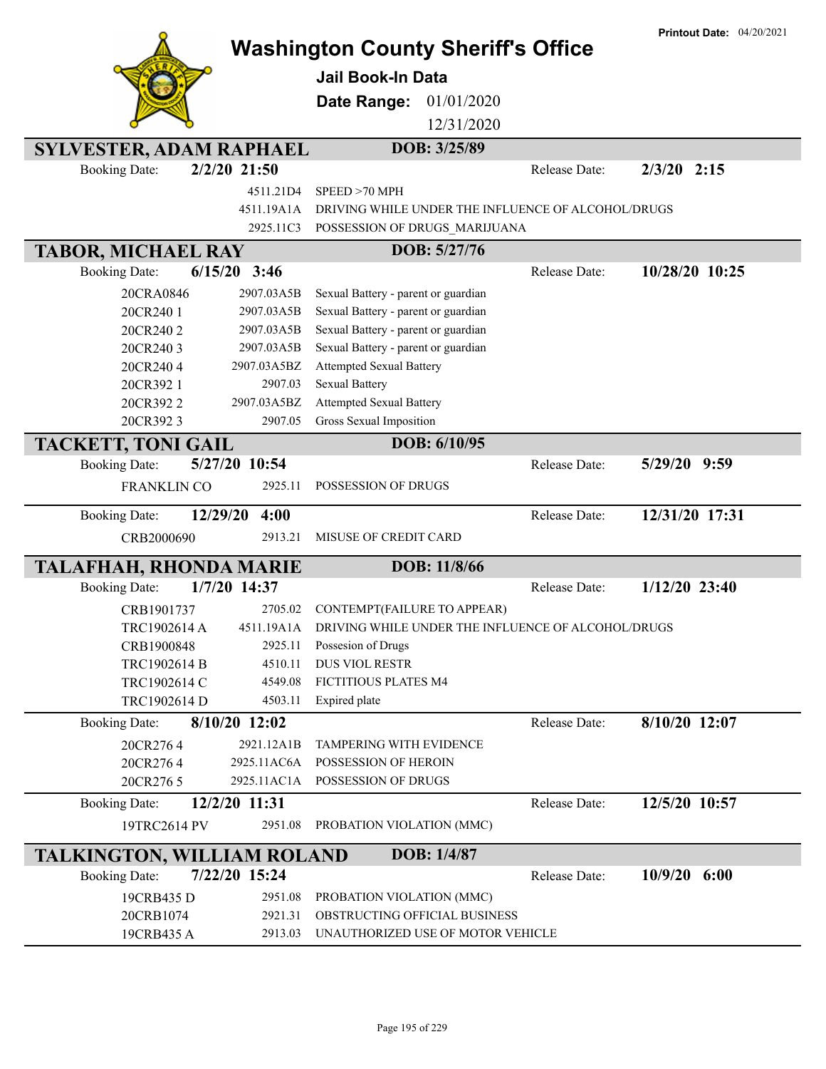|                                   |                  | <b>Washington County Sheriff's Office</b>          |               | <b>Printout Date: 04/20/2021</b> |
|-----------------------------------|------------------|----------------------------------------------------|---------------|----------------------------------|
|                                   |                  | <b>Jail Book-In Data</b>                           |               |                                  |
|                                   |                  | Date Range:<br>01/01/2020                          |               |                                  |
|                                   |                  | 12/31/2020                                         |               |                                  |
|                                   |                  |                                                    |               |                                  |
| <b>SYLVESTER, ADAM RAPHAEL</b>    |                  | DOB: 3/25/89                                       |               |                                  |
| <b>Booking Date:</b>              | $2/2/20$ 21:50   |                                                    | Release Date: | $2/3/20$ 2:15                    |
|                                   | 4511.21D4        | SPEED >70 MPH                                      |               |                                  |
|                                   | 4511.19A1A       | DRIVING WHILE UNDER THE INFLUENCE OF ALCOHOL/DRUGS |               |                                  |
|                                   | 2925.11C3        | POSSESSION OF DRUGS_MARIJUANA                      |               |                                  |
| <b>TABOR, MICHAEL RAY</b>         |                  | DOB: 5/27/76                                       |               |                                  |
| <b>Booking Date:</b>              | $6/15/20$ 3:46   |                                                    | Release Date: | 10/28/20 10:25                   |
| 20CRA0846                         | 2907.03A5B       | Sexual Battery - parent or guardian                |               |                                  |
| 20CR240 1                         | 2907.03A5B       | Sexual Battery - parent or guardian                |               |                                  |
| 20CR2402                          | 2907.03A5B       | Sexual Battery - parent or guardian                |               |                                  |
| 20CR2403                          | 2907.03A5B       | Sexual Battery - parent or guardian                |               |                                  |
| 20CR2404                          | 2907.03A5BZ      | <b>Attempted Sexual Battery</b>                    |               |                                  |
| 20CR392 1                         | 2907.03          | <b>Sexual Battery</b>                              |               |                                  |
| 20CR3922                          | 2907.03A5BZ      | <b>Attempted Sexual Battery</b>                    |               |                                  |
| 20CR3923                          | 2907.05          | Gross Sexual Imposition                            |               |                                  |
| <b>TACKETT, TONI GAIL</b>         |                  | DOB: 6/10/95                                       |               |                                  |
| <b>Booking Date:</b>              | 5/27/20 10:54    |                                                    | Release Date: | $5/29/20$ 9:59                   |
| <b>FRANKLIN CO</b>                | 2925.11          | POSSESSION OF DRUGS                                |               |                                  |
| <b>Booking Date:</b>              | 12/29/20<br>4:00 |                                                    | Release Date: | 12/31/20 17:31                   |
| CRB2000690                        | 2913.21          | MISUSE OF CREDIT CARD                              |               |                                  |
| <b>TALAFHAH, RHONDA MARIE</b>     |                  | DOB: 11/8/66                                       |               |                                  |
| <b>Booking Date:</b>              | 1/7/20 14:37     |                                                    | Release Date: | $1/12/20$ 23:40                  |
| CRB1901737                        | 2705.02          | CONTEMPT(FAILURE TO APPEAR)                        |               |                                  |
| TRC1902614 A                      | 4511.19A1A       | DRIVING WHILE UNDER THE INFLUENCE OF ALCOHOL/DRUGS |               |                                  |
| CRB1900848                        | 2925.11          | Possesion of Drugs                                 |               |                                  |
| TRC1902614 B                      | 4510.11          | DUS VIOL RESTR                                     |               |                                  |
| TRC1902614 C                      | 4549.08          | FICTITIOUS PLATES M4                               |               |                                  |
| TRC1902614 D                      | 4503.11          | Expired plate                                      |               |                                  |
| <b>Booking Date:</b>              | $8/10/20$ 12:02  |                                                    | Release Date: | 8/10/20 12:07                    |
| 20CR2764                          | 2921.12A1B       | <b>TAMPERING WITH EVIDENCE</b>                     |               |                                  |
| 20CR2764                          | 2925.11AC6A      | POSSESSION OF HEROIN                               |               |                                  |
| 20CR276 5                         | 2925.11AC1A      | POSSESSION OF DRUGS                                |               |                                  |
| <b>Booking Date:</b>              | 12/2/20 11:31    |                                                    | Release Date: | 12/5/20 10:57                    |
| 19TRC2614 PV                      | 2951.08          | PROBATION VIOLATION (MMC)                          |               |                                  |
| <b>TALKINGTON, WILLIAM ROLAND</b> |                  | DOB: 1/4/87                                        |               |                                  |
| <b>Booking Date:</b>              | 7/22/20 15:24    |                                                    | Release Date: | $10/9/20$ 6:00                   |
| 19CRB435 D                        | 2951.08          | PROBATION VIOLATION (MMC)                          |               |                                  |
| 20CRB1074                         | 2921.31          | OBSTRUCTING OFFICIAL BUSINESS                      |               |                                  |
| 19CRB435 A                        | 2913.03          | UNAUTHORIZED USE OF MOTOR VEHICLE                  |               |                                  |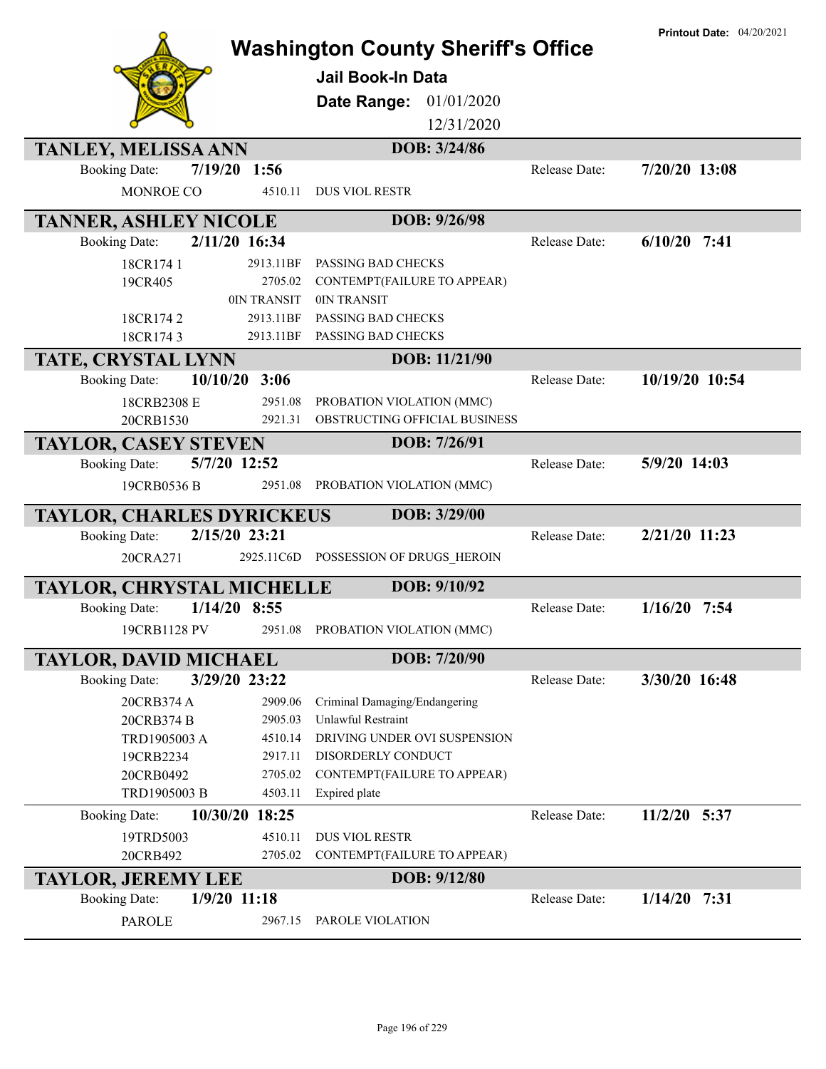|                                  |                | <b>Washington County Sheriff's Office</b><br><b>Jail Book-In Data</b> |               | <b>Printout Date: 04/20/2021</b> |
|----------------------------------|----------------|-----------------------------------------------------------------------|---------------|----------------------------------|
|                                  |                | Date Range:<br>01/01/2020                                             |               |                                  |
|                                  |                | 12/31/2020                                                            |               |                                  |
| <b>TANLEY, MELISSA ANN</b>       |                | DOB: 3/24/86                                                          |               |                                  |
| <b>Booking Date:</b>             | 7/19/20 1:56   |                                                                       | Release Date: | $7/20/20$ 13:08                  |
| MONROE CO                        | 4510.11        | <b>DUS VIOL RESTR</b>                                                 |               |                                  |
| <b>TANNER, ASHLEY NICOLE</b>     |                | DOB: 9/26/98                                                          |               |                                  |
| <b>Booking Date:</b>             | 2/11/20 16:34  |                                                                       | Release Date: | $6/10/20$ 7:41                   |
| 18CR174 1                        | 2913.11BF      | PASSING BAD CHECKS                                                    |               |                                  |
| 19CR405                          | 2705.02        | CONTEMPT(FAILURE TO APPEAR)                                           |               |                                  |
|                                  | 0IN TRANSIT    | 0IN TRANSIT                                                           |               |                                  |
| 18CR1742                         | 2913.11BF      | PASSING BAD CHECKS                                                    |               |                                  |
| 18CR1743                         | 2913.11BF      | PASSING BAD CHECKS                                                    |               |                                  |
| TATE, CRYSTAL LYNN               |                | DOB: 11/21/90                                                         |               |                                  |
| 10/10/20<br><b>Booking Date:</b> | 3:06           |                                                                       | Release Date: | 10/19/20 10:54                   |
| 18CRB2308 E                      | 2951.08        | PROBATION VIOLATION (MMC)                                             |               |                                  |
| 20CRB1530                        | 2921.31        | OBSTRUCTING OFFICIAL BUSINESS                                         |               |                                  |
| <b>TAYLOR, CASEY STEVEN</b>      |                | DOB: 7/26/91                                                          |               |                                  |
| <b>Booking Date:</b>             | 5/7/20 12:52   |                                                                       | Release Date: | 5/9/20 14:03                     |
| 19CRB0536 B                      | 2951.08        | PROBATION VIOLATION (MMC)                                             |               |                                  |
| <b>TAYLOR, CHARLES DYRICKEUS</b> |                | DOB: 3/29/00                                                          |               |                                  |
| <b>Booking Date:</b>             | 2/15/20 23:21  |                                                                       | Release Date: | 2/21/20 11:23                    |
| 20CRA271                         | 2925.11C6D     | POSSESSION OF DRUGS HEROIN                                            |               |                                  |
| <b>TAYLOR, CHRYSTAL MICHELLE</b> |                | DOB: 9/10/92                                                          |               |                                  |
| <b>Booking Date:</b>             | $1/14/20$ 8:55 |                                                                       | Release Date: | $1/16/20$ 7:54                   |
| 19CRB1128 PV                     |                | 2951.08 PROBATION VIOLATION (MMC)                                     |               |                                  |
|                                  |                | DOB: 7/20/90                                                          |               |                                  |
| <b>TAYLOR, DAVID MICHAEL</b>     |                |                                                                       |               | 3/30/20 16:48                    |
| <b>Booking Date:</b>             | 3/29/20 23:22  |                                                                       | Release Date: |                                  |
| 20CRB374 A                       | 2909.06        | Criminal Damaging/Endangering                                         |               |                                  |
| 20CRB374 B                       | 2905.03        | Unlawful Restraint                                                    |               |                                  |
| TRD1905003 A                     | 4510.14        | DRIVING UNDER OVI SUSPENSION                                          |               |                                  |
| 19CRB2234                        | 2917.11        | DISORDERLY CONDUCT                                                    |               |                                  |
| 20CRB0492                        | 2705.02        | CONTEMPT(FAILURE TO APPEAR)                                           |               |                                  |
| TRD1905003 B                     | 4503.11        | Expired plate                                                         |               |                                  |
| <b>Booking Date:</b>             | 10/30/20 18:25 |                                                                       | Release Date: | 11/2/20 5:37                     |
| 19TRD5003                        | 4510.11        | DUS VIOL RESTR                                                        |               |                                  |
| 20CRB492                         | 2705.02        | CONTEMPT(FAILURE TO APPEAR)                                           |               |                                  |
| <b>TAYLOR, JEREMY LEE</b>        |                | DOB: 9/12/80                                                          |               |                                  |
| <b>Booking Date:</b>             | $1/9/20$ 11:18 |                                                                       | Release Date: | $1/14/20$ 7:31                   |
| <b>PAROLE</b>                    | 2967.15        | PAROLE VIOLATION                                                      |               |                                  |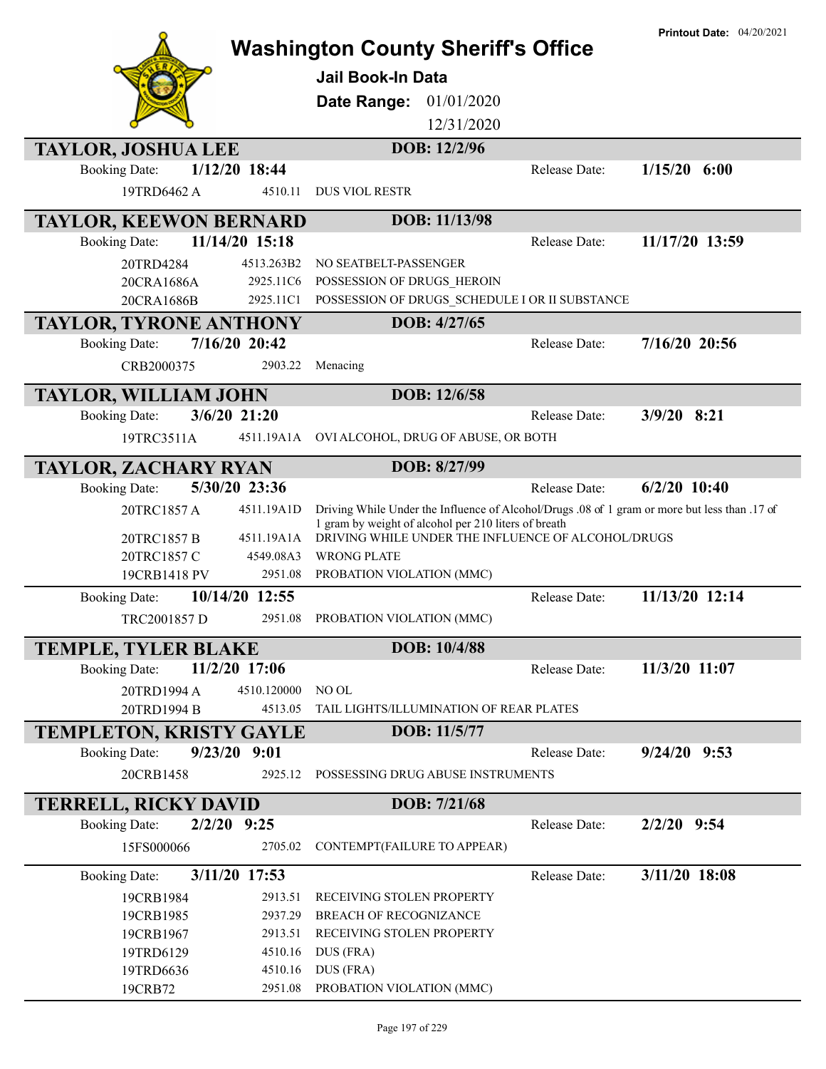|                                |                    | <b>Washington County Sheriff's Office</b>                                                                  |               | <b>Printout Date: 04/20/2021</b> |
|--------------------------------|--------------------|------------------------------------------------------------------------------------------------------------|---------------|----------------------------------|
|                                |                    | Jail Book-In Data                                                                                          |               |                                  |
|                                |                    | 01/01/2020<br>Date Range:                                                                                  |               |                                  |
|                                |                    | 12/31/2020                                                                                                 |               |                                  |
| <b>TAYLOR, JOSHUA LEE</b>      |                    | DOB: 12/2/96                                                                                               |               |                                  |
| <b>Booking Date:</b>           | 1/12/20 18:44      |                                                                                                            | Release Date: | $1/15/20$ 6:00                   |
| 19TRD6462 A                    | 4510.11            | <b>DUS VIOL RESTR</b>                                                                                      |               |                                  |
| <b>TAYLOR, KEEWON BERNARD</b>  |                    | DOB: 11/13/98                                                                                              |               |                                  |
| <b>Booking Date:</b>           | 11/14/20 15:18     |                                                                                                            | Release Date: | 11/17/20 13:59                   |
| 20TRD4284                      | 4513.263B2         | NO SEATBELT-PASSENGER                                                                                      |               |                                  |
| 20CRA1686A                     | 2925.11C6          | POSSESSION OF DRUGS HEROIN                                                                                 |               |                                  |
| 20CRA1686B                     | 2925.11C1          | POSSESSION OF DRUGS SCHEDULE I OR II SUBSTANCE                                                             |               |                                  |
| <b>TAYLOR, TYRONE ANTHONY</b>  |                    | DOB: 4/27/65                                                                                               |               |                                  |
| <b>Booking Date:</b>           | 7/16/20 20:42      |                                                                                                            | Release Date: | $7/16/20$ 20:56                  |
| CRB2000375                     | 2903.22            | Menacing                                                                                                   |               |                                  |
| <b>TAYLOR, WILLIAM JOHN</b>    |                    | DOB: 12/6/58                                                                                               |               |                                  |
| <b>Booking Date:</b>           | $3/6/20$ 21:20     |                                                                                                            | Release Date: | $3/9/20$ 8:21                    |
| 19TRC3511A                     | 4511.19A1A         | OVI ALCOHOL, DRUG OF ABUSE, OR BOTH                                                                        |               |                                  |
| <b>TAYLOR, ZACHARY RYAN</b>    |                    | DOB: 8/27/99                                                                                               |               |                                  |
| <b>Booking Date:</b>           | 5/30/20 23:36      |                                                                                                            | Release Date: | $6/2/20$ 10:40                   |
| 20TRC1857 A                    | 4511.19A1D         | Driving While Under the Influence of Alcohol/Drugs .08 of 1 gram or more but less than .17 of              |               |                                  |
|                                | 4511.19A1A         | 1 gram by weight of alcohol per 210 liters of breath<br>DRIVING WHILE UNDER THE INFLUENCE OF ALCOHOL/DRUGS |               |                                  |
| 20TRC1857 B<br>20TRC1857 C     | 4549.08A3          | <b>WRONG PLATE</b>                                                                                         |               |                                  |
| 19CRB1418 PV                   | 2951.08            | PROBATION VIOLATION (MMC)                                                                                  |               |                                  |
| <b>Booking Date:</b>           | 10/14/20 12:55     |                                                                                                            | Release Date: | 11/13/20 12:14                   |
| TRC2001857 D                   | 2951.08            | PROBATION VIOLATION (MMC)                                                                                  |               |                                  |
| <b>TEMPLE, TYLER BLAKE</b>     |                    | DOB: 10/4/88                                                                                               |               |                                  |
| <b>Booking Date:</b>           | 11/2/20 17:06      |                                                                                                            | Release Date: | 11/3/20 11:07                    |
| 20TRD1994 A                    | 4510.120000        | NO OL                                                                                                      |               |                                  |
| 20TRD1994 B                    | 4513.05            | TAIL LIGHTS/ILLUMINATION OF REAR PLATES                                                                    |               |                                  |
| <b>TEMPLETON, KRISTY GAYLE</b> |                    | DOB: 11/5/77                                                                                               |               |                                  |
| <b>Booking Date:</b>           | 9/23/20 9:01       |                                                                                                            | Release Date: | $9/24/20$ $9:53$                 |
| 20CRB1458                      | 2925.12            | POSSESSING DRUG ABUSE INSTRUMENTS                                                                          |               |                                  |
|                                |                    |                                                                                                            |               |                                  |
| <b>TERRELL, RICKY DAVID</b>    |                    | DOB: 7/21/68                                                                                               |               |                                  |
| <b>Booking Date:</b>           | $2/2/20$ 9:25      |                                                                                                            | Release Date: | $2/2/20$ 9:54                    |
| 15FS000066                     | 2705.02            | CONTEMPT(FAILURE TO APPEAR)                                                                                |               |                                  |
| <b>Booking Date:</b>           | 3/11/20 17:53      |                                                                                                            | Release Date: | 3/11/20 18:08                    |
| 19CRB1984                      | 2913.51            | RECEIVING STOLEN PROPERTY                                                                                  |               |                                  |
| 19CRB1985                      | 2937.29            | BREACH OF RECOGNIZANCE                                                                                     |               |                                  |
| 19CRB1967<br>19TRD6129         | 2913.51<br>4510.16 | RECEIVING STOLEN PROPERTY<br>DUS (FRA)                                                                     |               |                                  |
| 19TRD6636                      | 4510.16            | DUS (FRA)                                                                                                  |               |                                  |
| 19CRB72                        | 2951.08            | PROBATION VIOLATION (MMC)                                                                                  |               |                                  |
|                                |                    |                                                                                                            |               |                                  |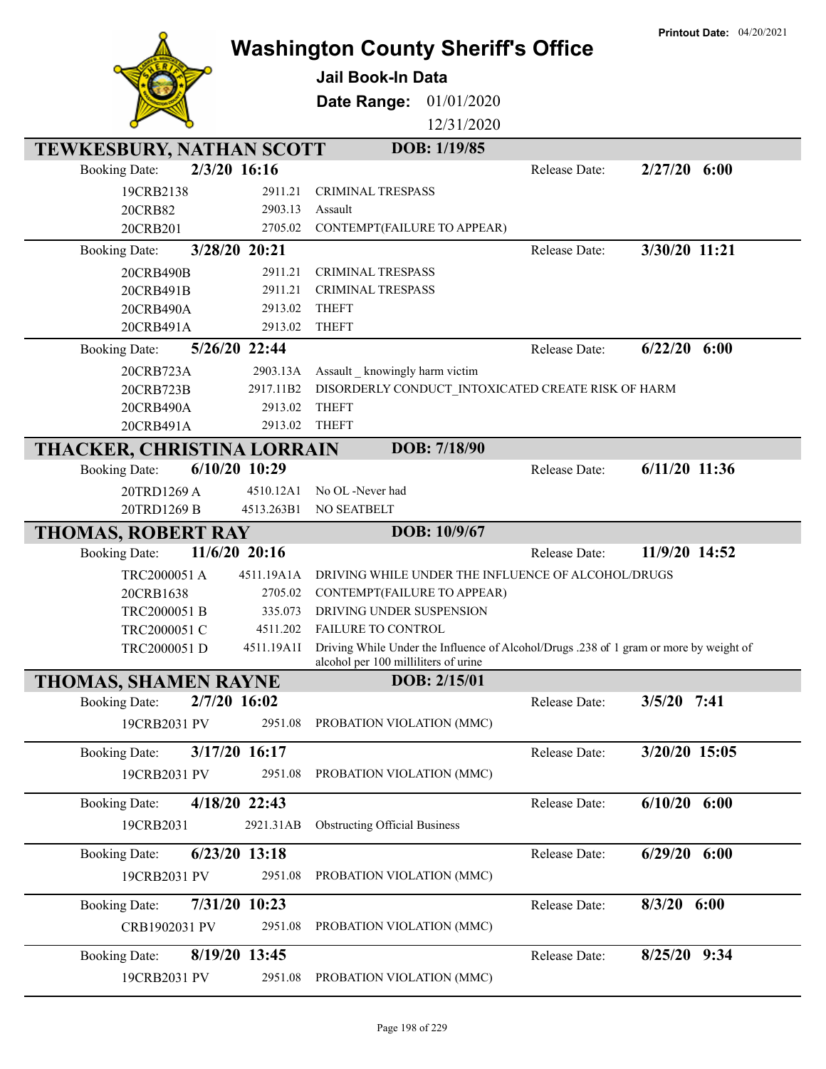|                                         |                                                              | <b>Washington County Sheriff's Office</b>                                              |                                   | <b>Printout Date: 04/20/2021</b> |
|-----------------------------------------|--------------------------------------------------------------|----------------------------------------------------------------------------------------|-----------------------------------|----------------------------------|
|                                         |                                                              |                                                                                        |                                   |                                  |
|                                         | <b>Jail Book-In Data</b>                                     |                                                                                        |                                   |                                  |
|                                         | Date Range:                                                  | 01/01/2020                                                                             |                                   |                                  |
|                                         |                                                              | 12/31/2020                                                                             |                                   |                                  |
| TEWKESBURY, NATHAN SCOTT                |                                                              | DOB: 1/19/85                                                                           |                                   |                                  |
| 2/3/20 16:16<br><b>Booking Date:</b>    |                                                              |                                                                                        | $2/27/20$ 6:00<br>Release Date:   |                                  |
| 19CRB2138                               | 2911.21<br>CRIMINAL TRESPASS                                 |                                                                                        |                                   |                                  |
| 20CRB82                                 | 2903.13<br>Assault                                           |                                                                                        |                                   |                                  |
| 20CRB201                                | 2705.02<br>CONTEMPT(FAILURE TO APPEAR)                       |                                                                                        | 3/30/20 11:21                     |                                  |
| 3/28/20 20:21<br><b>Booking Date:</b>   |                                                              |                                                                                        | Release Date:                     |                                  |
| 20CRB490B<br>20CRB491B                  | 2911.21<br>CRIMINAL TRESPASS<br>2911.21<br>CRIMINAL TRESPASS |                                                                                        |                                   |                                  |
| 20CRB490A                               | 2913.02<br><b>THEFT</b>                                      |                                                                                        |                                   |                                  |
| 20CRB491A                               | <b>THEFT</b><br>2913.02                                      |                                                                                        |                                   |                                  |
| 5/26/20 22:44<br><b>Booking Date:</b>   |                                                              |                                                                                        | $6/22/20$ $6:00$<br>Release Date: |                                  |
| 20CRB723A                               | 2903.13A<br>Assault _ knowingly harm victim                  |                                                                                        |                                   |                                  |
| 20CRB723B                               | 2917.11B2                                                    | DISORDERLY CONDUCT INTOXICATED CREATE RISK OF HARM                                     |                                   |                                  |
| 20CRB490A                               | <b>THEFT</b><br>2913.02                                      |                                                                                        |                                   |                                  |
| 20CRB491A                               | 2913.02<br><b>THEFT</b>                                      |                                                                                        |                                   |                                  |
| THACKER, CHRISTINA LORRAIN              |                                                              | DOB: 7/18/90                                                                           |                                   |                                  |
| $6/10/20$ 10:29<br><b>Booking Date:</b> |                                                              |                                                                                        | $6/11/20$ 11:36<br>Release Date:  |                                  |
| 20TRD1269 A                             | No OL -Never had<br>4510.12A1                                |                                                                                        |                                   |                                  |
| 20TRD1269 B                             | NO SEATBELT<br>4513.263B1                                    |                                                                                        |                                   |                                  |
| <b>THOMAS, ROBERT RAY</b>               |                                                              | DOB: 10/9/67                                                                           |                                   |                                  |
| $11/6/20$ 20:16<br><b>Booking Date:</b> |                                                              |                                                                                        | 11/9/20 14:52<br>Release Date:    |                                  |
| TRC2000051 A                            | 4511.19A1A                                                   | DRIVING WHILE UNDER THE INFLUENCE OF ALCOHOL/DRUGS                                     |                                   |                                  |
| 20CRB1638                               | 2705.02<br>CONTEMPT(FAILURE TO APPEAR)                       |                                                                                        |                                   |                                  |
| TRC2000051 B                            | 335.073<br>DRIVING UNDER SUSPENSION                          |                                                                                        |                                   |                                  |
| TRC2000051 C<br>TRC2000051 D            | 4511.202 FAILURE TO CONTROL<br>4511.19A1I                    | Driving While Under the Influence of Alcohol/Drugs .238 of 1 gram or more by weight of |                                   |                                  |
|                                         | alcohol per 100 milliliters of urine                         |                                                                                        |                                   |                                  |
| <b>THOMAS, SHAMEN RAYNE</b>             |                                                              | DOB: 2/15/01                                                                           |                                   |                                  |
| 2/7/20 16:02<br><b>Booking Date:</b>    |                                                              |                                                                                        | $3/5/20$ 7:41<br>Release Date:    |                                  |
| 19CRB2031 PV                            | 2951.08<br>PROBATION VIOLATION (MMC)                         |                                                                                        |                                   |                                  |
| 3/17/20 16:17<br><b>Booking Date:</b>   |                                                              |                                                                                        | 3/20/20 15:05<br>Release Date:    |                                  |
| 19CRB2031 PV                            | 2951.08<br>PROBATION VIOLATION (MMC)                         |                                                                                        |                                   |                                  |
|                                         |                                                              |                                                                                        |                                   |                                  |
| 4/18/20 22:43<br><b>Booking Date:</b>   |                                                              |                                                                                        | $6/10/20$ $6:00$<br>Release Date: |                                  |
| 19CRB2031                               | 2921.31AB<br><b>Obstructing Official Business</b>            |                                                                                        |                                   |                                  |
| 6/23/20 13:18<br><b>Booking Date:</b>   |                                                              |                                                                                        | $6/29/20$ $6:00$<br>Release Date: |                                  |
| 19CRB2031 PV                            | PROBATION VIOLATION (MMC)<br>2951.08                         |                                                                                        |                                   |                                  |
| <b>Booking Date:</b><br>7/31/20 10:23   |                                                              |                                                                                        | $8/3/20$ 6:00<br>Release Date:    |                                  |
| CRB1902031 PV                           | PROBATION VIOLATION (MMC)<br>2951.08                         |                                                                                        |                                   |                                  |
|                                         |                                                              |                                                                                        |                                   |                                  |
| 8/19/20 13:45<br><b>Booking Date:</b>   |                                                              |                                                                                        | 8/25/20 9:34<br>Release Date:     |                                  |
| 19CRB2031 PV                            | 2951.08<br>PROBATION VIOLATION (MMC)                         |                                                                                        |                                   |                                  |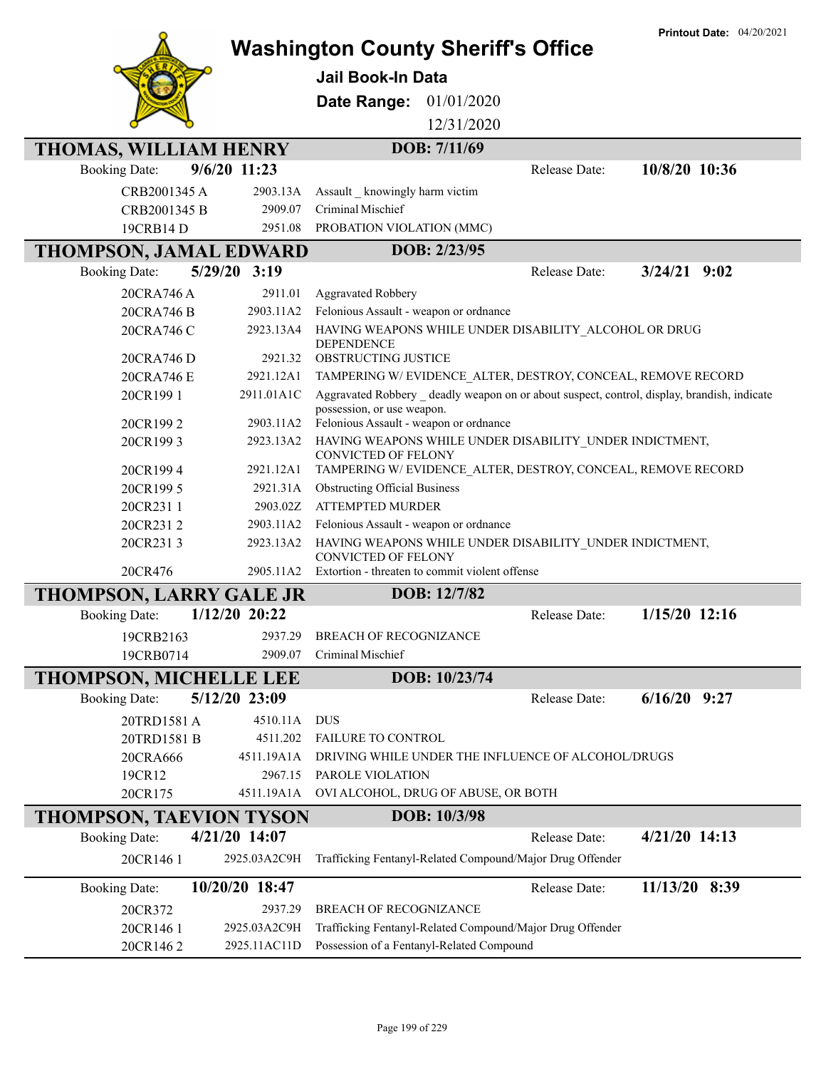|                                |                | <b>Washington County Sheriff's Office</b>                                                  | <b>Printout Date: 04/20/2021</b> |
|--------------------------------|----------------|--------------------------------------------------------------------------------------------|----------------------------------|
|                                |                |                                                                                            |                                  |
|                                |                | <b>Jail Book-In Data</b>                                                                   |                                  |
|                                |                | 01/01/2020<br>Date Range:                                                                  |                                  |
|                                |                | 12/31/2020                                                                                 |                                  |
| THOMAS, WILLIAM HENRY          |                | DOB: 7/11/69                                                                               |                                  |
| <b>Booking Date:</b>           | 9/6/20 11:23   | Release Date:                                                                              | 10/8/20 10:36                    |
| CRB2001345 A                   | 2903.13A       | Assault _ knowingly harm victim                                                            |                                  |
| CRB2001345 B                   | 2909.07        | Criminal Mischief                                                                          |                                  |
| 19CRB14 D                      | 2951.08        | PROBATION VIOLATION (MMC)                                                                  |                                  |
| <b>THOMPSON, JAMAL EDWARD</b>  |                | DOB: 2/23/95                                                                               |                                  |
| <b>Booking Date:</b>           | 5/29/20 3:19   | Release Date:                                                                              | $3/24/21$ 9:02                   |
| 20CRA746 A                     | 2911.01        | <b>Aggravated Robbery</b>                                                                  |                                  |
| 20CRA746 B                     | 2903.11A2      | Felonious Assault - weapon or ordnance                                                     |                                  |
| 20CRA746 C                     | 2923.13A4      | HAVING WEAPONS WHILE UNDER DISABILITY_ALCOHOL OR DRUG                                      |                                  |
| 20CRA746 D                     | 2921.32        | <b>DEPENDENCE</b><br><b>OBSTRUCTING JUSTICE</b>                                            |                                  |
| 20CRA746 E                     | 2921.12A1      | TAMPERING W/EVIDENCE_ALTER, DESTROY, CONCEAL, REMOVE RECORD                                |                                  |
| 20CR1991                       | 2911.01A1C     | Aggravated Robbery deadly weapon on or about suspect, control, display, brandish, indicate |                                  |
|                                |                | possession, or use weapon.                                                                 |                                  |
| 20CR1992                       | 2903.11A2      | Felonious Assault - weapon or ordnance                                                     |                                  |
| 20CR1993                       | 2923.13A2      | HAVING WEAPONS WHILE UNDER DISABILITY_UNDER INDICTMENT,<br><b>CONVICTED OF FELONY</b>      |                                  |
| 20CR1994                       | 2921.12A1      | TAMPERING W/EVIDENCE ALTER, DESTROY, CONCEAL, REMOVE RECORD                                |                                  |
| 20CR199 5                      | 2921.31A       | <b>Obstructing Official Business</b>                                                       |                                  |
| 20CR2311                       | 2903.02Z       | <b>ATTEMPTED MURDER</b>                                                                    |                                  |
| 20CR2312                       | 2903.11A2      | Felonious Assault - weapon or ordnance                                                     |                                  |
| 20CR2313                       | 2923.13A2      | HAVING WEAPONS WHILE UNDER DISABILITY_UNDER INDICTMENT,<br><b>CONVICTED OF FELONY</b>      |                                  |
| 20CR476                        | 2905.11A2      | Extortion - threaten to commit violent offense                                             |                                  |
| <b>THOMPSON, LARRY GALE JR</b> |                | DOB: 12/7/82                                                                               |                                  |
| <b>Booking Date:</b>           | 1/12/20 20:22  | Release Date:                                                                              | 1/15/20 12:16                    |
| 19CRB2163                      |                | 2937.29 BREACH OF RECOGNIZANCE                                                             |                                  |
| 19CRB0714                      | 2909.07        | Criminal Mischief                                                                          |                                  |
| <b>THOMPSON, MICHELLE LEE</b>  |                | DOB: 10/23/74                                                                              |                                  |
| <b>Booking Date:</b>           | 5/12/20 23:09  | Release Date:                                                                              | $6/16/20$ 9:27                   |
| 20TRD1581 A                    | 4510.11A       | <b>DUS</b>                                                                                 |                                  |
| 20TRD1581 B                    | 4511.202       | FAILURE TO CONTROL                                                                         |                                  |
| 20CRA666                       | 4511.19A1A     | DRIVING WHILE UNDER THE INFLUENCE OF ALCOHOL/DRUGS                                         |                                  |
| 19CR12                         | 2967.15        | PAROLE VIOLATION                                                                           |                                  |
| 20CR175                        | 4511.19A1A     | OVI ALCOHOL, DRUG OF ABUSE, OR BOTH                                                        |                                  |
| <b>THOMPSON, TAEVION TYSON</b> |                | DOB: 10/3/98                                                                               |                                  |
| <b>Booking Date:</b>           | 4/21/20 14:07  | Release Date:                                                                              | 4/21/20 14:13                    |
| 20CR146 1                      | 2925.03A2C9H   | Trafficking Fentanyl-Related Compound/Major Drug Offender                                  |                                  |
| <b>Booking Date:</b>           | 10/20/20 18:47 | Release Date:                                                                              | 11/13/20 8:39                    |
| 20CR372                        | 2937.29        | <b>BREACH OF RECOGNIZANCE</b>                                                              |                                  |
| 20CR146 1                      | 2925.03A2C9H   | Trafficking Fentanyl-Related Compound/Major Drug Offender                                  |                                  |
| 20CR1462                       | 2925.11AC11D   | Possession of a Fentanyl-Related Compound                                                  |                                  |
|                                |                |                                                                                            |                                  |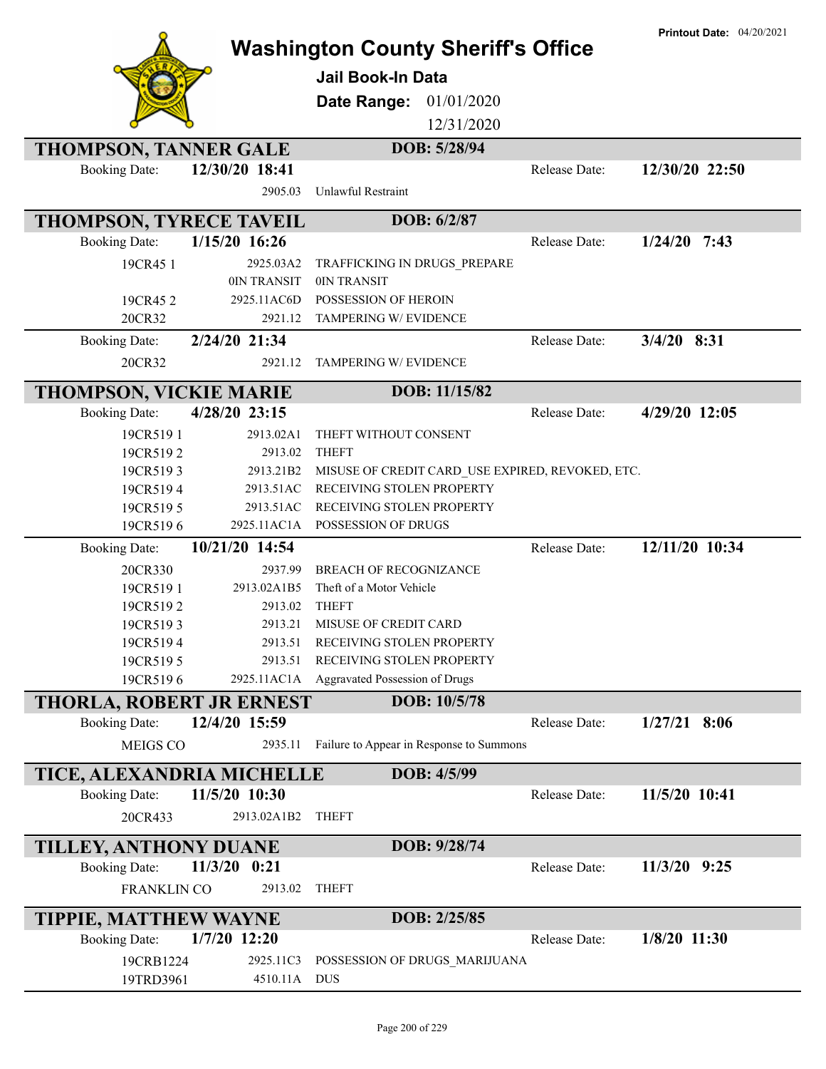|                                                  |                    | <b>Washington County Sheriff's Office</b><br>Jail Book-In Data |               | <b>Printout Date: 04/20/2021</b> |
|--------------------------------------------------|--------------------|----------------------------------------------------------------|---------------|----------------------------------|
|                                                  |                    | Date Range:<br>01/01/2020                                      |               |                                  |
|                                                  |                    | 12/31/2020                                                     |               |                                  |
| <b>THOMPSON, TANNER GALE</b>                     |                    | DOB: 5/28/94                                                   |               |                                  |
| <b>Booking Date:</b>                             | 12/30/20 18:41     |                                                                | Release Date: | 12/30/20 22:50                   |
|                                                  | 2905.03            | <b>Unlawful Restraint</b>                                      |               |                                  |
| THOMPSON, TYRECE TAVEIL                          |                    | DOB: 6/2/87                                                    |               |                                  |
| <b>Booking Date:</b>                             | 1/15/20 16:26      |                                                                | Release Date: | $1/24/20$ 7:43                   |
| 19CR45 1                                         | 2925.03A2          | TRAFFICKING IN DRUGS_PREPARE                                   |               |                                  |
|                                                  | 0IN TRANSIT        | 0IN TRANSIT                                                    |               |                                  |
| 19CR452                                          | 2925.11AC6D        | POSSESSION OF HEROIN                                           |               |                                  |
| 20CR32                                           | 2921.12            | TAMPERING W/ EVIDENCE                                          |               |                                  |
| <b>Booking Date:</b>                             | 2/24/20 21:34      |                                                                | Release Date: | $3/4/20$ 8:31                    |
| 20CR32                                           | 2921.12            | TAMPERING W/ EVIDENCE                                          |               |                                  |
| THOMPSON, VICKIE MARIE                           |                    | DOB: 11/15/82                                                  |               |                                  |
| <b>Booking Date:</b>                             | 4/28/20 23:15      |                                                                | Release Date: | 4/29/20 12:05                    |
| 19CR5191                                         | 2913.02A1          | THEFT WITHOUT CONSENT                                          |               |                                  |
| 19CR5192                                         | 2913.02            | <b>THEFT</b>                                                   |               |                                  |
| 19CR5193                                         | 2913.21B2          | MISUSE OF CREDIT CARD USE EXPIRED, REVOKED, ETC.               |               |                                  |
| 19CR5194                                         | 2913.51AC          | RECEIVING STOLEN PROPERTY                                      |               |                                  |
| 19CR5195                                         | 2913.51AC          | RECEIVING STOLEN PROPERTY                                      |               |                                  |
| 19CR5196                                         | 2925.11AC1A        | POSSESSION OF DRUGS                                            |               |                                  |
| <b>Booking Date:</b>                             | 10/21/20 14:54     |                                                                | Release Date: | 12/11/20 10:34                   |
| 20CR330                                          | 2937.99            | <b>BREACH OF RECOGNIZANCE</b>                                  |               |                                  |
| 19CR5191                                         | 2913.02A1B5        | Theft of a Motor Vehicle                                       |               |                                  |
| 19CR5192                                         | 2913.02            | <b>THEFT</b>                                                   |               |                                  |
| 19CR5193                                         | 2913.21            | MISUSE OF CREDIT CARD                                          |               |                                  |
| 19CR5194<br>19CR5195                             | 2913.51<br>2913.51 | RECEIVING STOLEN PROPERTY<br>RECEIVING STOLEN PROPERTY         |               |                                  |
| 19CR5196                                         | 2925.11AC1A        | Aggravated Possession of Drugs                                 |               |                                  |
|                                                  |                    | DOB: 10/5/78                                                   |               |                                  |
| THORLA, ROBERT JR ERNEST<br><b>Booking Date:</b> | 12/4/20 15:59      |                                                                | Release Date: | $1/27/21$ 8:06                   |
| MEIGS CO                                         |                    | Failure to Appear in Response to Summons                       |               |                                  |
|                                                  | 2935.11            |                                                                |               |                                  |
| TICE, ALEXANDRIA MICHELLE                        |                    | DOB: 4/5/99                                                    |               |                                  |
| <b>Booking Date:</b>                             | 11/5/20 10:30      |                                                                | Release Date: | 11/5/20 10:41                    |
| 20CR433                                          | 2913.02A1B2        | <b>THEFT</b>                                                   |               |                                  |
| TILLEY, ANTHONY DUANE                            |                    | DOB: 9/28/74                                                   |               |                                  |
| <b>Booking Date:</b>                             | $11/3/20$ 0:21     |                                                                | Release Date: | 11/3/20 9:25                     |
| FRANKLIN CO                                      | 2913.02            | <b>THEFT</b>                                                   |               |                                  |
| <b>TIPPIE, MATTHEW WAYNE</b>                     |                    | DOB: 2/25/85                                                   |               |                                  |
| <b>Booking Date:</b>                             | $1/7/20$ 12:20     |                                                                | Release Date: | $1/8/20$ 11:30                   |
| 19CRB1224                                        | 2925.11C3          | POSSESSION OF DRUGS_MARIJUANA                                  |               |                                  |
| 19TRD3961                                        | 4510.11A           | DUS                                                            |               |                                  |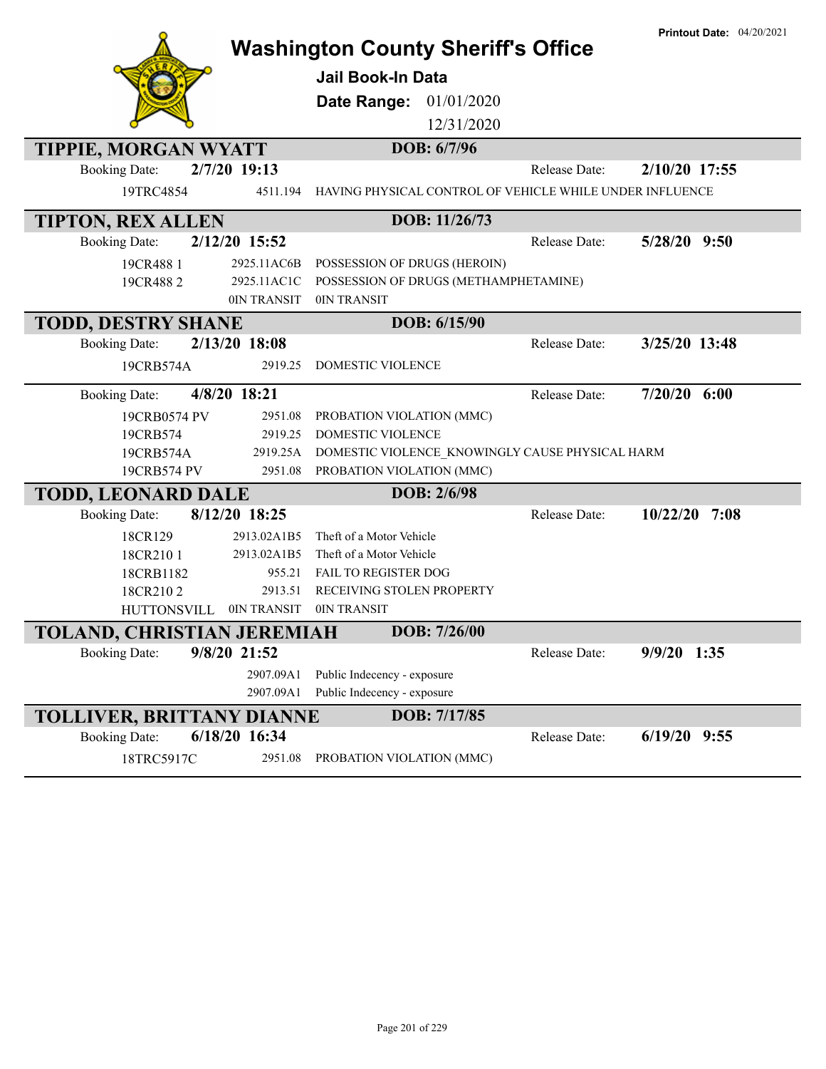|                                                    |                        | <b>Washington County Sheriff's Office</b>                |               | <b>Printout Date: 04/20/2021</b> |
|----------------------------------------------------|------------------------|----------------------------------------------------------|---------------|----------------------------------|
|                                                    |                        | <b>Jail Book-In Data</b>                                 |               |                                  |
|                                                    |                        | Date Range: 01/01/2020                                   |               |                                  |
|                                                    |                        | 12/31/2020                                               |               |                                  |
|                                                    |                        | DOB: 6/7/96                                              |               |                                  |
| TIPPIE, MORGAN WYATT<br><b>Booking Date:</b>       | 2/7/20 19:13           |                                                          | Release Date: | 2/10/20 17:55                    |
| 19TRC4854                                          | 4511.194               | HAVING PHYSICAL CONTROL OF VEHICLE WHILE UNDER INFLUENCE |               |                                  |
|                                                    |                        |                                                          |               |                                  |
| <b>TIPTON, REX ALLEN</b>                           |                        | DOB: 11/26/73                                            |               |                                  |
| <b>Booking Date:</b>                               | 2/12/20 15:52          |                                                          | Release Date: | 5/28/20 9:50                     |
| 19CR488 1                                          | 2925.11AC6B            | POSSESSION OF DRUGS (HEROIN)                             |               |                                  |
| 19CR4882                                           | 2925.11AC1C            | POSSESSION OF DRUGS (METHAMPHETAMINE)<br>0IN TRANSIT     |               |                                  |
|                                                    | 0IN TRANSIT            | DOB: 6/15/90                                             |               |                                  |
| <b>TODD, DESTRY SHANE</b>                          | 2/13/20 18:08          |                                                          | Release Date: | 3/25/20 13:48                    |
| <b>Booking Date:</b>                               |                        |                                                          |               |                                  |
| 19CRB574A                                          | 2919.25                | <b>DOMESTIC VIOLENCE</b>                                 |               |                                  |
| <b>Booking Date:</b>                               | 4/8/20 18:21           |                                                          | Release Date: | $7/20/20$ 6:00                   |
| 19CRB0574 PV                                       | 2951.08                | PROBATION VIOLATION (MMC)                                |               |                                  |
| 19CRB574                                           | 2919.25                | DOMESTIC VIOLENCE                                        |               |                                  |
| 19CRB574A                                          | 2919.25A               | DOMESTIC VIOLENCE_KNOWINGLY CAUSE PHYSICAL HARM          |               |                                  |
| 19CRB574 PV                                        | 2951.08                | PROBATION VIOLATION (MMC)                                |               |                                  |
| <b>TODD, LEONARD DALE</b>                          |                        | DOB: 2/6/98                                              |               |                                  |
| <b>Booking Date:</b>                               | 8/12/20 18:25          |                                                          | Release Date: | 10/22/20<br>7:08                 |
| 18CR129                                            | 2913.02A1B5            | Theft of a Motor Vehicle                                 |               |                                  |
| 18CR210 1                                          | 2913.02A1B5            | Theft of a Motor Vehicle                                 |               |                                  |
| 18CRB1182                                          | 955.21                 | FAIL TO REGISTER DOG<br>RECEIVING STOLEN PROPERTY        |               |                                  |
| 18CR2102<br><b>HUTTONSVILL</b>                     | 2913.51<br>0IN TRANSIT | 0IN TRANSIT                                              |               |                                  |
|                                                    |                        | DOB: 7/26/00                                             |               |                                  |
| TOLAND, CHRISTIAN JEREMIAH<br><b>Booking Date:</b> | 9/8/20 21:52           |                                                          | Release Date: | 9/9/20 1:35                      |
|                                                    | 2907.09A1              | Public Indecency - exposure                              |               |                                  |
|                                                    | 2907.09A1              | Public Indecency - exposure                              |               |                                  |
| <b>TOLLIVER, BRITTANY DIANNE</b>                   |                        | DOB: 7/17/85                                             |               |                                  |
| <b>Booking Date:</b>                               | 6/18/20 16:34          |                                                          | Release Date: | $6/19/20$ 9:55                   |
| 18TRC5917C                                         | 2951.08                | PROBATION VIOLATION (MMC)                                |               |                                  |
|                                                    |                        |                                                          |               |                                  |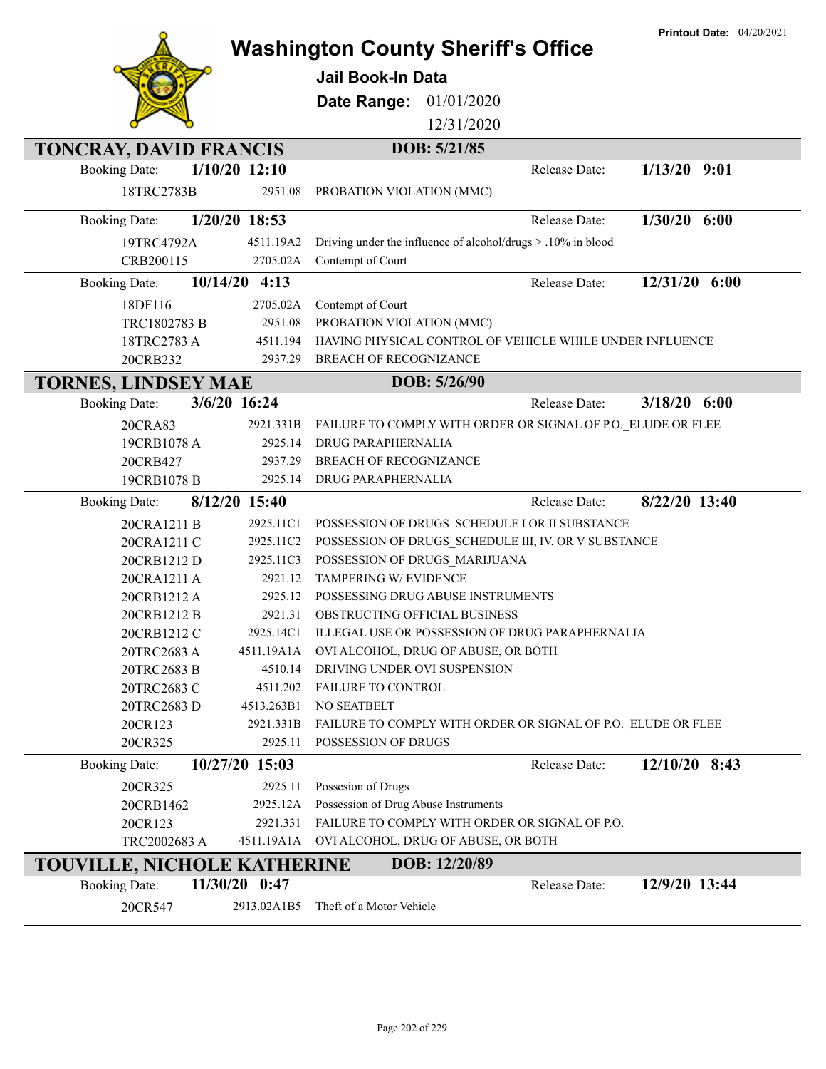|                                    |                 |                                                              | <b>Printout Date: 04/20/2021</b> |
|------------------------------------|-----------------|--------------------------------------------------------------|----------------------------------|
|                                    |                 | <b>Washington County Sheriff's Office</b>                    |                                  |
|                                    |                 | <b>Jail Book-In Data</b>                                     |                                  |
|                                    |                 | 01/01/2020<br>Date Range:                                    |                                  |
|                                    |                 | 12/31/2020                                                   |                                  |
|                                    |                 | DOB: 5/21/85                                                 |                                  |
| <b>TONCRAY, DAVID FRANCIS</b>      | $1/10/20$ 12:10 |                                                              |                                  |
| <b>Booking Date:</b>               |                 | Release Date:                                                | $1/13/20$ 9:01                   |
| 18TRC2783B                         | 2951.08         | PROBATION VIOLATION (MMC)                                    |                                  |
| <b>Booking Date:</b>               | 1/20/20 18:53   | Release Date:                                                | $1/30/20$ 6:00                   |
| 19TRC4792A                         | 4511.19A2       | Driving under the influence of alcohol/drugs > .10% in blood |                                  |
| CRB200115                          | 2705.02A        | Contempt of Court                                            |                                  |
| <b>Booking Date:</b>               | $10/14/20$ 4:13 | Release Date:                                                | 12/31/20 6:00                    |
| 18DF116                            | 2705.02A        | Contempt of Court                                            |                                  |
| TRC1802783 B                       | 2951.08         | PROBATION VIOLATION (MMC)                                    |                                  |
| 18TRC2783 A                        | 4511.194        | HAVING PHYSICAL CONTROL OF VEHICLE WHILE UNDER INFLUENCE     |                                  |
| 20CRB232                           | 2937.29         | <b>BREACH OF RECOGNIZANCE</b>                                |                                  |
| <b>TORNES, LINDSEY MAE</b>         |                 | DOB: 5/26/90                                                 |                                  |
| <b>Booking Date:</b>               | 3/6/20 16:24    | Release Date:                                                | $3/18/20$ 6:00                   |
| 20CRA83                            | 2921.331B       | FAILURE TO COMPLY WITH ORDER OR SIGNAL OF P.O. ELUDE OR FLEE |                                  |
| 19CRB1078 A                        | 2925.14         | DRUG PARAPHERNALIA                                           |                                  |
| 20CRB427                           | 2937.29         | <b>BREACH OF RECOGNIZANCE</b>                                |                                  |
| 19CRB1078 B                        | 2925.14         | DRUG PARAPHERNALIA                                           |                                  |
| <b>Booking Date:</b>               | 8/12/20 15:40   | Release Date:                                                | 8/22/20 13:40                    |
| 20CRA1211 B                        | 2925.11C1       | POSSESSION OF DRUGS_SCHEDULE I OR II SUBSTANCE               |                                  |
| 20CRA1211 C                        | 2925.11C2       | POSSESSION OF DRUGS SCHEDULE III, IV, OR V SUBSTANCE         |                                  |
| 20CRB1212 D                        | 2925.11C3       | POSSESSION OF DRUGS MARIJUANA                                |                                  |
| 20CRA1211 A                        | 2921.12         | TAMPERING W/ EVIDENCE                                        |                                  |
| 20CRB1212 A                        | 2925.12         | POSSESSING DRUG ABUSE INSTRUMENTS                            |                                  |
| 20CRB1212 B                        | 2921.31         | OBSTRUCTING OFFICIAL BUSINESS                                |                                  |
| 20CRB1212 C                        |                 | 2925.14C1 ILLEGAL USE OR POSSESSION OF DRUG PARAPHERNALIA    |                                  |
| 20TRC2683 A                        | 4511.19A1A      | OVI ALCOHOL, DRUG OF ABUSE, OR BOTH                          |                                  |
| 20TRC2683 B                        | 4510.14         | DRIVING UNDER OVI SUSPENSION                                 |                                  |
| 20TRC2683 C                        | 4511.202        | <b>FAILURE TO CONTROL</b>                                    |                                  |
| 20TRC2683 D                        | 4513.263B1      | NO SEATBELT                                                  |                                  |
| 20CR123                            | 2921.331B       | FAILURE TO COMPLY WITH ORDER OR SIGNAL OF P.O. ELUDE OR FLEE |                                  |
| 20CR325                            | 2925.11         | POSSESSION OF DRUGS                                          |                                  |
| <b>Booking Date:</b>               | 10/27/20 15:03  | Release Date:                                                | 12/10/20 8:43                    |
| 20CR325                            | 2925.11         | Possesion of Drugs                                           |                                  |
| 20CRB1462                          | 2925.12A        | Possession of Drug Abuse Instruments                         |                                  |
| 20CR123                            | 2921.331        | FAILURE TO COMPLY WITH ORDER OR SIGNAL OF P.O.               |                                  |
| TRC2002683 A                       |                 | 4511.19A1A OVI ALCOHOL, DRUG OF ABUSE, OR BOTH               |                                  |
| <b>TOUVILLE, NICHOLE KATHERINE</b> |                 | DOB: 12/20/89                                                |                                  |
| <b>Booking Date:</b>               | 11/30/20 0:47   | Release Date:                                                | 12/9/20 13:44                    |
| 20CR547                            | 2913.02A1B5     | Theft of a Motor Vehicle                                     |                                  |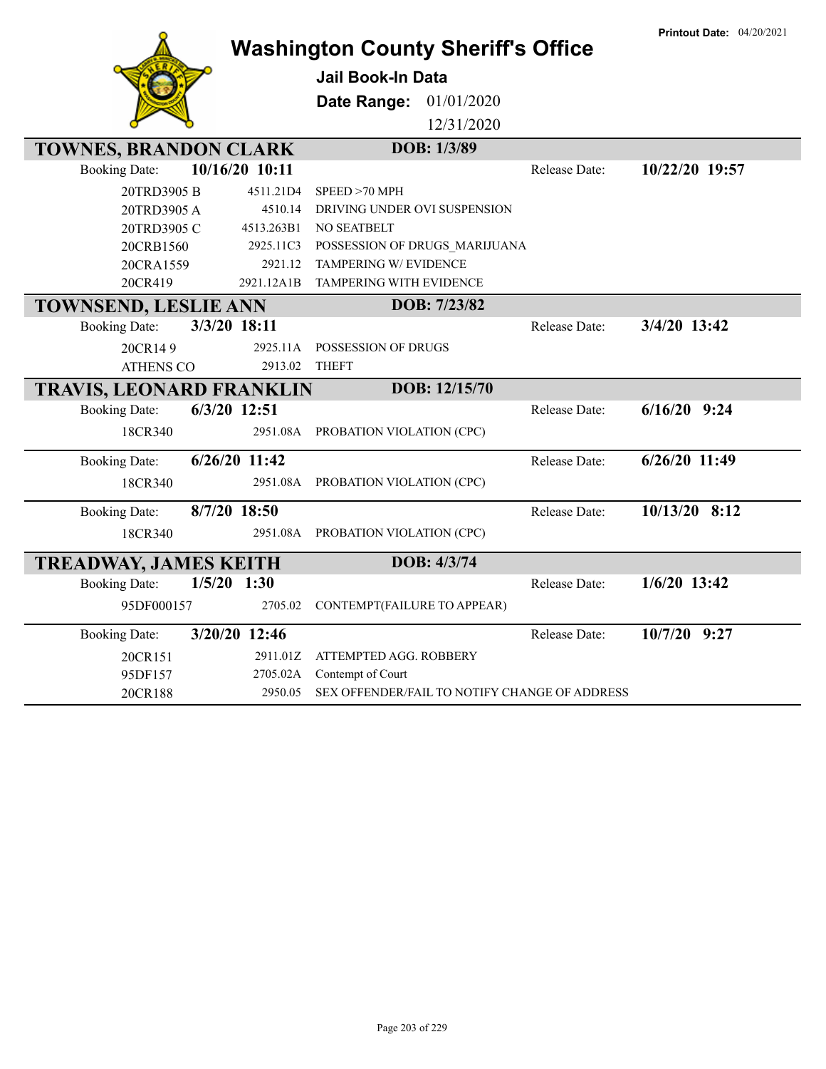|                                       |                 | <b>Washington County Sheriff's Office</b>     |               | <b>Printout Date: 04/20/2021</b> |
|---------------------------------------|-----------------|-----------------------------------------------|---------------|----------------------------------|
|                                       |                 | <b>Jail Book-In Data</b>                      |               |                                  |
|                                       |                 | Date Range: 01/01/2020                        |               |                                  |
|                                       |                 | 12/31/2020                                    |               |                                  |
| <b>TOWNES, BRANDON CLARK</b>          |                 | DOB: 1/3/89                                   |               |                                  |
| <b>Booking Date:</b>                  | 10/16/20 10:11  |                                               | Release Date: | 10/22/20 19:57                   |
| 20TRD3905 B                           | 4511.21D4       | SPEED >70 MPH                                 |               |                                  |
| 20TRD3905 A                           | 4510.14         | DRIVING UNDER OVI SUSPENSION                  |               |                                  |
| 20TRD3905 C                           | 4513.263B1      | NO SEATBELT                                   |               |                                  |
| 20CRB1560                             | 2925.11C3       | POSSESSION OF DRUGS_MARIJUANA                 |               |                                  |
| 20CRA1559                             | 2921.12         | <b>TAMPERING W/ EVIDENCE</b>                  |               |                                  |
| 20CR419                               | 2921.12A1B      | <b>TAMPERING WITH EVIDENCE</b>                |               |                                  |
| <b>TOWNSEND, LESLIE ANN</b>           |                 | DOB: 7/23/82                                  |               |                                  |
| 3/3/20 18:11<br><b>Booking Date:</b>  |                 |                                               | Release Date: | 3/4/20 13:42                     |
| 20CR149                               | 2925.11A        | POSSESSION OF DRUGS                           |               |                                  |
| <b>ATHENS CO</b>                      | 2913.02         | <b>THEFT</b>                                  |               |                                  |
| <b>TRAVIS, LEONARD FRANKLIN</b>       |                 | DOB: 12/15/70                                 |               |                                  |
| 6/3/20 12:51<br><b>Booking Date:</b>  |                 |                                               | Release Date: | $6/16/20$ 9:24                   |
| 18CR340                               | 2951.08A        | PROBATION VIOLATION (CPC)                     |               |                                  |
| <b>Booking Date:</b>                  | $6/26/20$ 11:42 |                                               | Release Date: | $6/26/20$ 11:49                  |
| 18CR340                               | 2951.08A        | PROBATION VIOLATION (CPC)                     |               |                                  |
| 8/7/20 18:50<br><b>Booking Date:</b>  |                 |                                               | Release Date: | $10/13/20$ 8:12                  |
| 18CR340                               | 2951.08A        | PROBATION VIOLATION (CPC)                     |               |                                  |
| <b>TREADWAY, JAMES KEITH</b>          |                 | DOB: 4/3/74                                   |               |                                  |
| $1/5/20$ 1:30<br><b>Booking Date:</b> |                 |                                               | Release Date: | $1/6/20$ 13:42                   |
| 95DF000157                            | 2705.02         | CONTEMPT(FAILURE TO APPEAR)                   |               |                                  |
| 3/20/20 12:46<br><b>Booking Date:</b> |                 |                                               | Release Date: | 10/7/20 9:27                     |
| 20CR151                               | 2911.01Z        | ATTEMPTED AGG. ROBBERY                        |               |                                  |
| 95DF157                               | 2705.02A        | Contempt of Court                             |               |                                  |
| 20CR188                               | 2950.05         | SEX OFFENDER/FAIL TO NOTIFY CHANGE OF ADDRESS |               |                                  |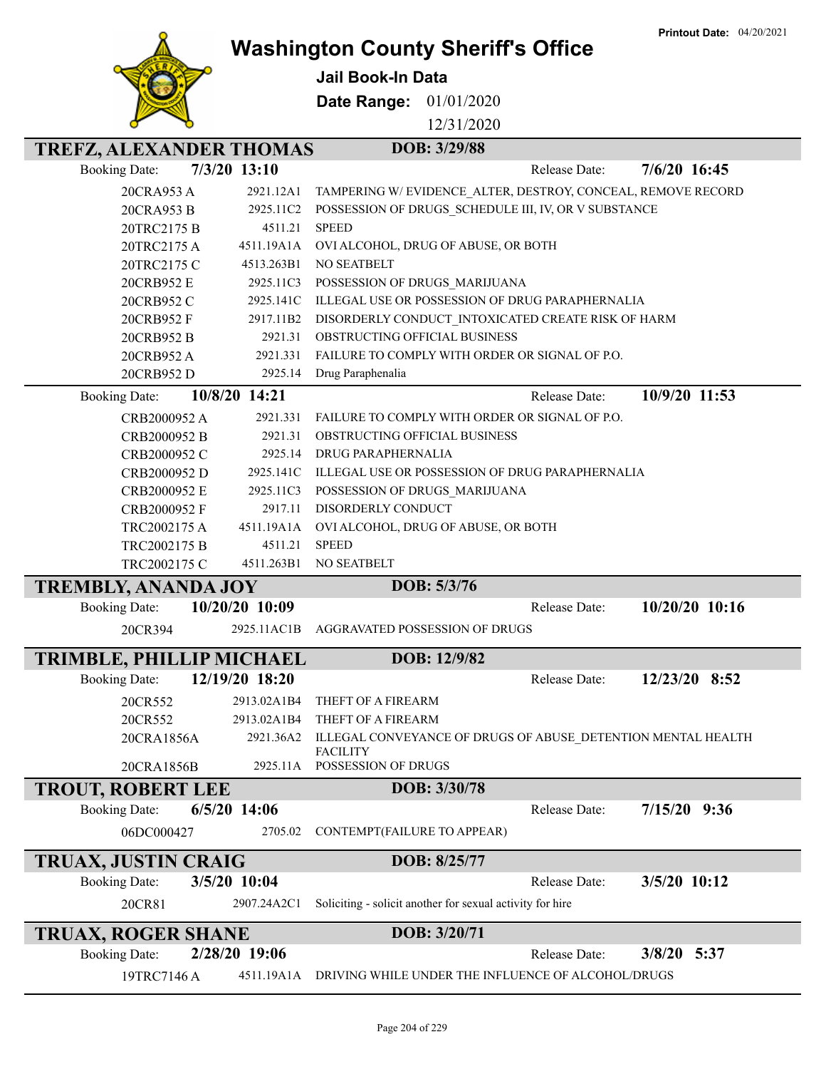**Printout Date:** 04/20/2021



## **Washington County Sheriff's Office**

**Jail Book-In Data**

**Date Range:** 01/01/2020

12/31/2020

| <b>TREFZ, ALEXANDER THOMAS</b> |                       | DOB: 3/29/88                                                                    |                |
|--------------------------------|-----------------------|---------------------------------------------------------------------------------|----------------|
| <b>Booking Date:</b>           | $7/3/20$ 13:10        | Release Date:                                                                   | 7/6/20 16:45   |
| 20CRA953 A                     | 2921.12A1             | TAMPERING W/EVIDENCE ALTER, DESTROY, CONCEAL, REMOVE RECORD                     |                |
| 20CRA953 B                     | 2925.11C2             | POSSESSION OF DRUGS_SCHEDULE III, IV, OR V SUBSTANCE                            |                |
| 20TRC2175 B                    | 4511.21               | <b>SPEED</b>                                                                    |                |
| 20TRC2175 A                    | 4511.19A1A            | OVI ALCOHOL, DRUG OF ABUSE, OR BOTH                                             |                |
| 20TRC2175 C                    | 4513.263B1            | NO SEATBELT                                                                     |                |
| 20CRB952 E                     | 2925.11C3             | POSSESSION OF DRUGS_MARIJUANA                                                   |                |
| 20CRB952 C                     | 2925.141C             | ILLEGAL USE OR POSSESSION OF DRUG PARAPHERNALIA                                 |                |
| 20CRB952 F                     | 2917.11B2             | DISORDERLY CONDUCT INTOXICATED CREATE RISK OF HARM                              |                |
| 20CRB952 B                     | 2921.31               | OBSTRUCTING OFFICIAL BUSINESS                                                   |                |
| 20CRB952 A                     | 2921.331              | FAILURE TO COMPLY WITH ORDER OR SIGNAL OF P.O.                                  |                |
| 20CRB952 D                     | 2925.14               | Drug Paraphenalia                                                               |                |
| <b>Booking Date:</b>           | 10/8/20 14:21         | Release Date:                                                                   | 10/9/20 11:53  |
| CRB2000952 A                   | 2921.331              | FAILURE TO COMPLY WITH ORDER OR SIGNAL OF P.O.                                  |                |
| CRB2000952 B                   | 2921.31               | OBSTRUCTING OFFICIAL BUSINESS                                                   |                |
| CRB2000952 C                   | 2925.14               | DRUG PARAPHERNALIA                                                              |                |
| CRB2000952 D                   | 2925.141C             | ILLEGAL USE OR POSSESSION OF DRUG PARAPHERNALIA                                 |                |
| CRB2000952 E                   | 2925.11C3             | POSSESSION OF DRUGS_MARIJUANA                                                   |                |
| CRB2000952 F                   | 2917.11               | DISORDERLY CONDUCT                                                              |                |
| TRC2002175 A                   | 4511.19A1A<br>4511.21 | OVI ALCOHOL, DRUG OF ABUSE, OR BOTH<br><b>SPEED</b>                             |                |
| TRC2002175 B<br>TRC2002175 C   | 4511.263B1            | NO SEATBELT                                                                     |                |
|                                |                       |                                                                                 |                |
|                                |                       |                                                                                 |                |
| <b>TREMBLY, ANANDA JOY</b>     |                       | DOB: 5/3/76                                                                     |                |
| <b>Booking Date:</b>           | 10/20/20 10:09        | Release Date:                                                                   | 10/20/20 10:16 |
| 20CR394                        | 2925.11AC1B           | AGGRAVATED POSSESSION OF DRUGS                                                  |                |
| TRIMBLE, PHILLIP MICHAEL       |                       | DOB: 12/9/82                                                                    |                |
| <b>Booking Date:</b>           | 12/19/20 18:20        | Release Date:                                                                   | 12/23/20 8:52  |
| 20CR552                        | 2913.02A1B4           | THEFT OF A FIREARM                                                              |                |
| 20CR552                        | 2913.02A1B4           | THEFT OF A FIREARM                                                              |                |
| 20CRA1856A                     | 2921.36A2             | ILLEGAL CONVEYANCE OF DRUGS OF ABUSE DETENTION MENTAL HEALTH<br><b>FACILITY</b> |                |
| 20CRA1856B                     | 2925.11A              | POSSESSION OF DRUGS                                                             |                |
| <b>TROUT, ROBERT LEE</b>       |                       | DOB: 3/30/78                                                                    |                |
| <b>Booking Date:</b>           | $6/5/20$ 14:06        | Release Date:                                                                   | $7/15/20$ 9:36 |
| 06DC000427                     | 2705.02               | CONTEMPT(FAILURE TO APPEAR)                                                     |                |
| <b>TRUAX, JUSTIN CRAIG</b>     |                       | DOB: 8/25/77                                                                    |                |
| <b>Booking Date:</b>           | 3/5/20 10:04          | Release Date:                                                                   | 3/5/20 10:12   |
| 20CR81                         | 2907.24A2C1           | Soliciting - solicit another for sexual activity for hire                       |                |
| <b>TRUAX, ROGER SHANE</b>      |                       | DOB: 3/20/71                                                                    |                |
| <b>Booking Date:</b>           | 2/28/20 19:06         | Release Date:                                                                   | 3/8/20 5:37    |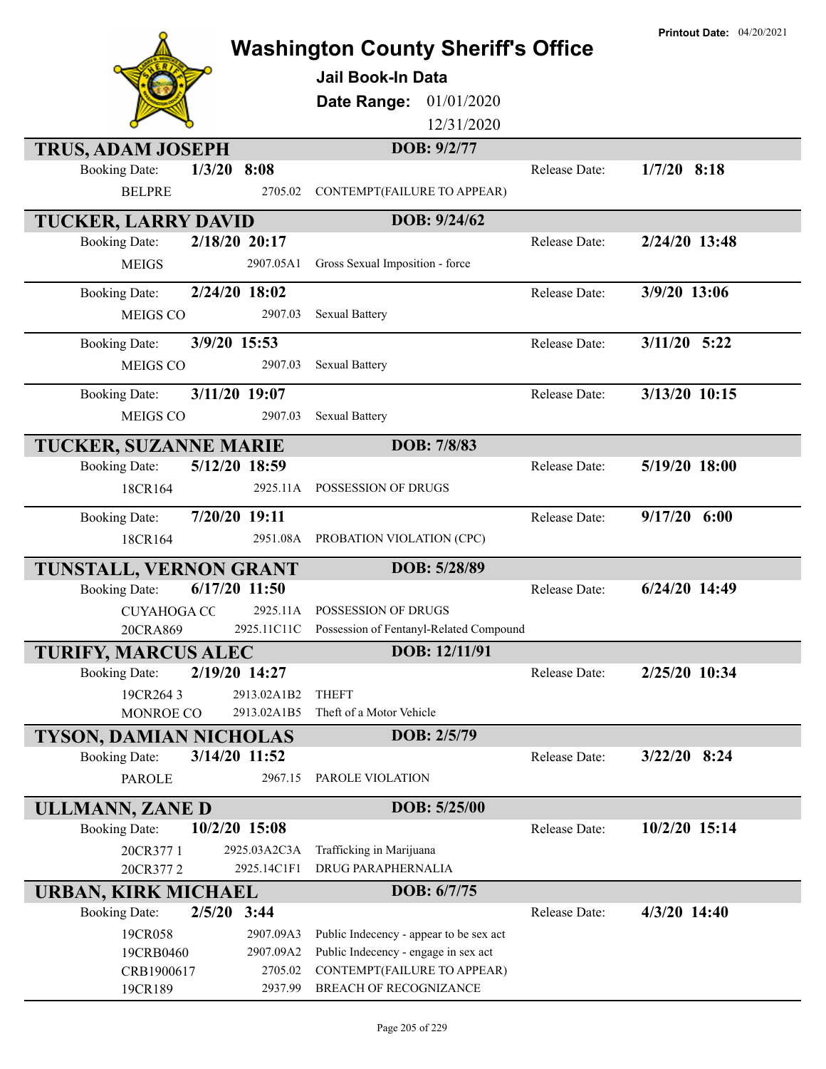| <b>Washington County Sheriff's Office</b> |               |                                                     |               | <b>Printout Date: 04/20/2021</b> |
|-------------------------------------------|---------------|-----------------------------------------------------|---------------|----------------------------------|
|                                           |               | <b>Jail Book-In Data</b>                            |               |                                  |
|                                           |               | 01/01/2020<br>Date Range:                           |               |                                  |
|                                           |               | 12/31/2020                                          |               |                                  |
|                                           |               |                                                     |               |                                  |
| <b>TRUS, ADAM JOSEPH</b>                  |               | DOB: 9/2/77                                         |               |                                  |
| <b>Booking Date:</b>                      | $1/3/20$ 8:08 |                                                     | Release Date: | $1/7/20$ 8:18                    |
| <b>BELPRE</b>                             | 2705.02       | CONTEMPT(FAILURE TO APPEAR)                         |               |                                  |
| <b>TUCKER, LARRY DAVID</b>                |               | DOB: 9/24/62                                        |               |                                  |
| <b>Booking Date:</b>                      | 2/18/20 20:17 |                                                     | Release Date: | 2/24/20 13:48                    |
| <b>MEIGS</b>                              | 2907.05A1     | Gross Sexual Imposition - force                     |               |                                  |
| <b>Booking Date:</b>                      | 2/24/20 18:02 |                                                     | Release Date: | 3/9/20 13:06                     |
| MEIGS CO                                  | 2907.03       | <b>Sexual Battery</b>                               |               |                                  |
| <b>Booking Date:</b>                      | 3/9/20 15:53  |                                                     | Release Date: | $3/11/20$ 5:22                   |
| MEIGS CO                                  | 2907.03       | <b>Sexual Battery</b>                               |               |                                  |
|                                           |               |                                                     |               |                                  |
| <b>Booking Date:</b>                      | 3/11/20 19:07 |                                                     | Release Date: | 3/13/20 10:15                    |
| MEIGS CO                                  | 2907.03       | <b>Sexual Battery</b>                               |               |                                  |
| TUCKER, SUZANNE MARIE                     |               | DOB: 7/8/83                                         |               |                                  |
| <b>Booking Date:</b>                      | 5/12/20 18:59 |                                                     | Release Date: | 5/19/20 18:00                    |
| 18CR164                                   |               | 2925.11A POSSESSION OF DRUGS                        |               |                                  |
| <b>Booking Date:</b>                      | 7/20/20 19:11 |                                                     | Release Date: | $9/17/20$ 6:00                   |
| 18CR164                                   |               | 2951.08A PROBATION VIOLATION (CPC)                  |               |                                  |
| TUNSTALL, VERNON GRANT                    |               | DOB: 5/28/89                                        |               |                                  |
| <b>Booking Date:</b>                      | 6/17/20 11:50 |                                                     | Release Date: | 6/24/20 14:49                    |
| <b>CUYAHOGA CC</b>                        |               | 2925.11A POSSESSION OF DRUGS                        |               |                                  |
| 20CRA869                                  |               | 2925.11C11C Possession of Fentanyl-Related Compound |               |                                  |
| <b>TURIFY, MARCUS ALEC</b>                |               | DOB: 12/11/91                                       |               |                                  |
| <b>Booking Date:</b>                      | 2/19/20 14:27 |                                                     | Release Date: | 2/25/20 10:34                    |
| 19CR2643                                  | 2913.02A1B2   | <b>THEFT</b>                                        |               |                                  |
| <b>MONROE CO</b>                          | 2913.02A1B5   | Theft of a Motor Vehicle                            |               |                                  |
| TYSON, DAMIAN NICHOLAS                    |               | DOB: 2/5/79                                         |               |                                  |
| <b>Booking Date:</b>                      | 3/14/20 11:52 |                                                     | Release Date: | $3/22/20$ 8:24                   |
| <b>PAROLE</b>                             | 2967.15       | PAROLE VIOLATION                                    |               |                                  |
| ULLMANN, ZANE D                           |               | DOB: 5/25/00                                        |               |                                  |
| <b>Booking Date:</b>                      | 10/2/20 15:08 |                                                     | Release Date: | 10/2/20 15:14                    |
| 20CR377 1                                 | 2925.03A2C3A  | Trafficking in Marijuana                            |               |                                  |
| 20CR3772                                  | 2925.14C1F1   | <b>DRUG PARAPHERNALIA</b>                           |               |                                  |
| <b>URBAN, KIRK MICHAEL</b>                |               | DOB: 6/7/75                                         |               |                                  |
| <b>Booking Date:</b>                      | $2/5/20$ 3:44 |                                                     | Release Date: | 4/3/20 14:40                     |
| 19CR058                                   | 2907.09A3     | Public Indecency - appear to be sex act             |               |                                  |
| 19CRB0460                                 | 2907.09A2     | Public Indecency - engage in sex act                |               |                                  |
| CRB1900617                                | 2705.02       | CONTEMPT(FAILURE TO APPEAR)                         |               |                                  |
| 19CR189                                   | 2937.99       | BREACH OF RECOGNIZANCE                              |               |                                  |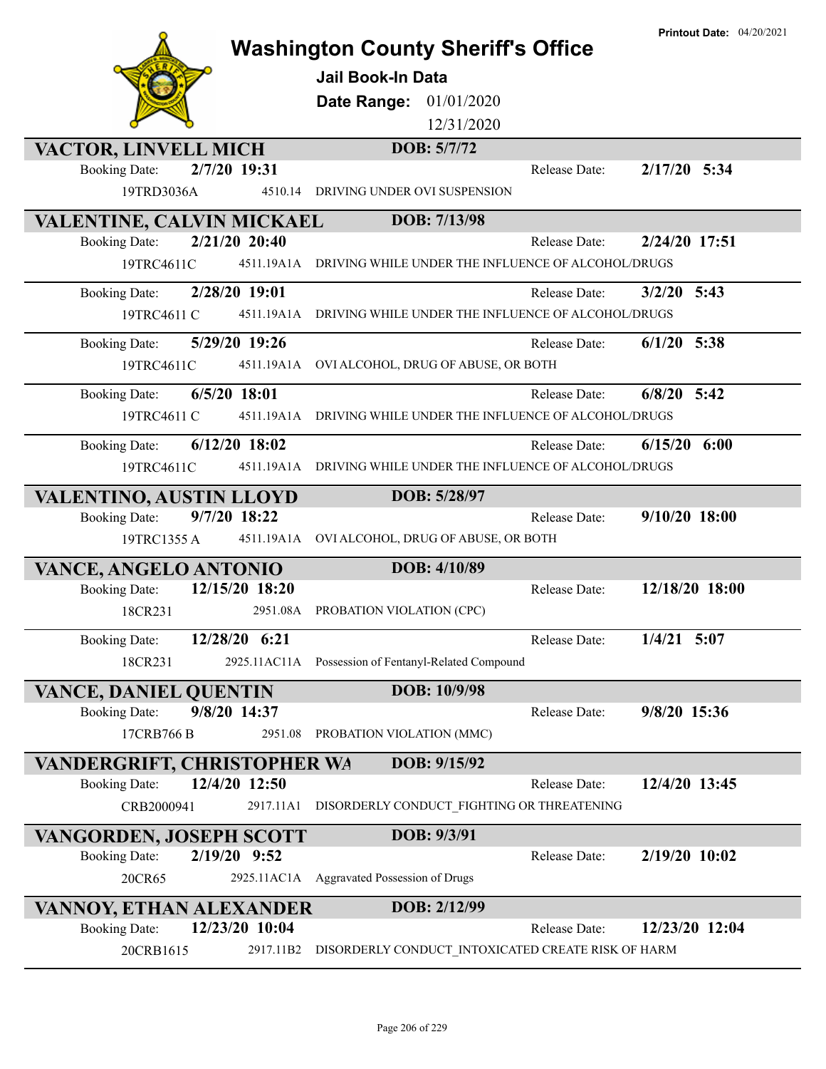|                                    |                 | <b>Washington County Sheriff's Office</b><br><b>Jail Book-In Data</b><br>Date Range: 01/01/2020<br>12/31/2020 |               | <b>Printout Date: 04/20/2021</b> |
|------------------------------------|-----------------|---------------------------------------------------------------------------------------------------------------|---------------|----------------------------------|
| VACTOR, LINVELL MICH               |                 | DOB: 5/7/72                                                                                                   |               |                                  |
| <b>Booking Date:</b>               | 2/7/20 19:31    |                                                                                                               | Release Date: | $2/17/20$ 5:34                   |
| 19TRD3036A                         | 4510.14         | DRIVING UNDER OVI SUSPENSION                                                                                  |               |                                  |
| VALENTINE, CALVIN MICKAEL          |                 | DOB: 7/13/98                                                                                                  |               |                                  |
| <b>Booking Date:</b>               | 2/21/20 20:40   |                                                                                                               | Release Date: | 2/24/20 17:51                    |
| 19TRC4611C                         |                 | 4511.19A1A DRIVING WHILE UNDER THE INFLUENCE OF ALCOHOL/DRUGS                                                 |               |                                  |
| <b>Booking Date:</b>               | 2/28/20 19:01   |                                                                                                               | Release Date: | $3/2/20$ 5:43                    |
| 19TRC4611 C                        |                 | 4511.19A1A DRIVING WHILE UNDER THE INFLUENCE OF ALCOHOL/DRUGS                                                 |               |                                  |
| <b>Booking Date:</b>               | 5/29/20 19:26   |                                                                                                               | Release Date: | $6/1/20$ 5:38                    |
| 19TRC4611C                         |                 | 4511.19A1A OVI ALCOHOL, DRUG OF ABUSE, OR BOTH                                                                |               |                                  |
|                                    |                 |                                                                                                               |               |                                  |
| <b>Booking Date:</b>               | $6/5/20$ 18:01  |                                                                                                               | Release Date: | $6/8/20$ 5:42                    |
| 19TRC4611 C                        |                 | 4511.19A1A DRIVING WHILE UNDER THE INFLUENCE OF ALCOHOL/DRUGS                                                 |               |                                  |
| <b>Booking Date:</b>               | $6/12/20$ 18:02 |                                                                                                               | Release Date: | $6/15/20$ $6:00$                 |
| 19TRC4611C                         | 4511.19A1A      | DRIVING WHILE UNDER THE INFLUENCE OF ALCOHOL/DRUGS                                                            |               |                                  |
| VALENTINO, AUSTIN LLOYD            |                 | DOB: 5/28/97                                                                                                  |               |                                  |
| <b>Booking Date:</b>               | 9/7/20 18:22    |                                                                                                               | Release Date: | 9/10/20 18:00                    |
| 19TRC1355 A                        |                 | 4511.19A1A OVI ALCOHOL, DRUG OF ABUSE, OR BOTH                                                                |               |                                  |
| VANCE, ANGELO ANTONIO              |                 | DOB: 4/10/89                                                                                                  |               |                                  |
| <b>Booking Date:</b>               | 12/15/20 18:20  |                                                                                                               | Release Date: | 12/18/20 18:00                   |
| 18CR231                            | 2951.08A        | PROBATION VIOLATION (CPC)                                                                                     |               |                                  |
|                                    | 12/28/20 6:21   |                                                                                                               |               |                                  |
| <b>Booking Date:</b>               | 2925.11AC11A    |                                                                                                               | Release Date: | $1/4/21$ 5:07                    |
| 18CR231                            |                 | Possession of Fentanyl-Related Compound                                                                       |               |                                  |
| <b>VANCE, DANIEL QUENTIN</b>       |                 | DOB: 10/9/98                                                                                                  |               |                                  |
| <b>Booking Date:</b>               | 9/8/20 14:37    |                                                                                                               | Release Date: | 9/8/20 15:36                     |
| 17CRB766 B                         | 2951.08         | PROBATION VIOLATION (MMC)                                                                                     |               |                                  |
| <b>VANDERGRIFT, CHRISTOPHER WA</b> |                 | DOB: 9/15/92                                                                                                  |               |                                  |
| <b>Booking Date:</b>               | 12/4/20 12:50   |                                                                                                               | Release Date: | 12/4/20 13:45                    |
| CRB2000941                         | 2917.11A1       | DISORDERLY CONDUCT_FIGHTING OR THREATENING                                                                    |               |                                  |
| VANGORDEN, JOSEPH SCOTT            |                 | DOB: 9/3/91                                                                                                   |               |                                  |
| <b>Booking Date:</b>               | 2/19/20 9:52    |                                                                                                               | Release Date: | 2/19/20 10:02                    |
| 20CR65                             |                 | 2925.11AC1A Aggravated Possession of Drugs                                                                    |               |                                  |
| VANNOY, ETHAN ALEXANDER            |                 | DOB: 2/12/99                                                                                                  |               |                                  |
| <b>Booking Date:</b>               | 12/23/20 10:04  |                                                                                                               | Release Date: | 12/23/20 12:04                   |
| 20CRB1615                          | 2917.11B2       | DISORDERLY CONDUCT_INTOXICATED CREATE RISK OF HARM                                                            |               |                                  |
|                                    |                 |                                                                                                               |               |                                  |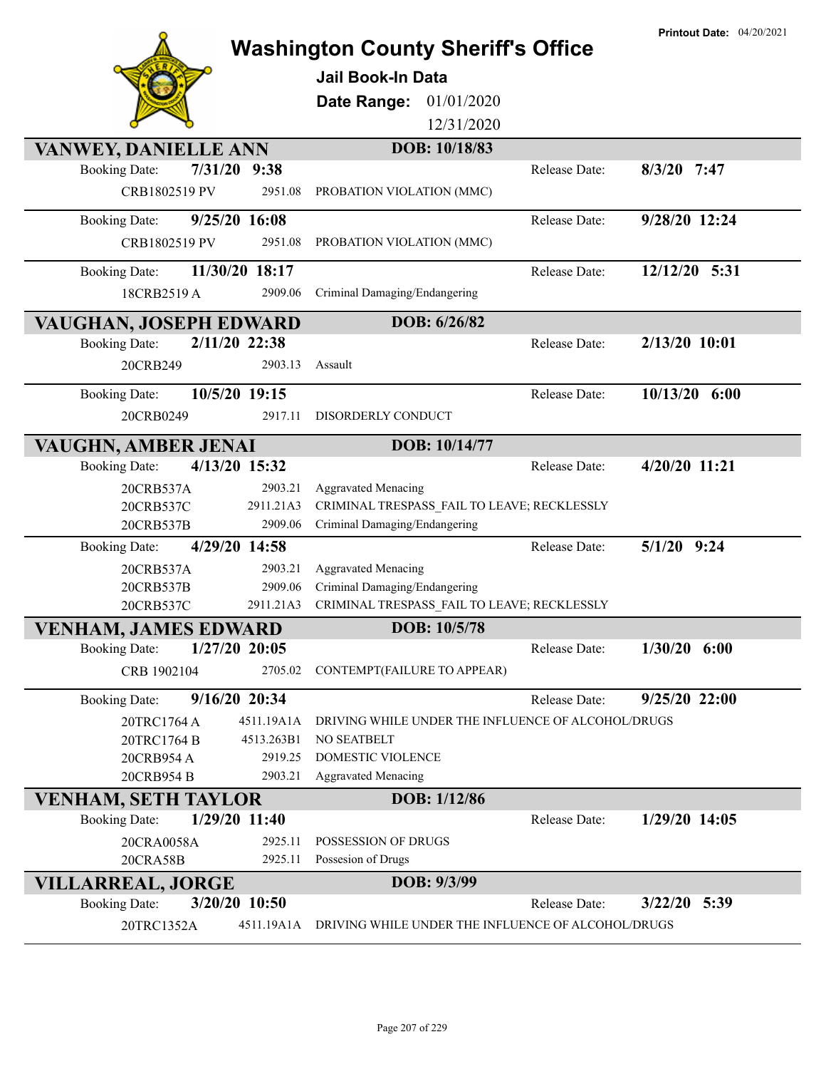| <b>Washington County Sheriff's Office</b> |                 |                                                    |               | <b>Printout Date: 04/20/2021</b> |
|-------------------------------------------|-----------------|----------------------------------------------------|---------------|----------------------------------|
|                                           |                 |                                                    |               |                                  |
|                                           |                 | Jail Book-In Data                                  |               |                                  |
|                                           |                 | Date Range:<br>01/01/2020                          |               |                                  |
|                                           |                 | 12/31/2020                                         |               |                                  |
| VANWEY, DANIELLE ANN                      |                 | DOB: 10/18/83                                      |               |                                  |
| 7/31/20<br><b>Booking Date:</b>           | 9:38            |                                                    | Release Date: | $8/3/20$ 7:47                    |
| CRB1802519 PV                             | 2951.08         | PROBATION VIOLATION (MMC)                          |               |                                  |
| <b>Booking Date:</b>                      | 9/25/20 16:08   |                                                    | Release Date: | 9/28/20 12:24                    |
| CRB1802519 PV                             | 2951.08         | PROBATION VIOLATION (MMC)                          |               |                                  |
| <b>Booking Date:</b>                      | 11/30/20 18:17  |                                                    | Release Date: | 12/12/20 5:31                    |
| 18CRB2519 A                               | 2909.06         | Criminal Damaging/Endangering                      |               |                                  |
| <b>VAUGHAN, JOSEPH EDWARD</b>             |                 | DOB: 6/26/82                                       |               |                                  |
| <b>Booking Date:</b>                      | 2/11/20 22:38   |                                                    | Release Date: | 2/13/20 10:01                    |
| 20CRB249                                  | 2903.13         | Assault                                            |               |                                  |
| <b>Booking Date:</b>                      | 10/5/20 19:15   |                                                    | Release Date: | $10/13/20$ 6:00                  |
| 20CRB0249                                 | 2917.11         | DISORDERLY CONDUCT                                 |               |                                  |
| VAUGHN, AMBER JENAI                       |                 | DOB: 10/14/77                                      |               |                                  |
| <b>Booking Date:</b>                      | 4/13/20 15:32   |                                                    | Release Date: | 4/20/20 11:21                    |
| 20CRB537A                                 | 2903.21         | <b>Aggravated Menacing</b>                         |               |                                  |
| 20CRB537C                                 | 2911.21A3       | CRIMINAL TRESPASS FAIL TO LEAVE; RECKLESSLY        |               |                                  |
| 20CRB537B                                 | 2909.06         | Criminal Damaging/Endangering                      |               |                                  |
| <b>Booking Date:</b>                      | 4/29/20 14:58   |                                                    | Release Date: | $5/1/20$ 9:24                    |
| 20CRB537A                                 | 2903.21         | <b>Aggravated Menacing</b>                         |               |                                  |
| 20CRB537B                                 | 2909.06         | Criminal Damaging/Endangering                      |               |                                  |
| 20CRB537C                                 | 2911.21A3       | CRIMINAL TRESPASS_FAIL TO LEAVE; RECKLESSLY        |               |                                  |
| <b>VENHAM, JAMES EDWARD</b>               |                 | DOB: 10/5/78                                       |               |                                  |
| <b>Booking Date:</b>                      | $1/27/20$ 20:05 |                                                    | Release Date: | $1/30/20$ 6:00                   |
| CRB 1902104                               | 2705.02         | CONTEMPT(FAILURE TO APPEAR)                        |               |                                  |
| <b>Booking Date:</b>                      | 9/16/20 20:34   |                                                    | Release Date: | $9/25/20$ 22:00                  |
| 20TRC1764 A                               | 4511.19A1A      | DRIVING WHILE UNDER THE INFLUENCE OF ALCOHOL/DRUGS |               |                                  |
| 20TRC1764 B                               | 4513.263B1      | <b>NO SEATBELT</b>                                 |               |                                  |
| 20CRB954 A                                | 2919.25         | <b>DOMESTIC VIOLENCE</b>                           |               |                                  |
| 20CRB954 B                                | 2903.21         | <b>Aggravated Menacing</b>                         |               |                                  |
| VENHAM, SETH TAYLOR                       |                 | DOB: 1/12/86                                       |               |                                  |
| <b>Booking Date:</b>                      | 1/29/20 11:40   |                                                    | Release Date: | $1/29/20$ 14:05                  |
| 20CRA0058A                                | 2925.11         | POSSESSION OF DRUGS                                |               |                                  |
| <b>20CRA58B</b>                           | 2925.11         | Possesion of Drugs                                 |               |                                  |
| <b>VILLARREAL, JORGE</b>                  |                 | DOB: 9/3/99                                        |               |                                  |
| <b>Booking Date:</b>                      | 3/20/20 10:50   |                                                    | Release Date: | $3/22/20$ 5:39                   |
| 20TRC1352A                                | 4511.19A1A      | DRIVING WHILE UNDER THE INFLUENCE OF ALCOHOL/DRUGS |               |                                  |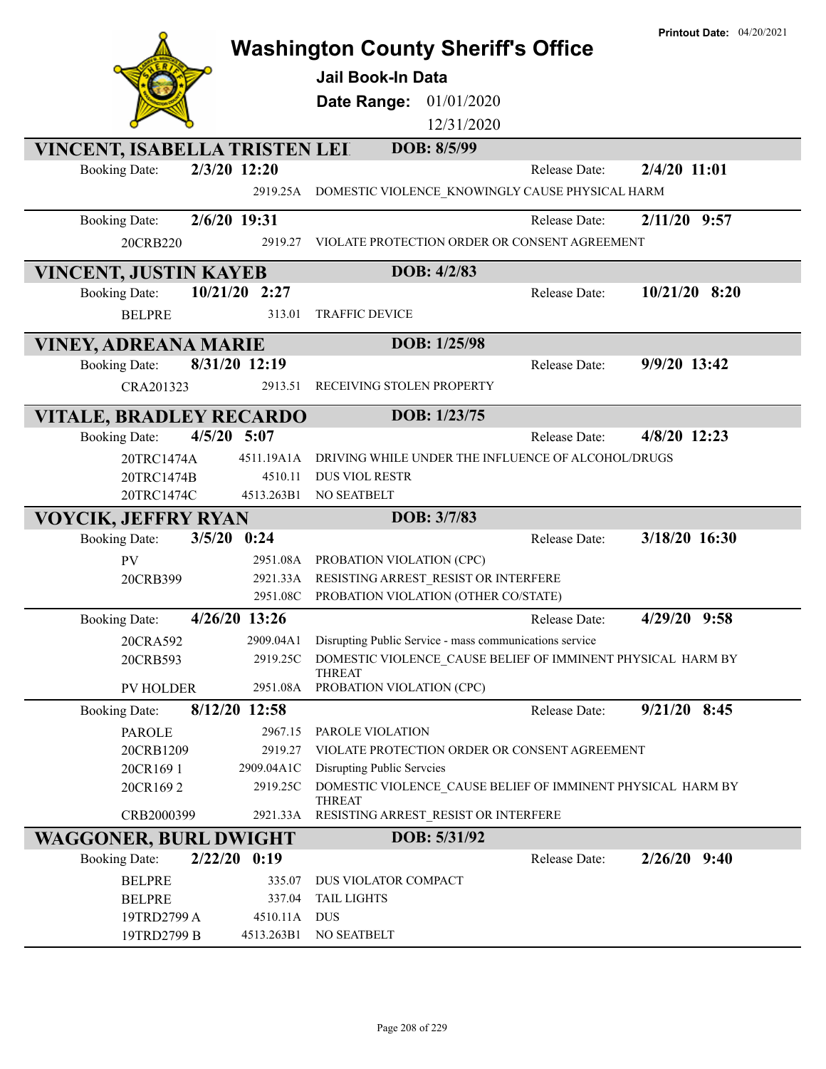|                                |                |                                                             |               | <b>Printout Date: 04/20/2021</b> |
|--------------------------------|----------------|-------------------------------------------------------------|---------------|----------------------------------|
|                                |                | <b>Washington County Sheriff's Office</b>                   |               |                                  |
|                                |                | <b>Jail Book-In Data</b>                                    |               |                                  |
|                                |                | Date Range: 01/01/2020                                      |               |                                  |
|                                |                | 12/31/2020                                                  |               |                                  |
|                                |                |                                                             |               |                                  |
| VINCENT, ISABELLA TRISTEN LEI  |                | DOB: 8/5/99                                                 |               |                                  |
| <b>Booking Date:</b>           | 2/3/20 12:20   |                                                             | Release Date: | 2/4/20 11:01                     |
|                                | 2919.25A       | DOMESTIC VIOLENCE KNOWINGLY CAUSE PHYSICAL HARM             |               |                                  |
| <b>Booking Date:</b>           | 2/6/20 19:31   |                                                             | Release Date: | $2/11/20$ 9:57                   |
| 20CRB220                       | 2919.27        | VIOLATE PROTECTION ORDER OR CONSENT AGREEMENT               |               |                                  |
|                                |                |                                                             |               |                                  |
| <b>VINCENT, JUSTIN KAYEB</b>   |                | DOB: 4/2/83                                                 |               |                                  |
| <b>Booking Date:</b>           | 10/21/20 2:27  |                                                             | Release Date: | $10/21/20$ 8:20                  |
| <b>BELPRE</b>                  | 313.01         | <b>TRAFFIC DEVICE</b>                                       |               |                                  |
|                                |                | DOB: 1/25/98                                                |               |                                  |
| <b>VINEY, ADREANA MARIE</b>    |                |                                                             |               |                                  |
| <b>Booking Date:</b>           | 8/31/20 12:19  |                                                             | Release Date: | 9/9/20 13:42                     |
| CRA201323                      | 2913.51        | RECEIVING STOLEN PROPERTY                                   |               |                                  |
| <b>VITALE, BRADLEY RECARDO</b> |                | DOB: 1/23/75                                                |               |                                  |
| <b>Booking Date:</b>           | $4/5/20$ 5:07  |                                                             | Release Date: | 4/8/20 12:23                     |
| 20TRC1474A                     | 4511.19A1A     | DRIVING WHILE UNDER THE INFLUENCE OF ALCOHOL/DRUGS          |               |                                  |
| 20TRC1474B                     | 4510.11        | <b>DUS VIOL RESTR</b>                                       |               |                                  |
| 20TRC1474C                     | 4513.263B1     | NO SEATBELT                                                 |               |                                  |
| <b>VOYCIK, JEFFRY RYAN</b>     |                | DOB: 3/7/83                                                 |               |                                  |
| <b>Booking Date:</b>           | $3/5/20$ 0:24  |                                                             | Release Date: | 3/18/20 16:30                    |
| PV                             | 2951.08A       | PROBATION VIOLATION (CPC)                                   |               |                                  |
| 20CRB399                       | 2921.33A       | RESISTING ARREST RESIST OR INTERFERE                        |               |                                  |
|                                | 2951.08C       | PROBATION VIOLATION (OTHER CO/STATE)                        |               |                                  |
| <b>Booking Date:</b>           | 4/26/20 13:26  |                                                             | Release Date: | 4/29/20 9:58                     |
| 20CRA592                       | 2909.04A1      | Disrupting Public Service - mass communications service     |               |                                  |
| 20CRB593                       | 2919.25C       | DOMESTIC VIOLENCE CAUSE BELIEF OF IMMINENT PHYSICAL HARM BY |               |                                  |
|                                |                | <b>THREAT</b>                                               |               |                                  |
| <b>PV HOLDER</b>               | 2951.08A       | PROBATION VIOLATION (CPC)                                   |               |                                  |
| <b>Booking Date:</b>           | 8/12/20 12:58  |                                                             | Release Date: | $9/21/20$ 8:45                   |
| <b>PAROLE</b>                  | 2967.15        | PAROLE VIOLATION                                            |               |                                  |
| 20CRB1209                      | 2919.27        | VIOLATE PROTECTION ORDER OR CONSENT AGREEMENT               |               |                                  |
| 20CR1691                       | 2909.04A1C     | Disrupting Public Serveies                                  |               |                                  |
| 20CR1692                       | 2919.25C       | DOMESTIC VIOLENCE_CAUSE BELIEF OF IMMINENT PHYSICAL HARM BY |               |                                  |
| CRB2000399                     | 2921.33A       | <b>THREAT</b><br>RESISTING ARREST_RESIST OR INTERFERE       |               |                                  |
|                                |                | DOB: 5/31/92                                                |               |                                  |
| <b>WAGGONER, BURL DWIGHT</b>   | $2/22/20$ 0:19 |                                                             | Release Date: | $2/26/20$ 9:40                   |
| <b>Booking Date:</b>           |                |                                                             |               |                                  |
| <b>BELPRE</b>                  | 335.07         | DUS VIOLATOR COMPACT                                        |               |                                  |
| <b>BELPRE</b>                  | 337.04         | <b>TAIL LIGHTS</b>                                          |               |                                  |
| 19TRD2799 A                    | 4510.11A       | <b>DUS</b>                                                  |               |                                  |
| 19TRD2799 B                    | 4513.263B1     | NO SEATBELT                                                 |               |                                  |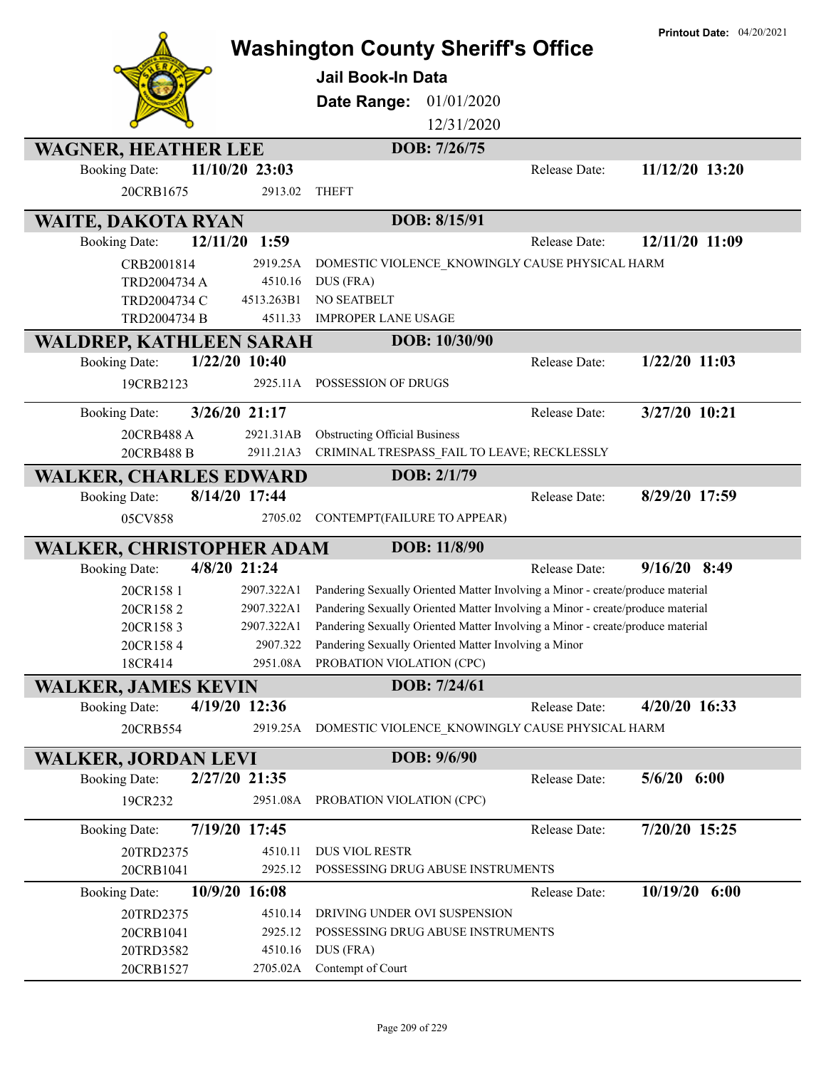|                                  |                 | <b>Washington County Sheriff's Office</b><br><b>Jail Book-In Data</b><br>01/01/2020<br>Date Range:<br>12/31/2020 |               | <b>Printout Date: 04/20/2021</b> |
|----------------------------------|-----------------|------------------------------------------------------------------------------------------------------------------|---------------|----------------------------------|
| <b>WAGNER, HEATHER LEE</b>       |                 | DOB: 7/26/75                                                                                                     |               |                                  |
| <b>Booking Date:</b>             | 11/10/20 23:03  |                                                                                                                  | Release Date: | 11/12/20 13:20                   |
| 20CRB1675                        | 2913.02         | <b>THEFT</b>                                                                                                     |               |                                  |
| <b>WAITE, DAKOTA RYAN</b>        |                 | DOB: 8/15/91                                                                                                     |               |                                  |
| 12/11/20<br><b>Booking Date:</b> | 1:59            |                                                                                                                  | Release Date: | 12/11/20 11:09                   |
| CRB2001814                       | 2919.25A        | DOMESTIC VIOLENCE_KNOWINGLY CAUSE PHYSICAL HARM                                                                  |               |                                  |
| TRD2004734 A                     | 4510.16         | DUS (FRA)                                                                                                        |               |                                  |
| TRD2004734 C                     | 4513.263B1      | NO SEATBELT                                                                                                      |               |                                  |
| TRD2004734 B                     | 4511.33         | <b>IMPROPER LANE USAGE</b>                                                                                       |               |                                  |
| WALDREP, KATHLEEN SARAH          |                 | DOB: 10/30/90                                                                                                    |               |                                  |
| <b>Booking Date:</b>             | $1/22/20$ 10:40 |                                                                                                                  | Release Date: | $1/22/20$ 11:03                  |
| 19CRB2123                        |                 | 2925.11A POSSESSION OF DRUGS                                                                                     |               |                                  |
| <b>Booking Date:</b>             | 3/26/20 21:17   |                                                                                                                  | Release Date: | 3/27/20 10:21                    |
| 20CRB488 A                       | 2921.31AB       | <b>Obstructing Official Business</b>                                                                             |               |                                  |
| 20CRB488 B                       | 2911.21A3       | CRIMINAL TRESPASS_FAIL TO LEAVE; RECKLESSLY                                                                      |               |                                  |
| <b>WALKER, CHARLES EDWARD</b>    |                 | DOB: 2/1/79                                                                                                      |               |                                  |
| <b>Booking Date:</b>             | 8/14/20 17:44   |                                                                                                                  | Release Date: | 8/29/20 17:59                    |
| 05CV858                          | 2705.02         | CONTEMPT(FAILURE TO APPEAR)                                                                                      |               |                                  |
| WALKER, CHRISTOPHER ADAM         |                 | DOB: 11/8/90                                                                                                     |               |                                  |
| <b>Booking Date:</b>             | 4/8/20 21:24    |                                                                                                                  | Release Date: | $9/16/20$ 8:49                   |
| 20CR158 1                        | 2907.322A1      | Pandering Sexually Oriented Matter Involving a Minor - create/produce material                                   |               |                                  |
| 20CR1582                         | 2907.322A1      | Pandering Sexually Oriented Matter Involving a Minor - create/produce material                                   |               |                                  |
| 20CR1583                         | 2907.322A1      | Pandering Sexually Oriented Matter Involving a Minor - create/produce material                                   |               |                                  |
| 20CR1584                         | 2907.322        | Pandering Sexually Oriented Matter Involving a Minor                                                             |               |                                  |
| 18CR414                          | 2951.08A        | PROBATION VIOLATION (CPC)                                                                                        |               |                                  |
| <b>WALKER, JAMES KEVIN</b>       |                 | DOB: 7/24/61                                                                                                     |               |                                  |
| <b>Booking Date:</b>             | 4/19/20 12:36   |                                                                                                                  | Release Date: | 4/20/20 16:33                    |
| 20CRB554                         |                 | 2919.25A DOMESTIC VIOLENCE KNOWINGLY CAUSE PHYSICAL HARM                                                         |               |                                  |
| WALKER, JORDAN LEVI              |                 | DOB: 9/6/90                                                                                                      |               |                                  |
| <b>Booking Date:</b>             | 2/27/20 21:35   |                                                                                                                  | Release Date: | $5/6/20$ $6:00$                  |
| 19CR232                          | 2951.08A        | PROBATION VIOLATION (CPC)                                                                                        |               |                                  |
| <b>Booking Date:</b>             | 7/19/20 17:45   |                                                                                                                  | Release Date: | 7/20/20 15:25                    |
| 20TRD2375                        | 4510.11         | DUS VIOL RESTR                                                                                                   |               |                                  |
| 20CRB1041                        | 2925.12         | POSSESSING DRUG ABUSE INSTRUMENTS                                                                                |               |                                  |
| <b>Booking Date:</b>             | 10/9/20 16:08   |                                                                                                                  | Release Date: | 10/19/20 6:00                    |
| 20TRD2375                        | 4510.14         | DRIVING UNDER OVI SUSPENSION                                                                                     |               |                                  |
| 20CRB1041                        | 2925.12         | POSSESSING DRUG ABUSE INSTRUMENTS                                                                                |               |                                  |
| 20TRD3582                        | 4510.16         | DUS (FRA)                                                                                                        |               |                                  |
| 20CRB1527                        | 2705.02A        | Contempt of Court                                                                                                |               |                                  |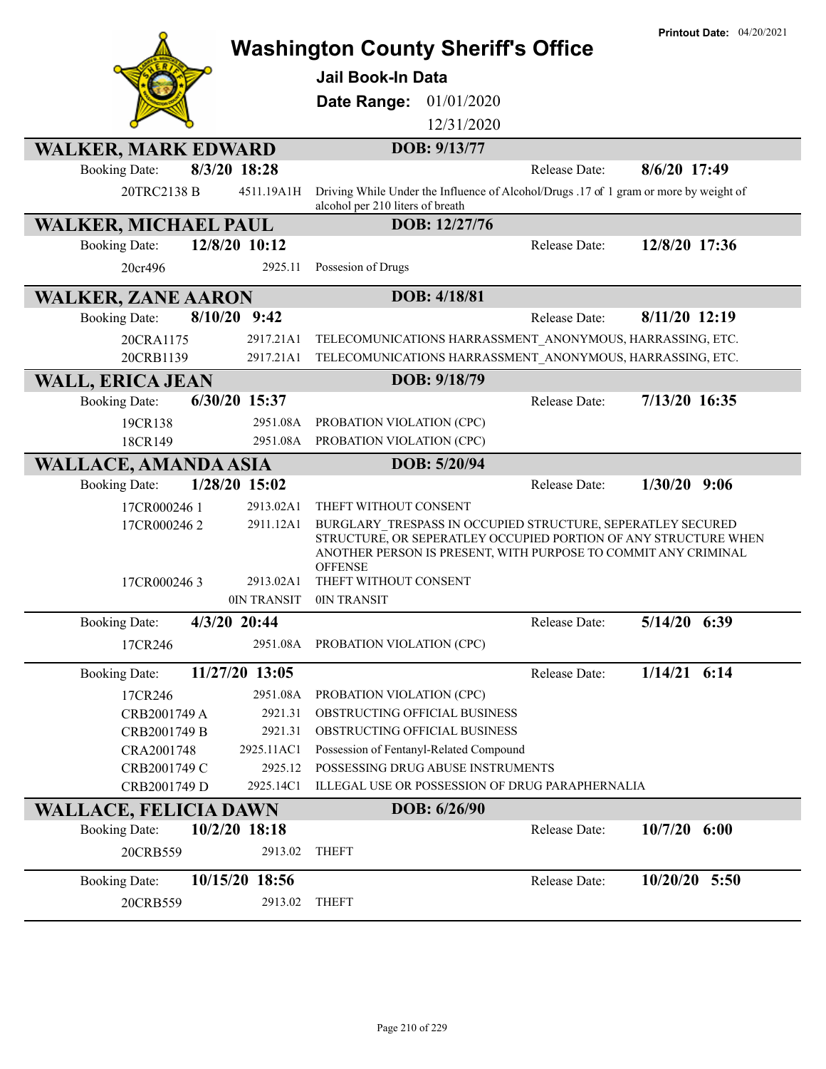|                                                      | <b>Printout Date: 04/20/2021</b><br><b>Washington County Sheriff's Office</b>                                                                                                                                      |
|------------------------------------------------------|--------------------------------------------------------------------------------------------------------------------------------------------------------------------------------------------------------------------|
|                                                      | Jail Book-In Data                                                                                                                                                                                                  |
|                                                      |                                                                                                                                                                                                                    |
|                                                      | 01/01/2020<br>Date Range:                                                                                                                                                                                          |
|                                                      | 12/31/2020                                                                                                                                                                                                         |
| <b>WALKER, MARK EDWARD</b>                           | DOB: 9/13/77                                                                                                                                                                                                       |
| 8/3/20 18:28<br><b>Booking Date:</b>                 | 8/6/20 17:49<br>Release Date:                                                                                                                                                                                      |
| 20TRC2138 B<br>4511.19A1H                            | Driving While Under the Influence of Alcohol/Drugs .17 of 1 gram or more by weight of<br>alcohol per 210 liters of breath                                                                                          |
| <b>WALKER, MICHAEL PAUL</b>                          | DOB: 12/27/76                                                                                                                                                                                                      |
| 12/8/20 10:12<br><b>Booking Date:</b>                | 12/8/20 17:36<br>Release Date:                                                                                                                                                                                     |
| 20cr496<br>2925.11                                   | Possesion of Drugs                                                                                                                                                                                                 |
| <b>WALKER, ZANE AARON</b>                            | DOB: 4/18/81                                                                                                                                                                                                       |
| 8/10/20<br>9:42<br><b>Booking Date:</b>              | 8/11/20 12:19<br>Release Date:                                                                                                                                                                                     |
| 20CRA1175<br>2917.21A1                               | TELECOMUNICATIONS HARRASSMENT ANONYMOUS, HARRASSING, ETC.                                                                                                                                                          |
| 20CRB1139<br>2917.21A1                               | TELECOMUNICATIONS HARRASSMENT ANONYMOUS, HARRASSING, ETC.                                                                                                                                                          |
| <b>WALL, ERICA JEAN</b>                              | DOB: 9/18/79                                                                                                                                                                                                       |
| 6/30/20 15:37<br><b>Booking Date:</b>                | 7/13/20 16:35<br>Release Date:                                                                                                                                                                                     |
| 19CR138<br>2951.08A                                  | PROBATION VIOLATION (CPC)                                                                                                                                                                                          |
| 2951.08A<br>18CR149                                  | PROBATION VIOLATION (CPC)                                                                                                                                                                                          |
| <b>WALLACE, AMANDA ASIA</b>                          | DOB: 5/20/94                                                                                                                                                                                                       |
| 1/28/20 15:02<br><b>Booking Date:</b>                | $1/30/20$ 9:06<br>Release Date:                                                                                                                                                                                    |
| 2913.02A1<br>17CR0002461                             | THEFT WITHOUT CONSENT                                                                                                                                                                                              |
| 17CR0002462<br>2911.12A1                             | BURGLARY TRESPASS IN OCCUPIED STRUCTURE, SEPERATLEY SECURED<br>STRUCTURE, OR SEPERATLEY OCCUPIED PORTION OF ANY STRUCTURE WHEN<br>ANOTHER PERSON IS PRESENT, WITH PURPOSE TO COMMIT ANY CRIMINAL<br><b>OFFENSE</b> |
| 2913.02A1<br>17CR0002463<br>0IN TRANSIT              | THEFT WITHOUT CONSENT<br>0IN TRANSIT                                                                                                                                                                               |
|                                                      |                                                                                                                                                                                                                    |
| 4/3/20 20:44<br><b>Booking Date:</b>                 | 5/14/20 6:39<br>Release Date:                                                                                                                                                                                      |
| 17CR246                                              | 2951.08A PROBATION VIOLATION (CPC)                                                                                                                                                                                 |
| 11/27/20 13:05<br><b>Booking Date:</b>               | $1/14/21$ 6:14<br>Release Date:                                                                                                                                                                                    |
| 17CR246<br>2951.08A                                  | PROBATION VIOLATION (CPC)                                                                                                                                                                                          |
| 2921.31<br>CRB2001749 A                              | OBSTRUCTING OFFICIAL BUSINESS                                                                                                                                                                                      |
| CRB2001749 B<br>2921.31                              | OBSTRUCTING OFFICIAL BUSINESS                                                                                                                                                                                      |
| CRA2001748<br>2925.11AC1                             | Possession of Fentanyl-Related Compound                                                                                                                                                                            |
| 2925.12<br>CRB2001749 C<br>CRB2001749 D<br>2925.14C1 | POSSESSING DRUG ABUSE INSTRUMENTS<br>ILLEGAL USE OR POSSESSION OF DRUG PARAPHERNALIA                                                                                                                               |
| <b>WALLACE, FELICIA DAWN</b>                         | DOB: 6/26/90                                                                                                                                                                                                       |
| $10/2/20$ 18:18<br><b>Booking Date:</b>              | $10/7/20$ 6:00<br>Release Date:                                                                                                                                                                                    |
| 20CRB559<br>2913.02                                  | <b>THEFT</b>                                                                                                                                                                                                       |
| 10/15/20 18:56<br><b>Booking Date:</b>               | $10/20/20$ 5:50<br>Release Date:                                                                                                                                                                                   |
| 20CRB559<br>2913.02                                  | <b>THEFT</b>                                                                                                                                                                                                       |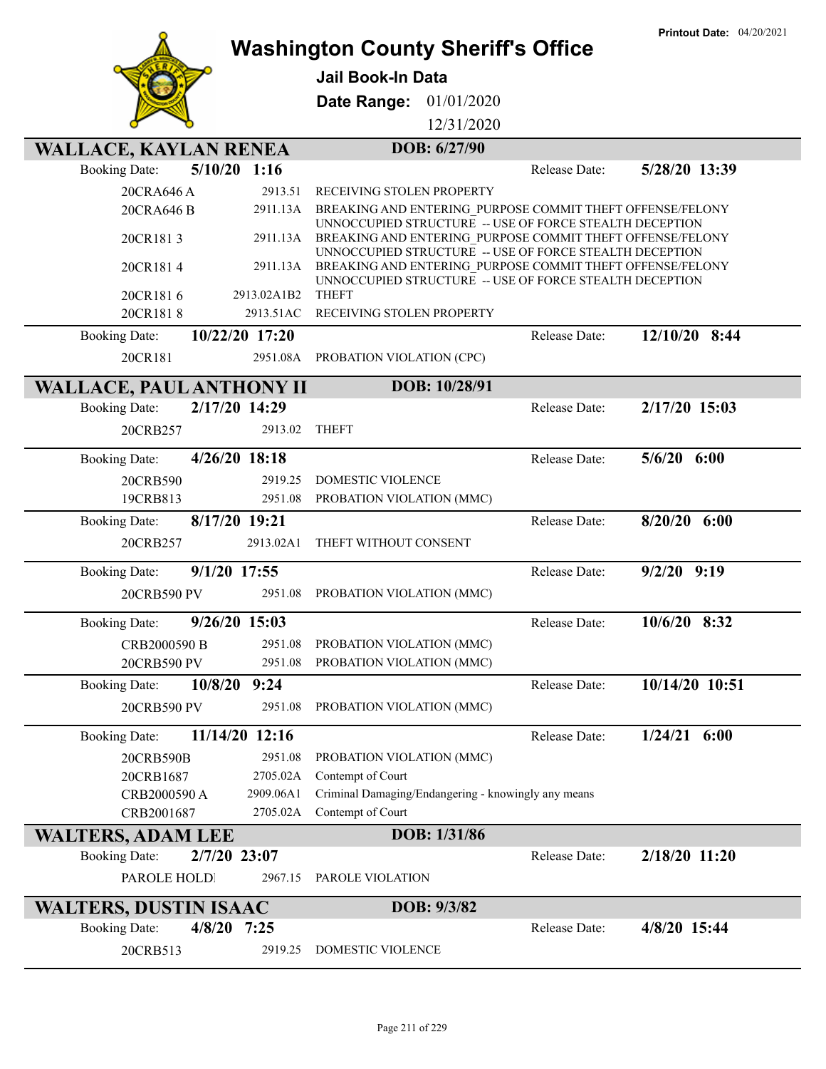|                                      |                    |                                                                                                                      |               | <b>Printout Date: 04/20/2021</b> |
|--------------------------------------|--------------------|----------------------------------------------------------------------------------------------------------------------|---------------|----------------------------------|
|                                      |                    | <b>Washington County Sheriff's Office</b>                                                                            |               |                                  |
|                                      |                    | <b>Jail Book-In Data</b>                                                                                             |               |                                  |
|                                      |                    | <b>Date Range: 01/01/2020</b>                                                                                        |               |                                  |
|                                      |                    | 12/31/2020                                                                                                           |               |                                  |
| <b>WALLACE, KAYLAN RENEA</b>         |                    | DOB: 6/27/90                                                                                                         |               |                                  |
| <b>Booking Date:</b>                 | $5/10/20$ 1:16     |                                                                                                                      | Release Date: | 5/28/20 13:39                    |
| 20CRA646 A                           | 2913.51            | RECEIVING STOLEN PROPERTY                                                                                            |               |                                  |
| 20CRA646 B                           | 2911.13A           | BREAKING AND ENTERING PURPOSE COMMIT THEFT OFFENSE/FELONY                                                            |               |                                  |
|                                      |                    | UNNOCCUPIED STRUCTURE -- USE OF FORCE STEALTH DECEPTION                                                              |               |                                  |
| 20CR1813                             | 2911.13A           | BREAKING AND ENTERING PURPOSE COMMIT THEFT OFFENSE/FELONY<br>UNNOCCUPIED STRUCTURE -- USE OF FORCE STEALTH DECEPTION |               |                                  |
| 20CR1814                             | 2911.13A           | BREAKING AND ENTERING_PURPOSE COMMIT THEFT OFFENSE/FELONY                                                            |               |                                  |
| 20CR1816                             | 2913.02A1B2        | UNNOCCUPIED STRUCTURE -- USE OF FORCE STEALTH DECEPTION<br><b>THEFT</b>                                              |               |                                  |
| 20CR1818                             | 2913.51AC          | RECEIVING STOLEN PROPERTY                                                                                            |               |                                  |
| <b>Booking Date:</b>                 | 10/22/20 17:20     |                                                                                                                      | Release Date: | 12/10/20 8:44                    |
| 20CR181                              | 2951.08A           | PROBATION VIOLATION (CPC)                                                                                            |               |                                  |
|                                      |                    |                                                                                                                      |               |                                  |
| <b>WALLACE, PAUL ANTHONY II</b>      |                    | DOB: 10/28/91                                                                                                        |               |                                  |
| <b>Booking Date:</b>                 | 2/17/20 14:29      |                                                                                                                      | Release Date: | 2/17/20 15:03                    |
| 20CRB257                             | 2913.02            | <b>THEFT</b>                                                                                                         |               |                                  |
| <b>Booking Date:</b>                 | 4/26/20 18:18      |                                                                                                                      | Release Date: | $5/6/20$ $6:00$                  |
| 20CRB590                             | 2919.25            | DOMESTIC VIOLENCE                                                                                                    |               |                                  |
| 19CRB813                             | 2951.08            | PROBATION VIOLATION (MMC)                                                                                            |               |                                  |
| <b>Booking Date:</b>                 | 8/17/20 19:21      |                                                                                                                      | Release Date: | $8/20/20$ 6:00                   |
| 20CRB257                             | 2913.02A1          | THEFT WITHOUT CONSENT                                                                                                |               |                                  |
| 9/1/20 17:55<br><b>Booking Date:</b> |                    |                                                                                                                      | Release Date: | $9/2/20$ $9:19$                  |
| 20CRB590 PV                          | 2951.08            | PROBATION VIOLATION (MMC)                                                                                            |               |                                  |
| <b>Booking Date:</b>                 | 9/26/20 15:03      |                                                                                                                      | Release Date: | 10/6/20 8:32                     |
|                                      |                    |                                                                                                                      |               |                                  |
| CRB2000590 B<br>20CRB590 PV          | 2951.08<br>2951.08 | PROBATION VIOLATION (MMC)<br>PROBATION VIOLATION (MMC)                                                               |               |                                  |
| <b>Booking Date:</b>                 | 10/8/20 9:24       |                                                                                                                      | Release Date: | 10/14/20 10:51                   |
|                                      | 2951.08            |                                                                                                                      |               |                                  |
| 20CRB590 PV                          |                    | PROBATION VIOLATION (MMC)                                                                                            |               |                                  |
| <b>Booking Date:</b>                 | 11/14/20 12:16     |                                                                                                                      | Release Date: | $1/24/21$ 6:00                   |
| 20CRB590B                            | 2951.08            | PROBATION VIOLATION (MMC)                                                                                            |               |                                  |
| 20CRB1687                            | 2705.02A           | Contempt of Court                                                                                                    |               |                                  |
| CRB2000590 A                         | 2909.06A1          | Criminal Damaging/Endangering - knowingly any means                                                                  |               |                                  |
| CRB2001687                           | 2705.02A           | Contempt of Court                                                                                                    |               |                                  |
| <b>WALTERS, ADAM LEE</b>             |                    | DOB: 1/31/86                                                                                                         |               |                                  |
| 2/7/20 23:07<br><b>Booking Date:</b> |                    |                                                                                                                      | Release Date: | 2/18/20 11:20                    |
| PAROLE HOLDI                         | 2967.15            | PAROLE VIOLATION                                                                                                     |               |                                  |
| <b>WALTERS, DUSTIN ISAAC</b>         |                    | DOB: 9/3/82                                                                                                          |               |                                  |
| 4/8/20<br><b>Booking Date:</b>       | 7:25               |                                                                                                                      | Release Date: | 4/8/20 15:44                     |
| 20CRB513                             | 2919.25            | DOMESTIC VIOLENCE                                                                                                    |               |                                  |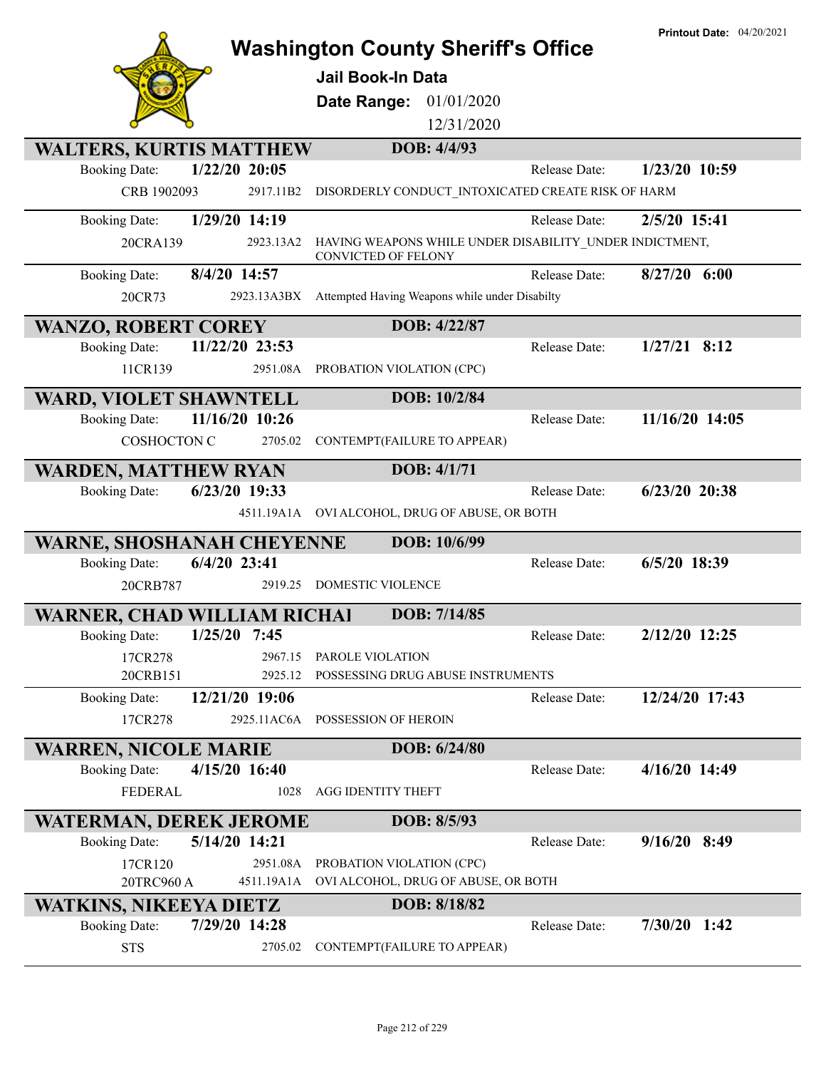|                                    |                 | <b>Washington County Sheriff's Office</b>                                             |               | <b>Printout Date: 04/20/2021</b> |
|------------------------------------|-----------------|---------------------------------------------------------------------------------------|---------------|----------------------------------|
|                                    |                 | <b>Jail Book-In Data</b>                                                              |               |                                  |
|                                    |                 |                                                                                       |               |                                  |
|                                    |                 | Date Range: 01/01/2020<br>12/31/2020                                                  |               |                                  |
|                                    |                 |                                                                                       |               |                                  |
| <b>WALTERS, KURTIS MATTHEW</b>     | $1/22/20$ 20:05 | DOB: 4/4/93                                                                           |               |                                  |
| <b>Booking Date:</b>               | 2917.11B2       |                                                                                       | Release Date: | 1/23/20 10:59                    |
| CRB 1902093                        |                 | DISORDERLY CONDUCT_INTOXICATED CREATE RISK OF HARM                                    |               |                                  |
| <b>Booking Date:</b>               | 1/29/20 14:19   |                                                                                       | Release Date: | 2/5/20 15:41                     |
| 20CRA139                           | 2923.13A2       | HAVING WEAPONS WHILE UNDER DISABILITY_UNDER INDICTMENT,<br><b>CONVICTED OF FELONY</b> |               |                                  |
| <b>Booking Date:</b>               | 8/4/20 14:57    |                                                                                       | Release Date: | $8/27/20$ 6:00                   |
| 20CR73                             | 2923.13A3BX     | Attempted Having Weapons while under Disabilty                                        |               |                                  |
| <b>WANZO, ROBERT COREY</b>         |                 | DOB: 4/22/87                                                                          |               |                                  |
| <b>Booking Date:</b>               | 11/22/20 23:53  |                                                                                       | Release Date: | $1/27/21$ 8:12                   |
| 11CR139                            | 2951.08A        | PROBATION VIOLATION (CPC)                                                             |               |                                  |
| <b>WARD, VIOLET SHAWNTELL</b>      |                 | DOB: 10/2/84                                                                          |               |                                  |
| <b>Booking Date:</b>               | 11/16/20 10:26  |                                                                                       | Release Date: | 11/16/20 14:05                   |
| <b>COSHOCTON C</b>                 | 2705.02         | CONTEMPT(FAILURE TO APPEAR)                                                           |               |                                  |
| <b>WARDEN, MATTHEW RYAN</b>        |                 | DOB: 4/1/71                                                                           |               |                                  |
| <b>Booking Date:</b>               | 6/23/20 19:33   |                                                                                       | Release Date: | $6/23/20$ 20:38                  |
|                                    |                 | 4511.19A1A OVI ALCOHOL, DRUG OF ABUSE, OR BOTH                                        |               |                                  |
| <b>WARNE, SHOSHANAH CHEYENNE</b>   |                 | DOB: 10/6/99                                                                          |               |                                  |
| <b>Booking Date:</b>               | 6/4/20 23:41    |                                                                                       | Release Date: | $6/5/20$ 18:39                   |
| 20CRB787                           | 2919.25         | <b>DOMESTIC VIOLENCE</b>                                                              |               |                                  |
| <b>WARNER, CHAD WILLIAM RICHAI</b> |                 | DOB: 7/14/85                                                                          |               |                                  |
| <b>Booking Date:</b>               | $1/25/20$ 7:45  |                                                                                       | Release Date: | 2/12/20 12:25                    |
| 17CR278                            | 2967.15         | PAROLE VIOLATION                                                                      |               |                                  |
| 20CRB151                           | 2925.12         | POSSESSING DRUG ABUSE INSTRUMENTS                                                     |               |                                  |
| <b>Booking Date:</b>               | 12/21/20 19:06  |                                                                                       | Release Date: | 12/24/20 17:43                   |
| 17CR278                            | 2925.11AC6A     | POSSESSION OF HEROIN                                                                  |               |                                  |
| <b>WARREN, NICOLE MARIE</b>        |                 | DOB: 6/24/80                                                                          |               |                                  |
| <b>Booking Date:</b>               | 4/15/20 16:40   |                                                                                       | Release Date: | 4/16/20 14:49                    |
| <b>FEDERAL</b>                     | 1028            | <b>AGG IDENTITY THEFT</b>                                                             |               |                                  |
| <b>WATERMAN, DEREK JEROME</b>      |                 | DOB: 8/5/93                                                                           |               |                                  |
| <b>Booking Date:</b>               | 5/14/20 14:21   |                                                                                       | Release Date: | $9/16/20$ 8:49                   |
| 17CR120                            | 2951.08A        | PROBATION VIOLATION (CPC)                                                             |               |                                  |
| 20TRC960 A                         | 4511.19A1A      | OVI ALCOHOL, DRUG OF ABUSE, OR BOTH                                                   |               |                                  |
| <b>WATKINS, NIKEEYA DIETZ</b>      |                 | DOB: 8/18/82                                                                          |               | $7/30/20$ 1:42                   |
| <b>Booking Date:</b>               | 7/29/20 14:28   |                                                                                       | Release Date: |                                  |
| <b>STS</b>                         | 2705.02         | CONTEMPT(FAILURE TO APPEAR)                                                           |               |                                  |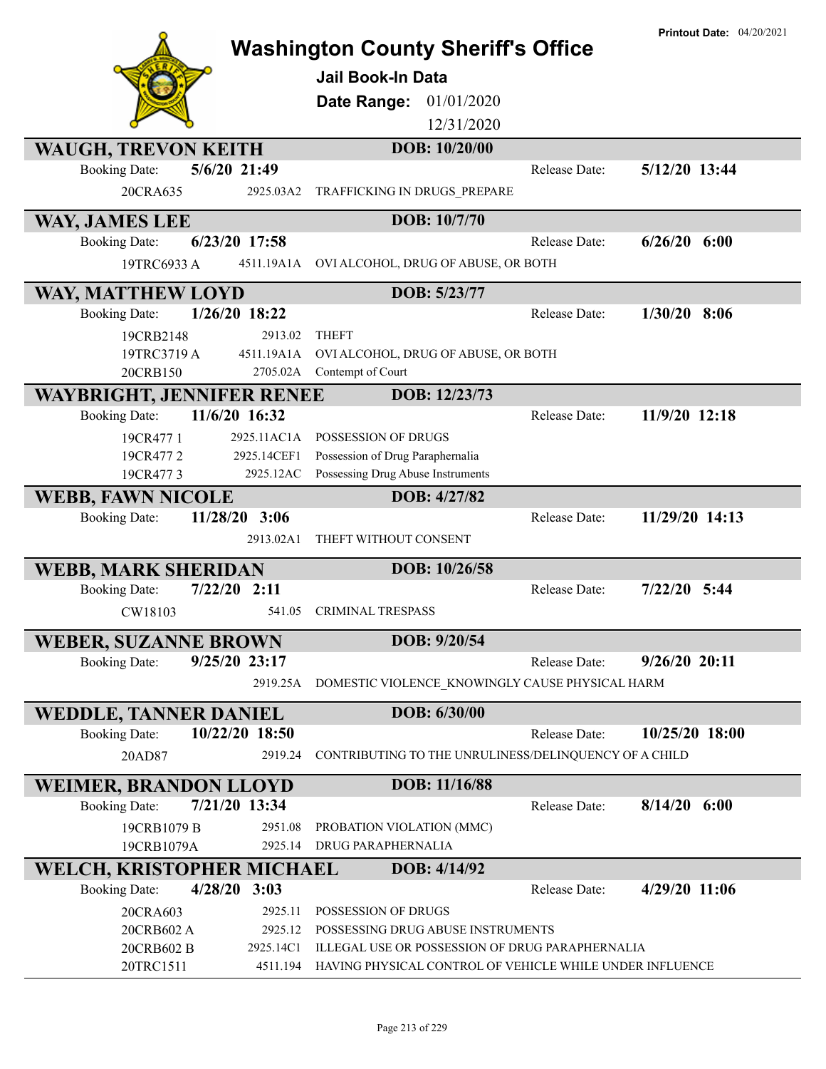|                                                                       | <b>Printout Date: 04/20/2021</b><br><b>Washington County Sheriff's Office</b><br><b>Jail Book-In Data</b><br>01/01/2020<br>Date Range:<br>12/31/2020 |
|-----------------------------------------------------------------------|------------------------------------------------------------------------------------------------------------------------------------------------------|
| <b>WAUGH, TREVON KEITH</b>                                            | DOB: 10/20/00                                                                                                                                        |
| 5/6/20 21:49<br><b>Booking Date:</b>                                  | 5/12/20 13:44<br>Release Date:                                                                                                                       |
| 20CRA635<br>2925.03A2                                                 | TRAFFICKING IN DRUGS PREPARE                                                                                                                         |
| WAY, JAMES LEE                                                        | DOB: 10/7/70                                                                                                                                         |
| 6/23/20 17:58<br><b>Booking Date:</b>                                 | $6/26/20$ $6:00$<br>Release Date:                                                                                                                    |
| 4511.19A1A<br>19TRC6933 A                                             | OVI ALCOHOL, DRUG OF ABUSE, OR BOTH                                                                                                                  |
| WAY, MATTHEW LOYD                                                     | DOB: 5/23/77                                                                                                                                         |
| 1/26/20 18:22<br><b>Booking Date:</b>                                 | $1/30/20$ 8:06<br>Release Date:                                                                                                                      |
| 19CRB2148<br>2913.02                                                  | <b>THEFT</b>                                                                                                                                         |
| 19TRC3719 A<br>4511.19A1A                                             | OVI ALCOHOL, DRUG OF ABUSE, OR BOTH                                                                                                                  |
| 20CRB150<br>2705.02A                                                  | Contempt of Court                                                                                                                                    |
| WAYBRIGHT, JENNIFER RENEE                                             | DOB: 12/23/73                                                                                                                                        |
| 11/6/20 16:32<br><b>Booking Date:</b>                                 | 11/9/20 12:18<br>Release Date:                                                                                                                       |
| 2925.11AC1A<br>19CR477 1                                              | POSSESSION OF DRUGS                                                                                                                                  |
| 2925.14CEF1<br>19CR4772                                               | Possession of Drug Paraphernalia                                                                                                                     |
| 19CR4773<br>2925.12AC                                                 | Possessing Drug Abuse Instruments                                                                                                                    |
| <b>WEBB, FAWN NICOLE</b>                                              | DOB: 4/27/82                                                                                                                                         |
| 11/28/20<br>3:06<br><b>Booking Date:</b>                              | 11/29/20 14:13<br>Release Date:                                                                                                                      |
| 2913.02A1                                                             | THEFT WITHOUT CONSENT                                                                                                                                |
| <b>WEBB, MARK SHERIDAN</b>                                            | DOB: 10/26/58                                                                                                                                        |
| $7/22/20$ 2:11<br><b>Booking Date:</b>                                | $7/22/20$ 5:44<br>Release Date:                                                                                                                      |
| CW18103<br>541.05                                                     | <b>CRIMINAL TRESPASS</b>                                                                                                                             |
| <b>WEBER, SUZANNE BROWN</b>                                           | DOB: 9/20/54                                                                                                                                         |
| 9/25/20 23:17<br><b>Booking Date:</b>                                 | $9/26/20$ 20:11<br>Release Date:                                                                                                                     |
| 2919.25A                                                              | DOMESTIC VIOLENCE KNOWINGLY CAUSE PHYSICAL HARM                                                                                                      |
| <b>WEDDLE, TANNER DANIEL</b>                                          | DOB: 6/30/00                                                                                                                                         |
| 10/22/20 18:50<br><b>Booking Date:</b>                                | 10/25/20 18:00<br>Release Date:                                                                                                                      |
| 20AD87<br>2919.24                                                     | CONTRIBUTING TO THE UNRULINESS/DELINQUENCY OF A CHILD                                                                                                |
|                                                                       | DOB: 11/16/88                                                                                                                                        |
| <b>WEIMER, BRANDON LLOYD</b><br>7/21/20 13:34<br><b>Booking Date:</b> | Release Date:<br>$8/14/20$ 6:00                                                                                                                      |
| 19CRB1079 B<br>2951.08                                                | PROBATION VIOLATION (MMC)                                                                                                                            |
| 19CRB1079A<br>2925.14                                                 | DRUG PARAPHERNALIA                                                                                                                                   |
| WELCH, KRISTOPHER MICHAEL                                             | DOB: 4/14/92                                                                                                                                         |
| $4/28/20$ 3:03<br><b>Booking Date:</b>                                | 4/29/20 11:06<br>Release Date:                                                                                                                       |
| 20CRA603<br>2925.11                                                   | POSSESSION OF DRUGS                                                                                                                                  |
| 2925.12<br>20CRB602 A                                                 |                                                                                                                                                      |
|                                                                       | POSSESSING DRUG ABUSE INSTRUMENTS                                                                                                                    |
| 2925.14C1<br>20CRB602 B                                               | ILLEGAL USE OR POSSESSION OF DRUG PARAPHERNALIA                                                                                                      |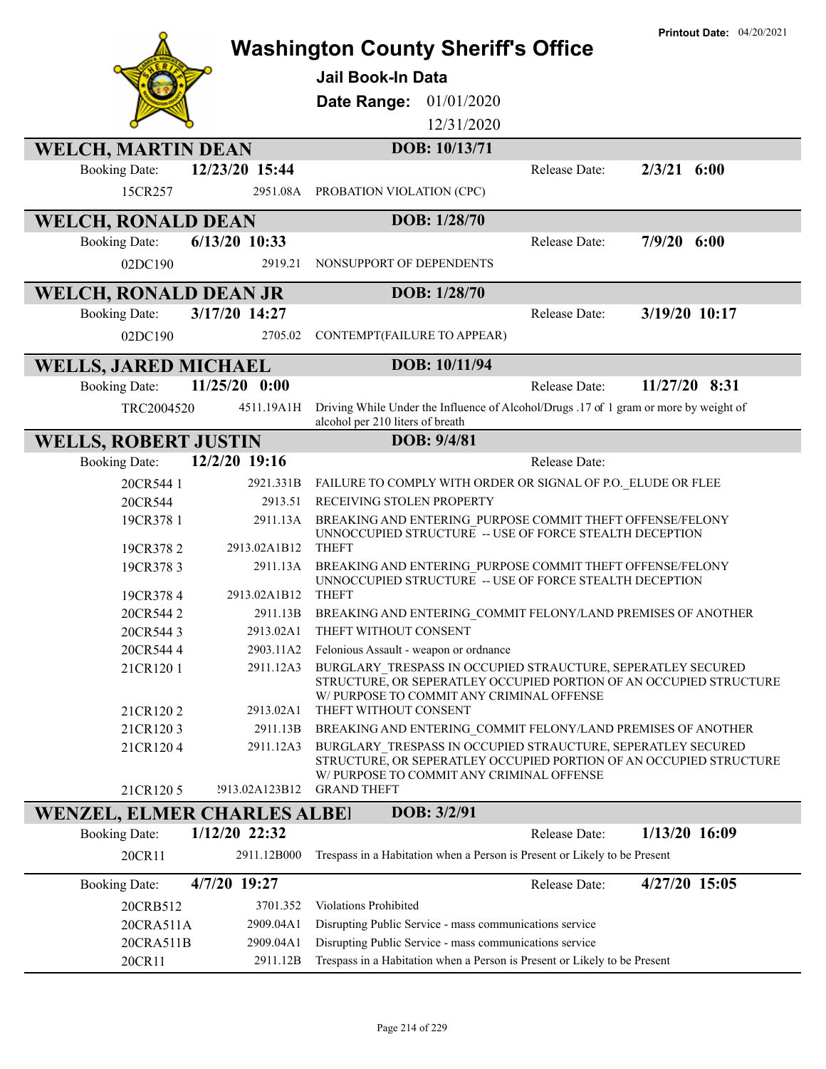|                                    |                          |                                                                                                                                    | <b>Printout Date: 04/20/2021</b> |
|------------------------------------|--------------------------|------------------------------------------------------------------------------------------------------------------------------------|----------------------------------|
|                                    |                          | <b>Washington County Sheriff's Office</b>                                                                                          |                                  |
|                                    |                          | Jail Book-In Data                                                                                                                  |                                  |
|                                    |                          | 01/01/2020<br>Date Range:                                                                                                          |                                  |
|                                    |                          | 12/31/2020                                                                                                                         |                                  |
|                                    |                          |                                                                                                                                    |                                  |
| <b>WELCH, MARTIN DEAN</b>          |                          | DOB: 10/13/71                                                                                                                      |                                  |
| <b>Booking Date:</b>               | 12/23/20 15:44           | Release Date:                                                                                                                      | $2/3/21$ 6:00                    |
| 15CR257                            | 2951.08A                 | PROBATION VIOLATION (CPC)                                                                                                          |                                  |
| <b>WELCH, RONALD DEAN</b>          |                          | DOB: 1/28/70                                                                                                                       |                                  |
| <b>Booking Date:</b>               | $6/13/20$ 10:33          | Release Date:                                                                                                                      | $7/9/20$ 6:00                    |
| 02DC190                            | 2919.21                  | NONSUPPORT OF DEPENDENTS                                                                                                           |                                  |
| <b>WELCH, RONALD DEAN JR</b>       |                          | DOB: 1/28/70                                                                                                                       |                                  |
| <b>Booking Date:</b>               | 3/17/20 14:27            | Release Date:                                                                                                                      | 3/19/20 10:17                    |
| 02DC190                            | 2705.02                  | CONTEMPT(FAILURE TO APPEAR)                                                                                                        |                                  |
|                                    |                          |                                                                                                                                    |                                  |
| <b>WELLS, JARED MICHAEL</b>        |                          | DOB: 10/11/94                                                                                                                      |                                  |
| <b>Booking Date:</b>               | 11/25/20 0:00            | Release Date:                                                                                                                      | 11/27/20 8:31                    |
| TRC2004520                         | 4511.19A1H               | Driving While Under the Influence of Alcohol/Drugs .17 of 1 gram or more by weight of<br>alcohol per 210 liters of breath          |                                  |
| <b>WELLS, ROBERT JUSTIN</b>        |                          | DOB: 9/4/81                                                                                                                        |                                  |
| <b>Booking Date:</b>               | 12/2/20 19:16            | Release Date:                                                                                                                      |                                  |
| 20CR544 1                          | 2921.331B                | FAILURE TO COMPLY WITH ORDER OR SIGNAL OF P.O. ELUDE OR FLEE                                                                       |                                  |
| 20CR544                            | 2913.51                  | RECEIVING STOLEN PROPERTY                                                                                                          |                                  |
| 19CR378 1                          | 2911.13A                 | BREAKING AND ENTERING PURPOSE COMMIT THEFT OFFENSE/FELONY<br>UNNOCCUPIED STRUCTURE -- USE OF FORCE STEALTH DECEPTION               |                                  |
| 19CR3782                           | 2913.02A1B12             | <b>THEFT</b>                                                                                                                       |                                  |
| 19CR3783                           | 2911.13A                 | BREAKING AND ENTERING PURPOSE COMMIT THEFT OFFENSE/FELONY<br>UNNOCCUPIED STRUCTURE -- USE OF FORCE STEALTH DECEPTION               |                                  |
| 19CR3784                           | 2913.02A1B12<br>2911.13B | <b>THEFT</b><br>BREAKING AND ENTERING_COMMIT FELONY/LAND PREMISES OF ANOTHER                                                       |                                  |
| 20CR5442<br>20CR5443               | 2913.02A1                | THEFT WITHOUT CONSENT                                                                                                              |                                  |
| 20CR5444                           | 2903.11A2                | Felonious Assault - weapon or ordnance                                                                                             |                                  |
| 21CR1201                           | 2911.12A3                | BURGLARY TRESPASS IN OCCUPIED STRAUCTURE, SEPERATLEY SECURED                                                                       |                                  |
|                                    |                          | STRUCTURE, OR SEPERATLEY OCCUPIED PORTION OF AN OCCUPIED STRUCTURE<br>W/PURPOSE TO COMMIT ANY CRIMINAL OFFENSE                     |                                  |
| 21CR1202                           | 2913.02A1                | THEFT WITHOUT CONSENT                                                                                                              |                                  |
| 21CR1203                           | 2911.13B                 | BREAKING AND ENTERING COMMIT FELONY/LAND PREMISES OF ANOTHER                                                                       |                                  |
| 21CR1204                           | 2911.12A3                | BURGLARY TRESPASS IN OCCUPIED STRAUCTURE, SEPERATLEY SECURED<br>STRUCTURE, OR SEPERATLEY OCCUPIED PORTION OF AN OCCUPIED STRUCTURE |                                  |
| 21CR1205                           | ?913.02A123B12           | W/ PURPOSE TO COMMIT ANY CRIMINAL OFFENSE<br><b>GRAND THEFT</b>                                                                    |                                  |
| <b>WENZEL, ELMER CHARLES ALBEI</b> |                          | DOB: 3/2/91                                                                                                                        |                                  |
| <b>Booking Date:</b>               | 1/12/20 22:32            | Release Date:                                                                                                                      | $1/13/20$ 16:09                  |
| 20CR11                             | 2911.12B000              | Trespass in a Habitation when a Person is Present or Likely to be Present                                                          |                                  |
| <b>Booking Date:</b>               | 4/7/20 19:27             | Release Date:                                                                                                                      | 4/27/20 15:05                    |
| 20CRB512                           | 3701.352                 | Violations Prohibited                                                                                                              |                                  |
| 20CRA511A                          | 2909.04A1                | Disrupting Public Service - mass communications service                                                                            |                                  |
| 20CRA511B                          | 2909.04A1                | Disrupting Public Service - mass communications service                                                                            |                                  |
| 20CR11                             | 2911.12B                 | Trespass in a Habitation when a Person is Present or Likely to be Present                                                          |                                  |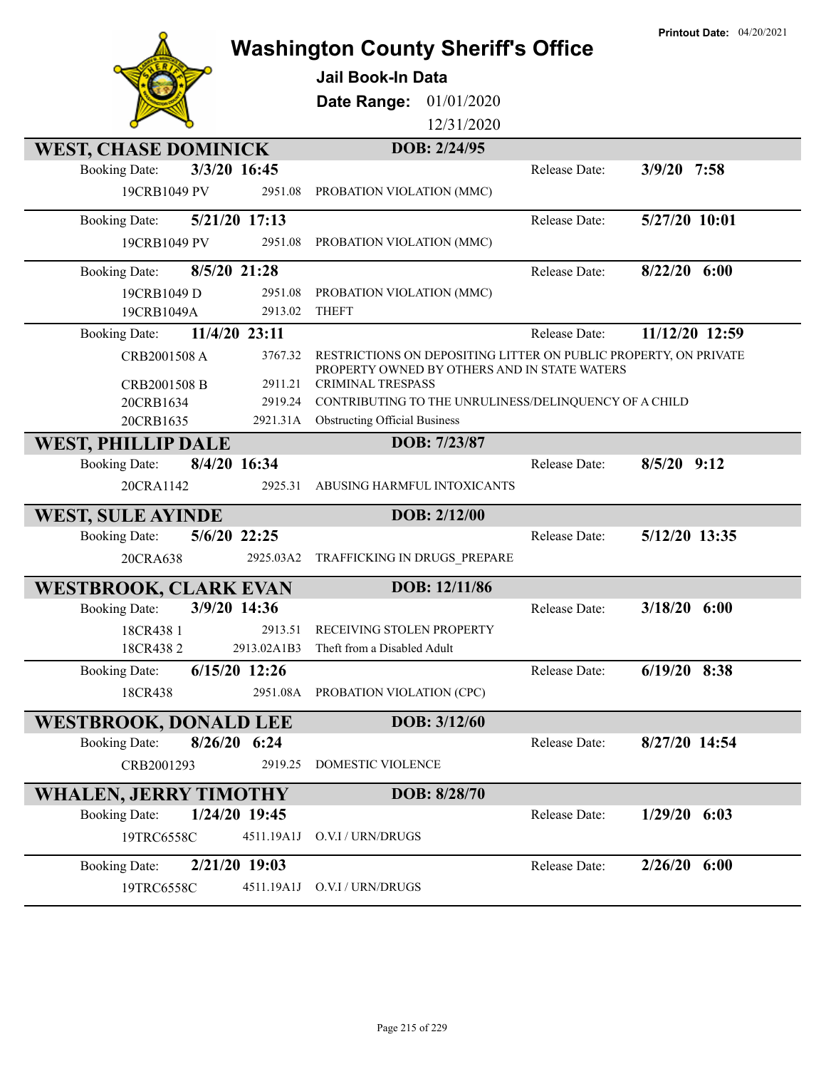|                                                    | <b>Washington County Sheriff's Office</b><br><b>Jail Book-In Data</b><br>Date Range:<br>01/01/2020<br>12/31/2020                      |               | <b>Printout Date: 04/20/2021</b> |
|----------------------------------------------------|---------------------------------------------------------------------------------------------------------------------------------------|---------------|----------------------------------|
| <b>WEST, CHASE DOMINICK</b>                        | DOB: 2/24/95                                                                                                                          |               |                                  |
| 3/3/20 16:45<br><b>Booking Date:</b>               |                                                                                                                                       | Release Date: | $3/9/20$ 7:58                    |
| 19CRB1049 PV<br>2951.08                            | PROBATION VIOLATION (MMC)                                                                                                             |               |                                  |
| 5/21/20 17:13<br><b>Booking Date:</b>              |                                                                                                                                       | Release Date: | $5/27/20$ $10:01$                |
| 19CRB1049 PV<br>2951.08                            | PROBATION VIOLATION (MMC)                                                                                                             |               |                                  |
| 8/5/20 21:28<br><b>Booking Date:</b>               |                                                                                                                                       | Release Date: | $8/22/20$ 6:00                   |
| 19CRB1049 D<br>2951.08                             | PROBATION VIOLATION (MMC)                                                                                                             |               |                                  |
| 19CRB1049A<br>2913.02                              | <b>THEFT</b>                                                                                                                          |               |                                  |
| 11/4/20 23:11<br><b>Booking Date:</b>              |                                                                                                                                       | Release Date: | 11/12/20 12:59                   |
| CRB2001508 A<br>3767.32<br>2911.21<br>CRB2001508 B | RESTRICTIONS ON DEPOSITING LITTER ON PUBLIC PROPERTY, ON PRIVATE<br>PROPERTY OWNED BY OTHERS AND IN STATE WATERS<br>CRIMINAL TRESPASS |               |                                  |
| 20CRB1634<br>2919.24                               | CONTRIBUTING TO THE UNRULINESS/DELINQUENCY OF A CHILD                                                                                 |               |                                  |
| 20CRB1635<br>2921.31A                              | <b>Obstructing Official Business</b>                                                                                                  |               |                                  |
|                                                    |                                                                                                                                       |               |                                  |
| <b>WEST, PHILLIP DALE</b>                          | DOB: 7/23/87                                                                                                                          |               |                                  |
| 8/4/20 16:34<br><b>Booking Date:</b>               |                                                                                                                                       | Release Date: | $8/5/20$ 9:12                    |
| 20CRA1142<br>2925.31                               | ABUSING HARMFUL INTOXICANTS                                                                                                           |               |                                  |
| <b>WEST, SULE AYINDE</b>                           | DOB: 2/12/00                                                                                                                          |               |                                  |
| 5/6/20 22:25<br><b>Booking Date:</b>               |                                                                                                                                       | Release Date: | 5/12/20 13:35                    |
| 20CRA638<br>2925.03A2                              | TRAFFICKING IN DRUGS_PREPARE                                                                                                          |               |                                  |
| <b>WESTBROOK, CLARK EVAN</b>                       | DOB: 12/11/86                                                                                                                         |               |                                  |
| 3/9/20 14:36<br><b>Booking Date:</b>               |                                                                                                                                       | Release Date: | $3/18/20$ 6:00                   |
| 2913.51<br>18CR438 1                               | RECEIVING STOLEN PROPERTY                                                                                                             |               |                                  |
| 18CR4382                                           | 2913.02A1B3 Theft from a Disabled Adult                                                                                               |               |                                  |
| 6/15/20 12:26<br><b>Booking Date:</b>              |                                                                                                                                       | Release Date: | $6/19/20$ 8:38                   |
|                                                    | 2951.08A PROBATION VIOLATION (CPC)                                                                                                    |               |                                  |
| 18CR438                                            |                                                                                                                                       |               |                                  |
| <b>WESTBROOK, DONALD LEE</b>                       | DOB: 3/12/60                                                                                                                          |               |                                  |
| $8/26/20$ 6:24<br><b>Booking Date:</b>             |                                                                                                                                       | Release Date: | 8/27/20 14:54                    |
| CRB2001293<br>2919.25                              | DOMESTIC VIOLENCE                                                                                                                     |               |                                  |
| <b>WHALEN, JERRY TIMOTHY</b>                       | DOB: 8/28/70                                                                                                                          |               |                                  |
| 1/24/20 19:45<br><b>Booking Date:</b>              |                                                                                                                                       | Release Date: | $1/29/20$ 6:03                   |
| 19TRC6558C<br>4511.19A1J                           | O.V.I / URN/DRUGS                                                                                                                     |               |                                  |
| 2/21/20 19:03<br><b>Booking Date:</b>              |                                                                                                                                       | Release Date: | $2/26/20$ 6:00                   |
| 4511.19A1J                                         | O.V.I / URN/DRUGS                                                                                                                     |               |                                  |
| 19TRC6558C                                         |                                                                                                                                       |               |                                  |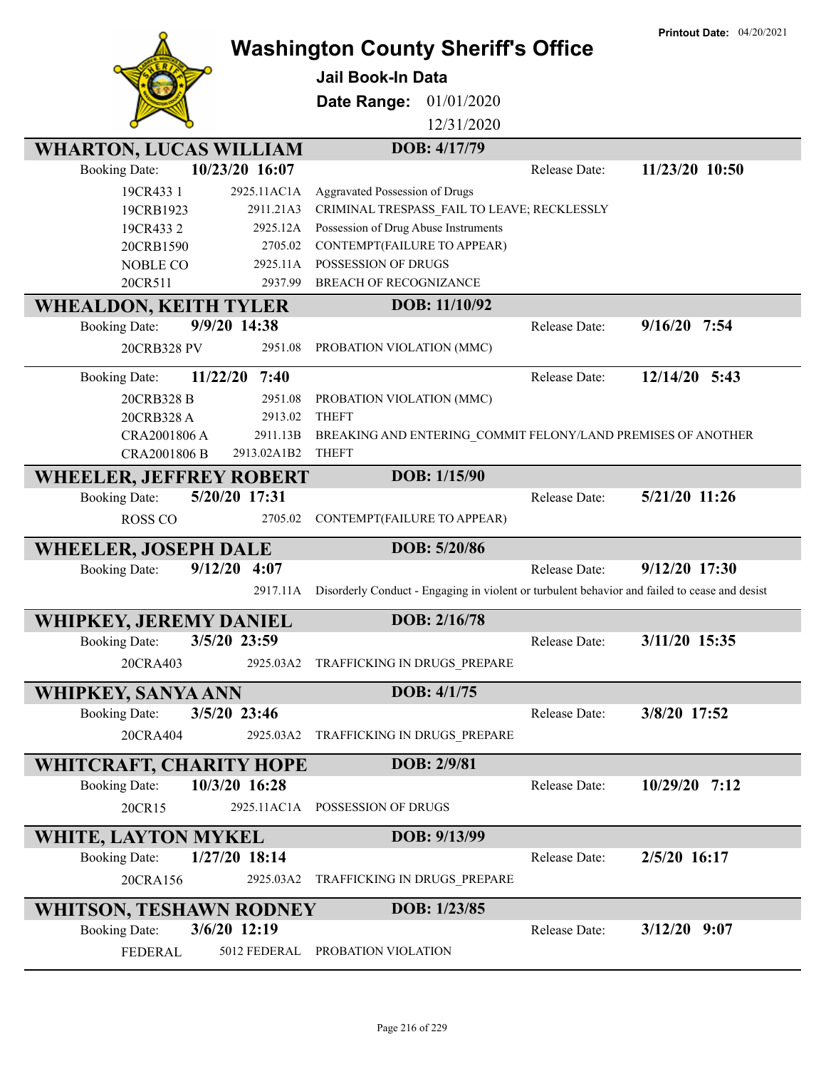|                                          |                                                  |                                                                                               | <b>Printout Date: 04/20/2021</b> |
|------------------------------------------|--------------------------------------------------|-----------------------------------------------------------------------------------------------|----------------------------------|
|                                          |                                                  | <b>Washington County Sheriff's Office</b>                                                     |                                  |
|                                          | Jail Book-In Data                                |                                                                                               |                                  |
|                                          |                                                  |                                                                                               |                                  |
|                                          | Date Range:                                      | 01/01/2020                                                                                    |                                  |
|                                          |                                                  | 12/31/2020                                                                                    |                                  |
| <b>WHARTON, LUCAS WILLIAM</b>            |                                                  | DOB: 4/17/79                                                                                  |                                  |
| 10/23/20 16:07<br><b>Booking Date:</b>   |                                                  | Release Date:                                                                                 | 11/23/20 10:50                   |
| 2925.11AC1A<br>19CR433 1                 | Aggravated Possession of Drugs                   |                                                                                               |                                  |
| 19CRB1923                                | 2911.21A3                                        | CRIMINAL TRESPASS FAIL TO LEAVE; RECKLESSLY                                                   |                                  |
| 19CR433 2                                | Possession of Drug Abuse Instruments<br>2925.12A |                                                                                               |                                  |
| 20CRB1590                                | 2705.02<br>CONTEMPT(FAILURE TO APPEAR)           |                                                                                               |                                  |
| <b>NOBLE CO</b>                          | POSSESSION OF DRUGS<br>2925.11A                  |                                                                                               |                                  |
| 20CR511                                  | 2937.99<br>BREACH OF RECOGNIZANCE                |                                                                                               |                                  |
| <b>WHEALDON, KEITH TYLER</b>             |                                                  | DOB: 11/10/92                                                                                 |                                  |
| 9/9/20 14:38<br><b>Booking Date:</b>     |                                                  | Release Date:                                                                                 | $9/16/20$ 7:54                   |
| 20CRB328 PV                              | 2951.08<br>PROBATION VIOLATION (MMC)             |                                                                                               |                                  |
|                                          |                                                  |                                                                                               |                                  |
| 11/22/20<br>7:40<br><b>Booking Date:</b> |                                                  | Release Date:                                                                                 | 12/14/20 5:43                    |
| 20CRB328 B                               | 2951.08<br>PROBATION VIOLATION (MMC)             |                                                                                               |                                  |
| 20CRB328 A                               | 2913.02<br><b>THEFT</b>                          |                                                                                               |                                  |
| CRA2001806 A                             | 2911.13B                                         | BREAKING AND ENTERING COMMIT FELONY/LAND PREMISES OF ANOTHER                                  |                                  |
| CRA2001806 B<br>2913.02A1B2              | <b>THEFT</b>                                     |                                                                                               |                                  |
| <b>WHEELER, JEFFREY ROBERT</b>           |                                                  | DOB: 1/15/90                                                                                  |                                  |
| 5/20/20 17:31<br><b>Booking Date:</b>    |                                                  | Release Date:                                                                                 | 5/21/20 11:26                    |
| <b>ROSS CO</b>                           | 2705.02<br>CONTEMPT(FAILURE TO APPEAR)           |                                                                                               |                                  |
| <b>WHEELER, JOSEPH DALE</b>              |                                                  | DOB: 5/20/86                                                                                  |                                  |
| 9/12/20<br><b>Booking Date:</b><br>4:07  |                                                  | Release Date:                                                                                 | $9/12/20$ 17:30                  |
|                                          |                                                  |                                                                                               |                                  |
|                                          | 2917.11A                                         | Disorderly Conduct - Engaging in violent or turbulent behavior and failed to cease and desist |                                  |
| <b>WHIPKEY, JEREMY DANIEL</b>            |                                                  | DOB: 2/16/78                                                                                  |                                  |
| 3/5/20 23:59<br><b>Booking Date:</b>     |                                                  | Release Date:                                                                                 | 3/11/20 15:35                    |
| 20CRA403                                 | 2925.03A2<br>TRAFFICKING IN DRUGS PREPARE        |                                                                                               |                                  |
|                                          |                                                  |                                                                                               |                                  |
| <b>WHIPKEY, SANYA ANN</b>                |                                                  | DOB: 4/1/75                                                                                   |                                  |
| 3/5/20 23:46<br><b>Booking Date:</b>     |                                                  | Release Date:                                                                                 | 3/8/20 17:52                     |
| 20CRA404<br>2925.03A2                    |                                                  | TRAFFICKING IN DRUGS PREPARE                                                                  |                                  |
| WHITCRAFT, CHARITY HOPE                  |                                                  | DOB: 2/9/81                                                                                   |                                  |
| 10/3/20 16:28<br><b>Booking Date:</b>    |                                                  | Release Date:                                                                                 | 10/29/20 7:12                    |
| 20CR15                                   | 2925.11AC1A POSSESSION OF DRUGS                  |                                                                                               |                                  |
|                                          |                                                  |                                                                                               |                                  |
| <b>WHITE, LAYTON MYKEL</b>               |                                                  | DOB: 9/13/99                                                                                  |                                  |
| 1/27/20 18:14<br><b>Booking Date:</b>    |                                                  | Release Date:                                                                                 | 2/5/20 16:17                     |
| 20CRA156                                 | TRAFFICKING IN DRUGS_PREPARE<br>2925.03A2        |                                                                                               |                                  |
| <b>WHITSON, TESHAWN RODNEY</b>           |                                                  | DOB: 1/23/85                                                                                  |                                  |
| 3/6/20 12:19<br><b>Booking Date:</b>     |                                                  | Release Date:                                                                                 | $3/12/20$ 9:07                   |
|                                          |                                                  |                                                                                               |                                  |
| FEDERAL                                  | 5012 FEDERAL PROBATION VIOLATION                 |                                                                                               |                                  |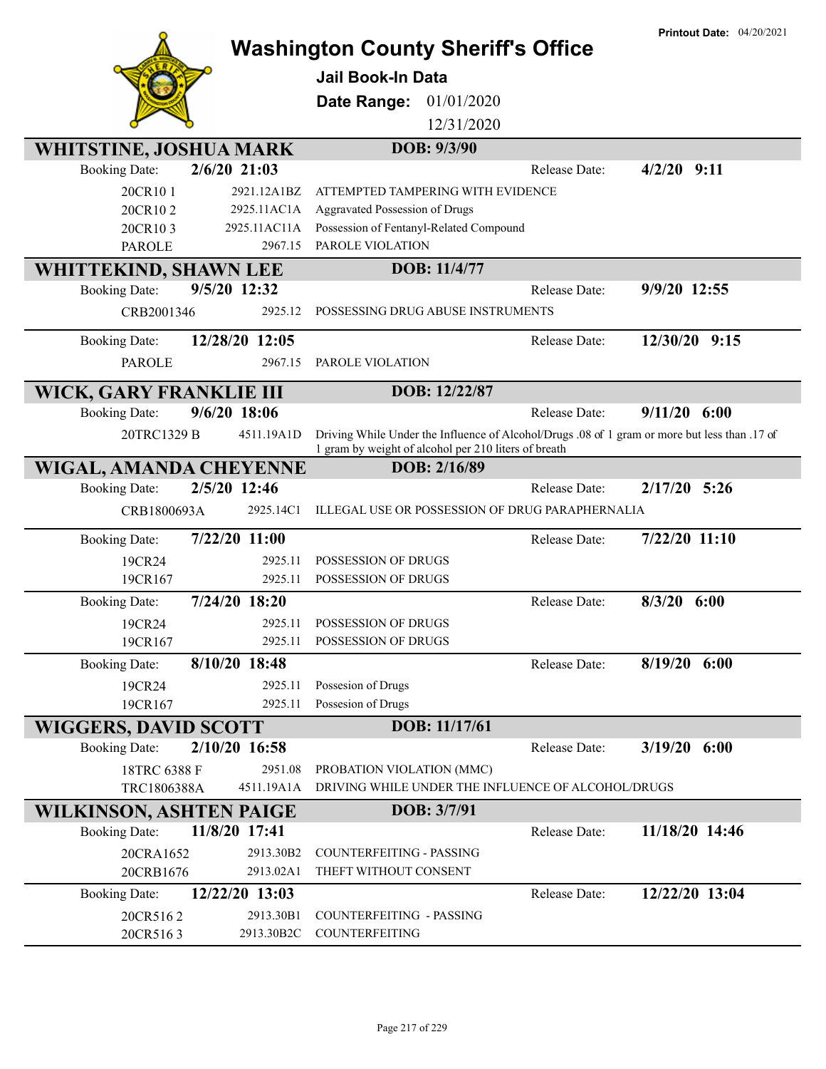|                                |                | <b>Washington County Sheriff's Office</b>                                                                                                             |                      | <b>Printout Date: 04/20/2021</b> |
|--------------------------------|----------------|-------------------------------------------------------------------------------------------------------------------------------------------------------|----------------------|----------------------------------|
|                                |                |                                                                                                                                                       |                      |                                  |
|                                |                | <b>Jail Book-In Data</b>                                                                                                                              |                      |                                  |
|                                |                | 01/01/2020<br>Date Range:                                                                                                                             |                      |                                  |
|                                |                | 12/31/2020                                                                                                                                            |                      |                                  |
| <b>WHITSTINE, JOSHUA MARK</b>  |                | DOB: 9/3/90                                                                                                                                           |                      |                                  |
| <b>Booking Date:</b>           | $2/6/20$ 21:03 |                                                                                                                                                       | Release Date:        | $4/2/20$ 9:11                    |
| 20CR101                        | 2921.12A1BZ    | ATTEMPTED TAMPERING WITH EVIDENCE                                                                                                                     |                      |                                  |
| 20CR102                        | 2925.11AC1A    | Aggravated Possession of Drugs                                                                                                                        |                      |                                  |
| 20CR103                        | 2925.11AC11A   | Possession of Fentanyl-Related Compound                                                                                                               |                      |                                  |
| <b>PAROLE</b>                  | 2967.15        | PAROLE VIOLATION                                                                                                                                      |                      |                                  |
| WHITTEKIND, SHAWN LEE          |                | DOB: 11/4/77                                                                                                                                          |                      |                                  |
| <b>Booking Date:</b>           | 9/5/20 12:32   |                                                                                                                                                       | Release Date:        | 9/9/20 12:55                     |
| CRB2001346                     | 2925.12        | POSSESSING DRUG ABUSE INSTRUMENTS                                                                                                                     |                      |                                  |
| <b>Booking Date:</b>           | 12/28/20 12:05 |                                                                                                                                                       | Release Date:        | 12/30/20 9:15                    |
| <b>PAROLE</b>                  | 2967.15        | PAROLE VIOLATION                                                                                                                                      |                      |                                  |
| WICK, GARY FRANKLIE III        |                | DOB: 12/22/87                                                                                                                                         |                      |                                  |
| <b>Booking Date:</b>           | 9/6/20 18:06   |                                                                                                                                                       | Release Date:        | $9/11/20$ 6:00                   |
| 20TRC1329 B                    | 4511.19A1D     | Driving While Under the Influence of Alcohol/Drugs .08 of 1 gram or more but less than .17 of<br>1 gram by weight of alcohol per 210 liters of breath |                      |                                  |
| WIGAL, AMANDA CHEYENNE         |                | DOB: 2/16/89                                                                                                                                          |                      |                                  |
| <b>Booking Date:</b>           | 2/5/20 12:46   |                                                                                                                                                       | <b>Release Date:</b> | $2/17/20$ 5:26                   |
| CRB1800693A                    | 2925.14C1      | ILLEGAL USE OR POSSESSION OF DRUG PARAPHERNALIA                                                                                                       |                      |                                  |
| <b>Booking Date:</b>           | 7/22/20 11:00  |                                                                                                                                                       | Release Date:        | 7/22/20 11:10                    |
| 19CR24                         | 2925.11        | POSSESSION OF DRUGS                                                                                                                                   |                      |                                  |
| 19CR167                        | 2925.11        | POSSESSION OF DRUGS                                                                                                                                   |                      |                                  |
| <b>Booking Date:</b>           | 7/24/20 18:20  |                                                                                                                                                       | Release Date:        | $8/3/20$ 6:00                    |
| 19CR24                         | 2925.11        | POSSESSION OF DRUGS                                                                                                                                   |                      |                                  |
| 19CR167                        | 2925.11        | POSSESSION OF DRUGS                                                                                                                                   |                      |                                  |
| <b>Booking Date:</b>           | 8/10/20 18:48  |                                                                                                                                                       | Release Date:        | $8/19/20$ 6:00                   |
| 19CR24                         | 2925.11        | Possesion of Drugs                                                                                                                                    |                      |                                  |
| 19CR167                        | 2925.11        | Possesion of Drugs                                                                                                                                    |                      |                                  |
| <b>WIGGERS, DAVID SCOTT</b>    |                | DOB: 11/17/61                                                                                                                                         |                      |                                  |
| <b>Booking Date:</b>           | 2/10/20 16:58  |                                                                                                                                                       | Release Date:        | $3/19/20$ 6:00                   |
| 18TRC 6388 F                   | 2951.08        | PROBATION VIOLATION (MMC)                                                                                                                             |                      |                                  |
| TRC1806388A                    | 4511.19A1A     | DRIVING WHILE UNDER THE INFLUENCE OF ALCOHOL/DRUGS                                                                                                    |                      |                                  |
| <b>WILKINSON, ASHTEN PAIGE</b> |                | DOB: 3/7/91                                                                                                                                           |                      |                                  |
| <b>Booking Date:</b>           | 11/8/20 17:41  |                                                                                                                                                       | Release Date:        | 11/18/20 14:46                   |
| 20CRA1652                      | 2913.30B2      | COUNTERFEITING - PASSING                                                                                                                              |                      |                                  |
| 20CRB1676                      | 2913.02A1      | THEFT WITHOUT CONSENT                                                                                                                                 |                      |                                  |
| <b>Booking Date:</b>           | 12/22/20 13:03 |                                                                                                                                                       | Release Date:        | 12/22/20 13:04                   |
| 20CR5162                       | 2913.30B1      | COUNTERFEITING - PASSING                                                                                                                              |                      |                                  |
| 20CR5163                       | 2913.30B2C     | COUNTERFEITING                                                                                                                                        |                      |                                  |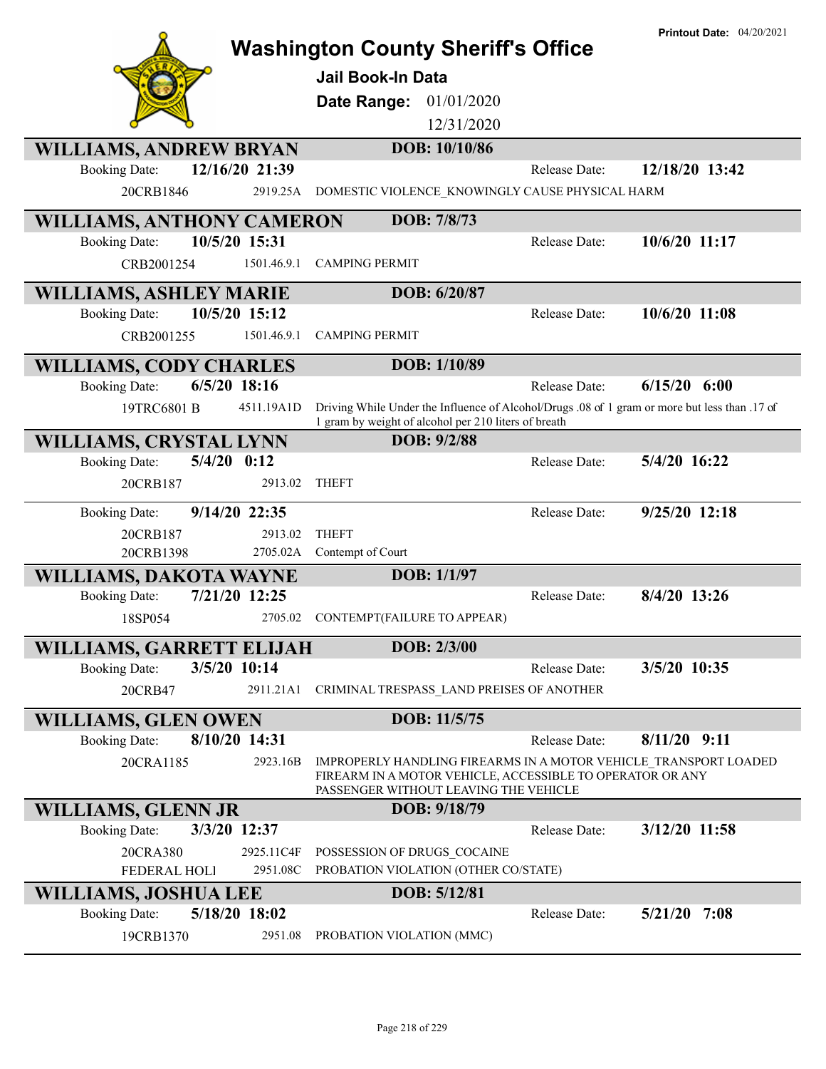|                                                                         | <b>Washington County Sheriff's Office</b>                                                                                                                              |                      | <b>Printout Date: 04/20/2021</b> |
|-------------------------------------------------------------------------|------------------------------------------------------------------------------------------------------------------------------------------------------------------------|----------------------|----------------------------------|
|                                                                         | Jail Book-In Data                                                                                                                                                      |                      |                                  |
|                                                                         | 01/01/2020<br>Date Range:                                                                                                                                              |                      |                                  |
|                                                                         | 12/31/2020                                                                                                                                                             |                      |                                  |
|                                                                         | DOB: 10/10/86                                                                                                                                                          |                      |                                  |
| <b>WILLIAMS, ANDREW BRYAN</b><br>12/16/20 21:39<br><b>Booking Date:</b> |                                                                                                                                                                        | <b>Release Date:</b> | 12/18/20 13:42                   |
| 20CRB1846<br>2919.25A                                                   | DOMESTIC VIOLENCE KNOWINGLY CAUSE PHYSICAL HARM                                                                                                                        |                      |                                  |
|                                                                         |                                                                                                                                                                        |                      |                                  |
| <b>WILLIAMS, ANTHONY CAMERON</b>                                        | DOB: 7/8/73                                                                                                                                                            |                      |                                  |
| 10/5/20 15:31<br><b>Booking Date:</b>                                   |                                                                                                                                                                        | Release Date:        | 10/6/20 11:17                    |
| 1501.46.9.1<br>CRB2001254                                               | <b>CAMPING PERMIT</b>                                                                                                                                                  |                      |                                  |
| <b>WILLIAMS, ASHLEY MARIE</b>                                           | DOB: 6/20/87                                                                                                                                                           |                      |                                  |
| 10/5/20 15:12<br><b>Booking Date:</b>                                   |                                                                                                                                                                        | Release Date:        | $10/6/20$ 11:08                  |
| CRB2001255<br>1501.46.9.1                                               | <b>CAMPING PERMIT</b>                                                                                                                                                  |                      |                                  |
| <b>WILLIAMS, CODY CHARLES</b>                                           | DOB: 1/10/89                                                                                                                                                           |                      |                                  |
| $6/5/20$ 18:16<br><b>Booking Date:</b>                                  |                                                                                                                                                                        | Release Date:        | $6/15/20$ $6:00$                 |
| 4511.19A1D<br>19TRC6801 B                                               | Driving While Under the Influence of Alcohol/Drugs .08 of 1 gram or more but less than .17 of                                                                          |                      |                                  |
|                                                                         | 1 gram by weight of alcohol per 210 liters of breath                                                                                                                   |                      |                                  |
| <b>WILLIAMS, CRYSTAL LYNN</b>                                           | DOB: 9/2/88                                                                                                                                                            |                      |                                  |
| $5/4/20$ $0:12$<br><b>Booking Date:</b>                                 |                                                                                                                                                                        | Release Date:        | 5/4/20 16:22                     |
| 20CRB187<br>2913.02                                                     | <b>THEFT</b>                                                                                                                                                           |                      |                                  |
| 9/14/20 22:35<br><b>Booking Date:</b>                                   |                                                                                                                                                                        | Release Date:        | 9/25/20 12:18                    |
| 2913.02<br>20CRB187                                                     | <b>THEFT</b>                                                                                                                                                           |                      |                                  |
| 2705.02A<br>20CRB1398                                                   | Contempt of Court                                                                                                                                                      |                      |                                  |
| <b>WILLIAMS, DAKOTA WAYNE</b>                                           | DOB: 1/1/97                                                                                                                                                            |                      |                                  |
| 7/21/20 12:25<br><b>Booking Date:</b>                                   |                                                                                                                                                                        | Release Date:        | 8/4/20 13:26                     |
| 2705.02<br>18SP054                                                      | CONTEMPT(FAILURE TO APPEAR)                                                                                                                                            |                      |                                  |
|                                                                         | DOB: 2/3/00                                                                                                                                                            |                      |                                  |
| WILLIAMS, GARRETT ELIJAH<br>3/5/20 10:14<br><b>Booking Date:</b>        |                                                                                                                                                                        | Release Date:        | 3/5/20 10:35                     |
|                                                                         |                                                                                                                                                                        |                      |                                  |
| 20CRB47<br>2911.21A1                                                    | CRIMINAL TRESPASS LAND PREISES OF ANOTHER                                                                                                                              |                      |                                  |
| <b>WILLIAMS, GLEN OWEN</b>                                              | DOB: 11/5/75                                                                                                                                                           |                      |                                  |
| 8/10/20 14:31<br><b>Booking Date:</b>                                   |                                                                                                                                                                        | Release Date:        | $8/11/20$ 9:11                   |
| 20CRA1185<br>2923.16B                                                   | IMPROPERLY HANDLING FIREARMS IN A MOTOR VEHICLE TRANSPORT LOADED<br>FIREARM IN A MOTOR VEHICLE, ACCESSIBLE TO OPERATOR OR ANY<br>PASSENGER WITHOUT LEAVING THE VEHICLE |                      |                                  |
| <b>WILLIAMS, GLENN JR</b>                                               | DOB: 9/18/79                                                                                                                                                           |                      |                                  |
| <b>Booking Date:</b><br>3/3/20 12:37                                    |                                                                                                                                                                        | Release Date:        | 3/12/20 11:58                    |
| 20CRA380<br>2925.11C4F                                                  | POSSESSION OF DRUGS COCAINE                                                                                                                                            |                      |                                  |
| FEDERAL HOLI<br>2951.08C                                                | PROBATION VIOLATION (OTHER CO/STATE)                                                                                                                                   |                      |                                  |
| WILLIAMS, JOSHUA LEE                                                    | DOB: 5/12/81                                                                                                                                                           |                      |                                  |
| 5/18/20 18:02<br><b>Booking Date:</b>                                   |                                                                                                                                                                        | Release Date:        | $5/21/20$ 7:08                   |
| 2951.08<br>19CRB1370                                                    | PROBATION VIOLATION (MMC)                                                                                                                                              |                      |                                  |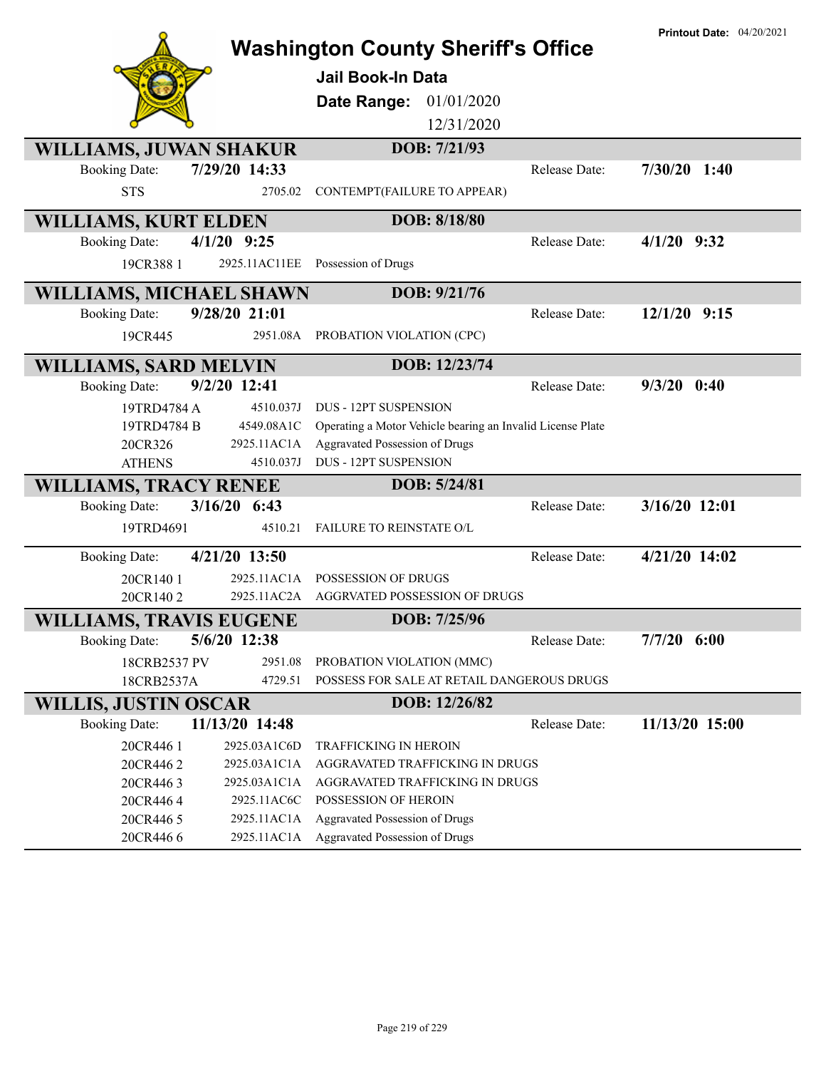|                                        |                            | <b>Washington County Sheriff's Office</b>                  |               | <b>Printout Date: 04/20/2021</b> |
|----------------------------------------|----------------------------|------------------------------------------------------------|---------------|----------------------------------|
|                                        |                            | <b>Jail Book-In Data</b>                                   |               |                                  |
|                                        |                            |                                                            |               |                                  |
|                                        |                            | <b>Date Range: 01/01/2020</b><br>12/31/2020                |               |                                  |
|                                        |                            |                                                            |               |                                  |
| <b>WILLIAMS, JUWAN SHAKUR</b>          |                            | DOB: 7/21/93                                               |               |                                  |
| <b>Booking Date:</b>                   | 7/29/20 14:33              |                                                            | Release Date: | $7/30/20$ 1:40                   |
| <b>STS</b>                             | 2705.02                    | CONTEMPT(FAILURE TO APPEAR)                                |               |                                  |
| <b>WILLIAMS, KURT ELDEN</b>            |                            | DOB: 8/18/80                                               |               |                                  |
| $4/1/20$ 9:25<br><b>Booking Date:</b>  |                            |                                                            | Release Date: | $4/1/20$ 9:32                    |
| 19CR388 1                              | 2925.11AC11EE              | Possession of Drugs                                        |               |                                  |
| WILLIAMS, MICHAEL SHAWN                |                            | DOB: 9/21/76                                               |               |                                  |
| <b>Booking Date:</b>                   | 9/28/20 21:01              |                                                            | Release Date: | $12/1/20$ 9:15                   |
| 19CR445                                | 2951.08A                   | PROBATION VIOLATION (CPC)                                  |               |                                  |
| <b>WILLIAMS, SARD MELVIN</b>           |                            | DOB: 12/23/74                                              |               |                                  |
| 9/2/20 12:41<br><b>Booking Date:</b>   |                            |                                                            | Release Date: | $9/3/20$ 0:40                    |
| 19TRD4784 A                            | 4510.037J                  | <b>DUS - 12PT SUSPENSION</b>                               |               |                                  |
| 19TRD4784 B                            | 4549.08A1C                 | Operating a Motor Vehicle bearing an Invalid License Plate |               |                                  |
| 20CR326                                | 2925.11AC1A                | Aggravated Possession of Drugs                             |               |                                  |
| <b>ATHENS</b>                          | 4510.037J                  | <b>DUS - 12PT SUSPENSION</b>                               |               |                                  |
| <b>WILLIAMS, TRACY RENEE</b>           |                            | DOB: 5/24/81                                               |               |                                  |
| $3/16/20$ 6:43<br><b>Booking Date:</b> |                            |                                                            | Release Date: | 3/16/20 12:01                    |
| 19TRD4691                              | 4510.21                    | FAILURE TO REINSTATE O/L                                   |               |                                  |
| <b>Booking Date:</b>                   | 4/21/20 13:50              |                                                            | Release Date: | 4/21/20 14:02                    |
| 20CR140 1                              | 2925.11AC1A                | POSSESSION OF DRUGS                                        |               |                                  |
| 20CR1402                               | 2925.11AC2A                | AGGRVATED POSSESSION OF DRUGS                              |               |                                  |
| <b>WILLIAMS, TRAVIS EUGENE</b>         |                            | DOB: 7/25/96                                               |               |                                  |
| 5/6/20 12:38<br><b>Booking Date:</b>   |                            |                                                            | Release Date: | $7/7/20$ 6:00                    |
| 18CRB2537 PV                           | 2951.08                    | PROBATION VIOLATION (MMC)                                  |               |                                  |
| 18CRB2537A                             | 4729.51                    | POSSESS FOR SALE AT RETAIL DANGEROUS DRUGS                 |               |                                  |
| <b>WILLIS, JUSTIN OSCAR</b>            |                            | DOB: 12/26/82                                              |               |                                  |
| <b>Booking Date:</b>                   | 11/13/20 14:48             |                                                            | Release Date: | 11/13/20 15:00                   |
| 20CR446 1                              | 2925.03A1C6D               | <b>TRAFFICKING IN HEROIN</b>                               |               |                                  |
| 20CR4462                               | 2925.03A1C1A               | AGGRAVATED TRAFFICKING IN DRUGS                            |               |                                  |
| 20CR4463                               | 2925.03A1C1A               | AGGRAVATED TRAFFICKING IN DRUGS                            |               |                                  |
| 20CR4464<br>20CR446 5                  | 2925.11AC6C<br>2925.11AC1A | POSSESSION OF HEROIN<br>Aggravated Possession of Drugs     |               |                                  |
| 20CR4466                               |                            | 2925.11AC1A Aggravated Possession of Drugs                 |               |                                  |
|                                        |                            |                                                            |               |                                  |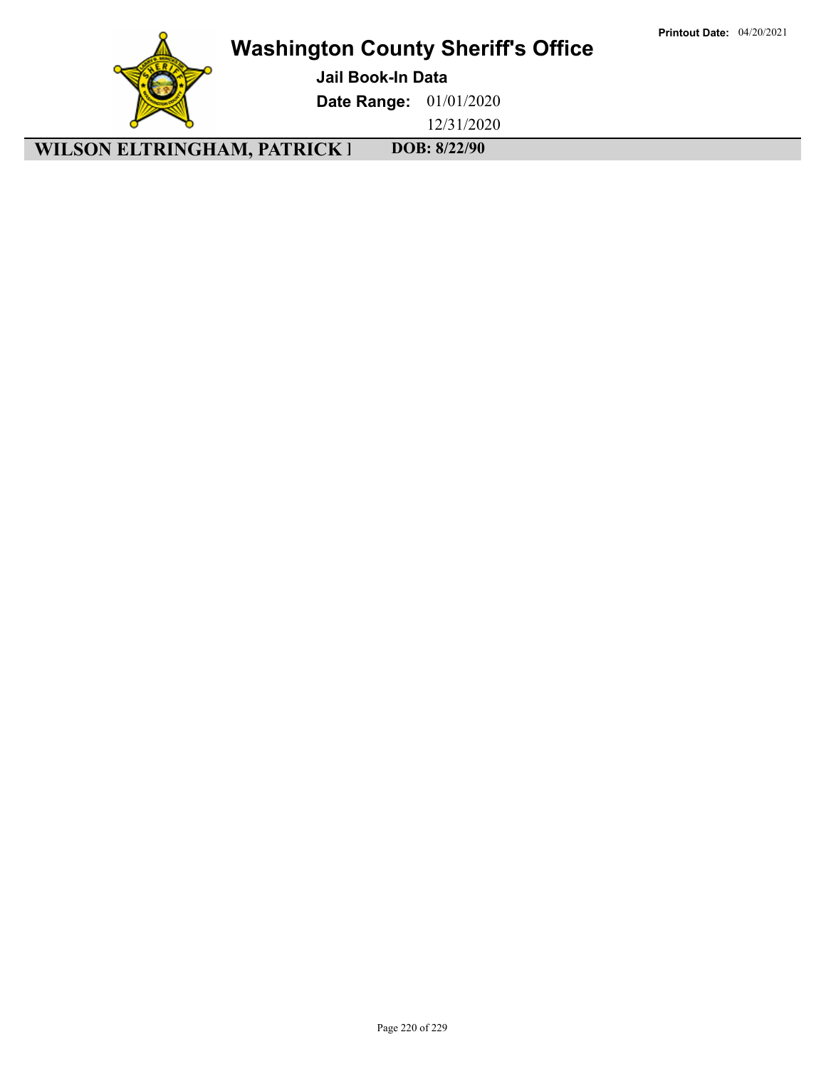

**Jail Book-In Data**

**Date Range:** 01/01/2020

12/31/2020

**WILSON ELTRINGHAM, PATRICK 1 DOB: 8/22/90**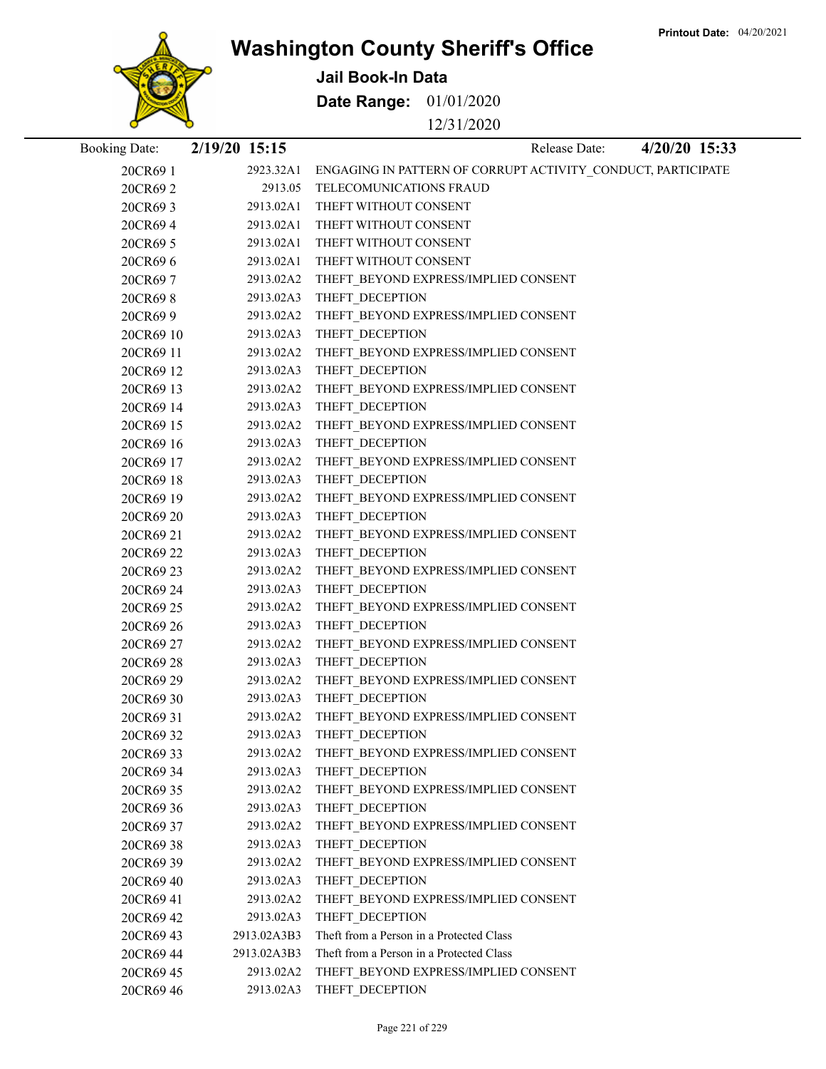

**Jail Book-In Data**

**Date Range:** 01/01/2020

12/31/2020

| <b>Booking Date:</b>   | 2/19/20 15:15 |                        |                                                              | Release Date: | 4/20/20 15:33 |
|------------------------|---------------|------------------------|--------------------------------------------------------------|---------------|---------------|
| 20CR69 1               |               | 2923.32A1              | ENGAGING IN PATTERN OF CORRUPT ACTIVITY_CONDUCT, PARTICIPATE |               |               |
| 20CR69 2               |               |                        | 2913.05 TELECOMUNICATIONS FRAUD                              |               |               |
| 20CR69 3               |               |                        | 2913.02A1 THEFT WITHOUT CONSENT                              |               |               |
| 20CR694                |               | 2913.02A1              | THEFT WITHOUT CONSENT                                        |               |               |
| 20CR69 5               |               | 2913.02A1              | THEFT WITHOUT CONSENT                                        |               |               |
| 20CR696                |               | 2913.02A1              | THEFT WITHOUT CONSENT                                        |               |               |
| 20CR697                |               | 2913.02A2              | THEFT BEYOND EXPRESS/IMPLIED CONSENT                         |               |               |
| 20CR698                |               | 2913.02A3              | THEFT_DECEPTION                                              |               |               |
| 20CR69 9               |               | 2913.02A2              | THEFT_BEYOND EXPRESS/IMPLIED CONSENT                         |               |               |
| 20CR69 10              |               | 2913.02A3              | THEFT DECEPTION                                              |               |               |
| 20CR69 11              |               | 2913.02A2              | THEFT_BEYOND EXPRESS/IMPLIED CONSENT                         |               |               |
| 20CR69 12              |               | 2913.02A3              | THEFT_DECEPTION                                              |               |               |
| 20CR69 13              |               | 2913.02A2              | THEFT_BEYOND EXPRESS/IMPLIED CONSENT                         |               |               |
| 20CR69 14              |               | 2913.02A3              | THEFT_DECEPTION                                              |               |               |
| 20CR69 15              |               | 2913.02A2              | THEFT_BEYOND EXPRESS/IMPLIED CONSENT                         |               |               |
| 20CR69 16              |               | 2913.02A3              | THEFT DECEPTION                                              |               |               |
| 20CR69 17              |               | 2913.02A2              | THEFT BEYOND EXPRESS/IMPLIED CONSENT                         |               |               |
| 20CR69 18              |               | 2913.02A3              | THEFT_DECEPTION                                              |               |               |
| 20CR69 19              |               | 2913.02A2              | THEFT_BEYOND EXPRESS/IMPLIED CONSENT                         |               |               |
| 20CR69 20              |               | 2913.02A3              | THEFT_DECEPTION                                              |               |               |
| 20CR69 21              |               | 2913.02A2              | THEFT_BEYOND EXPRESS/IMPLIED CONSENT                         |               |               |
| 20CR69 22              |               | 2913.02A3<br>2913.02A2 | THEFT_DECEPTION                                              |               |               |
| 20CR69 23<br>20CR69 24 |               | 2913.02A3              | THEFT_BEYOND EXPRESS/IMPLIED CONSENT<br>THEFT_DECEPTION      |               |               |
| 20CR69 25              |               | 2913.02A2              | THEFT_BEYOND EXPRESS/IMPLIED CONSENT                         |               |               |
| 20CR69 26              |               | 2913.02A3              | THEFT_DECEPTION                                              |               |               |
| 20CR69 27              |               | 2913.02A2              | THEFT_BEYOND EXPRESS/IMPLIED CONSENT                         |               |               |
| 20CR69 28              |               | 2913.02A3              | THEFT_DECEPTION                                              |               |               |
| 20CR69 29              |               | 2913.02A2              | THEFT_BEYOND EXPRESS/IMPLIED CONSENT                         |               |               |
| 20CR69 30              |               | 2913.02A3              | THEFT_DECEPTION                                              |               |               |
| 20CR69 31              |               | 2913.02A2              | THEFT BEYOND EXPRESS/IMPLIED CONSENT                         |               |               |
| 20CR69 32              |               | 2913.02A3              | THEFT DECEPTION                                              |               |               |
| 20CR69 33              |               | 2913.02A2              | THEFT BEYOND EXPRESS/IMPLIED CONSENT                         |               |               |
| 20CR69 34              |               | 2913.02A3              | THEFT_DECEPTION                                              |               |               |
| 20CR69 35              |               | 2913.02A2              | THEFT BEYOND EXPRESS/IMPLIED CONSENT                         |               |               |
| 20CR69 36              |               | 2913.02A3              | THEFT DECEPTION                                              |               |               |
| 20CR69 37              |               | 2913.02A2              | THEFT BEYOND EXPRESS/IMPLIED CONSENT                         |               |               |
| 20CR69 38              |               | 2913.02A3              | THEFT DECEPTION                                              |               |               |
| 20CR69 39              |               | 2913.02A2              | THEFT BEYOND EXPRESS/IMPLIED CONSENT                         |               |               |
| 20CR69 40              |               | 2913.02A3              | THEFT DECEPTION                                              |               |               |
| 20CR69 41              |               | 2913.02A2              | THEFT BEYOND EXPRESS/IMPLIED CONSENT                         |               |               |
| 20CR69 42              |               | 2913.02A3              | THEFT DECEPTION                                              |               |               |
| 20CR69 43              |               | 2913.02A3B3            | Theft from a Person in a Protected Class                     |               |               |
| 20CR69 44              |               | 2913.02A3B3            | Theft from a Person in a Protected Class                     |               |               |
| 20CR69 45              |               | 2913.02A2              | THEFT BEYOND EXPRESS/IMPLIED CONSENT                         |               |               |
| 20CR69 46              |               | 2913.02A3              | THEFT DECEPTION                                              |               |               |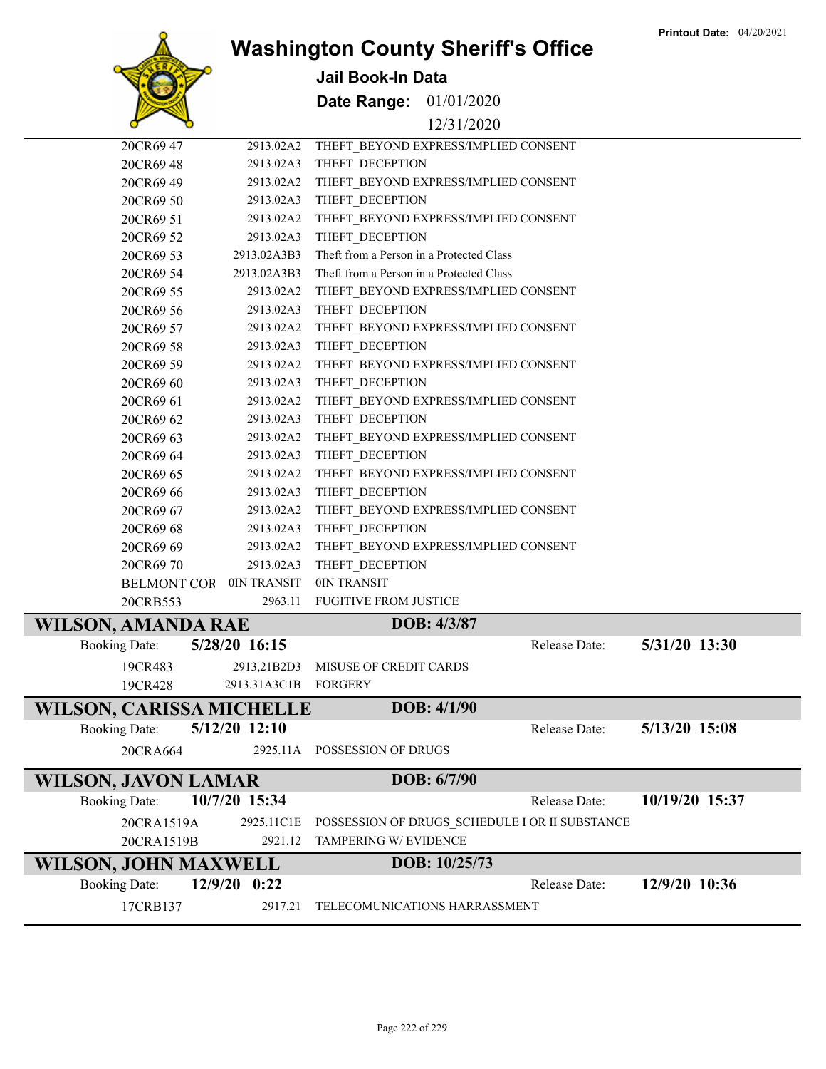

**Jail Book-In Data**

**Date Range:** 01/01/2020

#### 12/31/2020

|                                 | 20CR69 47               | 2913.02A2            | THEFT BEYOND EXPRESS/IMPLIED CONSENT           |               |                |
|---------------------------------|-------------------------|----------------------|------------------------------------------------|---------------|----------------|
|                                 | 20CR69 48               | 2913.02A3            | THEFT DECEPTION                                |               |                |
|                                 | 20CR69 49               | 2913.02A2            | THEFT BEYOND EXPRESS/IMPLIED CONSENT           |               |                |
|                                 | 20CR69 50               | 2913.02A3            | THEFT_DECEPTION                                |               |                |
|                                 | 20CR69 51               | 2913.02A2            | THEFT_BEYOND EXPRESS/IMPLIED CONSENT           |               |                |
|                                 | 20CR69 52               | 2913.02A3            | THEFT_DECEPTION                                |               |                |
|                                 | 20CR69 53               | 2913.02A3B3          | Theft from a Person in a Protected Class       |               |                |
|                                 | 20CR69 54               | 2913.02A3B3          | Theft from a Person in a Protected Class       |               |                |
|                                 | 20CR69 55               | 2913.02A2            | THEFT BEYOND EXPRESS/IMPLIED CONSENT           |               |                |
|                                 | 20CR69 56               | 2913.02A3            | THEFT_DECEPTION                                |               |                |
|                                 | 20CR69 57               | 2913.02A2            | THEFT BEYOND EXPRESS/IMPLIED CONSENT           |               |                |
|                                 | 20CR69 58               | 2913.02A3            | THEFT_DECEPTION                                |               |                |
|                                 | 20CR69 59               | 2913.02A2            | THEFT_BEYOND EXPRESS/IMPLIED CONSENT           |               |                |
|                                 | 20CR69 60               | 2913.02A3            | THEFT DECEPTION                                |               |                |
|                                 | 20CR69 61               | 2913.02A2            | THEFT BEYOND EXPRESS/IMPLIED CONSENT           |               |                |
|                                 | 20CR69 62               | 2913.02A3            | THEFT DECEPTION                                |               |                |
|                                 | 20CR69 63               | 2913.02A2            | THEFT_BEYOND EXPRESS/IMPLIED CONSENT           |               |                |
|                                 | 20CR69 64               | 2913.02A3            | THEFT_DECEPTION                                |               |                |
|                                 | 20CR69 65               | 2913.02A2            | THEFT_BEYOND EXPRESS/IMPLIED CONSENT           |               |                |
|                                 | 20CR69 66               | 2913.02A3            | THEFT_DECEPTION                                |               |                |
|                                 | 20CR69 67               | 2913.02A2            | THEFT_BEYOND EXPRESS/IMPLIED CONSENT           |               |                |
|                                 | 20CR69 68               | 2913.02A3            | THEFT DECEPTION                                |               |                |
|                                 | 20CR69 69               | 2913.02A2            | THEFT BEYOND EXPRESS/IMPLIED CONSENT           |               |                |
|                                 | 20CR6970                | 2913.02A3            | THEFT_DECEPTION                                |               |                |
|                                 | BELMONT COR OIN TRANSIT |                      | 0IN TRANSIT                                    |               |                |
|                                 | 20CRB553                | 2963.11              | <b>FUGITIVE FROM JUSTICE</b>                   |               |                |
| <b>WILSON, AMANDA RAE</b>       |                         |                      | DOB: 4/3/87                                    |               |                |
| <b>Booking Date:</b>            |                         | 5/28/20 16:15        |                                                | Release Date: | 5/31/20 13:30  |
|                                 | 19CR483                 | 2913,21B2D3          | MISUSE OF CREDIT CARDS                         |               |                |
|                                 | 19CR428                 | 2913.31A3C1B FORGERY |                                                |               |                |
| <b>WILSON, CARISSA MICHELLE</b> |                         |                      | DOB: 4/1/90                                    |               |                |
| <b>Booking Date:</b>            |                         | 5/12/20 12:10        |                                                | Release Date: | 5/13/20 15:08  |
|                                 | 20CRA664                |                      | 2925.11A POSSESSION OF DRUGS                   |               |                |
| <b>WILSON, JAVON LAMAR</b>      |                         |                      | DOB: 6/7/90                                    |               |                |
| <b>Booking Date:</b>            |                         | 10/7/20 15:34        |                                                | Release Date: | 10/19/20 15:37 |
|                                 | 20CRA1519A              | 2925.11C1E           | POSSESSION OF DRUGS_SCHEDULE I OR II SUBSTANCE |               |                |
|                                 | 20CRA1519B              | 2921.12              | TAMPERING W/ EVIDENCE                          |               |                |
| WILSON, JOHN MAXWELL            |                         |                      | DOB: 10/25/73                                  |               |                |
| <b>Booking Date:</b>            |                         | 12/9/20 0:22         |                                                | Release Date: | 12/9/20 10:36  |
|                                 | 17CRB137                | 2917.21              | TELECOMUNICATIONS HARRASSMENT                  |               |                |
|                                 |                         |                      |                                                |               |                |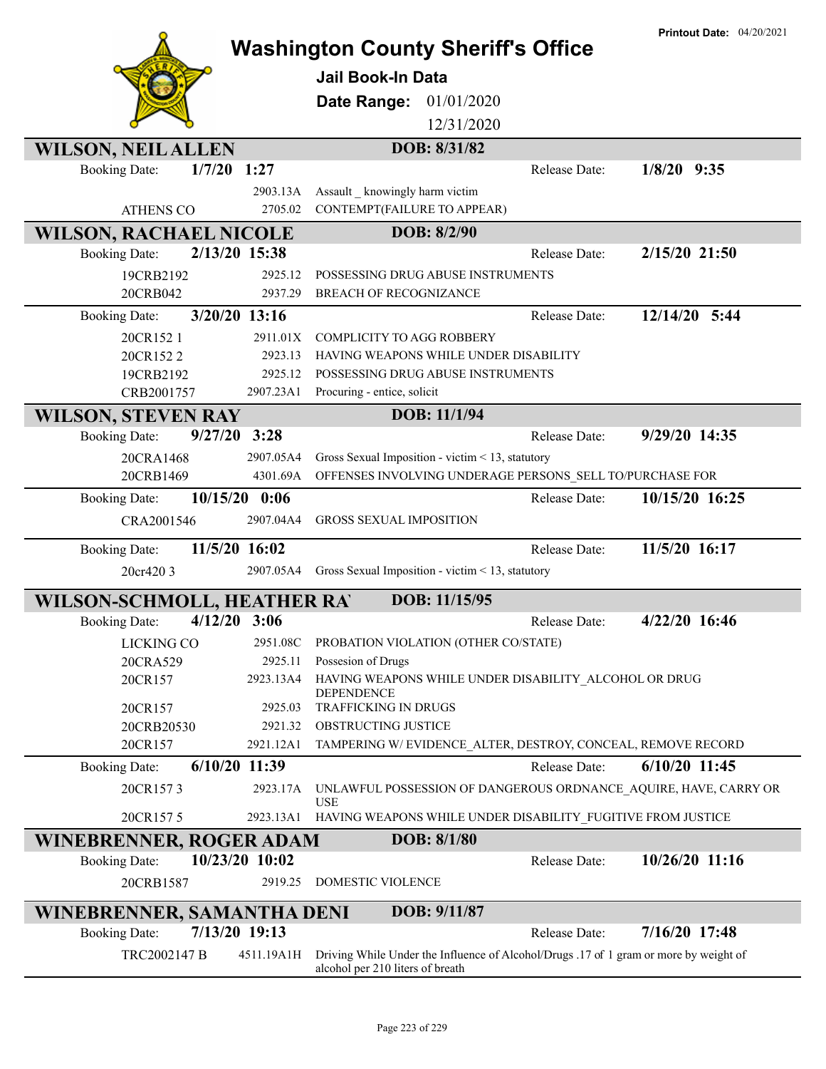|                                |                 |                                                                                       | <b>Printout Date: 04/20/2021</b> |
|--------------------------------|-----------------|---------------------------------------------------------------------------------------|----------------------------------|
|                                |                 | <b>Washington County Sheriff's Office</b>                                             |                                  |
|                                |                 | <b>Jail Book-In Data</b>                                                              |                                  |
|                                |                 | Date Range:<br>01/01/2020                                                             |                                  |
|                                |                 | 12/31/2020                                                                            |                                  |
|                                |                 | DOB: 8/31/82                                                                          |                                  |
| <b>WILSON, NEIL ALLEN</b>      | $1/7/20$ 1:27   | Release Date:                                                                         | $1/8/20$ 9:35                    |
| <b>Booking Date:</b>           |                 |                                                                                       |                                  |
|                                | 2903.13A        | Assault knowingly harm victim                                                         |                                  |
| <b>ATHENS CO</b>               | 2705.02         | CONTEMPT(FAILURE TO APPEAR)                                                           |                                  |
| <b>WILSON, RACHAEL NICOLE</b>  |                 | DOB: 8/2/90                                                                           |                                  |
| <b>Booking Date:</b>           | 2/13/20 15:38   | Release Date:                                                                         | 2/15/20 21:50                    |
| 19CRB2192                      | 2925.12         | POSSESSING DRUG ABUSE INSTRUMENTS                                                     |                                  |
| 20CRB042                       | 2937.29         | <b>BREACH OF RECOGNIZANCE</b>                                                         |                                  |
| <b>Booking Date:</b>           | 3/20/20 13:16   | Release Date:                                                                         | 12/14/20 5:44                    |
| 20CR152 1                      | 2911.01X        | <b>COMPLICITY TO AGG ROBBERY</b>                                                      |                                  |
| 20CR1522                       | 2923.13         | HAVING WEAPONS WHILE UNDER DISABILITY                                                 |                                  |
| 19CRB2192                      | 2925.12         | POSSESSING DRUG ABUSE INSTRUMENTS                                                     |                                  |
| CRB2001757                     | 2907.23A1       | Procuring - entice, solicit                                                           |                                  |
| <b>WILSON, STEVEN RAY</b>      |                 | DOB: 11/1/94                                                                          |                                  |
| <b>Booking Date:</b>           | 9/27/20<br>3:28 | Release Date:                                                                         | 9/29/20 14:35                    |
| 20CRA1468                      | 2907.05A4       | Gross Sexual Imposition - victim < 13, statutory                                      |                                  |
| 20CRB1469                      | 4301.69A        | OFFENSES INVOLVING UNDERAGE PERSONS_SELL TO/PURCHASE FOR                              |                                  |
| <b>Booking Date:</b>           | $10/15/20$ 0:06 | Release Date:                                                                         | 10/15/20 16:25                   |
| CRA2001546                     | 2907.04A4       | <b>GROSS SEXUAL IMPOSITION</b>                                                        |                                  |
| <b>Booking Date:</b>           | 11/5/20 16:02   | Release Date:                                                                         | 11/5/20 16:17                    |
| 20cr420 3                      | 2907.05A4       | Gross Sexual Imposition - victim < 13, statutory                                      |                                  |
| WILSON-SCHMOLL, HEATHER RAY    |                 | DOB: 11/15/95                                                                         |                                  |
| <b>Booking Date:</b>           | $4/12/20$ 3:06  | Release Date:                                                                         | 4/22/20 16:46                    |
| <b>LICKING CO</b>              | 2951.08C        | PROBATION VIOLATION (OTHER CO/STATE)                                                  |                                  |
| 20CRA529                       | 2925.11         | Possesion of Drugs                                                                    |                                  |
| 20CR157                        | 2923.13A4       | HAVING WEAPONS WHILE UNDER DISABILITY_ALCOHOL OR DRUG<br><b>DEPENDENCE</b>            |                                  |
| 20CR157                        | 2925.03         | TRAFFICKING IN DRUGS                                                                  |                                  |
| 20CRB20530                     | 2921.32         | OBSTRUCTING JUSTICE                                                                   |                                  |
| 20CR157                        | 2921.12A1       | TAMPERING W/EVIDENCE_ALTER, DESTROY, CONCEAL, REMOVE RECORD                           |                                  |
| <b>Booking Date:</b>           | $6/10/20$ 11:39 | Release Date:                                                                         | $6/10/20$ 11:45                  |
| 20CR1573                       | 2923.17A        | UNLAWFUL POSSESSION OF DANGEROUS ORDNANCE AQUIRE, HAVE, CARRY OR                      |                                  |
| 20CR1575                       | 2923.13A1       | <b>USE</b><br>HAVING WEAPONS WHILE UNDER DISABILITY_FUGITIVE FROM JUSTICE             |                                  |
| <b>WINEBRENNER, ROGER ADAM</b> |                 | DOB: 8/1/80                                                                           |                                  |
| <b>Booking Date:</b>           | 10/23/20 10:02  | Release Date:                                                                         | 10/26/20 11:16                   |
| 20CRB1587                      | 2919.25         | DOMESTIC VIOLENCE                                                                     |                                  |
| WINEBRENNER, SAMANTHA DENI     |                 | DOB: 9/11/87                                                                          |                                  |
| <b>Booking Date:</b>           | 7/13/20 19:13   | Release Date:                                                                         | 7/16/20 17:48                    |
| TRC2002147 B                   | 4511.19A1H      | Driving While Under the Influence of Alcohol/Drugs .17 of 1 gram or more by weight of |                                  |
|                                |                 | alcohol per 210 liters of breath                                                      |                                  |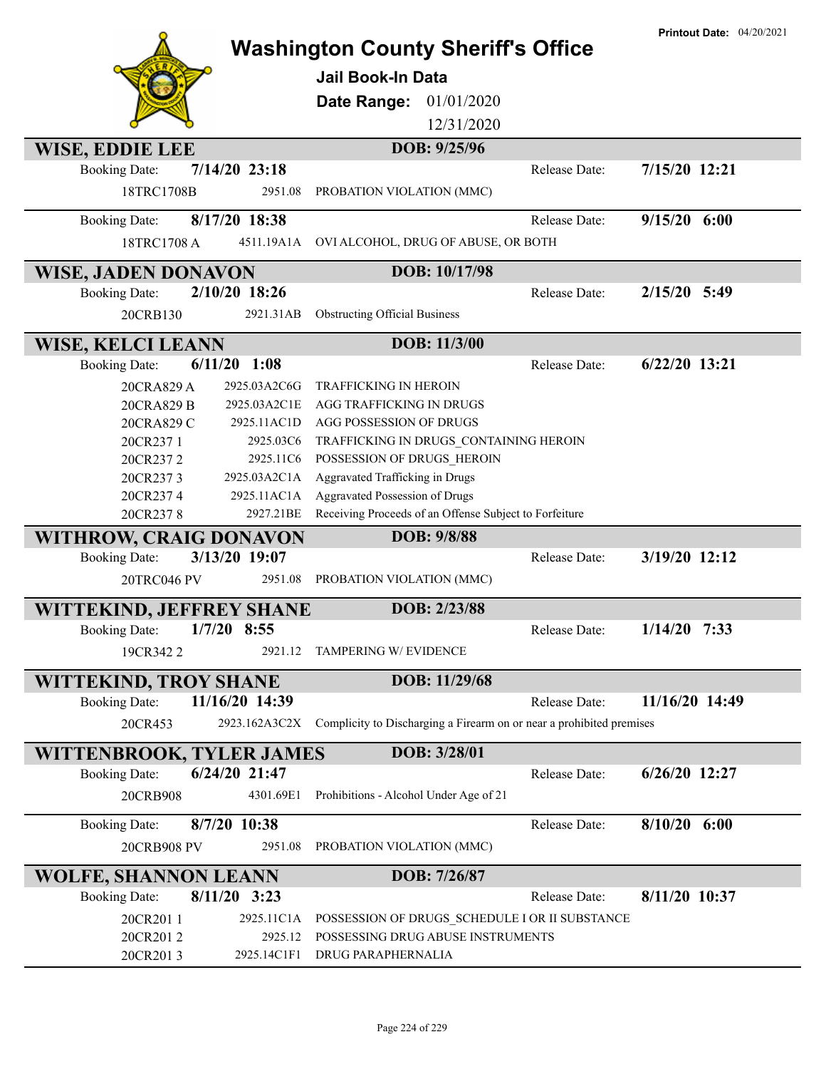|                                     |                        | <b>Washington County Sheriff's Office</b><br><b>Jail Book-In Data</b>               |               | <b>Printout Date: 04/20/2021</b> |
|-------------------------------------|------------------------|-------------------------------------------------------------------------------------|---------------|----------------------------------|
|                                     |                        | 01/01/2020<br>Date Range:                                                           |               |                                  |
|                                     |                        | 12/31/2020                                                                          |               |                                  |
|                                     |                        |                                                                                     |               |                                  |
| WISE, EDDIE LEE                     |                        | DOB: 9/25/96                                                                        |               |                                  |
| <b>Booking Date:</b>                | $7/14/20$ 23:18        |                                                                                     | Release Date: | 7/15/20 12:21                    |
| 18TRC1708B                          | 2951.08                | PROBATION VIOLATION (MMC)                                                           |               |                                  |
| <b>Booking Date:</b>                | 8/17/20 18:38          |                                                                                     | Release Date: | $9/15/20$ 6:00                   |
| 18TRC1708 A                         | 4511.19A1A             | OVI ALCOHOL, DRUG OF ABUSE, OR BOTH                                                 |               |                                  |
| <b>WISE, JADEN DONAVON</b>          |                        | DOB: 10/17/98                                                                       |               |                                  |
| <b>Booking Date:</b>                | 2/10/20 18:26          |                                                                                     | Release Date: | $2/15/20$ 5:49                   |
| 20CRB130                            | 2921.31AB              | <b>Obstructing Official Business</b>                                                |               |                                  |
| <b>WISE, KELCI LEANN</b>            |                        | DOB: 11/3/00                                                                        |               |                                  |
| <b>Booking Date:</b>                | $6/11/20$ 1:08         |                                                                                     | Release Date: | $6/22/20$ 13:21                  |
| 20CRA829 A                          | 2925.03A2C6G           | <b>TRAFFICKING IN HEROIN</b>                                                        |               |                                  |
| 20CRA829 B                          | 2925.03A2C1E           | <b>AGG TRAFFICKING IN DRUGS</b>                                                     |               |                                  |
| 20CRA829 C                          | 2925.11AC1D            | AGG POSSESSION OF DRUGS                                                             |               |                                  |
| 20CR237 1                           | 2925.03C6              | TRAFFICKING IN DRUGS CONTAINING HEROIN                                              |               |                                  |
| 20CR2372                            | 2925.11C6              | POSSESSION OF DRUGS HEROIN                                                          |               |                                  |
| 20CR2373                            | 2925.03A2C1A           | Aggravated Trafficking in Drugs                                                     |               |                                  |
| 20CR2374                            | 2925.11AC1A            | <b>Aggravated Possession of Drugs</b>                                               |               |                                  |
| 20CR2378                            | 2927.21BE              | Receiving Proceeds of an Offense Subject to Forfeiture                              |               |                                  |
| <b>WITHROW, CRAIG DONAVON</b>       |                        | DOB: 9/8/88                                                                         |               |                                  |
| <b>Booking Date:</b>                | 3/13/20 19:07          |                                                                                     | Release Date: | 3/19/20 12:12                    |
| 20TRC046 PV                         | 2951.08                | PROBATION VIOLATION (MMC)                                                           |               |                                  |
| <b>WITTEKIND, JEFFREY SHANE</b>     |                        | DOB: 2/23/88                                                                        |               |                                  |
| <b>Booking Date:</b>                | $1/7/20$ 8:55          |                                                                                     | Release Date: | $1/14/20$ 7:33                   |
| 19CR3422                            | 2921.12                | TAMPERING W/ EVIDENCE                                                               |               |                                  |
| WITTEKIND, TROY SHANE               |                        | DOB: 11/29/68                                                                       |               |                                  |
| <b>Booking Date:</b>                | 11/16/20 14:39         |                                                                                     | Release Date: | 11/16/20 14:49                   |
| 20CR453                             | 2923.162A3C2X          | Complicity to Discharging a Firearm on or near a prohibited premises                |               |                                  |
| <b>WITTENBROOK, TYLER JAMES</b>     |                        | DOB: 3/28/01                                                                        |               |                                  |
| <b>Booking Date:</b>                | 6/24/20 21:47          |                                                                                     | Release Date: | $6/26/20$ 12:27                  |
| 20CRB908                            | 4301.69E1              | Prohibitions - Alcohol Under Age of 21                                              |               |                                  |
|                                     | 8/7/20 10:38           |                                                                                     | Release Date: | $8/10/20$ 6:00                   |
| <b>Booking Date:</b><br>20CRB908 PV | 2951.08                | PROBATION VIOLATION (MMC)                                                           |               |                                  |
|                                     |                        |                                                                                     |               |                                  |
| <b>WOLFE, SHANNON LEANN</b>         | $8/11/20$ 3:23         | DOB: 7/26/87                                                                        | Release Date: | 8/11/20 10:37                    |
| <b>Booking Date:</b>                |                        |                                                                                     |               |                                  |
| 20CR2011                            | 2925.11C1A             | POSSESSION OF DRUGS SCHEDULE I OR II SUBSTANCE<br>POSSESSING DRUG ABUSE INSTRUMENTS |               |                                  |
| 20CR2012<br>20CR2013                | 2925.12<br>2925.14C1F1 | DRUG PARAPHERNALIA                                                                  |               |                                  |
|                                     |                        |                                                                                     |               |                                  |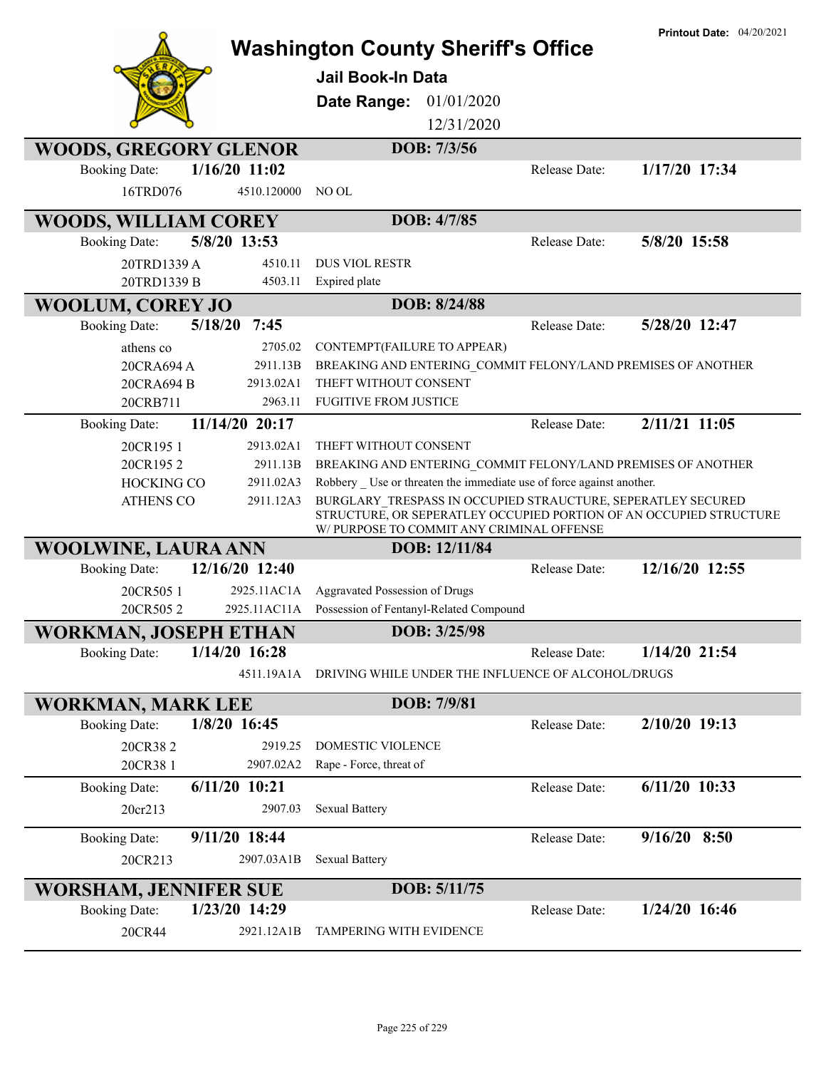|                              |                 | <b>Washington County Sheriff's Office</b><br><b>Jail Book-In Data</b><br>Date Range: | 01/01/2020    |                                                                     | <b>Printout Date: 04/20/2021</b>                                                                                                   |
|------------------------------|-----------------|--------------------------------------------------------------------------------------|---------------|---------------------------------------------------------------------|------------------------------------------------------------------------------------------------------------------------------------|
|                              |                 |                                                                                      | 12/31/2020    |                                                                     |                                                                                                                                    |
| <b>WOODS, GREGORY GLENOR</b> |                 |                                                                                      | DOB: 7/3/56   |                                                                     |                                                                                                                                    |
| <b>Booking Date:</b>         | $1/16/20$ 11:02 |                                                                                      |               | Release Date:                                                       | 1/17/20 17:34                                                                                                                      |
| 16TRD076                     | 4510.120000     | NO OL                                                                                |               |                                                                     |                                                                                                                                    |
| <b>WOODS, WILLIAM COREY</b>  |                 |                                                                                      | DOB: 4/7/85   |                                                                     |                                                                                                                                    |
| <b>Booking Date:</b>         | 5/8/20 13:53    |                                                                                      |               | Release Date:                                                       | 5/8/20 15:58                                                                                                                       |
| 20TRD1339 A                  | 4510.11         | <b>DUS VIOL RESTR</b>                                                                |               |                                                                     |                                                                                                                                    |
| 20TRD1339 B                  | 4503.11         | Expired plate                                                                        |               |                                                                     |                                                                                                                                    |
| <b>WOOLUM, COREY JO</b>      |                 |                                                                                      | DOB: 8/24/88  |                                                                     |                                                                                                                                    |
| <b>Booking Date:</b>         | 5/18/20<br>7:45 |                                                                                      |               | Release Date:                                                       | 5/28/20 12:47                                                                                                                      |
| athens co                    | 2705.02         | CONTEMPT(FAILURE TO APPEAR)                                                          |               |                                                                     |                                                                                                                                    |
| 20CRA694 A                   | 2911.13B        |                                                                                      |               |                                                                     | BREAKING AND ENTERING COMMIT FELONY/LAND PREMISES OF ANOTHER                                                                       |
| 20CRA694 B                   | 2913.02A1       | THEFT WITHOUT CONSENT                                                                |               |                                                                     |                                                                                                                                    |
| 20CRB711                     | 2963.11         | <b>FUGITIVE FROM JUSTICE</b>                                                         |               |                                                                     |                                                                                                                                    |
| <b>Booking Date:</b>         | 11/14/20 20:17  |                                                                                      |               | Release Date:                                                       | 2/11/21 11:05                                                                                                                      |
| 20CR1951                     | 2913.02A1       | THEFT WITHOUT CONSENT                                                                |               |                                                                     |                                                                                                                                    |
| 20CR1952                     | 2911.13B        |                                                                                      |               |                                                                     | BREAKING AND ENTERING COMMIT FELONY/LAND PREMISES OF ANOTHER                                                                       |
| <b>HOCKING CO</b>            | 2911.02A3       |                                                                                      |               | Robbery Use or threaten the immediate use of force against another. |                                                                                                                                    |
| <b>ATHENS CO</b>             | 2911.12A3       | W/ PURPOSE TO COMMIT ANY CRIMINAL OFFENSE                                            |               |                                                                     | BURGLARY TRESPASS IN OCCUPIED STRAUCTURE, SEPERATLEY SECURED<br>STRUCTURE, OR SEPERATLEY OCCUPIED PORTION OF AN OCCUPIED STRUCTURE |
| <b>WOOLWINE, LAURA ANN</b>   |                 |                                                                                      | DOB: 12/11/84 |                                                                     |                                                                                                                                    |
| <b>Booking Date:</b>         | 12/16/20 12:40  |                                                                                      |               | Release Date:                                                       | 12/16/20 12:55                                                                                                                     |
| 20CR505 1                    | 2925.11AC1A     | Aggravated Possession of Drugs                                                       |               |                                                                     |                                                                                                                                    |
| 20CR5052                     | 2925.11AC11A    | Possession of Fentanyl-Related Compound                                              |               |                                                                     |                                                                                                                                    |
| <b>WORKMAN, JOSEPH ETHAN</b> |                 |                                                                                      | DOB: 3/25/98  |                                                                     |                                                                                                                                    |
| <b>Booking Date:</b>         | $1/14/20$ 16:28 |                                                                                      |               | <b>Release Date:</b>                                                | $1/14/20$ 21:54                                                                                                                    |
|                              | 4511.19A1A      |                                                                                      |               | DRIVING WHILE UNDER THE INFLUENCE OF ALCOHOL/DRUGS                  |                                                                                                                                    |
| <b>WORKMAN, MARK LEE</b>     |                 |                                                                                      | DOB: 7/9/81   |                                                                     |                                                                                                                                    |
| <b>Booking Date:</b>         | 1/8/20 16:45    |                                                                                      |               | Release Date:                                                       | $2/10/20$ 19:13                                                                                                                    |
| 20CR382                      | 2919.25         | DOMESTIC VIOLENCE                                                                    |               |                                                                     |                                                                                                                                    |
| 20CR38 1                     | 2907.02A2       | Rape - Force, threat of                                                              |               |                                                                     |                                                                                                                                    |
| <b>Booking Date:</b>         | $6/11/20$ 10:21 |                                                                                      |               | Release Date:                                                       | $6/11/20$ 10:33                                                                                                                    |
| 20cr213                      | 2907.03         | <b>Sexual Battery</b>                                                                |               |                                                                     |                                                                                                                                    |
|                              |                 |                                                                                      |               |                                                                     |                                                                                                                                    |
| <b>Booking Date:</b>         | 9/11/20 18:44   |                                                                                      |               | Release Date:                                                       | $9/16/20$ 8:50                                                                                                                     |
| 20CR213                      | 2907.03A1B      | <b>Sexual Battery</b>                                                                |               |                                                                     |                                                                                                                                    |
| <b>WORSHAM, JENNIFER SUE</b> |                 |                                                                                      | DOB: 5/11/75  |                                                                     |                                                                                                                                    |
| <b>Booking Date:</b>         | 1/23/20 14:29   |                                                                                      |               | Release Date:                                                       | 1/24/20 16:46                                                                                                                      |
| 20CR44                       | 2921.12A1B      | TAMPERING WITH EVIDENCE                                                              |               |                                                                     |                                                                                                                                    |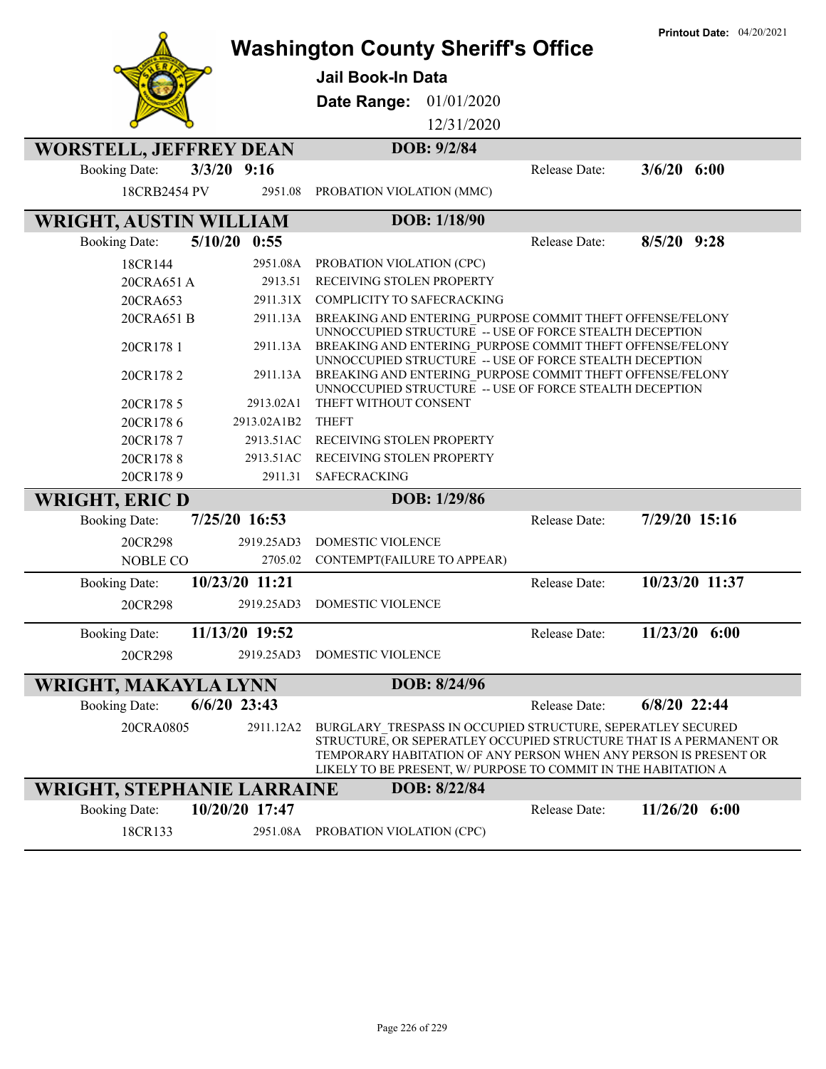|                                   |                 | <b>Washington County Sheriff's Office</b>                                                                                                                                                                                                                               |               | <b>Printout Date: 04/20/2021</b> |
|-----------------------------------|-----------------|-------------------------------------------------------------------------------------------------------------------------------------------------------------------------------------------------------------------------------------------------------------------------|---------------|----------------------------------|
|                                   |                 | <b>Jail Book-In Data</b>                                                                                                                                                                                                                                                |               |                                  |
|                                   |                 |                                                                                                                                                                                                                                                                         |               |                                  |
|                                   |                 | 01/01/2020<br>Date Range:                                                                                                                                                                                                                                               |               |                                  |
|                                   |                 | 12/31/2020                                                                                                                                                                                                                                                              |               |                                  |
| <b>WORSTELL, JEFFREY DEAN</b>     |                 | DOB: 9/2/84                                                                                                                                                                                                                                                             |               |                                  |
| <b>Booking Date:</b>              | $3/3/20$ 9:16   |                                                                                                                                                                                                                                                                         | Release Date: | $3/6/20$ 6:00                    |
| 18CRB2454 PV                      | 2951.08         | PROBATION VIOLATION (MMC)                                                                                                                                                                                                                                               |               |                                  |
| <b>WRIGHT, AUSTIN WILLIAM</b>     |                 | DOB: 1/18/90                                                                                                                                                                                                                                                            |               |                                  |
| <b>Booking Date:</b>              | 5/10/20<br>0:55 |                                                                                                                                                                                                                                                                         | Release Date: | $8/5/20$ 9:28                    |
| 18CR144                           | 2951.08A        | PROBATION VIOLATION (CPC)                                                                                                                                                                                                                                               |               |                                  |
| 20CRA651 A                        | 2913.51         | RECEIVING STOLEN PROPERTY                                                                                                                                                                                                                                               |               |                                  |
| 20CRA653                          | 2911.31X        | <b>COMPLICITY TO SAFECRACKING</b>                                                                                                                                                                                                                                       |               |                                  |
| 20CRA651 B                        | 2911.13A        | BREAKING AND ENTERING PURPOSE COMMIT THEFT OFFENSE/FELONY<br>UNNOCCUPIED STRUCTURE -- USE OF FORCE STEALTH DECEPTION                                                                                                                                                    |               |                                  |
| 20CR178 1                         | 2911.13A        | BREAKING AND ENTERING PURPOSE COMMIT THEFT OFFENSE/FELONY<br>UNNOCCUPIED STRUCTURE -- USE OF FORCE STEALTH DECEPTION                                                                                                                                                    |               |                                  |
| 20CR1782                          | 2911.13A        | BREAKING AND ENTERING PURPOSE COMMIT THEFT OFFENSE/FELONY<br>UNNOCCUPIED STRUCTURE -- USE OF FORCE STEALTH DECEPTION                                                                                                                                                    |               |                                  |
| 20CR178 5                         | 2913.02A1       | THEFT WITHOUT CONSENT                                                                                                                                                                                                                                                   |               |                                  |
| 20CR1786                          | 2913.02A1B2     | <b>THEFT</b>                                                                                                                                                                                                                                                            |               |                                  |
| 20CR1787                          | 2913.51AC       | RECEIVING STOLEN PROPERTY                                                                                                                                                                                                                                               |               |                                  |
| 20CR1788                          | 2913.51AC       | RECEIVING STOLEN PROPERTY                                                                                                                                                                                                                                               |               |                                  |
| 20CR1789                          | 2911.31         | SAFECRACKING                                                                                                                                                                                                                                                            |               |                                  |
| <b>WRIGHT, ERIC D</b>             |                 | DOB: 1/29/86                                                                                                                                                                                                                                                            |               |                                  |
| <b>Booking Date:</b>              | 7/25/20 16:53   |                                                                                                                                                                                                                                                                         | Release Date: | 7/29/20 15:16                    |
| 20CR298                           | 2919.25AD3      | DOMESTIC VIOLENCE                                                                                                                                                                                                                                                       |               |                                  |
| <b>NOBLE CO</b>                   | 2705.02         | CONTEMPT(FAILURE TO APPEAR)                                                                                                                                                                                                                                             |               |                                  |
| <b>Booking Date:</b>              | 10/23/20 11:21  |                                                                                                                                                                                                                                                                         | Release Date: | 10/23/20 11:37                   |
| 20CR298                           | 2919.25AD3      | DOMESTIC VIOLENCE                                                                                                                                                                                                                                                       |               |                                  |
| <b>Booking Date:</b>              | 11/13/20 19:52  |                                                                                                                                                                                                                                                                         | Release Date: | $11/23/20$ 6:00                  |
| 20CR298                           | 2919.25AD3      | DOMESTIC VIOLENCE                                                                                                                                                                                                                                                       |               |                                  |
| WRIGHT, MAKAYLA LYNN              |                 | DOB: 8/24/96                                                                                                                                                                                                                                                            |               |                                  |
| <b>Booking Date:</b>              | $6/6/20$ 23:43  |                                                                                                                                                                                                                                                                         | Release Date: | 6/8/20 22:44                     |
| 20CRA0805                         | 2911.12A2       | BURGLARY_TRESPASS IN OCCUPIED STRUCTURE, SEPERATLEY SECURED<br>STRUCTURE, OR SEPERATLEY OCCUPIED STRUCTURE THAT IS A PERMANENT OR<br>TEMPORARY HABITATION OF ANY PERSON WHEN ANY PERSON IS PRESENT OR<br>LIKELY TO BE PRESENT, W/ PURPOSE TO COMMIT IN THE HABITATION A |               |                                  |
| <b>WRIGHT, STEPHANIE LARRAINE</b> |                 | DOB: 8/22/84                                                                                                                                                                                                                                                            |               |                                  |
| <b>Booking Date:</b>              | 10/20/20 17:47  |                                                                                                                                                                                                                                                                         | Release Date: | $11/26/20$ 6:00                  |
| 18CR133                           | 2951.08A        | PROBATION VIOLATION (CPC)                                                                                                                                                                                                                                               |               |                                  |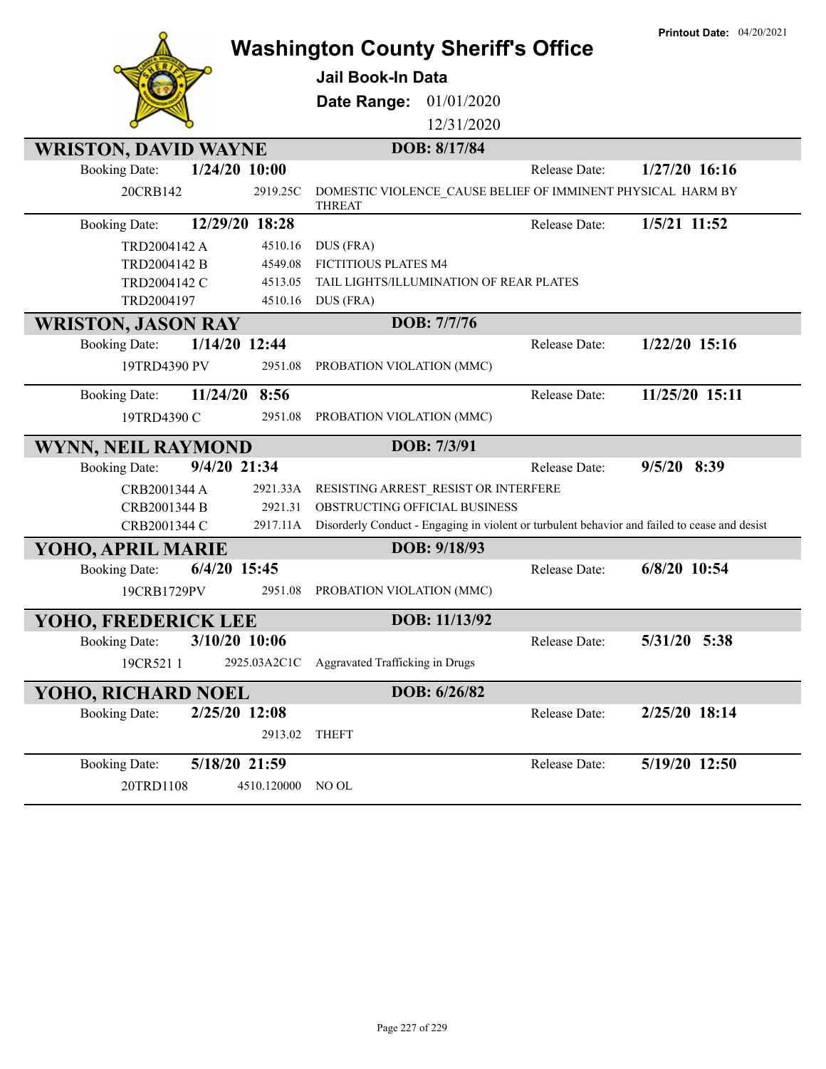|                                          | <b>Washington County Sheriff's Office</b>                                                     | <b>Printout Date: 04/20/2021</b> |
|------------------------------------------|-----------------------------------------------------------------------------------------------|----------------------------------|
|                                          | <b>Jail Book-In Data</b>                                                                      |                                  |
|                                          |                                                                                               |                                  |
|                                          | 01/01/2020<br>Date Range:                                                                     |                                  |
|                                          | 12/31/2020                                                                                    |                                  |
| <b>WRISTON, DAVID WAYNE</b>              | DOB: 8/17/84                                                                                  |                                  |
| $1/24/20$ 10:00<br><b>Booking Date:</b>  | Release Date:                                                                                 | $1/27/20$ 16:16                  |
| 20CRB142<br>2919.25C                     | DOMESTIC VIOLENCE CAUSE BELIEF OF IMMINENT PHYSICAL HARM BY<br><b>THREAT</b>                  |                                  |
| 12/29/20 18:28<br><b>Booking Date:</b>   | Release Date:                                                                                 | 1/5/21 11:52                     |
| TRD2004142 A<br>4510.16                  | DUS (FRA)                                                                                     |                                  |
| TRD2004142 B<br>4549.08                  | FICTITIOUS PLATES M4                                                                          |                                  |
| TRD2004142 C<br>4513.05                  | TAIL LIGHTS/ILLUMINATION OF REAR PLATES                                                       |                                  |
| TRD2004197<br>4510.16                    | DUS (FRA)                                                                                     |                                  |
| <b>WRISTON, JASON RAY</b>                | DOB: 7/7/76                                                                                   |                                  |
| 1/14/20 12:44<br><b>Booking Date:</b>    | Release Date:                                                                                 | $1/22/20$ 15:16                  |
| 19TRD4390 PV<br>2951.08                  | PROBATION VIOLATION (MMC)                                                                     |                                  |
| 8:56<br>11/24/20<br><b>Booking Date:</b> | Release Date:                                                                                 | 11/25/20 15:11                   |
| 19TRD4390 C<br>2951.08                   | PROBATION VIOLATION (MMC)                                                                     |                                  |
| <b>WYNN, NEIL RAYMOND</b>                | DOB: 7/3/91                                                                                   |                                  |
| 9/4/20 21:34<br><b>Booking Date:</b>     | Release Date:                                                                                 | 9/5/20 8:39                      |
| CRB2001344 A<br>2921.33A                 | RESISTING ARREST RESIST OR INTERFERE                                                          |                                  |
| CRB2001344 B<br>2921.31                  | OBSTRUCTING OFFICIAL BUSINESS                                                                 |                                  |
| CRB2001344 C<br>2917.11A                 | Disorderly Conduct - Engaging in violent or turbulent behavior and failed to cease and desist |                                  |
| YOHO, APRIL MARIE                        | DOB: 9/18/93                                                                                  |                                  |
| <b>Booking Date:</b><br>$6/4/20$ 15:45   | Release Date:                                                                                 | 6/8/20 10:54                     |
| 19CRB1729PV<br>2951.08                   | PROBATION VIOLATION (MMC)                                                                     |                                  |
| YOHO, FREDERICK LEE                      | DOB: 11/13/92                                                                                 |                                  |
| 3/10/20 10:06<br><b>Booking Date:</b>    | Release Date:                                                                                 | 5/31/20 5:38                     |
| 2925.03A2C1C<br>19CR521 1                | Aggravated Trafficking in Drugs                                                               |                                  |
| YOHO, RICHARD NOEL                       | DOB: 6/26/82                                                                                  |                                  |
| 2/25/20 12:08<br><b>Booking Date:</b>    | Release Date:                                                                                 | 2/25/20 18:14                    |
| 2913.02                                  | <b>THEFT</b>                                                                                  |                                  |
| 5/18/20 21:59<br><b>Booking Date:</b>    | Release Date:                                                                                 | 5/19/20 12:50                    |
| 4510.120000<br>20TRD1108                 | NO OL                                                                                         |                                  |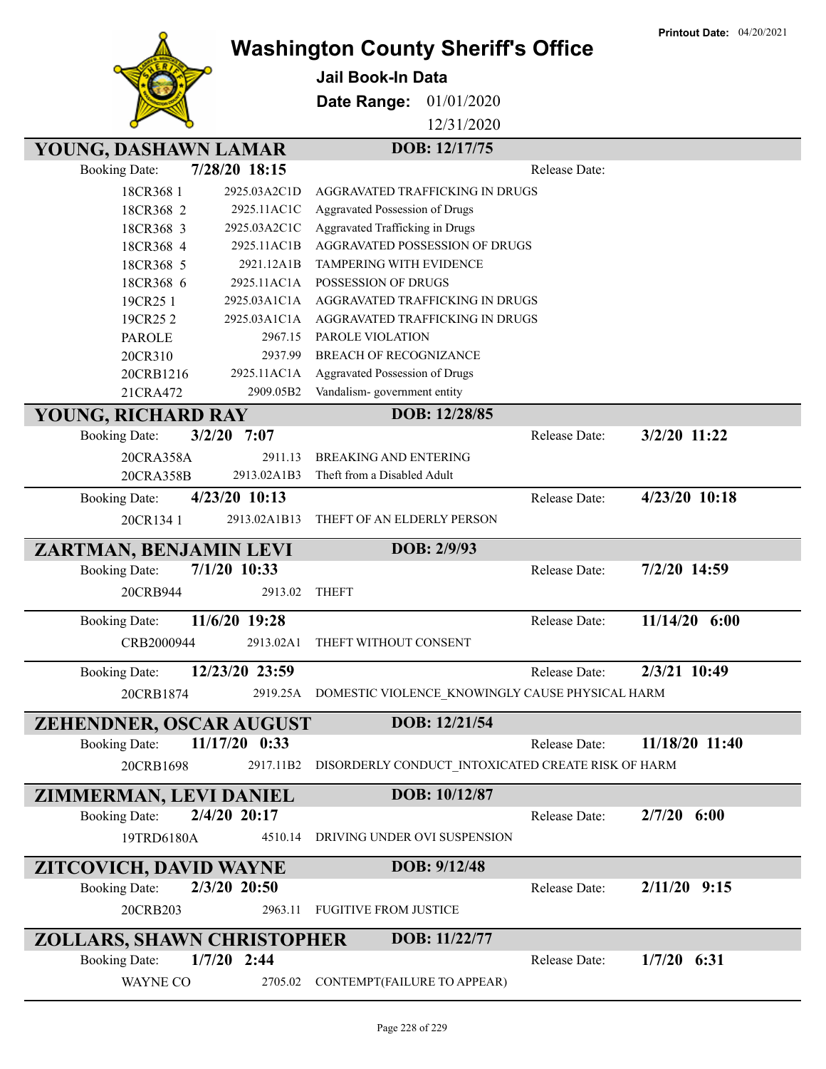

**Jail Book-In Data**

**Date Range:** 01/01/2020

12/31/2020

### **YOUNG, DASHAWN LAMAR DOB: 12/17/75**

| <b>Booking Date:</b>                           | 7/28/20 18:15   |                                                              | Release Date: |                |
|------------------------------------------------|-----------------|--------------------------------------------------------------|---------------|----------------|
| 18CR368 1                                      | 2925.03A2C1D    | AGGRAVATED TRAFFICKING IN DRUGS                              |               |                |
| 18CR368 2                                      | 2925.11AC1C     | Aggravated Possession of Drugs                               |               |                |
| 18CR368 3                                      | 2925.03A2C1C    | Aggravated Trafficking in Drugs                              |               |                |
| 18CR368 4                                      | 2925.11AC1B     | AGGRAVATED POSSESSION OF DRUGS                               |               |                |
| 18CR368 5                                      | 2921.12A1B      | <b>TAMPERING WITH EVIDENCE</b>                               |               |                |
| 18CR368 6                                      | 2925.11AC1A     | POSSESSION OF DRUGS                                          |               |                |
| 19CR25 1                                       | 2925.03A1C1A    | AGGRAVATED TRAFFICKING IN DRUGS                              |               |                |
| 19CR252                                        | 2925.03A1C1A    | AGGRAVATED TRAFFICKING IN DRUGS                              |               |                |
| <b>PAROLE</b>                                  | 2967.15         | PAROLE VIOLATION                                             |               |                |
| 20CR310                                        | 2937.99         | BREACH OF RECOGNIZANCE                                       |               |                |
| 20CRB1216                                      | 2925.11AC1A     | Aggravated Possession of Drugs                               |               |                |
| 21CRA472                                       | 2909.05B2       | Vandalism-government entity                                  |               |                |
| YOUNG, RICHARD RAY                             |                 | DOB: 12/28/85                                                |               |                |
| <b>Booking Date:</b>                           | $3/2/20$ 7:07   |                                                              | Release Date: | 3/2/20 11:22   |
| 20CRA358A                                      | 2911.13         | <b>BREAKING AND ENTERING</b>                                 |               |                |
| 20CRA358B                                      | 2913.02A1B3     | Theft from a Disabled Adult                                  |               |                |
| <b>Booking Date:</b>                           | $4/23/20$ 10:13 |                                                              | Release Date: | 4/23/20 10:18  |
| 20CR134 1                                      | 2913.02A1B13    | THEFT OF AN ELDERLY PERSON                                   |               |                |
| ZARTMAN, BENJAMIN LEVI                         |                 | DOB: 2/9/93                                                  |               |                |
| <b>Booking Date:</b>                           | 7/1/20 10:33    |                                                              | Release Date: | 7/2/20 14:59   |
|                                                |                 |                                                              |               |                |
| 20CRB944                                       | 2913.02         | <b>THEFT</b>                                                 |               |                |
|                                                |                 |                                                              |               |                |
| <b>Booking Date:</b>                           | 11/6/20 19:28   |                                                              | Release Date: | 11/14/20 6:00  |
| CRB2000944                                     | 2913.02A1       | THEFT WITHOUT CONSENT                                        |               |                |
| <b>Booking Date:</b>                           | 12/23/20 23:59  |                                                              | Release Date: | 2/3/21 10:49   |
| 20CRB1874                                      | 2919.25A        | DOMESTIC VIOLENCE KNOWINGLY CAUSE PHYSICAL HARM              |               |                |
|                                                |                 |                                                              |               |                |
| ZEHENDNER, OSCAR AUGUST                        |                 | DOB: 12/21/54                                                |               |                |
| <b>Booking Date:</b>                           | 11/17/20 0:33   |                                                              | Release Date: | 11/18/20 11:40 |
| 20CRB1698                                      |                 | 2917.11B2 DISORDERLY CONDUCT INTOXICATED CREATE RISK OF HARM |               |                |
|                                                |                 | DOB: 10/12/87                                                |               |                |
| ZIMMERMAN, LEVI DANIEL<br><b>Booking Date:</b> | 2/4/20 20:17    |                                                              | Release Date: | $2/7/20$ 6:00  |
| 19TRD6180A                                     | 4510.14         | DRIVING UNDER OVI SUSPENSION                                 |               |                |
|                                                |                 |                                                              |               |                |
| ZITCOVICH, DAVID WAYNE                         | 2/3/20 20:50    | DOB: 9/12/48                                                 |               |                |
| <b>Booking Date:</b>                           |                 | <b>FUGITIVE FROM JUSTICE</b>                                 | Release Date: | $2/11/20$ 9:15 |
| 20CRB203                                       | 2963.11         |                                                              |               |                |
| ZOLLARS, SHAWN CHRISTOPHER                     |                 | DOB: 11/22/77                                                |               |                |
| <b>Booking Date:</b>                           | $1/7/20$ 2:44   |                                                              | Release Date: | $1/7/20$ 6:31  |